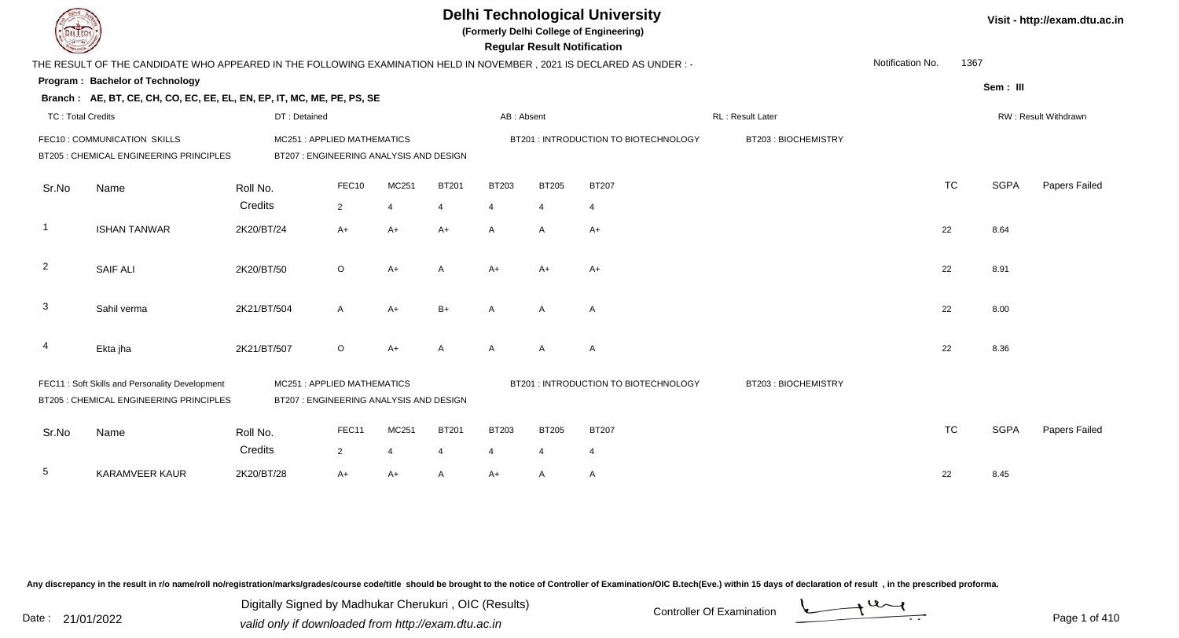| DEL TECH                 |                                                                                           |                                                                       | <b>Delhi Technological University</b><br>(Formerly Delhi College of Engineering)<br><b>Regular Result Notification</b><br>THE RESULT OF THE CANDIDATE WHO APPEARED IN THE FOLLOWING EXAMINATION HELD IN NOVEMBER, 2021 IS DECLARED AS UNDER :- |                |              |                |                |                                       |                     |                  |           |             |                      |  |  |  |
|--------------------------|-------------------------------------------------------------------------------------------|-----------------------------------------------------------------------|------------------------------------------------------------------------------------------------------------------------------------------------------------------------------------------------------------------------------------------------|----------------|--------------|----------------|----------------|---------------------------------------|---------------------|------------------|-----------|-------------|----------------------|--|--|--|
|                          |                                                                                           |                                                                       |                                                                                                                                                                                                                                                |                |              |                |                |                                       |                     | Notification No. | 1367      |             |                      |  |  |  |
|                          | Program: Bachelor of Technology                                                           |                                                                       |                                                                                                                                                                                                                                                |                |              |                |                |                                       |                     |                  |           | Sem: III    |                      |  |  |  |
|                          | Branch: AE, BT, CE, CH, CO, EC, EE, EL, EN, EP, IT, MC, ME, PE, PS, SE                    |                                                                       |                                                                                                                                                                                                                                                |                |              |                |                |                                       |                     |                  |           |             |                      |  |  |  |
| <b>TC: Total Credits</b> |                                                                                           | DT: Detained                                                          |                                                                                                                                                                                                                                                |                |              | AB: Absent     |                |                                       | RL: Result Later    |                  |           |             | RW: Result Withdrawn |  |  |  |
|                          | FEC10 : COMMUNICATION SKILLS                                                              | MC251: APPLIED MATHEMATICS                                            |                                                                                                                                                                                                                                                |                |              |                |                | BT201 : INTRODUCTION TO BIOTECHNOLOGY | BT203: BIOCHEMISTRY |                  |           |             |                      |  |  |  |
|                          | BT205 : CHEMICAL ENGINEERING PRINCIPLES                                                   | BT207 : ENGINEERING ANALYSIS AND DESIGN                               |                                                                                                                                                                                                                                                |                |              |                |                |                                       |                     |                  |           |             |                      |  |  |  |
| Sr.No                    | Name                                                                                      | Roll No.                                                              | FEC10                                                                                                                                                                                                                                          | MC251          | <b>BT201</b> | <b>BT203</b>   | <b>BT205</b>   | <b>BT207</b>                          |                     |                  | <b>TC</b> | <b>SGPA</b> | Papers Failed        |  |  |  |
|                          |                                                                                           | Credits                                                               | $\overline{2}$                                                                                                                                                                                                                                 | $\overline{4}$ | 4            | 4              | $\overline{4}$ | $\overline{4}$                        |                     |                  |           |             |                      |  |  |  |
| $\overline{\phantom{a}}$ | <b>ISHAN TANWAR</b>                                                                       | 2K20/BT/24                                                            | $A+$                                                                                                                                                                                                                                           | $A+$           | $A+$         | $\mathsf{A}$   | $\overline{A}$ | $A+$                                  |                     |                  | 22        | 8.64        |                      |  |  |  |
| $\overline{2}$           | <b>SAIF ALI</b>                                                                           | 2K20/BT/50                                                            | $\circ$                                                                                                                                                                                                                                        | $A+$           | A            | A+             | $A+$           | $A+$                                  |                     |                  | 22        | 8.91        |                      |  |  |  |
| $\mathbf{3}$             | Sahil verma                                                                               | 2K21/BT/504                                                           | A                                                                                                                                                                                                                                              | $A+$           | $B+$         | A              | $\overline{A}$ | A                                     |                     |                  | 22        | 8.00        |                      |  |  |  |
| 4                        | Ekta jha                                                                                  | 2K21/BT/507                                                           | $\circ$                                                                                                                                                                                                                                        | $A+$           | A            | $\mathsf{A}$   | $\overline{A}$ | $\overline{A}$                        |                     |                  | 22        | 8.36        |                      |  |  |  |
|                          | FEC11: Soft Skills and Personality Development<br>BT205 : CHEMICAL ENGINEERING PRINCIPLES | MC251: APPLIED MATHEMATICS<br>BT207 : ENGINEERING ANALYSIS AND DESIGN |                                                                                                                                                                                                                                                |                |              |                |                | BT201 : INTRODUCTION TO BIOTECHNOLOGY | BT203: BIOCHEMISTRY |                  |           |             |                      |  |  |  |
| Sr.No                    | Name                                                                                      | Roll No.                                                              | FEC11                                                                                                                                                                                                                                          | MC251          | <b>BT201</b> | <b>BT203</b>   | <b>BT205</b>   | <b>BT207</b>                          |                     |                  | <b>TC</b> | <b>SGPA</b> | Papers Failed        |  |  |  |
|                          |                                                                                           | Credits                                                               | $\overline{2}$                                                                                                                                                                                                                                 | $\overline{4}$ | 4            | $\overline{4}$ | 4              | $\overline{4}$                        |                     |                  |           |             |                      |  |  |  |
| 5                        | <b>KARAMVEER KAUR</b>                                                                     | 2K20/BT/28                                                            | $A+$                                                                                                                                                                                                                                           | $A+$           | A            | A+             | A              | Α                                     |                     |                  | 22        | 8.45        |                      |  |  |  |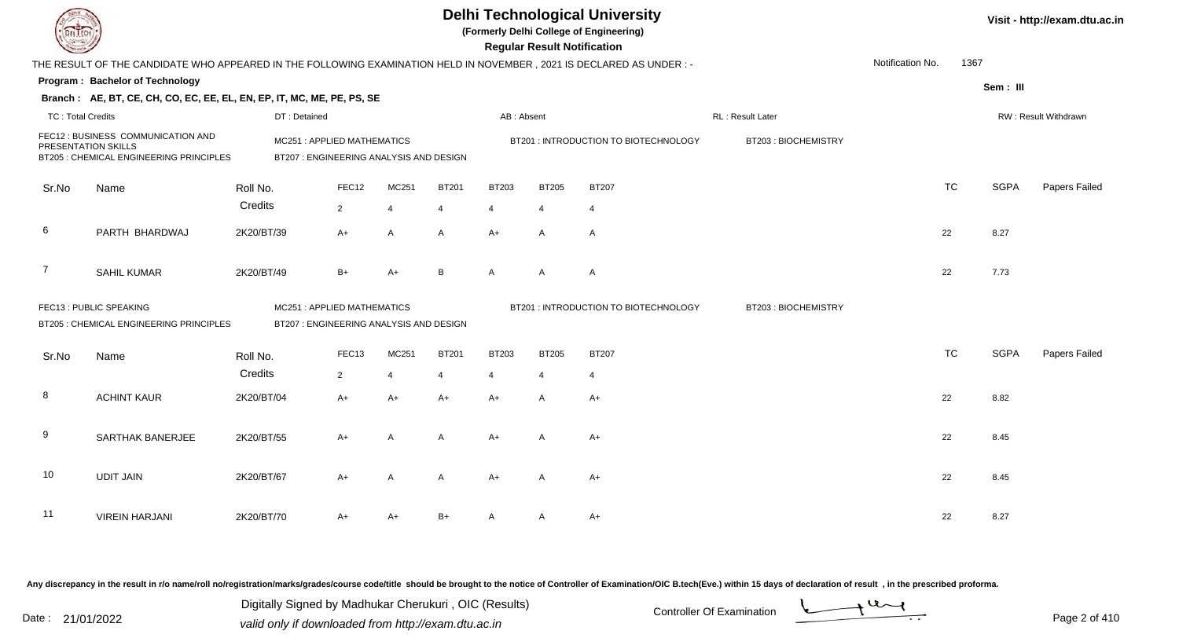|                          |                                                                                                                      |                                                                      |                                        |                        |                        |                        | <b>Regular Result Notification</b> | <b>Delhi Technological University</b><br>(Formerly Delhi College of Engineering) |                     |                  |           |             | Visit - http://exam.dtu.ac.in |
|--------------------------|----------------------------------------------------------------------------------------------------------------------|----------------------------------------------------------------------|----------------------------------------|------------------------|------------------------|------------------------|------------------------------------|----------------------------------------------------------------------------------|---------------------|------------------|-----------|-------------|-------------------------------|
|                          | THE RESULT OF THE CANDIDATE WHO APPEARED IN THE FOLLOWING EXAMINATION HELD IN NOVEMBER, 2021 IS DECLARED AS UNDER :- |                                                                      |                                        |                        |                        |                        |                                    |                                                                                  |                     | Notification No. | 1367      |             |                               |
|                          | Program: Bachelor of Technology                                                                                      |                                                                      |                                        |                        |                        |                        |                                    |                                                                                  |                     |                  |           | Sem: III    |                               |
|                          | Branch: AE, BT, CE, CH, CO, EC, EE, EL, EN, EP, IT, MC, ME, PE, PS, SE                                               |                                                                      |                                        |                        |                        |                        |                                    |                                                                                  |                     |                  |           |             |                               |
| <b>TC: Total Credits</b> |                                                                                                                      | DT: Detained                                                         |                                        |                        |                        | AB: Absent             |                                    |                                                                                  | RL : Result Later   |                  |           |             | RW: Result Withdrawn          |
|                          | FEC12 : BUSINESS COMMUNICATION AND<br>PRESENTATION SKILLS<br>BT205 : CHEMICAL ENGINEERING PRINCIPLES                 | MC251: APPLIED MATHEMATICS<br>BT207: ENGINEERING ANALYSIS AND DESIGN |                                        |                        |                        |                        |                                    | BT201 : INTRODUCTION TO BIOTECHNOLOGY                                            | BT203: BIOCHEMISTRY |                  |           |             |                               |
| Sr.No                    | Name                                                                                                                 | Roll No.                                                             | FEC12                                  | MC251                  | <b>BT201</b>           | <b>BT203</b>           | <b>BT205</b>                       | <b>BT207</b>                                                                     |                     |                  | <b>TC</b> | <b>SGPA</b> | Papers Failed                 |
|                          |                                                                                                                      | Credits                                                              | $\overline{2}$                         | $\overline{4}$         | $\overline{4}$         | 4                      | $\overline{4}$                     | $\overline{4}$                                                                   |                     |                  |           |             |                               |
| 6                        | PARTH BHARDWAJ                                                                                                       | 2K20/BT/39                                                           | $A+$                                   | $\mathsf{A}$           | A                      | $A+$                   | A                                  | $\overline{A}$                                                                   |                     |                  | 22        | 8.27        |                               |
| $\overline{7}$           | <b>SAHIL KUMAR</b>                                                                                                   | 2K20/BT/49                                                           | $B+$                                   | $A+$                   | B                      | A                      | A                                  | $\overline{A}$                                                                   |                     |                  | 22        | 7.73        |                               |
|                          | FEC13 : PUBLIC SPEAKING<br>BT205 : CHEMICAL ENGINEERING PRINCIPLES                                                   | MC251: APPLIED MATHEMATICS                                           | BT207: ENGINEERING ANALYSIS AND DESIGN |                        |                        |                        |                                    | BT201 : INTRODUCTION TO BIOTECHNOLOGY                                            | BT203: BIOCHEMISTRY |                  |           |             |                               |
| Sr.No                    | Name                                                                                                                 | Roll No.                                                             | FEC13                                  | MC251                  | <b>BT201</b>           | <b>BT203</b>           | <b>BT205</b>                       | <b>BT207</b>                                                                     |                     |                  | <b>TC</b> | <b>SGPA</b> | Papers Failed                 |
| 8                        | <b>ACHINT KAUR</b>                                                                                                   | Credits<br>2K20/BT/04                                                | $\overline{2}$<br>$A+$                 | $\overline{4}$<br>$A+$ | $\overline{4}$<br>$A+$ | $\overline{4}$<br>$A+$ | $\overline{4}$<br>A                | $\overline{4}$<br>$A+$                                                           |                     |                  | 22        | 8.82        |                               |
| 9                        | SARTHAK BANERJEE                                                                                                     | 2K20/BT/55                                                           | A+                                     | $\overline{A}$         | A                      | $A+$                   | A                                  | $A+$                                                                             |                     |                  | 22        | 8.45        |                               |
| 10                       | <b>UDIT JAIN</b>                                                                                                     | 2K20/BT/67                                                           | A+                                     | A                      | A                      | $A+$                   | A                                  | A+                                                                               |                     |                  | 22        | 8.45        |                               |
| 11                       | <b>VIREIN HARJANI</b>                                                                                                | 2K20/BT/70                                                           | A+                                     | A+                     | $B+$                   | A                      | A                                  | $A+$                                                                             |                     |                  | 22        | 8.27        |                               |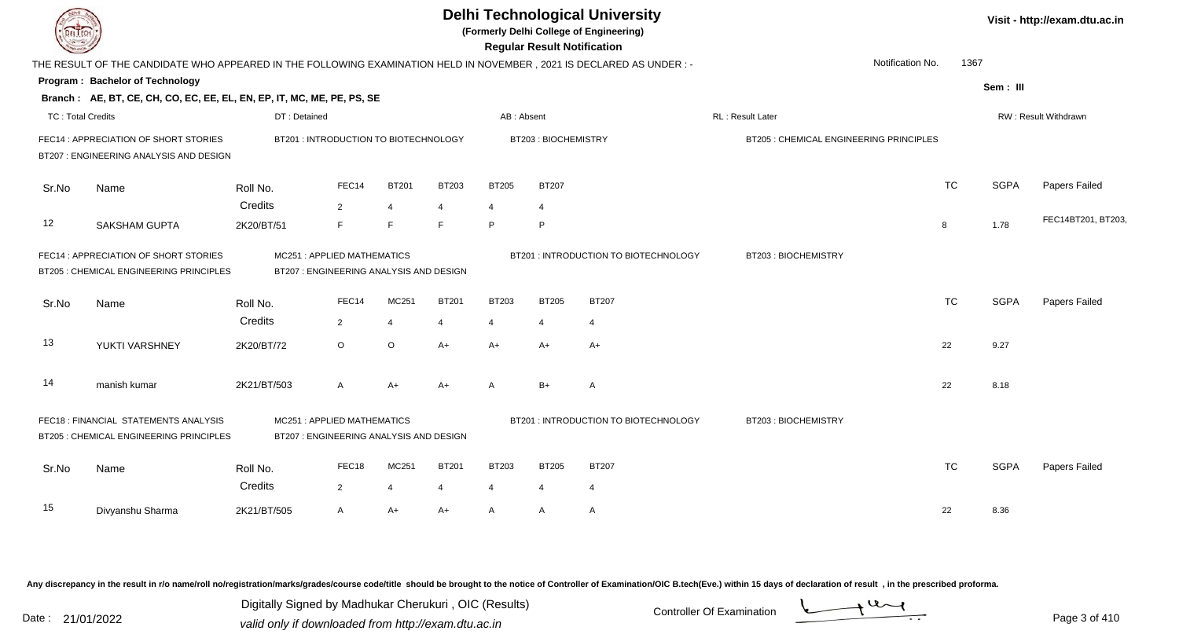| <b>DELTECH</b>           |                                                                                                                     |                                                                       |                                         |                                |                                          |                                | <b>Regular Result Notification</b>    | <b>Delhi Technological University</b><br>(Formerly Delhi College of Engineering) |                                         |                  |           |             | Visit - http://exam.dtu.ac.in |
|--------------------------|---------------------------------------------------------------------------------------------------------------------|-----------------------------------------------------------------------|-----------------------------------------|--------------------------------|------------------------------------------|--------------------------------|---------------------------------------|----------------------------------------------------------------------------------|-----------------------------------------|------------------|-----------|-------------|-------------------------------|
|                          | THE RESULT OF THE CANDIDATE WHO APPEARED IN THE FOLLOWING EXAMINATION HELD IN NOVEMBER, 2021 IS DECLARED AS UNDER:- |                                                                       |                                         |                                |                                          |                                |                                       |                                                                                  |                                         | Notification No. | 1367      |             |                               |
|                          | Program: Bachelor of Technology                                                                                     |                                                                       |                                         |                                |                                          |                                |                                       |                                                                                  |                                         |                  |           | Sem: III    |                               |
|                          | Branch: AE, BT, CE, CH, CO, EC, EE, EL, EN, EP, IT, MC, ME, PE, PS, SE                                              |                                                                       |                                         |                                |                                          |                                |                                       |                                                                                  |                                         |                  |           |             |                               |
| <b>TC: Total Credits</b> |                                                                                                                     | DT: Detained                                                          |                                         |                                |                                          | AB: Absent                     |                                       |                                                                                  | <b>RL: Result Later</b>                 |                  |           |             | <b>RW: Result Withdrawn</b>   |
|                          | FEC14 : APPRECIATION OF SHORT STORIES<br>BT207 : ENGINEERING ANALYSIS AND DESIGN                                    | BT201: INTRODUCTION TO BIOTECHNOLOGY                                  |                                         |                                |                                          |                                | BT203: BIOCHEMISTRY                   |                                                                                  | BT205 : CHEMICAL ENGINEERING PRINCIPLES |                  |           |             |                               |
| Sr.No                    | Name                                                                                                                | Roll No.<br>Credits                                                   | FEC14<br>2                              | <b>BT201</b><br>$\overline{4}$ | <b>BT203</b><br>$\boldsymbol{\varDelta}$ | <b>BT205</b><br>$\overline{4}$ | <b>BT207</b><br>$\overline{4}$        |                                                                                  |                                         |                  | <b>TC</b> | <b>SGPA</b> | Papers Failed                 |
| 12                       | <b>SAKSHAM GUPTA</b>                                                                                                | 2K20/BT/51                                                            | F                                       | F                              | E                                        | P                              | $\mathsf P$                           |                                                                                  |                                         |                  | 8         | 1.78        | FEC14BT201, BT203,            |
|                          | FEC14 : APPRECIATION OF SHORT STORIES<br><b>BT205: CHEMICAL ENGINEERING PRINCIPLES</b>                              | MC251: APPLIED MATHEMATICS                                            | BT207 : ENGINEERING ANALYSIS AND DESIGN |                                |                                          |                                | BT201 : INTRODUCTION TO BIOTECHNOLOGY | BT203: BIOCHEMISTRY                                                              |                                         |                  |           |             |                               |
| Sr.No                    | Name                                                                                                                | Roll No.                                                              | FEC14                                   | MC <sub>251</sub>              | <b>BT201</b>                             | <b>BT203</b>                   | <b>BT205</b>                          | <b>BT207</b>                                                                     |                                         |                  | <b>TC</b> | <b>SGPA</b> | Papers Failed                 |
|                          |                                                                                                                     | Credits                                                               | $\overline{2}$                          | $\overline{4}$                 | $\overline{4}$                           | 4                              | $\overline{4}$                        | $\overline{4}$                                                                   |                                         |                  |           |             |                               |
| 13                       | YUKTI VARSHNEY                                                                                                      | 2K20/BT/72                                                            | $\circ$                                 | $\circ$                        | A+                                       | $A+$                           | $A+$                                  | A+                                                                               |                                         |                  | 22        | 9.27        |                               |
| 14                       | manish kumar                                                                                                        | 2K21/BT/503                                                           | $\mathsf{A}$                            | $A+$                           | A+                                       | $\mathsf{A}$                   | $B+$                                  | A                                                                                |                                         |                  | 22        | 8.18        |                               |
|                          | FEC18 : FINANCIAL STATEMENTS ANALYSIS<br>BT205 : CHEMICAL ENGINEERING PRINCIPLES                                    | MC251: APPLIED MATHEMATICS<br>BT207 : ENGINEERING ANALYSIS AND DESIGN |                                         |                                |                                          |                                |                                       | BT201 : INTRODUCTION TO BIOTECHNOLOGY                                            | BT203: BIOCHEMISTRY                     |                  |           |             |                               |
| Sr.No                    | Name                                                                                                                | Roll No.<br>Credits                                                   | FEC18<br>2                              | MC251<br>$\overline{4}$        | <b>BT201</b><br>4                        | <b>BT203</b><br>$\overline{4}$ | <b>BT205</b><br>$\overline{4}$        | <b>BT207</b><br>$\overline{4}$                                                   |                                         |                  | <b>TC</b> | <b>SGPA</b> | Papers Failed                 |
|                          |                                                                                                                     |                                                                       |                                         |                                |                                          |                                |                                       |                                                                                  |                                         |                  |           |             |                               |
| 15                       | Divyanshu Sharma                                                                                                    | 2K21/BT/505                                                           | $\mathsf{A}$                            | A+                             | A+                                       | $\mathsf{A}$                   | A                                     | A                                                                                |                                         |                  | 22        | 8.36        |                               |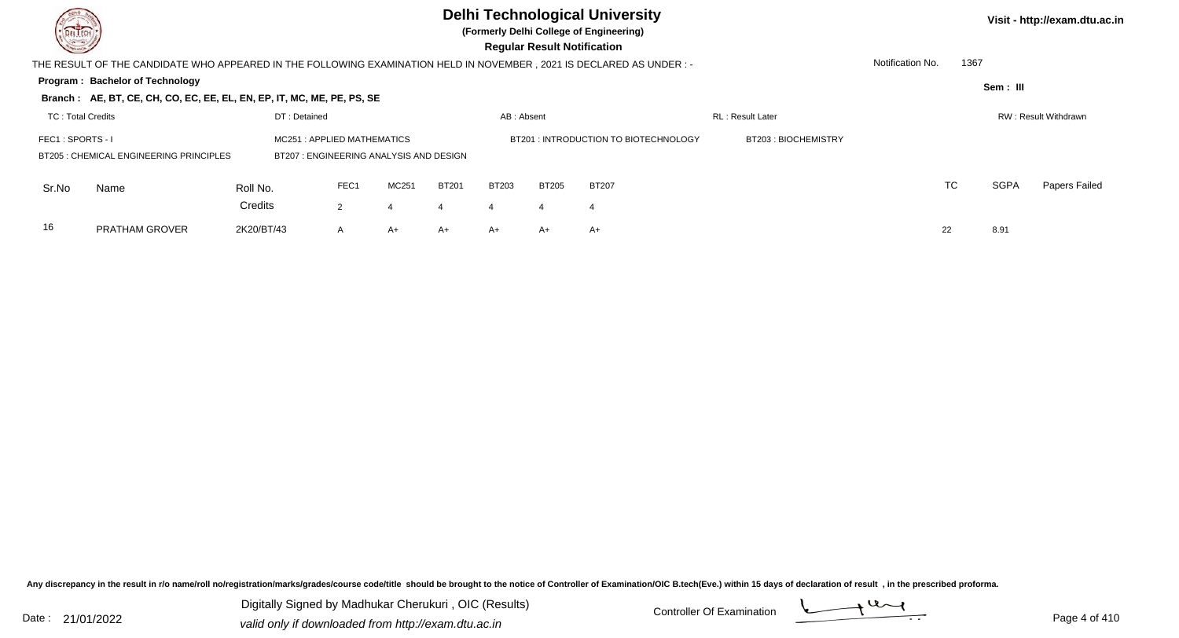**(Formerly Delhi College of Engineering)**

 **Regular Result Notification**

**Visit - http://exam.dtu.ac.in**

| <b>Course /</b>                                                                                                                                               |                                                                                                                     |                     |                |       |              |              | <b>Requiar Result Notification</b> |              |  |                  |           |             |               |
|---------------------------------------------------------------------------------------------------------------------------------------------------------------|---------------------------------------------------------------------------------------------------------------------|---------------------|----------------|-------|--------------|--------------|------------------------------------|--------------|--|------------------|-----------|-------------|---------------|
|                                                                                                                                                               | THE RESULT OF THE CANDIDATE WHO APPEARED IN THE FOLLOWING EXAMINATION HELD IN NOVEMBER, 2021 IS DECLARED AS UNDER:- |                     |                |       |              |              |                                    |              |  | Notification No. | 1367      |             |               |
|                                                                                                                                                               | Program: Bachelor of Technology                                                                                     |                     |                |       |              |              |                                    |              |  |                  |           | Sem: III    |               |
|                                                                                                                                                               | Branch: AE, BT, CE, CH, CO, EC, EE, EL, EN, EP, IT, MC, ME, PE, PS, SE                                              |                     |                |       |              |              |                                    |              |  |                  |           |             |               |
| DT: Detained<br>RL: Result Later<br><b>TC: Total Credits</b><br>RW: Result Withdrawn<br>AB: Absent                                                            |                                                                                                                     |                     |                |       |              |              |                                    |              |  |                  |           |             |               |
| FEC1: SPORTS - I                                                                                                                                              |                                                                                                                     | BT203: BIOCHEMISTRY |                |       |              |              |                                    |              |  |                  |           |             |               |
| MC251: APPLIED MATHEMATICS<br>BT201: INTRODUCTION TO BIOTECHNOLOGY<br><b>BT205: CHEMICAL ENGINEERING PRINCIPLES</b><br>BT207: ENGINEERING ANALYSIS AND DESIGN |                                                                                                                     |                     |                |       |              |              |                                    |              |  |                  |           |             |               |
| Sr.No                                                                                                                                                         | Name                                                                                                                | Roll No.            | FEC1           | MC251 | <b>BT201</b> | <b>BT203</b> | <b>BT205</b>                       | <b>BT207</b> |  |                  | <b>TC</b> | <b>SGPA</b> | Papers Failed |
|                                                                                                                                                               |                                                                                                                     | Credits             | $\overline{2}$ |       |              |              | 4                                  | 4            |  |                  |           |             |               |
| 16                                                                                                                                                            | <b>PRATHAM GROVER</b>                                                                                               | 2K20/BT/43          | $\mathsf{A}$   | A+    | $A+$         | A+           | $A+$                               | $A+$         |  | 22               |           | 8.91        |               |

Any discrepancy in the result in r/o name/roll no/registration/marks/grades/course code/title should be brought to the notice of Controller of Examination/OIC B.tech(Eve.) within 15 days of declaration of result, in the pr

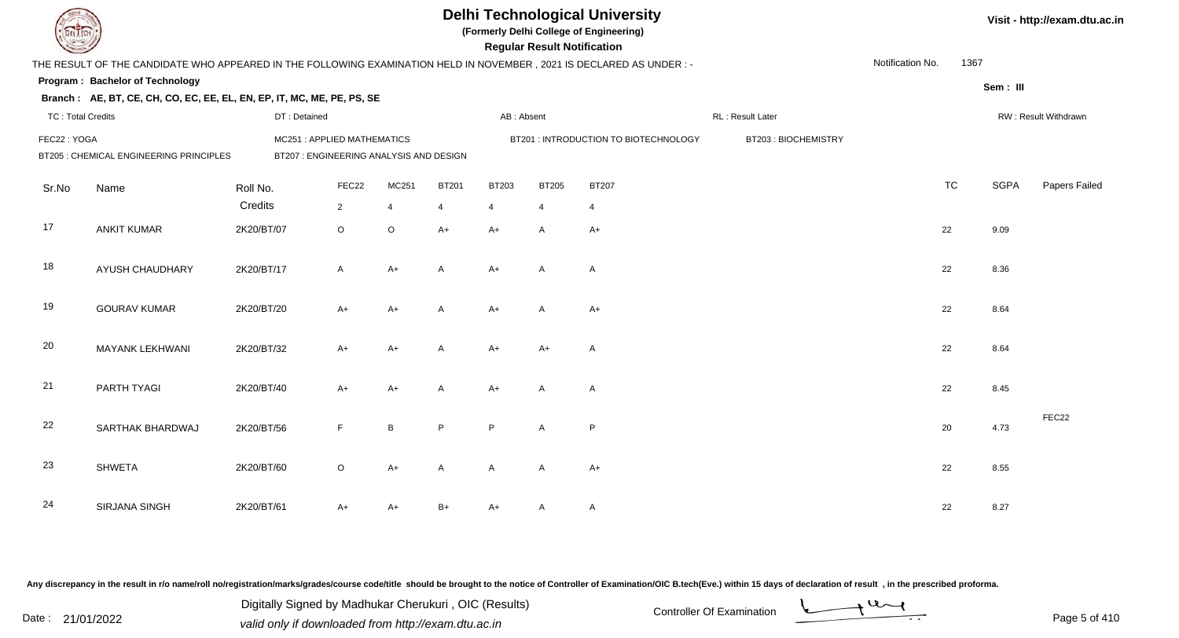| EL ECH                   |                                                                                                                      |                                         |                           |                               |              |                        | <b>Regular Result Notification</b> | <b>Delhi Technological University</b><br>(Formerly Delhi College of Engineering) |                     |                  |           |             | Visit - http://exam.dtu.ac.in |
|--------------------------|----------------------------------------------------------------------------------------------------------------------|-----------------------------------------|---------------------------|-------------------------------|--------------|------------------------|------------------------------------|----------------------------------------------------------------------------------|---------------------|------------------|-----------|-------------|-------------------------------|
|                          | THE RESULT OF THE CANDIDATE WHO APPEARED IN THE FOLLOWING EXAMINATION HELD IN NOVEMBER, 2021 IS DECLARED AS UNDER :- |                                         |                           |                               |              |                        |                                    |                                                                                  |                     | Notification No. | 1367      |             |                               |
|                          | Program: Bachelor of Technology                                                                                      |                                         |                           |                               |              |                        |                                    |                                                                                  |                     |                  |           | Sem: III    |                               |
|                          | Branch: AE, BT, CE, CH, CO, EC, EE, EL, EN, EP, IT, MC, ME, PE, PS, SE                                               |                                         |                           |                               |              |                        |                                    |                                                                                  |                     |                  |           |             |                               |
| <b>TC: Total Credits</b> |                                                                                                                      | DT: Detained                            |                           |                               |              | AB: Absent             |                                    |                                                                                  | RL: Result Later    |                  |           |             | RW: Result Withdrawn          |
| FEC22: YOGA              |                                                                                                                      | MC251: APPLIED MATHEMATICS              |                           |                               |              |                        |                                    | BT201: INTRODUCTION TO BIOTECHNOLOGY                                             | BT203: BIOCHEMISTRY |                  |           |             |                               |
|                          | BT205 : CHEMICAL ENGINEERING PRINCIPLES                                                                              | BT207 : ENGINEERING ANALYSIS AND DESIGN |                           |                               |              |                        |                                    |                                                                                  |                     |                  |           |             |                               |
| Sr.No                    | Name                                                                                                                 | Roll No.                                | FEC22                     | MC251                         | <b>BT201</b> | BT203                  | <b>BT205</b>                       | <b>BT207</b>                                                                     |                     |                  | <b>TC</b> | <b>SGPA</b> | Papers Failed                 |
| 17                       | <b>ANKIT KUMAR</b>                                                                                                   | Credits<br>2K20/BT/07                   | $\overline{2}$<br>$\circ$ | $\overline{4}$<br>$\mathsf O$ | 4<br>$A+$    | $\overline{4}$<br>$A+$ | $\overline{4}$<br>Α                | $\overline{4}$<br>$A+$                                                           |                     |                  | 22        | 9.09        |                               |
| 18                       | <b>AYUSH CHAUDHARY</b>                                                                                               | 2K20/BT/17                              | $\mathsf{A}$              | $A+$                          | A            | $A+$                   | A                                  | A                                                                                |                     |                  | 22        | 8.36        |                               |
| 19                       | <b>GOURAV KUMAR</b>                                                                                                  | 2K20/BT/20                              | A+                        | $A+$                          | A            | $A+$                   | A                                  | $A+$                                                                             |                     |                  | 22        | 8.64        |                               |
| 20                       | MAYANK LEKHWANI                                                                                                      | 2K20/BT/32                              | $A+$                      | $A+$                          | A            | $A+$                   | $A+$                               | $\mathsf{A}$                                                                     |                     |                  | 22        | 8.64        |                               |
| 21                       | PARTH TYAGI                                                                                                          | 2K20/BT/40                              | $A+$                      | $A+$                          | $\mathsf{A}$ | $A+$                   | A                                  | $\mathsf{A}$                                                                     |                     |                  | 22        | 8.45        |                               |
| 22                       | SARTHAK BHARDWAJ                                                                                                     | 2K20/BT/56                              | F.                        | $\, {\bf B}$                  | P            | P                      | A                                  | P                                                                                |                     |                  | 20        | 4.73        | FEC22                         |
| 23                       | <b>SHWETA</b>                                                                                                        | 2K20/BT/60                              | $\circ$                   | $A+$                          | A            | A                      | A                                  | $A+$                                                                             |                     |                  | 22        | 8.55        |                               |
| 24                       | <b>SIRJANA SINGH</b>                                                                                                 | 2K20/BT/61                              | A+                        | A+                            | B+           | $A+$                   | A                                  | A                                                                                |                     |                  | 22        | 8.27        |                               |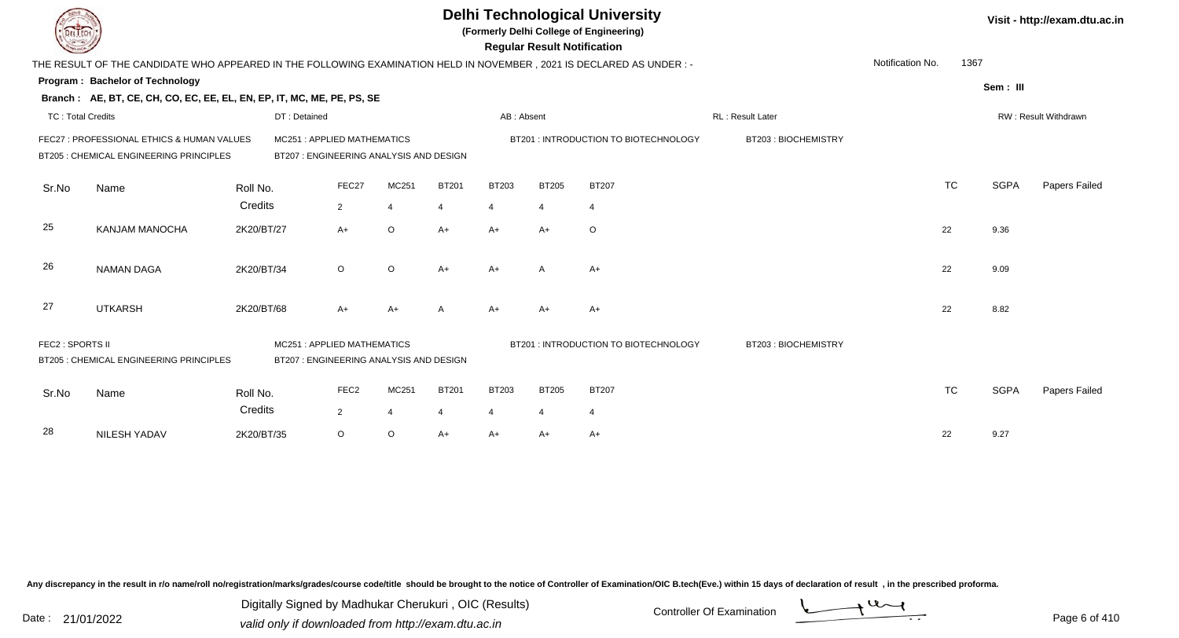| EL ECH                   |                                                                                                                      |              |                                                                       |                |              |                | <b>Regular Result Notification</b> | <b>Delhi Technological University</b><br>(Formerly Delhi College of Engineering) |                     |                  |           |             | Visit - http://exam.dtu.ac.in |
|--------------------------|----------------------------------------------------------------------------------------------------------------------|--------------|-----------------------------------------------------------------------|----------------|--------------|----------------|------------------------------------|----------------------------------------------------------------------------------|---------------------|------------------|-----------|-------------|-------------------------------|
|                          | THE RESULT OF THE CANDIDATE WHO APPEARED IN THE FOLLOWING EXAMINATION HELD IN NOVEMBER, 2021 IS DECLARED AS UNDER :- |              |                                                                       |                |              |                |                                    |                                                                                  |                     | Notification No. | 1367      |             |                               |
|                          | <b>Program: Bachelor of Technology</b>                                                                               |              |                                                                       |                |              |                |                                    |                                                                                  |                     |                  |           | Sem: III    |                               |
|                          | Branch: AE, BT, CE, CH, CO, EC, EE, EL, EN, EP, IT, MC, ME, PE, PS, SE                                               |              |                                                                       |                |              |                |                                    |                                                                                  |                     |                  |           |             |                               |
| <b>TC: Total Credits</b> |                                                                                                                      | DT: Detained |                                                                       |                |              | AB: Absent     |                                    |                                                                                  | RL : Result Later   |                  |           |             | RW: Result Withdrawn          |
|                          | FEC27 : PROFESSIONAL ETHICS & HUMAN VALUES<br>BT205 : CHEMICAL ENGINEERING PRINCIPLES                                |              | MC251: APPLIED MATHEMATICS<br>BT207: ENGINEERING ANALYSIS AND DESIGN  |                |              |                |                                    | BT201 : INTRODUCTION TO BIOTECHNOLOGY                                            | BT203: BIOCHEMISTRY |                  |           |             |                               |
| Sr.No                    | Name                                                                                                                 | Roll No.     | FEC27                                                                 | MC251          | <b>BT201</b> | <b>BT203</b>   | <b>BT205</b>                       | <b>BT207</b>                                                                     |                     |                  | <b>TC</b> | <b>SGPA</b> | Papers Failed                 |
|                          |                                                                                                                      | Credits      | $\overline{2}$                                                        | $\overline{4}$ | 4            | $\overline{4}$ | $\overline{4}$                     | $\overline{4}$                                                                   |                     |                  |           |             |                               |
| 25                       | <b>KANJAM MANOCHA</b>                                                                                                | 2K20/BT/27   | $A+$                                                                  | $\circ$        | $A+$         | $A+$           | $A+$                               | $\circ$                                                                          |                     |                  | 22        | 9.36        |                               |
| 26                       | <b>NAMAN DAGA</b>                                                                                                    | 2K20/BT/34   | $\circ$                                                               | $\circ$        | $A+$         | $A+$           | A                                  | $A+$                                                                             |                     |                  | 22        | 9.09        |                               |
| 27                       | <b>UTKARSH</b>                                                                                                       | 2K20/BT/68   | $A+$                                                                  | $A+$           |              | $A+$           | $A+$                               | A+                                                                               |                     |                  | 22        | 8.82        |                               |
| FEC2 : SPORTS II         | BT205 : CHEMICAL ENGINEERING PRINCIPLES                                                                              |              | MC251: APPLIED MATHEMATICS<br>BT207 : ENGINEERING ANALYSIS AND DESIGN |                |              |                |                                    | BT201: INTRODUCTION TO BIOTECHNOLOGY                                             | BT203: BIOCHEMISTRY |                  |           |             |                               |
| Sr.No                    | Name                                                                                                                 | Roll No.     | FEC <sub>2</sub>                                                      | MC251          | <b>BT201</b> | <b>BT203</b>   | <b>BT205</b>                       | <b>BT207</b>                                                                     |                     |                  | <b>TC</b> | <b>SGPA</b> | Papers Failed                 |
|                          |                                                                                                                      | Credits      | $\overline{2}$                                                        | $\overline{4}$ | 4            | $\overline{4}$ | $\overline{4}$                     | $\overline{4}$                                                                   |                     |                  |           |             |                               |
| 28                       | NILESH YADAV                                                                                                         | 2K20/BT/35   | $\circ$                                                               | $\circ$        | $A+$         | $A+$           | A+                                 | $A+$                                                                             |                     |                  | 22        | 9.27        |                               |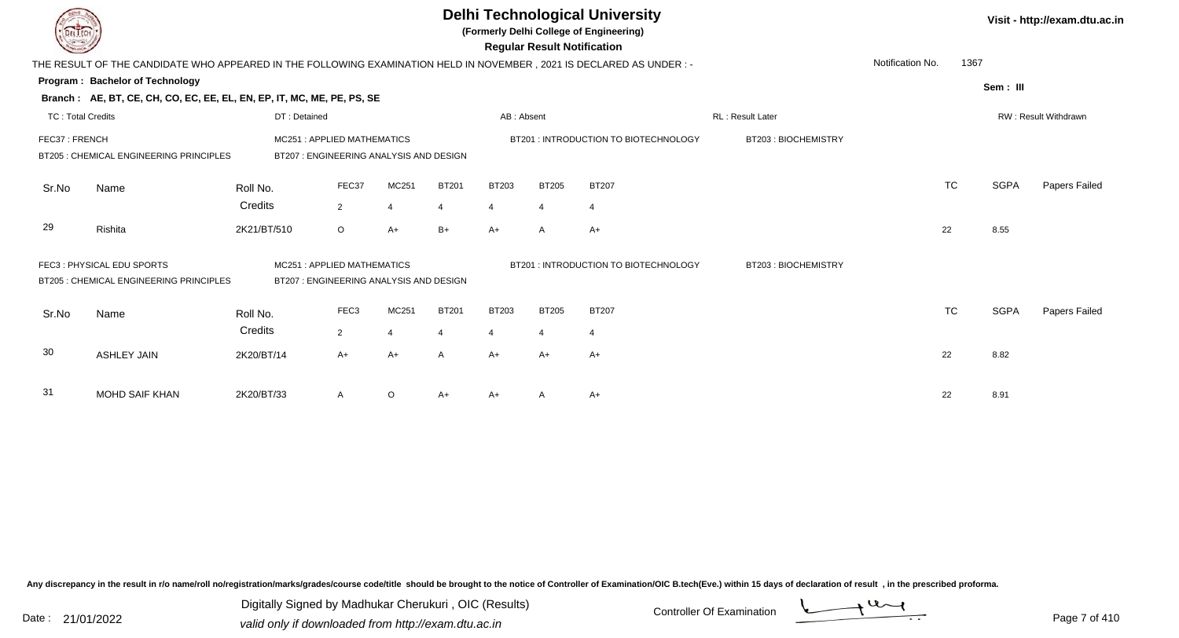|                          |                                                                                                                        |              |                                                                       |                |              |                | <b>Regular Result Notification</b> | <b>Delhi Technological University</b><br>(Formerly Delhi College of Engineering) |                     |                  |           |             | Visit - http://exam.dtu.ac.in |
|--------------------------|------------------------------------------------------------------------------------------------------------------------|--------------|-----------------------------------------------------------------------|----------------|--------------|----------------|------------------------------------|----------------------------------------------------------------------------------|---------------------|------------------|-----------|-------------|-------------------------------|
|                          | THE RESULT OF THE CANDIDATE WHO APPEARED IN THE FOLLOWING EXAMINATION HELD IN NOVEMBER , 2021 IS DECLARED AS UNDER : - |              |                                                                       |                |              |                |                                    |                                                                                  |                     | Notification No. | 1367      |             |                               |
|                          | <b>Program: Bachelor of Technology</b>                                                                                 |              |                                                                       |                |              |                |                                    |                                                                                  |                     |                  |           |             |                               |
|                          | Branch: AE, BT, CE, CH, CO, EC, EE, EL, EN, EP, IT, MC, ME, PE, PS, SE                                                 |              |                                                                       |                |              |                |                                    |                                                                                  |                     |                  |           | Sem: III    |                               |
| <b>TC: Total Credits</b> |                                                                                                                        | DT: Detained |                                                                       |                |              | AB: Absent     |                                    |                                                                                  | RL: Result Later    |                  |           |             | RW: Result Withdrawn          |
| FEC37: FRENCH            | BT205 : CHEMICAL ENGINEERING PRINCIPLES                                                                                |              | MC251: APPLIED MATHEMATICS<br>BT207 : ENGINEERING ANALYSIS AND DESIGN |                |              |                |                                    | BT201: INTRODUCTION TO BIOTECHNOLOGY                                             | BT203: BIOCHEMISTRY |                  |           |             |                               |
| Sr.No                    | Name                                                                                                                   | Roll No.     | FEC37                                                                 | MC251          | <b>BT201</b> | <b>BT203</b>   | <b>BT205</b>                       | <b>BT207</b>                                                                     |                     |                  | <b>TC</b> | <b>SGPA</b> | Papers Failed                 |
|                          |                                                                                                                        | Credits      | $\overline{2}$                                                        | 4              | 4            | 4              | -4                                 | $\overline{4}$                                                                   |                     |                  |           |             |                               |
| 29                       | Rishita                                                                                                                | 2K21/BT/510  | $\circ$                                                               | $A+$           | $B+$         | $A+$           | A                                  | $A+$                                                                             |                     |                  | 22        | 8.55        |                               |
|                          | FEC3: PHYSICAL EDU SPORTS<br>BT205 : CHEMICAL ENGINEERING PRINCIPLES                                                   |              | MC251: APPLIED MATHEMATICS<br>BT207 : ENGINEERING ANALYSIS AND DESIGN |                |              |                |                                    | BT201 : INTRODUCTION TO BIOTECHNOLOGY                                            | BT203: BIOCHEMISTRY |                  |           |             |                               |
| Sr.No                    | Name                                                                                                                   | Roll No.     | FEC <sub>3</sub>                                                      | MC251          | <b>BT201</b> | <b>BT203</b>   | <b>BT205</b>                       | <b>BT207</b>                                                                     |                     |                  | <b>TC</b> | <b>SGPA</b> | Papers Failed                 |
|                          |                                                                                                                        | Credits      | $2^{\circ}$                                                           | $\overline{4}$ |              | $\overline{4}$ | $\overline{4}$                     | $\overline{4}$                                                                   |                     |                  |           |             |                               |
| 30                       | <b>ASHLEY JAIN</b>                                                                                                     | 2K20/BT/14   | $A+$                                                                  | $A+$           | A            | $A+$           | $A+$                               | $A+$                                                                             |                     |                  | 22        | 8.82        |                               |
| 31                       | <b>MOHD SAIF KHAN</b>                                                                                                  | 2K20/BT/33   | A                                                                     | O              | A+           | A+             |                                    | A+                                                                               |                     |                  | 22        | 8.91        |                               |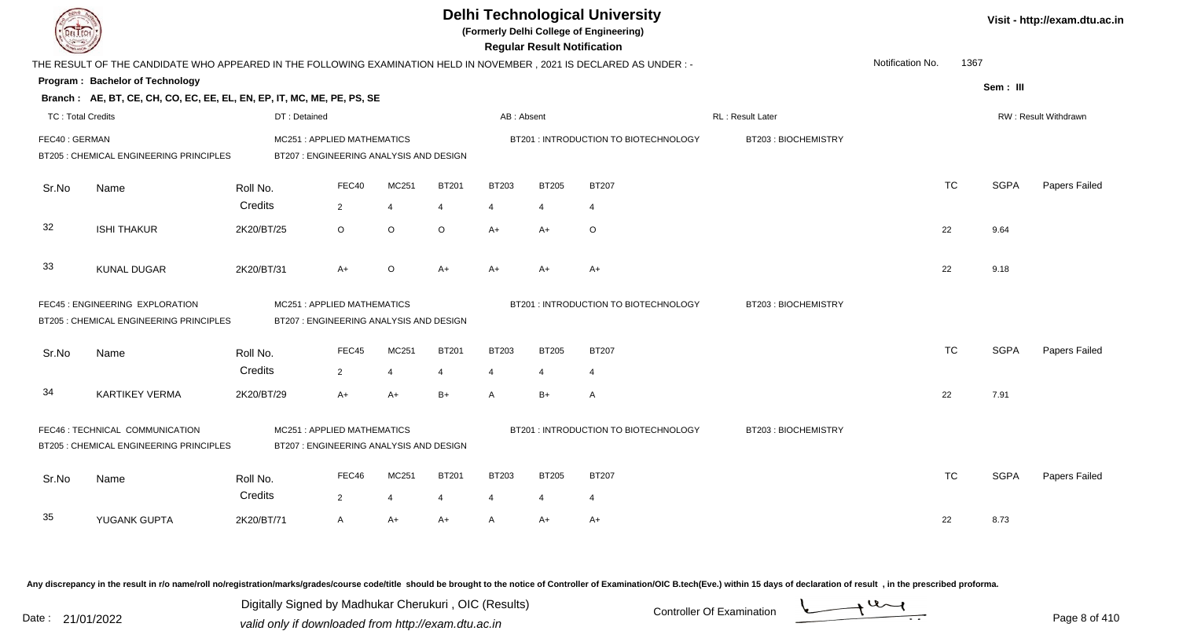|                          |                                                                                                                      |                                         |                |                |                |                | <b>Regular Result Notification</b> | <b>Delhi Technological University</b><br>(Formerly Delhi College of Engineering) |                     |                  |           |             | Visit - http://exam.dtu.ac.in |
|--------------------------|----------------------------------------------------------------------------------------------------------------------|-----------------------------------------|----------------|----------------|----------------|----------------|------------------------------------|----------------------------------------------------------------------------------|---------------------|------------------|-----------|-------------|-------------------------------|
|                          | THE RESULT OF THE CANDIDATE WHO APPEARED IN THE FOLLOWING EXAMINATION HELD IN NOVEMBER, 2021 IS DECLARED AS UNDER :- |                                         |                |                |                |                |                                    |                                                                                  |                     | Notification No. | 1367      |             |                               |
|                          | Program: Bachelor of Technology                                                                                      |                                         |                |                |                |                |                                    |                                                                                  |                     |                  |           | Sem: III    |                               |
|                          | Branch: AE, BT, CE, CH, CO, EC, EE, EL, EN, EP, IT, MC, ME, PE, PS, SE                                               |                                         |                |                |                |                |                                    |                                                                                  |                     |                  |           |             |                               |
| <b>TC: Total Credits</b> |                                                                                                                      | DT: Detained                            |                |                |                | AB: Absent     |                                    |                                                                                  | RL: Result Later    |                  |           |             | <b>RW: Result Withdrawn</b>   |
| FEC40: GERMAN            |                                                                                                                      | MC251: APPLIED MATHEMATICS              |                |                |                |                |                                    | BT201: INTRODUCTION TO BIOTECHNOLOGY                                             | BT203: BIOCHEMISTRY |                  |           |             |                               |
|                          | BT205 : CHEMICAL ENGINEERING PRINCIPLES                                                                              | BT207 : ENGINEERING ANALYSIS AND DESIGN |                |                |                |                |                                    |                                                                                  |                     |                  |           |             |                               |
| Sr.No                    | Name                                                                                                                 | Roll No.                                | FEC40          | MC251          | <b>BT201</b>   | <b>BT203</b>   | <b>BT205</b>                       | <b>BT207</b>                                                                     |                     |                  | <b>TC</b> | <b>SGPA</b> | Papers Failed                 |
|                          |                                                                                                                      | Credits                                 | $\overline{2}$ | $\overline{4}$ | $\overline{4}$ | $\overline{4}$ | $\overline{4}$                     | $\overline{4}$                                                                   |                     |                  |           |             |                               |
|                          |                                                                                                                      |                                         |                |                |                |                |                                    |                                                                                  |                     |                  |           |             |                               |
| 32                       | <b>ISHI THAKUR</b>                                                                                                   | 2K20/BT/25                              | $\circ$        | $\circ$        | $\circ$        | $A+$           | $A+$                               | $\circ$                                                                          |                     |                  | 22        | 9.64        |                               |
|                          |                                                                                                                      |                                         |                |                |                |                |                                    |                                                                                  |                     |                  |           |             |                               |
| 33                       | <b>KUNAL DUGAR</b>                                                                                                   | 2K20/BT/31                              | $A+$           | $\circ$        | $A+$           | $A+$           | $A+$                               | $A+$                                                                             |                     |                  | 22        | 9.18        |                               |
|                          | FEC45 : ENGINEERING EXPLORATION                                                                                      | MC251: APPLIED MATHEMATICS              |                |                |                |                |                                    | BT201: INTRODUCTION TO BIOTECHNOLOGY                                             | BT203: BIOCHEMISTRY |                  |           |             |                               |
|                          | <b>BT205: CHEMICAL ENGINEERING PRINCIPLES</b>                                                                        | BT207 : ENGINEERING ANALYSIS AND DESIGN |                |                |                |                |                                    |                                                                                  |                     |                  |           |             |                               |
|                          |                                                                                                                      |                                         |                |                |                |                |                                    |                                                                                  |                     |                  |           |             |                               |
| Sr.No                    | Name                                                                                                                 | Roll No.                                | FEC45          | MC251          | <b>BT201</b>   | <b>BT203</b>   | <b>BT205</b>                       | <b>BT207</b>                                                                     |                     |                  | <b>TC</b> | <b>SGPA</b> | Papers Failed                 |
|                          |                                                                                                                      | Credits                                 | $\mathbf{2}$   | $\overline{4}$ | $\overline{4}$ | $\overline{4}$ | $\overline{4}$                     | $\overline{4}$                                                                   |                     |                  |           |             |                               |
| 34                       | <b>KARTIKEY VERMA</b>                                                                                                | 2K20/BT/29                              | $A+$           | $A+$           | $B+$           | $\mathsf{A}$   | $B+$                               | A                                                                                |                     |                  | 22        | 7.91        |                               |
|                          |                                                                                                                      |                                         |                |                |                |                |                                    |                                                                                  |                     |                  |           |             |                               |
|                          | FEC46 : TECHNICAL COMMUNICATION                                                                                      | MC251: APPLIED MATHEMATICS              |                |                |                |                |                                    | BT201: INTRODUCTION TO BIOTECHNOLOGY                                             | BT203: BIOCHEMISTRY |                  |           |             |                               |
|                          | BT205 : CHEMICAL ENGINEERING PRINCIPLES                                                                              | BT207 : ENGINEERING ANALYSIS AND DESIGN |                |                |                |                |                                    |                                                                                  |                     |                  |           |             |                               |
| Sr.No                    | Name                                                                                                                 | Roll No.                                | FEC46          | MC251          | <b>BT201</b>   | <b>BT203</b>   | <b>BT205</b>                       | <b>BT207</b>                                                                     |                     |                  | <b>TC</b> | <b>SGPA</b> | Papers Failed                 |
|                          |                                                                                                                      | Credits                                 | $\overline{2}$ | 4              | $\overline{4}$ | $\overline{4}$ | 4                                  | $\overline{4}$                                                                   |                     |                  |           |             |                               |
| 35                       | YUGANK GUPTA                                                                                                         | 2K20/BT/71                              | $\mathsf{A}$   | $A+$           | $A+$           | $\mathsf{A}$   | $A+$                               | $A+$                                                                             |                     |                  | 22        | 8.73        |                               |
|                          |                                                                                                                      |                                         |                |                |                |                |                                    |                                                                                  |                     |                  |           |             |                               |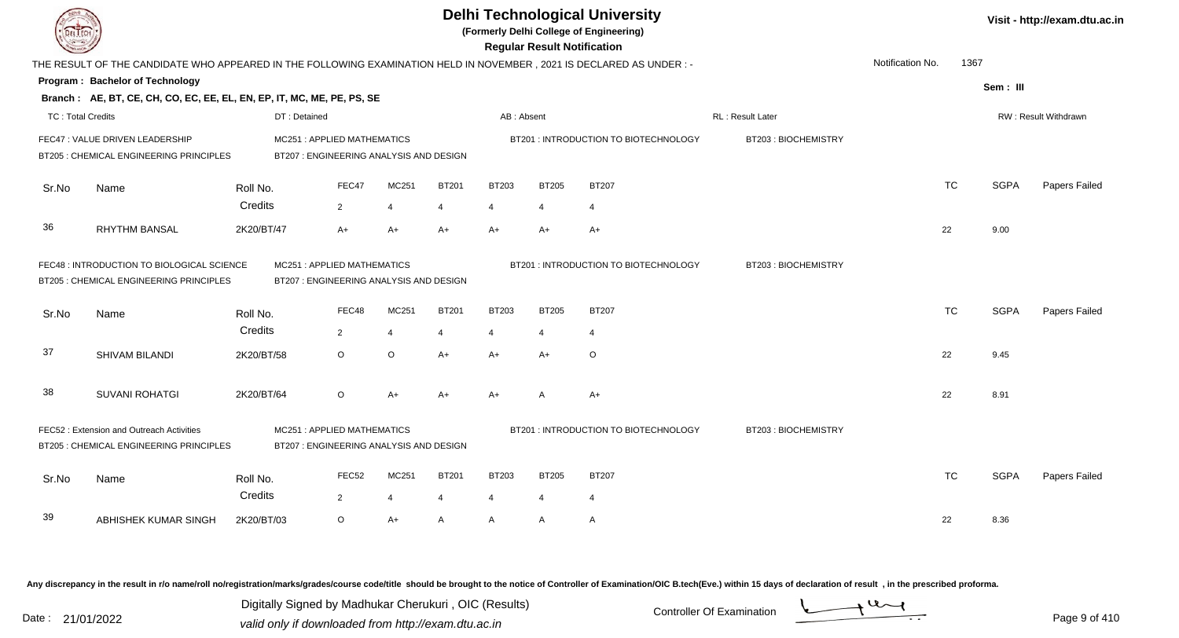|                          |                                                                                                                     |                                                                       |                                                                       |                |                |                                       |                     | <b>Delhi Technological University</b><br>(Formerly Delhi College of Engineering)<br><b>Regular Result Notification</b> |                     |                  |           |             | Visit - http://exam.dtu.ac.in |
|--------------------------|---------------------------------------------------------------------------------------------------------------------|-----------------------------------------------------------------------|-----------------------------------------------------------------------|----------------|----------------|---------------------------------------|---------------------|------------------------------------------------------------------------------------------------------------------------|---------------------|------------------|-----------|-------------|-------------------------------|
|                          | THE RESULT OF THE CANDIDATE WHO APPEARED IN THE FOLLOWING EXAMINATION HELD IN NOVEMBER, 2021 IS DECLARED AS UNDER:- |                                                                       |                                                                       |                |                |                                       |                     |                                                                                                                        |                     | Notification No. | 1367      |             |                               |
|                          | Program: Bachelor of Technology                                                                                     |                                                                       |                                                                       |                |                |                                       |                     |                                                                                                                        |                     |                  |           | Sem: III    |                               |
|                          | Branch: AE, BT, CE, CH, CO, EC, EE, EL, EN, EP, IT, MC, ME, PE, PS, SE                                              |                                                                       |                                                                       |                |                |                                       |                     |                                                                                                                        |                     |                  |           |             |                               |
| <b>TC: Total Credits</b> |                                                                                                                     | DT: Detained                                                          |                                                                       |                |                | AB: Absent                            |                     |                                                                                                                        | RL : Result Later   |                  |           |             | RW: Result Withdrawn          |
|                          | FEC47 : VALUE DRIVEN LEADERSHIP<br>BT205 : CHEMICAL ENGINEERING PRINCIPLES                                          |                                                                       | MC251: APPLIED MATHEMATICS<br>BT207 : ENGINEERING ANALYSIS AND DESIGN |                |                |                                       |                     | BT201: INTRODUCTION TO BIOTECHNOLOGY                                                                                   | BT203: BIOCHEMISTRY |                  |           |             |                               |
| Sr.No                    | Name                                                                                                                | Roll No.                                                              | FEC47                                                                 | MC251          | <b>BT201</b>   | <b>BT203</b>                          | <b>BT205</b>        | <b>BT207</b>                                                                                                           |                     |                  | <b>TC</b> | <b>SGPA</b> | Papers Failed                 |
|                          |                                                                                                                     | Credits                                                               | $\overline{2}$                                                        | $\overline{4}$ | $\overline{4}$ | $\overline{4}$                        | $\overline{4}$      | $\overline{4}$                                                                                                         |                     |                  |           |             |                               |
| 36                       | <b>RHYTHM BANSAL</b>                                                                                                | 2K20/BT/47                                                            | $A+$                                                                  | $A+$           | $A+$           | $A+$                                  | $A+$                | $A+$                                                                                                                   |                     |                  | 22        | 9.00        |                               |
|                          | FEC48 : INTRODUCTION TO BIOLOGICAL SCIENCE<br>BT205 : CHEMICAL ENGINEERING PRINCIPLES                               | MC251: APPLIED MATHEMATICS<br>BT207 : ENGINEERING ANALYSIS AND DESIGN |                                                                       |                |                | BT201 : INTRODUCTION TO BIOTECHNOLOGY | BT203: BIOCHEMISTRY |                                                                                                                        |                     |                  |           |             |                               |
| Sr.No                    | Name                                                                                                                | Roll No.                                                              | FEC48                                                                 | MC251          | <b>BT201</b>   | <b>BT203</b>                          | <b>BT205</b>        | <b>BT207</b>                                                                                                           |                     |                  | <b>TC</b> | <b>SGPA</b> | Papers Failed                 |
|                          |                                                                                                                     | Credits                                                               | $\overline{2}$                                                        | $\overline{4}$ | 4              | $\overline{4}$                        | $\overline{4}$      | $\overline{4}$                                                                                                         |                     |                  |           |             |                               |
| 37                       | SHIVAM BILANDI                                                                                                      | 2K20/BT/58                                                            | $\circ$                                                               | $\mathsf O$    | $A+$           | $A+$                                  | $A+$                | O                                                                                                                      |                     |                  | 22        | 9.45        |                               |
| 38                       | <b>SUVANI ROHATGI</b>                                                                                               | 2K20/BT/64                                                            | $\circ$                                                               | $A+$           | $A+$           | $A+$                                  | A                   | $A+$                                                                                                                   |                     |                  | 22        | 8.91        |                               |
|                          | FEC52: Extension and Outreach Activities<br>BT205 : CHEMICAL ENGINEERING PRINCIPLES                                 |                                                                       | MC251: APPLIED MATHEMATICS<br>BT207 : ENGINEERING ANALYSIS AND DESIGN |                |                |                                       |                     | BT201 : INTRODUCTION TO BIOTECHNOLOGY                                                                                  | BT203: BIOCHEMISTRY |                  |           |             |                               |
| Sr.No                    | Name                                                                                                                | Roll No.                                                              | FEC <sub>52</sub>                                                     | MC251          | <b>BT201</b>   | <b>BT203</b>                          | <b>BT205</b>        | <b>BT207</b>                                                                                                           |                     |                  | <b>TC</b> | <b>SGPA</b> | Papers Failed                 |
|                          |                                                                                                                     | Credits                                                               | $2^{\circ}$                                                           | $\overline{4}$ | $\overline{4}$ | 4                                     | $\overline{4}$      | $\overline{4}$                                                                                                         |                     |                  |           |             |                               |
| 39                       | ABHISHEK KUMAR SINGH                                                                                                | 2K20/BT/03                                                            | $\circ$                                                               | $A+$           | A              | A                                     | A                   | $\mathsf{A}$                                                                                                           |                     |                  | 22        | 8.36        |                               |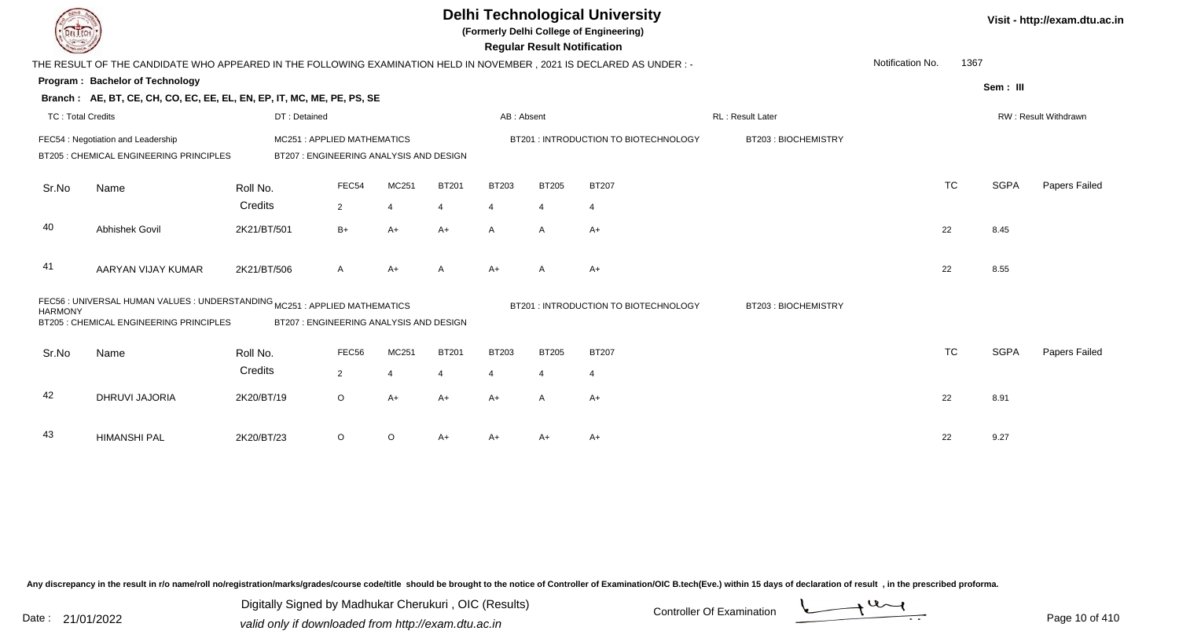|                          |                                                                                                                     |                                                                      |                |                |              |                | <b>Regular Result Notification</b> | <b>Delhi Technological University</b><br>(Formerly Delhi College of Engineering) |                     |                  |           |             | Visit - http://exam.dtu.ac.in |
|--------------------------|---------------------------------------------------------------------------------------------------------------------|----------------------------------------------------------------------|----------------|----------------|--------------|----------------|------------------------------------|----------------------------------------------------------------------------------|---------------------|------------------|-----------|-------------|-------------------------------|
|                          | THE RESULT OF THE CANDIDATE WHO APPEARED IN THE FOLLOWING EXAMINATION HELD IN NOVEMBER, 2021 IS DECLARED AS UNDER:- |                                                                      |                |                |              |                |                                    |                                                                                  |                     | Notification No. | 1367      |             |                               |
|                          | Program: Bachelor of Technology                                                                                     |                                                                      |                |                |              |                |                                    |                                                                                  |                     |                  |           | Sem: III    |                               |
|                          | Branch: AE, BT, CE, CH, CO, EC, EE, EL, EN, EP, IT, MC, ME, PE, PS, SE                                              |                                                                      |                |                |              |                |                                    |                                                                                  |                     |                  |           |             |                               |
| <b>TC: Total Credits</b> |                                                                                                                     | DT: Detained                                                         |                |                |              | AB: Absent     |                                    |                                                                                  | RL: Result Later    |                  |           |             | RW: Result Withdrawn          |
|                          | FEC54 : Negotiation and Leadership<br>BT205 : CHEMICAL ENGINEERING PRINCIPLES                                       | MC251: APPLIED MATHEMATICS<br>BT207: ENGINEERING ANALYSIS AND DESIGN |                |                |              |                |                                    | BT201 : INTRODUCTION TO BIOTECHNOLOGY                                            | BT203: BIOCHEMISTRY |                  |           |             |                               |
| Sr.No                    | Name                                                                                                                | Roll No.                                                             | FEC54          | MC251          | <b>BT201</b> | <b>BT203</b>   | <b>BT205</b>                       | <b>BT207</b>                                                                     |                     |                  | <b>TC</b> | <b>SGPA</b> | Papers Failed                 |
|                          |                                                                                                                     | Credits                                                              | $\overline{2}$ | $\overline{4}$ | 4            | $\overline{4}$ | $\overline{4}$                     | $\overline{4}$                                                                   |                     |                  |           |             |                               |
| 40                       | Abhishek Govil                                                                                                      | 2K21/BT/501                                                          | $B+$           | $A+$           | $A+$         | $\mathsf{A}$   | $\mathsf{A}$                       | $A+$                                                                             |                     |                  | 22        | 8.45        |                               |
| 41                       | AARYAN VIJAY KUMAR                                                                                                  | 2K21/BT/506                                                          | A              | $A+$           | A            | $A+$           | A                                  | $A+$                                                                             |                     |                  | 22        | 8.55        |                               |
| <b>HARMONY</b>           | FEC56 : UNIVERSAL HUMAN VALUES : UNDERSTANDING MC251 : APPLIED MATHEMATICS                                          |                                                                      |                |                |              |                |                                    | BT201 : INTRODUCTION TO BIOTECHNOLOGY                                            | BT203: BIOCHEMISTRY |                  |           |             |                               |
|                          | BT205 : CHEMICAL ENGINEERING PRINCIPLES                                                                             | BT207: ENGINEERING ANALYSIS AND DESIGN                               |                |                |              |                |                                    |                                                                                  |                     |                  |           |             |                               |
| Sr.No                    | Name                                                                                                                | Roll No.                                                             | FEC56          | MC251          | <b>BT201</b> | <b>BT203</b>   | <b>BT205</b>                       | <b>BT207</b>                                                                     |                     |                  | <b>TC</b> | <b>SGPA</b> | Papers Failed                 |
|                          |                                                                                                                     | Credits                                                              | $\overline{2}$ | $\overline{4}$ | 4            | 4              | $\overline{4}$                     | $\overline{4}$                                                                   |                     |                  |           |             |                               |
| 42                       | DHRUVI JAJORIA                                                                                                      | 2K20/BT/19                                                           | $\circ$        | $A+$           | $A+$         | $A+$           | $\mathsf{A}$                       | $A+$                                                                             |                     |                  | 22        | 8.91        |                               |
| 43                       | <b>HIMANSHI PAL</b>                                                                                                 | 2K20/BT/23                                                           | $\circ$        | $\circ$        | $A+$         | A+             | A+                                 | A+                                                                               |                     |                  | 22        | 9.27        |                               |

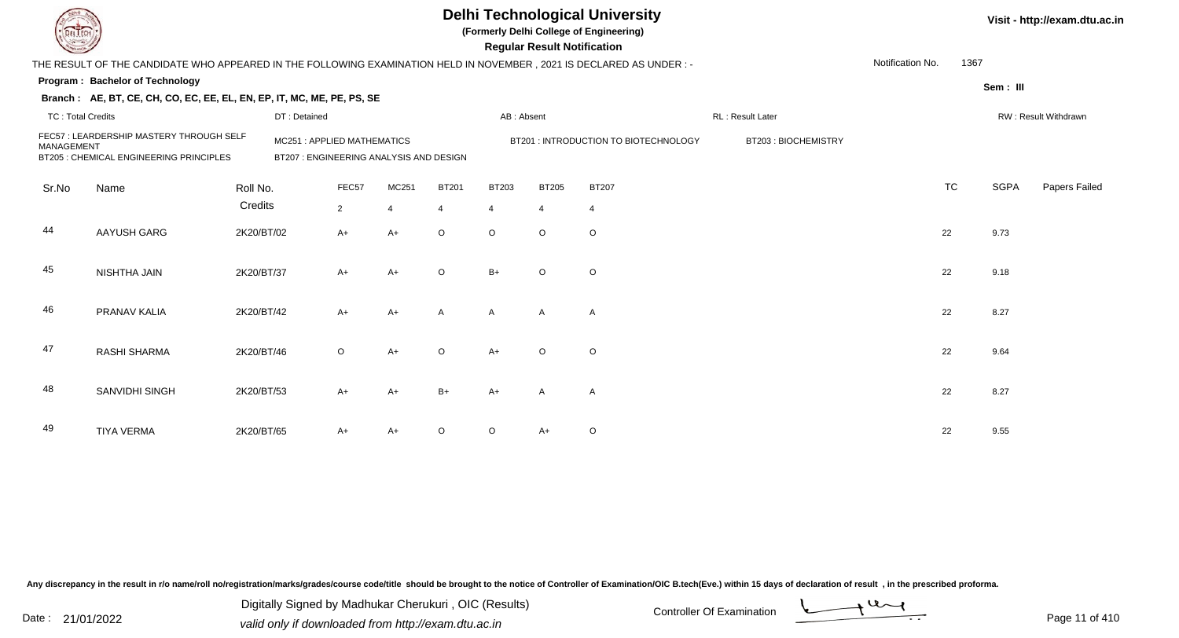|                          |                                                                                                                     |            |                                                                      |                |                |                |                | <b>Regular Result Notification</b> | <b>Delhi Technological University</b><br>(Formerly Delhi College of Engineering) |                     |                  |           |             | Visit - http://exam.dtu.ac.in |
|--------------------------|---------------------------------------------------------------------------------------------------------------------|------------|----------------------------------------------------------------------|----------------|----------------|----------------|----------------|------------------------------------|----------------------------------------------------------------------------------|---------------------|------------------|-----------|-------------|-------------------------------|
|                          | THE RESULT OF THE CANDIDATE WHO APPEARED IN THE FOLLOWING EXAMINATION HELD IN NOVEMBER, 2021 IS DECLARED AS UNDER:- |            |                                                                      |                |                |                |                |                                    |                                                                                  |                     | Notification No. | 1367      |             |                               |
|                          | <b>Program: Bachelor of Technology</b>                                                                              |            |                                                                      |                |                |                |                |                                    |                                                                                  |                     |                  |           | Sem: III    |                               |
|                          | Branch: AE, BT, CE, CH, CO, EC, EE, EL, EN, EP, IT, MC, ME, PE, PS, SE                                              |            |                                                                      |                |                |                |                |                                    |                                                                                  |                     |                  |           |             |                               |
| <b>TC: Total Credits</b> |                                                                                                                     |            | DT: Detained                                                         |                |                |                | AB: Absent     |                                    |                                                                                  | RL: Result Later    |                  |           |             | RW: Result Withdrawn          |
| <b>MANAGEMENT</b>        | FEC57: LEARDERSHIP MASTERY THROUGH SELF<br>BT205 : CHEMICAL ENGINEERING PRINCIPLES                                  |            | MC251: APPLIED MATHEMATICS<br>BT207: ENGINEERING ANALYSIS AND DESIGN |                |                |                |                |                                    | BT201: INTRODUCTION TO BIOTECHNOLOGY                                             | BT203: BIOCHEMISTRY |                  |           |             |                               |
| Sr.No                    | Name                                                                                                                | Roll No.   |                                                                      | FEC57          | MC251          | <b>BT201</b>   | <b>BT203</b>   | <b>BT205</b>                       | <b>BT207</b>                                                                     |                     |                  | <b>TC</b> | <b>SGPA</b> | Papers Failed                 |
|                          |                                                                                                                     | Credits    |                                                                      | $\overline{2}$ | $\overline{4}$ | $\overline{4}$ | $\overline{4}$ | $\overline{4}$                     | $\overline{4}$                                                                   |                     |                  |           |             |                               |
| 44                       | AAYUSH GARG                                                                                                         | 2K20/BT/02 |                                                                      | A+             | $A+$           | $\circ$        | $\Omega$       | $\circ$                            | $\circ$                                                                          |                     |                  | 22        | 9.73        |                               |
| 45                       | NISHTHA JAIN                                                                                                        | 2K20/BT/37 |                                                                      | A+             | $A+$           | $\Omega$       | $B+$           | $\circ$                            | $\circ$                                                                          |                     |                  | 22        | 9.18        |                               |
| 46                       | PRANAV KALIA                                                                                                        | 2K20/BT/42 |                                                                      | $A+$           | $A+$           | A              | $\mathsf{A}$   | $\mathsf{A}$                       | $\overline{A}$                                                                   |                     |                  | 22        | 8.27        |                               |
| 47                       | RASHI SHARMA                                                                                                        | 2K20/BT/46 |                                                                      | $\circ$        | $A+$           | $\Omega$       | $A+$           | $\circ$                            | $\circ$                                                                          |                     |                  | 22        | 9.64        |                               |
| 48                       | SANVIDHI SINGH                                                                                                      | 2K20/BT/53 |                                                                      | $A+$           | $A+$           | $B+$           | $A+$           | $\mathsf{A}$                       | $\overline{A}$                                                                   |                     |                  | 22        | 8.27        |                               |
| 49                       | <b>TIYA VERMA</b>                                                                                                   | 2K20/BT/65 |                                                                      | A+             | $A+$           |                | $\circ$        | A+                                 | $\circ$                                                                          |                     |                  | 22        | 9.55        |                               |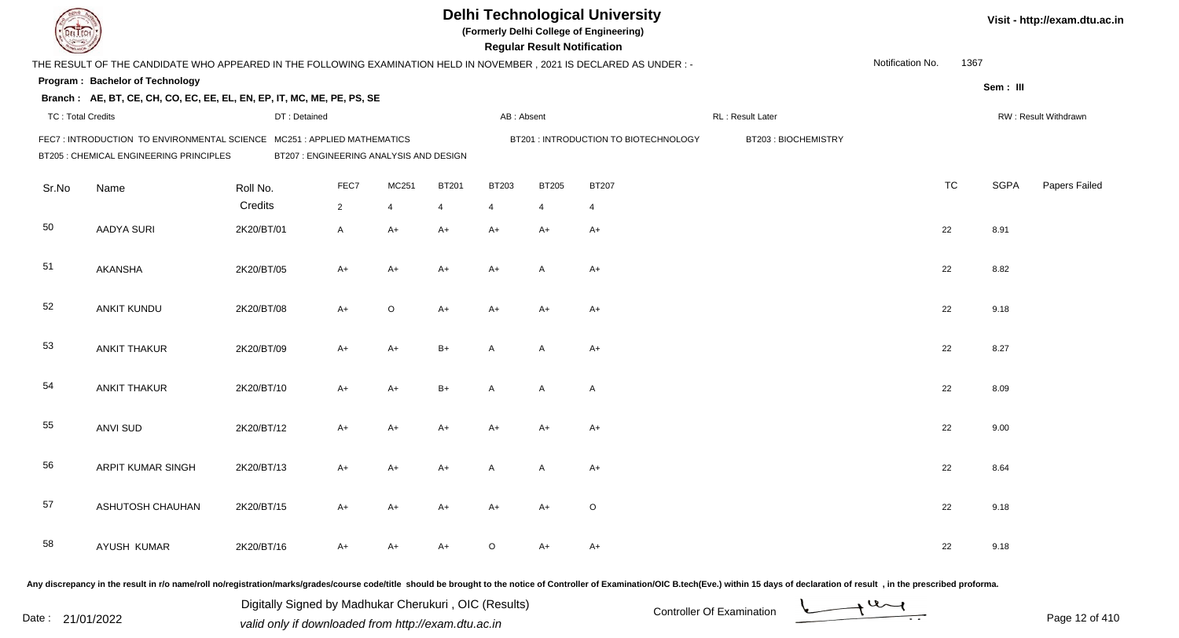|                          |                                                                                                                        |                                         |                |       |              |                | <b>Regular Result Notification</b> | <b>Delhi Technological University</b><br>(Formerly Delhi College of Engineering) |                                                                                                                                                                                                                                |                  |           |             | Visit - http://exam.dtu.ac.in |
|--------------------------|------------------------------------------------------------------------------------------------------------------------|-----------------------------------------|----------------|-------|--------------|----------------|------------------------------------|----------------------------------------------------------------------------------|--------------------------------------------------------------------------------------------------------------------------------------------------------------------------------------------------------------------------------|------------------|-----------|-------------|-------------------------------|
|                          | THE RESULT OF THE CANDIDATE WHO APPEARED IN THE FOLLOWING EXAMINATION HELD IN NOVEMBER , 2021 IS DECLARED AS UNDER : - |                                         |                |       |              |                |                                    |                                                                                  |                                                                                                                                                                                                                                | Notification No. | 1367      |             |                               |
|                          | Program: Bachelor of Technology                                                                                        |                                         |                |       |              |                |                                    |                                                                                  |                                                                                                                                                                                                                                |                  |           | Sem: III    |                               |
|                          | Branch: AE, BT, CE, CH, CO, EC, EE, EL, EN, EP, IT, MC, ME, PE, PS, SE                                                 |                                         |                |       |              |                |                                    |                                                                                  |                                                                                                                                                                                                                                |                  |           |             |                               |
| <b>TC: Total Credits</b> |                                                                                                                        | DT: Detained                            |                |       |              | AB: Absent     |                                    |                                                                                  | RL : Result Later                                                                                                                                                                                                              |                  |           |             | RW: Result Withdrawn          |
|                          | FEC7: INTRODUCTION TO ENVIRONMENTAL SCIENCE MC251: APPLIED MATHEMATICS                                                 |                                         |                |       |              |                |                                    | BT201 : INTRODUCTION TO BIOTECHNOLOGY                                            | BT203: BIOCHEMISTRY                                                                                                                                                                                                            |                  |           |             |                               |
|                          | BT205 : CHEMICAL ENGINEERING PRINCIPLES                                                                                | BT207 : ENGINEERING ANALYSIS AND DESIGN |                |       |              |                |                                    |                                                                                  |                                                                                                                                                                                                                                |                  |           |             |                               |
| Sr.No                    | Name                                                                                                                   | Roll No.                                | FEC7           | MC251 | <b>BT201</b> | <b>BT203</b>   | <b>BT205</b>                       | <b>BT207</b>                                                                     |                                                                                                                                                                                                                                |                  | <b>TC</b> | <b>SGPA</b> | Papers Failed                 |
|                          |                                                                                                                        | Credits                                 | $\overline{2}$ | 4     | 4            | $\overline{4}$ | 4                                  | 4                                                                                |                                                                                                                                                                                                                                |                  |           |             |                               |
| 50                       | <b>AADYA SURI</b>                                                                                                      | 2K20/BT/01                              | A              | A+    | A+           | $A+$           | $A+$                               | $A+$                                                                             |                                                                                                                                                                                                                                |                  | 22        | 8.91        |                               |
| 51                       | <b>AKANSHA</b>                                                                                                         | 2K20/BT/05                              | A+             | A+    | A+           | $A+$           | A                                  | A+                                                                               |                                                                                                                                                                                                                                |                  | 22        | 8.82        |                               |
| 52                       | ANKIT KUNDU                                                                                                            | 2K20/BT/08                              | $A+$           | O     | A+           | $A+$           | $A+$                               | $A+$                                                                             |                                                                                                                                                                                                                                |                  | 22        | 9.18        |                               |
| 53                       | <b>ANKIT THAKUR</b>                                                                                                    | 2K20/BT/09                              | A+             | A+    | $B+$         | A              | A                                  | $A+$                                                                             |                                                                                                                                                                                                                                |                  | 22        | 8.27        |                               |
| 54                       | <b>ANKIT THAKUR</b>                                                                                                    | 2K20/BT/10                              | $A+$           | $A+$  | $B+$         | A              | A                                  | $\mathsf{A}$                                                                     |                                                                                                                                                                                                                                |                  | 22        | 8.09        |                               |
| 55                       | <b>ANVI SUD</b>                                                                                                        | 2K20/BT/12                              | $A+$           | A+    | A+           | A+             | $A+$                               | $A+$                                                                             |                                                                                                                                                                                                                                |                  | 22        | 9.00        |                               |
| 56                       | <b>ARPIT KUMAR SINGH</b>                                                                                               | 2K20/BT/13                              | A+             | A+    | A+           | A              | A                                  | A+                                                                               |                                                                                                                                                                                                                                |                  | 22        | 8.64        |                               |
| 57                       | ASHUTOSH CHAUHAN                                                                                                       | 2K20/BT/15                              | A+             | A+    | A+           | A+             | A+                                 | O                                                                                |                                                                                                                                                                                                                                |                  | 22        | 9.18        |                               |
| 58                       | AYUSH KUMAR                                                                                                            | 2K20/BT/16                              | A+             | A+    | A+           | $\circ$        | A+                                 | A+                                                                               |                                                                                                                                                                                                                                |                  | 22        | 9.18        |                               |
|                          |                                                                                                                        |                                         |                |       |              |                |                                    |                                                                                  | ny discrepancy in the result in r/o name/roll no/registration/marks/grades/course code/title, should be brought to the notice of Controller of Examination/OIC B tech(Eye ) within 15 days of declaration of result in the pre |                  |           |             |                               |

Date : 21/01/2022 Digital Digital of Microsofted Chemical Controller Of Examination Determination Page 12 of 41 Digitally Signed by Madhukar Cherukuri , OIC (Results)

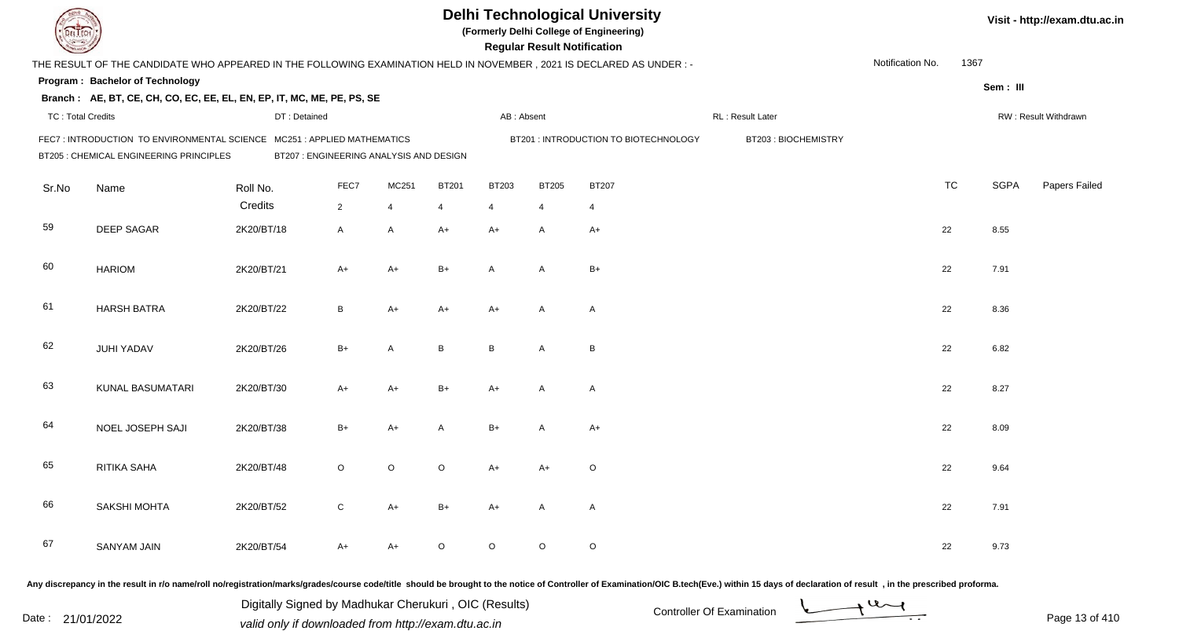|                          |                                                                                                                     |                                         |                |                |              |                | <b>Regular Result Notification</b> | <b>Delhi Technological University</b><br>(Formerly Delhi College of Engineering) |                     |                  |           |             | Visit - http://exam.dtu.ac.in |
|--------------------------|---------------------------------------------------------------------------------------------------------------------|-----------------------------------------|----------------|----------------|--------------|----------------|------------------------------------|----------------------------------------------------------------------------------|---------------------|------------------|-----------|-------------|-------------------------------|
|                          | THE RESULT OF THE CANDIDATE WHO APPEARED IN THE FOLLOWING EXAMINATION HELD IN NOVEMBER, 2021 IS DECLARED AS UNDER:- |                                         |                |                |              |                |                                    |                                                                                  |                     | Notification No. | 1367      |             |                               |
|                          | Program: Bachelor of Technology                                                                                     |                                         |                |                |              |                |                                    |                                                                                  |                     |                  |           | Sem: III    |                               |
|                          | Branch: AE, BT, CE, CH, CO, EC, EE, EL, EN, EP, IT, MC, ME, PE, PS, SE                                              |                                         |                |                |              |                |                                    |                                                                                  |                     |                  |           |             |                               |
| <b>TC: Total Credits</b> |                                                                                                                     | DT: Detained                            |                |                |              | AB: Absent     |                                    |                                                                                  | RL: Result Later    |                  |           |             | RW: Result Withdrawn          |
|                          | FEC7: INTRODUCTION TO ENVIRONMENTAL SCIENCE MC251: APPLIED MATHEMATICS<br>BT205 : CHEMICAL ENGINEERING PRINCIPLES   | BT207 : ENGINEERING ANALYSIS AND DESIGN |                |                |              |                |                                    | BT201 : INTRODUCTION TO BIOTECHNOLOGY                                            | BT203: BIOCHEMISTRY |                  |           |             |                               |
| Sr.No                    | Name                                                                                                                | Roll No.                                | FEC7           | MC251          | <b>BT201</b> | <b>BT203</b>   | <b>BT205</b>                       | <b>BT207</b>                                                                     |                     |                  | <b>TC</b> | <b>SGPA</b> | Papers Failed                 |
|                          |                                                                                                                     | Credits                                 | $\overline{2}$ | $\overline{4}$ | 4            | $\overline{4}$ | 4                                  | 4                                                                                |                     |                  |           |             |                               |
| 59                       | <b>DEEP SAGAR</b>                                                                                                   | 2K20/BT/18                              | A              | A              | $A+$         | $A+$           | A                                  | $A+$                                                                             |                     | 22               |           | 8.55        |                               |
| 60                       | <b>HARIOM</b>                                                                                                       | 2K20/BT/21                              | A+             | A+             | $B+$         | A              | A                                  | $B+$                                                                             |                     | 22               |           | 7.91        |                               |
| 61                       | <b>HARSH BATRA</b>                                                                                                  | 2K20/BT/22                              | B              | A+             | A+           | $A+$           | A                                  | $\mathsf{A}$                                                                     |                     | 22               |           | 8.36        |                               |
| 62                       | <b>JUHI YADAV</b>                                                                                                   | 2K20/BT/26                              | $B+$           | A              | B            | $\, {\sf B}$   | Α                                  | B                                                                                |                     | 22               |           | 6.82        |                               |
| 63                       | KUNAL BASUMATARI                                                                                                    | 2K20/BT/30                              | $A+$           | $A+$           | B+           | $A+$           | A                                  | $\mathsf{A}$                                                                     |                     | 22               |           | 8.27        |                               |
| 64                       | NOEL JOSEPH SAJI                                                                                                    | 2K20/BT/38                              | $B+$           | A+             | A            | $B+$           | A                                  | $A+$                                                                             |                     | 22               |           | 8.09        |                               |
| 65                       | RITIKA SAHA                                                                                                         | 2K20/BT/48                              | O              | O              | $\circ$      | A+             | $A+$                               | O                                                                                |                     | 22               |           | 9.64        |                               |
| 66                       | SAKSHI MOHTA                                                                                                        | 2K20/BT/52                              | C              | A+             | B+           | $A+$           | A                                  | A                                                                                |                     | 22               |           | 7.91        |                               |
| 67                       | SANYAM JAIN                                                                                                         | 2K20/BT/54                              | A+             | A+             | $\circ$      | $\circ$        | $\circ$                            | $\circ$                                                                          |                     | 22               |           | 9.73        |                               |
|                          |                                                                                                                     |                                         |                |                |              |                |                                    |                                                                                  |                     |                  |           |             |                               |

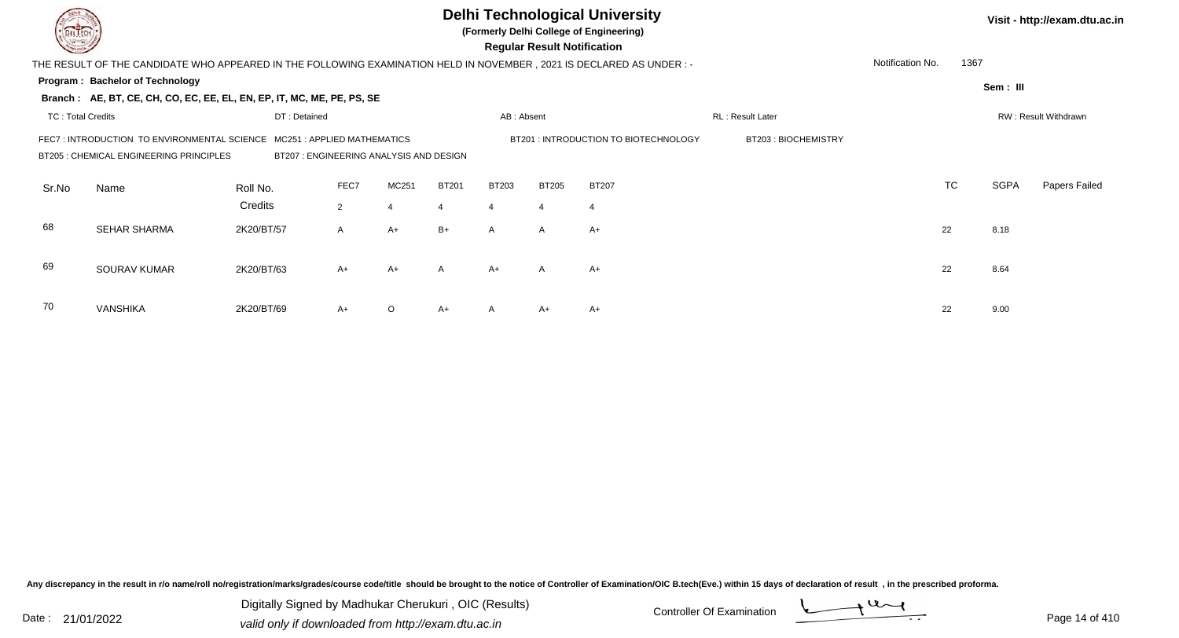|                          |                                                                                                                       |                                                                       |                     |                |              |                |                | <b>Delhi Technological University</b><br>(Formerly Delhi College of Engineering)<br><b>Regular Result Notification</b> |                  |                  |           |             | Visit - http://exam.dtu.ac.in |
|--------------------------|-----------------------------------------------------------------------------------------------------------------------|-----------------------------------------------------------------------|---------------------|----------------|--------------|----------------|----------------|------------------------------------------------------------------------------------------------------------------------|------------------|------------------|-----------|-------------|-------------------------------|
|                          | THE RESULT OF THE CANDIDATE WHO APPEARED IN THE FOLLOWING EXAMINATION HELD IN NOVEMBER , 2021 IS DECLARED AS UNDER :- |                                                                       |                     |                |              |                |                |                                                                                                                        |                  | Notification No. | 1367      |             |                               |
|                          | Program: Bachelor of Technology<br>Branch: AE, BT, CE, CH, CO, EC, EE, EL, EN, EP, IT, MC, ME, PE, PS, SE             |                                                                       |                     |                |              |                |                |                                                                                                                        |                  |                  |           | Sem: III    |                               |
| <b>TC: Total Credits</b> |                                                                                                                       | DT: Detained                                                          |                     |                |              | AB: Absent     |                |                                                                                                                        | RL: Result Later |                  |           |             | RW: Result Withdrawn          |
|                          | FEC7 : INTRODUCTION TO ENVIRONMENTAL SCIENCE<br>BT205 : CHEMICAL ENGINEERING PRINCIPLES                               | MC251: APPLIED MATHEMATICS<br>BT207 : ENGINEERING ANALYSIS AND DESIGN | BT203: BIOCHEMISTRY |                |              |                |                |                                                                                                                        |                  |                  |           |             |                               |
| Sr.No                    | Name                                                                                                                  | Roll No.                                                              | FEC7                | MC251          | <b>BT201</b> | <b>BT203</b>   | <b>BT205</b>   | <b>BT207</b>                                                                                                           |                  |                  | <b>TC</b> | <b>SGPA</b> | Papers Failed                 |
|                          |                                                                                                                       | Credits                                                               | $\overline{2}$      | $\overline{4}$ | 4            | $\overline{4}$ | $\overline{4}$ | $\overline{4}$                                                                                                         |                  |                  |           |             |                               |
| 68                       | <b>SEHAR SHARMA</b>                                                                                                   | 2K20/BT/57                                                            | A                   | $A+$           | $B+$         | $\mathsf{A}$   | $\mathsf{A}$   | $A+$                                                                                                                   |                  |                  | 22        | 8.18        |                               |
| 69                       | SOURAV KUMAR                                                                                                          | 2K20/BT/63                                                            | $A+$                | $A+$           | A            | $A+$           | $\overline{A}$ | $A+$                                                                                                                   |                  |                  | 22        | 8.64        |                               |
| 70                       | <b>VANSHIKA</b>                                                                                                       | 2K20/BT/69                                                            | $A+$                | $\circ$        | $A+$         |                | A+             | $A+$                                                                                                                   |                  |                  | 22        | 9.00        |                               |

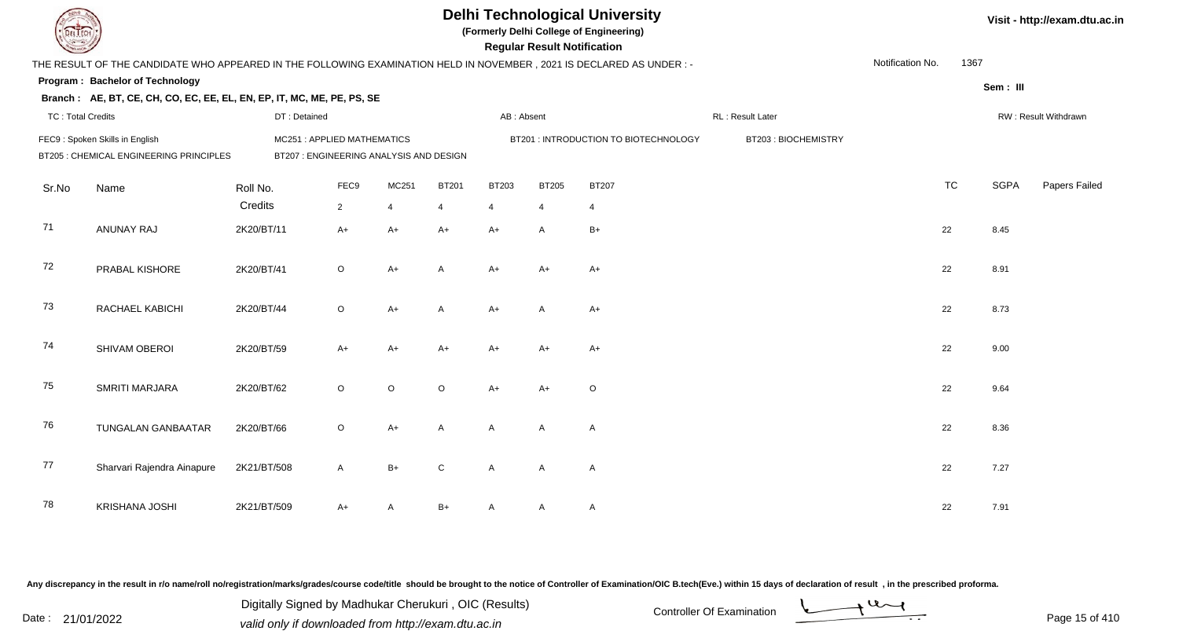|                          |                                                                                                                      |                                                                       |             |                |                |                | <b>Regular Result Notification</b> | <b>Delhi Technological University</b><br>(Formerly Delhi College of Engineering) |                     |                  |           |             | Visit - http://exam.dtu.ac.in |
|--------------------------|----------------------------------------------------------------------------------------------------------------------|-----------------------------------------------------------------------|-------------|----------------|----------------|----------------|------------------------------------|----------------------------------------------------------------------------------|---------------------|------------------|-----------|-------------|-------------------------------|
|                          | THE RESULT OF THE CANDIDATE WHO APPEARED IN THE FOLLOWING EXAMINATION HELD IN NOVEMBER, 2021 IS DECLARED AS UNDER :- |                                                                       |             |                |                |                |                                    |                                                                                  |                     | Notification No. | 1367      |             |                               |
|                          | Program: Bachelor of Technology                                                                                      |                                                                       |             |                |                |                |                                    |                                                                                  |                     |                  |           | Sem: III    |                               |
|                          | Branch: AE, BT, CE, CH, CO, EC, EE, EL, EN, EP, IT, MC, ME, PE, PS, SE                                               |                                                                       |             |                |                |                |                                    |                                                                                  |                     |                  |           |             |                               |
| <b>TC: Total Credits</b> |                                                                                                                      | DT: Detained                                                          |             |                |                | AB: Absent     |                                    |                                                                                  | RL : Result Later   |                  |           |             | RW: Result Withdrawn          |
|                          | FEC9: Spoken Skills in English<br>BT205 : CHEMICAL ENGINEERING PRINCIPLES                                            | MC251: APPLIED MATHEMATICS<br>BT207 : ENGINEERING ANALYSIS AND DESIGN |             |                |                |                |                                    | BT201 : INTRODUCTION TO BIOTECHNOLOGY                                            | BT203: BIOCHEMISTRY |                  |           |             |                               |
| Sr.No                    | Name                                                                                                                 | Roll No.                                                              | FEC9        | MC251          | <b>BT201</b>   | BT203          | <b>BT205</b>                       | <b>BT207</b>                                                                     |                     |                  | <b>TC</b> | <b>SGPA</b> | Papers Failed                 |
|                          |                                                                                                                      | Credits                                                               | $2^{\circ}$ | $\overline{4}$ | $\overline{4}$ | $\overline{4}$ | $\overline{4}$                     | $\overline{4}$                                                                   |                     |                  |           |             |                               |
| 71                       | ANUNAY RAJ                                                                                                           | 2K20/BT/11                                                            | $A+$        | $A+$           | $A+$           | $A+$           | A                                  | $B+$                                                                             |                     |                  | 22        | 8.45        |                               |
| 72                       | PRABAL KISHORE                                                                                                       | 2K20/BT/41                                                            | $\circ$     | $A+$           | $\mathsf{A}$   | $A+$           | $A+$                               | $A+$                                                                             |                     |                  | 22        | 8.91        |                               |
| 73                       | RACHAEL KABICHI                                                                                                      | 2K20/BT/44                                                            | $\circ$     | $A+$           | A              | $A+$           | $\mathsf{A}$                       | $A+$                                                                             |                     |                  | 22        | 8.73        |                               |
| 74                       | SHIVAM OBEROI                                                                                                        | 2K20/BT/59                                                            | $A+$        | $A+$           | $A+$           | $A+$           | $A+$                               | $A+$                                                                             |                     |                  | 22        | 9.00        |                               |
| 75                       | SMRITI MARJARA                                                                                                       | 2K20/BT/62                                                            | $\circ$     | $\circ$        | $\circ$        | $A+$           | $A+$                               | $\circ$                                                                          |                     |                  | 22        | 9.64        |                               |
| 76                       | TUNGALAN GANBAATAR                                                                                                   | 2K20/BT/66                                                            | $\circ$     | $A+$           | A              | $\mathsf{A}$   | A                                  | A                                                                                |                     |                  | 22        | 8.36        |                               |
| 77                       | Sharvari Rajendra Ainapure                                                                                           | 2K21/BT/508                                                           | A           | $B+$           | $\mathsf{C}$   | $\mathsf{A}$   | $\mathsf{A}$                       | $\overline{A}$                                                                   |                     |                  | 22        | 7.27        |                               |
| 78                       | <b>KRISHANA JOSHI</b>                                                                                                | 2K21/BT/509                                                           | A+          | A              | B+             |                | A                                  | $\mathsf{A}$                                                                     |                     |                  | 22        | 7.91        |                               |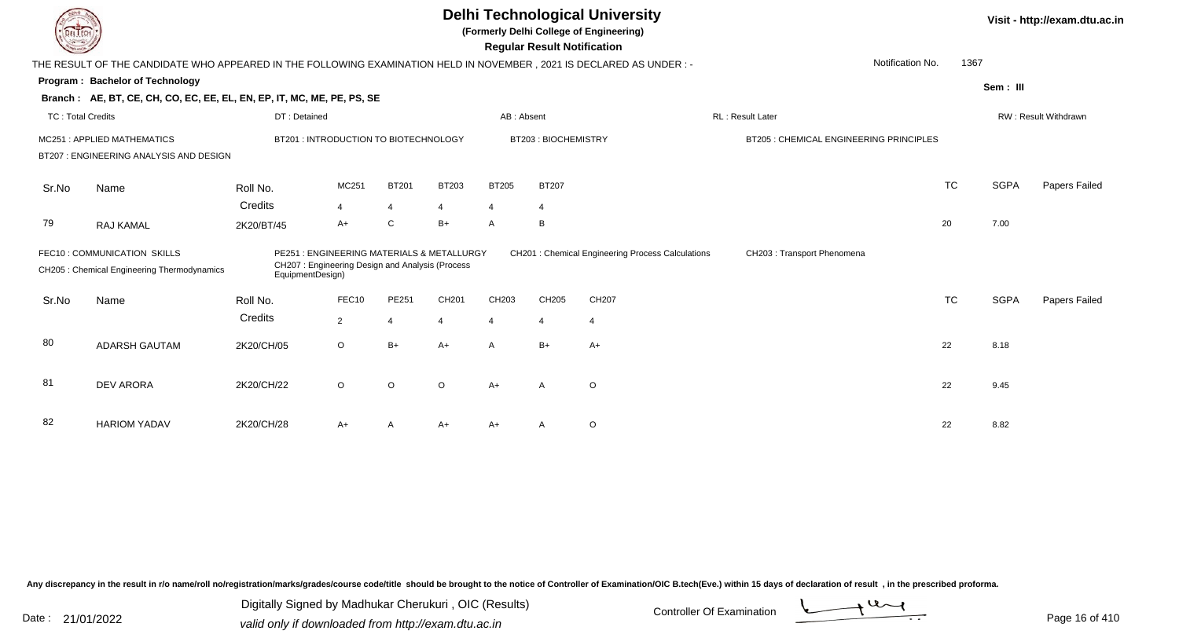| LI ECH                   |                                                                                                                        |                  |                                                                                              |                |         |                | <b>Regular Result Notification</b> | <b>Delhi Technological University</b><br>(Formerly Delhi College of Engineering) |                                         |           |             | Visit - http://exam.dtu.ac.in |
|--------------------------|------------------------------------------------------------------------------------------------------------------------|------------------|----------------------------------------------------------------------------------------------|----------------|---------|----------------|------------------------------------|----------------------------------------------------------------------------------|-----------------------------------------|-----------|-------------|-------------------------------|
|                          | THE RESULT OF THE CANDIDATE WHO APPEARED IN THE FOLLOWING EXAMINATION HELD IN NOVEMBER , 2021 IS DECLARED AS UNDER : - |                  |                                                                                              |                |         |                |                                    |                                                                                  | Notification No.                        | 1367      |             |                               |
|                          | <b>Program: Bachelor of Technology</b>                                                                                 |                  |                                                                                              |                |         |                |                                    |                                                                                  |                                         |           |             |                               |
|                          | Branch: AE, BT, CE, CH, CO, EC, EE, EL, EN, EP, IT, MC, ME, PE, PS, SE                                                 |                  |                                                                                              |                |         |                |                                    |                                                                                  |                                         |           | Sem: III    |                               |
| <b>TC: Total Credits</b> |                                                                                                                        | DT: Detained     |                                                                                              |                |         | AB: Absent     |                                    |                                                                                  | RL: Result Later                        |           |             | RW: Result Withdrawn          |
|                          | MC251: APPLIED MATHEMATICS                                                                                             |                  | BT201: INTRODUCTION TO BIOTECHNOLOGY                                                         |                |         |                | BT203: BIOCHEMISTRY                |                                                                                  | BT205 : CHEMICAL ENGINEERING PRINCIPLES |           |             |                               |
|                          | BT207 : ENGINEERING ANALYSIS AND DESIGN                                                                                |                  |                                                                                              |                |         |                |                                    |                                                                                  |                                         |           |             |                               |
| Sr.No                    | Name                                                                                                                   | Roll No.         | MC251                                                                                        | <b>BT201</b>   | BT203   | <b>BT205</b>   | <b>BT207</b>                       |                                                                                  |                                         | <b>TC</b> | <b>SGPA</b> | Papers Failed                 |
|                          |                                                                                                                        | Credits          | $\overline{4}$                                                                               | 4              | 4       | $\overline{4}$ | 4                                  |                                                                                  |                                         |           |             |                               |
| 79                       | RAJ KAMAL                                                                                                              | 2K20/BT/45       | A+                                                                                           | C              | B+      | A              | B                                  |                                                                                  |                                         | 20        | 7.00        |                               |
|                          | FEC10: COMMUNICATION SKILLS<br>CH205 : Chemical Engineering Thermodynamics                                             | EquipmentDesign) | PE251: ENGINEERING MATERIALS & METALLURGY<br>CH207: Engineering Design and Analysis (Process |                |         |                |                                    | CH201 : Chemical Engineering Process Calculations                                | CH203 : Transport Phenomena             |           |             |                               |
| Sr.No                    | Name                                                                                                                   | Roll No.         | FEC10                                                                                        | PE251          | CH201   | CH203          | CH205                              | CH207                                                                            |                                         | <b>TC</b> | <b>SGPA</b> | Papers Failed                 |
|                          |                                                                                                                        | Credits          | $\overline{2}$                                                                               | $\overline{4}$ |         | 4              | $\overline{4}$                     | $\overline{4}$                                                                   |                                         |           |             |                               |
| 80                       | <b>ADARSH GAUTAM</b>                                                                                                   | 2K20/CH/05       | $\circ$                                                                                      | $B+$           | $A+$    | $\overline{A}$ | $B+$                               | $A+$                                                                             |                                         | 22        | 8.18        |                               |
| 81                       | <b>DEV ARORA</b>                                                                                                       | 2K20/CH/22       | $\circ$                                                                                      | O              | $\circ$ | $A+$           | A                                  | $\circ$                                                                          |                                         | 22        | 9.45        |                               |
| 82                       | <b>HARIOM YADAV</b>                                                                                                    | 2K20/CH/28       | A+                                                                                           | Α              | A+      | A+             | A                                  | O                                                                                |                                         | 22        | 8.82        |                               |

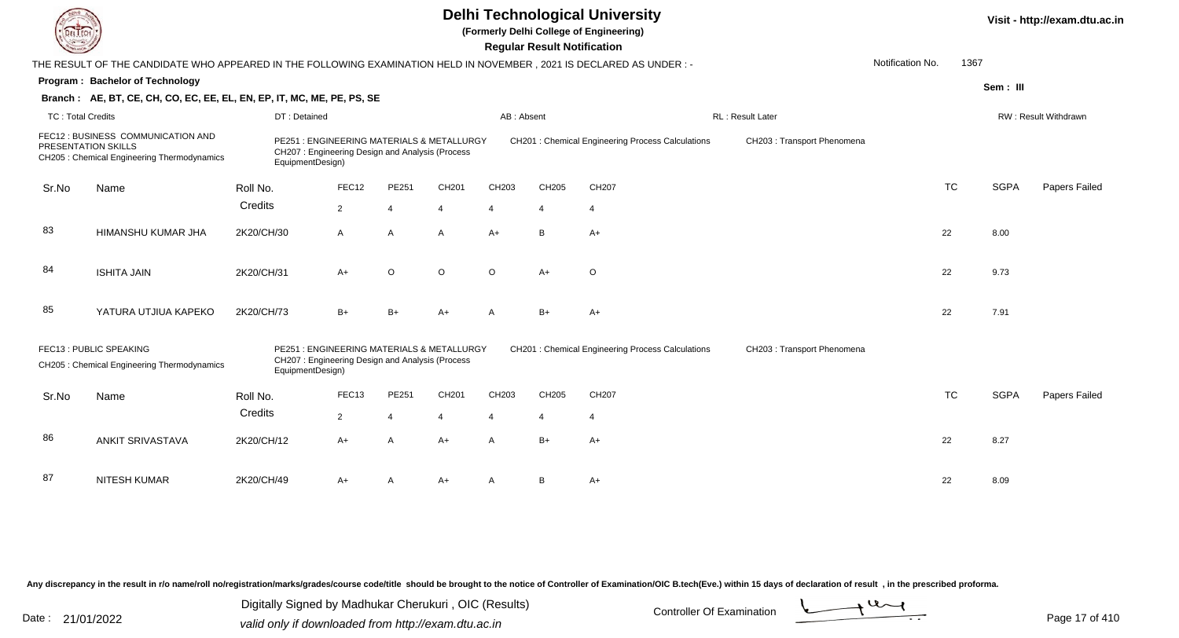|                          |                                                                                                                        |                                                                                                                  |                |                |                |                | <b>Regular Result Notification</b> | <b>Delhi Technological University</b><br>(Formerly Delhi College of Engineering) |                             |                  |           |             | Visit - http://exam.dtu.ac.in |
|--------------------------|------------------------------------------------------------------------------------------------------------------------|------------------------------------------------------------------------------------------------------------------|----------------|----------------|----------------|----------------|------------------------------------|----------------------------------------------------------------------------------|-----------------------------|------------------|-----------|-------------|-------------------------------|
|                          | THE RESULT OF THE CANDIDATE WHO APPEARED IN THE FOLLOWING EXAMINATION HELD IN NOVEMBER , 2021 IS DECLARED AS UNDER : - |                                                                                                                  |                |                |                |                |                                    |                                                                                  |                             | Notification No. | 1367      |             |                               |
|                          | Program: Bachelor of Technology                                                                                        |                                                                                                                  |                |                |                |                |                                    |                                                                                  |                             |                  |           | Sem: III    |                               |
|                          | Branch: AE, BT, CE, CH, CO, EC, EE, EL, EN, EP, IT, MC, ME, PE, PS, SE                                                 |                                                                                                                  |                |                |                |                |                                    |                                                                                  |                             |                  |           |             |                               |
| <b>TC: Total Credits</b> |                                                                                                                        | DT: Detained                                                                                                     |                |                |                | AB: Absent     |                                    |                                                                                  | RL: Result Later            |                  |           |             | RW: Result Withdrawn          |
|                          | FEC12 : BUSINESS COMMUNICATION AND<br>PRESENTATION SKILLS<br>CH205 : Chemical Engineering Thermodynamics               | PE251: ENGINEERING MATERIALS & METALLURGY<br>CH207: Engineering Design and Analysis (Process<br>EquipmentDesign) |                |                |                |                |                                    | <b>CH201: Chemical Engineering Process Calculations</b>                          | CH203: Transport Phenomena  |                  |           |             |                               |
| Sr.No                    | Name                                                                                                                   | Roll No.                                                                                                         | FEC12          | PE251          | CH201          | CH203          | CH205                              | CH207                                                                            |                             |                  | <b>TC</b> | <b>SGPA</b> | <b>Papers Failed</b>          |
|                          |                                                                                                                        | Credits                                                                                                          | $\overline{2}$ | $\overline{4}$ | $\overline{4}$ | $\overline{4}$ | $\overline{4}$                     | $\overline{4}$                                                                   |                             |                  |           |             |                               |
|                          |                                                                                                                        |                                                                                                                  |                |                |                |                |                                    |                                                                                  |                             |                  |           |             |                               |
| 83                       | HIMANSHU KUMAR JHA                                                                                                     | 2K20/CH/30                                                                                                       | A              | $\overline{A}$ | A              | $A+$           | B                                  | $A+$                                                                             |                             |                  | 22        | 8.00        |                               |
| 84                       | <b>ISHITA JAIN</b>                                                                                                     | 2K20/CH/31                                                                                                       | $A+$           | $\circ$        | $\circ$        | $\circ$        | $A+$                               | $\circ$                                                                          |                             |                  | 22        | 9.73        |                               |
| 85                       | YATURA UTJIUA KAPEKO                                                                                                   | 2K20/CH/73                                                                                                       | $B+$           | $B+$           | $A+$           | $\mathsf{A}$   | $B+$                               | $A+$                                                                             |                             |                  | 22        | 7.91        |                               |
|                          | FEC13: PUBLIC SPEAKING<br>CH205 : Chemical Engineering Thermodynamics                                                  | PE251: ENGINEERING MATERIALS & METALLURGY<br>CH207: Engineering Design and Analysis (Process<br>EquipmentDesign) |                |                |                |                |                                    | CH201 : Chemical Engineering Process Calculations                                | CH203 : Transport Phenomena |                  |           |             |                               |
| Sr.No                    | Name                                                                                                                   | Roll No.                                                                                                         | FEC13          | PE251          | CH201          | CH203          | CH205                              | CH207                                                                            |                             |                  | <b>TC</b> | <b>SGPA</b> | Papers Failed                 |
|                          |                                                                                                                        | Credits                                                                                                          | $\overline{2}$ | $\overline{4}$ | $\overline{4}$ | $\overline{4}$ | $\overline{4}$                     | $\overline{4}$                                                                   |                             |                  |           |             |                               |
|                          |                                                                                                                        |                                                                                                                  |                |                |                |                |                                    |                                                                                  |                             |                  |           |             |                               |
| 86                       | <b>ANKIT SRIVASTAVA</b>                                                                                                | 2K20/CH/12                                                                                                       | $A+$           | $\overline{A}$ | $A+$           | $\mathsf{A}$   | $B+$                               | $A+$                                                                             |                             |                  | 22        | 8.27        |                               |
|                          |                                                                                                                        |                                                                                                                  |                |                |                |                |                                    |                                                                                  |                             |                  |           |             |                               |
| 87                       | NITESH KUMAR                                                                                                           | 2K20/CH/49                                                                                                       | A+             | A              | $A+$           | A              | B                                  | $A+$                                                                             |                             |                  | 22        | 8.09        |                               |
|                          |                                                                                                                        |                                                                                                                  |                |                |                |                |                                    |                                                                                  |                             |                  |           |             |                               |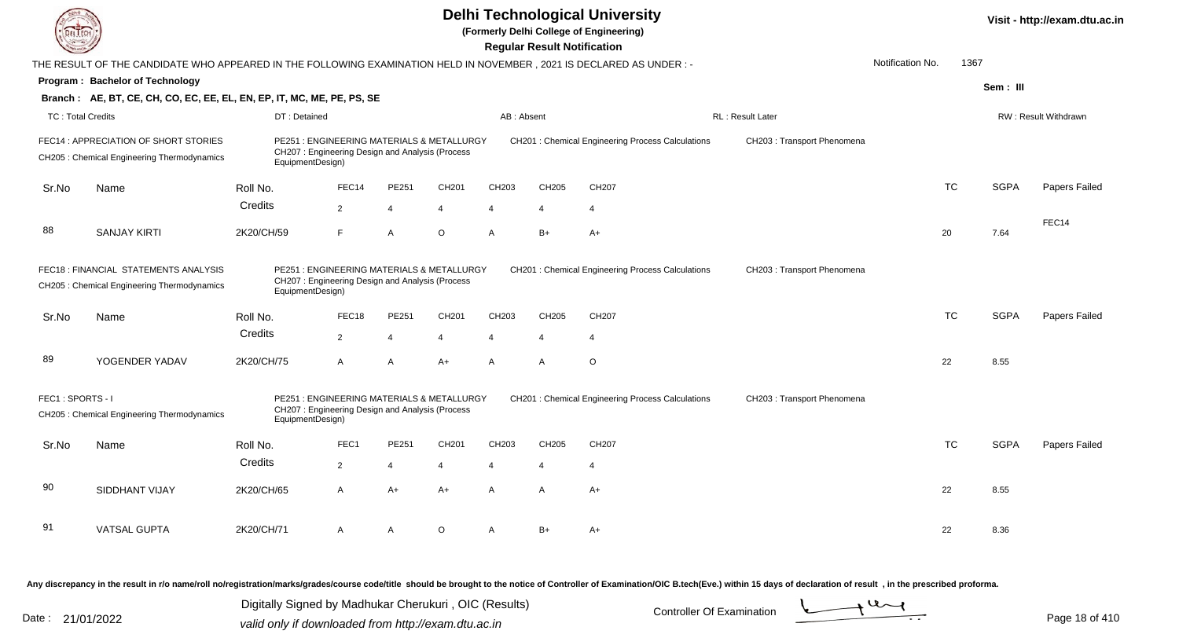|                          |                                                                                                                      |                                                                     |                |                                            |                   |                   | <b>Regular Result Notification</b> | <b>Delhi Technological University</b><br>(Formerly Delhi College of Engineering) |                             |                  |           |             | Visit - http://exam.dtu.ac.in |
|--------------------------|----------------------------------------------------------------------------------------------------------------------|---------------------------------------------------------------------|----------------|--------------------------------------------|-------------------|-------------------|------------------------------------|----------------------------------------------------------------------------------|-----------------------------|------------------|-----------|-------------|-------------------------------|
|                          | THE RESULT OF THE CANDIDATE WHO APPEARED IN THE FOLLOWING EXAMINATION HELD IN NOVEMBER, 2021 IS DECLARED AS UNDER :- |                                                                     |                |                                            |                   |                   |                                    |                                                                                  |                             | Notification No. | 1367      |             |                               |
|                          | Program: Bachelor of Technology                                                                                      |                                                                     |                |                                            |                   |                   |                                    |                                                                                  |                             |                  |           | Sem: III    |                               |
|                          | Branch: AE, BT, CE, CH, CO, EC, EE, EL, EN, EP, IT, MC, ME, PE, PS, SE                                               |                                                                     |                |                                            |                   |                   |                                    |                                                                                  |                             |                  |           |             |                               |
| <b>TC: Total Credits</b> |                                                                                                                      | DT: Detained                                                        |                |                                            |                   | AB: Absent        |                                    |                                                                                  | <b>RL: Result Later</b>     |                  |           |             | RW: Result Withdrawn          |
|                          | FEC14 : APPRECIATION OF SHORT STORIES<br>CH205: Chemical Engineering Thermodynamics                                  | CH207: Engineering Design and Analysis (Process<br>EquipmentDesign) |                | PE251: ENGINEERING MATERIALS & METALLURGY  |                   |                   |                                    | <b>CH201: Chemical Engineering Process Calculations</b>                          | CH203 : Transport Phenomena |                  |           |             |                               |
| Sr.No                    | Name                                                                                                                 | Roll No.                                                            | FEC14          | PE251                                      | CH201             | CH203             | CH205                              | CH207                                                                            |                             |                  | <b>TC</b> | <b>SGPA</b> | <b>Papers Failed</b>          |
|                          |                                                                                                                      | Credits                                                             | $\overline{2}$ | $\overline{4}$                             | $\overline{4}$    | $\overline{4}$    | $\overline{4}$                     | $\overline{4}$                                                                   |                             |                  |           |             |                               |
| 88                       | <b>SANJAY KIRTI</b>                                                                                                  | 2K20/CH/59                                                          | F              | $\overline{A}$                             | $\circ$           | A                 | $B+$                               | $A+$                                                                             |                             | 20               |           | 7.64        | FEC14                         |
|                          | FEC18 : FINANCIAL STATEMENTS ANALYSIS<br>CH205 : Chemical Engineering Thermodynamics                                 | CH207: Engineering Design and Analysis (Process<br>EquipmentDesign) |                | PE251 : ENGINEERING MATERIALS & METALLURGY |                   |                   |                                    | <b>CH201: Chemical Engineering Process Calculations</b>                          | CH203 : Transport Phenomena |                  |           |             |                               |
| Sr.No                    | Name                                                                                                                 | Roll No.                                                            | FEC18          | PE251                                      | CH <sub>201</sub> | CH <sub>203</sub> | CH205                              | CH207                                                                            |                             |                  | <b>TC</b> | <b>SGPA</b> | Papers Failed                 |
|                          |                                                                                                                      | Credits                                                             | $\overline{2}$ | $\overline{4}$                             | $\overline{4}$    | 4                 | $\boldsymbol{\Delta}$              | $\overline{4}$                                                                   |                             |                  |           |             |                               |
| 89                       | YOGENDER YADAV                                                                                                       | 2K20/CH/75                                                          | $\mathsf{A}$   | $\mathsf{A}$                               | $A+$              | $\overline{A}$    | A                                  | $\circ$                                                                          |                             | 22               |           | 8.55        |                               |
| FEC1: SPORTS - I         | CH205 : Chemical Engineering Thermodynamics                                                                          | CH207: Engineering Design and Analysis (Process<br>EquipmentDesign) |                | PE251: ENGINEERING MATERIALS & METALLURGY  |                   |                   |                                    | CH201 : Chemical Engineering Process Calculations                                | CH203 : Transport Phenomena |                  |           |             |                               |
| Sr.No                    | Name                                                                                                                 | Roll No.                                                            | FEC1           | PE251                                      | CH201             | CH203             | CH205                              | CH207                                                                            |                             |                  | <b>TC</b> | <b>SGPA</b> | Papers Failed                 |
|                          |                                                                                                                      | Credits                                                             | $\overline{2}$ | $\overline{4}$                             | $\overline{4}$    | 4                 | $\overline{4}$                     | $\overline{4}$                                                                   |                             |                  |           |             |                               |
| 90                       | SIDDHANT VIJAY                                                                                                       | 2K20/CH/65                                                          | $\mathsf{A}$   | $A+$                                       | $A+$              | $\overline{A}$    | A                                  | $A+$                                                                             |                             | 22               |           | 8.55        |                               |
| 91                       | <b>VATSAL GUPTA</b>                                                                                                  | 2K20/CH/71                                                          | A              | $\mathsf{A}$                               | $\circ$           | A                 | $B+$                               | $A+$                                                                             |                             | 22               |           | 8.36        |                               |

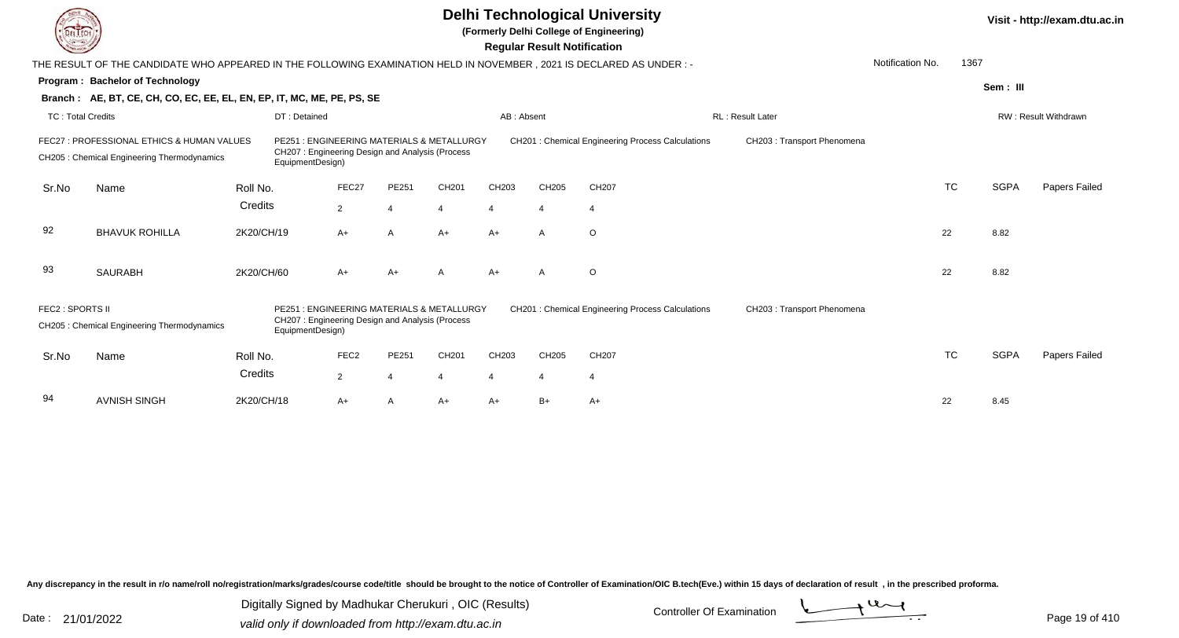|                          |                                                                                                                        |                           |                                                                                              |                |       |                       | <b>Regular Result Notification</b> | <b>Delhi Technological University</b><br>(Formerly Delhi College of Engineering) |                             |                  |           |             | Visit - http://exam.dtu.ac.in |
|--------------------------|------------------------------------------------------------------------------------------------------------------------|---------------------------|----------------------------------------------------------------------------------------------|----------------|-------|-----------------------|------------------------------------|----------------------------------------------------------------------------------|-----------------------------|------------------|-----------|-------------|-------------------------------|
|                          | THE RESULT OF THE CANDIDATE WHO APPEARED IN THE FOLLOWING EXAMINATION HELD IN NOVEMBER , 2021 IS DECLARED AS UNDER : - |                           |                                                                                              |                |       |                       |                                    |                                                                                  |                             | Notification No. | 1367      |             |                               |
|                          | Program: Bachelor of Technology                                                                                        |                           |                                                                                              |                |       |                       |                                    |                                                                                  |                             |                  |           | Sem: III    |                               |
|                          | Branch: AE, BT, CE, CH, CO, EC, EE, EL, EN, EP, IT, MC, ME, PE, PS, SE                                                 |                           |                                                                                              |                |       |                       |                                    |                                                                                  |                             |                  |           |             |                               |
| <b>TC: Total Credits</b> |                                                                                                                        | DT: Detained              |                                                                                              |                |       | AB: Absent            |                                    |                                                                                  | <b>RL: Result Later</b>     |                  |           |             | RW: Result Withdrawn          |
|                          | FEC27 : PROFESSIONAL ETHICS & HUMAN VALUES<br>CH205 : Chemical Engineering Thermodynamics                              | EquipmentDesign)          | PE251: ENGINEERING MATERIALS & METALLURGY<br>CH207: Engineering Design and Analysis (Process |                |       |                       |                                    | CH201 : Chemical Engineering Process Calculations                                | CH203 : Transport Phenomena |                  |           |             |                               |
| Sr.No                    | Name                                                                                                                   | Roll No.                  | FEC27                                                                                        | PE251          | CH201 | CH203                 | CH205                              | CH207                                                                            |                             |                  | <b>TC</b> | <b>SGPA</b> | <b>Papers Failed</b>          |
|                          |                                                                                                                        | Credits                   | $\overline{2}$                                                                               | $\Delta$       | 4     | $\boldsymbol{\Delta}$ | $\boldsymbol{\Delta}$              | $\overline{4}$                                                                   |                             |                  |           |             |                               |
| 92                       | <b>BHAVUK ROHILLA</b>                                                                                                  | 2K20/CH/19                | A+                                                                                           | $\overline{A}$ | $A+$  | $A+$                  | $\mathsf{A}$                       | $\circ$                                                                          |                             |                  | 22        | 8.82        |                               |
| 93                       | <b>SAURABH</b>                                                                                                         | 2K20/CH/60                | $A+$                                                                                         | $A+$           | A     | $A+$                  | $\overline{A}$                     | $\circ$                                                                          |                             |                  | 22        | 8.82        |                               |
| FEC2 : SPORTS II         | CH205 : Chemical Engineering Thermodynamics                                                                            | PF251<br>EquipmentDesign) | : ENGINEERING MATERIALS & METALLURGY<br>CH207: Engineering Design and Analysis (Process      |                |       |                       |                                    | CH201 : Chemical Engineering Process Calculations                                | CH203 : Transport Phenomena |                  |           |             |                               |
| Sr.No                    | Name                                                                                                                   | Roll No.                  | FEC <sub>2</sub>                                                                             | PE251          | CH201 | CH203                 | CH205                              | CH <sub>207</sub>                                                                |                             |                  | <b>TC</b> | <b>SGPA</b> | Papers Failed                 |
|                          |                                                                                                                        | Credits                   | $\overline{2}$                                                                               |                |       | 4                     | $\overline{4}$                     | $\overline{4}$                                                                   |                             |                  |           |             |                               |
| 94                       | <b>AVNISH SINGH</b>                                                                                                    | 2K20/CH/18                | A+                                                                                           | $\overline{A}$ | $A+$  | $A+$                  | $B+$                               | $A+$                                                                             |                             |                  | 22        | 8.45        |                               |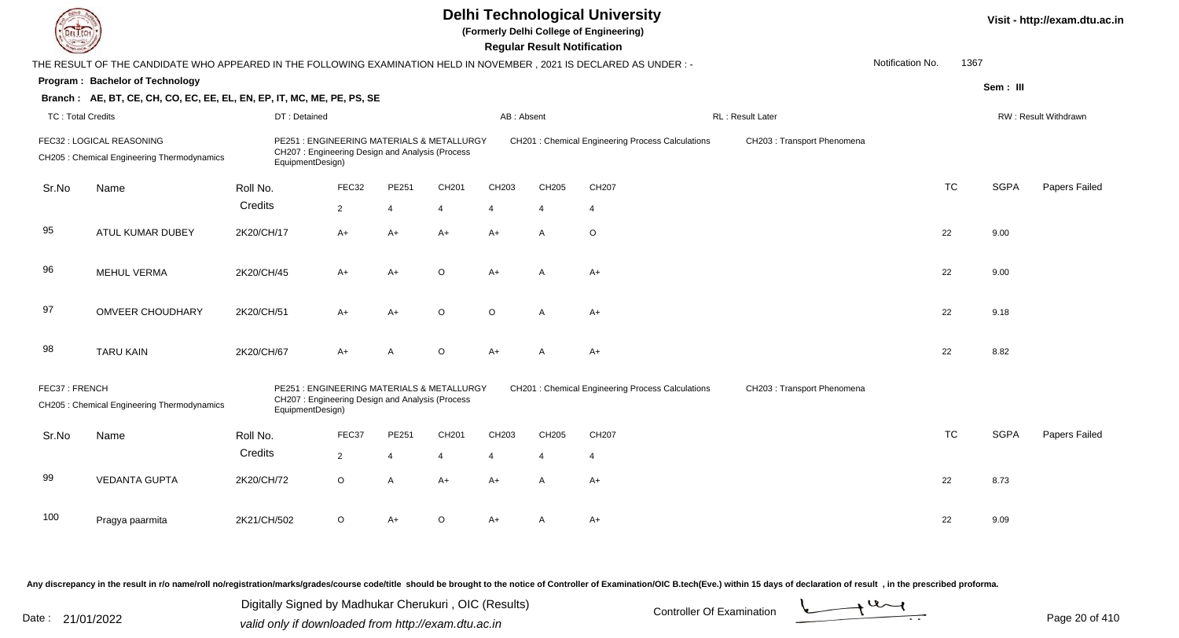|                          |                                                                                                                      |                                                                                                                   |                |                |                |                | <b>Regular Result Notification</b> | <b>Delhi Technological University</b><br>(Formerly Delhi College of Engineering) |                             |                  |           |             | Visit - http://exam.dtu.ac.in |
|--------------------------|----------------------------------------------------------------------------------------------------------------------|-------------------------------------------------------------------------------------------------------------------|----------------|----------------|----------------|----------------|------------------------------------|----------------------------------------------------------------------------------|-----------------------------|------------------|-----------|-------------|-------------------------------|
|                          | THE RESULT OF THE CANDIDATE WHO APPEARED IN THE FOLLOWING EXAMINATION HELD IN NOVEMBER, 2021 IS DECLARED AS UNDER :- |                                                                                                                   |                |                |                |                |                                    |                                                                                  |                             | Notification No. | 1367      |             |                               |
|                          | Program: Bachelor of Technology                                                                                      |                                                                                                                   |                |                |                |                |                                    |                                                                                  |                             |                  |           | Sem: III    |                               |
|                          | Branch: AE, BT, CE, CH, CO, EC, EE, EL, EN, EP, IT, MC, ME, PE, PS, SE                                               |                                                                                                                   |                |                |                |                |                                    |                                                                                  |                             |                  |           |             |                               |
| <b>TC: Total Credits</b> |                                                                                                                      | DT: Detained                                                                                                      |                |                |                | AB: Absent     |                                    |                                                                                  | <b>RL: Result Later</b>     |                  |           |             | <b>RW: Result Withdrawn</b>   |
|                          | FEC32 : LOGICAL REASONING<br>CH205 : Chemical Engineering Thermodynamics                                             | PE251: ENGINEERING MATERIALS & METALLURGY<br>CH207: Engineering Design and Analysis (Process<br>EquipmentDesign)  |                |                |                |                |                                    | CH201 : Chemical Engineering Process Calculations                                | CH203 : Transport Phenomena |                  |           |             |                               |
| Sr.No                    | Name                                                                                                                 | Roll No.                                                                                                          | FEC32          | PE251          | CH201          | CH203          | CH205                              | CH207                                                                            |                             |                  | <b>TC</b> | <b>SGPA</b> | Papers Failed                 |
|                          |                                                                                                                      | Credits                                                                                                           | $\overline{2}$ | $\overline{4}$ | $\overline{4}$ | $\overline{4}$ | $\overline{4}$                     | $\overline{4}$                                                                   |                             |                  |           |             |                               |
| 95                       | ATUL KUMAR DUBEY                                                                                                     | 2K20/CH/17                                                                                                        | $A+$           | $A+$           | $A+$           | $A+$           | $\overline{A}$                     | $\circ$                                                                          |                             |                  | 22        | 9.00        |                               |
| 96                       | <b>MEHUL VERMA</b>                                                                                                   | 2K20/CH/45                                                                                                        | A+             | $A+$           | $\Omega$       | $A+$           | A                                  | $A+$                                                                             |                             |                  | 22        | 9.00        |                               |
| 97                       | <b>OMVEER CHOUDHARY</b>                                                                                              | 2K20/CH/51                                                                                                        | A+             | $A+$           | $\Omega$       | $\Omega$       | A                                  | $A+$                                                                             |                             |                  | 22        | 9.18        |                               |
| 98                       | <b>TARU KAIN</b>                                                                                                     | 2K20/CH/67                                                                                                        | $A+$           | $\overline{A}$ | $\circ$        | $A+$           | $\mathsf{A}$                       | $A+$                                                                             |                             |                  | 22        | 8.82        |                               |
| FEC37: FRENCH            | CH205 : Chemical Engineering Thermodynamics                                                                          | PE251 : ENGINEERING MATERIALS & METALLURGY<br>CH207: Engineering Design and Analysis (Process<br>EquipmentDesign) |                |                |                |                |                                    | CH201 : Chemical Engineering Process Calculations                                | CH203 : Transport Phenomena |                  |           |             |                               |
| Sr.No                    | Name                                                                                                                 | Roll No.                                                                                                          | FEC37          | PE251          | CH201          | CH203          | CH205                              | CH207                                                                            |                             |                  | <b>TC</b> | <b>SGPA</b> | Papers Failed                 |
|                          |                                                                                                                      | Credits                                                                                                           | $\overline{2}$ | $\overline{4}$ | $\overline{4}$ | 4              | $\overline{4}$                     | $\overline{4}$                                                                   |                             |                  |           |             |                               |
| 99                       | <b>VEDANTA GUPTA</b>                                                                                                 | 2K20/CH/72                                                                                                        | $\circ$        | $\overline{A}$ | $A+$           | $A+$           | $\mathsf{A}$                       | $A+$                                                                             |                             |                  | 22        | 8.73        |                               |
| 100                      | Pragya paarmita                                                                                                      | 2K21/CH/502                                                                                                       | $\circ$        | $A+$           | $\Omega$       | $A+$           | A                                  | $A+$                                                                             |                             |                  | 22        | 9.09        |                               |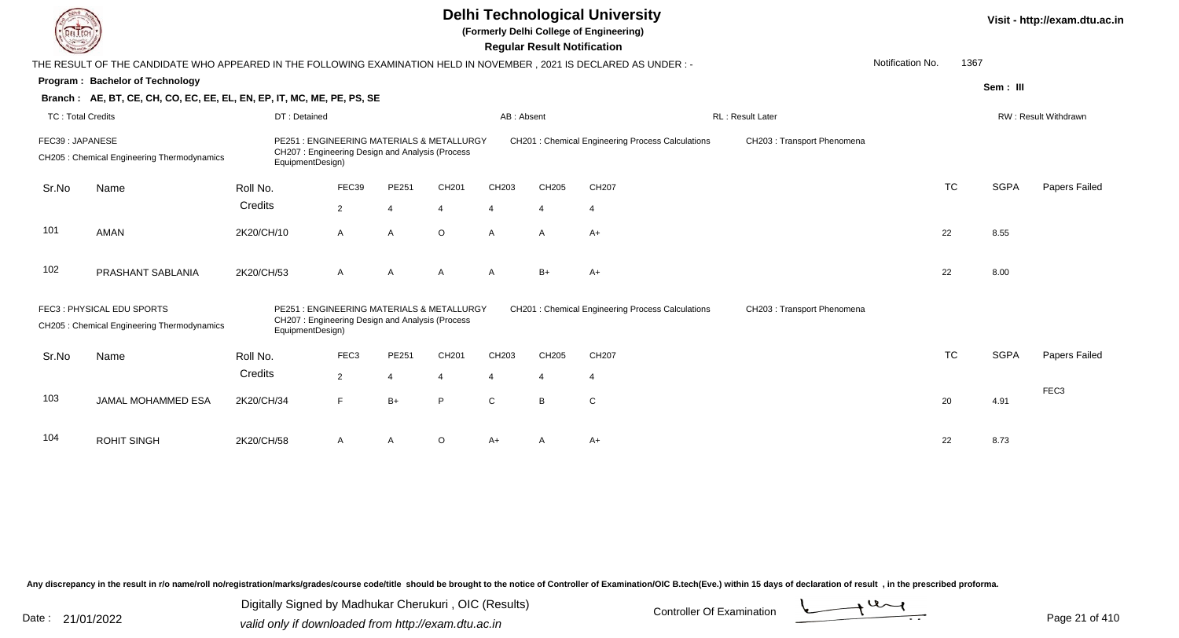|                          |                                                                                                                        |                                                                                                                                                                                                                                                                       |                                                                                               |                |          |              | <b>Regular Result Notification</b> | <b>Delhi Technological University</b><br>(Formerly Delhi College of Engineering) |                            |                             |           |             | Visit - http://exam.dtu.ac.in |
|--------------------------|------------------------------------------------------------------------------------------------------------------------|-----------------------------------------------------------------------------------------------------------------------------------------------------------------------------------------------------------------------------------------------------------------------|-----------------------------------------------------------------------------------------------|----------------|----------|--------------|------------------------------------|----------------------------------------------------------------------------------|----------------------------|-----------------------------|-----------|-------------|-------------------------------|
|                          | THE RESULT OF THE CANDIDATE WHO APPEARED IN THE FOLLOWING EXAMINATION HELD IN NOVEMBER , 2021 IS DECLARED AS UNDER : - |                                                                                                                                                                                                                                                                       |                                                                                               |                |          |              |                                    |                                                                                  |                            | Notification No.            | 1367      |             |                               |
|                          | Program: Bachelor of Technology                                                                                        |                                                                                                                                                                                                                                                                       |                                                                                               |                |          |              |                                    |                                                                                  |                            |                             |           | Sem: III    |                               |
|                          | Branch: AE, BT, CE, CH, CO, EC, EE, EL, EN, EP, IT, MC, ME, PE, PS, SE                                                 |                                                                                                                                                                                                                                                                       |                                                                                               |                |          |              |                                    |                                                                                  |                            |                             |           |             |                               |
| <b>TC: Total Credits</b> |                                                                                                                        | DT: Detained                                                                                                                                                                                                                                                          |                                                                                               |                |          | AB: Absent   |                                    |                                                                                  | <b>RL: Result Later</b>    |                             |           |             | RW: Result Withdrawn          |
| FEC39: JAPANESE          | CH205 : Chemical Engineering Thermodynamics                                                                            | PE251: ENGINEERING MATERIALS & METALLURGY<br><b>CH201: Chemical Engineering Process Calculations</b><br>CH207: Engineering Design and Analysis (Process<br>EquipmentDesign)<br>FEC39<br>PE251<br>CH <sub>201</sub><br>CH <sub>203</sub><br>CH205<br>CH207<br>Roll No. |                                                                                               |                |          |              |                                    |                                                                                  |                            | CH203 : Transport Phenomena |           |             |                               |
| Sr.No                    | Name                                                                                                                   |                                                                                                                                                                                                                                                                       |                                                                                               |                |          |              |                                    |                                                                                  |                            |                             | <b>TC</b> | <b>SGPA</b> | Papers Failed                 |
|                          |                                                                                                                        | Credits                                                                                                                                                                                                                                                               | $\overline{2}$                                                                                | $\overline{4}$ | 4        | 4            | $\overline{4}$                     | $\overline{4}$                                                                   |                            |                             |           |             |                               |
| 101                      | <b>AMAN</b>                                                                                                            | 2K20/CH/10                                                                                                                                                                                                                                                            | A                                                                                             | A              | $\circ$  | $\mathsf{A}$ | A                                  | $A+$                                                                             |                            |                             | 22        | 8.55        |                               |
| 102                      | PRASHANT SABLANIA                                                                                                      | 2K20/CH/53                                                                                                                                                                                                                                                            | $\mathsf{A}$                                                                                  | $\overline{A}$ | A        | $\mathsf{A}$ | $B+$                               | $A+$                                                                             |                            |                             | 22        | 8.00        |                               |
|                          | FEC3: PHYSICAL EDU SPORTS<br>CH205 : Chemical Engineering Thermodynamics                                               | EquipmentDesign)                                                                                                                                                                                                                                                      | PE251 : ENGINEERING MATERIALS & METALLURGY<br>CH207: Engineering Design and Analysis (Process |                |          |              |                                    | <b>CH201: Chemical Engineering Process Calculations</b>                          | CH203: Transport Phenomena |                             |           |             |                               |
| Sr.No                    | Name                                                                                                                   | Roll No.                                                                                                                                                                                                                                                              | FEC3                                                                                          | PE251          | CH201    | CH203        | CH205                              | CH207                                                                            |                            |                             | <b>TC</b> | <b>SGPA</b> | Papers Failed                 |
|                          |                                                                                                                        | Credits                                                                                                                                                                                                                                                               | $\overline{2}$                                                                                | $\overline{4}$ | 4        | 4            | $\overline{4}$                     | $\overline{4}$                                                                   |                            |                             |           |             |                               |
| 103                      | JAMAL MOHAMMED ESA                                                                                                     | 2K20/CH/34                                                                                                                                                                                                                                                            | F                                                                                             | $B+$           | P        | $\mathbf C$  | B                                  | $\mathbf C$                                                                      |                            |                             | 20        | 4.91        | FEC <sub>3</sub>              |
| 104                      | <b>ROHIT SINGH</b>                                                                                                     | 2K20/CH/58                                                                                                                                                                                                                                                            | A                                                                                             | $\overline{A}$ | $\Omega$ | $A+$         |                                    | $A+$                                                                             |                            |                             | 22        | 8.73        |                               |

Digitally Signed by Madhukar Cherukuri, OIC (Results)<br>Date : 21/01/2022 valid only if downloaded from http://oxam.dtu.ac.in Digitally Signed by Madhukar Cherukuri , OIC (Results)

valid only if downloaded from http://exam.dtu.ac.in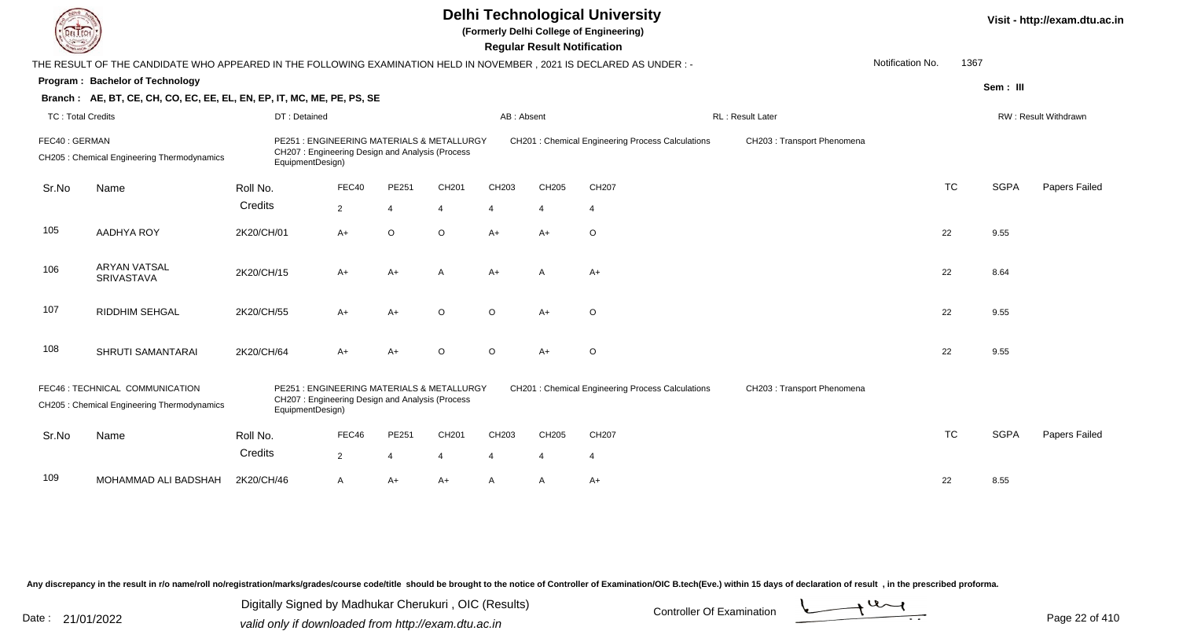|                          |                                                                                                                     |                                                                                                                   |                |                | Visit - http://exam.dtu.ac.in |                       |                       |                                                   |                             |                  |           |             |                      |
|--------------------------|---------------------------------------------------------------------------------------------------------------------|-------------------------------------------------------------------------------------------------------------------|----------------|----------------|-------------------------------|-----------------------|-----------------------|---------------------------------------------------|-----------------------------|------------------|-----------|-------------|----------------------|
|                          | THE RESULT OF THE CANDIDATE WHO APPEARED IN THE FOLLOWING EXAMINATION HELD IN NOVEMBER, 2021 IS DECLARED AS UNDER:- |                                                                                                                   |                |                |                               |                       |                       |                                                   |                             | Notification No. | 1367      |             |                      |
|                          | Program: Bachelor of Technology                                                                                     |                                                                                                                   |                |                |                               |                       |                       |                                                   |                             |                  |           | Sem: III    |                      |
|                          | Branch: AE, BT, CE, CH, CO, EC, EE, EL, EN, EP, IT, MC, ME, PE, PS, SE                                              |                                                                                                                   |                |                |                               |                       |                       |                                                   |                             |                  |           |             |                      |
| <b>TC: Total Credits</b> |                                                                                                                     | DT: Detained                                                                                                      |                |                |                               | AB: Absent            |                       |                                                   | RL: Result Later            |                  |           |             | RW: Result Withdrawn |
| FEC40: GERMAN            | CH205 : Chemical Engineering Thermodynamics                                                                         | PE251 : ENGINEERING MATERIALS & METALLURGY<br>CH207: Engineering Design and Analysis (Process<br>EquipmentDesign) |                |                |                               |                       |                       | CH201 : Chemical Engineering Process Calculations | CH203 : Transport Phenomena |                  |           |             |                      |
| Sr.No                    | Name                                                                                                                | Roll No.                                                                                                          | FEC40          | PE251          | CH201                         | CH203                 | CH205                 | CH207                                             |                             |                  | <b>TC</b> | <b>SGPA</b> | Papers Failed        |
|                          |                                                                                                                     | Credits                                                                                                           | $\overline{2}$ | $\overline{4}$ | 4                             | $\boldsymbol{\Delta}$ | $\boldsymbol{\Delta}$ | $\overline{4}$                                    |                             |                  |           |             |                      |
| 105                      | AADHYA ROY                                                                                                          | 2K20/CH/01                                                                                                        | A+             | $\circ$        | $\circ$                       | $A+$                  | $A+$                  | $\circ$                                           |                             |                  | 22        | 9.55        |                      |
| 106                      | <b>ARYAN VATSAL</b><br><b>SRIVASTAVA</b>                                                                            | 2K20/CH/15                                                                                                        | A+             | $A+$           | A                             | $A+$                  | $\overline{A}$        | $A+$                                              |                             |                  | 22        | 8.64        |                      |
| 107                      | RIDDHIM SEHGAL                                                                                                      | 2K20/CH/55                                                                                                        | $A+$           | $A+$           | $\circ$                       | $\circ$               | $A+$                  | $\circ$                                           |                             |                  | 22        | 9.55        |                      |
| 108                      | SHRUTI SAMANTARAI                                                                                                   | 2K20/CH/64                                                                                                        | A+             | $A+$           | $\Omega$                      | $\circ$               | $A+$                  | $\circ$                                           |                             |                  | 22        | 9.55        |                      |
|                          | FEC46 : TECHNICAL COMMUNICATION<br>CH205 : Chemical Engineering Thermodynamics                                      | PE251 : ENGINEERING MATERIALS & METALLURGY<br>CH207: Engineering Design and Analysis (Process<br>EquipmentDesign) |                |                |                               |                       |                       | CH201 : Chemical Engineering Process Calculations | CH203 : Transport Phenomena |                  |           |             |                      |
| Sr.No                    | Name                                                                                                                | Roll No.                                                                                                          | FEC46          | PE251          | CH201                         | CH203                 | CH205                 | CH207                                             |                             |                  | <b>TC</b> | <b>SGPA</b> | Papers Failed        |
|                          |                                                                                                                     | Credits                                                                                                           | $\overline{2}$ | $\overline{4}$ | 4                             | $\overline{4}$        | $\overline{4}$        | $\overline{4}$                                    |                             |                  |           |             |                      |
| 109                      | MOHAMMAD ALI BADSHAH                                                                                                | 2K20/CH/46                                                                                                        | A              | $A+$           | A+                            | A                     | A                     | $A+$                                              |                             |                  | 22        | 8.55        |                      |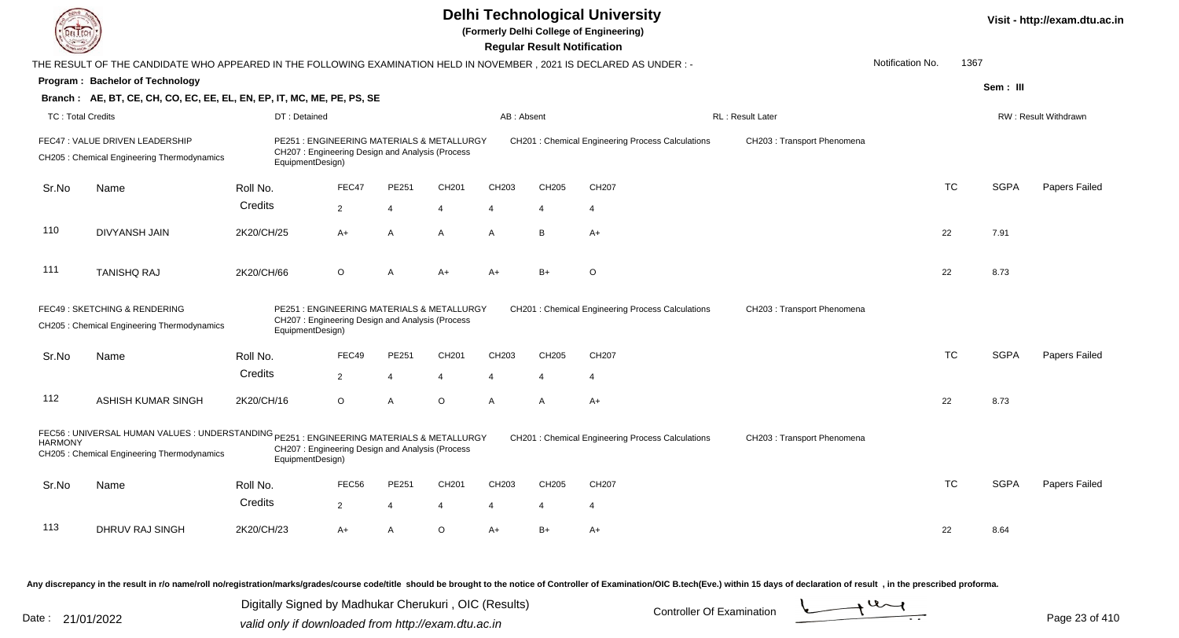|                          |                                                                                                                                         |                  |                                                                                               |                |                   |                | <b>Regular Result Notification</b> | <b>Delhi Technological University</b><br>(Formerly Delhi College of Engineering) |                             |                  |           |             | Visit - http://exam.dtu.ac.in |
|--------------------------|-----------------------------------------------------------------------------------------------------------------------------------------|------------------|-----------------------------------------------------------------------------------------------|----------------|-------------------|----------------|------------------------------------|----------------------------------------------------------------------------------|-----------------------------|------------------|-----------|-------------|-------------------------------|
|                          | THE RESULT OF THE CANDIDATE WHO APPEARED IN THE FOLLOWING EXAMINATION HELD IN NOVEMBER, 2021 IS DECLARED AS UNDER :-                    |                  |                                                                                               |                |                   |                |                                    |                                                                                  |                             | Notification No. | 1367      |             |                               |
|                          | Program: Bachelor of Technology                                                                                                         |                  |                                                                                               |                |                   |                |                                    |                                                                                  |                             |                  |           | Sem: III    |                               |
|                          | Branch: AE, BT, CE, CH, CO, EC, EE, EL, EN, EP, IT, MC, ME, PE, PS, SE                                                                  |                  |                                                                                               |                |                   |                |                                    |                                                                                  |                             |                  |           |             |                               |
| <b>TC: Total Credits</b> |                                                                                                                                         | DT: Detained     |                                                                                               |                |                   | AB: Absent     |                                    |                                                                                  | RL: Result Later            |                  |           |             | RW: Result Withdrawn          |
|                          | FEC47: VALUE DRIVEN LEADERSHIP<br>CH205: Chemical Engineering Thermodynamics                                                            | EquipmentDesign) | PE251 : ENGINEERING MATERIALS & METALLURGY<br>CH207: Engineering Design and Analysis (Process |                |                   |                |                                    | CH201 : Chemical Engineering Process Calculations                                | CH203 : Transport Phenomena |                  |           |             |                               |
| Sr.No                    | Name                                                                                                                                    | Roll No.         | FEC47                                                                                         | PE251          | CH201             | CH203          | CH205                              | CH207                                                                            |                             |                  | <b>TC</b> | <b>SGPA</b> | Papers Failed                 |
|                          |                                                                                                                                         | Credits          | $\overline{2}$                                                                                | $\overline{4}$ | 4                 | $\overline{4}$ | $\overline{4}$                     | $\overline{4}$                                                                   |                             |                  |           |             |                               |
| 110                      | <b>DIVYANSH JAIN</b>                                                                                                                    | 2K20/CH/25       | $A+$                                                                                          | $\overline{A}$ | $\mathsf{A}$      | $\mathsf{A}$   | B                                  | $A+$                                                                             |                             |                  | 22        | 7.91        |                               |
| 111                      | <b>TANISHQ RAJ</b>                                                                                                                      | 2K20/CH/66       | $\circ$                                                                                       | $\overline{A}$ | $A+$              | $A+$           | $B+$                               | $\circ$                                                                          |                             |                  | 22        | 8.73        |                               |
|                          | FEC49 : SKETCHING & RENDERING<br>CH205 : Chemical Engineering Thermodynamics                                                            | EquipmentDesign) | PE251 : ENGINEERING MATERIALS & METALLURGY<br>CH207: Engineering Design and Analysis (Process |                |                   |                |                                    | <b>CH201: Chemical Engineering Process Calculations</b>                          | CH203 : Transport Phenomena |                  |           |             |                               |
| Sr.No                    | Name                                                                                                                                    | Roll No.         | FEC49                                                                                         | PE251          | CH201             | CH203          | CH205                              | CH207                                                                            |                             |                  | <b>TC</b> | <b>SGPA</b> | Papers Failed                 |
|                          |                                                                                                                                         | Credits          | $\overline{2}$                                                                                | $\overline{4}$ |                   | $\overline{4}$ | $\boldsymbol{\varDelta}$           | $\overline{4}$                                                                   |                             |                  |           |             |                               |
| 112                      | ASHISH KUMAR SINGH                                                                                                                      | 2K20/CH/16       | $\circ$                                                                                       | $\overline{A}$ | $\circ$           | $\mathsf{A}$   | A                                  | $A+$                                                                             |                             |                  | 22        | 8.73        |                               |
| <b>HARMONY</b>           | FEC56 : UNIVERSAL HUMAN VALUES : UNDERSTANDING PE251 : ENGINEERING MATERIALS & METALLURGY<br>CH205: Chemical Engineering Thermodynamics | EquipmentDesign) | CH207: Engineering Design and Analysis (Process                                               |                |                   |                |                                    | CH201 : Chemical Engineering Process Calculations                                | CH203 : Transport Phenomena |                  |           |             |                               |
| Sr.No                    | Name                                                                                                                                    | Roll No.         | FEC56                                                                                         | PE251          | CH <sub>201</sub> | CH203          | CH205                              | CH207                                                                            |                             |                  | <b>TC</b> | <b>SGPA</b> | Papers Failed                 |
|                          |                                                                                                                                         | Credits          | $\overline{2}$                                                                                | $\overline{4}$ | $\overline{4}$    | 4              | $\overline{4}$                     | $\overline{4}$                                                                   |                             |                  |           |             |                               |
| 113                      | DHRUV RAJ SINGH                                                                                                                         | 2K20/CH/23       | A+                                                                                            | $\overline{A}$ | $\Omega$          | $A+$           | $B+$                               | $A+$                                                                             |                             |                  | 22        | 8.64        |                               |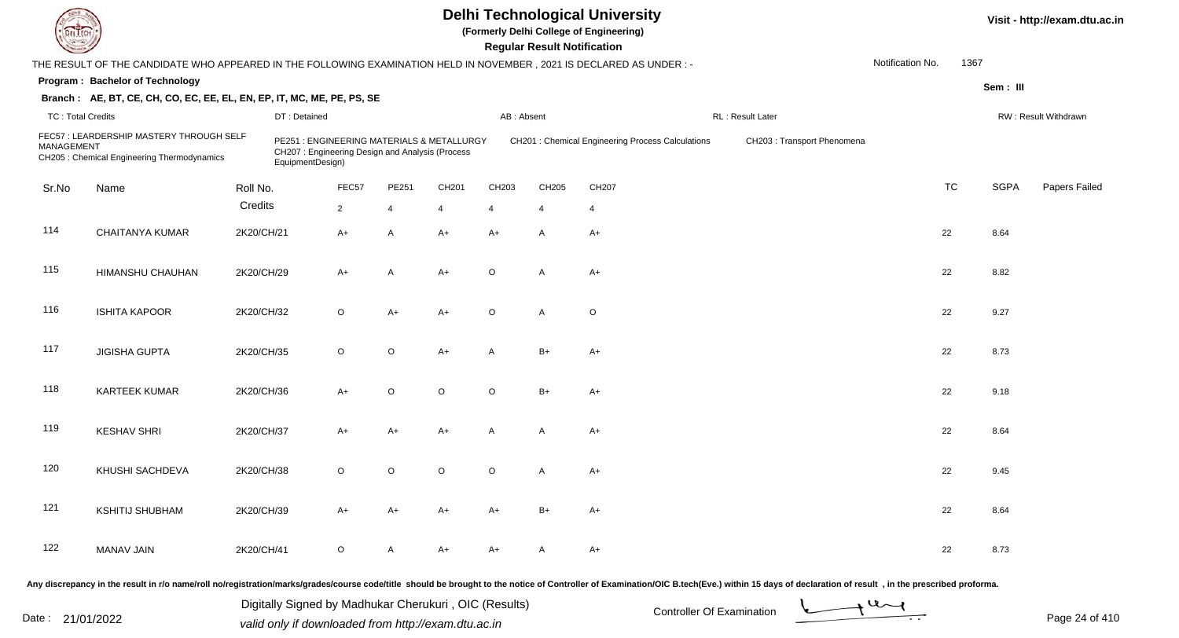**(Formerly Delhi College of Engineering)**

 **Regular Result Notification**

| <b>County</b>            |                                                                                                                      |            |                                                                                                                   |                |                |                |                | <b>Regular Result Notification</b> |                                                         |                             |                  |           |             |                      |
|--------------------------|----------------------------------------------------------------------------------------------------------------------|------------|-------------------------------------------------------------------------------------------------------------------|----------------|----------------|----------------|----------------|------------------------------------|---------------------------------------------------------|-----------------------------|------------------|-----------|-------------|----------------------|
|                          | THE RESULT OF THE CANDIDATE WHO APPEARED IN THE FOLLOWING EXAMINATION HELD IN NOVEMBER, 2021 IS DECLARED AS UNDER :- |            |                                                                                                                   |                |                |                |                |                                    |                                                         |                             | Notification No. | 1367      |             |                      |
|                          | Program: Bachelor of Technology                                                                                      |            |                                                                                                                   |                |                |                |                |                                    |                                                         |                             |                  |           | Sem: III    |                      |
|                          | Branch: AE, BT, CE, CH, CO, EC, EE, EL, EN, EP, IT, MC, ME, PE, PS, SE                                               |            |                                                                                                                   |                |                |                |                |                                    |                                                         |                             |                  |           |             |                      |
| <b>TC: Total Credits</b> |                                                                                                                      |            | DT: Detained                                                                                                      |                |                |                | AB: Absent     |                                    |                                                         | RL: Result Later            |                  |           |             | RW: Result Withdrawn |
| <b>MANAGEMENT</b>        | FEC57: LEARDERSHIP MASTERY THROUGH SELF<br>CH205 : Chemical Engineering Thermodynamics                               |            | PE251 : ENGINEERING MATERIALS & METALLURGY<br>CH207: Engineering Design and Analysis (Process<br>EquipmentDesign) |                |                |                |                |                                    | <b>CH201: Chemical Engineering Process Calculations</b> | CH203 : Transport Phenomena |                  |           |             |                      |
| Sr.No                    | Name                                                                                                                 | Roll No.   |                                                                                                                   | FEC57          | PE251          | CH201          | CH203          | CH205                              | CH207                                                   |                             |                  | <b>TC</b> | <b>SGPA</b> | Papers Failed        |
|                          |                                                                                                                      | Credits    |                                                                                                                   | $\overline{2}$ | $\overline{4}$ | $\overline{4}$ | $\overline{4}$ | $\overline{4}$                     | 4                                                       |                             |                  |           |             |                      |
| 114                      | <b>CHAITANYA KUMAR</b>                                                                                               | 2K20/CH/21 |                                                                                                                   | $A+$           | $\mathsf{A}$   | $A+$           | A+             | A                                  | A+                                                      |                             |                  | 22        | 8.64        |                      |
| 115                      | HIMANSHU CHAUHAN                                                                                                     | 2K20/CH/29 |                                                                                                                   | $A+$           | $\mathsf{A}$   | $A+$           | $\circ$        | A                                  | $A+$                                                    |                             |                  | 22        | 8.82        |                      |
| 116                      | <b>ISHITA KAPOOR</b>                                                                                                 | 2K20/CH/32 |                                                                                                                   | $\circ$        | A+             | A+             | $\circ$        | A                                  | $\circ$                                                 |                             |                  | 22        | 9.27        |                      |
| 117                      | <b>JIGISHA GUPTA</b>                                                                                                 | 2K20/CH/35 |                                                                                                                   | $\circ$        | $\circ$        | $A+$           | A              | $B+$                               | A+                                                      |                             |                  | 22        | 8.73        |                      |
| 118                      | <b>KARTEEK KUMAR</b>                                                                                                 | 2K20/CH/36 |                                                                                                                   | $A+$           | $\circ$        | $\circ$        | $\circ$        | $B+$                               | $A+$                                                    |                             |                  | 22        | 9.18        |                      |
| 119                      | <b>KESHAV SHRI</b>                                                                                                   | 2K20/CH/37 |                                                                                                                   | $A+$           | $A+$           | $A+$           | A              | A                                  | A+                                                      |                             |                  | 22        | 8.64        |                      |
| 120                      | KHUSHI SACHDEVA                                                                                                      | 2K20/CH/38 |                                                                                                                   | $\circ$        | $\circ$        | $\circ$        | $\circ$        | A                                  | $A+$                                                    |                             |                  | 22        | 9.45        |                      |
| 121                      | <b>KSHITIJ SHUBHAM</b>                                                                                               | 2K20/CH/39 |                                                                                                                   | $A+$           | $A+$           | $A+$           | $A+$           | $B+$                               | $A+$                                                    |                             |                  | 22        | 8.64        |                      |
| 122                      | <b>MANAV JAIN</b>                                                                                                    | 2K20/CH/41 |                                                                                                                   | $\circ$        | A              | A+             | A+             | A                                  | A+                                                      |                             |                  | 22        | 8.73        |                      |
|                          |                                                                                                                      |            |                                                                                                                   |                |                |                |                |                                    |                                                         |                             |                  |           |             |                      |

Any discrepancy in the result in r/o name/roll no/registration/marks/grades/course code/title should be brought to the notice of Controller of Examination/OIC B.tech(Eve.) within 15 days of declaration of result, in the pr

Date : 21/01/2022 Valid only if downloaded from http://exam.dtu.ac.in<br>valid only if downloaded from http://exam.dtu.ac.in Digitally Signed by Madhukar Cherukuri , OIC (Results)

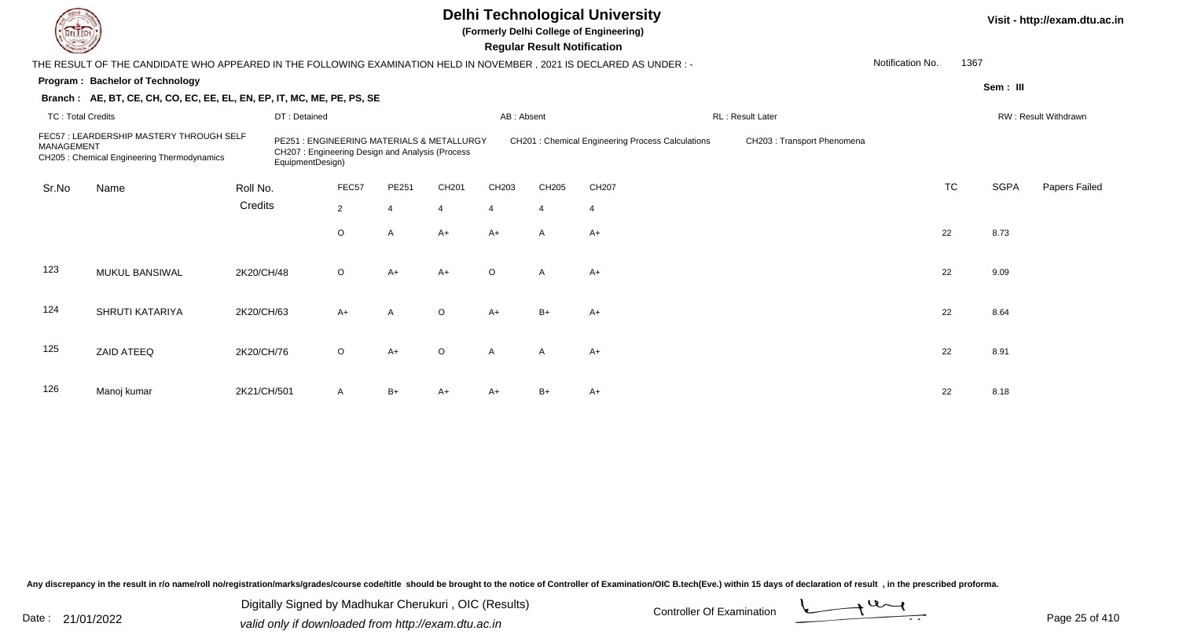**(Formerly Delhi College of Engineering)**

 **Regular Result Notification**

| <b>County</b>            |                                                                                                                        |             |                                                                                                                   |                |                       |         |                | Regular Result Notification |                                                         |                            |                  |           |             |                      |
|--------------------------|------------------------------------------------------------------------------------------------------------------------|-------------|-------------------------------------------------------------------------------------------------------------------|----------------|-----------------------|---------|----------------|-----------------------------|---------------------------------------------------------|----------------------------|------------------|-----------|-------------|----------------------|
|                          | THE RESULT OF THE CANDIDATE WHO APPEARED IN THE FOLLOWING EXAMINATION HELD IN NOVEMBER , 2021 IS DECLARED AS UNDER : - |             |                                                                                                                   |                |                       |         |                |                             |                                                         |                            | Notification No. | 1367      |             |                      |
|                          | Program: Bachelor of Technology                                                                                        |             |                                                                                                                   |                |                       |         |                |                             |                                                         |                            |                  |           | Sem: III    |                      |
|                          | Branch: AE, BT, CE, CH, CO, EC, EE, EL, EN, EP, IT, MC, ME, PE, PS, SE                                                 |             |                                                                                                                   |                |                       |         |                |                             |                                                         |                            |                  |           |             |                      |
| <b>TC: Total Credits</b> |                                                                                                                        |             | DT: Detained                                                                                                      |                |                       |         | AB: Absent     |                             |                                                         | RL: Result Later           |                  |           |             | RW: Result Withdrawn |
| MANAGEMENT               | FEC57: LEARDERSHIP MASTERY THROUGH SELF<br>CH205 : Chemical Engineering Thermodynamics                                 |             | PE251 : ENGINEERING MATERIALS & METALLURGY<br>CH207: Engineering Design and Analysis (Process<br>EquipmentDesign) |                |                       |         |                |                             | <b>CH201: Chemical Engineering Process Calculations</b> | CH203: Transport Phenomena |                  |           |             |                      |
| Sr.No                    | Name                                                                                                                   | Roll No.    |                                                                                                                   | FEC57          | PE251                 | CH201   | CH203          | CH205                       | CH207                                                   |                            |                  | <b>TC</b> | <b>SGPA</b> | Papers Failed        |
|                          |                                                                                                                        | Credits     |                                                                                                                   | $\overline{2}$ | $\boldsymbol{\Delta}$ | 4       | $\overline{4}$ | $\overline{4}$              | 4                                                       |                            |                  |           |             |                      |
|                          |                                                                                                                        |             |                                                                                                                   | $\circ$        | A                     | $A+$    | $A+$           | $\overline{A}$              | $A+$                                                    |                            |                  | 22        | 8.73        |                      |
| 123                      | MUKUL BANSIWAL                                                                                                         | 2K20/CH/48  |                                                                                                                   | $\circ$        | $A+$                  | $A+$    | $\circ$        | A                           | $A+$                                                    |                            |                  | 22        | 9.09        |                      |
| 124                      | SHRUTI KATARIYA                                                                                                        | 2K20/CH/63  |                                                                                                                   | $A+$           | $\mathsf{A}$          | $\circ$ | $A+$           | $B+$                        | $A+$                                                    |                            |                  | 22        | 8.64        |                      |
| 125                      | ZAID ATEEQ                                                                                                             | 2K20/CH/76  |                                                                                                                   | $\circ$        | $A+$                  | $\circ$ | A              | $\mathsf{A}$                | $A+$                                                    |                            |                  | 22        | 8.91        |                      |
| 126                      | Manoj kumar                                                                                                            | 2K21/CH/501 |                                                                                                                   | A              | B+                    | $A+$    | A+             | $B+$                        | A+                                                      |                            |                  | 22        | 8.18        |                      |

Any discrepancy in the result in r/o name/roll no/registration/marks/grades/course code/title should be brought to the notice of Controller of Examination/OIC B.tech(Eve.) within 15 days of declaration of result, in the pr

Date : 21/01/2022 Digital Digital of Microsofted Controller Of Examination Determination Page 25 of 41 Digitally Signed by Madhukar Cherukuri , OIC (Results)

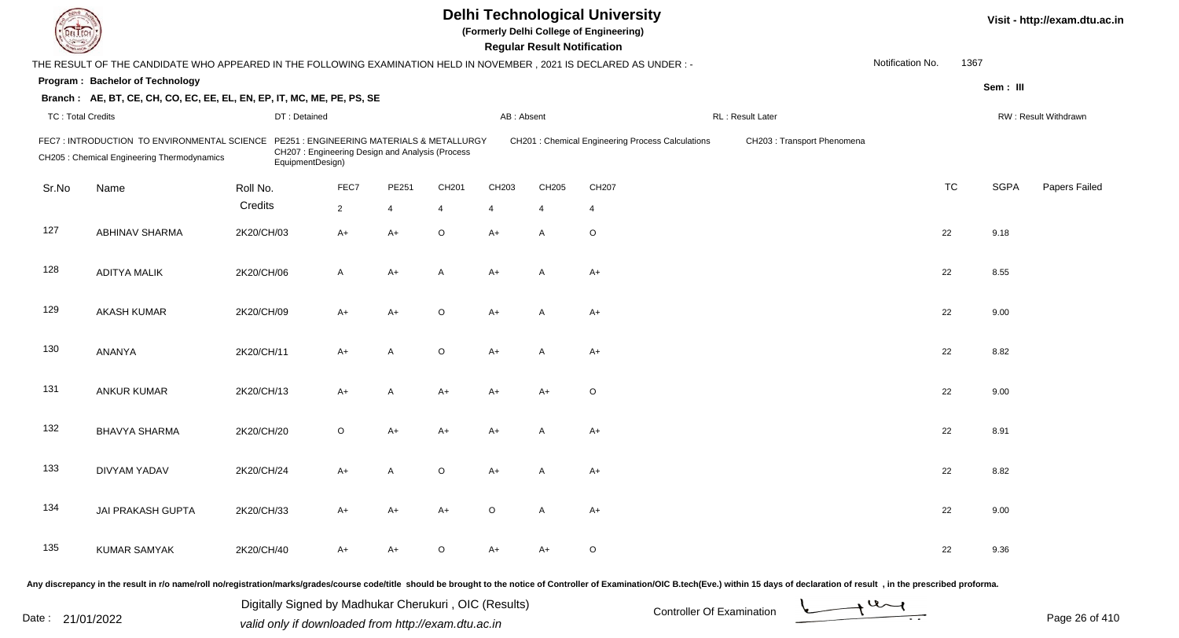| <b>DELTECH</b>           |                                                                                                                     |                                                               |                                                 |                |                |            | <b>Regular Result Notification</b> | <b>Delhi Technological University</b><br>(Formerly Delhi College of Engineering) |                                                                                                                                                                                                                                |                  |           |             | Visit - http://exam.dtu.ac.in |
|--------------------------|---------------------------------------------------------------------------------------------------------------------|---------------------------------------------------------------|-------------------------------------------------|----------------|----------------|------------|------------------------------------|----------------------------------------------------------------------------------|--------------------------------------------------------------------------------------------------------------------------------------------------------------------------------------------------------------------------------|------------------|-----------|-------------|-------------------------------|
|                          | THE RESULT OF THE CANDIDATE WHO APPEARED IN THE FOLLOWING EXAMINATION HELD IN NOVEMBER, 2021 IS DECLARED AS UNDER:- |                                                               |                                                 |                |                |            |                                    |                                                                                  |                                                                                                                                                                                                                                | Notification No. | 1367      |             |                               |
|                          | Program: Bachelor of Technology                                                                                     |                                                               |                                                 |                |                |            |                                    |                                                                                  |                                                                                                                                                                                                                                |                  |           | Sem: III    |                               |
|                          | Branch: AE, BT, CE, CH, CO, EC, EE, EL, EN, EP, IT, MC, ME, PE, PS, SE                                              |                                                               |                                                 |                |                |            |                                    |                                                                                  |                                                                                                                                                                                                                                |                  |           |             |                               |
| <b>TC: Total Credits</b> |                                                                                                                     | DT: Detained                                                  |                                                 |                |                | AB: Absent |                                    |                                                                                  | RL: Result Later                                                                                                                                                                                                               |                  |           |             | RW: Result Withdrawn          |
|                          | FEC7: INTRODUCTION TO ENVIRONMENTAL SCIENCE<br>CH205 : Chemical Engineering Thermodynamics                          | PE251: ENGINEERING MATERIALS & METALLURGY<br>EquipmentDesign) | CH207: Engineering Design and Analysis (Process |                |                |            |                                    | CH201 : Chemical Engineering Process Calculations                                | CH203: Transport Phenomena                                                                                                                                                                                                     |                  |           |             |                               |
| Sr.No                    | Name                                                                                                                | Roll No.                                                      | FEC7                                            | PE251          | CH201          | CH203      | CH205                              | CH207                                                                            |                                                                                                                                                                                                                                |                  | <b>TC</b> | <b>SGPA</b> | Papers Failed                 |
|                          |                                                                                                                     | Credits                                                       | $\overline{2}$                                  | $\overline{4}$ | $\overline{4}$ | 4          | $\overline{4}$                     | 4                                                                                |                                                                                                                                                                                                                                |                  |           |             |                               |
| 127                      | <b>ABHINAV SHARMA</b>                                                                                               | 2K20/CH/03                                                    | $A+$                                            | $A+$           | $\circ$        | A+         | $\overline{A}$                     | $\circ$                                                                          |                                                                                                                                                                                                                                | 22               |           | 9.18        |                               |
| 128                      | <b>ADITYA MALIK</b>                                                                                                 | 2K20/CH/06                                                    | $\mathsf{A}$                                    | $A+$           | A              | $A+$       | $\overline{A}$                     | $A+$                                                                             |                                                                                                                                                                                                                                | 22               |           | 8.55        |                               |
| 129                      | <b>AKASH KUMAR</b>                                                                                                  | 2K20/CH/09                                                    | $A+$                                            | $A+$           | $\circ$        | A+         | $\overline{A}$                     | $A+$                                                                             |                                                                                                                                                                                                                                | 22               |           | 9.00        |                               |
| 130                      | ANANYA                                                                                                              | 2K20/CH/11                                                    | $A+$                                            | $\overline{A}$ | $\circ$        | A+         | A                                  | $A+$                                                                             |                                                                                                                                                                                                                                | 22               |           | 8.82        |                               |
| 131                      | <b>ANKUR KUMAR</b>                                                                                                  | 2K20/CH/13                                                    | $A+$                                            | Α              | A+             | A+         | $A+$                               | $\circ$                                                                          |                                                                                                                                                                                                                                | 22               |           | 9.00        |                               |
| 132                      | <b>BHAVYA SHARMA</b>                                                                                                | 2K20/CH/20                                                    | $\circ$                                         | A+             | A+             | A+         | А                                  | $A+$                                                                             |                                                                                                                                                                                                                                | 22               |           | 8.91        |                               |
| 133                      | DIVYAM YADAV                                                                                                        | 2K20/CH/24                                                    | $A+$                                            | A              | $\circ$        | A+         |                                    | $A+$                                                                             |                                                                                                                                                                                                                                | 22               |           | 8.82        |                               |
| 134                      | JAI PRAKASH GUPTA                                                                                                   | 2K20/CH/33                                                    | $A+$                                            | $A+$           | A+             | $\circ$    | A                                  | $A+$                                                                             |                                                                                                                                                                                                                                |                  | 22        | 9.00        |                               |
| 135                      | <b>KUMAR SAMYAK</b>                                                                                                 | 2K20/CH/40                                                    | $A+$                                            | A+             | O              | A+         | $A+$                               | $\circ$                                                                          |                                                                                                                                                                                                                                | 22               |           | 9.36        |                               |
|                          |                                                                                                                     |                                                               |                                                 |                |                |            |                                    |                                                                                  | Any discrepancy in the result in r/o name/roll no/registration/marks/grades/course code/title should be brought to the notice of Controller of Examination/OIC B.tech(Eve.) within 15 days of declaration of result , in the p |                  |           |             |                               |

Date : 21/01/2022 Digital Digital of Microsofted Chemical Controller Of Examination Determination Page 26 of 41 Digitally Signed by Madhukar Cherukuri , OIC (Results)

Page 26 of 410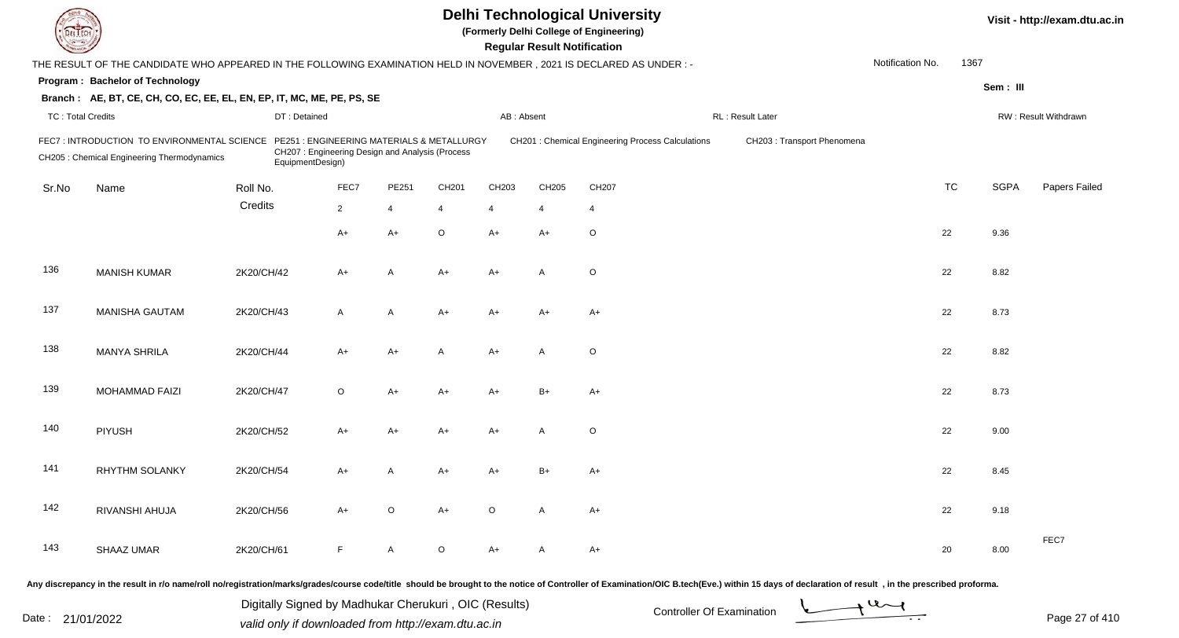| EL ECH                   |                                                                                                                        |                  |                                                 |                |                                           |                | <b>Regular Result Notification</b> | <b>Delhi Technological University</b><br>(Formerly Delhi College of Engineering) |                             |                  |      |             | Visit - http://exam.dtu.ac.in |
|--------------------------|------------------------------------------------------------------------------------------------------------------------|------------------|-------------------------------------------------|----------------|-------------------------------------------|----------------|------------------------------------|----------------------------------------------------------------------------------|-----------------------------|------------------|------|-------------|-------------------------------|
|                          | THE RESULT OF THE CANDIDATE WHO APPEARED IN THE FOLLOWING EXAMINATION HELD IN NOVEMBER , 2021 IS DECLARED AS UNDER : - |                  |                                                 |                |                                           |                |                                    |                                                                                  |                             | Notification No. | 1367 |             |                               |
|                          | <b>Program: Bachelor of Technology</b>                                                                                 |                  |                                                 |                |                                           |                |                                    |                                                                                  |                             |                  |      | Sem: III    |                               |
|                          | Branch: AE, BT, CE, CH, CO, EC, EE, EL, EN, EP, IT, MC, ME, PE, PS, SE                                                 |                  |                                                 |                |                                           |                |                                    |                                                                                  |                             |                  |      |             |                               |
| <b>TC: Total Credits</b> |                                                                                                                        | DT: Detained     |                                                 |                |                                           | AB: Absent     |                                    |                                                                                  | RL: Result Later            |                  |      |             | RW: Result Withdrawn          |
|                          | FEC7: INTRODUCTION TO ENVIRONMENTAL SCIENCE<br>CH205 : Chemical Engineering Thermodynamics                             | EquipmentDesign) | CH207: Engineering Design and Analysis (Process |                | PE251: ENGINEERING MATERIALS & METALLURGY |                |                                    | CH201 : Chemical Engineering Process Calculations                                | CH203 : Transport Phenomena |                  |      |             |                               |
| Sr.No                    | Name                                                                                                                   | Roll No.         | FEC7                                            | PE251          | CH201                                     | CH203          | CH205                              | CH207                                                                            |                             | <b>TC</b>        |      | <b>SGPA</b> | Papers Failed                 |
|                          |                                                                                                                        | Credits          | $\overline{2}$                                  | $\overline{4}$ | 4                                         | $\overline{4}$ | 4                                  | $\overline{4}$                                                                   |                             |                  |      |             |                               |
|                          |                                                                                                                        |                  | $A+$                                            | A+             | O                                         | $A+$           | $A+$                               | $\circ$                                                                          |                             | 22               |      | 9.36        |                               |
| 136                      | <b>MANISH KUMAR</b>                                                                                                    | 2K20/CH/42       | $A+$                                            | A              | $A+$                                      | $A+$           | $\overline{A}$                     | $\circ$                                                                          |                             | 22               |      | 8.82        |                               |
| 137                      | <b>MANISHA GAUTAM</b>                                                                                                  | 2K20/CH/43       | A                                               | A              | $A+$                                      | $A+$           | $A+$                               | $A+$                                                                             |                             | 22               |      | 8.73        |                               |
| 138                      | <b>MANYA SHRILA</b>                                                                                                    | 2K20/CH/44       | A+                                              | A+             | A                                         | $A+$           | A                                  | $\circ$                                                                          |                             | 22               |      | 8.82        |                               |
| 139                      | MOHAMMAD FAIZI                                                                                                         | 2K20/CH/47       | O                                               | A+             | A+                                        | A+             | $B+$                               | $A+$                                                                             |                             | 22               |      | 8.73        |                               |
| 140                      | <b>PIYUSH</b>                                                                                                          | 2K20/CH/52       | A+                                              | A+             | A+                                        | A+             | A                                  | $\circ$                                                                          |                             | 22               |      | 9.00        |                               |
| 141                      | <b>RHYTHM SOLANKY</b>                                                                                                  | 2K20/CH/54       | A+                                              | Α              | A+                                        | A+             | B+                                 | A+                                                                               |                             | 22               |      | 8.45        |                               |
| 142                      | RIVANSHI AHUJA                                                                                                         | 2K20/CH/56       | $A+$                                            | $\circ$        | $A+$                                      | $\circ$        | $\mathsf{A}$                       | $A+$                                                                             |                             | 22               |      | 9.18        |                               |
| 143                      | SHAAZ UMAR                                                                                                             | 2K20/CH/61       | F.                                              | $\mathsf{A}$   | $\circ$                                   | $A+$           | A                                  | $A+$                                                                             |                             | 20               |      | 8.00        | FEC7                          |
|                          |                                                                                                                        |                  |                                                 |                |                                           |                |                                    |                                                                                  |                             |                  |      |             |                               |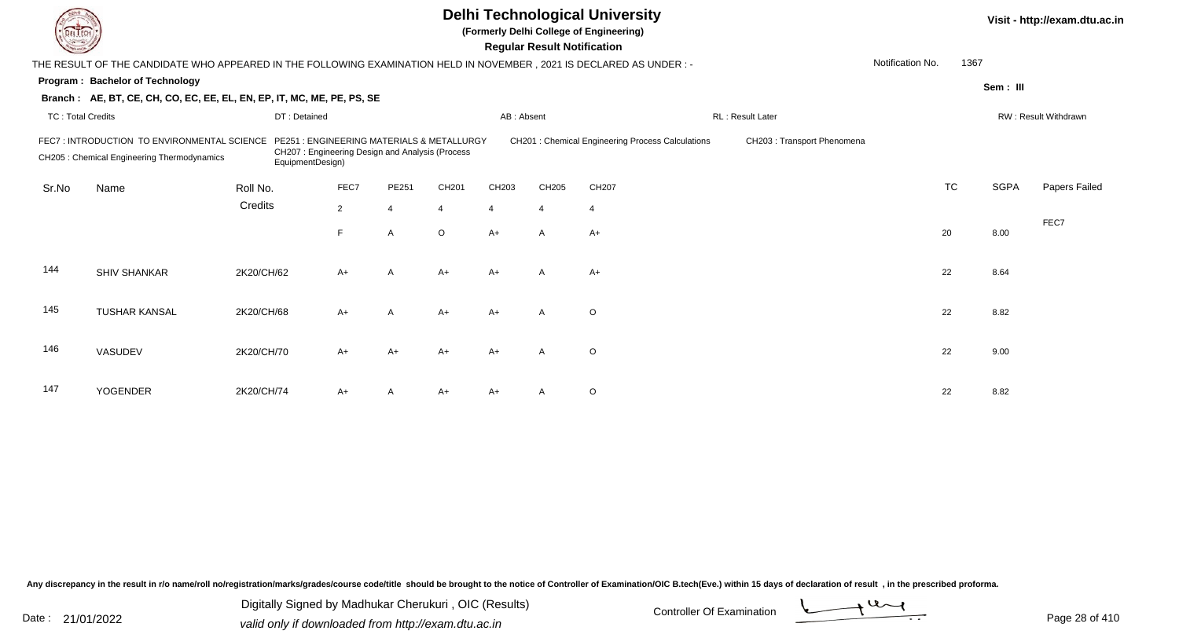|                                                                                                                                                                                                                                                                                                     |                                                                                                                     |              |                | Visit - http://exam.dtu.ac.in |                |            |                                    |                |                  |                  |           |             |                      |
|-----------------------------------------------------------------------------------------------------------------------------------------------------------------------------------------------------------------------------------------------------------------------------------------------------|---------------------------------------------------------------------------------------------------------------------|--------------|----------------|-------------------------------|----------------|------------|------------------------------------|----------------|------------------|------------------|-----------|-------------|----------------------|
|                                                                                                                                                                                                                                                                                                     | THE RESULT OF THE CANDIDATE WHO APPEARED IN THE FOLLOWING EXAMINATION HELD IN NOVEMBER, 2021 IS DECLARED AS UNDER:- |              |                |                               |                |            | <b>Regular Result Notification</b> |                |                  | Notification No. | 1367      |             |                      |
|                                                                                                                                                                                                                                                                                                     | Program: Bachelor of Technology                                                                                     |              |                |                               |                |            |                                    |                |                  |                  |           | Sem: III    |                      |
|                                                                                                                                                                                                                                                                                                     | Branch: AE, BT, CE, CH, CO, EC, EE, EL, EN, EP, IT, MC, ME, PE, PS, SE                                              |              |                |                               |                |            |                                    |                |                  |                  |           |             |                      |
| <b>TC: Total Credits</b>                                                                                                                                                                                                                                                                            |                                                                                                                     | DT: Detained |                |                               |                | AB: Absent |                                    |                | RL: Result Later |                  |           |             | RW: Result Withdrawn |
| CH201 : Chemical Engineering Process Calculations<br>FEC7: INTRODUCTION TO ENVIRONMENTAL SCIENCE<br>PE251 : ENGINEERING MATERIALS & METALLURGY<br>CH203 : Transport Phenomena<br>CH207: Engineering Design and Analysis (Process<br>CH205 : Chemical Engineering Thermodynamics<br>EquipmentDesign) |                                                                                                                     |              |                |                               |                |            |                                    |                |                  |                  |           |             |                      |
| Sr.No                                                                                                                                                                                                                                                                                               | Name                                                                                                                | Roll No.     | FEC7           | PE251                         | CH201          | CH203      | CH205                              | CH207          |                  |                  | <b>TC</b> | <b>SGPA</b> | Papers Failed        |
|                                                                                                                                                                                                                                                                                                     |                                                                                                                     | Credits      | $\overline{2}$ | $\overline{4}$                | $\overline{4}$ | 4          | $\overline{4}$                     | $\overline{4}$ |                  |                  |           |             |                      |
|                                                                                                                                                                                                                                                                                                     |                                                                                                                     |              | F.             | $\overline{A}$                | $\circ$        | $A+$       | $\mathsf{A}$                       | $A+$           |                  |                  | 20        | 8.00        | FEC7                 |
| 144                                                                                                                                                                                                                                                                                                 | <b>SHIV SHANKAR</b>                                                                                                 | 2K20/CH/62   | $A+$           | A                             | $A+$           | $A+$       | $\mathsf{A}$                       | $A+$           |                  |                  | 22        | 8.64        |                      |
| 145                                                                                                                                                                                                                                                                                                 | <b>TUSHAR KANSAL</b>                                                                                                | 2K20/CH/68   | $A+$           | A                             | $A+$           | $A+$       | $\mathsf{A}$                       | $\circ$        |                  |                  | 22        | 8.82        |                      |
| 146                                                                                                                                                                                                                                                                                                 | VASUDEV                                                                                                             | 2K20/CH/70   | A+             | $A+$                          | $A+$           | $A+$       | $\overline{A}$                     | $\circ$        |                  |                  | 22        | 9.00        |                      |
| 147                                                                                                                                                                                                                                                                                                 | <b>YOGENDER</b>                                                                                                     | 2K20/CH/74   | A+             | A                             | $A+$           | A+         |                                    | $\circ$        |                  |                  | 22        | 8.82        |                      |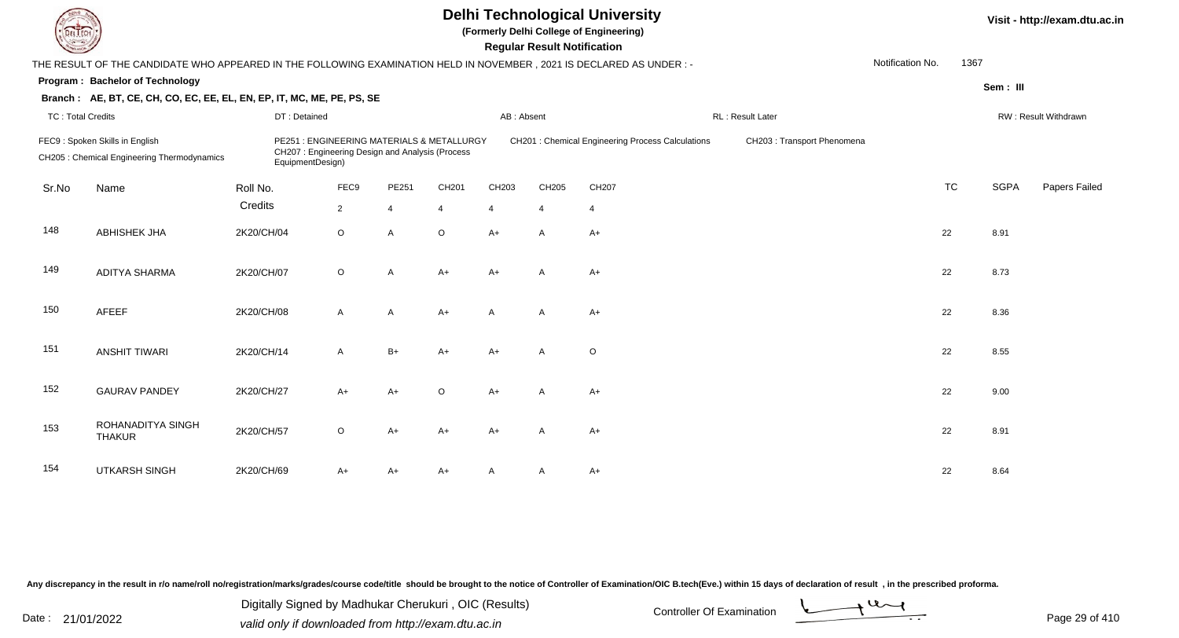| L'I ECH                  |                                                                                                                                                                                                                                                         |              |              | Visit - http://exam.dtu.ac.in |                |                |                |                |                             |                  |           |             |                      |
|--------------------------|---------------------------------------------------------------------------------------------------------------------------------------------------------------------------------------------------------------------------------------------------------|--------------|--------------|-------------------------------|----------------|----------------|----------------|----------------|-----------------------------|------------------|-----------|-------------|----------------------|
|                          | THE RESULT OF THE CANDIDATE WHO APPEARED IN THE FOLLOWING EXAMINATION HELD IN NOVEMBER, 2021 IS DECLARED AS UNDER :-                                                                                                                                    |              |              |                               |                |                |                |                |                             | Notification No. | 1367      |             |                      |
|                          | Program: Bachelor of Technology                                                                                                                                                                                                                         |              |              |                               |                |                |                |                |                             |                  |           | Sem: III    |                      |
|                          | Branch: AE, BT, CE, CH, CO, EC, EE, EL, EN, EP, IT, MC, ME, PE, PS, SE                                                                                                                                                                                  |              |              |                               |                |                |                |                |                             |                  |           |             |                      |
| <b>TC: Total Credits</b> |                                                                                                                                                                                                                                                         | DT: Detained |              |                               |                | AB: Absent     |                |                | RL : Result Later           |                  |           |             | RW: Result Withdrawn |
|                          | FEC9: Spoken Skills in English<br>PE251 : ENGINEERING MATERIALS & METALLURGY<br>CH201 : Chemical Engineering Process Calculations<br>CH207: Engineering Design and Analysis (Process<br>CH205 : Chemical Engineering Thermodynamics<br>EquipmentDesign) |              |              |                               |                |                |                |                | CH203 : Transport Phenomena |                  |           |             |                      |
| Sr.No                    | Name                                                                                                                                                                                                                                                    | Roll No.     | FEC9         | PE251                         | CH201          | CH203          | CH205          | CH207          |                             |                  | <b>TC</b> | <b>SGPA</b> | Papers Failed        |
|                          |                                                                                                                                                                                                                                                         | Credits      | $2^{\circ}$  | $\overline{4}$                | $\overline{4}$ | $\overline{4}$ | $\overline{4}$ | $\overline{4}$ |                             |                  |           |             |                      |
| 148                      | <b>ABHISHEK JHA</b>                                                                                                                                                                                                                                     | 2K20/CH/04   | $\circ$      | $\overline{A}$                | $\circ$        | $A+$           | A              | $A+$           |                             |                  | 22        | 8.91        |                      |
| 149                      | <b>ADITYA SHARMA</b>                                                                                                                                                                                                                                    | 2K20/CH/07   | $\circ$      | $\mathsf{A}$                  | $A+$           | $A+$           | A              | $A+$           |                             |                  | 22        | 8.73        |                      |
| 150                      | AFEEF                                                                                                                                                                                                                                                   | 2K20/CH/08   | $\mathsf{A}$ | A                             | $A+$           | $\mathsf{A}$   | A              | $A+$           |                             |                  | 22        | 8.36        |                      |
| 151                      | <b>ANSHIT TIWARI</b>                                                                                                                                                                                                                                    | 2K20/CH/14   | $\mathsf{A}$ | $B+$                          | $A+$           | $A+$           | $\mathsf{A}$   | $\circ$        |                             |                  | 22        | 8.55        |                      |
| 152                      | <b>GAURAV PANDEY</b>                                                                                                                                                                                                                                    | 2K20/CH/27   | $A+$         | $A+$                          | $\circ$        | $A+$           | $\overline{A}$ | $A+$           |                             |                  | 22        | 9.00        |                      |
| 153                      | ROHANADITYA SINGH<br><b>THAKUR</b>                                                                                                                                                                                                                      | 2K20/CH/57   | $\circ$      | $A+$                          | $A+$           | $A+$           | $\overline{A}$ | $A+$           |                             |                  | 22        | 8.91        |                      |
| 154                      | <b>UTKARSH SINGH</b>                                                                                                                                                                                                                                    | 2K20/CH/69   | A+           | $A+$                          | $A+$           |                | A              | $A+$           |                             |                  | 22        | 8.64        |                      |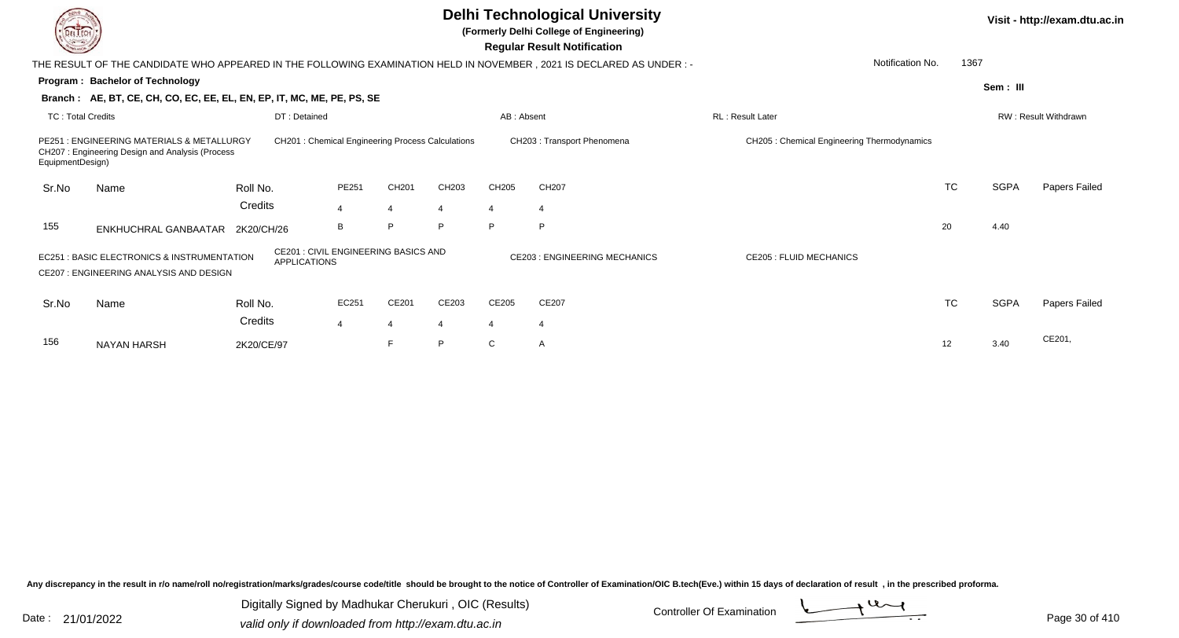|                                                                                                                                                                                                   |                                                                                               |                                                   |                |                |       |            | <b>Delhi Technological University</b><br>(Formerly Delhi College of Engineering)<br><b>Regular Result Notification</b> |                                             |           |             | Visit - http://exam.dtu.ac.in |
|---------------------------------------------------------------------------------------------------------------------------------------------------------------------------------------------------|-----------------------------------------------------------------------------------------------|---------------------------------------------------|----------------|----------------|-------|------------|------------------------------------------------------------------------------------------------------------------------|---------------------------------------------|-----------|-------------|-------------------------------|
|                                                                                                                                                                                                   |                                                                                               |                                                   |                |                |       |            | THE RESULT OF THE CANDIDATE WHO APPEARED IN THE FOLLOWING EXAMINATION HELD IN NOVEMBER , 2021 IS DECLARED AS UNDER :-  | Notification No.                            | 1367      |             |                               |
|                                                                                                                                                                                                   | Program: Bachelor of Technology                                                               |                                                   |                |                |       |            |                                                                                                                        |                                             |           | Sem: III    |                               |
|                                                                                                                                                                                                   | Branch: AE, BT, CE, CH, CO, EC, EE, EL, EN, EP, IT, MC, ME, PE, PS, SE                        |                                                   |                |                |       |            |                                                                                                                        |                                             |           |             |                               |
| <b>TC: Total Credits</b>                                                                                                                                                                          |                                                                                               | DT: Detained                                      |                |                |       | AB: Absent |                                                                                                                        | <b>RL</b> : Result Later                    |           |             | <b>RW: Result Withdrawn</b>   |
| EquipmentDesign)                                                                                                                                                                                  | PE251 : ENGINEERING MATERIALS & METALLURGY<br>CH207: Engineering Design and Analysis (Process | CH201 : Chemical Engineering Process Calculations |                |                |       |            | CH203: Transport Phenomena                                                                                             | CH205 : Chemical Engineering Thermodynamics |           |             |                               |
| Sr.No                                                                                                                                                                                             | Name                                                                                          | Roll No.                                          | PE251          | CH201          | CH203 | CH205      | CH207                                                                                                                  |                                             | <b>TC</b> | <b>SGPA</b> | Papers Failed                 |
|                                                                                                                                                                                                   |                                                                                               | Credits                                           | $\overline{4}$ | $\overline{4}$ |       | 4          | $\overline{4}$                                                                                                         |                                             |           |             |                               |
| 155                                                                                                                                                                                               |                                                                                               |                                                   | B              | P              | P     | P          | P                                                                                                                      |                                             | 20        | 4.40        |                               |
| ENKHUCHRAL GANBAATAR 2K20/CH/26<br><b>CE201: CIVIL ENGINEERING BASICS AND</b><br>: BASIC ELECTRONICS & INSTRUMENTATION<br>EC251<br><b>APPLICATIONS</b><br>CE207 : ENGINEERING ANALYSIS AND DESIGN |                                                                                               |                                                   |                |                |       |            | <b>CE203 : ENGINEERING MECHANICS</b>                                                                                   | <b>CE205 : FLUID MECHANICS</b>              |           |             |                               |
| Sr.No                                                                                                                                                                                             | Name                                                                                          | Roll No.                                          | EC251          | CE201          | CE203 | CE205      | CE207                                                                                                                  |                                             | <b>TC</b> | <b>SGPA</b> | Papers Failed                 |
|                                                                                                                                                                                                   |                                                                                               | Credits                                           | 4              | $\overline{4}$ |       | 4          | -4                                                                                                                     |                                             |           |             |                               |
| 156                                                                                                                                                                                               | <b>NAYAN HARSH</b>                                                                            | 2K20/CE/97                                        |                | F              | P     | C          | A                                                                                                                      |                                             | 12        | 3.40        | CE201,                        |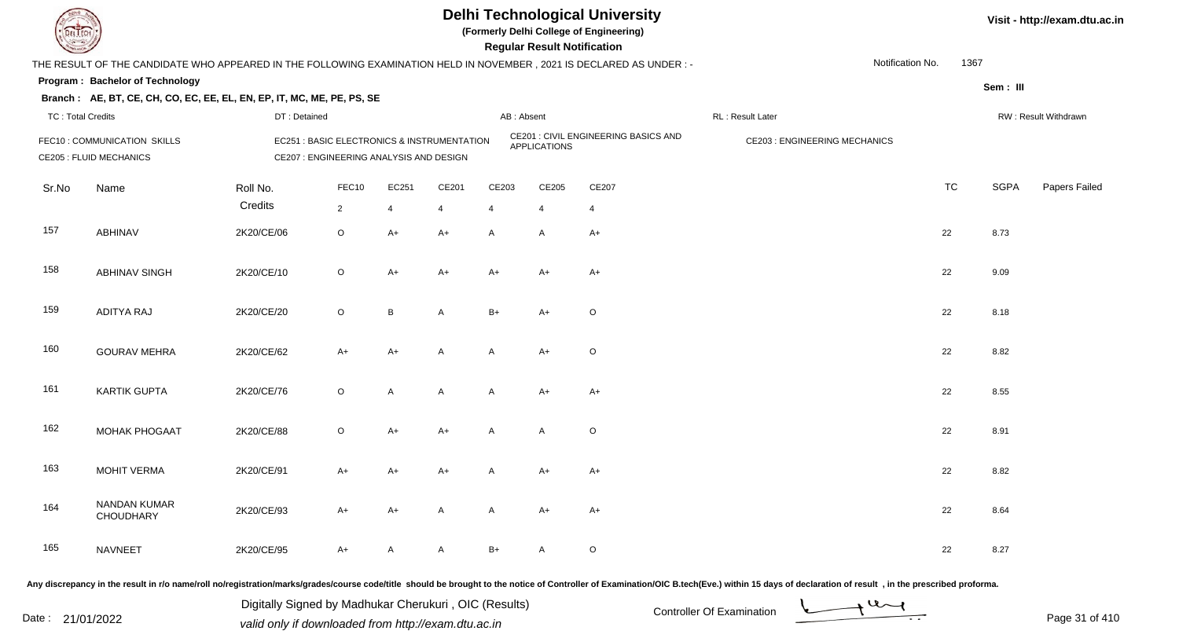

**(Formerly Delhi College of Engineering)**

| <b>Country of Charles</b> |                                                                                                                      |              |                                                                                        |                |       |            | <b>Regular Result Notification</b> |                                      |                                     |      |             |                      |
|---------------------------|----------------------------------------------------------------------------------------------------------------------|--------------|----------------------------------------------------------------------------------------|----------------|-------|------------|------------------------------------|--------------------------------------|-------------------------------------|------|-------------|----------------------|
|                           | THE RESULT OF THE CANDIDATE WHO APPEARED IN THE FOLLOWING EXAMINATION HELD IN NOVEMBER, 2021 IS DECLARED AS UNDER :- |              |                                                                                        |                |       |            |                                    |                                      | Notification No.                    | 1367 |             |                      |
|                           | Program: Bachelor of Technology                                                                                      |              |                                                                                        |                |       |            |                                    |                                      |                                     |      | Sem: III    |                      |
|                           | Branch: AE, BT, CE, CH, CO, EC, EE, EL, EN, EP, IT, MC, ME, PE, PS, SE                                               |              |                                                                                        |                |       |            |                                    |                                      |                                     |      |             |                      |
| <b>TC: Total Credits</b>  |                                                                                                                      | DT: Detained |                                                                                        |                |       | AB: Absent |                                    |                                      | RL : Result Later                   |      |             | RW: Result Withdrawn |
|                           | FEC10 : COMMUNICATION SKILLS<br><b>CE205 : FLUID MECHANICS</b>                                                       |              | EC251 : BASIC ELECTRONICS & INSTRUMENTATION<br>CE207 : ENGINEERING ANALYSIS AND DESIGN |                |       |            | <b>APPLICATIONS</b>                | CE201 : CIVIL ENGINEERING BASICS AND | <b>CE203: ENGINEERING MECHANICS</b> |      |             |                      |
| Sr.No                     | Name                                                                                                                 | Roll No.     | FEC10                                                                                  | EC251          | CE201 | CE203      | CE205                              | CE207                                |                                     | TC   | <b>SGPA</b> | Papers Failed        |
|                           |                                                                                                                      | Credits      | $\overline{2}$                                                                         | $\overline{4}$ | 4     | 4          | $\overline{4}$                     | $\overline{4}$                       |                                     |      |             |                      |
| 157                       | ABHINAV                                                                                                              | 2K20/CE/06   | $\mathsf O$                                                                            | $A+$           | $A+$  | A          | A                                  | $A+$                                 |                                     | 22   | 8.73        |                      |
| 158                       | <b>ABHINAV SINGH</b>                                                                                                 | 2K20/CE/10   | $\circ$                                                                                | $A+$           | $A+$  | $A+$       | A+                                 | A+                                   |                                     | 22   | 9.09        |                      |
| 159                       | ADITYA RAJ                                                                                                           | 2K20/CE/20   | $\mathsf O$                                                                            | B              | A     | $B+$       | $A+$                               | $\mathsf O$                          |                                     | 22   | 8.18        |                      |
| 160                       | <b>GOURAV MEHRA</b>                                                                                                  | 2K20/CE/62   | $A+$                                                                                   | A+             | A     | A          | A+                                 | O                                    |                                     | 22   | 8.82        |                      |
| 161                       | <b>KARTIK GUPTA</b>                                                                                                  | 2K20/CE/76   | $\mathsf O$                                                                            | A              | A     | A          | $A+$                               | A+                                   |                                     | 22   | 8.55        |                      |
| 162                       | <b>MOHAK PHOGAAT</b>                                                                                                 | 2K20/CE/88   | $\mathsf O$                                                                            | $A+$           | $A+$  | A          | A                                  | $\mathsf O$                          |                                     | 22   | 8.91        |                      |
| 163                       | <b>MOHIT VERMA</b>                                                                                                   | 2K20/CE/91   | $A+$                                                                                   | $A+$           | $A+$  | A          | A+                                 | $A+$                                 |                                     | 22   | 8.82        |                      |
| 164                       | NANDAN KUMAR<br>CHOUDHARY                                                                                            | 2K20/CE/93   | $A+$                                                                                   | A+             | A     | A          | $A+$                               | A+                                   |                                     | 22   | 8.64        |                      |
| 165                       | <b>NAVNEET</b>                                                                                                       | 2K20/CE/95   | $A+$                                                                                   | А              | A     | $B+$       | A                                  | O                                    |                                     | 22   | 8.27        |                      |

Any discrepancy in the result in r/o name/roll no/registration/marks/grades/course code/title should be brought to the notice of Controller of Examination/OIC B.tech(Eve.) within 15 days of declaration of result, in the pr

Date : 21/01/2022 Digital Digital of Microsofted Chemical Controller Of Examination Determination Page 31 of 41 Digitally Signed by Madhukar Cherukuri , OIC (Results)

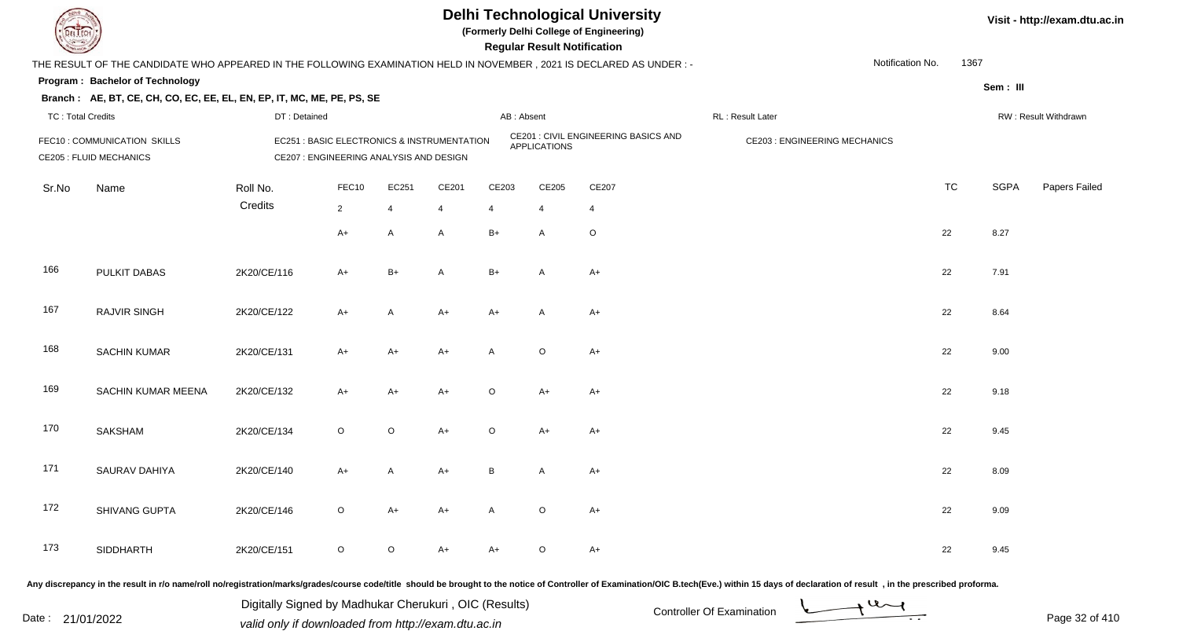

**(Formerly Delhi College of Engineering)**

| <b>Country of Charles</b> |                                                                                                                      |              |                                                                                        |                |                |                | <b>Regular Result Notification</b> |                                             |                                     |           |             |                      |
|---------------------------|----------------------------------------------------------------------------------------------------------------------|--------------|----------------------------------------------------------------------------------------|----------------|----------------|----------------|------------------------------------|---------------------------------------------|-------------------------------------|-----------|-------------|----------------------|
|                           | THE RESULT OF THE CANDIDATE WHO APPEARED IN THE FOLLOWING EXAMINATION HELD IN NOVEMBER, 2021 IS DECLARED AS UNDER :- |              |                                                                                        |                |                |                |                                    |                                             | Notification No.                    |           | 1367        |                      |
|                           | Program: Bachelor of Technology                                                                                      |              |                                                                                        |                |                |                |                                    |                                             |                                     |           | Sem: III    |                      |
|                           | Branch: AE, BT, CE, CH, CO, EC, EE, EL, EN, EP, IT, MC, ME, PE, PS, SE                                               |              |                                                                                        |                |                |                |                                    |                                             |                                     |           |             |                      |
| <b>TC: Total Credits</b>  |                                                                                                                      | DT: Detained |                                                                                        |                |                | AB: Absent     |                                    |                                             | RL : Result Later                   |           |             | RW: Result Withdrawn |
|                           | FEC10: COMMUNICATION SKILLS<br><b>CE205 : FLUID MECHANICS</b>                                                        |              | EC251 : BASIC ELECTRONICS & INSTRUMENTATION<br>CE207 : ENGINEERING ANALYSIS AND DESIGN |                |                |                | <b>APPLICATIONS</b>                | <b>CE201 : CIVIL ENGINEERING BASICS AND</b> | <b>CE203: ENGINEERING MECHANICS</b> |           |             |                      |
| Sr.No                     | Name                                                                                                                 | Roll No.     | FEC10                                                                                  | EC251          | CE201          | CE203          | CE205                              | CE207                                       |                                     | <b>TC</b> | <b>SGPA</b> | Papers Failed        |
|                           |                                                                                                                      | Credits      | $\overline{2}$                                                                         | $\overline{4}$ | $\overline{4}$ | $\overline{4}$ | $\overline{4}$                     | 4                                           |                                     |           |             |                      |
|                           |                                                                                                                      |              | $A+$                                                                                   | $\overline{A}$ | $\mathsf{A}$   | $B+$           | $\mathsf{A}$                       | $\circ$                                     |                                     | 22        | 8.27        |                      |
| 166                       | PULKIT DABAS                                                                                                         | 2K20/CE/116  | $A+$                                                                                   | $B+$           | $\mathsf{A}$   | $B+$           | A                                  | $A+$                                        |                                     | 22        | 7.91        |                      |
| 167                       | RAJVIR SINGH                                                                                                         | 2K20/CE/122  | $A+$                                                                                   | $\mathsf{A}$   | $A+$           | $A+$           | $\mathsf{A}$                       | $A+$                                        |                                     | 22        | 8.64        |                      |
| 168                       | <b>SACHIN KUMAR</b>                                                                                                  | 2K20/CE/131  | $A+$                                                                                   | $A+$           | $A+$           | A              | $\circ$                            | $A+$                                        |                                     | 22        | 9.00        |                      |
| 169                       | SACHIN KUMAR MEENA                                                                                                   | 2K20/CE/132  | $A+$                                                                                   | $A+$           | $A+$           | $\circ$        | $A+$                               | $A+$                                        |                                     | 22        | 9.18        |                      |
| 170                       | SAKSHAM                                                                                                              | 2K20/CE/134  | $\circ$                                                                                | $\circ$        | $A+$           | $\circ$        | $A+$                               | $A+$                                        |                                     | 22        | 9.45        |                      |
| 171                       | <b>SAURAV DAHIYA</b>                                                                                                 | 2K20/CE/140  | $A+$                                                                                   | $\mathsf{A}$   | $A+$           | B              | $\mathsf{A}$                       | $A+$                                        |                                     | 22        | 8.09        |                      |
| 172                       | SHIVANG GUPTA                                                                                                        | 2K20/CE/146  | $\circ$                                                                                | $A+$           | $A+$           | $\mathsf{A}$   | $\circ$                            | $A+$                                        |                                     | 22        | 9.09        |                      |
| 173                       | SIDDHARTH                                                                                                            | 2K20/CE/151  | $\circ$                                                                                | $\circ$        | $A+$           | A+             | O                                  | $A+$                                        |                                     | 22        | 9.45        |                      |
|                           |                                                                                                                      |              |                                                                                        |                |                |                |                                    |                                             |                                     |           |             |                      |

Any discrepancy in the result in r/o name/roll no/registration/marks/grades/course code/title should be brought to the notice of Controller of Examination/OIC B.tech(Eve.) within 15 days of declaration of result, in the pr

Date : 21/01/2022 Valid only if downloaded from http://exam.dtu.ac.in<br>valid only if downloaded from http://exam.dtu.ac.in Digitally Signed by Madhukar Cherukuri , OIC (Results)

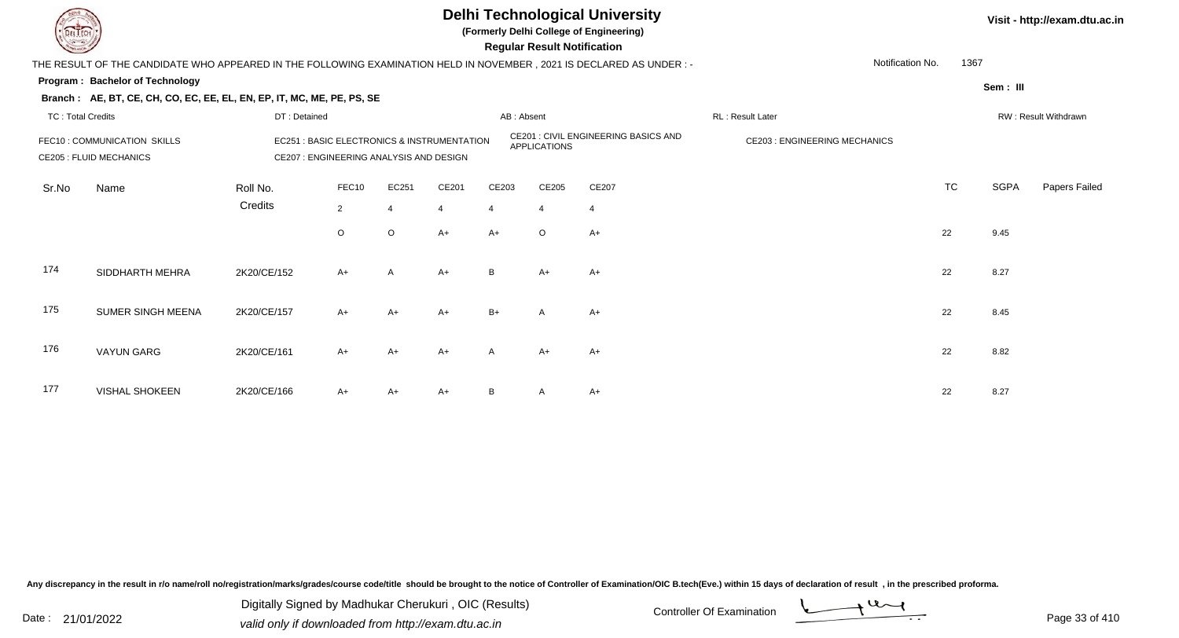

**(Formerly Delhi College of Engineering)**

 **Regular Result Notification**

| $\sim$                   |                                                                                                                     |                                                                                        |         |          |                |              | nggular ngsult nothlodilon |                                             |                                     |           |          |                      |
|--------------------------|---------------------------------------------------------------------------------------------------------------------|----------------------------------------------------------------------------------------|---------|----------|----------------|--------------|----------------------------|---------------------------------------------|-------------------------------------|-----------|----------|----------------------|
|                          | THE RESULT OF THE CANDIDATE WHO APPEARED IN THE FOLLOWING EXAMINATION HELD IN NOVEMBER, 2021 IS DECLARED AS UNDER:- |                                                                                        |         |          |                |              |                            |                                             | Notification No.                    | 1367      |          |                      |
|                          | Program: Bachelor of Technology                                                                                     |                                                                                        |         |          |                |              |                            |                                             |                                     |           | Sem: III |                      |
|                          | Branch: AE, BT, CE, CH, CO, EC, EE, EL, EN, EP, IT, MC, ME, PE, PS, SE                                              |                                                                                        |         |          |                |              |                            |                                             |                                     |           |          |                      |
| <b>TC: Total Credits</b> |                                                                                                                     | DT: Detained                                                                           |         |          |                | AB: Absent   |                            |                                             | RL: Result Later                    |           |          | RW: Result Withdrawn |
|                          | FEC10: COMMUNICATION SKILLS<br><b>CE205 : FLUID MECHANICS</b>                                                       | EC251 : BASIC ELECTRONICS & INSTRUMENTATION<br>CE207 : ENGINEERING ANALYSIS AND DESIGN |         |          |                |              | <b>APPLICATIONS</b>        | <b>CE201 : CIVIL ENGINEERING BASICS AND</b> | <b>CE203: ENGINEERING MECHANICS</b> |           |          |                      |
| Sr.No                    | Name                                                                                                                | Roll No.                                                                               | FEC10   | EC251    | CE201          | CE203        | CE205                      | CE207                                       |                                     | <b>TC</b> | SGPA     | Papers Failed        |
|                          |                                                                                                                     | Credits                                                                                | 2       |          | $\overline{4}$ |              | 4                          | 4                                           |                                     |           |          |                      |
|                          |                                                                                                                     |                                                                                        |         |          |                |              |                            |                                             |                                     |           |          |                      |
|                          |                                                                                                                     |                                                                                        | $\circ$ | $\Omega$ | $A+$           | $A+$         | $\circ$                    | $A+$                                        |                                     | 22        | 9.45     |                      |
| 174                      | SIDDHARTH MEHRA                                                                                                     | 2K20/CE/152                                                                            | $A+$    | A        | $A+$           | B            | $A+$                       | $A+$                                        |                                     | 22        | 8.27     |                      |
| 175                      | SUMER SINGH MEENA                                                                                                   | 2K20/CE/157                                                                            | $A+$    | $A+$     | $A+$           | $B+$         | $\mathsf{A}$               | $A+$                                        |                                     | 22        | 8.45     |                      |
| 176                      | <b>VAYUN GARG</b>                                                                                                   | 2K20/CE/161                                                                            | $A+$    | $A+$     | $A+$           | $\mathsf{A}$ | $A+$                       | $A+$                                        |                                     | 22        | 8.82     |                      |
| 177                      | <b>VISHAL SHOKEEN</b>                                                                                               | 2K20/CE/166                                                                            | $A+$    | A+       | $A+$           | B            | A                          | $A+$                                        |                                     | 22        | 8.27     |                      |

Any discrepancy in the result in r/o name/roll no/registration/marks/grades/course code/title should be brought to the notice of Controller of Examination/OIC B.tech(Eve.) within 15 days of declaration of result, in the pr

Date : 21/01/2022 Digital Digital of Microsofted Chemical Controller Of Examination Determination Page 33 of 41 Digitally Signed by Madhukar Cherukuri , OIC (Results)

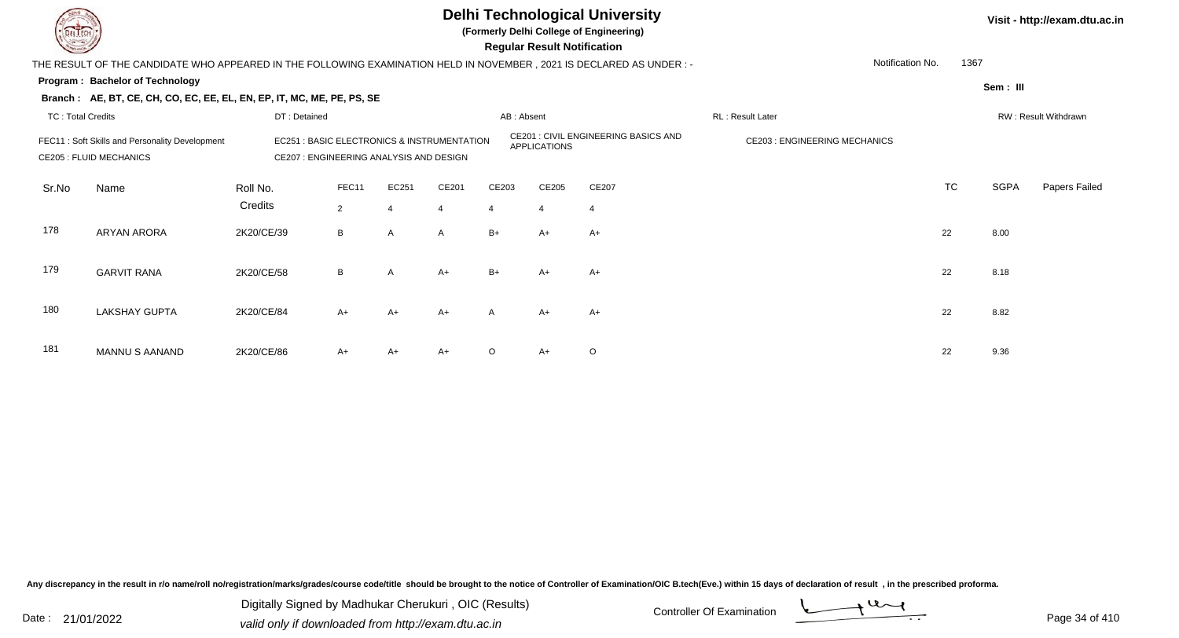

**(Formerly Delhi College of Engineering)**

 **Regular Result Notification**

| $\sim$                                                                           |                                                                                                                      |                                                                                                                                                                 |                         |            |                         |                         | n <del>c</del> yular n <del>c</del> oult nothloation |                          |                                     |           |                      |               |  |
|----------------------------------------------------------------------------------|----------------------------------------------------------------------------------------------------------------------|-----------------------------------------------------------------------------------------------------------------------------------------------------------------|-------------------------|------------|-------------------------|-------------------------|------------------------------------------------------|--------------------------|-------------------------------------|-----------|----------------------|---------------|--|
|                                                                                  | THE RESULT OF THE CANDIDATE WHO APPEARED IN THE FOLLOWING EXAMINATION HELD IN NOVEMBER, 2021 IS DECLARED AS UNDER :- |                                                                                                                                                                 |                         |            |                         |                         |                                                      | 1367<br>Notification No. |                                     |           |                      |               |  |
| Program: Bachelor of Technology                                                  |                                                                                                                      |                                                                                                                                                                 |                         |            |                         |                         |                                                      |                          |                                     |           | Sem: III             |               |  |
|                                                                                  | Branch: AE, BT, CE, CH, CO, EC, EE, EL, EN, EP, IT, MC, ME, PE, PS, SE                                               |                                                                                                                                                                 |                         |            |                         |                         |                                                      |                          |                                     |           |                      |               |  |
| <b>TC: Total Credits</b><br>DT: Detained                                         |                                                                                                                      |                                                                                                                                                                 |                         |            |                         | AB: Absent              |                                                      |                          | RL: Result Later                    |           | RW: Result Withdrawn |               |  |
| FEC11: Soft Skills and Personality Development<br><b>CE205 : FLUID MECHANICS</b> |                                                                                                                      | CE201 : CIVIL ENGINEERING BASICS AND<br><b>EC251: BASIC ELECTRONICS &amp; INSTRUMENTATION</b><br><b>APPLICATIONS</b><br>CE207 : ENGINEERING ANALYSIS AND DESIGN |                         |            |                         |                         |                                                      |                          | <b>CE203: ENGINEERING MECHANICS</b> |           |                      |               |  |
| Sr.No                                                                            | Name                                                                                                                 | Roll No.<br>Credits                                                                                                                                             | FEC11<br>$\overline{2}$ | EC251<br>4 | CE201<br>$\overline{4}$ | CE203<br>$\overline{4}$ | CE205<br>4                                           | CE207<br>4               |                                     | <b>TC</b> | SGPA                 | Papers Failed |  |
| 178                                                                              | <b>ARYAN ARORA</b>                                                                                                   | 2K20/CE/39                                                                                                                                                      | B                       | A          | A                       | $B+$                    | $A+$                                                 | $A+$                     |                                     | 22        | 8.00                 |               |  |
| 179                                                                              | <b>GARVIT RANA</b>                                                                                                   | 2K20/CE/58                                                                                                                                                      | B                       | A          | $A+$                    | $B+$                    | $A+$                                                 | $A+$                     |                                     | 22        | 8.18                 |               |  |
| 180                                                                              | <b>LAKSHAY GUPTA</b>                                                                                                 | 2K20/CE/84                                                                                                                                                      | $A+$                    | $A+$       | $A+$                    | A                       | A+                                                   | $A+$                     |                                     | 22        | 8.82                 |               |  |
| 181                                                                              | <b>MANNU S AANAND</b>                                                                                                | 2K20/CE/86                                                                                                                                                      | $A+$                    | $A+$       | $A+$                    | $\circ$                 | $A+$                                                 | $\circ$                  |                                     | 22        | 9.36                 |               |  |

Any discrepancy in the result in r/o name/roll no/registration/marks/grades/course code/title should be brought to the notice of Controller of Examination/OIC B.tech(Eve.) within 15 days of declaration of result, in the pr

Date : 21/01/2022 Digital Digital of Microsofted Chemical Controller Of Examination Determination Page 34 of 41 Digitally Signed by Madhukar Cherukuri , OIC (Results)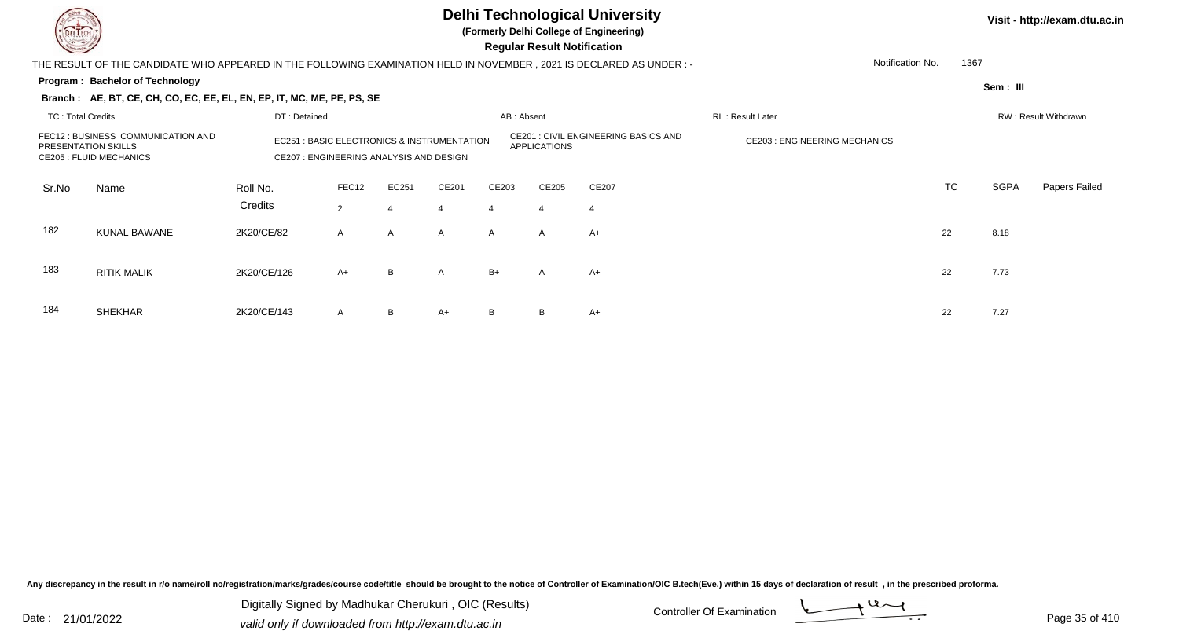

184

SHEKHAR

#### **Delhi Technological University**

**(Formerly Delhi College of Engineering)**

 **Regular Result Notification**

#### **Program : Bachelor of Technology** THE RESULT OF THE CANDIDATE WHO APPEARED IN THE FOLLOWING EXAMINATION HELD IN NOVEMBER , 2021 IS DECLARED AS UNDER : -**Sem : III Branch : AE, BT, CE, CH, CO, EC, EE, EL, EN, EP, IT, MC, ME, PE, PS, SE**TC : Total Credits DT : Detainedd AB : Absent RL : Result Later RW : Result Withdrawn Notification No. 1367Sr.NoName Roll No. **Credits** FEC12 : BUSINESS COMMUNICATION ANDPRESENTATION SKILLSEC251 : BASIC ELECTRONICS & INSTRUMENTATION CE201 : CIVIL ENGINEERING BASICS AND CE203 : ENGINEERING MECHANICS CE205 : FLUID MECHANICS CE207 : ENGINEERING ANALYSIS AND DESIGNFEC122 EC251 CE201 CE203 CE205 CE207 CE207 CE207 CE207 CONSERVERS CONSERVERS CONSERVERS CONSERVERS CONSERVERS CONSERVERS CONSERVERS CONSERVERS CONSERVERS CONSERVERS CONSERVERS CONSERVERS CONSERVERS CONSERVERS CONSERVERS CONSERV TC SGPA Papers Failed 22 4 4 4 4 4 182 KUNAL BAWANEE 2K20/CE/82 A A A A A A A+ 183 RITIK MALIKK 2K20/CE/126 A+ B A B+ A A+ 22 7.73

R 2K20/CE/143 A B A+ B B A+  $\rightarrow$  22 7.27

Any discrepancy in the result in r/o name/roll no/registration/marks/grades/course code/title should be brought to the notice of Controller of Examination/OIC B.tech(Eve.) within 15 days of declaration of result , in the p

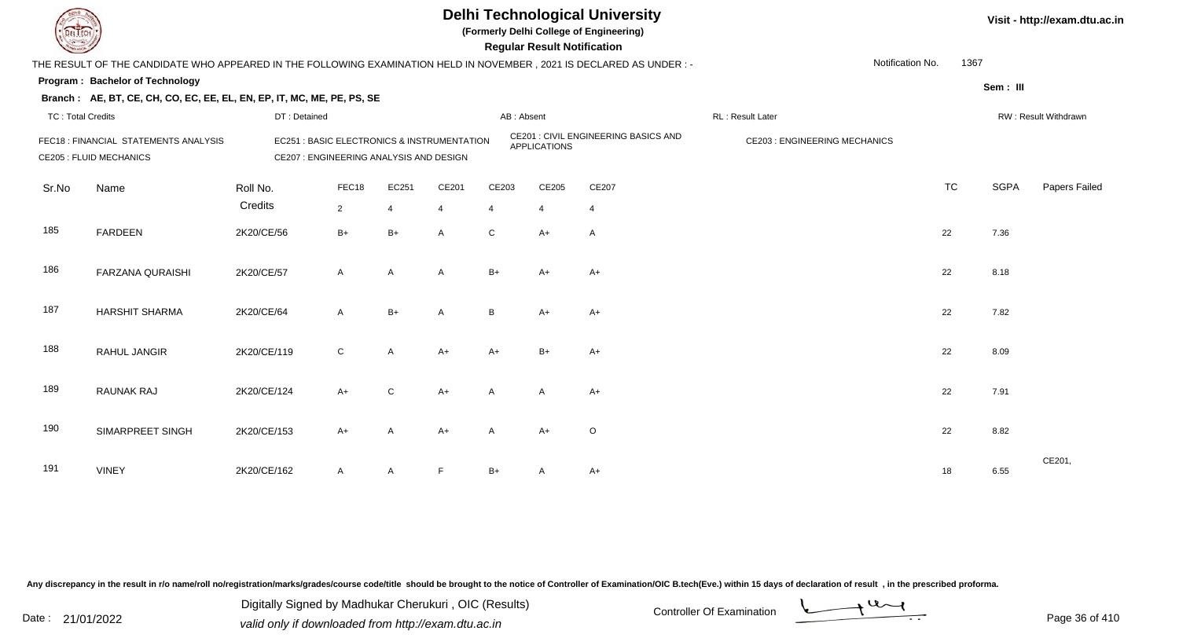

**(Formerly Delhi College of Engineering)**

 **Regular Result Notification**

| $\sim$                   |                                                                                                                      |                                         |                                                                                                            |                |                |                | <b>Regular Result Rothloation</b>    |                  |  |                  |                      |             |               |
|--------------------------|----------------------------------------------------------------------------------------------------------------------|-----------------------------------------|------------------------------------------------------------------------------------------------------------|----------------|----------------|----------------|--------------------------------------|------------------|--|------------------|----------------------|-------------|---------------|
|                          | THE RESULT OF THE CANDIDATE WHO APPEARED IN THE FOLLOWING EXAMINATION HELD IN NOVEMBER, 2021 IS DECLARED AS UNDER :- |                                         |                                                                                                            |                |                |                |                                      |                  |  | Notification No. | 1367                 |             |               |
|                          | Program: Bachelor of Technology                                                                                      |                                         |                                                                                                            |                |                |                |                                      |                  |  |                  |                      | Sem: III    |               |
|                          | Branch: AE, BT, CE, CH, CO, EC, EE, EL, EN, EP, IT, MC, ME, PE, PS, SE                                               |                                         |                                                                                                            |                |                |                |                                      |                  |  |                  |                      |             |               |
| <b>TC: Total Credits</b> |                                                                                                                      | DT: Detained                            |                                                                                                            |                | AB: Absent     |                |                                      | RL: Result Later |  |                  | RW: Result Withdrawn |             |               |
|                          | FEC18 : FINANCIAL STATEMENTS ANALYSIS<br><b>CE205 : FLUID MECHANICS</b>                                              | CE207 : ENGINEERING ANALYSIS AND DESIGN | CE201 : CIVIL ENGINEERING BASICS AND<br>EC251 : BASIC ELECTRONICS & INSTRUMENTATION<br><b>APPLICATIONS</b> |                |                |                | <b>CE203 : ENGINEERING MECHANICS</b> |                  |  |                  |                      |             |               |
| Sr.No                    | Name                                                                                                                 | Roll No.                                | FEC18                                                                                                      | EC251          | CE201          | CE203          | CE205                                | CE207            |  |                  | <b>TC</b>            | <b>SGPA</b> | Papers Failed |
|                          |                                                                                                                      | Credits                                 | $\overline{2}$                                                                                             | $\overline{4}$ | $\overline{4}$ | $\overline{4}$ | $\overline{4}$                       | $\overline{4}$   |  |                  |                      |             |               |
| 185                      | <b>FARDEEN</b>                                                                                                       | 2K20/CE/56                              | $B+$                                                                                                       | $B+$           | A              | $\mathsf{C}$   | $A+$                                 | A                |  |                  | 22                   | 7.36        |               |
| 186                      | <b>FARZANA QURAISHI</b>                                                                                              | 2K20/CE/57                              | $\mathsf{A}$                                                                                               | $\mathsf{A}$   | $\overline{A}$ | $B+$           | $A+$                                 | $A+$             |  |                  | 22                   | 8.18        |               |
| 187                      | <b>HARSHIT SHARMA</b>                                                                                                | 2K20/CE/64                              | $\mathsf{A}$                                                                                               | $B+$           | A              | B              | $A+$                                 | $A+$             |  |                  | 22                   | 7.82        |               |
| 188                      | RAHUL JANGIR                                                                                                         | 2K20/CE/119                             | $\mathsf{C}$                                                                                               | $\mathsf{A}$   | $A+$           | $A+$           | $B+$                                 | $A+$             |  |                  | 22                   | 8.09        |               |
| 189                      | <b>RAUNAK RAJ</b>                                                                                                    | 2K20/CE/124                             | $A+$                                                                                                       | $\mathsf{C}$   | $A+$           | A              | A                                    | $A+$             |  |                  | 22                   | 7.91        |               |
| 190                      | SIMARPREET SINGH                                                                                                     | 2K20/CE/153                             | $A+$                                                                                                       | $\mathsf{A}$   | $A+$           | $\mathsf{A}$   | $A+$                                 | $\circ$          |  |                  | 22                   | 8.82        |               |
| 191                      | <b>VINEY</b>                                                                                                         | 2K20/CE/162                             | $\mathsf{A}$                                                                                               | A              | F              | $B+$           | A                                    | A+               |  |                  | 18                   | 6.55        | CE201,        |

Any discrepancy in the result in r/o name/roll no/registration/marks/grades/course code/title should be brought to the notice of Controller of Examination/OIC B.tech(Eve.) within 15 days of declaration of result, in the pr

Date : 21/01/2022 Digital Digital of Microsofted Chemical Controller Of Examination Determination Page 36 of 41 Digitally Signed by Madhukar Cherukuri , OIC (Results)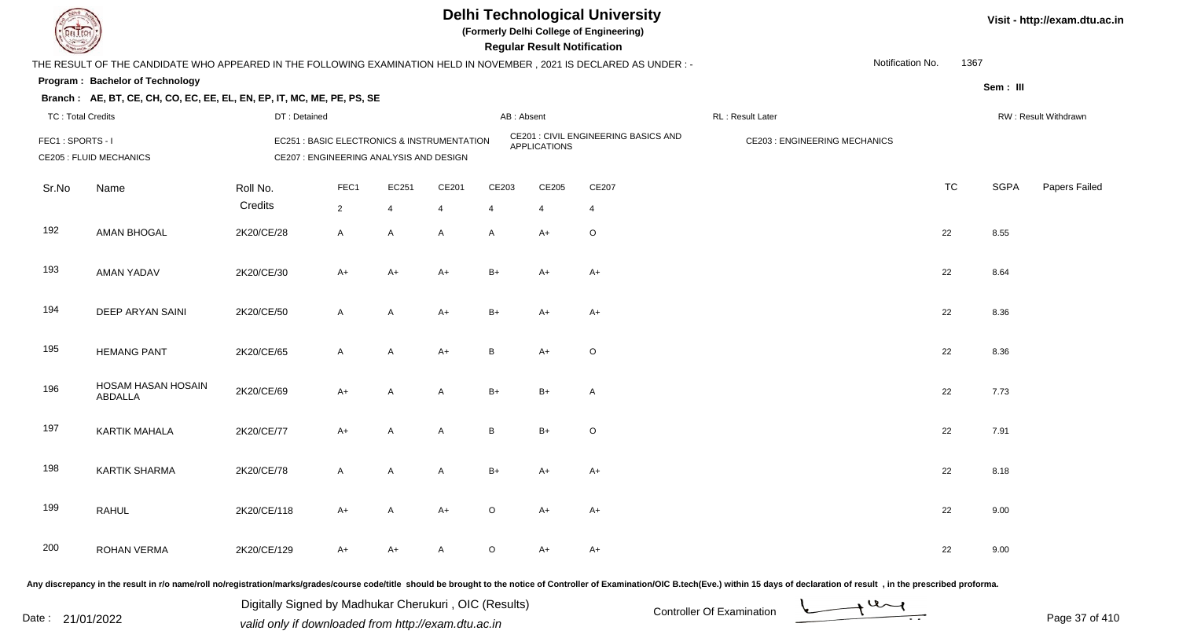

**(Formerly Delhi College of Engineering)**

**Regular Regular Results Notification** 

| <b>Courses the Courses of the United States</b> |                                                                                                                      |                     |                        |                                         |                                                       |                         | <b>Regular Result Notification</b> |                                      |                                     |                  |             |                      |
|-------------------------------------------------|----------------------------------------------------------------------------------------------------------------------|---------------------|------------------------|-----------------------------------------|-------------------------------------------------------|-------------------------|------------------------------------|--------------------------------------|-------------------------------------|------------------|-------------|----------------------|
|                                                 | THE RESULT OF THE CANDIDATE WHO APPEARED IN THE FOLLOWING EXAMINATION HELD IN NOVEMBER, 2021 IS DECLARED AS UNDER :- |                     |                        |                                         |                                                       |                         |                                    |                                      |                                     | Notification No. | 1367        |                      |
|                                                 | <b>Program: Bachelor of Technology</b>                                                                               |                     |                        |                                         |                                                       |                         |                                    |                                      |                                     |                  | Sem: III    |                      |
|                                                 | Branch: AE, BT, CE, CH, CO, EC, EE, EL, EN, EP, IT, MC, ME, PE, PS, SE                                               |                     |                        |                                         |                                                       |                         |                                    |                                      |                                     |                  |             |                      |
| <b>TC: Total Credits</b>                        |                                                                                                                      | DT: Detained        |                        |                                         |                                                       | AB: Absent              |                                    |                                      | RL: Result Later                    |                  |             | RW: Result Withdrawn |
| FEC1: SPORTS - I                                | <b>CE205 : FLUID MECHANICS</b>                                                                                       |                     |                        | CE207 : ENGINEERING ANALYSIS AND DESIGN | <b>EC251: BASIC ELECTRONICS &amp; INSTRUMENTATION</b> |                         | <b>APPLICATIONS</b>                | CE201 : CIVIL ENGINEERING BASICS AND | <b>CE203: ENGINEERING MECHANICS</b> |                  |             |                      |
| Sr.No                                           | Name                                                                                                                 | Roll No.<br>Credits | FEC1<br>$\overline{2}$ | EC251<br>$\overline{4}$                 | CE201<br>$\overline{4}$                               | CE203<br>$\overline{4}$ | CE205<br>$\overline{4}$            | CE207<br>$\overline{4}$              |                                     | <b>TC</b>        | <b>SGPA</b> | Papers Failed        |
| 192                                             | <b>AMAN BHOGAL</b>                                                                                                   | 2K20/CE/28          | $\mathsf{A}$           | A                                       | A                                                     | A                       | $A+$                               | $\circ$                              |                                     | 22               | 8.55        |                      |
| 193                                             | <b>AMAN YADAV</b>                                                                                                    | 2K20/CE/30          | $A+$                   | $A+$                                    | $A+$                                                  | $B+$                    | A+                                 | $A+$                                 |                                     | 22               | 8.64        |                      |
| 194                                             | DEEP ARYAN SAINI                                                                                                     | 2K20/CE/50          | $\mathsf{A}$           | A                                       | $A+$                                                  | $B+$                    | A+                                 | $A+$                                 |                                     | 22               | 8.36        |                      |
| 195                                             | <b>HEMANG PANT</b>                                                                                                   | 2K20/CE/65          | $\mathsf{A}$           | A                                       | $A+$                                                  | B                       | $A+$                               | $\circ$                              |                                     | 22               | 8.36        |                      |
| 196                                             | HOSAM HASAN HOSAIN<br>ABDALLA                                                                                        | 2K20/CE/69          | $A+$                   | Α                                       | A                                                     | $B+$                    | $B+$                               | A                                    |                                     | 22               | 7.73        |                      |
| 197                                             | <b>KARTIK MAHALA</b>                                                                                                 | 2K20/CE/77          | $A+$                   | A                                       | A                                                     | B                       | $B+$                               | $\mathsf O$                          |                                     | 22               | 7.91        |                      |
| 198                                             | <b>KARTIK SHARMA</b>                                                                                                 | 2K20/CE/78          | $\mathsf{A}$           | A                                       | A                                                     | $B+$                    | A+                                 | $A+$                                 |                                     | 22               | 8.18        |                      |
| 199                                             | <b>RAHUL</b>                                                                                                         | 2K20/CE/118         | $A+$                   | $\mathsf{A}$                            | $A+$                                                  | O                       | A+                                 | $A+$                                 |                                     | 22               | 9.00        |                      |
| 200                                             | <b>ROHAN VERMA</b>                                                                                                   | 2K20/CE/129         | A+                     | A+                                      | A                                                     | O                       | A+                                 | $A+$                                 |                                     | 22               | 9.00        |                      |
|                                                 |                                                                                                                      |                     |                        |                                         |                                                       |                         |                                    |                                      |                                     |                  |             |                      |

Any discrepancy in the result in r/o name/roll no/registration/marks/grades/course code/title should be brought to the notice of Controller of Examination/OIC B.tech(Eve.) within 15 days of declaration of result, in the pr

Digitally Signed by Madhukar Cherukuri, OIC (Results)<br>Date : 21/01/2022 valid only if downloaded from http://oxam.dtu.ac.in Digitally Signed by Madhukar Cherukuri , OIC (Results)valid only if downloaded from http://exam.dtu.ac.in

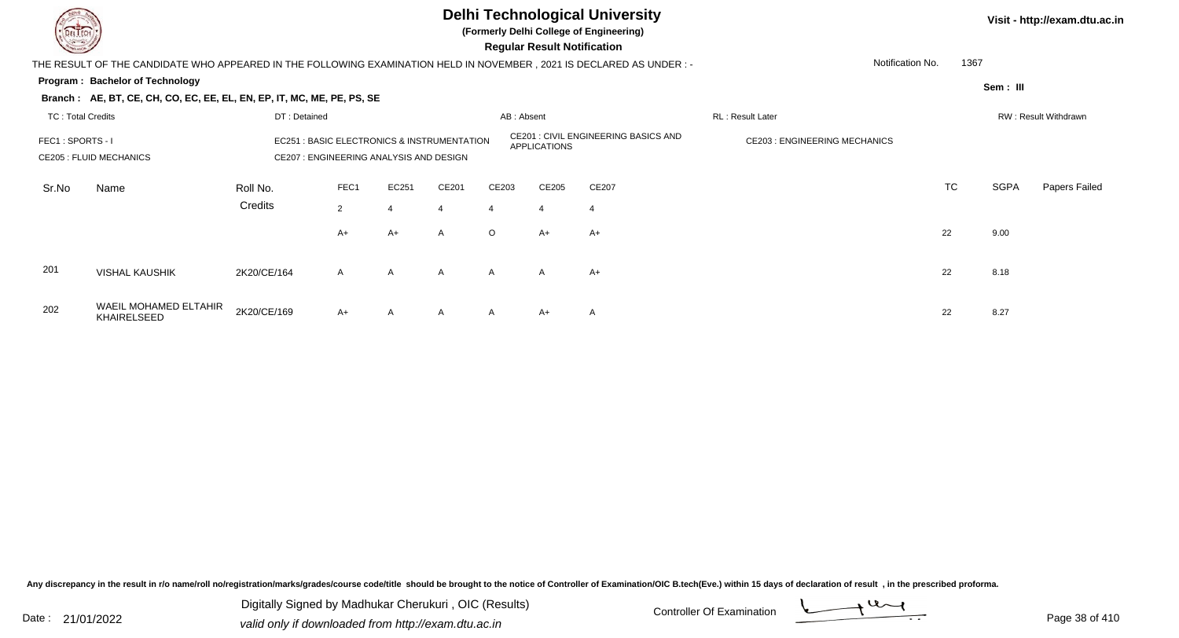

**(Formerly Delhi College of Engineering)**

 **Regular Result Notification**

| <b>Course Lines</b>      |                                                                                                                        |                                                                                        |              |                  |                     |                                             | Regular Result Notification         |       |                  |           |             |                      |
|--------------------------|------------------------------------------------------------------------------------------------------------------------|----------------------------------------------------------------------------------------|--------------|------------------|---------------------|---------------------------------------------|-------------------------------------|-------|------------------|-----------|-------------|----------------------|
|                          | THE RESULT OF THE CANDIDATE WHO APPEARED IN THE FOLLOWING EXAMINATION HELD IN NOVEMBER , 2021 IS DECLARED AS UNDER : - |                                                                                        |              |                  |                     |                                             |                                     |       | Notification No. | 1367      |             |                      |
|                          | Program: Bachelor of Technology                                                                                        |                                                                                        |              |                  |                     |                                             |                                     |       |                  |           | Sem: III    |                      |
|                          | Branch: AE, BT, CE, CH, CO, EC, EE, EL, EN, EP, IT, MC, ME, PE, PS, SE                                                 |                                                                                        |              |                  |                     |                                             |                                     |       |                  |           |             |                      |
| <b>TC: Total Credits</b> |                                                                                                                        | DT: Detained                                                                           |              |                  |                     | AB: Absent                                  |                                     |       | RL: Result Later |           |             | RW: Result Withdrawn |
| FEC1: SPORTS - I         | <b>CE205 : FLUID MECHANICS</b>                                                                                         | EC251 : BASIC ELECTRONICS & INSTRUMENTATION<br>CE207 : ENGINEERING ANALYSIS AND DESIGN |              |                  | <b>APPLICATIONS</b> | <b>CE201 : CIVIL ENGINEERING BASICS AND</b> | <b>CE203: ENGINEERING MECHANICS</b> |       |                  |           |             |                      |
| Sr.No                    | Name                                                                                                                   | Roll No.                                                                               | FEC1         | EC251            | CE201               | CE203                                       | CE205                               | CE207 |                  | <b>TC</b> | <b>SGPA</b> | Papers Failed        |
|                          |                                                                                                                        | Credits                                                                                | 2            | $\boldsymbol{4}$ | 4                   | 4                                           | $\overline{4}$                      | -4    |                  |           |             |                      |
|                          |                                                                                                                        |                                                                                        | $A+$         | A+               | $\mathsf{A}$        | $\circ$                                     | $A+$                                | $A+$  |                  | 22        | 9.00        |                      |
| 201                      | <b>VISHAL KAUSHIK</b>                                                                                                  | 2K20/CE/164                                                                            | $\mathsf{A}$ | A                | A                   | $\mathsf{A}$                                | $\mathsf{A}$                        | $A+$  |                  | 22        | 8.18        |                      |
| 202                      | WAEIL MOHAMED ELTAHIR<br><b>KHAIRELSEED</b>                                                                            | 2K20/CE/169                                                                            | $A+$         | $\mathsf{A}$     | A                   | $\mathsf{A}$                                | $A+$                                | A     |                  | 22        | 8.27        |                      |

Any discrepancy in the result in r/o name/roll no/registration/marks/grades/course code/title should be brought to the notice of Controller of Examination/OIC B.tech(Eve.) within 15 days of declaration of result, in the pr

Date : 21/01/2022 Digital Digital of Microsofted Chemical Controller Of Examination Determination Page 38 of 41 Digitally Signed by Madhukar Cherukuri , OIC (Results)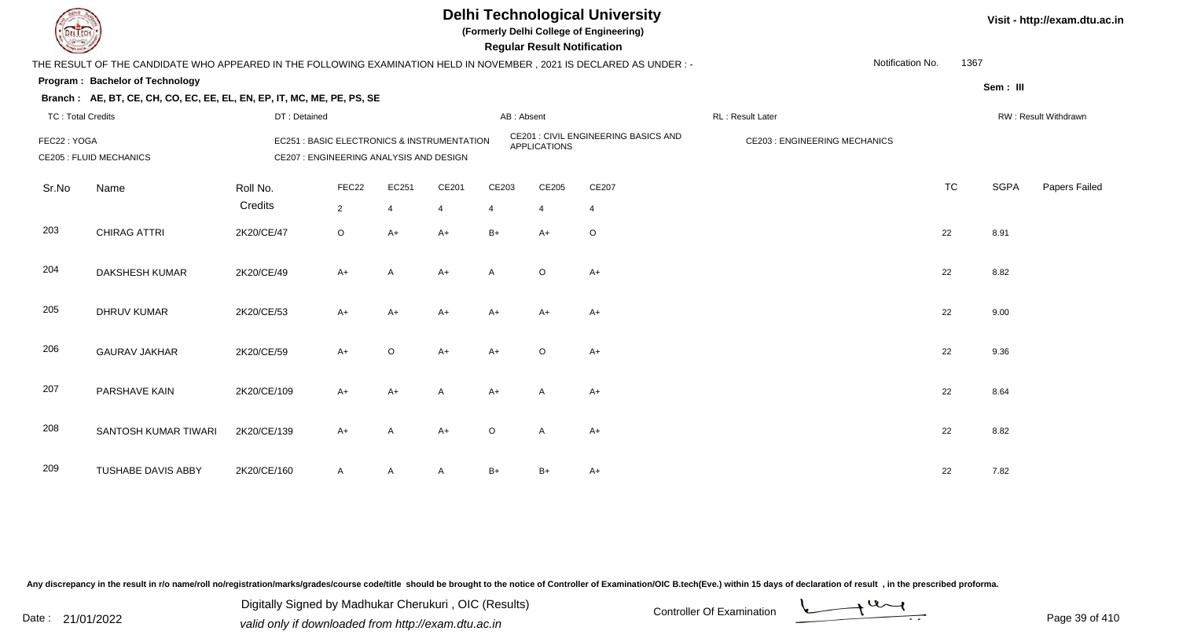

**(Formerly Delhi College of Engineering)**

 **Regular Result Notification**

| <b>County</b>            |                                                                                                                        |                                         |                         |                |                                                       |              | <b>Regular Result Notification</b> |                                      |                                     |                  |           |             |                      |
|--------------------------|------------------------------------------------------------------------------------------------------------------------|-----------------------------------------|-------------------------|----------------|-------------------------------------------------------|--------------|------------------------------------|--------------------------------------|-------------------------------------|------------------|-----------|-------------|----------------------|
|                          | THE RESULT OF THE CANDIDATE WHO APPEARED IN THE FOLLOWING EXAMINATION HELD IN NOVEMBER , 2021 IS DECLARED AS UNDER : - |                                         |                         |                |                                                       |              |                                    |                                      |                                     | Notification No. | 1367      |             |                      |
|                          | Program: Bachelor of Technology                                                                                        |                                         |                         |                |                                                       |              |                                    |                                      |                                     |                  |           | Sem: III    |                      |
|                          | Branch: AE, BT, CE, CH, CO, EC, EE, EL, EN, EP, IT, MC, ME, PE, PS, SE                                                 |                                         |                         |                |                                                       |              |                                    |                                      |                                     |                  |           |             |                      |
| <b>TC: Total Credits</b> |                                                                                                                        | DT: Detained                            |                         |                |                                                       | AB: Absent   |                                    |                                      | RL: Result Later                    |                  |           |             | RW: Result Withdrawn |
| FEC22: YOGA              | <b>CE205 : FLUID MECHANICS</b>                                                                                         | CE207 : ENGINEERING ANALYSIS AND DESIGN |                         |                | <b>EC251: BASIC ELECTRONICS &amp; INSTRUMENTATION</b> |              | <b>APPLICATIONS</b>                | CE201 : CIVIL ENGINEERING BASICS AND | <b>CE203: ENGINEERING MECHANICS</b> |                  |           |             |                      |
| Sr.No                    | Name                                                                                                                   | Roll No.<br>Credits                     | FEC22<br>$\overline{2}$ | EC251<br>4     | CE201<br>$\overline{4}$                               | CE203<br>4   | CE205<br>$\overline{4}$            | CE207<br>$\overline{4}$              |                                     |                  | <b>TC</b> | <b>SGPA</b> | Papers Failed        |
| 203                      | <b>CHIRAG ATTRI</b>                                                                                                    | 2K20/CE/47                              | $\circ$                 | $A+$           | $A+$                                                  | $B+$         | $A+$                               | O                                    |                                     |                  | 22        | 8.91        |                      |
| 204                      | DAKSHESH KUMAR                                                                                                         | 2K20/CE/49                              | $A+$                    | $\overline{A}$ | $A+$                                                  | $\mathsf{A}$ | $\circ$                            | $A+$                                 |                                     |                  | 22        | 8.82        |                      |
| 205                      | <b>DHRUV KUMAR</b>                                                                                                     | 2K20/CE/53                              | $A+$                    | $A+$           | $A+$                                                  | A+           | $A+$                               | $A+$                                 |                                     |                  | 22        | 9.00        |                      |
| 206                      | <b>GAURAV JAKHAR</b>                                                                                                   | 2K20/CE/59                              | $A+$                    | $\circ$        | $A+$                                                  | $A+$         | $\circ$                            | $A+$                                 |                                     |                  | 22        | 9.36        |                      |
| 207                      | PARSHAVE KAIN                                                                                                          | 2K20/CE/109                             | $A+$                    | $A+$           | A                                                     | A+           | A                                  | A+                                   |                                     |                  | 22        | 8.64        |                      |
| 208                      | SANTOSH KUMAR TIWARI                                                                                                   | 2K20/CE/139                             | $A+$                    | $\overline{A}$ | $A+$                                                  | $\circ$      | A                                  | $A+$                                 |                                     |                  | 22        | 8.82        |                      |
| 209                      | <b>TUSHABE DAVIS ABBY</b>                                                                                              | 2K20/CE/160                             | $\mathsf{A}$            | A              | $\mathsf{A}$                                          | $B+$         | $B+$                               | A+                                   |                                     |                  | 22        | 7.82        |                      |

Any discrepancy in the result in r/o name/roll no/registration/marks/grades/course code/title should be brought to the notice of Controller of Examination/OIC B.tech(Eve.) within 15 days of declaration of result, in the pr

Date : 21/01/2022 Digital Digital of Microsofted Chemical Controller Of Examination Determination Page 39 of 41 Digitally Signed by Madhukar Cherukuri , OIC (Results)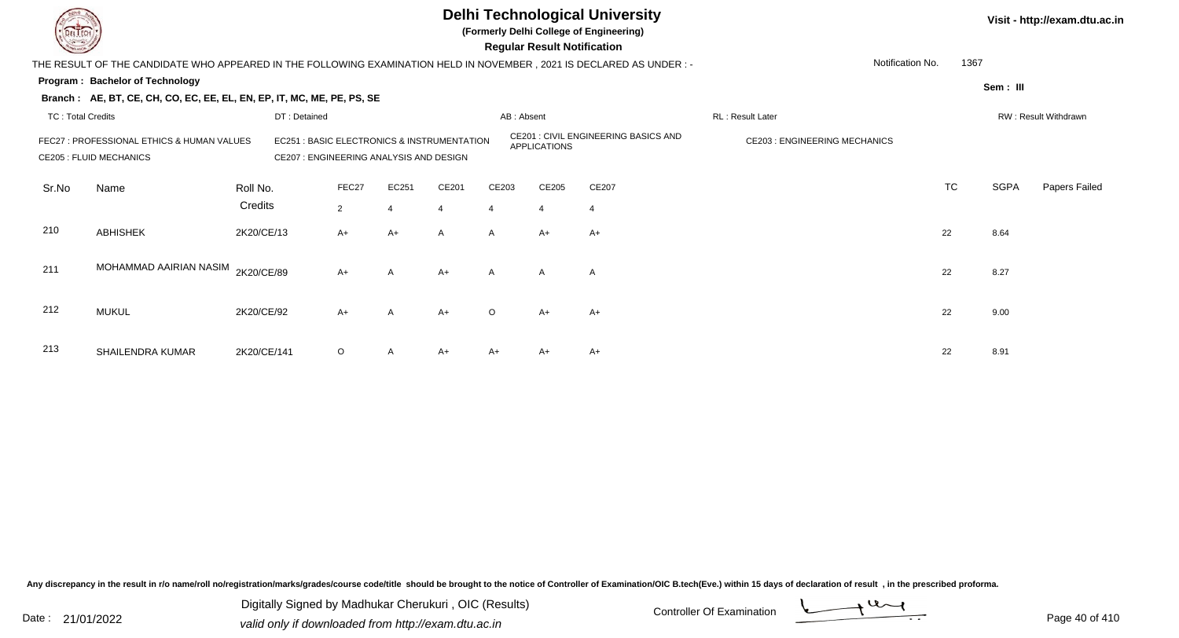

**(Formerly Delhi College of Engineering)**

 **Regular Result Notification**

| $\overline{\phantom{0}}$ |                                                                                                                     |                                         |                                             |                  |                     |                                      | <b>Regular Result Notification</b>  |       |                  |           |             |                      |
|--------------------------|---------------------------------------------------------------------------------------------------------------------|-----------------------------------------|---------------------------------------------|------------------|---------------------|--------------------------------------|-------------------------------------|-------|------------------|-----------|-------------|----------------------|
|                          | THE RESULT OF THE CANDIDATE WHO APPEARED IN THE FOLLOWING EXAMINATION HELD IN NOVEMBER, 2021 IS DECLARED AS UNDER:- |                                         |                                             |                  |                     |                                      |                                     |       | Notification No. | 1367      |             |                      |
|                          | Program: Bachelor of Technology                                                                                     |                                         |                                             |                  |                     |                                      |                                     |       |                  |           | Sem: III    |                      |
|                          | Branch: AE, BT, CE, CH, CO, EC, EE, EL, EN, EP, IT, MC, ME, PE, PS, SE                                              |                                         |                                             |                  |                     |                                      |                                     |       |                  |           |             |                      |
| TC: Total Credits        |                                                                                                                     | DT: Detained                            |                                             |                  |                     | AB: Absent                           |                                     |       | RL: Result Later |           |             | RW: Result Withdrawn |
|                          | FEC27 : PROFESSIONAL ETHICS & HUMAN VALUES<br><b>CE205 : FLUID MECHANICS</b>                                        | CE207 : ENGINEERING ANALYSIS AND DESIGN | EC251 : BASIC ELECTRONICS & INSTRUMENTATION |                  | <b>APPLICATIONS</b> | CE201 : CIVIL ENGINEERING BASICS AND | <b>CE203: ENGINEERING MECHANICS</b> |       |                  |           |             |                      |
| Sr.No                    | Name                                                                                                                | Roll No.                                | FEC27                                       | EC251            | CE201               | CE203                                | CE205                               | CE207 |                  | <b>TC</b> | <b>SGPA</b> | Papers Failed        |
|                          |                                                                                                                     | Credits                                 | $2^{\circ}$                                 | $\boldsymbol{4}$ | 4                   | 4                                    | 4                                   | -4    |                  |           |             |                      |
| 210                      | <b>ABHISHEK</b>                                                                                                     | 2K20/CE/13                              | $A+$                                        | $A+$             | $\mathsf{A}$        | $\mathsf{A}$                         | $A+$                                | $A+$  |                  | 22        | 8.64        |                      |
| 211                      | MOHAMMAD AAIRIAN NASIM                                                                                              | 2K20/CE/89                              | $A+$                                        | $\mathsf{A}$     | $A+$                | $\mathsf{A}$                         | $\mathsf{A}$                        | A     |                  | 22        | 8.27        |                      |
| 212                      | <b>MUKUL</b>                                                                                                        | 2K20/CE/92                              | $A+$                                        | $\mathsf{A}$     | $A+$                | $\circ$                              | $A+$                                | A+    |                  | 22        | 9.00        |                      |
| 213                      | SHAILENDRA KUMAR                                                                                                    | 2K20/CE/141                             | $\circ$                                     | A                | $A+$                | A+                                   | A+                                  | A+    |                  | 22        | 8.91        |                      |

Any discrepancy in the result in r/o name/roll no/registration/marks/grades/course code/title should be brought to the notice of Controller of Examination/OIC B.tech(Eve.) within 15 days of declaration of result, in the pr

Date : 21/01/2022 Valid only if downloaded from http://exam.dtu.ac.in<br>valid only if downloaded from http://exam.dtu.ac.in Digitally Signed by Madhukar Cherukuri , OIC (Results)

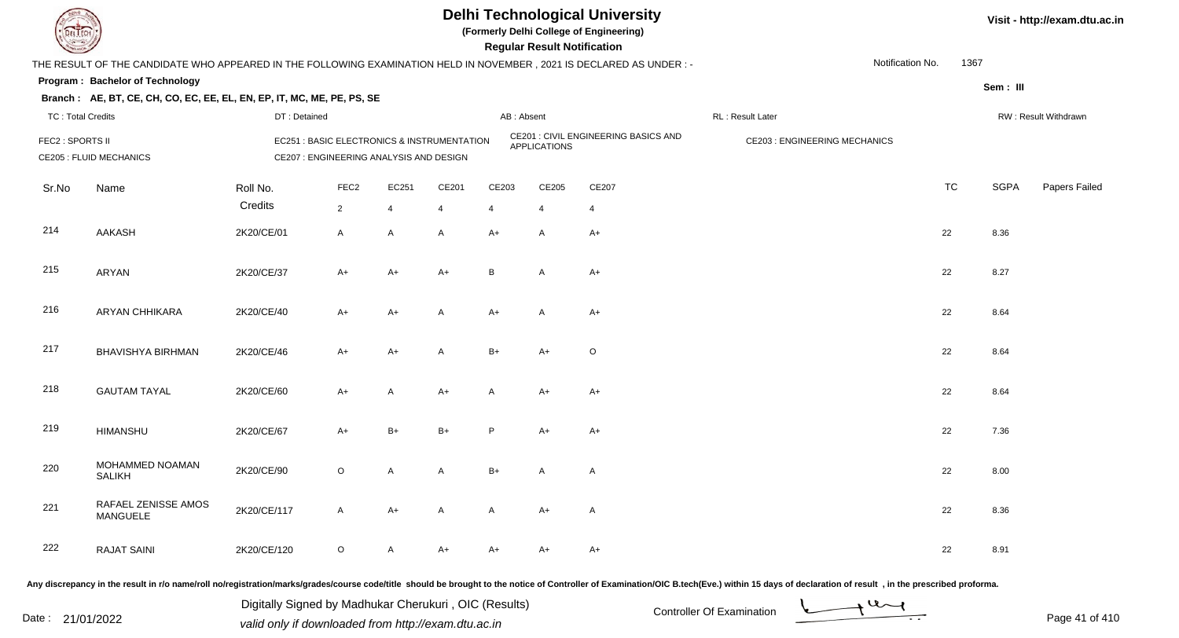

**(Formerly Delhi College of Engineering)**

**Regular Regular Results Notification** 

| <b>Courses A</b>         |                                                                                                                      |              |                                         |              |                                             |            | <b>Regular Result Notification</b> |                                      |                                     |                  |             |                      |
|--------------------------|----------------------------------------------------------------------------------------------------------------------|--------------|-----------------------------------------|--------------|---------------------------------------------|------------|------------------------------------|--------------------------------------|-------------------------------------|------------------|-------------|----------------------|
|                          | THE RESULT OF THE CANDIDATE WHO APPEARED IN THE FOLLOWING EXAMINATION HELD IN NOVEMBER, 2021 IS DECLARED AS UNDER :- |              |                                         |              |                                             |            |                                    |                                      |                                     | Notification No. | 1367        |                      |
|                          | Program: Bachelor of Technology                                                                                      |              |                                         |              |                                             |            |                                    |                                      |                                     |                  | Sem: III    |                      |
|                          | Branch: AE, BT, CE, CH, CO, EC, EE, EL, EN, EP, IT, MC, ME, PE, PS, SE                                               |              |                                         |              |                                             |            |                                    |                                      |                                     |                  |             |                      |
| <b>TC: Total Credits</b> |                                                                                                                      | DT: Detained |                                         |              |                                             | AB: Absent |                                    |                                      | RL : Result Later                   |                  |             | RW: Result Withdrawn |
| FEC2 : SPORTS II         | <b>CE205 : FLUID MECHANICS</b>                                                                                       |              | CE207 : ENGINEERING ANALYSIS AND DESIGN |              | EC251 : BASIC ELECTRONICS & INSTRUMENTATION |            | <b>APPLICATIONS</b>                | CE201 : CIVIL ENGINEERING BASICS AND | <b>CE203: ENGINEERING MECHANICS</b> |                  |             |                      |
| Sr.No                    | Name                                                                                                                 | Roll No.     | FEC <sub>2</sub>                        | EC251        | CE201                                       | CE203      | CE205                              | CE207                                |                                     | <b>TC</b>        | <b>SGPA</b> | Papers Failed        |
|                          |                                                                                                                      | Credits      | $\overline{2}$                          | 4            | $\overline{4}$                              | 4          | 4                                  | 4                                    |                                     |                  |             |                      |
| 214                      | AAKASH                                                                                                               | 2K20/CE/01   | $\mathsf{A}$                            | $\mathsf{A}$ | $\mathsf{A}$                                | $A+$       | A                                  | $A+$                                 |                                     | 22               | 8.36        |                      |
| 215                      | ARYAN                                                                                                                | 2K20/CE/37   | $A+$                                    | A+           | $A+$                                        | B          | A                                  | $A+$                                 |                                     | 22               | 8.27        |                      |
| 216                      | <b>ARYAN CHHIKARA</b>                                                                                                | 2K20/CE/40   | $A+$                                    | $A+$         | $\mathsf{A}$                                | $A+$       | A                                  | $A+$                                 |                                     | 22               | 8.64        |                      |
| 217                      | <b>BHAVISHYA BIRHMAN</b>                                                                                             | 2K20/CE/46   | $A+$                                    | $A+$         | $\mathsf{A}$                                | $B+$       | $A+$                               | O                                    |                                     | 22               | 8.64        |                      |
| 218                      | <b>GAUTAM TAYAL</b>                                                                                                  | 2K20/CE/60   | $A+$                                    | Α            | $A+$                                        | A          | A+                                 | A+                                   |                                     | 22               | 8.64        |                      |
| 219                      | <b>HIMANSHU</b>                                                                                                      | 2K20/CE/67   | $A+$                                    | $B+$         | $B+$                                        | P          | $A+$                               | A+                                   |                                     | 22               | 7.36        |                      |
| 220                      | MOHAMMED NOAMAN<br><b>SALIKH</b>                                                                                     | 2K20/CE/90   | $\circ$                                 | A            | A                                           | $B+$       | A                                  | A                                    |                                     | 22               | 8.00        |                      |
| 221                      | RAFAEL ZENISSE AMOS<br>MANGUELE                                                                                      | 2K20/CE/117  | A                                       | $A+$         | A                                           | A          | A+                                 | A                                    |                                     | 22               | 8.36        |                      |
| 222                      | <b>RAJAT SAINI</b>                                                                                                   | 2K20/CE/120  | $\mathsf O$                             | A            | A+                                          | A+         | A+                                 | A+                                   |                                     | 22               | 8.91        |                      |

Any discrepancy in the result in r/o name/roll no/registration/marks/grades/course code/title should be brought to the notice of Controller of Examination/OIC B.tech(Eve.) within 15 days of declaration of result, in the pr

Digitally Signed by Madhukar Cherukuri, OIC (Results)<br>Date : 21/01/2022 valid only if downloaded from http://oxam.dtu.ac.in Digitally Signed by Madhukar Cherukuri , OIC (Results)valid only if downloaded from http://exam.dtu.ac.in

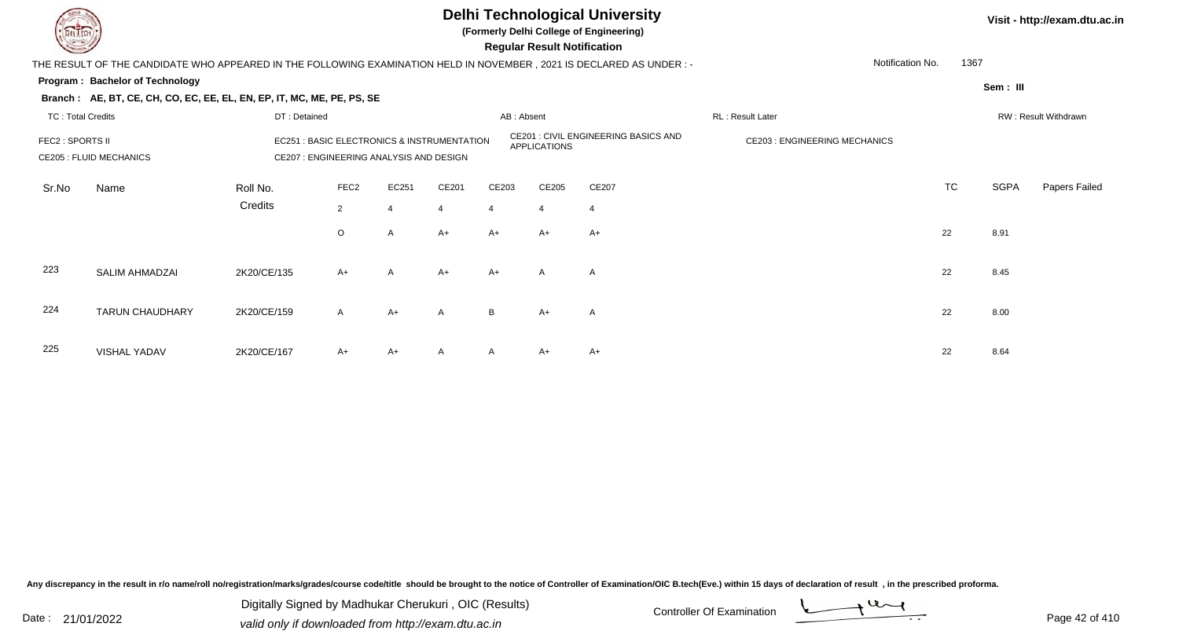

**(Formerly Delhi College of Engineering)**

 **Regular Result Notification**

| <b>Consultant Property</b> |                                                                                                                        |              |                  |                                                                                        |                |            | Regular Result Notification |                                      |                                     |      |             |                      |
|----------------------------|------------------------------------------------------------------------------------------------------------------------|--------------|------------------|----------------------------------------------------------------------------------------|----------------|------------|-----------------------------|--------------------------------------|-------------------------------------|------|-------------|----------------------|
|                            | THE RESULT OF THE CANDIDATE WHO APPEARED IN THE FOLLOWING EXAMINATION HELD IN NOVEMBER , 2021 IS DECLARED AS UNDER : - |              |                  |                                                                                        |                |            |                             |                                      | Notification No.                    | 1367 |             |                      |
|                            | Program: Bachelor of Technology                                                                                        |              |                  |                                                                                        |                |            |                             |                                      |                                     |      | Sem: III    |                      |
|                            | Branch: AE, BT, CE, CH, CO, EC, EE, EL, EN, EP, IT, MC, ME, PE, PS, SE                                                 |              |                  |                                                                                        |                |            |                             |                                      |                                     |      |             |                      |
| <b>TC: Total Credits</b>   |                                                                                                                        | DT: Detained |                  |                                                                                        |                | AB: Absent |                             |                                      | RL: Result Later                    |      |             | RW: Result Withdrawn |
|                            | <b>FEC2 : SPORTS II</b><br><b>CE205 : FLUID MECHANICS</b><br>Roll No.<br>Name                                          |              |                  | EC251 : BASIC ELECTRONICS & INSTRUMENTATION<br>CE207 : ENGINEERING ANALYSIS AND DESIGN |                |            | APPLICATIONS                | CE201 : CIVIL ENGINEERING BASICS AND | <b>CE203: ENGINEERING MECHANICS</b> |      |             |                      |
| Sr.No                      |                                                                                                                        |              | FEC <sub>2</sub> | EC251                                                                                  | CE201          | CE203      | CE205                       | CE207                                |                                     | TC   | <b>SGPA</b> | Papers Failed        |
|                            |                                                                                                                        | Credits      | $\overline{2}$   | 4                                                                                      | $\overline{4}$ | 4          | 4                           | 4                                    |                                     |      |             |                      |
|                            |                                                                                                                        |              | $\circ$          | A                                                                                      | $A+$           | A+         | $A+$                        | A+                                   |                                     | 22   | 8.91        |                      |
| 223                        | SALIM AHMADZAI                                                                                                         | 2K20/CE/135  | $A+$             | A                                                                                      | $A+$           | $A+$       | A                           | A                                    |                                     | 22   | 8.45        |                      |
| 224                        | <b>TARUN CHAUDHARY</b>                                                                                                 | 2K20/CE/159  | $\mathsf{A}$     | $A+$                                                                                   | A              | B          | $A+$                        | A                                    |                                     | 22   | 8.00        |                      |
| 225                        | <b>VISHAL YADAV</b>                                                                                                    | 2K20/CE/167  | $A+$             | $A+$                                                                                   | A              | A          | $A+$                        | $A+$                                 |                                     | 22   | 8.64        |                      |

Any discrepancy in the result in r/o name/roll no/registration/marks/grades/course code/title should be brought to the notice of Controller of Examination/OIC B.tech(Eve.) within 15 days of declaration of result, in the pr

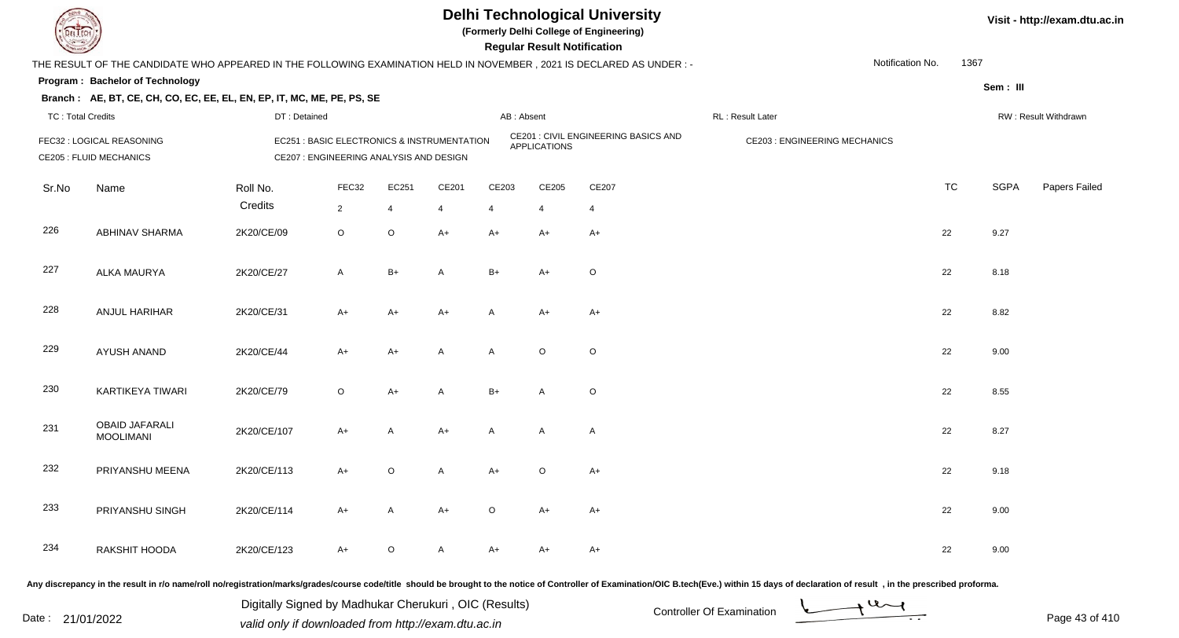

**(Formerly Delhi College of Engineering)**

**Regular Regular Results** 

| <b>Consultant Property</b> |                                                                                                                      |              |                                                                                        |                |                |         | <b>Regular Result Notification</b> |                                      |                                     |           |             |                      |
|----------------------------|----------------------------------------------------------------------------------------------------------------------|--------------|----------------------------------------------------------------------------------------|----------------|----------------|---------|------------------------------------|--------------------------------------|-------------------------------------|-----------|-------------|----------------------|
|                            | THE RESULT OF THE CANDIDATE WHO APPEARED IN THE FOLLOWING EXAMINATION HELD IN NOVEMBER, 2021 IS DECLARED AS UNDER :- |              |                                                                                        |                |                |         |                                    |                                      | Notification No.                    | 1367      |             |                      |
|                            | Program: Bachelor of Technology                                                                                      |              |                                                                                        |                |                |         |                                    |                                      |                                     |           | Sem: III    |                      |
|                            | Branch: AE, BT, CE, CH, CO, EC, EE, EL, EN, EP, IT, MC, ME, PE, PS, SE                                               |              |                                                                                        |                |                |         |                                    |                                      |                                     |           |             |                      |
|                            | <b>TC: Total Credits</b>                                                                                             | DT: Detained |                                                                                        |                |                |         | AB: Absent                         |                                      | RL : Result Later                   |           |             | RW: Result Withdrawn |
|                            | FEC32 : LOGICAL REASONING<br><b>CE205 : FLUID MECHANICS</b>                                                          |              | EC251 : BASIC ELECTRONICS & INSTRUMENTATION<br>CE207 : ENGINEERING ANALYSIS AND DESIGN |                |                |         | <b>APPLICATIONS</b>                | CE201 : CIVIL ENGINEERING BASICS AND | <b>CE203: ENGINEERING MECHANICS</b> |           |             |                      |
| Sr.No                      | Name                                                                                                                 | Roll No.     | FEC32                                                                                  | EC251          | CE201          | CE203   | CE205                              | CE207                                |                                     | <b>TC</b> | <b>SGPA</b> | Papers Failed        |
|                            |                                                                                                                      | Credits      | $\overline{2}$                                                                         | $\overline{4}$ | $\overline{4}$ | 4       | $\overline{4}$                     | $\overline{4}$                       |                                     |           |             |                      |
| 226                        | <b>ABHINAV SHARMA</b>                                                                                                | 2K20/CE/09   | $\circ$                                                                                | $\circ$        | $A+$           | A+      | A+                                 | A+                                   |                                     | 22        | 9.27        |                      |
| 227                        | ALKA MAURYA                                                                                                          | 2K20/CE/27   | $\mathsf{A}$                                                                           | $B+$           | A              | $B+$    | $A+$                               | O                                    |                                     | 22        | 8.18        |                      |
| 228                        | ANJUL HARIHAR                                                                                                        | 2K20/CE/31   | $A+$                                                                                   | A+             | $A+$           | A       | A+                                 | A+                                   |                                     | 22        | 8.82        |                      |
| 229                        | AYUSH ANAND                                                                                                          | 2K20/CE/44   | $A+$                                                                                   | $A+$           | A              | A       | $\mathsf O$                        | $\mathsf O$                          |                                     | 22        | 9.00        |                      |
| 230                        | KARTIKEYA TIWARI                                                                                                     | 2K20/CE/79   | $\circ$                                                                                | A+             | $\mathsf{A}$   | $B+$    | A                                  | O                                    |                                     | 22        | 8.55        |                      |
| 231                        | <b>OBAID JAFARALI</b><br><b>MOOLIMANI</b>                                                                            | 2K20/CE/107  | $A+$                                                                                   | A              | $A+$           | A       | A                                  | A                                    |                                     | 22        | 8.27        |                      |
| 232                        | PRIYANSHU MEENA                                                                                                      | 2K20/CE/113  | $A+$                                                                                   | $\circ$        | A              | $A+$    | $\mathsf O$                        | $A+$                                 |                                     | 22        | 9.18        |                      |
| 233                        | PRIYANSHU SINGH                                                                                                      | 2K20/CE/114  | $A+$                                                                                   | A              | $A+$           | $\circ$ | $A+$                               | $A+$                                 |                                     | 22        | 9.00        |                      |
| 234                        | RAKSHIT HOODA                                                                                                        | 2K20/CE/123  | A+                                                                                     | O              | A              | A+      | A+                                 | A+                                   |                                     | 22        | 9.00        |                      |
|                            |                                                                                                                      |              |                                                                                        |                |                |         |                                    |                                      |                                     |           |             |                      |

Any discrepancy in the result in r/o name/roll no/registration/marks/grades/course code/title should be brought to the notice of Controller of Examination/OIC B.tech(Eve.) within 15 days of declaration of result, in the pr

Digitally Signed by Madhukar Cherukuri, OIC (Results)<br>Date : 21/01/2022 valid only if downloaded from http://oxam.dtu.ac.in Digitally Signed by Madhukar Cherukuri , OIC (Results)valid only if downloaded from http://exam.dtu.ac.in

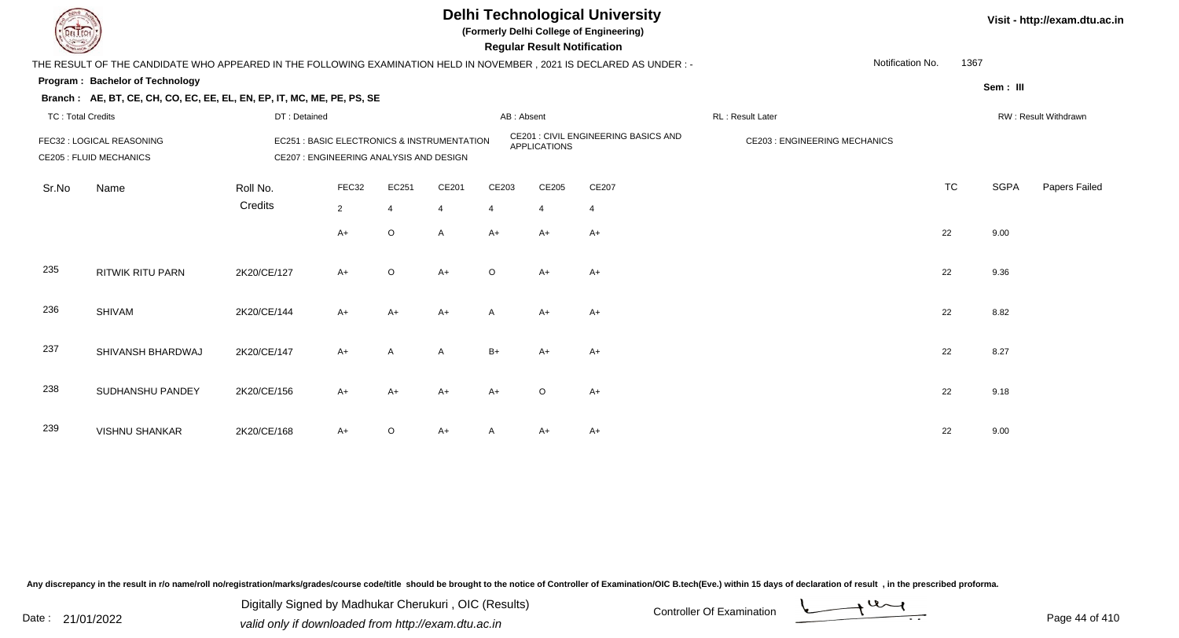

**(Formerly Delhi College of Engineering)**

 **Regular Result Notification**

| <b>Course Lines</b>      |                                                                                                                     |              |                                         |                |                                             |                         | Regular Result Notification |                                      |                                     |                  |           |             |                      |
|--------------------------|---------------------------------------------------------------------------------------------------------------------|--------------|-----------------------------------------|----------------|---------------------------------------------|-------------------------|-----------------------------|--------------------------------------|-------------------------------------|------------------|-----------|-------------|----------------------|
|                          | THE RESULT OF THE CANDIDATE WHO APPEARED IN THE FOLLOWING EXAMINATION HELD IN NOVEMBER, 2021 IS DECLARED AS UNDER:- |              |                                         |                |                                             |                         |                             |                                      |                                     | Notification No. | 1367      |             |                      |
|                          | Program: Bachelor of Technology                                                                                     |              |                                         |                |                                             |                         |                             |                                      |                                     |                  |           | Sem: III    |                      |
|                          | Branch: AE, BT, CE, CH, CO, EC, EE, EL, EN, EP, IT, MC, ME, PE, PS, SE                                              |              |                                         |                |                                             |                         |                             |                                      |                                     |                  |           |             |                      |
| <b>TC: Total Credits</b> |                                                                                                                     | DT: Detained |                                         |                |                                             | AB: Absent              |                             |                                      | RL: Result Later                    |                  |           |             | RW: Result Withdrawn |
|                          | FEC32 : LOGICAL REASONING<br><b>CE205 : FLUID MECHANICS</b>                                                         |              | CE207 : ENGINEERING ANALYSIS AND DESIGN |                | EC251 : BASIC ELECTRONICS & INSTRUMENTATION |                         | <b>APPLICATIONS</b>         | CE201 : CIVIL ENGINEERING BASICS AND | <b>CE203: ENGINEERING MECHANICS</b> |                  |           |             |                      |
| Sr.No                    | Name                                                                                                                | Roll No.     | FEC32                                   | EC251          | CE201                                       | CE203                   | CE205                       | CE207                                |                                     |                  | <b>TC</b> | <b>SGPA</b> | Papers Failed        |
|                          |                                                                                                                     | Credits      | $\overline{2}$                          | $\overline{4}$ | $\overline{4}$                              | $\overline{\mathbf{4}}$ | $\overline{4}$              | $\overline{4}$                       |                                     |                  |           |             |                      |
|                          |                                                                                                                     |              | $A+$                                    | $\circ$        | $\mathsf{A}$                                | $A+$                    | $A+$                        | $A+$                                 |                                     |                  | 22        | 9.00        |                      |
| 235                      | <b>RITWIK RITU PARN</b>                                                                                             | 2K20/CE/127  | $A+$                                    | $\circ$        | $A+$                                        | $\circ$                 | $A+$                        | $A+$                                 |                                     |                  | 22        | 9.36        |                      |
| 236                      | <b>SHIVAM</b>                                                                                                       | 2K20/CE/144  | $A+$                                    | $A+$           | $A+$                                        | $\mathsf{A}$            | $A+$                        | $A+$                                 |                                     |                  | 22        | 8.82        |                      |
| 237                      | SHIVANSH BHARDWAJ                                                                                                   | 2K20/CE/147  | $A+$                                    | A              | $\mathsf{A}$                                | $B+$                    | A+                          | A+                                   |                                     |                  | 22        | 8.27        |                      |
| 238                      | SUDHANSHU PANDEY                                                                                                    | 2K20/CE/156  | $A+$                                    | $A+$           | $A+$                                        | A+                      | $\circ$                     | A+                                   |                                     |                  | 22        | 9.18        |                      |
| 239                      | <b>VISHNU SHANKAR</b>                                                                                               | 2K20/CE/168  | $A+$                                    | $\circ$        | A+                                          |                         | A+                          | A+                                   |                                     |                  | 22        | 9.00        |                      |

Any discrepancy in the result in r/o name/roll no/registration/marks/grades/course code/title should be brought to the notice of Controller of Examination/OIC B.tech(Eve.) within 15 days of declaration of result, in the pr

Date : 21/01/2022 Digital Digital of Microsofted Chemical Controller Of Examination Determination Page 44 of 41 Digitally Signed by Madhukar Cherukuri , OIC (Results)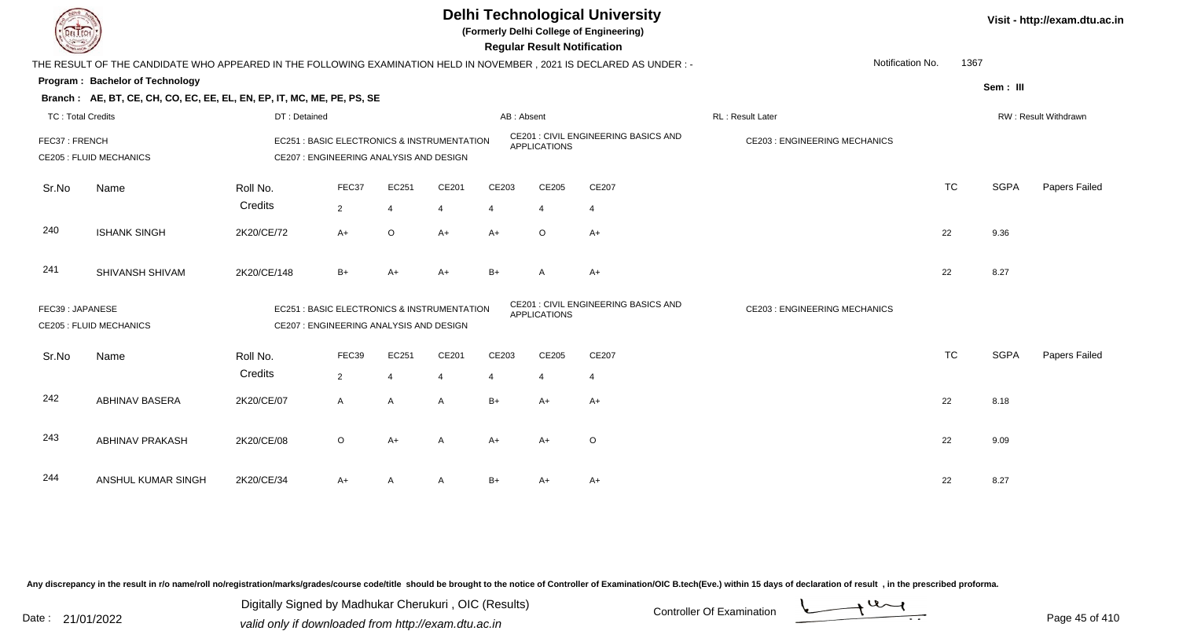

**(Formerly Delhi College of Engineering)**

 **Regular Result Notification**

| <b>Contract of the Contract of the Contract of the Contract of the Contract of The Contract of The Contract of The Contract of The Contract of The Contract of The Contract of The Contract of The Contract of The Contract of T</b> |                                                                                                                      |              |                                         |         |                                             |            | n <del>c</del> yular n <del>c</del> sult notification |                                             |                                     |           |             |                      |
|--------------------------------------------------------------------------------------------------------------------------------------------------------------------------------------------------------------------------------------|----------------------------------------------------------------------------------------------------------------------|--------------|-----------------------------------------|---------|---------------------------------------------|------------|-------------------------------------------------------|---------------------------------------------|-------------------------------------|-----------|-------------|----------------------|
|                                                                                                                                                                                                                                      | THE RESULT OF THE CANDIDATE WHO APPEARED IN THE FOLLOWING EXAMINATION HELD IN NOVEMBER, 2021 IS DECLARED AS UNDER :- |              |                                         |         |                                             |            |                                                       |                                             | Notification No.                    | 1367      |             |                      |
|                                                                                                                                                                                                                                      | Program: Bachelor of Technology                                                                                      |              |                                         |         |                                             |            |                                                       |                                             |                                     |           | Sem: III    |                      |
|                                                                                                                                                                                                                                      | Branch: AE, BT, CE, CH, CO, EC, EE, EL, EN, EP, IT, MC, ME, PE, PS, SE                                               |              |                                         |         |                                             |            |                                                       |                                             |                                     |           |             |                      |
| <b>TC: Total Credits</b>                                                                                                                                                                                                             |                                                                                                                      | DT: Detained |                                         |         |                                             | AB: Absent |                                                       |                                             | RL: Result Later                    |           |             | RW: Result Withdrawn |
| FEC37: FRENCH                                                                                                                                                                                                                        | <b>CE205 : FLUID MECHANICS</b>                                                                                       |              | CE207 : ENGINEERING ANALYSIS AND DESIGN |         | EC251 : BASIC ELECTRONICS & INSTRUMENTATION |            | <b>APPLICATIONS</b>                                   | <b>CE201 : CIVIL ENGINEERING BASICS AND</b> | <b>CE203: ENGINEERING MECHANICS</b> |           |             |                      |
|                                                                                                                                                                                                                                      |                                                                                                                      |              |                                         |         |                                             |            |                                                       |                                             |                                     |           |             |                      |
| Sr.No                                                                                                                                                                                                                                | Name                                                                                                                 | Roll No.     | FEC37                                   | EC251   | CE201                                       | CE203      | CE205                                                 | CE207                                       |                                     | <b>TC</b> | <b>SGPA</b> | Papers Failed        |
|                                                                                                                                                                                                                                      |                                                                                                                      | Credits      | $\overline{2}$                          | 4       | 4                                           |            | 4                                                     | 4                                           |                                     |           |             |                      |
| 240                                                                                                                                                                                                                                  | <b>ISHANK SINGH</b>                                                                                                  | 2K20/CE/72   | $A+$                                    | $\circ$ | $A+$                                        | $A+$       | $\circ$                                               | $A+$                                        |                                     | 22        | 9.36        |                      |
| 241                                                                                                                                                                                                                                  | SHIVANSH SHIVAM                                                                                                      | 2K20/CE/148  | $B+$                                    | $A+$    | $A+$                                        | $B+$       | A                                                     | $A+$                                        |                                     | 22        | 8.27        |                      |
| FEC39: JAPANESE                                                                                                                                                                                                                      | <b>CE205 : FLUID MECHANICS</b>                                                                                       |              | CE207 : ENGINEERING ANALYSIS AND DESIGN |         | EC251 : BASIC ELECTRONICS & INSTRUMENTATION |            | <b>APPLICATIONS</b>                                   | CE201 : CIVIL ENGINEERING BASICS AND        | <b>CE203: ENGINEERING MECHANICS</b> |           |             |                      |
| Sr.No                                                                                                                                                                                                                                | Name                                                                                                                 | Roll No.     | FEC39                                   | EC251   | CE201                                       | CE203      | CE205                                                 | CE207                                       |                                     | <b>TC</b> | <b>SGPA</b> | Papers Failed        |
|                                                                                                                                                                                                                                      |                                                                                                                      | Credits      | $\overline{2}$                          | 4       | $\overline{4}$                              |            | 4                                                     | 4                                           |                                     |           |             |                      |
| 242                                                                                                                                                                                                                                  | <b>ABHINAV BASERA</b>                                                                                                | 2K20/CE/07   | $\mathsf{A}$                            | A       | A                                           | $B+$       | $A+$                                                  | $A+$                                        |                                     | 22        | 8.18        |                      |
| 243                                                                                                                                                                                                                                  | <b>ABHINAV PRAKASH</b>                                                                                               | 2K20/CE/08   | $\circ$                                 | $A+$    | A                                           | $A+$       | $A+$                                                  | $\circ$                                     |                                     | 22        | 9.09        |                      |
| 244                                                                                                                                                                                                                                  | ANSHUL KUMAR SINGH                                                                                                   | 2K20/CE/34   | $A+$                                    | A       | A                                           | $B+$       | $A+$                                                  | $A+$                                        |                                     | 22        | 8.27        |                      |

Any discrepancy in the result in r/o name/roll no/registration/marks/grades/course code/title should be brought to the notice of Controller of Examination/OIC B.tech(Eve.) within 15 days of declaration of result, in the pr

Date : 21/01/2022 Digital Digital of Microsofted Chemical Controller Of Examination Determination Page 45 of 41 Digitally Signed by Madhukar Cherukuri , OIC (Results)

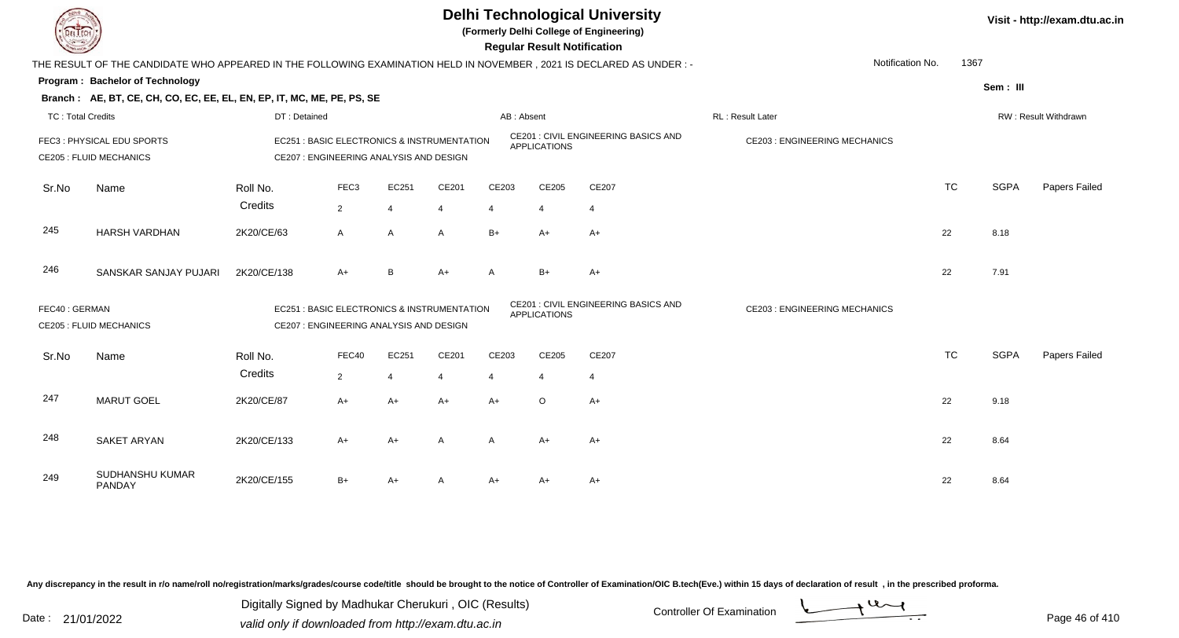

**(Formerly Delhi College of Engineering)**

 **Regular Result Notification**

| <b>Command</b>           |                                                                                                                       |                                         |                  |                             |                                             |            | Regular Result Notification |                                             |                                     |           |             |                      |
|--------------------------|-----------------------------------------------------------------------------------------------------------------------|-----------------------------------------|------------------|-----------------------------|---------------------------------------------|------------|-----------------------------|---------------------------------------------|-------------------------------------|-----------|-------------|----------------------|
|                          | THE RESULT OF THE CANDIDATE WHO APPEARED IN THE FOLLOWING EXAMINATION HELD IN NOVEMBER , 2021 IS DECLARED AS UNDER :- |                                         |                  |                             |                                             |            |                             |                                             | Notification No.                    | 1367      |             |                      |
|                          | Program: Bachelor of Technology                                                                                       |                                         |                  |                             |                                             |            |                             |                                             |                                     |           | Sem: III    |                      |
|                          | Branch: AE, BT, CE, CH, CO, EC, EE, EL, EN, EP, IT, MC, ME, PE, PS, SE                                                |                                         |                  |                             |                                             |            |                             |                                             |                                     |           |             |                      |
| <b>TC: Total Credits</b> |                                                                                                                       | DT: Detained                            |                  |                             |                                             | AB: Absent |                             |                                             | RL: Result Later                    |           |             | RW: Result Withdrawn |
|                          | FEC3: PHYSICAL EDU SPORTS<br><b>CE205 : FLUID MECHANICS</b>                                                           | CE207 : ENGINEERING ANALYSIS AND DESIGN |                  |                             | EC251 : BASIC ELECTRONICS & INSTRUMENTATION |            | <b>APPLICATIONS</b>         | <b>CE201 : CIVIL ENGINEERING BASICS AND</b> | <b>CE203: ENGINEERING MECHANICS</b> |           |             |                      |
| Sr.No                    | Name                                                                                                                  | Roll No.<br>Credits                     | FEC <sub>3</sub> | EC251                       | CE201                                       | CE203      | CE205                       | CE207                                       |                                     | <b>TC</b> | <b>SGPA</b> | Papers Failed        |
|                          |                                                                                                                       |                                         | $\overline{2}$   | $\boldsymbol{\vartriangle}$ | $\overline{4}$                              | 4          | $\overline{4}$              | $\overline{4}$                              |                                     |           |             |                      |
| 245                      | <b>HARSH VARDHAN</b>                                                                                                  | 2K20/CE/63                              | A                | $\mathsf{A}$                | A                                           | $B+$       | $A+$                        | $A+$                                        |                                     | 22        | 8.18        |                      |
| 246                      | SANSKAR SANJAY PUJARI                                                                                                 | 2K20/CE/138                             | $A+$             | B                           | $A+$                                        | A          | $B+$                        | A+                                          |                                     | 22        | 7.91        |                      |
| FEC40: GERMAN            | <b>CE205 : FLUID MECHANICS</b>                                                                                        | CE207 : ENGINEERING ANALYSIS AND DESIGN |                  |                             | EC251 : BASIC ELECTRONICS & INSTRUMENTATION |            | <b>APPLICATIONS</b>         | CE201 : CIVIL ENGINEERING BASICS AND        | <b>CE203: ENGINEERING MECHANICS</b> |           |             |                      |
| Sr.No                    | Name                                                                                                                  | Roll No.                                | FEC40            | EC251                       | CE201                                       | CE203      | CE205                       | CE207                                       |                                     | <b>TC</b> | <b>SGPA</b> | Papers Failed        |
|                          |                                                                                                                       | Credits                                 | $\overline{2}$   |                             | $\overline{4}$                              |            | $\overline{4}$              | $\overline{4}$                              |                                     |           |             |                      |
| 247                      | <b>MARUT GOEL</b>                                                                                                     | 2K20/CE/87                              | $A+$             | $A+$                        | $A+$                                        | $A+$       | $\circ$                     | $A+$                                        |                                     | 22        | 9.18        |                      |
| 248                      | <b>SAKET ARYAN</b>                                                                                                    | 2K20/CE/133                             | $A+$             | $A+$                        | $\mathsf{A}$                                | A          | $A+$                        | $A+$                                        |                                     | 22        | 8.64        |                      |
| 249                      | SUDHANSHU KUMAR<br><b>PANDAY</b>                                                                                      | 2K20/CE/155                             | $B+$             | $A+$                        | $\mathsf{A}$                                | $A+$       | $A+$                        | A+                                          |                                     | 22        | 8.64        |                      |

Any discrepancy in the result in r/o name/roll no/registration/marks/grades/course code/title should be brought to the notice of Controller of Examination/OIC B.tech(Eve.) within 15 days of declaration of result, in the pr

Date : 21/01/2022 Digital Digital of Microsofted Chemical Controller Of Examination Determination Page 46 of 41 Digitally Signed by Madhukar Cherukuri , OIC (Results)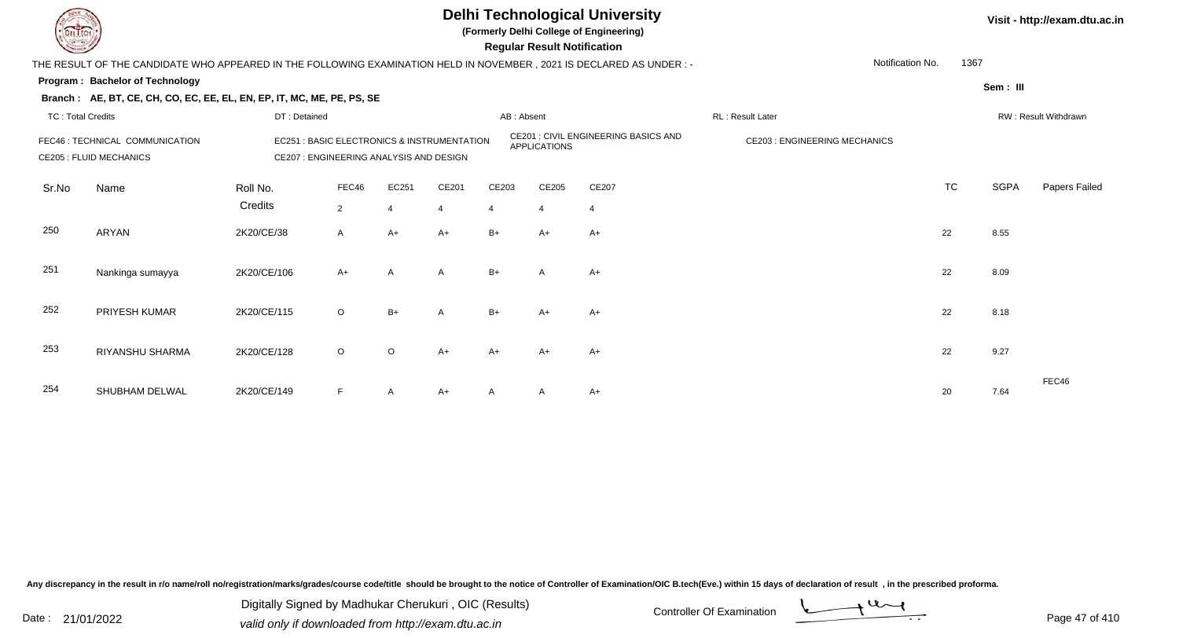

**(Formerly Delhi College of Engineering)**

 **Regular Result Notification**

| $\tilde{\phantom{a}}$    |                                                                                                                       |                                         |              |         |                                             |            | <b>Regular Result Rothloution</b> |                                             |                                     |                          |             |                      |
|--------------------------|-----------------------------------------------------------------------------------------------------------------------|-----------------------------------------|--------------|---------|---------------------------------------------|------------|-----------------------------------|---------------------------------------------|-------------------------------------|--------------------------|-------------|----------------------|
|                          | THE RESULT OF THE CANDIDATE WHO APPEARED IN THE FOLLOWING EXAMINATION HELD IN NOVEMBER , 2021 IS DECLARED AS UNDER :- |                                         |              |         |                                             |            |                                   |                                             |                                     | Notification No.<br>1367 |             |                      |
|                          | <b>Program: Bachelor of Technology</b>                                                                                |                                         |              |         |                                             |            |                                   |                                             |                                     |                          | Sem: III    |                      |
|                          | Branch: AE, BT, CE, CH, CO, EC, EE, EL, EN, EP, IT, MC, ME, PE, PS, SE                                                |                                         |              |         |                                             |            |                                   |                                             |                                     |                          |             |                      |
| <b>TC: Total Credits</b> |                                                                                                                       | DT: Detained                            |              |         |                                             | AB: Absent |                                   |                                             | RL: Result Later                    |                          |             | RW: Result Withdrawn |
|                          | FEC46 : TECHNICAL COMMUNICATION<br><b>CE205 : FLUID MECHANICS</b>                                                     | CE207 : ENGINEERING ANALYSIS AND DESIGN |              |         | EC251 : BASIC ELECTRONICS & INSTRUMENTATION |            | <b>APPLICATIONS</b>               | <b>CE201 : CIVIL ENGINEERING BASICS AND</b> | <b>CE203: ENGINEERING MECHANICS</b> |                          |             |                      |
| Sr.No                    | Name                                                                                                                  | Roll No.                                | FEC46        | EC251   | CE201                                       | CE203      | CE205                             | CE207                                       |                                     | <b>TC</b>                | <b>SGPA</b> | Papers Failed        |
|                          |                                                                                                                       | Credits                                 | $2^{\circ}$  |         | 4                                           | 4          | $\overline{4}$                    | 4                                           |                                     |                          |             |                      |
| 250                      | ARYAN                                                                                                                 | 2K20/CE/38                              | $\mathsf{A}$ | $A+$    | $A+$                                        | $B+$       | $A+$                              | $A+$                                        |                                     | 22                       | 8.55        |                      |
| 251                      | Nankinga sumayya                                                                                                      | 2K20/CE/106                             | $A+$         | Α       | $\mathsf{A}$                                | $B+$       | A                                 | $A+$                                        |                                     | 22                       | 8.09        |                      |
| 252                      | PRIYESH KUMAR                                                                                                         | 2K20/CE/115                             | $\circ$      | $B+$    | $\overline{A}$                              | $B+$       | A+                                | $A+$                                        |                                     | 22                       | 8.18        |                      |
| 253                      | RIYANSHU SHARMA                                                                                                       | 2K20/CE/128                             | $\circ$      | $\circ$ | $A+$                                        | $A+$       | $A+$                              | $A+$                                        |                                     | 22                       | 9.27        |                      |
| 254                      | SHUBHAM DELWAL                                                                                                        | 2K20/CE/149                             | F            | A       | $A+$                                        | A          | A                                 | $A+$                                        |                                     | 20                       | 7.64        | FEC46                |

Any discrepancy in the result in r/o name/roll no/registration/marks/grades/course code/title should be brought to the notice of Controller of Examination/OIC B.tech(Eve.) within 15 days of declaration of result, in the pr

Date : 21/01/2022 Valid only if downloaded from http://exam.dtu.ac.in<br>valid only if downloaded from http://exam.dtu.ac.in Digitally Signed by Madhukar Cherukuri , OIC (Results)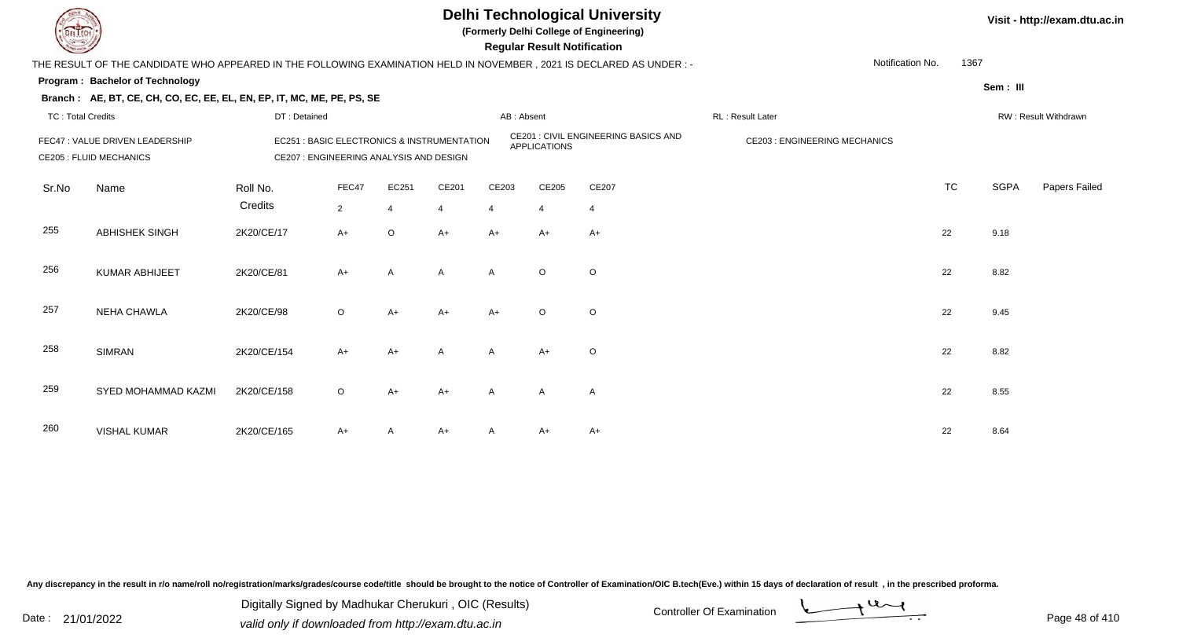

**(Formerly Delhi College of Engineering)**

 **Regular Result Notification**

| $\sim$                   |                                                                                                                     |                                         |                |                         |                                                       |              | neguiai nesuit notilitation |                                      |                                     |                  |             |                      |
|--------------------------|---------------------------------------------------------------------------------------------------------------------|-----------------------------------------|----------------|-------------------------|-------------------------------------------------------|--------------|-----------------------------|--------------------------------------|-------------------------------------|------------------|-------------|----------------------|
|                          | THE RESULT OF THE CANDIDATE WHO APPEARED IN THE FOLLOWING EXAMINATION HELD IN NOVEMBER, 2021 IS DECLARED AS UNDER:- |                                         |                |                         |                                                       |              |                             |                                      |                                     | Notification No. | 1367        |                      |
|                          | Program: Bachelor of Technology                                                                                     |                                         |                |                         |                                                       |              |                             |                                      |                                     |                  | Sem: III    |                      |
|                          | Branch: AE, BT, CE, CH, CO, EC, EE, EL, EN, EP, IT, MC, ME, PE, PS, SE                                              |                                         |                |                         |                                                       |              |                             |                                      |                                     |                  |             |                      |
| <b>TC: Total Credits</b> |                                                                                                                     | DT: Detained                            |                |                         |                                                       | AB: Absent   |                             |                                      | RL : Result Later                   |                  |             | RW: Result Withdrawn |
|                          | FEC47 : VALUE DRIVEN LEADERSHIP<br><b>CE205 : FLUID MECHANICS</b>                                                   | CE207 : ENGINEERING ANALYSIS AND DESIGN |                |                         | <b>EC251: BASIC ELECTRONICS &amp; INSTRUMENTATION</b> |              | <b>APPLICATIONS</b>         | CE201 : CIVIL ENGINEERING BASICS AND | <b>CE203: ENGINEERING MECHANICS</b> |                  |             |                      |
| Sr.No                    | Name                                                                                                                | Roll No.                                | FEC47          | EC251                   | CE201                                                 | CE203        | CE205                       | CE207                                |                                     | <b>TC</b>        | <b>SGPA</b> | Papers Failed        |
|                          |                                                                                                                     | Credits                                 | $\overline{2}$ | $\overline{\mathbf{A}}$ | $\overline{4}$                                        | 4            | $\overline{4}$              | $\overline{4}$                       |                                     |                  |             |                      |
| 255                      | ABHISHEK SINGH                                                                                                      | 2K20/CE/17                              | $A+$           | $\circ$                 | $A+$                                                  | $A+$         | $A+$                        | $A+$                                 |                                     | 22               | 9.18        |                      |
| 256                      | <b>KUMAR ABHIJEET</b>                                                                                               | 2K20/CE/81                              | $A+$           | A                       | $\mathsf{A}$                                          | A            | $\circ$                     | O                                    |                                     | 22               | 8.82        |                      |
| 257                      | <b>NEHA CHAWLA</b>                                                                                                  | 2K20/CE/98                              | $\circ$        | $A+$                    | $A+$                                                  | A+           | $\circ$                     | $\circ$                              |                                     | 22               | 9.45        |                      |
| 258                      | <b>SIMRAN</b>                                                                                                       | 2K20/CE/154                             | $A+$           | $A+$                    | $\mathsf{A}$                                          | A            | $A+$                        | O                                    |                                     | 22               | 8.82        |                      |
| 259                      | SYED MOHAMMAD KAZMI                                                                                                 | 2K20/CE/158                             | $\circ$        | A+                      | $A+$                                                  | A            | A                           | A                                    |                                     | 22               | 8.55        |                      |
| 260                      | <b>VISHAL KUMAR</b>                                                                                                 | 2K20/CE/165                             | $A+$           |                         | A+                                                    | $\mathsf{A}$ | A+                          | $A+$                                 |                                     | 22               | 8.64        |                      |

Any discrepancy in the result in r/o name/roll no/registration/marks/grades/course code/title should be brought to the notice of Controller of Examination/OIC B.tech(Eve.) within 15 days of declaration of result, in the pr

Date : 21/01/2022 Digital Digital of Microsofted Chemical Controller Of Examination Determination Page 48 of 41 Digitally Signed by Madhukar Cherukuri , OIC (Results)

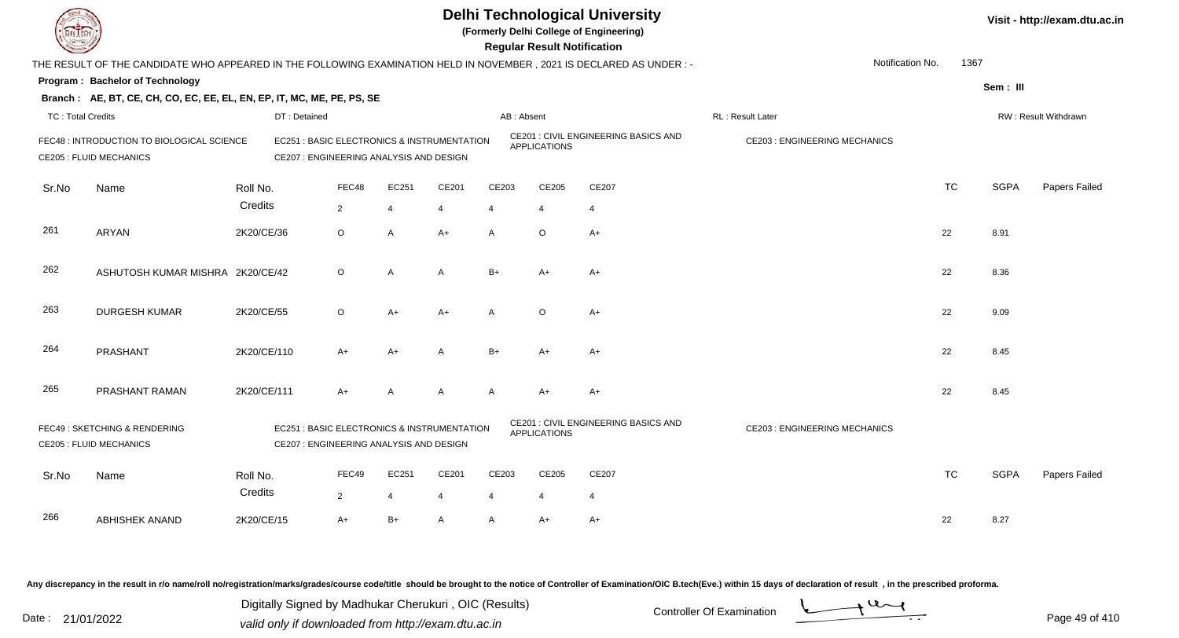**(Formerly Delhi College of Engineering)**

 **Regular Result Notification**

| <b>Country</b>           |                                                                                                                     |                     |                                                                                        |                         |                |                         |                         | <b>Regular Result Notification</b> |                                      |                                      |                  |           |             |                      |
|--------------------------|---------------------------------------------------------------------------------------------------------------------|---------------------|----------------------------------------------------------------------------------------|-------------------------|----------------|-------------------------|-------------------------|------------------------------------|--------------------------------------|--------------------------------------|------------------|-----------|-------------|----------------------|
|                          | THE RESULT OF THE CANDIDATE WHO APPEARED IN THE FOLLOWING EXAMINATION HELD IN NOVEMBER, 2021 IS DECLARED AS UNDER:- |                     |                                                                                        |                         |                |                         |                         |                                    |                                      |                                      | Notification No. | 1367      |             |                      |
|                          | Program: Bachelor of Technology                                                                                     |                     |                                                                                        |                         |                |                         |                         |                                    |                                      |                                      |                  |           | Sem: III    |                      |
|                          | Branch: AE, BT, CE, CH, CO, EC, EE, EL, EN, EP, IT, MC, ME, PE, PS, SE                                              |                     |                                                                                        |                         |                |                         |                         |                                    |                                      |                                      |                  |           |             |                      |
| <b>TC: Total Credits</b> |                                                                                                                     |                     | DT: Detained                                                                           |                         |                |                         | AB: Absent              |                                    |                                      | RL: Result Later                     |                  |           |             | RW: Result Withdrawn |
|                          | FEC48 : INTRODUCTION TO BIOLOGICAL SCIENCE<br><b>CE205 : FLUID MECHANICS</b>                                        |                     | EC251 : BASIC ELECTRONICS & INSTRUMENTATION<br>CE207 : ENGINEERING ANALYSIS AND DESIGN |                         |                |                         |                         | <b>APPLICATIONS</b>                | CE201 : CIVIL ENGINEERING BASICS AND | <b>CE203 : ENGINEERING MECHANICS</b> |                  |           |             |                      |
| Sr.No                    | Name                                                                                                                | Roll No.<br>Credits |                                                                                        | FEC48<br>$\overline{2}$ | EC251<br>4     | CE201<br>$\overline{4}$ | CE203<br>4              | CE205<br>$\overline{4}$            | CE207<br>$\overline{4}$              |                                      |                  | <b>TC</b> | <b>SGPA</b> | Papers Failed        |
| 261                      | ARYAN                                                                                                               | 2K20/CE/36          |                                                                                        | $\circ$                 | A              | $A+$                    | A                       | $\circ$                            | $A+$                                 |                                      |                  | 22        | 8.91        |                      |
| 262                      | ASHUTOSH KUMAR MISHRA 2K20/CE/42                                                                                    |                     |                                                                                        | $\circ$                 | $\overline{A}$ | A                       | $B+$                    | $A+$                               | $A+$                                 |                                      |                  | 22        | 8.36        |                      |
| 263                      | <b>DURGESH KUMAR</b>                                                                                                | 2K20/CE/55          |                                                                                        | $\circ$                 | $A+$           | $A+$                    | A                       | $\circ$                            | $A+$                                 |                                      |                  | 22        | 9.09        |                      |
| 264                      | PRASHANT                                                                                                            | 2K20/CE/110         |                                                                                        | $A+$                    | A+             | A                       | $B+$                    | A+                                 | A+                                   |                                      |                  | 22        | 8.45        |                      |
| 265                      | PRASHANT RAMAN                                                                                                      | 2K20/CE/111         |                                                                                        | $A+$                    | A              | A                       | $\mathsf{A}$            | $A+$                               | $A+$                                 |                                      |                  | 22        | 8.45        |                      |
|                          | FEC49: SKETCHING & RENDERING<br><b>CE205 : FLUID MECHANICS</b>                                                      |                     | EC251 : BASIC ELECTRONICS & INSTRUMENTATION<br>CE207 : ENGINEERING ANALYSIS AND DESIGN |                         |                |                         |                         | <b>APPLICATIONS</b>                | CE201 : CIVIL ENGINEERING BASICS AND | <b>CE203 : ENGINEERING MECHANICS</b> |                  |           |             |                      |
| Sr.No                    | Name                                                                                                                | Roll No.<br>Credits |                                                                                        | FEC49<br>$\overline{2}$ | EC251<br>4     | CE201<br>$\overline{4}$ | CE203<br>$\overline{4}$ | CE205<br>$\overline{4}$            | CE207<br>$\overline{4}$              |                                      |                  | <b>TC</b> | <b>SGPA</b> | Papers Failed        |
| 266                      | <b>ABHISHEK ANAND</b>                                                                                               | 2K20/CE/15          |                                                                                        | $A+$                    | $B+$           | A                       | A                       | $A+$                               | $A+$                                 |                                      |                  | 22        | 8.27        |                      |

Any discrepancy in the result in r/o name/roll no/registration/marks/grades/course code/title should be brought to the notice of Controller of Examination/OIC B.tech(Eve.) within 15 days of declaration of result, in the pr

Date : 21/01/2022 Valid only if downloaded from http://exam.dtu.ac.in<br>valid only if downloaded from http://exam.dtu.ac.in Digitally Signed by Madhukar Cherukuri , OIC (Results)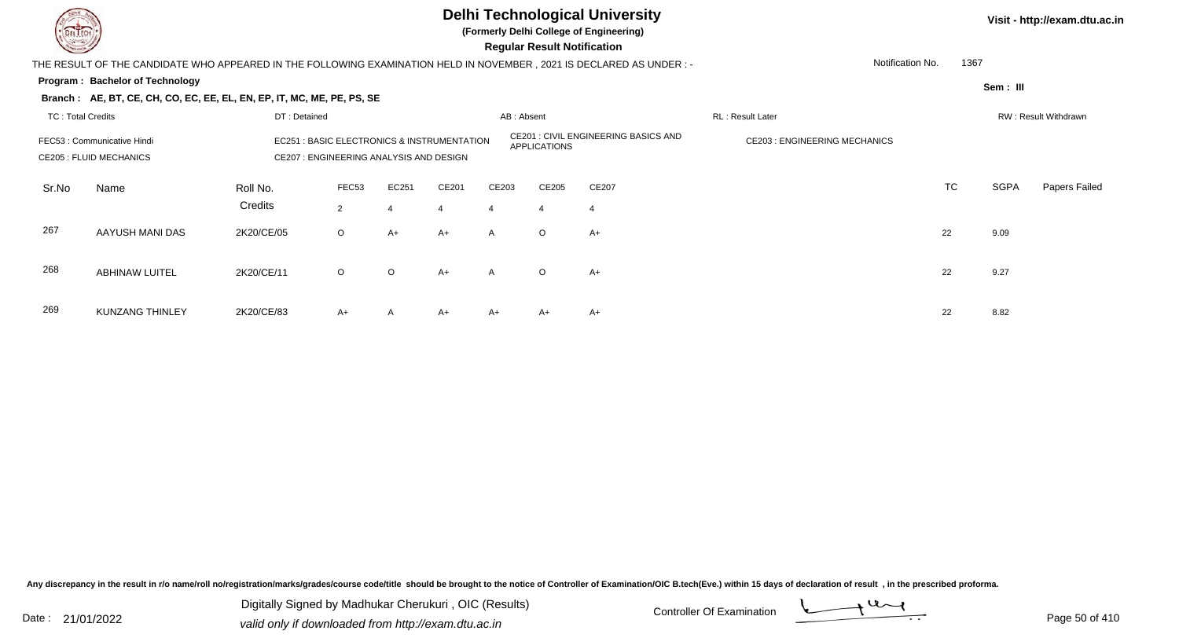

**(Formerly Delhi College of Engineering)**

 **Regular Result Notification**

| <b>Command</b>           |                                                                                                                                                         |                     |                         |         |                         |              | Regular Result Notification |                                             |                                     |           |             |                      |
|--------------------------|---------------------------------------------------------------------------------------------------------------------------------------------------------|---------------------|-------------------------|---------|-------------------------|--------------|-----------------------------|---------------------------------------------|-------------------------------------|-----------|-------------|----------------------|
|                          | THE RESULT OF THE CANDIDATE WHO APPEARED IN THE FOLLOWING EXAMINATION HELD IN NOVEMBER , 2021 IS DECLARED AS UNDER : -                                  |                     |                         |         |                         |              |                             |                                             | Notification No.                    | 1367      |             |                      |
|                          | Program: Bachelor of Technology                                                                                                                         |                     |                         |         |                         |              |                             |                                             |                                     |           | Sem : III   |                      |
|                          | Branch: AE, BT, CE, CH, CO, EC, EE, EL, EN, EP, IT, MC, ME, PE, PS, SE                                                                                  |                     |                         |         |                         |              |                             |                                             |                                     |           |             |                      |
| <b>TC: Total Credits</b> |                                                                                                                                                         | DT: Detained        |                         |         |                         | AB: Absent   |                             |                                             | RL: Result Later                    |           |             | RW: Result Withdrawn |
|                          | EC251 : BASIC ELECTRONICS & INSTRUMENTATION<br>FEC53 : Communicative Hindi<br>CE207 : ENGINEERING ANALYSIS AND DESIGN<br><b>CE205 : FLUID MECHANICS</b> |                     |                         |         |                         |              | APPLICATIONS                | <b>CE201 : CIVIL ENGINEERING BASICS AND</b> | <b>CE203: ENGINEERING MECHANICS</b> |           |             |                      |
| Sr.No                    | Name                                                                                                                                                    | Roll No.<br>Credits | FEC53<br>$\overline{2}$ | EC251   | CE201<br>$\overline{4}$ | CE203<br>4   | CE205<br>$\overline{4}$     | CE207                                       |                                     | <b>TC</b> | <b>SGPA</b> | Papers Failed        |
| 267                      | AAYUSH MANI DAS                                                                                                                                         | 2K20/CE/05          | $\circ$                 | A+      | $A+$                    | $\mathsf{A}$ | $\circ$                     | A+                                          |                                     | 22        | 9.09        |                      |
| 268                      | <b>ABHINAW LUITEL</b>                                                                                                                                   | 2K20/CE/11          | $\circ$                 | $\circ$ | $A+$                    | $\mathsf{A}$ | $\circ$                     | $A+$                                        |                                     | 22        | 9.27        |                      |
| 269                      | <b>KUNZANG THINLEY</b>                                                                                                                                  | 2K20/CE/83          | $A+$                    | A       | $A+$                    | A+           | A+                          | $A+$                                        |                                     | 22        | 8.82        |                      |

Any discrepancy in the result in r/o name/roll no/registration/marks/grades/course code/title should be brought to the notice of Controller of Examination/OIC B.tech(Eve.) within 15 days of declaration of result, in the pr

Date : 21/01/2022 Digital Digital of Microsofted Chemical Controller Of Examination Determination Page 50 of 41 Digitally Signed by Madhukar Cherukuri , OIC (Results)

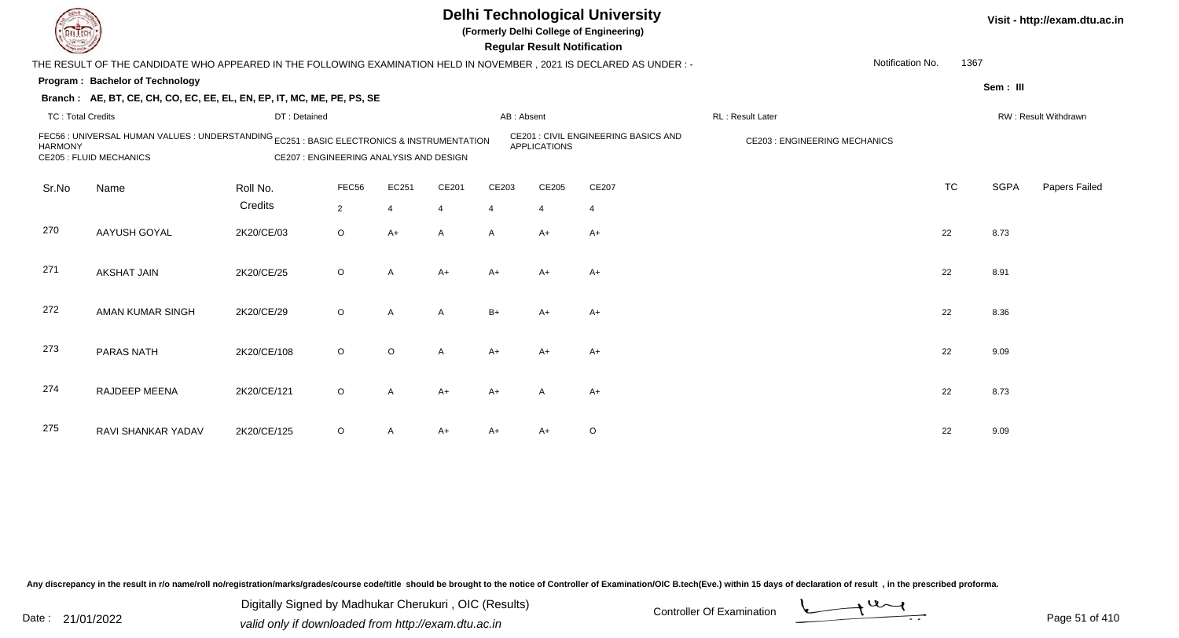

**(Formerly Delhi College of Engineering)**

 **Regular Result Notification**

**Visit - http://exam.dtu.ac.in**

| <b>Consumer /</b>        |                                                                                                                              |              |                                         |              |                |            | <b>Regular Result Notification</b> |                                             |                                      |           |             |                      |
|--------------------------|------------------------------------------------------------------------------------------------------------------------------|--------------|-----------------------------------------|--------------|----------------|------------|------------------------------------|---------------------------------------------|--------------------------------------|-----------|-------------|----------------------|
|                          | THE RESULT OF THE CANDIDATE WHO APPEARED IN THE FOLLOWING EXAMINATION HELD IN NOVEMBER, 2021 IS DECLARED AS UNDER :-         |              |                                         |              |                |            |                                    |                                             | Notification No.                     | 1367      |             |                      |
|                          | Program: Bachelor of Technology                                                                                              |              |                                         |              |                |            |                                    |                                             |                                      |           | Sem: III    |                      |
|                          | Branch: AE, BT, CE, CH, CO, EC, EE, EL, EN, EP, IT, MC, ME, PE, PS, SE                                                       |              |                                         |              |                |            |                                    |                                             |                                      |           |             |                      |
| <b>TC: Total Credits</b> |                                                                                                                              | DT: Detained |                                         |              |                | AB: Absent |                                    |                                             | RL: Result Later                     |           |             | RW: Result Withdrawn |
| <b>HARMONY</b>           | FEC56 : UNIVERSAL HUMAN VALUES : UNDERSTANDING EC251 : BASIC ELECTRONICS & INSTRUMENTATION<br><b>CE205 : FLUID MECHANICS</b> |              | CE207 : ENGINEERING ANALYSIS AND DESIGN |              |                |            | <b>APPLICATIONS</b>                | <b>CE201 : CIVIL ENGINEERING BASICS AND</b> | <b>CE203 : ENGINEERING MECHANICS</b> |           |             |                      |
| Sr.No                    | Name                                                                                                                         | Roll No.     | FEC56                                   | EC251        | CE201          | CE203      | CE205                              | CE207                                       |                                      | <b>TC</b> | <b>SGPA</b> | Papers Failed        |
|                          |                                                                                                                              | Credits      | $\overline{2}$                          | 4            | $\overline{4}$ | 4          | $\overline{4}$                     | $\overline{4}$                              |                                      |           |             |                      |
| 270                      | AAYUSH GOYAL                                                                                                                 | 2K20/CE/03   | $\circ$                                 | $A+$         | A              | A          | $A+$                               | $A+$                                        |                                      | 22        | 8.73        |                      |
| 271                      | <b>AKSHAT JAIN</b>                                                                                                           | 2K20/CE/25   | $\circ$                                 | A            | $A+$           | A+         | A+                                 | A+                                          |                                      | 22        | 8.91        |                      |
| 272                      | AMAN KUMAR SINGH                                                                                                             | 2K20/CE/29   | $\circ$                                 | $\mathsf{A}$ | Α              | $B+$       | $A+$                               | $A+$                                        |                                      | 22        | 8.36        |                      |
| 273                      | <b>PARAS NATH</b>                                                                                                            | 2K20/CE/108  | $\circ$                                 | $\circ$      | Α              | $A+$       | $A+$                               | $A+$                                        |                                      | 22        | 9.09        |                      |
| 274                      | RAJDEEP MEENA                                                                                                                | 2K20/CE/121  | $\circ$                                 | A            | $A+$           | A+         | A                                  | $A+$                                        |                                      | 22        | 8.73        |                      |
| 275                      | RAVI SHANKAR YADAV                                                                                                           | 2K20/CE/125  | $\circ$                                 |              | $A+$           | $A+$       | A+                                 | $\circ$                                     |                                      | 22        | 9.09        |                      |

Any discrepancy in the result in r/o name/roll no/registration/marks/grades/course code/title should be brought to the notice of Controller of Examination/OIC B.tech(Eve.) within 15 days of declaration of result, in the pr

Date : 21/01/2022 Digital Digital of Microsofted Chemical Controller Of Examination Determination Page 51 of 41 Digitally Signed by Madhukar Cherukuri , OIC (Results)

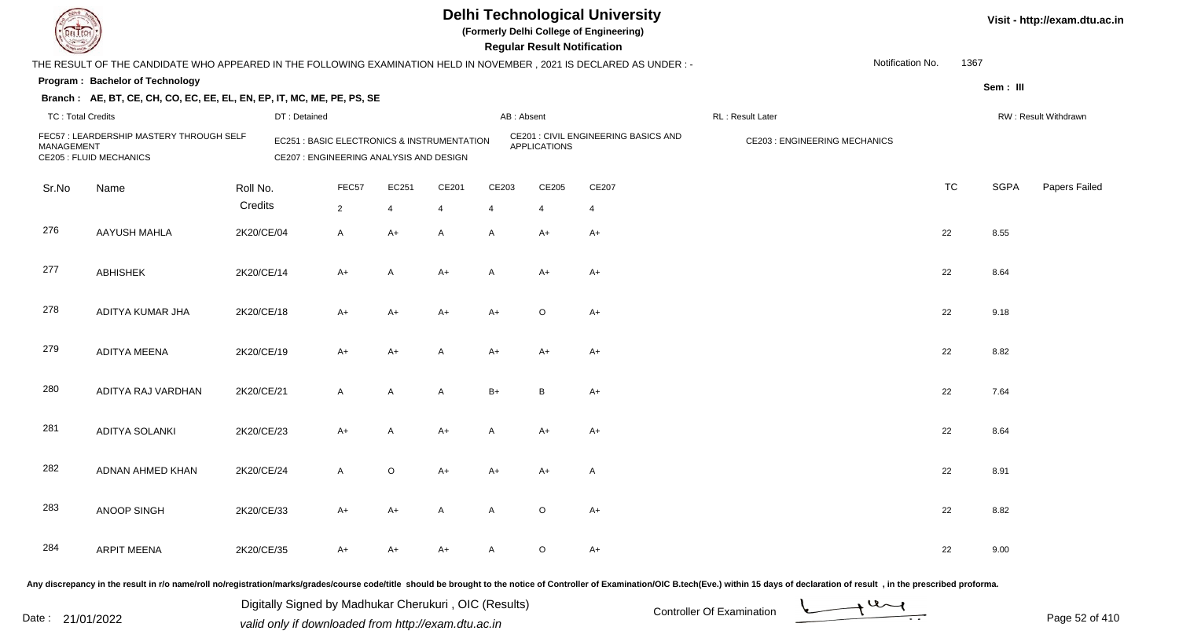

**(Formerly Delhi College of Engineering)**

| <b>Courses of the Courses of the United States</b> |                                                                                                                     |            |                                                                                                  |                |                |              | <b>Regular Result Notification</b> |                                      |                                     |           |             |                      |
|----------------------------------------------------|---------------------------------------------------------------------------------------------------------------------|------------|--------------------------------------------------------------------------------------------------|----------------|----------------|--------------|------------------------------------|--------------------------------------|-------------------------------------|-----------|-------------|----------------------|
|                                                    | THE RESULT OF THE CANDIDATE WHO APPEARED IN THE FOLLOWING EXAMINATION HELD IN NOVEMBER, 2021 IS DECLARED AS UNDER:- |            |                                                                                                  |                |                |              |                                    |                                      | Notification No.                    | 1367      |             |                      |
|                                                    | Program: Bachelor of Technology                                                                                     |            |                                                                                                  |                |                |              |                                    |                                      |                                     |           | Sem: III    |                      |
|                                                    | Branch: AE, BT, CE, CH, CO, EC, EE, EL, EN, EP, IT, MC, ME, PE, PS, SE                                              |            |                                                                                                  |                |                |              |                                    |                                      |                                     |           |             |                      |
| <b>TC: Total Credits</b>                           |                                                                                                                     |            | DT: Detained                                                                                     |                |                |              | AB: Absent                         |                                      | RL: Result Later                    |           |             | RW: Result Withdrawn |
| <b>MANAGEMENT</b>                                  | FEC57: LEARDERSHIP MASTERY THROUGH SELF<br><b>CE205 : FLUID MECHANICS</b>                                           |            | <b>EC251: BASIC ELECTRONICS &amp; INSTRUMENTATION</b><br>CE207 : ENGINEERING ANALYSIS AND DESIGN |                |                |              | <b>APPLICATIONS</b>                | CE201 : CIVIL ENGINEERING BASICS AND | <b>CE203: ENGINEERING MECHANICS</b> |           |             |                      |
| Sr.No                                              | Name                                                                                                                | Roll No.   | FEC57                                                                                            | EC251          | CE201          | CE203        | CE205                              | CE207                                |                                     | <b>TC</b> | <b>SGPA</b> | Papers Failed        |
|                                                    |                                                                                                                     | Credits    | $\overline{2}$                                                                                   | $\overline{4}$ | $\overline{4}$ | 4            | 4                                  | $\overline{4}$                       |                                     |           |             |                      |
| 276                                                | <b>AAYUSH MAHLA</b>                                                                                                 | 2K20/CE/04 | $\mathsf{A}$                                                                                     | $A+$           | $\mathsf{A}$   | A            | $A+$                               | $A+$                                 |                                     | 22        | 8.55        |                      |
| 277                                                | <b>ABHISHEK</b>                                                                                                     | 2K20/CE/14 | $A+$                                                                                             | $\overline{A}$ | $A+$           | $\mathsf{A}$ | $A+$                               | $A+$                                 |                                     | 22        | 8.64        |                      |
| 278                                                | ADITYA KUMAR JHA                                                                                                    | 2K20/CE/18 | $A+$                                                                                             | $A+$           | $A+$           | $A+$         | $\circ$                            | $A+$                                 |                                     | 22        | 9.18        |                      |
| 279                                                | <b>ADITYA MEENA</b>                                                                                                 | 2K20/CE/19 | $A+$                                                                                             | $A+$           | A              | $A+$         | $A+$                               | $A+$                                 |                                     | 22        | 8.82        |                      |
| 280                                                | ADITYA RAJ VARDHAN                                                                                                  | 2K20/CE/21 | $\mathsf{A}$                                                                                     | A              | A              | $B+$         | B                                  | $A+$                                 |                                     | 22        | 7.64        |                      |
| 281                                                | ADITYA SOLANKI                                                                                                      | 2K20/CE/23 | $A+$                                                                                             | A              | $A+$           | $\mathsf{A}$ | $A+$                               | $A+$                                 |                                     | 22        | 8.64        |                      |
| 282                                                | ADNAN AHMED KHAN                                                                                                    | 2K20/CE/24 | $\mathsf{A}$                                                                                     | $\circ$        | $A+$           | $A+$         | $A+$                               | A                                    |                                     | 22        | 8.91        |                      |
| 283                                                | ANOOP SINGH                                                                                                         | 2K20/CE/33 | $A+$                                                                                             | $A+$           | $\mathsf{A}$   | $\mathsf{A}$ | $\circ$                            | $A+$                                 |                                     | 22        | 8.82        |                      |
| 284                                                | <b>ARPIT MEENA</b>                                                                                                  | 2K20/CE/35 | $A+$                                                                                             | $A+$           | A+             | A            | $\circ$                            | A+                                   |                                     | 22        | 9.00        |                      |
|                                                    |                                                                                                                     |            |                                                                                                  |                |                |              |                                    |                                      |                                     |           |             |                      |

Any discrepancy in the result in r/o name/roll no/registration/marks/grades/course code/title should be brought to the notice of Controller of Examination/OIC B.tech(Eve.) within 15 days of declaration of result, in the pr

Date : 21/01/2022 Digital Digital of Microsofted Chemical Controller Of Examination Determination Page 52 of 41 Digitally Signed by Madhukar Cherukuri , OIC (Results)

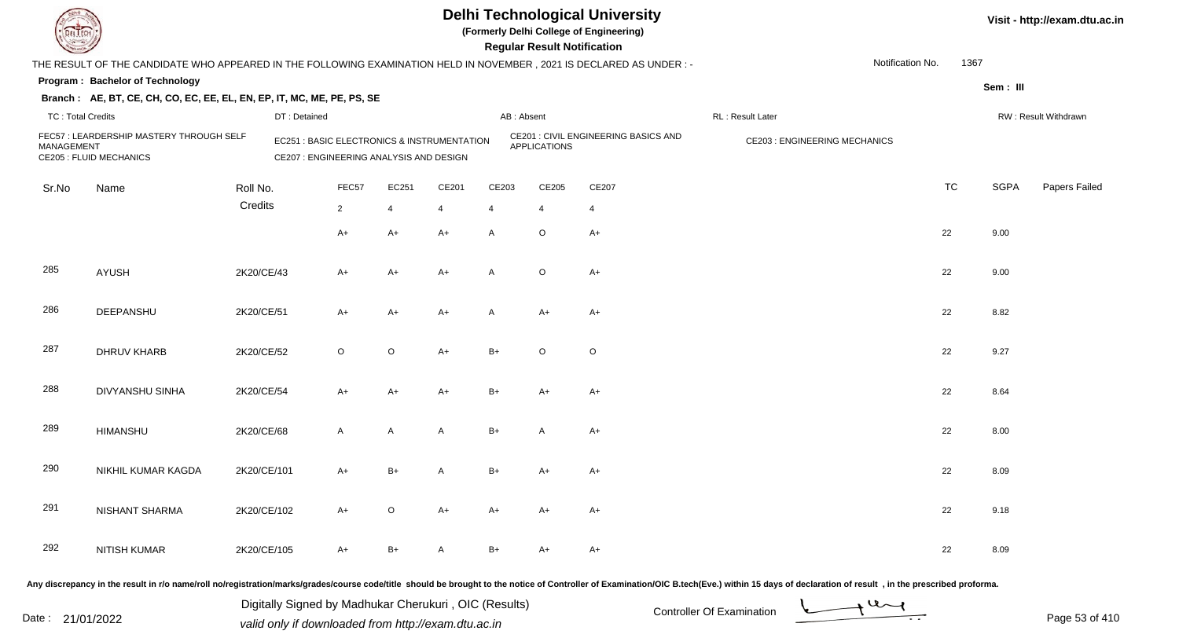

**(Formerly Delhi College of Engineering)**

**Visit - http://exam.dtu.ac.in**

| <b>Same of South Of Strains</b> |                                                                                                                      |              |                                                                                        |         |       |              | <b>Regular Result Notification</b> |                                      |                                                                                                                                                                                                                                |           |             |                      |
|---------------------------------|----------------------------------------------------------------------------------------------------------------------|--------------|----------------------------------------------------------------------------------------|---------|-------|--------------|------------------------------------|--------------------------------------|--------------------------------------------------------------------------------------------------------------------------------------------------------------------------------------------------------------------------------|-----------|-------------|----------------------|
|                                 | THE RESULT OF THE CANDIDATE WHO APPEARED IN THE FOLLOWING EXAMINATION HELD IN NOVEMBER, 2021 IS DECLARED AS UNDER :- |              |                                                                                        |         |       |              |                                    |                                      | Notification No.                                                                                                                                                                                                               | 1367      |             |                      |
|                                 | Program: Bachelor of Technology                                                                                      |              |                                                                                        |         |       |              |                                    |                                      |                                                                                                                                                                                                                                |           | Sem: III    |                      |
|                                 | Branch: AE, BT, CE, CH, CO, EC, EE, EL, EN, EP, IT, MC, ME, PE, PS, SE                                               |              |                                                                                        |         |       |              |                                    |                                      |                                                                                                                                                                                                                                |           |             |                      |
| <b>TC: Total Credits</b>        |                                                                                                                      | DT: Detained |                                                                                        |         |       |              | AB: Absent                         |                                      | RL: Result Later                                                                                                                                                                                                               |           |             | RW: Result Withdrawn |
| <b>MANAGEMENT</b>               | FEC57: LEARDERSHIP MASTERY THROUGH SELF<br><b>CE205 : FLUID MECHANICS</b>                                            |              | EC251 : BASIC ELECTRONICS & INSTRUMENTATION<br>CE207 : ENGINEERING ANALYSIS AND DESIGN |         |       |              | <b>APPLICATIONS</b>                | CE201 : CIVIL ENGINEERING BASICS AND | CE203 : ENGINEERING MECHANICS                                                                                                                                                                                                  |           |             |                      |
| Sr.No                           | Name                                                                                                                 | Roll No.     | FEC57                                                                                  | EC251   | CE201 | CE203        | CE205                              | CE207                                |                                                                                                                                                                                                                                | <b>TC</b> | <b>SGPA</b> | Papers Failed        |
|                                 |                                                                                                                      | Credits      | $\overline{2}$                                                                         | 4       | 4     | 4            | 4                                  | 4                                    |                                                                                                                                                                                                                                |           |             |                      |
|                                 |                                                                                                                      |              | $A+$                                                                                   | $A+$    | $A+$  | A            | $\circ$                            | $A+$                                 |                                                                                                                                                                                                                                | 22        | 9.00        |                      |
| 285                             | <b>AYUSH</b>                                                                                                         | 2K20/CE/43   | A+                                                                                     | A+      | $A+$  | $\mathsf{A}$ | $\mathsf O$                        | $A+$                                 |                                                                                                                                                                                                                                | 22        | 9.00        |                      |
| 286                             | DEEPANSHU                                                                                                            | 2K20/CE/51   | $A+$                                                                                   | $A+$    | A+    | $\mathsf{A}$ | $A+$                               | $A+$                                 |                                                                                                                                                                                                                                | 22        | 8.82        |                      |
| 287                             | DHRUV KHARB                                                                                                          | 2K20/CE/52   | $\circ$                                                                                | $\circ$ | $A+$  | $B+$         | $\circ$                            | $\mathsf O$                          |                                                                                                                                                                                                                                | 22        | 9.27        |                      |
| 288                             | <b>DIVYANSHU SINHA</b>                                                                                               | 2K20/CE/54   | A+                                                                                     | $A+$    | $A+$  | $B+$         | $A+$                               | $A+$                                 |                                                                                                                                                                                                                                | 22        | 8.64        |                      |
| 289                             | <b>HIMANSHU</b>                                                                                                      | 2K20/CE/68   | $\mathsf{A}$                                                                           | A       | A     | $B+$         | A                                  | $A+$                                 |                                                                                                                                                                                                                                | 22        | 8.00        |                      |
| 290                             | NIKHIL KUMAR KAGDA                                                                                                   | 2K20/CE/101  | A+                                                                                     | $B+$    | A     | $B+$         | A+                                 | A+                                   |                                                                                                                                                                                                                                | 22        | 8.09        |                      |
| 291                             | <b>NISHANT SHARMA</b>                                                                                                | 2K20/CE/102  | $A+$                                                                                   | $\circ$ | $A+$  | $A+$         | A+                                 | $A+$                                 |                                                                                                                                                                                                                                | 22        | 9.18        |                      |
| 292                             | NITISH KUMAR                                                                                                         | 2K20/CE/105  | A+                                                                                     | $B+$    | A     | $B+$         | A+                                 | $A+$                                 |                                                                                                                                                                                                                                | 22        | 8.09        |                      |
|                                 |                                                                                                                      |              |                                                                                        |         |       |              |                                    |                                      | Any discrepancy in the result in r/o name/roll no/registration/marks/grades/course code/title should be brought to the notice of Controller of Examination/OIC B.tech(Eve.) within 15 days of declaration of result , in the p |           |             |                      |

Date : 21/01/2022 Digital Digital of Microsofted Chemical Controller Of Examination Determination Page 53 of 41 Digitally Signed by Madhukar Cherukuri , OIC (Results)

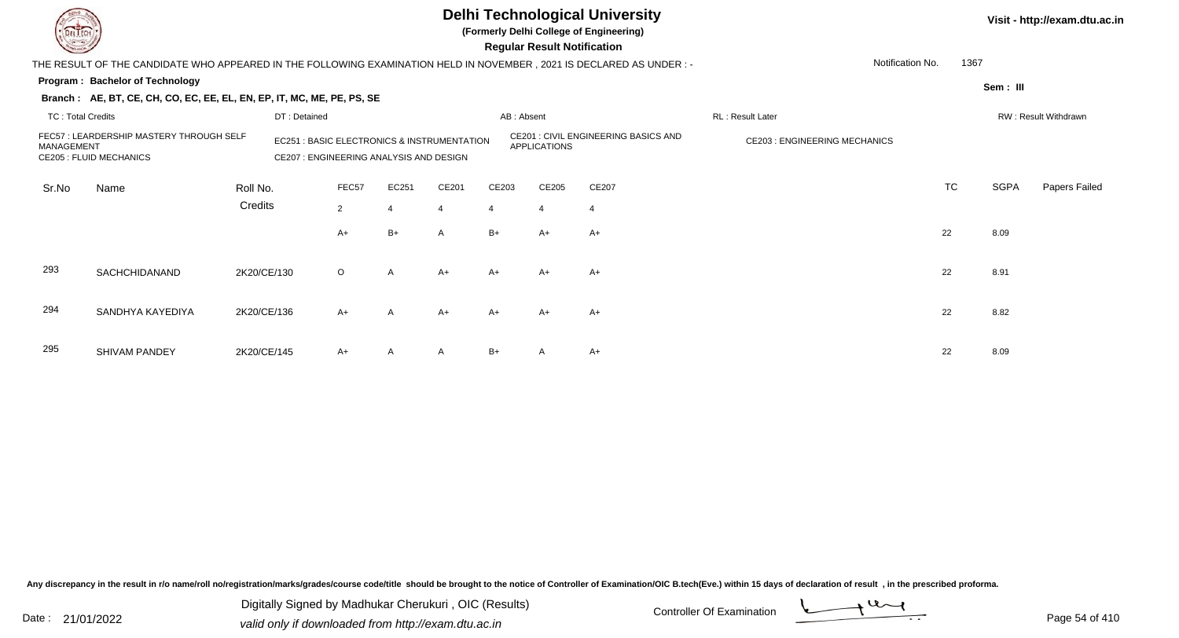

**(Formerly Delhi College of Engineering)**

 **Regular Result Notification**

**Visit - http://exam.dtu.ac.in**

| <b>Chasse I</b>          |                                                                                                                        |             |                                                                                                  |                |                |                |                | <b>Regular Result Notification</b> |                                      |                                     |                  |           |          |                      |
|--------------------------|------------------------------------------------------------------------------------------------------------------------|-------------|--------------------------------------------------------------------------------------------------|----------------|----------------|----------------|----------------|------------------------------------|--------------------------------------|-------------------------------------|------------------|-----------|----------|----------------------|
|                          | THE RESULT OF THE CANDIDATE WHO APPEARED IN THE FOLLOWING EXAMINATION HELD IN NOVEMBER , 2021 IS DECLARED AS UNDER : - |             |                                                                                                  |                |                |                |                |                                    |                                      |                                     | Notification No. | 1367      |          |                      |
|                          | Program: Bachelor of Technology                                                                                        |             |                                                                                                  |                |                |                |                |                                    |                                      |                                     |                  |           | Sem: III |                      |
|                          | Branch: AE, BT, CE, CH, CO, EC, EE, EL, EN, EP, IT, MC, ME, PE, PS, SE                                                 |             |                                                                                                  |                |                |                |                |                                    |                                      |                                     |                  |           |          |                      |
| <b>TC: Total Credits</b> |                                                                                                                        |             | DT: Detained                                                                                     |                |                |                | AB: Absent     |                                    |                                      | RL: Result Later                    |                  |           |          | RW: Result Withdrawn |
| MANAGEMENT               | FEC57 : LEARDERSHIP MASTERY THROUGH SELF<br><b>CE205 : FLUID MECHANICS</b>                                             |             | <b>EC251: BASIC ELECTRONICS &amp; INSTRUMENTATION</b><br>CE207 : ENGINEERING ANALYSIS AND DESIGN |                |                |                |                | <b>APPLICATIONS</b>                | CE201 : CIVIL ENGINEERING BASICS AND | <b>CE203: ENGINEERING MECHANICS</b> |                  |           |          |                      |
| Sr.No                    | Name                                                                                                                   | Roll No.    |                                                                                                  | FEC57          | EC251          | CE201          | CE203          | CE205                              | CE207                                |                                     |                  | <b>TC</b> | SGPA     | Papers Failed        |
|                          |                                                                                                                        | Credits     |                                                                                                  | $\overline{2}$ | $\overline{4}$ | $\overline{4}$ | $\overline{4}$ | $\overline{4}$                     | $\overline{4}$                       |                                     |                  |           |          |                      |
|                          |                                                                                                                        |             |                                                                                                  | A+             | B+             | A              | B+             | $A+$                               | A+                                   |                                     |                  | 22        | 8.09     |                      |
| 293                      | SACHCHIDANAND                                                                                                          | 2K20/CE/130 |                                                                                                  | $\circ$        | A              | $A+$           | $A+$           | $A+$                               | $A+$                                 |                                     |                  | 22        | 8.91     |                      |
| 294                      | SANDHYA KAYEDIYA                                                                                                       | 2K20/CE/136 |                                                                                                  | $A+$           | $\mathsf{A}$   | $A+$           | $A+$           | $A+$                               | $A+$                                 |                                     |                  | 22        | 8.82     |                      |
| 295                      | SHIVAM PANDEY                                                                                                          | 2K20/CE/145 |                                                                                                  | $A+$           | A              | $\mathsf{A}$   | $B+$           | A                                  | $A+$                                 |                                     |                  | 22        | 8.09     |                      |

Any discrepancy in the result in r/o name/roll no/registration/marks/grades/course code/title should be brought to the notice of Controller of Examination/OIC B.tech(Eve.) within 15 days of declaration of result, in the pr

Date : 21/01/2022 Digital Digital of Microsofted Chemical Controller Of Examination Determination Page 54 of 41 Digitally Signed by Madhukar Cherukuri , OIC (Results)

Page 54 of 410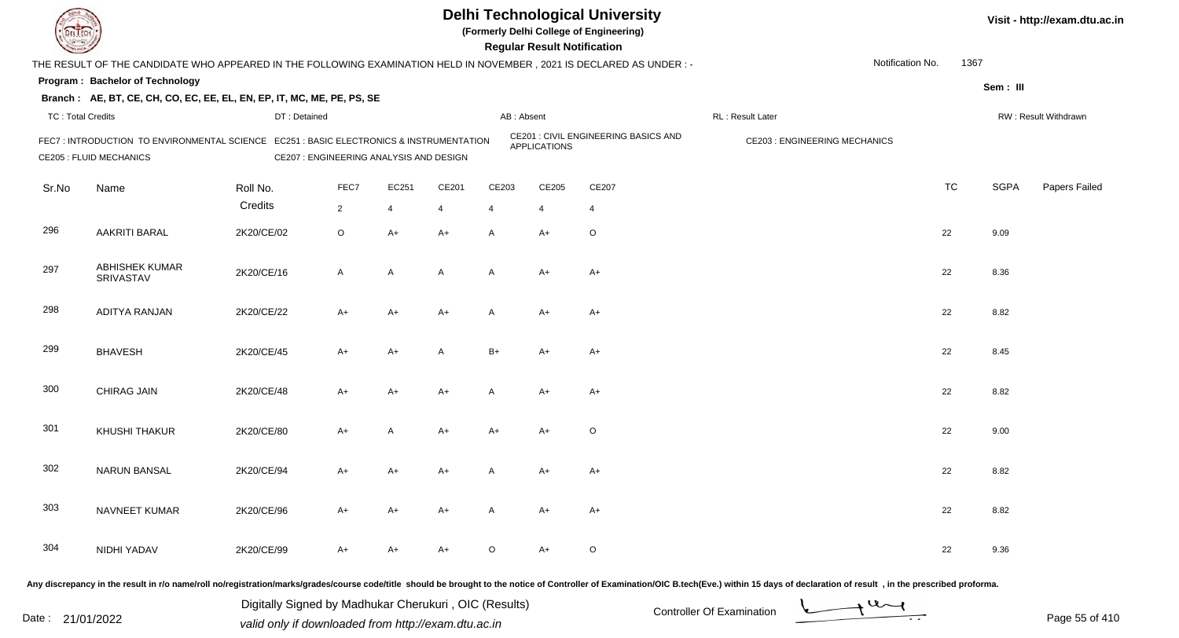**(Formerly Delhi College of Engineering)**

**Regular Regular Results Notification** 

| <b>Country of Several Property</b> |                                                                                                                          |              |                                         |                |                |              | <b>Regular Result Notification</b> |                                      |                                      |                          |             |                      |
|------------------------------------|--------------------------------------------------------------------------------------------------------------------------|--------------|-----------------------------------------|----------------|----------------|--------------|------------------------------------|--------------------------------------|--------------------------------------|--------------------------|-------------|----------------------|
|                                    | THE RESULT OF THE CANDIDATE WHO APPEARED IN THE FOLLOWING EXAMINATION HELD IN NOVEMBER, 2021 IS DECLARED AS UNDER:-      |              |                                         |                |                |              |                                    |                                      |                                      | 1367<br>Notification No. |             |                      |
|                                    | Program: Bachelor of Technology                                                                                          |              |                                         |                |                |              |                                    |                                      |                                      |                          | Sem: III    |                      |
|                                    | Branch: AE, BT, CE, CH, CO, EC, EE, EL, EN, EP, IT, MC, ME, PE, PS, SE                                                   |              |                                         |                |                |              |                                    |                                      |                                      |                          |             |                      |
| <b>TC: Total Credits</b>           |                                                                                                                          | DT: Detained |                                         |                |                | AB: Absent   |                                    |                                      | RL: Result Later                     |                          |             | RW: Result Withdrawn |
|                                    | FEC7: INTRODUCTION TO ENVIRONMENTAL SCIENCE EC251: BASIC ELECTRONICS & INSTRUMENTATION<br><b>CE205 : FLUID MECHANICS</b> |              | CE207 : ENGINEERING ANALYSIS AND DESIGN |                |                |              | <b>APPLICATIONS</b>                | CE201 : CIVIL ENGINEERING BASICS AND | <b>CE203 : ENGINEERING MECHANICS</b> |                          |             |                      |
| Sr.No                              | Name                                                                                                                     | Roll No.     | FEC7                                    | EC251          | CE201          | CE203        | CE205                              | CE207                                |                                      | <b>TC</b>                | <b>SGPA</b> | Papers Failed        |
|                                    |                                                                                                                          | Credits      | $\overline{2}$                          | $\overline{4}$ | $\overline{4}$ | 4            | $\overline{4}$                     | $\overline{4}$                       |                                      |                          |             |                      |
| 296                                | <b>AAKRITI BARAL</b>                                                                                                     | 2K20/CE/02   | $\circ$                                 | $A+$           | $A+$           | A            | $A+$                               | O                                    |                                      | 22                       | 9.09        |                      |
| 297                                | <b>ABHISHEK KUMAR</b><br>SRIVASTAV                                                                                       | 2K20/CE/16   | A                                       | $\mathsf{A}$   | $\overline{A}$ | $\mathsf{A}$ | $A+$                               | A+                                   |                                      | 22                       | 8.36        |                      |
| 298                                | ADITYA RANJAN                                                                                                            | 2K20/CE/22   | $A+$                                    | $A+$           | $A+$           | $\mathsf{A}$ | $A+$                               | $A+$                                 |                                      | 22                       | 8.82        |                      |
| 299                                | <b>BHAVESH</b>                                                                                                           | 2K20/CE/45   | $A+$                                    | $A+$           | $\mathsf{A}$   | $B+$         | $A+$                               | $A+$                                 |                                      | 22                       | 8.45        |                      |
| 300                                | <b>CHIRAG JAIN</b>                                                                                                       | 2K20/CE/48   | $A+$                                    | $A+$           | $A+$           | $\mathsf{A}$ | $A+$                               | $A+$                                 |                                      | 22                       | 8.82        |                      |
| 301                                | KHUSHI THAKUR                                                                                                            | 2K20/CE/80   | $A+$                                    | A              | $A+$           | $A+$         | $A+$                               | $\circ$                              |                                      | 22                       | 9.00        |                      |
| 302                                | <b>NARUN BANSAL</b>                                                                                                      | 2K20/CE/94   | $A+$                                    | $A+$           | $A+$           | $\mathsf{A}$ | A+                                 | A+                                   |                                      | 22                       | 8.82        |                      |
| 303                                | NAVNEET KUMAR                                                                                                            | 2K20/CE/96   | $A+$                                    | $A+$           | $A+$           | $\mathsf{A}$ | $A+$                               | $A+$                                 |                                      | 22                       | 8.82        |                      |
| 304                                | NIDHI YADAV                                                                                                              | 2K20/CE/99   | $A+$                                    | $A+$           | $A+$           | $\circ$      | A+                                 | O                                    |                                      | 22                       | 9.36        |                      |
|                                    |                                                                                                                          |              |                                         |                |                |              |                                    |                                      |                                      |                          |             |                      |

Any discrepancy in the result in r/o name/roll no/registration/marks/grades/course code/title should be brought to the notice of Controller of Examination/OIC B.tech(Eve.) within 15 days of declaration of result, in the pr

Digitally Signed by Madhukar Cherukuri, OIC (Results)<br>Date : 21/01/2022 volid only if douglooded from http://ovem dtu.co.in Digitally Signed by Madhukar Cherukuri , OIC (Results)valid only if downloaded from http://exam.dtu.ac.in

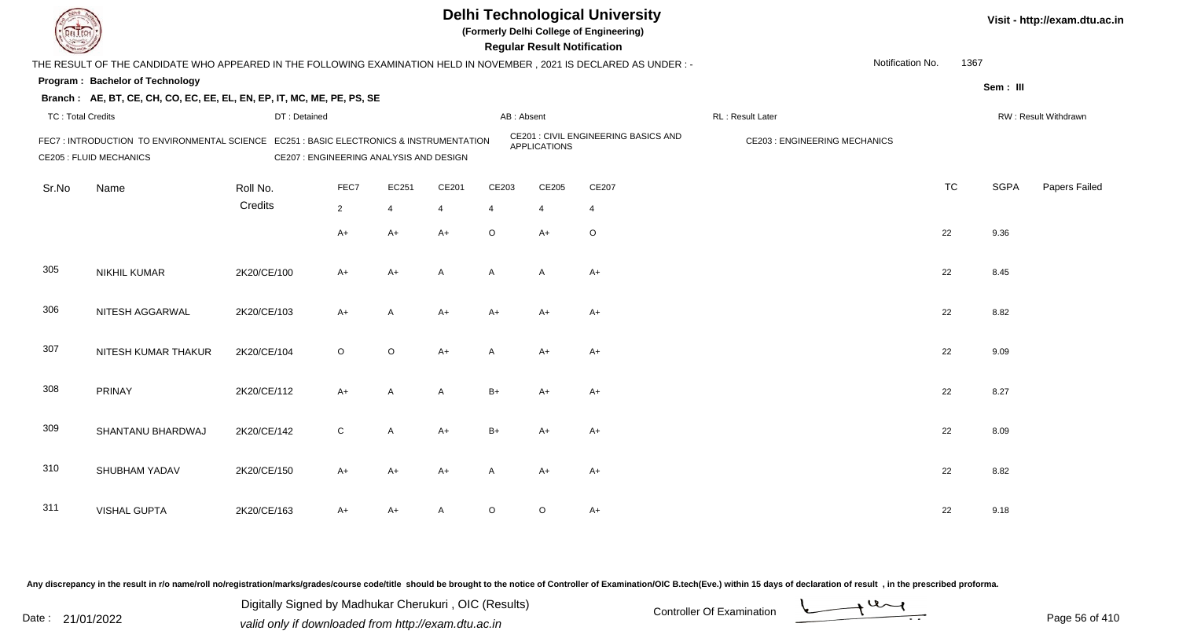**(Formerly Delhi College of Engineering)**

 **Regular Result Notification**

| <b>Course Lines</b>      |                                                                                                                          |              |                                         |                |                |              | Regular Result Notification |                                      |                                     |                          |             |                      |
|--------------------------|--------------------------------------------------------------------------------------------------------------------------|--------------|-----------------------------------------|----------------|----------------|--------------|-----------------------------|--------------------------------------|-------------------------------------|--------------------------|-------------|----------------------|
|                          | THE RESULT OF THE CANDIDATE WHO APPEARED IN THE FOLLOWING EXAMINATION HELD IN NOVEMBER, 2021 IS DECLARED AS UNDER :-     |              |                                         |                |                |              |                             |                                      |                                     | Notification No.<br>1367 |             |                      |
|                          | Program: Bachelor of Technology                                                                                          |              |                                         |                |                |              |                             |                                      |                                     |                          | Sem: III    |                      |
|                          | Branch: AE, BT, CE, CH, CO, EC, EE, EL, EN, EP, IT, MC, ME, PE, PS, SE                                                   |              |                                         |                |                |              |                             |                                      |                                     |                          |             |                      |
| <b>TC: Total Credits</b> |                                                                                                                          | DT: Detained |                                         |                |                | AB: Absent   |                             |                                      | RL: Result Later                    |                          |             | RW: Result Withdrawn |
|                          | FEC7: INTRODUCTION TO ENVIRONMENTAL SCIENCE EC251: BASIC ELECTRONICS & INSTRUMENTATION<br><b>CE205 : FLUID MECHANICS</b> |              | CE207 : ENGINEERING ANALYSIS AND DESIGN |                |                |              | <b>APPLICATIONS</b>         | CE201 : CIVIL ENGINEERING BASICS AND | <b>CE203: ENGINEERING MECHANICS</b> |                          |             |                      |
| Sr.No                    | Name                                                                                                                     | Roll No.     | FEC7                                    | EC251          | CE201          | CE203        | CE205                       | CE207                                |                                     | <b>TC</b>                | <b>SGPA</b> | Papers Failed        |
|                          |                                                                                                                          | Credits      | $\overline{2}$                          | $\overline{4}$ | 4              | 4            | $\overline{4}$              | 4                                    |                                     |                          |             |                      |
|                          |                                                                                                                          |              | $A+$                                    | A+             | $A+$           | $\circ$      | $A+$                        | $\circ$                              |                                     | 22                       | 9.36        |                      |
| 305                      | <b>NIKHIL KUMAR</b>                                                                                                      | 2K20/CE/100  | $A+$                                    | A+             | $\overline{A}$ | $\mathsf{A}$ | $\mathsf{A}$                | $A+$                                 |                                     | 22                       | 8.45        |                      |
| 306                      | NITESH AGGARWAL                                                                                                          | 2K20/CE/103  | $A+$                                    | A              | $A+$           | A+           | A+                          | A+                                   |                                     | 22                       | 8.82        |                      |
| 307                      | NITESH KUMAR THAKUR                                                                                                      | 2K20/CE/104  | $\circ$                                 | $\circ$        | $A+$           | A            | $A+$                        | $A+$                                 |                                     | 22                       | 9.09        |                      |
| 308                      | PRINAY                                                                                                                   | 2K20/CE/112  | $A+$                                    | $\mathsf{A}$   | A              | $B+$         | $A+$                        | $A+$                                 |                                     | 22                       | 8.27        |                      |
| 309                      | SHANTANU BHARDWAJ                                                                                                        | 2K20/CE/142  | $\mathsf C$                             | $\mathsf{A}$   | $A+$           | $B+$         | A+                          | A+                                   |                                     | 22                       | 8.09        |                      |
| 310                      | SHUBHAM YADAV                                                                                                            | 2K20/CE/150  | $A+$                                    | A+             | $A+$           | A            | A+                          | A+                                   |                                     | 22                       | 8.82        |                      |
| 311                      | <b>VISHAL GUPTA</b>                                                                                                      | 2K20/CE/163  | $A+$                                    | A+             | A              | O            | O                           | A+                                   |                                     | 22                       | 9.18        |                      |

Any discrepancy in the result in r/o name/roll no/registration/marks/grades/course code/title should be brought to the notice of Controller of Examination/OIC B.tech(Eve.) within 15 days of declaration of result, in the pr

Date : 21/01/2022 Digital Digital of Microsofted Chemical Controller Of Examination Determination Page 56 of 41 Digitally Signed by Madhukar Cherukuri , OIC (Results)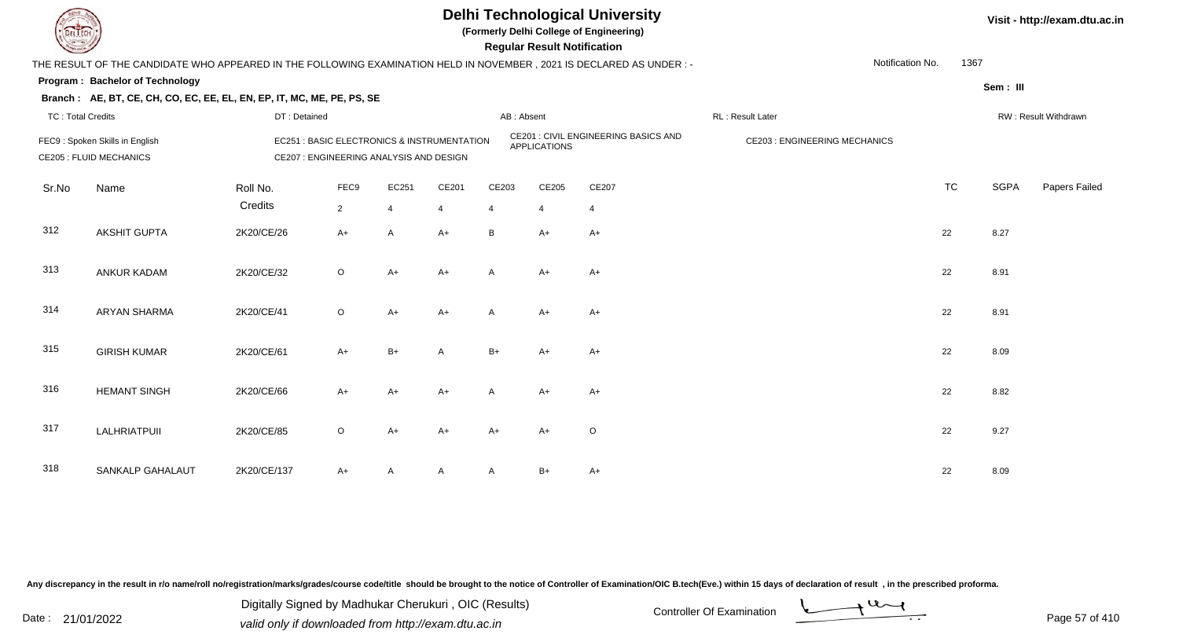

**(Formerly Delhi College of Engineering)**

 **Regular Result Notification**

| <b>County</b>            |                                                                                                                        |                     |                                         |                         |                                                       |              | <b>Regular Result Notification</b> |                                      |                                     |                  |           |             |                      |
|--------------------------|------------------------------------------------------------------------------------------------------------------------|---------------------|-----------------------------------------|-------------------------|-------------------------------------------------------|--------------|------------------------------------|--------------------------------------|-------------------------------------|------------------|-----------|-------------|----------------------|
|                          | THE RESULT OF THE CANDIDATE WHO APPEARED IN THE FOLLOWING EXAMINATION HELD IN NOVEMBER , 2021 IS DECLARED AS UNDER : - |                     |                                         |                         |                                                       |              |                                    |                                      |                                     | Notification No. | 1367      |             |                      |
|                          | Program: Bachelor of Technology                                                                                        |                     |                                         |                         |                                                       |              |                                    |                                      |                                     |                  |           | Sem: III    |                      |
|                          | Branch: AE, BT, CE, CH, CO, EC, EE, EL, EN, EP, IT, MC, ME, PE, PS, SE                                                 |                     |                                         |                         |                                                       |              |                                    |                                      |                                     |                  |           |             |                      |
| <b>TC: Total Credits</b> |                                                                                                                        | DT: Detained        |                                         |                         |                                                       | AB: Absent   |                                    |                                      | RL: Result Later                    |                  |           |             | RW: Result Withdrawn |
|                          | FEC9: Spoken Skills in English<br><b>CE205 : FLUID MECHANICS</b>                                                       |                     | CE207 : ENGINEERING ANALYSIS AND DESIGN |                         | <b>EC251: BASIC ELECTRONICS &amp; INSTRUMENTATION</b> |              | <b>APPLICATIONS</b>                | CE201 : CIVIL ENGINEERING BASICS AND | <b>CE203: ENGINEERING MECHANICS</b> |                  |           |             |                      |
| Sr.No                    | Name                                                                                                                   | Roll No.<br>Credits | FEC9<br>$\overline{2}$                  | EC251<br>$\overline{4}$ | CE201<br>$\overline{4}$                               | CE203<br>4   | CE205<br>$\overline{4}$            | CE207<br>$\overline{4}$              |                                     |                  | <b>TC</b> | <b>SGPA</b> | Papers Failed        |
| 312                      | <b>AKSHIT GUPTA</b>                                                                                                    | 2K20/CE/26          | $A+$                                    | $\mathsf{A}$            | $A+$                                                  | B            | $A+$                               | $A+$                                 |                                     |                  | 22        | 8.27        |                      |
| 313                      | ANKUR KADAM                                                                                                            | 2K20/CE/32          | $\circ$                                 | $A+$                    | $A+$                                                  | $\mathsf{A}$ | $A+$                               | $A+$                                 |                                     |                  | 22        | 8.91        |                      |
| 314                      | <b>ARYAN SHARMA</b>                                                                                                    | 2K20/CE/41          | $\circ$                                 | $A+$                    | $A+$                                                  | A            | $A+$                               | $A+$                                 |                                     |                  | 22        | 8.91        |                      |
| 315                      | <b>GIRISH KUMAR</b>                                                                                                    | 2K20/CE/61          | $A+$                                    | $B+$                    | A                                                     | $B+$         | $A+$                               | $A+$                                 |                                     |                  | 22        | 8.09        |                      |
| 316                      | <b>HEMANT SINGH</b>                                                                                                    | 2K20/CE/66          | $A+$                                    | A+                      | $A+$                                                  | A            | A+                                 | A+                                   |                                     |                  | 22        | 8.82        |                      |
| 317                      | LALHRIATPUII                                                                                                           | 2K20/CE/85          | $\circ$                                 | $A+$                    | $A+$                                                  | A+           | $A+$                               | O                                    |                                     |                  | 22        | 9.27        |                      |
| 318                      | SANKALP GAHALAUT                                                                                                       | 2K20/CE/137         | $A+$                                    |                         | $\mathsf{A}$                                          | A            | B+                                 | A+                                   |                                     |                  | 22        | 8.09        |                      |

Any discrepancy in the result in r/o name/roll no/registration/marks/grades/course code/title should be brought to the notice of Controller of Examination/OIC B.tech(Eve.) within 15 days of declaration of result, in the pr

Date : 21/01/2022 Digital Digital of Microsofted Chemical Controller Of Examination Determination Page 57 of 41 Digitally Signed by Madhukar Cherukuri , OIC (Results)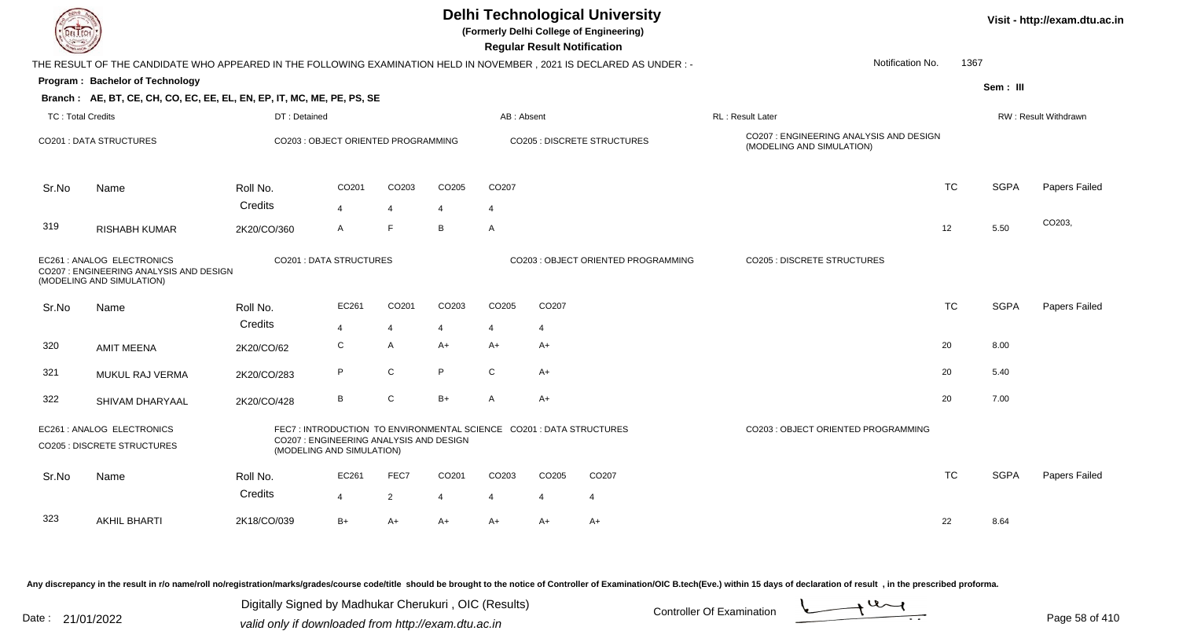| EL ECH                   |                                                                                                                      |                                                                      |                |                   |                |                | <b>Regular Result Notification</b> | <b>Delhi Technological University</b><br>(Formerly Delhi College of Engineering) |                                                                     |                  |           |             | Visit - http://exam.dtu.ac.in |
|--------------------------|----------------------------------------------------------------------------------------------------------------------|----------------------------------------------------------------------|----------------|-------------------|----------------|----------------|------------------------------------|----------------------------------------------------------------------------------|---------------------------------------------------------------------|------------------|-----------|-------------|-------------------------------|
|                          | THE RESULT OF THE CANDIDATE WHO APPEARED IN THE FOLLOWING EXAMINATION HELD IN NOVEMBER, 2021 IS DECLARED AS UNDER :- |                                                                      |                |                   |                |                |                                    |                                                                                  |                                                                     | Notification No. | 1367      |             |                               |
|                          | Program: Bachelor of Technology                                                                                      |                                                                      |                |                   |                |                |                                    |                                                                                  |                                                                     |                  |           | Sem: III    |                               |
|                          | Branch: AE, BT, CE, CH, CO, EC, EE, EL, EN, EP, IT, MC, ME, PE, PS, SE                                               |                                                                      |                |                   |                |                |                                    |                                                                                  |                                                                     |                  |           |             |                               |
| <b>TC: Total Credits</b> |                                                                                                                      | DT: Detained                                                         |                |                   |                | AB: Absent     |                                    |                                                                                  | RL: Result Later                                                    |                  |           |             | <b>RW: Result Withdrawn</b>   |
|                          | <b>CO201 : DATA STRUCTURES</b>                                                                                       | CO203 : OBJECT ORIENTED PROGRAMMING                                  |                |                   |                |                |                                    | CO205 : DISCRETE STRUCTURES                                                      | CO207: ENGINEERING ANALYSIS AND DESIGN<br>(MODELING AND SIMULATION) |                  |           |             |                               |
| Sr.No                    | Name                                                                                                                 | Roll No.                                                             | CO201          | CO <sub>203</sub> | CO205          | CO207          |                                    |                                                                                  |                                                                     |                  | <b>TC</b> | <b>SGPA</b> | Papers Failed                 |
|                          |                                                                                                                      | Credits                                                              | $\overline{4}$ | $\overline{4}$    | $\overline{4}$ | $\overline{4}$ |                                    |                                                                                  |                                                                     |                  |           |             |                               |
| 319                      | <b>RISHABH KUMAR</b>                                                                                                 | 2K20/CO/360                                                          | A              | E                 | B              | A              |                                    |                                                                                  |                                                                     |                  | 12        | 5.50        | CO203,                        |
|                          | EC261 : ANALOG ELECTRONICS<br>CO207 : ENGINEERING ANALYSIS AND DESIGN<br>(MODELING AND SIMULATION)                   | <b>CO201 : DATA STRUCTURES</b>                                       |                |                   |                |                |                                    | CO203 : OBJECT ORIENTED PROGRAMMING                                              | CO205 : DISCRETE STRUCTURES                                         |                  |           |             |                               |
| Sr.No                    | Name                                                                                                                 | Roll No.                                                             | EC261          | CO201             | CO203          | CO205          | CO207                              |                                                                                  |                                                                     |                  | <b>TC</b> | <b>SGPA</b> | Papers Failed                 |
|                          |                                                                                                                      | Credits                                                              | 4              | $\overline{4}$    | 4              | 4              | 4                                  |                                                                                  |                                                                     |                  |           |             |                               |
| 320                      | <b>AMIT MEENA</b>                                                                                                    | 2K20/CO/62                                                           | C              | $\mathsf{A}$      | $A+$           | $A+$           | A+                                 |                                                                                  |                                                                     |                  | 20        | 8.00        |                               |
| 321                      | MUKUL RAJ VERMA                                                                                                      | 2K20/CO/283                                                          | P              | ${\bf C}$         | P              | C              | A+                                 |                                                                                  |                                                                     |                  | 20        | 5.40        |                               |
| 322                      | SHIVAM DHARYAAL                                                                                                      | 2K20/CO/428                                                          | В              | C                 | $B+$           | A              | $A+$                               |                                                                                  |                                                                     |                  | 20        | 7.00        |                               |
|                          | EC261 : ANALOG ELECTRONICS<br>CO205 : DISCRETE STRUCTURES                                                            | CO207 : ENGINEERING ANALYSIS AND DESIGN<br>(MODELING AND SIMULATION) |                |                   |                |                |                                    | FEC7: INTRODUCTION TO ENVIRONMENTAL SCIENCE CO201: DATA STRUCTURES               | CO203 : OBJECT ORIENTED PROGRAMMING                                 |                  |           |             |                               |
| Sr.No                    | Name                                                                                                                 | Roll No.                                                             | EC261          | FEC7              | CO201          | CO203          | CO205                              | CO <sub>207</sub>                                                                |                                                                     |                  | <b>TC</b> | <b>SGPA</b> | Papers Failed                 |
|                          |                                                                                                                      | Credits                                                              | 4              | $\overline{2}$    | 4              | 4              | $\overline{4}$                     | $\overline{4}$                                                                   |                                                                     |                  |           |             |                               |
| 323                      | <b>AKHIL BHARTI</b>                                                                                                  | 2K18/CO/039                                                          | $B+$           | $A+$              | $A+$           | $A+$           | A+                                 | $A+$                                                                             |                                                                     |                  | 22        | 8.64        |                               |

Any discrepancy in the result in r/o name/roll no/registration/marks/grades/course code/title should be brought to the notice of Controller of Examination/OIC B.tech(Eve.) within 15 days of declaration of result ,in the p

Digitally Signed by Madhukar Cherukuri, OIC (Results)<br>Date : 21/01/2022 valid only if downloaded from http://oxam.dtu.ac.in Digitally Signed by Madhukar Cherukuri , OIC (Results)valid only if downloaded from http://exam.dtu.ac.in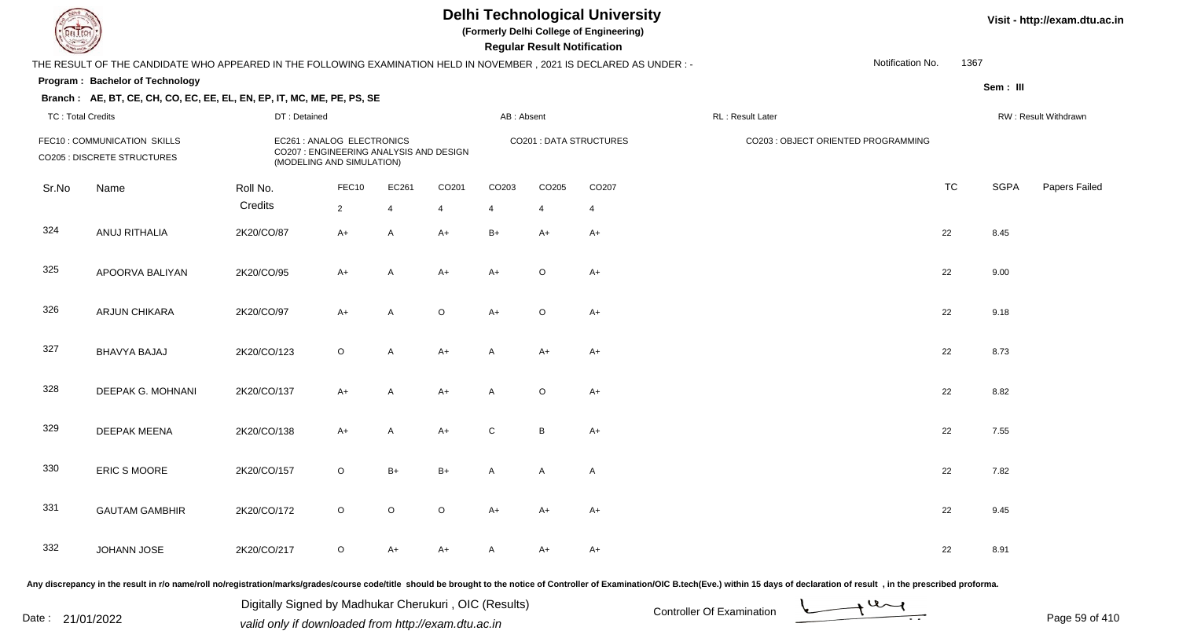**(Formerly Delhi College of Engineering)**

 **Regular Result Notification**

#### **Visit - http://exam.dtu.ac.in**

|                          | THE RESULT OF THE CANDIDATE WHO APPEARED IN THE FOLLOWING EXAMINATION HELD IN NOVEMBER, 2021 IS DECLARED AS UNDER :- |              |                                                                                                    |                |                |            |              |                         |                                     | Notification No. | 1367      |             |                      |
|--------------------------|----------------------------------------------------------------------------------------------------------------------|--------------|----------------------------------------------------------------------------------------------------|----------------|----------------|------------|--------------|-------------------------|-------------------------------------|------------------|-----------|-------------|----------------------|
|                          | <b>Program: Bachelor of Technology</b>                                                                               |              |                                                                                                    |                |                |            |              |                         |                                     |                  |           | Sem: III    |                      |
| <b>TC: Total Credits</b> | Branch: AE, BT, CE, CH, CO, EC, EE, EL, EN, EP, IT, MC, ME, PE, PS, SE                                               | DT: Detained |                                                                                                    |                |                | AB: Absent |              |                         | RL: Result Later                    |                  |           |             | RW: Result Withdrawn |
|                          | FEC10: COMMUNICATION SKILLS<br>CO205 : DISCRETE STRUCTURES                                                           |              | EC261 : ANALOG ELECTRONICS<br>CO207 : ENGINEERING ANALYSIS AND DESIGN<br>(MODELING AND SIMULATION) |                |                |            |              | CO201 : DATA STRUCTURES | CO203 : OBJECT ORIENTED PROGRAMMING |                  |           |             |                      |
| Sr.No                    | Name                                                                                                                 | Roll No.     | FEC10                                                                                              | EC261          | CO201          | CO203      | CO205        | CO207                   |                                     |                  | <b>TC</b> | <b>SGPA</b> | Papers Failec        |
|                          |                                                                                                                      | Credits      | $\overline{2}$                                                                                     | $\overline{4}$ | $\overline{4}$ | 4          | 4            | $\overline{4}$          |                                     |                  |           |             |                      |
| 324                      | ANUJ RITHALIA                                                                                                        | 2K20/CO/87   | $A+$                                                                                               | $\mathsf{A}$   | $A+$           | $B+$       | $A+$         | $A+$                    |                                     |                  | 22        | 8.45        |                      |
| 325                      | APOORVA BALIYAN                                                                                                      | 2K20/CO/95   | A+                                                                                                 | A              | A+             | $A+$       | $\circ$      | $A+$                    |                                     |                  | 22        | 9.00        |                      |
| 326                      | ARJUN CHIKARA                                                                                                        | 2K20/CO/97   | $A+$                                                                                               | A              | $\mathsf O$    | $A+$       | $\circ$      | $A+$                    |                                     |                  | 22        | 9.18        |                      |
| 327                      | <b>BHAVYA BAJAJ</b>                                                                                                  | 2K20/CO/123  | $\circ$                                                                                            | A              | $A+$           | Α          | A+           | $A+$                    |                                     |                  | 22        | 8.73        |                      |
| 328                      | DEEPAK G. MOHNANI                                                                                                    | 2K20/CO/137  | $A+$                                                                                               | A              | $A+$           | A          | $\circ$      | $A+$                    |                                     |                  | 22        | 8.82        |                      |
| 329                      | <b>DEEPAK MEENA</b>                                                                                                  | 2K20/CO/138  | $A+$                                                                                               | A              | $A+$           | C          | $\, {\bf B}$ | $A+$                    |                                     |                  | 22        | 7.55        |                      |
| 330                      | ERIC S MOORE                                                                                                         | 2K20/CO/157  | $\circ$                                                                                            | $B+$           | $B+$           | A          | A            | $\mathsf{A}$            |                                     |                  | 22        | 7.82        |                      |
| 331                      | <b>GAUTAM GAMBHIR</b>                                                                                                | 2K20/CO/172  | $\circ$                                                                                            | $\circ$        | $\mathsf O$    | $A+$       | $A+$         | $A+$                    |                                     |                  | 22        | 9.45        |                      |
| 332                      | JOHANN JOSE                                                                                                          | 2K20/CO/217  | $\circ$                                                                                            | A+             | A+             |            | A+           | $A+$                    |                                     |                  | 22        | 8.91        |                      |

Any discrepancy in the result in r/o name/roll no/registration/marks/grades/course code/title should be brought to the notice of Controller of Examination/OIC B.tech(Eve.) within 15 days of declaration of result, in the pr

Date : 21/01/2022 Digital Digital of Microsofted Chemical Controller Of Examination Determination Page 59 of 41 Digitally Signed by Madhukar Cherukuri , OIC (Results)

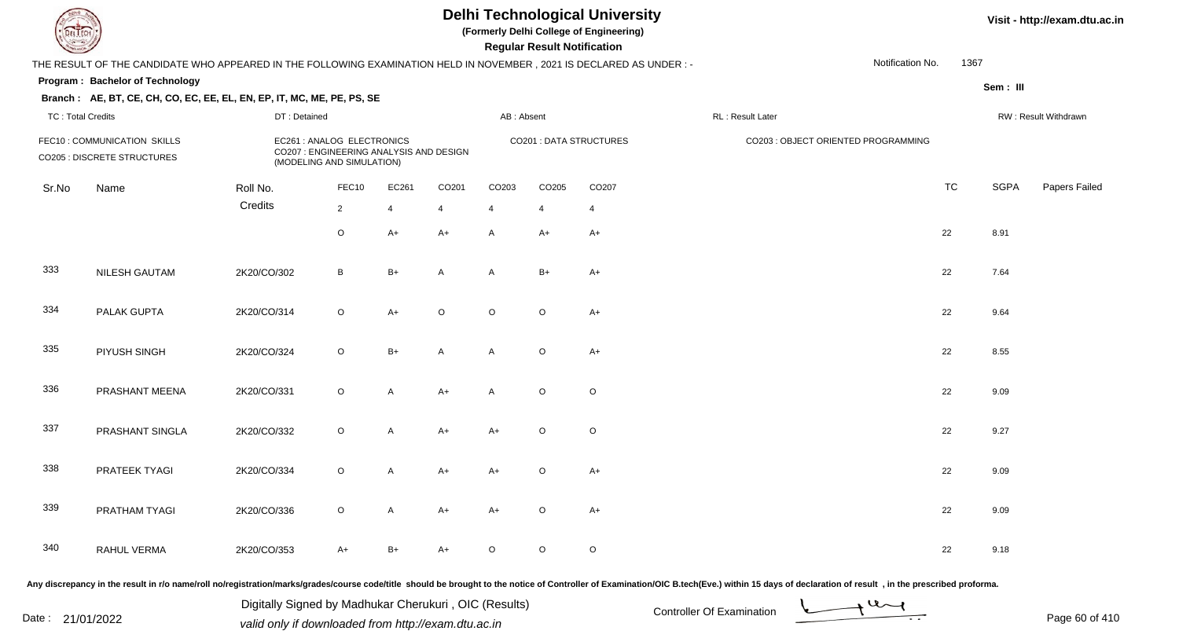**(Formerly Delhi College of Engineering)**

 **Regular Result Notification**

**Visit - http://exam.dtu.ac.in**

| <b>Course Lines</b>      |                                                                                                                      |              |                                                                                                    |                |                |                | Regular Result Notification |                         |                                                                                                                                                                                                                                |                          |             |                      |
|--------------------------|----------------------------------------------------------------------------------------------------------------------|--------------|----------------------------------------------------------------------------------------------------|----------------|----------------|----------------|-----------------------------|-------------------------|--------------------------------------------------------------------------------------------------------------------------------------------------------------------------------------------------------------------------------|--------------------------|-------------|----------------------|
|                          | THE RESULT OF THE CANDIDATE WHO APPEARED IN THE FOLLOWING EXAMINATION HELD IN NOVEMBER, 2021 IS DECLARED AS UNDER :- |              |                                                                                                    |                |                |                |                             |                         |                                                                                                                                                                                                                                | Notification No.<br>1367 |             |                      |
|                          | Program: Bachelor of Technology                                                                                      |              |                                                                                                    |                |                |                |                             |                         |                                                                                                                                                                                                                                |                          | Sem: III    |                      |
|                          | Branch: AE, BT, CE, CH, CO, EC, EE, EL, EN, EP, IT, MC, ME, PE, PS, SE                                               |              |                                                                                                    |                |                |                |                             |                         |                                                                                                                                                                                                                                |                          |             |                      |
| <b>TC: Total Credits</b> |                                                                                                                      | DT: Detained |                                                                                                    |                |                | AB: Absent     |                             |                         | RL: Result Later                                                                                                                                                                                                               |                          |             | RW: Result Withdrawn |
|                          | FEC10 : COMMUNICATION SKILLS<br><b>CO205 : DISCRETE STRUCTURES</b>                                                   |              | EC261 : ANALOG ELECTRONICS<br>CO207 : ENGINEERING ANALYSIS AND DESIGN<br>(MODELING AND SIMULATION) |                |                |                |                             | CO201 : DATA STRUCTURES | CO203 : OBJECT ORIENTED PROGRAMMING                                                                                                                                                                                            |                          |             |                      |
| Sr.No                    | Name                                                                                                                 | Roll No.     | FEC10                                                                                              | EC261          | CO201          | CO203          | CO205                       | CO207                   |                                                                                                                                                                                                                                | <b>TC</b>                | <b>SGPA</b> | Papers Failed        |
|                          |                                                                                                                      | Credits      | $\overline{c}$                                                                                     | 4              | $\overline{4}$ | 4              | $\overline{4}$              | $\overline{4}$          |                                                                                                                                                                                                                                |                          |             |                      |
|                          |                                                                                                                      |              | $\mathsf O$                                                                                        | $A+$           | $A+$           | $\mathsf{A}$   | $A+$                        | $A+$                    |                                                                                                                                                                                                                                | 22                       | 8.91        |                      |
| 333                      | NILESH GAUTAM                                                                                                        | 2K20/CO/302  | $\, {\bf B}$                                                                                       | $B+$           | $\overline{A}$ | $\mathsf{A}$   | $B+$                        | $A+$                    |                                                                                                                                                                                                                                | 22                       | 7.64        |                      |
| 334                      | PALAK GUPTA                                                                                                          | 2K20/CO/314  | $\circ$                                                                                            | $A+$           | $\circ$        | $\circ$        | $\circ$                     | $A+$                    |                                                                                                                                                                                                                                | 22                       | 9.64        |                      |
| 335                      | PIYUSH SINGH                                                                                                         | 2K20/CO/324  | $\circ$                                                                                            | $B+$           | A              | A              | $\circ$                     | $A+$                    |                                                                                                                                                                                                                                | 22                       | 8.55        |                      |
| 336                      | PRASHANT MEENA                                                                                                       | 2K20/CO/331  | $\circ$                                                                                            | A              | $A+$           | $\overline{A}$ | $\circ$                     | $\circ$                 |                                                                                                                                                                                                                                | 22                       | 9.09        |                      |
| 337                      | PRASHANT SINGLA                                                                                                      | 2K20/CO/332  | $\circ$                                                                                            | $\overline{A}$ | $A+$           | $A+$           | $\circ$                     | $\circ$                 |                                                                                                                                                                                                                                | 22                       | 9.27        |                      |
| 338                      | PRATEEK TYAGI                                                                                                        | 2K20/CO/334  | $\circ$                                                                                            | A              | $A+$           | $A+$           | $\circ$                     | $A+$                    |                                                                                                                                                                                                                                | 22                       | 9.09        |                      |
| 339                      | PRATHAM TYAGI                                                                                                        | 2K20/CO/336  | $\mathsf O$                                                                                        | A              | $A+$           | $A+$           | $\circ$                     | $A+$                    |                                                                                                                                                                                                                                | 22                       | 9.09        |                      |
| 340                      | RAHUL VERMA                                                                                                          | 2K20/CO/353  | $A+$                                                                                               | $B+$           | $A+$           | $\circ$        | $\circ$                     | $\circ$                 |                                                                                                                                                                                                                                | 22                       | 9.18        |                      |
|                          |                                                                                                                      |              |                                                                                                    |                |                |                |                             |                         | Any discrepancy in the result in r/o name/roll no/registration/marks/grades/course code/title should be brought to the notice of Controller of Examination/OIC B.tech(Eve.) within 15 days of declaration of result , in the p |                          |             |                      |

Date : 21/01/2022 Valid only if downloaded from http://exam.dtu.ac.in<br>valid only if downloaded from http://exam.dtu.ac.in Digitally Signed by Madhukar Cherukuri , OIC (Results)

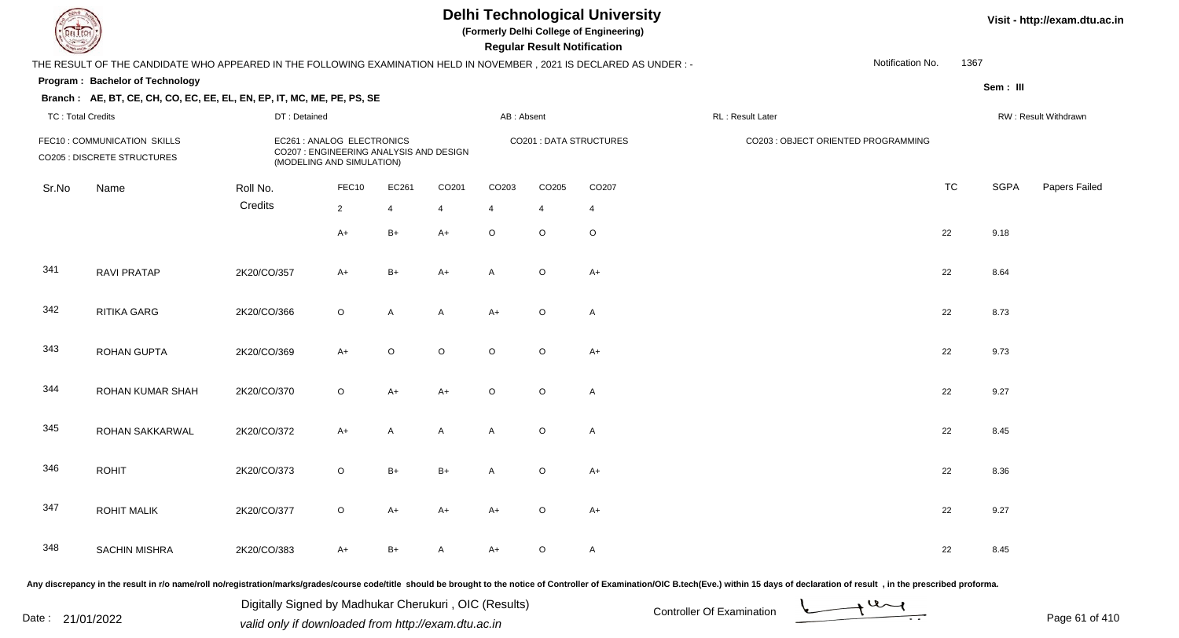**(Formerly Delhi College of Engineering)**

 **Regular Result Notification**

**Visit - http://exam.dtu.ac.in**

| $\sim$                   |                                                                                                                      |                                                                                                                  |                                                                                                    |                                                                                                                   |                |                | <b>Regular Result Rothloution</b> |                                                                                                                |                  |                                     |           |             |                      |
|--------------------------|----------------------------------------------------------------------------------------------------------------------|------------------------------------------------------------------------------------------------------------------|----------------------------------------------------------------------------------------------------|-------------------------------------------------------------------------------------------------------------------|----------------|----------------|-----------------------------------|----------------------------------------------------------------------------------------------------------------|------------------|-------------------------------------|-----------|-------------|----------------------|
|                          | THE RESULT OF THE CANDIDATE WHO APPEARED IN THE FOLLOWING EXAMINATION HELD IN NOVEMBER, 2021 IS DECLARED AS UNDER :- |                                                                                                                  |                                                                                                    |                                                                                                                   |                |                |                                   |                                                                                                                |                  | Notification No.                    | 1367      |             |                      |
|                          | Program: Bachelor of Technology                                                                                      |                                                                                                                  |                                                                                                    |                                                                                                                   |                |                |                                   |                                                                                                                |                  |                                     |           | Sem: III    |                      |
|                          | Branch: AE, BT, CE, CH, CO, EC, EE, EL, EN, EP, IT, MC, ME, PE, PS, SE                                               |                                                                                                                  |                                                                                                    |                                                                                                                   |                |                |                                   |                                                                                                                |                  |                                     |           |             |                      |
| <b>TC: Total Credits</b> |                                                                                                                      | DT: Detained                                                                                                     |                                                                                                    |                                                                                                                   |                | AB: Absent     |                                   |                                                                                                                | RL: Result Later |                                     |           |             | RW: Result Withdrawn |
|                          | FEC10: COMMUNICATION SKILLS<br>CO205 : DISCRETE STRUCTURES                                                           |                                                                                                                  | EC261 : ANALOG ELECTRONICS<br>CO207 : ENGINEERING ANALYSIS AND DESIGN<br>(MODELING AND SIMULATION) |                                                                                                                   |                |                |                                   | <b>CO201 : DATA STRUCTURES</b>                                                                                 |                  | CO203 : OBJECT ORIENTED PROGRAMMING |           |             |                      |
| Sr.No                    | Name                                                                                                                 | Roll No.                                                                                                         | FEC10                                                                                              | EC261                                                                                                             | CO201          | CO203          | CO205                             | CO207                                                                                                          |                  |                                     | <b>TC</b> | <b>SGPA</b> | Papers Failec        |
|                          |                                                                                                                      | Credits                                                                                                          | $\overline{2}$                                                                                     | $\overline{4}$                                                                                                    | $\overline{4}$ | $\overline{4}$ | $\overline{4}$                    | $\overline{4}$                                                                                                 |                  |                                     |           |             |                      |
|                          |                                                                                                                      |                                                                                                                  | $A+$                                                                                               | $B+$                                                                                                              | $A+$           | $\circ$        | $\circ$                           | $\circ$                                                                                                        |                  |                                     | 22        | 9.18        |                      |
| 341                      | <b>RAVI PRATAP</b>                                                                                                   | 2K20/CO/357                                                                                                      | $A+$                                                                                               | $B+$                                                                                                              | $A+$           | A              | $\circ$                           | $A+$                                                                                                           |                  |                                     | 22        | 8.64        |                      |
| 342                      | RITIKA GARG                                                                                                          | 2K20/CO/366                                                                                                      | $\circ$                                                                                            | A                                                                                                                 | A              | $A+$           | $\circ$                           | A                                                                                                              |                  |                                     | 22        | 8.73        |                      |
| 343                      | ROHAN GUPTA                                                                                                          | 2K20/CO/369                                                                                                      | $A+$                                                                                               | $\circ$                                                                                                           | $\mathsf O$    | $\circ$        | $\circ$                           | $A+$                                                                                                           |                  |                                     | 22        | 9.73        |                      |
| 344                      | ROHAN KUMAR SHAH                                                                                                     | 2K20/CO/370                                                                                                      | $\circ$                                                                                            | $A+$                                                                                                              | $A+$           | $\circ$        | $\circ$                           | $\mathsf{A}$                                                                                                   |                  |                                     | 22        | 9.27        |                      |
| 345                      | ROHAN SAKKARWAL                                                                                                      | 2K20/CO/372                                                                                                      | $A+$                                                                                               | A                                                                                                                 | A              | A              | $\circ$                           | $\mathsf{A}$                                                                                                   |                  |                                     | 22        | 8.45        |                      |
| 346                      | <b>ROHIT</b>                                                                                                         | 2K20/CO/373                                                                                                      | $\circ$                                                                                            | $B+$                                                                                                              | $B+$           | A              | $\circ$                           | $A+$                                                                                                           |                  |                                     | 22        | 8.36        |                      |
| 347                      | <b>ROHIT MALIK</b>                                                                                                   | 2K20/CO/377                                                                                                      | $\circ$                                                                                            | $A+$                                                                                                              | $A+$           | $A+$           | $\circ$                           | $A+$                                                                                                           |                  |                                     | 22        | 9.27        |                      |
| 348                      | <b>SACHIN MISHRA</b>                                                                                                 | 2K20/CO/383                                                                                                      | $A+$                                                                                               | $B+$                                                                                                              | $\mathsf{A}$   | $A+$           | $\circ$                           | $\mathsf{A}$                                                                                                   |                  |                                     | 22        | 8.45        |                      |
|                          | the company of the company of                                                                                        | in the second control of the second control of the second control of the second control of the second control of |                                                                                                    | the company's company's company's company's company's company's company's company's company's company's company's |                |                |                                   | in a comparable construction of the comparable construction of the comparable construction of the comparable o |                  |                                     |           |             |                      |

Any discrepancy in the result in r/o name/roll no/registration/marks/grades/course code/title should be brought to the notice of Controller of Examination/OIC B.tech(Eve.) within 15 days of declaration of result , in the p

Date : 21/01/2022 Digital Digital of Microsofted Chemical Controller Of Examination Determination Page 61 of 41 Digitally Signed by Madhukar Cherukuri , OIC (Results)

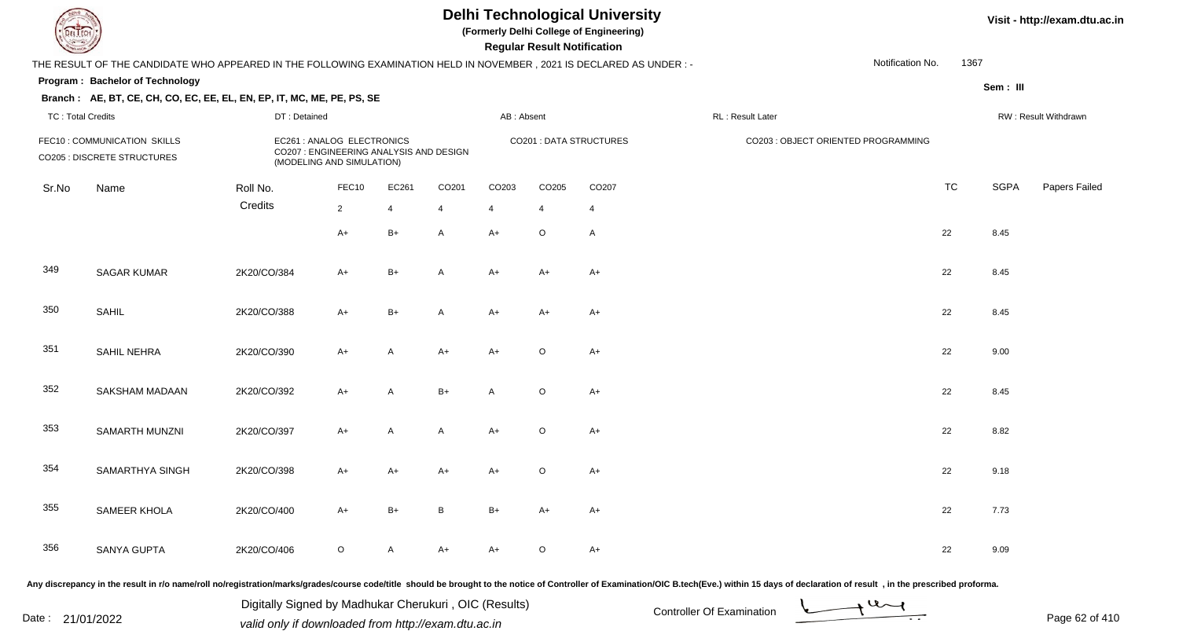**(Formerly Delhi College of Engineering)**

 **Regular Result Notification**

**Visit - http://exam.dtu.ac.in**

| $\sim$                   |                                                                                                                     |              |                                                                                                    |                |              |            | n <del>c</del> yuman n <del>c</del> ount nountation |                                |                                                                                                                                                                                                                                |           |             |                      |
|--------------------------|---------------------------------------------------------------------------------------------------------------------|--------------|----------------------------------------------------------------------------------------------------|----------------|--------------|------------|-----------------------------------------------------|--------------------------------|--------------------------------------------------------------------------------------------------------------------------------------------------------------------------------------------------------------------------------|-----------|-------------|----------------------|
|                          | THE RESULT OF THE CANDIDATE WHO APPEARED IN THE FOLLOWING EXAMINATION HELD IN NOVEMBER, 2021 IS DECLARED AS UNDER:- |              |                                                                                                    |                |              |            |                                                     |                                | Notification No.                                                                                                                                                                                                               | 1367      |             |                      |
|                          | Program: Bachelor of Technology                                                                                     |              |                                                                                                    |                |              |            |                                                     |                                |                                                                                                                                                                                                                                |           | Sem: III    |                      |
|                          | Branch: AE, BT, CE, CH, CO, EC, EE, EL, EN, EP, IT, MC, ME, PE, PS, SE                                              |              |                                                                                                    |                |              |            |                                                     |                                |                                                                                                                                                                                                                                |           |             |                      |
| <b>TC: Total Credits</b> |                                                                                                                     | DT: Detained |                                                                                                    |                |              | AB: Absent |                                                     |                                | RL: Result Later                                                                                                                                                                                                               |           |             | RW: Result Withdrawn |
|                          | FEC10: COMMUNICATION SKILLS<br>CO205 : DISCRETE STRUCTURES                                                          |              | EC261 : ANALOG ELECTRONICS<br>CO207 : ENGINEERING ANALYSIS AND DESIGN<br>(MODELING AND SIMULATION) |                |              |            |                                                     | <b>CO201 : DATA STRUCTURES</b> | CO203 : OBJECT ORIENTED PROGRAMMING                                                                                                                                                                                            |           |             |                      |
| Sr.No                    | Name                                                                                                                | Roll No.     | FEC10                                                                                              | EC261          | CO201        | CO203      | CO205                                               | CO207                          |                                                                                                                                                                                                                                | <b>TC</b> | <b>SGPA</b> | Papers Failed        |
|                          |                                                                                                                     | Credits      | $\overline{2}$                                                                                     | $\overline{4}$ | 4            | 4          | $\overline{4}$                                      | 4                              |                                                                                                                                                                                                                                |           |             |                      |
|                          |                                                                                                                     |              | $A+$                                                                                               | $B+$           | A            | $A+$       | $\circ$                                             | A                              |                                                                                                                                                                                                                                | 22        | 8.45        |                      |
| 349                      | <b>SAGAR KUMAR</b>                                                                                                  | 2K20/CO/384  | $A+$                                                                                               | $B+$           | A            | $A+$       | $A+$                                                | $A+$                           |                                                                                                                                                                                                                                | 22        | 8.45        |                      |
| 350                      | <b>SAHIL</b>                                                                                                        | 2K20/CO/388  | $A+$                                                                                               | $B+$           | A            | $A+$       | $A+$                                                | $A+$                           |                                                                                                                                                                                                                                | 22        | 8.45        |                      |
| 351                      | SAHIL NEHRA                                                                                                         | 2K20/CO/390  | $A+$                                                                                               | A              | A+           | $A+$       | $\mathsf O$                                         | $A+$                           |                                                                                                                                                                                                                                | 22        | 9.00        |                      |
| 352                      | SAKSHAM MADAAN                                                                                                      | 2K20/CO/392  | $A+$                                                                                               | A              | $B+$         | Α          | $\circ$                                             | $A+$                           |                                                                                                                                                                                                                                | 22        | 8.45        |                      |
| 353                      | SAMARTH MUNZNI                                                                                                      | 2K20/CO/397  | $A+$                                                                                               | A              | A            | $A+$       | $\circ$                                             | $A+$                           |                                                                                                                                                                                                                                | 22        | 8.82        |                      |
| 354                      | SAMARTHYA SINGH                                                                                                     | 2K20/CO/398  | $A+$                                                                                               | $A+$           | $A+$         | $A+$       | $\mathsf O$                                         | $A+$                           |                                                                                                                                                                                                                                | 22        | 9.18        |                      |
| 355                      | <b>SAMEER KHOLA</b>                                                                                                 | 2K20/CO/400  | $A+$                                                                                               | $B+$           | $\, {\bf B}$ | $B+$       | $A+$                                                | $A+$                           |                                                                                                                                                                                                                                | 22        | 7.73        |                      |
| 356                      | <b>SANYA GUPTA</b>                                                                                                  | 2K20/CO/406  | $\mathsf O$                                                                                        | A              | $A+$         | $A+$       | $\circ$                                             | $A+$                           |                                                                                                                                                                                                                                | 22        | 9.09        |                      |
|                          |                                                                                                                     |              |                                                                                                    |                |              |            |                                                     |                                | Any discrepancy in the result in r/o name/roll no/registration/marks/grades/course code/title should be brought to the notice of Controller of Examination/OIC B.tech(Eve.) within 15 days of declaration of result , in the p |           |             |                      |

Any discrepancy in the result in r/o name/roll no/registration/marks/grades/course code/title should be brought to the notice of Controller of Examination/OIC B.tech(Eve.) within 15 days of declaration of result ,in the p

Date : 21/01/2022 Valid only if downloaded from http://exam.dtu.ac.in<br>valid only if downloaded from http://exam.dtu.ac.in Digitally Signed by Madhukar Cherukuri , OIC (Results)

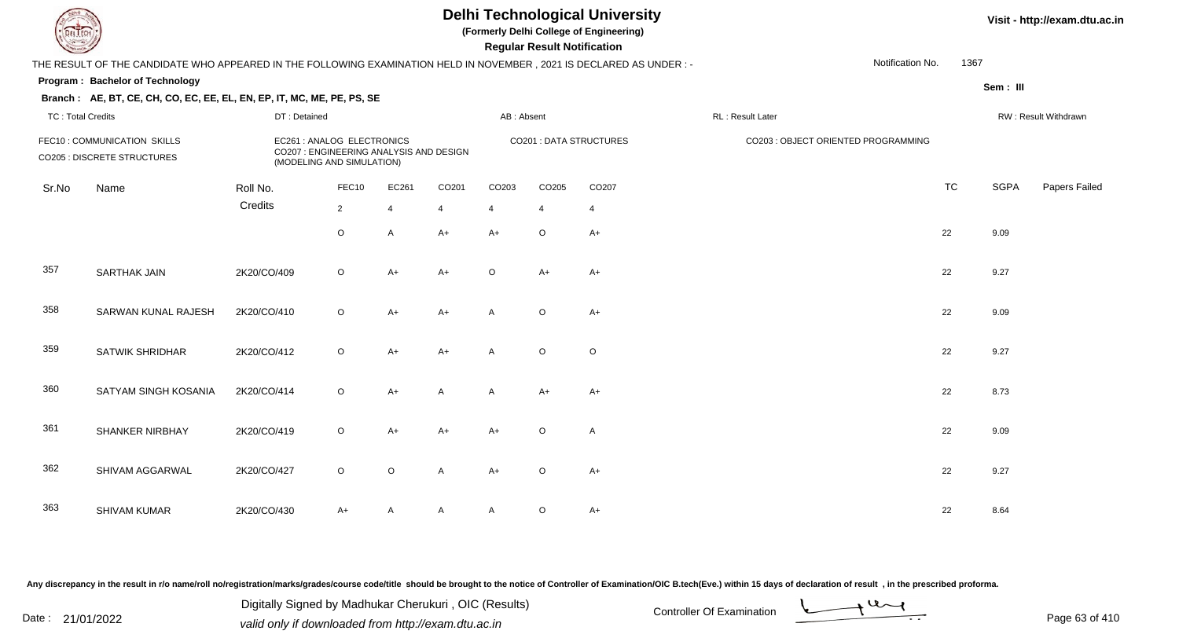**(Formerly Delhi College of Engineering)**

 **Regular Result Notification**

**Visit - http://exam.dtu.ac.in**

| <b>Controller Comments</b> |                                                                                                                      |              |                                                                                                    |                         |                |                | Regular Result Notification |                         |                                     |           |             |                      |
|----------------------------|----------------------------------------------------------------------------------------------------------------------|--------------|----------------------------------------------------------------------------------------------------|-------------------------|----------------|----------------|-----------------------------|-------------------------|-------------------------------------|-----------|-------------|----------------------|
|                            | THE RESULT OF THE CANDIDATE WHO APPEARED IN THE FOLLOWING EXAMINATION HELD IN NOVEMBER, 2021 IS DECLARED AS UNDER :- |              |                                                                                                    |                         |                |                |                             |                         | Notification No.                    | 1367      |             |                      |
|                            | Program: Bachelor of Technology                                                                                      |              |                                                                                                    |                         |                |                |                             |                         |                                     |           | Sem: III    |                      |
|                            | Branch: AE, BT, CE, CH, CO, EC, EE, EL, EN, EP, IT, MC, ME, PE, PS, SE                                               |              |                                                                                                    |                         |                |                |                             |                         |                                     |           |             |                      |
| <b>TC: Total Credits</b>   |                                                                                                                      | DT: Detained |                                                                                                    |                         |                | AB: Absent     |                             |                         | RL: Result Later                    |           |             | RW: Result Withdrawn |
|                            | FEC10: COMMUNICATION SKILLS<br><b>CO205 : DISCRETE STRUCTURES</b>                                                    |              | EC261 : ANALOG ELECTRONICS<br>CO207 : ENGINEERING ANALYSIS AND DESIGN<br>(MODELING AND SIMULATION) |                         |                |                |                             | CO201 : DATA STRUCTURES | CO203 : OBJECT ORIENTED PROGRAMMING |           |             |                      |
| Sr.No                      | Name                                                                                                                 | Roll No.     | FEC10                                                                                              | EC261                   | CO201          | CO203          | CO205                       | CO207                   |                                     | <b>TC</b> | <b>SGPA</b> | Papers Failed        |
|                            |                                                                                                                      | Credits      | $\overline{2}$                                                                                     | $\overline{\mathbf{A}}$ | $\overline{4}$ | $\overline{4}$ | $\overline{4}$              | $\overline{4}$          |                                     |           |             |                      |
|                            |                                                                                                                      |              | $\circ$                                                                                            | A                       | $A+$           | $A+$           | $\circ$                     | $A+$                    |                                     | 22        | 9.09        |                      |
| 357                        | <b>SARTHAK JAIN</b>                                                                                                  | 2K20/CO/409  | $\circ$                                                                                            | A+                      | $A+$           | $\circ$        | $A+$                        | A+                      |                                     | 22        | 9.27        |                      |
| 358                        | SARWAN KUNAL RAJESH                                                                                                  | 2K20/CO/410  | $\mathsf O$                                                                                        | $A+$                    | $A+$           | A              | $\circ$                     | $A+$                    |                                     | 22        | 9.09        |                      |
| 359                        | <b>SATWIK SHRIDHAR</b>                                                                                               | 2K20/CO/412  | $\circ$                                                                                            | $A+$                    | $A+$           | A              | $\circ$                     | $\circ$                 |                                     | 22        | 9.27        |                      |
| 360                        | SATYAM SINGH KOSANIA                                                                                                 | 2K20/CO/414  | $\circ$                                                                                            | A+                      | A              | A              | $A+$                        | $A+$                    |                                     | 22        | 8.73        |                      |
| 361                        | <b>SHANKER NIRBHAY</b>                                                                                               | 2K20/CO/419  | $\circ$                                                                                            | $A+$                    | $A+$           | $A+$           | $\circ$                     | A                       |                                     | 22        | 9.09        |                      |
| 362                        | SHIVAM AGGARWAL                                                                                                      | 2K20/CO/427  | $\circ$                                                                                            | $\circ$                 | A              | $A+$           | $\circ$                     | $A+$                    |                                     | 22        | 9.27        |                      |
| 363                        | <b>SHIVAM KUMAR</b>                                                                                                  | 2K20/CO/430  | $A+$                                                                                               | A                       | A              | A              | O                           | $A+$                    |                                     | 22        | 8.64        |                      |

Any discrepancy in the result in r/o name/roll no/registration/marks/grades/course code/title should be brought to the notice of Controller of Examination/OIC B.tech(Eve.) within 15 days of declaration of result, in the pr

Date : 21/01/2022 Digital Digital of Microsofted Chemical Controller Of Examination Determination Page 63 of 41 Digitally Signed by Madhukar Cherukuri , OIC (Results)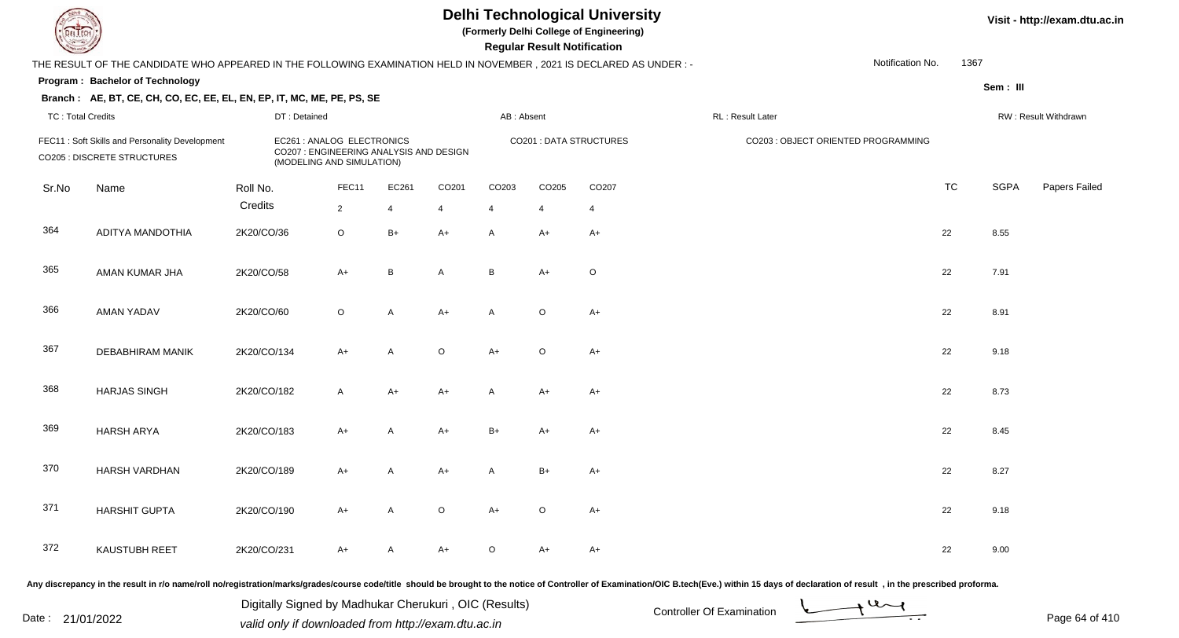**(Formerly Delhi College of Engineering)**

**Regular Regular Results Notification** 

**Visit - http://exam.dtu.ac.in**

| <b>Consultor of Charles</b> |                                                                                                                     |              |                                                                                                    |                |                |              | <b>Regular Result Notification</b> |                         |                   |                                     |           |             |                      |
|-----------------------------|---------------------------------------------------------------------------------------------------------------------|--------------|----------------------------------------------------------------------------------------------------|----------------|----------------|--------------|------------------------------------|-------------------------|-------------------|-------------------------------------|-----------|-------------|----------------------|
|                             | THE RESULT OF THE CANDIDATE WHO APPEARED IN THE FOLLOWING EXAMINATION HELD IN NOVEMBER, 2021 IS DECLARED AS UNDER:- |              |                                                                                                    |                |                |              |                                    |                         |                   | Notification No.                    | 1367      |             |                      |
|                             | Program: Bachelor of Technology                                                                                     |              |                                                                                                    |                |                |              |                                    |                         |                   |                                     |           | Sem: III    |                      |
|                             | Branch: AE, BT, CE, CH, CO, EC, EE, EL, EN, EP, IT, MC, ME, PE, PS, SE                                              |              |                                                                                                    |                |                |              |                                    |                         |                   |                                     |           |             |                      |
| <b>TC: Total Credits</b>    |                                                                                                                     | DT: Detained |                                                                                                    |                |                | AB: Absent   |                                    |                         | RL : Result Later |                                     |           |             | RW: Result Withdrawn |
|                             | FEC11: Soft Skills and Personality Development<br><b>CO205 : DISCRETE STRUCTURES</b>                                |              | EC261 : ANALOG ELECTRONICS<br>CO207 : ENGINEERING ANALYSIS AND DESIGN<br>(MODELING AND SIMULATION) |                |                |              |                                    | CO201 : DATA STRUCTURES |                   | CO203 : OBJECT ORIENTED PROGRAMMING |           |             |                      |
| Sr.No                       | Name                                                                                                                | Roll No.     | FEC11                                                                                              | EC261          | CO201          | CO203        | CO205                              | CO207                   |                   |                                     | <b>TC</b> | <b>SGPA</b> | Papers Failed        |
|                             |                                                                                                                     | Credits      | $\overline{2}$                                                                                     | $\overline{4}$ | $\overline{4}$ | 4            | $\overline{\mathbf{A}}$            | $\overline{4}$          |                   |                                     |           |             |                      |
| 364                         | ADITYA MANDOTHIA                                                                                                    | 2K20/CO/36   | $\circ$                                                                                            | $B+$           | $A+$           | A            | $A+$                               | $A+$                    |                   |                                     | 22        | 8.55        |                      |
| 365                         | AMAN KUMAR JHA                                                                                                      | 2K20/CO/58   | $A+$                                                                                               | B              | $\overline{A}$ | B            | $A+$                               | $\circ$                 |                   |                                     | 22        | 7.91        |                      |
| 366                         | <b>AMAN YADAV</b>                                                                                                   | 2K20/CO/60   | $\circ$                                                                                            | $\overline{A}$ | $A+$           | A            | $\circ$                            | $A+$                    |                   |                                     | 22        | 8.91        |                      |
| 367                         | DEBABHIRAM MANIK                                                                                                    | 2K20/CO/134  | $A+$                                                                                               | $\mathsf{A}$   | $\mathsf O$    | $A+$         | $\circ$                            | $A+$                    |                   |                                     | 22        | 9.18        |                      |
| 368                         | <b>HARJAS SINGH</b>                                                                                                 | 2K20/CO/182  | A                                                                                                  | $A+$           | $A+$           | $\mathsf{A}$ | $A+$                               | A+                      |                   |                                     | 22        | 8.73        |                      |
| 369                         | <b>HARSH ARYA</b>                                                                                                   | 2K20/CO/183  | $A+$                                                                                               | A              | $A+$           | $B+$         | $A+$                               | $A+$                    |                   |                                     | 22        | 8.45        |                      |
| 370                         | HARSH VARDHAN                                                                                                       | 2K20/CO/189  | $A+$                                                                                               | A              | $A+$           | A            | $B+$                               | A+                      |                   |                                     | 22        | 8.27        |                      |
| 371                         | <b>HARSHIT GUPTA</b>                                                                                                | 2K20/CO/190  | $A+$                                                                                               | A              | $\circ$        | $A+$         | $\circ$                            | $A+$                    |                   |                                     | 22        | 9.18        |                      |
| 372                         | <b>KAUSTUBH REET</b>                                                                                                | 2K20/CO/231  | $A+$                                                                                               | A              | $A+$           | $\circ$      | $A+$                               | A+                      |                   |                                     | 22        | 9.00        |                      |
|                             |                                                                                                                     |              |                                                                                                    |                |                |              |                                    |                         |                   |                                     |           |             |                      |

Any discrepancy in the result in r/o name/roll no/registration/marks/grades/course code/title should be brought to the notice of Controller of Examination/OIC B.tech(Eve.) within 15 days of declaration of result, in the pr

Digitally Signed by Madhukar Cherukuri, OIC (Results)<br>Date : 21/01/2022 volid only if douglooded from http://ovem dtu.co.in Digitally Signed by Madhukar Cherukuri , OIC (Results)valid only if downloaded from http://exam.dtu.ac.in

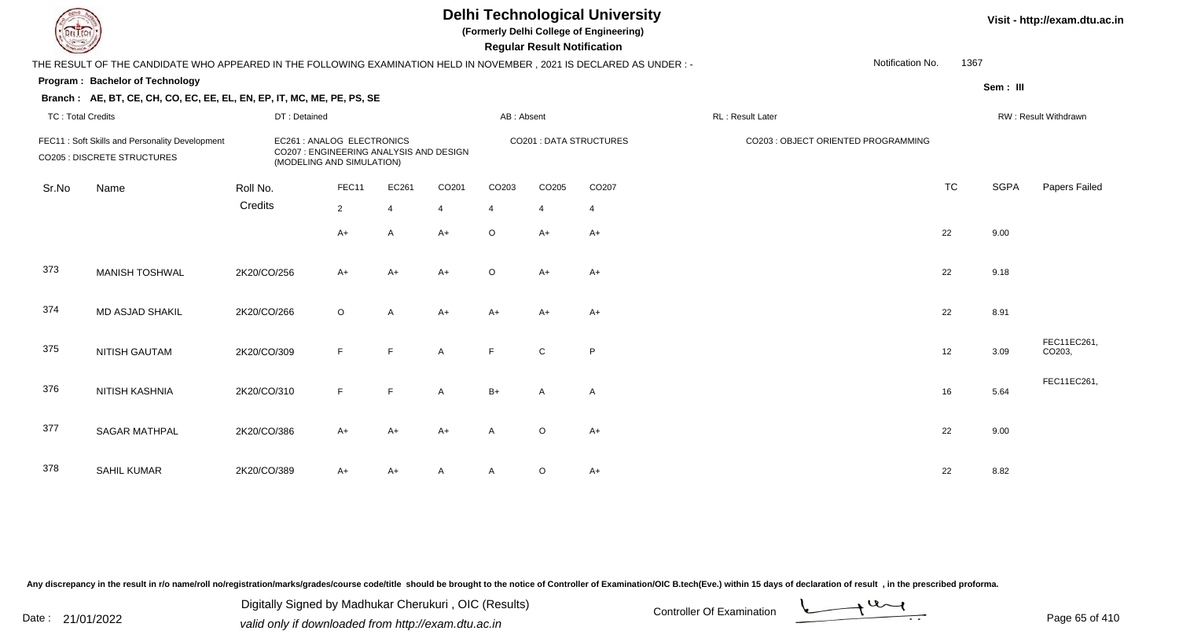**(Formerly Delhi College of Engineering)**

 **Regular Result Notification**

| $\sim$                                                                                                                                                                                     |                                                                                                                      |              |                |                |                |              | <b>Regular Result Rothrodtion</b> |                         |                  |                                     |           |             |                       |
|--------------------------------------------------------------------------------------------------------------------------------------------------------------------------------------------|----------------------------------------------------------------------------------------------------------------------|--------------|----------------|----------------|----------------|--------------|-----------------------------------|-------------------------|------------------|-------------------------------------|-----------|-------------|-----------------------|
|                                                                                                                                                                                            | THE RESULT OF THE CANDIDATE WHO APPEARED IN THE FOLLOWING EXAMINATION HELD IN NOVEMBER, 2021 IS DECLARED AS UNDER :- |              |                |                |                |              |                                   |                         |                  | Notification No.                    | 1367      |             |                       |
|                                                                                                                                                                                            | Program: Bachelor of Technology                                                                                      |              |                |                |                |              |                                   |                         |                  |                                     |           | Sem: III    |                       |
|                                                                                                                                                                                            | Branch: AE, BT, CE, CH, CO, EC, EE, EL, EN, EP, IT, MC, ME, PE, PS, SE                                               |              |                |                |                |              |                                   |                         |                  |                                     |           |             |                       |
| <b>TC: Total Credits</b>                                                                                                                                                                   |                                                                                                                      | DT: Detained |                |                |                | AB: Absent   |                                   |                         | RL: Result Later |                                     |           |             | RW: Result Withdrawn  |
| EC261 : ANALOG ELECTRONICS<br>FEC11: Soft Skills and Personality Development<br>CO207 : ENGINEERING ANALYSIS AND DESIGN<br><b>CO205 : DISCRETE STRUCTURES</b><br>(MODELING AND SIMULATION) |                                                                                                                      |              |                |                |                |              |                                   | CO201 : DATA STRUCTURES |                  | CO203 : OBJECT ORIENTED PROGRAMMING |           |             |                       |
| Sr.No                                                                                                                                                                                      | Name                                                                                                                 | Roll No.     | FEC11          | EC261          | CO201          | CO203        | CO205                             | CO207                   |                  |                                     | <b>TC</b> | <b>SGPA</b> | Papers Failed         |
|                                                                                                                                                                                            |                                                                                                                      | Credits      | $\overline{2}$ | $\overline{4}$ | $\overline{4}$ | 4            | $\overline{4}$                    | $\overline{4}$          |                  |                                     |           |             |                       |
|                                                                                                                                                                                            |                                                                                                                      |              | $A+$           | A              | $A+$           | $\circ$      | $A+$                              | $A+$                    |                  |                                     | 22        | 9.00        |                       |
| 373                                                                                                                                                                                        | <b>MANISH TOSHWAL</b>                                                                                                | 2K20/CO/256  | $A+$           | $A+$           | $A+$           | $\circ$      | $A+$                              | $A+$                    |                  |                                     | 22        | 9.18        |                       |
| 374                                                                                                                                                                                        | <b>MD ASJAD SHAKIL</b>                                                                                               | 2K20/CO/266  | $\circ$        | A              | $A+$           | A+           | $A+$                              | $A+$                    |                  |                                     | 22        | 8.91        |                       |
| 375                                                                                                                                                                                        | <b>NITISH GAUTAM</b>                                                                                                 | 2K20/CO/309  | F              | F              | $\mathsf{A}$   | F            | $\mathbf C$                       | P                       |                  |                                     | 12        | 3.09        | FEC11EC261,<br>CO203, |
| 376                                                                                                                                                                                        | <b>NITISH KASHNIA</b>                                                                                                | 2K20/CO/310  | F              | E              | $\mathsf{A}$   | $B+$         | A                                 | A                       |                  |                                     | 16        | 5.64        | FEC11EC261,           |
| 377                                                                                                                                                                                        | <b>SAGAR MATHPAL</b>                                                                                                 | 2K20/CO/386  | $A+$           | $A+$           | $A+$           | $\mathsf{A}$ | $\circ$                           | $A+$                    |                  |                                     | 22        | 9.00        |                       |
| 378                                                                                                                                                                                        | <b>SAHIL KUMAR</b>                                                                                                   | 2K20/CO/389  | $A+$           | A+             | A              | A            | $\circ$                           | $A+$                    |                  |                                     | 22        | 8.82        |                       |

Any discrepancy in the result in r/o name/roll no/registration/marks/grades/course code/title should be brought to the notice of Controller of Examination/OIC B.tech(Eve.) within 15 days of declaration of result, in the pr

Date : 21/01/2022 Digital Digital of Microsofted Chemical Controller Of Examination Determination Page 65 of 41 Digitally Signed by Madhukar Cherukuri , OIC (Results)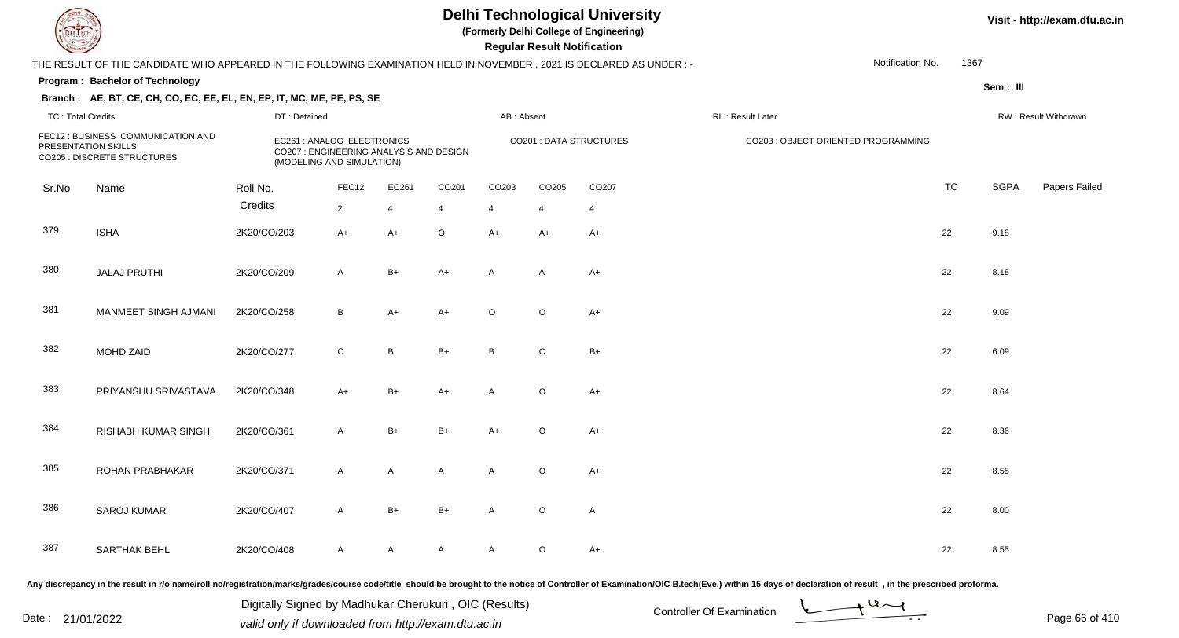**(Formerly Delhi College of Engineering)**

 **Regular Result Notification**

#### **Visit - http://exam.dtu.ac.in**

|                          | THE RESULT OF THE CANDIDATE WHO APPEARED IN THE FOLLOWING EXAMINATION HELD IN NOVEMBER, 2021 IS DECLARED AS UNDER : - |              |                                                                                                    |                |                |                |                |                         |                  | Notification No.                    | 1367      |             |                      |
|--------------------------|-----------------------------------------------------------------------------------------------------------------------|--------------|----------------------------------------------------------------------------------------------------|----------------|----------------|----------------|----------------|-------------------------|------------------|-------------------------------------|-----------|-------------|----------------------|
|                          | Program: Bachelor of Technology                                                                                       |              |                                                                                                    |                |                |                |                |                         |                  |                                     |           | Sem: III    |                      |
|                          | Branch: AE, BT, CE, CH, CO, EC, EE, EL, EN, EP, IT, MC, ME, PE, PS, SE                                                |              |                                                                                                    |                |                |                |                |                         |                  |                                     |           |             |                      |
| <b>TC: Total Credits</b> |                                                                                                                       | DT: Detained |                                                                                                    |                |                | AB: Absent     |                |                         | RL: Result Later |                                     |           |             | RW: Result Withdrawn |
|                          | FEC12 : BUSINESS COMMUNICATION AND<br>PRESENTATION SKILLS<br>CO205 : DISCRETE STRUCTURES                              |              | EC261 : ANALOG ELECTRONICS<br>CO207 : ENGINEERING ANALYSIS AND DESIGN<br>(MODELING AND SIMULATION) |                |                |                |                | CO201 : DATA STRUCTURES |                  | CO203 : OBJECT ORIENTED PROGRAMMING |           |             |                      |
| Sr.No                    | Name                                                                                                                  | Roll No.     | FEC12                                                                                              | EC261          | CO201          | CO203          | CO205          | CO207                   |                  |                                     | <b>TC</b> | <b>SGPA</b> | Papers Failec        |
|                          |                                                                                                                       | Credits      | $\overline{2}$                                                                                     | $\overline{4}$ | $\overline{4}$ | $\overline{4}$ | $\overline{4}$ | $\overline{4}$          |                  |                                     |           |             |                      |
| 379                      | <b>ISHA</b>                                                                                                           | 2K20/CO/203  | $A+$                                                                                               | $A+$           | $\circ$        | $A+$           | $A+$           | $A+$                    |                  |                                     | 22        | 9.18        |                      |
| 380                      | <b>JALAJ PRUTHI</b>                                                                                                   | 2K20/CO/209  | $\mathsf{A}$                                                                                       | $B+$           | $A+$           | A              | A              | A+                      |                  |                                     | 22        | 8.18        |                      |
| 381                      | MANMEET SINGH AJMANI                                                                                                  | 2K20/CO/258  | B                                                                                                  | $A+$           | $A+$           | $\circ$        | $\circ$        | $A+$                    |                  |                                     | 22        | 9.09        |                      |
| 382                      | MOHD ZAID                                                                                                             | 2K20/CO/277  | $\mathsf{C}$                                                                                       | B              | $B+$           | B              | $\mathsf{C}$   | $B+$                    |                  |                                     | 22        | 6.09        |                      |
| 383                      | PRIYANSHU SRIVASTAVA                                                                                                  | 2K20/CO/348  | A+                                                                                                 | $B+$           | $A+$           | $\mathsf{A}$   | $\circ$        | $A+$                    |                  |                                     | 22        | 8.64        |                      |
| 384                      | <b>RISHABH KUMAR SINGH</b>                                                                                            | 2K20/CO/361  | $\mathsf{A}$                                                                                       | $B+$           | $B+$           | $A+$           | $\circ$        | $A+$                    |                  |                                     | 22        | 8.36        |                      |
| 385                      | ROHAN PRABHAKAR                                                                                                       | 2K20/CO/371  | $\mathsf{A}$                                                                                       | $\mathsf{A}$   | $\mathsf{A}$   | $\mathsf{A}$   | $\circ$        | $A+$                    |                  |                                     | 22        | 8.55        |                      |
| 386                      | <b>SAROJ KUMAR</b>                                                                                                    | 2K20/CO/407  | $\mathsf{A}$                                                                                       | $B+$           | $B+$           | A              | $\mathsf O$    | A                       |                  |                                     | 22        | 8.00        |                      |
| 387                      | <b>SARTHAK BEHL</b>                                                                                                   | 2K20/CO/408  | $\mathsf{A}$                                                                                       | $\mathsf{A}$   | $\mathsf{A}$   | A              | $\circ$        | $A+$                    |                  |                                     | 22        | 8.55        |                      |
|                          |                                                                                                                       |              |                                                                                                    |                |                |                |                |                         |                  |                                     |           |             |                      |

Any discrepancy in the result in r/o name/roll no/registration/marks/grades/course code/title should be brought to the notice of Controller of Examination/OIC B.tech(Eve.) within 15 days of declaration of result, in the pr

Date : 21/01/2022 Digital Digital of Microsofted Chemical Controller Of Examination Determination Page 66 of 41 Digitally Signed by Madhukar Cherukuri , OIC (Results)

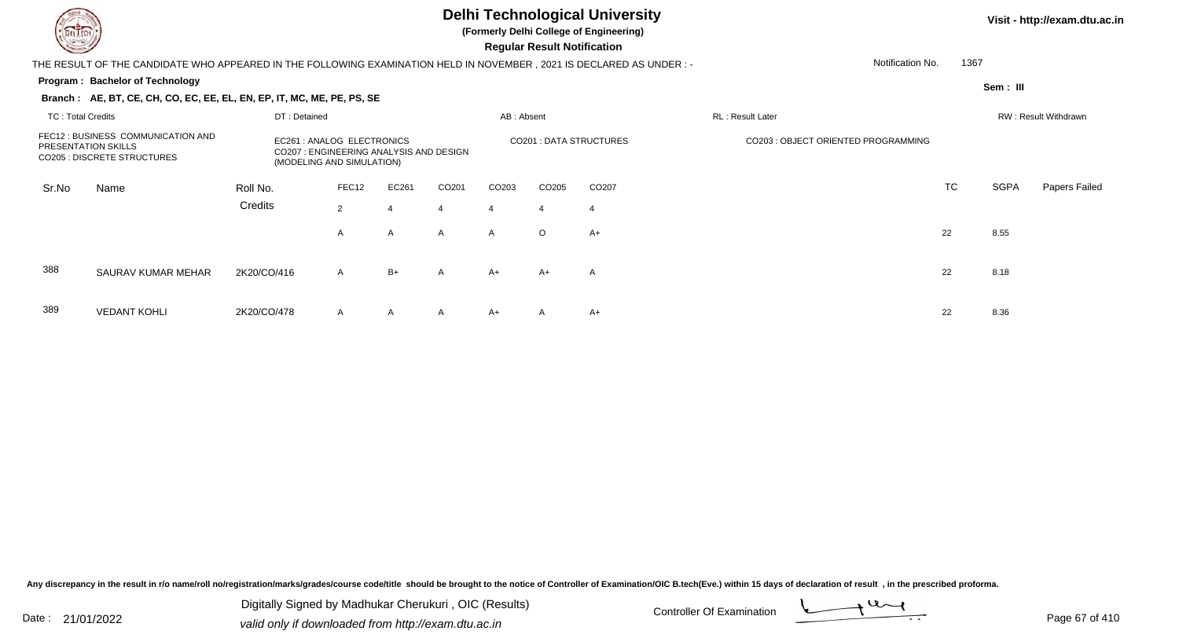389

VEDANT KOHLI 2K20/CO/478

#### **Delhi Technological University**

**(Formerly Delhi College of Engineering)**

 **Regular Result Notification**

#### **Program : Bachelor of TechnologySem : III Branch : AE, BT, CE, CH, CO, EC, EE, EL, EN, EP, IT, MC, ME, PE, PS, SE**THE RESULT OF THE CANDIDATE WHO APPEARED IN THE FOLLOWING EXAMINATION HELD IN NOVEMBER , 2021 IS DECLARED AS UNDER : -TC : Total Credits DT : Detainedd AB : Absent RL : Result Later RW : Result Withdrawn Notification No. 1367Sr.NoName Roll No. **Credits** FEC12 : BUSINESS COMMUNICATION ANDPRESENTATION SKILLS EC261 : ANALOG ELECTRONICS CO201 : DATA STRUCTURES CO203 : OBJECT ORIENTED PROGRAMMING CO205 : DISCRETE STRUCTURES CO207 : ENGINEERING ANALYSIS AND DESIGN (MODELING AND SIMULATION)FEC12 EC261 CO201 CO203 CO205 CO207 TCTC SGPA Papers Failed 22 4 4 4 4 4 AA A A A O  $A_{+}$  22 8.55 388 SAURAV KUMAR MEHARR 2K20/CO/416 A B+ A A+ A+ A A<br>

<sup>A</sup> <sup>A</sup> <sup>A</sup> A+ <sup>A</sup> A+ <sup>22</sup> 8.36

Any discrepancy in the result in r/o name/roll no/registration/marks/grades/course code/title should be brought to the notice of Controller of Examination/OIC B.tech(Eve.) within 15 days of declaration of result , in the p

Date : 21/01/2022 Valid only if downloaded from http://exam.dtu.ac.in<br>valid only if downloaded from http://exam.dtu.ac.in Digitally Signed by Madhukar Cherukuri , OIC (Results)

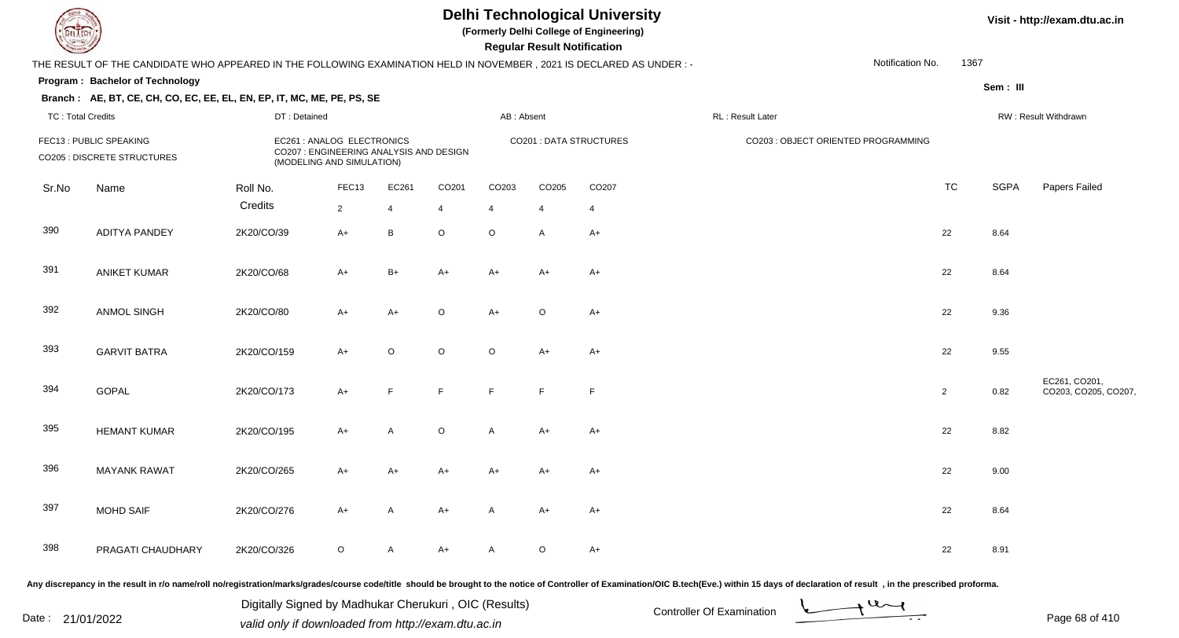**(Formerly Delhi College of Engineering)**

#### **Visit - http://exam.dtu.ac.in**

**Program : Bachelor of Technology Regular Result NotificationSem : III Branch : AE, BT, CE, CH, CO, EC, EE, EL, EN, EP, IT, MC, ME, PE, PS, SE**THE RESULT OF THE CANDIDATE WHO APPEARED IN THE FOLLOWING EXAMINATION HELD IN NOVEMBER , 2021 IS DECLARED AS UNDER : -TC : Total Credits DT : Detainedd AB : Absent RL : Result Later RW : Result Withdrawn Notification No. 1367Sr.NoName Roll No. **Credits** FEC13 : PUBLIC SPEAKING EC261 : ANALOG ELECTRONICS CO201 : DATA STRUCTURES CO203 : OBJECT ORIENTED PROGRAMMING CO205 : DISCRETE STRUCTURES CO207 : ENGINEERING ANALYSIS AND DESIGN (MODELING AND SIMULATION)FEC133 EC261 CO201 CO203 CO205 CO207 CO207 CO207 CO207 CO207 CO207 CO207 CO207 CO207 CO TC SGPA Papers Failed 22 4 4 4 4 4 390 ADITYA PANDEY 2K20/CO/39 A+ <sup>B</sup> <sup>O</sup> <sup>O</sup> <sup>A</sup> A+ <sup>22</sup> 8.64 391 ANIKET KUMARR 2K20/CO/68 A+ B+ A+ A+ A+ A+ A+ A+ C+ 22 8.64 392 ANMOL SINGH 2K20/CO/80 A+ A+ <sup>O</sup> A+ <sup>O</sup> A+ <sup>22</sup> 9.36 393 GARVIT BATRAA 2K20/CO/159 A+ O O O A+ A+ 394**GOPAL**  2K20/CO/173 A+ <sup>F</sup> <sup>F</sup> <sup>F</sup> <sup>F</sup> <sup>F</sup> <sup>2</sup> 0.82 EC261, CO201, CO203, CO205, CO207, 395 HEMANT KUMARR 2K20/CO/195 A+ A O A A+ A+ 396 MAYANK RAWAT 2K20/CO/265 A+ A+ A+ A+ A+ A+ <sup>22</sup> 9.00 397 MOHD SAIFF 2K20/CO/276 A+ A A+ A A+ A+ A+ A+ C+ 22 8.64 398 PRAGATI CHAUDHARYY 2K20/CO/326 O A A+ A O A+ <br>22 8.91

Any discrepancy in the result in r/o name/roll no/registration/marks/grades/course code/title should be brought to the notice of Controller of Examination/OIC B.tech(Eve.) within 15 days of declaration of result , in the p

Date : 21/01/2022 Digital Digital of Microsofted Chemical Controller Of Examination Determination Page 68 of 41

Digitally Signed by Madhukar Cherukuri , OIC (Results)

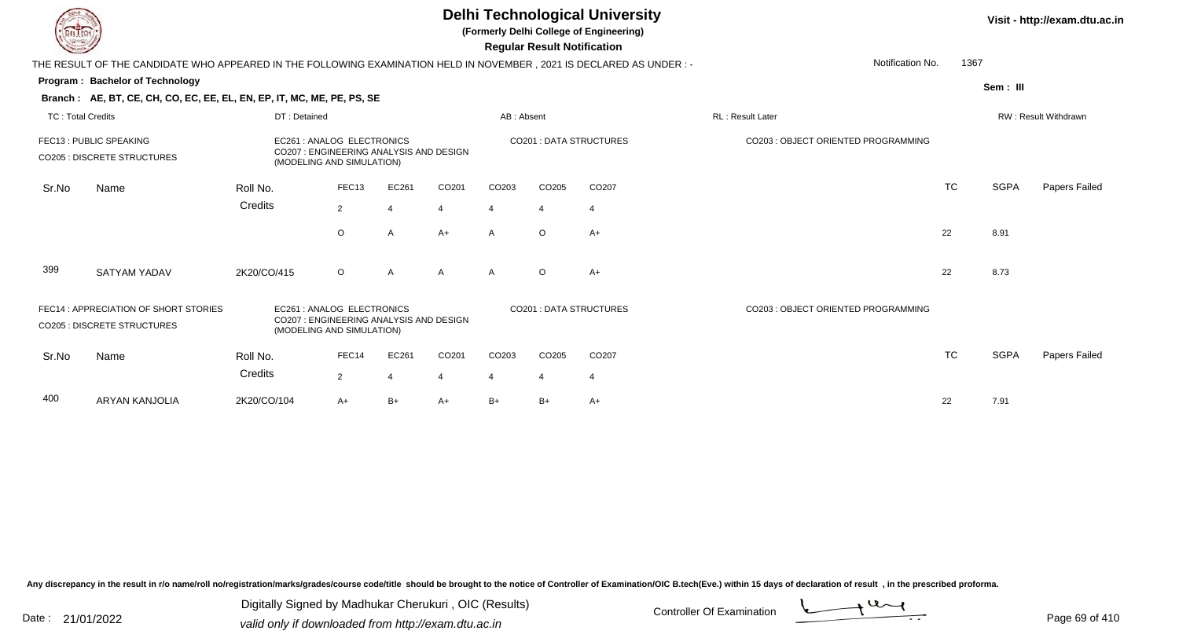| DEL TECH                 |                                                                                                                      |              |                                                                                                    |                          |       |            | <b>Regular Result Notification</b> | <b>Delhi Technological University</b><br>(Formerly Delhi College of Engineering) |                                     |           |             | Visit - http://exam.dtu.ac.in |
|--------------------------|----------------------------------------------------------------------------------------------------------------------|--------------|----------------------------------------------------------------------------------------------------|--------------------------|-------|------------|------------------------------------|----------------------------------------------------------------------------------|-------------------------------------|-----------|-------------|-------------------------------|
|                          | THE RESULT OF THE CANDIDATE WHO APPEARED IN THE FOLLOWING EXAMINATION HELD IN NOVEMBER, 2021 IS DECLARED AS UNDER :- |              |                                                                                                    |                          |       |            |                                    |                                                                                  | Notification No.                    | 1367      |             |                               |
|                          | Program: Bachelor of Technology                                                                                      |              |                                                                                                    |                          |       |            |                                    |                                                                                  |                                     |           | Sem: III    |                               |
|                          | Branch: AE, BT, CE, CH, CO, EC, EE, EL, EN, EP, IT, MC, ME, PE, PS, SE                                               |              |                                                                                                    |                          |       |            |                                    |                                                                                  |                                     |           |             |                               |
| <b>TC: Total Credits</b> |                                                                                                                      | DT: Detained |                                                                                                    |                          |       | AB: Absent |                                    |                                                                                  | <b>RL: Result Later</b>             |           |             | RW: Result Withdrawn          |
|                          | FEC13 : PUBLIC SPEAKING<br><b>CO205 : DISCRETE STRUCTURES</b>                                                        |              | EC261 : ANALOG ELECTRONICS<br>CO207 : ENGINEERING ANALYSIS AND DESIGN<br>(MODELING AND SIMULATION) |                          |       |            |                                    | CO201 : DATA STRUCTURES                                                          | CO203 : OBJECT ORIENTED PROGRAMMING |           |             |                               |
| Sr.No                    | Name                                                                                                                 | Roll No.     | FEC <sub>13</sub>                                                                                  | EC261                    | CO201 | CO203      | CO205                              | CO207                                                                            |                                     | TC        | <b>SGPA</b> | Papers Failed                 |
|                          |                                                                                                                      | Credits      | $\overline{2}$                                                                                     | $\overline{4}$           | 4     |            |                                    | $\overline{4}$                                                                   |                                     |           |             |                               |
|                          |                                                                                                                      |              | $\circ$                                                                                            | Α                        | $A+$  | A          | $\circ$                            | $A+$                                                                             |                                     | 22        | 8.91        |                               |
| 399                      | <b>SATYAM YADAV</b>                                                                                                  | 2K20/CO/415  | $\circ$                                                                                            | A                        | А     | A          | $\Omega$                           | $A+$                                                                             |                                     | 22        | 8.73        |                               |
|                          | FEC14 : APPRECIATION OF SHORT STORIES<br><b>CO205: DISCRETE STRUCTURES</b>                                           |              | EC261: ANALOG ELECTRONICS<br>CO207 : ENGINEERING ANALYSIS AND DESIGN<br>(MODELING AND SIMULATION)  |                          |       |            |                                    | CO201 : DATA STRUCTURES                                                          | CO203: OBJECT ORIENTED PROGRAMMING  |           |             |                               |
| Sr.No                    | Name                                                                                                                 | Roll No.     | FEC14                                                                                              | EC261                    | CO201 | CO203      | CO205                              | CO207                                                                            |                                     | <b>TC</b> | <b>SGPA</b> | Papers Failed                 |
|                          |                                                                                                                      | Credits      | $\overline{2}$                                                                                     | $\overline{\mathcal{A}}$ | 4     |            |                                    | 4                                                                                |                                     |           |             |                               |
| 400                      | <b>ARYAN KANJOLIA</b>                                                                                                | 2K20/CO/104  | A+                                                                                                 | $B+$                     | A+    | B+         | B+                                 | $A+$                                                                             |                                     | 22        | 7.91        |                               |

Any discrepancy in the result in r/o name/roll no/registration/marks/grades/course code/title should be brought to the notice of Controller of Examination/OIC B.tech(Eve.) within 15 days of declaration of result ,in the p

Digitally Signed by Madhukar Cherukuri, OIC (Results)<br>Date : 21/01/2022 valid only if downloaded from http://oxam.dtu.ac.in Digitally Signed by Madhukar Cherukuri , OIC (Results)valid only if downloaded from http://exam.dtu.ac.in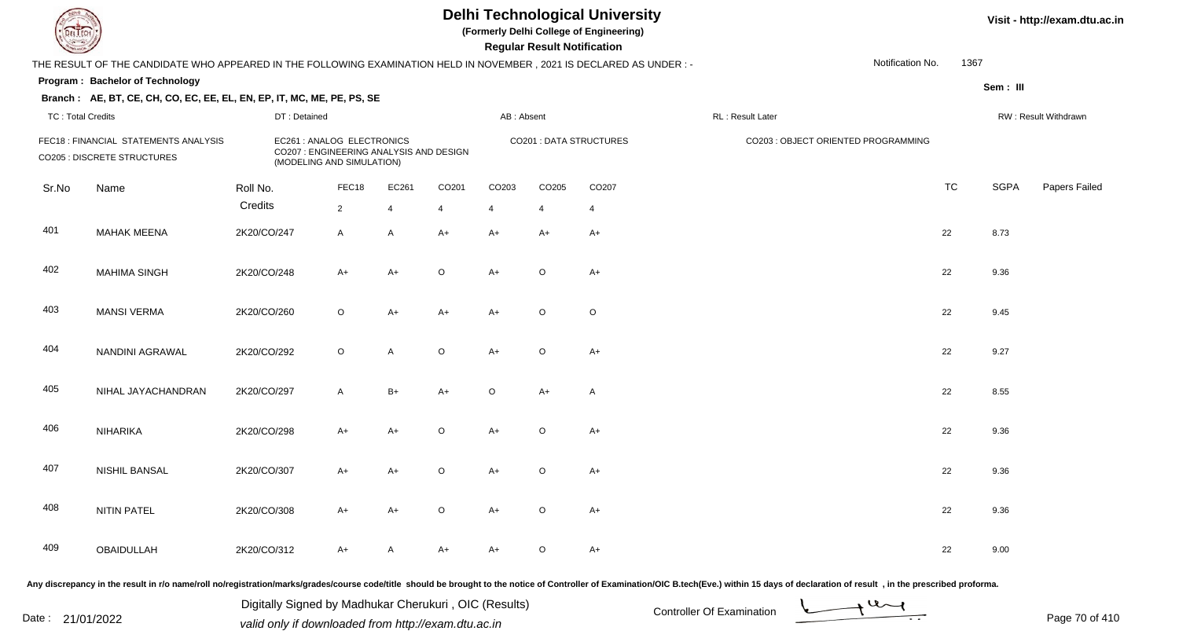**(Formerly Delhi College of Engineering)**

 **Regular Result Notification**

**Visit - http://exam.dtu.ac.in**

| <b>Courses A</b>         |                                                                                                                     |              |                                                                                                    |                |                |                | <b>Regular Result Notification</b> |                                |                  |                                     |           |             |                      |
|--------------------------|---------------------------------------------------------------------------------------------------------------------|--------------|----------------------------------------------------------------------------------------------------|----------------|----------------|----------------|------------------------------------|--------------------------------|------------------|-------------------------------------|-----------|-------------|----------------------|
|                          | THE RESULT OF THE CANDIDATE WHO APPEARED IN THE FOLLOWING EXAMINATION HELD IN NOVEMBER, 2021 IS DECLARED AS UNDER:- |              |                                                                                                    |                |                |                |                                    |                                |                  | Notification No.                    | 1367      |             |                      |
|                          | Program: Bachelor of Technology                                                                                     |              |                                                                                                    |                |                |                |                                    |                                |                  |                                     |           | Sem: III    |                      |
|                          | Branch: AE, BT, CE, CH, CO, EC, EE, EL, EN, EP, IT, MC, ME, PE, PS, SE                                              |              |                                                                                                    |                |                |                |                                    |                                |                  |                                     |           |             |                      |
| <b>TC: Total Credits</b> |                                                                                                                     | DT: Detained |                                                                                                    |                |                | AB: Absent     |                                    |                                | RL: Result Later |                                     |           |             | RW: Result Withdrawn |
|                          | FEC18: FINANCIAL STATEMENTS ANALYSIS<br><b>CO205 : DISCRETE STRUCTURES</b>                                          |              | EC261 : ANALOG ELECTRONICS<br>CO207 : ENGINEERING ANALYSIS AND DESIGN<br>(MODELING AND SIMULATION) |                |                |                |                                    | <b>CO201 : DATA STRUCTURES</b> |                  | CO203 : OBJECT ORIENTED PROGRAMMING |           |             |                      |
| Sr.No                    | Name                                                                                                                | Roll No.     | FEC18                                                                                              | EC261          | CO201          | CO203          | CO205                              | CO207                          |                  |                                     | <b>TC</b> | <b>SGPA</b> | Papers Failed        |
|                          |                                                                                                                     | Credits      | $\overline{2}$                                                                                     | $\overline{4}$ | $\overline{4}$ | $\overline{4}$ | $\overline{4}$                     | $\overline{4}$                 |                  |                                     |           |             |                      |
| 401                      | <b>MAHAK MEENA</b>                                                                                                  | 2K20/CO/247  | $\mathsf{A}$                                                                                       | A              | $A+$           | $A+$           | $A+$                               | $A+$                           |                  |                                     | 22        | 8.73        |                      |
| 402                      | <b>MAHIMA SINGH</b>                                                                                                 | 2K20/CO/248  | $A+$                                                                                               | $A+$           | $\circ$        | $A+$           | $\circ$                            | $A+$                           |                  |                                     | 22        | 9.36        |                      |
| 403                      | <b>MANSI VERMA</b>                                                                                                  | 2K20/CO/260  | $\circ$                                                                                            | A+             | $A+$           | $A+$           | $\circ$                            | $\circ$                        |                  |                                     | 22        | 9.45        |                      |
| 404                      | NANDINI AGRAWAL                                                                                                     | 2K20/CO/292  | $\circ$                                                                                            | A              | $\circ$        | $A+$           | $\circ$                            | $A+$                           |                  |                                     | 22        | 9.27        |                      |
| 405                      | NIHAL JAYACHANDRAN                                                                                                  | 2K20/CO/297  | $\mathsf{A}$                                                                                       | $B+$           | $A+$           | $\circ$        | $A+$                               | A                              |                  |                                     | 22        | 8.55        |                      |
| 406                      | NIHARIKA                                                                                                            | 2K20/CO/298  | $A+$                                                                                               | $A+$           | $\mathsf O$    | $A+$           | $\circ$                            | $A+$                           |                  |                                     | 22        | 9.36        |                      |
| 407                      | <b>NISHIL BANSAL</b>                                                                                                | 2K20/CO/307  | A+                                                                                                 | A+             | $\circ$        | $A+$           | $\circ$                            | $A+$                           |                  |                                     | 22        | 9.36        |                      |
| 408                      | <b>NITIN PATEL</b>                                                                                                  | 2K20/CO/308  | $A+$                                                                                               | A+             | $\circ$        | $A+$           | $\circ$                            | $A+$                           |                  |                                     | 22        | 9.36        |                      |
| 409                      | OBAIDULLAH                                                                                                          | 2K20/CO/312  | $A+$                                                                                               | A              | A+             | A+             | $\circ$                            | $A+$                           |                  |                                     | 22        | 9.00        |                      |
|                          |                                                                                                                     |              |                                                                                                    |                |                |                |                                    |                                |                  |                                     |           |             |                      |

Any discrepancy in the result in r/o name/roll no/registration/marks/grades/course code/title should be brought to the notice of Controller of Examination/OIC B.tech(Eve.) within 15 days of declaration of result, in the pr

Date : 21/01/2022 Digital Digital of Microsofted Controller Of Examination Determination Page 70 of 41 Digitally Signed by Madhukar Cherukuri , OIC (Results)

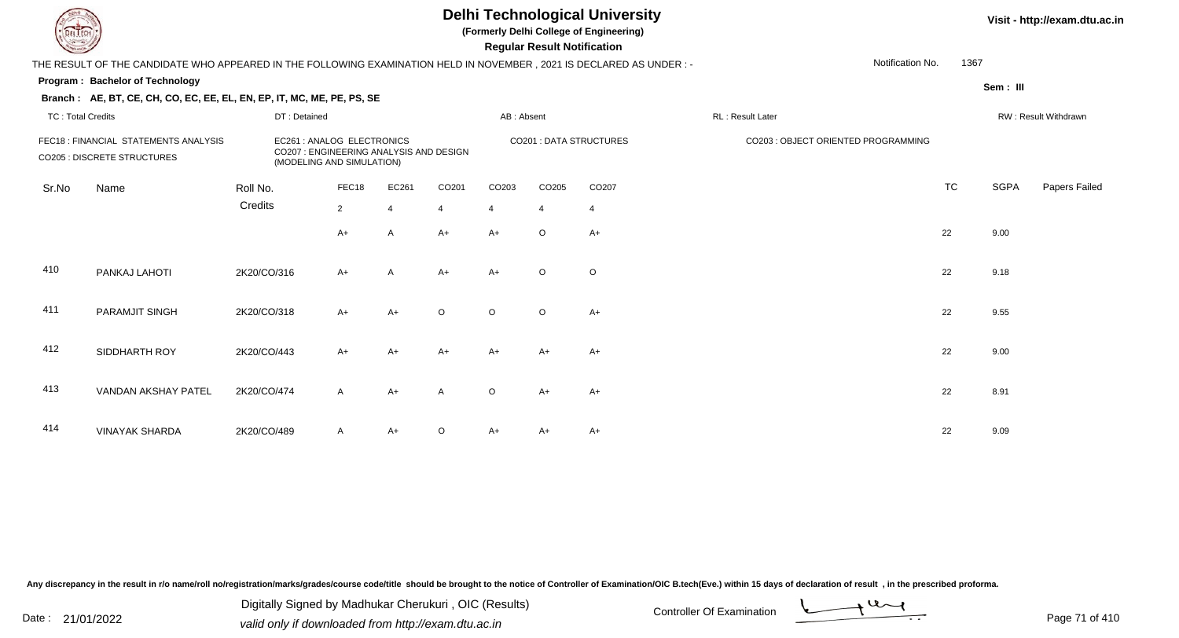**(Formerly Delhi College of Engineering)**

 **Regular Result Notification**

|                          | THE RESULT OF THE CANDIDATE WHO APPEARED IN THE FOLLOWING EXAMINATION HELD IN NOVEMBER , 2021 IS DECLARED AS UNDER :-                                                             |              |                |       |                         |            |                |                                     |                  | Notification No. | 1367      |          |                      |
|--------------------------|-----------------------------------------------------------------------------------------------------------------------------------------------------------------------------------|--------------|----------------|-------|-------------------------|------------|----------------|-------------------------------------|------------------|------------------|-----------|----------|----------------------|
|                          | <b>Program: Bachelor of Technology</b>                                                                                                                                            |              |                |       |                         |            |                |                                     |                  |                  |           | Sem: III |                      |
|                          | Branch: AE, BT, CE, CH, CO, EC, EE, EL, EN, EP, IT, MC, ME, PE, PS, SE                                                                                                            |              |                |       |                         |            |                |                                     |                  |                  |           |          |                      |
| <b>TC: Total Credits</b> |                                                                                                                                                                                   | DT: Detained |                |       |                         | AB: Absent |                |                                     | RL: Result Later |                  |           |          | RW: Result Withdrawn |
|                          | FEC18 : FINANCIAL STATEMENTS ANALYSIS<br>EC261 : ANALOG ELECTRONICS<br>CO207 : ENGINEERING ANALYSIS AND DESIGN<br><b>CO205 : DISCRETE STRUCTURES</b><br>(MODELING AND SIMULATION) |              |                |       | CO201 : DATA STRUCTURES |            |                | CO203 : OBJECT ORIENTED PROGRAMMING |                  |                  |           |          |                      |
| Sr.No                    | Name                                                                                                                                                                              | Roll No.     | FEC18          | EC261 | CO201                   | CO203      | CO205          | CO207                               |                  |                  | <b>TC</b> | SGPA     | Papers Failed        |
|                          |                                                                                                                                                                                   | Credits      | $\overline{2}$ |       | $\overline{4}$          | 4          | $\overline{4}$ | $\overline{4}$                      |                  |                  |           |          |                      |
|                          |                                                                                                                                                                                   |              | $A+$           | A     | $A+$                    | $A+$       | $\circ$        | $A+$                                |                  |                  | 22        | 9.00     |                      |
| 410                      | PANKAJ LAHOTI                                                                                                                                                                     | 2K20/CO/316  | $A+$           | A     | $A+$                    | $A+$       | $\circ$        | $\circ$                             |                  |                  | 22        | 9.18     |                      |
| 411                      | PARAMJIT SINGH                                                                                                                                                                    | 2K20/CO/318  | $A+$           | $A+$  | $\circ$                 | $\circ$    | $\circ$        | $A+$                                |                  |                  | 22        | 9.55     |                      |
| 412                      | SIDDHARTH ROY                                                                                                                                                                     | 2K20/CO/443  | $A+$           | A+    | $A+$                    | $A+$       | A+             | $A+$                                |                  |                  | 22        | 9.00     |                      |
| 413                      | VANDAN AKSHAY PATEL                                                                                                                                                               | 2K20/CO/474  | $\mathsf{A}$   | A+    | A                       | $\circ$    | $A+$           | $A+$                                |                  |                  | 22        | 8.91     |                      |
| 414                      | <b>VINAYAK SHARDA</b>                                                                                                                                                             | 2K20/CO/489  | $\mathsf{A}$   | A+    | $\circ$                 | A+         | A+             | $A+$                                |                  |                  | 22        | 9.09     |                      |

Any discrepancy in the result in r/o name/roll no/registration/marks/grades/course code/title should be brought to the notice of Controller of Examination/OIC B.tech(Eve.) within 15 days of declaration of result, in the pr

Date : 21/01/2022 Digital Digital of Microsofted Controller Of Examination Determination Page 71 of 41 Digitally Signed by Madhukar Cherukuri , OIC (Results)

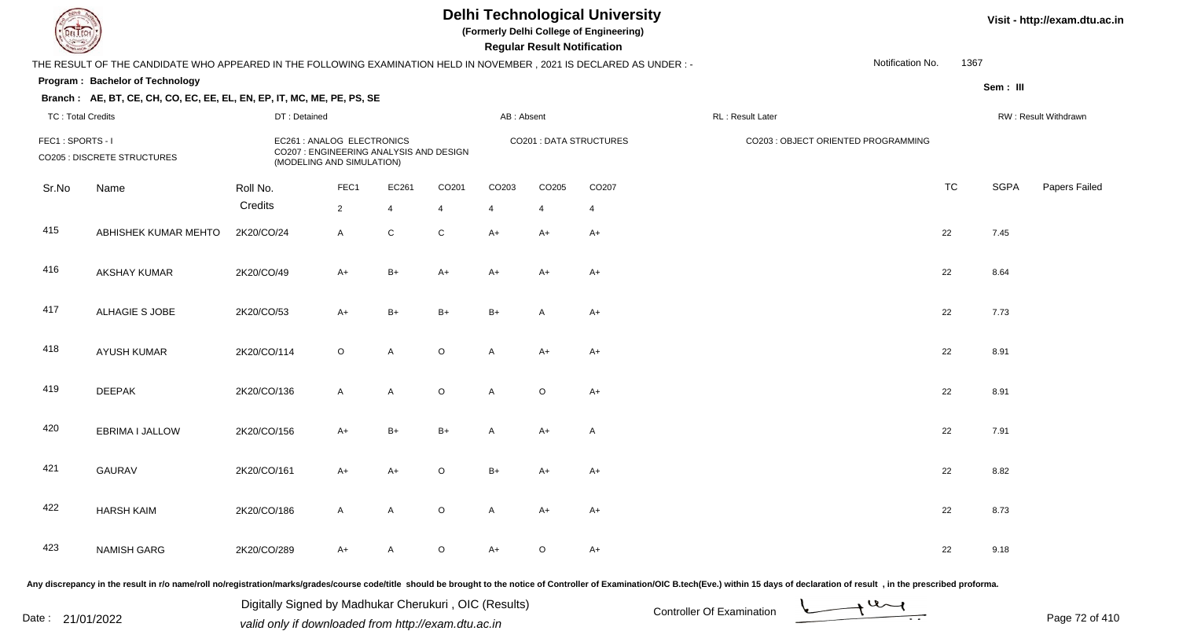**(Formerly Delhi College of Engineering)**

 **Regular Result Notification**

#### **Visit - http://exam.dtu.ac.in**

|                                                                                                                    | Notification No.<br>THE RESULT OF THE CANDIDATE WHO APPEARED IN THE FOLLOWING EXAMINATION HELD IN NOVEMBER, 2021 IS DECLARED AS UNDER :- |                                                                                                    |                |                |                |                         |                  |                      |                                     |  |           | 1367        |               |
|--------------------------------------------------------------------------------------------------------------------|------------------------------------------------------------------------------------------------------------------------------------------|----------------------------------------------------------------------------------------------------|----------------|----------------|----------------|-------------------------|------------------|----------------------|-------------------------------------|--|-----------|-------------|---------------|
|                                                                                                                    | Program: Bachelor of Technology                                                                                                          |                                                                                                    |                |                |                |                         |                  |                      |                                     |  |           | Sem : III   |               |
| Branch: AE, BT, CE, CH, CO, EC, EE, EL, EN, EP, IT, MC, ME, PE, PS, SE<br><b>TC: Total Credits</b><br>DT: Detained |                                                                                                                                          |                                                                                                    |                | AB: Absent     |                |                         | RL: Result Later | RW: Result Withdrawn |                                     |  |           |             |               |
| FEC1: SPORTS - I<br><b>CO205 : DISCRETE STRUCTURES</b>                                                             |                                                                                                                                          | EC261 : ANALOG ELECTRONICS<br>CO207 : ENGINEERING ANALYSIS AND DESIGN<br>(MODELING AND SIMULATION) |                |                |                | CO201 : DATA STRUCTURES |                  |                      | CO203 : OBJECT ORIENTED PROGRAMMING |  |           |             |               |
| Sr.No                                                                                                              | Name                                                                                                                                     | Roll No.                                                                                           | FEC1           | EC261          | CO201          | CO203                   | CO205            | CO207                |                                     |  | <b>TC</b> | <b>SGPA</b> | Papers Failec |
|                                                                                                                    |                                                                                                                                          | Credits                                                                                            | $\overline{2}$ | $\overline{4}$ | $\overline{4}$ | $\overline{4}$          | $\overline{4}$   | $\overline{4}$       |                                     |  |           |             |               |
| 415                                                                                                                | ABHISHEK KUMAR MEHTO                                                                                                                     | 2K20/CO/24                                                                                         | $\mathsf{A}$   | $\mathsf C$    | $\mathbf C$    | $A+$                    | A+               | $A+$                 |                                     |  | 22        | 7.45        |               |
| 416                                                                                                                | AKSHAY KUMAR                                                                                                                             | 2K20/CO/49                                                                                         | $A+$           | $B+$           | $A+$           | $A+$                    | A+               | $A+$                 |                                     |  | 22        | 8.64        |               |
| 417                                                                                                                | ALHAGIE S JOBE                                                                                                                           | 2K20/CO/53                                                                                         | $A+$           | $B+$           | $B+$           | $B+$                    | Α                | $A+$                 |                                     |  | 22        | 7.73        |               |
| 418                                                                                                                | <b>AYUSH KUMAR</b>                                                                                                                       | 2K20/CO/114                                                                                        | $\circ$        | A              | $\circ$        | A                       | A+               | $A+$                 |                                     |  | 22        | 8.91        |               |
| 419                                                                                                                | <b>DEEPAK</b>                                                                                                                            | 2K20/CO/136                                                                                        | $\mathsf{A}$   | A              | $\mathsf O$    | A                       | $\circ$          | $A+$                 |                                     |  | 22        | 8.91        |               |
| 420                                                                                                                | EBRIMA I JALLOW                                                                                                                          | 2K20/CO/156                                                                                        | $A+$           | $B+$           | $B+$           | A                       | A+               | $\mathsf{A}$         |                                     |  | 22        | 7.91        |               |
| 421                                                                                                                | <b>GAURAV</b>                                                                                                                            | 2K20/CO/161                                                                                        | $A+$           | $A+$           | $\mathsf O$    | $B+$                    | A+               | $A+$                 |                                     |  | 22        | 8.82        |               |
| 422                                                                                                                | <b>HARSH KAIM</b>                                                                                                                        | 2K20/CO/186                                                                                        | $\mathsf{A}$   | A              | $\mathsf O$    | A                       | $A+$             | $A+$                 |                                     |  | 22        | 8.73        |               |
| 423                                                                                                                | <b>NAMISH GARG</b>                                                                                                                       | 2K20/CO/289                                                                                        | A+             | A              | $\mathsf O$    | $A+$                    | $\circ$          | $A+$                 |                                     |  | 22        | 9.18        |               |

Any discrepancy in the result in r/o name/roll no/registration/marks/grades/course code/title should be brought to the notice of Controller of Examination/OIC B.tech(Eve.) within 15 days of declaration of result, in the pr

Date : 21/01/2022 Digital Digital of Microsofted Controller Of Examination Determination Page 72 of 41

Digitally Signed by Madhukar Cherukuri , OIC (Results)

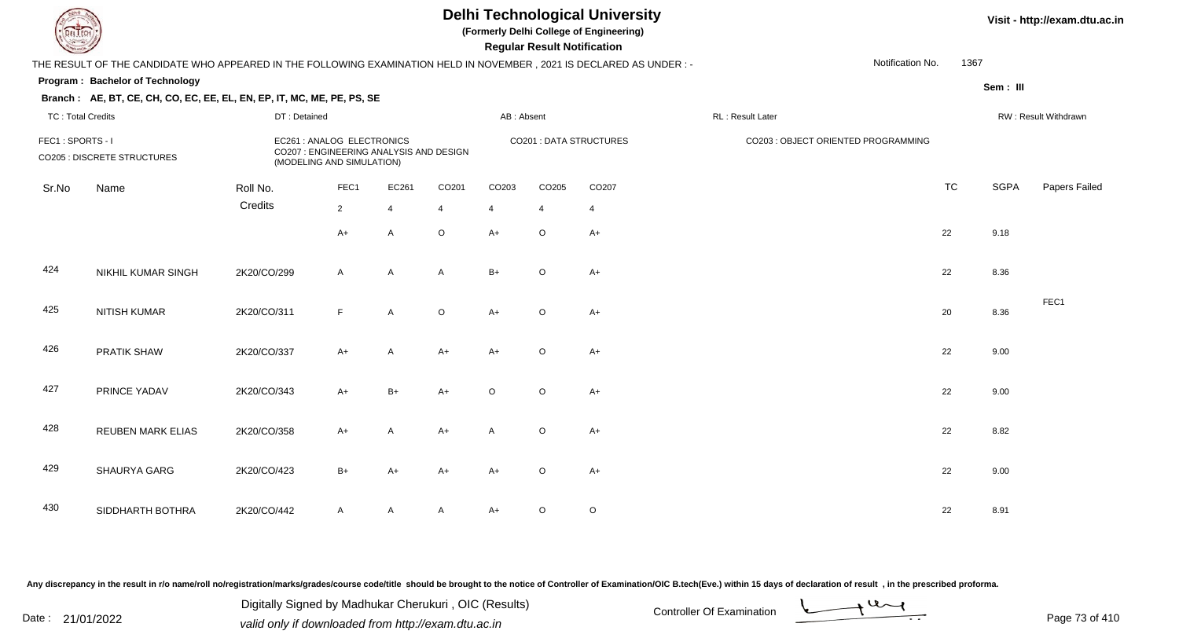#### **Visit - http://exam.dtu.ac.in**

**Program : Bachelor of Technology Regular Result Notification(Formerly Delhi College of Engineering)Sem : III Branch : AE, BT, CE, CH, CO, EC, EE, EL, EN, EP, IT, MC, ME, PE, PS, SE**THE RESULT OF THE CANDIDATE WHO APPEARED IN THE FOLLOWING EXAMINATION HELD IN NOVEMBER , 2021 IS DECLARED AS UNDER : -TC : Total Credits DT : Detainedd AB : Absent RL : Result Later RW : Result Withdrawn Notification No. 1367Sr.NoName Roll No. **Credits** FEC1 : SPORTS - I EC261 : ANALOG ELECTRONICS CO201 : DATA STRUCTURES CO203 : OBJECT ORIENTED PROGRAMMINGCO205 : DISCRETE STRUCTURES CO207 : ENGINEERING ANALYSIS AND DESIGN (MODELING AND SIMULATION)FEC1 EC261 CO201 CO203 CO205 CO207 TCTC SGPA Papers Failed 22 4 4 4 4 4  $A+$  <sup>A</sup> <sup>O</sup> A+ <sup>O</sup> A+ <sup>22</sup> 9.18 424 NIKHIL KUMAR SINGHH 2K20/CO/299 A A A B+ O A+ 425 NITISH KUMARR 2K20/CO/311 F A O A+ O A+ FEC1426 PRATIK SHAWW 2K20/CO/337 A+ A A+ A+ O A+ <br>22 9.00 427 PRINCE YADAVV 2K20/CO/343 A+ B+ A+ O O A+ 22 9.00 428 REUBEN MARK ELIASS 2K20/CO/358 A+ A A+ A O A+ 429 SHAURYA GARG2K20/CO/423 B+ A+ A+ A+ <sup>O</sup> A+ <sup>22</sup> 9.00

A 2K20/CO/442 A A A A A+ O O

Any discrepancy in the result in r/o name/roll no/registration/marks/grades/course code/title should be brought to the notice of Controller of Examination/OIC B.tech(Eve.) within 15 days of declaration of result , in the p

SIDDHARTH BOTHRA

430

Date : 21/01/2022 Digital Digital of Microsofted Chemical Controller Of Examination Determination Page 73 of 41 Digitally Signed by Madhukar Cherukuri , OIC (Results)

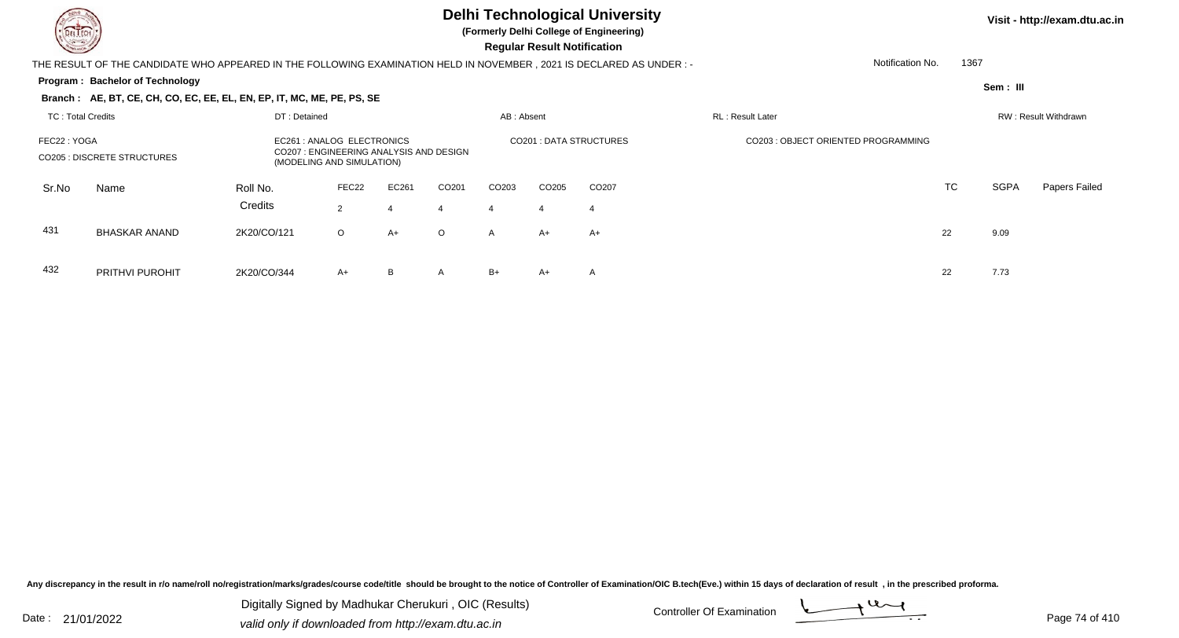

**(Formerly Delhi College of Engineering)**

 **Regular Result Notification**

**Visit - http://exam.dtu.ac.in**

**Program : Bachelor of Technology** THE RESULT OF THE CANDIDATE WHO APPEARED IN THE FOLLOWING EXAMINATION HELD IN NOVEMBER , 2021 IS DECLARED AS UNDER : -**Sem : III Branch : AE, BT, CE, CH, CO, EC, EE, EL, EN, EP, IT, MC, ME, PE, PS, SE**TC : Total Credits DT : Detainedd AB : Absent RL : Result Later RW : Result Withdrawn Notification No. 1367Sr.NoName Roll No. **Credits** FEC22 : YOGA EC261 : ANALOG ELECTRONICS CO201 : DATA STRUCTURES CO203 : OBJECT ORIENTED PROGRAMMINGCO205 : DISCRETE STRUCTURES CO207 : ENGINEERING ANALYSIS AND DESIGN (MODELING AND SIMULATION)FEC22 EC261 CO201 CO203 CO205 CO207 TCTC SGPA Papers Failed 22 4 4 4 4 4 431BHASKAR ANAND

D 2K20/CO/121 O A+ O A A+ A+  $+$  A+  $+$  A+  $+$  22 9.09 432 PRITHVI PUROHITT 2K20/CO/344 A+ B A B+ A+ A 22 7.73

Any discrepancy in the result in r/o name/roll no/registration/marks/grades/course code/title should be brought to the notice of Controller of Examination/OIC B.tech(Eve.) within 15 days of declaration of result , in the p

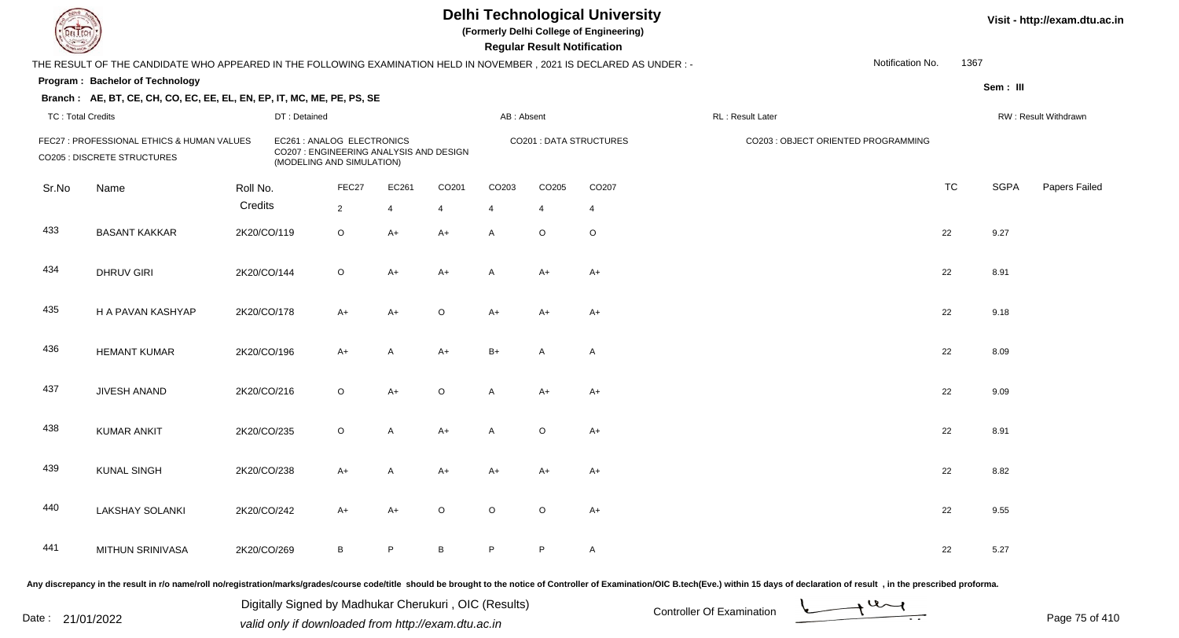**(Formerly Delhi College of Engineering)**

 **Regular Result Notification**

| $\sim$                   |                                                                                                                                                                                                                                |             |                                                                                                    |                |              |                 |            | n <del>c</del> yuman n <del>c</del> sun noumcauom |                         |                  |                                     |                  |           |             |                      |
|--------------------------|--------------------------------------------------------------------------------------------------------------------------------------------------------------------------------------------------------------------------------|-------------|----------------------------------------------------------------------------------------------------|----------------|--------------|-----------------|------------|---------------------------------------------------|-------------------------|------------------|-------------------------------------|------------------|-----------|-------------|----------------------|
|                          | THE RESULT OF THE CANDIDATE WHO APPEARED IN THE FOLLOWING EXAMINATION HELD IN NOVEMBER, 2021 IS DECLARED AS UNDER :-                                                                                                           |             |                                                                                                    |                |              |                 |            |                                                   |                         |                  |                                     | Notification No. | 1367      |             |                      |
|                          | Program: Bachelor of Technology                                                                                                                                                                                                |             |                                                                                                    |                |              |                 |            |                                                   |                         |                  |                                     |                  |           | Sem: III    |                      |
|                          | Branch: AE, BT, CE, CH, CO, EC, EE, EL, EN, EP, IT, MC, ME, PE, PS, SE                                                                                                                                                         |             |                                                                                                    |                |              |                 |            |                                                   |                         |                  |                                     |                  |           |             |                      |
| <b>TC: Total Credits</b> |                                                                                                                                                                                                                                |             | DT: Detained                                                                                       |                |              |                 | AB: Absent |                                                   |                         | RL: Result Later |                                     |                  |           |             | RW: Result Withdrawn |
|                          | FEC27 : PROFESSIONAL ETHICS & HUMAN VALUES<br>CO205 : DISCRETE STRUCTURES                                                                                                                                                      |             | EC261 : ANALOG ELECTRONICS<br>CO207 : ENGINEERING ANALYSIS AND DESIGN<br>(MODELING AND SIMULATION) |                |              |                 |            |                                                   | CO201 : DATA STRUCTURES |                  | CO203 : OBJECT ORIENTED PROGRAMMING |                  |           |             |                      |
| Sr.No                    | Name                                                                                                                                                                                                                           | Roll No.    |                                                                                                    | FEC27          | EC261        | CO201           | CO203      | CO205                                             | CO207                   |                  |                                     |                  | <b>TC</b> | <b>SGPA</b> | Papers Failed        |
|                          |                                                                                                                                                                                                                                | Credits     |                                                                                                    | $\overline{2}$ | 4            | $\overline{4}$  | 4          | $\overline{4}$                                    | $\overline{4}$          |                  |                                     |                  |           |             |                      |
| 433                      | <b>BASANT KAKKAR</b>                                                                                                                                                                                                           | 2K20/CO/119 |                                                                                                    | $\circ$        | $A+$         | $A+$            | A          | $\circ$                                           | $\circ$                 |                  |                                     |                  | 22        | 9.27        |                      |
| 434                      | <b>DHRUV GIRI</b>                                                                                                                                                                                                              | 2K20/CO/144 |                                                                                                    | $\circ$        | $A+$         | $A+$            | A          | $A+$                                              | $A+$                    |                  |                                     |                  | 22        | 8.91        |                      |
| 435                      | H A PAVAN KASHYAP                                                                                                                                                                                                              | 2K20/CO/178 |                                                                                                    | $A+$           | $A+$         | $\circ$         | $A+$       | $A+$                                              | $A+$                    |                  |                                     |                  | 22        | 9.18        |                      |
| 436                      | <b>HEMANT KUMAR</b>                                                                                                                                                                                                            | 2K20/CO/196 |                                                                                                    | $A+$           | $\mathsf{A}$ | $A+$            | $B+$       | A                                                 | A                       |                  |                                     |                  | 22        | 8.09        |                      |
| 437                      | JIVESH ANAND                                                                                                                                                                                                                   | 2K20/CO/216 |                                                                                                    | $\circ$        | $A+$         | $\circ$         | A          | $A+$                                              | $A+$                    |                  |                                     |                  | 22        | 9.09        |                      |
| 438                      | <b>KUMAR ANKIT</b>                                                                                                                                                                                                             | 2K20/CO/235 |                                                                                                    | $\circ$        | A            | $A+$            | A          | $\circ$                                           | $A+$                    |                  |                                     |                  | 22        | 8.91        |                      |
| 439                      | <b>KUNAL SINGH</b>                                                                                                                                                                                                             | 2K20/CO/238 |                                                                                                    | $A+$           | A            | $A+$            | $A+$       | $A+$                                              | $A+$                    |                  |                                     |                  | 22        | 8.82        |                      |
| 440                      | <b>LAKSHAY SOLANKI</b>                                                                                                                                                                                                         | 2K20/CO/242 |                                                                                                    | $A+$           | $A+$         | $\circ$         | $\circ$    | $\circ$                                           | $A+$                    |                  |                                     |                  | 22        | 9.55        |                      |
| 441                      | MITHUN SRINIVASA                                                                                                                                                                                                               | 2K20/CO/269 |                                                                                                    | $\, {\bf B}$   | P.           | $\, {\bf B} \,$ | P          | P                                                 | A                       |                  |                                     |                  | 22        | 5.27        |                      |
|                          | ny disarananay in the regult in yle nomelyell nelyesistystics/merkelay/sedeclasures eadelitle, chaud he hypurkt to the netice of Controller of Eveningtian/OC B tech(Eve) within 4E days of declaration of weakly in the proce |             |                                                                                                    |                |              |                 |            |                                                   |                         |                  |                                     |                  |           |             |                      |

Any discrepancy in the result in r/o name/roll no/registration/marks/grades/course code/title should be brought to the notice of Controller of

Date : 21/01/2022 Digital Digital of Microsofted Chemical Controller Of Examination Determination Page 75 of 41 Digitally Signed by Madhukar Cherukuri , OIC (Results)

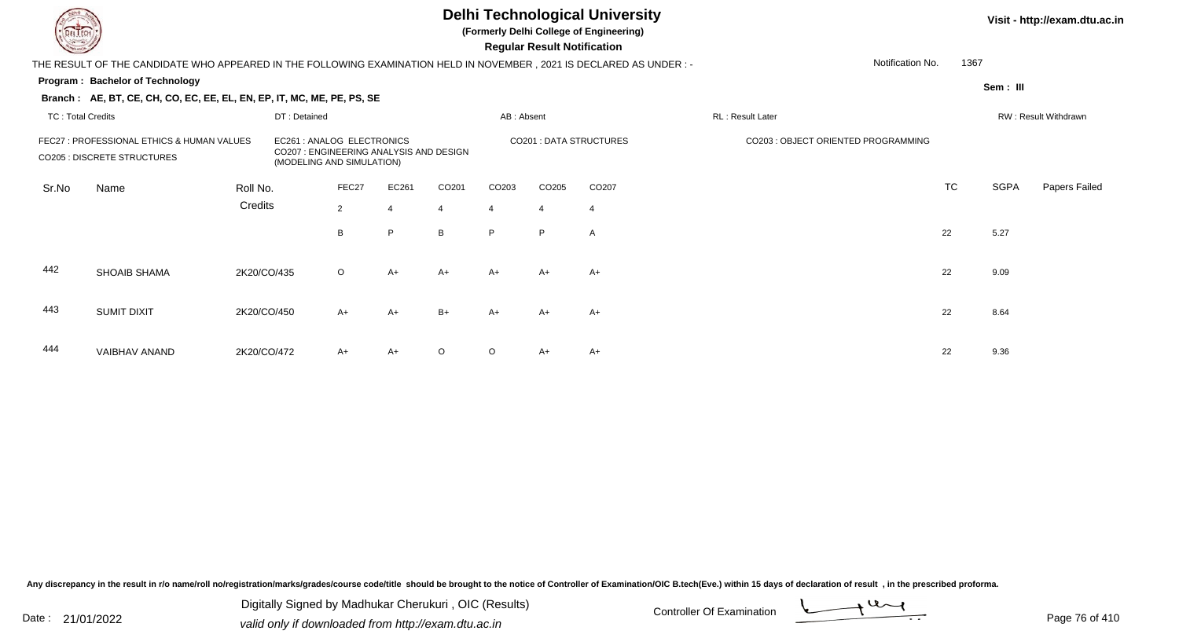**(Formerly Delhi College of Engineering)**

 **Regular Result Notification**

| $\sim$                   |                                                                                                                      |             |                                                                                                   |                |       |                |                   | <b>Regular Result Notification</b> |                         |                                     |           |             |                      |
|--------------------------|----------------------------------------------------------------------------------------------------------------------|-------------|---------------------------------------------------------------------------------------------------|----------------|-------|----------------|-------------------|------------------------------------|-------------------------|-------------------------------------|-----------|-------------|----------------------|
|                          | THE RESULT OF THE CANDIDATE WHO APPEARED IN THE FOLLOWING EXAMINATION HELD IN NOVEMBER, 2021 IS DECLARED AS UNDER :- |             |                                                                                                   |                |       |                |                   |                                    |                         | Notification No.                    |           | 1367        |                      |
|                          | <b>Program: Bachelor of Technology</b>                                                                               |             |                                                                                                   |                |       |                |                   |                                    |                         |                                     |           | Sem: III    |                      |
|                          | Branch: AE, BT, CE, CH, CO, EC, EE, EL, EN, EP, IT, MC, ME, PE, PS, SE                                               |             |                                                                                                   |                |       |                |                   |                                    |                         |                                     |           |             |                      |
| <b>TC: Total Credits</b> |                                                                                                                      |             | DT: Detained                                                                                      |                |       |                | AB: Absent        |                                    |                         | RL: Result Later                    |           |             | RW: Result Withdrawn |
|                          | FEC27 : PROFESSIONAL ETHICS & HUMAN VALUES<br><b>CO205 : DISCRETE STRUCTURES</b>                                     |             | EC261 : ANALOG ELECTRONICS<br>CO207: ENGINEERING ANALYSIS AND DESIGN<br>(MODELING AND SIMULATION) |                |       |                |                   |                                    | CO201 : DATA STRUCTURES | CO203 : OBJECT ORIENTED PROGRAMMING |           |             |                      |
| Sr.No                    | Name                                                                                                                 | Roll No.    |                                                                                                   | FEC27          | EC261 | CO201          | CO <sub>203</sub> | CO205                              | CO <sub>207</sub>       |                                     | <b>TC</b> | <b>SGPA</b> | Papers Failed        |
|                          |                                                                                                                      | Credits     |                                                                                                   | $\overline{2}$ | 4     | $\overline{4}$ | 4                 | $\overline{4}$                     | 4                       |                                     |           |             |                      |
|                          |                                                                                                                      |             |                                                                                                   | B              | P     | B              | P.                | P.                                 | A                       |                                     | 22        | 5.27        |                      |
| 442                      | <b>SHOAIB SHAMA</b>                                                                                                  | 2K20/CO/435 |                                                                                                   | $\circ$        | $A+$  | $A+$           | $A+$              | $A+$                               | $A+$                    |                                     | 22        | 9.09        |                      |
| 443                      | SUMIT DIXIT                                                                                                          | 2K20/CO/450 |                                                                                                   | $A+$           | $A+$  | $B+$           | $A+$              | $A+$                               | $A+$                    |                                     | 22        | 8.64        |                      |
| 444                      | VAIBHAV ANAND                                                                                                        | 2K20/CO/472 |                                                                                                   | A+             | $A+$  | $\circ$        | $\Omega$          | $A+$                               | $A+$                    |                                     | 22        | 9.36        |                      |

Any discrepancy in the result in r/o name/roll no/registration/marks/grades/course code/title should be brought to the notice of Controller of Examination/OIC B.tech(Eve.) within 15 days of declaration of result, in the pr

Date : 21/01/2022 Digital Digital of Microsofted Chemical Controller Of Examination Determination Page 76 of 41 Digitally Signed by Madhukar Cherukuri , OIC (Results)

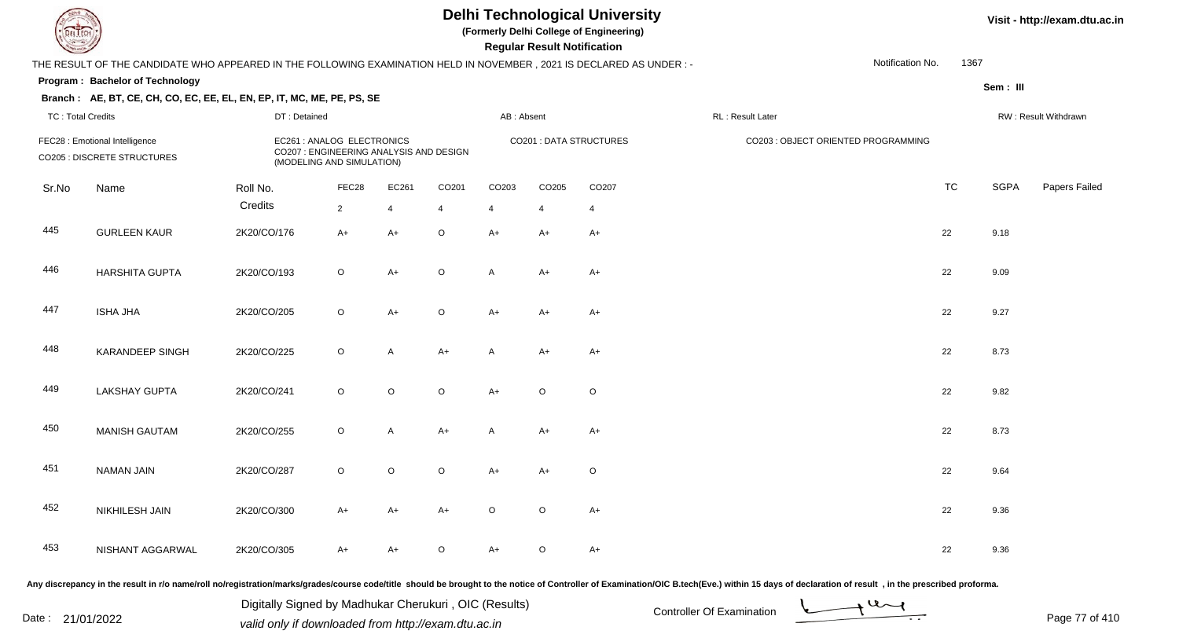**(Formerly Delhi College of Engineering)**

 **Regular Result Notification**

#### **Visit - http://exam.dtu.ac.in**

|                          | THE RESULT OF THE CANDIDATE WHO APPEARED IN THE FOLLOWING EXAMINATION HELD IN NOVEMBER, 2021 IS DECLARED AS UNDER :- |              |                                                                                                    |              |                |            |         |                         |                                     | Notification No. | 1367      |             |                      |
|--------------------------|----------------------------------------------------------------------------------------------------------------------|--------------|----------------------------------------------------------------------------------------------------|--------------|----------------|------------|---------|-------------------------|-------------------------------------|------------------|-----------|-------------|----------------------|
|                          | Program: Bachelor of Technology                                                                                      |              |                                                                                                    |              |                |            |         |                         |                                     |                  |           | Sem : III   |                      |
|                          | Branch: AE, BT, CE, CH, CO, EC, EE, EL, EN, EP, IT, MC, ME, PE, PS, SE                                               |              |                                                                                                    |              |                |            |         |                         |                                     |                  |           |             |                      |
| <b>TC: Total Credits</b> |                                                                                                                      | DT: Detained |                                                                                                    |              |                | AB: Absent |         |                         | RL: Result Later                    |                  |           |             | RW: Result Withdrawn |
|                          | FEC28 : Emotional Intelligence<br><b>CO205 : DISCRETE STRUCTURES</b>                                                 |              | EC261 : ANALOG ELECTRONICS<br>CO207 : ENGINEERING ANALYSIS AND DESIGN<br>(MODELING AND SIMULATION) |              |                |            |         | CO201 : DATA STRUCTURES | CO203 : OBJECT ORIENTED PROGRAMMING |                  |           |             |                      |
| Sr.No                    | Name                                                                                                                 | Roll No.     | FEC28                                                                                              | EC261        | CO201          | CO203      | CO205   | CO207                   |                                     |                  | <b>TC</b> | <b>SGPA</b> | Papers Failec        |
|                          |                                                                                                                      | Credits      | $\overline{2}$                                                                                     | 4            | $\overline{4}$ | 4          | 4       | $\overline{4}$          |                                     |                  |           |             |                      |
| 445                      | <b>GURLEEN KAUR</b>                                                                                                  | 2K20/CO/176  | $A+$                                                                                               | $A+$         | $\mathsf O$    | $A+$       | A+      | $A+$                    |                                     |                  | 22        | 9.18        |                      |
| 446                      | <b>HARSHITA GUPTA</b>                                                                                                | 2K20/CO/193  | $\circ$                                                                                            | $A+$         | $\mathsf O$    | A          | A+      | $A+$                    |                                     |                  | 22        | 9.09        |                      |
| 447                      | <b>ISHA JHA</b>                                                                                                      | 2K20/CO/205  | $\circ$                                                                                            | $A+$         | $\mathsf O$    | $A+$       | A+      | $A+$                    |                                     |                  | 22        | 9.27        |                      |
| 448                      | <b>KARANDEEP SINGH</b>                                                                                               | 2K20/CO/225  | $\circ$                                                                                            | A            | $A+$           | Α          | A+      | $A+$                    |                                     |                  | 22        | 8.73        |                      |
| 449                      | <b>LAKSHAY GUPTA</b>                                                                                                 | 2K20/CO/241  | $\circ$                                                                                            | $\circ$      | $\mathsf O$    | $A+$       | $\circ$ | $\circ$                 |                                     |                  | 22        | 9.82        |                      |
| 450                      | <b>MANISH GAUTAM</b>                                                                                                 | 2K20/CO/255  | $\circ$                                                                                            | $\mathsf{A}$ | $A+$           | A          | A+      | $A+$                    |                                     |                  | 22        | 8.73        |                      |
| 451                      | <b>NAMAN JAIN</b>                                                                                                    | 2K20/CO/287  | $\circ$                                                                                            | $\circ$      | $\mathsf O$    | $A+$       | A+      | $\circ$                 |                                     |                  | 22        | 9.64        |                      |
| 452                      | NIKHILESH JAIN                                                                                                       | 2K20/CO/300  | $A+$                                                                                               | $A+$         | $A+$           | $\circ$    | $\circ$ | $A+$                    |                                     |                  | 22        | 9.36        |                      |
| 453                      | NISHANT AGGARWAL                                                                                                     | 2K20/CO/305  | A+                                                                                                 | $A+$         | O              | $A+$       | $\circ$ | $A+$                    |                                     |                  | 22        | 9.36        |                      |

Any discrepancy in the result in r/o name/roll no/registration/marks/grades/course code/title should be brought to the notice of Controller of Examination/OIC B.tech(Eve.) within 15 days of declaration of result, in the pr

Date : 21/01/2022 Digital Digital of Microsofted Chemical Controller Of Examination Determination Page 77 of 41 Digitally Signed by Madhukar Cherukuri , OIC (Results)

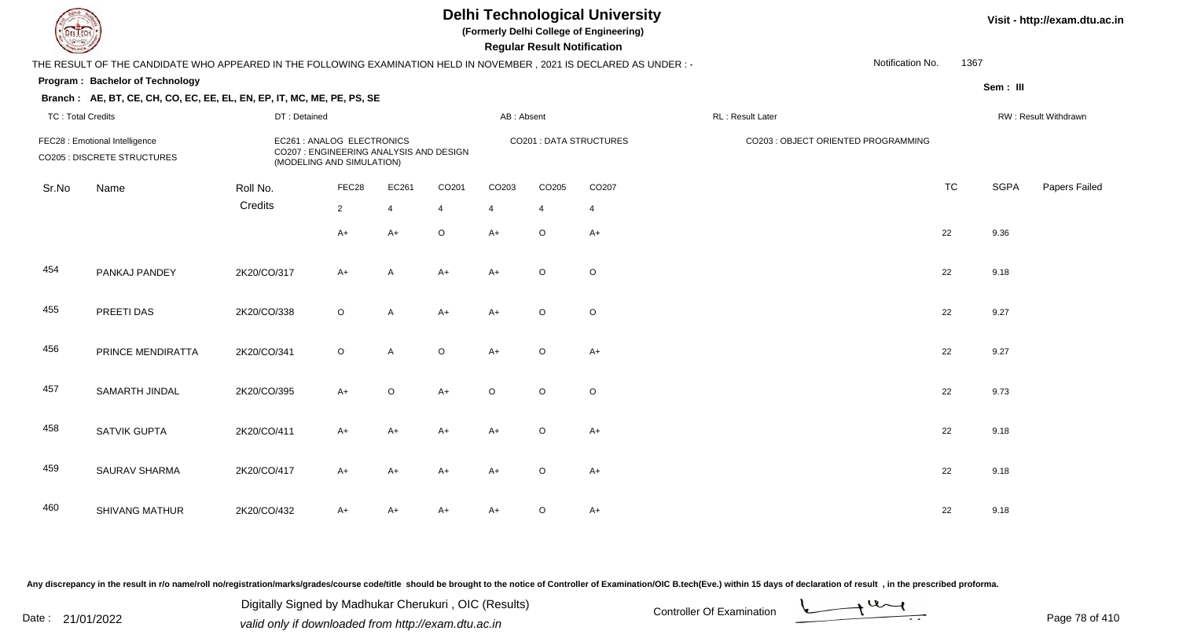**(Formerly Delhi College of Engineering)**

 **Regular Result Notification**

#### **Visit - http://exam.dtu.ac.in**

|                          | THE RESULT OF THE CANDIDATE WHO APPEARED IN THE FOLLOWING EXAMINATION HELD IN NOVEMBER, 2021 IS DECLARED AS UNDER :- |              |                                                                                                    |                |                |                |         |                                |                  | Notification No.                    | 1367      |             |                      |
|--------------------------|----------------------------------------------------------------------------------------------------------------------|--------------|----------------------------------------------------------------------------------------------------|----------------|----------------|----------------|---------|--------------------------------|------------------|-------------------------------------|-----------|-------------|----------------------|
|                          | <b>Program: Bachelor of Technology</b>                                                                               |              |                                                                                                    |                |                |                |         |                                |                  |                                     |           | Sem: III    |                      |
|                          | Branch: AE, BT, CE, CH, CO, EC, EE, EL, EN, EP, IT, MC, ME, PE, PS, SE                                               |              |                                                                                                    |                |                |                |         |                                |                  |                                     |           |             |                      |
| <b>TC: Total Credits</b> |                                                                                                                      | DT: Detained |                                                                                                    |                |                | AB: Absent     |         |                                | RL: Result Later |                                     |           |             | RW: Result Withdrawn |
|                          | FEC28 : Emotional Intelligence<br><b>CO205 : DISCRETE STRUCTURES</b>                                                 |              | EC261 : ANALOG ELECTRONICS<br>CO207 : ENGINEERING ANALYSIS AND DESIGN<br>(MODELING AND SIMULATION) |                |                |                |         | <b>CO201 : DATA STRUCTURES</b> |                  | CO203 : OBJECT ORIENTED PROGRAMMING |           |             |                      |
| Sr.No                    | Name                                                                                                                 | Roll No.     | FEC28                                                                                              | EC261          | CO201          | CO203          | CO205   | CO207                          |                  |                                     | <b>TC</b> | <b>SGPA</b> | Papers Failec        |
|                          |                                                                                                                      | Credits      | $\overline{2}$                                                                                     | $\overline{4}$ | $\overline{4}$ | $\overline{4}$ | 4       | $\overline{4}$                 |                  |                                     |           |             |                      |
|                          |                                                                                                                      |              | $A+$                                                                                               | $A+$           | $\mathsf O$    | $A+$           | $\circ$ | $A+$                           |                  |                                     | 22        | 9.36        |                      |
| 454                      | PANKAJ PANDEY                                                                                                        | 2K20/CO/317  | $A+$                                                                                               | A              | $A+$           | $A+$           | $\circ$ | $\circ$                        |                  |                                     | 22        | 9.18        |                      |
| 455                      | PREETI DAS                                                                                                           | 2K20/CO/338  | $\circ$                                                                                            | A              | $A+$           | $A+$           | $\circ$ | $\circ$                        |                  |                                     | 22        | 9.27        |                      |
| 456                      | PRINCE MENDIRATTA                                                                                                    | 2K20/CO/341  | $\circ$                                                                                            | A              | $\mathsf O$    | $A+$           | $\circ$ | $A+$                           |                  |                                     | 22        | 9.27        |                      |
| 457                      | SAMARTH JINDAL                                                                                                       | 2K20/CO/395  | $A+$                                                                                               | $\circ$        | $A+$           | $\circ$        | $\circ$ | $\circ$                        |                  |                                     | 22        | 9.73        |                      |
| 458                      | <b>SATVIK GUPTA</b>                                                                                                  | 2K20/CO/411  | $A+$                                                                                               | A+             | $A+$           | $A+$           | $\circ$ | $A+$                           |                  |                                     | 22        | 9.18        |                      |
| 459                      | SAURAV SHARMA                                                                                                        | 2K20/CO/417  | $A+$                                                                                               | A+             | $A+$           | $A+$           | $\circ$ | $A+$                           |                  |                                     | 22        | 9.18        |                      |
| 460                      | <b>SHIVANG MATHUR</b>                                                                                                | 2K20/CO/432  | $A+$                                                                                               | A+             | $A+$           | $A+$           | $\circ$ | $A+$                           |                  |                                     | 22        | 9.18        |                      |

Any discrepancy in the result in r/o name/roll no/registration/marks/grades/course code/title should be brought to the notice of Controller of Examination/OIC B.tech(Eve.) within 15 days of declaration of result, in the pr

Date : 21/01/2022 Digital Digital of Microsofted Chemical Controller Of Examination Determination Page 78 of 41 Digitally Signed by Madhukar Cherukuri , OIC (Results)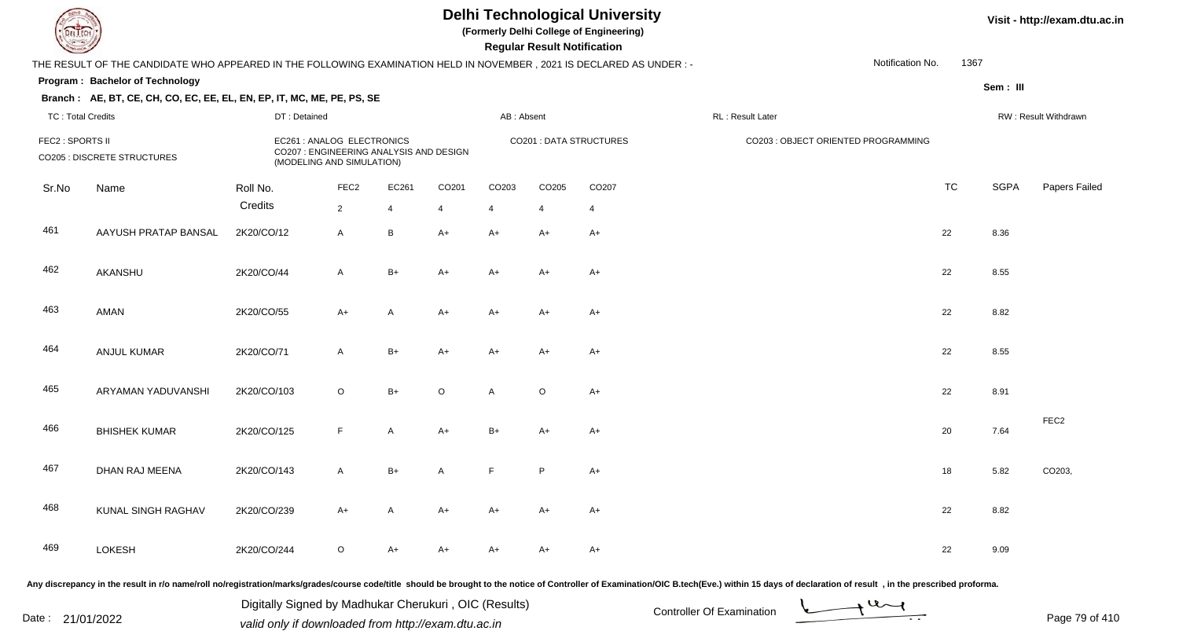**(Formerly Delhi College of Engineering)**

 **Regular Result Notification**

|                          | THE RESULT OF THE CANDIDATE WHO APPEARED IN THE FOLLOWING EXAMINATION HELD IN NOVEMBER, 2021 IS DECLARED AS UNDER :-                                                                                                           |                                                                                                    |                  |              |                   |            |             |                         |                  |                                     | Notification No. | 1367      |             |                      |
|--------------------------|--------------------------------------------------------------------------------------------------------------------------------------------------------------------------------------------------------------------------------|----------------------------------------------------------------------------------------------------|------------------|--------------|-------------------|------------|-------------|-------------------------|------------------|-------------------------------------|------------------|-----------|-------------|----------------------|
|                          | Program: Bachelor of Technology                                                                                                                                                                                                |                                                                                                    |                  |              |                   |            |             |                         |                  |                                     |                  |           | Sem: III    |                      |
|                          | Branch: AE, BT, CE, CH, CO, EC, EE, EL, EN, EP, IT, MC, ME, PE, PS, SE                                                                                                                                                         |                                                                                                    |                  |              |                   |            |             |                         |                  |                                     |                  |           |             |                      |
| <b>TC: Total Credits</b> |                                                                                                                                                                                                                                | DT: Detained                                                                                       |                  |              |                   | AB: Absent |             |                         | RL: Result Later |                                     |                  |           |             | RW: Result Withdrawn |
| FEC2 : SPORTS II         | <b>CO205 : DISCRETE STRUCTURES</b>                                                                                                                                                                                             | EC261 : ANALOG ELECTRONICS<br>CO207 : ENGINEERING ANALYSIS AND DESIGN<br>(MODELING AND SIMULATION) |                  |              |                   |            |             | CO201 : DATA STRUCTURES |                  | CO203 : OBJECT ORIENTED PROGRAMMING |                  |           |             |                      |
| Sr.No                    | Name                                                                                                                                                                                                                           | Roll No.                                                                                           | FEC <sub>2</sub> | EC261        | CO <sub>201</sub> | CO203      | CO205       | CO207                   |                  |                                     |                  | <b>TC</b> | <b>SGPA</b> | Papers Failec        |
|                          |                                                                                                                                                                                                                                | Credits                                                                                            | $\overline{2}$   | 4            | $\overline{4}$    | 4          | 4           | $\overline{4}$          |                  |                                     |                  |           |             |                      |
| 461                      | AAYUSH PRATAP BANSAL                                                                                                                                                                                                           | 2K20/CO/12                                                                                         | $\mathsf{A}$     | B            | $A+$              | $A+$       | $A+$        | $A+$                    |                  |                                     |                  | 22        | 8.36        |                      |
| 462                      | AKANSHU                                                                                                                                                                                                                        | 2K20/CO/44                                                                                         | $\mathsf{A}$     | $B+$         | $A+$              | $A+$       | $A+$        | $A+$                    |                  |                                     |                  | 22        | 8.55        |                      |
| 463                      | AMAN                                                                                                                                                                                                                           | 2K20/CO/55                                                                                         | $A+$             | A            | A+                | $A+$       | A+          | $A+$                    |                  |                                     |                  | 22        | 8.82        |                      |
| 464                      | <b>ANJUL KUMAR</b>                                                                                                                                                                                                             | 2K20/CO/71                                                                                         | $\mathsf{A}$     | $B+$         | $A+$              | $A+$       | A+          | $A+$                    |                  |                                     |                  | 22        | 8.55        |                      |
| 465                      | ARYAMAN YADUVANSHI                                                                                                                                                                                                             | 2K20/CO/103                                                                                        | $\circ$          | $B+$         | $\circ$           | A          | $\circ$     | $A+$                    |                  |                                     |                  | 22        | 8.91        |                      |
| 466                      | <b>BHISHEK KUMAR</b>                                                                                                                                                                                                           | 2K20/CO/125                                                                                        | F.               | A            | $A+$              | $B+$       | A+          | $A+$                    |                  |                                     |                  | 20        | 7.64        | FEC <sub>2</sub>     |
| 467                      | DHAN RAJ MEENA                                                                                                                                                                                                                 | 2K20/CO/143                                                                                        | $\mathsf{A}$     | $B+$         | A                 | F          | $\mathsf P$ | $A+$                    |                  |                                     |                  | 18        | 5.82        | CO203,               |
| 468                      | KUNAL SINGH RAGHAV                                                                                                                                                                                                             | 2K20/CO/239                                                                                        | $A+$             | $\mathsf{A}$ | A+                | $A+$       | $A+$        | $A+$                    |                  |                                     |                  | 22        | 8.82        |                      |
| 469                      | <b>LOKESH</b>                                                                                                                                                                                                                  | 2K20/CO/244                                                                                        | $\circ$          | $A+$         | $A+$              | $A+$       | A+          | $A+$                    |                  |                                     |                  | 22        | 9.09        |                      |
|                          | ny discrepancy in the result in r/o name/roll no/registration/marks/grades/course code/title, should be brought to the notice of Controller of Examination/OIC B tech(Eye ) within 15 days of declaration of result, in the pr |                                                                                                    |                  |              |                   |            |             |                         |                  |                                     |                  |           |             |                      |

Any discrepancy in the result in r/o name/roll no/registration/marks/grades/course code/title should be brought to the notice of Controller of Examination/OIC B.tech(Eve.) within 15 days of declaration of result , in the p

Date : 21/01/2022 Digital Digital of Microsofted Chemical Controller Of Examination Determination Page 79 of 41 Digitally Signed by Madhukar Cherukuri , OIC (Results)

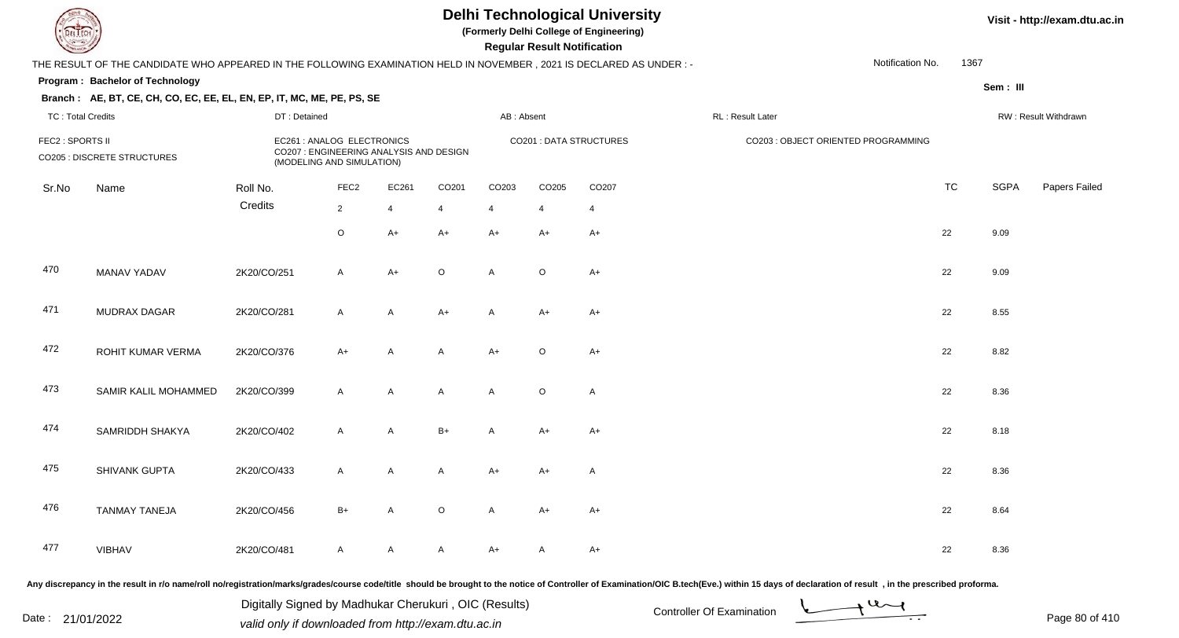**(Formerly Delhi College of Engineering)**

 **Regular Result Notification**

|                          | THE RESULT OF THE CANDIDATE WHO APPEARED IN THE FOLLOWING EXAMINATION HELD IN NOVEMBER, 2021 IS DECLARED AS UNDER :- |              |                                                                                                    |                |                   |                |             |                         |                                     | Notification No. | 1367      |             |                      |
|--------------------------|----------------------------------------------------------------------------------------------------------------------|--------------|----------------------------------------------------------------------------------------------------|----------------|-------------------|----------------|-------------|-------------------------|-------------------------------------|------------------|-----------|-------------|----------------------|
|                          | Program: Bachelor of Technology                                                                                      |              |                                                                                                    |                |                   |                |             |                         |                                     |                  |           | Sem : III   |                      |
|                          | Branch: AE, BT, CE, CH, CO, EC, EE, EL, EN, EP, IT, MC, ME, PE, PS, SE                                               |              |                                                                                                    |                |                   |                |             |                         |                                     |                  |           |             |                      |
| <b>TC: Total Credits</b> |                                                                                                                      | DT: Detained |                                                                                                    |                |                   | AB: Absent     |             |                         | RL: Result Later                    |                  |           |             | RW: Result Withdrawn |
| FEC2 : SPORTS II         | CO205 : DISCRETE STRUCTURES                                                                                          |              | EC261 : ANALOG ELECTRONICS<br>CO207 : ENGINEERING ANALYSIS AND DESIGN<br>(MODELING AND SIMULATION) |                |                   |                |             | CO201 : DATA STRUCTURES | CO203 : OBJECT ORIENTED PROGRAMMING |                  |           |             |                      |
| Sr.No                    | Name                                                                                                                 | Roll No.     | FEC <sub>2</sub>                                                                                   | EC261          | CO <sub>201</sub> | CO203          | CO205       | CO207                   |                                     |                  | <b>TC</b> | <b>SGPA</b> | Papers Failec        |
|                          |                                                                                                                      | Credits      | $\overline{2}$                                                                                     | $\overline{4}$ | $\overline{4}$    | $\overline{4}$ | 4           | $\overline{4}$          |                                     |                  |           |             |                      |
|                          |                                                                                                                      |              | $\circ$                                                                                            | $A+$           | $A+$              | $A+$           | $A+$        | $A+$                    |                                     |                  | 22        | 9.09        |                      |
| 470                      | MANAV YADAV                                                                                                          | 2K20/CO/251  | $\mathsf{A}$                                                                                       | $A+$           | $\circ$           | A              | $\circ$     | $A+$                    |                                     |                  | 22        | 9.09        |                      |
| 471                      | <b>MUDRAX DAGAR</b>                                                                                                  | 2K20/CO/281  | $\mathsf{A}$                                                                                       | A              | $A+$              | A              | A+          | $A+$                    |                                     |                  | 22        | 8.55        |                      |
| 472                      | ROHIT KUMAR VERMA                                                                                                    | 2K20/CO/376  | $A+$                                                                                               | $\mathsf{A}$   | A                 | $A+$           | $\mathsf O$ | $A+$                    |                                     |                  | 22        | 8.82        |                      |
| 473                      | SAMIR KALIL MOHAMMED                                                                                                 | 2K20/CO/399  | $\mathsf{A}$                                                                                       | A              | A                 | A              | $\circ$     | $\mathsf{A}$            |                                     |                  | 22        | 8.36        |                      |
| 474                      | SAMRIDDH SHAKYA                                                                                                      | 2K20/CO/402  | $\mathsf{A}$                                                                                       | $\mathsf{A}$   | $B+$              | A              | $A+$        | $A+$                    |                                     |                  | 22        | 8.18        |                      |
| 475                      | SHIVANK GUPTA                                                                                                        | 2K20/CO/433  | $\mathsf{A}$                                                                                       | A              | A                 | $A+$           | A+          | Α                       |                                     |                  | 22        | 8.36        |                      |
| 476                      | <b>TANMAY TANEJA</b>                                                                                                 | 2K20/CO/456  | $B+$                                                                                               | $\mathsf{A}$   | $\circ$           | A              | $A+$        | $A+$                    |                                     |                  | 22        | 8.64        |                      |
| 477                      | <b>VIBHAV</b>                                                                                                        | 2K20/CO/481  | $\mathsf{A}$                                                                                       | A              | A                 | $A+$           | A           | $A+$                    |                                     |                  | 22        | 8.36        |                      |
|                          |                                                                                                                      |              |                                                                                                    |                |                   |                |             |                         |                                     |                  |           |             |                      |

Any discrepancy in the result in r/o name/roll no/registration/marks/grades/course code/title should be brought to the notice of Controller of Examination/OIC B.tech(Eve.) within 15 days of declaration of result, in the pr

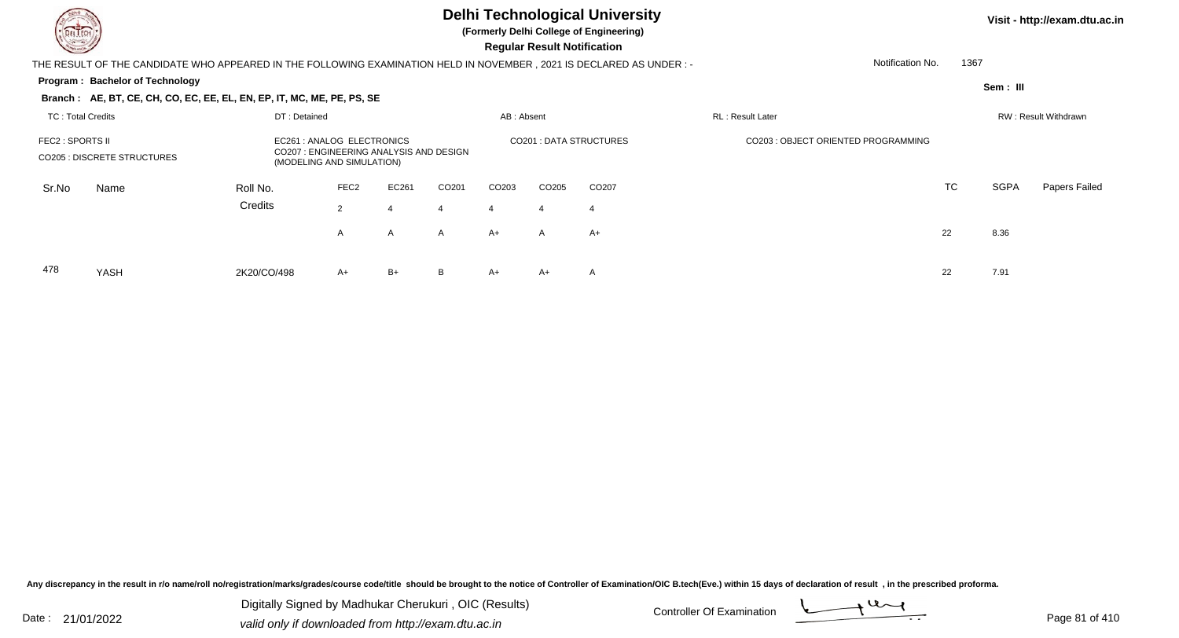478

YASH

### **Delhi Technological University**

**(Formerly Delhi College of Engineering)**

 **Regular Result Notification**

| $\overline{\phantom{0}}$                                                                                            |              |                                                                                                  |              |                   |            | <b>Regular Result Rothloution</b> |                               |                                     |           |             |                      |
|---------------------------------------------------------------------------------------------------------------------|--------------|--------------------------------------------------------------------------------------------------|--------------|-------------------|------------|-----------------------------------|-------------------------------|-------------------------------------|-----------|-------------|----------------------|
| THE RESULT OF THE CANDIDATE WHO APPEARED IN THE FOLLOWING EXAMINATION HELD IN NOVEMBER, 2021 IS DECLARED AS UNDER:- |              |                                                                                                  |              |                   |            |                                   |                               | Notification No.                    |           | 1367        |                      |
| Program: Bachelor of Technology                                                                                     |              |                                                                                                  |              |                   |            |                                   |                               |                                     |           | Sem: III    |                      |
| Branch: AE, BT, CE, CH, CO, EC, EE, EL, EN, EP, IT, MC, ME, PE, PS, SE                                              |              |                                                                                                  |              |                   |            |                                   |                               |                                     |           |             |                      |
| TC: Total Credits                                                                                                   | DT: Detained |                                                                                                  |              |                   | AB: Absent |                                   |                               | <b>RL</b> : Result Later            |           |             | RW: Result Withdrawn |
| FEC2 : SPORTS II<br>CO205 : DISCRETE STRUCTURES                                                                     |              | EC261: ANALOG ELECTRONICS<br>CO207: ENGINEERING ANALYSIS AND DESIGN<br>(MODELING AND SIMULATION) |              |                   |            |                                   | <b>CO201: DATA STRUCTURES</b> | CO203 : OBJECT ORIENTED PROGRAMMING |           |             |                      |
| Sr.No<br>Name                                                                                                       | Roll No.     | FEC <sub>2</sub>                                                                                 | EC261        | CO <sub>201</sub> | CO203      | CO205                             | CO <sub>207</sub>             |                                     | <b>TC</b> | <b>SGPA</b> | Papers Failed        |
|                                                                                                                     | Credits      | $\overline{2}$                                                                                   | 4            | 4                 | 4          | 4                                 | 4                             |                                     |           |             |                      |
|                                                                                                                     |              | A                                                                                                | $\mathsf{A}$ | A                 | A+         | A                                 | A+                            |                                     | 22        | 8.36        |                      |
|                                                                                                                     |              |                                                                                                  |              |                   |            |                                   |                               |                                     |           |             |                      |

H 2K20/CO/498 A+ B+ B A+ A+ A 22 7.91

Any discrepancy in the result in r/o name/roll no/registration/marks/grades/course code/title should be brought to the notice of Controller of Examination/OIC B.tech(Eve.) within 15 days of declaration of result, in the pr

Date : 21/01/2022 Digital Digital of Microsofted Chemical Controller Of Examination Determination Page 81 of 41 Digitally Signed by Madhukar Cherukuri , OIC (Results)

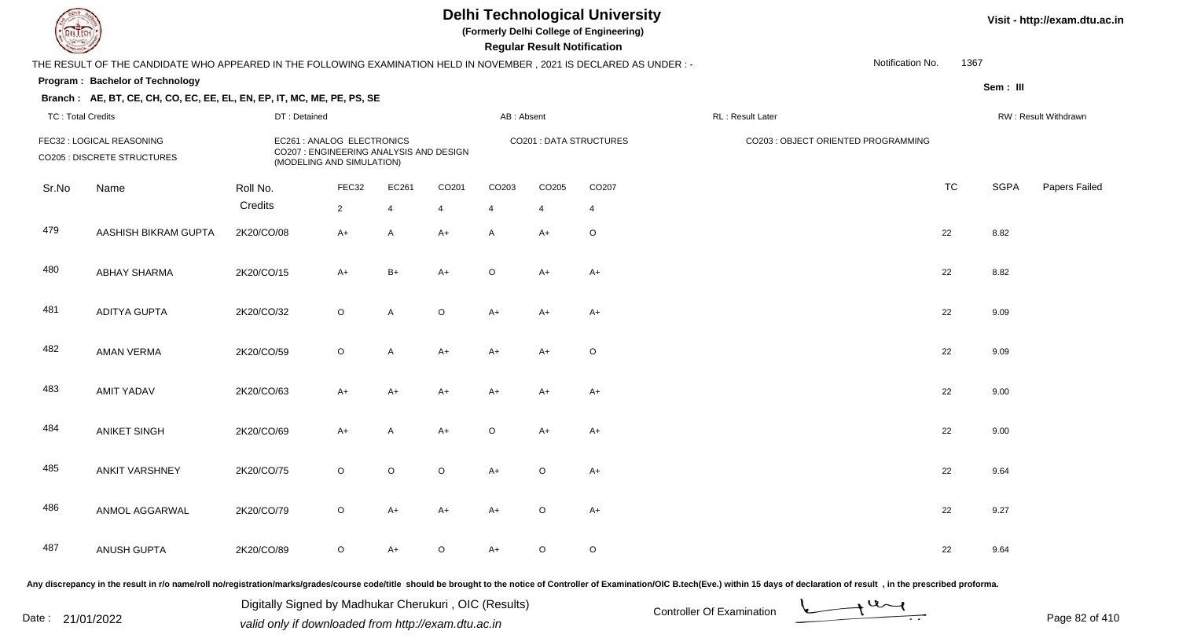**(Formerly Delhi College of Engineering)**

 **Regular Result Notification**

|                          | THE RESULT OF THE CANDIDATE WHO APPEARED IN THE FOLLOWING EXAMINATION HELD IN NOVEMBER, 2021 IS DECLARED AS UNDER :- |              |                                                                                                    |         |                |                |             |                         |                                                                                                                                                                                                                                | Notification No. | 1367      |             |                      |
|--------------------------|----------------------------------------------------------------------------------------------------------------------|--------------|----------------------------------------------------------------------------------------------------|---------|----------------|----------------|-------------|-------------------------|--------------------------------------------------------------------------------------------------------------------------------------------------------------------------------------------------------------------------------|------------------|-----------|-------------|----------------------|
|                          | Program: Bachelor of Technology                                                                                      |              |                                                                                                    |         |                |                |             |                         |                                                                                                                                                                                                                                |                  |           | Sem: III    |                      |
|                          | Branch: AE, BT, CE, CH, CO, EC, EE, EL, EN, EP, IT, MC, ME, PE, PS, SE                                               |              |                                                                                                    |         |                |                |             |                         |                                                                                                                                                                                                                                |                  |           |             |                      |
| <b>TC: Total Credits</b> |                                                                                                                      | DT: Detained |                                                                                                    |         |                | AB: Absent     |             |                         | RL: Result Later                                                                                                                                                                                                               |                  |           |             | RW: Result Withdrawn |
|                          | FEC32 : LOGICAL REASONING<br>CO205 : DISCRETE STRUCTURES                                                             |              | EC261 : ANALOG ELECTRONICS<br>CO207 : ENGINEERING ANALYSIS AND DESIGN<br>(MODELING AND SIMULATION) |         |                |                |             | CO201 : DATA STRUCTURES | CO203 : OBJECT ORIENTED PROGRAMMING                                                                                                                                                                                            |                  |           |             |                      |
| Sr.No                    | Name                                                                                                                 | Roll No.     | FEC32                                                                                              | EC261   | CO201          | CO203          | CO205       | CO207                   |                                                                                                                                                                                                                                |                  | <b>TC</b> | <b>SGPA</b> | Papers Failec        |
|                          |                                                                                                                      | Credits      | $\overline{2}$                                                                                     | 4       | $\overline{4}$ | $\overline{4}$ | 4           | $\overline{4}$          |                                                                                                                                                                                                                                |                  |           |             |                      |
| 479                      | AASHISH BIKRAM GUPTA                                                                                                 | 2K20/CO/08   | $A+$                                                                                               | A       | $A+$           | Α              | A+          | $\circ$                 |                                                                                                                                                                                                                                |                  | 22        | 8.82        |                      |
| 480                      | <b>ABHAY SHARMA</b>                                                                                                  | 2K20/CO/15   | $A+$                                                                                               | $B+$    | $A+$           | $\circ$        | $A+$        | $A+$                    |                                                                                                                                                                                                                                |                  | 22        | 8.82        |                      |
| 481                      | <b>ADITYA GUPTA</b>                                                                                                  | 2K20/CO/32   | $\circ$                                                                                            | A       | $\mathsf O$    | $A+$           | $A+$        | $A+$                    |                                                                                                                                                                                                                                |                  | 22        | 9.09        |                      |
| 482                      | <b>AMAN VERMA</b>                                                                                                    | 2K20/CO/59   | $\circ$                                                                                            | A       | $A+$           | $A+$           | A+          | O                       |                                                                                                                                                                                                                                |                  | 22        | 9.09        |                      |
| 483                      | <b>AMIT YADAV</b>                                                                                                    | 2K20/CO/63   | $A+$                                                                                               | A+      | A+             | $A+$           | A+          | A+                      |                                                                                                                                                                                                                                |                  | 22        | 9.00        |                      |
| 484                      | <b>ANIKET SINGH</b>                                                                                                  | 2K20/CO/69   | A+                                                                                                 | A       | A+             | $\circ$        | A+          | $A+$                    |                                                                                                                                                                                                                                |                  | 22        | 9.00        |                      |
| 485                      | <b>ANKIT VARSHNEY</b>                                                                                                | 2K20/CO/75   | $\circ$                                                                                            | $\circ$ | $\circ$        | $A+$           | $\circ$     | $A+$                    |                                                                                                                                                                                                                                |                  | 22        | 9.64        |                      |
| 486                      | ANMOL AGGARWAL                                                                                                       | 2K20/CO/79   | $\circ$                                                                                            | $A+$    | $A+$           | $A+$           | $\circ$     | $A+$                    |                                                                                                                                                                                                                                |                  | 22        | 9.27        |                      |
| 487                      | ANUSH GUPTA                                                                                                          | 2K20/CO/89   | $\circ$                                                                                            | A+      | $\mathsf O$    | $A+$           | $\mathsf O$ | $\circ$                 |                                                                                                                                                                                                                                |                  | 22        | 9.64        |                      |
|                          |                                                                                                                      |              |                                                                                                    |         |                |                |             |                         | ny discrepancy in the result in r/o name/roll no/registration/marks/grades/course code/title should be brought to the notice of Controller of Examination/OIC B tech(Eve.) within 15 days of declaration of result . in the pr |                  |           |             |                      |

Any discrepancy in the result in r/o name/roll no/registration/marks/grades/course code/title should be brought to the notice of Controller of Examination/OIC B.tech(Eve.) within 15 days of declaration of result ,in the p

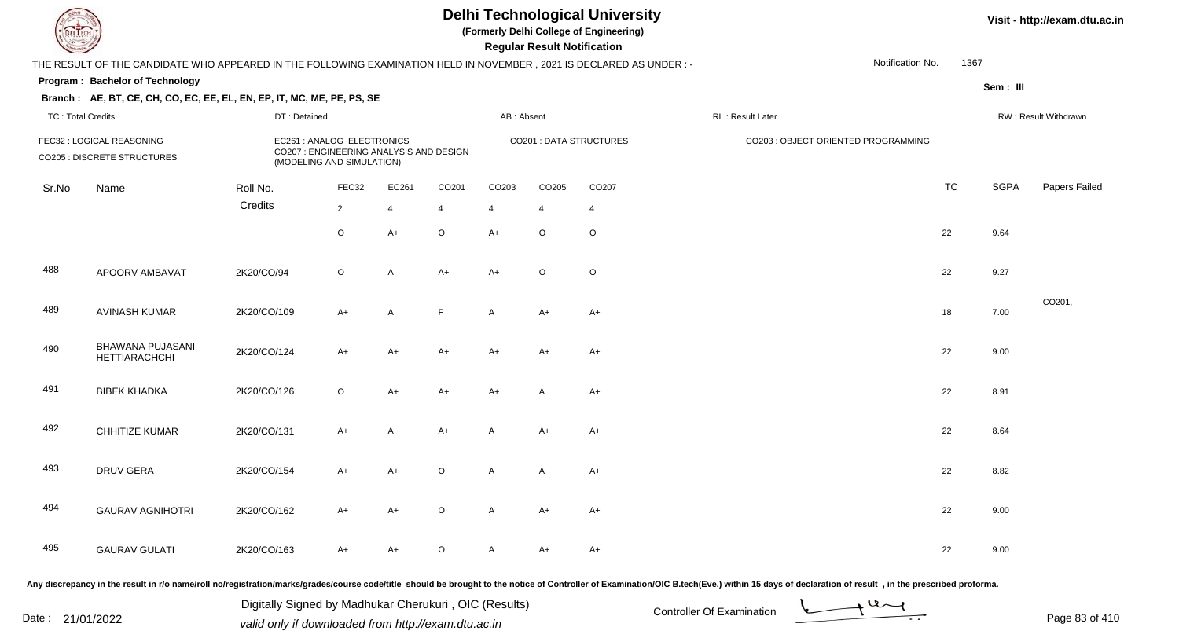**(Formerly Delhi College of Engineering)**

 **Regular Result Notification**

|                          | THE RESULT OF THE CANDIDATE WHO APPEARED IN THE FOLLOWING EXAMINATION HELD IN NOVEMBER, 2021 IS DECLARED AS UNDER :- |              |                                                                                                    |                |                   |                |                |                         |                  |                                     | Notification No. | 1367      |             |                      |
|--------------------------|----------------------------------------------------------------------------------------------------------------------|--------------|----------------------------------------------------------------------------------------------------|----------------|-------------------|----------------|----------------|-------------------------|------------------|-------------------------------------|------------------|-----------|-------------|----------------------|
|                          | Program: Bachelor of Technology                                                                                      |              |                                                                                                    |                |                   |                |                |                         |                  |                                     |                  |           | Sem: III    |                      |
|                          | Branch: AE, BT, CE, CH, CO, EC, EE, EL, EN, EP, IT, MC, ME, PE, PS, SE                                               |              |                                                                                                    |                |                   |                |                |                         |                  |                                     |                  |           |             |                      |
| <b>TC: Total Credits</b> |                                                                                                                      | DT: Detained |                                                                                                    |                |                   | AB: Absent     |                |                         | RL: Result Later |                                     |                  |           |             | RW: Result Withdrawn |
|                          | FEC32 : LOGICAL REASONING<br>CO205 : DISCRETE STRUCTURES                                                             |              | EC261 : ANALOG ELECTRONICS<br>CO207 : ENGINEERING ANALYSIS AND DESIGN<br>(MODELING AND SIMULATION) |                |                   |                |                | CO201 : DATA STRUCTURES |                  | CO203 : OBJECT ORIENTED PROGRAMMING |                  |           |             |                      |
| Sr.No                    | Name                                                                                                                 | Roll No.     | FEC32                                                                                              | EC261          | CO <sub>201</sub> | CO203          | CO205          | CO207                   |                  |                                     |                  | <b>TC</b> | <b>SGPA</b> | Papers Failec        |
|                          |                                                                                                                      | Credits      | $\overline{2}$                                                                                     | $\overline{4}$ | $\overline{4}$    | $\overline{4}$ | $\overline{4}$ | $\overline{4}$          |                  |                                     |                  |           |             |                      |
|                          |                                                                                                                      |              | $\circ$                                                                                            | $A+$           | $\mathsf O$       | $A+$           | $\circ$        | $\circ$                 |                  |                                     |                  | 22        | 9.64        |                      |
| 488                      | APOORV AMBAVAT                                                                                                       | 2K20/CO/94   | $\circ$                                                                                            | $\mathsf{A}$   | $A+$              | $A+$           | $\circ$        | $\circ$                 |                  |                                     |                  | 22        | 9.27        |                      |
| 489                      | <b>AVINASH KUMAR</b>                                                                                                 | 2K20/CO/109  | $A+$                                                                                               | A              | $\mathsf F$       | A              | $A+$           | $A+$                    |                  |                                     |                  | 18        | 7.00        | CO201,               |
| 490                      | <b>BHAWANA PUJASANI</b><br><b>HETTIARACHCHI</b>                                                                      | 2K20/CO/124  | $A+$                                                                                               | $A+$           | $A+$              | $A+$           | $A+$           | $A+$                    |                  |                                     |                  | 22        | 9.00        |                      |
| 491                      | <b>BIBEK KHADKA</b>                                                                                                  | 2K20/CO/126  | $\circ$                                                                                            | $A+$           | $A+$              | $A+$           | A              | $A+$                    |                  |                                     |                  | 22        | 8.91        |                      |
| 492                      | CHHITIZE KUMAR                                                                                                       | 2K20/CO/131  | $A+$                                                                                               | $\mathsf{A}$   | $A+$              | $\mathsf{A}$   | $A+$           | $A+$                    |                  |                                     |                  | 22        | 8.64        |                      |
| 493                      | <b>DRUV GERA</b>                                                                                                     | 2K20/CO/154  | $A+$                                                                                               | $A+$           | $\mathsf O$       | $\mathsf{A}$   | A              | $A+$                    |                  |                                     |                  | 22        | 8.82        |                      |
| 494                      | <b>GAURAV AGNIHOTRI</b>                                                                                              | 2K20/CO/162  | $A+$                                                                                               | $A+$           | $\mathsf O$       | $\mathsf{A}$   | A+             | $A+$                    |                  |                                     |                  | 22        | 9.00        |                      |
| 495                      | <b>GAURAV GULATI</b>                                                                                                 | 2K20/CO/163  | $A+$                                                                                               | $A+$           | O                 | A              | $A+$           | $A+$                    |                  |                                     |                  | 22        | 9.00        |                      |
|                          |                                                                                                                      |              |                                                                                                    |                |                   |                |                |                         |                  |                                     |                  |           |             |                      |

Any discrepancy in the result in r/o name/roll no/registration/marks/grades/course code/title should be brought to the notice of Controller of Examination/OIC B.tech(Eve.) within 15 days of declaration of result, in the pr

Date : 21/01/2022 Digital Digital of Microsofted Controller Of Examination Determination Page 83 of 41 Digitally Signed by Madhukar Cherukuri , OIC (Results)

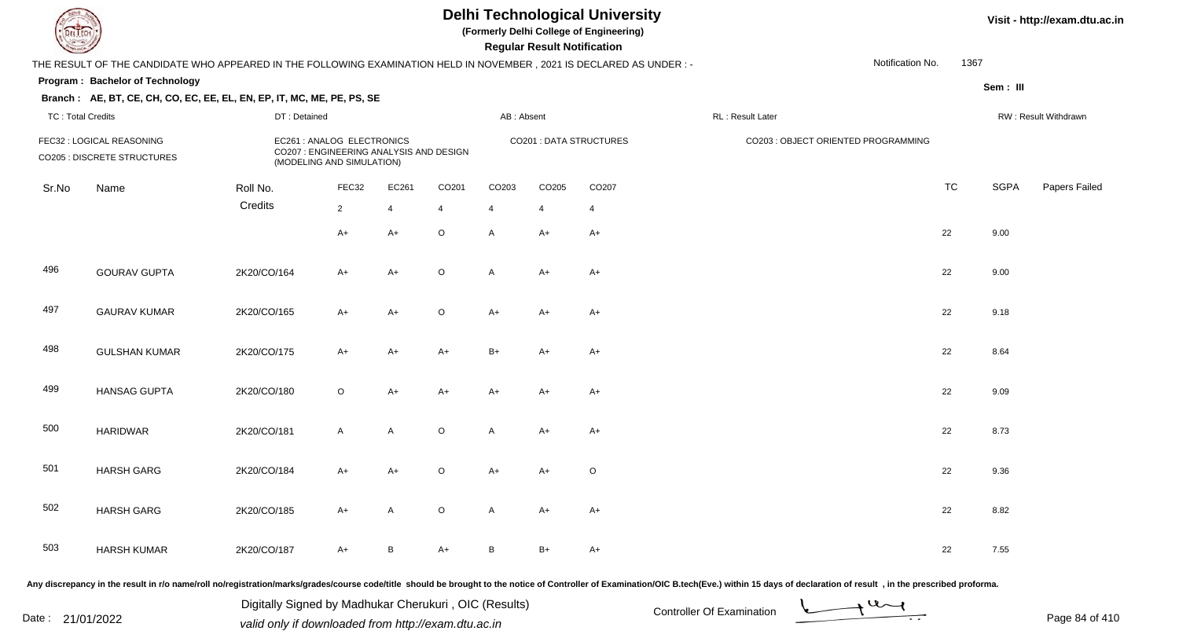**(Formerly Delhi College of Engineering)**

 **Regular Result Notification**

|                          |                                                                                                                      |              |                                                                                                    |                |                   |                |                |                         |                                     | Notification No. | 1367      |             |                      |
|--------------------------|----------------------------------------------------------------------------------------------------------------------|--------------|----------------------------------------------------------------------------------------------------|----------------|-------------------|----------------|----------------|-------------------------|-------------------------------------|------------------|-----------|-------------|----------------------|
|                          | THE RESULT OF THE CANDIDATE WHO APPEARED IN THE FOLLOWING EXAMINATION HELD IN NOVEMBER, 2021 IS DECLARED AS UNDER :- |              |                                                                                                    |                |                   |                |                |                         |                                     |                  |           |             |                      |
|                          | Program: Bachelor of Technology                                                                                      |              |                                                                                                    |                |                   |                |                |                         |                                     |                  |           | Sem : III   |                      |
|                          | Branch: AE, BT, CE, CH, CO, EC, EE, EL, EN, EP, IT, MC, ME, PE, PS, SE                                               |              |                                                                                                    |                |                   |                |                |                         |                                     |                  |           |             |                      |
| <b>TC: Total Credits</b> |                                                                                                                      | DT: Detained |                                                                                                    |                |                   | AB: Absent     |                |                         | RL: Result Later                    |                  |           |             | RW: Result Withdrawn |
|                          | FEC32 : LOGICAL REASONING<br>CO205 : DISCRETE STRUCTURES                                                             |              | EC261 : ANALOG ELECTRONICS<br>CO207 : ENGINEERING ANALYSIS AND DESIGN<br>(MODELING AND SIMULATION) |                |                   |                |                | CO201 : DATA STRUCTURES | CO203 : OBJECT ORIENTED PROGRAMMING |                  |           |             |                      |
| Sr.No                    | Name                                                                                                                 | Roll No.     | FEC32                                                                                              | EC261          | CO <sub>201</sub> | CO203          | CO205          | CO207                   |                                     |                  | <b>TC</b> | <b>SGPA</b> | Papers Failec        |
|                          |                                                                                                                      | Credits      | $2^{\circ}$                                                                                        | $\overline{4}$ | $\overline{4}$    | $\overline{4}$ | $\overline{4}$ | 4                       |                                     |                  |           |             |                      |
|                          |                                                                                                                      |              | $A+$                                                                                               | $A+$           | $\mathsf O$       | A              | $A+$           | $A+$                    |                                     |                  | 22        | 9.00        |                      |
| 496                      | <b>GOURAV GUPTA</b>                                                                                                  | 2K20/CO/164  | $A+$                                                                                               | $A+$           | $\mathsf O$       | A              | $A+$           | $A+$                    |                                     |                  | 22        | 9.00        |                      |
| 497                      | <b>GAURAV KUMAR</b>                                                                                                  | 2K20/CO/165  | $A+$                                                                                               | $A+$           | $\mathsf O$       | $A+$           | $A+$           | $A+$                    |                                     |                  | 22        | 9.18        |                      |
| 498                      | <b>GULSHAN KUMAR</b>                                                                                                 | 2K20/CO/175  | A+                                                                                                 | A+             | $A+$              | $B+$           | A+             | $A+$                    |                                     |                  | 22        | 8.64        |                      |
| 499                      | <b>HANSAG GUPTA</b>                                                                                                  | 2K20/CO/180  | $\circ$                                                                                            | $A+$           | $A+$              | $A+$           | A+             | $A+$                    |                                     |                  | 22        | 9.09        |                      |
| 500                      | <b>HARIDWAR</b>                                                                                                      | 2K20/CO/181  | $\mathsf{A}$                                                                                       | $\mathsf{A}$   | $\mathsf O$       | A              | A+             | $A+$                    |                                     |                  | 22        | 8.73        |                      |
| 501                      | <b>HARSH GARG</b>                                                                                                    | 2K20/CO/184  | $A+$                                                                                               | $A+$           | $\circ$           | $A+$           | A+             | $\circ$                 |                                     |                  | 22        | 9.36        |                      |
| 502                      | <b>HARSH GARG</b>                                                                                                    | 2K20/CO/185  | $A+$                                                                                               | $\mathsf{A}$   | $\mathsf O$       | A              | $A+$           | $A+$                    |                                     |                  | 22        | 8.82        |                      |
| 503                      | <b>HARSH KUMAR</b>                                                                                                   | 2K20/CO/187  | A+                                                                                                 | <sub>B</sub>   | A+                | B              | B+             | $A+$                    |                                     |                  | 22        | 7.55        |                      |
|                          |                                                                                                                      |              |                                                                                                    |                |                   |                |                |                         |                                     |                  |           |             |                      |

Any discrepancy in the result in r/o name/roll no/registration/marks/grades/course code/title should be brought to the notice of Controller of Examination/OIC B.tech(Eve.) within 15 days of declaration of result, in the pr

Date : 21/01/2022 Digital Digital of Microsofted Chemical Controller Of Examination Determination Page 84 of 41 Digitally Signed by Madhukar Cherukuri , OIC (Results)

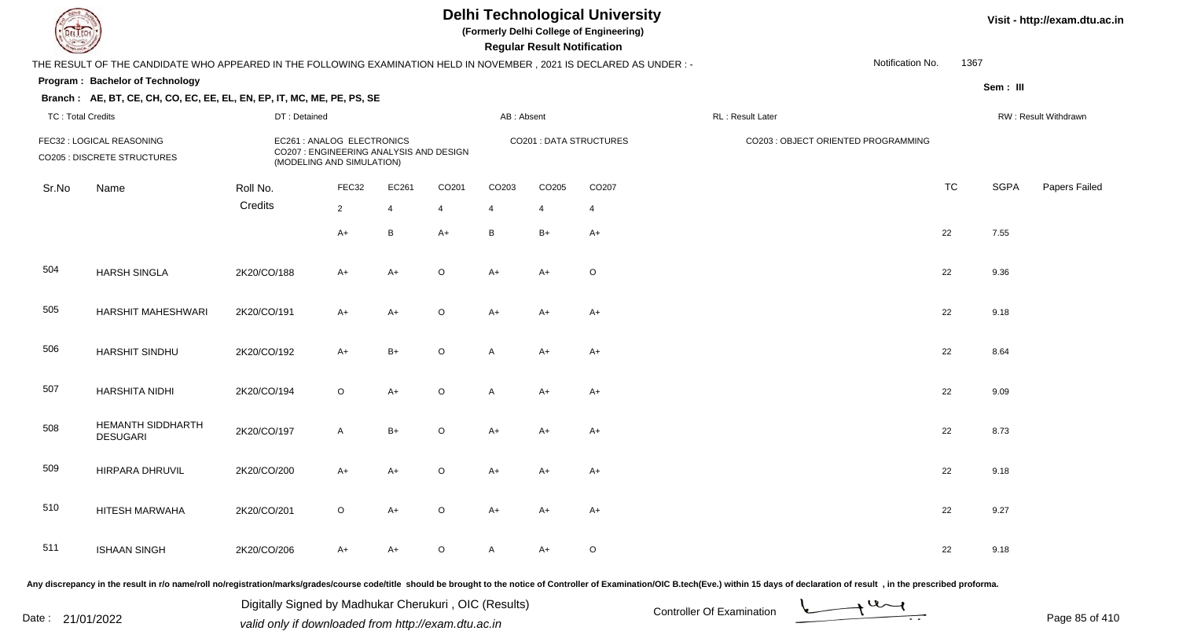**(Formerly Delhi College of Engineering)**

 **Regular Result Notification**

|                          | THE RESULT OF THE CANDIDATE WHO APPEARED IN THE FOLLOWING EXAMINATION HELD IN NOVEMBER, 2021 IS DECLARED AS UNDER :- |              |                                                                                                    |                |                |                |       |                                |                  | Notification No.                    | 1367      |             |                      |
|--------------------------|----------------------------------------------------------------------------------------------------------------------|--------------|----------------------------------------------------------------------------------------------------|----------------|----------------|----------------|-------|--------------------------------|------------------|-------------------------------------|-----------|-------------|----------------------|
|                          | Program: Bachelor of Technology                                                                                      |              |                                                                                                    |                |                |                |       |                                |                  |                                     |           | Sem : III   |                      |
| <b>TC: Total Credits</b> | Branch: AE, BT, CE, CH, CO, EC, EE, EL, EN, EP, IT, MC, ME, PE, PS, SE                                               | DT: Detained |                                                                                                    |                |                | AB: Absent     |       |                                | RL: Result Later |                                     |           |             | RW: Result Withdrawn |
|                          | FEC32 : LOGICAL REASONING<br>CO205 : DISCRETE STRUCTURES                                                             |              | EC261 : ANALOG ELECTRONICS<br>CO207 : ENGINEERING ANALYSIS AND DESIGN<br>(MODELING AND SIMULATION) |                |                |                |       | <b>CO201 : DATA STRUCTURES</b> |                  | CO203 : OBJECT ORIENTED PROGRAMMING |           |             |                      |
| Sr.No                    | Name                                                                                                                 | Roll No.     | FEC32                                                                                              | EC261          | CO201          | CO203          | CO205 | CO207                          |                  |                                     | <b>TC</b> | <b>SGPA</b> | Papers Failec        |
|                          |                                                                                                                      | Credits      | $\overline{2}$                                                                                     | $\overline{4}$ | $\overline{4}$ | $\overline{4}$ | 4     | $\overline{4}$                 |                  |                                     |           |             |                      |
|                          |                                                                                                                      |              | $A+$                                                                                               | B              | $A+$           | B              | $B+$  | $A+$                           |                  |                                     | 22        | 7.55        |                      |
| 504                      | <b>HARSH SINGLA</b>                                                                                                  | 2K20/CO/188  | $A+$                                                                                               | $A+$           | $\mathsf O$    | $A+$           | A+    | $\circ$                        |                  |                                     | 22        | 9.36        |                      |
| 505                      | <b>HARSHIT MAHESHWARI</b>                                                                                            | 2K20/CO/191  | $A+$                                                                                               | $A+$           | $\mathsf O$    | $A+$           | $A+$  | $A+$                           |                  |                                     | 22        | 9.18        |                      |
| 506                      | HARSHIT SINDHU                                                                                                       | 2K20/CO/192  | $A+$                                                                                               | $B+$           | $\mathsf O$    | A              | $A+$  | $A+$                           |                  |                                     | 22        | 8.64        |                      |
| 507                      | HARSHITA NIDHI                                                                                                       | 2K20/CO/194  | $\circ$                                                                                            | $A+$           | $\mathsf O$    | A              | $A+$  | $A+$                           |                  |                                     | 22        | 9.09        |                      |
| 508                      | HEMANTH SIDDHARTH<br><b>DESUGARI</b>                                                                                 | 2K20/CO/197  | $\mathsf{A}$                                                                                       | $B+$           | $\mathsf O$    | $A+$           | $A+$  | $A+$                           |                  |                                     | 22        | 8.73        |                      |
| 509                      | HIRPARA DHRUVIL                                                                                                      | 2K20/CO/200  | $A+$                                                                                               | $A+$           | $\mathsf O$    | $A+$           | A+    | $A+$                           |                  |                                     | 22        | 9.18        |                      |
| 510                      | HITESH MARWAHA                                                                                                       | 2K20/CO/201  | $\circ$                                                                                            | $A+$           | $\circ$        | $A+$           | A+    | $A+$                           |                  |                                     | 22        | 9.27        |                      |
| 511                      | <b>ISHAAN SINGH</b>                                                                                                  | 2K20/CO/206  | $A+$                                                                                               | $A+$           | $\mathsf O$    | A              | $A+$  | $\circ$                        |                  |                                     | 22        | 9.18        |                      |
|                          |                                                                                                                      |              |                                                                                                    |                |                |                |       |                                |                  |                                     |           |             |                      |

Any discrepancy in the result in r/o name/roll no/registration/marks/grades/course code/title should be brought to the notice of Controller of Examination/OIC B.tech(Eve.) within 15 days of declaration of result, in the pr

Date : 21/01/2022 Digital Digital of Microsofted Controller Of Examination Determination Page 85 of 41 Digitally Signed by Madhukar Cherukuri , OIC (Results)

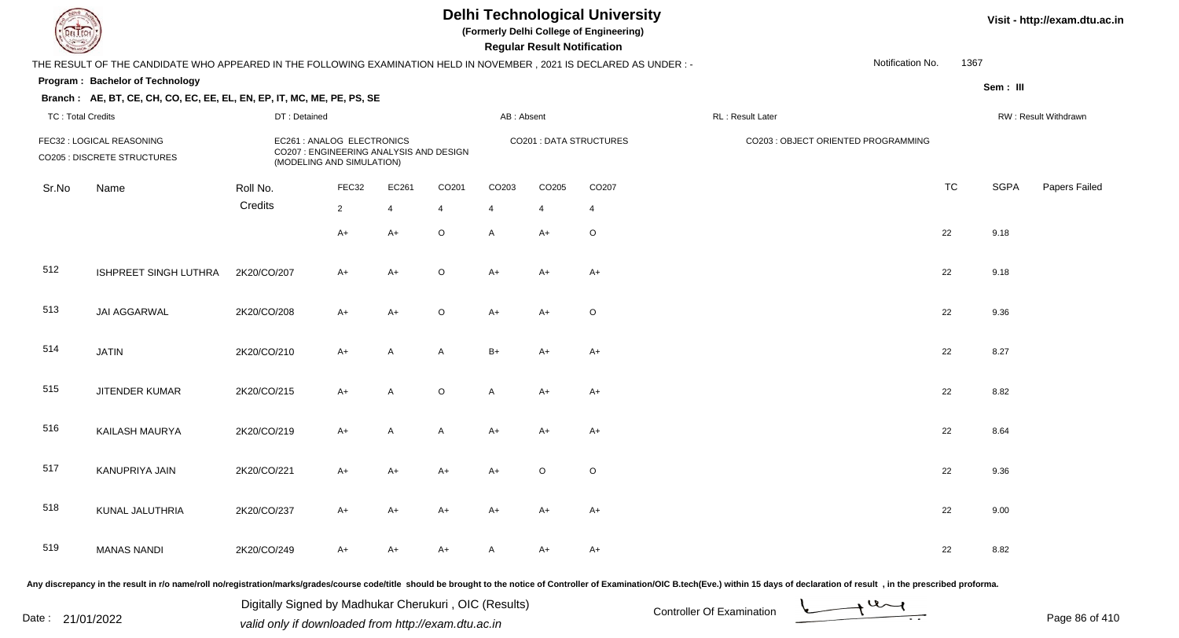**(Formerly Delhi College of Engineering)**

 **Regular Result Notification**

|                          | THE RESULT OF THE CANDIDATE WHO APPEARED IN THE FOLLOWING EXAMINATION HELD IN NOVEMBER, 2021 IS DECLARED AS UNDER : - |              |                                                                                                    |                |                |                |                |                         |                                                                                                                                                                                                                                | Notification No. | 1367      |          |                      |
|--------------------------|-----------------------------------------------------------------------------------------------------------------------|--------------|----------------------------------------------------------------------------------------------------|----------------|----------------|----------------|----------------|-------------------------|--------------------------------------------------------------------------------------------------------------------------------------------------------------------------------------------------------------------------------|------------------|-----------|----------|----------------------|
|                          | Program: Bachelor of Technology                                                                                       |              |                                                                                                    |                |                |                |                |                         |                                                                                                                                                                                                                                |                  |           | Sem: III |                      |
|                          | Branch: AE, BT, CE, CH, CO, EC, EE, EL, EN, EP, IT, MC, ME, PE, PS, SE                                                |              |                                                                                                    |                |                |                |                |                         |                                                                                                                                                                                                                                |                  |           |          |                      |
| <b>TC: Total Credits</b> |                                                                                                                       | DT: Detained |                                                                                                    |                |                | AB: Absent     |                |                         | RL: Result Later                                                                                                                                                                                                               |                  |           |          | RW: Result Withdrawn |
|                          | FEC32 : LOGICAL REASONING<br><b>CO205 : DISCRETE STRUCTURES</b>                                                       |              | EC261 : ANALOG ELECTRONICS<br>CO207 : ENGINEERING ANALYSIS AND DESIGN<br>(MODELING AND SIMULATION) |                |                |                |                | CO201 : DATA STRUCTURES | CO203 : OBJECT ORIENTED PROGRAMMING                                                                                                                                                                                            |                  |           |          |                      |
| Sr.No                    | Name                                                                                                                  | Roll No.     | FEC32                                                                                              | EC261          | CO201          | CO203          | CO205          | CO207                   |                                                                                                                                                                                                                                |                  | <b>TC</b> | SGPA     | Papers Failed        |
|                          |                                                                                                                       | Credits      | $\overline{2}$                                                                                     | $\overline{4}$ | $\overline{4}$ | $\overline{4}$ | $\overline{4}$ | 4                       |                                                                                                                                                                                                                                |                  |           |          |                      |
|                          |                                                                                                                       |              | $A+$                                                                                               | $A+$           | $\circ$        | $\mathsf{A}$   | A+             | $\circ$                 |                                                                                                                                                                                                                                |                  | 22        | 9.18     |                      |
| 512                      | ISHPREET SINGH LUTHRA                                                                                                 | 2K20/CO/207  | $A+$                                                                                               | $A+$           | $\circ$        | $A+$           | A+             | $A+$                    |                                                                                                                                                                                                                                |                  | 22        | 9.18     |                      |
| 513                      | JAI AGGARWAL                                                                                                          | 2K20/CO/208  | $A+$                                                                                               | $A+$           | $\circ$        | $A+$           | $A+$           | O                       |                                                                                                                                                                                                                                |                  | 22        | 9.36     |                      |
| 514                      | <b>JATIN</b>                                                                                                          | 2K20/CO/210  | A+                                                                                                 | A              | A              | $B+$           | A+             | A+                      |                                                                                                                                                                                                                                |                  | 22        | 8.27     |                      |
| 515                      | JITENDER KUMAR                                                                                                        | 2K20/CO/215  | A+                                                                                                 | A              | $\circ$        | $\mathsf{A}$   | A+             | A+                      |                                                                                                                                                                                                                                |                  | 22        | 8.82     |                      |
| 516                      | KAILASH MAURYA                                                                                                        | 2K20/CO/219  | $A+$                                                                                               | $\mathsf{A}$   | $\mathsf{A}$   | $A+$           | A+             | $A+$                    |                                                                                                                                                                                                                                |                  | 22        | 8.64     |                      |
| 517                      | KANUPRIYA JAIN                                                                                                        | 2K20/CO/221  | $A+$                                                                                               | $A+$           | $A+$           | $A+$           | $\circ$        | $\circ$                 |                                                                                                                                                                                                                                |                  | 22        | 9.36     |                      |
| 518                      | KUNAL JALUTHRIA                                                                                                       | 2K20/CO/237  | $A+$                                                                                               | A+             | $A+$           | $A+$           | A+             | A+                      |                                                                                                                                                                                                                                |                  | 22        | 9.00     |                      |
| 519                      | <b>MANAS NANDI</b>                                                                                                    | 2K20/CO/249  | A+                                                                                                 | A+             | $A+$           | A              | A+             | $A+$                    |                                                                                                                                                                                                                                |                  | 22        | 8.82     |                      |
|                          |                                                                                                                       |              |                                                                                                    |                |                |                |                |                         | Any discrepancy in the result in r/o name/roll no/registration/marks/grades/course code/title should be brought to the notice of Controller of Examination/OIC B.tech(Eve.) within 15 days of declaration of result , in the p |                  |           |          |                      |

Date : 21/01/2022 Digital Digital of Microsofted Chemical Controller Of Examination Determination Page 86 of 41 Digitally Signed by Madhukar Cherukuri , OIC (Results)

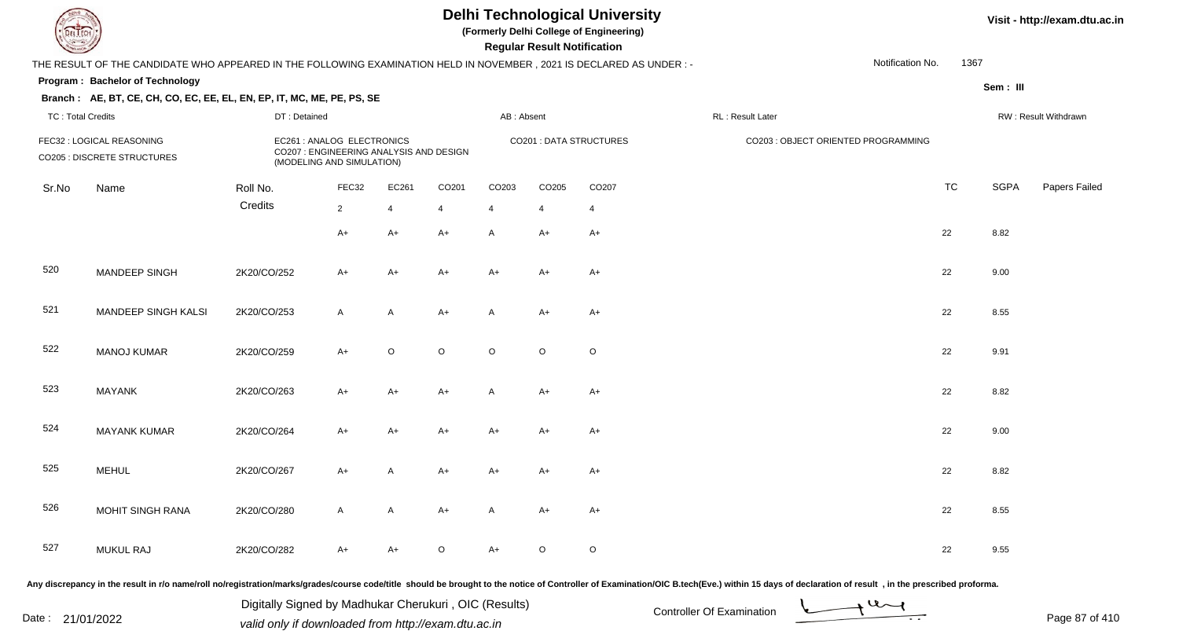**(Formerly Delhi College of Engineering)**

 **Regular Result Notification**

|                          | THE RESULT OF THE CANDIDATE WHO APPEARED IN THE FOLLOWING EXAMINATION HELD IN NOVEMBER, 2021 IS DECLARED AS UNDER:-                                                                                                            |              |                                                                                                    |                |                   |                |             |                                |                  | Notification No.                    | 1367      |             |                      |
|--------------------------|--------------------------------------------------------------------------------------------------------------------------------------------------------------------------------------------------------------------------------|--------------|----------------------------------------------------------------------------------------------------|----------------|-------------------|----------------|-------------|--------------------------------|------------------|-------------------------------------|-----------|-------------|----------------------|
|                          | Program: Bachelor of Technology                                                                                                                                                                                                |              |                                                                                                    |                |                   |                |             |                                |                  |                                     |           | Sem: III    |                      |
| <b>TC: Total Credits</b> | Branch: AE, BT, CE, CH, CO, EC, EE, EL, EN, EP, IT, MC, ME, PE, PS, SE                                                                                                                                                         | DT: Detained |                                                                                                    |                |                   | AB: Absent     |             |                                | RL: Result Later |                                     |           |             | RW: Result Withdrawn |
|                          | FEC32 : LOGICAL REASONING<br><b>CO205 : DISCRETE STRUCTURES</b>                                                                                                                                                                |              | EC261 : ANALOG ELECTRONICS<br>CO207 : ENGINEERING ANALYSIS AND DESIGN<br>(MODELING AND SIMULATION) |                |                   |                |             | <b>CO201 : DATA STRUCTURES</b> |                  | CO203 : OBJECT ORIENTED PROGRAMMING |           |             |                      |
| Sr.No                    | Name                                                                                                                                                                                                                           | Roll No.     | FEC32                                                                                              | EC261          | CO <sub>201</sub> | CO203          | CO205       | CO207                          |                  |                                     | <b>TC</b> | <b>SGPA</b> | Papers Failec        |
|                          |                                                                                                                                                                                                                                | Credits      | $\overline{2}$                                                                                     | $\overline{4}$ | $\overline{4}$    | $\overline{4}$ | 4           | $\overline{4}$                 |                  |                                     |           |             |                      |
|                          |                                                                                                                                                                                                                                |              | $A+$                                                                                               | $A+$           | A+                | A              | A+          | $A+$                           |                  |                                     | 22        | 8.82        |                      |
| 520                      | MANDEEP SINGH                                                                                                                                                                                                                  | 2K20/CO/252  | $A+$                                                                                               | $A+$           | $A+$              | $A+$           | A+          | $A+$                           |                  |                                     | 22        | 9.00        |                      |
| 521                      | MANDEEP SINGH KALSI                                                                                                                                                                                                            | 2K20/CO/253  | $\mathsf{A}$                                                                                       | A              | $A+$              | A              | A+          | $A+$                           |                  |                                     | 22        | 8.55        |                      |
| 522                      | <b>MANOJ KUMAR</b>                                                                                                                                                                                                             | 2K20/CO/259  | $A+$                                                                                               | O              | $\mathsf O$       | $\circ$        | $\circ$     | $\circ$                        |                  |                                     | 22        | 9.91        |                      |
| 523                      | <b>MAYANK</b>                                                                                                                                                                                                                  | 2K20/CO/263  | A+                                                                                                 | A+             | A+                | Α              | A+          | $A+$                           |                  |                                     | 22        | 8.82        |                      |
| 524                      | <b>MAYANK KUMAR</b>                                                                                                                                                                                                            | 2K20/CO/264  | A+                                                                                                 | $A+$           | A+                | $A+$           | A+          | $A+$                           |                  |                                     | 22        | 9.00        |                      |
| 525                      | <b>MEHUL</b>                                                                                                                                                                                                                   | 2K20/CO/267  | $A+$                                                                                               | A              | A+                | $A+$           | A+          | $A+$                           |                  |                                     | 22        | 8.82        |                      |
| 526                      | <b>MOHIT SINGH RANA</b>                                                                                                                                                                                                        | 2K20/CO/280  | $\mathsf{A}$                                                                                       | $\mathsf{A}$   | $A+$              | A              | A+          | $A+$                           |                  |                                     | 22        | 8.55        |                      |
| 527                      | <b>MUKUL RAJ</b>                                                                                                                                                                                                               | 2K20/CO/282  | $A+$                                                                                               | A+             | $\mathsf O$       | $A+$           | $\mathsf O$ | $\circ$                        |                  |                                     | 22        | 9.55        |                      |
|                          | ny discrepancy in the result in r/o name/roll no/registration/marks/grades/course code/title should be brought to the notice of Controller of Examination/OIC B.tech(Eve.) within 15 days of declaration of result, in the pre |              |                                                                                                    |                |                   |                |             |                                |                  |                                     |           |             |                      |

Any discrepancy in the result in r/o name/roll no/registration/marks/grades/course code/title should be brought to the notice of Controller of Examination/OIC B.tech(Eve.) within 15 days of declaration of result ,in the p

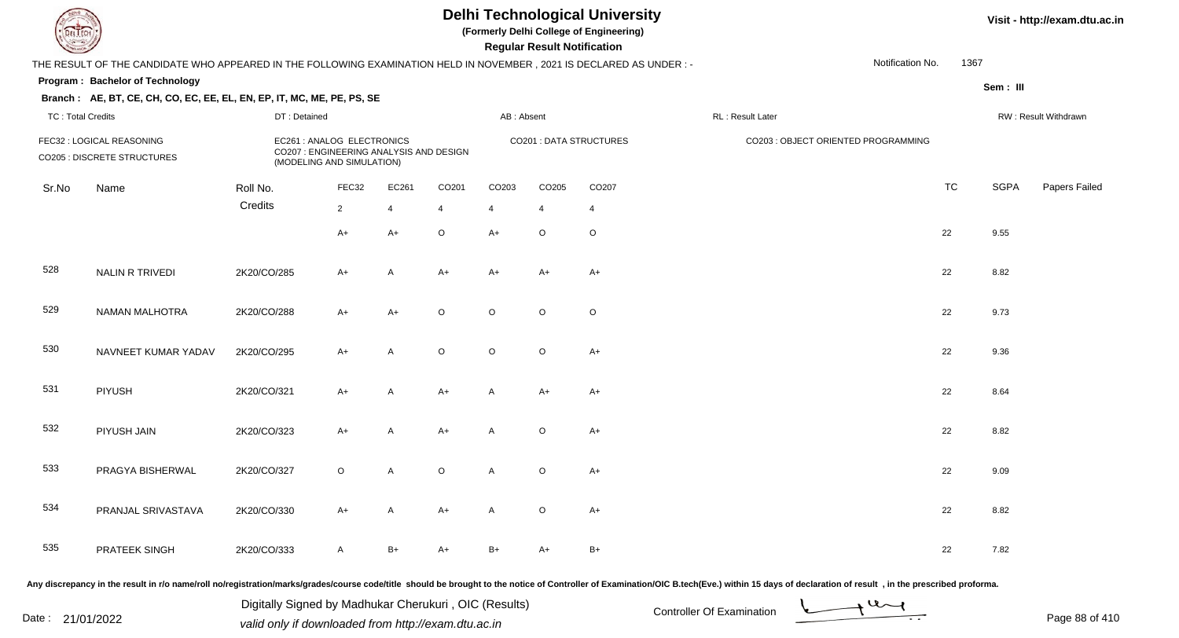**(Formerly Delhi College of Engineering)**

 **Regular Result Notification**

**Visit - http://exam.dtu.ac.in**

| <b>Courses and States of the United States</b> |                                                                                                                                                                                                                                      |              |                                                                                                    |                |                |                         | Regular Result Notification |                                |                  |                                     |           |             |                      |
|------------------------------------------------|--------------------------------------------------------------------------------------------------------------------------------------------------------------------------------------------------------------------------------------|--------------|----------------------------------------------------------------------------------------------------|----------------|----------------|-------------------------|-----------------------------|--------------------------------|------------------|-------------------------------------|-----------|-------------|----------------------|
|                                                | THE RESULT OF THE CANDIDATE WHO APPEARED IN THE FOLLOWING EXAMINATION HELD IN NOVEMBER, 2021 IS DECLARED AS UNDER:-                                                                                                                  |              |                                                                                                    |                |                |                         |                             |                                |                  | Notification No.                    | 1367      |             |                      |
|                                                | Program: Bachelor of Technology                                                                                                                                                                                                      |              |                                                                                                    |                |                |                         |                             |                                |                  |                                     |           | Sem: III    |                      |
|                                                | Branch: AE, BT, CE, CH, CO, EC, EE, EL, EN, EP, IT, MC, ME, PE, PS, SE                                                                                                                                                               |              |                                                                                                    |                |                |                         |                             |                                |                  |                                     |           |             |                      |
| <b>TC: Total Credits</b>                       |                                                                                                                                                                                                                                      | DT: Detained |                                                                                                    |                |                | AB: Absent              |                             |                                | RL: Result Later |                                     |           |             | RW: Result Withdrawn |
|                                                | FEC32 : LOGICAL REASONING<br><b>CO205 : DISCRETE STRUCTURES</b>                                                                                                                                                                      |              | EC261 : ANALOG ELECTRONICS<br>CO207 : ENGINEERING ANALYSIS AND DESIGN<br>(MODELING AND SIMULATION) |                |                |                         |                             | <b>CO201 : DATA STRUCTURES</b> |                  | CO203 : OBJECT ORIENTED PROGRAMMING |           |             |                      |
| Sr.No                                          | Name                                                                                                                                                                                                                                 | Roll No.     | FEC32                                                                                              | EC261          | CO201          | CO203                   | CO205                       | CO207                          |                  |                                     | <b>TC</b> | <b>SGPA</b> | Papers Failed        |
|                                                |                                                                                                                                                                                                                                      | Credits      | $\overline{2}$                                                                                     | $\overline{4}$ | $\overline{4}$ | $\overline{\mathbf{4}}$ | $\overline{4}$              | 4                              |                  |                                     |           |             |                      |
|                                                |                                                                                                                                                                                                                                      |              | $A+$                                                                                               | $A+$           | $\mathsf O$    | $A+$                    | $\circ$                     | $\mathsf O$                    |                  |                                     | 22        | 9.55        |                      |
| 528                                            | <b>NALIN R TRIVEDI</b>                                                                                                                                                                                                               | 2K20/CO/285  | $A+$                                                                                               | A              | $A+$           | $A+$                    | $A+$                        | $A+$                           |                  |                                     | 22        | 8.82        |                      |
| 529                                            | NAMAN MALHOTRA                                                                                                                                                                                                                       | 2K20/CO/288  | $A+$                                                                                               | $A+$           | $\circ$        | $\circ$                 | $\circ$                     | $\circ$                        |                  |                                     | 22        | 9.73        |                      |
| 530                                            | NAVNEET KUMAR YADAV                                                                                                                                                                                                                  | 2K20/CO/295  | $A+$                                                                                               | A              | $\circ$        | $\circ$                 | $\circ$                     | $A+$                           |                  |                                     | 22        | 9.36        |                      |
| 531                                            | PIYUSH                                                                                                                                                                                                                               | 2K20/CO/321  | $A+$                                                                                               | $\mathsf{A}$   | $A+$           | A                       | $A+$                        | $A+$                           |                  |                                     | 22        | 8.64        |                      |
| 532                                            | PIYUSH JAIN                                                                                                                                                                                                                          | 2K20/CO/323  | $A+$                                                                                               | A              | $A+$           | A                       | $\circ$                     | $A+$                           |                  |                                     | 22        | 8.82        |                      |
| 533                                            | PRAGYA BISHERWAL                                                                                                                                                                                                                     | 2K20/CO/327  | $\circ$                                                                                            | $\mathsf{A}$   | $\circ$        | A                       | $\circ$                     | $A+$                           |                  |                                     | 22        | 9.09        |                      |
| 534                                            | PRANJAL SRIVASTAVA                                                                                                                                                                                                                   | 2K20/CO/330  | $A+$                                                                                               | $\mathsf{A}$   | $A+$           | A                       | $\circ$                     | $A+$                           |                  |                                     | 22        | 8.82        |                      |
| 535                                            | <b>PRATEEK SINGH</b>                                                                                                                                                                                                                 | 2K20/CO/333  | $\mathsf{A}$                                                                                       | $B+$           | $A+$           | $B+$                    | $A+$                        | $B+$                           |                  |                                     | 22        | 7.82        |                      |
|                                                | <u>. And and the contract of the contract of the contract of the contract of the contract of the contract of the contract of the contract of the contract of the contract of the contract of the contract of the contract of the</u> |              |                                                                                                    |                |                |                         |                             |                                |                  |                                     |           |             |                      |

Any discrepancy in the result in r/o name/roll no/registration/marks/grades/course code/title should be brought to the notice of Controller of Examination/OIC B.tech(Eve.) within 15 days of declaration of result , in the p

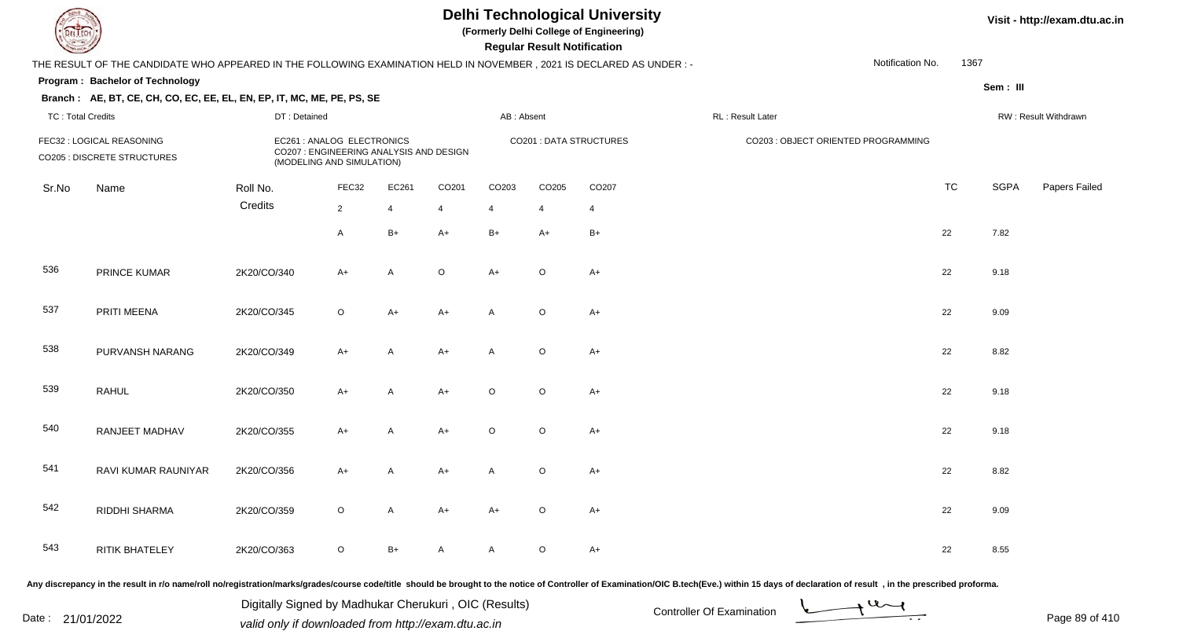**(Formerly Delhi College of Engineering)**

 **Regular Result Notification**

**Visit - http://exam.dtu.ac.in**

| $\sim$                   |                                                                                                                                                                                                                                |              |                                                                                                    |                |                |                | <b>Regular Result Rothrodtion</b> |                                |                  |                                     |                  |           |             |                      |
|--------------------------|--------------------------------------------------------------------------------------------------------------------------------------------------------------------------------------------------------------------------------|--------------|----------------------------------------------------------------------------------------------------|----------------|----------------|----------------|-----------------------------------|--------------------------------|------------------|-------------------------------------|------------------|-----------|-------------|----------------------|
|                          | THE RESULT OF THE CANDIDATE WHO APPEARED IN THE FOLLOWING EXAMINATION HELD IN NOVEMBER , 2021 IS DECLARED AS UNDER :-                                                                                                          |              |                                                                                                    |                |                |                |                                   |                                |                  |                                     | Notification No. | 1367      |             |                      |
|                          | Program: Bachelor of Technology                                                                                                                                                                                                |              |                                                                                                    |                |                |                |                                   |                                |                  |                                     |                  |           | Sem: III    |                      |
|                          | Branch: AE, BT, CE, CH, CO, EC, EE, EL, EN, EP, IT, MC, ME, PE, PS, SE                                                                                                                                                         |              |                                                                                                    |                |                |                |                                   |                                |                  |                                     |                  |           |             |                      |
| <b>TC: Total Credits</b> |                                                                                                                                                                                                                                | DT: Detained |                                                                                                    |                |                | AB: Absent     |                                   |                                | RL: Result Later |                                     |                  |           |             | RW: Result Withdrawn |
|                          | FEC32 : LOGICAL REASONING<br>CO205 : DISCRETE STRUCTURES                                                                                                                                                                       |              | EC261 : ANALOG ELECTRONICS<br>CO207 : ENGINEERING ANALYSIS AND DESIGN<br>(MODELING AND SIMULATION) |                |                |                |                                   | <b>CO201 : DATA STRUCTURES</b> |                  | CO203 : OBJECT ORIENTED PROGRAMMING |                  |           |             |                      |
| Sr.No                    | Name                                                                                                                                                                                                                           | Roll No.     | FEC32                                                                                              | EC261          | CO201          | CO203          | CO205                             | CO207                          |                  |                                     |                  | <b>TC</b> | <b>SGPA</b> | Papers Failec        |
|                          |                                                                                                                                                                                                                                | Credits      | $\overline{2}$                                                                                     | $\overline{4}$ | $\overline{4}$ | $\overline{4}$ | $\overline{4}$                    | $\overline{4}$                 |                  |                                     |                  |           |             |                      |
|                          |                                                                                                                                                                                                                                |              | $\mathsf{A}$                                                                                       | $B+$           | $A+$           | $B+$           | $A+$                              | $B+$                           |                  |                                     |                  | 22        | 7.82        |                      |
| 536                      | PRINCE KUMAR                                                                                                                                                                                                                   | 2K20/CO/340  | A+                                                                                                 | $\mathsf{A}$   | $\mathsf O$    | $A+$           | $\circ$                           | $A+$                           |                  |                                     |                  | 22        | 9.18        |                      |
| 537                      | PRITI MEENA                                                                                                                                                                                                                    | 2K20/CO/345  | $\circ$                                                                                            | $A+$           | $A+$           | A              | $\circ$                           | $A+$                           |                  |                                     |                  | 22        | 9.09        |                      |
| 538                      | PURVANSH NARANG                                                                                                                                                                                                                | 2K20/CO/349  | $A+$                                                                                               | $\mathsf{A}$   | $A+$           | A              | $\circ$                           | $A+$                           |                  |                                     |                  | 22        | 8.82        |                      |
| 539                      | <b>RAHUL</b>                                                                                                                                                                                                                   | 2K20/CO/350  | $A+$                                                                                               | A              | $A+$           | $\circ$        | $\circ$                           | $A+$                           |                  |                                     |                  | 22        | 9.18        |                      |
| 540                      | RANJEET MADHAV                                                                                                                                                                                                                 | 2K20/CO/355  | $A+$                                                                                               | A              | $A+$           | $\circ$        | $\circ$                           | $A+$                           |                  |                                     |                  | 22        | 9.18        |                      |
| 541                      | RAVI KUMAR RAUNIYAR                                                                                                                                                                                                            | 2K20/CO/356  | $A+$                                                                                               | A              | $A+$           | A              | $\circ$                           | $A+$                           |                  |                                     |                  | 22        | 8.82        |                      |
| 542                      | RIDDHI SHARMA                                                                                                                                                                                                                  | 2K20/CO/359  | $\circ$                                                                                            | $\mathsf{A}$   | $A+$           | $A+$           | $\circ$                           | $A+$                           |                  |                                     |                  | 22        | 9.09        |                      |
| 543                      | <b>RITIK BHATELEY</b>                                                                                                                                                                                                          | 2K20/CO/363  | $\circ$                                                                                            | $B+$           | A              | A              | $\circ$                           | $A+$                           |                  |                                     |                  | 22        | 8.55        |                      |
|                          | and incremental the specific also accepted a characterization incorporated a colonical controller abound to the notice of Controller of Exemination (OIC B tech (Eur.) within 4E days af decleration of months in the mageritu |              |                                                                                                    |                |                |                |                                   |                                |                  |                                     |                  |           |             |                      |

Any discrepancy in the result in r/o name/roll no/registration/marks/grades/course code/title should be brought to the notice of Controller of Examination/OIC B.tech(Eve.) within 15 days of declaration of result ,in the p

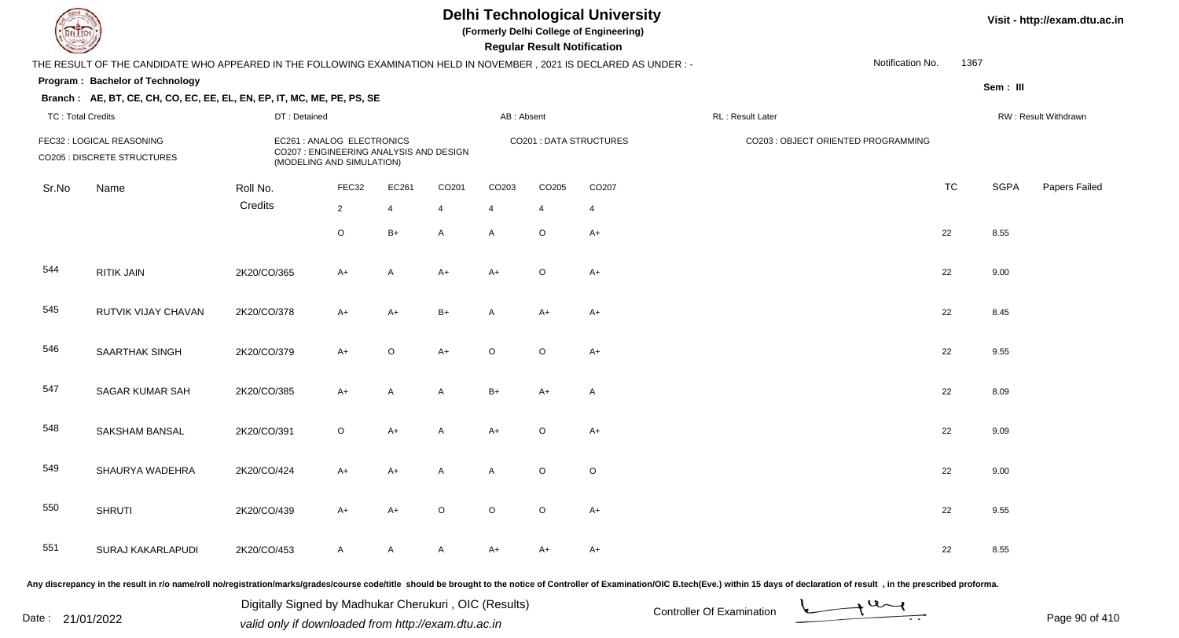**(Formerly Delhi College of Engineering)**

 **Regular Result Notification**

|                          | THE RESULT OF THE CANDIDATE WHO APPEARED IN THE FOLLOWING EXAMINATION HELD IN NOVEMBER, 2021 IS DECLARED AS UNDER :- |              |                                                                                                    |                |                |            |             |                         |                                     | Notification No. | 1367      |             |                      |
|--------------------------|----------------------------------------------------------------------------------------------------------------------|--------------|----------------------------------------------------------------------------------------------------|----------------|----------------|------------|-------------|-------------------------|-------------------------------------|------------------|-----------|-------------|----------------------|
|                          | Program: Bachelor of Technology                                                                                      |              |                                                                                                    |                |                |            |             |                         |                                     |                  |           | Sem : III   |                      |
| <b>TC: Total Credits</b> | Branch: AE, BT, CE, CH, CO, EC, EE, EL, EN, EP, IT, MC, ME, PE, PS, SE                                               | DT: Detained |                                                                                                    |                |                | AB: Absent |             |                         | RL: Result Later                    |                  |           |             | RW: Result Withdrawn |
|                          | FEC32 : LOGICAL REASONING<br><b>CO205 : DISCRETE STRUCTURES</b>                                                      |              | EC261 : ANALOG ELECTRONICS<br>CO207 : ENGINEERING ANALYSIS AND DESIGN<br>(MODELING AND SIMULATION) |                |                |            |             | CO201 : DATA STRUCTURES | CO203 : OBJECT ORIENTED PROGRAMMING |                  |           |             |                      |
| Sr.No                    | Name                                                                                                                 | Roll No.     | FEC32                                                                                              | EC261          | CO201          | CO203      | CO205       | CO207                   |                                     |                  | <b>TC</b> | <b>SGPA</b> | Papers Failec        |
|                          |                                                                                                                      | Credits      | $2^{\circ}$                                                                                        | $\overline{4}$ | $\overline{4}$ | 4          | 4           | $\overline{4}$          |                                     |                  |           |             |                      |
|                          |                                                                                                                      |              | $\circ$                                                                                            | $B+$           | A              | A          | $\circ$     | $A+$                    |                                     | 22               |           | 8.55        |                      |
| 544                      | <b>RITIK JAIN</b>                                                                                                    | 2K20/CO/365  | $A+$                                                                                               | A              | $A+$           | $A+$       | $\mathsf O$ | $A+$                    |                                     | 22               |           | 9.00        |                      |
| 545                      | RUTVIK VIJAY CHAVAN                                                                                                  | 2K20/CO/378  | $A+$                                                                                               | A+             | $B+$           | Α          | $A+$        | $A+$                    |                                     | 22               |           | 8.45        |                      |
| 546                      | <b>SAARTHAK SINGH</b>                                                                                                | 2K20/CO/379  | $A+$                                                                                               | $\circ$        | $A+$           | O          | $\circ$     | $A+$                    |                                     | 22               |           | 9.55        |                      |
| 547                      | SAGAR KUMAR SAH                                                                                                      | 2K20/CO/385  | $A+$                                                                                               | A              | A              | $B+$       | A+          | $\mathsf{A}$            |                                     | 22               |           | 8.09        |                      |
| 548                      | SAKSHAM BANSAL                                                                                                       | 2K20/CO/391  | $\circ$                                                                                            | $A+$           | A              | $A+$       | $\circ$     | $A+$                    |                                     | 22               |           | 9.09        |                      |
| 549                      | SHAURYA WADEHRA                                                                                                      | 2K20/CO/424  | $A+$                                                                                               | $A+$           | A              | A          | $\circ$     | $\circ$                 |                                     | 22               |           | 9.00        |                      |
| 550                      | <b>SHRUTI</b>                                                                                                        | 2K20/CO/439  | $A+$                                                                                               | $A+$           | $\mathsf O$    | $\circ$    | $\circ$     | $A+$                    |                                     | 22               |           | 9.55        |                      |
| 551                      | SURAJ KAKARLAPUDI                                                                                                    | 2K20/CO/453  | $\mathsf{A}$                                                                                       | A              | A              | $A+$       | A+          | $A+$                    |                                     | 22               |           | 8.55        |                      |

Any discrepancy in the result in r/o name/roll no/registration/marks/grades/course code/title should be brought to the notice of Controller of Examination/OIC B.tech(Eve.) within 15 days of declaration of result, in the pr

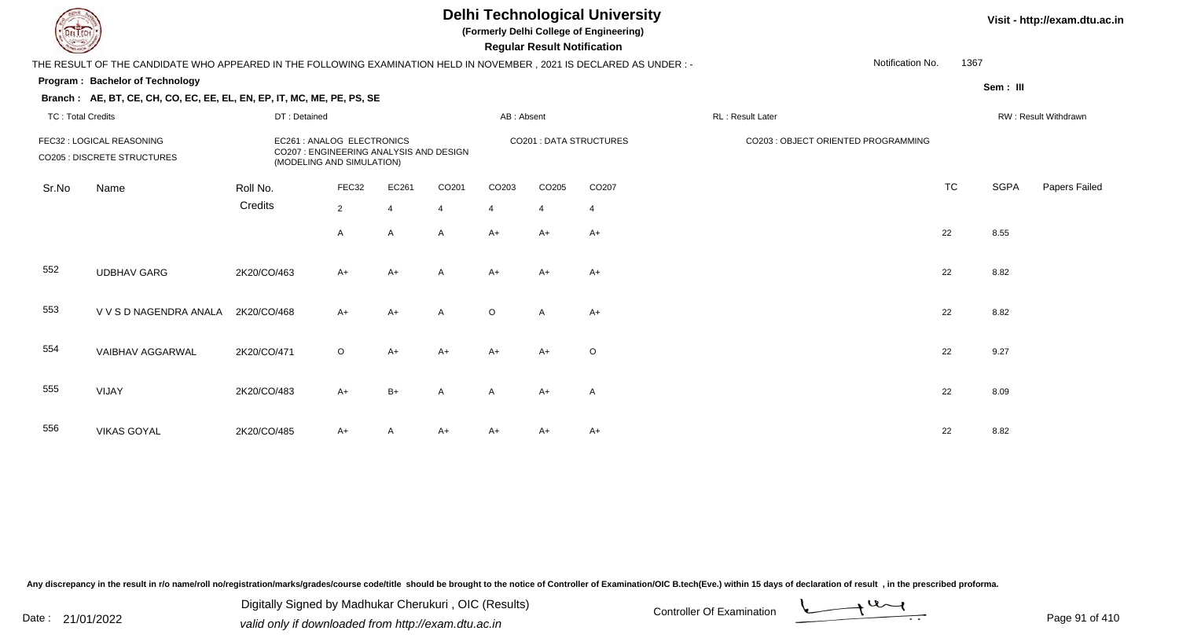**(Formerly Delhi College of Engineering)**

**Regular Regular Results Notification** 

#### **Visit - http://exam.dtu.ac.in**

| <b>Consultor of Charles</b> |                                                                                                                      |                                                                                                    |                |       |                |                | <b>Regular Result Notification</b> |                               |                                     |                  |           |             |                      |
|-----------------------------|----------------------------------------------------------------------------------------------------------------------|----------------------------------------------------------------------------------------------------|----------------|-------|----------------|----------------|------------------------------------|-------------------------------|-------------------------------------|------------------|-----------|-------------|----------------------|
|                             | THE RESULT OF THE CANDIDATE WHO APPEARED IN THE FOLLOWING EXAMINATION HELD IN NOVEMBER, 2021 IS DECLARED AS UNDER :- |                                                                                                    |                |       |                |                |                                    |                               |                                     | Notification No. | 1367      |             |                      |
|                             | <b>Program: Bachelor of Technology</b>                                                                               |                                                                                                    |                |       |                |                |                                    |                               |                                     |                  |           | Sem: III    |                      |
|                             | Branch: AE, BT, CE, CH, CO, EC, EE, EL, EN, EP, IT, MC, ME, PE, PS, SE                                               |                                                                                                    |                |       |                |                |                                    |                               |                                     |                  |           |             |                      |
| <b>TC: Total Credits</b>    |                                                                                                                      | DT: Detained                                                                                       |                |       |                | AB: Absent     |                                    |                               | RL: Result Later                    |                  |           |             | RW: Result Withdrawn |
|                             | FEC32 : LOGICAL REASONING<br><b>CO205 : DISCRETE STRUCTURES</b>                                                      | EC261 : ANALOG ELECTRONICS<br>CO207 : ENGINEERING ANALYSIS AND DESIGN<br>(MODELING AND SIMULATION) |                |       |                |                |                                    | <b>CO201: DATA STRUCTURES</b> | CO203 : OBJECT ORIENTED PROGRAMMING |                  |           |             |                      |
| Sr.No                       | Name                                                                                                                 | Roll No.                                                                                           | FEC32          | EC261 | CO201          | CO203          | CO205                              | CO207                         |                                     |                  | <b>TC</b> | <b>SGPA</b> | Papers Failec        |
|                             |                                                                                                                      | Credits                                                                                            | $\overline{2}$ | 4     | $\overline{4}$ | $\overline{4}$ | $\overline{4}$                     | $\overline{4}$                |                                     |                  |           |             |                      |
|                             |                                                                                                                      |                                                                                                    | A              | A     | A              | $A+$           | $A+$                               | $A+$                          |                                     |                  | 22        | 8.55        |                      |
| 552                         | <b>UDBHAV GARG</b>                                                                                                   | 2K20/CO/463                                                                                        | $A+$           | $A+$  | A              | $A+$           | $A+$                               | $A+$                          |                                     |                  | 22        | 8.82        |                      |
| 553                         | V V S D NAGENDRA ANALA                                                                                               | 2K20/CO/468                                                                                        | $A+$           | $A+$  | A              | $\circ$        | $\mathsf{A}$                       | $A+$                          |                                     |                  | 22        | 8.82        |                      |
| 554                         | VAIBHAV AGGARWAL                                                                                                     | 2K20/CO/471                                                                                        | $\circ$        | A+    | $A+$           | $A+$           | A+                                 | $\circ$                       |                                     |                  | 22        | 9.27        |                      |
| 555                         | VIJAY                                                                                                                | 2K20/CO/483                                                                                        | $A+$           | $B+$  | A              | A              | $A+$                               | $\mathsf{A}$                  |                                     |                  | 22        | 8.09        |                      |
| 556                         | <b>VIKAS GOYAL</b>                                                                                                   | 2K20/CO/485                                                                                        | $A+$           |       | $A+$           | $A+$           | A+                                 | $A+$                          |                                     |                  | 22        | 8.82        |                      |

Any discrepancy in the result in r/o name/roll no/registration/marks/grades/course code/title should be brought to the notice of Controller of Examination/OIC B.tech(Eve.) within 15 days of declaration of result, in the pr

Digitally Signed by Madhukar Cherukuri, OIC (Results)<br>Date : 21/01/2022 valid only if downloaded from http://oxam.dtu.ac.in Digitally Signed by Madhukar Cherukuri , OIC (Results)valid only if downloaded from http://exam.dtu.ac.in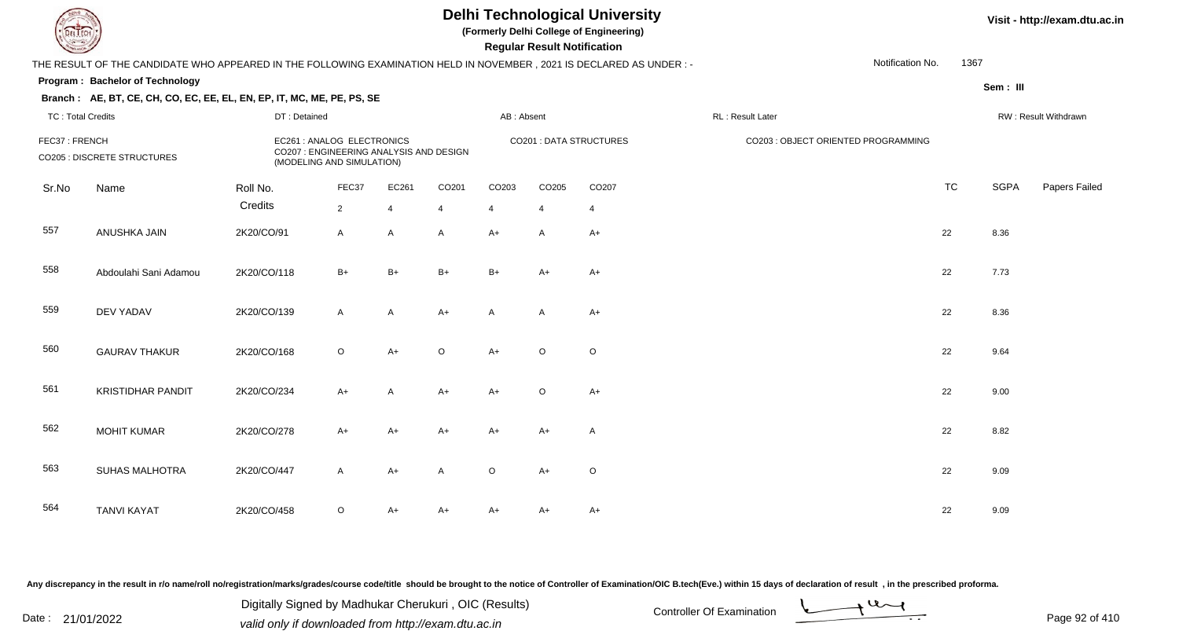**(Formerly Delhi College of Engineering)**

 **Regular Result Notification**

#### **Visit - http://exam.dtu.ac.in**

**Program : Bachelor of TechnologySem : III Branch : AE, BT, CE, CH, CO, EC, EE, EL, EN, EP, IT, MC, ME, PE, PS, SE**THE RESULT OF THE CANDIDATE WHO APPEARED IN THE FOLLOWING EXAMINATION HELD IN NOVEMBER , 2021 IS DECLARED AS UNDER : -TC : Total Credits DT : Detainedd AB : Absent RL : Result Later RW : Result Withdrawn Notification No. 1367Sr.NoName Roll No. **Credits** FEC37 : FRENCH EC261 : ANALOG ELECTRONICS CO201 : DATA STRUCTURES CO203 : OBJECT ORIENTED PROGRAMMINGCO205 : DISCRETE STRUCTURES CO207 : ENGINEERING ANALYSIS AND DESIGN (MODELING AND SIMULATION)FEC37 EC261 CO201 CO203 CO205 CO207 TCTC SGPA Papers Failed 22 4 4 4 4 4 557 ANUSHKA JAINN 2K20/CO/91 A A A A+ A A+ A C+ 22 8.36 558 Abdoulahi Sani Adamouu 2K20/CO/118 B+ B+ B+ B+ A+ A+ A+ 559 DEV YADAVV 2K20/CO/139 A A A+ A A A+ A A+ 22 8.36 560 GAURAV THAKURR 2K20/CO/168 O A+ O A+ O O 561 KRISTIDHAR PANDIT 2K20/CO/234 A+ <sup>A</sup> A+ A+ <sup>O</sup> $A_{+}$  22 9.00 562 MOHIT KUMARR 2K20/CO/278 A+ A+ A+ A+ A+ A+ A+ A 22 8.82 563 SUHAS MALHOTRAA 2K20/CO/447 A A+ A O A+ O 564 TANVI KAYAT 2K20/CO/458 <sup>O</sup>A+ A+ A+ A+ A+ <sup>22</sup> 9.09

Any discrepancy in the result in r/o name/roll no/registration/marks/grades/course code/title should be brought to the notice of Controller of Examination/OIC B.tech(Eve.) within 15 days of declaration of result , in the p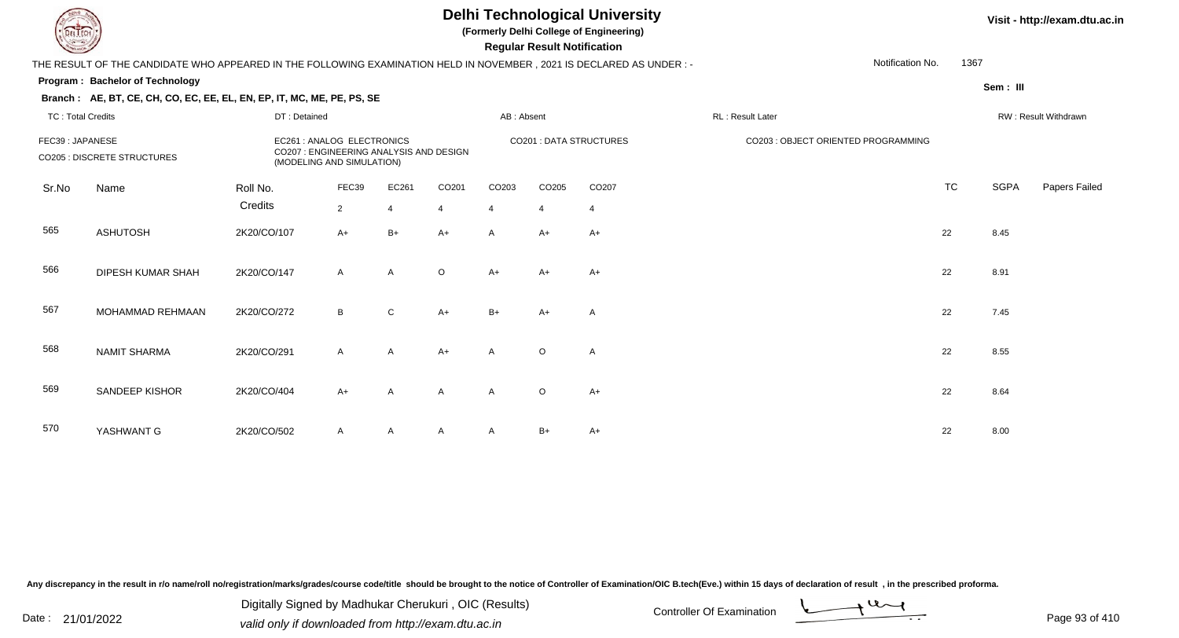**(Formerly Delhi College of Engineering)**

 **Regular Result Notification**

#### **Visit - http://exam.dtu.ac.in**

|       | THE RESULT OF THE CANDIDATE WHO APPEARED IN THE FOLLOWING EXAMINATION HELD IN NOVEMBER, 2021 IS DECLARED AS UNDER:-<br>Program: Bachelor of Technology |                                                                                   |                |                       |                                                                                                                                   |                                         |                |                |                                     |           |             |                      |
|-------|--------------------------------------------------------------------------------------------------------------------------------------------------------|-----------------------------------------------------------------------------------|----------------|-----------------------|-----------------------------------------------------------------------------------------------------------------------------------|-----------------------------------------|----------------|----------------|-------------------------------------|-----------|-------------|----------------------|
|       |                                                                                                                                                        |                                                                                   |                |                       |                                                                                                                                   |                                         |                |                | Notification No.                    | 1367      |             |                      |
|       |                                                                                                                                                        |                                                                                   |                |                       |                                                                                                                                   |                                         |                |                |                                     |           | Sem: III    |                      |
|       |                                                                                                                                                        |                                                                                   |                |                       |                                                                                                                                   |                                         |                |                |                                     |           |             |                      |
|       |                                                                                                                                                        |                                                                                   |                |                       |                                                                                                                                   |                                         |                |                | RL: Result Later                    |           |             | RW: Result Withdrawn |
|       |                                                                                                                                                        |                                                                                   |                |                       |                                                                                                                                   |                                         |                |                | CO203 : OBJECT ORIENTED PROGRAMMING |           |             |                      |
| Sr.No | Name                                                                                                                                                   | Roll No.                                                                          | FEC39          | EC261                 | CO201                                                                                                                             | CO203                                   | CO205          | CO207          |                                     | <b>TC</b> | <b>SGPA</b> | Papers Failec        |
|       |                                                                                                                                                        | Credits                                                                           | $\overline{2}$ | $\boldsymbol{\Delta}$ | $\overline{4}$                                                                                                                    | $\overline{4}$                          | $\overline{4}$ | $\overline{4}$ |                                     |           |             |                      |
| 565   | <b>ASHUTOSH</b>                                                                                                                                        | 2K20/CO/107                                                                       | $A+$           | $B+$                  | $A+$                                                                                                                              | $\mathsf{A}$                            | A+             | $A+$           |                                     | 22        | 8.45        |                      |
| 566   | <b>DIPESH KUMAR SHAH</b>                                                                                                                               | 2K20/CO/147                                                                       | $\mathsf{A}$   | $\overline{A}$        | $\circ$                                                                                                                           | $A+$                                    | A+             | $A+$           |                                     | 22        | 8.91        |                      |
| 567   | MOHAMMAD REHMAAN                                                                                                                                       | 2K20/CO/272                                                                       | B              | $\mathsf{C}$          | $A+$                                                                                                                              | $B+$                                    | A+             | A              |                                     | 22        | 7.45        |                      |
| 568   | <b>NAMIT SHARMA</b>                                                                                                                                    | 2K20/CO/291                                                                       | $\mathsf{A}$   | A                     | $A+$                                                                                                                              | $\overline{A}$                          | $\circ$        | A              |                                     | 22        | 8.55        |                      |
| 569   | SANDEEP KISHOR                                                                                                                                         | 2K20/CO/404                                                                       | $A+$           | $\mathsf{A}$          | $\mathsf{A}$                                                                                                                      | A                                       | $\circ$        | $A+$           |                                     | 22        | 8.64        |                      |
| 570   | YASHWANT G                                                                                                                                             | 2K20/CO/502                                                                       | $\mathsf{A}$   | $\mathsf{A}$          | $\mathsf{A}$                                                                                                                      | A                                       | $B+$           | $A+$           |                                     | 22        | 8.00        |                      |
|       |                                                                                                                                                        | <b>TC: Total Credits</b><br>FEC39: JAPANESE<br><b>CO205 : DISCRETE STRUCTURES</b> |                | DT: Detained          | Branch: AE, BT, CE, CH, CO, EC, EE, EL, EN, EP, IT, MC, ME, PE, PS, SE<br>EC261 : ANALOG ELECTRONICS<br>(MODELING AND SIMULATION) | CO207 : ENGINEERING ANALYSIS AND DESIGN |                | AB: Absent     | <b>CO201: DATA STRUCTURES</b>       |           |             |                      |

Any discrepancy in the result in r/o name/roll no/registration/marks/grades/course code/title should be brought to the notice of Controller of Examination/OIC B.tech(Eve.) within 15 days of declaration of result, in the pr

Date : 21/01/2022 Digital Digital of Microsofted Controller Of Examination Determination Page 93 of 41 Digitally Signed by Madhukar Cherukuri , OIC (Results)

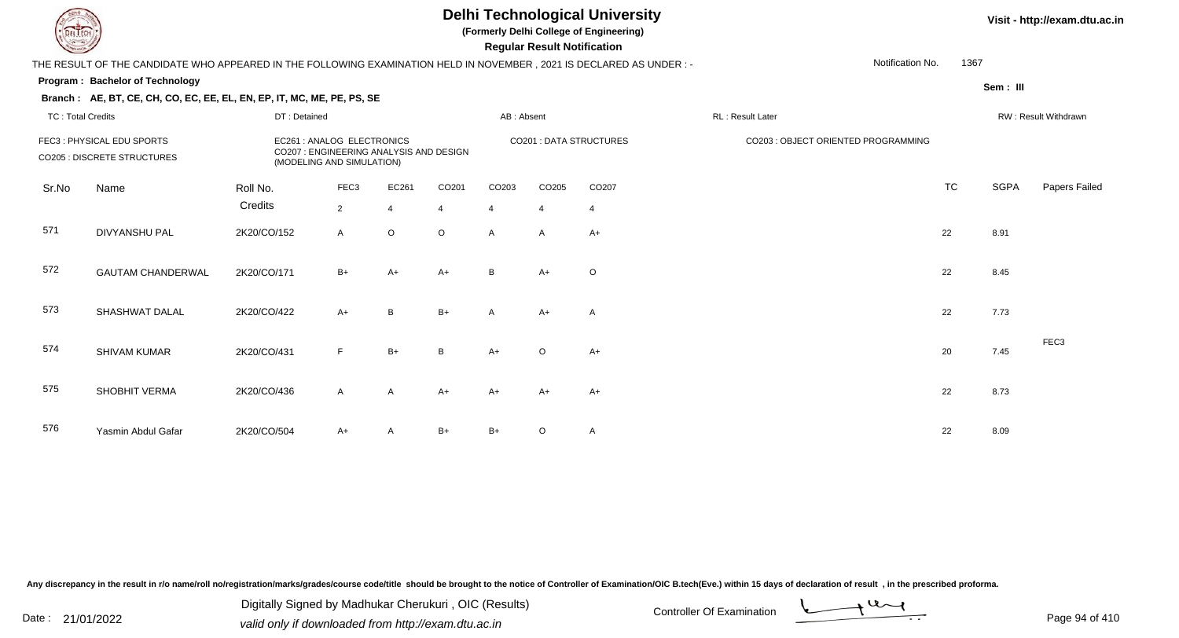**(Formerly Delhi College of Engineering)**

 **Regular Result Notification**

#### **Visit - http://exam.dtu.ac.in**

| <b>Courses A</b>         |                                                                                                                      |              |                                                         |                                         |                |                | Regular Result Notification |                         |                                     |                  |           |             |                      |
|--------------------------|----------------------------------------------------------------------------------------------------------------------|--------------|---------------------------------------------------------|-----------------------------------------|----------------|----------------|-----------------------------|-------------------------|-------------------------------------|------------------|-----------|-------------|----------------------|
|                          | THE RESULT OF THE CANDIDATE WHO APPEARED IN THE FOLLOWING EXAMINATION HELD IN NOVEMBER, 2021 IS DECLARED AS UNDER :- |              |                                                         |                                         |                |                |                             |                         |                                     | Notification No. | 1367      |             |                      |
|                          | <b>Program: Bachelor of Technology</b>                                                                               |              |                                                         |                                         |                |                |                             |                         |                                     |                  |           | Sem: III    |                      |
|                          | Branch: AE, BT, CE, CH, CO, EC, EE, EL, EN, EP, IT, MC, ME, PE, PS, SE                                               |              |                                                         |                                         |                |                |                             |                         |                                     |                  |           |             |                      |
| <b>TC: Total Credits</b> |                                                                                                                      | DT: Detained |                                                         |                                         |                | AB: Absent     |                             |                         | RL: Result Later                    |                  |           |             | RW: Result Withdrawn |
|                          | FEC3: PHYSICAL EDU SPORTS<br>CO205 : DISCRETE STRUCTURES                                                             |              | EC261 : ANALOG ELECTRONICS<br>(MODELING AND SIMULATION) | CO207 : ENGINEERING ANALYSIS AND DESIGN |                |                |                             | CO201 : DATA STRUCTURES | CO203 : OBJECT ORIENTED PROGRAMMING |                  |           |             |                      |
| Sr.No                    | Name                                                                                                                 | Roll No.     | FEC3                                                    | EC261                                   | CO201          | CO203          | CO205                       | CO207                   |                                     |                  | <b>TC</b> | <b>SGPA</b> | Papers Failec        |
|                          |                                                                                                                      | Credits      | $\overline{2}$                                          | $\overline{4}$                          | $\overline{4}$ | $\overline{4}$ | 4                           | $\overline{4}$          |                                     |                  |           |             |                      |
| 571                      | <b>DIVYANSHU PAL</b>                                                                                                 | 2K20/CO/152  | $\mathsf{A}$                                            | $\circ$                                 | $\mathsf O$    | A              | A                           | $A+$                    |                                     |                  | 22        | 8.91        |                      |
| 572                      | <b>GAUTAM CHANDERWAL</b>                                                                                             | 2K20/CO/171  | $B+$                                                    | A+                                      | $A+$           | B              | $A+$                        | $\circ$                 |                                     |                  | 22        | 8.45        |                      |
| 573                      | <b>SHASHWAT DALAL</b>                                                                                                | 2K20/CO/422  | $A+$                                                    | B                                       | $B+$           | A              | $A+$                        | A                       |                                     |                  | 22        | 7.73        |                      |
| 574                      | <b>SHIVAM KUMAR</b>                                                                                                  | 2K20/CO/431  | F                                                       | $B+$                                    | B              | $A+$           | $\circ$                     | $A+$                    |                                     |                  | 20        | 7.45        | FEC <sub>3</sub>     |
| 575                      | SHOBHIT VERMA                                                                                                        | 2K20/CO/436  | $\mathsf{A}$                                            | A                                       | $A+$           | $A+$           | $A+$                        | $A+$                    |                                     |                  | 22        | 8.73        |                      |
| 576                      | Yasmin Abdul Gafar                                                                                                   | 2K20/CO/504  | $A+$                                                    |                                         | $B+$           | $B+$           | $\circ$                     | A                       |                                     |                  | 22        | 8.09        |                      |
|                          |                                                                                                                      |              |                                                         |                                         |                |                |                             |                         |                                     |                  |           |             |                      |

Any discrepancy in the result in r/o name/roll no/registration/marks/grades/course code/title should be brought to the notice of Controller of Examination/OIC B.tech(Eve.) within 15 days of declaration of result, in the pr

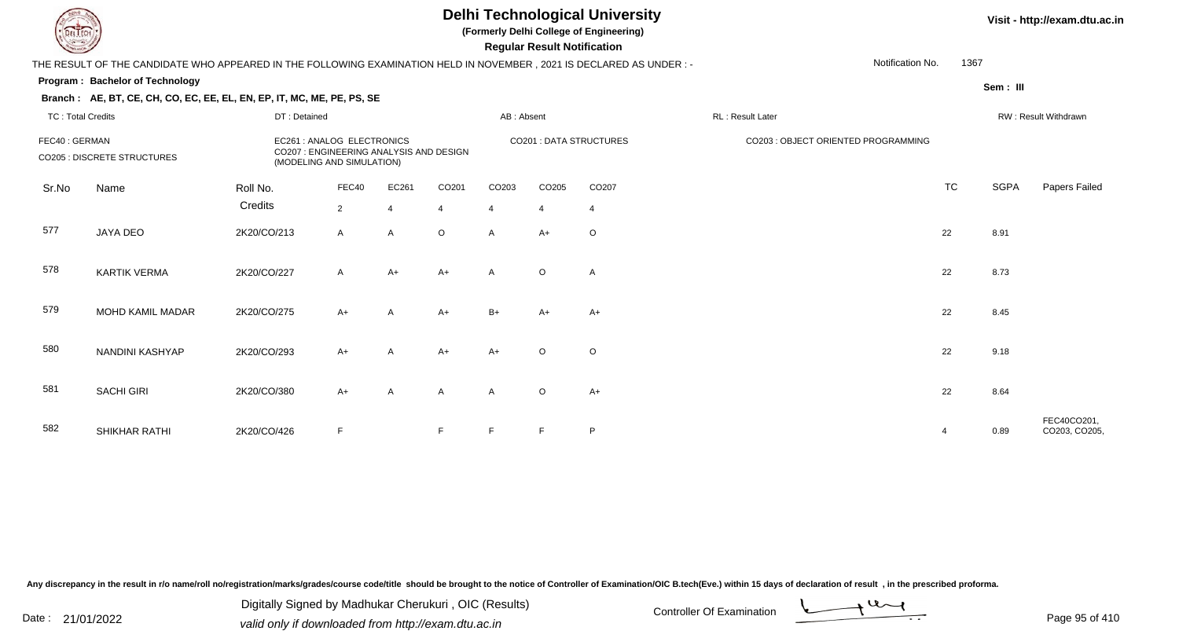**(Formerly Delhi College of Engineering)**

 **Regular Result Notification**

#### **Visit - http://exam.dtu.ac.in**

THE RESULT OF THE CANDIDATE WHO APPEARED IN THE FOLLOWING EXAMINATION HELD IN NOVEMBER , 2021 IS DECLARED AS UNDER : -Notification No.1367

#### **Program : Bachelor of Technology**

**Branch : AE, BT, CE, CH, CO, EC, EE, EL, EN, EP, IT, MC, ME, PE, PS, SE**

**Sem : III**

#### TC : Total Credits DT : Detainedd AB : Absent RL : Result Later RW : Result Withdrawn Sr.NoName Roll No. **Credits** FEC40 : GERMAN EC261 : ANALOG ELECTRONICS CO201 : DATA STRUCTURES CO203 : OBJECT ORIENTED PROGRAMMINGCO205 : DISCRETE STRUCTURES CO207 : ENGINEERING ANALYSIS AND DESIGN (MODELING AND SIMULATION)FEC400 EC261 CO201 CO203 CO205 CO207 CO207 CO207 CO207 CO207 CO207 CO207 CO207 CO207 CO TC SGPA Papers Failed 22 4 4 4 4 4 577 JAYA DEOO 2K20/CO/213 A A O A A+ O 22 8.91 578 KARTIK VERMAA 2K20/CO/227 A A+ A+ A O A 579 MOHD KAMIL MADARR 2K20/CO/275 A+ A A+ B+ A+ A+ A+ 580 NANDINI KASHYAPP 2K20/CO/293 A+ A A+ A+ O O 581SACHI GIRI 2K20/CO/380 0 A+ A A A A O  $O$  A+ 22 8.64 582SHIKHAR RATHI 2K20/CO/426 <sup>F</sup> <sup>F</sup> <sup>F</sup> <sup>F</sup> <sup>P</sup> <sup>4</sup> 0.89 FEC40CO201, CO203, CO205,

Any discrepancy in the result in r/o name/roll no/registration/marks/grades/course code/title should be brought to the notice of Controller of Examination/OIC B.tech(Eve.) within 15 days of declaration of result , in the p

Date : 21/01/2022 Digital Digital of Microsofted Chemical Controller Of Examination Determination Page 95 of 41 Digitally Signed by Madhukar Cherukuri , OIC (Results)

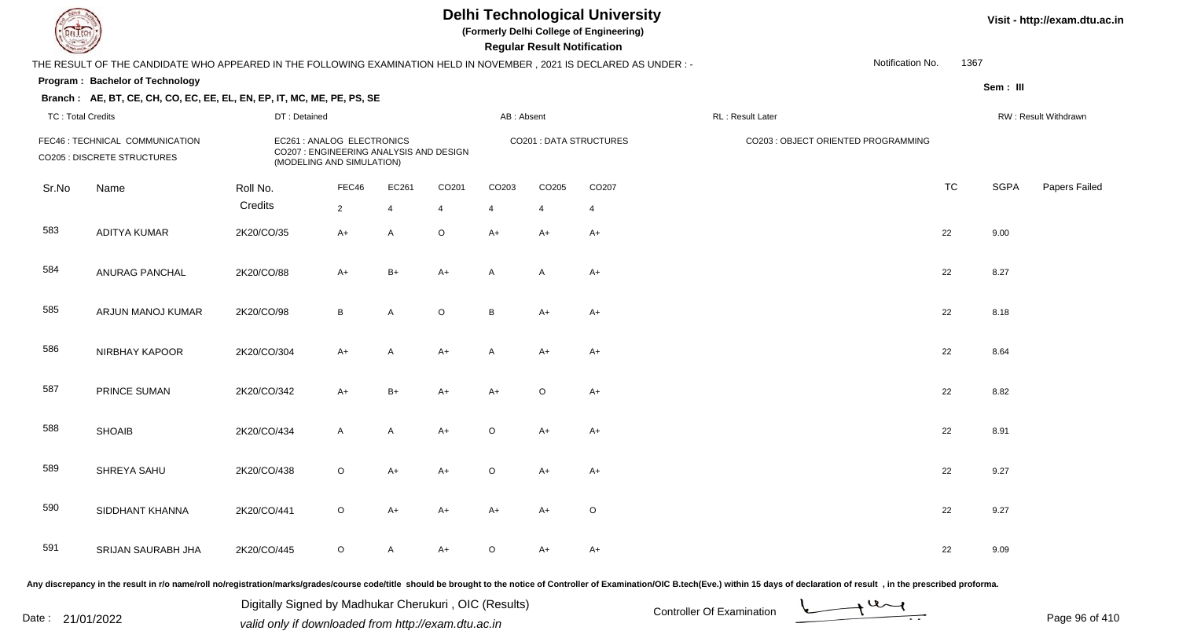**(Formerly Delhi College of Engineering)**

 **Regular Result Notification**

**Visit - http://exam.dtu.ac.in**

| <b>Courses and Comments</b> |                                                                                                                     |                                                                                                                    |                                                                                                    |                                                                                                                                                                                                                                |                |                                     | Regular Result Notification         |                         |                                                                                                                                                                                                                                |                          |             |                      |
|-----------------------------|---------------------------------------------------------------------------------------------------------------------|--------------------------------------------------------------------------------------------------------------------|----------------------------------------------------------------------------------------------------|--------------------------------------------------------------------------------------------------------------------------------------------------------------------------------------------------------------------------------|----------------|-------------------------------------|-------------------------------------|-------------------------|--------------------------------------------------------------------------------------------------------------------------------------------------------------------------------------------------------------------------------|--------------------------|-------------|----------------------|
|                             | THE RESULT OF THE CANDIDATE WHO APPEARED IN THE FOLLOWING EXAMINATION HELD IN NOVEMBER, 2021 IS DECLARED AS UNDER:- |                                                                                                                    |                                                                                                    |                                                                                                                                                                                                                                |                |                                     |                                     |                         |                                                                                                                                                                                                                                | 1367<br>Notification No. |             |                      |
|                             | Program: Bachelor of Technology                                                                                     |                                                                                                                    |                                                                                                    |                                                                                                                                                                                                                                |                |                                     |                                     |                         |                                                                                                                                                                                                                                |                          | Sem: III    |                      |
|                             | Branch: AE, BT, CE, CH, CO, EC, EE, EL, EN, EP, IT, MC, ME, PE, PS, SE                                              |                                                                                                                    |                                                                                                    |                                                                                                                                                                                                                                |                |                                     |                                     |                         |                                                                                                                                                                                                                                |                          |             |                      |
| <b>TC: Total Credits</b>    |                                                                                                                     | DT: Detained                                                                                                       |                                                                                                    |                                                                                                                                                                                                                                |                | AB: Absent                          |                                     |                         | RL: Result Later                                                                                                                                                                                                               |                          |             | RW: Result Withdrawn |
|                             | FEC46 : TECHNICAL COMMUNICATION<br>CO205 : DISCRETE STRUCTURES                                                      |                                                                                                                    | EC261 : ANALOG ELECTRONICS<br>CO207 : ENGINEERING ANALYSIS AND DESIGN<br>(MODELING AND SIMULATION) |                                                                                                                                                                                                                                |                |                                     |                                     | CO201 : DATA STRUCTURES | CO203 : OBJECT ORIENTED PROGRAMMING                                                                                                                                                                                            |                          |             |                      |
| Sr.No                       | Name                                                                                                                | Roll No.                                                                                                           | FEC46                                                                                              | EC261                                                                                                                                                                                                                          | CO201          | CO203                               | CO205                               | CO207                   |                                                                                                                                                                                                                                | <b>TC</b>                | <b>SGPA</b> | Papers Failed        |
|                             |                                                                                                                     | Credits                                                                                                            | $\overline{2}$                                                                                     | $\overline{4}$                                                                                                                                                                                                                 | $\overline{4}$ | $\overline{4}$                      | $\overline{4}$                      | $\overline{4}$          |                                                                                                                                                                                                                                |                          |             |                      |
| 583                         | <b>ADITYA KUMAR</b>                                                                                                 | 2K20/CO/35                                                                                                         | $A+$                                                                                               | $\mathsf{A}$                                                                                                                                                                                                                   | $\circ$        | $A+$                                | $A+$                                | $A+$                    |                                                                                                                                                                                                                                | 22                       | 9.00        |                      |
| 584                         | ANURAG PANCHAL                                                                                                      | 2K20/CO/88                                                                                                         | $A+$                                                                                               | $B+$                                                                                                                                                                                                                           | $A+$           | A                                   | A                                   | $A+$                    |                                                                                                                                                                                                                                | 22                       | 8.27        |                      |
| 585                         | ARJUN MANOJ KUMAR                                                                                                   | 2K20/CO/98                                                                                                         | B                                                                                                  | A                                                                                                                                                                                                                              | $\circ$        | B                                   | $A+$                                | $A+$                    |                                                                                                                                                                                                                                | 22                       | 8.18        |                      |
| 586                         | NIRBHAY KAPOOR                                                                                                      | 2K20/CO/304                                                                                                        | $A+$                                                                                               | A                                                                                                                                                                                                                              | $A+$           | A                                   | $A+$                                | $A+$                    |                                                                                                                                                                                                                                | 22                       | 8.64        |                      |
| 587                         | <b>PRINCE SUMAN</b>                                                                                                 | 2K20/CO/342                                                                                                        | $A+$                                                                                               | $B+$                                                                                                                                                                                                                           | $A+$           | $A+$                                | $\circ$                             | $A+$                    |                                                                                                                                                                                                                                | 22                       | 8.82        |                      |
| 588                         | <b>SHOAIB</b>                                                                                                       | 2K20/CO/434                                                                                                        | $\mathsf{A}$                                                                                       | A                                                                                                                                                                                                                              | $A+$           | O                                   | A+                                  | $A+$                    |                                                                                                                                                                                                                                | 22                       | 8.91        |                      |
| 589                         | SHREYA SAHU                                                                                                         | 2K20/CO/438                                                                                                        | $\circ$                                                                                            | $A+$                                                                                                                                                                                                                           | $A+$           | $\circ$                             | $A+$                                | $A+$                    |                                                                                                                                                                                                                                | 22                       | 9.27        |                      |
| 590                         | SIDDHANT KHANNA                                                                                                     | 2K20/CO/441                                                                                                        | $\circ$                                                                                            | $A+$                                                                                                                                                                                                                           | $A+$           | $A+$                                | $A+$                                | $\circ$                 |                                                                                                                                                                                                                                | 22                       | 9.27        |                      |
| 591                         | SRIJAN SAURABH JHA                                                                                                  | 2K20/CO/445                                                                                                        | $\circ$                                                                                            | A                                                                                                                                                                                                                              | $A+$           | $\circ$                             | $A+$                                | $A+$                    |                                                                                                                                                                                                                                | 22                       | 9.09        |                      |
|                             | the contract of the contract of<br>the company's company's company's                                                | in the contract of the contract of the contract of the contract of the contract of the contract of the contract of |                                                                                                    | the second contract the second contract of the second contract of the second contract of the second contract of the second contract of the second contract of the second contract of the second contract of the second contrac |                | the contract of the contract of the | the contract of the contract of the |                         | in a constitution of the contract of the contract of the contract of the contract of the contract of the contract of the contract of the contract of the contract of the contract of the contract of the contract of the contr |                          |             |                      |

Any discrepancy in the result in r/o name/roll no/registration/marks/grades/course code/title should be brought to the notice of Controller of Examination/OIC B.tech(Eve.) within 15 days of declaration of result , in the p

Date : 21/01/2022 Digital Digital of Microsofted Chemical Controller Of Examination Determination Page 96 of 41 Digitally Signed by Madhukar Cherukuri , OIC (Results)

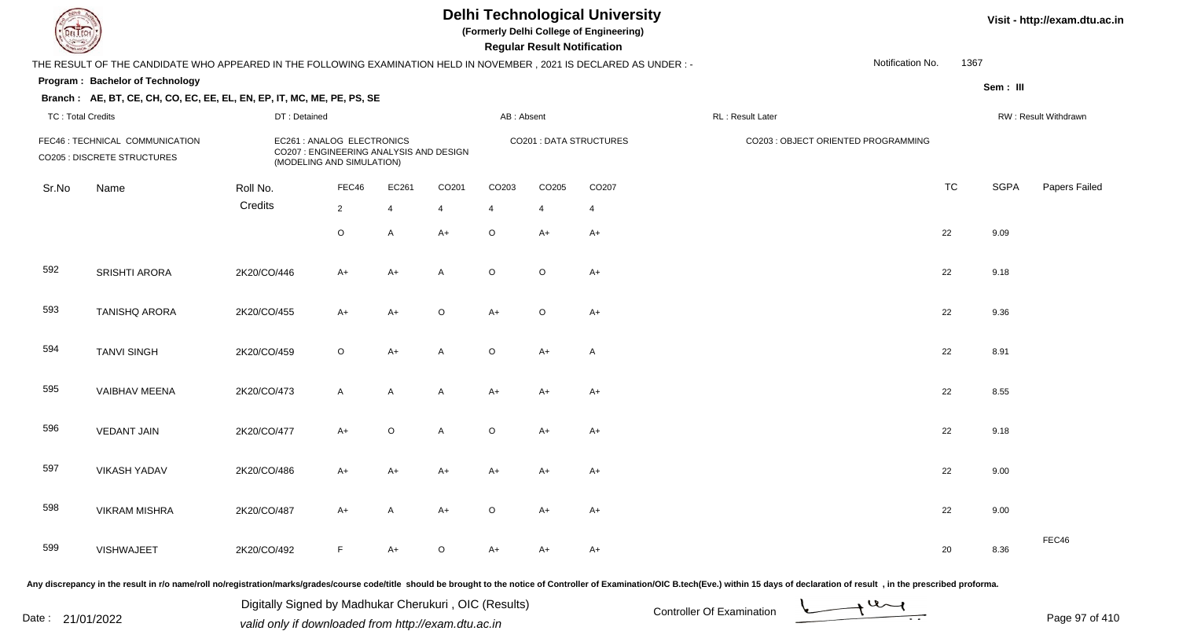**(Formerly Delhi College of Engineering)**

 **Regular Result Notification**

**Visit - http://exam.dtu.ac.in**

| <b>Courses Lines</b>     |                                                                                                                      |                                                                                                                   |                                                                                                   |                |                |            | <b>Regular Result Notification</b> |                                |                                                                                                                |                  |             |                      |
|--------------------------|----------------------------------------------------------------------------------------------------------------------|-------------------------------------------------------------------------------------------------------------------|---------------------------------------------------------------------------------------------------|----------------|----------------|------------|------------------------------------|--------------------------------|----------------------------------------------------------------------------------------------------------------|------------------|-------------|----------------------|
|                          | THE RESULT OF THE CANDIDATE WHO APPEARED IN THE FOLLOWING EXAMINATION HELD IN NOVEMBER, 2021 IS DECLARED AS UNDER :- |                                                                                                                   |                                                                                                   |                |                |            |                                    |                                |                                                                                                                | Notification No. | 1367        |                      |
|                          | <b>Program: Bachelor of Technology</b>                                                                               |                                                                                                                   |                                                                                                   |                |                |            |                                    |                                |                                                                                                                |                  | Sem: III    |                      |
|                          | Branch: AE, BT, CE, CH, CO, EC, EE, EL, EN, EP, IT, MC, ME, PE, PS, SE                                               |                                                                                                                   |                                                                                                   |                |                |            |                                    |                                |                                                                                                                |                  |             |                      |
| <b>TC: Total Credits</b> |                                                                                                                      | DT: Detained                                                                                                      |                                                                                                   |                |                | AB: Absent |                                    |                                | RL : Result Later                                                                                              |                  |             | RW: Result Withdrawn |
|                          | FEC46 : TECHNICAL COMMUNICATION<br>CO205 : DISCRETE STRUCTURES                                                       |                                                                                                                   | EC261: ANALOG ELECTRONICS<br>CO207 : ENGINEERING ANALYSIS AND DESIGN<br>(MODELING AND SIMULATION) |                |                |            |                                    | <b>CO201 : DATA STRUCTURES</b> | CO203 : OBJECT ORIENTED PROGRAMMING                                                                            |                  |             |                      |
| Sr.No                    | Name                                                                                                                 | Roll No.                                                                                                          | FEC46                                                                                             | EC261          | CO201          | CO203      | CO205                              | CO207                          |                                                                                                                | <b>TC</b>        | <b>SGPA</b> | Papers Failed        |
|                          |                                                                                                                      | Credits                                                                                                           | $\overline{2}$                                                                                    | $\overline{4}$ | $\overline{4}$ | 4          | 4                                  | 4                              |                                                                                                                |                  |             |                      |
|                          |                                                                                                                      |                                                                                                                   | $\circ$                                                                                           | A              | $A+$           | $\circ$    | $A+$                               | $A+$                           |                                                                                                                | 22               | 9.09        |                      |
| 592                      | SRISHTI ARORA                                                                                                        | 2K20/CO/446                                                                                                       | $A+$                                                                                              | $A+$           | A              | $\circ$    | $\circ$                            | $A+$                           |                                                                                                                | 22               | 9.18        |                      |
| 593                      | <b>TANISHQ ARORA</b>                                                                                                 | 2K20/CO/455                                                                                                       | $A+$                                                                                              | $A+$           | $\circ$        | $A+$       | $\circ$                            | $A+$                           |                                                                                                                | 22               | 9.36        |                      |
| 594                      | <b>TANVI SINGH</b>                                                                                                   | 2K20/CO/459                                                                                                       | $\circ$                                                                                           | $A+$           | A              | $\circ$    | $A+$                               | $\mathsf{A}$                   |                                                                                                                | 22               | 8.91        |                      |
| 595                      | VAIBHAV MEENA                                                                                                        | 2K20/CO/473                                                                                                       | $\mathsf{A}$                                                                                      | $\mathsf{A}$   | A              | A+         | $A+$                               | $A+$                           |                                                                                                                | 22               | 8.55        |                      |
| 596                      | <b>VEDANT JAIN</b>                                                                                                   | 2K20/CO/477                                                                                                       | $A+$                                                                                              | $\circ$        | $\overline{A}$ | $\circ$    | $A+$                               | A+                             |                                                                                                                | 22               | 9.18        |                      |
| 597                      | <b>VIKASH YADAV</b>                                                                                                  | 2K20/CO/486                                                                                                       | $A+$                                                                                              | $A+$           | $A+$           | $A+$       | $A+$                               | A+                             |                                                                                                                | 22               | 9.00        |                      |
| 598                      | <b>VIKRAM MISHRA</b>                                                                                                 | 2K20/CO/487                                                                                                       | $A+$                                                                                              | $\mathsf{A}$   | $A+$           | $\circ$    | $A+$                               | $A+$                           |                                                                                                                | 22               | 9.00        |                      |
| 599                      | <b>VISHWAJEET</b>                                                                                                    | 2K20/CO/492                                                                                                       | F                                                                                                 | $A+$           | $\circ$        | $A+$       | A+                                 | A+                             |                                                                                                                | 20               | 8.36        | FEC46                |
|                          | the company of the company of<br>the contract of the contract of the                                                 | state and the state of the state of the state of the state of the state of the state of the state of the state of |                                                                                                   | .              |                |            |                                    |                                | in a comparation of the comparative control of the comparative control of the comparative control of the compa |                  |             |                      |

Any discrepancy in the result in r/o name/roll no/registration/marks/grades/course code/title should be brought to the notice of Controller of Examination/OIC B.tech(Eve.) within 15 days of declaration of result , in the p

Date : 21/01/2022 Digital Digital of Microsofted Chemical Controller Of Examination Determination Page 97 of 41 Digitally Signed by Madhukar Cherukuri , OIC (Results)

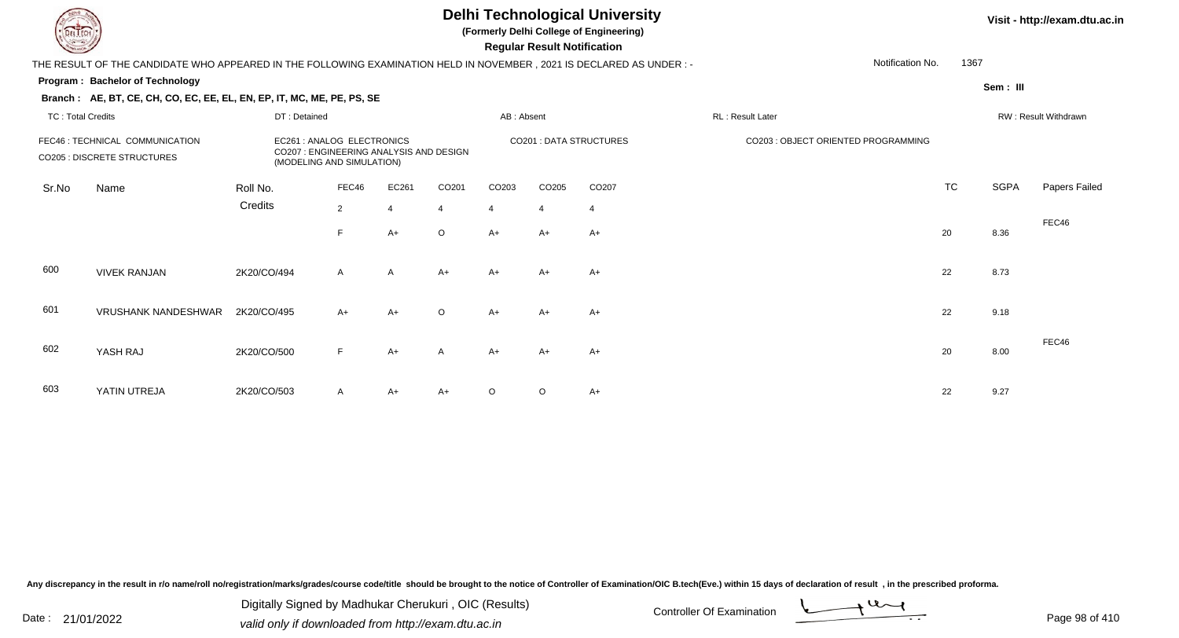TC : Total Credits

#### **Delhi Technological University**

**(Formerly Delhi College of Engineering)**

 **Regular Result Notification**

#### **Visit - http://exam.dtu.ac.in**

THE RESULT OF THE CANDIDATE WHO APPEARED IN THE FOLLOWING EXAMINATION HELD IN NOVEMBER , 2021 IS DECLARED AS UNDER : -Notification No.

#### **Program : Bachelor of Technology**

**Branch : AE, BT, CE, CH, CO, EC, EE, EL, EN, EP, IT, MC, ME, PE, PS, SE**

DT : Detained

1367

# **Sem : III** d AB : Absent RL : Result Later RW : Result Withdrawn

|       | FEC46 : TECHNICAL COMMUNICATION<br><b>CO205 : DISCRETE STRUCTURES</b> | EC261 : ANALOG ELECTRONICS<br>CO207 : ENGINEERING ANALYSIS AND DESIGN<br>(MODELING AND SIMULATION) |                |                |                |                |                   | <b>CO201 : DATA STRUCTURES</b> | CO203 : OBJECT ORIENTED PROGRAMMING |           |             |               |
|-------|-----------------------------------------------------------------------|----------------------------------------------------------------------------------------------------|----------------|----------------|----------------|----------------|-------------------|--------------------------------|-------------------------------------|-----------|-------------|---------------|
| Sr.No | Name                                                                  | Roll No.                                                                                           | FEC46          | EC261          | CO201          | CO203          | CO <sub>205</sub> | CO207                          |                                     | <b>TC</b> | <b>SGPA</b> | Papers Failed |
|       |                                                                       | Credits                                                                                            | $\overline{2}$ | $\overline{4}$ | $\overline{4}$ | $\overline{4}$ | $\overline{4}$    | $\overline{4}$                 |                                     |           |             |               |
|       |                                                                       |                                                                                                    | F              | A+             | $\circ$        | $A+$           | $A+$              | $A+$                           |                                     | 20        | 8.36        | FEC46         |
| 600   | <b>VIVEK RANJAN</b>                                                   | 2K20/CO/494                                                                                        | $\mathsf{A}$   | $\mathsf{A}$   | $A+$           | $A+$           | $A+$              | $A+$                           |                                     | 22        | 8.73        |               |
| 601   | <b>VRUSHANK NANDESHWAR</b>                                            | 2K20/CO/495                                                                                        | $A+$           | $A+$           | $\circ$        | $A+$           | $A+$              | $A+$                           |                                     | 22        | 9.18        |               |
| 602   | YASH RAJ                                                              | 2K20/CO/500                                                                                        | F              | $A+$           | $\mathsf{A}$   | $A+$           | $A+$              | $A+$                           |                                     | 20        | 8.00        | FEC46         |
| 603   | YATIN UTREJA                                                          | 2K20/CO/503                                                                                        | $\mathsf{A}$   | $A+$           | $A+$           | $\circ$        | $\circ$           | A+                             |                                     | 22        | 9.27        |               |

Any discrepancy in the result in r/o name/roll no/registration/marks/grades/course code/title should be brought to the notice of Controller of Examination/OIC B.tech(Eve.) within 15 days of declaration of result, in the pr

Date : 21/01/2022 Digital Digital of Microsofted Chemical Controller Of Examination Determination Page 98 of 41 Digitally Signed by Madhukar Cherukuri , OIC (Results)



Page 98 of 410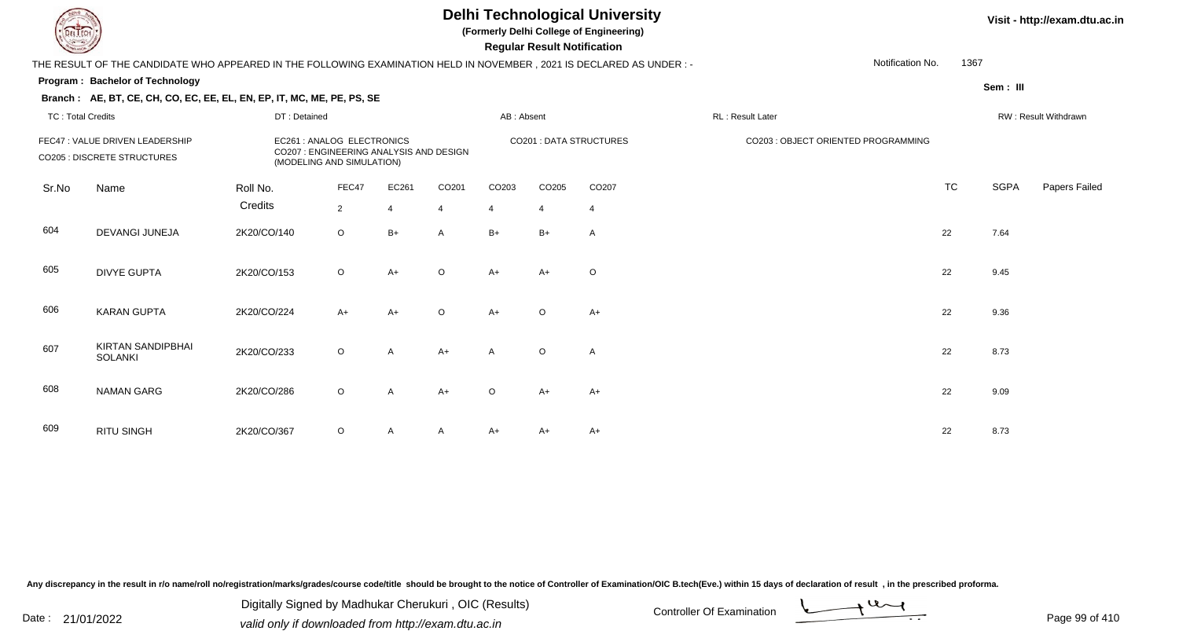**(Formerly Delhi College of Engineering)**

**Regular Regular Results Notification** 

#### **Visit - http://exam.dtu.ac.in**

| <b>Country of Charles</b> |                                                                                                                     |              |                                                                      |       |                   |                | <b>Regular Result Notification</b> |                                |                                     |           |             |                      |
|---------------------------|---------------------------------------------------------------------------------------------------------------------|--------------|----------------------------------------------------------------------|-------|-------------------|----------------|------------------------------------|--------------------------------|-------------------------------------|-----------|-------------|----------------------|
|                           | THE RESULT OF THE CANDIDATE WHO APPEARED IN THE FOLLOWING EXAMINATION HELD IN NOVEMBER, 2021 IS DECLARED AS UNDER:- |              |                                                                      |       |                   |                |                                    |                                | Notification No.                    | 1367      |             |                      |
|                           | <b>Program: Bachelor of Technology</b>                                                                              |              |                                                                      |       |                   |                |                                    |                                |                                     |           | Sem: III    |                      |
|                           | Branch: AE, BT, CE, CH, CO, EC, EE, EL, EN, EP, IT, MC, ME, PE, PS, SE                                              |              |                                                                      |       |                   |                |                                    |                                |                                     |           |             |                      |
| <b>TC: Total Credits</b>  |                                                                                                                     | DT: Detained |                                                                      |       |                   | AB: Absent     |                                    |                                | RL: Result Later                    |           |             | RW: Result Withdrawn |
|                           | FEC47 : VALUE DRIVEN LEADERSHIP                                                                                     |              | EC261 : ANALOG ELECTRONICS                                           |       |                   |                |                                    | <b>CO201 : DATA STRUCTURES</b> | CO203 : OBJECT ORIENTED PROGRAMMING |           |             |                      |
|                           | <b>CO205 : DISCRETE STRUCTURES</b>                                                                                  |              | CO207 : ENGINEERING ANALYSIS AND DESIGN<br>(MODELING AND SIMULATION) |       |                   |                |                                    |                                |                                     |           |             |                      |
| Sr.No                     | Name                                                                                                                | Roll No.     | FEC47                                                                | EC261 | CO <sub>201</sub> | CO203          | CO205                              | CO207                          |                                     | <b>TC</b> | <b>SGPA</b> | <b>Papers Failed</b> |
|                           |                                                                                                                     | Credits      | $\overline{2}$                                                       | Δ     | $\overline{4}$    | $\overline{4}$ | $\overline{4}$                     | $\overline{4}$                 |                                     |           |             |                      |
| 604                       | DEVANGI JUNEJA                                                                                                      | 2K20/CO/140  | $\circ$                                                              | $B+$  | A                 | $B+$           | $B+$                               | Α                              |                                     | 22        | 7.64        |                      |
| 605                       | <b>DIVYE GUPTA</b>                                                                                                  | 2K20/CO/153  | $\circ$                                                              | $A+$  | $\circ$           | $A+$           | A+                                 | $\circ$                        |                                     | 22        | 9.45        |                      |
| 606                       | <b>KARAN GUPTA</b>                                                                                                  | 2K20/CO/224  | $A+$                                                                 | $A+$  | $\circ$           | $A+$           | $\circ$                            | $A+$                           |                                     | 22        | 9.36        |                      |
| 607                       | <b>KIRTAN SANDIPBHAI</b><br><b>SOLANKI</b>                                                                          | 2K20/CO/233  | $\circ$                                                              | A     | $A+$              | A              | $\circ$                            | $\mathsf{A}$                   |                                     | 22        | 8.73        |                      |
| 608                       | <b>NAMAN GARG</b>                                                                                                   | 2K20/CO/286  | $\circ$                                                              | A     | $A+$              | $\circ$        | A+                                 | $A+$                           |                                     | 22        | 9.09        |                      |
| 609                       | <b>RITU SINGH</b>                                                                                                   | 2K20/CO/367  | $\circ$                                                              | A     | A                 | $A+$           | $A+$                               | $A+$                           |                                     | 22        | 8.73        |                      |

Any discrepancy in the result in r/o name/roll no/registration/marks/grades/course code/title should be brought to the notice of Controller of Examination/OIC B.tech(Eve.) within 15 days of declaration of result, in the pr

Digitally Signed by Madhukar Cherukuri, OIC (Results)<br>Date : 21/01/2022 volid only if douglooded from http://ovem dtu.co.in Digitally Signed by Madhukar Cherukuri , OIC (Results)valid only if downloaded from http://exam.dtu.ac.in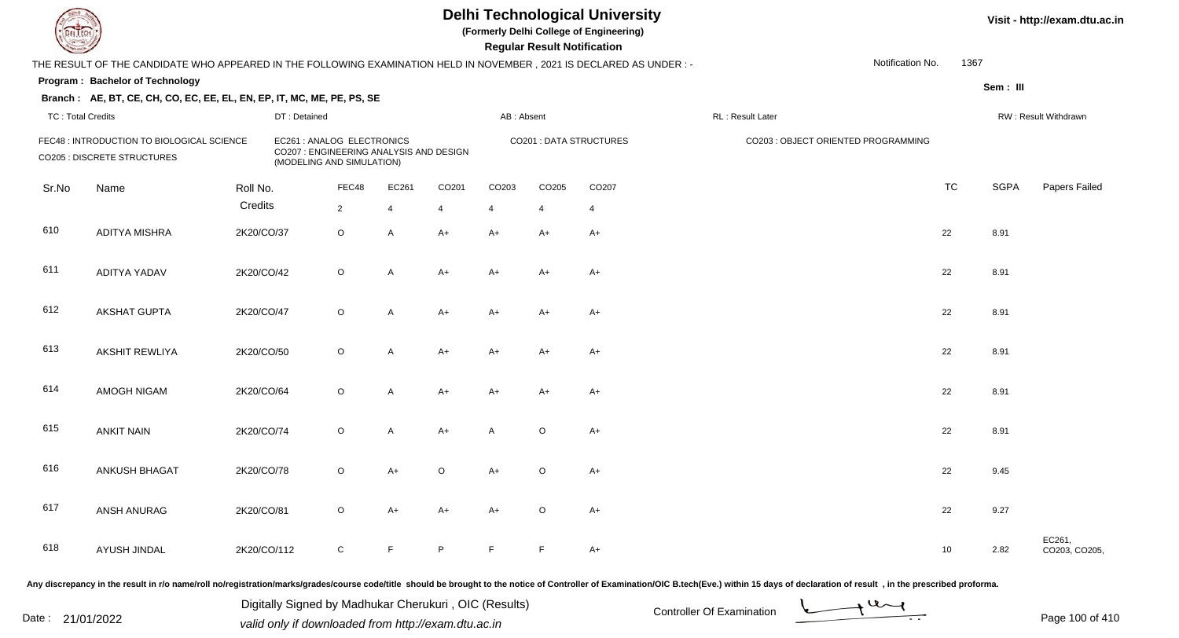**(Formerly Delhi College of Engineering)**

 **Regular Result Notification**

| $\sim$                   |                                                                                                                      |             |                                                                                                    |                |                |                |                | nggular ngsult nothlodilon |                                |                  |                                     |                  |             |                         |
|--------------------------|----------------------------------------------------------------------------------------------------------------------|-------------|----------------------------------------------------------------------------------------------------|----------------|----------------|----------------|----------------|----------------------------|--------------------------------|------------------|-------------------------------------|------------------|-------------|-------------------------|
|                          | THE RESULT OF THE CANDIDATE WHO APPEARED IN THE FOLLOWING EXAMINATION HELD IN NOVEMBER, 2021 IS DECLARED AS UNDER :- |             |                                                                                                    |                |                |                |                |                            |                                |                  |                                     | Notification No. | 1367        |                         |
|                          | <b>Program: Bachelor of Technology</b>                                                                               |             |                                                                                                    |                |                |                |                |                            |                                |                  |                                     |                  | Sem: III    |                         |
|                          | Branch: AE, BT, CE, CH, CO, EC, EE, EL, EN, EP, IT, MC, ME, PE, PS, SE                                               |             |                                                                                                    |                |                |                |                |                            |                                |                  |                                     |                  |             |                         |
| <b>TC: Total Credits</b> |                                                                                                                      |             | DT: Detained                                                                                       |                |                |                | AB: Absent     |                            |                                | RL: Result Later |                                     |                  |             | RW: Result Withdrawn    |
|                          | FEC48 : INTRODUCTION TO BIOLOGICAL SCIENCE<br>CO205 : DISCRETE STRUCTURES                                            |             | EC261 : ANALOG ELECTRONICS<br>CO207 : ENGINEERING ANALYSIS AND DESIGN<br>(MODELING AND SIMULATION) |                |                |                |                |                            | <b>CO201 : DATA STRUCTURES</b> |                  | CO203 : OBJECT ORIENTED PROGRAMMING |                  |             |                         |
| Sr.No                    | Name                                                                                                                 | Roll No.    |                                                                                                    | FEC48          | EC261          | CO201          | CO203          | CO205                      | CO207                          |                  |                                     | TC               | <b>SGPA</b> | Papers Failed           |
|                          |                                                                                                                      | Credits     |                                                                                                    | $\overline{2}$ | $\overline{4}$ | $\overline{4}$ | $\overline{4}$ | $\overline{4}$             | $\overline{4}$                 |                  |                                     |                  |             |                         |
| 610                      | <b>ADITYA MISHRA</b>                                                                                                 | 2K20/CO/37  |                                                                                                    | O              | A              | $A+$           | A+             | $A+$                       | A+                             |                  |                                     | 22               | 8.91        |                         |
| 611                      | <b>ADITYA YADAV</b>                                                                                                  | 2K20/CO/42  |                                                                                                    | $\circ$        | A              | $A+$           | A+             | $A+$                       | A+                             |                  |                                     | 22               | 8.91        |                         |
| 612                      | AKSHAT GUPTA                                                                                                         | 2K20/CO/47  |                                                                                                    | $\circ$        | A              | $A+$           | A+             | $A+$                       | A+                             |                  |                                     | 22               | 8.91        |                         |
| 613                      | <b>AKSHIT REWLIYA</b>                                                                                                | 2K20/CO/50  |                                                                                                    | $\mathsf O$    | Α              | $A+$           | A+             | $A+$                       | A+                             |                  |                                     | 22               | 8.91        |                         |
| 614                      | AMOGH NIGAM                                                                                                          | 2K20/CO/64  |                                                                                                    | $\circ$        | A              | $A+$           | A+             | $A+$                       | A+                             |                  |                                     | 22               | 8.91        |                         |
| 615                      | <b>ANKIT NAIN</b>                                                                                                    | 2K20/CO/74  |                                                                                                    | O              | A              | $A+$           | A              | O                          | $A+$                           |                  |                                     | 22               | 8.91        |                         |
| 616                      | ANKUSH BHAGAT                                                                                                        | 2K20/CO/78  |                                                                                                    | $\circ$        | $A+$           | $\circ$        | $A+$           | $\circ$                    | $A+$                           |                  |                                     | 22               | 9.45        |                         |
| 617                      | ANSH ANURAG                                                                                                          | 2K20/CO/81  |                                                                                                    | $\circ$        | $A+$           | $A+$           | $A+$           | $\circ$                    | $A+$                           |                  |                                     | 22               | 9.27        |                         |
| 618                      | AYUSH JINDAL                                                                                                         | 2K20/CO/112 |                                                                                                    | $\mathsf C$    | F              | P              | E              | E                          | $A+$                           |                  |                                     | 10               | 2.82        | EC261,<br>CO203, CO205, |
|                          |                                                                                                                      |             |                                                                                                    |                |                |                |                |                            |                                |                  |                                     |                  |             |                         |

Any discrepancy in the result in r/o name/roll no/registration/marks/grades/course code/title should be brought to the notice of Controller of Examination/OIC B.tech(Eve.) within 15 days of declaration of result, in the pr

Date : 21/01/2022 Digital Digital of Microsofted Chemical Controller Of Examination Determination Page 100 of 41 Digitally Signed by Madhukar Cherukuri , OIC (Results)



Page 100 of 410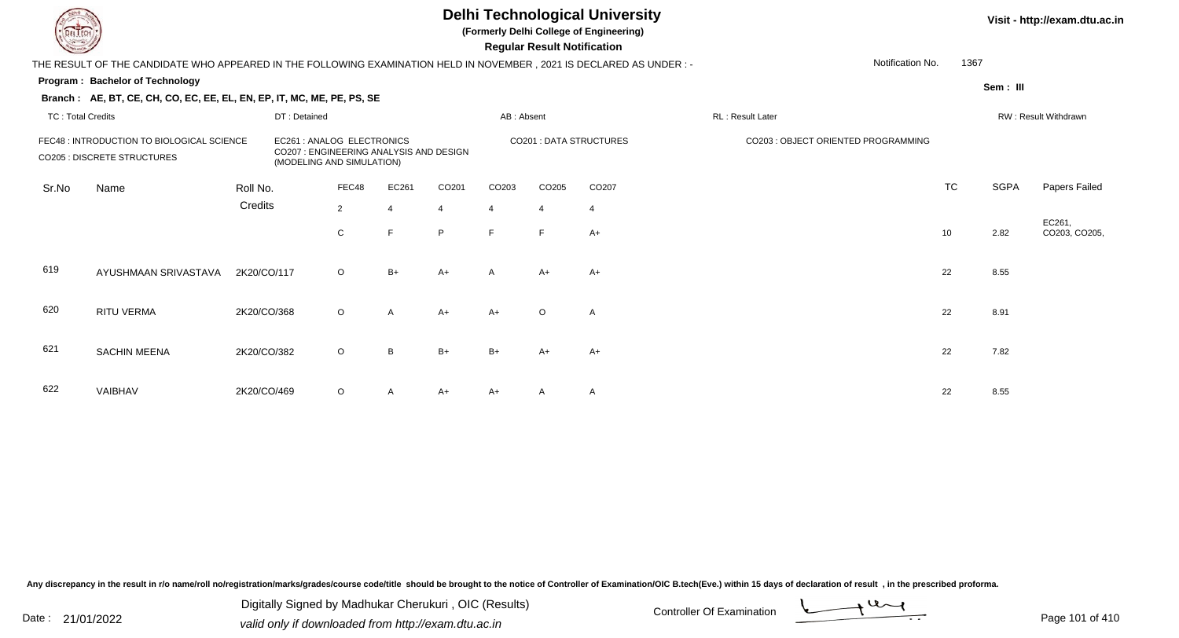**(Formerly Delhi College of Engineering)**

 **Regular Result Notification**

|                          | THE RESULT OF THE CANDIDATE WHO APPEARED IN THE FOLLOWING EXAMINATION HELD IN NOVEMBER , 2021 IS DECLARED AS UNDER :-                                                           |             |              |                |              |                |            |                       |                               |                  | Notification No.                    | 1367      |                      |                        |  |
|--------------------------|---------------------------------------------------------------------------------------------------------------------------------------------------------------------------------|-------------|--------------|----------------|--------------|----------------|------------|-----------------------|-------------------------------|------------------|-------------------------------------|-----------|----------------------|------------------------|--|
|                          | <b>Program: Bachelor of Technology</b>                                                                                                                                          |             |              |                |              |                |            |                       |                               |                  |                                     |           | Sem : III            |                        |  |
|                          | Branch: AE, BT, CE, CH, CO, EC, EE, EL, EN, EP, IT, MC, ME, PE, PS, SE                                                                                                          |             |              |                |              |                |            |                       |                               |                  |                                     |           |                      |                        |  |
| <b>TC: Total Credits</b> |                                                                                                                                                                                 |             | DT: Detained |                |              |                | AB: Absent |                       |                               | RL: Result Later |                                     |           | RW: Result Withdrawn |                        |  |
|                          | FEC48 : INTRODUCTION TO BIOLOGICAL SCIENCE<br>EC261 : ANALOG ELECTRONICS<br>CO207 : ENGINEERING ANALYSIS AND DESIGN<br>CO205 : DISCRETE STRUCTURES<br>(MODELING AND SIMULATION) |             |              |                |              |                |            |                       | <b>CO201: DATA STRUCTURES</b> |                  | CO203 : OBJECT ORIENTED PROGRAMMING |           |                      |                        |  |
| Sr.No                    | Name                                                                                                                                                                            | Roll No.    |              | FEC48          | EC261        | CO201          | CO203      | CO205                 | CO <sub>207</sub>             |                  |                                     | <b>TC</b> | <b>SGPA</b>          | Papers Failed          |  |
|                          |                                                                                                                                                                                 | Credits     |              | $\overline{2}$ |              | $\overline{4}$ | 4          | $\boldsymbol{\Delta}$ | $\overline{4}$                |                  |                                     |           |                      |                        |  |
|                          |                                                                                                                                                                                 |             |              | C              | E            | P              | F          | F.                    | $A+$                          |                  |                                     | 10        | 2.82                 | EC261,<br>CO203, CO205 |  |
| 619                      | AYUSHMAAN SRIVASTAVA                                                                                                                                                            | 2K20/CO/117 |              | $\circ$        | $B+$         | $A+$           | A          | $A+$                  | $A+$                          |                  |                                     | 22        | 8.55                 |                        |  |
| 620                      | RITU VERMA                                                                                                                                                                      | 2K20/CO/368 |              | $\circ$        | $\mathsf{A}$ | $A+$           | $A+$       | $\circ$               | A                             |                  |                                     | 22        | 8.91                 |                        |  |
| 621                      | <b>SACHIN MEENA</b>                                                                                                                                                             | 2K20/CO/382 |              | $\circ$        | B            | $B+$           | $B+$       | $A+$                  | $A+$                          |                  |                                     | 22        | 7.82                 |                        |  |
| 622                      | VAIBHAV                                                                                                                                                                         | 2K20/CO/469 |              | $\circ$        | A            | $A+$           | $A+$       | A                     | A                             |                  |                                     | 22        | 8.55                 |                        |  |

Any discrepancy in the result in r/o name/roll no/registration/marks/grades/course code/title should be brought to the notice of Controller of Examination/OIC B.tech(Eve.) within 15 days of declaration of result, in the pr

Date : 21/01/2022 Digital Digital of Microsofted Chemical Controller Of Examination Determination Page 101 of 41 Digitally Signed by Madhukar Cherukuri , OIC (Results)

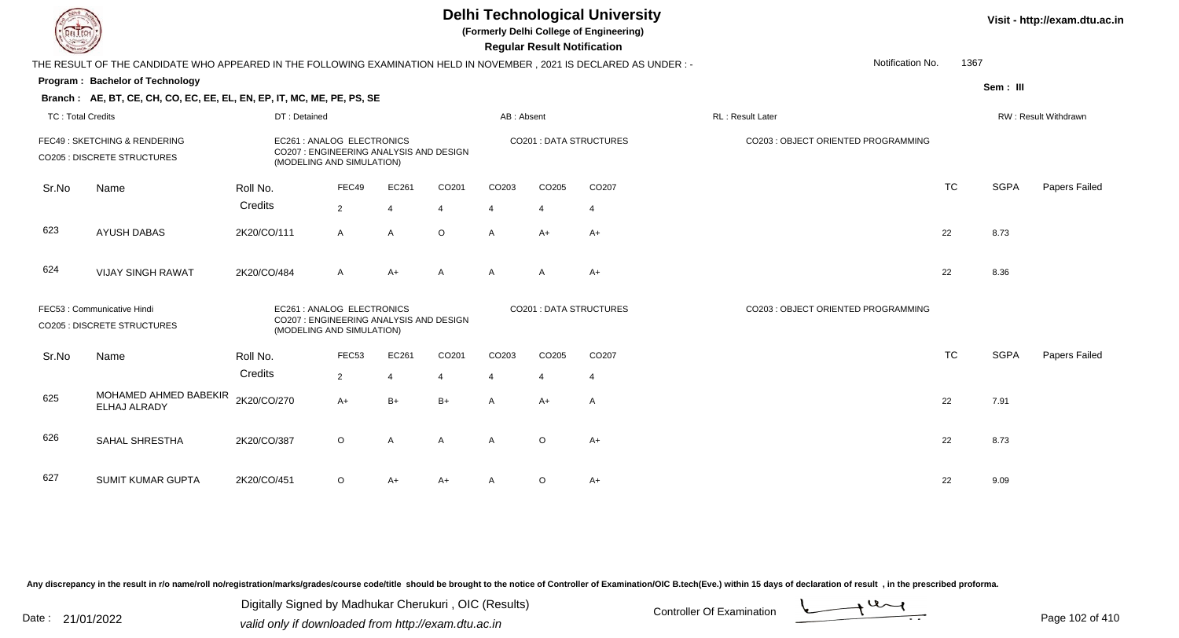**(Formerly Delhi College of Engineering)**

 **Regular Result Notification**

|                   | THE RESULT OF THE CANDIDATE WHO APPEARED IN THE FOLLOWING EXAMINATION HELD IN NOVEMBER, 2021 IS DECLARED AS UNDER:- |                                                                                                    |                |                |                |                |                |                                | Notification No.                    | 1367      |             |                      |
|-------------------|---------------------------------------------------------------------------------------------------------------------|----------------------------------------------------------------------------------------------------|----------------|----------------|----------------|----------------|----------------|--------------------------------|-------------------------------------|-----------|-------------|----------------------|
|                   | Program: Bachelor of Technology                                                                                     |                                                                                                    |                |                |                |                |                |                                |                                     |           | Sem: III    |                      |
|                   | Branch: AE, BT, CE, CH, CO, EC, EE, EL, EN, EP, IT, MC, ME, PE, PS, SE                                              |                                                                                                    |                |                |                |                |                |                                |                                     |           |             |                      |
| TC: Total Credits |                                                                                                                     | DT: Detained                                                                                       |                |                |                | AB: Absent     |                |                                | RL: Result Later                    |           |             | RW: Result Withdrawn |
|                   | FEC49: SKETCHING & RENDERING<br><b>CO205 : DISCRETE STRUCTURES</b>                                                  | EC261 : ANALOG ELECTRONICS<br>CO207 : ENGINEERING ANALYSIS AND DESIGN<br>(MODELING AND SIMULATION) |                |                |                |                |                | <b>CO201: DATA STRUCTURES</b>  | CO203 : OBJECT ORIENTED PROGRAMMING |           |             |                      |
| Sr.No             | Name                                                                                                                | Roll No.                                                                                           | FEC49          | EC261          | CO201          | CO203          | CO205          | CO207                          |                                     | <b>TC</b> | <b>SGPA</b> | Papers Failed        |
|                   |                                                                                                                     | Credits                                                                                            | $\overline{2}$ | $\overline{4}$ | $\overline{4}$ | $\overline{4}$ | $\overline{4}$ | $\overline{4}$                 |                                     |           |             |                      |
| 623               | <b>AYUSH DABAS</b>                                                                                                  | 2K20/CO/111                                                                                        | $\mathsf{A}$   | $\mathsf{A}$   | $\circ$        | $\overline{A}$ | $A+$           | $A+$                           |                                     | 22        | 8.73        |                      |
| 624               | <b>VIJAY SINGH RAWAT</b>                                                                                            | 2K20/CO/484                                                                                        | A              | $A+$           | $\mathsf{A}$   | $\mathsf{A}$   | $\mathsf{A}$   | $A+$                           |                                     | 22        | 8.36        |                      |
|                   | FEC53: Communicative Hindi<br><b>CO205 : DISCRETE STRUCTURES</b>                                                    | EC261 : ANALOG ELECTRONICS<br>CO207 : ENGINEERING ANALYSIS AND DESIGN<br>(MODELING AND SIMULATION) |                |                |                |                |                | <b>CO201 : DATA STRUCTURES</b> | CO203 : OBJECT ORIENTED PROGRAMMING |           |             |                      |
| Sr.No             | Name                                                                                                                | Roll No.                                                                                           | FEC53          | EC261          | CO201          | CO203          | CO205          | CO207                          |                                     | <b>TC</b> | <b>SGPA</b> | Papers Failed        |
|                   |                                                                                                                     | Credits                                                                                            | $\overline{2}$ | $\overline{4}$ | $\overline{4}$ | $\overline{4}$ | 4              | $\overline{4}$                 |                                     |           |             |                      |
| 625               | MOHAMED AHMED BABEKIR<br>ELHAJ ALRADY                                                                               | 2K20/CO/270                                                                                        | $A+$           | $B+$           | $B+$           | $\mathsf{A}$   | $A+$           | $\mathsf{A}$                   |                                     | 22        | 7.91        |                      |
| 626               | SAHAL SHRESTHA                                                                                                      | 2K20/CO/387                                                                                        | $\circ$        | A              | $\mathsf{A}$   | $\overline{A}$ | $\circ$        | $A+$                           |                                     | 22        | 8.73        |                      |
| 627               | <b>SUMIT KUMAR GUPTA</b>                                                                                            | 2K20/CO/451                                                                                        | O              | A+             | A+             | A              | $\circ$        | $A+$                           |                                     | 22        | 9.09        |                      |

Any discrepancy in the result in r/o name/roll no/registration/marks/grades/course code/title should be brought to the notice of Controller of Examination/OIC B.tech(Eve.) within 15 days of declaration of result, in the pr

Date : 21/01/2022 Digital Digital of Microsofted Chemical Controller Of Examination Determination Page 102 of 41 Digitally Signed by Madhukar Cherukuri , OIC (Results)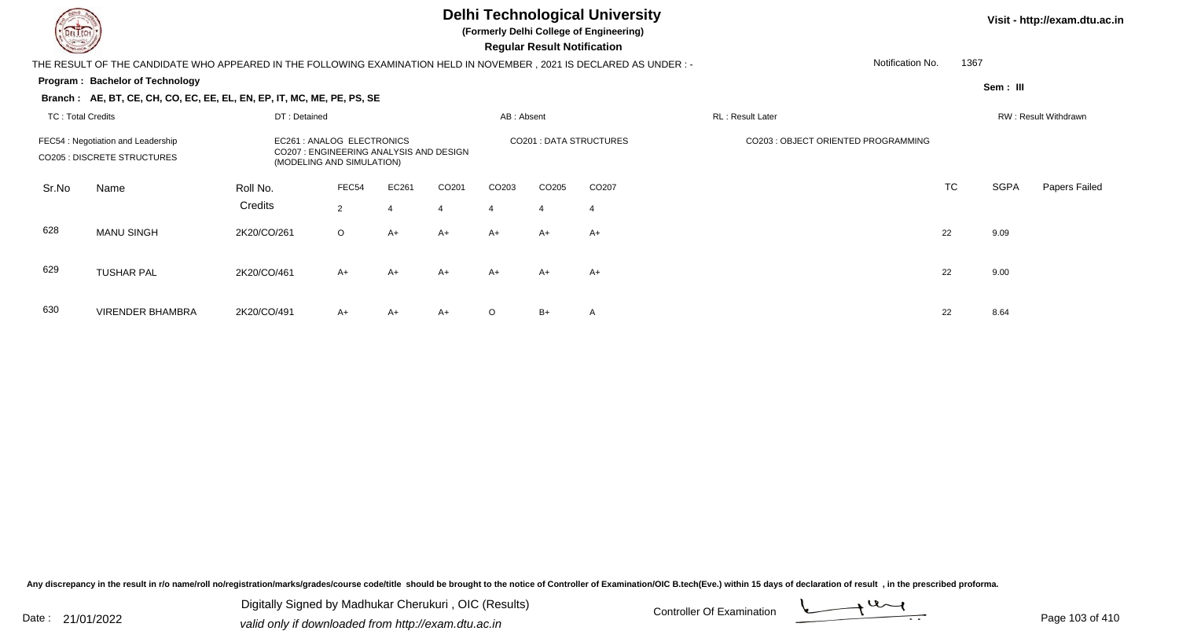

**(Formerly Delhi College of Engineering)**

 **Regular Result Notification**

#### **Visit - http://exam.dtu.ac.in**

THE RESULT OF THE CANDIDATE WHO APPEARED IN THE FOLLOWING EXAMINATION HELD IN NOVEMBER , 2021 IS DECLARED AS UNDER : -

#### **Program : Bachelor of Technology**

**Branch : AE, BT, CE, CH, CO, EC, EE, EL, EN, EP, IT, MC, ME, PE, PS, SE**

1367

Notification No.

**Sem : III**

|                                                                          | DT: Detained<br><b>TC: Total Credits</b> |                     |                                                                                                  |                         |             | AB: Absent              |                        |                               | RL: Result Later |                                     |           | RW: Result Withdrawn |               |  |
|--------------------------------------------------------------------------|------------------------------------------|---------------------|--------------------------------------------------------------------------------------------------|-------------------------|-------------|-------------------------|------------------------|-------------------------------|------------------|-------------------------------------|-----------|----------------------|---------------|--|
| FEC54 : Negotiation and Leadership<br><b>CO205 : DISCRETE STRUCTURES</b> |                                          |                     | EC261: ANALOG ELECTRONICS<br>CO207: ENGINEERING ANALYSIS AND DESIGN<br>(MODELING AND SIMULATION) |                         |             |                         |                        | <b>CO201: DATA STRUCTURES</b> |                  | CO203 : OBJECT ORIENTED PROGRAMMING |           |                      |               |  |
| Sr.No                                                                    | Name                                     | Roll No.<br>Credits | FEC54<br>$\overline{2}$                                                                          | EC261<br>$\overline{4}$ | CO201<br>-4 | CO <sub>203</sub><br>-4 | CO <sub>205</sub><br>4 | CO207<br>-4                   |                  |                                     | <b>TC</b> | SGPA                 | Papers Failed |  |
| 628                                                                      | <b>MANU SINGH</b>                        | 2K20/CO/261         | $\circ$                                                                                          | $A+$                    | $A+$        | A+                      | $A+$                   | $A+$                          |                  |                                     | 22        | 9.09                 |               |  |
| 629                                                                      | <b>TUSHAR PAL</b>                        | 2K20/CO/461         | $A+$                                                                                             | $A+$                    | $A+$        | $A+$                    | $A+$                   | $A+$                          |                  |                                     | 22        | 9.00                 |               |  |
| 630                                                                      | <b>VIRENDER BHAMBRA</b>                  | 2K20/CO/491         | $A+$                                                                                             | $A+$                    | $A+$        | $\circ$                 | $B+$                   | A                             |                  |                                     | 22        | 8.64                 |               |  |

Any discrepancy in the result in r/o name/roll no/registration/marks/grades/course code/title should be brought to the notice of Controller of Examination/OIC B.tech(Eve.) within 15 days of declaration of result, in the pr

Date : 21/01/2022 Digital Digital of Microsofted Chemical Controller Of Examination Determination Page 103 of 41 Digitally Signed by Madhukar Cherukuri , OIC (Results)

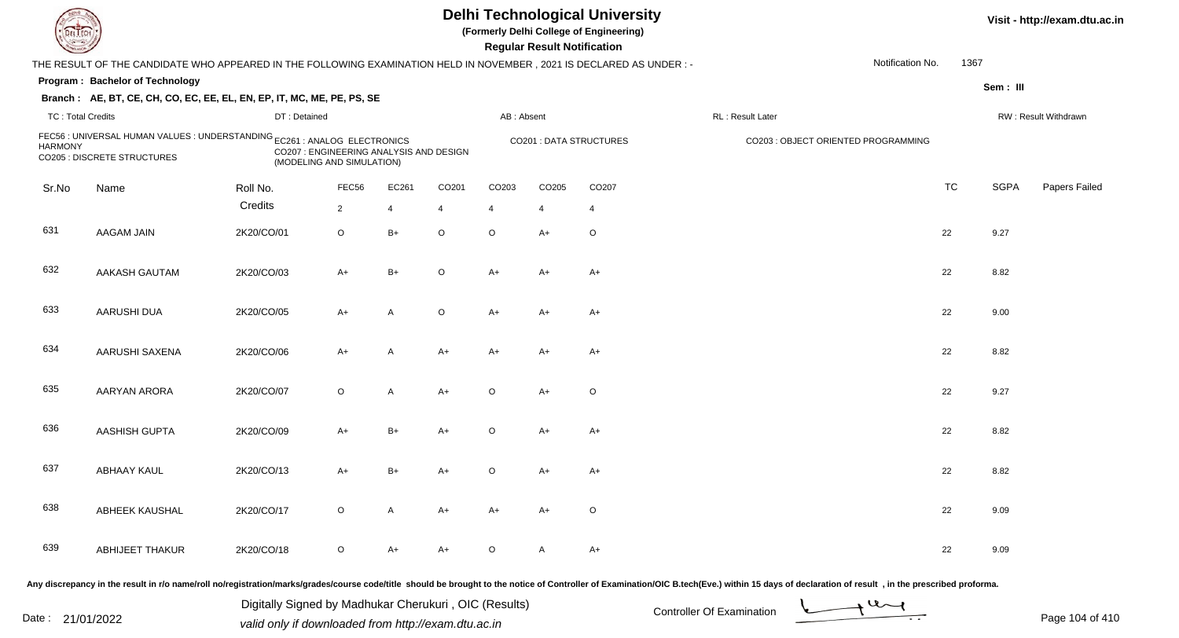| <b>DELTECH</b> |                                                                                                                      |              |                                                                      |                |                | <b>Delhi Technological University</b><br>(Formerly Delhi College of Engineering)<br><b>Regular Result Notification</b> |                |                         | Visit - http://exam.d               |           |             |                             |
|----------------|----------------------------------------------------------------------------------------------------------------------|--------------|----------------------------------------------------------------------|----------------|----------------|------------------------------------------------------------------------------------------------------------------------|----------------|-------------------------|-------------------------------------|-----------|-------------|-----------------------------|
|                | THE RESULT OF THE CANDIDATE WHO APPEARED IN THE FOLLOWING EXAMINATION HELD IN NOVEMBER, 2021 IS DECLARED AS UNDER :- |              |                                                                      |                |                |                                                                                                                        |                |                         | Notification No.                    | 1367      |             |                             |
|                | Program: Bachelor of Technology                                                                                      |              |                                                                      |                |                |                                                                                                                        |                |                         |                                     |           | Sem: III    |                             |
|                | Branch: AE, BT, CE, CH, CO, EC, EE, EL, EN, EP, IT, MC, ME, PE, PS, SE                                               |              |                                                                      |                |                |                                                                                                                        |                |                         |                                     |           |             |                             |
|                | <b>TC: Total Credits</b>                                                                                             | DT: Detained |                                                                      |                |                | AB: Absent                                                                                                             |                |                         | RL: Result Later                    |           |             | <b>RW: Result Withdrawr</b> |
| <b>HARMONY</b> | FEC56 : UNIVERSAL HUMAN VALUES : UNDERSTANDING EC261 : ANALOG ELECTRONICS<br>CO205 : DISCRETE STRUCTURES             |              | CO207 : ENGINEERING ANALYSIS AND DESIGN<br>(MODELING AND SIMULATION) |                |                |                                                                                                                        |                | CO201 : DATA STRUCTURES | CO203 : OBJECT ORIENTED PROGRAMMING |           |             |                             |
| Sr.No          | Name                                                                                                                 | Roll No.     | FEC56                                                                | EC261          | CO201          | CO203                                                                                                                  | CO205          | CO207                   |                                     | <b>TC</b> | <b>SGPA</b> | Papers Fa                   |
|                |                                                                                                                      | Credits      | $\overline{2}$                                                       | $\overline{4}$ | $\overline{4}$ | $\overline{4}$                                                                                                         | $\overline{4}$ | $\overline{4}$          |                                     |           |             |                             |
| 631            | <b>AAGAM JAIN</b>                                                                                                    | 2K20/CO/01   | $\circ$                                                              | $B+$           | $\circ$        | $\circ$                                                                                                                | $A+$           | $\circ$                 |                                     | 22        | 9.27        |                             |
| 632            | AAKASH GAUTAM                                                                                                        | 2K20/CO/03   | $A+$                                                                 | $B+$           | $\circ$        | $A+$                                                                                                                   | $A+$           | $A+$                    |                                     | 22        | 8.82        |                             |
| 633            | <b>AARUSHI DUA</b>                                                                                                   | 2K20/CO/05   | $A+$                                                                 | $\overline{A}$ | $\circ$        | $A+$                                                                                                                   | $A+$           | $A+$                    |                                     | 22        | 9.00        |                             |
| 634            | AARUSHI SAXENA                                                                                                       | 2K20/CO/06   | $A+$                                                                 | $\mathsf{A}$   | $A+$           | $A+$                                                                                                                   | $A+$           | $A+$                    |                                     | 22        | 8.82        |                             |
| 635            | AARYAN ARORA                                                                                                         | 2K20/CO/07   | $\circ$                                                              | $\mathsf{A}$   | $A+$           | $\circ$                                                                                                                | $A+$           | $\circ$                 |                                     | 22        | 9.27        |                             |
| 636            | <b>AASHISH GUPTA</b>                                                                                                 | 2K20/CO/09   | $A+$                                                                 | $B+$           | $A+$           | $\circ$                                                                                                                | $A+$           | A+                      |                                     | 22        | 8.82        |                             |
|                |                                                                                                                      |              |                                                                      |                |                |                                                                                                                        |                |                         |                                     |           |             |                             |

| em<br>× |  | Ш |
|---------|--|---|
|---------|--|---|

| <b>HARMONY</b> | FEC56 : UNIVERSAL HUMAN VALUES : UNDERSTANDING EC261 : ANALOG ELECTRONICS<br>CO207 : ENGINEERING ANALYSIS AND DESIGN<br><b>CO205 : DISCRETE STRUCTURES</b><br>(MODELING AND SIMULATION) |            |                |              |             |                |                | <b>CO201 : DATA STRUCTURES</b> | CO203 : OBJECT ORIENTED PROGRAMMING |  |           |             |               |
|----------------|-----------------------------------------------------------------------------------------------------------------------------------------------------------------------------------------|------------|----------------|--------------|-------------|----------------|----------------|--------------------------------|-------------------------------------|--|-----------|-------------|---------------|
| Sr.No          | Name                                                                                                                                                                                    | Roll No.   | FEC56          | EC261        | CO201       | CO203          | CO205          | CO207                          |                                     |  | <b>TC</b> | <b>SGPA</b> | Papers Failec |
|                |                                                                                                                                                                                         | Credits    | $\overline{2}$ | 4            | 4           | $\overline{4}$ | $\overline{4}$ | 4                              |                                     |  |           |             |               |
| 631            | <b>AAGAM JAIN</b>                                                                                                                                                                       | 2K20/CO/01 | $\circ$        | $B+$         | $\circ$     | $\circ$        | $A+$           | $\circ$                        |                                     |  | 22        | 9.27        |               |
| 632            | AAKASH GAUTAM                                                                                                                                                                           | 2K20/CO/03 | $A+$           | $B+$         | $\circ$     | $A+$           | $A+$           | $A+$                           |                                     |  | 22        | 8.82        |               |
| 633            | <b>AARUSHI DUA</b>                                                                                                                                                                      | 2K20/CO/05 | $A+$           | A            | $\mathsf O$ | $A+$           | $A+$           | $A+$                           |                                     |  | 22        | 9.00        |               |
| 634            | AARUSHI SAXENA                                                                                                                                                                          | 2K20/CO/06 | $A+$           | А            | $A+$        | $A+$           | $A+$           | $A+$                           |                                     |  | 22        | 8.82        |               |
| 635            | <b>AARYAN ARORA</b>                                                                                                                                                                     | 2K20/CO/07 | $\circ$        | A            | $A+$        | O              | $A+$           | $\circ$                        |                                     |  | 22        | 9.27        |               |
| 636            | <b>AASHISH GUPTA</b>                                                                                                                                                                    | 2K20/CO/09 | $A+$           | $B+$         | $A+$        | $\circ$        | $A+$           | $A+$                           |                                     |  | 22        | 8.82        |               |
| 637            | ABHAAY KAUL                                                                                                                                                                             | 2K20/CO/13 | $A+$           | B+           | $A+$        | $\circ$        | $A+$           | $A+$                           |                                     |  | 22        | 8.82        |               |
| 638            | ABHEEK KAUSHAL                                                                                                                                                                          | 2K20/CO/17 | $\circ$        | $\mathsf{A}$ | $A+$        | $A+$           | $A+$           | $\circ$                        |                                     |  | 22        | 9.09        |               |
| 639            | ABHIJEET THAKUR                                                                                                                                                                         | 2K20/CO/18 | $\circ$        | A+           | $A+$        | O              | A              | $A+$                           |                                     |  | 22        | 9.09        |               |

Any discrepancy in the result in r/o name/roll no/registration/marks/grades/course code/title should be brought to the notice of Controller of Examination/OIC B.tech(Eve.) within 15 days of declaration of result, in the pr

Digitally Signed by Madhukar Cherukuri, OIC (Results)<br>Date : 21/01/2022 valid only if downloaded from http://oxam.dtu.ac.in Digitally Signed by Madhukar Cherukuri , OIC (Results)valid only if downloaded from http://exam.dtu.ac.in

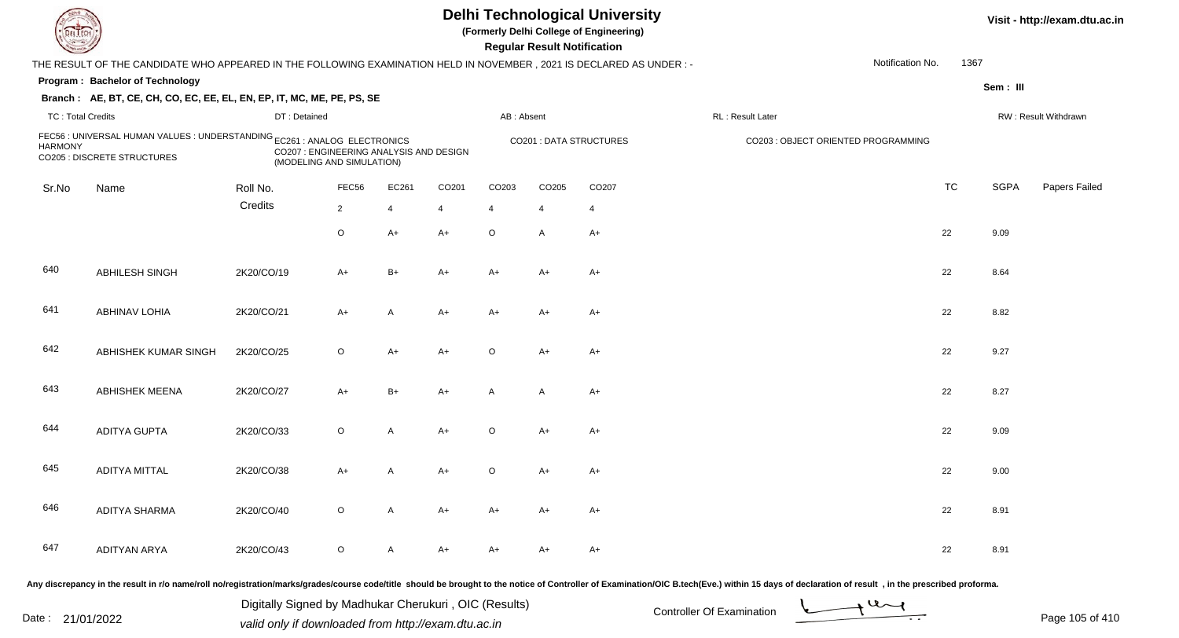| <b>DELTECH</b>           |                                                                                                                     |                                                                      |                |                |       |                   | <b>Regular Result Notification</b> | <b>Delhi Technological University</b><br>(Formerly Delhi College of Engineering) |                                                                                                                                                                                                                                |                  |           |             | Visit - http://exam.dtu.ac.in |
|--------------------------|---------------------------------------------------------------------------------------------------------------------|----------------------------------------------------------------------|----------------|----------------|-------|-------------------|------------------------------------|----------------------------------------------------------------------------------|--------------------------------------------------------------------------------------------------------------------------------------------------------------------------------------------------------------------------------|------------------|-----------|-------------|-------------------------------|
|                          | THE RESULT OF THE CANDIDATE WHO APPEARED IN THE FOLLOWING EXAMINATION HELD IN NOVEMBER, 2021 IS DECLARED AS UNDER:- |                                                                      |                |                |       |                   |                                    |                                                                                  |                                                                                                                                                                                                                                | Notification No. | 1367      |             |                               |
|                          | Program: Bachelor of Technology                                                                                     |                                                                      |                |                |       |                   |                                    |                                                                                  |                                                                                                                                                                                                                                |                  |           | Sem: III    |                               |
|                          | Branch: AE, BT, CE, CH, CO, EC, EE, EL, EN, EP, IT, MC, ME, PE, PS, SE                                              |                                                                      |                |                |       |                   |                                    |                                                                                  |                                                                                                                                                                                                                                |                  |           |             |                               |
| <b>TC: Total Credits</b> |                                                                                                                     | DT: Detained                                                         |                |                |       | AB: Absent        |                                    |                                                                                  | RL: Result Later                                                                                                                                                                                                               |                  |           |             | RW: Result Withdrawn          |
| <b>HARMONY</b>           | FEC56 : UNIVERSAL HUMAN VALUES : UNDERSTANDING EC261 : ANALOG ELECTRONICS<br>CO205 : DISCRETE STRUCTURES            | CO207 : ENGINEERING ANALYSIS AND DESIGN<br>(MODELING AND SIMULATION) |                |                |       |                   |                                    | <b>CO201: DATA STRUCTURES</b>                                                    | CO203 : OBJECT ORIENTED PROGRAMMING                                                                                                                                                                                            |                  |           |             |                               |
| Sr.No                    | Name                                                                                                                | Roll No.                                                             | FEC56          | EC261          | CO201 | CO <sub>203</sub> | CO205                              | CO <sub>207</sub>                                                                |                                                                                                                                                                                                                                |                  | <b>TC</b> | <b>SGPA</b> | Papers Failed                 |
|                          |                                                                                                                     | Credits                                                              | $\overline{2}$ | $\overline{4}$ | 4     | $\overline{4}$    | 4                                  | 4                                                                                |                                                                                                                                                                                                                                |                  |           |             |                               |
|                          |                                                                                                                     |                                                                      | $\circ$        | $A+$           | $A+$  | $\circ$           | $\mathsf{A}$                       | $A+$                                                                             |                                                                                                                                                                                                                                |                  | 22        | 9.09        |                               |
| 640                      | ABHILESH SINGH                                                                                                      | 2K20/CO/19                                                           | A+             | $B+$           | $A+$  | $A+$              | $A+$                               | $A+$                                                                             |                                                                                                                                                                                                                                |                  | 22        | 8.64        |                               |
| 641                      | <b>ABHINAV LOHIA</b>                                                                                                | 2K20/CO/21                                                           | $A+$           | A              | $A+$  | $A+$              | A+                                 | $A+$                                                                             |                                                                                                                                                                                                                                |                  | 22        | 8.82        |                               |
| 642                      | ABHISHEK KUMAR SINGH                                                                                                | 2K20/CO/25                                                           | $\circ$        | $A+$           | $A+$  | $\circ$           | $A+$                               | $A+$                                                                             |                                                                                                                                                                                                                                |                  | 22        | 9.27        |                               |
| 643                      | <b>ABHISHEK MEENA</b>                                                                                               | 2K20/CO/27                                                           | $A+$           | $B+$           | $A+$  | A                 | $\overline{A}$                     | $A+$                                                                             |                                                                                                                                                                                                                                |                  | 22        | 8.27        |                               |
| 644                      | <b>ADITYA GUPTA</b>                                                                                                 | 2K20/CO/33                                                           | $\circ$        | A              | $A+$  | $\circ$           | $A+$                               | $A+$                                                                             |                                                                                                                                                                                                                                |                  | 22        | 9.09        |                               |
| 645                      | <b>ADITYA MITTAL</b>                                                                                                | 2K20/CO/38                                                           | A+             |                | A+    | O                 | A+                                 | $A+$                                                                             |                                                                                                                                                                                                                                |                  | 22        | 9.00        |                               |
| 646                      | <b>ADITYA SHARMA</b>                                                                                                | 2K20/CO/40                                                           | $\circ$        | A              | A+    | A+                | A+                                 | A+                                                                               |                                                                                                                                                                                                                                |                  | 22        | 8.91        |                               |
| 647                      | <b>ADITYAN ARYA</b>                                                                                                 | 2K20/CO/43                                                           | $\circ$        | A              | A+    | A+                | A+                                 | A+                                                                               |                                                                                                                                                                                                                                |                  | 22        | 8.91        |                               |
|                          |                                                                                                                     |                                                                      |                |                |       |                   |                                    |                                                                                  | Any discrepancy in the result in r/o name/roll no/registration/marks/grades/course code/title should be brought to the notice of Controller of Examination/OIC B.tech(Eve.) within 15 days of declaration of result , in the p |                  |           |             |                               |

Date : 21/01/2022 Digital Digital of Microsofted Chemical Controller Of Examination Determination Page 105 of 41 Digitally Signed by Madhukar Cherukuri , OIC (Results)

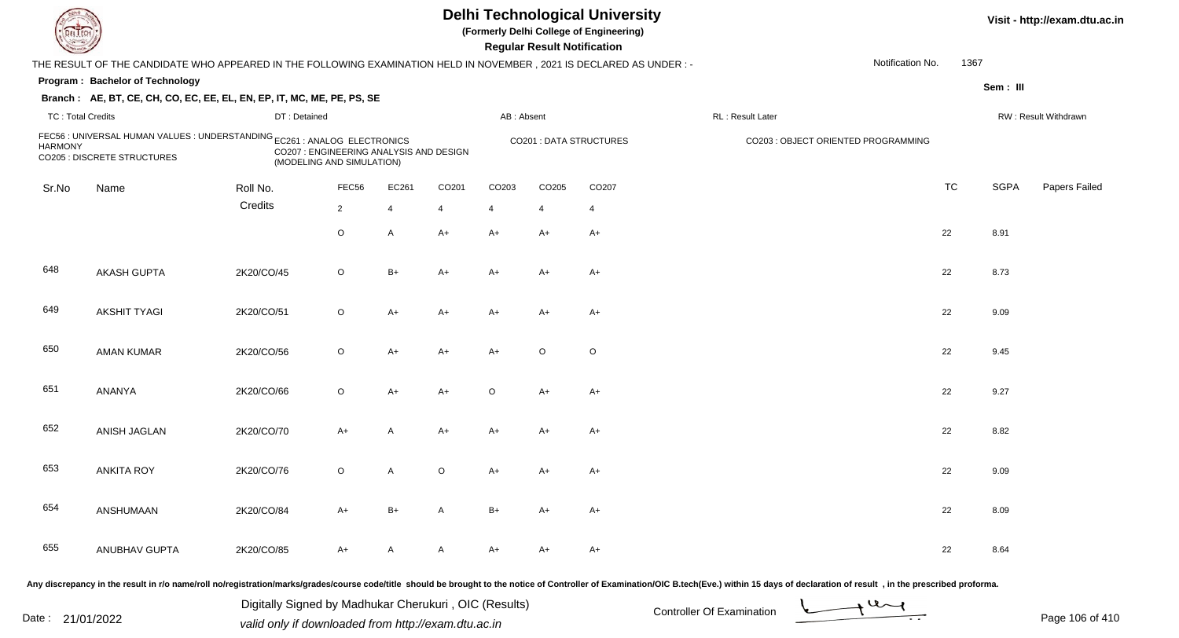| EL LECH                                                                                                                                                                                                   |                                                                                                                      |              |                |       |       |            | <b>Regular Result Notification</b> | <b>Delhi Technological University</b><br>(Formerly Delhi College of Engineering) |                  |                  |           |             | Visit - http://exam.dtu.ac.in |
|-----------------------------------------------------------------------------------------------------------------------------------------------------------------------------------------------------------|----------------------------------------------------------------------------------------------------------------------|--------------|----------------|-------|-------|------------|------------------------------------|----------------------------------------------------------------------------------|------------------|------------------|-----------|-------------|-------------------------------|
|                                                                                                                                                                                                           | THE RESULT OF THE CANDIDATE WHO APPEARED IN THE FOLLOWING EXAMINATION HELD IN NOVEMBER, 2021 IS DECLARED AS UNDER :- |              |                |       |       |            |                                    |                                                                                  |                  | Notification No. | 1367      |             |                               |
|                                                                                                                                                                                                           | Program: Bachelor of Technology                                                                                      |              |                |       |       |            |                                    |                                                                                  |                  |                  |           | Sem: III    |                               |
|                                                                                                                                                                                                           | Branch: AE, BT, CE, CH, CO, EC, EE, EL, EN, EP, IT, MC, ME, PE, PS, SE                                               |              |                |       |       |            |                                    |                                                                                  |                  |                  |           |             |                               |
| <b>TC: Total Credits</b>                                                                                                                                                                                  |                                                                                                                      | DT: Detained |                |       |       | AB: Absent |                                    |                                                                                  | RL: Result Later |                  |           |             | RW: Result Withdrawn          |
| FEC56 : UNIVERSAL HUMAN VALUES : UNDERSTANDING EC261 : ANALOG ELECTRONICS<br><b>HARMONY</b><br>CO207 : ENGINEERING ANALYSIS AND DESIGN<br><b>CO205 : DISCRETE STRUCTURES</b><br>(MODELING AND SIMULATION) |                                                                                                                      |              |                |       |       |            | <b>CO201 : DATA STRUCTURES</b>     | CO203 : OBJECT ORIENTED PROGRAMMING                                              |                  |                  |           |             |                               |
| Sr.No                                                                                                                                                                                                     | Name                                                                                                                 | Roll No.     | FEC56          | EC261 | CO201 | CO203      | CO205                              | CO <sub>207</sub>                                                                |                  |                  | <b>TC</b> | <b>SGPA</b> | Papers Failed                 |
|                                                                                                                                                                                                           |                                                                                                                      | Credits      | $\overline{2}$ | 4     | 4     | 4          | 4                                  | $\overline{4}$                                                                   |                  |                  |           |             |                               |
|                                                                                                                                                                                                           |                                                                                                                      |              | O              | A     | $A+$  | $A+$       | A+                                 | A+                                                                               |                  |                  | 22        | 8.91        |                               |
| 648                                                                                                                                                                                                       | <b>AKASH GUPTA</b>                                                                                                   | 2K20/CO/45   | $\circ$        | $B+$  | A+    | $A+$       | A+                                 | A+                                                                               |                  |                  | 22        | 8.73        |                               |
| 649                                                                                                                                                                                                       | <b>AKSHIT TYAGI</b>                                                                                                  | 2K20/CO/51   | $\circ$        | $A+$  | A+    | $A+$       | A+                                 | A+                                                                               |                  |                  | 22        | 9.09        |                               |
| 650                                                                                                                                                                                                       | <b>AMAN KUMAR</b>                                                                                                    | 2K20/CO/56   | $\circ$        | $A+$  | A+    | $A+$       | $\circ$                            | $\circ$                                                                          |                  |                  | 22        | 9.45        |                               |
| 651                                                                                                                                                                                                       | ANANYA                                                                                                               | 2K20/CO/66   | $\circ$        | $A+$  | A+    | $\circ$    | A+                                 | A+                                                                               |                  |                  | 22        | 9.27        |                               |
| 652                                                                                                                                                                                                       | ANISH JAGLAN                                                                                                         | 2K20/CO/70   | A+             | Α     | A+    | A+         | A+                                 | A+                                                                               |                  |                  | 22        | 8.82        |                               |
| 653                                                                                                                                                                                                       | <b>ANKITA ROY</b>                                                                                                    | 2K20/CO/76   | O              | A     | O     | A+         | A+                                 | A+                                                                               |                  |                  | 22        | 9.09        |                               |
| 654                                                                                                                                                                                                       | ANSHUMAAN                                                                                                            | 2K20/CO/84   | A+             | B+    |       | B+         |                                    | A+                                                                               |                  |                  | 22        | 8.09        |                               |
| 655                                                                                                                                                                                                       | <b>ANUBHAV GUPTA</b>                                                                                                 | 2K20/CO/85   | A+             | A     | A     | A+         | A+                                 | A+                                                                               |                  |                  | 22        | 8.64        |                               |
|                                                                                                                                                                                                           |                                                                                                                      |              |                |       |       |            |                                    | af Cantuallau af Evaminatio                                                      |                  |                  |           |             |                               |

Any discrepancy in the result in r/o name/roll no/registration/marks/grades/course code/title should be brought to the notice of Controller of Examination/OIC B.tech(Eve.) within 15 days of declaration of result ,in the p

Digitally Signed by Madhukar Cherukuri, OIC (Results)<br>Date : 21/01/2022 valid only if downloaded from http://oxam.dtu.ac.in Digitally Signed by Madhukar Cherukuri , OIC (Results) valid only if downloaded from http://exam.dtu.ac.in

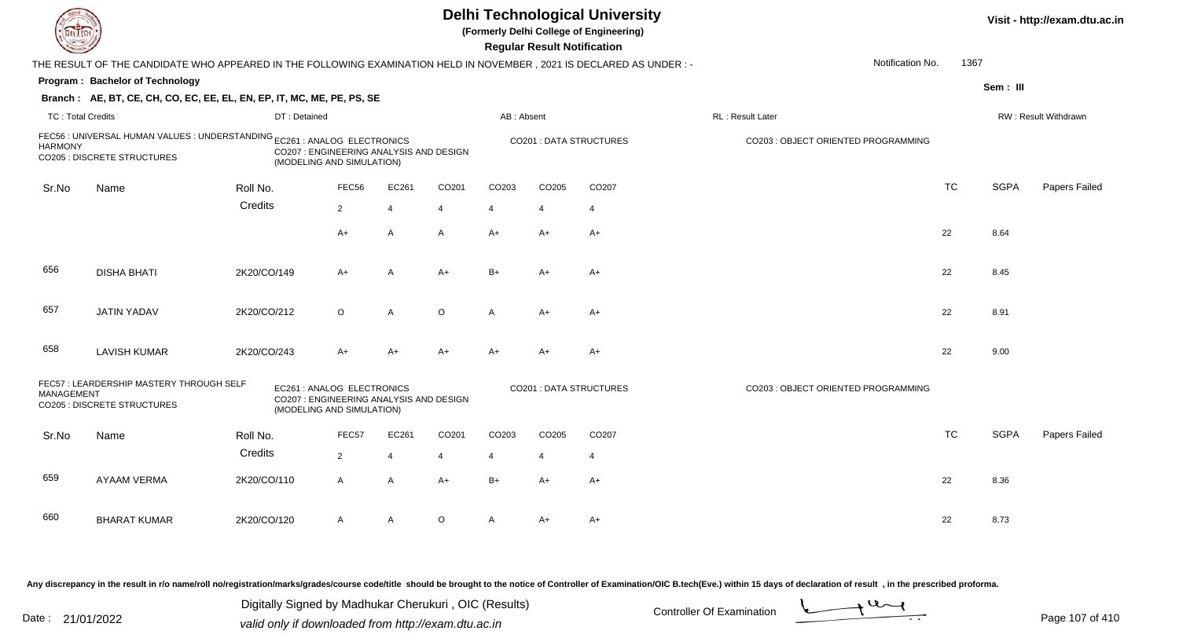|                                                                                                                                                                                                           |                                                                                                                      |              |                |                |         |                | <b>Regular Result Notification</b> | <b>Delhi Technological University</b><br>(Formerly Delhi College of Engineering) |                  |           |             | Visit - http://exam.dtu.ac.in |
|-----------------------------------------------------------------------------------------------------------------------------------------------------------------------------------------------------------|----------------------------------------------------------------------------------------------------------------------|--------------|----------------|----------------|---------|----------------|------------------------------------|----------------------------------------------------------------------------------|------------------|-----------|-------------|-------------------------------|
|                                                                                                                                                                                                           | THE RESULT OF THE CANDIDATE WHO APPEARED IN THE FOLLOWING EXAMINATION HELD IN NOVEMBER, 2021 IS DECLARED AS UNDER :- |              |                |                |         |                |                                    |                                                                                  | Notification No. | 1367      |             |                               |
|                                                                                                                                                                                                           | Program: Bachelor of Technology                                                                                      |              |                |                |         |                |                                    |                                                                                  |                  |           | Sem: III    |                               |
|                                                                                                                                                                                                           | Branch: AE, BT, CE, CH, CO, EC, EE, EL, EN, EP, IT, MC, ME, PE, PS, SE                                               |              |                |                |         |                |                                    |                                                                                  |                  |           |             |                               |
| <b>TC: Total Credits</b>                                                                                                                                                                                  |                                                                                                                      | DT: Detained |                |                |         | AB: Absent     |                                    |                                                                                  | RL: Result Later |           |             | RW: Result Withdrawn          |
| FEC56 : UNIVERSAL HUMAN VALUES : UNDERSTANDING EC261 : ANALOG ELECTRONICS<br><b>HARMONY</b><br>CO207 : ENGINEERING ANALYSIS AND DESIGN<br><b>CO205 : DISCRETE STRUCTURES</b><br>(MODELING AND SIMULATION) |                                                                                                                      |              |                |                |         |                | <b>CO201: DATA STRUCTURES</b>      | CO203 : OBJECT ORIENTED PROGRAMMING                                              |                  |           |             |                               |
| Sr.No                                                                                                                                                                                                     | Name                                                                                                                 | Roll No.     | FEC56          | EC261          | CO201   | CO203          | CO205                              | CO <sub>207</sub>                                                                |                  | <b>TC</b> | <b>SGPA</b> | Papers Failed                 |
|                                                                                                                                                                                                           |                                                                                                                      | Credits      | $\overline{2}$ | $\overline{4}$ | 4       | $\overline{4}$ | $\overline{4}$                     | $\overline{4}$                                                                   |                  |           |             |                               |
|                                                                                                                                                                                                           |                                                                                                                      |              | A+             | A              | A       | $A+$           | A+                                 | $A+$                                                                             |                  | 22        | 8.64        |                               |
| 656                                                                                                                                                                                                       | <b>DISHA BHATI</b>                                                                                                   | 2K20/CO/149  | A+             | $\overline{A}$ | $A+$    | $B+$           | A+                                 | $A+$                                                                             |                  | 22        | 8.45        |                               |
| 657                                                                                                                                                                                                       | <b>JATIN YADAV</b>                                                                                                   | 2K20/CO/212  | $\circ$        | $\overline{A}$ | $\circ$ | $\mathsf{A}$   | $A+$                               | $A+$                                                                             |                  | 22        | 8.91        |                               |
| 658                                                                                                                                                                                                       | <b>LAVISH KUMAR</b>                                                                                                  | 2K20/CO/243  | A+             | $A+$           | $A+$    | $A+$           | $A+$                               | $A+$                                                                             |                  | 22        | 9.00        |                               |
| FEC57: LEARDERSHIP MASTERY THROUGH SELF<br>EC261 : ANALOG ELECTRONICS<br><b>MANAGEMENT</b><br>CO207 : ENGINEERING ANALYSIS AND DESIGN<br><b>CO205 : DISCRETE STRUCTURES</b><br>(MODELING AND SIMULATION)  |                                                                                                                      |              |                |                |         |                | <b>CO201: DATA STRUCTURES</b>      | CO203 : OBJECT ORIENTED PROGRAMMING                                              |                  |           |             |                               |
| Sr.No                                                                                                                                                                                                     | Name                                                                                                                 | Roll No.     | FEC57          | EC261          | CO201   | CO203          | CO205                              | CO <sub>207</sub>                                                                |                  | <b>TC</b> | <b>SGPA</b> | Papers Failed                 |
|                                                                                                                                                                                                           |                                                                                                                      | Credits      | $\overline{2}$ | $\overline{4}$ | 4       | 4              | $\overline{4}$                     | $\overline{4}$                                                                   |                  |           |             |                               |
| 659                                                                                                                                                                                                       | <b>AYAAM VERMA</b>                                                                                                   | 2K20/CO/110  | $\mathsf{A}$   | $\overline{A}$ | $A+$    | $B+$           | $A+$                               | $A+$                                                                             |                  | 22        | 8.36        |                               |
| 660                                                                                                                                                                                                       | <b>BHARAT KUMAR</b>                                                                                                  | 2K20/CO/120  | A              | $\overline{A}$ | $\circ$ | A              | A+                                 | A+                                                                               |                  | 22        | 8.73        |                               |

Any discrepancy in the result in r/o name/roll no/registration/marks/grades/course code/title should be brought to the notice of Controller of Examination/OIC B.tech(Eve.) within 15 days of declaration of result ,in the p

Digitally Signed by Madhukar Cherukuri, OIC (Results)<br>Date : 21/01/2022 valid only if downloaded from http://oxam.dtu.ac.in Digitally Signed by Madhukar Cherukuri , OIC (Results)valid only if downloaded from http://exam.dtu.ac.in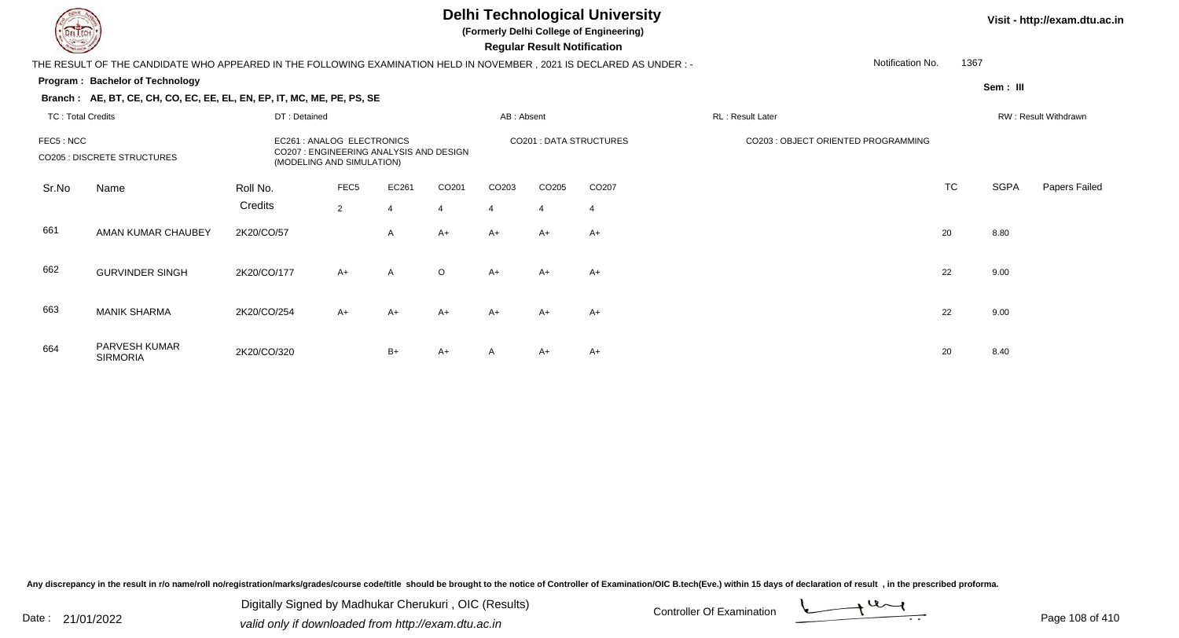**(Formerly Delhi College of Engineering)**

 **Regular Result Notification**

#### **Visit - http://exam.dtu.ac.in**

**Program : Bachelor of TechnologyBranch : AE, BT, CE, CH, CO, EC, EE, EL, EN, EP, IT, MC, ME, PE, PS, SE**THE RESULT OF THE CANDIDATE WHO APPEARED IN THE FOLLOWING EXAMINATION HELD IN NOVEMBER , 2021 IS DECLARED AS UNDER : -Notification No.1367

**Sem : III**

| TC: Total Credits<br>FEC5: NCC<br><b>CO205 : DISCRETE STRUCTURES</b> |                                  | DT: Detained<br>EC261 : ANALOG ELECTRONICS<br>CO207 : ENGINEERING ANALYSIS AND DESIGN<br>(MODELING AND SIMULATION) |                                    |                         |                                     | AB: Absent                    |                                     |                                            | RL : Result Later                   |           | RW: Result Withdrawn |               |  |  |
|----------------------------------------------------------------------|----------------------------------|--------------------------------------------------------------------------------------------------------------------|------------------------------------|-------------------------|-------------------------------------|-------------------------------|-------------------------------------|--------------------------------------------|-------------------------------------|-----------|----------------------|---------------|--|--|
|                                                                      |                                  |                                                                                                                    |                                    |                         |                                     | <b>CO201: DATA STRUCTURES</b> |                                     |                                            | CO203 : OBJECT ORIENTED PROGRAMMING |           |                      |               |  |  |
| Sr.No                                                                | Name                             | Roll No.<br>Credits                                                                                                | FEC <sub>5</sub><br>$\overline{2}$ | EC261<br>$\overline{4}$ | CO <sub>201</sub><br>$\overline{4}$ | CO <sub>203</sub><br>4        | CO <sub>205</sub><br>$\overline{4}$ | CO <sub>207</sub><br>$\boldsymbol{\Delta}$ |                                     | <b>TC</b> | <b>SGPA</b>          | Papers Failec |  |  |
| 661                                                                  | AMAN KUMAR CHAUBEY               | 2K20/CO/57                                                                                                         |                                    | A                       | $A+$                                | $A+$                          | $A+$                                | $A+$                                       |                                     | 20        | 8.80                 |               |  |  |
| 662                                                                  | <b>GURVINDER SINGH</b>           | 2K20/CO/177                                                                                                        | $A+$                               | $\mathsf{A}$            | $\circ$                             | $A+$                          | $A+$                                | $A+$                                       |                                     | 22        | 9.00                 |               |  |  |
| 663                                                                  | <b>MANIK SHARMA</b>              | 2K20/CO/254                                                                                                        | $A+$                               | $A+$                    | $A+$                                | $A+$                          | $A+$                                | $A+$                                       |                                     | 22        | 9.00                 |               |  |  |
| 664                                                                  | PARVESH KUMAR<br><b>SIRMORIA</b> | 2K20/CO/320                                                                                                        |                                    | $B+$                    | $A+$                                | A                             | $A+$                                | $A+$                                       |                                     | 20        | 8.40                 |               |  |  |

Any discrepancy in the result in r/o name/roll no/registration/marks/grades/course code/title should be brought to the notice of Controller of Examination/OIC B.tech(Eve.) within 15 days of declaration of result, in the pr

Date : 21/01/2022 Digital Digital of Microsofted Chemical Controller Of Examination Determination Page 108 of 41 Digitally Signed by Madhukar Cherukuri , OIC (Results)

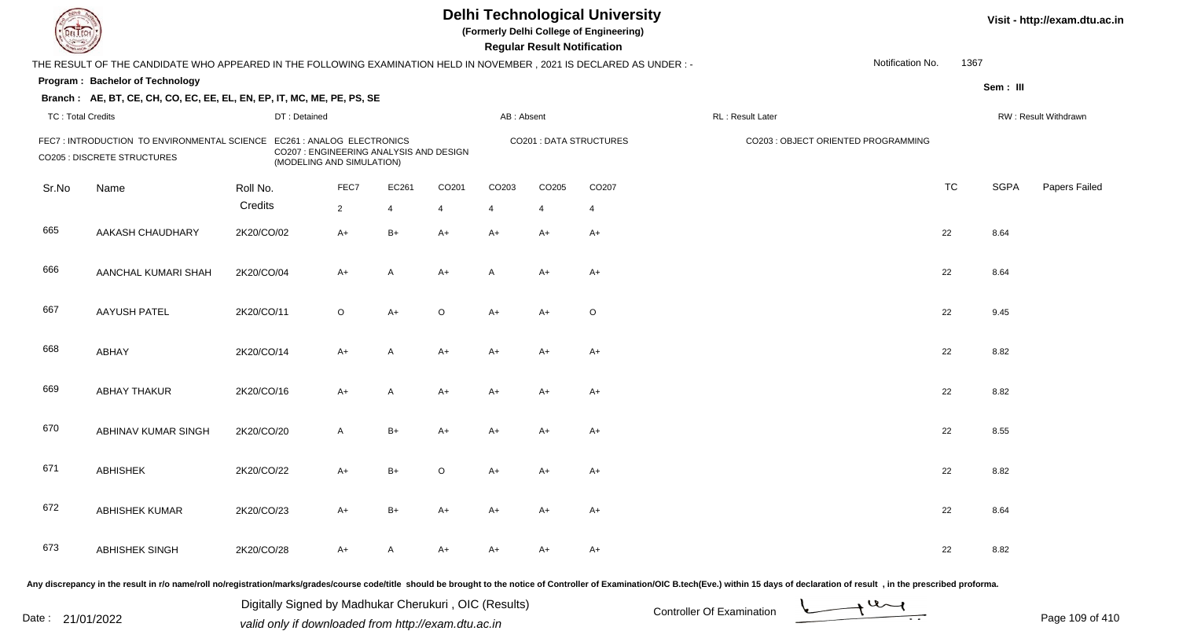| EL ECH                   |                                                                                                                     |              |                                                                                                    |                |         |                | <b>Regular Result Notification</b> | <b>Delhi Technological University</b><br>(Formerly Delhi College of Engineering) |                                                                                                                                                                                                                                |                  |           |             | Visit - http://exam.dtu.ac.in |
|--------------------------|---------------------------------------------------------------------------------------------------------------------|--------------|----------------------------------------------------------------------------------------------------|----------------|---------|----------------|------------------------------------|----------------------------------------------------------------------------------|--------------------------------------------------------------------------------------------------------------------------------------------------------------------------------------------------------------------------------|------------------|-----------|-------------|-------------------------------|
|                          | THE RESULT OF THE CANDIDATE WHO APPEARED IN THE FOLLOWING EXAMINATION HELD IN NOVEMBER, 2021 IS DECLARED AS UNDER:- |              |                                                                                                    |                |         |                |                                    |                                                                                  |                                                                                                                                                                                                                                | Notification No. | 1367      |             |                               |
|                          | Program: Bachelor of Technology                                                                                     |              |                                                                                                    |                |         |                |                                    |                                                                                  |                                                                                                                                                                                                                                |                  |           | Sem: III    |                               |
|                          | Branch: AE, BT, CE, CH, CO, EC, EE, EL, EN, EP, IT, MC, ME, PE, PS, SE                                              |              |                                                                                                    |                |         |                |                                    |                                                                                  |                                                                                                                                                                                                                                |                  |           |             |                               |
| <b>TC: Total Credits</b> |                                                                                                                     | DT: Detained |                                                                                                    |                |         | AB: Absent     |                                    |                                                                                  | RL : Result Later                                                                                                                                                                                                              |                  |           |             | RW: Result Withdrawn          |
|                          | FEC7: INTRODUCTION TO ENVIRONMENTAL SCIENCE<br><b>CO205 : DISCRETE STRUCTURES</b>                                   |              | EC261 : ANALOG ELECTRONICS<br>CO207 : ENGINEERING ANALYSIS AND DESIGN<br>(MODELING AND SIMULATION) |                |         |                |                                    | <b>CO201: DATA STRUCTURES</b>                                                    | CO203 : OBJECT ORIENTED PROGRAMMING                                                                                                                                                                                            |                  |           |             |                               |
| Sr.No                    | Name                                                                                                                | Roll No.     | FEC7                                                                                               | EC261          | CO201   | CO203          | CO205                              | CO207                                                                            |                                                                                                                                                                                                                                |                  | <b>TC</b> | <b>SGPA</b> | Papers Failed                 |
|                          |                                                                                                                     | Credits      | $2^{\circ}$                                                                                        | $\overline{4}$ |         | $\overline{4}$ | $\overline{4}$                     | $\overline{4}$                                                                   |                                                                                                                                                                                                                                |                  |           |             |                               |
| 665                      | AAKASH CHAUDHARY                                                                                                    | 2K20/CO/02   | A+                                                                                                 | $B+$           | $A+$    | $A+$           | $A+$                               | $A+$                                                                             |                                                                                                                                                                                                                                |                  | 22        | 8.64        |                               |
| 666                      | AANCHAL KUMARI SHAH                                                                                                 | 2K20/CO/04   | A+                                                                                                 | A              | $A+$    | A              | $A+$                               | $A+$                                                                             |                                                                                                                                                                                                                                |                  | 22        | 8.64        |                               |
| 667                      | <b>AAYUSH PATEL</b>                                                                                                 | 2K20/CO/11   | $\circ$                                                                                            | $A+$           | $\circ$ | $A+$           | $A+$                               | $\circ$                                                                          |                                                                                                                                                                                                                                |                  | 22        | 9.45        |                               |
| 668                      | ABHAY                                                                                                               | 2K20/CO/14   | A+                                                                                                 | A              | $A+$    | $A+$           | $A+$                               | $A+$                                                                             |                                                                                                                                                                                                                                |                  | 22        | 8.82        |                               |
| 669                      | <b>ABHAY THAKUR</b>                                                                                                 | 2K20/CO/16   | $A+$                                                                                               | A              | $A+$    | A+             | $A+$                               | $A+$                                                                             |                                                                                                                                                                                                                                |                  | 22        | 8.82        |                               |
| 670                      | ABHINAV KUMAR SINGH                                                                                                 | 2K20/CO/20   | A                                                                                                  | $B+$           | A+      | $A+$           | A+                                 | $A+$                                                                             |                                                                                                                                                                                                                                |                  | 22        | 8.55        |                               |
| 671                      | <b>ABHISHEK</b>                                                                                                     | 2K20/CO/22   | A+                                                                                                 | $B+$           | $\circ$ | A+             | A+                                 | A+                                                                               |                                                                                                                                                                                                                                |                  | 22        | 8.82        |                               |
| 672                      | <b>ABHISHEK KUMAR</b>                                                                                               | 2K20/CO/23   | A+                                                                                                 | B+             | $A+$    | $A+$           | $A+$                               | A+                                                                               |                                                                                                                                                                                                                                |                  | 22        | 8.64        |                               |
| 673                      | ABHISHEK SINGH                                                                                                      | 2K20/CO/28   | A+                                                                                                 | A              | A+      | A+             | A+                                 | A+                                                                               |                                                                                                                                                                                                                                |                  | 22        | 8.82        |                               |
|                          |                                                                                                                     |              |                                                                                                    |                |         |                |                                    |                                                                                  | ny discrepancy in the result in r/o name/roll no/registration/marks/grades/course code/title, should be brought to the notice of Controller of Examination/OIC B tech(Eye ) within 15 days of declaration of result in the pre |                  |           |             |                               |

Date : 21/01/2022 Digital Digital of Microsofted Chemical Controller Of Examination Determination Page 109 of 41 Digitally Signed by Madhukar Cherukuri , OIC (Results)

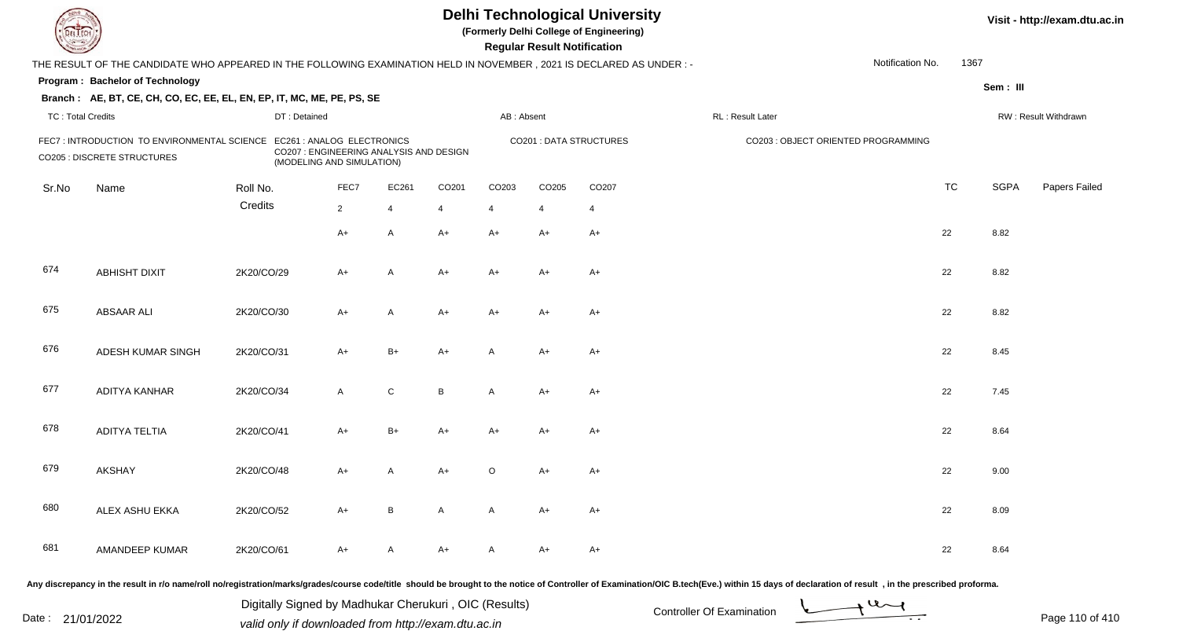| EL LECH                  |                                                                                                                        |              |                                                                                                    |                |       |            | <b>Regular Result Notification</b> | <b>Delhi Technological University</b><br>(Formerly Delhi College of Engineering) |                                     |                  |           |             | Visit - http://exam.dtu.ac.in |
|--------------------------|------------------------------------------------------------------------------------------------------------------------|--------------|----------------------------------------------------------------------------------------------------|----------------|-------|------------|------------------------------------|----------------------------------------------------------------------------------|-------------------------------------|------------------|-----------|-------------|-------------------------------|
|                          | THE RESULT OF THE CANDIDATE WHO APPEARED IN THE FOLLOWING EXAMINATION HELD IN NOVEMBER , 2021 IS DECLARED AS UNDER : - |              |                                                                                                    |                |       |            |                                    |                                                                                  |                                     | Notification No. | 1367      |             |                               |
|                          | Program: Bachelor of Technology                                                                                        |              |                                                                                                    |                |       |            |                                    |                                                                                  |                                     |                  |           | Sem: III    |                               |
|                          | Branch: AE, BT, CE, CH, CO, EC, EE, EL, EN, EP, IT, MC, ME, PE, PS, SE                                                 |              |                                                                                                    |                |       |            |                                    |                                                                                  |                                     |                  |           |             |                               |
| <b>TC: Total Credits</b> |                                                                                                                        | DT: Detained |                                                                                                    |                |       | AB: Absent |                                    |                                                                                  | RL : Result Later                   |                  |           |             | RW: Result Withdrawn          |
|                          | FEC7 : INTRODUCTION TO ENVIRONMENTAL SCIENCE<br><b>CO205 : DISCRETE STRUCTURES</b>                                     |              | EC261 : ANALOG ELECTRONICS<br>CO207 : ENGINEERING ANALYSIS AND DESIGN<br>(MODELING AND SIMULATION) |                |       |            |                                    | <b>CO201: DATA STRUCTURES</b>                                                    | CO203 : OBJECT ORIENTED PROGRAMMING |                  |           |             |                               |
| Sr.No                    | Name                                                                                                                   | Roll No.     | FEC7                                                                                               | EC261          | CO201 | CO203      | CO205                              | CO207                                                                            |                                     |                  | <b>TC</b> | <b>SGPA</b> | Papers Failed                 |
|                          |                                                                                                                        | Credits      | $2^{\circ}$                                                                                        | $\overline{4}$ | 4     | 4          | $\overline{4}$                     | $\overline{4}$                                                                   |                                     |                  |           |             |                               |
|                          |                                                                                                                        |              | A+                                                                                                 | $\mathsf{A}$   | $A+$  | $A+$       | $A+$                               | $A+$                                                                             |                                     |                  | 22        | 8.82        |                               |
| 674                      | <b>ABHISHT DIXIT</b>                                                                                                   | 2K20/CO/29   | A+                                                                                                 | A              | $A+$  | $A+$       | $A+$                               | $A+$                                                                             |                                     |                  | 22        | 8.82        |                               |
| 675                      | <b>ABSAAR ALI</b>                                                                                                      | 2K20/CO/30   | $A+$                                                                                               | $\overline{A}$ | $A+$  | $A+$       | A+                                 | $A+$                                                                             |                                     |                  | 22        | 8.82        |                               |
| 676                      | ADESH KUMAR SINGH                                                                                                      | 2K20/CO/31   | $A+$                                                                                               | $B+$           | $A+$  | A          | $A+$                               | $A+$                                                                             |                                     |                  | 22        | 8.45        |                               |
| 677                      | ADITYA KANHAR                                                                                                          | 2K20/CO/34   | $\mathsf{A}$                                                                                       | ${\bf C}$      | B     | A          | A+                                 | $A+$                                                                             |                                     |                  | 22        | 7.45        |                               |
| 678                      | <b>ADITYA TELTIA</b>                                                                                                   | 2K20/CO/41   | $A+$                                                                                               | $B+$           | $A+$  | $A+$       | A+                                 | $A+$                                                                             |                                     |                  | 22        | 8.64        |                               |
| 679                      | <b>AKSHAY</b>                                                                                                          | 2K20/CO/48   | A+                                                                                                 | A              | $A+$  | $\circ$    | A+                                 | $A+$                                                                             |                                     |                  | 22        | 9.00        |                               |
| 680                      | ALEX ASHU EKKA                                                                                                         | 2K20/CO/52   | A+                                                                                                 | B              | A     | A          | A+                                 | $A+$                                                                             |                                     |                  | 22        | 8.09        |                               |
| 681                      | AMANDEEP KUMAR                                                                                                         | 2K20/CO/61   | A+                                                                                                 | A              | A+    | A          | A+                                 | $A+$                                                                             |                                     |                  | 22        | 8.64        |                               |
|                          |                                                                                                                        |              |                                                                                                    |                |       |            |                                    |                                                                                  |                                     |                  |           |             |                               |

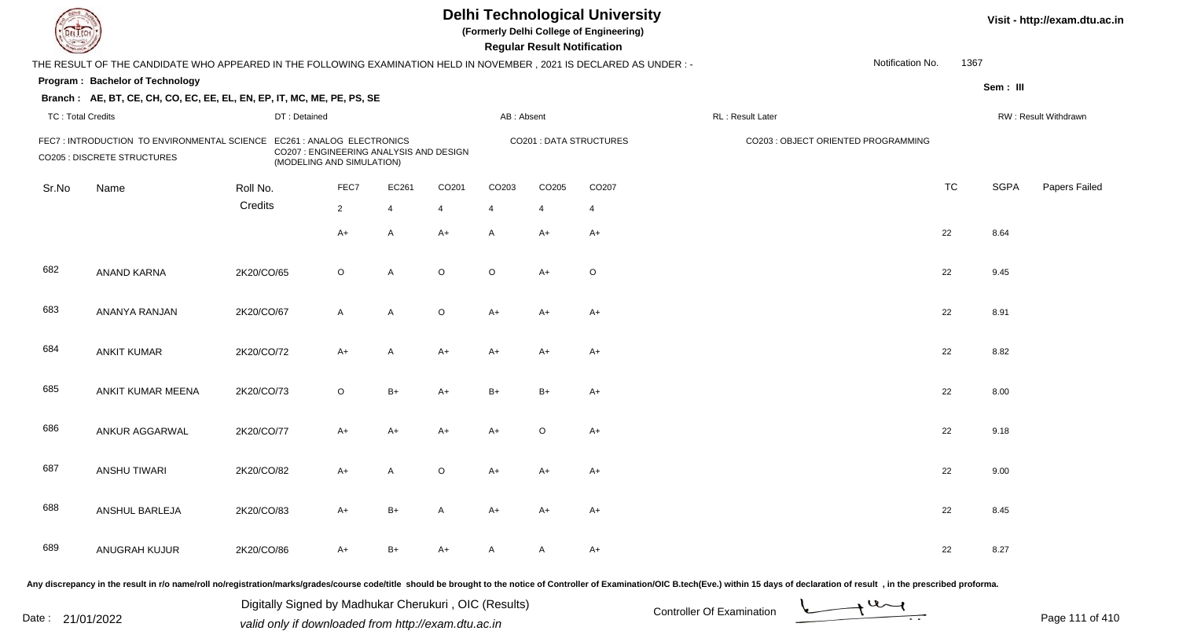| DEL TECH                 |                                                                                                                                                                                                                                |                                                       |                                                                      |                |         |                   | <b>Regular Result Notification</b> | <b>Delhi Technological University</b><br>(Formerly Delhi College of Engineering) |                           |                                     |                               |           |             | Visit - http://exam.dtu.ac.in |
|--------------------------|--------------------------------------------------------------------------------------------------------------------------------------------------------------------------------------------------------------------------------|-------------------------------------------------------|----------------------------------------------------------------------|----------------|---------|-------------------|------------------------------------|----------------------------------------------------------------------------------|---------------------------|-------------------------------------|-------------------------------|-----------|-------------|-------------------------------|
|                          | THE RESULT OF THE CANDIDATE WHO APPEARED IN THE FOLLOWING EXAMINATION HELD IN NOVEMBER, 2021 IS DECLARED AS UNDER : -                                                                                                          |                                                       |                                                                      |                |         |                   |                                    |                                                                                  |                           |                                     | Notification No.              | 1367      |             |                               |
|                          | Program: Bachelor of Technology                                                                                                                                                                                                |                                                       |                                                                      |                |         |                   |                                    |                                                                                  |                           |                                     |                               |           | Sem: III    |                               |
|                          | Branch: AE, BT, CE, CH, CO, EC, EE, EL, EN, EP, IT, MC, ME, PE, PS, SE                                                                                                                                                         |                                                       |                                                                      |                |         |                   |                                    |                                                                                  |                           |                                     |                               |           |             |                               |
| <b>TC: Total Credits</b> |                                                                                                                                                                                                                                | DT: Detained                                          |                                                                      |                |         | AB: Absent        |                                    |                                                                                  | RL: Result Later          |                                     |                               |           |             | RW: Result Withdrawn          |
|                          | FEC7: INTRODUCTION TO ENVIRONMENTAL SCIENCE EC261 : ANALOG ELECTRONICS<br><b>CO205 : DISCRETE STRUCTURES</b>                                                                                                                   |                                                       | CO207 : ENGINEERING ANALYSIS AND DESIGN<br>(MODELING AND SIMULATION) |                |         |                   |                                    | CO201 : DATA STRUCTURES                                                          |                           | CO203 : OBJECT ORIENTED PROGRAMMING |                               |           |             |                               |
| Sr.No                    | Name                                                                                                                                                                                                                           | Roll No.                                              | FEC7                                                                 | EC261          | CO201   | CO <sub>203</sub> | CO205                              | CO <sub>207</sub>                                                                |                           |                                     |                               | <b>TC</b> | <b>SGPA</b> | Papers Failed                 |
|                          |                                                                                                                                                                                                                                | Credits                                               | $\overline{2}$                                                       | $\overline{4}$ | 4       | $\overline{4}$    | 4                                  | $\overline{4}$                                                                   |                           |                                     |                               |           |             |                               |
|                          |                                                                                                                                                                                                                                |                                                       | $A+$                                                                 | A              | $A+$    | A                 | $A+$                               | $A+$                                                                             |                           |                                     |                               | 22        | 8.64        |                               |
| 682                      | ANAND KARNA                                                                                                                                                                                                                    | 2K20/CO/65                                            | $\circ$                                                              | A              | $\circ$ | $\circ$           | $A+$                               | $\mathsf O$                                                                      |                           |                                     |                               | 22        | 9.45        |                               |
| 683                      | ANANYA RANJAN                                                                                                                                                                                                                  | 2K20/CO/67                                            | $\mathsf{A}$                                                         | A              | $\circ$ | A+                | $A+$                               | $A+$                                                                             |                           |                                     |                               | 22        | 8.91        |                               |
| 684                      | <b>ANKIT KUMAR</b>                                                                                                                                                                                                             | 2K20/CO/72                                            | $A+$                                                                 | A              | $A+$    | $A+$              | $A+$                               | $A+$                                                                             |                           |                                     |                               | 22        | 8.82        |                               |
| 685                      | ANKIT KUMAR MEENA                                                                                                                                                                                                              | 2K20/CO/73                                            | $\circ$                                                              | $B+$           | $A+$    | $B+$              | $B+$                               | $A+$                                                                             |                           |                                     |                               | 22        | 8.00        |                               |
| 686                      | ANKUR AGGARWAL                                                                                                                                                                                                                 | 2K20/CO/77                                            | $A+$                                                                 | A+             | $A+$    | A+                | $\circ$                            | $A+$                                                                             |                           |                                     |                               | 22        | 9.18        |                               |
| 687                      | <b>ANSHU TIWARI</b>                                                                                                                                                                                                            | 2K20/CO/82                                            | A+                                                                   | A              | O       | A+                | A+                                 | A+                                                                               |                           |                                     |                               | 22        | 9.00        |                               |
| 688                      | ANSHUL BARLEJA                                                                                                                                                                                                                 | 2K20/CO/83                                            | A+                                                                   | B+             | A       | A+                | A+                                 | A+                                                                               |                           |                                     |                               | 22        | 8.45        |                               |
| 689                      | ANUGRAH KUJUR                                                                                                                                                                                                                  | 2K20/CO/86                                            | $A+$                                                                 | $B+$           | $A+$    | A                 | A                                  | $A+$                                                                             |                           |                                     |                               | 22        | 8.27        |                               |
|                          | Any discrepancy in the result in r/o name/roll no/registration/marks/grades/course code/title should be brought to the notice of Controller of Examination/OIC B.tech(Eve.) within 15 days of declaration of result, in the pr | Digitally Signed by Madhukar Cherukuri, OIC (Results) |                                                                      |                |         |                   |                                    |                                                                                  | Controller Of Evemination |                                     | $\rightarrow$ 4 $\rightarrow$ |           |             |                               |

Date : 21/01/2022 Digital Digital of Microsofted Chemical Controller Of Examination Determination Page 111 of 41

Page 111 of 410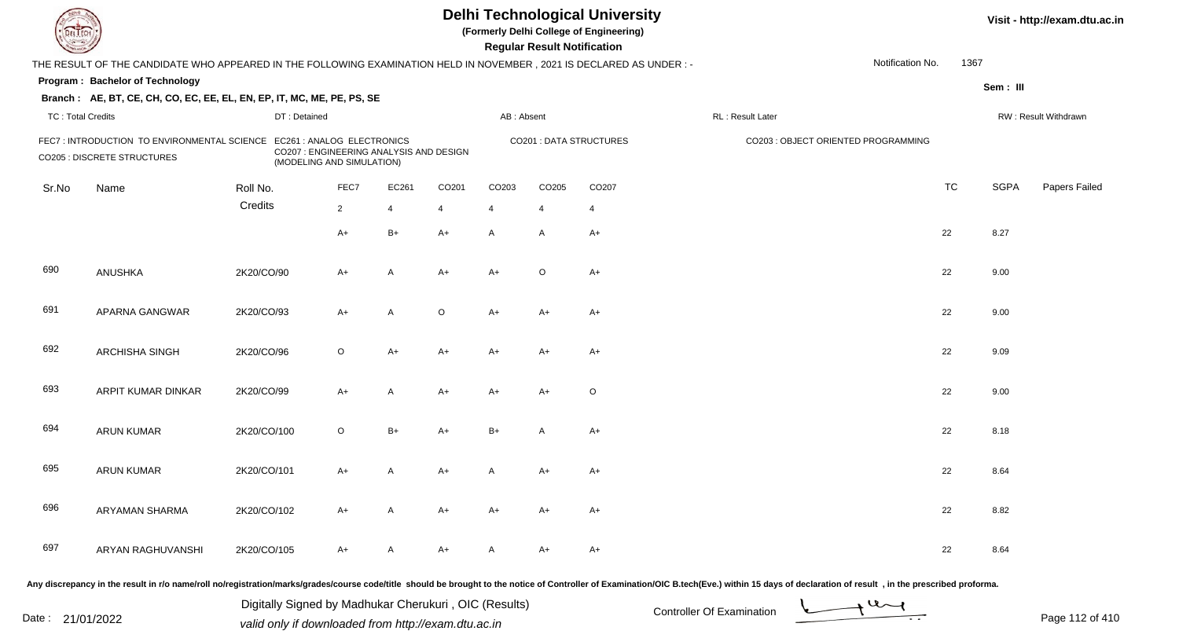| <b>DELTEC</b>            |                                                                                                                      |                            |                                                                      |                |                   |                   | <b>Regular Result Notification</b> | <b>Delhi Technological University</b><br>(Formerly Delhi College of Engineering) |                                                                                                                                                                                                                                |                  |           |             | Visit - http://exam.dtu.ac.in |
|--------------------------|----------------------------------------------------------------------------------------------------------------------|----------------------------|----------------------------------------------------------------------|----------------|-------------------|-------------------|------------------------------------|----------------------------------------------------------------------------------|--------------------------------------------------------------------------------------------------------------------------------------------------------------------------------------------------------------------------------|------------------|-----------|-------------|-------------------------------|
|                          | THE RESULT OF THE CANDIDATE WHO APPEARED IN THE FOLLOWING EXAMINATION HELD IN NOVEMBER, 2021 IS DECLARED AS UNDER :- |                            |                                                                      |                |                   |                   |                                    |                                                                                  |                                                                                                                                                                                                                                | Notification No. | 1367      |             |                               |
|                          | Program: Bachelor of Technology                                                                                      |                            |                                                                      |                |                   |                   |                                    |                                                                                  |                                                                                                                                                                                                                                |                  |           | Sem: III    |                               |
|                          | Branch: AE, BT, CE, CH, CO, EC, EE, EL, EN, EP, IT, MC, ME, PE, PS, SE                                               |                            |                                                                      |                |                   |                   |                                    |                                                                                  |                                                                                                                                                                                                                                |                  |           |             |                               |
| <b>TC: Total Credits</b> |                                                                                                                      | DT: Detained               |                                                                      |                |                   | AB: Absent        |                                    |                                                                                  | RL : Result Later                                                                                                                                                                                                              |                  |           |             | RW: Result Withdrawn          |
|                          | FEC7 : INTRODUCTION TO ENVIRONMENTAL SCIENCE<br><b>CO205 : DISCRETE STRUCTURES</b>                                   | EC261 : ANALOG ELECTRONICS | CO207 : ENGINEERING ANALYSIS AND DESIGN<br>(MODELING AND SIMULATION) |                |                   |                   |                                    | <b>CO201: DATA STRUCTURES</b>                                                    | CO203 : OBJECT ORIENTED PROGRAMMING                                                                                                                                                                                            |                  |           |             |                               |
| Sr.No                    | Name                                                                                                                 | Roll No.                   | FEC7                                                                 | EC261          | CO <sub>201</sub> | CO <sub>203</sub> | CO205                              | CO <sub>207</sub>                                                                |                                                                                                                                                                                                                                |                  | <b>TC</b> | <b>SGPA</b> | Papers Failed                 |
|                          |                                                                                                                      | Credits                    | $\overline{2}$                                                       | $\overline{4}$ | 4                 | $\overline{4}$    | 4                                  | $\overline{4}$                                                                   |                                                                                                                                                                                                                                |                  |           |             |                               |
|                          |                                                                                                                      |                            | $A+$                                                                 | $B+$           | $A+$              | A                 | $\mathsf{A}$                       | $A+$                                                                             |                                                                                                                                                                                                                                |                  | 22        | 8.27        |                               |
| 690                      | ANUSHKA                                                                                                              | 2K20/CO/90                 | $A+$                                                                 | A              | A+                | $A+$              | $\circ$                            | $A+$                                                                             |                                                                                                                                                                                                                                |                  | 22        | 9.00        |                               |
| 691                      | APARNA GANGWAR                                                                                                       | 2K20/CO/93                 | $A+$                                                                 | A              | $\circ$           | $A+$              | $A+$                               | $A+$                                                                             |                                                                                                                                                                                                                                |                  | 22        | 9.00        |                               |
| 692                      | ARCHISHA SINGH                                                                                                       | 2K20/CO/96                 | $\circ$                                                              | A+             | $A+$              | A+                | $A+$                               | $A+$                                                                             |                                                                                                                                                                                                                                |                  | 22        | 9.09        |                               |
| 693                      | ARPIT KUMAR DINKAR                                                                                                   | 2K20/CO/99                 | $A+$                                                                 | A              | $A+$              | A+                | $A+$                               | $\circ$                                                                          |                                                                                                                                                                                                                                |                  | 22        | 9.00        |                               |
| 694                      | <b>ARUN KUMAR</b>                                                                                                    | 2K20/CO/100                | $\circ$                                                              | $B+$           | A+                | $B+$              | A                                  | $A+$                                                                             |                                                                                                                                                                                                                                |                  | 22        | 8.18        |                               |
| 695                      | <b>ARUN KUMAR</b>                                                                                                    | 2K20/CO/101                | A+                                                                   | A              | A+                | A                 | A+                                 | $A+$                                                                             |                                                                                                                                                                                                                                |                  | 22        | 8.64        |                               |
| 696                      | ARYAMAN SHARMA                                                                                                       | 2K20/CO/102                | A+                                                                   | A              | A+                | A+                | A+                                 | A+                                                                               |                                                                                                                                                                                                                                |                  | 22        | 8.82        |                               |
| 697                      | ARYAN RAGHUVANSHI                                                                                                    | 2K20/CO/105                | $A+$                                                                 | A              | A+                | A                 | A+                                 | $A+$                                                                             |                                                                                                                                                                                                                                |                  | 22        | 8.64        |                               |
|                          |                                                                                                                      |                            |                                                                      |                |                   |                   |                                    |                                                                                  | Any discrepancy in the result in r/o name/roll no/registration/marks/grades/course code/title should be brought to the notice of Controller of Examination/OIC B.tech(Eve.) within 15 days of declaration of result , in the p |                  |           |             |                               |

Date : 21/01/2022 Digital Digital of Microsofted Chemical Controller Of Examination Determination Page 112 of 41 Digitally Signed by Madhukar Cherukuri , OIC (Results)

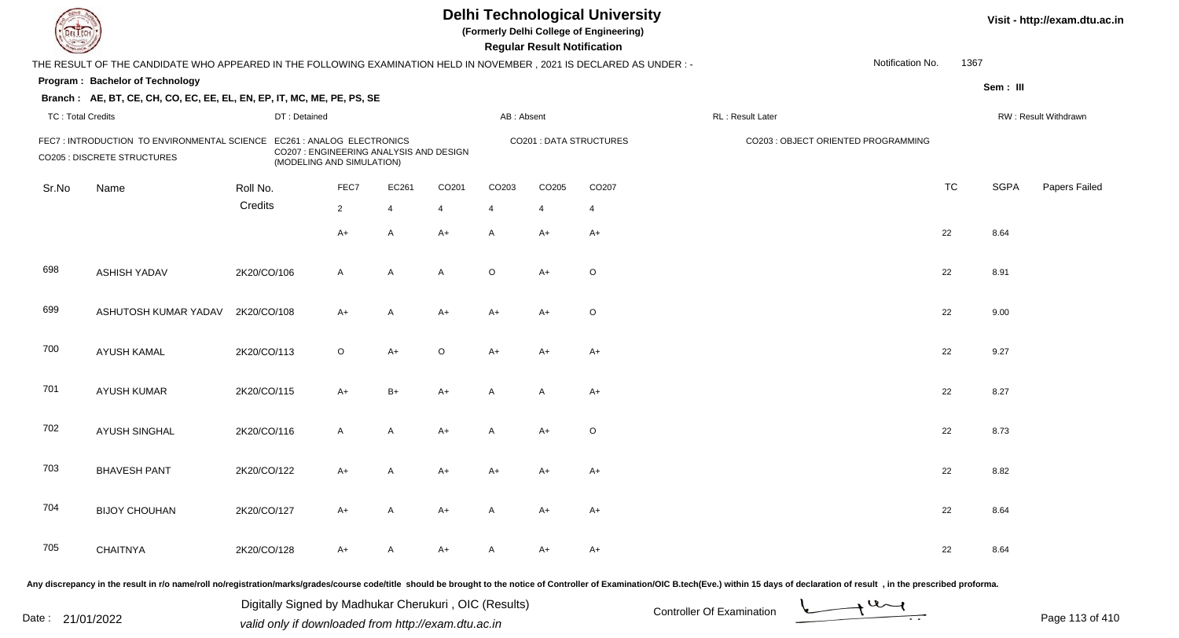| <b>DELTEC</b>            |                                                                                                                                                                                                                                |             |                                                                                                    |                |                |                   |                   | <b>Regular Result Notification</b> | <b>Delhi Technological University</b><br>(Formerly Delhi College of Engineering) |                   |                                     |           |             | Visit - http://exam.dtu.ac.in |
|--------------------------|--------------------------------------------------------------------------------------------------------------------------------------------------------------------------------------------------------------------------------|-------------|----------------------------------------------------------------------------------------------------|----------------|----------------|-------------------|-------------------|------------------------------------|----------------------------------------------------------------------------------|-------------------|-------------------------------------|-----------|-------------|-------------------------------|
|                          | THE RESULT OF THE CANDIDATE WHO APPEARED IN THE FOLLOWING EXAMINATION HELD IN NOVEMBER, 2021 IS DECLARED AS UNDER :-                                                                                                           |             |                                                                                                    |                |                |                   |                   |                                    |                                                                                  |                   | Notification No.                    | 1367      |             |                               |
|                          | Program: Bachelor of Technology                                                                                                                                                                                                |             |                                                                                                    |                |                |                   |                   |                                    |                                                                                  |                   |                                     |           | Sem: III    |                               |
|                          | Branch: AE, BT, CE, CH, CO, EC, EE, EL, EN, EP, IT, MC, ME, PE, PS, SE                                                                                                                                                         |             |                                                                                                    |                |                |                   |                   |                                    |                                                                                  |                   |                                     |           |             |                               |
| <b>TC: Total Credits</b> |                                                                                                                                                                                                                                |             | DT: Detained                                                                                       |                |                |                   | AB: Absent        |                                    |                                                                                  | RL : Result Later |                                     |           |             | RW: Result Withdrawn          |
|                          | FEC7 : INTRODUCTION TO ENVIRONMENTAL SCIENCE<br><b>CO205 : DISCRETE STRUCTURES</b>                                                                                                                                             |             | EC261 : ANALOG ELECTRONICS<br>CO207 : ENGINEERING ANALYSIS AND DESIGN<br>(MODELING AND SIMULATION) |                |                |                   |                   |                                    | <b>CO201: DATA STRUCTURES</b>                                                    |                   | CO203 : OBJECT ORIENTED PROGRAMMING |           |             |                               |
| Sr.No                    | Name                                                                                                                                                                                                                           | Roll No.    |                                                                                                    | FEC7           | EC261          | CO <sub>201</sub> | CO <sub>203</sub> | CO205                              | CO <sub>207</sub>                                                                |                   |                                     | <b>TC</b> | <b>SGPA</b> | Papers Failed                 |
|                          |                                                                                                                                                                                                                                | Credits     |                                                                                                    | $\overline{2}$ | $\overline{4}$ | 4                 | $\overline{4}$    | $\overline{4}$                     | $\overline{4}$                                                                   |                   |                                     |           |             |                               |
|                          |                                                                                                                                                                                                                                |             |                                                                                                    | $A+$           | A              | $A+$              | A                 | A+                                 | $A+$                                                                             |                   |                                     | 22        | 8.64        |                               |
| 698                      | <b>ASHISH YADAV</b>                                                                                                                                                                                                            | 2K20/CO/106 |                                                                                                    | $\mathsf{A}$   | A              | A                 | $\circ$           | $A+$                               | $\circ$                                                                          |                   |                                     | 22        | 8.91        |                               |
| 699                      | ASHUTOSH KUMAR YADAV                                                                                                                                                                                                           | 2K20/CO/108 |                                                                                                    | $A+$           | A              | $A+$              | $A+$              | $A+$                               | $\circ$                                                                          |                   |                                     | 22        | 9.00        |                               |
| 700                      | <b>AYUSH KAMAL</b>                                                                                                                                                                                                             | 2K20/CO/113 |                                                                                                    | $\circ$        | $A+$           | $\circ$           | A+                | $A+$                               | $A+$                                                                             |                   |                                     | 22        | 9.27        |                               |
| 701                      | <b>AYUSH KUMAR</b>                                                                                                                                                                                                             | 2K20/CO/115 |                                                                                                    | $A+$           | $B+$           | $A+$              | A                 | $\overline{A}$                     | $A+$                                                                             |                   |                                     | 22        | 8.27        |                               |
| 702                      | <b>AYUSH SINGHAL</b>                                                                                                                                                                                                           | 2K20/CO/116 |                                                                                                    | $\mathsf{A}$   | A              | $A+$              | A                 | $A+$                               | $\circ$                                                                          |                   |                                     | 22        | 8.73        |                               |
| 703                      | <b>BHAVESH PANT</b>                                                                                                                                                                                                            | 2K20/CO/122 |                                                                                                    | A+             | A              | A+                | A+                | A+                                 | $A+$                                                                             |                   |                                     | 22        | 8.82        |                               |
| 704                      | <b>BIJOY CHOUHAN</b>                                                                                                                                                                                                           | 2K20/CO/127 |                                                                                                    | A+             | A              | A+                | A                 | A+                                 | $A+$                                                                             |                   |                                     | 22        | 8.64        |                               |
| 705                      | <b>CHAITNYA</b>                                                                                                                                                                                                                | 2K20/CO/128 |                                                                                                    | $A+$           | A              | A+                | A                 | A+                                 | $A+$                                                                             |                   |                                     | 22        | 8.64        |                               |
|                          | Any discrepancy in the result in r/o name/roll no/registration/marks/grades/course code/title should be brought to the notice of Controller of Examination/OIC B.tech(Eve.) within 15 days of declaration of result , in the p |             |                                                                                                    |                |                |                   |                   |                                    |                                                                                  |                   |                                     |           |             |                               |

Date : 21/01/2022 Digital Digital of Microsofted Chemical Controller Of Examination Determination Page 113 of 41 Digitally Signed by Madhukar Cherukuri , OIC (Results)



Page 113 of 410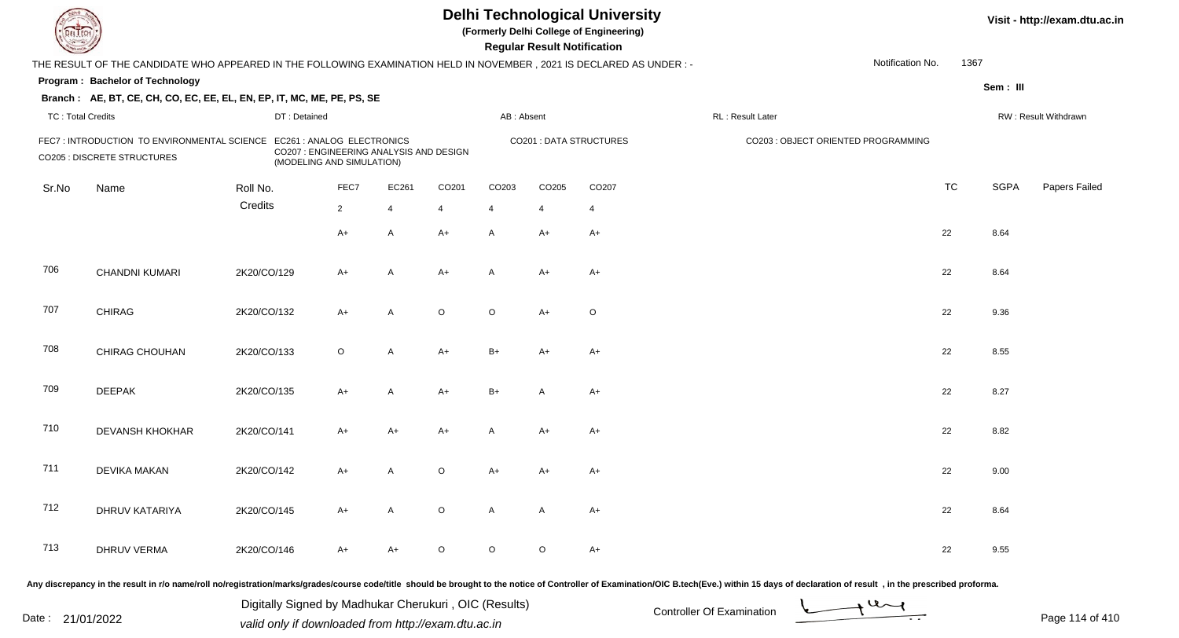| <b>DELTEC</b>            |                                                                                                                                                                                                                                |             |                                                         |                |                                         |                   |                   | <b>Regular Result Notification</b> | <b>Delhi Technological University</b><br>(Formerly Delhi College of Engineering) |                   |                                     |           |             | Visit - http://exam.dtu.ac.in |
|--------------------------|--------------------------------------------------------------------------------------------------------------------------------------------------------------------------------------------------------------------------------|-------------|---------------------------------------------------------|----------------|-----------------------------------------|-------------------|-------------------|------------------------------------|----------------------------------------------------------------------------------|-------------------|-------------------------------------|-----------|-------------|-------------------------------|
|                          | THE RESULT OF THE CANDIDATE WHO APPEARED IN THE FOLLOWING EXAMINATION HELD IN NOVEMBER, 2021 IS DECLARED AS UNDER:-                                                                                                            |             |                                                         |                |                                         |                   |                   |                                    |                                                                                  |                   | Notification No.                    | 1367      |             |                               |
|                          | Program: Bachelor of Technology                                                                                                                                                                                                |             |                                                         |                |                                         |                   |                   |                                    |                                                                                  |                   |                                     |           | Sem: III    |                               |
|                          | Branch: AE, BT, CE, CH, CO, EC, EE, EL, EN, EP, IT, MC, ME, PE, PS, SE                                                                                                                                                         |             |                                                         |                |                                         |                   |                   |                                    |                                                                                  |                   |                                     |           |             |                               |
| <b>TC: Total Credits</b> |                                                                                                                                                                                                                                |             | DT: Detained                                            |                |                                         |                   | AB: Absent        |                                    |                                                                                  | RL : Result Later |                                     |           |             | RW: Result Withdrawn          |
|                          | FEC7: INTRODUCTION TO ENVIRONMENTAL SCIENCE<br><b>CO205 : DISCRETE STRUCTURES</b>                                                                                                                                              |             | EC261 : ANALOG ELECTRONICS<br>(MODELING AND SIMULATION) |                | CO207 : ENGINEERING ANALYSIS AND DESIGN |                   |                   |                                    | <b>CO201: DATA STRUCTURES</b>                                                    |                   | CO203 : OBJECT ORIENTED PROGRAMMING |           |             |                               |
| Sr.No                    | Name                                                                                                                                                                                                                           | Roll No.    |                                                         | FEC7           | EC261                                   | CO <sub>201</sub> | CO <sub>203</sub> | CO205                              | CO <sub>207</sub>                                                                |                   |                                     | <b>TC</b> | <b>SGPA</b> | Papers Failed                 |
|                          |                                                                                                                                                                                                                                | Credits     |                                                         | $\overline{2}$ | $\overline{4}$                          | 4                 | $\overline{4}$    | 4                                  | $\overline{4}$                                                                   |                   |                                     |           |             |                               |
|                          |                                                                                                                                                                                                                                |             |                                                         | $A+$           | A                                       | $A+$              | A                 | A+                                 | $A+$                                                                             |                   |                                     | 22        | 8.64        |                               |
| 706                      | CHANDNI KUMARI                                                                                                                                                                                                                 | 2K20/CO/129 |                                                         | $A+$           | $\overline{A}$                          | $A+$              | A                 | $A+$                               | $A+$                                                                             |                   |                                     | 22        | 8.64        |                               |
| 707                      | <b>CHIRAG</b>                                                                                                                                                                                                                  | 2K20/CO/132 |                                                         | $A+$           | A                                       | $\circ$           | $\circ$           | $A+$                               | $\circ$                                                                          |                   |                                     | 22        | 9.36        |                               |
| 708                      | CHIRAG CHOUHAN                                                                                                                                                                                                                 | 2K20/CO/133 |                                                         | $\circ$        | A                                       | $A+$              | $B+$              | $A+$                               | $A+$                                                                             |                   |                                     | 22        | 8.55        |                               |
| 709                      | <b>DEEPAK</b>                                                                                                                                                                                                                  | 2K20/CO/135 |                                                         | $A+$           | A                                       | $A+$              | $B+$              | A                                  | $A+$                                                                             |                   |                                     | 22        | 8.27        |                               |
| 710                      | DEVANSH KHOKHAR                                                                                                                                                                                                                | 2K20/CO/141 |                                                         | $A+$           | A+                                      | $A+$              | A                 | $A+$                               | $A+$                                                                             |                   |                                     | 22        | 8.82        |                               |
| 711                      | <b>DEVIKA MAKAN</b>                                                                                                                                                                                                            | 2K20/CO/142 |                                                         | A+             | A                                       | $\circ$           | A+                | A+                                 | $A+$                                                                             |                   |                                     | 22        | 9.00        |                               |
| 712                      | DHRUV KATARIYA                                                                                                                                                                                                                 | 2K20/CO/145 |                                                         | $A+$           | A                                       | $\circ$           | A                 | A                                  | $A+$                                                                             |                   |                                     | 22        | 8.64        |                               |
| 713                      | <b>DHRUV VERMA</b>                                                                                                                                                                                                             | 2K20/CO/146 |                                                         | $A+$           | A+                                      | $\circ$           | $\circ$           | $\circ$                            | $A+$                                                                             |                   |                                     | 22        | 9.55        |                               |
|                          | Any discrepancy in the result in r/o name/roll no/registration/marks/grades/course code/title should be brought to the notice of Controller of Examination/OIC B.tech(Eve.) within 15 days of declaration of result , in the p |             |                                                         |                |                                         |                   |                   |                                    |                                                                                  |                   |                                     |           |             |                               |

Date : 21/01/2022 Digital Digital of Controller Of Examination Determination Date : 21/01/2022 valid only if downloaded from http://exam.dtu.ac.in Digitally Signed by Madhukar Cherukuri , OIC (Results)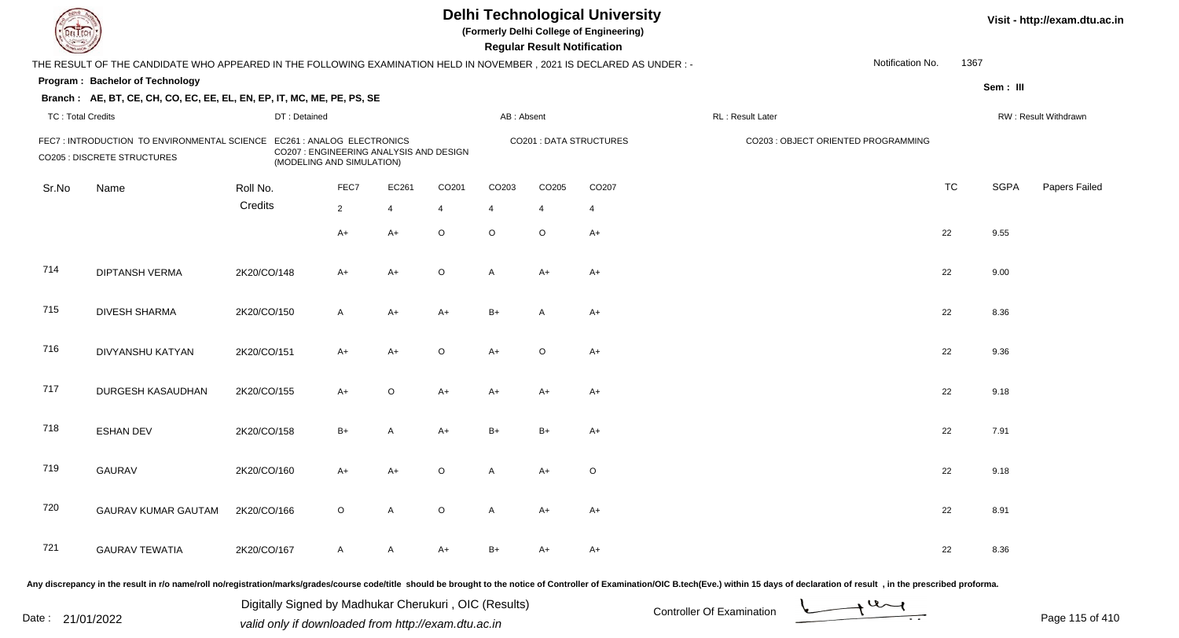| EL ECH                   |                                                                                                                      |              |                                                                                                    |                |         |                | <b>Regular Result Notification</b> | <b>Delhi Technological University</b><br>(Formerly Delhi College of Engineering) |                                     |                  |           |             | Visit - http://exam.dtu.ac.in |
|--------------------------|----------------------------------------------------------------------------------------------------------------------|--------------|----------------------------------------------------------------------------------------------------|----------------|---------|----------------|------------------------------------|----------------------------------------------------------------------------------|-------------------------------------|------------------|-----------|-------------|-------------------------------|
|                          | THE RESULT OF THE CANDIDATE WHO APPEARED IN THE FOLLOWING EXAMINATION HELD IN NOVEMBER, 2021 IS DECLARED AS UNDER :- |              |                                                                                                    |                |         |                |                                    |                                                                                  |                                     | Notification No. | 1367      |             |                               |
|                          | Program: Bachelor of Technology                                                                                      |              |                                                                                                    |                |         |                |                                    |                                                                                  |                                     |                  |           | Sem: III    |                               |
|                          | Branch: AE, BT, CE, CH, CO, EC, EE, EL, EN, EP, IT, MC, ME, PE, PS, SE                                               |              |                                                                                                    |                |         |                |                                    |                                                                                  |                                     |                  |           |             |                               |
| <b>TC: Total Credits</b> |                                                                                                                      | DT: Detained |                                                                                                    |                |         | AB: Absent     |                                    |                                                                                  | RL : Result Later                   |                  |           |             | RW: Result Withdrawn          |
|                          | FEC7: INTRODUCTION TO ENVIRONMENTAL SCIENCE<br><b>CO205 : DISCRETE STRUCTURES</b>                                    |              | EC261 : ANALOG ELECTRONICS<br>CO207 : ENGINEERING ANALYSIS AND DESIGN<br>(MODELING AND SIMULATION) |                |         |                |                                    | <b>CO201: DATA STRUCTURES</b>                                                    | CO203 : OBJECT ORIENTED PROGRAMMING |                  |           |             |                               |
| Sr.No                    | Name                                                                                                                 | Roll No.     | FEC7                                                                                               | EC261          | CO201   | CO203          | CO205                              | CO207                                                                            |                                     |                  | <b>TC</b> | <b>SGPA</b> | Papers Failed                 |
|                          |                                                                                                                      | Credits      | $2^{\circ}$                                                                                        | $\overline{4}$ | -4      | $\overline{4}$ | $\overline{4}$                     | $\overline{4}$                                                                   |                                     |                  |           |             |                               |
|                          |                                                                                                                      |              | A+                                                                                                 | $A+$           | $\circ$ | $\circ$        | $\circ$                            | $A+$                                                                             |                                     |                  | 22        | 9.55        |                               |
| 714                      | <b>DIPTANSH VERMA</b>                                                                                                | 2K20/CO/148  | A+                                                                                                 | $A+$           | $\circ$ | A              | $A+$                               | $A+$                                                                             |                                     |                  | 22        | 9.00        |                               |
| 715                      | <b>DIVESH SHARMA</b>                                                                                                 | 2K20/CO/150  | A                                                                                                  | $A+$           | $A+$    | $B+$           | A                                  | $A+$                                                                             |                                     |                  | 22        | 8.36        |                               |
| 716                      | DIVYANSHU KATYAN                                                                                                     | 2K20/CO/151  | $A+$                                                                                               | $A+$           | $\circ$ | $A+$           | $\circ$                            | $A+$                                                                             |                                     |                  | 22        | 9.36        |                               |
| 717                      | DURGESH KASAUDHAN                                                                                                    | 2K20/CO/155  | $A+$                                                                                               | $\circ$        | $A+$    | $A+$           | $A+$                               | $A+$                                                                             |                                     |                  | 22        | 9.18        |                               |
| 718                      | <b>ESHAN DEV</b>                                                                                                     | 2K20/CO/158  | $B+$                                                                                               | A              | $A+$    | $B+$           | $B+$                               | $A+$                                                                             |                                     |                  | 22        | 7.91        |                               |
| 719                      | <b>GAURAV</b>                                                                                                        | 2K20/CO/160  | A+                                                                                                 | $A+$           | $\circ$ | A              | $A+$                               | $\circ$                                                                          |                                     |                  | 22        | 9.18        |                               |
| 720                      | <b>GAURAV KUMAR GAUTAM</b>                                                                                           | 2K20/CO/166  | $\circ$                                                                                            | A              | $\circ$ | A              | A+                                 | A+                                                                               |                                     |                  | 22        | 8.91        |                               |
| 721                      | <b>GAURAV TEWATIA</b>                                                                                                | 2K20/CO/167  | A                                                                                                  | A              | A+      | $B+$           | A+                                 | A+                                                                               |                                     |                  | 22        | 8.36        |                               |
|                          |                                                                                                                      |              |                                                                                                    |                |         |                |                                    |                                                                                  |                                     |                  |           |             |                               |

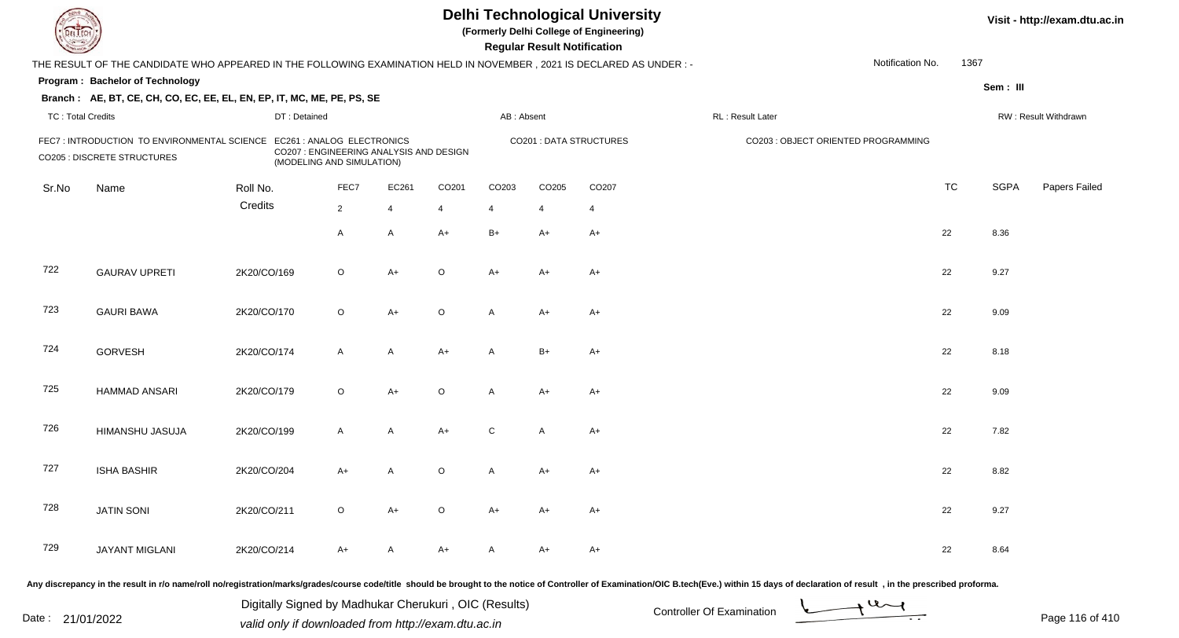| EL LECH.                 |                                                                                                                      |              |                                                                      |                |         |              | <b>Regular Result Notification</b> | <b>Delhi Technological University</b><br>(Formerly Delhi College of Engineering) |                                     |                  |           |             | Visit - http://exam.dtu.ac.in |
|--------------------------|----------------------------------------------------------------------------------------------------------------------|--------------|----------------------------------------------------------------------|----------------|---------|--------------|------------------------------------|----------------------------------------------------------------------------------|-------------------------------------|------------------|-----------|-------------|-------------------------------|
|                          | THE RESULT OF THE CANDIDATE WHO APPEARED IN THE FOLLOWING EXAMINATION HELD IN NOVEMBER, 2021 IS DECLARED AS UNDER :- |              |                                                                      |                |         |              |                                    |                                                                                  |                                     | Notification No. | 1367      |             |                               |
|                          | Program: Bachelor of Technology                                                                                      |              |                                                                      |                |         |              |                                    |                                                                                  |                                     |                  |           | Sem: III    |                               |
|                          | Branch: AE, BT, CE, CH, CO, EC, EE, EL, EN, EP, IT, MC, ME, PE, PS, SE                                               |              |                                                                      |                |         |              |                                    |                                                                                  |                                     |                  |           |             |                               |
| <b>TC: Total Credits</b> |                                                                                                                      | DT: Detained |                                                                      |                |         | AB: Absent   |                                    |                                                                                  | RL: Result Later                    |                  |           |             | RW: Result Withdrawn          |
|                          | FEC7: INTRODUCTION TO ENVIRONMENTAL SCIENCE EC261: ANALOG ELECTRONICS<br><b>CO205 : DISCRETE STRUCTURES</b>          |              | CO207 : ENGINEERING ANALYSIS AND DESIGN<br>(MODELING AND SIMULATION) |                |         |              |                                    | CO201 : DATA STRUCTURES                                                          | CO203 : OBJECT ORIENTED PROGRAMMING |                  |           |             |                               |
| Sr.No                    | Name                                                                                                                 | Roll No.     | FEC7                                                                 | EC261          | CO201   | CO203        | CO205                              | CO207                                                                            |                                     |                  | <b>TC</b> | <b>SGPA</b> | Papers Failed                 |
|                          |                                                                                                                      | Credits      | $2^{\circ}$                                                          | $\overline{4}$ | 4       | 4            | 4                                  | $\overline{4}$                                                                   |                                     |                  |           |             |                               |
|                          |                                                                                                                      |              | A                                                                    | A              | $A+$    | $B+$         | A+                                 | A+                                                                               |                                     |                  | 22        | 8.36        |                               |
| 722                      | <b>GAURAV UPRETI</b>                                                                                                 | 2K20/CO/169  | $\circ$                                                              | $A+$           | $\circ$ | $A+$         | A+                                 | A+                                                                               |                                     |                  | 22        | 9.27        |                               |
| 723                      | <b>GAURI BAWA</b>                                                                                                    | 2K20/CO/170  | $\circ$                                                              | $A+$           | $\circ$ | $\mathsf{A}$ | A+                                 | $A+$                                                                             |                                     |                  | 22        | 9.09        |                               |
| 724                      | <b>GORVESH</b>                                                                                                       | 2K20/CO/174  | A                                                                    | A              | $A+$    | $\mathsf{A}$ | $B+$                               | $A+$                                                                             |                                     |                  | 22        | 8.18        |                               |
| 725                      | <b>HAMMAD ANSARI</b>                                                                                                 | 2K20/CO/179  | $\circ$                                                              | $A+$           | $\circ$ | $\mathsf{A}$ | A+                                 | A+                                                                               |                                     |                  | 22        | 9.09        |                               |
| 726                      | HIMANSHU JASUJA                                                                                                      | 2K20/CO/199  | $\mathsf{A}$                                                         | A              | $A+$    | C            | A                                  | A+                                                                               |                                     |                  | 22        | 7.82        |                               |
| 727                      | <b>ISHA BASHIR</b>                                                                                                   | 2K20/CO/204  | A+                                                                   | A              | O       | A            | A+                                 | A+                                                                               |                                     |                  | 22        | 8.82        |                               |
| 728                      | <b>JATIN SONI</b>                                                                                                    | 2K20/CO/211  | $\circ$                                                              | A+             | $\circ$ | A+           | A+                                 | A+                                                                               |                                     |                  | 22        | 9.27        |                               |
| 729                      | JAYANT MIGLANI                                                                                                       | 2K20/CO/214  | A+                                                                   | A              | A+      | A            | A+                                 | A+                                                                               |                                     |                  | 22        | 8.64        |                               |
|                          |                                                                                                                      |              |                                                                      |                |         |              |                                    |                                                                                  |                                     |                  |           |             |                               |

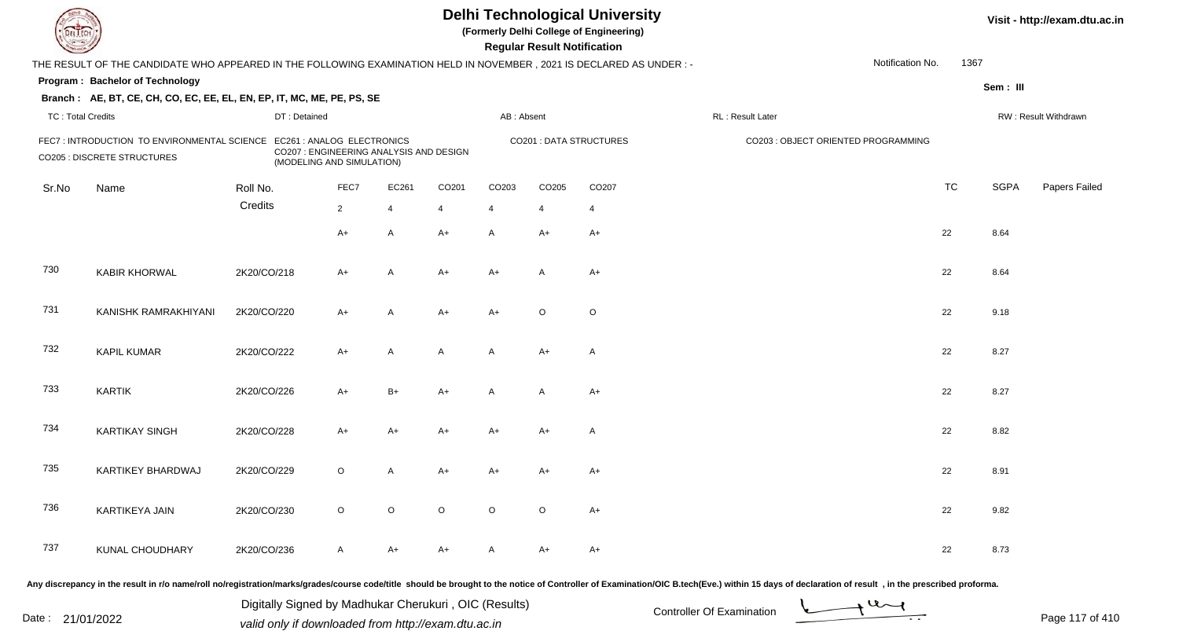| <b>DELTEC</b>            |                                                                                                                                                                                                                                |             |                                                                                                    |                |                |                   |                   | <b>Regular Result Notification</b> | <b>Delhi Technological University</b><br>(Formerly Delhi College of Engineering) |                                     |                  |           |             | Visit - http://exam.dtu.ac.in |
|--------------------------|--------------------------------------------------------------------------------------------------------------------------------------------------------------------------------------------------------------------------------|-------------|----------------------------------------------------------------------------------------------------|----------------|----------------|-------------------|-------------------|------------------------------------|----------------------------------------------------------------------------------|-------------------------------------|------------------|-----------|-------------|-------------------------------|
|                          | THE RESULT OF THE CANDIDATE WHO APPEARED IN THE FOLLOWING EXAMINATION HELD IN NOVEMBER, 2021 IS DECLARED AS UNDER :-                                                                                                           |             |                                                                                                    |                |                |                   |                   |                                    |                                                                                  |                                     | Notification No. | 1367      |             |                               |
|                          | Program: Bachelor of Technology                                                                                                                                                                                                |             |                                                                                                    |                |                |                   |                   |                                    |                                                                                  |                                     |                  |           | Sem: III    |                               |
|                          | Branch: AE, BT, CE, CH, CO, EC, EE, EL, EN, EP, IT, MC, ME, PE, PS, SE                                                                                                                                                         |             |                                                                                                    |                |                |                   |                   |                                    |                                                                                  |                                     |                  |           |             |                               |
| <b>TC: Total Credits</b> |                                                                                                                                                                                                                                |             | DT: Detained                                                                                       |                |                |                   | AB: Absent        |                                    |                                                                                  | RL : Result Later                   |                  |           |             | RW: Result Withdrawn          |
|                          | FEC7 : INTRODUCTION TO ENVIRONMENTAL SCIENCE<br><b>CO205 : DISCRETE STRUCTURES</b>                                                                                                                                             |             | EC261 : ANALOG ELECTRONICS<br>CO207 : ENGINEERING ANALYSIS AND DESIGN<br>(MODELING AND SIMULATION) |                |                |                   |                   |                                    | <b>CO201: DATA STRUCTURES</b>                                                    | CO203 : OBJECT ORIENTED PROGRAMMING |                  |           |             |                               |
| Sr.No                    | Name                                                                                                                                                                                                                           | Roll No.    |                                                                                                    | FEC7           | EC261          | CO <sub>201</sub> | CO <sub>203</sub> | CO205                              | CO <sub>207</sub>                                                                |                                     |                  | <b>TC</b> | <b>SGPA</b> | Papers Failed                 |
|                          |                                                                                                                                                                                                                                | Credits     |                                                                                                    | $\overline{2}$ | $\overline{4}$ | 4                 | $\overline{4}$    | $\overline{4}$                     | $\overline{4}$                                                                   |                                     |                  |           |             |                               |
|                          |                                                                                                                                                                                                                                |             |                                                                                                    | $A+$           | A              | $A+$              | A                 | $A+$                               | $A+$                                                                             |                                     |                  | 22        | 8.64        |                               |
| 730                      | <b>KABIR KHORWAL</b>                                                                                                                                                                                                           | 2K20/CO/218 |                                                                                                    | $A+$           | $\overline{A}$ | A+                | $A+$              | A                                  | $A+$                                                                             |                                     |                  | 22        | 8.64        |                               |
| 731                      | KANISHK RAMRAKHIYANI                                                                                                                                                                                                           | 2K20/CO/220 |                                                                                                    | $A+$           | A              | $A+$              | $A+$              | $\circ$                            | $\circ$                                                                          |                                     |                  | 22        | 9.18        |                               |
| 732                      | <b>KAPIL KUMAR</b>                                                                                                                                                                                                             | 2K20/CO/222 |                                                                                                    | $A+$           | A              | A                 | A                 | $A+$                               | $\mathsf{A}$                                                                     |                                     |                  | 22        | 8.27        |                               |
| 733                      | <b>KARTIK</b>                                                                                                                                                                                                                  | 2K20/CO/226 |                                                                                                    | $A+$           | $B+$           | $A+$              | A                 | $\overline{A}$                     | $A+$                                                                             |                                     |                  | 22        | 8.27        |                               |
| 734                      | <b>KARTIKAY SINGH</b>                                                                                                                                                                                                          | 2K20/CO/228 |                                                                                                    | $A+$           | $A+$           | $A+$              | A+                | $A+$                               | A                                                                                |                                     |                  | 22        | 8.82        |                               |
| 735                      | KARTIKEY BHARDWAJ                                                                                                                                                                                                              | 2K20/CO/229 |                                                                                                    | $\circ$        | A              | A+                | A+                | A+                                 | $A+$                                                                             |                                     |                  | 22        | 8.91        |                               |
| 736                      | KARTIKEYA JAIN                                                                                                                                                                                                                 | 2K20/CO/230 |                                                                                                    | $\circ$        | $\circ$        | $\circ$           | $\circ$           | $\circ$                            | $A+$                                                                             |                                     |                  | 22        | 9.82        |                               |
| 737                      | KUNAL CHOUDHARY                                                                                                                                                                                                                | 2K20/CO/236 |                                                                                                    | $\mathsf{A}$   | A+             | A+                | A                 | A+                                 | $A+$                                                                             |                                     |                  | 22        | 8.73        |                               |
|                          | Any discrepancy in the result in r/o name/roll no/registration/marks/grades/course code/title should be brought to the notice of Controller of Examination/OIC B.tech(Eve.) within 15 days of declaration of result , in the p |             |                                                                                                    |                |                |                   |                   |                                    |                                                                                  |                                     |                  |           |             |                               |

Date : 21/01/2022 Digital Digital of Microsofted Chemical Controller Of Examination Determination Page 117 of 41 Digitally Signed by Madhukar Cherukuri , OIC (Results)

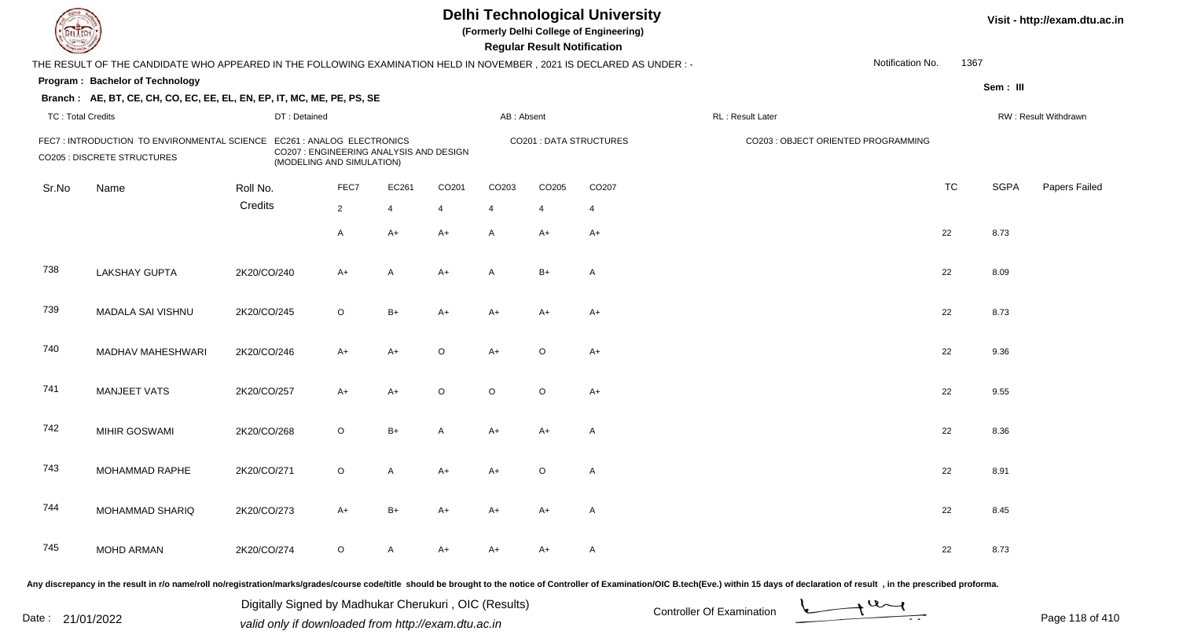| <b>DELTEC</b>            |                                                                                                                      |              |                                                                                                    |                |                   |                   | <b>Regular Result Notification</b> | <b>Delhi Technological University</b><br>(Formerly Delhi College of Engineering) |                                                                                                                                                                                                                                |                  |           |             | Visit - http://exam.dtu.ac.in |
|--------------------------|----------------------------------------------------------------------------------------------------------------------|--------------|----------------------------------------------------------------------------------------------------|----------------|-------------------|-------------------|------------------------------------|----------------------------------------------------------------------------------|--------------------------------------------------------------------------------------------------------------------------------------------------------------------------------------------------------------------------------|------------------|-----------|-------------|-------------------------------|
|                          | THE RESULT OF THE CANDIDATE WHO APPEARED IN THE FOLLOWING EXAMINATION HELD IN NOVEMBER, 2021 IS DECLARED AS UNDER :- |              |                                                                                                    |                |                   |                   |                                    |                                                                                  |                                                                                                                                                                                                                                | Notification No. | 1367      |             |                               |
|                          | Program: Bachelor of Technology                                                                                      |              |                                                                                                    |                |                   |                   |                                    |                                                                                  |                                                                                                                                                                                                                                |                  |           | Sem: III    |                               |
|                          | Branch: AE, BT, CE, CH, CO, EC, EE, EL, EN, EP, IT, MC, ME, PE, PS, SE                                               |              |                                                                                                    |                |                   |                   |                                    |                                                                                  |                                                                                                                                                                                                                                |                  |           |             |                               |
| <b>TC: Total Credits</b> |                                                                                                                      | DT: Detained |                                                                                                    |                |                   | AB: Absent        |                                    |                                                                                  | RL : Result Later                                                                                                                                                                                                              |                  |           |             | RW: Result Withdrawn          |
|                          | FEC7 : INTRODUCTION TO ENVIRONMENTAL SCIENCE<br><b>CO205 : DISCRETE STRUCTURES</b>                                   |              | EC261 : ANALOG ELECTRONICS<br>CO207 : ENGINEERING ANALYSIS AND DESIGN<br>(MODELING AND SIMULATION) |                |                   |                   |                                    | <b>CO201: DATA STRUCTURES</b>                                                    | CO203 : OBJECT ORIENTED PROGRAMMING                                                                                                                                                                                            |                  |           |             |                               |
| Sr.No                    | Name                                                                                                                 | Roll No.     | FEC7                                                                                               | EC261          | CO <sub>201</sub> | CO <sub>203</sub> | CO205                              | CO <sub>207</sub>                                                                |                                                                                                                                                                                                                                |                  | <b>TC</b> | <b>SGPA</b> | Papers Failed                 |
|                          |                                                                                                                      | Credits      | $\overline{2}$                                                                                     | $\overline{4}$ | 4                 | $\overline{4}$    | $\overline{4}$                     | $\overline{4}$                                                                   |                                                                                                                                                                                                                                |                  |           |             |                               |
|                          |                                                                                                                      |              | $\mathsf{A}$                                                                                       | $A+$           | $A+$              | A                 | A+                                 | $A+$                                                                             |                                                                                                                                                                                                                                |                  | 22        | 8.73        |                               |
| 738                      | <b>LAKSHAY GUPTA</b>                                                                                                 | 2K20/CO/240  | $A+$                                                                                               | A              | $A+$              | A                 | $B+$                               | A                                                                                |                                                                                                                                                                                                                                |                  | 22        | 8.09        |                               |
| 739                      | MADALA SAI VISHNU                                                                                                    | 2K20/CO/245  | $\circ$                                                                                            | $B+$           | $A+$              | $A+$              | $A+$                               | $A+$                                                                             |                                                                                                                                                                                                                                |                  | 22        | 8.73        |                               |
| 740                      | MADHAV MAHESHWARI                                                                                                    | 2K20/CO/246  | $A+$                                                                                               | $A+$           | $\circ$           | $A+$              | $\circ$                            | $A+$                                                                             |                                                                                                                                                                                                                                |                  | 22        | 9.36        |                               |
| 741                      | <b>MANJEET VATS</b>                                                                                                  | 2K20/CO/257  | $A+$                                                                                               | $A+$           | $\circ$           | $\circ$           | $\circ$                            | $A+$                                                                             |                                                                                                                                                                                                                                |                  | 22        | 9.55        |                               |
| 742                      | MIHIR GOSWAMI                                                                                                        | 2K20/CO/268  | $\circ$                                                                                            | $B+$           | A                 | $A+$              | $A+$                               | A                                                                                |                                                                                                                                                                                                                                |                  | 22        | 8.36        |                               |
| 743                      | MOHAMMAD RAPHE                                                                                                       | 2K20/CO/271  | $\circ$                                                                                            | A              | A+                | A+                | $\circ$                            | $\mathsf{A}$                                                                     |                                                                                                                                                                                                                                |                  | 22        | 8.91        |                               |
| 744                      | MOHAMMAD SHARIQ                                                                                                      | 2K20/CO/273  | $A+$                                                                                               | B+             | A+                | A+                | A+                                 | A                                                                                |                                                                                                                                                                                                                                |                  | 22        | 8.45        |                               |
| 745                      | MOHD ARMAN                                                                                                           | 2K20/CO/274  | $\circ$                                                                                            | A              | A+                | A+                | A+                                 | A                                                                                |                                                                                                                                                                                                                                |                  | 22        | 8.73        |                               |
|                          |                                                                                                                      |              |                                                                                                    |                |                   |                   |                                    |                                                                                  | Any discrepancy in the result in r/o name/roll no/registration/marks/grades/course code/title should be brought to the notice of Controller of Examination/OIC B.tech(Eve.) within 15 days of declaration of result , in the p |                  |           |             |                               |

Date : 21/01/2022 Digital Digital of Microsofted Chemical Controller Of Examination Determination Page 118 of 41 Digitally Signed by Madhukar Cherukuri , OIC (Results)



Page 118 of 410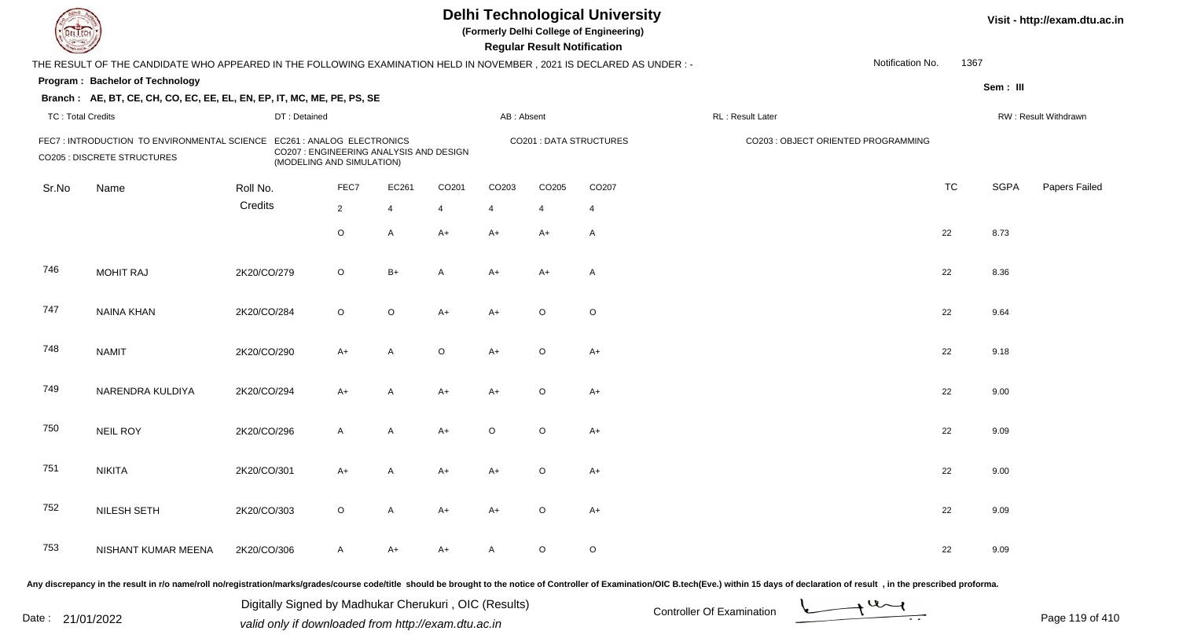| EL ECH                   |                                                                                                                        |              |                                                                                                    |                |         |            | <b>Regular Result Notification</b> | <b>Delhi Technological University</b><br>(Formerly Delhi College of Engineering) |                                     |                  |           |             | Visit - http://exam.dtu.ac.in |
|--------------------------|------------------------------------------------------------------------------------------------------------------------|--------------|----------------------------------------------------------------------------------------------------|----------------|---------|------------|------------------------------------|----------------------------------------------------------------------------------|-------------------------------------|------------------|-----------|-------------|-------------------------------|
|                          | THE RESULT OF THE CANDIDATE WHO APPEARED IN THE FOLLOWING EXAMINATION HELD IN NOVEMBER , 2021 IS DECLARED AS UNDER : - |              |                                                                                                    |                |         |            |                                    |                                                                                  |                                     | Notification No. | 1367      |             |                               |
|                          | Program: Bachelor of Technology                                                                                        |              |                                                                                                    |                |         |            |                                    |                                                                                  |                                     |                  |           | Sem: III    |                               |
|                          | Branch: AE, BT, CE, CH, CO, EC, EE, EL, EN, EP, IT, MC, ME, PE, PS, SE                                                 |              |                                                                                                    |                |         |            |                                    |                                                                                  |                                     |                  |           |             |                               |
| <b>TC: Total Credits</b> |                                                                                                                        | DT: Detained |                                                                                                    |                |         | AB: Absent |                                    |                                                                                  | RL : Result Later                   |                  |           |             | RW: Result Withdrawn          |
|                          | FEC7 : INTRODUCTION TO ENVIRONMENTAL SCIENCE<br><b>CO205 : DISCRETE STRUCTURES</b>                                     |              | EC261 : ANALOG ELECTRONICS<br>CO207 : ENGINEERING ANALYSIS AND DESIGN<br>(MODELING AND SIMULATION) |                |         |            |                                    | <b>CO201: DATA STRUCTURES</b>                                                    | CO203 : OBJECT ORIENTED PROGRAMMING |                  |           |             |                               |
| Sr.No                    | Name                                                                                                                   | Roll No.     | FEC7                                                                                               | EC261          | CO201   | CO203      | CO205                              | CO207                                                                            |                                     |                  | <b>TC</b> | <b>SGPA</b> | Papers Failed                 |
|                          |                                                                                                                        | Credits      | $\overline{2}$                                                                                     | $\overline{4}$ | 4       | 4          | $\overline{4}$                     | $\overline{4}$                                                                   |                                     |                  |           |             |                               |
|                          |                                                                                                                        |              | $\circ$                                                                                            | $\mathsf{A}$   | $A+$    | $A+$       | A+                                 | A                                                                                |                                     |                  | 22        | 8.73        |                               |
| 746                      | <b>MOHIT RAJ</b>                                                                                                       | 2K20/CO/279  | $\circ$                                                                                            | $B+$           | A       | $A+$       | $A+$                               | $\overline{A}$                                                                   |                                     |                  | 22        | 8.36        |                               |
| 747                      | <b>NAINA KHAN</b>                                                                                                      | 2K20/CO/284  | $\circ$                                                                                            | $\circ$        | $A+$    | $A+$       | $\circ$                            | $\circ$                                                                          |                                     |                  | 22        | 9.64        |                               |
| 748                      | <b>NAMIT</b>                                                                                                           | 2K20/CO/290  | $A+$                                                                                               | A              | $\circ$ | $A+$       | $\circ$                            | $A+$                                                                             |                                     |                  | 22        | 9.18        |                               |
| 749                      | NARENDRA KULDIYA                                                                                                       | 2K20/CO/294  | $A+$                                                                                               | A              | $A+$    | $A+$       | $\circ$                            | $A+$                                                                             |                                     |                  | 22        | 9.00        |                               |
| 750                      | <b>NEIL ROY</b>                                                                                                        | 2K20/CO/296  | $\mathsf{A}$                                                                                       | $\mathsf{A}$   | $A+$    | $\circ$    | $\circ$                            | $A+$                                                                             |                                     |                  | 22        | 9.09        |                               |
| 751                      | <b>NIKITA</b>                                                                                                          | 2K20/CO/301  | A+                                                                                                 | A              | $A+$    | A+         | $\circ$                            | $A+$                                                                             |                                     |                  | 22        | 9.00        |                               |
| 752                      | NILESH SETH                                                                                                            | 2K20/CO/303  | $\circ$                                                                                            | A              | A+      | A+         | $\circ$                            | A+                                                                               |                                     |                  | 22        | 9.09        |                               |
| 753                      | NISHANT KUMAR MEENA                                                                                                    | 2K20/CO/306  | A                                                                                                  | A+             | A+      | A          | $\circ$                            | $\circ$                                                                          |                                     |                  | 22        | 9.09        |                               |
|                          |                                                                                                                        |              |                                                                                                    |                |         |            |                                    |                                                                                  |                                     |                  |           |             |                               |

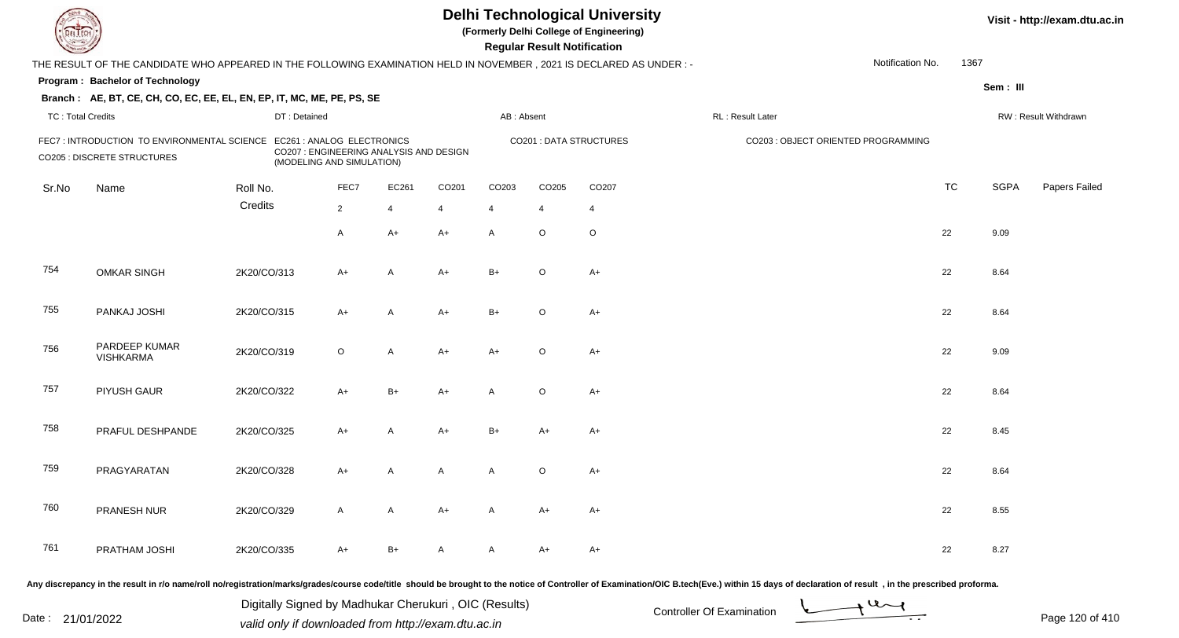| <b>DELTEC</b>            |                                                                                                                                                                                                                                |             |                                                         |                |                                         |                   |                   | <b>Regular Result Notification</b> | <b>Delhi Technological University</b><br>(Formerly Delhi College of Engineering) |                   |                                     |           |             | Visit - http://exam.dtu.ac.in |
|--------------------------|--------------------------------------------------------------------------------------------------------------------------------------------------------------------------------------------------------------------------------|-------------|---------------------------------------------------------|----------------|-----------------------------------------|-------------------|-------------------|------------------------------------|----------------------------------------------------------------------------------|-------------------|-------------------------------------|-----------|-------------|-------------------------------|
|                          | THE RESULT OF THE CANDIDATE WHO APPEARED IN THE FOLLOWING EXAMINATION HELD IN NOVEMBER, 2021 IS DECLARED AS UNDER :-                                                                                                           |             |                                                         |                |                                         |                   |                   |                                    |                                                                                  |                   | Notification No.                    | 1367      |             |                               |
|                          | Program: Bachelor of Technology                                                                                                                                                                                                |             |                                                         |                |                                         |                   |                   |                                    |                                                                                  |                   |                                     |           | Sem: III    |                               |
|                          | Branch: AE, BT, CE, CH, CO, EC, EE, EL, EN, EP, IT, MC, ME, PE, PS, SE                                                                                                                                                         |             |                                                         |                |                                         |                   |                   |                                    |                                                                                  |                   |                                     |           |             |                               |
| <b>TC: Total Credits</b> |                                                                                                                                                                                                                                |             | DT: Detained                                            |                |                                         |                   | AB: Absent        |                                    |                                                                                  | RL : Result Later |                                     |           |             | RW: Result Withdrawn          |
|                          | FEC7 : INTRODUCTION TO ENVIRONMENTAL SCIENCE<br><b>CO205 : DISCRETE STRUCTURES</b>                                                                                                                                             |             | EC261 : ANALOG ELECTRONICS<br>(MODELING AND SIMULATION) |                | CO207 : ENGINEERING ANALYSIS AND DESIGN |                   |                   |                                    | <b>CO201: DATA STRUCTURES</b>                                                    |                   | CO203 : OBJECT ORIENTED PROGRAMMING |           |             |                               |
| Sr.No                    | Name                                                                                                                                                                                                                           | Roll No.    |                                                         | FEC7           | EC261                                   | CO <sub>201</sub> | CO <sub>203</sub> | CO205                              | CO <sub>207</sub>                                                                |                   |                                     | <b>TC</b> | <b>SGPA</b> | Papers Failed                 |
|                          |                                                                                                                                                                                                                                | Credits     |                                                         | $\overline{2}$ | $\overline{4}$                          | 4                 | $\overline{4}$    | 4                                  | $\overline{4}$                                                                   |                   |                                     |           |             |                               |
|                          |                                                                                                                                                                                                                                |             |                                                         | $\mathsf{A}$   | $A+$                                    | $A+$              | A                 | $\circ$                            | $\circ$                                                                          |                   |                                     | 22        | 9.09        |                               |
| 754                      | <b>OMKAR SINGH</b>                                                                                                                                                                                                             | 2K20/CO/313 |                                                         | $A+$           | $\overline{A}$                          | A+                | $B+$              | O                                  | $A+$                                                                             |                   |                                     | 22        | 8.64        |                               |
| 755                      | PANKAJ JOSHI                                                                                                                                                                                                                   | 2K20/CO/315 |                                                         | $A+$           | A                                       | $A+$              | $B+$              | $\circ$                            | $A+$                                                                             |                   |                                     | 22        | 8.64        |                               |
| 756                      | PARDEEP KUMAR<br><b>VISHKARMA</b>                                                                                                                                                                                              | 2K20/CO/319 |                                                         | $\circ$        | A                                       | $A+$              | $A+$              | $\circ$                            | $A+$                                                                             |                   |                                     | 22        | 9.09        |                               |
| 757                      | PIYUSH GAUR                                                                                                                                                                                                                    | 2K20/CO/322 |                                                         | $A+$           | $B+$                                    | A+                | A                 | $\circ$                            | $A+$                                                                             |                   |                                     | 22        | 8.64        |                               |
| 758                      | PRAFUL DESHPANDE                                                                                                                                                                                                               | 2K20/CO/325 |                                                         | $A+$           | A                                       | $A+$              | $B+$              | A+                                 | $A+$                                                                             |                   |                                     | 22        | 8.45        |                               |
| 759                      | PRAGYARATAN                                                                                                                                                                                                                    | 2K20/CO/328 |                                                         | A+             | A                                       | A                 | A                 | $\circ$                            | $A+$                                                                             |                   |                                     | 22        | 8.64        |                               |
| 760                      | PRANESH NUR                                                                                                                                                                                                                    | 2K20/CO/329 |                                                         | A              | A                                       | A+                | A                 | A+                                 | $A+$                                                                             |                   |                                     | 22        | 8.55        |                               |
| 761                      | PRATHAM JOSHI                                                                                                                                                                                                                  | 2K20/CO/335 |                                                         | $A+$           | $B+$                                    | A                 | A                 | A+                                 | $A+$                                                                             |                   |                                     | 22        | 8.27        |                               |
|                          | Any discrepancy in the result in r/o name/roll no/registration/marks/grades/course code/title should be brought to the notice of Controller of Examination/OIC B.tech(Eve.) within 15 days of declaration of result , in the p |             |                                                         |                |                                         |                   |                   |                                    |                                                                                  |                   |                                     |           |             |                               |

Date : 21/01/2022 Digital Digital of Microsofted Chemical Controller Of Examination Determination Page 120 of 41 Digitally Signed by Madhukar Cherukuri , OIC (Results)

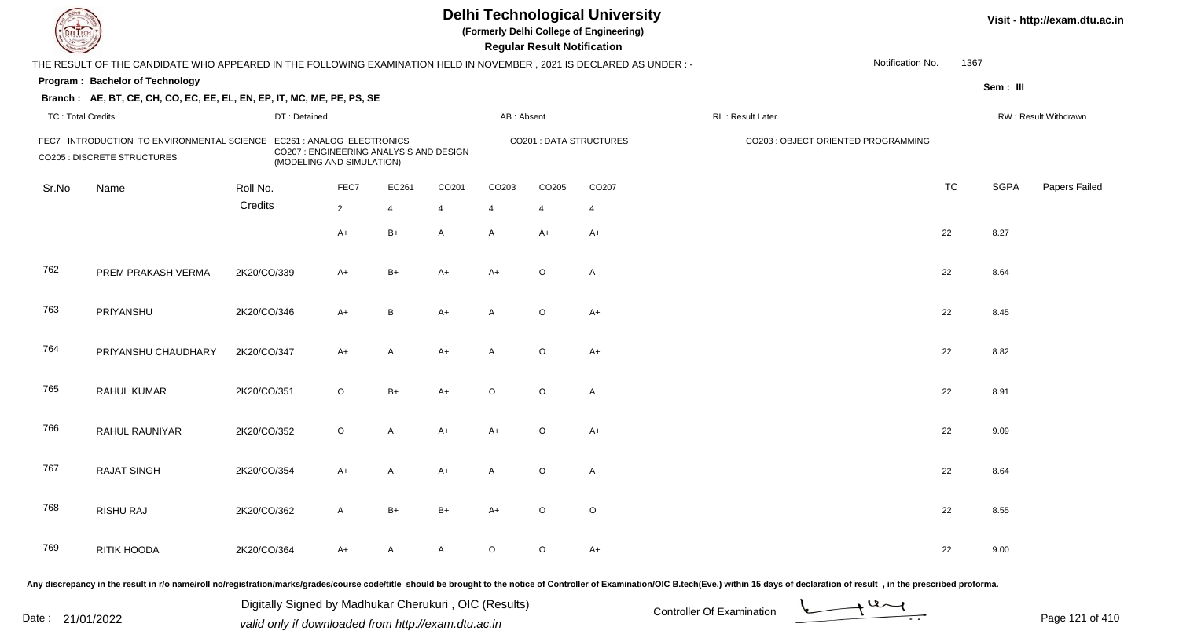| <b>DELTEC</b>            |                                                                                                                      |             |                                                                                                    |                |                   |                   | <b>Regular Result Notification</b> | <b>Delhi Technological University</b><br>(Formerly Delhi College of Engineering) |                                                                                                                                                                                                                                |                  |           |             | Visit - http://exam.dtu.ac.in |
|--------------------------|----------------------------------------------------------------------------------------------------------------------|-------------|----------------------------------------------------------------------------------------------------|----------------|-------------------|-------------------|------------------------------------|----------------------------------------------------------------------------------|--------------------------------------------------------------------------------------------------------------------------------------------------------------------------------------------------------------------------------|------------------|-----------|-------------|-------------------------------|
|                          | THE RESULT OF THE CANDIDATE WHO APPEARED IN THE FOLLOWING EXAMINATION HELD IN NOVEMBER, 2021 IS DECLARED AS UNDER :- |             |                                                                                                    |                |                   |                   |                                    |                                                                                  |                                                                                                                                                                                                                                | Notification No. | 1367      |             |                               |
|                          | Program: Bachelor of Technology                                                                                      |             |                                                                                                    |                |                   |                   |                                    |                                                                                  |                                                                                                                                                                                                                                |                  |           | Sem: III    |                               |
|                          | Branch: AE, BT, CE, CH, CO, EC, EE, EL, EN, EP, IT, MC, ME, PE, PS, SE                                               |             |                                                                                                    |                |                   |                   |                                    |                                                                                  |                                                                                                                                                                                                                                |                  |           |             |                               |
| <b>TC: Total Credits</b> |                                                                                                                      |             | DT: Detained                                                                                       |                |                   | AB: Absent        |                                    |                                                                                  | RL : Result Later                                                                                                                                                                                                              |                  |           |             | RW: Result Withdrawn          |
|                          | FEC7 : INTRODUCTION TO ENVIRONMENTAL SCIENCE<br><b>CO205 : DISCRETE STRUCTURES</b>                                   |             | EC261 : ANALOG ELECTRONICS<br>CO207 : ENGINEERING ANALYSIS AND DESIGN<br>(MODELING AND SIMULATION) |                |                   |                   |                                    | <b>CO201: DATA STRUCTURES</b>                                                    | CO203 : OBJECT ORIENTED PROGRAMMING                                                                                                                                                                                            |                  |           |             |                               |
| Sr.No                    | Name                                                                                                                 | Roll No.    | FEC7                                                                                               | EC261          | CO <sub>201</sub> | CO <sub>203</sub> | CO205                              | CO <sub>207</sub>                                                                |                                                                                                                                                                                                                                |                  | <b>TC</b> | <b>SGPA</b> | Papers Failed                 |
|                          |                                                                                                                      | Credits     | $\overline{2}$                                                                                     | $\overline{4}$ | 4                 | $\overline{4}$    | $\overline{4}$                     | $\overline{4}$                                                                   |                                                                                                                                                                                                                                |                  |           |             |                               |
|                          |                                                                                                                      |             | $A+$                                                                                               | $B+$           | $\mathsf{A}$      | A                 | A+                                 | $A+$                                                                             |                                                                                                                                                                                                                                |                  | 22        | 8.27        |                               |
| 762                      | PREM PRAKASH VERMA                                                                                                   | 2K20/CO/339 | $A+$                                                                                               | $B+$           | $A+$              | $A+$              | $\circ$                            | A                                                                                |                                                                                                                                                                                                                                |                  | 22        | 8.64        |                               |
| 763                      | PRIYANSHU                                                                                                            | 2K20/CO/346 | $A+$                                                                                               | B              | $A+$              | A                 | $\circ$                            | $A+$                                                                             |                                                                                                                                                                                                                                |                  | 22        | 8.45        |                               |
| 764                      | PRIYANSHU CHAUDHARY                                                                                                  | 2K20/CO/347 | $A+$                                                                                               | A              | $A+$              | A                 | $\circ$                            | $A+$                                                                             |                                                                                                                                                                                                                                |                  | 22        | 8.82        |                               |
| 765                      | <b>RAHUL KUMAR</b>                                                                                                   | 2K20/CO/351 | $\circ$                                                                                            | $B+$           | $A+$              | $\circ$           | $\circ$                            | $\mathsf{A}$                                                                     |                                                                                                                                                                                                                                |                  | 22        | 8.91        |                               |
| 766                      | RAHUL RAUNIYAR                                                                                                       | 2K20/CO/352 | $\circ$                                                                                            | A              | $A+$              | $A+$              | $\circ$                            | $A+$                                                                             |                                                                                                                                                                                                                                |                  | 22        | 9.09        |                               |
| 767                      | <b>RAJAT SINGH</b>                                                                                                   | 2K20/CO/354 | A+                                                                                                 | A              | $A+$              | A                 | $\circ$                            | $\mathsf{A}$                                                                     |                                                                                                                                                                                                                                |                  | 22        | 8.64        |                               |
| 768                      | <b>RISHU RAJ</b>                                                                                                     | 2K20/CO/362 | A                                                                                                  | $B+$           | B+                | A+                | $\circ$                            | $\circ$                                                                          |                                                                                                                                                                                                                                |                  | 22        | 8.55        |                               |
| 769                      | RITIK HOODA                                                                                                          | 2K20/CO/364 | $A+$                                                                                               | A              | A                 | $\circ$           | $\circ$                            | $A+$                                                                             |                                                                                                                                                                                                                                |                  | 22        | 9.00        |                               |
|                          |                                                                                                                      |             |                                                                                                    |                |                   |                   |                                    |                                                                                  | Any discrepancy in the result in r/o name/roll no/registration/marks/grades/course code/title should be brought to the notice of Controller of Examination/OIC B.tech(Eve.) within 15 days of declaration of result , in the p |                  |           |             |                               |

Date : 21/01/2022 Digital Digital of Microsofted Chemical Controller Of Examination Determination Page 121 of 41 Digitally Signed by Madhukar Cherukuri , OIC (Results)

Page 121 of 410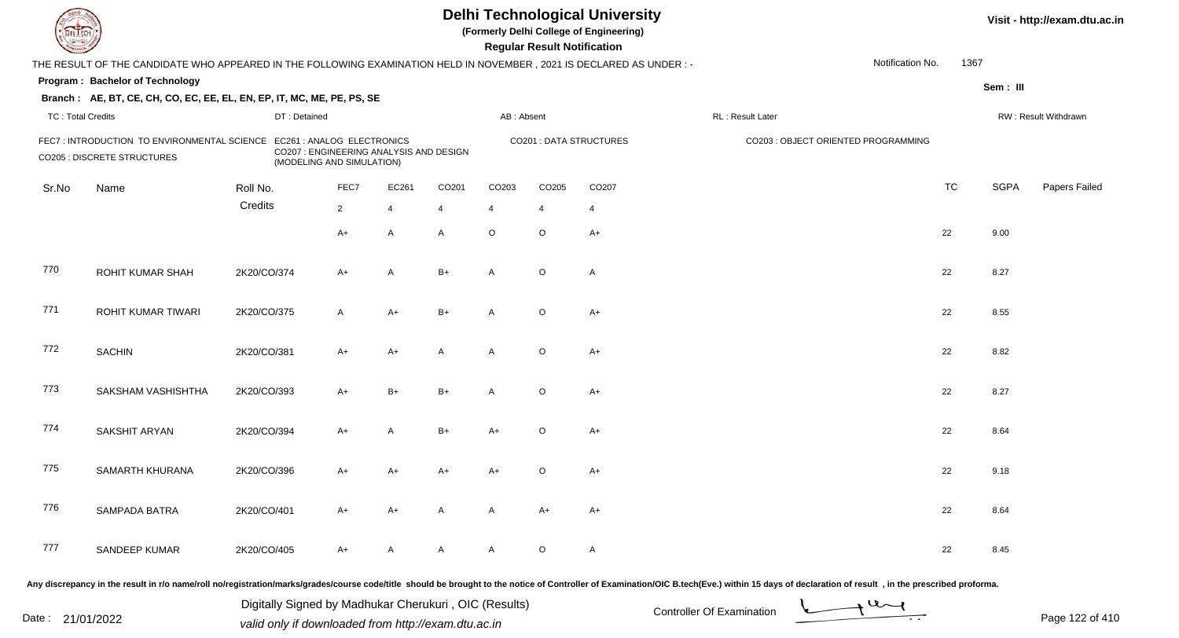| <b>DELTEC</b>            |                                                                                                                      |             |                                                                                                    |                |                |                   |                   | <b>Regular Result Notification</b> | <b>Delhi Technological University</b><br>(Formerly Delhi College of Engineering) |                                                                                                                                                                                                                                |                  |           |             | Visit - http://exam.dtu.ac.in |
|--------------------------|----------------------------------------------------------------------------------------------------------------------|-------------|----------------------------------------------------------------------------------------------------|----------------|----------------|-------------------|-------------------|------------------------------------|----------------------------------------------------------------------------------|--------------------------------------------------------------------------------------------------------------------------------------------------------------------------------------------------------------------------------|------------------|-----------|-------------|-------------------------------|
|                          | THE RESULT OF THE CANDIDATE WHO APPEARED IN THE FOLLOWING EXAMINATION HELD IN NOVEMBER, 2021 IS DECLARED AS UNDER :- |             |                                                                                                    |                |                |                   |                   |                                    |                                                                                  |                                                                                                                                                                                                                                | Notification No. | 1367      |             |                               |
|                          | Program: Bachelor of Technology                                                                                      |             |                                                                                                    |                |                |                   |                   |                                    |                                                                                  |                                                                                                                                                                                                                                |                  |           | Sem: III    |                               |
|                          | Branch: AE, BT, CE, CH, CO, EC, EE, EL, EN, EP, IT, MC, ME, PE, PS, SE                                               |             |                                                                                                    |                |                |                   |                   |                                    |                                                                                  |                                                                                                                                                                                                                                |                  |           |             |                               |
| <b>TC: Total Credits</b> |                                                                                                                      |             | DT: Detained                                                                                       |                |                |                   | AB: Absent        |                                    |                                                                                  | RL : Result Later                                                                                                                                                                                                              |                  |           |             | RW: Result Withdrawn          |
|                          | FEC7 : INTRODUCTION TO ENVIRONMENTAL SCIENCE<br><b>CO205 : DISCRETE STRUCTURES</b>                                   |             | EC261 : ANALOG ELECTRONICS<br>CO207 : ENGINEERING ANALYSIS AND DESIGN<br>(MODELING AND SIMULATION) |                |                |                   |                   |                                    | <b>CO201: DATA STRUCTURES</b>                                                    | CO203 : OBJECT ORIENTED PROGRAMMING                                                                                                                                                                                            |                  |           |             |                               |
| Sr.No                    | Name                                                                                                                 | Roll No.    |                                                                                                    | FEC7           | EC261          | CO <sub>201</sub> | CO <sub>203</sub> | CO205                              | CO <sub>207</sub>                                                                |                                                                                                                                                                                                                                |                  | <b>TC</b> | <b>SGPA</b> | Papers Failed                 |
|                          |                                                                                                                      | Credits     |                                                                                                    | $\overline{2}$ | $\overline{4}$ | 4                 | $\overline{4}$    | 4                                  | $\overline{4}$                                                                   |                                                                                                                                                                                                                                |                  |           |             |                               |
|                          |                                                                                                                      |             |                                                                                                    | $A+$           | A              | $\mathsf{A}$      | $\circ$           | $\circ$                            | $A+$                                                                             |                                                                                                                                                                                                                                |                  | 22        | 9.00        |                               |
| 770                      | ROHIT KUMAR SHAH                                                                                                     | 2K20/CO/374 |                                                                                                    | $A+$           | A              | $B+$              | A                 | $\circ$                            | A                                                                                |                                                                                                                                                                                                                                |                  | 22        | 8.27        |                               |
| 771                      | ROHIT KUMAR TIWARI                                                                                                   | 2K20/CO/375 |                                                                                                    | $\mathsf{A}$   | $A+$           | $B+$              | A                 | $\circ$                            | $A+$                                                                             |                                                                                                                                                                                                                                |                  | 22        | 8.55        |                               |
| 772                      | <b>SACHIN</b>                                                                                                        | 2K20/CO/381 |                                                                                                    | $A+$           | $A+$           | A                 | A                 | $\circ$                            | $A+$                                                                             |                                                                                                                                                                                                                                |                  | 22        | 8.82        |                               |
| 773                      | SAKSHAM VASHISHTHA                                                                                                   | 2K20/CO/393 |                                                                                                    | $A+$           | $B+$           | $B+$              | A                 | $\circ$                            | $A+$                                                                             |                                                                                                                                                                                                                                |                  | 22        | 8.27        |                               |
| 774                      | SAKSHIT ARYAN                                                                                                        | 2K20/CO/394 |                                                                                                    | $A+$           | A              | $B+$              | A+                | $\circ$                            | $A+$                                                                             |                                                                                                                                                                                                                                |                  | 22        | 8.64        |                               |
| 775                      | SAMARTH KHURANA                                                                                                      | 2K20/CO/396 |                                                                                                    | A+             | $A+$           | A+                | A+                | $\circ$                            | $A+$                                                                             |                                                                                                                                                                                                                                |                  | 22        | 9.18        |                               |
| 776                      | SAMPADA BATRA                                                                                                        | 2K20/CO/401 |                                                                                                    | A+             | A+             | A                 | A                 | A+                                 | $A+$                                                                             |                                                                                                                                                                                                                                |                  | 22        | 8.64        |                               |
| 777                      | SANDEEP KUMAR                                                                                                        | 2K20/CO/405 |                                                                                                    | $A+$           | A              | A                 | A                 | $\circ$                            | $\mathsf{A}$                                                                     |                                                                                                                                                                                                                                |                  | 22        | 8.45        |                               |
|                          |                                                                                                                      |             |                                                                                                    |                |                |                   |                   |                                    |                                                                                  | Any discrepancy in the result in r/o name/roll no/registration/marks/grades/course code/title should be brought to the notice of Controller of Examination/OIC B.tech(Eve.) within 15 days of declaration of result , in the p |                  |           |             |                               |

Date : 21/01/2022 Digital Digital of Microsofted Chemical Controller Of Examination Determination Page 122 of 41 Digitally Signed by Madhukar Cherukuri , OIC (Results)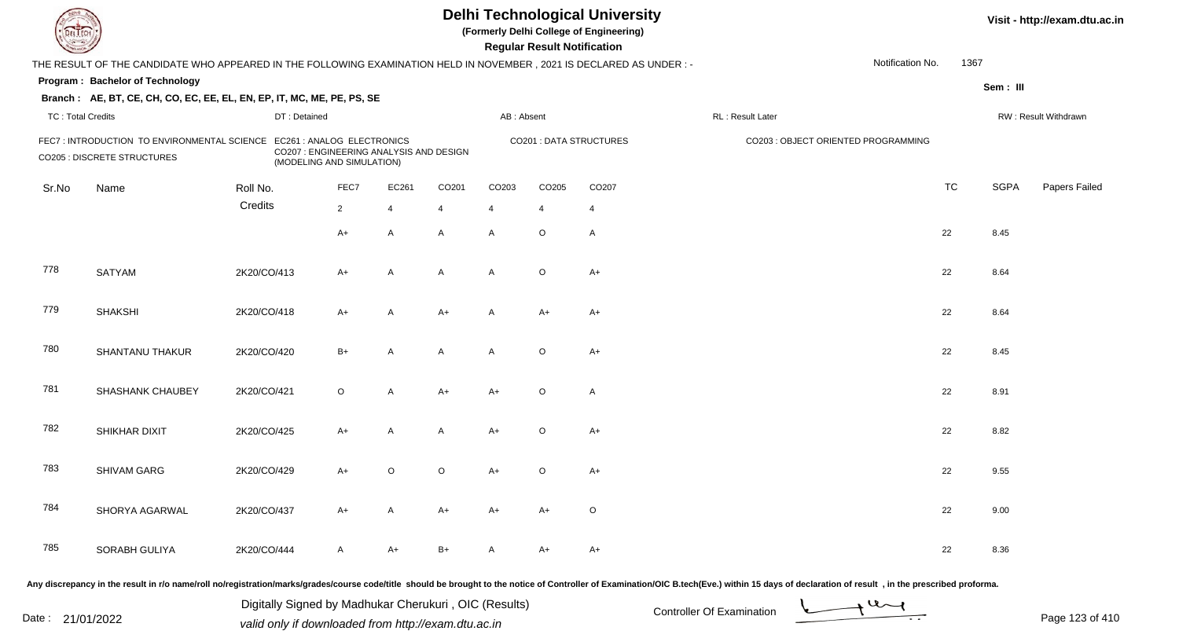| <b>DELTEC</b>            |                                                                                                                      |              |                                                                                                    |                |                   |                   | <b>Regular Result Notification</b> | <b>Delhi Technological University</b><br>(Formerly Delhi College of Engineering) |                                                                                                                                                                                                                                |                  |           |             | Visit - http://exam.dtu.ac.in |
|--------------------------|----------------------------------------------------------------------------------------------------------------------|--------------|----------------------------------------------------------------------------------------------------|----------------|-------------------|-------------------|------------------------------------|----------------------------------------------------------------------------------|--------------------------------------------------------------------------------------------------------------------------------------------------------------------------------------------------------------------------------|------------------|-----------|-------------|-------------------------------|
|                          | THE RESULT OF THE CANDIDATE WHO APPEARED IN THE FOLLOWING EXAMINATION HELD IN NOVEMBER, 2021 IS DECLARED AS UNDER :- |              |                                                                                                    |                |                   |                   |                                    |                                                                                  |                                                                                                                                                                                                                                | Notification No. | 1367      |             |                               |
|                          | Program: Bachelor of Technology                                                                                      |              |                                                                                                    |                |                   |                   |                                    |                                                                                  |                                                                                                                                                                                                                                |                  |           | Sem: III    |                               |
|                          | Branch: AE, BT, CE, CH, CO, EC, EE, EL, EN, EP, IT, MC, ME, PE, PS, SE                                               |              |                                                                                                    |                |                   |                   |                                    |                                                                                  |                                                                                                                                                                                                                                |                  |           |             |                               |
| <b>TC: Total Credits</b> |                                                                                                                      | DT: Detained |                                                                                                    |                |                   | AB: Absent        |                                    |                                                                                  | RL : Result Later                                                                                                                                                                                                              |                  |           |             | RW: Result Withdrawn          |
|                          | FEC7 : INTRODUCTION TO ENVIRONMENTAL SCIENCE<br><b>CO205 : DISCRETE STRUCTURES</b>                                   |              | EC261 : ANALOG ELECTRONICS<br>CO207 : ENGINEERING ANALYSIS AND DESIGN<br>(MODELING AND SIMULATION) |                |                   |                   |                                    | <b>CO201: DATA STRUCTURES</b>                                                    | CO203 : OBJECT ORIENTED PROGRAMMING                                                                                                                                                                                            |                  |           |             |                               |
| Sr.No                    | Name                                                                                                                 | Roll No.     | FEC7                                                                                               | EC261          | CO <sub>201</sub> | CO <sub>203</sub> | CO205                              | CO <sub>207</sub>                                                                |                                                                                                                                                                                                                                |                  | <b>TC</b> | <b>SGPA</b> | Papers Failed                 |
|                          |                                                                                                                      | Credits      | $\overline{2}$                                                                                     | $\overline{4}$ | 4                 | $\overline{4}$    | $\overline{4}$                     | $\overline{4}$                                                                   |                                                                                                                                                                                                                                |                  |           |             |                               |
|                          |                                                                                                                      |              | $A+$                                                                                               | A              | $\mathsf{A}$      | A                 | $\circ$                            | $\mathsf{A}$                                                                     |                                                                                                                                                                                                                                |                  | 22        | 8.45        |                               |
| 778                      | <b>SATYAM</b>                                                                                                        | 2K20/CO/413  | $A+$                                                                                               | $\overline{A}$ | A                 | A                 | $\circ$                            | $A+$                                                                             |                                                                                                                                                                                                                                |                  | 22        | 8.64        |                               |
| 779                      | <b>SHAKSHI</b>                                                                                                       | 2K20/CO/418  | $A+$                                                                                               | A              | $A+$              | A                 | $A+$                               | $A+$                                                                             |                                                                                                                                                                                                                                |                  | 22        | 8.64        |                               |
| 780                      | <b>SHANTANU THAKUR</b>                                                                                               | 2K20/CO/420  | $B+$                                                                                               | A              | A                 | A                 | $\circ$                            | $A+$                                                                             |                                                                                                                                                                                                                                |                  | 22        | 8.45        |                               |
| 781                      | SHASHANK CHAUBEY                                                                                                     | 2K20/CO/421  | $\circ$                                                                                            | A              | $A+$              | $A+$              | $\circ$                            | $\mathsf{A}$                                                                     |                                                                                                                                                                                                                                |                  | 22        | 8.91        |                               |
| 782                      | SHIKHAR DIXIT                                                                                                        | 2K20/CO/425  | $A+$                                                                                               | A              | A                 | $A+$              | $\circ$                            | $A+$                                                                             |                                                                                                                                                                                                                                |                  | 22        | 8.82        |                               |
| 783                      | SHIVAM GARG                                                                                                          | 2K20/CO/429  | $A+$                                                                                               | $\circ$        | $\circ$           | A+                | $\circ$                            | $A+$                                                                             |                                                                                                                                                                                                                                |                  | 22        | 9.55        |                               |
| 784                      | SHORYA AGARWAL                                                                                                       | 2K20/CO/437  | A+                                                                                                 | A              | A+                | A+                | A+                                 | $\circ$                                                                          |                                                                                                                                                                                                                                |                  | 22        | 9.00        |                               |
| 785                      | SORABH GULIYA                                                                                                        | 2K20/CO/444  | A                                                                                                  | A+             | B+                | A                 | A+                                 | A+                                                                               |                                                                                                                                                                                                                                |                  | 22        | 8.36        |                               |
|                          |                                                                                                                      |              |                                                                                                    |                |                   |                   |                                    |                                                                                  | Any discrepancy in the result in r/o name/roll no/registration/marks/grades/course code/title should be brought to the notice of Controller of Examination/OIC B.tech(Eve.) within 15 days of declaration of result , in the p |                  |           |             |                               |

Date : 21/01/2022 Digital Digital of Microsofted Chemical Controller Of Examination Determination Page 123 of 41 Digitally Signed by Madhukar Cherukuri , OIC (Results)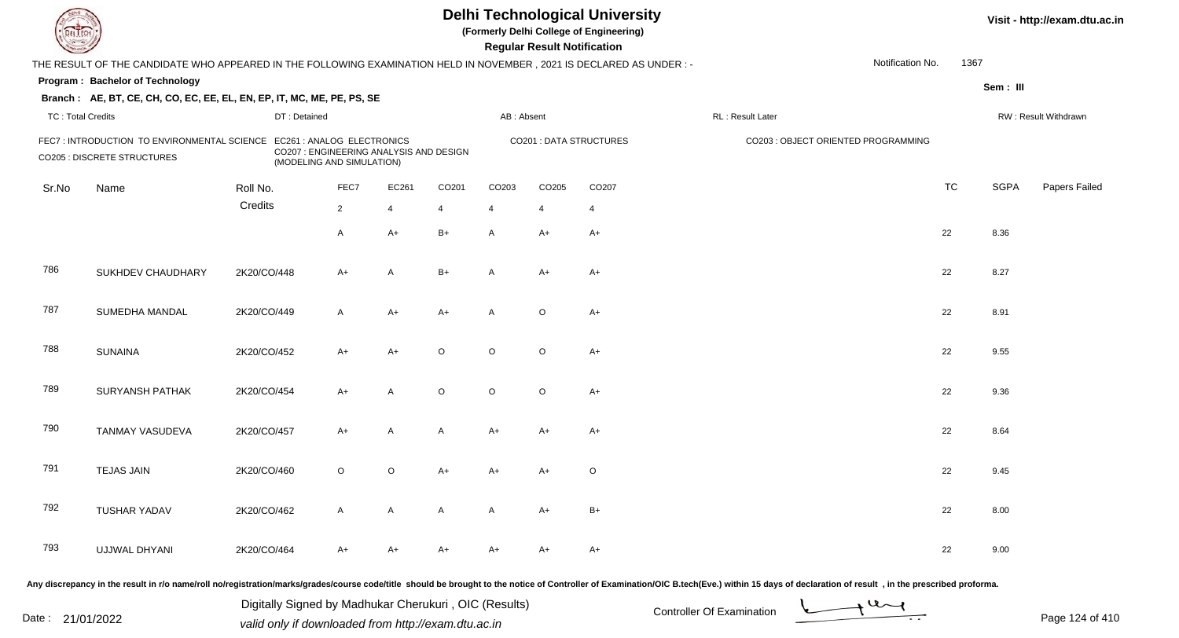| <b>DELTECH</b>           |                                                                                                                     |              |                                                                      |                |         |                   | <b>Regular Result Notification</b> | <b>Delhi Technological University</b><br>(Formerly Delhi College of Engineering) |                                                                                                                                                                                                                                |                  |           |             | Visit - http://exam.dtu.ac.in |
|--------------------------|---------------------------------------------------------------------------------------------------------------------|--------------|----------------------------------------------------------------------|----------------|---------|-------------------|------------------------------------|----------------------------------------------------------------------------------|--------------------------------------------------------------------------------------------------------------------------------------------------------------------------------------------------------------------------------|------------------|-----------|-------------|-------------------------------|
|                          | THE RESULT OF THE CANDIDATE WHO APPEARED IN THE FOLLOWING EXAMINATION HELD IN NOVEMBER, 2021 IS DECLARED AS UNDER:- |              |                                                                      |                |         |                   |                                    |                                                                                  |                                                                                                                                                                                                                                | Notification No. | 1367      |             |                               |
|                          | Program: Bachelor of Technology                                                                                     |              |                                                                      |                |         |                   |                                    |                                                                                  |                                                                                                                                                                                                                                |                  |           | Sem: III    |                               |
|                          | Branch: AE, BT, CE, CH, CO, EC, EE, EL, EN, EP, IT, MC, ME, PE, PS, SE                                              |              |                                                                      |                |         |                   |                                    |                                                                                  |                                                                                                                                                                                                                                |                  |           |             |                               |
| <b>TC: Total Credits</b> |                                                                                                                     | DT: Detained |                                                                      |                |         | AB: Absent        |                                    |                                                                                  | RL: Result Later                                                                                                                                                                                                               |                  |           |             | RW: Result Withdrawn          |
|                          | FEC7: INTRODUCTION TO ENVIRONMENTAL SCIENCE EC261: ANALOG ELECTRONICS<br><b>CO205 : DISCRETE STRUCTURES</b>         |              | CO207 : ENGINEERING ANALYSIS AND DESIGN<br>(MODELING AND SIMULATION) |                |         |                   |                                    | <b>CO201: DATA STRUCTURES</b>                                                    | CO203 : OBJECT ORIENTED PROGRAMMING                                                                                                                                                                                            |                  |           |             |                               |
| Sr.No                    | Name                                                                                                                | Roll No.     | FEC7                                                                 | EC261          | CO201   | CO <sub>203</sub> | CO <sub>205</sub>                  | CO <sub>207</sub>                                                                |                                                                                                                                                                                                                                |                  | <b>TC</b> | <b>SGPA</b> | Papers Failed                 |
|                          |                                                                                                                     | Credits      | $\overline{2}$                                                       | $\overline{4}$ | 4       | $\overline{4}$    | 4                                  | 4                                                                                |                                                                                                                                                                                                                                |                  |           |             |                               |
|                          |                                                                                                                     |              | $\mathsf{A}$                                                         | $A+$           | $B+$    | A                 | $A+$                               | $A+$                                                                             |                                                                                                                                                                                                                                |                  | 22        | 8.36        |                               |
| 786                      | SUKHDEV CHAUDHARY                                                                                                   | 2K20/CO/448  | $A+$                                                                 | A              | $B+$    | A                 | $A+$                               | $A+$                                                                             |                                                                                                                                                                                                                                |                  | 22        | 8.27        |                               |
| 787                      | SUMEDHA MANDAL                                                                                                      | 2K20/CO/449  | $\mathsf{A}$                                                         | A+             | $A+$    | A                 | $\circ$                            | $A+$                                                                             |                                                                                                                                                                                                                                |                  | 22        | 8.91        |                               |
| 788                      | <b>SUNAINA</b>                                                                                                      | 2K20/CO/452  | $A+$                                                                 | $A+$           | $\circ$ | $\circ$           | $\circ$                            | $A+$                                                                             |                                                                                                                                                                                                                                |                  | 22        | 9.55        |                               |
| 789                      | <b>SURYANSH PATHAK</b>                                                                                              | 2K20/CO/454  | $A+$                                                                 | A              | $\circ$ | $\circ$           | $\circ$                            | $A+$                                                                             |                                                                                                                                                                                                                                |                  | 22        | 9.36        |                               |
| 790                      | TANMAY VASUDEVA                                                                                                     | 2K20/CO/457  | $A+$                                                                 | A              | A       | $A+$              | $A+$                               | $A+$                                                                             |                                                                                                                                                                                                                                |                  | 22        | 8.64        |                               |
| 791                      | <b>TEJAS JAIN</b>                                                                                                   | 2K20/CO/460  | $\circ$                                                              | O              | A+      | A+                | A+                                 | $\circ$                                                                          |                                                                                                                                                                                                                                |                  | 22        | 9.45        |                               |
| 792                      | <b>TUSHAR YADAV</b>                                                                                                 | 2K20/CO/462  | A                                                                    | A              | A       | A                 | A+                                 | $B+$                                                                             |                                                                                                                                                                                                                                |                  | 22        | 8.00        |                               |
| 793                      | UJJWAL DHYANI                                                                                                       | 2K20/CO/464  | $A+$                                                                 | A+             | A+      | A+                | A+                                 | A+                                                                               |                                                                                                                                                                                                                                |                  | 22        | 9.00        |                               |
|                          |                                                                                                                     |              |                                                                      |                |         |                   |                                    |                                                                                  | Any discrepancy in the result in r/o name/roll no/registration/marks/grades/course code/title should be brought to the notice of Controller of Examination/OIC B.tech(Eve.) within 15 days of declaration of result , in the p |                  |           |             |                               |

Date : 21/01/2022 Digital Digital of Microsofted Chemical Controller Of Examination Determination Page 124 of 41 Digitally Signed by Madhukar Cherukuri , OIC (Results)

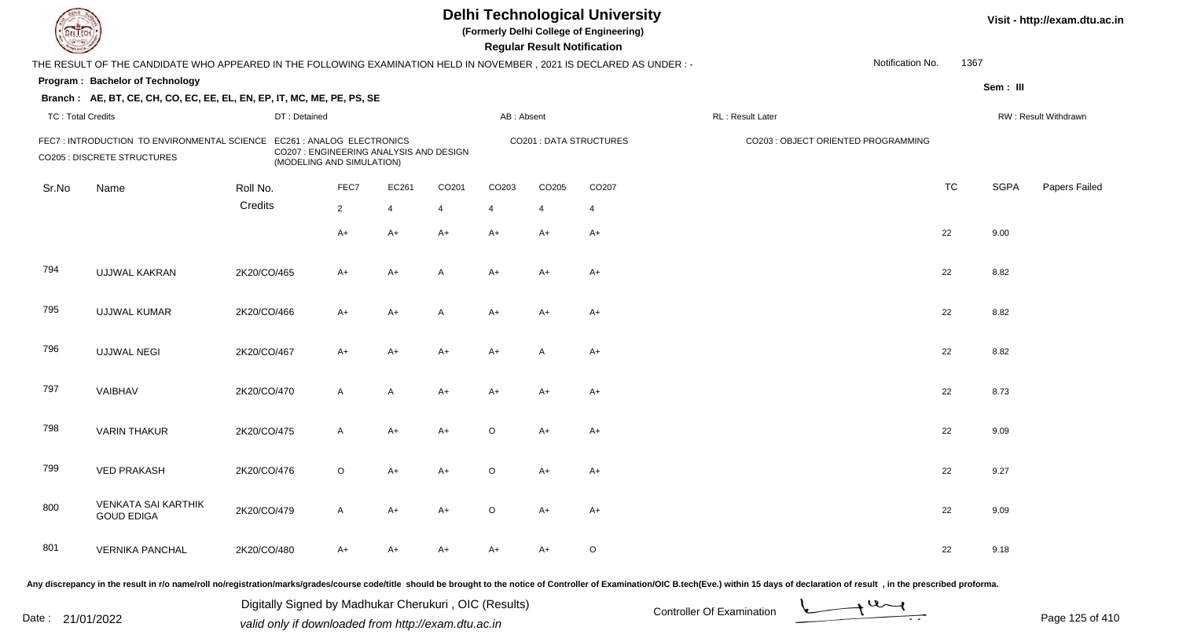|                          |                                                                                                                        |              |                                                                                                    |                |       |                | <b>Regular Result Notification</b> | <b>Delhi Technological University</b><br>(Formerly Delhi College of Engineering) |                                     |                  |           |             | Visit - http://exam.dtu.ac.in |
|--------------------------|------------------------------------------------------------------------------------------------------------------------|--------------|----------------------------------------------------------------------------------------------------|----------------|-------|----------------|------------------------------------|----------------------------------------------------------------------------------|-------------------------------------|------------------|-----------|-------------|-------------------------------|
|                          | THE RESULT OF THE CANDIDATE WHO APPEARED IN THE FOLLOWING EXAMINATION HELD IN NOVEMBER , 2021 IS DECLARED AS UNDER : - |              |                                                                                                    |                |       |                |                                    |                                                                                  |                                     | Notification No. | 1367      |             |                               |
|                          | Program: Bachelor of Technology                                                                                        |              |                                                                                                    |                |       |                |                                    |                                                                                  |                                     |                  |           | Sem: III    |                               |
|                          | Branch: AE, BT, CE, CH, CO, EC, EE, EL, EN, EP, IT, MC, ME, PE, PS, SE                                                 |              |                                                                                                    |                |       |                |                                    |                                                                                  |                                     |                  |           |             |                               |
| <b>TC: Total Credits</b> |                                                                                                                        | DT: Detained |                                                                                                    |                |       | AB: Absent     |                                    |                                                                                  | RL : Result Later                   |                  |           |             | RW: Result Withdrawn          |
|                          | FEC7 : INTRODUCTION TO ENVIRONMENTAL SCIENCE<br>CO205 : DISCRETE STRUCTURES                                            |              | EC261 : ANALOG ELECTRONICS<br>CO207 : ENGINEERING ANALYSIS AND DESIGN<br>(MODELING AND SIMULATION) |                |       |                |                                    | <b>CO201: DATA STRUCTURES</b>                                                    | CO203 : OBJECT ORIENTED PROGRAMMING |                  |           |             |                               |
| Sr.No                    | Name                                                                                                                   | Roll No.     | FEC7                                                                                               | EC261          | CO201 | CO203          | CO205                              | CO207                                                                            |                                     |                  | <b>TC</b> | <b>SGPA</b> | Papers Failed                 |
|                          |                                                                                                                        | Credits      | $\overline{2}$                                                                                     | $\overline{4}$ | 4     | $\overline{4}$ | $\overline{4}$                     | $\overline{4}$                                                                   |                                     |                  |           |             |                               |
|                          |                                                                                                                        |              | A+                                                                                                 | $A+$           | $A+$  | $A+$           | $A+$                               | $A+$                                                                             |                                     |                  | 22        | 9.00        |                               |
| 794                      | UJJWAL KAKRAN                                                                                                          | 2K20/CO/465  | A+                                                                                                 | $A+$           | A     | $A+$           | $A+$                               | $A+$                                                                             |                                     |                  | 22        | 8.82        |                               |
| 795                      | <b>UJJWAL KUMAR</b>                                                                                                    | 2K20/CO/466  | A+                                                                                                 | $A+$           | A     | $A+$           | A+                                 | A+                                                                               |                                     |                  | 22        | 8.82        |                               |
| 796                      | <b>UJJWAL NEGI</b>                                                                                                     | 2K20/CO/467  | A+                                                                                                 | $A+$           | $A+$  | $A+$           | $\mathsf{A}$                       | $A+$                                                                             |                                     |                  | 22        | 8.82        |                               |
| 797                      | VAIBHAV                                                                                                                | 2K20/CO/470  | $\mathsf{A}$                                                                                       | A              | $A+$  | A+             | A+                                 | $A+$                                                                             |                                     |                  | 22        | 8.73        |                               |
| 798                      | <b>VARIN THAKUR</b>                                                                                                    | 2K20/CO/475  | $\mathsf{A}$                                                                                       | $A+$           | $A+$  | $\circ$        | $A+$                               | $A+$                                                                             |                                     |                  | 22        | 9.09        |                               |
| 799                      | <b>VED PRAKASH</b>                                                                                                     | 2K20/CO/476  | $\circ$                                                                                            | A+             | A+    | $\circ$        | A+                                 | A+                                                                               |                                     |                  | 22        | 9.27        |                               |
| 800                      | <b>VENKATA SAI KARTHIK</b><br><b>GOUD EDIGA</b>                                                                        | 2K20/CO/479  | A                                                                                                  | $A+$           | A+    | $\circ$        | A+                                 | $A+$                                                                             |                                     |                  | 22        | 9.09        |                               |
| 801                      | <b>VERNIKA PANCHAL</b>                                                                                                 | 2K20/CO/480  | A+                                                                                                 | $A+$           | A+    | A+             | A+                                 | $\circ$                                                                          |                                     |                  | 22        | 9.18        |                               |
|                          |                                                                                                                        |              |                                                                                                    |                |       |                |                                    |                                                                                  |                                     |                  |           |             |                               |

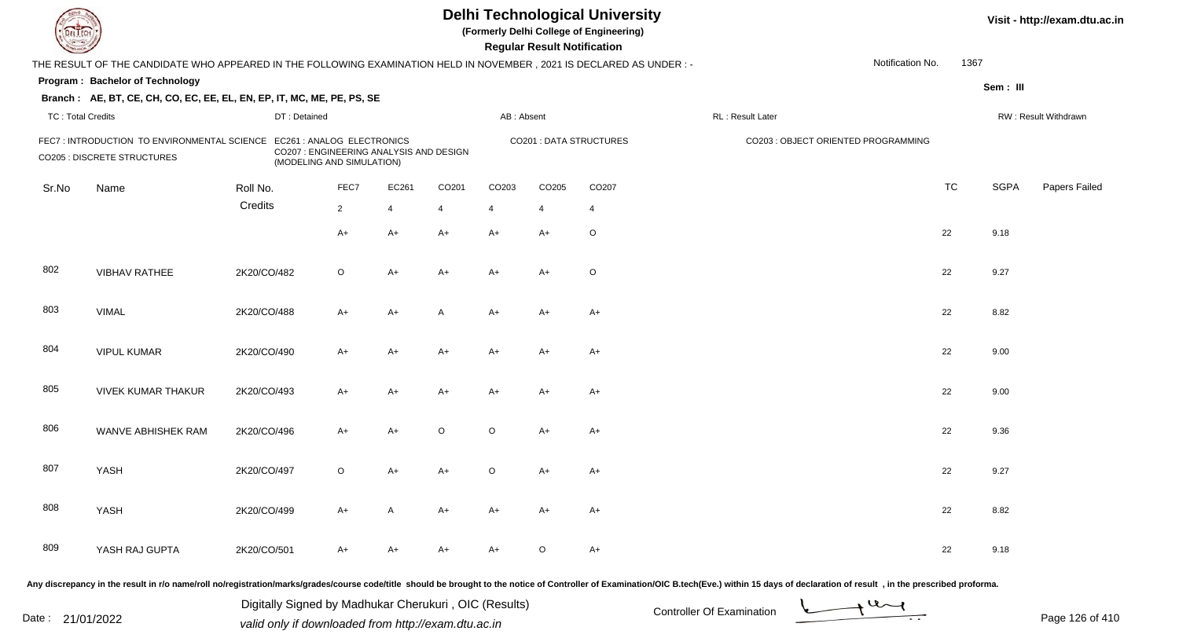| <b>DELTECH</b>           |                                                                                                                                                                                                                                |             |                                                                      |                |                |         |                | <b>Regular Result Notification</b> | <b>Delhi Technological University</b><br>(Formerly Delhi College of Engineering) |                                     |                  |           |             | Visit - http://exam.dtu.ac.in |
|--------------------------|--------------------------------------------------------------------------------------------------------------------------------------------------------------------------------------------------------------------------------|-------------|----------------------------------------------------------------------|----------------|----------------|---------|----------------|------------------------------------|----------------------------------------------------------------------------------|-------------------------------------|------------------|-----------|-------------|-------------------------------|
|                          | THE RESULT OF THE CANDIDATE WHO APPEARED IN THE FOLLOWING EXAMINATION HELD IN NOVEMBER, 2021 IS DECLARED AS UNDER :-                                                                                                           |             |                                                                      |                |                |         |                |                                    |                                                                                  |                                     | Notification No. | 1367      |             |                               |
|                          | Program: Bachelor of Technology                                                                                                                                                                                                |             |                                                                      |                |                |         |                |                                    |                                                                                  |                                     |                  |           | Sem: III    |                               |
|                          | Branch: AE, BT, CE, CH, CO, EC, EE, EL, EN, EP, IT, MC, ME, PE, PS, SE                                                                                                                                                         |             |                                                                      |                |                |         |                |                                    |                                                                                  |                                     |                  |           |             |                               |
| <b>TC: Total Credits</b> |                                                                                                                                                                                                                                |             | DT: Detained                                                         |                |                |         | AB: Absent     |                                    |                                                                                  | RL: Result Later                    |                  |           |             | RW: Result Withdrawn          |
|                          | FEC7: INTRODUCTION TO ENVIRONMENTAL SCIENCE EC261: ANALOG ELECTRONICS<br><b>CO205 : DISCRETE STRUCTURES</b>                                                                                                                    |             | CO207 : ENGINEERING ANALYSIS AND DESIGN<br>(MODELING AND SIMULATION) |                |                |         |                |                                    | <b>CO201: DATA STRUCTURES</b>                                                    | CO203 : OBJECT ORIENTED PROGRAMMING |                  |           |             |                               |
| Sr.No                    | Name                                                                                                                                                                                                                           | Roll No.    |                                                                      | FEC7           | EC261          | CO201   | CO203          | CO <sub>205</sub>                  | CO <sub>207</sub>                                                                |                                     |                  | <b>TC</b> | <b>SGPA</b> | Papers Failed                 |
|                          |                                                                                                                                                                                                                                | Credits     |                                                                      | $\overline{2}$ | $\overline{4}$ | 4       | $\overline{4}$ | 4                                  | 4                                                                                |                                     |                  |           |             |                               |
|                          |                                                                                                                                                                                                                                |             |                                                                      | $A+$           | $A+$           | $A+$    | $A+$           | $A+$                               | $\circ$                                                                          |                                     |                  | 22        | 9.18        |                               |
| 802                      | <b>VIBHAV RATHEE</b>                                                                                                                                                                                                           | 2K20/CO/482 |                                                                      | $\circ$        | A+             | $A+$    | $A+$           | $A+$                               | $\circ$                                                                          |                                     |                  | 22        | 9.27        |                               |
| 803                      | <b>VIMAL</b>                                                                                                                                                                                                                   | 2K20/CO/488 |                                                                      | $A+$           | A+             | A       | A+             | $A+$                               | $A+$                                                                             |                                     |                  | 22        | 8.82        |                               |
| 804                      | <b>VIPUL KUMAR</b>                                                                                                                                                                                                             | 2K20/CO/490 |                                                                      | $A+$           | $A+$           | $A+$    | A+             | $A+$                               | $A+$                                                                             |                                     |                  | 22        | 9.00        |                               |
| 805                      | <b>VIVEK KUMAR THAKUR</b>                                                                                                                                                                                                      | 2K20/CO/493 |                                                                      | $A+$           | A+             | $A+$    | A+             | $A+$                               | $A+$                                                                             |                                     |                  | 22        | 9.00        |                               |
| 806                      | WANVE ABHISHEK RAM                                                                                                                                                                                                             | 2K20/CO/496 |                                                                      | $A+$           | $A+$           | $\circ$ | $\circ$        | $A+$                               | $A+$                                                                             |                                     |                  | 22        | 9.36        |                               |
| 807                      | YASH                                                                                                                                                                                                                           | 2K20/CO/497 |                                                                      | $\circ$        | A+             | A+      | O              | A+                                 | $A+$                                                                             |                                     |                  | 22        | 9.27        |                               |
| 808                      | YASH                                                                                                                                                                                                                           | 2K20/CO/499 |                                                                      | A+             | A              | A+      | A+             | A+                                 | A+                                                                               |                                     |                  | 22        | 8.82        |                               |
| 809                      | YASH RAJ GUPTA                                                                                                                                                                                                                 | 2K20/CO/501 |                                                                      | $A+$           | A+             | A+      | A+             | $\circ$                            | A+                                                                               |                                     |                  | 22        | 9.18        |                               |
|                          | Any discrepancy in the result in r/o name/roll no/registration/marks/grades/course code/title should be brought to the notice of Controller of Examination/OIC B.tech(Eve.) within 15 days of declaration of result, in the pr |             |                                                                      |                |                |         |                |                                    |                                                                                  |                                     |                  |           |             |                               |

Date : 21/01/2022 Digital Digital of Microsofted Chemical Controller Of Examination Determination Page 126 of 41 Digitally Signed by Madhukar Cherukuri , OIC (Results)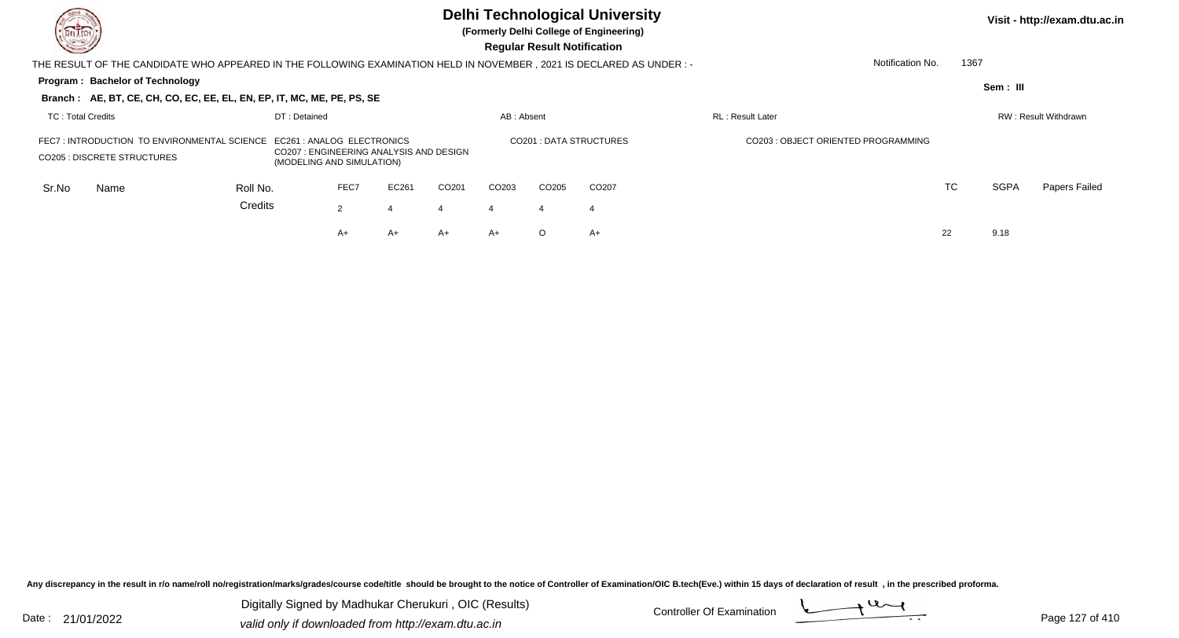| DEL TECH<br>$\sqrt{2}$                                                             |                                                                                                                       |                                        |              |                |       |                        |                                     | <b>Regular Result Notification</b> | <b>Delhi Technological University</b><br>(Formerly Delhi College of Engineering) |                          |                  |             | Visit - http://exam.dtu.ac.in |
|------------------------------------------------------------------------------------|-----------------------------------------------------------------------------------------------------------------------|----------------------------------------|--------------|----------------|-------|------------------------|-------------------------------------|------------------------------------|----------------------------------------------------------------------------------|--------------------------|------------------|-------------|-------------------------------|
|                                                                                    | THE RESULT OF THE CANDIDATE WHO APPEARED IN THE FOLLOWING EXAMINATION HELD IN NOVEMBER , 2021 IS DECLARED AS UNDER :- |                                        |              |                |       |                        |                                     |                                    |                                                                                  |                          | Notification No. | 1367        |                               |
|                                                                                    | <b>Program: Bachelor of Technology</b>                                                                                |                                        |              |                |       |                        |                                     |                                    |                                                                                  |                          |                  | Sem: III    |                               |
|                                                                                    | Branch: AE, BT, CE, CH, CO, EC, EE, EL, EN, EP, IT, MC, ME, PE, PS, SE                                                |                                        |              |                |       |                        |                                     |                                    |                                                                                  |                          |                  |             |                               |
| TC: Total Credits                                                                  |                                                                                                                       |                                        | DT: Detained |                |       |                        | AB: Absent                          |                                    |                                                                                  | <b>RL</b> : Result Later |                  |             | RW: Result Withdrawn          |
| FEC7 : INTRODUCTION TO ENVIRONMENTAL SCIENCE<br><b>CO205 : DISCRETE STRUCTURES</b> | EC261 : ANALOG ELECTRONICS<br>(MODELING AND SIMULATION)                                                               | CO207: ENGINEERING ANALYSIS AND DESIGN |              |                |       | CO201: DATA STRUCTURES | CO203 : OBJECT ORIENTED PROGRAMMING |                                    |                                                                                  |                          |                  |             |                               |
| Sr.No                                                                              | Name                                                                                                                  | Roll No.                               |              | FEC7           | EC261 | CO <sub>201</sub>      | CO <sub>203</sub>                   | CO <sub>205</sub>                  | CO <sub>207</sub>                                                                |                          | TC               | <b>SGPA</b> | Papers Failed                 |
|                                                                                    |                                                                                                                       | Credits                                |              | $\overline{2}$ |       |                        | $\overline{4}$                      | -4                                 | -4                                                                               |                          |                  |             |                               |
|                                                                                    |                                                                                                                       |                                        |              | A+             | A+    | A+                     | $A+$                                | $\circ$                            | $A+$                                                                             |                          | 22               | 9.18        |                               |
|                                                                                    |                                                                                                                       |                                        |              |                |       |                        |                                     |                                    |                                                                                  |                          |                  |             |                               |

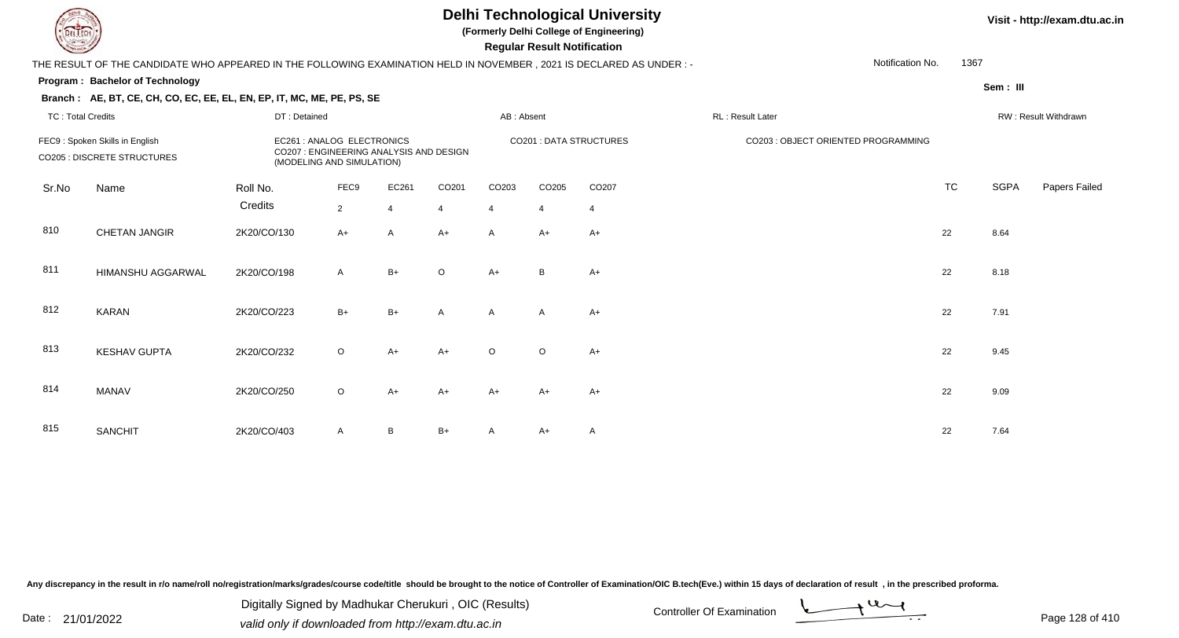## **Delhi Technological University**

**(Formerly Delhi College of Engineering)**

 **Regular Result Notification**

## **Visit - http://exam.dtu.ac.in**

| <b>County</b> |                                                                                                                      |              |                                                                                                    |                |                |                | <b>Regular Result Notification</b> |                         |                                     |                          |             |                      |
|---------------|----------------------------------------------------------------------------------------------------------------------|--------------|----------------------------------------------------------------------------------------------------|----------------|----------------|----------------|------------------------------------|-------------------------|-------------------------------------|--------------------------|-------------|----------------------|
|               | THE RESULT OF THE CANDIDATE WHO APPEARED IN THE FOLLOWING EXAMINATION HELD IN NOVEMBER, 2021 IS DECLARED AS UNDER :- |              |                                                                                                    |                |                |                |                                    |                         |                                     | 1367<br>Notification No. |             |                      |
|               | Program: Bachelor of Technology                                                                                      |              |                                                                                                    |                |                |                |                                    |                         |                                     |                          | Sem: III    |                      |
|               | Branch: AE, BT, CE, CH, CO, EC, EE, EL, EN, EP, IT, MC, ME, PE, PS, SE                                               |              |                                                                                                    |                |                |                |                                    |                         |                                     |                          |             |                      |
|               | <b>TC: Total Credits</b>                                                                                             | DT: Detained |                                                                                                    |                |                | AB: Absent     |                                    |                         | RL: Result Later                    |                          |             | RW: Result Withdrawn |
|               | FEC9: Spoken Skills in English<br><b>CO205 : DISCRETE STRUCTURES</b>                                                 |              | EC261 : ANALOG ELECTRONICS<br>CO207 : ENGINEERING ANALYSIS AND DESIGN<br>(MODELING AND SIMULATION) |                |                |                |                                    | CO201 : DATA STRUCTURES | CO203 : OBJECT ORIENTED PROGRAMMING |                          |             |                      |
| Sr.No         | Name                                                                                                                 | Roll No.     | FEC9                                                                                               | EC261          | CO201          | CO203          | CO205                              | CO207                   |                                     | <b>TC</b>                | <b>SGPA</b> | Papers Failec        |
|               |                                                                                                                      | Credits      | $\overline{2}$                                                                                     | $\overline{4}$ | $\overline{4}$ | $\overline{4}$ | $\overline{4}$                     | $\overline{4}$          |                                     |                          |             |                      |
| 810           | <b>CHETAN JANGIR</b>                                                                                                 | 2K20/CO/130  | $A+$                                                                                               | $\overline{A}$ | $A+$           | $\mathsf{A}$   | $A+$                               | $A+$                    |                                     | 22                       | 8.64        |                      |
| 811           | HIMANSHU AGGARWAL                                                                                                    | 2K20/CO/198  | Α                                                                                                  | $B+$           | $\circ$        | $A+$           | B                                  | $A+$                    |                                     | 22                       | 8.18        |                      |
| 812           | <b>KARAN</b>                                                                                                         | 2K20/CO/223  | $B+$                                                                                               | $B+$           | $\mathsf{A}$   | $\mathsf{A}$   | $\mathsf{A}$                       | $A+$                    |                                     | 22                       | 7.91        |                      |
| 813           | <b>KESHAV GUPTA</b>                                                                                                  | 2K20/CO/232  | $\circ$                                                                                            | $A+$           | $A+$           | $\circ$        | $\circ$                            | $A+$                    |                                     | 22                       | 9.45        |                      |
| 814           | <b>MANAV</b>                                                                                                         | 2K20/CO/250  | $\circ$                                                                                            | $A+$           | $A+$           | $A+$           | A+                                 | $A+$                    |                                     | 22                       | 9.09        |                      |
| 815           | <b>SANCHIT</b>                                                                                                       | 2K20/CO/403  | $\mathsf{A}$                                                                                       | B              | $B+$           | A              | A+                                 | A                       |                                     | 22                       | 7.64        |                      |

Any discrepancy in the result in r/o name/roll no/registration/marks/grades/course code/title should be brought to the notice of Controller of Examination/OIC B.tech(Eve.) within 15 days of declaration of result, in the pr

Date : 21/01/2022 Digital Digital of Microsofted Chemical Controller Of Examination Determination Page 128 of 41 Digitally Signed by Madhukar Cherukuri , OIC (Results)

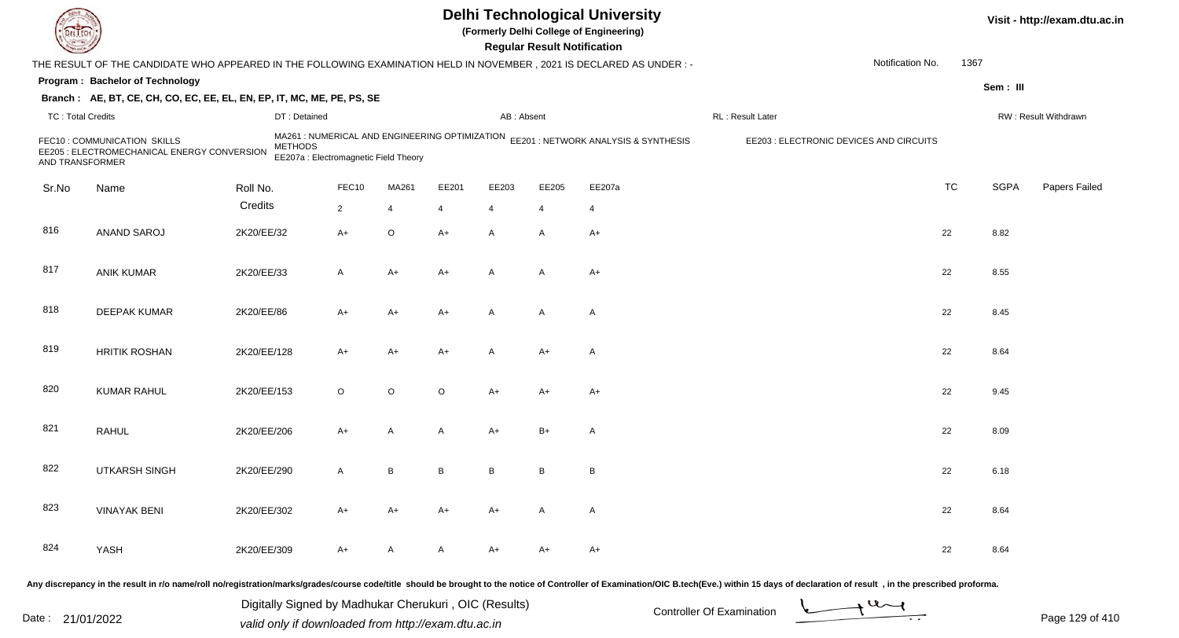|                          |                                                                                                                        |             |                                                                                                           |         |         |                | <b>Regular Result Notification</b> | <b>Delhi Technological University</b><br>(Formerly Delhi College of Engineering) |                                         |                  |           |             | Visit - http://exam.dtu.ac.in |
|--------------------------|------------------------------------------------------------------------------------------------------------------------|-------------|-----------------------------------------------------------------------------------------------------------|---------|---------|----------------|------------------------------------|----------------------------------------------------------------------------------|-----------------------------------------|------------------|-----------|-------------|-------------------------------|
|                          | THE RESULT OF THE CANDIDATE WHO APPEARED IN THE FOLLOWING EXAMINATION HELD IN NOVEMBER , 2021 IS DECLARED AS UNDER : - |             |                                                                                                           |         |         |                |                                    |                                                                                  |                                         | Notification No. | 1367      |             |                               |
|                          | Program: Bachelor of Technology                                                                                        |             |                                                                                                           |         |         |                |                                    |                                                                                  |                                         |                  |           | Sem: III    |                               |
|                          | Branch: AE, BT, CE, CH, CO, EC, EE, EL, EN, EP, IT, MC, ME, PE, PS, SE                                                 |             |                                                                                                           |         |         |                |                                    |                                                                                  |                                         |                  |           |             |                               |
| <b>TC: Total Credits</b> |                                                                                                                        |             | DT: Detained                                                                                              |         |         | AB: Absent     |                                    |                                                                                  | RL: Result Later                        |                  |           |             | RW: Result Withdrawn          |
| AND TRANSFORMER          | FEC10: COMMUNICATION SKILLS<br>EE205 : ELECTROMECHANICAL ENERGY CONVERSION                                             |             | MA261 : NUMERICAL AND ENGINEERING OPTIMIZATION<br><b>METHODS</b><br>EE207a : Electromagnetic Field Theory |         |         |                |                                    | EE201 : NETWORK ANALYSIS & SYNTHESIS                                             | EE203 : ELECTRONIC DEVICES AND CIRCUITS |                  |           |             |                               |
| Sr.No                    | Name                                                                                                                   | Roll No.    | FEC10                                                                                                     | MA261   | EE201   | EE203          | EE205                              | EE207a                                                                           |                                         |                  | <b>TC</b> | <b>SGPA</b> | Papers Failed                 |
|                          |                                                                                                                        | Credits     | $\overline{2}$                                                                                            | 4       | 4       | $\overline{4}$ | 4                                  | $\overline{4}$                                                                   |                                         |                  |           |             |                               |
| 816                      | ANAND SAROJ                                                                                                            | 2K20/EE/32  | $A+$                                                                                                      | O       | $A+$    | A              | A                                  | $A+$                                                                             |                                         |                  | 22        | 8.82        |                               |
| 817                      | <b>ANIK KUMAR</b>                                                                                                      | 2K20/EE/33  | A                                                                                                         | A+      | A+      | $\overline{A}$ | A                                  | A+                                                                               |                                         |                  | 22        | 8.55        |                               |
| 818                      | <b>DEEPAK KUMAR</b>                                                                                                    | 2K20/EE/86  | A+                                                                                                        | A+      | A+      | $\overline{A}$ | A                                  | $\mathsf{A}$                                                                     |                                         |                  | 22        | 8.45        |                               |
| 819                      | <b>HRITIK ROSHAN</b>                                                                                                   | 2K20/EE/128 | $A+$                                                                                                      | A+      | $A+$    | $\overline{A}$ | $A+$                               | $\mathsf{A}$                                                                     |                                         |                  | 22        | 8.64        |                               |
| 820                      | <b>KUMAR RAHUL</b>                                                                                                     | 2K20/EE/153 | $\circ$                                                                                                   | $\circ$ | $\circ$ | $A+$           | $A+$                               | $A+$                                                                             |                                         |                  | 22        | 9.45        |                               |
| 821                      | <b>RAHUL</b>                                                                                                           | 2K20/EE/206 | A+                                                                                                        | Α       | A       | $A+$           | $B+$                               | $\mathsf{A}$                                                                     |                                         |                  | 22        | 8.09        |                               |
| 822                      | <b>UTKARSH SINGH</b>                                                                                                   | 2K20/EE/290 | A                                                                                                         | В       | В       | B              | B                                  | B                                                                                |                                         |                  | 22        | 6.18        |                               |
| 823                      | <b>VINAYAK BENI</b>                                                                                                    | 2K20/EE/302 | A+                                                                                                        | A+      | A+      | A+             | A                                  | A                                                                                |                                         |                  | 22        | 8.64        |                               |
| 824                      | YASH                                                                                                                   | 2K20/EE/309 | A+                                                                                                        | A       | A       | A+             | A+                                 | A+                                                                               |                                         |                  | 22        | 8.64        |                               |
|                          |                                                                                                                        |             |                                                                                                           |         |         |                |                                    | $\alpha$ etian of Cantrallor of Eventuation (OIC B took (Eve ) $\alpha$          |                                         |                  |           |             |                               |

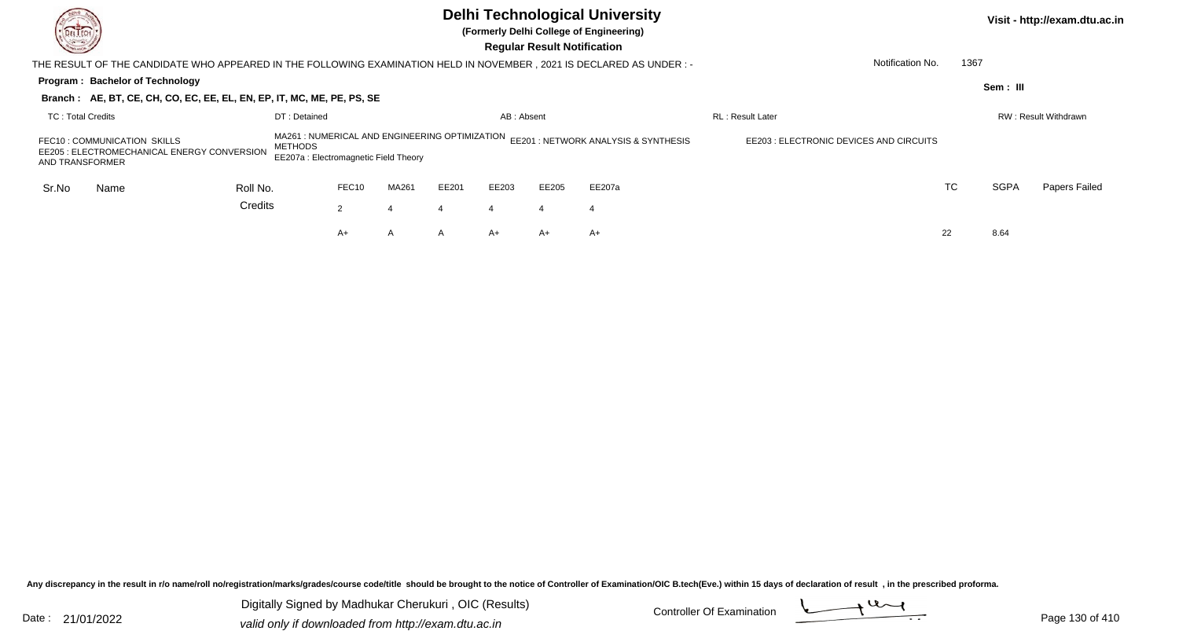| DEL TECH<br><u>Starting Company (Company)</u>  |                                                                                                                       |                                                                                                           |                         |       |                  | <b>Regular Result Notification</b> | <b>Delhi Technological University</b><br>(Formerly Delhi College of Engineering) |                                         |      |             | Visit - http://exam.dtu.ac.in |
|------------------------------------------------|-----------------------------------------------------------------------------------------------------------------------|-----------------------------------------------------------------------------------------------------------|-------------------------|-------|------------------|------------------------------------|----------------------------------------------------------------------------------|-----------------------------------------|------|-------------|-------------------------------|
|                                                | THE RESULT OF THE CANDIDATE WHO APPEARED IN THE FOLLOWING EXAMINATION HELD IN NOVEMBER , 2021 IS DECLARED AS UNDER :- |                                                                                                           |                         |       |                  |                                    |                                                                                  | Notification No.                        | 1367 |             |                               |
| Program: Bachelor of Technology                | Branch: AE, BT, CE, CH, CO, EC, EE, EL, EN, EP, IT, MC, ME, PE, PS, SE                                                |                                                                                                           |                         |       |                  |                                    |                                                                                  |                                         |      | Sem: III    |                               |
| <b>TC: Total Credits</b>                       |                                                                                                                       | DT: Detained                                                                                              | <b>RL: Result Later</b> |       |                  | RW: Result Withdrawn               |                                                                                  |                                         |      |             |                               |
| FEC10: COMMUNICATION SKILLS<br>AND TRANSFORMER | EE205 : ELECTROMECHANICAL ENERGY CONVERSION                                                                           | MA261 : NUMERICAL AND ENGINEERING OPTIMIZATION<br><b>METHODS</b><br>EE207a : Electromagnetic Field Theory |                         |       |                  |                                    | EE201 : NETWORK ANALYSIS & SYNTHESIS                                             | EE203 : ELECTRONIC DEVICES AND CIRCUITS |      |             |                               |
| Sr.No<br>Name                                  | Roll No.                                                                                                              | FEC10                                                                                                     | MA261                   | EE201 | EE203            | EE205                              | EE207a                                                                           |                                         | TC   | <b>SGPA</b> | Papers Failed                 |
|                                                | Credits                                                                                                               | 2                                                                                                         | 4                       |       | $\boldsymbol{4}$ | 4                                  | 4                                                                                |                                         |      |             |                               |
|                                                |                                                                                                                       | A+                                                                                                        | A                       | A     | $A+$             | A+                                 | A+                                                                               |                                         | 22   | 8.64        |                               |

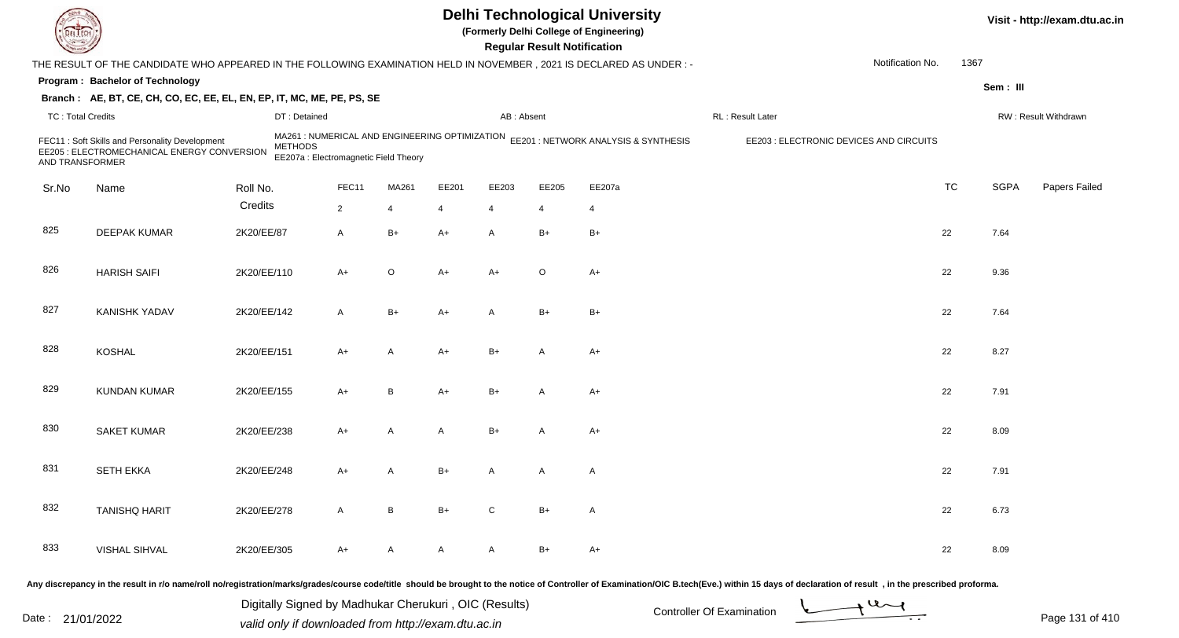| DEL TECI                 |                                                                                                                     |             |                                                         |                |                |                |              | <b>Regular Result Notification</b> | <b>Delhi Technological University</b><br>(Formerly Delhi College of Engineering)    |                                                                                                                                                                                                                                |                  |           |             | Visit - http://exam.dtu.ac.in |
|--------------------------|---------------------------------------------------------------------------------------------------------------------|-------------|---------------------------------------------------------|----------------|----------------|----------------|--------------|------------------------------------|-------------------------------------------------------------------------------------|--------------------------------------------------------------------------------------------------------------------------------------------------------------------------------------------------------------------------------|------------------|-----------|-------------|-------------------------------|
|                          | THE RESULT OF THE CANDIDATE WHO APPEARED IN THE FOLLOWING EXAMINATION HELD IN NOVEMBER, 2021 IS DECLARED AS UNDER:- |             |                                                         |                |                |                |              |                                    |                                                                                     |                                                                                                                                                                                                                                | Notification No. | 1367      |             |                               |
|                          | Program: Bachelor of Technology                                                                                     |             |                                                         |                |                |                |              |                                    |                                                                                     |                                                                                                                                                                                                                                |                  |           | Sem: III    |                               |
|                          | Branch: AE, BT, CE, CH, CO, EC, EE, EL, EN, EP, IT, MC, ME, PE, PS, SE                                              |             |                                                         |                |                |                |              |                                    |                                                                                     |                                                                                                                                                                                                                                |                  |           |             |                               |
| <b>TC: Total Credits</b> |                                                                                                                     |             | DT: Detained                                            |                |                |                | AB: Absent   |                                    |                                                                                     | RL: Result Later                                                                                                                                                                                                               |                  |           |             | RW: Result Withdrawn          |
| AND TRANSFORMER          | FEC11: Soft Skills and Personality Development<br>EE205 : ELECTROMECHANICAL ENERGY CONVERSION                       |             | <b>METHODS</b><br>EE207a : Electromagnetic Field Theory |                |                |                |              |                                    | MA261 : NUMERICAL AND ENGINEERING OPTIMIZATION EE201 : NETWORK ANALYSIS & SYNTHESIS | EE203 : ELECTRONIC DEVICES AND CIRCUITS                                                                                                                                                                                        |                  |           |             |                               |
| Sr.No                    | Name                                                                                                                | Roll No.    |                                                         | FEC11          | MA261          | EE201          | EE203        | EE205                              | EE207a                                                                              |                                                                                                                                                                                                                                |                  | <b>TC</b> | <b>SGPA</b> | Papers Failed                 |
|                          |                                                                                                                     | Credits     |                                                         | $\overline{2}$ | 4              | $\overline{4}$ | 4            | $\overline{4}$                     | $\overline{4}$                                                                      |                                                                                                                                                                                                                                |                  |           |             |                               |
| 825                      | <b>DEEPAK KUMAR</b>                                                                                                 | 2K20/EE/87  |                                                         | $\mathsf{A}$   | $B+$           | $A+$           | A            | $B+$                               | $B+$                                                                                |                                                                                                                                                                                                                                |                  | 22        | 7.64        |                               |
| 826                      | <b>HARISH SAIFI</b>                                                                                                 | 2K20/EE/110 |                                                         | $A+$           | $\circ$        | A+             | A+           | $\circ$                            | $A+$                                                                                |                                                                                                                                                                                                                                |                  | 22        | 9.36        |                               |
| 827                      | <b>KANISHK YADAV</b>                                                                                                | 2K20/EE/142 |                                                         | $\overline{A}$ | $B+$           | A+             | A            | $B+$                               | $B+$                                                                                |                                                                                                                                                                                                                                |                  | 22        | 7.64        |                               |
| 828                      | <b>KOSHAL</b>                                                                                                       | 2K20/EE/151 |                                                         | $A+$           | $\mathsf{A}$   | $A+$           | $B+$         | A                                  | $A+$                                                                                |                                                                                                                                                                                                                                |                  | 22        | 8.27        |                               |
| 829                      | <b>KUNDAN KUMAR</b>                                                                                                 | 2K20/EE/155 |                                                         | $A+$           | B              | A+             | $B+$         | A                                  | A+                                                                                  |                                                                                                                                                                                                                                |                  | 22        | 7.91        |                               |
| 830                      | <b>SAKET KUMAR</b>                                                                                                  | 2K20/EE/238 |                                                         | $A+$           | $\overline{A}$ | A              | $B+$         | A                                  | $A+$                                                                                |                                                                                                                                                                                                                                |                  | 22        | 8.09        |                               |
| 831                      | <b>SETH EKKA</b>                                                                                                    | 2K20/EE/248 |                                                         | $A+$           | A              | $B+$           | A            | A                                  | A                                                                                   |                                                                                                                                                                                                                                |                  | 22        | 7.91        |                               |
| 832                      | <b>TANISHQ HARIT</b>                                                                                                | 2K20/EE/278 |                                                         | $\mathsf{A}$   | B              | $B+$           | $\mathsf{C}$ | $B+$                               | A                                                                                   |                                                                                                                                                                                                                                |                  | 22        | 6.73        |                               |
| 833                      | <b>VISHAL SIHVAL</b>                                                                                                | 2K20/EE/305 |                                                         | $A+$           | $\mathsf{A}$   | A              | $\mathsf{A}$ | $B+$                               | $A+$                                                                                |                                                                                                                                                                                                                                |                  | 22        | 8.09        |                               |
|                          |                                                                                                                     |             |                                                         |                |                |                |              |                                    |                                                                                     | Any discrepancy in the result in r/o name/roll no/registration/marks/grades/course code/title should be brought to the notice of Controller of Examination/OIC B.tech(Eve.) within 15 days of declaration of result , in the p |                  |           |             |                               |

Date : 21/01/2022 Digital Digital of Microsofted Chemical Controller Of Examination Determination Page 131 of 41 Digitally Signed by Madhukar Cherukuri , OIC (Results)

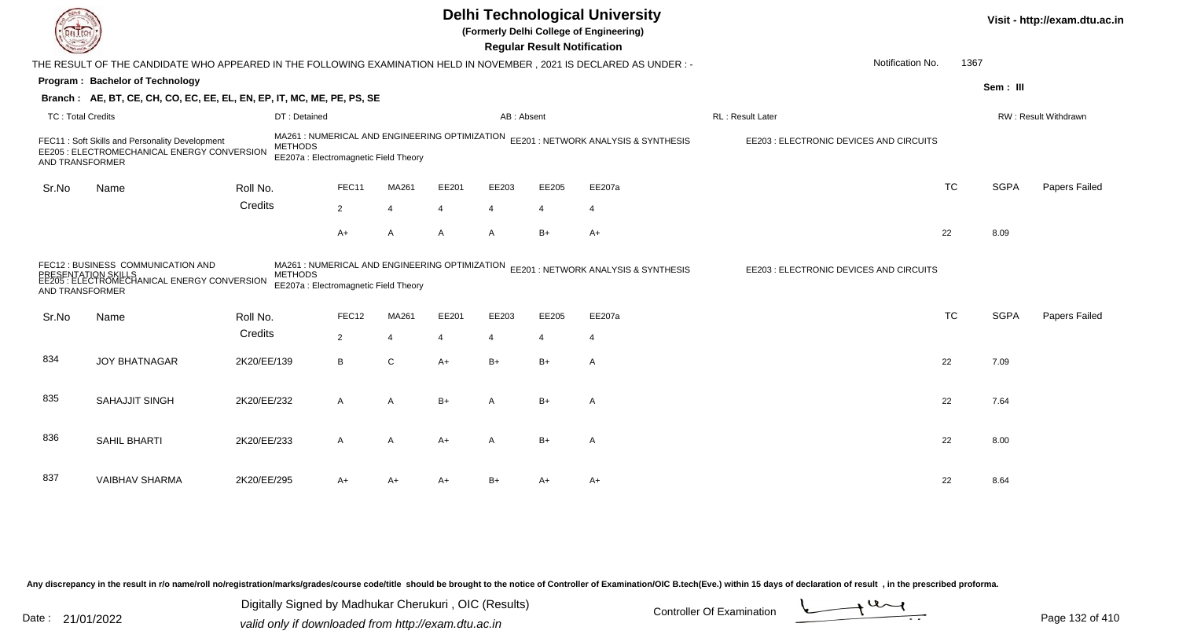|                          |                                                                                                                      |                |                                                                                         |                |       |                       | <b>Regular Result Notification</b> | <b>Delhi Technological University</b><br>(Formerly Delhi College of Engineering) |                                         |           |             | Visit - http://exam.dtu.ac.in |
|--------------------------|----------------------------------------------------------------------------------------------------------------------|----------------|-----------------------------------------------------------------------------------------|----------------|-------|-----------------------|------------------------------------|----------------------------------------------------------------------------------|-----------------------------------------|-----------|-------------|-------------------------------|
|                          | THE RESULT OF THE CANDIDATE WHO APPEARED IN THE FOLLOWING EXAMINATION HELD IN NOVEMBER, 2021 IS DECLARED AS UNDER :- |                |                                                                                         |                |       |                       |                                    |                                                                                  | Notification No.                        | 1367      |             |                               |
|                          | Program: Bachelor of Technology                                                                                      |                |                                                                                         |                |       |                       |                                    |                                                                                  |                                         |           | Sem: III    |                               |
|                          | Branch: AE, BT, CE, CH, CO, EC, EE, EL, EN, EP, IT, MC, ME, PE, PS, SE                                               |                |                                                                                         |                |       |                       |                                    |                                                                                  |                                         |           |             |                               |
| <b>TC: Total Credits</b> |                                                                                                                      | DT: Detained   |                                                                                         |                |       | AB: Absent            |                                    |                                                                                  | RL: Result Later                        |           |             | RW: Result Withdrawn          |
| AND TRANSFORMER          | FEC11: Soft Skills and Personality Development<br>EE205 : ELECTROMECHANICAL ENERGY CONVERSION                        | <b>METHODS</b> | MA261 : NUMERICAL AND ENGINEERING OPTIMIZATION<br>EE207a : Electromagnetic Field Theory |                |       |                       |                                    | EE201 : NETWORK ANALYSIS & SYNTHESIS                                             | EE203 : ELECTRONIC DEVICES AND CIRCUITS |           |             |                               |
| Sr.No                    | Name                                                                                                                 | Roll No.       | FEC11                                                                                   | MA261          | EE201 | EE203                 | EE205                              | EE207a                                                                           |                                         | <b>TC</b> | <b>SGPA</b> | Papers Failed                 |
|                          |                                                                                                                      | Credits        | $\overline{2}$                                                                          | $\overline{4}$ | Δ     | $\boldsymbol{\Delta}$ | $\overline{4}$                     | $\overline{4}$                                                                   |                                         |           |             |                               |
|                          |                                                                                                                      |                | $A+$                                                                                    | A              | A     | $\overline{A}$        | $B+$                               | $A+$                                                                             |                                         | 22        | 8.09        |                               |
| AND TRANSFORMER          | FEC12 : BUSINESS COMMUNICATION AND<br>EE53F: ELECTROMECHANICAL ENERGY CONVERSION                                     | <b>METHODS</b> | MA261 : NUMERICAL AND ENGINEERING OPTIMIZATION<br>EE207a : Electromagnetic Field Theory |                |       |                       |                                    | EE201 : NETWORK ANALYSIS & SYNTHESIS                                             | EE203 : ELECTRONIC DEVICES AND CIRCUITS |           |             |                               |
| Sr.No                    | Name                                                                                                                 | Roll No.       | FEC12                                                                                   | MA261          | EE201 | EE203                 | EE205                              | EE207a                                                                           |                                         | <b>TC</b> | <b>SGPA</b> | Papers Failed                 |
|                          |                                                                                                                      | Credits        | $\overline{2}$                                                                          | $\overline{4}$ | 4     | $\overline{4}$        | $\overline{4}$                     | $\overline{4}$                                                                   |                                         |           |             |                               |
| 834                      | <b>JOY BHATNAGAR</b>                                                                                                 | 2K20/EE/139    | B                                                                                       | $\mathsf{C}$   | $A+$  | $B+$                  | $B+$                               | $\overline{A}$                                                                   |                                         | 22        | 7.09        |                               |
| 835                      | <b>SAHAJJIT SINGH</b>                                                                                                | 2K20/EE/232    | A                                                                                       | A              | B+    | A                     | $B+$                               | A                                                                                |                                         | 22        | 7.64        |                               |
| 836                      | SAHIL BHARTI                                                                                                         | 2K20/EE/233    | A                                                                                       | A              | A+    | A                     | $B+$                               | A                                                                                |                                         | 22        | 8.00        |                               |
| 837                      | <b>VAIBHAV SHARMA</b>                                                                                                | 2K20/EE/295    | A+                                                                                      | A+             | A+    | $B+$                  | A+                                 | A+                                                                               |                                         | 22        | 8.64        |                               |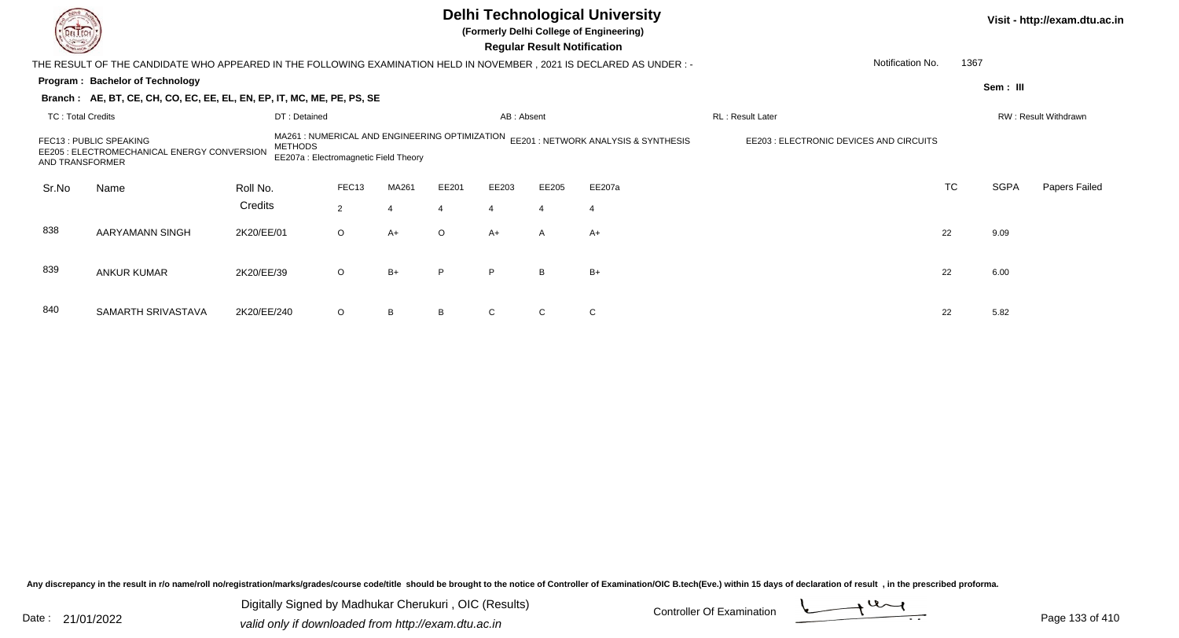|                                                                                                                                                                                                                                                                                        |                                                                                                                       |              |                |                |         |                | <b>Regular Result Notification</b> | <b>Delhi Technological University</b><br>(Formerly Delhi College of Engineering) |                  |           |             | Visit - http://exam.dtu.ac.in |
|----------------------------------------------------------------------------------------------------------------------------------------------------------------------------------------------------------------------------------------------------------------------------------------|-----------------------------------------------------------------------------------------------------------------------|--------------|----------------|----------------|---------|----------------|------------------------------------|----------------------------------------------------------------------------------|------------------|-----------|-------------|-------------------------------|
|                                                                                                                                                                                                                                                                                        | THE RESULT OF THE CANDIDATE WHO APPEARED IN THE FOLLOWING EXAMINATION HELD IN NOVEMBER , 2021 IS DECLARED AS UNDER :- |              |                |                |         |                |                                    |                                                                                  | Notification No. | 1367      |             |                               |
|                                                                                                                                                                                                                                                                                        | Program: Bachelor of Technology                                                                                       |              |                |                |         |                |                                    |                                                                                  |                  |           | Sem : III   |                               |
|                                                                                                                                                                                                                                                                                        | Branch: AE, BT, CE, CH, CO, EC, EE, EL, EN, EP, IT, MC, ME, PE, PS, SE                                                |              |                |                |         |                |                                    |                                                                                  |                  |           |             |                               |
| TC: Total Credits                                                                                                                                                                                                                                                                      |                                                                                                                       | DT: Detained |                |                |         | AB: Absent     |                                    |                                                                                  | RL: Result Later |           |             | RW: Result Withdrawn          |
| MA261 : NUMERICAL AND ENGINEERING OPTIMIZATION EE201 : NETWORK ANALYSIS & SYNTHESIS<br>EE203 : ELECTRONIC DEVICES AND CIRCUITS<br>FEC13 : PUBLIC SPEAKING<br><b>METHODS</b><br>EE205 : ELECTROMECHANICAL ENERGY CONVERSION<br>EE207a : Electromagnetic Field Theory<br>AND TRANSFORMER |                                                                                                                       |              |                |                |         |                |                                    |                                                                                  |                  |           |             |                               |
| Sr.No                                                                                                                                                                                                                                                                                  | Name                                                                                                                  | Roll No.     | FEC13          | MA261          | EE201   | EE203          | EE205                              | EE207a                                                                           |                  | <b>TC</b> | <b>SGPA</b> | Papers Failed                 |
|                                                                                                                                                                                                                                                                                        |                                                                                                                       | Credits      | $\overline{2}$ | $\overline{4}$ |         | $\overline{4}$ | $\overline{4}$                     | $\overline{4}$                                                                   |                  |           |             |                               |
| 838                                                                                                                                                                                                                                                                                    | AARYAMANN SINGH                                                                                                       | 2K20/EE/01   | $\circ$        | $A+$           | $\circ$ | $A+$           | $\mathsf{A}$                       | $A+$                                                                             |                  | 22        | 9.09        |                               |
| 839                                                                                                                                                                                                                                                                                    | <b>ANKUR KUMAR</b>                                                                                                    | 2K20/EE/39   | $\circ$        | $B+$           | P       | P              | B                                  | $B+$                                                                             |                  | 22        | 6.00        |                               |
| 840                                                                                                                                                                                                                                                                                    | SAMARTH SRIVASTAVA                                                                                                    | 2K20/EE/240  | $\circ$        | B              |         |                |                                    | $\mathsf{C}$                                                                     |                  | 22        | 5.82        |                               |

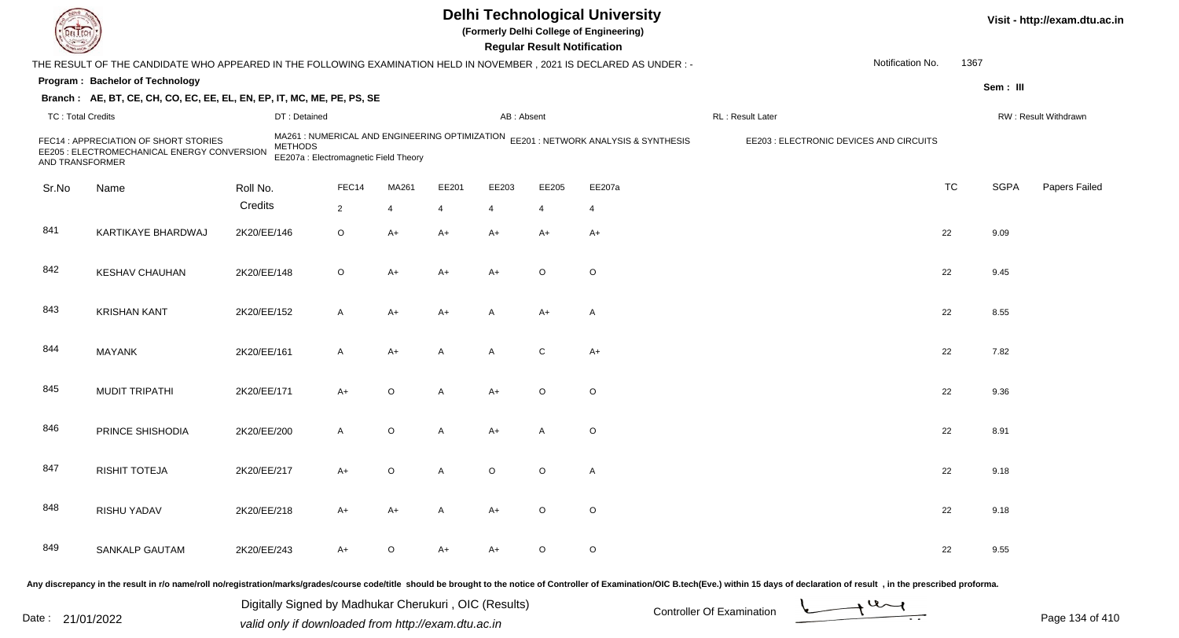| DEL TEC                  |                                                                                                                      |             |                                                         |                |         |                |            | <b>Regular Result Notification</b> | <b>Delhi Technological University</b><br>(Formerly Delhi College of Engineering)    |                                                                                                                                                                                                                                |                  |           |             | Visit - http://exam.dtu.ac.in |
|--------------------------|----------------------------------------------------------------------------------------------------------------------|-------------|---------------------------------------------------------|----------------|---------|----------------|------------|------------------------------------|-------------------------------------------------------------------------------------|--------------------------------------------------------------------------------------------------------------------------------------------------------------------------------------------------------------------------------|------------------|-----------|-------------|-------------------------------|
|                          | THE RESULT OF THE CANDIDATE WHO APPEARED IN THE FOLLOWING EXAMINATION HELD IN NOVEMBER, 2021 IS DECLARED AS UNDER: - |             |                                                         |                |         |                |            |                                    |                                                                                     |                                                                                                                                                                                                                                | Notification No. | 1367      |             |                               |
|                          | Program: Bachelor of Technology                                                                                      |             |                                                         |                |         |                |            |                                    |                                                                                     |                                                                                                                                                                                                                                |                  |           | Sem: III    |                               |
|                          | Branch: AE, BT, CE, CH, CO, EC, EE, EL, EN, EP, IT, MC, ME, PE, PS, SE                                               |             |                                                         |                |         |                |            |                                    |                                                                                     |                                                                                                                                                                                                                                |                  |           |             |                               |
| <b>TC: Total Credits</b> |                                                                                                                      |             | DT: Detained                                            |                |         |                | AB: Absent |                                    |                                                                                     | RL: Result Later                                                                                                                                                                                                               |                  |           |             | RW: Result Withdrawn          |
| AND TRANSFORMER          | FEC14 : APPRECIATION OF SHORT STORIES<br>EE205 : ELECTROMECHANICAL ENERGY CONVERSION                                 |             | <b>METHODS</b><br>EE207a : Electromagnetic Field Theory |                |         |                |            |                                    | MA261 : NUMERICAL AND ENGINEERING OPTIMIZATION EE201 : NETWORK ANALYSIS & SYNTHESIS | EE203 : ELECTRONIC DEVICES AND CIRCUITS                                                                                                                                                                                        |                  |           |             |                               |
| Sr.No                    | Name                                                                                                                 | Roll No.    |                                                         | FEC14          | MA261   | EE201          | EE203      | EE205                              | EE207a                                                                              |                                                                                                                                                                                                                                |                  | <b>TC</b> | <b>SGPA</b> | Papers Failed                 |
|                          |                                                                                                                      | Credits     |                                                         | $\overline{2}$ | 4       | $\overline{4}$ | 4          | $\overline{4}$                     | $\overline{4}$                                                                      |                                                                                                                                                                                                                                |                  |           |             |                               |
| 841                      | KARTIKAYE BHARDWAJ                                                                                                   | 2K20/EE/146 |                                                         | $\circ$        | $A+$    | $A+$           | $A+$       | $A+$                               | $A+$                                                                                |                                                                                                                                                                                                                                |                  | 22        | 9.09        |                               |
| 842                      | <b>KESHAV CHAUHAN</b>                                                                                                | 2K20/EE/148 |                                                         | $\circ$        | $A+$    | A+             | A+         | $\circ$                            | $\circ$                                                                             |                                                                                                                                                                                                                                |                  | 22        | 9.45        |                               |
| 843                      | <b>KRISHAN KANT</b>                                                                                                  | 2K20/EE/152 |                                                         | $\mathsf{A}$   | $A+$    | A+             | A          | $A+$                               | A                                                                                   |                                                                                                                                                                                                                                |                  | 22        | 8.55        |                               |
| 844                      | <b>MAYANK</b>                                                                                                        | 2K20/EE/161 |                                                         | $\mathsf{A}$   | $A+$    | A              | A          | C                                  | $A+$                                                                                |                                                                                                                                                                                                                                |                  | 22        | 7.82        |                               |
| 845                      | <b>MUDIT TRIPATHI</b>                                                                                                | 2K20/EE/171 |                                                         | $A+$           | $\circ$ | A              | A+         | $\circ$                            | $\circ$                                                                             |                                                                                                                                                                                                                                |                  | 22        | 9.36        |                               |
| 846                      | PRINCE SHISHODIA                                                                                                     | 2K20/EE/200 |                                                         | $\overline{A}$ | $\circ$ | $\mathsf{A}$   | A+         | A                                  | $\circ$                                                                             |                                                                                                                                                                                                                                |                  | 22        | 8.91        |                               |
| 847                      | <b>RISHIT TOTEJA</b>                                                                                                 | 2K20/EE/217 |                                                         | $A+$           | $\circ$ | A              | O          | O                                  | A                                                                                   |                                                                                                                                                                                                                                |                  | 22        | 9.18        |                               |
| 848                      | RISHU YADAV                                                                                                          | 2K20/EE/218 |                                                         | A+             | $A+$    | A              | A+         | $\circ$                            | $\circ$                                                                             |                                                                                                                                                                                                                                |                  | 22        | 9.18        |                               |
| 849                      | <b>SANKALP GAUTAM</b>                                                                                                | 2K20/EE/243 |                                                         | $A+$           | $\circ$ | A+             | A+         | $\circ$                            | $\circ$                                                                             |                                                                                                                                                                                                                                |                  | 22        | 9.55        |                               |
|                          |                                                                                                                      |             |                                                         |                |         |                |            |                                    |                                                                                     | Any discrepancy in the result in r/o name/roll no/registration/marks/grades/course code/title should be brought to the notice of Controller of Examination/OIC B.tech(Eve.) within 15 days of declaration of result , in the p |                  |           |             |                               |

Date : 21/01/2022 Digital Digital of Microsofted Chemical Controller Of Examination Determination Page 134 of 41 Digitally Signed by Madhukar Cherukuri , OIC (Results)

Page 134 of 410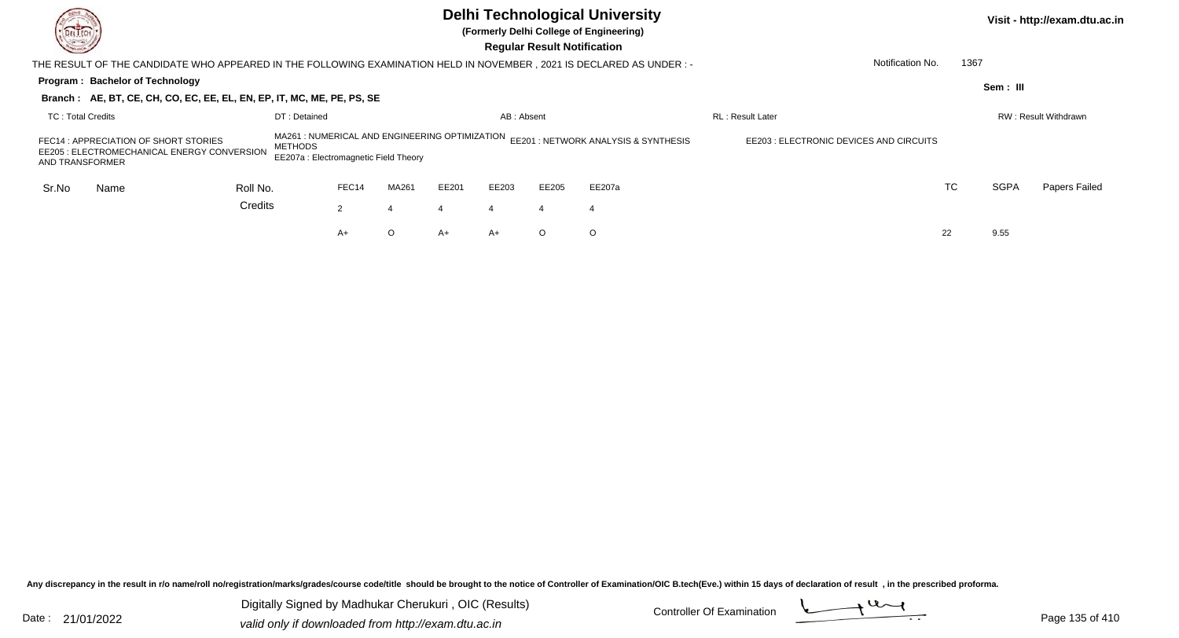| DEL TECH<br><u>sea</u>                                                                                                                                                                                                                           |                                                                                                                       |          |              |       |         |       | <b>Regular Result Notification</b> |         | <b>Delhi Technological University</b><br>(Formerly Delhi College of Engineering) |                                         |                  |             | Visit - http://exam.dtu.ac.in |
|--------------------------------------------------------------------------------------------------------------------------------------------------------------------------------------------------------------------------------------------------|-----------------------------------------------------------------------------------------------------------------------|----------|--------------|-------|---------|-------|------------------------------------|---------|----------------------------------------------------------------------------------|-----------------------------------------|------------------|-------------|-------------------------------|
|                                                                                                                                                                                                                                                  | THE RESULT OF THE CANDIDATE WHO APPEARED IN THE FOLLOWING EXAMINATION HELD IN NOVEMBER , 2021 IS DECLARED AS UNDER :- |          |              |       |         |       |                                    |         |                                                                                  |                                         | Notification No. | 1367        |                               |
|                                                                                                                                                                                                                                                  | Program: Bachelor of Technology<br>Branch: AE, BT, CE, CH, CO, EC, EE, EL, EN, EP, IT, MC, ME, PE, PS, SE             |          |              |       |         |       |                                    |         |                                                                                  |                                         |                  | Sem: III    |                               |
|                                                                                                                                                                                                                                                  |                                                                                                                       |          | DT: Detained |       |         |       | AB: Absent                         |         |                                                                                  | <b>RL: Result Later</b>                 |                  |             | RW: Result Withdrawn          |
| <b>TC: Total Credits</b><br>MA261 : NUMERICAL AND ENGINEERING OPTIMIZATION<br>FEC14 : APPRECIATION OF SHORT STORIES<br><b>METHODS</b><br>EE205 : ELECTROMECHANICAL ENERGY CONVERSION<br>EE207a : Electromagnetic Field Theory<br>AND TRANSFORMER |                                                                                                                       |          |              |       |         |       |                                    |         | EE201 : NETWORK ANALYSIS & SYNTHESIS                                             | EE203 : ELECTRONIC DEVICES AND CIRCUITS |                  |             |                               |
| Sr.No                                                                                                                                                                                                                                            | Name                                                                                                                  | Roll No. |              | FEC14 | MA261   | EE201 | EE203                              | EE205   | EE207a                                                                           |                                         | TC               | <b>SGPA</b> | Papers Failed                 |
|                                                                                                                                                                                                                                                  |                                                                                                                       | Credits  |              | 2     | 4       |       | $\boldsymbol{4}$                   | 4       | 4                                                                                |                                         |                  |             |                               |
|                                                                                                                                                                                                                                                  |                                                                                                                       |          |              | A+    | $\circ$ | A+    | $A+$                               | $\circ$ | $\circ$                                                                          |                                         | 22               | 9.55        |                               |

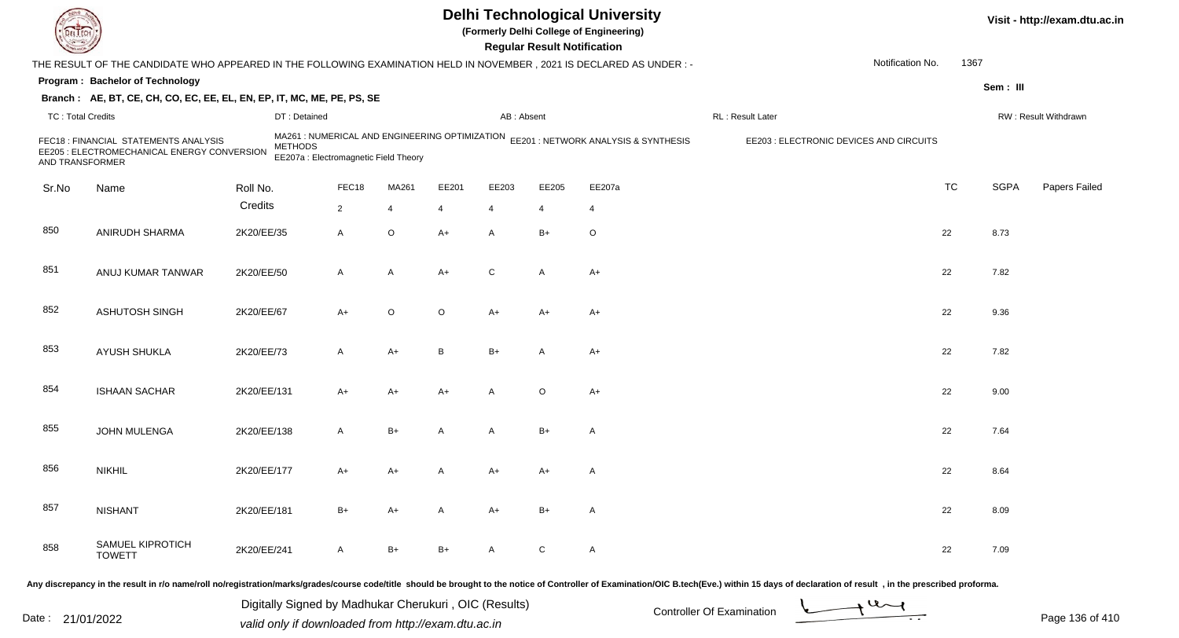|                          |                                                                                                                      |             |                                                                                                           |                |         |                | <b>Regular Result Notification</b> | <b>Delhi Technological University</b><br>(Formerly Delhi College of Engineering) |                  |                                         |           |             | Visit - http://exam.dtu.ac.in |
|--------------------------|----------------------------------------------------------------------------------------------------------------------|-------------|-----------------------------------------------------------------------------------------------------------|----------------|---------|----------------|------------------------------------|----------------------------------------------------------------------------------|------------------|-----------------------------------------|-----------|-------------|-------------------------------|
|                          | THE RESULT OF THE CANDIDATE WHO APPEARED IN THE FOLLOWING EXAMINATION HELD IN NOVEMBER, 2021 IS DECLARED AS UNDER :- |             |                                                                                                           |                |         |                |                                    |                                                                                  |                  | Notification No.                        | 1367      |             |                               |
|                          | Program: Bachelor of Technology                                                                                      |             |                                                                                                           |                |         |                |                                    |                                                                                  |                  |                                         |           | Sem: III    |                               |
|                          | Branch: AE, BT, CE, CH, CO, EC, EE, EL, EN, EP, IT, MC, ME, PE, PS, SE                                               |             |                                                                                                           |                |         |                |                                    |                                                                                  |                  |                                         |           |             |                               |
| <b>TC: Total Credits</b> |                                                                                                                      |             | DT: Detained                                                                                              |                |         | AB: Absent     |                                    |                                                                                  | RL: Result Later |                                         |           |             | RW: Result Withdrawn          |
| AND TRANSFORMER          | FEC18 : FINANCIAL STATEMENTS ANALYSIS<br>EE205 : ELECTROMECHANICAL ENERGY CONVERSION                                 |             | MA261 : NUMERICAL AND ENGINEERING OPTIMIZATION<br><b>METHODS</b><br>EE207a : Electromagnetic Field Theory |                |         |                |                                    | EE201 : NETWORK ANALYSIS & SYNTHESIS                                             |                  | EE203 : ELECTRONIC DEVICES AND CIRCUITS |           |             |                               |
| Sr.No                    | Name                                                                                                                 | Roll No.    | FEC18                                                                                                     | MA261          | EE201   | EE203          | EE205                              | EE207a                                                                           |                  |                                         | <b>TC</b> | <b>SGPA</b> | Papers Failed                 |
|                          |                                                                                                                      | Credits     | $\overline{2}$                                                                                            | $\overline{4}$ | 4       | $\overline{4}$ | 4                                  | 4                                                                                |                  |                                         |           |             |                               |
| 850                      | ANIRUDH SHARMA                                                                                                       | 2K20/EE/35  | A                                                                                                         | $\mathsf O$    | $A+$    | $\mathsf{A}$   | $B+$                               | $\circ$                                                                          |                  |                                         | 22        | 8.73        |                               |
| 851                      | ANUJ KUMAR TANWAR                                                                                                    | 2K20/EE/50  | A                                                                                                         | A              | A+      | C              | A                                  | $A+$                                                                             |                  |                                         | 22        | 7.82        |                               |
| 852                      | <b>ASHUTOSH SINGH</b>                                                                                                | 2K20/EE/67  | A+                                                                                                        | $\circ$        | $\circ$ | $A+$           | $A+$                               | A+                                                                               |                  |                                         | 22        | 9.36        |                               |
| 853                      | AYUSH SHUKLA                                                                                                         | 2K20/EE/73  | A                                                                                                         | A+             | B       | $B+$           | A                                  | $A+$                                                                             |                  |                                         | 22        | 7.82        |                               |
| 854                      | <b>ISHAAN SACHAR</b>                                                                                                 | 2K20/EE/131 | A+                                                                                                        | A+             | A+      | $\overline{A}$ | $\circ$                            | $A+$                                                                             |                  |                                         | 22        | 9.00        |                               |
| 855                      | JOHN MULENGA                                                                                                         | 2K20/EE/138 | A                                                                                                         | $B+$           | A       | A              | $B+$                               | $\mathsf{A}$                                                                     |                  |                                         | 22        | 7.64        |                               |
| 856                      | <b>NIKHIL</b>                                                                                                        | 2K20/EE/177 | A+                                                                                                        | A+             |         | A+             | A+                                 | A                                                                                |                  |                                         | 22        | 8.64        |                               |
| 857                      | <b>NISHANT</b>                                                                                                       | 2K20/EE/181 | $B+$                                                                                                      | A+             | A       | $A+$           | $B+$                               | $\mathsf{A}$                                                                     |                  |                                         | 22        | 8.09        |                               |
| 858                      | SAMUEL KIPROTICH<br><b>TOWETT</b>                                                                                    | 2K20/EE/241 | A                                                                                                         | $B+$           | B+      | $\mathsf{A}$   | $\mathsf{C}$                       | $\mathsf{A}$                                                                     |                  |                                         | 22        | 7.09        |                               |
|                          |                                                                                                                      |             |                                                                                                           |                |         |                |                                    |                                                                                  |                  |                                         |           |             |                               |

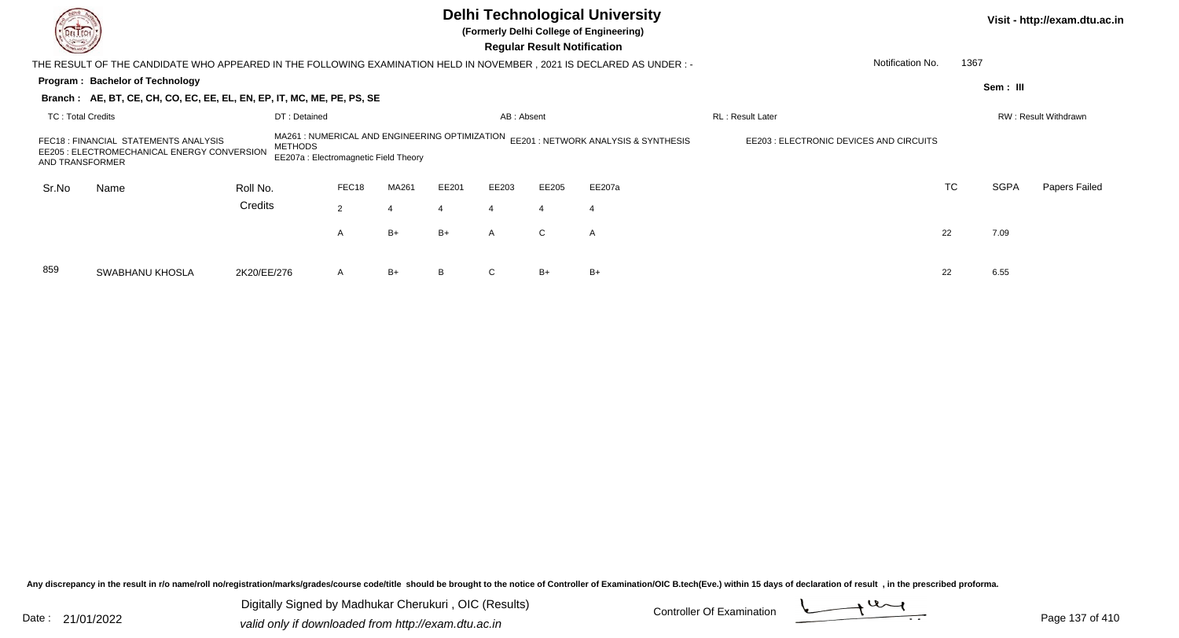| Change of Change         |                                                                                                                       |                |                                                                                        |       |       |              | <b>Regular Result Notification</b> | <b>Delhi Technological University</b><br>(Formerly Delhi College of Engineering) |                                         |                  |             | Visit - http://exam.dtu.ac.in |
|--------------------------|-----------------------------------------------------------------------------------------------------------------------|----------------|----------------------------------------------------------------------------------------|-------|-------|--------------|------------------------------------|----------------------------------------------------------------------------------|-----------------------------------------|------------------|-------------|-------------------------------|
|                          | THE RESULT OF THE CANDIDATE WHO APPEARED IN THE FOLLOWING EXAMINATION HELD IN NOVEMBER , 2021 IS DECLARED AS UNDER :- |                |                                                                                        |       |       |              |                                    |                                                                                  |                                         | Notification No. | 1367        |                               |
|                          | Program: Bachelor of Technology                                                                                       |                |                                                                                        |       |       |              |                                    |                                                                                  |                                         |                  | Sem: III    |                               |
|                          | Branch: AE, BT, CE, CH, CO, EC, EE, EL, EN, EP, IT, MC, ME, PE, PS, SE                                                |                |                                                                                        |       |       |              |                                    |                                                                                  |                                         |                  |             |                               |
| <b>TC: Total Credits</b> |                                                                                                                       | DT: Detained   |                                                                                        |       |       | AB: Absent   |                                    |                                                                                  | <b>RL: Result Later</b>                 |                  |             | RW: Result Withdrawn          |
| AND TRANSFORMER          | FEC18 : FINANCIAL STATEMENTS ANALYSIS<br>EE205 : ELECTROMECHANICAL ENERGY CONVERSION                                  | <b>METHODS</b> | MA261 : NUMERICAL AND ENGINEERING OPTIMIZATION<br>EE207a: Electromagnetic Field Theory |       |       |              |                                    | EE201 : NETWORK ANALYSIS & SYNTHESIS                                             | EE203 : ELECTRONIC DEVICES AND CIRCUITS |                  |             |                               |
| Sr.No                    | Name                                                                                                                  | Roll No.       | FEC18                                                                                  | MA261 | EE201 | EE203        | EE205                              | EE207a                                                                           |                                         | <b>TC</b>        | <b>SGPA</b> | Papers Failed                 |
|                          |                                                                                                                       | Credits        | $\overline{2}$                                                                         | 4     |       | 4            | 4                                  | 4                                                                                |                                         |                  |             |                               |
|                          |                                                                                                                       |                | A                                                                                      | $B+$  | B+    | $\mathsf{A}$ | $\mathsf{C}$                       | A                                                                                |                                         | 22               | 7.09        |                               |
| 859                      | <b>SWABHANU KHOSLA</b>                                                                                                | 2K20/EE/276    | A                                                                                      | $B+$  | В     | C            | $B+$                               | $B+$                                                                             |                                         | 22               | 6.55        |                               |

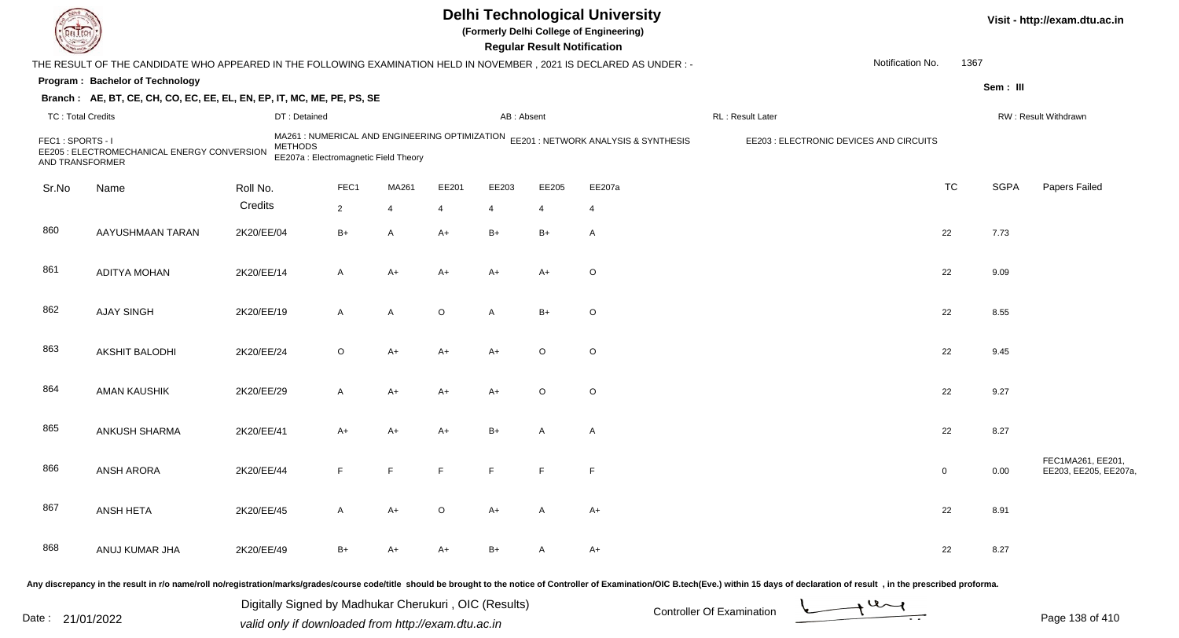| <b>DELTEC</b>                       |                                                                                                                      |                                                       |                                                                                        |                |                |                | <b>Regular Result Notification</b> | <b>Delhi Technological University</b><br>(Formerly Delhi College of Engineering) |                                                                                                                                                                                                                                                             |                  |              |             | Visit - http://exam.dtu.ac.in              |
|-------------------------------------|----------------------------------------------------------------------------------------------------------------------|-------------------------------------------------------|----------------------------------------------------------------------------------------|----------------|----------------|----------------|------------------------------------|----------------------------------------------------------------------------------|-------------------------------------------------------------------------------------------------------------------------------------------------------------------------------------------------------------------------------------------------------------|------------------|--------------|-------------|--------------------------------------------|
|                                     | THE RESULT OF THE CANDIDATE WHO APPEARED IN THE FOLLOWING EXAMINATION HELD IN NOVEMBER, 2021 IS DECLARED AS UNDER :- |                                                       |                                                                                        |                |                |                |                                    |                                                                                  |                                                                                                                                                                                                                                                             | Notification No. | 1367         |             |                                            |
|                                     | Program: Bachelor of Technology                                                                                      |                                                       |                                                                                        |                |                |                |                                    |                                                                                  |                                                                                                                                                                                                                                                             |                  |              | Sem: III    |                                            |
|                                     | Branch: AE, BT, CE, CH, CO, EC, EE, EL, EN, EP, IT, MC, ME, PE, PS, SE                                               |                                                       |                                                                                        |                |                |                |                                    |                                                                                  |                                                                                                                                                                                                                                                             |                  |              |             |                                            |
| <b>TC: Total Credits</b>            |                                                                                                                      | DT: Detained                                          |                                                                                        |                |                | AB: Absent     |                                    |                                                                                  | RL: Result Later                                                                                                                                                                                                                                            |                  |              |             | RW: Result Withdrawn                       |
| FEC1: SPORTS - I<br>AND TRANSFORMER | EE205 : ELECTROMECHANICAL ENERGY CONVERSION                                                                          | <b>METHODS</b>                                        | MA261: NUMERICAL AND ENGINEERING OPTIMIZATION<br>EE207a : Electromagnetic Field Theory |                |                |                |                                    | EE201 : NETWORK ANALYSIS & SYNTHESIS                                             | EE203 : ELECTRONIC DEVICES AND CIRCUITS                                                                                                                                                                                                                     |                  |              |             |                                            |
| Sr.No                               | Name                                                                                                                 | Roll No.                                              | FEC1                                                                                   | MA261          | EE201          | EE203          | EE205                              | EE207a                                                                           |                                                                                                                                                                                                                                                             |                  | <b>TC</b>    | <b>SGPA</b> | <b>Papers Failed</b>                       |
|                                     |                                                                                                                      | Credits                                               | $\overline{2}$                                                                         | $\overline{4}$ | $\overline{4}$ | $\overline{4}$ | $\overline{4}$                     | 4                                                                                |                                                                                                                                                                                                                                                             |                  |              |             |                                            |
| 860                                 | AAYUSHMAAN TARAN                                                                                                     | 2K20/EE/04                                            | $B+$                                                                                   | $\mathsf{A}$   | A+             | $B+$           | $B+$                               | A                                                                                |                                                                                                                                                                                                                                                             |                  | 22           | 7.73        |                                            |
| 861                                 | <b>ADITYA MOHAN</b>                                                                                                  | 2K20/EE/14                                            | A                                                                                      | $A+$           | A+             | $A+$           | $A+$                               | O                                                                                |                                                                                                                                                                                                                                                             |                  | 22           | 9.09        |                                            |
| 862                                 | <b>AJAY SINGH</b>                                                                                                    | 2K20/EE/19                                            | A                                                                                      | $\mathsf{A}$   | $\circ$        | $\mathsf{A}$   | $B+$                               | O                                                                                |                                                                                                                                                                                                                                                             |                  | 22           | 8.55        |                                            |
| 863                                 | <b>AKSHIT BALODHI</b>                                                                                                | 2K20/EE/24                                            | $\circ$                                                                                | $A+$           | A+             | $A+$           | $\circ$                            | O                                                                                |                                                                                                                                                                                                                                                             |                  | 22           | 9.45        |                                            |
| 864                                 | AMAN KAUSHIK                                                                                                         | 2K20/EE/29                                            | A                                                                                      | $A+$           | A+             | $A+$           | $\circ$                            | O                                                                                |                                                                                                                                                                                                                                                             |                  | 22           | 9.27        |                                            |
| 865                                 | ANKUSH SHARMA                                                                                                        | 2K20/EE/41                                            | A+                                                                                     | $A+$           | A+             | $B+$           | A                                  | A                                                                                |                                                                                                                                                                                                                                                             |                  | 22           | 8.27        |                                            |
| 866                                 | <b>ANSH ARORA</b>                                                                                                    | 2K20/EE/44                                            | F                                                                                      | E              |                | E              | $\mathsf F$                        | F                                                                                |                                                                                                                                                                                                                                                             |                  | $\mathbf{0}$ | 0.00        | FEC1MA261, EE201,<br>EE203, EE205, EE207a, |
| 867                                 | ANSH HETA                                                                                                            | 2K20/EE/45                                            | A                                                                                      | A+             | $\circ$        | A+             | A                                  | A+                                                                               |                                                                                                                                                                                                                                                             |                  | 22           | 8.91        |                                            |
| 868                                 | ANUJ KUMAR JHA                                                                                                       | 2K20/EE/49                                            | B+                                                                                     | $A+$           | A+             | $B+$           | $\mathsf{A}$                       | A+                                                                               |                                                                                                                                                                                                                                                             |                  | 22           | 8.27        |                                            |
|                                     |                                                                                                                      | Digitally Signed by Madhukar Cherukuri, OIC (Results) |                                                                                        |                |                |                |                                    |                                                                                  | Any discrepancy in the result in r/o name/roll no/registration/marks/grades/course code/title should be brought to the notice of Controller of Examination/OIC B.tech(Eve.) within 15 days of declaration of result , in the p<br>Controller Of Evemination | $u_{\sim}$       |              |             |                                            |

Date : 21/01/2022 Digital Digital of Microsofted Chemical Controller Of Examination Determination Page 138 of 41

Page 138 of 410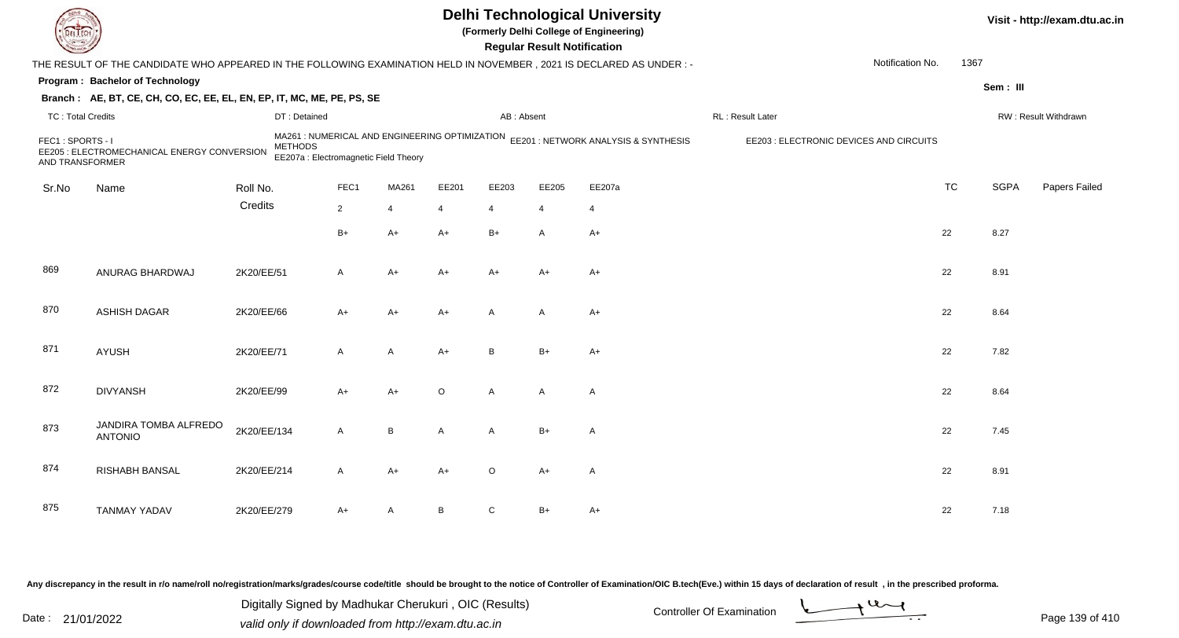|                                     |                                                                                                                      |                                                                                                           |                |                |         |                | <b>Regular Result Notification</b> | <b>Delhi Technological University</b><br>(Formerly Delhi College of Engineering) |                                         |                          |             | Visit - http://exam.dtu.ac.in |
|-------------------------------------|----------------------------------------------------------------------------------------------------------------------|-----------------------------------------------------------------------------------------------------------|----------------|----------------|---------|----------------|------------------------------------|----------------------------------------------------------------------------------|-----------------------------------------|--------------------------|-------------|-------------------------------|
|                                     | THE RESULT OF THE CANDIDATE WHO APPEARED IN THE FOLLOWING EXAMINATION HELD IN NOVEMBER, 2021 IS DECLARED AS UNDER :- |                                                                                                           |                |                |         |                |                                    |                                                                                  |                                         | Notification No.<br>1367 |             |                               |
|                                     | Program: Bachelor of Technology                                                                                      |                                                                                                           |                |                |         |                |                                    |                                                                                  |                                         |                          | Sem: III    |                               |
|                                     | Branch: AE, BT, CE, CH, CO, EC, EE, EL, EN, EP, IT, MC, ME, PE, PS, SE                                               |                                                                                                           |                |                |         |                |                                    |                                                                                  |                                         |                          |             |                               |
| <b>TC: Total Credits</b>            |                                                                                                                      | DT: Detained                                                                                              |                |                |         | AB: Absent     |                                    |                                                                                  | RL: Result Later                        |                          |             | RW: Result Withdrawn          |
| FEC1: SPORTS - I<br>AND TRANSFORMER | EE205 : ELECTROMECHANICAL ENERGY CONVERSION                                                                          | MA261 : NUMERICAL AND ENGINEERING OPTIMIZATION<br><b>METHODS</b><br>EE207a : Electromagnetic Field Theory |                |                |         |                |                                    | EE201: NETWORK ANALYSIS & SYNTHESIS                                              | EE203 : ELECTRONIC DEVICES AND CIRCUITS |                          |             |                               |
| Sr.No                               | Name                                                                                                                 | Roll No.                                                                                                  | FEC1           | MA261          | EE201   | EE203          | EE205                              | EE207a                                                                           |                                         | <b>TC</b>                | <b>SGPA</b> | Papers Failed                 |
|                                     |                                                                                                                      | Credits                                                                                                   | $\overline{2}$ | $\overline{4}$ | 4       | 4              | $\overline{4}$                     | $\overline{4}$                                                                   |                                         |                          |             |                               |
|                                     |                                                                                                                      |                                                                                                           | $B+$           | $A+$           | $A+$    | $B+$           | $\overline{A}$                     | $A+$                                                                             |                                         | 22                       | 8.27        |                               |
| 869                                 | ANURAG BHARDWAJ                                                                                                      | 2K20/EE/51                                                                                                | A              | $A+$           | A+      | $A+$           | $A+$                               | $A+$                                                                             |                                         | 22                       | 8.91        |                               |
| 870                                 | <b>ASHISH DAGAR</b>                                                                                                  | 2K20/EE/66                                                                                                | $A+$           | $A+$           | $A+$    | $\overline{A}$ | $\overline{A}$                     | $A+$                                                                             |                                         | 22                       | 8.64        |                               |
| 871                                 | AYUSH                                                                                                                | 2K20/EE/71                                                                                                | $\mathsf{A}$   | A              | $A+$    | B              | $B+$                               | $A+$                                                                             |                                         | 22                       | 7.82        |                               |
| 872                                 | <b>DIVYANSH</b>                                                                                                      | 2K20/EE/99                                                                                                | $A+$           | A+             | $\circ$ | $\mathsf{A}$   | $\overline{A}$                     | $\mathsf{A}$                                                                     |                                         | 22                       | 8.64        |                               |
| 873                                 | JANDIRA TOMBA ALFREDO<br><b>ANTONIO</b>                                                                              | 2K20/EE/134                                                                                               | A              | B              | A       | $\mathsf{A}$   | $B+$                               | $\mathsf{A}$                                                                     |                                         | 22                       | 7.45        |                               |
| 874                                 | <b>RISHABH BANSAL</b>                                                                                                | 2K20/EE/214                                                                                               | A              | A+             | A+      | $\circ$        | $A+$                               | A                                                                                |                                         | 22                       | 8.91        |                               |
| 875                                 | <b>TANMAY YADAV</b>                                                                                                  | 2K20/EE/279                                                                                               | A+             | Α              | В       | C              | $B+$                               | $A+$                                                                             |                                         | 22                       | 7.18        |                               |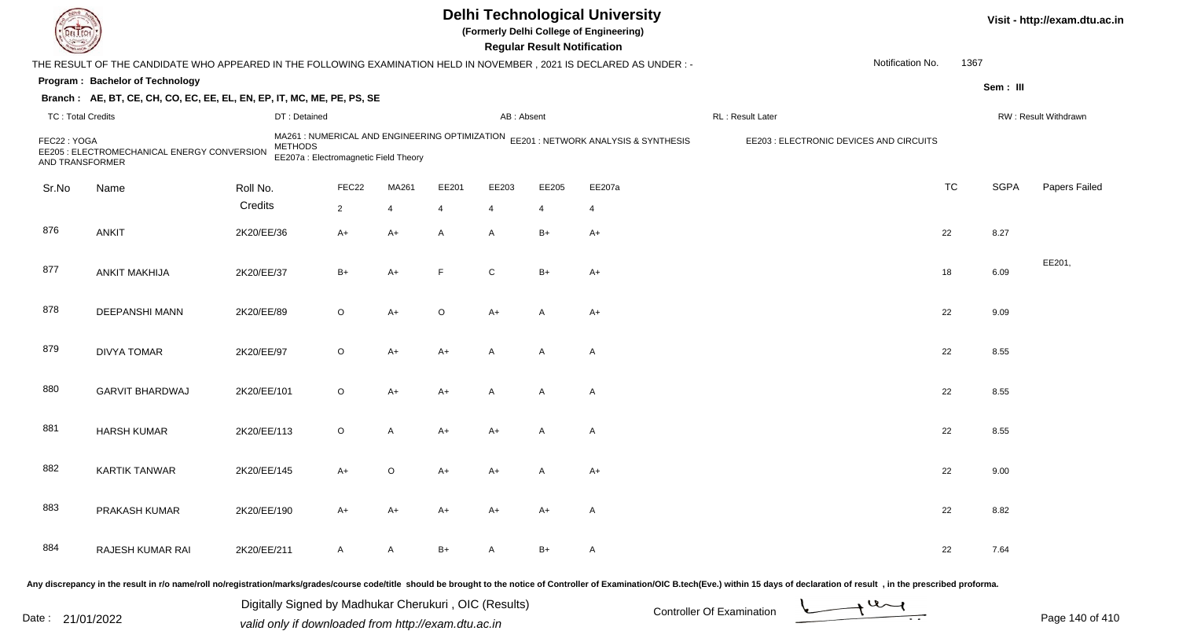| EL EC                          |                                                                                                                      |                |                                       |                |                |                | <b>Regular Result Notification</b> | <b>Delhi Technological University</b><br>(Formerly Delhi College of Engineering)    |                                                                                                                                                                                                                                |                  |           |             | Visit - http://exam.dtu.ac.in |
|--------------------------------|----------------------------------------------------------------------------------------------------------------------|----------------|---------------------------------------|----------------|----------------|----------------|------------------------------------|-------------------------------------------------------------------------------------|--------------------------------------------------------------------------------------------------------------------------------------------------------------------------------------------------------------------------------|------------------|-----------|-------------|-------------------------------|
|                                | THE RESULT OF THE CANDIDATE WHO APPEARED IN THE FOLLOWING EXAMINATION HELD IN NOVEMBER, 2021 IS DECLARED AS UNDER: - |                |                                       |                |                |                |                                    |                                                                                     |                                                                                                                                                                                                                                | Notification No. | 1367      |             |                               |
|                                | Program: Bachelor of Technology                                                                                      |                |                                       |                |                |                |                                    |                                                                                     |                                                                                                                                                                                                                                |                  |           | Sem: III    |                               |
|                                | Branch: AE, BT, CE, CH, CO, EC, EE, EL, EN, EP, IT, MC, ME, PE, PS, SE                                               |                |                                       |                |                |                |                                    |                                                                                     |                                                                                                                                                                                                                                |                  |           |             |                               |
| <b>TC: Total Credits</b>       |                                                                                                                      | DT: Detained   |                                       |                |                | AB: Absent     |                                    |                                                                                     | RL: Result Later                                                                                                                                                                                                               |                  |           |             | RW: Result Withdrawn          |
| FEC22: YOGA<br>AND TRANSFORMER | EE205 : ELECTROMECHANICAL ENERGY CONVERSION                                                                          | <b>METHODS</b> | EE207a : Electromagnetic Field Theory |                |                |                |                                    | MA261 : NUMERICAL AND ENGINEERING OPTIMIZATION EE201 : NETWORK ANALYSIS & SYNTHESIS | EE203 : ELECTRONIC DEVICES AND CIRCUITS                                                                                                                                                                                        |                  |           |             |                               |
| Sr.No                          | Name                                                                                                                 | Roll No.       | FEC22                                 | MA261          | EE201          | EE203          | EE205                              | EE207a                                                                              |                                                                                                                                                                                                                                |                  | <b>TC</b> | <b>SGPA</b> | Papers Failed                 |
|                                |                                                                                                                      | Credits        | $\overline{2}$                        | $\overline{4}$ | $\overline{4}$ | $\overline{4}$ | $\overline{4}$                     | $\overline{4}$                                                                      |                                                                                                                                                                                                                                |                  |           |             |                               |
| 876                            | <b>ANKIT</b>                                                                                                         | 2K20/EE/36     | $A+$                                  | $A+$           | A              | A              | $B+$                               | $A+$                                                                                |                                                                                                                                                                                                                                |                  | 22        | 8.27        |                               |
| 877                            | <b>ANKIT MAKHIJA</b>                                                                                                 | 2K20/EE/37     | $B+$                                  | $A+$           | F              | $\mathsf{C}$   | $B+$                               | $A+$                                                                                |                                                                                                                                                                                                                                |                  | 18        | 6.09        | EE201,                        |
| 878                            | <b>DEEPANSHI MANN</b>                                                                                                | 2K20/EE/89     | $\circ$                               | $A+$           | $\circ$        | A+             | A                                  | A+                                                                                  |                                                                                                                                                                                                                                |                  | 22        | 9.09        |                               |
| 879                            | <b>DIVYA TOMAR</b>                                                                                                   | 2K20/EE/97     | $\circ$                               | $A+$           | A+             | A              | $\mathsf{A}$                       | $\mathsf{A}$                                                                        |                                                                                                                                                                                                                                |                  | 22        | 8.55        |                               |
| 880                            | <b>GARVIT BHARDWAJ</b>                                                                                               | 2K20/EE/101    | $\circ$                               | $A+$           | $A+$           | A              | A                                  | $\mathsf{A}$                                                                        |                                                                                                                                                                                                                                |                  | 22        | 8.55        |                               |
| 881                            | <b>HARSH KUMAR</b>                                                                                                   | 2K20/EE/113    | $\circ$                               | $\overline{A}$ | A+             | A+             | A                                  | $\mathsf{A}$                                                                        |                                                                                                                                                                                                                                |                  | 22        | 8.55        |                               |
| 882                            | <b>KARTIK TANWAR</b>                                                                                                 | 2K20/EE/145    | A+                                    | O              | A+             | A+             | А                                  | $A+$                                                                                |                                                                                                                                                                                                                                |                  | 22        | 9.00        |                               |
| 883                            | PRAKASH KUMAR                                                                                                        | 2K20/EE/190    | A+                                    | $A+$           | $A+$           | A+             | $A+$                               | A                                                                                   |                                                                                                                                                                                                                                |                  | 22        | 8.82        |                               |
| 884                            | RAJESH KUMAR RAI                                                                                                     | 2K20/EE/211    | $\mathsf{A}$                          | $\mathsf{A}$   | $B+$           | A              | B+                                 | A                                                                                   |                                                                                                                                                                                                                                |                  | 22        | 7.64        |                               |
|                                |                                                                                                                      |                |                                       |                |                |                |                                    |                                                                                     | Any discrepancy in the result in r/o name/roll no/registration/marks/grades/course code/title should be brought to the notice of Controller of Examination/OIC B.tech(Eve.) within 15 days of declaration of result , in the p |                  |           |             |                               |

Date : 21/01/2022 Digital Digital of Microsofted Chemical Controller Of Examination Determination Page 140 of 41 Digitally Signed by Madhukar Cherukuri , OIC (Results)

Page 140 of 410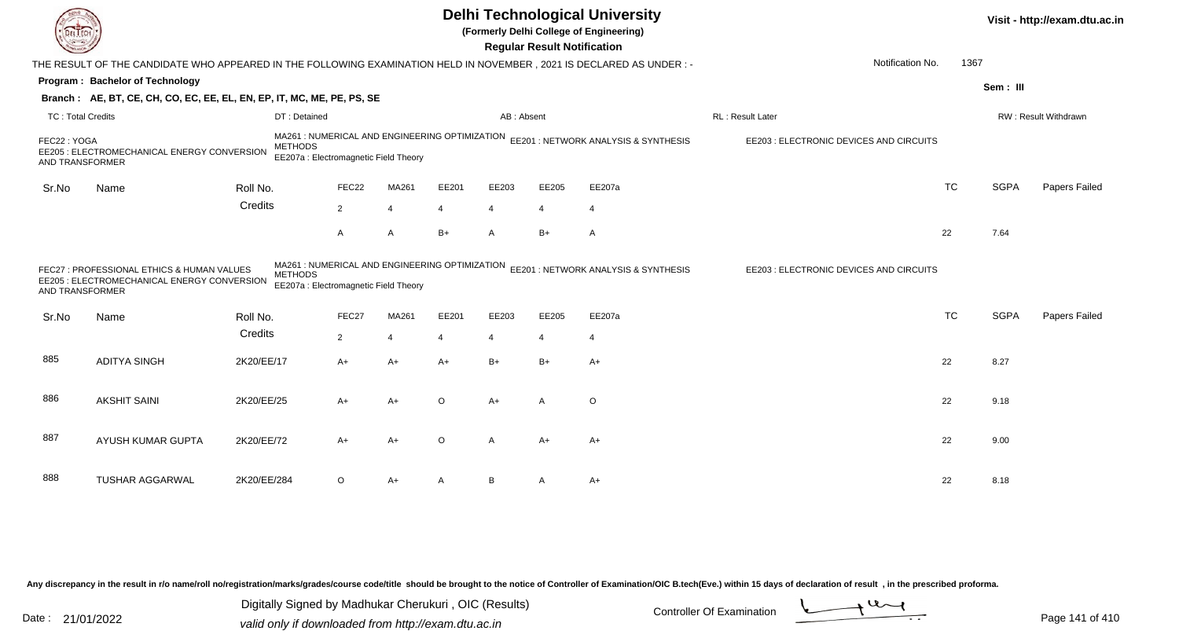|                                |                                                                                                                     |                |                                                                                         |                |                |                | <b>Regular Result Notification</b> | <b>Delhi Technological University</b><br>(Formerly Delhi College of Engineering) |                                         |           |             | Visit - http://exam.dtu.ac.in |
|--------------------------------|---------------------------------------------------------------------------------------------------------------------|----------------|-----------------------------------------------------------------------------------------|----------------|----------------|----------------|------------------------------------|----------------------------------------------------------------------------------|-----------------------------------------|-----------|-------------|-------------------------------|
|                                | THE RESULT OF THE CANDIDATE WHO APPEARED IN THE FOLLOWING EXAMINATION HELD IN NOVEMBER, 2021 IS DECLARED AS UNDER:- |                |                                                                                         |                |                |                |                                    |                                                                                  | Notification No.                        | 1367      |             |                               |
|                                | Program: Bachelor of Technology                                                                                     |                |                                                                                         |                |                |                |                                    |                                                                                  |                                         |           | Sem: III    |                               |
|                                | Branch: AE, BT, CE, CH, CO, EC, EE, EL, EN, EP, IT, MC, ME, PE, PS, SE                                              |                |                                                                                         |                |                |                |                                    |                                                                                  |                                         |           |             |                               |
| <b>TC: Total Credits</b>       |                                                                                                                     | DT: Detained   |                                                                                         |                |                | AB: Absent     |                                    |                                                                                  | RL: Result Later                        |           |             | RW: Result Withdrawn          |
| FEC22: YOGA<br>AND TRANSFORMER | EE205 : ELECTROMECHANICAL ENERGY CONVERSION                                                                         | <b>METHODS</b> | MA261 : NUMERICAL AND ENGINEERING OPTIMIZATION<br>EE207a : Electromagnetic Field Theory |                |                |                |                                    | EE201: NETWORK ANALYSIS & SYNTHESIS                                              | EE203 : ELECTRONIC DEVICES AND CIRCUITS |           |             |                               |
| Sr.No                          | Name                                                                                                                | Roll No.       | FEC22                                                                                   | MA261          | EE201          | EE203          | EE205                              | EE207a                                                                           |                                         | <b>TC</b> | <b>SGPA</b> | Papers Failed                 |
|                                |                                                                                                                     | Credits        | $\overline{2}$                                                                          | $\overline{4}$ | 4              | $\overline{4}$ | $\overline{4}$                     | $\overline{4}$                                                                   |                                         |           |             |                               |
|                                |                                                                                                                     |                | A                                                                                       | A              | B+             | $\overline{A}$ | $B+$                               | A                                                                                |                                         | 22        | 7.64        |                               |
| AND TRANSFORMER                | FEC27 : PROFESSIONAL ETHICS & HUMAN VALUES<br>EE205 : ELECTROMECHANICAL ENERGY CONVERSION                           | <b>METHODS</b> | MA261 : NUMERICAL AND ENGINEERING OPTIMIZATION<br>EE207a : Electromagnetic Field Theory |                |                |                |                                    | EE201 : NETWORK ANALYSIS & SYNTHESIS                                             | EE203 : ELECTRONIC DEVICES AND CIRCUITS |           |             |                               |
| Sr.No                          | Name                                                                                                                | Roll No.       | FEC27                                                                                   | MA261          | EE201          | EE203          | EE205                              | EE207a                                                                           |                                         | <b>TC</b> | <b>SGPA</b> | Papers Failed                 |
|                                |                                                                                                                     | Credits        | $\overline{2}$                                                                          | $\overline{4}$ | $\overline{4}$ | $\overline{4}$ | $\overline{4}$                     | 4                                                                                |                                         |           |             |                               |
| 885                            | <b>ADITYA SINGH</b>                                                                                                 | 2K20/EE/17     | $A+$                                                                                    | $A+$           | A+             | $B+$           | $B+$                               | $A+$                                                                             |                                         | 22        | 8.27        |                               |
| 886                            | <b>AKSHIT SAINI</b>                                                                                                 | 2K20/EE/25     | A+                                                                                      | $A+$           | O              | $A+$           | $\mathsf{A}$                       | $\circ$                                                                          |                                         | 22        | 9.18        |                               |
| 887                            | AYUSH KUMAR GUPTA                                                                                                   | 2K20/EE/72     | $A+$                                                                                    | $A+$           | $\circ$        | A              | $A+$                               | $A+$                                                                             |                                         | 22        | 9.00        |                               |
| 888                            | <b>TUSHAR AGGARWAL</b>                                                                                              | 2K20/EE/284    | $\circ$                                                                                 | A+             |                | B              |                                    | $A+$                                                                             |                                         | 22        | 8.18        |                               |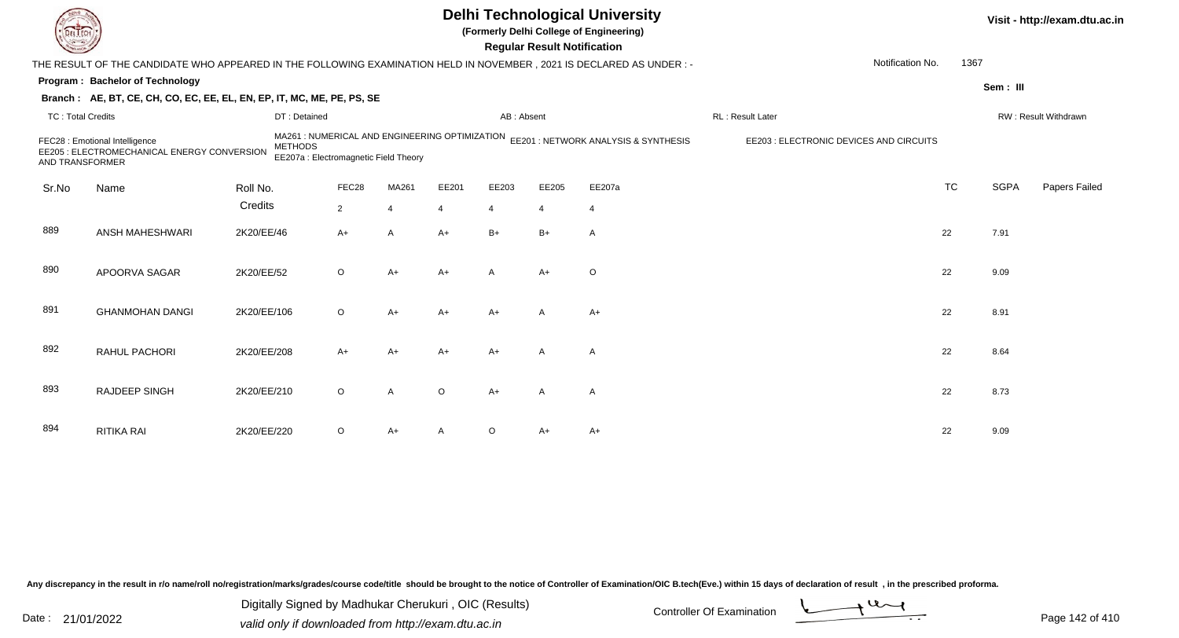| LI ECH                   |                                                                                                                      |                |                                       |                |                |                | <b>Regular Result Notification</b> | <b>Delhi Technological University</b><br>(Formerly Delhi College of Engineering)    |                                         |           |             | Visit - http://exam.dtu.ac.in |
|--------------------------|----------------------------------------------------------------------------------------------------------------------|----------------|---------------------------------------|----------------|----------------|----------------|------------------------------------|-------------------------------------------------------------------------------------|-----------------------------------------|-----------|-------------|-------------------------------|
|                          | THE RESULT OF THE CANDIDATE WHO APPEARED IN THE FOLLOWING EXAMINATION HELD IN NOVEMBER, 2021 IS DECLARED AS UNDER :- |                |                                       |                |                |                |                                    |                                                                                     | Notification No.                        | 1367      |             |                               |
|                          | Program: Bachelor of Technology                                                                                      |                |                                       |                |                |                |                                    |                                                                                     |                                         |           | Sem: III    |                               |
|                          | Branch: AE, BT, CE, CH, CO, EC, EE, EL, EN, EP, IT, MC, ME, PE, PS, SE                                               |                |                                       |                |                |                |                                    |                                                                                     |                                         |           |             |                               |
| <b>TC: Total Credits</b> |                                                                                                                      | DT: Detained   |                                       |                |                | AB: Absent     |                                    |                                                                                     | RL: Result Later                        |           |             | RW: Result Withdrawn          |
| AND TRANSFORMER          | FEC28 : Emotional Intelligence<br>EE205 : ELECTROMECHANICAL ENERGY CONVERSION                                        | <b>METHODS</b> | EE207a : Electromagnetic Field Theory |                |                |                |                                    | MA261 : NUMERICAL AND ENGINEERING OPTIMIZATION EE201 : NETWORK ANALYSIS & SYNTHESIS | EE203 : ELECTRONIC DEVICES AND CIRCUITS |           |             |                               |
| Sr.No                    | Name                                                                                                                 | Roll No.       | FEC28                                 | MA261          | EE201          | EE203          | EE205                              | EE207a                                                                              |                                         | <b>TC</b> | <b>SGPA</b> | Papers Failed                 |
|                          |                                                                                                                      | Credits        | $2^{\circ}$                           | $\overline{4}$ | $\overline{4}$ | $\overline{4}$ | $\overline{4}$                     | $\overline{4}$                                                                      |                                         |           |             |                               |
| 889                      | ANSH MAHESHWARI                                                                                                      | 2K20/EE/46     | $A+$                                  | $\overline{A}$ | $A+$           | $B+$           | $B+$                               | $\overline{A}$                                                                      |                                         | 22        | 7.91        |                               |
| 890                      | APOORVA SAGAR                                                                                                        | 2K20/EE/52     | $\circ$                               | $A+$           | $A+$           | A              | $A+$                               | $\circ$                                                                             |                                         | 22        | 9.09        |                               |
| 891                      | <b>GHANMOHAN DANGI</b>                                                                                               | 2K20/EE/106    | $\circ$                               | $A+$           | $A+$           | $A+$           | A                                  | $A+$                                                                                |                                         | 22        | 8.91        |                               |
| 892                      | RAHUL PACHORI                                                                                                        | 2K20/EE/208    | A+                                    | $A+$           | $A+$           | $A+$           | A                                  | A                                                                                   |                                         | 22        | 8.64        |                               |
| 893                      | RAJDEEP SINGH                                                                                                        | 2K20/EE/210    | $\circ$                               | $\overline{A}$ | $\Omega$       | $A+$           | $\mathsf{A}$                       | $\overline{A}$                                                                      |                                         | 22        | 8.73        |                               |
| 894                      | <b>RITIKA RAI</b>                                                                                                    | 2K20/EE/220    | $\circ$                               | $A+$           |                | $\circ$        | A+                                 | $A+$                                                                                |                                         | 22        | 9.09        |                               |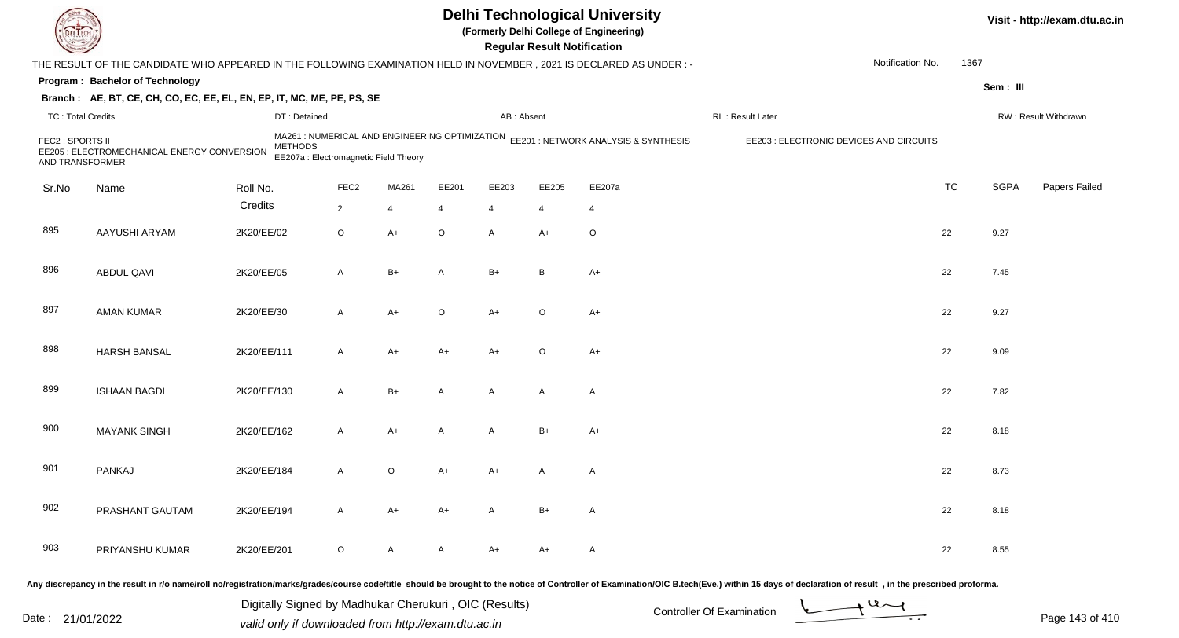|                                     |                                                                                                                     |             |                                                                                                           |                  |       |         |                | <b>Regular Result Notification</b> | <b>Delhi Technological University</b><br>(Formerly Delhi College of Engineering)                                                                 |                  |                                         |           |             | Visit - http://exam.dtu.ac.in |
|-------------------------------------|---------------------------------------------------------------------------------------------------------------------|-------------|-----------------------------------------------------------------------------------------------------------|------------------|-------|---------|----------------|------------------------------------|--------------------------------------------------------------------------------------------------------------------------------------------------|------------------|-----------------------------------------|-----------|-------------|-------------------------------|
|                                     | THE RESULT OF THE CANDIDATE WHO APPEARED IN THE FOLLOWING EXAMINATION HELD IN NOVEMBER, 2021 IS DECLARED AS UNDER:- |             |                                                                                                           |                  |       |         |                |                                    |                                                                                                                                                  |                  | Notification No.                        | 1367      |             |                               |
|                                     | Program: Bachelor of Technology                                                                                     |             |                                                                                                           |                  |       |         |                |                                    |                                                                                                                                                  |                  |                                         |           | Sem: III    |                               |
|                                     | Branch: AE, BT, CE, CH, CO, EC, EE, EL, EN, EP, IT, MC, ME, PE, PS, SE                                              |             |                                                                                                           |                  |       |         |                |                                    |                                                                                                                                                  |                  |                                         |           |             |                               |
| <b>TC: Total Credits</b>            |                                                                                                                     |             | DT: Detained                                                                                              |                  |       |         | AB: Absent     |                                    |                                                                                                                                                  | RL: Result Later |                                         |           |             | RW: Result Withdrawn          |
| FEC2 : SPORTS II<br>AND TRANSFORMER | EE205 : ELECTROMECHANICAL ENERGY CONVERSION                                                                         |             | MA261 : NUMERICAL AND ENGINEERING OPTIMIZATION<br><b>METHODS</b><br>EE207a : Electromagnetic Field Theory |                  |       |         |                |                                    | EE201 : NETWORK ANALYSIS & SYNTHESIS                                                                                                             |                  | EE203 : ELECTRONIC DEVICES AND CIRCUITS |           |             |                               |
| Sr.No                               | Name                                                                                                                | Roll No.    |                                                                                                           | FEC <sub>2</sub> | MA261 | EE201   | EE203          | EE205                              | EE207a                                                                                                                                           |                  |                                         | <b>TC</b> | <b>SGPA</b> | Papers Failed                 |
|                                     |                                                                                                                     | Credits     |                                                                                                           | $\overline{2}$   | 4     | 4       | $\overline{4}$ | 4                                  | 4                                                                                                                                                |                  |                                         |           |             |                               |
| 895                                 | AAYUSHI ARYAM                                                                                                       | 2K20/EE/02  |                                                                                                           | $\circ$          | A+    | $\circ$ | $\mathsf{A}$   | $A+$                               | $\circ$                                                                                                                                          |                  |                                         | 22        | 9.27        |                               |
| 896                                 | ABDUL QAVI                                                                                                          | 2K20/EE/05  |                                                                                                           | A                | B+    | Α       | $B+$           | B                                  | $A+$                                                                                                                                             |                  |                                         | 22        | 7.45        |                               |
| 897                                 | <b>AMAN KUMAR</b>                                                                                                   | 2K20/EE/30  |                                                                                                           | A                | A+    | O       | $A+$           | $\circ$                            | $A+$                                                                                                                                             |                  |                                         | 22        | 9.27        |                               |
| 898                                 | <b>HARSH BANSAL</b>                                                                                                 | 2K20/EE/111 |                                                                                                           | A                | A+    | A+      | $A+$           | $\circ$                            | $A+$                                                                                                                                             |                  |                                         | 22        | 9.09        |                               |
| 899                                 | <b>ISHAAN BAGDI</b>                                                                                                 | 2K20/EE/130 |                                                                                                           | A                | $B+$  | A       | $\mathsf{A}$   | A                                  | A                                                                                                                                                |                  |                                         | 22        | 7.82        |                               |
| 900                                 | <b>MAYANK SINGH</b>                                                                                                 | 2K20/EE/162 |                                                                                                           | A                | A+    | A       | A              | $B+$                               | $A+$                                                                                                                                             |                  |                                         | 22        | 8.18        |                               |
| 901                                 | PANKAJ                                                                                                              | 2K20/EE/184 |                                                                                                           | A                | O     | A+      | A+             | A                                  | A                                                                                                                                                |                  |                                         | 22        | 8.73        |                               |
| 902                                 | PRASHANT GAUTAM                                                                                                     | 2K20/EE/194 |                                                                                                           | A                | A+    | A+      | A              | $B+$                               | A                                                                                                                                                |                  |                                         | 22        | 8.18        |                               |
| 903                                 | PRIYANSHU KUMAR                                                                                                     | 2K20/EE/201 |                                                                                                           | O                | A     | A       | A+             | A+                                 | A                                                                                                                                                |                  |                                         | 22        | 8.55        |                               |
|                                     |                                                                                                                     |             |                                                                                                           |                  |       |         |                |                                    | representation in a product of the contract the contract of the second in the newspaper of Contract Constitution (OICD took (Eva) within 15 days |                  |                                         |           |             |                               |

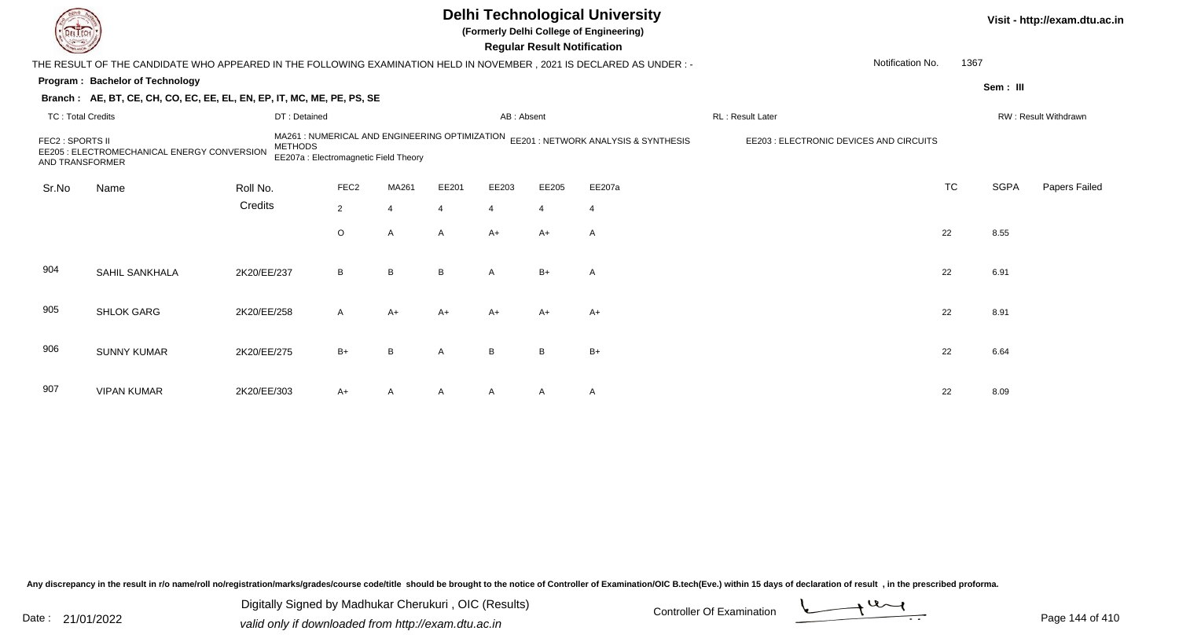|                                     |                                                                                                                        |                |                                                                                         |                |       |                | <b>Regular Result Notification</b> | <b>Delhi Technological University</b><br>(Formerly Delhi College of Engineering) |                                         | Visit - http://exam.dtu.ac.in |             |                      |  |
|-------------------------------------|------------------------------------------------------------------------------------------------------------------------|----------------|-----------------------------------------------------------------------------------------|----------------|-------|----------------|------------------------------------|----------------------------------------------------------------------------------|-----------------------------------------|-------------------------------|-------------|----------------------|--|
|                                     | THE RESULT OF THE CANDIDATE WHO APPEARED IN THE FOLLOWING EXAMINATION HELD IN NOVEMBER , 2021 IS DECLARED AS UNDER : - |                |                                                                                         |                |       |                |                                    |                                                                                  | Notification No.                        | 1367                          |             |                      |  |
|                                     | Program: Bachelor of Technology                                                                                        |                |                                                                                         |                |       |                |                                    |                                                                                  |                                         |                               |             | Sem: III             |  |
|                                     | Branch: AE, BT, CE, CH, CO, EC, EE, EL, EN, EP, IT, MC, ME, PE, PS, SE                                                 |                |                                                                                         |                |       |                |                                    |                                                                                  |                                         |                               |             |                      |  |
| <b>TC: Total Credits</b>            |                                                                                                                        |                | DT: Detained                                                                            |                |       | AB: Absent     |                                    |                                                                                  | RL: Result Later                        |                               |             | RW: Result Withdrawn |  |
| FEC2 : SPORTS II<br>AND TRANSFORMER | EE205 : ELECTROMECHANICAL ENERGY CONVERSION                                                                            | <b>METHODS</b> | MA261 : NUMERICAL AND ENGINEERING OPTIMIZATION<br>EE207a : Electromagnetic Field Theory |                |       |                |                                    | EE201 : NETWORK ANALYSIS & SYNTHESIS                                             | EE203 : ELECTRONIC DEVICES AND CIRCUITS |                               |             |                      |  |
| Sr.No                               | Name                                                                                                                   | Roll No.       | FEC <sub>2</sub>                                                                        | MA261          | EE201 | EE203          | EE205                              | EE207a                                                                           |                                         | <b>TC</b>                     | <b>SGPA</b> | Papers Failed        |  |
|                                     |                                                                                                                        | Credits        | $2^{\circ}$                                                                             | 4              | Δ     | $\overline{4}$ | $\Delta$                           | $\overline{4}$                                                                   |                                         |                               |             |                      |  |
|                                     |                                                                                                                        |                | $\circ$                                                                                 | A              | A     | $A+$           | $A+$                               | $\mathsf{A}$                                                                     |                                         | 22                            | 8.55        |                      |  |
| 904                                 | SAHIL SANKHALA                                                                                                         | 2K20/EE/237    | B                                                                                       | B              | B     | $\overline{A}$ | $B+$                               | A                                                                                |                                         | 22                            | 6.91        |                      |  |
| 905                                 | <b>SHLOK GARG</b>                                                                                                      | 2K20/EE/258    | A                                                                                       | A+             | A+    | A+             | $A+$                               | $A+$                                                                             |                                         | 22                            | 8.91        |                      |  |
| 906                                 | <b>SUNNY KUMAR</b>                                                                                                     | 2K20/EE/275    | $B+$                                                                                    | B              | A     | B              | B                                  | $B+$                                                                             |                                         | 22                            | 6.64        |                      |  |
| 907                                 | <b>VIPAN KUMAR</b>                                                                                                     | 2K20/EE/303    | A+                                                                                      | $\overline{A}$ |       |                | A                                  | $\mathsf{A}$                                                                     |                                         | 22                            | 8.09        |                      |  |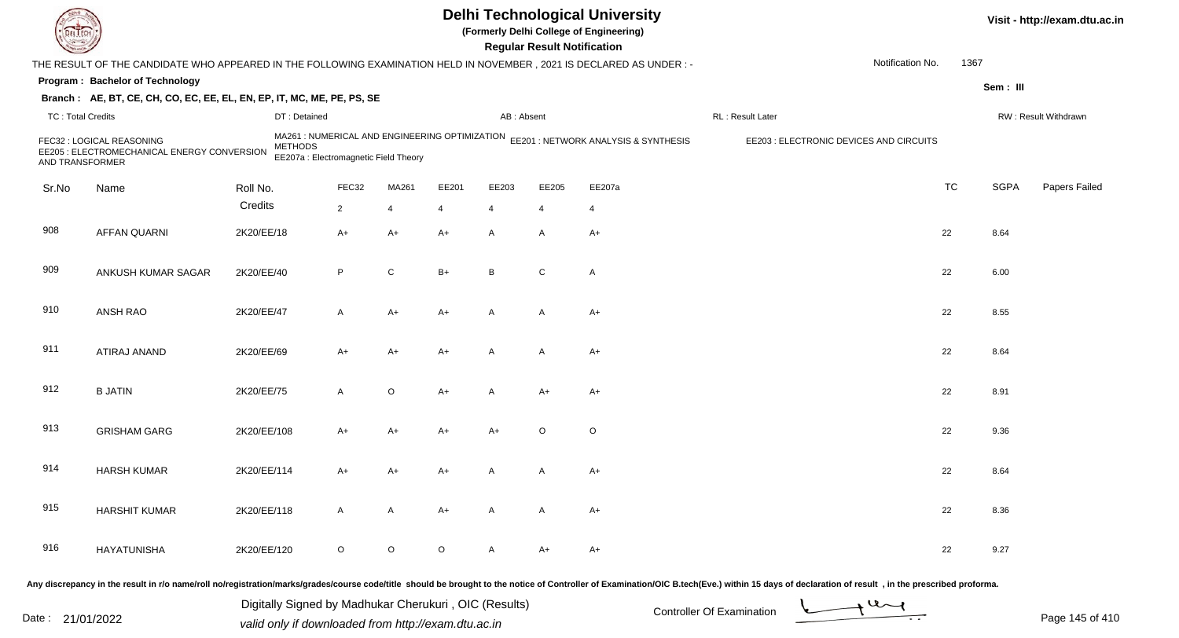| DEL TECH                 |                                                                                                                                                                                                                                |             |                                                         |                |                |                |                | <b>Regular Result Notification</b> | <b>Delhi Technological University</b><br>(Formerly Delhi College of Engineering)    |                   |                                         |           |             | Visit - http://exam.dtu.ac.in |
|--------------------------|--------------------------------------------------------------------------------------------------------------------------------------------------------------------------------------------------------------------------------|-------------|---------------------------------------------------------|----------------|----------------|----------------|----------------|------------------------------------|-------------------------------------------------------------------------------------|-------------------|-----------------------------------------|-----------|-------------|-------------------------------|
|                          | THE RESULT OF THE CANDIDATE WHO APPEARED IN THE FOLLOWING EXAMINATION HELD IN NOVEMBER, 2021 IS DECLARED AS UNDER: -                                                                                                           |             |                                                         |                |                |                |                |                                    |                                                                                     |                   | Notification No.                        | 1367      |             |                               |
|                          | Program: Bachelor of Technology                                                                                                                                                                                                |             |                                                         |                |                |                |                |                                    |                                                                                     |                   |                                         |           | Sem: III    |                               |
|                          | Branch: AE, BT, CE, CH, CO, EC, EE, EL, EN, EP, IT, MC, ME, PE, PS, SE                                                                                                                                                         |             |                                                         |                |                |                |                |                                    |                                                                                     |                   |                                         |           |             |                               |
| <b>TC: Total Credits</b> |                                                                                                                                                                                                                                |             | DT: Detained                                            |                |                |                | AB: Absent     |                                    |                                                                                     | RL : Result Later |                                         |           |             | RW: Result Withdrawn          |
| AND TRANSFORMER          | FEC32 : LOGICAL REASONING<br>EE205 : ELECTROMECHANICAL ENERGY CONVERSION                                                                                                                                                       |             | <b>METHODS</b><br>EE207a : Electromagnetic Field Theory |                |                |                |                |                                    | MA261 : NUMERICAL AND ENGINEERING OPTIMIZATION EE201 : NETWORK ANALYSIS & SYNTHESIS |                   | EE203 : ELECTRONIC DEVICES AND CIRCUITS |           |             |                               |
| Sr.No                    | Name                                                                                                                                                                                                                           | Roll No.    |                                                         | FEC32          | MA261          | EE201          | EE203          | EE205                              | EE207a                                                                              |                   |                                         | <b>TC</b> | <b>SGPA</b> | Papers Failed                 |
|                          |                                                                                                                                                                                                                                | Credits     |                                                         | $\overline{2}$ | $\overline{4}$ | $\overline{4}$ | 4              | 4                                  | $\overline{4}$                                                                      |                   |                                         |           |             |                               |
| 908                      | <b>AFFAN QUARNI</b>                                                                                                                                                                                                            | 2K20/EE/18  |                                                         | $A+$           | $A+$           | $A+$           | A              | A                                  | $A+$                                                                                |                   |                                         | 22        | 8.64        |                               |
| 909                      | ANKUSH KUMAR SAGAR                                                                                                                                                                                                             | 2K20/EE/40  |                                                         | P              | $\mathsf{C}$   | $B+$           | B              | C                                  | A                                                                                   |                   |                                         | 22        | 6.00        |                               |
| 910                      | ANSH RAO                                                                                                                                                                                                                       | 2K20/EE/47  |                                                         | A              | $A+$           | $A+$           | $\mathsf{A}$   | A                                  | $A+$                                                                                |                   |                                         | 22        | 8.55        |                               |
| 911                      | ATIRAJ ANAND                                                                                                                                                                                                                   | 2K20/EE/69  |                                                         | A+             | A+             | $A+$           | $\overline{A}$ | A                                  | $A+$                                                                                |                   |                                         | 22        | 8.64        |                               |
| 912                      | <b>B JATIN</b>                                                                                                                                                                                                                 | 2K20/EE/75  |                                                         | A              | $\circ$        | $A+$           | A              | $A+$                               | $A+$                                                                                |                   |                                         | 22        | 8.91        |                               |
| 913                      | <b>GRISHAM GARG</b>                                                                                                                                                                                                            | 2K20/EE/108 |                                                         | A+             | A+             | $A+$           | $A+$           | $\circ$                            | O                                                                                   |                   |                                         | 22        | 9.36        |                               |
| 914                      | <b>HARSH KUMAR</b>                                                                                                                                                                                                             | 2K20/EE/114 |                                                         | A+             | A+             | $A+$           | A              | A                                  | A+                                                                                  |                   |                                         | 22        | 8.64        |                               |
| 915                      | <b>HARSHIT KUMAR</b>                                                                                                                                                                                                           | 2K20/EE/118 |                                                         | A              | $\mathsf{A}$   | $A+$           | $\mathsf{A}$   | A                                  | $A+$                                                                                |                   |                                         | 22        | 8.36        |                               |
| 916                      | HAYATUNISHA                                                                                                                                                                                                                    | 2K20/EE/120 |                                                         | $\circ$        | $\circ$        | $\circ$        | $\mathsf{A}$   | A+                                 | A+                                                                                  |                   |                                         | 22        | 9.27        |                               |
|                          | Any discrepancy in the result in r/o name/roll no/registration/marks/grades/course code/title should be brought to the notice of Controller of Examination/OIC B.tech(Eve.) within 15 days of declaration of result , in the p |             |                                                         |                |                |                |                |                                    |                                                                                     |                   |                                         |           |             |                               |

Date : 21/01/2022 Digital Digital of Microsofted Chemical Controller Of Examination Determination Page 145 of 41 Digitally Signed by Madhukar Cherukuri , OIC (Results)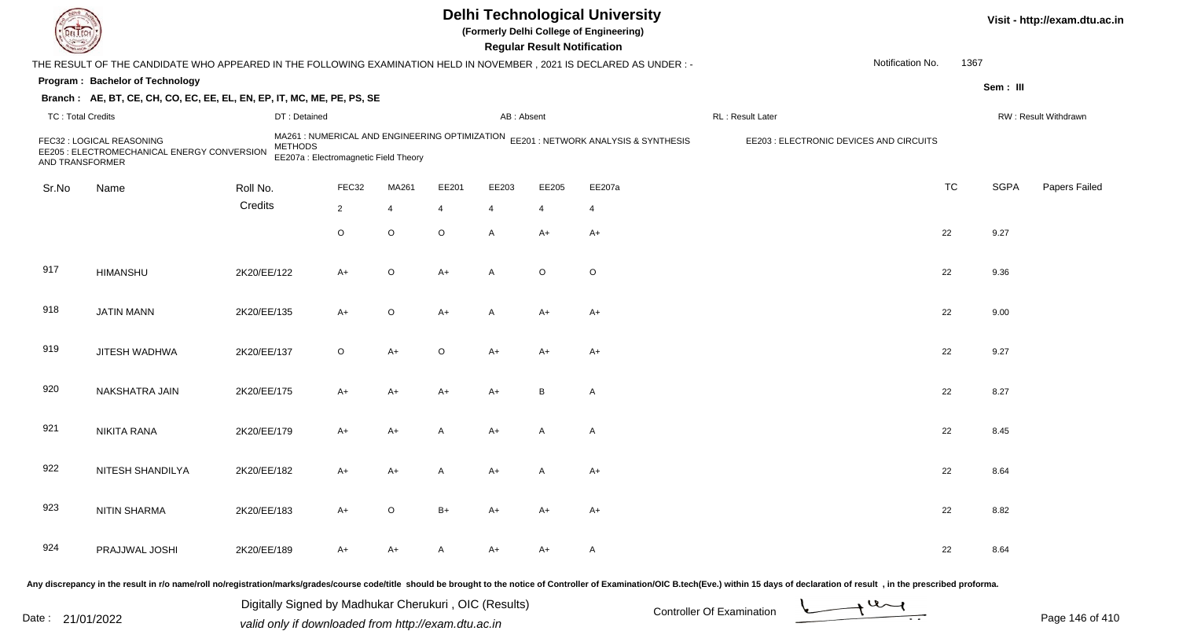| <b>DELTECT</b>    |                                                                                                                                                                                                                                |             |                                                         |                |                |                |                | <b>Regular Result Notification</b> | <b>Delhi Technological University</b><br>(Formerly Delhi College of Engineering)    |                  |                                         |           |             | Visit - http://exam.dtu.ac.in |
|-------------------|--------------------------------------------------------------------------------------------------------------------------------------------------------------------------------------------------------------------------------|-------------|---------------------------------------------------------|----------------|----------------|----------------|----------------|------------------------------------|-------------------------------------------------------------------------------------|------------------|-----------------------------------------|-----------|-------------|-------------------------------|
|                   | THE RESULT OF THE CANDIDATE WHO APPEARED IN THE FOLLOWING EXAMINATION HELD IN NOVEMBER, 2021 IS DECLARED AS UNDER: -                                                                                                           |             |                                                         |                |                |                |                |                                    |                                                                                     |                  | Notification No.                        | 1367      |             |                               |
|                   | Program: Bachelor of Technology                                                                                                                                                                                                |             |                                                         |                |                |                |                |                                    |                                                                                     |                  |                                         |           | Sem: III    |                               |
|                   | Branch: AE, BT, CE, CH, CO, EC, EE, EL, EN, EP, IT, MC, ME, PE, PS, SE                                                                                                                                                         |             |                                                         |                |                |                |                |                                    |                                                                                     |                  |                                         |           |             |                               |
| TC: Total Credits |                                                                                                                                                                                                                                |             | DT: Detained                                            |                |                |                | AB: Absent     |                                    |                                                                                     | RL: Result Later |                                         |           |             | RW: Result Withdrawn          |
| AND TRANSFORMER   | FEC32 : LOGICAL REASONING<br>EE205 : ELECTROMECHANICAL ENERGY CONVERSION                                                                                                                                                       |             | <b>METHODS</b><br>EE207a : Electromagnetic Field Theory |                |                |                |                |                                    | MA261 : NUMERICAL AND ENGINEERING OPTIMIZATION EE201 : NETWORK ANALYSIS & SYNTHESIS |                  | EE203 : ELECTRONIC DEVICES AND CIRCUITS |           |             |                               |
| Sr.No             | Name                                                                                                                                                                                                                           | Roll No.    |                                                         | FEC32          | MA261          | EE201          | EE203          | EE205                              | EE207a                                                                              |                  |                                         | <b>TC</b> | <b>SGPA</b> | Papers Failed                 |
|                   |                                                                                                                                                                                                                                | Credits     |                                                         | $\overline{2}$ | $\overline{4}$ | $\overline{4}$ | $\overline{4}$ | $\overline{4}$                     | $\overline{4}$                                                                      |                  |                                         |           |             |                               |
|                   |                                                                                                                                                                                                                                |             |                                                         | $\circ$        | $\circ$        | $\circ$        | $\mathsf{A}$   | $A+$                               | $A+$                                                                                |                  |                                         | 22        | 9.27        |                               |
| 917               | <b>HIMANSHU</b>                                                                                                                                                                                                                | 2K20/EE/122 |                                                         | $A+$           | $\circ$        | $A+$           | $\mathsf{A}$   | $\circ$                            | $\mathsf O$                                                                         |                  |                                         | 22        | 9.36        |                               |
| 918               | <b>JATIN MANN</b>                                                                                                                                                                                                              | 2K20/EE/135 |                                                         | A+             | $\circ$        | $A+$           | $\mathsf{A}$   | $A+$                               | $A+$                                                                                |                  |                                         | 22        | 9.00        |                               |
| 919               | JITESH WADHWA                                                                                                                                                                                                                  | 2K20/EE/137 |                                                         | $\circ$        | A+             | $\circ$        | A+             | A+                                 | A+                                                                                  |                  |                                         | 22        | 9.27        |                               |
| 920               | NAKSHATRA JAIN                                                                                                                                                                                                                 | 2K20/EE/175 |                                                         | A+             | A+             | $A+$           | $A+$           | B                                  | A                                                                                   |                  |                                         | 22        | 8.27        |                               |
| 921               | NIKITA RANA                                                                                                                                                                                                                    | 2K20/EE/179 |                                                         | A+             | A+             | $\overline{A}$ | $A+$           | A                                  | A                                                                                   |                  |                                         | 22        | 8.45        |                               |
| 922               | NITESH SHANDILYA                                                                                                                                                                                                               | 2K20/EE/182 |                                                         | A+             | A+             | A              | A+             |                                    | $A+$                                                                                |                  |                                         | 22        | 8.64        |                               |
| 923               | <b>NITIN SHARMA</b>                                                                                                                                                                                                            | 2K20/EE/183 |                                                         | A+             | $\circ$        | $B+$           | A+             | A+                                 | A+                                                                                  |                  |                                         | 22        | 8.82        |                               |
| 924               | PRAJJWAL JOSHI                                                                                                                                                                                                                 | 2K20/EE/189 |                                                         | A+             | A+             | $\mathsf{A}$   | A+             | A+                                 | A                                                                                   |                  |                                         | 22        | 8.64        |                               |
|                   | Any discrepancy in the result in r/o name/roll no/registration/marks/grades/course code/title should be brought to the notice of Controller of Examination/OIC B.tech(Eve.) within 15 days of declaration of result , in the p |             |                                                         |                |                |                |                |                                    |                                                                                     |                  |                                         |           |             |                               |

| Date: | 21/01/2022 |  |
|-------|------------|--|
|-------|------------|--|

Date : 21/01/2022 Digital Digital of Microsofted Chemical Controller Of Examination Determination Page 146 of 41 Digitally Signed by Madhukar Cherukuri , OIC (Results)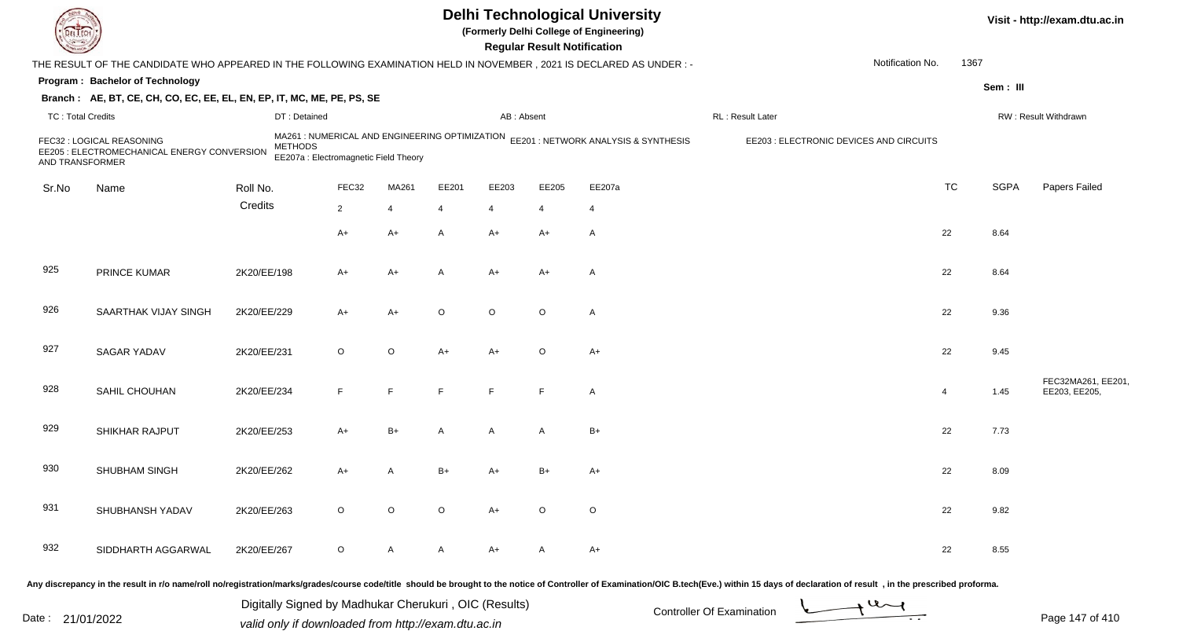|                          |                                                                                                                      |                |                                       |                |                |                | <b>Regular Result Notification</b> | <b>Delhi Technological University</b><br>(Formerly Delhi College of Engineering)    |                                         |                  |           |             | Visit - http://exam.dtu.ac.in       |
|--------------------------|----------------------------------------------------------------------------------------------------------------------|----------------|---------------------------------------|----------------|----------------|----------------|------------------------------------|-------------------------------------------------------------------------------------|-----------------------------------------|------------------|-----------|-------------|-------------------------------------|
|                          | THE RESULT OF THE CANDIDATE WHO APPEARED IN THE FOLLOWING EXAMINATION HELD IN NOVEMBER, 2021 IS DECLARED AS UNDER :- |                |                                       |                |                |                |                                    |                                                                                     |                                         | Notification No. | 1367      |             |                                     |
|                          | Program: Bachelor of Technology                                                                                      |                |                                       |                |                |                |                                    |                                                                                     |                                         |                  |           | Sem: III    |                                     |
|                          | Branch: AE, BT, CE, CH, CO, EC, EE, EL, EN, EP, IT, MC, ME, PE, PS, SE                                               |                |                                       |                |                |                |                                    |                                                                                     |                                         |                  |           |             |                                     |
| <b>TC: Total Credits</b> |                                                                                                                      | DT: Detained   |                                       |                |                | AB: Absent     |                                    |                                                                                     | RL : Result Later                       |                  |           |             | RW: Result Withdrawn                |
| AND TRANSFORMER          | FEC32 : LOGICAL REASONING<br>EE205 : ELECTROMECHANICAL ENERGY CONVERSION                                             | <b>METHODS</b> | EE207a : Electromagnetic Field Theory |                |                |                |                                    | MA261 : NUMERICAL AND ENGINEERING OPTIMIZATION EE201 : NETWORK ANALYSIS & SYNTHESIS | EE203 : ELECTRONIC DEVICES AND CIRCUITS |                  |           |             |                                     |
| Sr.No                    | Name                                                                                                                 | Roll No.       | FEC32                                 | MA261          | EE201          | EE203          | EE205                              | EE207a                                                                              |                                         |                  | <b>TC</b> | <b>SGPA</b> | Papers Failed                       |
|                          |                                                                                                                      | Credits        | $\overline{2}$                        | $\overline{4}$ | $\overline{4}$ | $\overline{4}$ | 4                                  | $\overline{4}$                                                                      |                                         |                  |           |             |                                     |
|                          |                                                                                                                      |                | $A+$                                  | $A+$           | $\mathsf{A}$   | $A+$           | $A+$                               | A                                                                                   |                                         |                  | 22        | 8.64        |                                     |
|                          |                                                                                                                      |                |                                       |                |                |                |                                    |                                                                                     |                                         |                  |           |             |                                     |
| 925                      | PRINCE KUMAR                                                                                                         | 2K20/EE/198    | A+                                    | A+             | $\mathsf{A}$   | $A+$           | $A+$                               | $\mathsf{A}$                                                                        |                                         |                  | 22        | 8.64        |                                     |
| 926                      | SAARTHAK VIJAY SINGH                                                                                                 | 2K20/EE/229    | A+                                    | $A+$           | $\circ$        | $\circ$        | $\circ$                            | $\mathsf{A}$                                                                        |                                         |                  | 22        | 9.36        |                                     |
| 927                      | SAGAR YADAV                                                                                                          | 2K20/EE/231    | $\circ$                               | $\circ$        | $A+$           | $A+$           | $\circ$                            | $A+$                                                                                |                                         |                  | 22        | 9.45        |                                     |
| 928                      | SAHIL CHOUHAN                                                                                                        | 2K20/EE/234    | E                                     | F              | F              | E              | F                                  | $\mathsf{A}$                                                                        |                                         |                  | 4         | 1.45        | FEC32MA261, EE201,<br>EE203, EE205, |
| 929                      | SHIKHAR RAJPUT                                                                                                       | 2K20/EE/253    | $A+$                                  | $B+$           | A              | A              | A                                  | B+                                                                                  |                                         |                  | 22        | 7.73        |                                     |
| 930                      | SHUBHAM SINGH                                                                                                        | 2K20/EE/262    | $A+$                                  | A              | B+             | $A+$           | $B+$                               | A+                                                                                  |                                         |                  | 22        | 8.09        |                                     |
| 931                      | SHUBHANSH YADAV                                                                                                      | 2K20/EE/263    | $\circ$                               | $\circ$        | $\circ$        | $A+$           | $\circ$                            | $\circ$                                                                             |                                         |                  | 22        | 9.82        |                                     |
| 932                      | SIDDHARTH AGGARWAL                                                                                                   | 2K20/EE/267    | $\circ$                               | A              | $\mathsf{A}$   | $A+$           | $\mathsf{A}$                       | $A+$                                                                                |                                         |                  | 22        | 8.55        |                                     |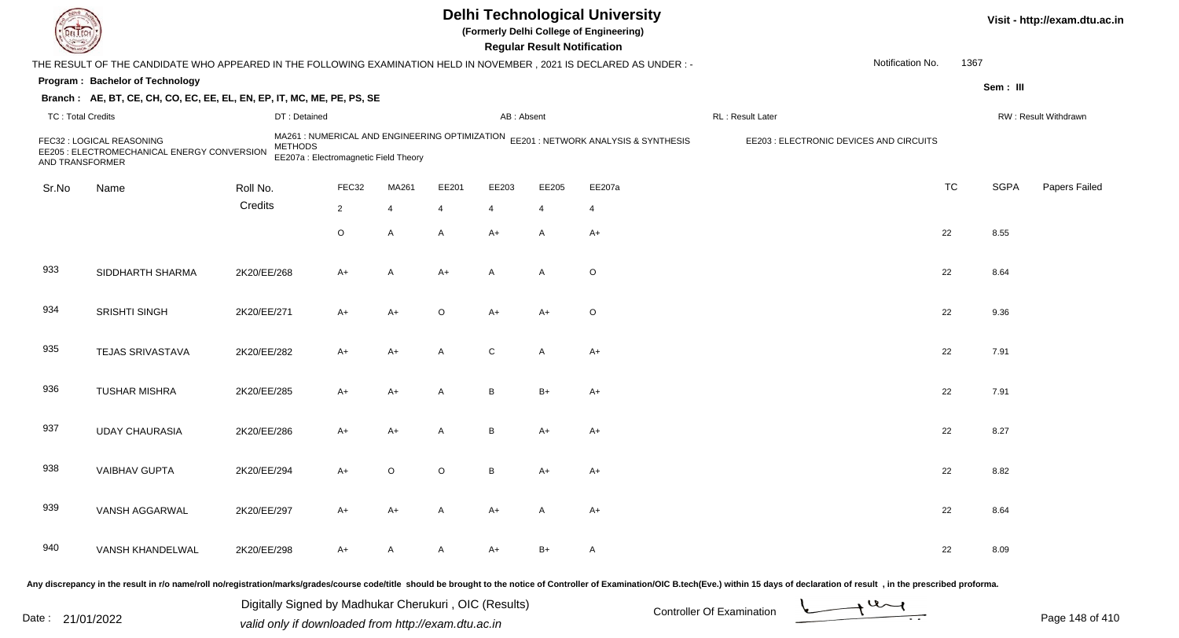|                          |                                                                                                                     |                |                                                                                        |       |       |                | <b>Regular Result Notification</b> | <b>Delhi Technological University</b><br>(Formerly Delhi College of Engineering) |                                         |                  |           |             | Visit - http://exam.dtu.ac.in |
|--------------------------|---------------------------------------------------------------------------------------------------------------------|----------------|----------------------------------------------------------------------------------------|-------|-------|----------------|------------------------------------|----------------------------------------------------------------------------------|-----------------------------------------|------------------|-----------|-------------|-------------------------------|
|                          | THE RESULT OF THE CANDIDATE WHO APPEARED IN THE FOLLOWING EXAMINATION HELD IN NOVEMBER, 2021 IS DECLARED AS UNDER:- |                |                                                                                        |       |       |                |                                    |                                                                                  |                                         | Notification No. | 1367      |             |                               |
|                          | Program: Bachelor of Technology                                                                                     |                |                                                                                        |       |       |                |                                    |                                                                                  |                                         |                  |           | Sem: III    |                               |
|                          | Branch: AE, BT, CE, CH, CO, EC, EE, EL, EN, EP, IT, MC, ME, PE, PS, SE                                              |                |                                                                                        |       |       |                |                                    |                                                                                  |                                         |                  |           |             |                               |
| <b>TC: Total Credits</b> |                                                                                                                     |                | DT: Detained                                                                           |       |       | AB: Absent     |                                    |                                                                                  | RL: Result Later                        |                  |           |             | RW: Result Withdrawn          |
| AND TRANSFORMER          | FEC32 : LOGICAL REASONING<br>EE205 : ELECTROMECHANICAL ENERGY CONVERSION                                            | <b>METHODS</b> | MA261: NUMERICAL AND ENGINEERING OPTIMIZATION<br>EE207a : Electromagnetic Field Theory |       |       |                |                                    | EE201 : NETWORK ANALYSIS & SYNTHESIS                                             | EE203 : ELECTRONIC DEVICES AND CIRCUITS |                  |           |             |                               |
| Sr.No                    | Name                                                                                                                | Roll No.       | FEC32                                                                                  | MA261 | EE201 | EE203          | EE205                              | EE207a                                                                           |                                         |                  | <b>TC</b> | <b>SGPA</b> | Papers Failed                 |
|                          |                                                                                                                     | Credits        | $\overline{2}$                                                                         | 4     | 4     | $\overline{4}$ | 4                                  | 4                                                                                |                                         |                  |           |             |                               |
|                          |                                                                                                                     |                | $\circ$                                                                                | A     | A     | $A+$           | A                                  | $A+$                                                                             |                                         |                  | 22        | 8.55        |                               |
| 933                      | SIDDHARTH SHARMA                                                                                                    | 2K20/EE/268    | A+                                                                                     | A     | $A+$  | $\overline{A}$ | $\mathsf{A}$                       | $\circ$                                                                          |                                         |                  | 22        | 8.64        |                               |
| 934                      | SRISHTI SINGH                                                                                                       | 2K20/EE/271    | A+                                                                                     | A+    | O     | $A+$           | $A+$                               | $\circ$                                                                          |                                         |                  | 22        | 9.36        |                               |
| 935                      | TEJAS SRIVASTAVA                                                                                                    | 2K20/EE/282    | A+                                                                                     | A+    | A     | ${\bf C}$      | $\mathsf{A}$                       | $A+$                                                                             |                                         |                  | 22        | 7.91        |                               |
| 936                      | <b>TUSHAR MISHRA</b>                                                                                                | 2K20/EE/285    | A+                                                                                     | A+    | A     | B              | $B+$                               | $A+$                                                                             |                                         |                  | 22        | 7.91        |                               |
| 937                      | <b>UDAY CHAURASIA</b>                                                                                               | 2K20/EE/286    | A+                                                                                     | A+    | A     | B              | $A+$                               | $A+$                                                                             |                                         |                  | 22        | 8.27        |                               |
| 938                      | <b>VAIBHAV GUPTA</b>                                                                                                | 2K20/EE/294    | A+                                                                                     | O     | 0     | B              | A+                                 | $A+$                                                                             |                                         |                  | 22        | 8.82        |                               |
| 939                      | VANSH AGGARWAL                                                                                                      | 2K20/EE/297    | A+                                                                                     | A+    | A     | A+             | A                                  | A+                                                                               |                                         |                  | 22        | 8.64        |                               |
| 940                      | VANSH KHANDELWAL                                                                                                    | 2K20/EE/298    | A+                                                                                     | A     | A     | A+             | B+                                 | A                                                                                |                                         |                  | 22        | 8.09        |                               |
|                          |                                                                                                                     |                |                                                                                        |       |       |                |                                    |                                                                                  |                                         |                  |           |             |                               |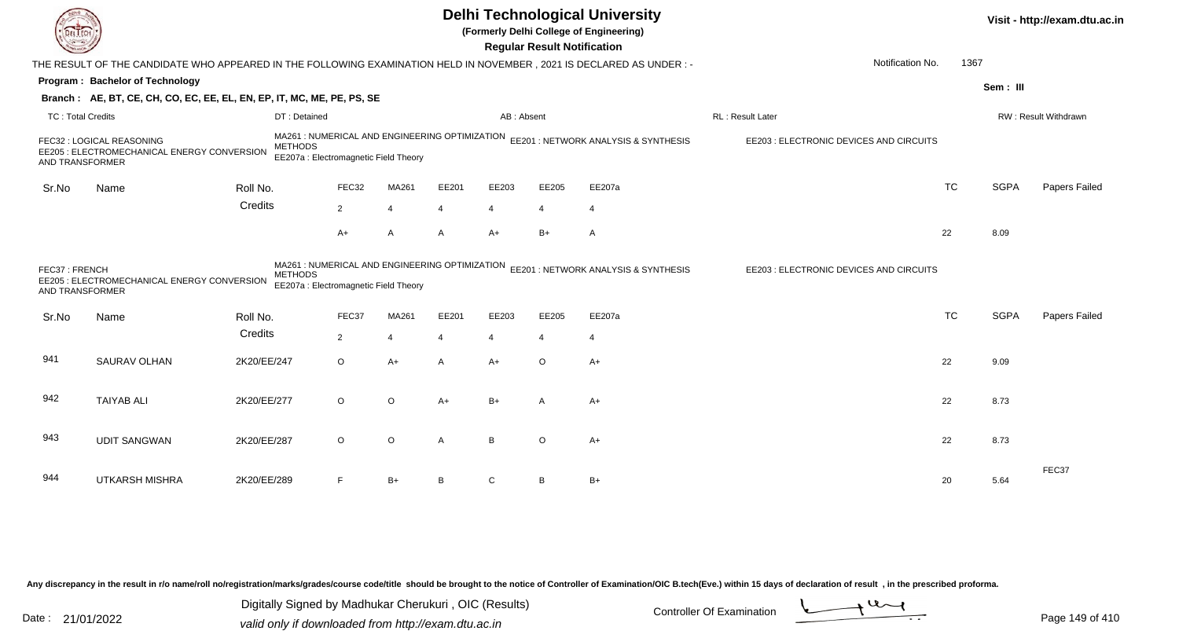|                                  | <b>Delhi Technological University</b><br>(Formerly Delhi College of Engineering)<br><b>Regular Result Notification</b><br>THE RESULT OF THE CANDIDATE WHO APPEARED IN THE FOLLOWING EXAMINATION HELD IN NOVEMBER, 2021 IS DECLARED AS UNDER :- |                |                                                                                         |                       |       |                |                |                                      |                                         |           |             |                      |  |
|----------------------------------|------------------------------------------------------------------------------------------------------------------------------------------------------------------------------------------------------------------------------------------------|----------------|-----------------------------------------------------------------------------------------|-----------------------|-------|----------------|----------------|--------------------------------------|-----------------------------------------|-----------|-------------|----------------------|--|
|                                  |                                                                                                                                                                                                                                                |                |                                                                                         |                       |       |                |                |                                      | Notification No.                        | 1367      |             |                      |  |
|                                  | Program: Bachelor of Technology                                                                                                                                                                                                                |                |                                                                                         |                       |       |                |                |                                      |                                         |           | Sem: III    |                      |  |
|                                  | Branch: AE, BT, CE, CH, CO, EC, EE, EL, EN, EP, IT, MC, ME, PE, PS, SE                                                                                                                                                                         |                |                                                                                         |                       |       |                |                |                                      |                                         |           |             |                      |  |
| <b>TC: Total Credits</b>         |                                                                                                                                                                                                                                                | DT: Detained   |                                                                                         |                       |       | AB: Absent     |                |                                      | RL: Result Later                        |           |             | RW: Result Withdrawn |  |
| AND TRANSFORMER                  | FEC32 : LOGICAL REASONING<br>EE205 : ELECTROMECHANICAL ENERGY CONVERSION                                                                                                                                                                       | <b>METHODS</b> | MA261 : NUMERICAL AND ENGINEERING OPTIMIZATION<br>EE207a : Electromagnetic Field Theory |                       |       |                |                | EE201 : NETWORK ANALYSIS & SYNTHESIS | EE203 : ELECTRONIC DEVICES AND CIRCUITS |           |             |                      |  |
| Sr.No                            | Name                                                                                                                                                                                                                                           | Roll No.       | FEC32                                                                                   | MA261                 | EE201 | EE203          | EE205          | EE207a                               |                                         | <b>TC</b> | <b>SGPA</b> | Papers Failed        |  |
|                                  |                                                                                                                                                                                                                                                | Credits        | $\overline{2}$                                                                          | $\overline{4}$        | 4     | $\overline{4}$ | $\overline{4}$ | $\overline{4}$                       |                                         |           |             |                      |  |
|                                  |                                                                                                                                                                                                                                                |                | $A+$                                                                                    | A                     | A     | $A+$           | $B+$           | $\mathsf{A}$                         |                                         | 22        | 8.09        |                      |  |
| FEC37: FRENCH<br>AND TRANSFORMER | EE205 : ELECTROMECHANICAL ENERGY CONVERSION                                                                                                                                                                                                    | <b>METHODS</b> | MA261 : NUMERICAL AND ENGINEERING OPTIMIZATION<br>EE207a : Electromagnetic Field Theory |                       |       |                |                | EE201 : NETWORK ANALYSIS & SYNTHESIS | EE203 : ELECTRONIC DEVICES AND CIRCUITS |           |             |                      |  |
| Sr.No                            | Name                                                                                                                                                                                                                                           | Roll No.       | FEC37                                                                                   | MA261                 | EE201 | EE203          | EE205          | EE207a                               |                                         | <b>TC</b> | <b>SGPA</b> | <b>Papers Failed</b> |  |
|                                  |                                                                                                                                                                                                                                                | Credits        | $\overline{2}$                                                                          | $\boldsymbol{\Delta}$ | 4     | $\overline{4}$ | 4              | $\overline{4}$                       |                                         |           |             |                      |  |
| 941                              | SAURAV OLHAN                                                                                                                                                                                                                                   | 2K20/EE/247    | $\circ$                                                                                 | $A+$                  | A     | $A+$           | $\circ$        | $A+$                                 |                                         | 22        | 9.09        |                      |  |
| 942                              | <b>TAIYAB ALI</b>                                                                                                                                                                                                                              | 2K20/EE/277    | $\circ$                                                                                 | O                     | A+    | $B+$           | A              | $A+$                                 |                                         | 22        | 8.73        |                      |  |
| 943                              | <b>UDIT SANGWAN</b>                                                                                                                                                                                                                            | 2K20/EE/287    | $\circ$                                                                                 | O                     | A     | B              | $\circ$        | $A+$                                 |                                         | 22        | 8.73        |                      |  |
| 944                              | <b>UTKARSH MISHRA</b>                                                                                                                                                                                                                          | 2K20/EE/289    | F                                                                                       | $B+$                  | B     | C              | B              | $B+$                                 |                                         | 20        | 5.64        | FEC37                |  |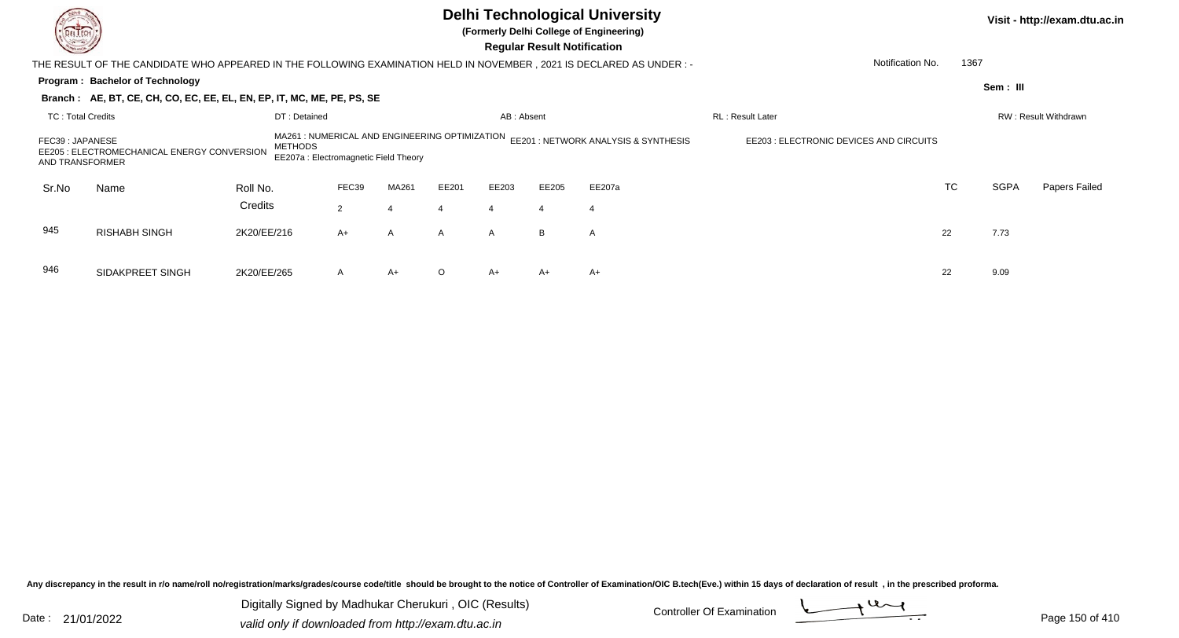| DEL TECH<br><b>Consulton</b>        |                                                                                                                       |                                         |                |                |          |                | <b>Regular Result Notification</b> | <b>Delhi Technological University</b><br>(Formerly Delhi College of Engineering) |                  |                          |             | Visit - http://exam.dtu.ac.in |  |  |
|-------------------------------------|-----------------------------------------------------------------------------------------------------------------------|-----------------------------------------|----------------|----------------|----------|----------------|------------------------------------|----------------------------------------------------------------------------------|------------------|--------------------------|-------------|-------------------------------|--|--|
|                                     | THE RESULT OF THE CANDIDATE WHO APPEARED IN THE FOLLOWING EXAMINATION HELD IN NOVEMBER , 2021 IS DECLARED AS UNDER :- |                                         |                |                |          |                |                                    |                                                                                  |                  | Notification No.<br>1367 |             |                               |  |  |
|                                     | Program: Bachelor of Technology                                                                                       |                                         |                |                |          |                |                                    |                                                                                  |                  |                          | Sem: III    |                               |  |  |
|                                     | Branch: AE, BT, CE, CH, CO, EC, EE, EL, EN, EP, IT, MC, ME, PE, PS, SE                                                |                                         |                |                |          |                |                                    |                                                                                  |                  |                          |             |                               |  |  |
| <b>TC: Total Credits</b>            |                                                                                                                       | DT: Detained                            |                |                |          | AB: Absent     |                                    |                                                                                  | RL: Result Later |                          |             | RW: Result Withdrawn          |  |  |
| FEC39 : JAPANESE<br>AND TRANSFORMER | EE205 : ELECTROMECHANICAL ENERGY CONVERSION                                                                           | EE203 : ELECTRONIC DEVICES AND CIRCUITS |                |                |          |                |                                    |                                                                                  |                  |                          |             |                               |  |  |
| Sr.No                               | Name                                                                                                                  | Roll No.                                | FEC39          | MA261          | EE201    | EE203          | EE205                              | EE207a                                                                           |                  | <b>TC</b>                | <b>SGPA</b> | Papers Failed                 |  |  |
|                                     |                                                                                                                       | Credits                                 | $\overline{2}$ |                | 4        | $\overline{4}$ | $\overline{4}$                     | $\overline{4}$                                                                   |                  |                          |             |                               |  |  |
| 945                                 | <b>RISHABH SINGH</b>                                                                                                  | 2K20/EE/216                             | $A+$           | $\overline{A}$ | A        | $\mathsf{A}$   | B                                  | A                                                                                |                  | 22                       | 7.73        |                               |  |  |
| 946                                 | SIDAKPREET SINGH                                                                                                      | 2K20/EE/265                             | A              | $A+$           | $\Omega$ | $A+$           | A+                                 | $A+$                                                                             |                  | 22                       | 9.09        |                               |  |  |

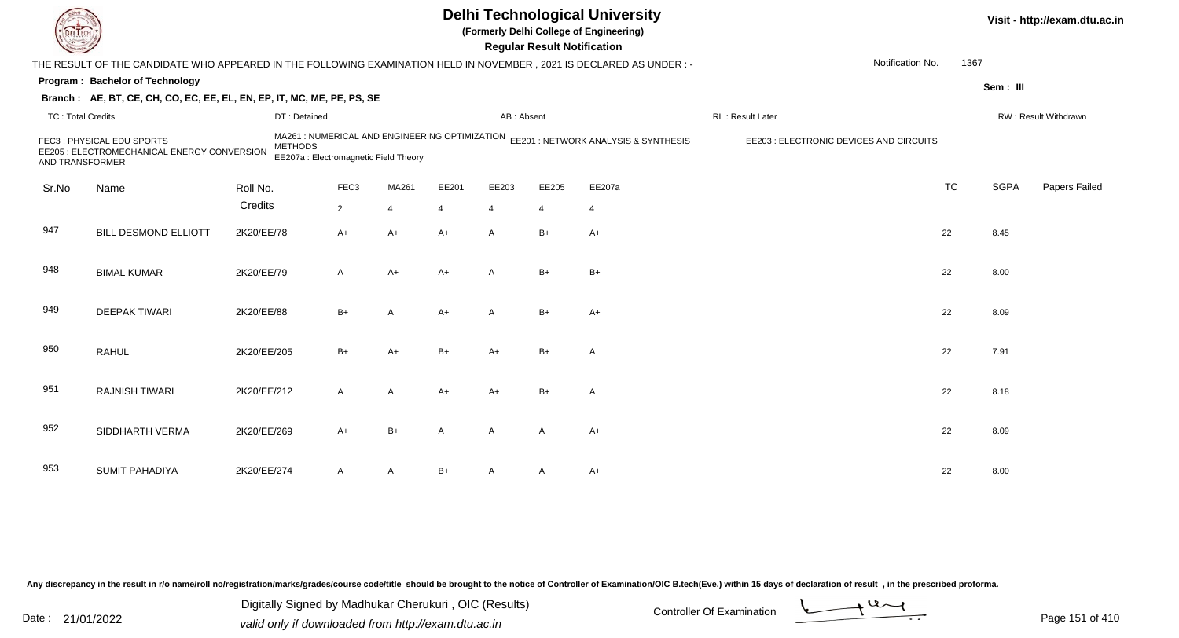|                          |                                                                                                                        |                                                         |                  | Visit - http://exam.dtu.ac.in |       |              |                |                                                                                     |                                         |           |             |                      |
|--------------------------|------------------------------------------------------------------------------------------------------------------------|---------------------------------------------------------|------------------|-------------------------------|-------|--------------|----------------|-------------------------------------------------------------------------------------|-----------------------------------------|-----------|-------------|----------------------|
|                          | THE RESULT OF THE CANDIDATE WHO APPEARED IN THE FOLLOWING EXAMINATION HELD IN NOVEMBER , 2021 IS DECLARED AS UNDER : - |                                                         |                  |                               |       |              |                |                                                                                     | Notification No.                        | 1367      |             |                      |
|                          | Program: Bachelor of Technology                                                                                        |                                                         |                  |                               |       |              |                |                                                                                     |                                         |           | Sem: III    |                      |
|                          | Branch: AE, BT, CE, CH, CO, EC, EE, EL, EN, EP, IT, MC, ME, PE, PS, SE                                                 |                                                         |                  |                               |       |              |                |                                                                                     |                                         |           |             |                      |
| <b>TC: Total Credits</b> |                                                                                                                        | DT: Detained                                            |                  |                               |       | AB: Absent   |                |                                                                                     | RL : Result Later                       |           |             | RW: Result Withdrawn |
| AND TRANSFORMER          | FEC3: PHYSICAL EDU SPORTS<br>EE205 : ELECTROMECHANICAL ENERGY CONVERSION                                               | <b>METHODS</b><br>EE207a : Electromagnetic Field Theory |                  |                               |       |              |                | MA261 : NUMERICAL AND ENGINEERING OPTIMIZATION EE201 : NETWORK ANALYSIS & SYNTHESIS | EE203 : ELECTRONIC DEVICES AND CIRCUITS |           |             |                      |
| Sr.No                    | Name                                                                                                                   | Roll No.                                                | FEC <sub>3</sub> | MA261                         | EE201 | EE203        | EE205          | EE207a                                                                              |                                         | <b>TC</b> | <b>SGPA</b> | Papers Failed        |
|                          |                                                                                                                        | Credits                                                 | $\overline{2}$   | $\overline{4}$                | 4     | 4            | $\overline{4}$ | $\overline{4}$                                                                      |                                         |           |             |                      |
| 947                      | <b>BILL DESMOND ELLIOTT</b>                                                                                            | 2K20/EE/78                                              | $A+$             | $A+$                          | $A+$  | $\mathsf{A}$ | $B+$           | $A+$                                                                                |                                         | 22        | 8.45        |                      |
| 948                      | <b>BIMAL KUMAR</b>                                                                                                     | 2K20/EE/79                                              | A                | $A+$                          | $A+$  | $\mathsf{A}$ | $B+$           | $B+$                                                                                |                                         | 22        | 8.00        |                      |
| 949                      | <b>DEEPAK TIWARI</b>                                                                                                   | 2K20/EE/88                                              | $B+$             | $\overline{A}$                | $A+$  | $\mathsf{A}$ | $B+$           | $A+$                                                                                |                                         | 22        | 8.09        |                      |
| 950                      | <b>RAHUL</b>                                                                                                           | 2K20/EE/205                                             | $B+$             | $A+$                          | $B+$  | $A+$         | $B+$           | $\overline{A}$                                                                      |                                         | 22        | 7.91        |                      |
| 951                      | <b>RAJNISH TIWARI</b>                                                                                                  | 2K20/EE/212                                             | A                | A                             | $A+$  | $A+$         | $B+$           | $\overline{A}$                                                                      |                                         | 22        | 8.18        |                      |
| 952                      | SIDDHARTH VERMA                                                                                                        | 2K20/EE/269                                             | $A+$             | $B+$                          | A     | $\mathsf{A}$ | A              | $A+$                                                                                |                                         | 22        | 8.09        |                      |
| 953                      | <b>SUMIT PAHADIYA</b>                                                                                                  | 2K20/EE/274                                             | A                | A                             | $B+$  |              | A              | A+                                                                                  |                                         | 22        | 8.00        |                      |

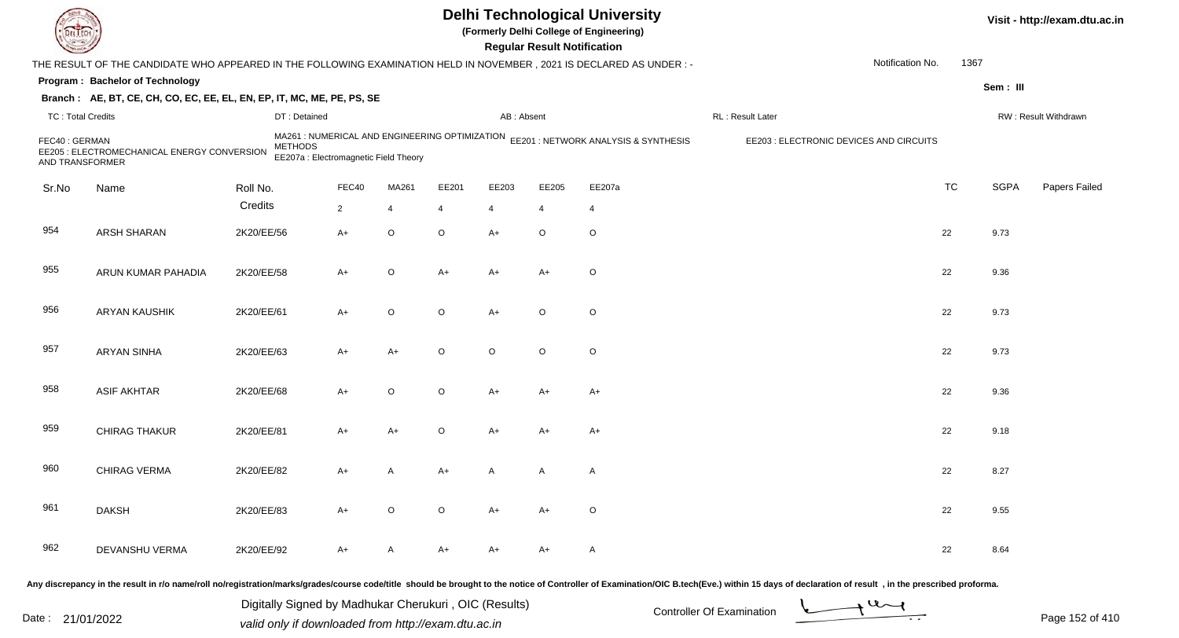|                                  |                                                                                                                     |                |                                                                                         |             |         |                | <b>Regular Result Notification</b> | <b>Delhi Technological University</b><br>(Formerly Delhi College of Engineering) |                                         |                  |           |             | Visit - http://exam.dtu.ac.in |
|----------------------------------|---------------------------------------------------------------------------------------------------------------------|----------------|-----------------------------------------------------------------------------------------|-------------|---------|----------------|------------------------------------|----------------------------------------------------------------------------------|-----------------------------------------|------------------|-----------|-------------|-------------------------------|
|                                  | THE RESULT OF THE CANDIDATE WHO APPEARED IN THE FOLLOWING EXAMINATION HELD IN NOVEMBER, 2021 IS DECLARED AS UNDER:- |                |                                                                                         |             |         |                |                                    |                                                                                  |                                         | Notification No. | 1367      |             |                               |
|                                  | Program: Bachelor of Technology                                                                                     |                |                                                                                         |             |         |                |                                    |                                                                                  |                                         |                  |           | Sem: III    |                               |
|                                  | Branch: AE, BT, CE, CH, CO, EC, EE, EL, EN, EP, IT, MC, ME, PE, PS, SE                                              |                |                                                                                         |             |         |                |                                    |                                                                                  |                                         |                  |           |             |                               |
| <b>TC: Total Credits</b>         |                                                                                                                     | DT: Detained   |                                                                                         |             |         | AB: Absent     |                                    |                                                                                  | RL: Result Later                        |                  |           |             | RW: Result Withdrawn          |
| FEC40: GERMAN<br>AND TRANSFORMER | EE205 : ELECTROMECHANICAL ENERGY CONVERSION                                                                         | <b>METHODS</b> | MA261 : NUMERICAL AND ENGINEERING OPTIMIZATION<br>EE207a : Electromagnetic Field Theory |             |         |                |                                    | EE201 : NETWORK ANALYSIS & SYNTHESIS                                             | EE203 : ELECTRONIC DEVICES AND CIRCUITS |                  |           |             |                               |
| Sr.No                            | Name                                                                                                                | Roll No.       | FEC40                                                                                   | MA261       | EE201   | EE203          | EE205                              | EE207a                                                                           |                                         |                  | <b>TC</b> | <b>SGPA</b> | Papers Failed                 |
|                                  |                                                                                                                     | Credits        | $\overline{2}$                                                                          | 4           | 4       | $\overline{4}$ | $\overline{4}$                     | 4                                                                                |                                         |                  |           |             |                               |
| 954                              | ARSH SHARAN                                                                                                         | 2K20/EE/56     | $A+$                                                                                    | $\mathsf O$ | $\circ$ | $A+$           | $\circ$                            | $\mathsf O$                                                                      |                                         |                  | 22        | 9.73        |                               |
| 955                              | ARUN KUMAR PAHADIA                                                                                                  | 2K20/EE/58     | A+                                                                                      | O           | A+      | $A+$           | $A+$                               | $\circ$                                                                          |                                         |                  | 22        | 9.36        |                               |
| 956                              | <b>ARYAN KAUSHIK</b>                                                                                                | 2K20/EE/61     | A+                                                                                      | $\mathsf O$ | $\circ$ | $A+$           | $\circ$                            | $\circ$                                                                          |                                         |                  | 22        | 9.73        |                               |
| 957                              | <b>ARYAN SINHA</b>                                                                                                  | 2K20/EE/63     | $A+$                                                                                    | A+          | O       | $\circ$        | $\circ$                            | $\circ$                                                                          |                                         |                  | 22        | 9.73        |                               |
| 958                              | <b>ASIF AKHTAR</b>                                                                                                  | 2K20/EE/68     | $A+$                                                                                    | O           | $\circ$ | $A+$           | $A+$                               | $A+$                                                                             |                                         |                  | 22        | 9.36        |                               |
| 959                              | CHIRAG THAKUR                                                                                                       | 2K20/EE/81     | $A+$                                                                                    | $A+$        | $\circ$ | $A+$           | $A+$                               | $A+$                                                                             |                                         |                  | 22        | 9.18        |                               |
| 960                              | CHIRAG VERMA                                                                                                        | 2K20/EE/82     | A+                                                                                      | A           | A+      | A              | A                                  | A                                                                                |                                         |                  | 22        | 8.27        |                               |
| 961                              | <b>DAKSH</b>                                                                                                        | 2K20/EE/83     | $A+$                                                                                    | $\circ$     | $\circ$ | $A+$           | $A+$                               | $\circ$                                                                          |                                         |                  | 22        | 9.55        |                               |
| 962                              | DEVANSHU VERMA                                                                                                      | 2K20/EE/92     | A+                                                                                      | A           | A+      | A+             | A+                                 | $\mathsf{A}$                                                                     |                                         |                  | 22        | 8.64        |                               |
|                                  |                                                                                                                     |                |                                                                                         |             |         |                |                                    |                                                                                  |                                         |                  |           |             |                               |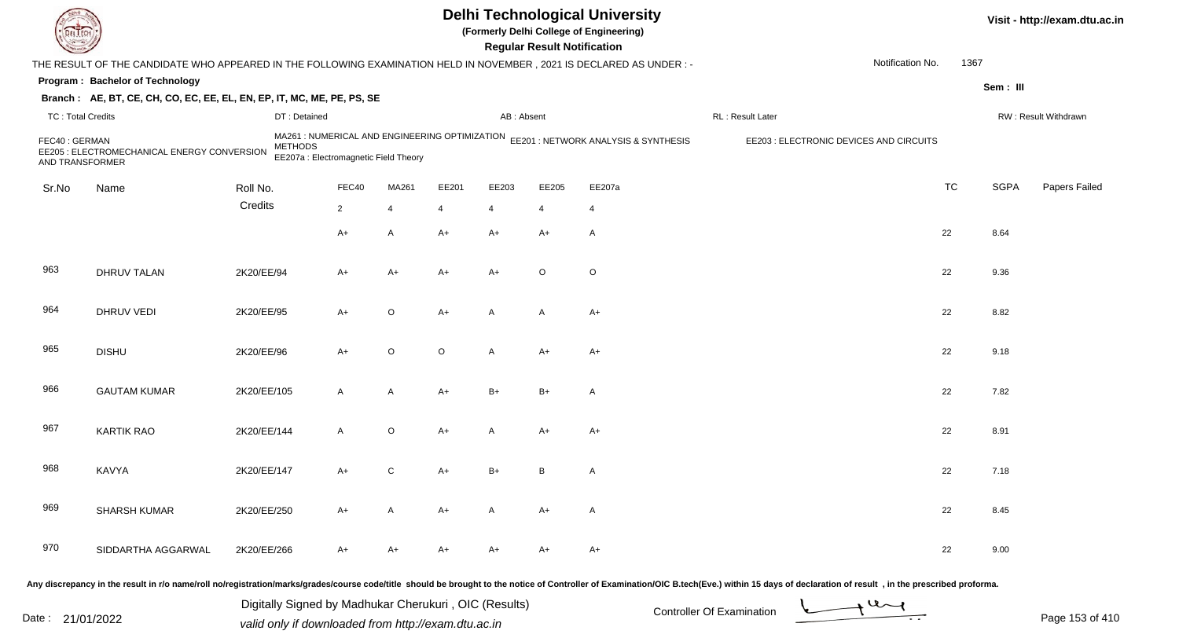|                                  |                                                                                                                      |                |                                                                                         |             |         |                | <b>Regular Result Notification</b> | <b>Delhi Technological University</b><br>(Formerly Delhi College of Engineering) |                                         |                  |           |             | Visit - http://exam.dtu.ac.in |
|----------------------------------|----------------------------------------------------------------------------------------------------------------------|----------------|-----------------------------------------------------------------------------------------|-------------|---------|----------------|------------------------------------|----------------------------------------------------------------------------------|-----------------------------------------|------------------|-----------|-------------|-------------------------------|
|                                  | THE RESULT OF THE CANDIDATE WHO APPEARED IN THE FOLLOWING EXAMINATION HELD IN NOVEMBER, 2021 IS DECLARED AS UNDER :- |                |                                                                                         |             |         |                |                                    |                                                                                  |                                         | Notification No. | 1367      |             |                               |
|                                  | Program: Bachelor of Technology                                                                                      |                |                                                                                         |             |         |                |                                    |                                                                                  |                                         |                  |           | Sem: III    |                               |
|                                  | Branch: AE, BT, CE, CH, CO, EC, EE, EL, EN, EP, IT, MC, ME, PE, PS, SE                                               |                |                                                                                         |             |         |                |                                    |                                                                                  |                                         |                  |           |             |                               |
| <b>TC: Total Credits</b>         |                                                                                                                      | DT: Detained   |                                                                                         |             |         | AB: Absent     |                                    |                                                                                  | RL: Result Later                        |                  |           |             | RW: Result Withdrawn          |
| FEC40: GERMAN<br>AND TRANSFORMER | EE205 : ELECTROMECHANICAL ENERGY CONVERSION                                                                          | <b>METHODS</b> | MA261 : NUMERICAL AND ENGINEERING OPTIMIZATION<br>EE207a : Electromagnetic Field Theory |             |         |                |                                    | EE201 : NETWORK ANALYSIS & SYNTHESIS                                             | EE203 : ELECTRONIC DEVICES AND CIRCUITS |                  |           |             |                               |
| Sr.No                            | Name                                                                                                                 | Roll No.       | FEC40                                                                                   | MA261       | EE201   | EE203          | EE205                              | EE207a                                                                           |                                         |                  | <b>TC</b> | <b>SGPA</b> | Papers Failed                 |
|                                  |                                                                                                                      | Credits        | $\overline{2}$                                                                          | 4           | 4       | 4              | 4                                  | 4                                                                                |                                         |                  |           |             |                               |
|                                  |                                                                                                                      |                | $A+$                                                                                    | A           | $A+$    | $A+$           | A+                                 | $\mathsf{A}$                                                                     |                                         |                  | 22        | 8.64        |                               |
| 963                              | <b>DHRUV TALAN</b>                                                                                                   | 2K20/EE/94     | A+                                                                                      | A+          | A+      | $A+$           | $\circ$                            | $\circ$                                                                          |                                         |                  | 22        | 9.36        |                               |
| 964                              | DHRUV VEDI                                                                                                           | 2K20/EE/95     | A+                                                                                      | O           | A+      | $\overline{A}$ | $\mathsf{A}$                       | $A+$                                                                             |                                         |                  | 22        | 8.82        |                               |
| 965                              | <b>DISHU</b>                                                                                                         | 2K20/EE/96     | $A+$                                                                                    | $\mathsf O$ | $\circ$ | $\mathsf{A}$   | $A+$                               | $A+$                                                                             |                                         |                  | 22        | 9.18        |                               |
| 966                              | <b>GAUTAM KUMAR</b>                                                                                                  | 2K20/EE/105    | A                                                                                       | A           | A+      | $B+$           | $B+$                               | $\mathsf{A}$                                                                     |                                         |                  | 22        | 7.82        |                               |
| 967                              | <b>KARTIK RAO</b>                                                                                                    | 2K20/EE/144    | A                                                                                       | O           | A+      | A              | $A+$                               | $A+$                                                                             |                                         |                  | 22        | 8.91        |                               |
| 968                              | KAVYA                                                                                                                | 2K20/EE/147    | A+                                                                                      | С           | A+      | $B+$           | B                                  | A                                                                                |                                         |                  | 22        | 7.18        |                               |
| 969                              | SHARSH KUMAR                                                                                                         | 2K20/EE/250    | $A+$                                                                                    | A           | A+      | A              | $A+$                               | A                                                                                |                                         |                  | 22        | 8.45        |                               |
| 970                              | SIDDARTHA AGGARWAL                                                                                                   | 2K20/EE/266    | A+                                                                                      | A+          | A+      | A+             | A+                                 | A+                                                                               |                                         |                  | 22        | 9.00        |                               |

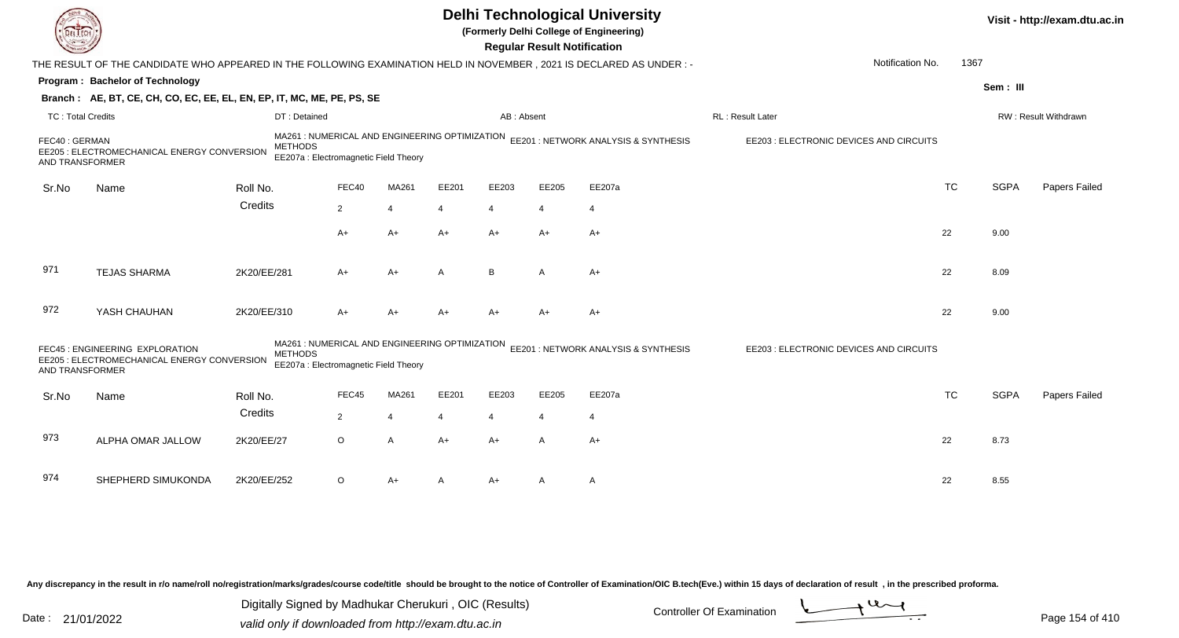|                                  |                                                                                                                      |                                                                                                           |                |                |                |                                                                                     | <b>Regular Result Notification</b>      | <b>Delhi Technological University</b><br>(Formerly Delhi College of Engineering) |                                         |           |             | Visit - http://exam.dtu.ac.in |
|----------------------------------|----------------------------------------------------------------------------------------------------------------------|-----------------------------------------------------------------------------------------------------------|----------------|----------------|----------------|-------------------------------------------------------------------------------------|-----------------------------------------|----------------------------------------------------------------------------------|-----------------------------------------|-----------|-------------|-------------------------------|
|                                  | THE RESULT OF THE CANDIDATE WHO APPEARED IN THE FOLLOWING EXAMINATION HELD IN NOVEMBER, 2021 IS DECLARED AS UNDER :- |                                                                                                           |                |                |                |                                                                                     |                                         |                                                                                  | Notification No.                        | 1367      |             |                               |
|                                  | Program: Bachelor of Technology                                                                                      |                                                                                                           |                |                |                |                                                                                     |                                         |                                                                                  |                                         |           | Sem: III    |                               |
|                                  | Branch: AE, BT, CE, CH, CO, EC, EE, EL, EN, EP, IT, MC, ME, PE, PS, SE                                               |                                                                                                           |                |                |                |                                                                                     |                                         |                                                                                  |                                         |           |             |                               |
| <b>TC: Total Credits</b>         |                                                                                                                      | DT: Detained                                                                                              |                |                |                | AB: Absent                                                                          |                                         |                                                                                  | RL : Result Later                       |           |             | RW: Result Withdrawn          |
| FEC40: GERMAN<br>AND TRANSFORMER | EE205 : ELECTROMECHANICAL ENERGY CONVERSION                                                                          | EE207a : Electromagnetic Field Theory                                                                     |                |                |                | MA261 : NUMERICAL AND ENGINEERING OPTIMIZATION EE201 : NETWORK ANALYSIS & SYNTHESIS | EE203 : ELECTRONIC DEVICES AND CIRCUITS |                                                                                  |                                         |           |             |                               |
| Sr.No                            | Name                                                                                                                 | Roll No.                                                                                                  | FEC40          | MA261          | EE201          | EE203                                                                               | EE205                                   | EE207a                                                                           |                                         | <b>TC</b> | <b>SGPA</b> | Papers Failed                 |
|                                  |                                                                                                                      | Credits                                                                                                   | $\overline{2}$ | $\overline{4}$ | 4              | $\overline{4}$                                                                      | $\overline{4}$                          | $\overline{4}$                                                                   |                                         |           |             |                               |
|                                  |                                                                                                                      |                                                                                                           | A+             | $A+$           | $A+$           | $A+$                                                                                | $A+$                                    | $A+$                                                                             |                                         | 22        | 9.00        |                               |
|                                  |                                                                                                                      |                                                                                                           |                |                |                |                                                                                     |                                         |                                                                                  |                                         |           |             |                               |
| 971                              | <b>TEJAS SHARMA</b>                                                                                                  | 2K20/EE/281                                                                                               | A+             | $A+$           | A              | B                                                                                   | A                                       | $A+$                                                                             |                                         | 22        | 8.09        |                               |
| 972                              | YASH CHAUHAN                                                                                                         | 2K20/EE/310                                                                                               | $A+$           | $A+$           | $A+$           | $A+$                                                                                | $A+$                                    | $A+$                                                                             |                                         | 22        | 9.00        |                               |
| AND TRANSFORMER                  | FEC45 : ENGINEERING EXPLORATION<br>EE205 : ELECTROMECHANICAL ENERGY CONVERSION                                       | MA261 : NUMERICAL AND ENGINEERING OPTIMIZATION<br><b>METHODS</b><br>EE207a : Electromagnetic Field Theory |                |                |                |                                                                                     |                                         | EE201 : NETWORK ANALYSIS & SYNTHESIS                                             | EE203 : ELECTRONIC DEVICES AND CIRCUITS |           |             |                               |
| Sr.No                            | Name                                                                                                                 | Roll No.                                                                                                  | FEC45          | MA261          | EE201          | EE203                                                                               | EE205                                   | EE207a                                                                           |                                         | <b>TC</b> | <b>SGPA</b> | <b>Papers Failed</b>          |
|                                  |                                                                                                                      | Credits                                                                                                   | 2              | $\overline{4}$ | $\overline{4}$ | $\overline{4}$                                                                      | $\overline{4}$                          | $\overline{4}$                                                                   |                                         |           |             |                               |
| 973                              | ALPHA OMAR JALLOW                                                                                                    | 2K20/EE/27                                                                                                | $\circ$        | $\mathsf{A}$   | $A+$           | $A+$                                                                                | A                                       | $A+$                                                                             |                                         | 22        | 8.73        |                               |
| 974                              | SHEPHERD SIMUKONDA                                                                                                   | 2K20/EE/252                                                                                               | $\circ$        | $A+$           | A              | A+                                                                                  | A                                       | A                                                                                |                                         | 22        | 8.55        |                               |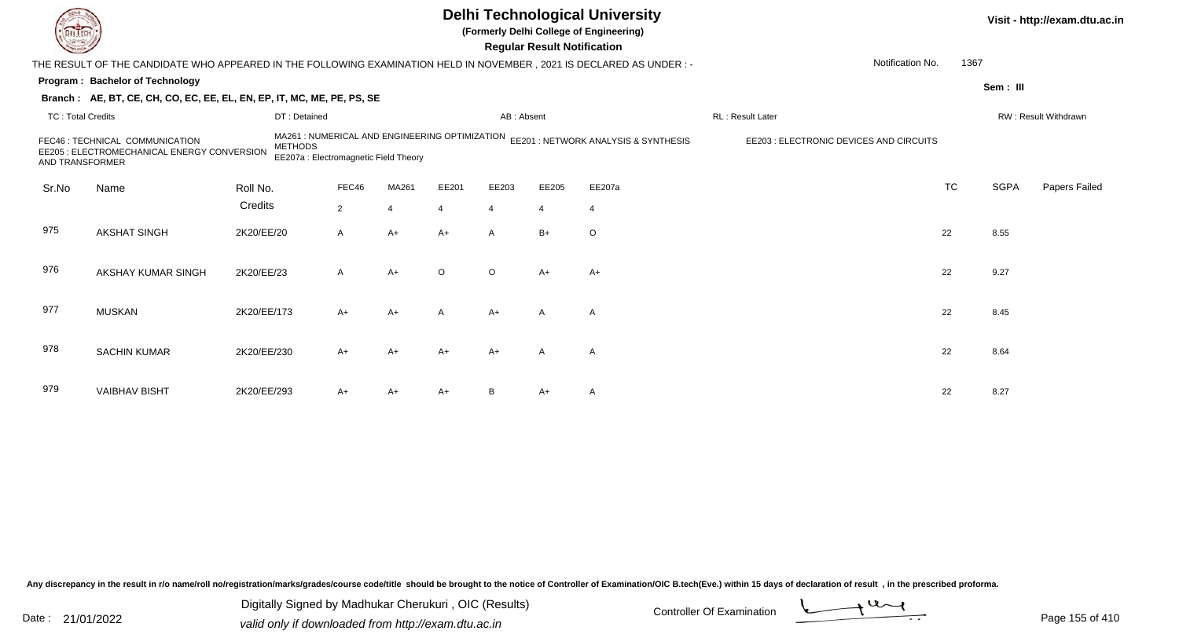|                          |                                                                                                                        |                |                                                                                         |                       |         |                | <b>Regular Result Notification</b> | <b>Delhi Technological University</b><br>(Formerly Delhi College of Engineering) |                                         |           |             | Visit - http://exam.dtu.ac.in |
|--------------------------|------------------------------------------------------------------------------------------------------------------------|----------------|-----------------------------------------------------------------------------------------|-----------------------|---------|----------------|------------------------------------|----------------------------------------------------------------------------------|-----------------------------------------|-----------|-------------|-------------------------------|
|                          | THE RESULT OF THE CANDIDATE WHO APPEARED IN THE FOLLOWING EXAMINATION HELD IN NOVEMBER , 2021 IS DECLARED AS UNDER : - |                |                                                                                         |                       |         |                |                                    |                                                                                  | Notification No.                        | 1367      |             |                               |
|                          | Program: Bachelor of Technology                                                                                        |                |                                                                                         |                       |         |                |                                    |                                                                                  |                                         |           | Sem: III    |                               |
|                          | Branch: AE, BT, CE, CH, CO, EC, EE, EL, EN, EP, IT, MC, ME, PE, PS, SE                                                 |                |                                                                                         |                       |         |                |                                    |                                                                                  |                                         |           |             |                               |
| <b>TC: Total Credits</b> |                                                                                                                        | DT: Detained   |                                                                                         |                       |         | AB: Absent     |                                    |                                                                                  | RL: Result Later                        |           |             | RW: Result Withdrawn          |
| AND TRANSFORMER          | FEC46 : TECHNICAL COMMUNICATION<br>EE205 : ELECTROMECHANICAL ENERGY CONVERSION                                         | <b>METHODS</b> | MA261 : NUMERICAL AND ENGINEERING OPTIMIZATION<br>EE207a : Electromagnetic Field Theory |                       |         |                |                                    | EE201 : NETWORK ANALYSIS & SYNTHESIS                                             | EE203 : ELECTRONIC DEVICES AND CIRCUITS |           |             |                               |
| Sr.No                    | Name                                                                                                                   | Roll No.       | FEC46                                                                                   | MA261                 | EE201   | EE203          | EE205                              | EE207a                                                                           |                                         | <b>TC</b> | <b>SGPA</b> | Papers Failed                 |
|                          |                                                                                                                        | Credits        | $\overline{2}$                                                                          | $\boldsymbol{\Delta}$ |         | $\overline{4}$ | $\overline{4}$                     | $\overline{4}$                                                                   |                                         |           |             |                               |
| 975                      | <b>AKSHAT SINGH</b>                                                                                                    | 2K20/EE/20     | A                                                                                       | $A+$                  | $A+$    | $\mathsf{A}$   | $B+$                               | $\circ$                                                                          |                                         | 22        | 8.55        |                               |
| 976                      | AKSHAY KUMAR SINGH                                                                                                     | 2K20/EE/23     | A                                                                                       | $A+$                  | $\circ$ | $\circ$        | $A+$                               | $A+$                                                                             |                                         | 22        | 9.27        |                               |
| 977                      | <b>MUSKAN</b>                                                                                                          | 2K20/EE/173    | $A+$                                                                                    | $A+$                  | A       | $A+$           | $\mathsf{A}$                       | A                                                                                |                                         | 22        | 8.45        |                               |
| 978                      | <b>SACHIN KUMAR</b>                                                                                                    | 2K20/EE/230    | $A+$                                                                                    | A+                    | A+      | $A+$           | A                                  | $\mathsf{A}$                                                                     |                                         | 22        | 8.64        |                               |
| 979                      | <b>VAIBHAV BISHT</b>                                                                                                   | 2K20/EE/293    | A+                                                                                      | A+                    | A+      | B              | A+                                 | $\mathsf{A}$                                                                     |                                         | 22        | 8.27        |                               |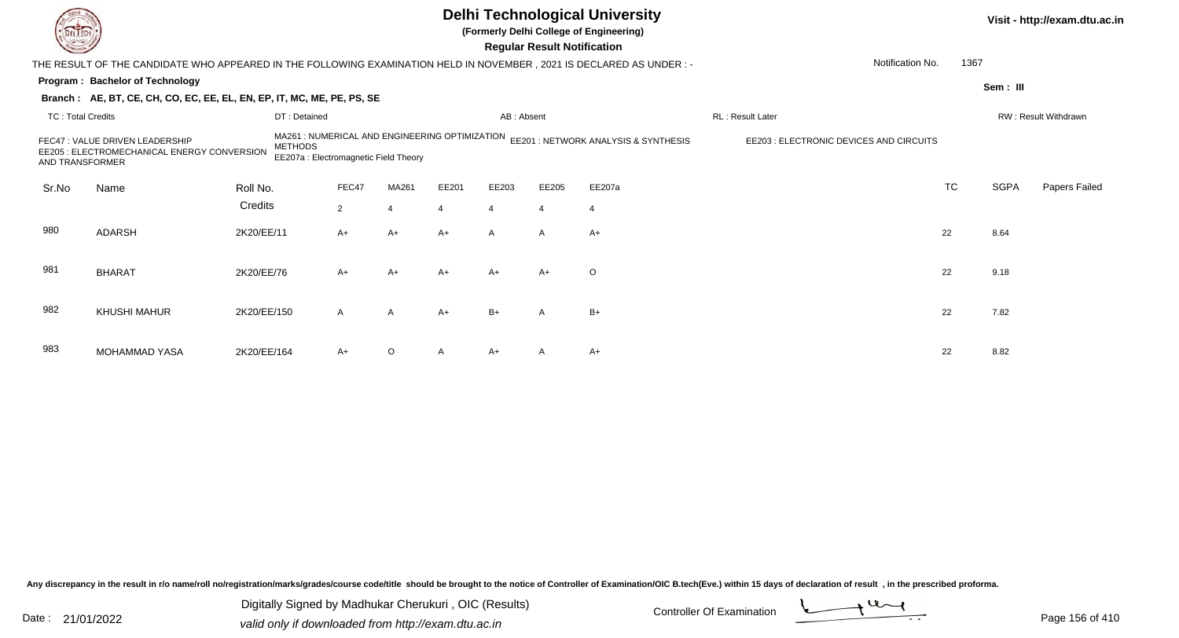|                          |                                                                                                                      |                |                                                                                         |                |                |                | <b>Regular Result Notification</b> | <b>Delhi Technological University</b><br>(Formerly Delhi College of Engineering) |                                         |           |             | Visit - http://exam.dtu.ac.in |
|--------------------------|----------------------------------------------------------------------------------------------------------------------|----------------|-----------------------------------------------------------------------------------------|----------------|----------------|----------------|------------------------------------|----------------------------------------------------------------------------------|-----------------------------------------|-----------|-------------|-------------------------------|
|                          | THE RESULT OF THE CANDIDATE WHO APPEARED IN THE FOLLOWING EXAMINATION HELD IN NOVEMBER, 2021 IS DECLARED AS UNDER :- |                |                                                                                         |                |                |                |                                    |                                                                                  | Notification No.                        | 1367      |             |                               |
|                          | Program: Bachelor of Technology                                                                                      |                |                                                                                         |                |                |                |                                    |                                                                                  |                                         |           | Sem: III    |                               |
|                          | Branch: AE, BT, CE, CH, CO, EC, EE, EL, EN, EP, IT, MC, ME, PE, PS, SE                                               |                |                                                                                         |                |                |                |                                    |                                                                                  |                                         |           |             |                               |
| <b>TC: Total Credits</b> |                                                                                                                      | DT: Detained   |                                                                                         |                |                | AB: Absent     |                                    |                                                                                  | RL: Result Later                        |           |             | RW: Result Withdrawn          |
| <b>AND TRANSFORMER</b>   | FEC47 : VALUE DRIVEN LEADERSHIP<br>EE205 : ELECTROMECHANICAL ENERGY CONVERSION                                       | <b>METHODS</b> | MA261 : NUMERICAL AND ENGINEERING OPTIMIZATION<br>EE207a : Electromagnetic Field Theory |                |                |                |                                    | EE201 : NETWORK ANALYSIS & SYNTHESIS                                             | EE203 : ELECTRONIC DEVICES AND CIRCUITS |           |             |                               |
| Sr.No                    | Name                                                                                                                 | Roll No.       | FEC47                                                                                   | MA261          | EE201          | EE203          | EE205                              | EE207a                                                                           |                                         | <b>TC</b> | <b>SGPA</b> | Papers Failed                 |
|                          |                                                                                                                      | Credits        | $\overline{2}$                                                                          |                | $\overline{4}$ | $\overline{4}$ | $\overline{4}$                     | $\overline{4}$                                                                   |                                         |           |             |                               |
| 980                      | <b>ADARSH</b>                                                                                                        | 2K20/EE/11     | $A+$                                                                                    | $A+$           | $A+$           | $\mathsf{A}$   | $\mathsf{A}$                       | $A+$                                                                             |                                         | 22        | 8.64        |                               |
| 981                      | <b>BHARAT</b>                                                                                                        | 2K20/EE/76     | $A+$                                                                                    | $A+$           | $A+$           | $A+$           | $A+$                               | $\circ$                                                                          |                                         | 22        | 9.18        |                               |
| 982                      | <b>KHUSHI MAHUR</b>                                                                                                  | 2K20/EE/150    | $\mathsf{A}$                                                                            | $\overline{A}$ | $A+$           | $B+$           | A                                  | $B+$                                                                             |                                         | 22        | 7.82        |                               |
| 983                      | <b>MOHAMMAD YASA</b>                                                                                                 | 2K20/EE/164    | A+                                                                                      | O              |                | $A+$           |                                    | $A+$                                                                             |                                         | 22        | 8.82        |                               |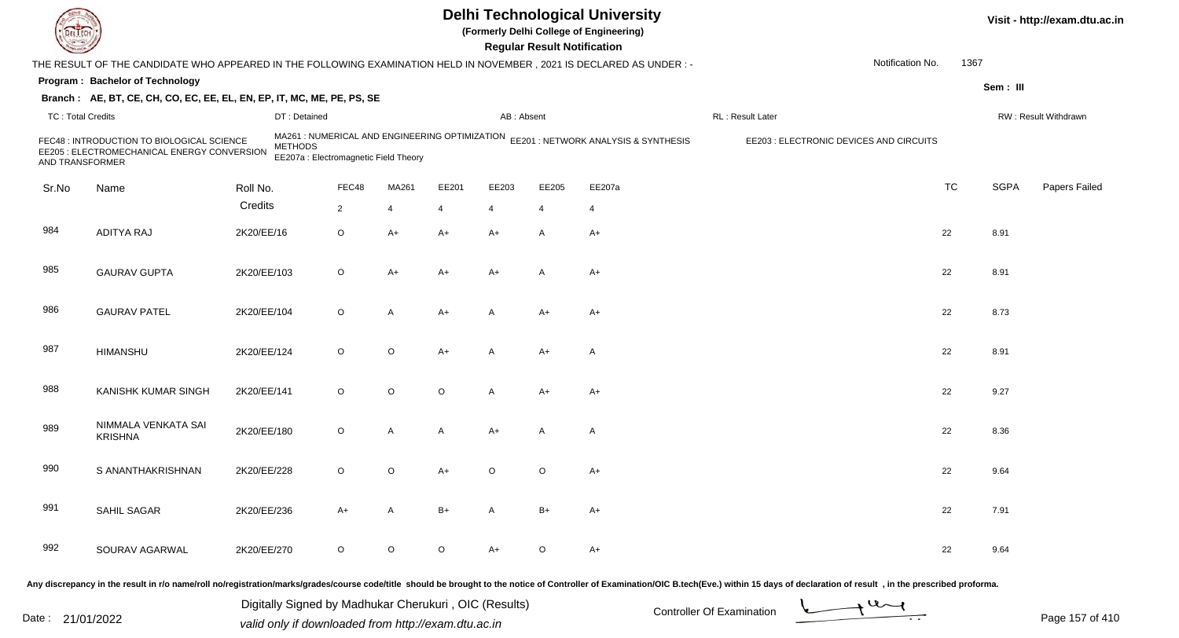|                          |                                                                                                                        |             |                                                                                                           |                |              |         |                | <b>Regular Result Notification</b> | <b>Delhi Technological University</b><br>(Formerly Delhi College of Engineering) |                                         |                  |           |             | Visit - http://exam.dtu.ac.in |
|--------------------------|------------------------------------------------------------------------------------------------------------------------|-------------|-----------------------------------------------------------------------------------------------------------|----------------|--------------|---------|----------------|------------------------------------|----------------------------------------------------------------------------------|-----------------------------------------|------------------|-----------|-------------|-------------------------------|
|                          | THE RESULT OF THE CANDIDATE WHO APPEARED IN THE FOLLOWING EXAMINATION HELD IN NOVEMBER , 2021 IS DECLARED AS UNDER : - |             |                                                                                                           |                |              |         |                |                                    |                                                                                  |                                         | Notification No. | 1367      |             |                               |
|                          | Program: Bachelor of Technology                                                                                        |             |                                                                                                           |                |              |         |                |                                    |                                                                                  |                                         |                  |           | Sem: III    |                               |
|                          | Branch: AE, BT, CE, CH, CO, EC, EE, EL, EN, EP, IT, MC, ME, PE, PS, SE                                                 |             |                                                                                                           |                |              |         |                |                                    |                                                                                  |                                         |                  |           |             |                               |
| <b>TC: Total Credits</b> |                                                                                                                        |             | DT: Detained                                                                                              |                |              |         | AB: Absent     |                                    |                                                                                  | RL: Result Later                        |                  |           |             | RW: Result Withdrawn          |
| AND TRANSFORMER          | FEC48 : INTRODUCTION TO BIOLOGICAL SCIENCE<br>EE205 : ELECTROMECHANICAL ENERGY CONVERSION                              |             | MA261 : NUMERICAL AND ENGINEERING OPTIMIZATION<br><b>METHODS</b><br>EE207a : Electromagnetic Field Theory |                |              |         |                |                                    | EE201 : NETWORK ANALYSIS & SYNTHESIS                                             | EE203 : ELECTRONIC DEVICES AND CIRCUITS |                  |           |             |                               |
| Sr.No                    | Name                                                                                                                   | Roll No.    |                                                                                                           | FEC48          | MA261        | EE201   | EE203          | EE205                              | EE207a                                                                           |                                         |                  | <b>TC</b> | <b>SGPA</b> | Papers Failed                 |
|                          |                                                                                                                        | Credits     |                                                                                                           | $\overline{2}$ | 4            | 4       | $\overline{4}$ | 4                                  | $\overline{4}$                                                                   |                                         |                  |           |             |                               |
| 984                      | <b>ADITYA RAJ</b>                                                                                                      | 2K20/EE/16  |                                                                                                           | O              | A+           | A+      | $A+$           | A                                  | $A+$                                                                             |                                         |                  | 22        | 8.91        |                               |
| 985                      | <b>GAURAV GUPTA</b>                                                                                                    | 2K20/EE/103 |                                                                                                           | O              | A+           | A+      | $A+$           | A                                  | A+                                                                               |                                         |                  | 22        | 8.91        |                               |
| 986                      | <b>GAURAV PATEL</b>                                                                                                    | 2K20/EE/104 |                                                                                                           | O              | A            | A+      | $\overline{A}$ | $A+$                               | $A+$                                                                             |                                         |                  | 22        | 8.73        |                               |
| 987                      | <b>HIMANSHU</b>                                                                                                        | 2K20/EE/124 |                                                                                                           | O              | O            | $A+$    | $\overline{A}$ | $A+$                               | $\mathsf{A}$                                                                     |                                         |                  | 22        | 8.91        |                               |
| 988                      | <b>KANISHK KUMAR SINGH</b>                                                                                             | 2K20/EE/141 |                                                                                                           | $\circ$        | $\circ$      | $\circ$ | $\mathsf{A}$   | $A+$                               | $A+$                                                                             |                                         |                  | 22        | 9.27        |                               |
| 989                      | NIMMALA VENKATA SAI<br><b>KRISHNA</b>                                                                                  | 2K20/EE/180 |                                                                                                           | O              | A            | A       | $A+$           | A                                  | $\mathsf{A}$                                                                     |                                         |                  | 22        | 8.36        |                               |
| 990                      | S ANANTHAKRISHNAN                                                                                                      | 2K20/EE/228 |                                                                                                           | O              | O            | A+      | O              | $\circ$                            | $A+$                                                                             |                                         |                  | 22        | 9.64        |                               |
| 991                      | SAHIL SAGAR                                                                                                            | 2K20/EE/236 |                                                                                                           | $A+$           | $\mathsf{A}$ | B+      | $\mathsf{A}$   | $B+$                               | $A+$                                                                             |                                         |                  | 22        | 7.91        |                               |
| 992                      | SOURAV AGARWAL                                                                                                         | 2K20/EE/270 |                                                                                                           | $\circ$        | $\mathsf O$  | $\circ$ | $A+$           | $\circ$                            | $A+$                                                                             |                                         |                  | 22        | 9.64        |                               |
|                          |                                                                                                                        |             |                                                                                                           |                |              |         |                |                                    |                                                                                  |                                         |                  |           |             |                               |

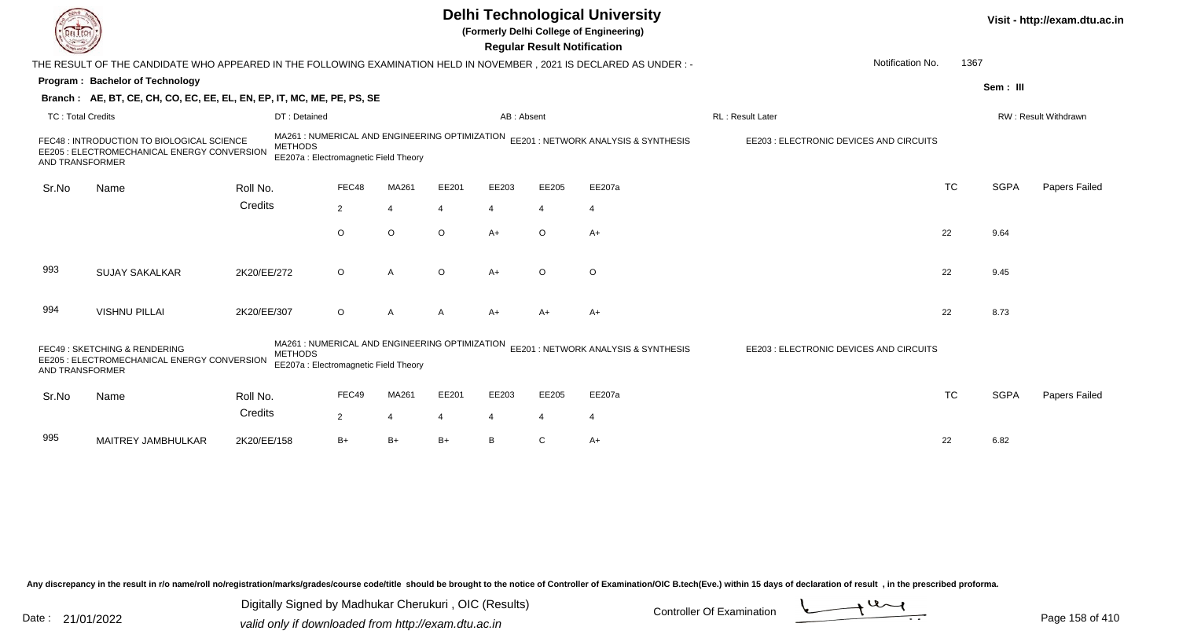|                          |                                                                                                                        |                |                                                                                         |         |         |                | <b>Regular Result Notification</b> | <b>Delhi Technological University</b><br>(Formerly Delhi College of Engineering) |                                         |           |             | Visit - http://exam.dtu.ac.in |
|--------------------------|------------------------------------------------------------------------------------------------------------------------|----------------|-----------------------------------------------------------------------------------------|---------|---------|----------------|------------------------------------|----------------------------------------------------------------------------------|-----------------------------------------|-----------|-------------|-------------------------------|
|                          | THE RESULT OF THE CANDIDATE WHO APPEARED IN THE FOLLOWING EXAMINATION HELD IN NOVEMBER , 2021 IS DECLARED AS UNDER : - |                |                                                                                         |         |         |                |                                    |                                                                                  | Notification No.                        | 1367      |             |                               |
|                          | <b>Program: Bachelor of Technology</b>                                                                                 |                |                                                                                         |         |         |                |                                    |                                                                                  |                                         |           | Sem: III    |                               |
|                          | Branch: AE, BT, CE, CH, CO, EC, EE, EL, EN, EP, IT, MC, ME, PE, PS, SE                                                 |                |                                                                                         |         |         |                |                                    |                                                                                  |                                         |           |             |                               |
| <b>TC: Total Credits</b> |                                                                                                                        | DT: Detained   |                                                                                         |         |         | AB: Absent     |                                    |                                                                                  | RL: Result Later                        |           |             | RW: Result Withdrawn          |
| AND TRANSFORMER          | FEC48 : INTRODUCTION TO BIOLOGICAL SCIENCE<br>EE205 : ELECTROMECHANICAL ENERGY CONVERSION                              | <b>METHODS</b> | MA261: NUMERICAL AND ENGINEERING OPTIMIZATION<br>EE207a : Electromagnetic Field Theory  |         |         |                |                                    | EE201: NETWORK ANALYSIS & SYNTHESIS                                              | EE203 : ELECTRONIC DEVICES AND CIRCUITS |           |             |                               |
| Sr.No                    | Name                                                                                                                   | Roll No.       | FEC48                                                                                   | MA261   | EE201   | EE203          | EE205                              | EE207a                                                                           |                                         | <b>TC</b> | <b>SGPA</b> | Papers Failed                 |
|                          |                                                                                                                        | Credits        | $\overline{2}$                                                                          | 4       | 4       | $\overline{4}$ | $\overline{4}$                     | $\overline{4}$                                                                   |                                         |           |             |                               |
|                          |                                                                                                                        |                | $\circ$                                                                                 | $\circ$ | $\circ$ | $A+$           | $\circ$                            | $A+$                                                                             |                                         | 22        | 9.64        |                               |
| 993                      | <b>SUJAY SAKALKAR</b>                                                                                                  | 2K20/EE/272    | $\circ$                                                                                 | A       | $\circ$ | $A+$           | $\Omega$                           | $\circ$                                                                          |                                         | 22        | 9.45        |                               |
| 994                      | <b>VISHNU PILLAI</b>                                                                                                   | 2K20/EE/307    | O                                                                                       | A       |         | $A+$           | $A+$                               | A+                                                                               |                                         | 22        | 8.73        |                               |
| AND TRANSFORMER          | FEC49: SKETCHING & RENDERING<br>EE205 : ELECTROMECHANICAL ENERGY CONVERSION                                            | <b>METHODS</b> | MA261 : NUMERICAL AND ENGINEERING OPTIMIZATION<br>EE207a : Electromagnetic Field Theory |         |         |                |                                    | EE201 : NETWORK ANALYSIS & SYNTHESIS                                             | EE203 : ELECTRONIC DEVICES AND CIRCUITS |           |             |                               |
| Sr.No                    | Name                                                                                                                   | Roll No.       | FEC49                                                                                   | MA261   | EE201   | EE203          | EE205                              | EE207a                                                                           |                                         | <b>TC</b> | <b>SGPA</b> | Papers Failed                 |
|                          |                                                                                                                        | Credits        | $\overline{2}$                                                                          | 4       |         | 4              | 4                                  | $\overline{4}$                                                                   |                                         |           |             |                               |
| 995                      | MAITREY JAMBHULKAR                                                                                                     | 2K20/EE/158    | $B+$                                                                                    | $B+$    | B+      | B              |                                    | $A+$                                                                             |                                         | 22        | 6.82        |                               |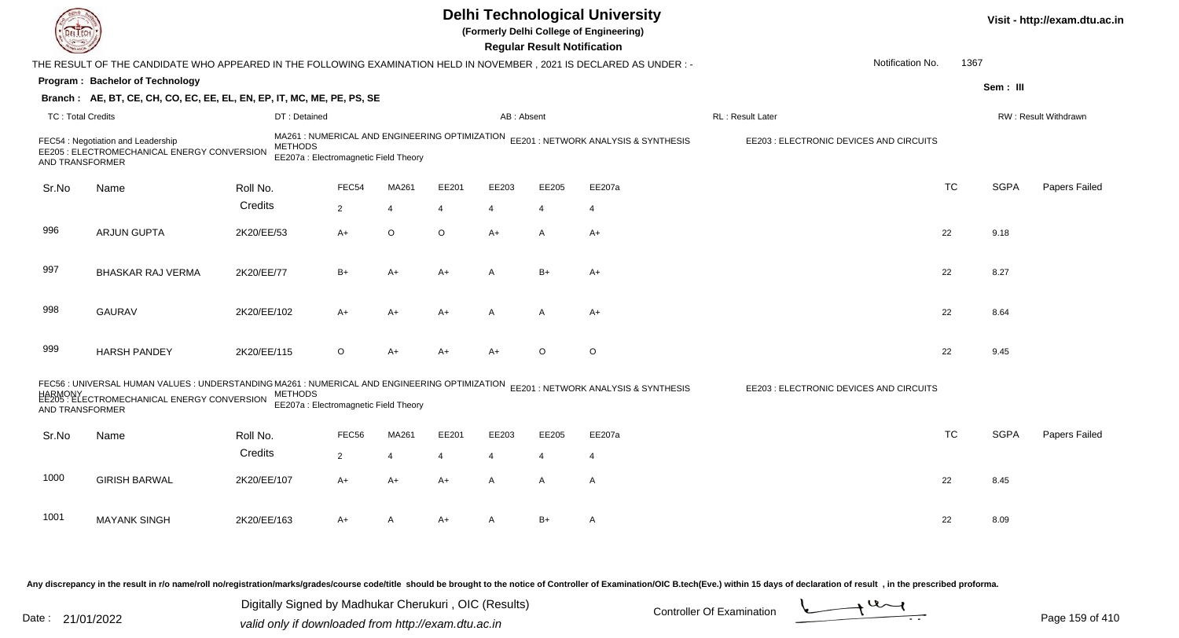|                          |                                                                                                                                                                                              |                                                                                                           |                   |                |       |                | <b>Regular Result Notification</b> | <b>Delhi Technological University</b><br>(Formerly Delhi College of Engineering) |                                         |           |             | Visit - http://exam.dtu.ac.in |
|--------------------------|----------------------------------------------------------------------------------------------------------------------------------------------------------------------------------------------|-----------------------------------------------------------------------------------------------------------|-------------------|----------------|-------|----------------|------------------------------------|----------------------------------------------------------------------------------|-----------------------------------------|-----------|-------------|-------------------------------|
|                          | THE RESULT OF THE CANDIDATE WHO APPEARED IN THE FOLLOWING EXAMINATION HELD IN NOVEMBER, 2021 IS DECLARED AS UNDER :-                                                                         |                                                                                                           |                   |                |       |                |                                    |                                                                                  | Notification No.                        | 1367      |             |                               |
|                          | Program: Bachelor of Technology                                                                                                                                                              |                                                                                                           |                   |                |       |                |                                    |                                                                                  |                                         |           | Sem: III    |                               |
|                          | Branch: AE, BT, CE, CH, CO, EC, EE, EL, EN, EP, IT, MC, ME, PE, PS, SE                                                                                                                       |                                                                                                           |                   |                |       |                |                                    |                                                                                  |                                         |           |             |                               |
| <b>TC: Total Credits</b> |                                                                                                                                                                                              | DT: Detained                                                                                              |                   |                |       | AB: Absent     |                                    |                                                                                  | RL: Result Later                        |           |             | RW: Result Withdrawn          |
| AND TRANSFORMER          | FEC54 : Negotiation and Leadership<br>EE205 : ELECTROMECHANICAL ENERGY CONVERSION                                                                                                            | MA261 : NUMERICAL AND ENGINEERING OPTIMIZATION<br><b>METHODS</b><br>EE207a : Electromagnetic Field Theory |                   |                |       |                |                                    | EE201 : NETWORK ANALYSIS & SYNTHESIS                                             | EE203 : ELECTRONIC DEVICES AND CIRCUITS |           |             |                               |
| Sr.No                    | Name                                                                                                                                                                                         | Roll No.                                                                                                  | FEC54             | MA261          | EE201 | EE203          | EE205                              | EE207a                                                                           |                                         | <b>TC</b> | <b>SGPA</b> | Papers Failed                 |
|                          |                                                                                                                                                                                              | Credits                                                                                                   | $\overline{2}$    | 4              | 4     | $\overline{4}$ | $\overline{4}$                     | 4                                                                                |                                         |           |             |                               |
| 996                      | <b>ARJUN GUPTA</b>                                                                                                                                                                           | 2K20/EE/53                                                                                                | $A+$              | O              | O     | $A+$           | A                                  | $A+$                                                                             |                                         | 22        | 9.18        |                               |
| 997                      | <b>BHASKAR RAJ VERMA</b>                                                                                                                                                                     | 2K20/EE/77                                                                                                | $B+$              | $A+$           | A+    | A              | $B+$                               | $A+$                                                                             |                                         | 22        | 8.27        |                               |
| 998                      | <b>GAURAV</b>                                                                                                                                                                                | 2K20/EE/102                                                                                               | A+                | A+             | A+    | $\overline{A}$ | $\overline{A}$                     | $A+$                                                                             |                                         | 22        | 8.64        |                               |
| 999                      | <b>HARSH PANDEY</b>                                                                                                                                                                          | 2K20/EE/115                                                                                               | O                 | $A+$           | A+    | $A+$           | $\circ$                            | $\circ$                                                                          |                                         | 22        | 9.45        |                               |
| AND TRANSFORMER          | FEC56 : UNIVERSAL HUMAN VALUES : UNDERSTANDING MA261 : NUMERICAL AND ENGINEERING OPTIMIZATION EE201 : NETWORK ANALYSIS & SYNTHESIS<br>HARMONY<br>EE205 : ELECTROMECHANICAL ENERGY CONVERSION | <b>METHODS</b><br>EE207a : Electromagnetic Field Theory                                                   |                   |                |       |                |                                    |                                                                                  | EE203 : ELECTRONIC DEVICES AND CIRCUITS |           |             |                               |
| Sr.No                    | Name                                                                                                                                                                                         | Roll No.                                                                                                  | FEC <sub>56</sub> | MA261          | EE201 | EE203          | EE205                              | EE207a                                                                           |                                         | <b>TC</b> | <b>SGPA</b> | Papers Failed                 |
|                          |                                                                                                                                                                                              | Credits                                                                                                   | $\overline{2}$    | $\overline{4}$ | 4     | $\overline{4}$ | $\overline{4}$                     | 4                                                                                |                                         |           |             |                               |
|                          |                                                                                                                                                                                              |                                                                                                           |                   |                |       |                |                                    |                                                                                  |                                         |           |             |                               |
| 1000                     | <b>GIRISH BARWAL</b>                                                                                                                                                                         | 2K20/EE/107                                                                                               | $A+$              | $A+$           | $A+$  | $\mathsf{A}$   | $\overline{A}$                     | A                                                                                |                                         | 22        | 8.45        |                               |
| 1001                     | <b>MAYANK SINGH</b>                                                                                                                                                                          | 2K20/EE/163                                                                                               | A+                | A              | A+    | A              | B+                                 | A                                                                                |                                         | 22        | 8.09        |                               |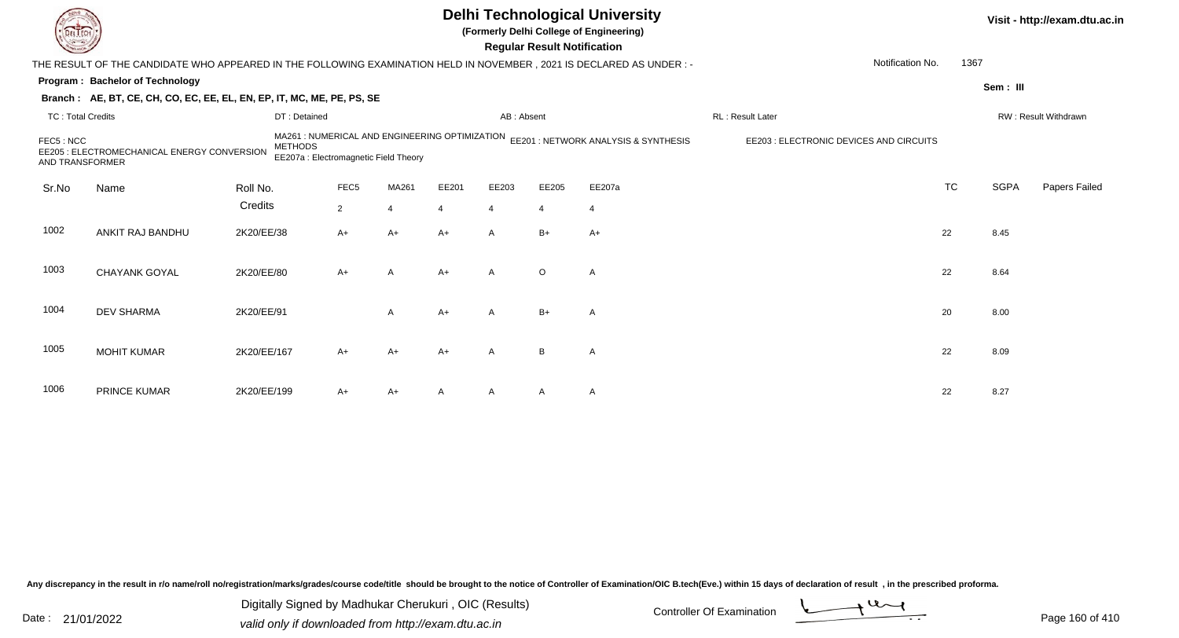|                              |                                                                                                                        |                |                                                                                         |                |       |                | <b>Regular Result Notification</b> | <b>Delhi Technological University</b><br>(Formerly Delhi College of Engineering) |                                         |           |             | Visit - http://exam.dtu.ac.in |
|------------------------------|------------------------------------------------------------------------------------------------------------------------|----------------|-----------------------------------------------------------------------------------------|----------------|-------|----------------|------------------------------------|----------------------------------------------------------------------------------|-----------------------------------------|-----------|-------------|-------------------------------|
|                              | THE RESULT OF THE CANDIDATE WHO APPEARED IN THE FOLLOWING EXAMINATION HELD IN NOVEMBER , 2021 IS DECLARED AS UNDER : - |                |                                                                                         |                |       |                |                                    |                                                                                  | Notification No.                        | 1367      |             |                               |
|                              | Program: Bachelor of Technology                                                                                        |                |                                                                                         |                |       |                |                                    |                                                                                  |                                         |           | Sem: III    |                               |
|                              | Branch: AE, BT, CE, CH, CO, EC, EE, EL, EN, EP, IT, MC, ME, PE, PS, SE                                                 |                |                                                                                         |                |       |                |                                    |                                                                                  |                                         |           |             |                               |
| <b>TC: Total Credits</b>     |                                                                                                                        | DT: Detained   |                                                                                         |                |       | AB: Absent     |                                    |                                                                                  | RL: Result Later                        |           |             | RW: Result Withdrawn          |
| FEC5: NCC<br>AND TRANSFORMER | EE205 : ELECTROMECHANICAL ENERGY CONVERSION                                                                            | <b>METHODS</b> | MA261 : NUMERICAL AND ENGINEERING OPTIMIZATION<br>EE207a : Electromagnetic Field Theory |                |       |                |                                    | EE201 : NETWORK ANALYSIS & SYNTHESIS                                             | EE203 : ELECTRONIC DEVICES AND CIRCUITS |           |             |                               |
| Sr.No                        | Name                                                                                                                   | Roll No.       | FEC <sub>5</sub>                                                                        | MA261          | EE201 | EE203          | EE205                              | EE207a                                                                           |                                         | <b>TC</b> | <b>SGPA</b> | Papers Failed                 |
|                              |                                                                                                                        | Credits        | $\overline{2}$                                                                          | $\overline{4}$ |       | 4              | $\overline{4}$                     | $\overline{4}$                                                                   |                                         |           |             |                               |
| 1002                         | ANKIT RAJ BANDHU                                                                                                       | 2K20/EE/38     | A+                                                                                      | $A+$           | A+    | $\overline{A}$ | $B+$                               | $A+$                                                                             |                                         | 22        | 8.45        |                               |
| 1003                         | <b>CHAYANK GOYAL</b>                                                                                                   | 2K20/EE/80     | $A+$                                                                                    | A              | A+    | $\overline{A}$ | $\circ$                            | A                                                                                |                                         | 22        | 8.64        |                               |
| 1004                         | <b>DEV SHARMA</b>                                                                                                      | 2K20/EE/91     |                                                                                         | A              | A+    | $\mathsf{A}$   | $B+$                               | $\mathsf{A}$                                                                     |                                         | 20        | 8.00        |                               |
| 1005                         | <b>MOHIT KUMAR</b>                                                                                                     | 2K20/EE/167    | $A+$                                                                                    | $A+$           | A+    | $\overline{A}$ | B                                  | $\mathsf{A}$                                                                     |                                         | 22        | 8.09        |                               |
| 1006                         | <b>PRINCE KUMAR</b>                                                                                                    | 2K20/EE/199    | A+                                                                                      | A+             |       |                | A                                  | $\mathsf{A}$                                                                     |                                         | 22        | 8.27        |                               |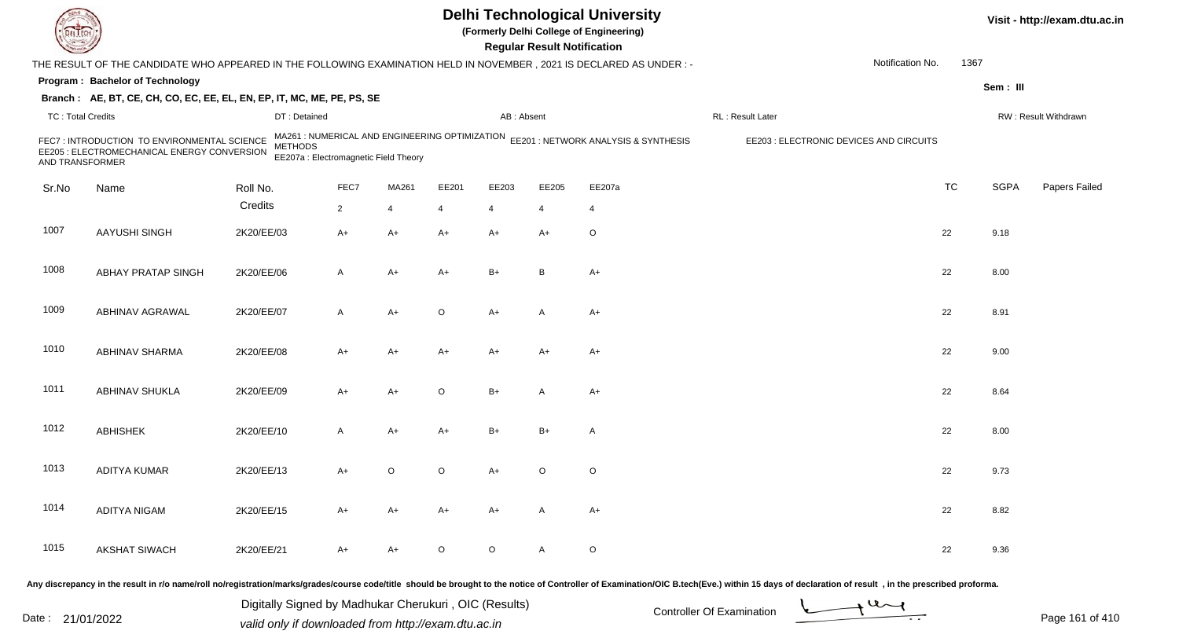| <b>DELTECT</b>           |                                                                                                                                                                                                                                |            |                                                         |                |                |                |                | <b>Regular Result Notification</b> | <b>Delhi Technological University</b><br>(Formerly Delhi College of Engineering)    |                  |                                         |           |             | Visit - http://exam.dtu.ac.in |
|--------------------------|--------------------------------------------------------------------------------------------------------------------------------------------------------------------------------------------------------------------------------|------------|---------------------------------------------------------|----------------|----------------|----------------|----------------|------------------------------------|-------------------------------------------------------------------------------------|------------------|-----------------------------------------|-----------|-------------|-------------------------------|
|                          | THE RESULT OF THE CANDIDATE WHO APPEARED IN THE FOLLOWING EXAMINATION HELD IN NOVEMBER, 2021 IS DECLARED AS UNDER: -                                                                                                           |            |                                                         |                |                |                |                |                                    |                                                                                     |                  | Notification No.                        | 1367      |             |                               |
|                          | Program: Bachelor of Technology                                                                                                                                                                                                |            |                                                         |                |                |                |                |                                    |                                                                                     |                  |                                         |           | Sem: III    |                               |
|                          | Branch: AE, BT, CE, CH, CO, EC, EE, EL, EN, EP, IT, MC, ME, PE, PS, SE                                                                                                                                                         |            |                                                         |                |                |                |                |                                    |                                                                                     |                  |                                         |           |             |                               |
| <b>TC: Total Credits</b> |                                                                                                                                                                                                                                |            | DT: Detained                                            |                |                |                | AB: Absent     |                                    |                                                                                     | RL: Result Later |                                         |           |             | RW: Result Withdrawn          |
| AND TRANSFORMER          | FEC7: INTRODUCTION TO ENVIRONMENTAL SCIENCE<br>EE205 : ELECTROMECHANICAL ENERGY CONVERSION                                                                                                                                     |            | <b>METHODS</b><br>EE207a : Electromagnetic Field Theory |                |                |                |                |                                    | MA261 : NUMERICAL AND ENGINEERING OPTIMIZATION EE201 : NETWORK ANALYSIS & SYNTHESIS |                  | EE203 : ELECTRONIC DEVICES AND CIRCUITS |           |             |                               |
| Sr.No                    | Name                                                                                                                                                                                                                           | Roll No.   |                                                         | FEC7           | MA261          | EE201          | EE203          | EE205                              | EE207a                                                                              |                  |                                         | <b>TC</b> | <b>SGPA</b> | Papers Failed                 |
|                          |                                                                                                                                                                                                                                | Credits    |                                                         | $\overline{2}$ | $\overline{4}$ | $\overline{4}$ | $\overline{4}$ | 4                                  | $\overline{4}$                                                                      |                  |                                         |           |             |                               |
| 1007                     | AAYUSHI SINGH                                                                                                                                                                                                                  | 2K20/EE/03 |                                                         | $A+$           | $A+$           | $A+$           | $A+$           | $A+$                               | O                                                                                   |                  |                                         | 22        | 9.18        |                               |
| 1008                     | <b>ABHAY PRATAP SINGH</b>                                                                                                                                                                                                      | 2K20/EE/06 |                                                         | A              | $A+$           | $A+$           | $B+$           | B                                  | $A+$                                                                                |                  |                                         | 22        | 8.00        |                               |
| 1009                     | ABHINAV AGRAWAL                                                                                                                                                                                                                | 2K20/EE/07 |                                                         | A              | $A+$           | $\circ$        | $A+$           | A                                  | $A+$                                                                                |                  |                                         | 22        | 8.91        |                               |
| 1010                     | ABHINAV SHARMA                                                                                                                                                                                                                 | 2K20/EE/08 |                                                         | A+             | A+             | $A+$           | $A+$           | $A+$                               | $A+$                                                                                |                  |                                         | 22        | 9.00        |                               |
| 1011                     | ABHINAV SHUKLA                                                                                                                                                                                                                 | 2K20/EE/09 |                                                         | A+             | A+             | $\circ$        | $B+$           | A                                  | $A+$                                                                                |                  |                                         | 22        | 8.64        |                               |
| 1012                     | <b>ABHISHEK</b>                                                                                                                                                                                                                | 2K20/EE/10 |                                                         | A              | A+             | $A+$           | $B+$           | $B+$                               | Α                                                                                   |                  |                                         | 22        | 8.00        |                               |
| 1013                     | ADITYA KUMAR                                                                                                                                                                                                                   | 2K20/EE/13 |                                                         | A+             | $\circ$        | $\circ$        | A+             | $\circ$                            | $\mathsf O$                                                                         |                  |                                         | 22        | 9.73        |                               |
| 1014                     | <b>ADITYA NIGAM</b>                                                                                                                                                                                                            | 2K20/EE/15 |                                                         | A+             | A+             | $A+$           | A+             | A                                  | A+                                                                                  |                  |                                         | 22        | 8.82        |                               |
| 1015                     | <b>AKSHAT SIWACH</b>                                                                                                                                                                                                           | 2K20/EE/21 |                                                         | A+             | A+             | $\circ$        | $\circ$        | A                                  | $\mathsf O$                                                                         |                  |                                         | 22        | 9.36        |                               |
|                          | Any discrepancy in the result in r/o name/roll no/registration/marks/grades/course code/title should be brought to the notice of Controller of Examination/OIC B.tech(Eve.) within 15 days of declaration of result , in the p |            |                                                         |                |                |                |                |                                    |                                                                                     |                  |                                         |           |             |                               |

Date : 21/01/2022 Digital Digital of Microsofted Chemical Controller Of Examination Determination Page 161 of 41 Digitally Signed by Madhukar Cherukuri , OIC (Results)

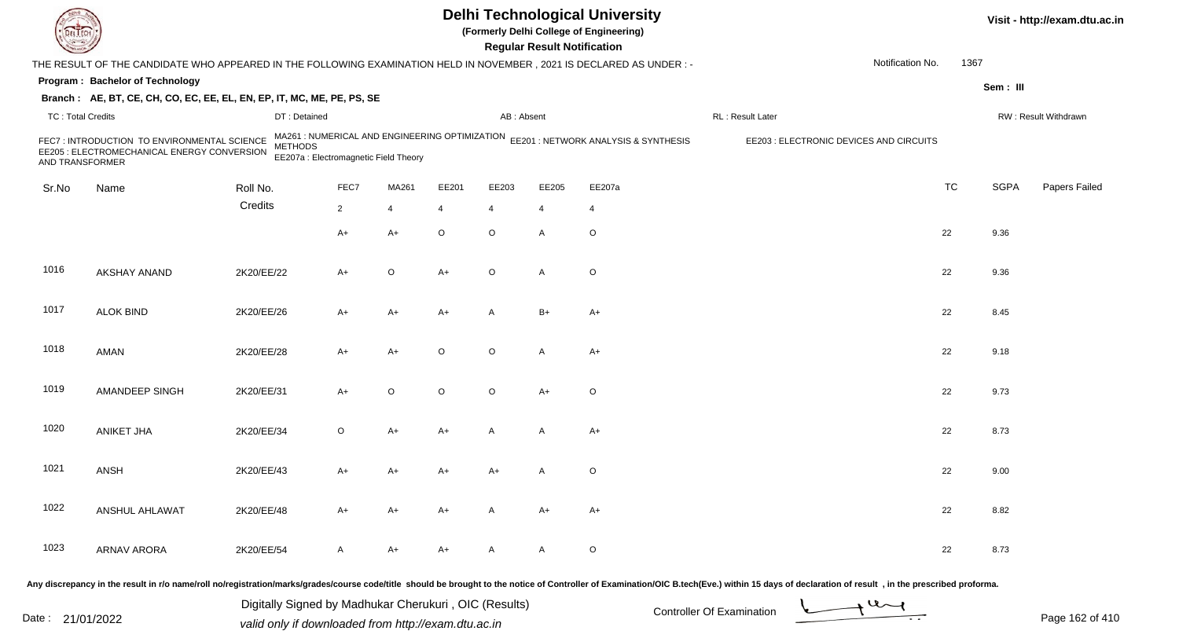| EL EC                    |                                                                                                                                                                                                                                |            |                                                         |                |                |                |              | <b>Regular Result Notification</b> | <b>Delhi Technological University</b><br>(Formerly Delhi College of Engineering)    |                   |                                         |           |             | Visit - http://exam.dtu.ac.in |
|--------------------------|--------------------------------------------------------------------------------------------------------------------------------------------------------------------------------------------------------------------------------|------------|---------------------------------------------------------|----------------|----------------|----------------|--------------|------------------------------------|-------------------------------------------------------------------------------------|-------------------|-----------------------------------------|-----------|-------------|-------------------------------|
|                          | THE RESULT OF THE CANDIDATE WHO APPEARED IN THE FOLLOWING EXAMINATION HELD IN NOVEMBER, 2021 IS DECLARED AS UNDER :-                                                                                                           |            |                                                         |                |                |                |              |                                    |                                                                                     |                   | Notification No.                        | 1367      |             |                               |
|                          | Program: Bachelor of Technology                                                                                                                                                                                                |            |                                                         |                |                |                |              |                                    |                                                                                     |                   |                                         |           | Sem: III    |                               |
|                          | Branch: AE, BT, CE, CH, CO, EC, EE, EL, EN, EP, IT, MC, ME, PE, PS, SE                                                                                                                                                         |            |                                                         |                |                |                |              |                                    |                                                                                     |                   |                                         |           |             |                               |
| <b>TC: Total Credits</b> |                                                                                                                                                                                                                                |            | DT: Detained                                            |                |                |                | AB: Absent   |                                    |                                                                                     | RL : Result Later |                                         |           |             | RW: Result Withdrawn          |
| AND TRANSFORMER          | FEC7 : INTRODUCTION TO ENVIRONMENTAL SCIENCE<br>EE205 : ELECTROMECHANICAL ENERGY CONVERSION                                                                                                                                    |            | <b>METHODS</b><br>EE207a : Electromagnetic Field Theory |                |                |                |              |                                    | MA261 : NUMERICAL AND ENGINEERING OPTIMIZATION EE201 : NETWORK ANALYSIS & SYNTHESIS |                   | EE203 : ELECTRONIC DEVICES AND CIRCUITS |           |             |                               |
| Sr.No                    | Name                                                                                                                                                                                                                           | Roll No.   |                                                         | FEC7           | MA261          | EE201          | EE203        | EE205                              | EE207a                                                                              |                   |                                         | <b>TC</b> | <b>SGPA</b> | Papers Failed                 |
|                          |                                                                                                                                                                                                                                | Credits    |                                                         | $\overline{2}$ | $\overline{4}$ | $\overline{4}$ | 4            | 4                                  | $\overline{4}$                                                                      |                   |                                         |           |             |                               |
|                          |                                                                                                                                                                                                                                |            |                                                         | $A+$           | A+             | $\mathsf O$    | $\circ$      | A                                  | $\mathsf O$                                                                         |                   |                                         | 22        | 9.36        |                               |
| 1016                     | AKSHAY ANAND                                                                                                                                                                                                                   | 2K20/EE/22 |                                                         | A+             | $\circ$        | $A+$           | $\circ$      | A                                  | $\mathsf O$                                                                         |                   |                                         | 22        | 9.36        |                               |
| 1017                     | <b>ALOK BIND</b>                                                                                                                                                                                                               | 2K20/EE/26 |                                                         | A+             | A+             | $A+$           | $\mathsf{A}$ | $B+$                               | $A+$                                                                                |                   |                                         | 22        | 8.45        |                               |
| 1018                     | <b>AMAN</b>                                                                                                                                                                                                                    | 2K20/EE/28 |                                                         | A+             | A+             | $\circ$        | $\circ$      | A                                  | A+                                                                                  |                   |                                         | 22        | 9.18        |                               |
| 1019                     | AMANDEEP SINGH                                                                                                                                                                                                                 | 2K20/EE/31 |                                                         | $A+$           | $\circ$        | $\circ$        | $\circ$      | $A+$                               | O                                                                                   |                   |                                         | 22        | 9.73        |                               |
| 1020                     | <b>ANIKET JHA</b>                                                                                                                                                                                                              | 2K20/EE/34 |                                                         | $\circ$        | A+             | $A+$           | A            | A                                  | $A+$                                                                                |                   |                                         | 22        | 8.73        |                               |
| 1021                     | ANSH                                                                                                                                                                                                                           | 2K20/EE/43 |                                                         | A+             | A+             | A+             | A+           | A                                  | $\mathsf O$                                                                         |                   |                                         | 22        | 9.00        |                               |
| 1022                     | ANSHUL AHLAWAT                                                                                                                                                                                                                 | 2K20/EE/48 |                                                         | A+             | A+             | $A+$           | A            | A+                                 | A+                                                                                  |                   |                                         | 22        | 8.82        |                               |
| 1023                     | <b>ARNAV ARORA</b>                                                                                                                                                                                                             | 2K20/EE/54 |                                                         | A              | A+             | $A+$           | A            | A                                  | $\mathsf O$                                                                         |                   |                                         | 22        | 8.73        |                               |
|                          | Any discrepancy in the result in r/o name/roll no/registration/marks/grades/course code/title should be brought to the notice of Controller of Examination/OIC B.tech(Eve.) within 15 days of declaration of result , in the p |            |                                                         |                |                |                |              |                                    |                                                                                     |                   |                                         |           |             |                               |

Date : 21/01/2022 Digital Digital of Microsofted Chemical Controller Of Examination Determination Page 162 of 41 Digitally Signed by Madhukar Cherukuri , OIC (Results)

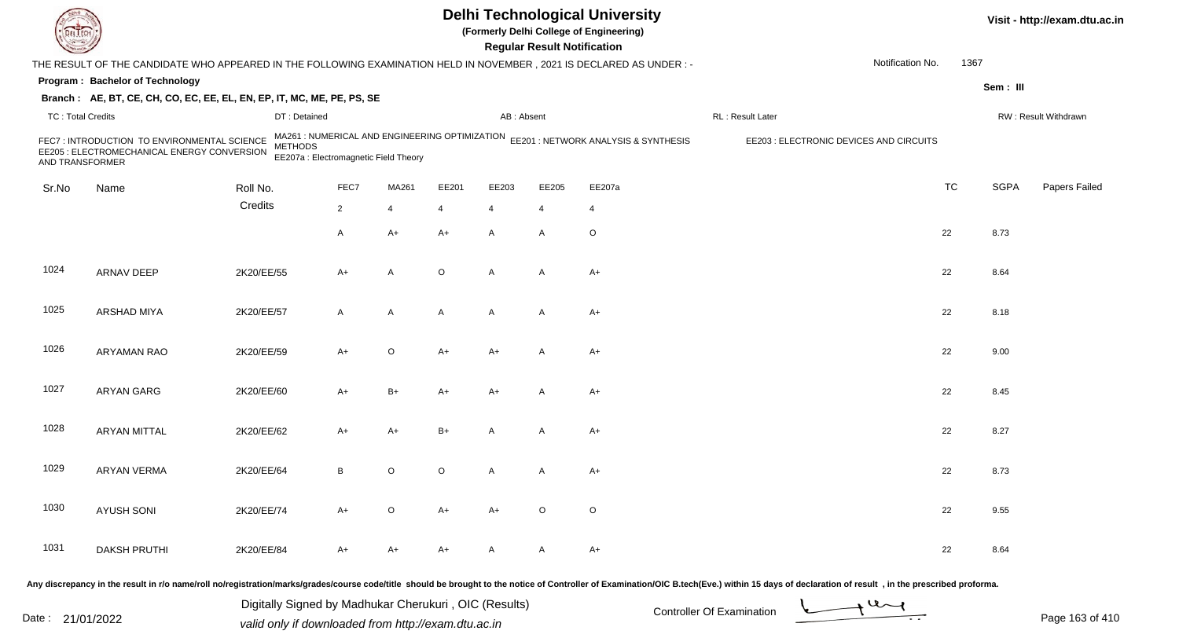|                          |                                                                                                                      |                                                                                                           |                |             |         |                | <b>Regular Result Notification</b> | <b>Delhi Technological University</b><br>(Formerly Delhi College of Engineering) |                                         |                  |           |             | Visit - http://exam.dtu.ac.in |
|--------------------------|----------------------------------------------------------------------------------------------------------------------|-----------------------------------------------------------------------------------------------------------|----------------|-------------|---------|----------------|------------------------------------|----------------------------------------------------------------------------------|-----------------------------------------|------------------|-----------|-------------|-------------------------------|
|                          | THE RESULT OF THE CANDIDATE WHO APPEARED IN THE FOLLOWING EXAMINATION HELD IN NOVEMBER, 2021 IS DECLARED AS UNDER :- |                                                                                                           |                |             |         |                |                                    |                                                                                  |                                         | Notification No. | 1367      |             |                               |
|                          | Program: Bachelor of Technology                                                                                      |                                                                                                           |                |             |         |                |                                    |                                                                                  |                                         |                  |           | Sem: III    |                               |
|                          | Branch: AE, BT, CE, CH, CO, EC, EE, EL, EN, EP, IT, MC, ME, PE, PS, SE                                               |                                                                                                           |                |             |         |                |                                    |                                                                                  |                                         |                  |           |             |                               |
| <b>TC: Total Credits</b> |                                                                                                                      | DT: Detained                                                                                              |                |             |         | AB: Absent     |                                    |                                                                                  | RL : Result Later                       |                  |           |             | RW: Result Withdrawn          |
| AND TRANSFORMER          | FEC7 : INTRODUCTION TO ENVIRONMENTAL SCIENCE<br>EE205 : ELECTROMECHANICAL ENERGY CONVERSION                          | MA261 : NUMERICAL AND ENGINEERING OPTIMIZATION<br><b>METHODS</b><br>EE207a : Electromagnetic Field Theory |                |             |         |                |                                    | EE201 : NETWORK ANALYSIS & SYNTHESIS                                             | EE203 : ELECTRONIC DEVICES AND CIRCUITS |                  |           |             |                               |
| Sr.No                    | Name                                                                                                                 | Roll No.                                                                                                  | FEC7           | MA261       | EE201   | EE203          | EE205                              | EE207a                                                                           |                                         |                  | <b>TC</b> | <b>SGPA</b> | Papers Failed                 |
|                          |                                                                                                                      | Credits                                                                                                   | $\overline{2}$ | 4           | 4       | $\overline{4}$ | 4                                  | 4                                                                                |                                         |                  |           |             |                               |
|                          |                                                                                                                      |                                                                                                           | A              | A+          | A+      | $\mathsf{A}$   | A                                  | $\circ$                                                                          |                                         |                  | 22        | 8.73        |                               |
| 1024                     | ARNAV DEEP                                                                                                           | 2K20/EE/55                                                                                                | A+             | A           | $\circ$ | $\overline{A}$ | A                                  | $A+$                                                                             |                                         |                  | 22        | 8.64        |                               |
| 1025                     | <b>ARSHAD MIYA</b>                                                                                                   | 2K20/EE/57                                                                                                | A              | A           | A       | $\mathsf{A}$   | A                                  | $A+$                                                                             |                                         |                  | 22        | 8.18        |                               |
| 1026                     | ARYAMAN RAO                                                                                                          | 2K20/EE/59                                                                                                | A+             | $\mathsf O$ | A+      | A+             | A                                  | $A+$                                                                             |                                         |                  | 22        | 9.00        |                               |
| 1027                     | ARYAN GARG                                                                                                           | 2K20/EE/60                                                                                                | A+             | B+          | A+      | A+             | A                                  | $A+$                                                                             |                                         |                  | 22        | 8.45        |                               |
| 1028                     | <b>ARYAN MITTAL</b>                                                                                                  | 2K20/EE/62                                                                                                | A+             | A+          | B+      | А              | A                                  | $A+$                                                                             |                                         |                  | 22        | 8.27        |                               |
| 1029                     | ARYAN VERMA                                                                                                          | 2K20/EE/64                                                                                                | В              | O           | $\circ$ | A              | A                                  | $A+$                                                                             |                                         |                  | 22        | 8.73        |                               |
| 1030                     | <b>AYUSH SONI</b>                                                                                                    | 2K20/EE/74                                                                                                | $A+$           | $\circ$     | $A+$    | $A+$           | $\circ$                            | $\circ$                                                                          |                                         |                  | 22        | 9.55        |                               |
| 1031                     | <b>DAKSH PRUTHI</b>                                                                                                  | 2K20/EE/84                                                                                                | A+             | A+          | A+      | A              | A                                  | A+                                                                               |                                         |                  | 22        | 8.64        |                               |
|                          |                                                                                                                      |                                                                                                           |                |             |         |                |                                    |                                                                                  |                                         |                  |           |             |                               |

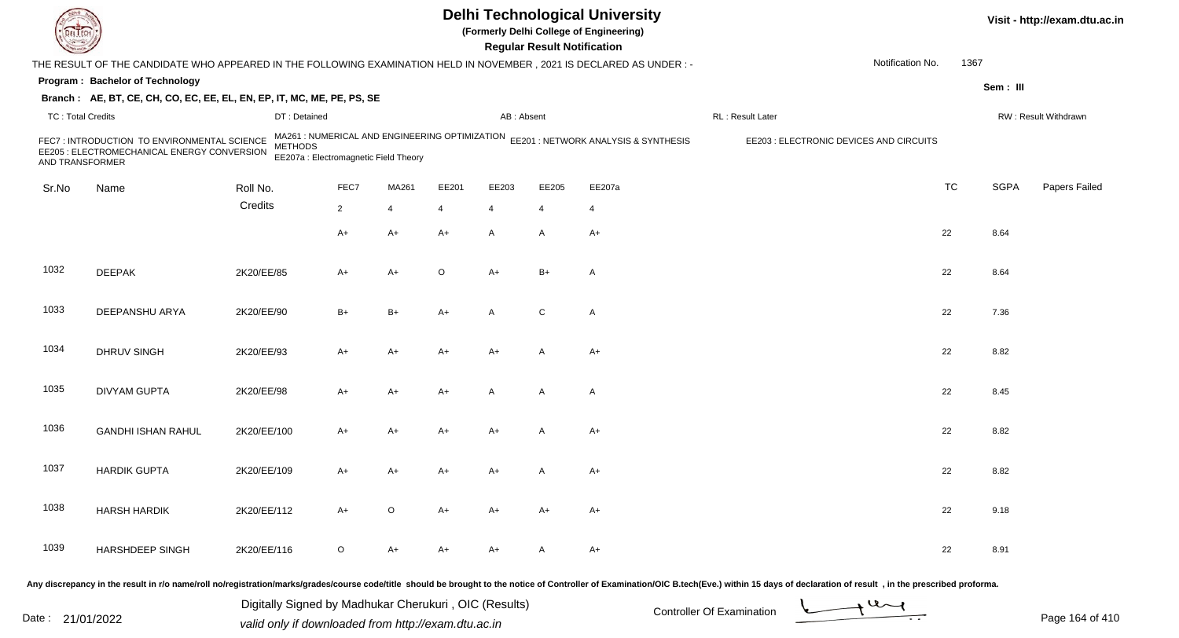|                          |                                                                                                                     |                                                                                                           |                |             |       |                | <b>Regular Result Notification</b> | <b>Delhi Technological University</b><br>(Formerly Delhi College of Engineering) |                                         |                  |           |             | Visit - http://exam.dtu.ac.in |
|--------------------------|---------------------------------------------------------------------------------------------------------------------|-----------------------------------------------------------------------------------------------------------|----------------|-------------|-------|----------------|------------------------------------|----------------------------------------------------------------------------------|-----------------------------------------|------------------|-----------|-------------|-------------------------------|
|                          | THE RESULT OF THE CANDIDATE WHO APPEARED IN THE FOLLOWING EXAMINATION HELD IN NOVEMBER, 2021 IS DECLARED AS UNDER:- |                                                                                                           |                |             |       |                |                                    |                                                                                  |                                         | Notification No. | 1367      |             |                               |
|                          | Program: Bachelor of Technology                                                                                     |                                                                                                           |                |             |       |                |                                    |                                                                                  |                                         |                  |           | Sem: III    |                               |
|                          | Branch: AE, BT, CE, CH, CO, EC, EE, EL, EN, EP, IT, MC, ME, PE, PS, SE                                              |                                                                                                           |                |             |       |                |                                    |                                                                                  |                                         |                  |           |             |                               |
| <b>TC: Total Credits</b> |                                                                                                                     | DT: Detained                                                                                              |                |             |       | AB: Absent     |                                    |                                                                                  | RL: Result Later                        |                  |           |             | RW: Result Withdrawn          |
| AND TRANSFORMER          | FEC7 : INTRODUCTION TO ENVIRONMENTAL SCIENCE<br>EE205 : ELECTROMECHANICAL ENERGY CONVERSION                         | MA261 : NUMERICAL AND ENGINEERING OPTIMIZATION<br><b>METHODS</b><br>EE207a : Electromagnetic Field Theory |                |             |       |                |                                    | EE201 : NETWORK ANALYSIS & SYNTHESIS                                             | EE203 : ELECTRONIC DEVICES AND CIRCUITS |                  |           |             |                               |
| Sr.No                    | Name                                                                                                                | Roll No.                                                                                                  | FEC7           | MA261       | EE201 | EE203          | EE205                              | EE207a                                                                           |                                         |                  | <b>TC</b> | <b>SGPA</b> | Papers Failed                 |
|                          |                                                                                                                     | Credits                                                                                                   | $\overline{2}$ | 4           | 4     | $\overline{4}$ | 4                                  | 4                                                                                |                                         |                  |           |             |                               |
|                          |                                                                                                                     |                                                                                                           | A+             | A+          | A+    | $\mathsf{A}$   | A                                  | $A+$                                                                             |                                         |                  | 22        | 8.64        |                               |
| 1032                     | <b>DEEPAK</b>                                                                                                       | 2K20/EE/85                                                                                                | A+             | $A+$        | O     | $A+$           | $B+$                               | $\mathsf{A}$                                                                     |                                         |                  | 22        | 8.64        |                               |
| 1033                     | DEEPANSHU ARYA                                                                                                      | 2K20/EE/90                                                                                                | $B+$           | $B+$        | A+    | A              | C                                  | $\mathsf{A}$                                                                     |                                         |                  | 22        | 7.36        |                               |
| 1034                     | DHRUV SINGH                                                                                                         | 2K20/EE/93                                                                                                | A+             | A+          | A+    | A+             | A                                  | $A+$                                                                             |                                         |                  | 22        | 8.82        |                               |
| 1035                     | <b>DIVYAM GUPTA</b>                                                                                                 | 2K20/EE/98                                                                                                | A+             | A+          | A+    | $\mathsf{A}$   | A                                  | $\mathsf{A}$                                                                     |                                         |                  | 22        | 8.45        |                               |
| 1036                     | <b>GANDHI ISHAN RAHUL</b>                                                                                           | 2K20/EE/100                                                                                               | A+             | A+          | A+    | A+             |                                    | $A+$                                                                             |                                         |                  | 22        | 8.82        |                               |
| 1037                     | <b>HARDIK GUPTA</b>                                                                                                 | 2K20/EE/109                                                                                               | A+             | A+          | A+    | A+             | A                                  | $A+$                                                                             |                                         |                  | 22        | 8.82        |                               |
| 1038                     | <b>HARSH HARDIK</b>                                                                                                 | 2K20/EE/112                                                                                               | $A+$           | $\mathsf O$ | A+    | A+             | A+                                 | A+                                                                               |                                         |                  | 22        | 9.18        |                               |
| 1039                     | HARSHDEEP SINGH                                                                                                     | 2K20/EE/116                                                                                               | O              | A+          | A+    | A+             | A                                  | A+                                                                               |                                         |                  | 22        | 8.91        |                               |
|                          |                                                                                                                     |                                                                                                           |                |             |       |                |                                    |                                                                                  |                                         |                  |           |             |                               |

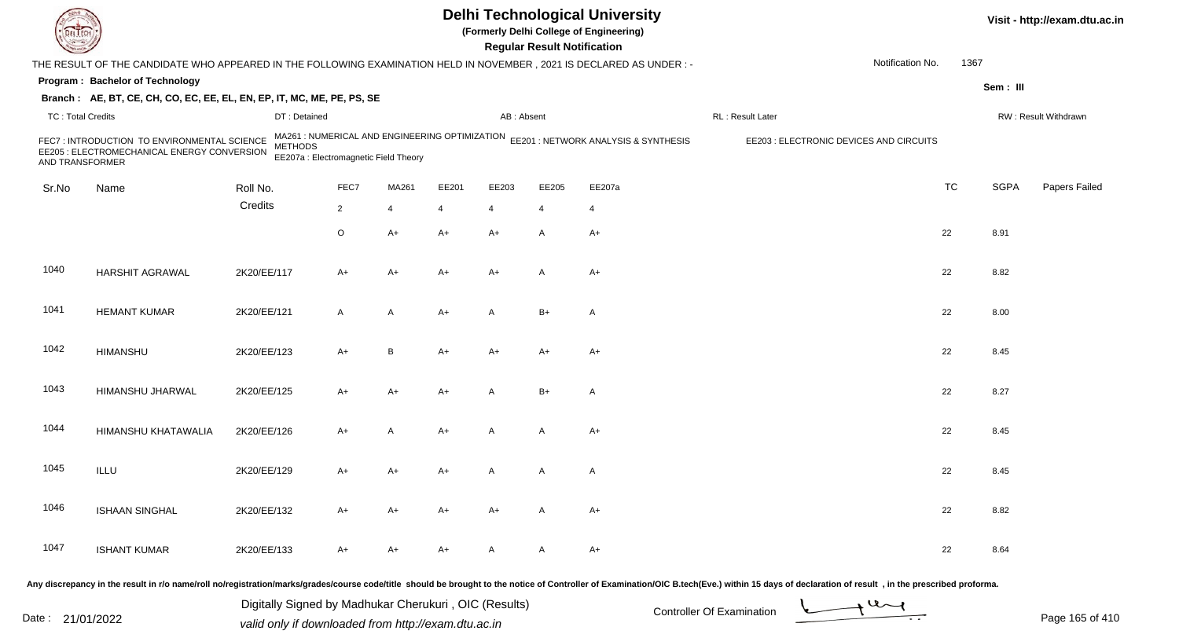|                          |                                                                                                                     |                |                                                                                         |       |       |                | <b>Regular Result Notification</b> | <b>Delhi Technological University</b><br>(Formerly Delhi College of Engineering) |                                                                                                                                                                                                                                |                  |           |             | Visit - http://exam.dtu.ac.in |
|--------------------------|---------------------------------------------------------------------------------------------------------------------|----------------|-----------------------------------------------------------------------------------------|-------|-------|----------------|------------------------------------|----------------------------------------------------------------------------------|--------------------------------------------------------------------------------------------------------------------------------------------------------------------------------------------------------------------------------|------------------|-----------|-------------|-------------------------------|
|                          | THE RESULT OF THE CANDIDATE WHO APPEARED IN THE FOLLOWING EXAMINATION HELD IN NOVEMBER, 2021 IS DECLARED AS UNDER:- |                |                                                                                         |       |       |                |                                    |                                                                                  |                                                                                                                                                                                                                                | Notification No. | 1367      |             |                               |
|                          | Program: Bachelor of Technology                                                                                     |                |                                                                                         |       |       |                |                                    |                                                                                  |                                                                                                                                                                                                                                |                  |           | Sem: III    |                               |
|                          | Branch: AE, BT, CE, CH, CO, EC, EE, EL, EN, EP, IT, MC, ME, PE, PS, SE                                              |                |                                                                                         |       |       |                |                                    |                                                                                  |                                                                                                                                                                                                                                |                  |           |             |                               |
| <b>TC: Total Credits</b> |                                                                                                                     | DT: Detained   |                                                                                         |       |       | AB: Absent     |                                    |                                                                                  | RL: Result Later                                                                                                                                                                                                               |                  |           |             | RW: Result Withdrawn          |
| AND TRANSFORMER          | FEC7 : INTRODUCTION TO ENVIRONMENTAL SCIENCE<br>EE205 : ELECTROMECHANICAL ENERGY CONVERSION                         | <b>METHODS</b> | MA261 : NUMERICAL AND ENGINEERING OPTIMIZATION<br>EE207a : Electromagnetic Field Theory |       |       |                |                                    | EE201 : NETWORK ANALYSIS & SYNTHESIS                                             | EE203 : ELECTRONIC DEVICES AND CIRCUITS                                                                                                                                                                                        |                  |           |             |                               |
| Sr.No                    | Name                                                                                                                | Roll No.       | FEC7                                                                                    | MA261 | EE201 | EE203          | EE205                              | EE207a                                                                           |                                                                                                                                                                                                                                |                  | <b>TC</b> | <b>SGPA</b> | Papers Failed                 |
|                          |                                                                                                                     | Credits        | $\overline{2}$                                                                          | 4     | 4     | $\overline{4}$ | 4                                  | 4                                                                                |                                                                                                                                                                                                                                |                  |           |             |                               |
|                          |                                                                                                                     |                | O                                                                                       | A+    | A+    | A+             | A                                  | $A+$                                                                             |                                                                                                                                                                                                                                |                  | 22        | 8.91        |                               |
|                          |                                                                                                                     |                |                                                                                         |       |       |                |                                    |                                                                                  |                                                                                                                                                                                                                                |                  |           |             |                               |
| 1040                     | <b>HARSHIT AGRAWAL</b>                                                                                              | 2K20/EE/117    | A+                                                                                      | A+    | A+    | $A+$           | A                                  | $A+$                                                                             |                                                                                                                                                                                                                                |                  | 22        | 8.82        |                               |
| 1041                     | <b>HEMANT KUMAR</b>                                                                                                 | 2K20/EE/121    | A                                                                                       | A     | A+    | A              | $B+$                               | $\mathsf{A}$                                                                     |                                                                                                                                                                                                                                |                  | 22        | 8.00        |                               |
| 1042                     | <b>HIMANSHU</b>                                                                                                     | 2K20/EE/123    | A+                                                                                      | B     | A+    | A+             | $A+$                               | $A+$                                                                             |                                                                                                                                                                                                                                |                  | 22        | 8.45        |                               |
| 1043                     | HIMANSHU JHARWAL                                                                                                    | 2K20/EE/125    | A+                                                                                      | A+    | A+    | A              | $B+$                               | $\mathsf{A}$                                                                     |                                                                                                                                                                                                                                |                  | 22        | 8.27        |                               |
| 1044                     | HIMANSHU KHATAWALIA                                                                                                 | 2K20/EE/126    | A+                                                                                      | A     | A+    | A              | A                                  | $A+$                                                                             |                                                                                                                                                                                                                                |                  | 22        | 8.45        |                               |
| 1045                     | ILLU                                                                                                                | 2K20/EE/129    | A+                                                                                      | A+    | A+    |                | A                                  | A                                                                                |                                                                                                                                                                                                                                |                  | 22        | 8.45        |                               |
| 1046                     | <b>ISHAAN SINGHAL</b>                                                                                               | 2K20/EE/132    | A+                                                                                      | A+    | A+    | A+             | A                                  | A+                                                                               |                                                                                                                                                                                                                                |                  | 22        | 8.82        |                               |
| 1047                     | <b>ISHANT KUMAR</b>                                                                                                 | 2K20/EE/133    | A+                                                                                      | A+    | A+    | A              | A                                  | A+                                                                               |                                                                                                                                                                                                                                |                  | 22        | 8.64        |                               |
|                          |                                                                                                                     |                |                                                                                         |       |       |                |                                    |                                                                                  | ny dicarapapay in the requit in r/e namelrall ne/registration/marke/grades/arynes eadeltitle, should be brought to the notice of Controller of Eveningtian/OC B teab(Eye) within 15 doys of deeleration of requisity in the pr |                  |           |             |                               |

Any discrepancy in the result in r/o name/roll no/registration/marks/grades/course code/title should be brought to

Date : 21/01/2022 Digital Digital of Microsofted Chemical Controller Of Examination Determination Page 165 of 41 Digitally Signed by Madhukar Cherukuri , OIC (Results)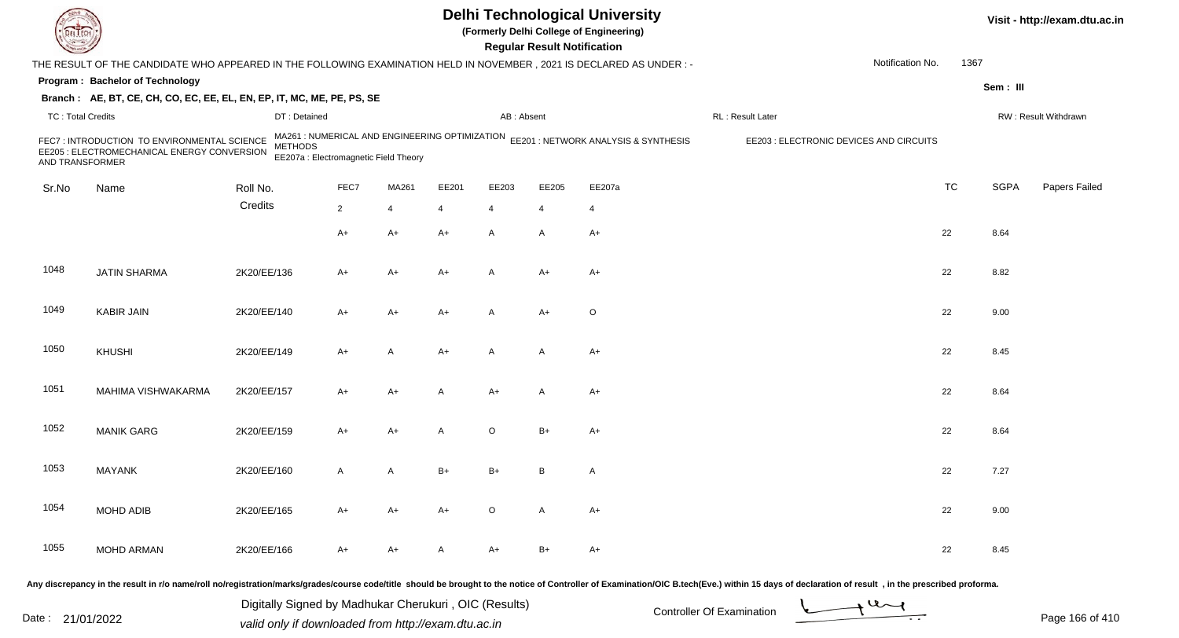|                          |                                                                                                                      |                |                                                                                         |       |       |                | <b>Regular Result Notification</b> | <b>Delhi Technological University</b><br>(Formerly Delhi College of Engineering) |                                         |                  |           |             | Visit - http://exam.dtu.ac.in |
|--------------------------|----------------------------------------------------------------------------------------------------------------------|----------------|-----------------------------------------------------------------------------------------|-------|-------|----------------|------------------------------------|----------------------------------------------------------------------------------|-----------------------------------------|------------------|-----------|-------------|-------------------------------|
|                          | THE RESULT OF THE CANDIDATE WHO APPEARED IN THE FOLLOWING EXAMINATION HELD IN NOVEMBER, 2021 IS DECLARED AS UNDER :- |                |                                                                                         |       |       |                |                                    |                                                                                  |                                         | Notification No. | 1367      |             |                               |
|                          | Program: Bachelor of Technology                                                                                      |                |                                                                                         |       |       |                |                                    |                                                                                  |                                         |                  |           | Sem: III    |                               |
|                          | Branch: AE, BT, CE, CH, CO, EC, EE, EL, EN, EP, IT, MC, ME, PE, PS, SE                                               |                |                                                                                         |       |       |                |                                    |                                                                                  |                                         |                  |           |             |                               |
| <b>TC: Total Credits</b> |                                                                                                                      | DT: Detained   |                                                                                         |       |       | AB: Absent     |                                    |                                                                                  | RL: Result Later                        |                  |           |             | RW: Result Withdrawn          |
| AND TRANSFORMER          | FEC7 : INTRODUCTION TO ENVIRONMENTAL SCIENCE<br>EE205 : ELECTROMECHANICAL ENERGY CONVERSION                          | <b>METHODS</b> | MA261 : NUMERICAL AND ENGINEERING OPTIMIZATION<br>EE207a : Electromagnetic Field Theory |       |       |                |                                    | EE201 : NETWORK ANALYSIS & SYNTHESIS                                             | EE203 : ELECTRONIC DEVICES AND CIRCUITS |                  |           |             |                               |
| Sr.No                    | Name                                                                                                                 | Roll No.       | FEC7                                                                                    | MA261 | EE201 | EE203          | EE205                              | EE207a                                                                           |                                         |                  | <b>TC</b> | <b>SGPA</b> | Papers Failed                 |
|                          |                                                                                                                      | Credits        | $\overline{2}$                                                                          | 4     | 4     | $\overline{4}$ | 4                                  | 4                                                                                |                                         |                  |           |             |                               |
|                          |                                                                                                                      |                | A+                                                                                      | A+    | A+    | $\mathsf{A}$   | A                                  | $A+$                                                                             |                                         |                  | 22        | 8.64        |                               |
| 1048                     | <b>JATIN SHARMA</b>                                                                                                  | 2K20/EE/136    | A+                                                                                      | A+    | A+    | $\overline{A}$ | $A+$                               | $A+$                                                                             |                                         |                  | 22        | 8.82        |                               |
| 1049                     | <b>KABIR JAIN</b>                                                                                                    | 2K20/EE/140    | A+                                                                                      | A+    | A+    | A              | $A+$                               | $\circ$                                                                          |                                         |                  | 22        | 9.00        |                               |
| 1050                     | KHUSHI                                                                                                               | 2K20/EE/149    | A+                                                                                      | A     | A+    | A              | A                                  | $A+$                                                                             |                                         |                  | 22        | 8.45        |                               |
| 1051                     | MAHIMA VISHWAKARMA                                                                                                   | 2K20/EE/157    | A+                                                                                      | A+    | A     | $A+$           | A                                  | $A+$                                                                             |                                         |                  | 22        | 8.64        |                               |
| 1052                     | <b>MANIK GARG</b>                                                                                                    | 2K20/EE/159    | A+                                                                                      | A+    | A     | $\circ$        | $B+$                               | $A+$                                                                             |                                         |                  | 22        | 8.64        |                               |
| 1053                     | <b>MAYANK</b>                                                                                                        | 2K20/EE/160    | Α                                                                                       | A     | B+    | $B+$           | B                                  | A                                                                                |                                         |                  | 22        | 7.27        |                               |
| 1054                     | MOHD ADIB                                                                                                            | 2K20/EE/165    | $A+$                                                                                    | A+    | A+    | $\circ$        | A                                  | $A+$                                                                             |                                         |                  | 22        | 9.00        |                               |
| 1055                     | <b>MOHD ARMAN</b>                                                                                                    | 2K20/EE/166    | A+                                                                                      | A+    | A     | $A+$           | B+                                 | A+                                                                               |                                         |                  | 22        | 8.45        |                               |
|                          |                                                                                                                      |                |                                                                                         |       |       |                |                                    |                                                                                  |                                         |                  |           |             |                               |

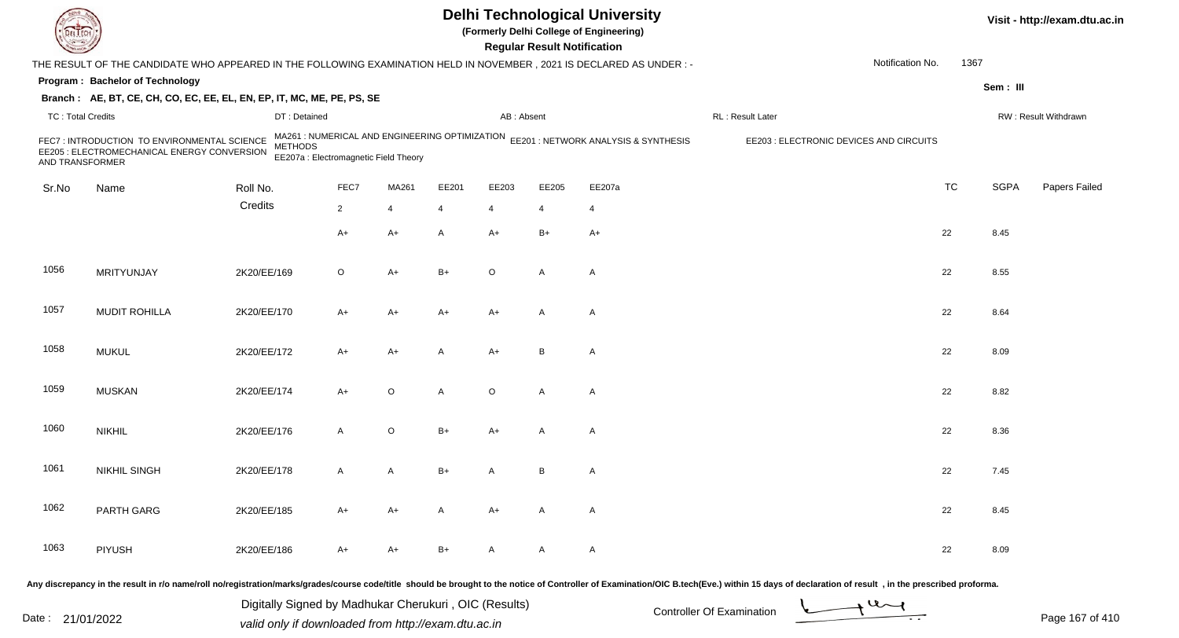|                          |                                                                                                                     |                |                                                                                         |         |       |                | <b>Regular Result Notification</b> | <b>Delhi Technological University</b><br>(Formerly Delhi College of Engineering) |                                                                                                                                                                                                                                |                  |           |             | Visit - http://exam.dtu.ac.in |
|--------------------------|---------------------------------------------------------------------------------------------------------------------|----------------|-----------------------------------------------------------------------------------------|---------|-------|----------------|------------------------------------|----------------------------------------------------------------------------------|--------------------------------------------------------------------------------------------------------------------------------------------------------------------------------------------------------------------------------|------------------|-----------|-------------|-------------------------------|
|                          | THE RESULT OF THE CANDIDATE WHO APPEARED IN THE FOLLOWING EXAMINATION HELD IN NOVEMBER, 2021 IS DECLARED AS UNDER:- |                |                                                                                         |         |       |                |                                    |                                                                                  |                                                                                                                                                                                                                                | Notification No. | 1367      |             |                               |
|                          | Program: Bachelor of Technology                                                                                     |                |                                                                                         |         |       |                |                                    |                                                                                  |                                                                                                                                                                                                                                |                  |           | Sem: III    |                               |
|                          | Branch: AE, BT, CE, CH, CO, EC, EE, EL, EN, EP, IT, MC, ME, PE, PS, SE                                              |                |                                                                                         |         |       |                |                                    |                                                                                  |                                                                                                                                                                                                                                |                  |           |             |                               |
| <b>TC: Total Credits</b> |                                                                                                                     | DT: Detained   |                                                                                         |         |       | AB: Absent     |                                    |                                                                                  | RL: Result Later                                                                                                                                                                                                               |                  |           |             | RW: Result Withdrawn          |
| AND TRANSFORMER          | FEC7 : INTRODUCTION TO ENVIRONMENTAL SCIENCE<br>EE205 : ELECTROMECHANICAL ENERGY CONVERSION                         | <b>METHODS</b> | MA261 : NUMERICAL AND ENGINEERING OPTIMIZATION<br>EE207a : Electromagnetic Field Theory |         |       |                |                                    | EE201 : NETWORK ANALYSIS & SYNTHESIS                                             | EE203 : ELECTRONIC DEVICES AND CIRCUITS                                                                                                                                                                                        |                  |           |             |                               |
| Sr.No                    | Name                                                                                                                | Roll No.       | FEC7                                                                                    | MA261   | EE201 | EE203          | EE205                              | EE207a                                                                           |                                                                                                                                                                                                                                |                  | <b>TC</b> | <b>SGPA</b> | Papers Failed                 |
|                          |                                                                                                                     | Credits        | $\overline{2}$                                                                          | 4       | 4     | $\overline{4}$ | 4                                  | 4                                                                                |                                                                                                                                                                                                                                |                  |           |             |                               |
|                          |                                                                                                                     |                | A+                                                                                      | A+      | A     | A+             | $B+$                               | $A+$                                                                             |                                                                                                                                                                                                                                |                  | 22        | 8.45        |                               |
| 1056                     | MRITYUNJAY                                                                                                          | 2K20/EE/169    | O                                                                                       | $A+$    | B+    | $\circ$        | A                                  | $\mathsf{A}$                                                                     |                                                                                                                                                                                                                                |                  | 22        | 8.55        |                               |
| 1057                     | <b>MUDIT ROHILLA</b>                                                                                                | 2K20/EE/170    | A+                                                                                      | A+      | A+    | A+             | A                                  | $\mathsf{A}$                                                                     |                                                                                                                                                                                                                                |                  | 22        | 8.64        |                               |
| 1058                     | <b>MUKUL</b>                                                                                                        | 2K20/EE/172    | A+                                                                                      | A+      | Α     | A+             | B                                  | A                                                                                |                                                                                                                                                                                                                                |                  | 22        | 8.09        |                               |
| 1059                     | <b>MUSKAN</b>                                                                                                       | 2K20/EE/174    | A+                                                                                      | $\circ$ | A     | $\circ$        | A                                  | $\mathsf{A}$                                                                     |                                                                                                                                                                                                                                |                  | 22        | 8.82        |                               |
| 1060                     | <b>NIKHIL</b>                                                                                                       | 2K20/EE/176    | A                                                                                       | O       | B+    | A+             | A                                  | A                                                                                |                                                                                                                                                                                                                                |                  | 22        | 8.36        |                               |
| 1061                     | <b>NIKHIL SINGH</b>                                                                                                 | 2K20/EE/178    | A                                                                                       | A       | B+    | А              | В                                  | A                                                                                |                                                                                                                                                                                                                                |                  | 22        | 7.45        |                               |
| 1062                     | PARTH GARG                                                                                                          | 2K20/EE/185    | A+                                                                                      | A+      | A     | A+             | A                                  | A                                                                                |                                                                                                                                                                                                                                |                  | 22        | 8.45        |                               |
| 1063                     | <b>PIYUSH</b>                                                                                                       | 2K20/EE/186    | A+                                                                                      | A+      | B+    | A              | A                                  | A                                                                                |                                                                                                                                                                                                                                |                  | 22        | 8.09        |                               |
|                          |                                                                                                                     |                |                                                                                         |         |       |                |                                    |                                                                                  | ny discrepancy in the result in r/o name/roll no/registration/marks/grades/course code/title, should be brought to the notice of Controller of Examination/OIC B tech(Eye) within 15 days of declaration of result in the pres |                  |           |             |                               |

Any discrepancy in the result in r/o name/roll no/registration/marks/grades/course code/title should be brought to

Date : 21/01/2022 Digital Digital of Microsofted Chemical Controller Of Examination Determination Page 167 of 41 Digitally Signed by Madhukar Cherukuri , OIC (Results)

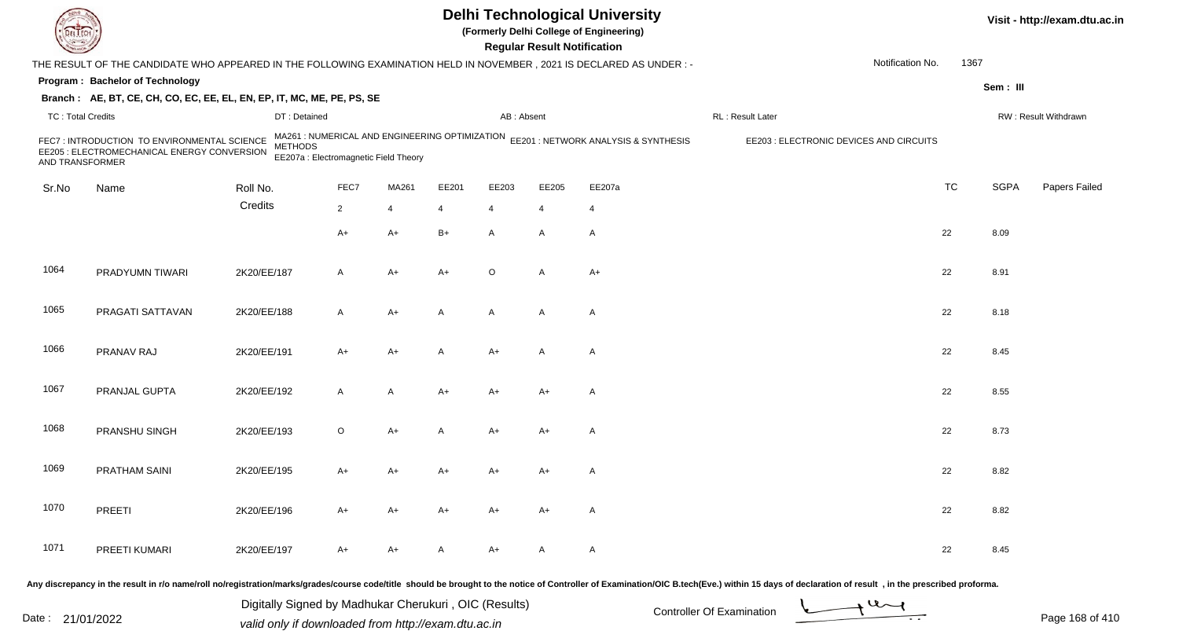|                          |                                                                                                                      |                |                                                                                         |       |       |                | <b>Regular Result Notification</b> | <b>Delhi Technological University</b><br>(Formerly Delhi College of Engineering) |                                         |                  |           |             | Visit - http://exam.dtu.ac.in |
|--------------------------|----------------------------------------------------------------------------------------------------------------------|----------------|-----------------------------------------------------------------------------------------|-------|-------|----------------|------------------------------------|----------------------------------------------------------------------------------|-----------------------------------------|------------------|-----------|-------------|-------------------------------|
|                          | THE RESULT OF THE CANDIDATE WHO APPEARED IN THE FOLLOWING EXAMINATION HELD IN NOVEMBER, 2021 IS DECLARED AS UNDER :- |                |                                                                                         |       |       |                |                                    |                                                                                  |                                         | Notification No. | 1367      |             |                               |
|                          | Program: Bachelor of Technology                                                                                      |                |                                                                                         |       |       |                |                                    |                                                                                  |                                         |                  |           | Sem: III    |                               |
|                          | Branch: AE, BT, CE, CH, CO, EC, EE, EL, EN, EP, IT, MC, ME, PE, PS, SE                                               |                |                                                                                         |       |       |                |                                    |                                                                                  |                                         |                  |           |             |                               |
| <b>TC: Total Credits</b> |                                                                                                                      | DT: Detained   |                                                                                         |       |       | AB: Absent     |                                    |                                                                                  | RL: Result Later                        |                  |           |             | RW: Result Withdrawn          |
| AND TRANSFORMER          | FEC7 : INTRODUCTION TO ENVIRONMENTAL SCIENCE<br>EE205 : ELECTROMECHANICAL ENERGY CONVERSION                          | <b>METHODS</b> | MA261 : NUMERICAL AND ENGINEERING OPTIMIZATION<br>EE207a : Electromagnetic Field Theory |       |       |                |                                    | EE201 : NETWORK ANALYSIS & SYNTHESIS                                             | EE203 : ELECTRONIC DEVICES AND CIRCUITS |                  |           |             |                               |
| Sr.No                    | Name                                                                                                                 | Roll No.       | FEC7                                                                                    | MA261 | EE201 | EE203          | EE205                              | EE207a                                                                           |                                         |                  | <b>TC</b> | <b>SGPA</b> | Papers Failed                 |
|                          |                                                                                                                      | Credits        | $\overline{2}$                                                                          | 4     | 4     | $\overline{4}$ | 4                                  | 4                                                                                |                                         |                  |           |             |                               |
|                          |                                                                                                                      |                |                                                                                         |       | $B+$  |                |                                    |                                                                                  |                                         |                  |           |             |                               |
|                          |                                                                                                                      |                | A+                                                                                      | A+    |       | $\mathsf{A}$   | A                                  | $\mathsf{A}$                                                                     |                                         |                  | 22        | 8.09        |                               |
| 1064                     | PRADYUMN TIWARI                                                                                                      | 2K20/EE/187    | A                                                                                       | A+    | A+    | $\circ$        | A                                  | $A+$                                                                             |                                         |                  | 22        | 8.91        |                               |
| 1065                     | PRAGATI SATTAVAN                                                                                                     | 2K20/EE/188    | A                                                                                       | $A+$  | A     | $\mathsf{A}$   | A                                  | $\mathsf{A}$                                                                     |                                         |                  | 22        | 8.18        |                               |
| 1066                     | PRANAV RAJ                                                                                                           | 2K20/EE/191    | A+                                                                                      | A+    | Α     | A+             | A                                  | A                                                                                |                                         |                  | 22        | 8.45        |                               |
| 1067                     | PRANJAL GUPTA                                                                                                        | 2K20/EE/192    | A                                                                                       | A     | A+    | A+             | $A+$                               | A                                                                                |                                         |                  | 22        | 8.55        |                               |
| 1068                     | PRANSHU SINGH                                                                                                        | 2K20/EE/193    | $\circ$                                                                                 | A+    | A     | $A+$           | $A+$                               | A                                                                                |                                         |                  | 22        | 8.73        |                               |
| 1069                     | PRATHAM SAINI                                                                                                        | 2K20/EE/195    | A+                                                                                      | A+    | A+    | A+             | A+                                 | A                                                                                |                                         |                  | 22        | 8.82        |                               |
| 1070                     | PREETI                                                                                                               | 2K20/EE/196    | A+                                                                                      | A+    | A+    | A+             | A+                                 | $\mathsf{A}$                                                                     |                                         |                  | 22        | 8.82        |                               |
| 1071                     | PREETI KUMARI                                                                                                        | 2K20/EE/197    | A+                                                                                      | A+    | A     | A+             | A                                  | $\mathsf{A}$                                                                     |                                         |                  | 22        | 8.45        |                               |
|                          |                                                                                                                      |                |                                                                                         |       |       |                |                                    |                                                                                  |                                         |                  |           |             |                               |

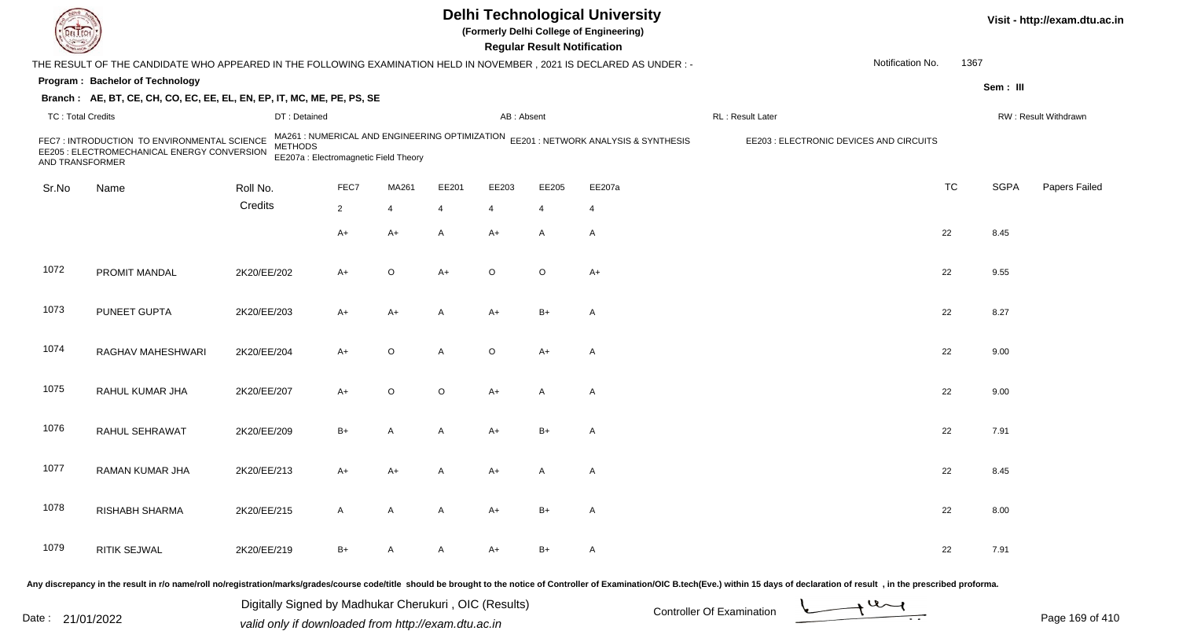|                          |                                                                                                                     |                |                                                                                         |              |         |                | <b>Regular Result Notification</b> | <b>Delhi Technological University</b><br>(Formerly Delhi College of Engineering) |                                         |                  |           |             | Visit - http://exam.dtu.ac.in |
|--------------------------|---------------------------------------------------------------------------------------------------------------------|----------------|-----------------------------------------------------------------------------------------|--------------|---------|----------------|------------------------------------|----------------------------------------------------------------------------------|-----------------------------------------|------------------|-----------|-------------|-------------------------------|
|                          | THE RESULT OF THE CANDIDATE WHO APPEARED IN THE FOLLOWING EXAMINATION HELD IN NOVEMBER, 2021 IS DECLARED AS UNDER:- |                |                                                                                         |              |         |                |                                    |                                                                                  |                                         | Notification No. | 1367      |             |                               |
|                          | Program: Bachelor of Technology                                                                                     |                |                                                                                         |              |         |                |                                    |                                                                                  |                                         |                  |           | Sem: III    |                               |
|                          | Branch: AE, BT, CE, CH, CO, EC, EE, EL, EN, EP, IT, MC, ME, PE, PS, SE                                              |                |                                                                                         |              |         |                |                                    |                                                                                  |                                         |                  |           |             |                               |
| <b>TC: Total Credits</b> |                                                                                                                     | DT: Detained   |                                                                                         |              |         | AB: Absent     |                                    |                                                                                  | RL: Result Later                        |                  |           |             | RW: Result Withdrawn          |
| AND TRANSFORMER          | FEC7 : INTRODUCTION TO ENVIRONMENTAL SCIENCE<br>EE205 : ELECTROMECHANICAL ENERGY CONVERSION                         | <b>METHODS</b> | MA261 : NUMERICAL AND ENGINEERING OPTIMIZATION<br>EE207a : Electromagnetic Field Theory |              |         |                |                                    | EE201 : NETWORK ANALYSIS & SYNTHESIS                                             | EE203 : ELECTRONIC DEVICES AND CIRCUITS |                  |           |             |                               |
| Sr.No                    | Name                                                                                                                | Roll No.       | FEC7                                                                                    | MA261        | EE201   | EE203          | EE205                              | EE207a                                                                           |                                         |                  | <b>TC</b> | <b>SGPA</b> | Papers Failed                 |
|                          |                                                                                                                     | Credits        | $\overline{2}$                                                                          | 4            | 4       | $\overline{4}$ | 4                                  | 4                                                                                |                                         |                  |           |             |                               |
|                          |                                                                                                                     |                | A+                                                                                      | A+           | A       | $A+$           | A                                  | $\mathsf{A}$                                                                     |                                         |                  | 22        | 8.45        |                               |
|                          |                                                                                                                     |                |                                                                                         |              |         |                |                                    |                                                                                  |                                         |                  |           |             |                               |
| 1072                     | PROMIT MANDAL                                                                                                       | 2K20/EE/202    | A+                                                                                      | O            | $A+$    | $\circ$        | $\circ$                            | $A+$                                                                             |                                         |                  | 22        | 9.55        |                               |
| 1073                     | PUNEET GUPTA                                                                                                        | 2K20/EE/203    | A+                                                                                      | A+           | A       | A+             | $B+$                               | $\mathsf{A}$                                                                     |                                         |                  | 22        | 8.27        |                               |
| 1074                     | RAGHAV MAHESHWARI                                                                                                   | 2K20/EE/204    | A+                                                                                      | $\mathsf O$  | A       | $\circ$        | $A+$                               | A                                                                                |                                         |                  | 22        | 9.00        |                               |
| 1075                     | RAHUL KUMAR JHA                                                                                                     | 2K20/EE/207    | A+                                                                                      | O            | $\circ$ | $A+$           | A                                  | $\mathsf{A}$                                                                     |                                         |                  | 22        | 9.00        |                               |
| 1076                     | RAHUL SEHRAWAT                                                                                                      | 2K20/EE/209    | $B+$                                                                                    | A            | A       | A+             | B+                                 | A                                                                                |                                         |                  | 22        | 7.91        |                               |
| 1077                     | RAMAN KUMAR JHA                                                                                                     | 2K20/EE/213    | A+                                                                                      | A+           |         | A+             | A                                  | A                                                                                |                                         |                  | 22        | 8.45        |                               |
| 1078                     | RISHABH SHARMA                                                                                                      | 2K20/EE/215    | A                                                                                       | $\mathsf{A}$ | A       | $A+$           | $B+$                               | $\mathsf{A}$                                                                     |                                         |                  | 22        | 8.00        |                               |
| 1079                     | RITIK SEJWAL                                                                                                        | 2K20/EE/219    | $B+$                                                                                    | A            | A       | $A+$           | $B+$                               | $\mathsf{A}$                                                                     |                                         |                  | 22        | 7.91        |                               |
|                          |                                                                                                                     |                |                                                                                         |              |         |                |                                    |                                                                                  |                                         |                  |           |             |                               |

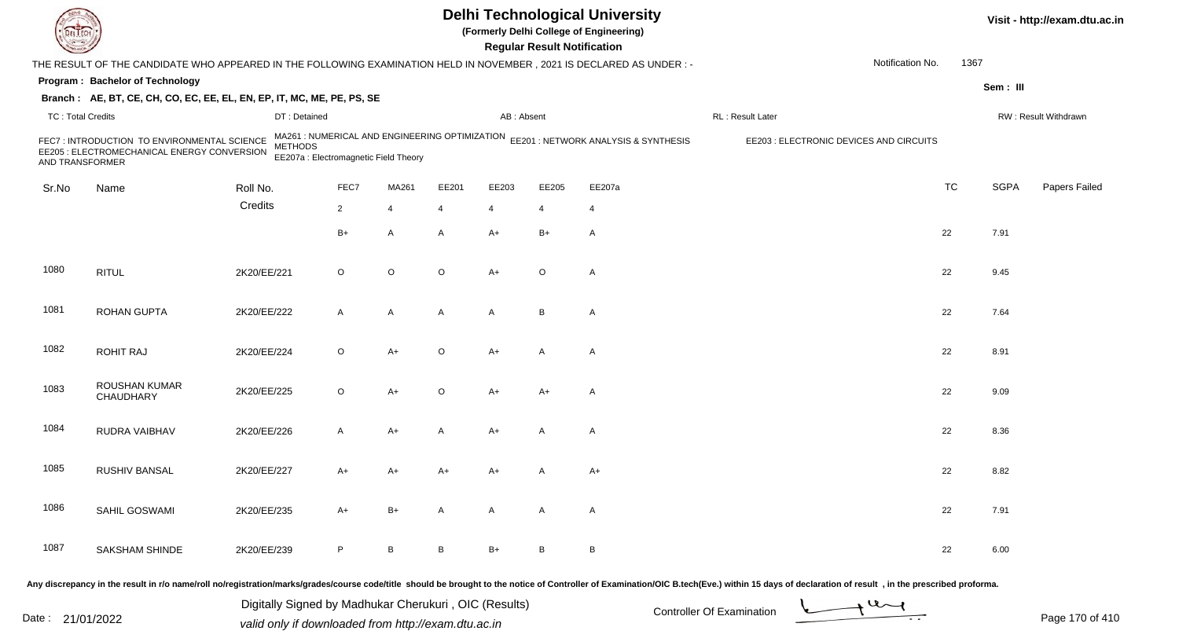| EL EC             |                                                                                                                                                                                                                                |             |                                                         |                |                |                |              | <b>Regular Result Notification</b> | <b>Delhi Technological University</b><br>(Formerly Delhi College of Engineering)    |                                         |                  |           |             | Visit - http://exam.dtu.ac.in |
|-------------------|--------------------------------------------------------------------------------------------------------------------------------------------------------------------------------------------------------------------------------|-------------|---------------------------------------------------------|----------------|----------------|----------------|--------------|------------------------------------|-------------------------------------------------------------------------------------|-----------------------------------------|------------------|-----------|-------------|-------------------------------|
|                   | THE RESULT OF THE CANDIDATE WHO APPEARED IN THE FOLLOWING EXAMINATION HELD IN NOVEMBER, 2021 IS DECLARED AS UNDER:-                                                                                                            |             |                                                         |                |                |                |              |                                    |                                                                                     |                                         | Notification No. | 1367      |             |                               |
|                   | Program: Bachelor of Technology                                                                                                                                                                                                |             |                                                         |                |                |                |              |                                    |                                                                                     |                                         |                  |           | Sem: III    |                               |
|                   | Branch: AE, BT, CE, CH, CO, EC, EE, EL, EN, EP, IT, MC, ME, PE, PS, SE                                                                                                                                                         |             |                                                         |                |                |                |              |                                    |                                                                                     |                                         |                  |           |             |                               |
| TC: Total Credits |                                                                                                                                                                                                                                |             | DT: Detained                                            |                |                |                | AB: Absent   |                                    |                                                                                     | RL: Result Later                        |                  |           |             | RW: Result Withdrawn          |
| AND TRANSFORMER   | FEC7 : INTRODUCTION TO ENVIRONMENTAL SCIENCE<br>EE205 : ELECTROMECHANICAL ENERGY CONVERSION                                                                                                                                    |             | <b>METHODS</b><br>EE207a : Electromagnetic Field Theory |                |                |                |              |                                    | MA261 : NUMERICAL AND ENGINEERING OPTIMIZATION EE201 : NETWORK ANALYSIS & SYNTHESIS | EE203 : ELECTRONIC DEVICES AND CIRCUITS |                  |           |             |                               |
| Sr.No             | Name                                                                                                                                                                                                                           | Roll No.    |                                                         | FEC7           | MA261          | EE201          | EE203        | EE205                              | EE207a                                                                              |                                         |                  | <b>TC</b> | <b>SGPA</b> | Papers Failed                 |
|                   |                                                                                                                                                                                                                                | Credits     |                                                         | $\overline{2}$ | $\overline{4}$ | $\overline{4}$ | 4            | 4                                  | $\overline{4}$                                                                      |                                         |                  |           |             |                               |
|                   |                                                                                                                                                                                                                                |             |                                                         | $B+$           | A              | $\overline{A}$ | A+           | $B+$                               | Α                                                                                   |                                         |                  | 22        | 7.91        |                               |
| 1080              | <b>RITUL</b>                                                                                                                                                                                                                   | 2K20/EE/221 |                                                         | $\circ$        | $\circ$        | $\circ$        | $A+$         | $\circ$                            | A                                                                                   |                                         |                  | 22        | 9.45        |                               |
| 1081              | <b>ROHAN GUPTA</b>                                                                                                                                                                                                             | 2K20/EE/222 |                                                         | A              | $\overline{A}$ | $\overline{A}$ | $\mathsf{A}$ | B                                  | A                                                                                   |                                         |                  | 22        | 7.64        |                               |
| 1082              | <b>ROHIT RAJ</b>                                                                                                                                                                                                               | 2K20/EE/224 |                                                         | $\circ$        | A+             | $\circ$        | A+           | A                                  | A                                                                                   |                                         |                  | 22        | 8.91        |                               |
| 1083              | ROUSHAN KUMAR<br>CHAUDHARY                                                                                                                                                                                                     | 2K20/EE/225 |                                                         | $\circ$        | A+             | $\circ$        | $A+$         | $A+$                               | Α                                                                                   |                                         |                  | 22        | 9.09        |                               |
| 1084              | RUDRA VAIBHAV                                                                                                                                                                                                                  | 2K20/EE/226 |                                                         | A              | A+             | $\overline{A}$ | $A+$         | A                                  | Α                                                                                   |                                         |                  | 22        | 8.36        |                               |
| 1085              | RUSHIV BANSAL                                                                                                                                                                                                                  | 2K20/EE/227 |                                                         | A+             | A+             | A+             | A+           |                                    | $A+$                                                                                |                                         |                  | 22        | 8.82        |                               |
| 1086              | SAHIL GOSWAMI                                                                                                                                                                                                                  | 2K20/EE/235 |                                                         | A+             | $B+$           | $\mathsf{A}$   | $\mathsf{A}$ | A                                  | A                                                                                   |                                         |                  | 22        | 7.91        |                               |
| 1087              | <b>SAKSHAM SHINDE</b>                                                                                                                                                                                                          | 2K20/EE/239 |                                                         | P              | B              | $\, {\sf B}$   | $B+$         | B                                  | $\, {\bf B}$                                                                        |                                         |                  | 22        | 6.00        |                               |
|                   | Any discrepancy in the result in r/o name/roll no/registration/marks/grades/course code/title should be brought to the notice of Controller of Examination/OIC B.tech(Eve.) within 15 days of declaration of result, in the pr |             |                                                         |                |                |                |              |                                    |                                                                                     |                                         |                  |           |             |                               |

Date : 21/01/2022 Digital Digital of Microsofted Chemical Controller Of Examination Determination Page 170 of 41 Digitally Signed by Madhukar Cherukuri , OIC (Results)

Page 170 of 410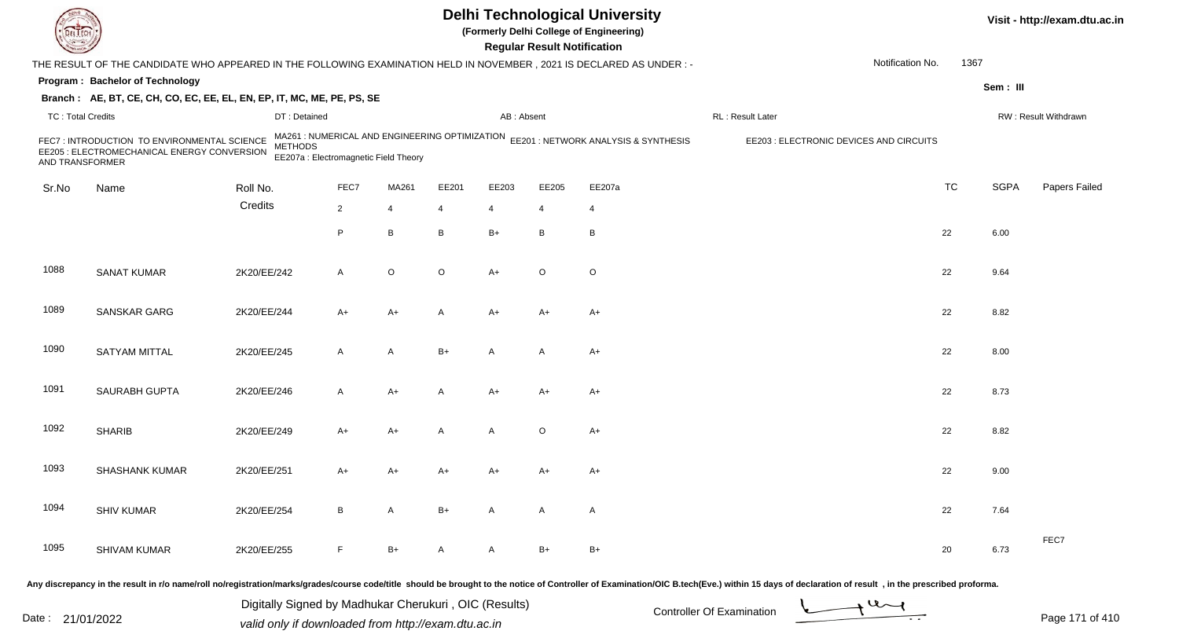|                          |                                                                                                                      |                |                                                                                         |              |         |                | <b>Regular Result Notification</b> | <b>Delhi Technological University</b><br>(Formerly Delhi College of Engineering) |                                         |                  |           |             | Visit - http://exam.dtu.ac.in |
|--------------------------|----------------------------------------------------------------------------------------------------------------------|----------------|-----------------------------------------------------------------------------------------|--------------|---------|----------------|------------------------------------|----------------------------------------------------------------------------------|-----------------------------------------|------------------|-----------|-------------|-------------------------------|
|                          | THE RESULT OF THE CANDIDATE WHO APPEARED IN THE FOLLOWING EXAMINATION HELD IN NOVEMBER, 2021 IS DECLARED AS UNDER :- |                |                                                                                         |              |         |                |                                    |                                                                                  |                                         | Notification No. | 1367      |             |                               |
|                          | Program: Bachelor of Technology                                                                                      |                |                                                                                         |              |         |                |                                    |                                                                                  |                                         |                  |           | Sem: III    |                               |
|                          | Branch: AE, BT, CE, CH, CO, EC, EE, EL, EN, EP, IT, MC, ME, PE, PS, SE                                               |                |                                                                                         |              |         |                |                                    |                                                                                  |                                         |                  |           |             |                               |
| <b>TC: Total Credits</b> |                                                                                                                      | DT: Detained   |                                                                                         |              |         | AB: Absent     |                                    |                                                                                  | RL: Result Later                        |                  |           |             | RW: Result Withdrawn          |
| AND TRANSFORMER          | FEC7 : INTRODUCTION TO ENVIRONMENTAL SCIENCE<br>EE205 : ELECTROMECHANICAL ENERGY CONVERSION                          | <b>METHODS</b> | MA261 : NUMERICAL AND ENGINEERING OPTIMIZATION<br>EE207a : Electromagnetic Field Theory |              |         |                |                                    | EE201 : NETWORK ANALYSIS & SYNTHESIS                                             | EE203 : ELECTRONIC DEVICES AND CIRCUITS |                  |           |             |                               |
| Sr.No                    | Name                                                                                                                 | Roll No.       | FEC7                                                                                    | MA261        | EE201   | EE203          | EE205                              | EE207a                                                                           |                                         |                  | <b>TC</b> | <b>SGPA</b> | Papers Failed                 |
|                          |                                                                                                                      | Credits        | $\overline{2}$                                                                          | 4            | 4       | $\overline{4}$ | 4                                  | $\overline{4}$                                                                   |                                         |                  |           |             |                               |
|                          |                                                                                                                      |                | P                                                                                       | B            | B       | $B+$           | B                                  | B                                                                                |                                         |                  | 22        | 6.00        |                               |
| 1088                     | <b>SANAT KUMAR</b>                                                                                                   | 2K20/EE/242    | A                                                                                       | O            | $\circ$ | $A+$           | $\circ$                            | $\circ$                                                                          |                                         |                  | 22        | 9.64        |                               |
| 1089                     | SANSKAR GARG                                                                                                         | 2K20/EE/244    | A+                                                                                      | A+           | A       | A+             | $A+$                               | A+                                                                               |                                         |                  | 22        | 8.82        |                               |
| 1090                     | SATYAM MITTAL                                                                                                        | 2K20/EE/245    | A                                                                                       | A            | $B+$    | A              | A                                  | $A+$                                                                             |                                         |                  | 22        | 8.00        |                               |
| 1091                     | SAURABH GUPTA                                                                                                        | 2K20/EE/246    | A                                                                                       | A+           | A       | $A+$           | $A+$                               | $A+$                                                                             |                                         |                  | 22        | 8.73        |                               |
| 1092                     | <b>SHARIB</b>                                                                                                        | 2K20/EE/249    | A+                                                                                      | A+           | A       | A              | $\circ$                            | $A+$                                                                             |                                         |                  | 22        | 8.82        |                               |
| 1093                     | <b>SHASHANK KUMAR</b>                                                                                                | 2K20/EE/251    | A+                                                                                      | A+           | A+      | A+             | A+                                 | $A+$                                                                             |                                         |                  | 22        | 9.00        |                               |
| 1094                     | <b>SHIV KUMAR</b>                                                                                                    | 2K20/EE/254    | B                                                                                       | $\mathsf{A}$ | B+      | $\mathsf{A}$   | A                                  | A                                                                                |                                         |                  | 22        | 7.64        |                               |
| 1095                     | SHIVAM KUMAR                                                                                                         | 2K20/EE/255    | F.                                                                                      | $B+$         | A       | $\mathsf{A}$   | B+                                 | $B+$                                                                             |                                         |                  | 20        | 6.73        | FEC7                          |
|                          |                                                                                                                      |                |                                                                                         |              |         |                |                                    |                                                                                  |                                         |                  |           |             |                               |

Digitally Signed by Madhukar Cherukuri, OIC (Results)<br>Date : 21/01/2022 valid only if downloaded from http://exam.dtu.ac.in Digitally Signed by Madhukar Cherukuri , OIC (Results)valid only if downloaded from http://exam.dtu.ac.in



Page 171 of 410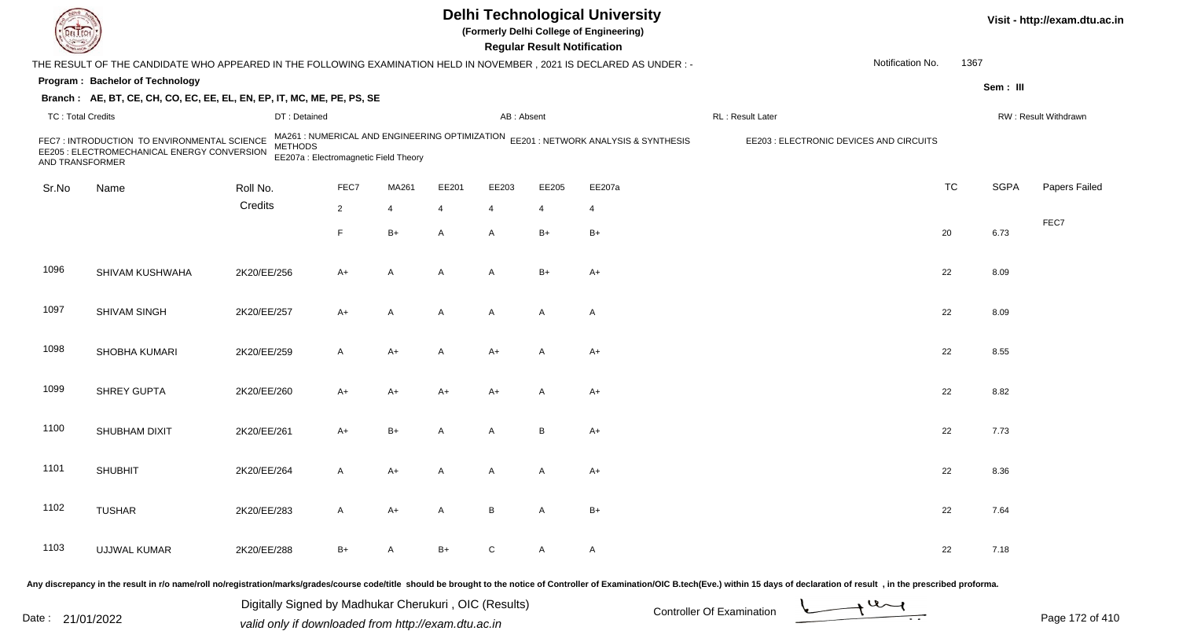|                          |                                                                                                                      |                |                                                                                         |       |       |                 | <b>Regular Result Notification</b> | <b>Delhi Technological University</b><br>(Formerly Delhi College of Engineering) |                                         |                  |           |             | Visit - http://exam.dtu.ac.in |
|--------------------------|----------------------------------------------------------------------------------------------------------------------|----------------|-----------------------------------------------------------------------------------------|-------|-------|-----------------|------------------------------------|----------------------------------------------------------------------------------|-----------------------------------------|------------------|-----------|-------------|-------------------------------|
|                          | THE RESULT OF THE CANDIDATE WHO APPEARED IN THE FOLLOWING EXAMINATION HELD IN NOVEMBER, 2021 IS DECLARED AS UNDER :- |                |                                                                                         |       |       |                 |                                    |                                                                                  |                                         | Notification No. | 1367      |             |                               |
|                          | Program: Bachelor of Technology                                                                                      |                |                                                                                         |       |       |                 |                                    |                                                                                  |                                         |                  |           | Sem: III    |                               |
|                          | Branch: AE, BT, CE, CH, CO, EC, EE, EL, EN, EP, IT, MC, ME, PE, PS, SE                                               |                |                                                                                         |       |       |                 |                                    |                                                                                  |                                         |                  |           |             |                               |
| <b>TC: Total Credits</b> |                                                                                                                      | DT: Detained   |                                                                                         |       |       | AB: Absent      |                                    |                                                                                  | RL: Result Later                        |                  |           |             | RW: Result Withdrawn          |
| AND TRANSFORMER          | FEC7 : INTRODUCTION TO ENVIRONMENTAL SCIENCE<br>EE205 : ELECTROMECHANICAL ENERGY CONVERSION                          | <b>METHODS</b> | MA261 : NUMERICAL AND ENGINEERING OPTIMIZATION<br>EE207a : Electromagnetic Field Theory |       |       |                 |                                    | EE201 : NETWORK ANALYSIS & SYNTHESIS                                             | EE203 : ELECTRONIC DEVICES AND CIRCUITS |                  |           |             |                               |
| Sr.No                    | Name                                                                                                                 | Roll No.       | FEC7                                                                                    | MA261 | EE201 | EE203           | EE205                              | EE207a                                                                           |                                         |                  | <b>TC</b> | <b>SGPA</b> | Papers Failed                 |
|                          |                                                                                                                      | Credits        | $\overline{2}$                                                                          | 4     | 4     | $\overline{4}$  | 4                                  | 4                                                                                |                                         |                  |           |             |                               |
|                          |                                                                                                                      |                | F.                                                                                      | B+    | A     | $\mathsf{A}$    | $B+$                               | $B+$                                                                             |                                         |                  | 20        | 6.73        | FEC7                          |
| 1096                     | SHIVAM KUSHWAHA                                                                                                      | 2K20/EE/256    | A+                                                                                      | Α     | Α     | $\overline{A}$  | $B+$                               | $A+$                                                                             |                                         |                  | 22        | 8.09        |                               |
| 1097                     | SHIVAM SINGH                                                                                                         | 2K20/EE/257    | A+                                                                                      | A     | A     | $\mathsf{A}$    | A                                  | $\mathsf{A}$                                                                     |                                         |                  | 22        | 8.09        |                               |
| 1098                     | SHOBHA KUMARI                                                                                                        | 2K20/EE/259    | A                                                                                       | A+    | A     | $A+$            | A                                  | $A+$                                                                             |                                         |                  | 22        | 8.55        |                               |
| 1099                     | <b>SHREY GUPTA</b>                                                                                                   | 2K20/EE/260    | A+                                                                                      | A+    | A+    | A+              | A                                  | $A+$                                                                             |                                         |                  | 22        | 8.82        |                               |
| 1100                     | SHUBHAM DIXIT                                                                                                        | 2K20/EE/261    | $A+$                                                                                    | $B+$  | A     | A               | B                                  | $A+$                                                                             |                                         |                  | 22        | 7.73        |                               |
| 1101                     | <b>SHUBHIT</b>                                                                                                       | 2K20/EE/264    | A                                                                                       | A+    |       | A               | A                                  | $A+$                                                                             |                                         |                  | 22        | 8.36        |                               |
| 1102                     | <b>TUSHAR</b>                                                                                                        | 2K20/EE/283    | A                                                                                       | $A+$  | A     | $\, {\bf B} \,$ | $\mathsf{A}$                       | $B+$                                                                             |                                         |                  | 22        | 7.64        |                               |
| 1103                     | <b>UJJWAL KUMAR</b>                                                                                                  | 2K20/EE/288    | $B+$                                                                                    | A     | B+    | ${\rm C}$       | $\mathsf{A}$                       | $\mathsf{A}$                                                                     |                                         |                  | 22        | 7.18        |                               |
|                          |                                                                                                                      |                |                                                                                         |       |       |                 |                                    |                                                                                  |                                         |                  |           |             |                               |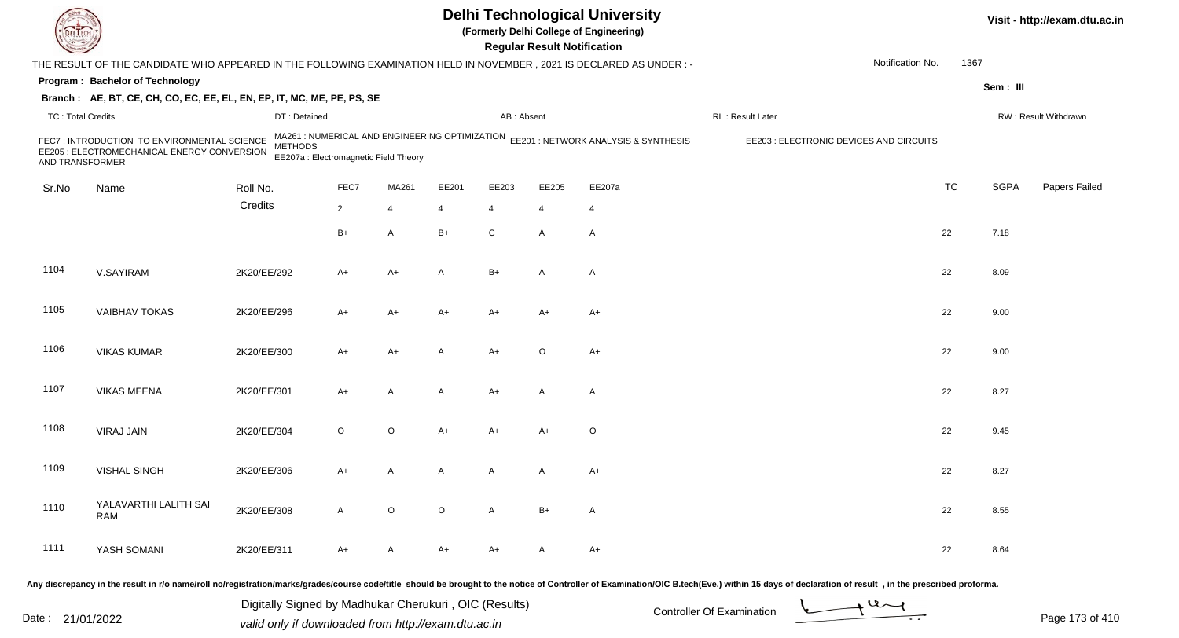|                          |                                                                                                                     |                |                                                                                         |             |         |                | <b>Regular Result Notification</b> | <b>Delhi Technological University</b><br>(Formerly Delhi College of Engineering) |                                         |                  |           |             | Visit - http://exam.dtu.ac.in |
|--------------------------|---------------------------------------------------------------------------------------------------------------------|----------------|-----------------------------------------------------------------------------------------|-------------|---------|----------------|------------------------------------|----------------------------------------------------------------------------------|-----------------------------------------|------------------|-----------|-------------|-------------------------------|
|                          | THE RESULT OF THE CANDIDATE WHO APPEARED IN THE FOLLOWING EXAMINATION HELD IN NOVEMBER, 2021 IS DECLARED AS UNDER:- |                |                                                                                         |             |         |                |                                    |                                                                                  |                                         | Notification No. | 1367      |             |                               |
|                          | Program: Bachelor of Technology                                                                                     |                |                                                                                         |             |         |                |                                    |                                                                                  |                                         |                  |           | Sem: III    |                               |
|                          | Branch: AE, BT, CE, CH, CO, EC, EE, EL, EN, EP, IT, MC, ME, PE, PS, SE                                              |                |                                                                                         |             |         |                |                                    |                                                                                  |                                         |                  |           |             |                               |
| <b>TC: Total Credits</b> |                                                                                                                     | DT: Detained   |                                                                                         |             |         | AB: Absent     |                                    |                                                                                  | RL: Result Later                        |                  |           |             | RW: Result Withdrawn          |
| AND TRANSFORMER          | FEC7 : INTRODUCTION TO ENVIRONMENTAL SCIENCE<br>EE205 : ELECTROMECHANICAL ENERGY CONVERSION                         | <b>METHODS</b> | MA261 : NUMERICAL AND ENGINEERING OPTIMIZATION<br>EE207a : Electromagnetic Field Theory |             |         |                |                                    | EE201 : NETWORK ANALYSIS & SYNTHESIS                                             | EE203 : ELECTRONIC DEVICES AND CIRCUITS |                  |           |             |                               |
| Sr.No                    | Name                                                                                                                | Roll No.       | FEC7                                                                                    | MA261       | EE201   | EE203          | EE205                              | EE207a                                                                           |                                         |                  | <b>TC</b> | <b>SGPA</b> | Papers Failed                 |
|                          |                                                                                                                     | Credits        | $\overline{2}$                                                                          | 4           | 4       | $\overline{4}$ | $\overline{4}$                     | 4                                                                                |                                         |                  |           |             |                               |
|                          |                                                                                                                     |                | $B+$                                                                                    | A           | B+      | ${\bf C}$      | A                                  | $\mathsf{A}$                                                                     |                                         |                  | 22        | 7.18        |                               |
| 1104                     | V.SAYIRAM                                                                                                           | 2K20/EE/292    | A+                                                                                      | A+          | Α       | $B+$           | A                                  | $\mathsf{A}$                                                                     |                                         |                  | 22        | 8.09        |                               |
| 1105                     | <b>VAIBHAV TOKAS</b>                                                                                                | 2K20/EE/296    | A+                                                                                      | A+          | A+      | $A+$           | $A+$                               | A+                                                                               |                                         |                  | 22        | 9.00        |                               |
| 1106                     | <b>VIKAS KUMAR</b>                                                                                                  | 2K20/EE/300    | A+                                                                                      | A+          | A       | $A+$           | $\circ$                            | $A+$                                                                             |                                         |                  | 22        | 9.00        |                               |
| 1107                     | <b>VIKAS MEENA</b>                                                                                                  | 2K20/EE/301    | A+                                                                                      | Α           | A       | $A+$           | A                                  | A                                                                                |                                         |                  | 22        | 8.27        |                               |
| 1108                     | <b>VIRAJ JAIN</b>                                                                                                   | 2K20/EE/304    | $\circ$                                                                                 | O           | A+      | $A+$           | $A+$                               | O                                                                                |                                         |                  | 22        | 9.45        |                               |
| 1109                     | <b>VISHAL SINGH</b>                                                                                                 | 2K20/EE/306    | A+                                                                                      | Α           | A       | A              | A                                  | $A+$                                                                             |                                         |                  | 22        | 8.27        |                               |
| 1110                     | YALAVARTHI LALITH SAI<br>RAM                                                                                        | 2K20/EE/308    | $\mathsf{A}$                                                                            | $\mathsf O$ | $\circ$ | $\mathsf{A}$   | $B+$                               | $\mathsf{A}$                                                                     |                                         |                  | 22        | 8.55        |                               |
| 1111                     | YASH SOMANI                                                                                                         | 2K20/EE/311    | $A+$                                                                                    | A           | A+      | $A+$           | A                                  | $A+$                                                                             |                                         |                  | 22        | 8.64        |                               |

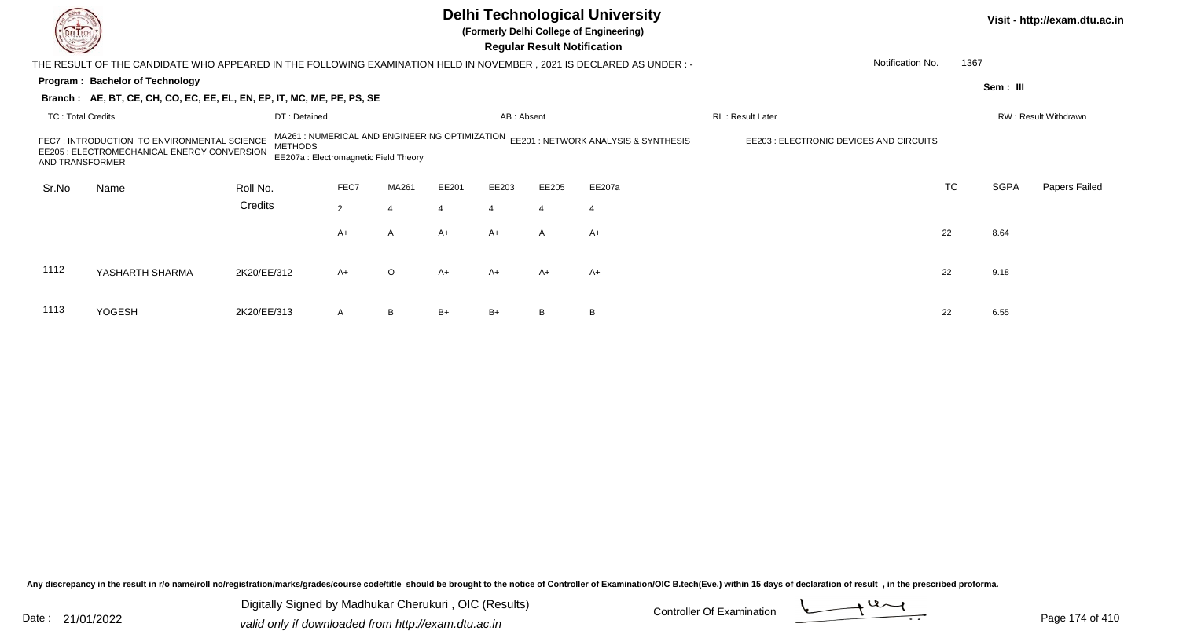|                          |                                                                                                                       |                |                                                                                         |                |       |                | <b>Regular Result Notification</b> | <b>Delhi Technological University</b><br>(Formerly Delhi College of Engineering) |                                         |           |             | Visit - http://exam.dtu.ac.in |
|--------------------------|-----------------------------------------------------------------------------------------------------------------------|----------------|-----------------------------------------------------------------------------------------|----------------|-------|----------------|------------------------------------|----------------------------------------------------------------------------------|-----------------------------------------|-----------|-------------|-------------------------------|
|                          | THE RESULT OF THE CANDIDATE WHO APPEARED IN THE FOLLOWING EXAMINATION HELD IN NOVEMBER , 2021 IS DECLARED AS UNDER :- |                |                                                                                         |                |       |                |                                    |                                                                                  | Notification No.                        | 1367      |             |                               |
|                          | Program: Bachelor of Technology                                                                                       |                |                                                                                         |                |       |                |                                    |                                                                                  |                                         |           | Sem: III    |                               |
|                          | Branch: AE, BT, CE, CH, CO, EC, EE, EL, EN, EP, IT, MC, ME, PE, PS, SE                                                |                |                                                                                         |                |       |                |                                    |                                                                                  |                                         |           |             |                               |
| <b>TC: Total Credits</b> |                                                                                                                       | DT: Detained   |                                                                                         |                |       | AB: Absent     |                                    |                                                                                  | RL: Result Later                        |           |             | RW: Result Withdrawn          |
| AND TRANSFORMER          | FEC7: INTRODUCTION TO ENVIRONMENTAL SCIENCE<br>EE205 : ELECTROMECHANICAL ENERGY CONVERSION                            | <b>METHODS</b> | MA261 : NUMERICAL AND ENGINEERING OPTIMIZATION<br>EE207a : Electromagnetic Field Theory |                |       |                |                                    | EE201 : NETWORK ANALYSIS & SYNTHESIS                                             | EE203 : ELECTRONIC DEVICES AND CIRCUITS |           |             |                               |
| Sr.No                    | Name                                                                                                                  | Roll No.       | FEC7                                                                                    | MA261          | EE201 | EE203          | EE205                              | EE207a                                                                           |                                         | <b>TC</b> | <b>SGPA</b> | Papers Failed                 |
|                          |                                                                                                                       | Credits        | $2^{\circ}$                                                                             | $\overline{4}$ |       | $\overline{4}$ |                                    | $\overline{4}$                                                                   |                                         |           |             |                               |
|                          |                                                                                                                       |                | A+                                                                                      | A              | A+    | $A+$           | A                                  | $A+$                                                                             |                                         | 22        | 8.64        |                               |
| 1112                     | YASHARTH SHARMA                                                                                                       | 2K20/EE/312    | $A+$                                                                                    | $\circ$        | A+    | A+             | $A+$                               | $A+$                                                                             |                                         | 22        | 9.18        |                               |
| 1113                     | <b>YOGESH</b>                                                                                                         | 2K20/EE/313    | A                                                                                       | B              | $B+$  | $B+$           |                                    | B                                                                                |                                         | 22        | 6.55        |                               |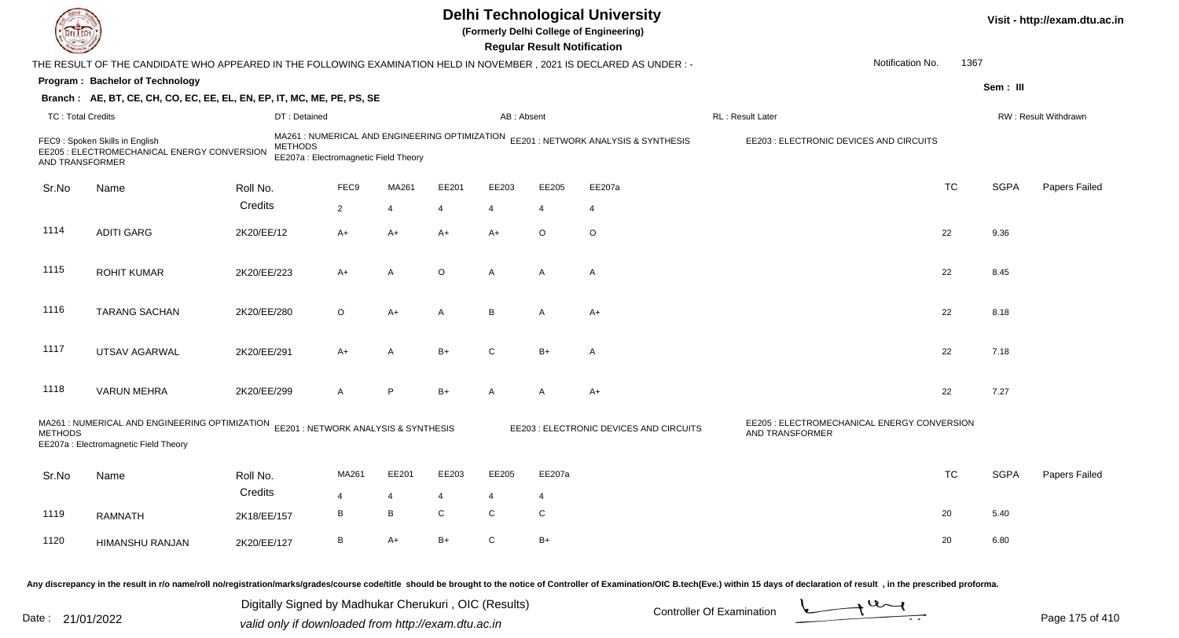| DEL ECH                  |                                                                                                                              |             |                                                         |                |                |         |                                                       | <b>Regular Result Notification</b> | <b>Delhi Technological University</b><br>(Formerly Delhi College of Engineering)    |                                                                                                                                                                                                                                                                                              |           |             | Visit - http://exam.dtu.ac.in |
|--------------------------|------------------------------------------------------------------------------------------------------------------------------|-------------|---------------------------------------------------------|----------------|----------------|---------|-------------------------------------------------------|------------------------------------|-------------------------------------------------------------------------------------|----------------------------------------------------------------------------------------------------------------------------------------------------------------------------------------------------------------------------------------------------------------------------------------------|-----------|-------------|-------------------------------|
|                          | THE RESULT OF THE CANDIDATE WHO APPEARED IN THE FOLLOWING EXAMINATION HELD IN NOVEMBER, 2021 IS DECLARED AS UNDER:-          |             |                                                         |                |                |         |                                                       |                                    |                                                                                     | Notification No.                                                                                                                                                                                                                                                                             | 1367      |             |                               |
|                          | Program: Bachelor of Technology                                                                                              |             |                                                         |                |                |         |                                                       |                                    |                                                                                     |                                                                                                                                                                                                                                                                                              |           | Sem : III   |                               |
|                          | Branch: AE, BT, CE, CH, CO, EC, EE, EL, EN, EP, IT, MC, ME, PE, PS, SE                                                       |             |                                                         |                |                |         |                                                       |                                    |                                                                                     |                                                                                                                                                                                                                                                                                              |           |             |                               |
| <b>TC: Total Credits</b> |                                                                                                                              |             | DT: Detained                                            |                |                |         | AB: Absent                                            |                                    |                                                                                     | RL : Result Later                                                                                                                                                                                                                                                                            |           |             | RW: Result Withdrawn          |
| AND TRANSFORMER          | FEC9: Spoken Skills in English<br>EE205 : ELECTROMECHANICAL ENERGY CONVERSION                                                |             | <b>METHODS</b><br>EE207a : Electromagnetic Field Theory |                |                |         |                                                       |                                    | MA261 : NUMERICAL AND ENGINEERING OPTIMIZATION EE201 : NETWORK ANALYSIS & SYNTHESIS | EE203 : ELECTRONIC DEVICES AND CIRCUITS                                                                                                                                                                                                                                                      |           |             |                               |
| Sr.No                    | Name                                                                                                                         | Roll No.    |                                                         | FEC9           | MA261          | EE201   | EE203                                                 | EE205                              | EE207a                                                                              |                                                                                                                                                                                                                                                                                              | <b>TC</b> | <b>SGPA</b> | Papers Failed                 |
|                          |                                                                                                                              | Credits     |                                                         | $\overline{2}$ | $\overline{4}$ | 4       | 4                                                     | 4                                  | $\overline{4}$                                                                      |                                                                                                                                                                                                                                                                                              |           |             |                               |
| 1114                     | <b>ADITI GARG</b>                                                                                                            | 2K20/EE/12  |                                                         | A+             | A+             | $A+$    | $A+$                                                  | $\circ$                            | O                                                                                   |                                                                                                                                                                                                                                                                                              | 22        | 9.36        |                               |
| 1115                     | <b>ROHIT KUMAR</b>                                                                                                           | 2K20/EE/223 |                                                         | A+             | A              | $\circ$ | A                                                     | A                                  | A                                                                                   |                                                                                                                                                                                                                                                                                              | 22        | 8.45        |                               |
| 1116                     | <b>TARANG SACHAN</b>                                                                                                         | 2K20/EE/280 |                                                         | $\circ$        | A+             | A       | B                                                     | A                                  | $A+$                                                                                |                                                                                                                                                                                                                                                                                              | 22        | 8.18        |                               |
| 1117                     | UTSAV AGARWAL                                                                                                                | 2K20/EE/291 |                                                         | A+             | A              | $B+$    | C                                                     | $B+$                               | A                                                                                   |                                                                                                                                                                                                                                                                                              | 22        | 7.18        |                               |
| 1118                     | <b>VARUN MEHRA</b>                                                                                                           | 2K20/EE/299 |                                                         | A              | P.             | $B+$    | A                                                     | A                                  | $A+$                                                                                |                                                                                                                                                                                                                                                                                              | 22        | 7.27        |                               |
| <b>METHODS</b>           | MA261 : NUMERICAL AND ENGINEERING OPTIMIZATION EE201 : NETWORK ANALYSIS & SYNTHESIS<br>EE207a : Electromagnetic Field Theory |             |                                                         |                |                |         |                                                       |                                    | EE203 : ELECTRONIC DEVICES AND CIRCUITS                                             | EE205 : ELECTROMECHANICAL ENERGY CONVERSION<br>AND TRANSFORMER                                                                                                                                                                                                                               |           |             |                               |
| Sr.No                    | Name                                                                                                                         | Roll No.    |                                                         | MA261          | EE201          | EE203   | EE205                                                 | EE207a                             |                                                                                     |                                                                                                                                                                                                                                                                                              | TC        | <b>SGPA</b> | Papers Failed                 |
|                          |                                                                                                                              | Credits     |                                                         |                |                |         |                                                       | 4                                  |                                                                                     |                                                                                                                                                                                                                                                                                              |           |             |                               |
| 1119                     | <b>RAMNATH</b>                                                                                                               | 2K18/EE/157 |                                                         | В              | В              | C       | $\mathbf C$                                           | ${\bf C}$                          |                                                                                     |                                                                                                                                                                                                                                                                                              | 20        | 5.40        |                               |
| 1120                     | HIMANSHU RANJAN                                                                                                              | 2K20/EE/127 |                                                         | В              | A+             | $B+$    | ${\rm C}$                                             | $B+$                               |                                                                                     |                                                                                                                                                                                                                                                                                              | 20        | 6.80        |                               |
|                          |                                                                                                                              |             |                                                         |                |                |         | Digitally Signed by Madhukar Cherukuri, OIC (Results) |                                    |                                                                                     | Any discrepancy in the result in r/o name/roll no/registration/marks/grades/course code/title should be brought to the notice of Controller of Examination/OIC B.tech(Eve.) within 15 days of declaration of result, in the pr<br>$\rightarrow$ U $\rightarrow$<br>Controller Of Examination |           |             |                               |

Date : 21/01/2022 Digital Digital of Microsofted Chemical Controller Of Examination Determination Page 175 of 41

Page 175 of 410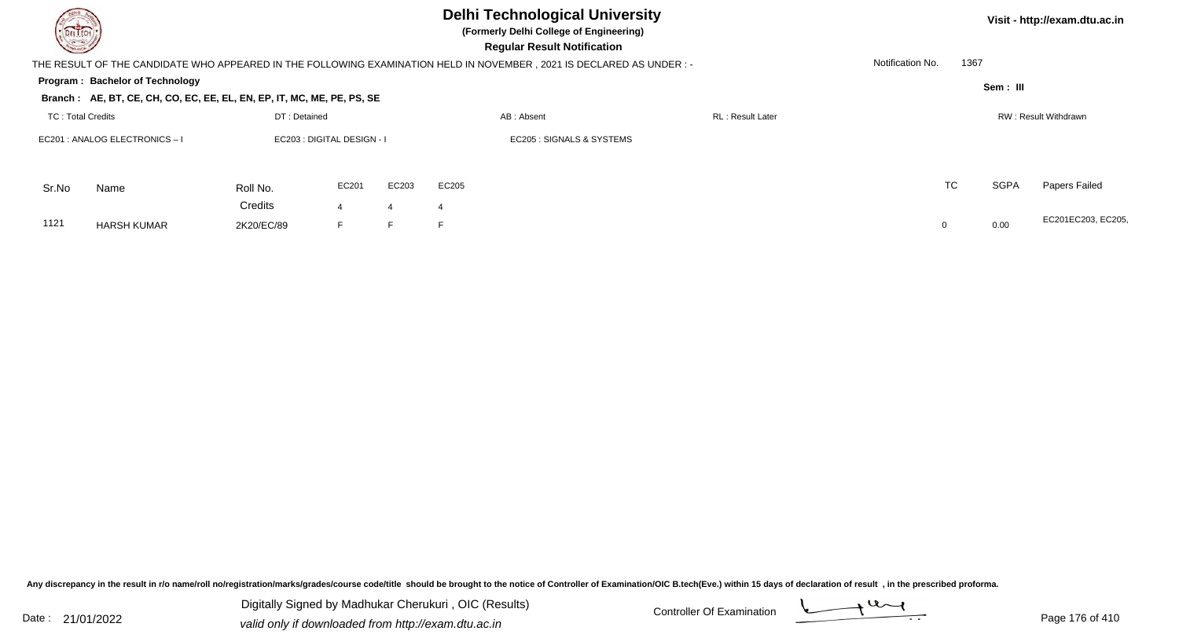| DELTECH                  |                                                                        |                            |                      |       | <b>Delhi Technological University</b><br>(Formerly Delhi College of Engineering)<br><b>Regular Result Notification</b> |                  |                  |             | Visit - http://exam.dtu.ac.in |
|--------------------------|------------------------------------------------------------------------|----------------------------|----------------------|-------|------------------------------------------------------------------------------------------------------------------------|------------------|------------------|-------------|-------------------------------|
|                          |                                                                        |                            |                      |       | THE RESULT OF THE CANDIDATE WHO APPEARED IN THE FOLLOWING EXAMINATION HELD IN NOVEMBER, 2021 IS DECLARED AS UNDER :-   |                  | Notification No. | 1367        |                               |
|                          | Program: Bachelor of Technology                                        |                            |                      |       |                                                                                                                        |                  |                  | Sem : III   |                               |
|                          | Branch: AE, BT, CE, CH, CO, EC, EE, EL, EN, EP, IT, MC, ME, PE, PS, SE |                            |                      |       |                                                                                                                        |                  |                  |             |                               |
| <b>TC: Total Credits</b> |                                                                        | DT: Detained               |                      |       | AB: Absent                                                                                                             | RL: Result Later |                  |             | RW: Result Withdrawn          |
|                          | EC201 : ANALOG ELECTRONICS-I                                           | EC203 : DIGITAL DESIGN - I |                      |       | EC205 : SIGNALS & SYSTEMS                                                                                              |                  |                  |             |                               |
| Sr.No                    | Name                                                                   | Roll No.                   | EC201                | EC203 | EC205                                                                                                                  |                  | <b>TC</b>        | <b>SGPA</b> | Papers Failed                 |
| 1121                     | <b>HARSH KUMAR</b>                                                     | Credits<br>2K20/EC/89      | $\overline{4}$<br>F. | 4     | E                                                                                                                      |                  |                  | 0.00        | EC201EC203, EC205,            |

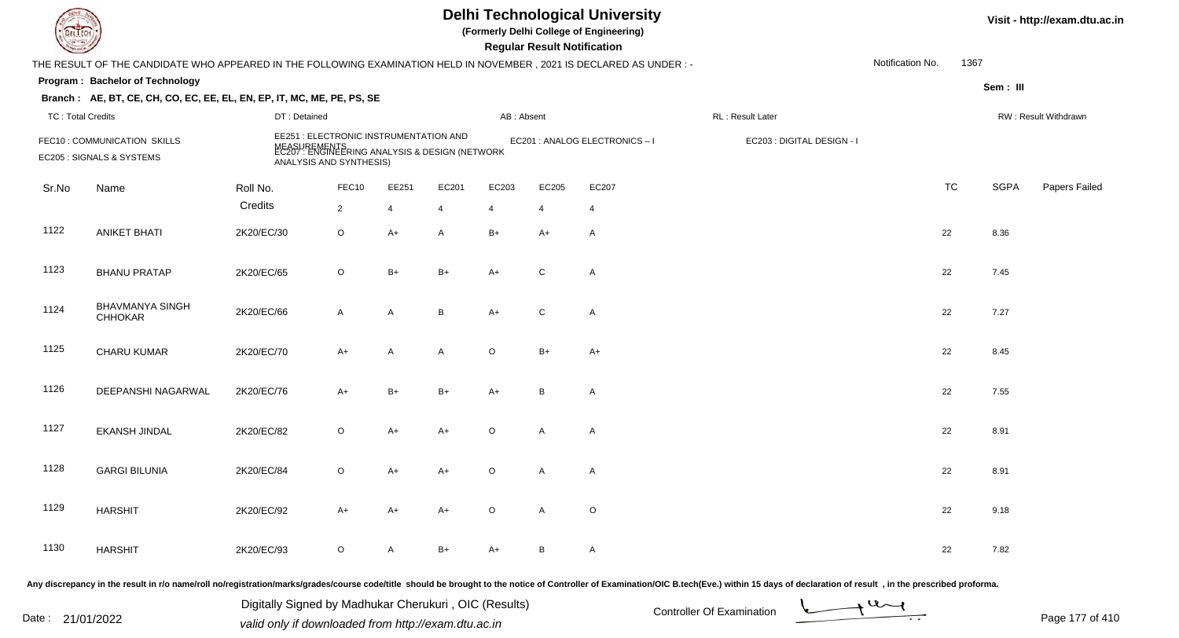|                          |                                                                                                                      |                                                                                                                                     |                |                |       |            | <b>Regular Result Notification</b> | <b>Delhi Technological University</b><br>(Formerly Delhi College of Engineering) |                            |                  |      |             | Visit - http://exam.dtu.ac.in |
|--------------------------|----------------------------------------------------------------------------------------------------------------------|-------------------------------------------------------------------------------------------------------------------------------------|----------------|----------------|-------|------------|------------------------------------|----------------------------------------------------------------------------------|----------------------------|------------------|------|-------------|-------------------------------|
|                          | THE RESULT OF THE CANDIDATE WHO APPEARED IN THE FOLLOWING EXAMINATION HELD IN NOVEMBER, 2021 IS DECLARED AS UNDER :- |                                                                                                                                     |                |                |       |            |                                    |                                                                                  |                            | Notification No. | 1367 |             |                               |
|                          | Program: Bachelor of Technology                                                                                      |                                                                                                                                     |                |                |       |            |                                    |                                                                                  |                            |                  |      | Sem: III    |                               |
|                          | Branch: AE, BT, CE, CH, CO, EC, EE, EL, EN, EP, IT, MC, ME, PE, PS, SE                                               |                                                                                                                                     |                |                |       |            |                                    |                                                                                  |                            |                  |      |             |                               |
| <b>TC: Total Credits</b> |                                                                                                                      | DT: Detained                                                                                                                        |                |                |       | AB: Absent |                                    |                                                                                  | RL: Result Later           |                  |      |             | RW: Result Withdrawn          |
|                          | FEC10: COMMUNICATION SKILLS<br>EC205 : SIGNALS & SYSTEMS                                                             | EE251 : ELECTRONIC INSTRUMENTATION AND<br>MEASUREMENTS<br>EC207 : ENGINEERING ANALYSIS & DESIGN (NETWORK<br>ANALYSIS AND SYNTHESIS) |                |                |       |            |                                    | EC201 : ANALOG ELECTRONICS-I                                                     | EC203 : DIGITAL DESIGN - I |                  |      |             |                               |
| Sr.No                    | Name                                                                                                                 | Roll No.                                                                                                                            | FEC10          | EE251          | EC201 | EC203      | EC205                              | EC207                                                                            |                            | <b>TC</b>        |      | <b>SGPA</b> | Papers Failed                 |
|                          |                                                                                                                      | Credits                                                                                                                             | $\overline{2}$ | $\overline{4}$ | 4     | 4          | 4                                  | $\overline{4}$                                                                   |                            |                  |      |             |                               |
| 1122                     | <b>ANIKET BHATI</b>                                                                                                  | 2K20/EC/30                                                                                                                          | $\mathsf O$    | $A+$           | A     | $B+$       | A+                                 | $\mathsf{A}$                                                                     |                            | 22               |      | 8.36        |                               |
| 1123                     | <b>BHANU PRATAP</b>                                                                                                  | 2K20/EC/65                                                                                                                          | $\circ$        | $B+$           | $B+$  | $A+$       | $\mathsf{C}$                       | $\mathsf{A}$                                                                     |                            | 22               |      | 7.45        |                               |
| 1124                     | <b>BHAVMANYA SINGH</b><br><b>CHHOKAR</b>                                                                             | 2K20/EC/66                                                                                                                          | $\mathsf{A}$   | A              | B     | $A+$       | $\mathsf{C}$                       | $\mathsf{A}$                                                                     |                            | 22               |      | 7.27        |                               |
| 1125                     | CHARU KUMAR                                                                                                          | 2K20/EC/70                                                                                                                          | $A+$           | A              | A     | $\circ$    | $B+$                               | $A+$                                                                             |                            | 22               |      | 8.45        |                               |
| 1126                     | DEEPANSHI NAGARWAL                                                                                                   | 2K20/EC/76                                                                                                                          | $A+$           | $B+$           | $B+$  | $A+$       | B                                  | A                                                                                |                            | 22               |      | 7.55        |                               |
| 1127                     | <b>EKANSH JINDAL</b>                                                                                                 | 2K20/EC/82                                                                                                                          | $\circ$        | $A+$           | A+    | $\circ$    | A                                  | Α                                                                                |                            | 22               |      | 8.91        |                               |
| 1128                     | <b>GARGI BILUNIA</b>                                                                                                 | 2K20/EC/84                                                                                                                          | O              | $A+$           | A+    | $\Omega$   | A                                  | A                                                                                |                            | 22               |      | 8.91        |                               |
| 1129                     | <b>HARSHIT</b>                                                                                                       | 2K20/EC/92                                                                                                                          | A+             | $A+$           | A+    | $\circ$    | $\mathsf{A}$                       | $\circ$                                                                          |                            | 22               |      | 9.18        |                               |
| 1130                     | <b>HARSHIT</b>                                                                                                       | 2K20/EC/93                                                                                                                          | $\mathsf O$    | $\mathsf{A}$   | $B+$  | A+         | B                                  | $\mathsf{A}$                                                                     |                            | 22               |      | 7.82        |                               |
|                          |                                                                                                                      |                                                                                                                                     |                |                |       |            |                                    |                                                                                  |                            |                  |      |             |                               |

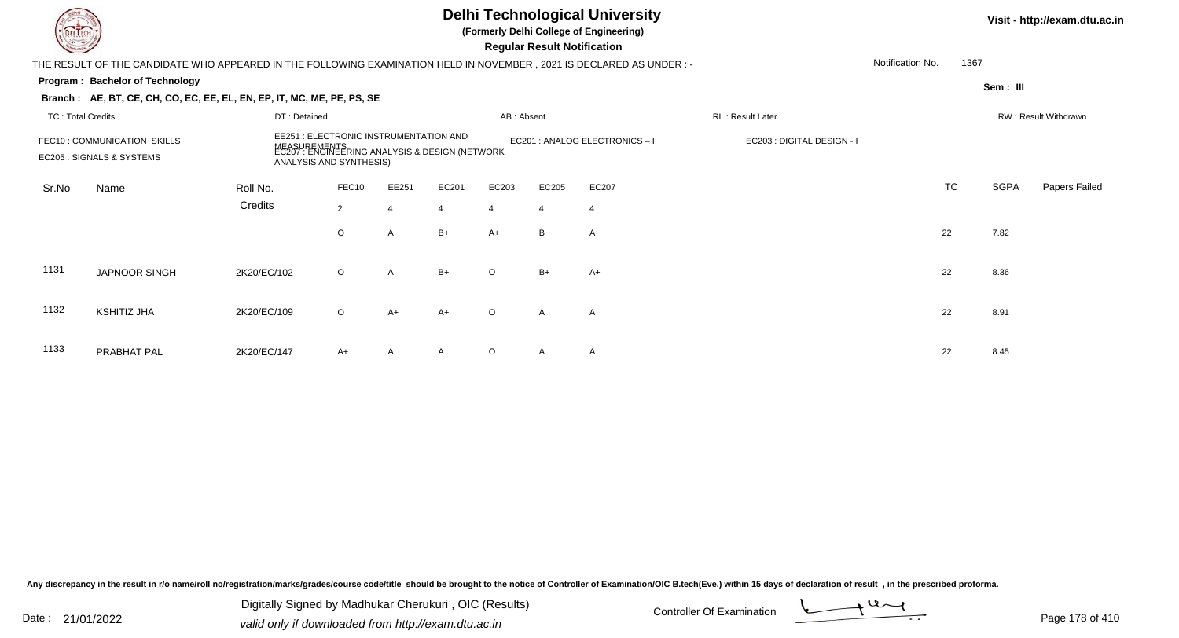|                          |                                                                                                                        |              |                                                                                                                           |                |       |                | <b>Regular Result Notification</b> | <b>Delhi Technological University</b><br>(Formerly Delhi College of Engineering) |                            |                  |           |             | Visit - http://exam.dtu.ac.in |
|--------------------------|------------------------------------------------------------------------------------------------------------------------|--------------|---------------------------------------------------------------------------------------------------------------------------|----------------|-------|----------------|------------------------------------|----------------------------------------------------------------------------------|----------------------------|------------------|-----------|-------------|-------------------------------|
|                          | THE RESULT OF THE CANDIDATE WHO APPEARED IN THE FOLLOWING EXAMINATION HELD IN NOVEMBER , 2021 IS DECLARED AS UNDER : - |              |                                                                                                                           |                |       |                |                                    |                                                                                  |                            | Notification No. | 1367      |             |                               |
|                          | Program: Bachelor of Technology                                                                                        |              |                                                                                                                           |                |       |                |                                    |                                                                                  |                            |                  |           | Sem: III    |                               |
|                          | Branch: AE, BT, CE, CH, CO, EC, EE, EL, EN, EP, IT, MC, ME, PE, PS, SE                                                 |              |                                                                                                                           |                |       |                |                                    |                                                                                  |                            |                  |           |             |                               |
| <b>TC: Total Credits</b> |                                                                                                                        | DT: Detained |                                                                                                                           |                |       | AB: Absent     |                                    |                                                                                  | RL: Result Later           |                  |           |             | RW: Result Withdrawn          |
|                          | FEC10: COMMUNICATION SKILLS<br>EC205 : SIGNALS & SYSTEMS                                                               | NEASY        | EE251 : ELECTRONIC INSTRUMENTATION AND<br>JREMENTS<br>: ENGINEERING ANALYSIS & DESIGN (NETWORK<br>ANALYSIS AND SYNTHESIS) |                |       |                |                                    | EC201 : ANALOG ELECTRONICS - I                                                   | EC203 : DIGITAL DESIGN - I |                  |           |             |                               |
| Sr.No                    | Name                                                                                                                   | Roll No.     | FEC10                                                                                                                     | EE251          | EC201 | EC203          | EC205                              | EC207                                                                            |                            |                  | <b>TC</b> | <b>SGPA</b> | Papers Failed                 |
|                          |                                                                                                                        | Credits      | $\overline{2}$                                                                                                            | $\overline{4}$ | 4     | $\overline{4}$ | $\overline{4}$                     | $\overline{4}$                                                                   |                            |                  |           |             |                               |
|                          |                                                                                                                        |              | O                                                                                                                         | A              | $B+$  | $A+$           | B                                  | $\mathsf{A}$                                                                     |                            |                  | 22        | 7.82        |                               |
| 1131                     | JAPNOOR SINGH                                                                                                          | 2K20/EC/102  | $\circ$                                                                                                                   | A              | $B+$  | $\Omega$       | $B+$                               | $A+$                                                                             |                            |                  | 22        | 8.36        |                               |
| 1132                     | <b>KSHITIZ JHA</b>                                                                                                     | 2K20/EC/109  | $\circ$                                                                                                                   | $A+$           | A+    | $\Omega$       | $\overline{A}$                     | A                                                                                |                            |                  | 22        | 8.91        |                               |
| 1133                     | PRABHAT PAL                                                                                                            | 2K20/EC/147  | A+                                                                                                                        | A              |       | $\circ$        | A                                  | $\mathsf{A}$                                                                     |                            |                  | 22        | 8.45        |                               |

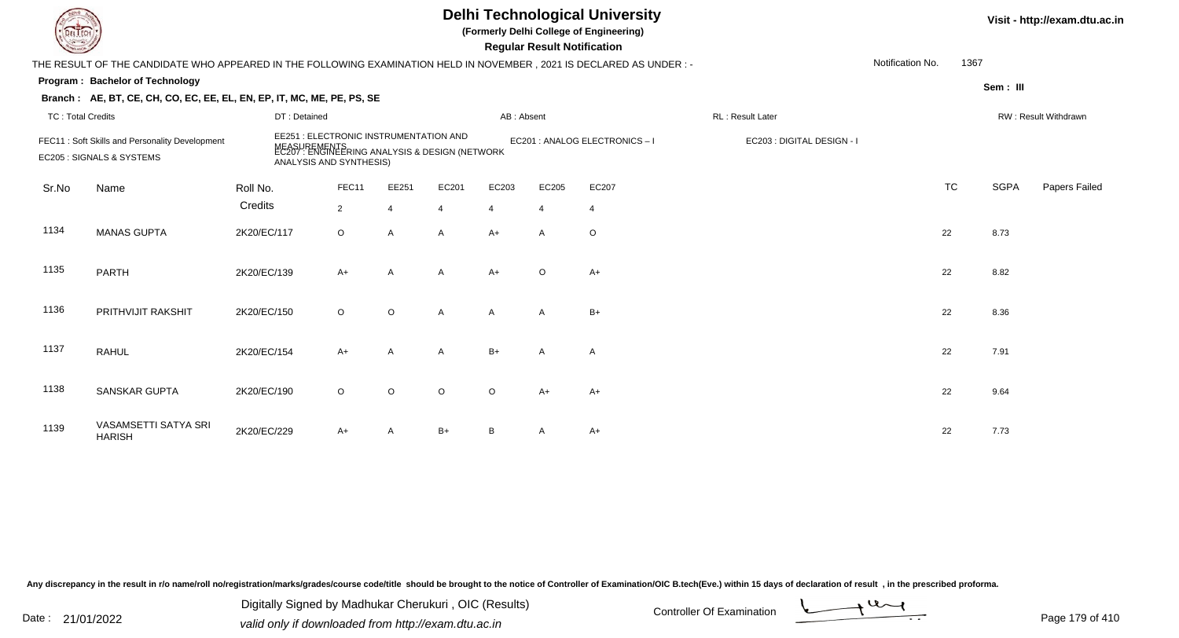## **Delhi Technological University**

**(Formerly Delhi College of Engineering)**

 **Regular Result Notification**

| $\sim$                                                                      |                                                                                                                      |                         |                |         |                                                                                                                                                        |       | <b>Regular Result Rothloution</b> |                |                                                |                  |           |                      |               |
|-----------------------------------------------------------------------------|----------------------------------------------------------------------------------------------------------------------|-------------------------|----------------|---------|--------------------------------------------------------------------------------------------------------------------------------------------------------|-------|-----------------------------------|----------------|------------------------------------------------|------------------|-----------|----------------------|---------------|
|                                                                             | THE RESULT OF THE CANDIDATE WHO APPEARED IN THE FOLLOWING EXAMINATION HELD IN NOVEMBER, 2021 IS DECLARED AS UNDER :- |                         |                |         |                                                                                                                                                        |       |                                   |                |                                                | Notification No. | 1367      |                      |               |
|                                                                             | <b>Program: Bachelor of Technology</b>                                                                               |                         |                |         |                                                                                                                                                        |       |                                   |                |                                                |                  |           | Sem: III             |               |
|                                                                             | Branch: AE, BT, CE, CH, CO, EC, EE, EL, EN, EP, IT, MC, ME, PE, PS, SE                                               |                         |                |         |                                                                                                                                                        |       |                                   |                |                                                |                  |           |                      |               |
| <b>TC: Total Credits</b>                                                    |                                                                                                                      | DT: Detained            |                |         | AB: Absent<br>EE251 : ELECTRONIC INSTRUMENTATION AND<br>EC201 : ANALOG ELECTRONICS-I<br>MEASUREMENTS<br>EC207 : ENGINEERING ANALYSIS & DESIGN (NETWORK |       |                                   |                | RL: Result Later<br>EC203 : DIGITAL DESIGN - I |                  |           | RW: Result Withdrawn |               |
| FEC11: Soft Skills and Personality Development<br>EC205 : SIGNALS & SYSTEMS |                                                                                                                      | ANALYSIS AND SYNTHESIS) |                |         |                                                                                                                                                        |       |                                   |                |                                                |                  |           |                      |               |
| Sr.No                                                                       | Name                                                                                                                 | Roll No.                | FEC11          | EE251   | EC201                                                                                                                                                  | EC203 | EC205                             | EC207          |                                                |                  | <b>TC</b> | <b>SGPA</b>          | Papers Failed |
|                                                                             |                                                                                                                      | Credits                 | $\overline{2}$ |         | $\overline{4}$                                                                                                                                         | 4     | $\overline{4}$                    | $\overline{4}$ |                                                |                  |           |                      |               |
| 1134                                                                        | <b>MANAS GUPTA</b>                                                                                                   | 2K20/EC/117             | $\circ$        | A       | $\mathsf{A}$                                                                                                                                           | $A+$  | A                                 | O              |                                                |                  | 22        | 8.73                 |               |
| 1135                                                                        | <b>PARTH</b>                                                                                                         | 2K20/EC/139             | $A+$           | A       | $\mathsf{A}$                                                                                                                                           | $A+$  | $\circ$                           | $A+$           |                                                |                  | 22        | 8.82                 |               |
| 1136                                                                        | PRITHVIJIT RAKSHIT                                                                                                   | 2K20/EC/150             | $\circ$        | $\circ$ | A                                                                                                                                                      | A     | $\mathsf{A}$                      | $B+$           |                                                |                  | 22        | 8.36                 |               |
| 1137                                                                        | <b>RAHUL</b>                                                                                                         | 2K20/EC/154             | $A+$           | A       | A                                                                                                                                                      | $B+$  | A                                 | Α              |                                                |                  | 22        | 7.91                 |               |
| 1138                                                                        | <b>SANSKAR GUPTA</b>                                                                                                 | 2K20/EC/190             | $\circ$        | $\circ$ | $\circ$                                                                                                                                                | O     | $A+$                              | $A+$           |                                                |                  | 22        | 9.64                 |               |
| 1139                                                                        | VASAMSETTI SATYA SRI<br><b>HARISH</b>                                                                                | 2K20/EC/229             | $A+$           | A       | $B+$                                                                                                                                                   | В     | A                                 | A+             |                                                |                  | 22        | 7.73                 |               |

Any discrepancy in the result in r/o name/roll no/registration/marks/grades/course code/title should be brought to the notice of Controller of Examination/OIC B.tech(Eve.) within 15 days of declaration of result, in the pr

Date : 21/01/2022 Digital Digital of Microsofted Controller Of Examination Determination Page 179 of 41 Digitally Signed by Madhukar Cherukuri , OIC (Results)

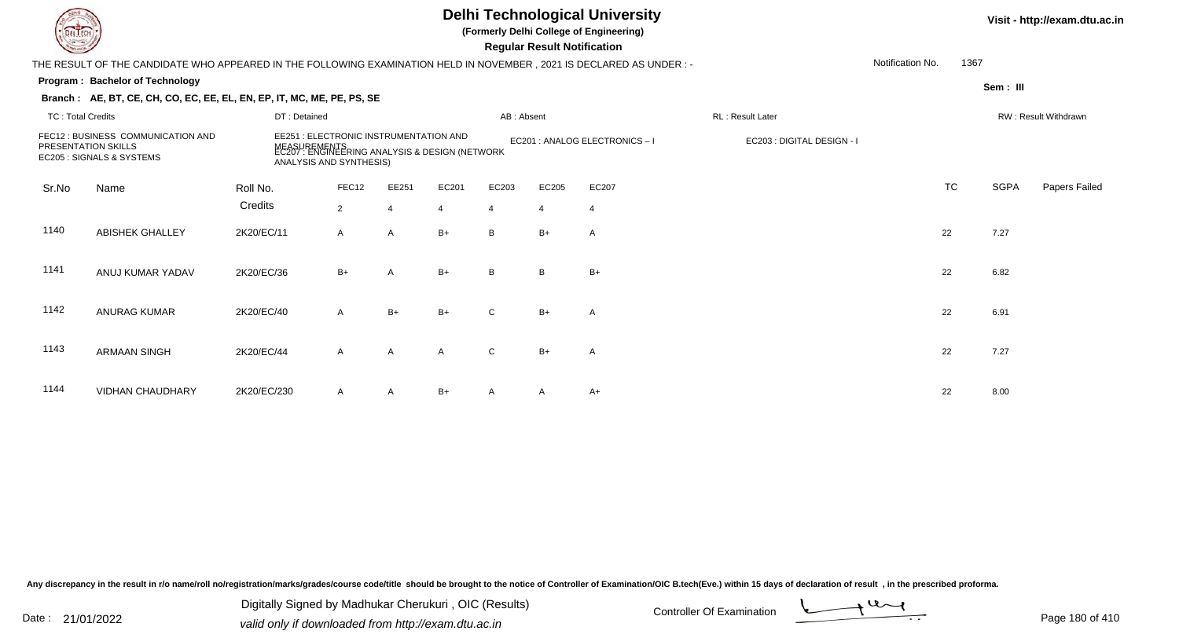## **Delhi Technological University**

**(Formerly Delhi College of Engineering)**

 **Regular Result Notification**

**Program : Bachelor of TechnologySem : III Branch : AE, BT, CE, CH, CO, EC, EE, EL, EN, EP, IT, MC, ME, PE, PS, SE**THE RESULT OF THE CANDIDATE WHO APPEARED IN THE FOLLOWING EXAMINATION HELD IN NOVEMBER , 2021 IS DECLARED AS UNDER : -TC : Total Credits DT : Detainedd AB : Absent RL : Result Later RW : Result Withdrawn Notification No. 1367Sr.NoName Roll No. **Credits** FEC12 : BUSINESS COMMUNICATION ANDPRESENTATION SKILLS EC205 : SIGNALS & SYSTEMSEE251 : ELECTRONIC INSTRUMENTATION AND MEASUREMENTS EC201 : ANALOG ELECTRONICS – I EC203 : DIGITAL DESIGN - I EC207 : ENGINEERING ANALYSIS & DESIGN (NETWORK ANALYSIS AND SYNTHESIS)FEC122 EE251 EC201 EC203 EC205 EC207 EC207 EXAMPLE EXAMPLE TO TO TC SGPA Papers Failed 22 4 4 4 4 4 1140 ABISHEK GHALLEY 2K20/EC/11 <sup>A</sup> <sup>A</sup> B+ <sup>B</sup> B+ <sup>A</sup> <sup>22</sup> 7.27 1141 ANUJ KUMAR YADAVV 2K20/EC/36 B+ A B+ B B+ B+ B+ 22 6.82 1142 ANURAG KUMARR 2K20/EC/40 A B+ B+ C B+ A 22 6.91 1143 ARMAAN SINGHH 2K20/EC/44 A A A C B+ A 22 7.27 1144

Y 2K20/EC/230 A A B+ A A A+

Any discrepancy in the result in r/o name/roll no/registration/marks/grades/course code/title should be brought to the notice of Controller of Examination/OIC B.tech(Eve.) within 15 days of declaration of result , in the p

VIDHAN CHAUDHARY

Date : 21/01/2022 Digital Digital of Microsofted Chemical Controller Of Examination Determination Page 180 of 41 Digitally Signed by Madhukar Cherukuri , OIC (Results)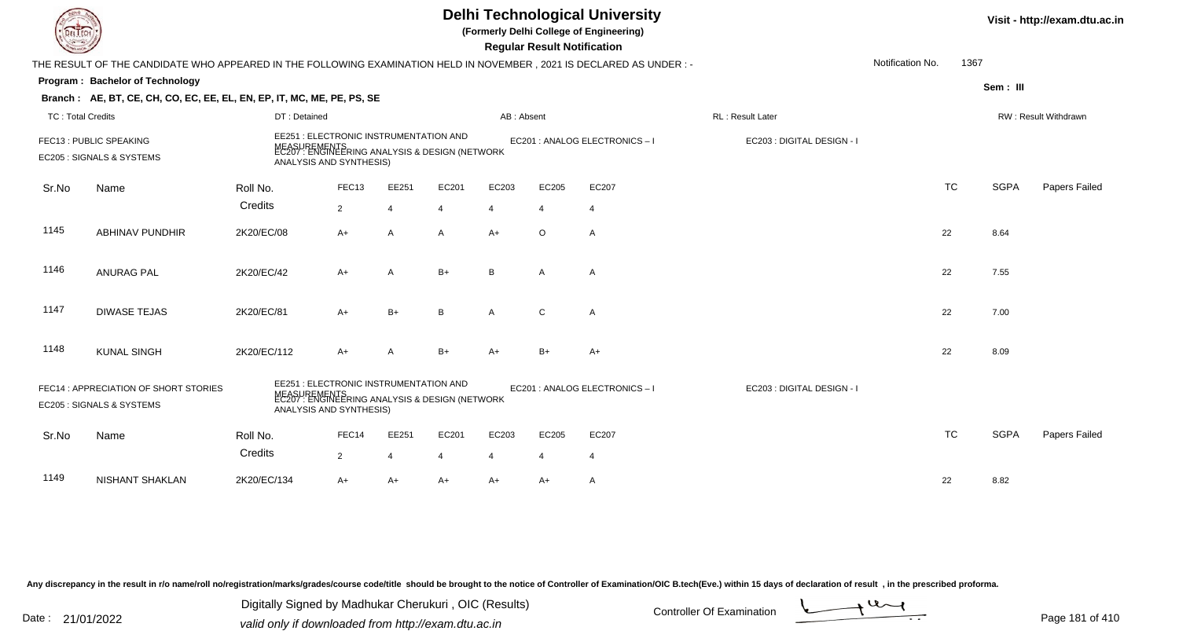|                          |                                                                        | <b>Delhi Technological University</b><br>(Formerly Delhi College of Engineering)<br><b>Regular Result Notification</b><br>THE RESULT OF THE CANDIDATE WHO APPEARED IN THE FOLLOWING EXAMINATION HELD IN NOVEMBER, 2021 IS DECLARED AS UNDER :- |                                                                |                |                |                                |                            |                              |                            |                  |           |             |                      |  |  |
|--------------------------|------------------------------------------------------------------------|------------------------------------------------------------------------------------------------------------------------------------------------------------------------------------------------------------------------------------------------|----------------------------------------------------------------|----------------|----------------|--------------------------------|----------------------------|------------------------------|----------------------------|------------------|-----------|-------------|----------------------|--|--|
|                          |                                                                        |                                                                                                                                                                                                                                                |                                                                |                |                |                                |                            |                              |                            | Notification No. | 1367      |             |                      |  |  |
|                          | Program: Bachelor of Technology                                        |                                                                                                                                                                                                                                                |                                                                |                |                |                                |                            |                              |                            |                  |           | Sem: III    |                      |  |  |
|                          | Branch: AE, BT, CE, CH, CO, EC, EE, EL, EN, EP, IT, MC, ME, PE, PS, SE |                                                                                                                                                                                                                                                |                                                                |                |                |                                |                            |                              |                            |                  |           |             |                      |  |  |
| <b>TC: Total Credits</b> |                                                                        | DT: Detained                                                                                                                                                                                                                                   |                                                                |                |                | AB: Absent                     |                            |                              | RL : Result Later          |                  |           |             | RW: Result Withdrawn |  |  |
|                          | FEC13 : PUBLIC SPEAKING<br>EC205 : SIGNALS & SYSTEMS                   | EE251 : ELECTRONIC INSTRUMENTATION AND<br>MEASUREMENTS<br>EC207 : ENGINEERING ANALYSIS & DESIGN (NETWORK<br>ANALYSIS AND SYNTHESIS)                                                                                                            |                                                                |                |                |                                |                            | EC201 : ANALOG ELECTRONICS-I | EC203 : DIGITAL DESIGN - I |                  |           |             |                      |  |  |
| Sr.No                    | Name                                                                   | Roll No.                                                                                                                                                                                                                                       | FEC13                                                          | EE251          | EC201          | EC203                          | EC205                      | EC207                        |                            |                  | <b>TC</b> | <b>SGPA</b> | Papers Failed        |  |  |
|                          |                                                                        | Credits                                                                                                                                                                                                                                        | $2^{\circ}$                                                    | $\overline{4}$ | $\overline{4}$ | $\overline{4}$                 | $\overline{4}$             | $\overline{4}$               |                            |                  |           |             |                      |  |  |
| 1145                     | <b>ABHINAV PUNDHIR</b>                                                 | 2K20/EC/08                                                                                                                                                                                                                                     | A+                                                             | $\overline{A}$ | A              | $A+$                           | $\circ$                    | A                            |                            |                  | 22        | 8.64        |                      |  |  |
| 1146                     | <b>ANURAG PAL</b>                                                      | 2K20/EC/42                                                                                                                                                                                                                                     | A+                                                             | $\overline{A}$ | $B+$           | B                              | $\mathsf{A}$               | A                            |                            |                  | 22        | 7.55        |                      |  |  |
| 1147                     | <b>DIWASE TEJAS</b>                                                    | 2K20/EC/81                                                                                                                                                                                                                                     | $A+$                                                           | $B+$           | B              | $\mathsf{A}$                   | C                          | $\overline{A}$               |                            |                  | 22        | 7.00        |                      |  |  |
| 1148                     | <b>KUNAL SINGH</b>                                                     | 2K20/EC/112                                                                                                                                                                                                                                    | A+                                                             | $\overline{A}$ | $B+$           | $A+$                           | $B+$                       | $A+$                         |                            |                  | 22        | 8.09        |                      |  |  |
|                          | FEC14 : APPRECIATION OF SHORT STORIES<br>EC205 : SIGNALS & SYSTEMS     | EE251 : ELECTRONIC INSTRUMENTATION AND<br>ANALYSIS AND SYNTHESIS)                                                                                                                                                                              | MEASUREMENTS<br>EC207 : ENGINEERING ANALYSIS & DESIGN (NETWORK |                |                | EC201 : ANALOG ELECTRONICS - I | EC203 : DIGITAL DESIGN - I |                              |                            |                  |           |             |                      |  |  |
| Sr.No                    | Name                                                                   | Roll No.                                                                                                                                                                                                                                       | FEC14                                                          | EE251          | EC201          | EC203                          | EC205                      | EC207                        |                            |                  | <b>TC</b> | <b>SGPA</b> | Papers Failed        |  |  |
|                          |                                                                        | Credits                                                                                                                                                                                                                                        | $\overline{2}$                                                 | $\overline{4}$ | 4              | $\overline{4}$                 | $\overline{4}$             | $\overline{4}$               |                            |                  |           |             |                      |  |  |
| 1149                     | <b>NISHANT SHAKLAN</b>                                                 | 2K20/EC/134                                                                                                                                                                                                                                    | A+                                                             | $A+$           | $A+$           | A+                             | A+                         | $\mathsf{A}$                 |                            |                  | 22        | 8.82        |                      |  |  |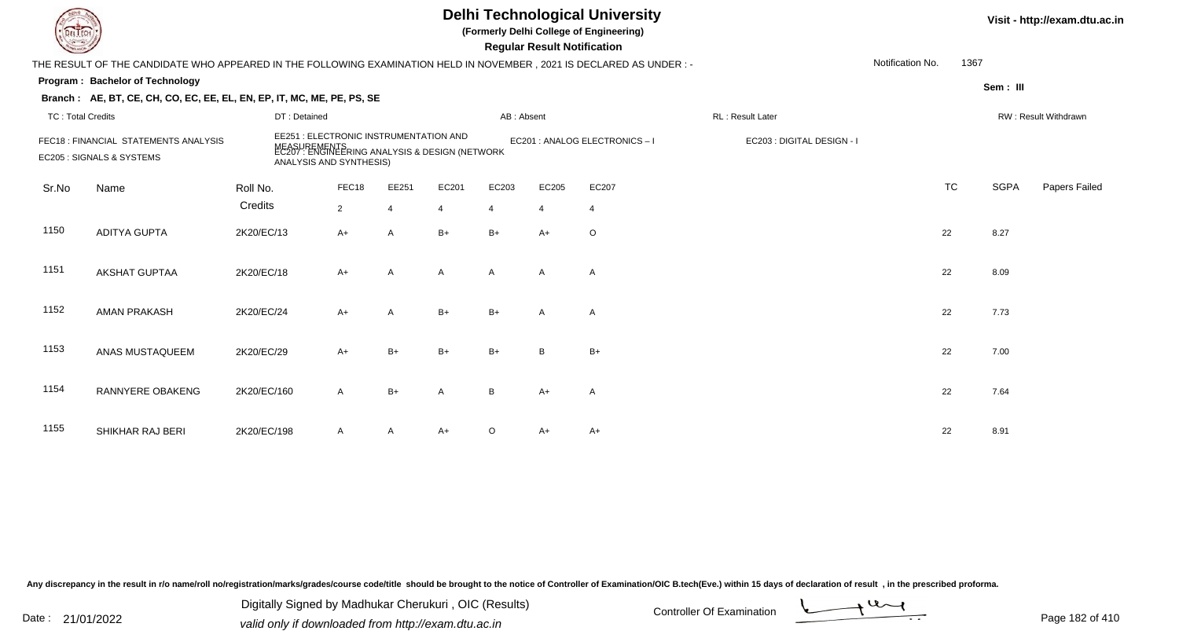## **Delhi Technological University**

**(Formerly Delhi College of Engineering)**

 **Regular Result Notification**

| $\sim$                   |                                                                                                                        |              |                                                                                                                                     |              |                |            | <b>Regular Result Rothrodtion</b> |                                |                            |                  |           |             |                      |
|--------------------------|------------------------------------------------------------------------------------------------------------------------|--------------|-------------------------------------------------------------------------------------------------------------------------------------|--------------|----------------|------------|-----------------------------------|--------------------------------|----------------------------|------------------|-----------|-------------|----------------------|
|                          | THE RESULT OF THE CANDIDATE WHO APPEARED IN THE FOLLOWING EXAMINATION HELD IN NOVEMBER , 2021 IS DECLARED AS UNDER : - |              |                                                                                                                                     |              |                |            |                                   |                                |                            | Notification No. | 1367      |             |                      |
|                          | Program: Bachelor of Technology                                                                                        |              |                                                                                                                                     |              |                |            |                                   |                                |                            |                  |           | Sem: III    |                      |
|                          | Branch: AE, BT, CE, CH, CO, EC, EE, EL, EN, EP, IT, MC, ME, PE, PS, SE                                                 |              |                                                                                                                                     |              |                |            |                                   |                                |                            |                  |           |             |                      |
| <b>TC: Total Credits</b> |                                                                                                                        | DT: Detained |                                                                                                                                     |              |                | AB: Absent |                                   |                                | RL: Result Later           |                  |           |             | RW: Result Withdrawn |
|                          | FEC18 : FINANCIAL STATEMENTS ANALYSIS<br>EC205 : SIGNALS & SYSTEMS                                                     |              | EE251 : ELECTRONIC INSTRUMENTATION AND<br>MEASUREMENTS<br>EC207 : ENGINEERING ANALYSIS & DESIGN (NETWORK<br>ANALYSIS AND SYNTHESIS) |              |                |            |                                   | EC201 : ANALOG ELECTRONICS - I | EC203 : DIGITAL DESIGN - I |                  |           |             |                      |
| Sr.No                    | Name                                                                                                                   | Roll No.     | FEC18                                                                                                                               | EE251        | EC201          | EC203      | EC205                             | EC207                          |                            |                  | <b>TC</b> | <b>SGPA</b> | Papers Failed        |
|                          |                                                                                                                        | Credits      | $\overline{2}$                                                                                                                      | 4            | $\overline{4}$ | 4          | $\overline{4}$                    | $\overline{4}$                 |                            |                  |           |             |                      |
| 1150                     | <b>ADITYA GUPTA</b>                                                                                                    | 2K20/EC/13   | $A+$                                                                                                                                | A            | $B+$           | $B+$       | $A+$                              | $\circ$                        |                            |                  | 22        | 8.27        |                      |
| 1151                     | AKSHAT GUPTAA                                                                                                          | 2K20/EC/18   | $A+$                                                                                                                                | A            | $\mathsf{A}$   | A          | A                                 | A                              |                            |                  | 22        | 8.09        |                      |
| 1152                     | <b>AMAN PRAKASH</b>                                                                                                    | 2K20/EC/24   | $A+$                                                                                                                                | $\mathsf{A}$ | $B+$           | $B+$       | $\mathsf{A}$                      | A                              |                            |                  | 22        | 7.73        |                      |
| 1153                     | ANAS MUSTAQUEEM                                                                                                        | 2K20/EC/29   | $A+$                                                                                                                                | $B+$         | $B+$           | $B+$       | B                                 | $B+$                           |                            |                  | 22        | 7.00        |                      |
| 1154                     | RANNYERE OBAKENG                                                                                                       | 2K20/EC/160  | $\mathsf{A}$                                                                                                                        | $B+$         | Α              | B          | $A+$                              | A                              |                            |                  | 22        | 7.64        |                      |
| 1155                     | SHIKHAR RAJ BERI                                                                                                       | 2K20/EC/198  | $\mathsf{A}$                                                                                                                        | A            | $A+$           | O          | A+                                | A+                             |                            |                  | 22        | 8.91        |                      |

Any discrepancy in the result in r/o name/roll no/registration/marks/grades/course code/title should be brought to the notice of Controller of Examination/OIC B.tech(Eve.) within 15 days of declaration of result, in the pr

Date : 21/01/2022 Digital Digital of Microsofted Chemical Controller Of Examination Determination Page 182 of 41 Digitally Signed by Madhukar Cherukuri , OIC (Results)

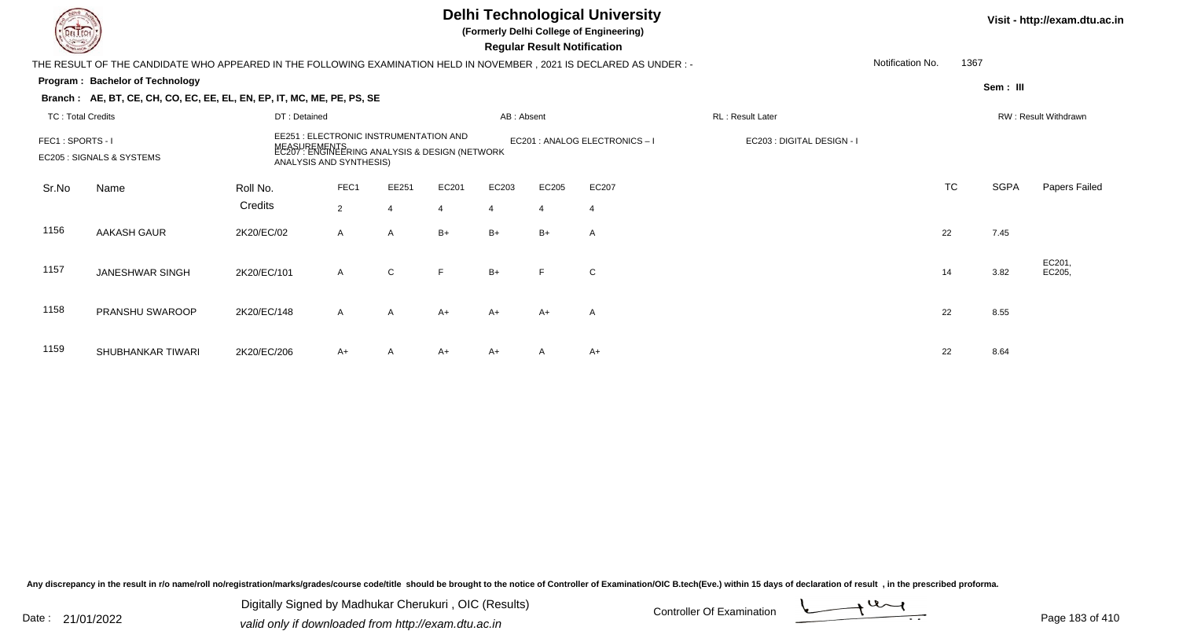|                          |                                                                                                                        |                                                                   |                                                         |                |       |                                | Visit - http://exam.dtu.ac.in      |                |                  |                  |           |             |                      |
|--------------------------|------------------------------------------------------------------------------------------------------------------------|-------------------------------------------------------------------|---------------------------------------------------------|----------------|-------|--------------------------------|------------------------------------|----------------|------------------|------------------|-----------|-------------|----------------------|
|                          | THE RESULT OF THE CANDIDATE WHO APPEARED IN THE FOLLOWING EXAMINATION HELD IN NOVEMBER , 2021 IS DECLARED AS UNDER : - |                                                                   |                                                         |                |       |                                | <b>Regular Result Notification</b> |                |                  | Notification No. | 1367      |             |                      |
|                          | Program: Bachelor of Technology                                                                                        |                                                                   |                                                         |                |       |                                |                                    |                |                  |                  |           | Sem: III    |                      |
|                          | Branch: AE, BT, CE, CH, CO, EC, EE, EL, EN, EP, IT, MC, ME, PE, PS, SE                                                 |                                                                   |                                                         |                |       |                                |                                    |                |                  |                  |           |             |                      |
| <b>TC: Total Credits</b> |                                                                                                                        | DT: Detained                                                      |                                                         |                |       | AB: Absent                     |                                    |                | RL: Result Later |                  |           |             | RW: Result Withdrawn |
| FEC1: SPORTS - I         | EC205 : SIGNALS & SYSTEMS                                                                                              | EE251 : ELECTRONIC INSTRUMENTATION AND<br>ANALYSIS AND SYNTHESIS) | :UREMENTS<br>7 : ENGINEERING ANALYSIS & DESIGN (NETWORK |                |       | EC201 : ANALOG ELECTRONICS - I | EC203 : DIGITAL DESIGN - I         |                |                  |                  |           |             |                      |
| Sr.No                    | Name                                                                                                                   | Roll No.                                                          | FEC1                                                    | EE251          | EC201 | EC203                          | EC205                              | EC207          |                  |                  | <b>TC</b> | <b>SGPA</b> | Papers Failed        |
|                          |                                                                                                                        | Credits                                                           | $\overline{2}$                                          | $\overline{4}$ |       | $\overline{4}$                 | $\overline{4}$                     | $\overline{4}$ |                  |                  |           |             |                      |
| 1156                     | AAKASH GAUR                                                                                                            | 2K20/EC/02                                                        | $\mathsf{A}$                                            | $\mathsf{A}$   | $B+$  | $B+$                           | $B+$                               | A              |                  |                  | 22        | 7.45        |                      |
| 1157                     | <b>JANESHWAR SINGH</b>                                                                                                 | 2K20/EC/101                                                       | $\mathsf{A}$                                            | $\mathsf{C}$   | F     | $B+$                           |                                    | $\mathbf C$    |                  |                  | 14        | 3.82        | EC201,<br>EC205,     |
| 1158                     | PRANSHU SWAROOP                                                                                                        | 2K20/EC/148                                                       | $\mathsf{A}$                                            | $\mathsf{A}$   | $A+$  | $A+$                           | A+                                 | A              |                  |                  | 22        | 8.55        |                      |
| 1159                     | SHUBHANKAR TIWARI                                                                                                      | 2K20/EC/206                                                       | A+                                                      | A              | A+    | $A+$                           | A                                  | $A+$           |                  |                  | 22        | 8.64        |                      |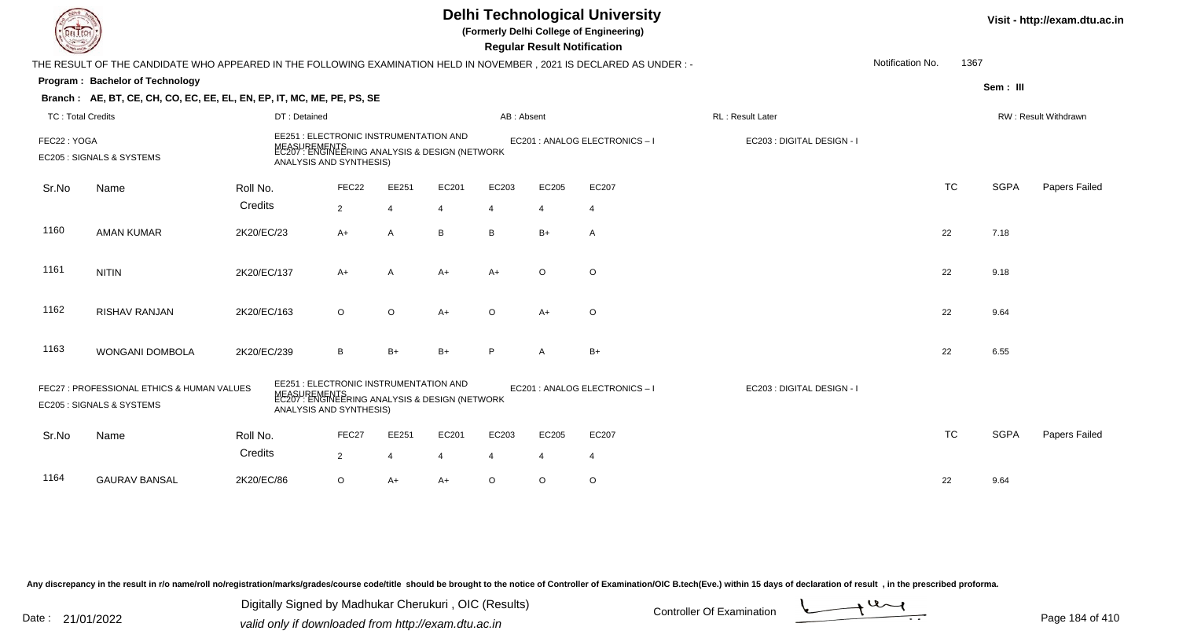|                          |                                                                                                                      |                                                                                                                                     |                |                |                |                | <b>Regular Result Notification</b> | <b>Delhi Technological University</b><br>(Formerly Delhi College of Engineering) |                            |                  |           |             | Visit - http://exam.dtu.ac.in |
|--------------------------|----------------------------------------------------------------------------------------------------------------------|-------------------------------------------------------------------------------------------------------------------------------------|----------------|----------------|----------------|----------------|------------------------------------|----------------------------------------------------------------------------------|----------------------------|------------------|-----------|-------------|-------------------------------|
|                          | THE RESULT OF THE CANDIDATE WHO APPEARED IN THE FOLLOWING EXAMINATION HELD IN NOVEMBER, 2021 IS DECLARED AS UNDER :- |                                                                                                                                     |                |                |                |                |                                    |                                                                                  |                            | Notification No. | 1367      |             |                               |
|                          | Program: Bachelor of Technology                                                                                      |                                                                                                                                     |                |                |                |                |                                    |                                                                                  |                            |                  |           | Sem: III    |                               |
|                          | Branch: AE, BT, CE, CH, CO, EC, EE, EL, EN, EP, IT, MC, ME, PE, PS, SE                                               |                                                                                                                                     |                |                |                |                |                                    |                                                                                  |                            |                  |           |             |                               |
| <b>TC: Total Credits</b> |                                                                                                                      | DT: Detained                                                                                                                        |                |                |                | AB: Absent     |                                    |                                                                                  | RL : Result Later          |                  |           |             | RW: Result Withdrawn          |
| FEC22: YOGA              | EC205 : SIGNALS & SYSTEMS                                                                                            | EE251 : ELECTRONIC INSTRUMENTATION AND<br>MEASUREMENTS<br>EC207 : ENGINEERING ANALYSIS & DESIGN (NETWORK<br>ANALYSIS AND SYNTHESIS) |                |                |                |                |                                    | EC201 : ANALOG ELECTRONICS-I                                                     | EC203 : DIGITAL DESIGN - I |                  |           |             |                               |
| Sr.No                    | Name                                                                                                                 | Roll No.                                                                                                                            | FEC22          | EE251          | EC201          | EC203          | EC205                              | EC207                                                                            |                            |                  | <b>TC</b> | <b>SGPA</b> | Papers Failed                 |
|                          |                                                                                                                      | Credits                                                                                                                             | $2^{\circ}$    | $\overline{4}$ | $\overline{4}$ | $\overline{4}$ | $\overline{4}$                     | $\overline{4}$                                                                   |                            |                  |           |             |                               |
| 1160                     | <b>AMAN KUMAR</b>                                                                                                    | 2K20/EC/23                                                                                                                          | A+             | $\overline{A}$ | B              | B              | $B+$                               | A                                                                                |                            |                  | 22        | 7.18        |                               |
| 1161                     | <b>NITIN</b>                                                                                                         | 2K20/EC/137                                                                                                                         | $A+$           | $\overline{A}$ | $A+$           | $A+$           | $\circ$                            | $\circ$                                                                          |                            |                  | 22        | 9.18        |                               |
| 1162                     | RISHAV RANJAN                                                                                                        | 2K20/EC/163                                                                                                                         | $\circ$        | $\circ$        | $A+$           | $\circ$        | $A+$                               | $\circ$                                                                          |                            |                  | 22        | 9.64        |                               |
| 1163                     | WONGANI DOMBOLA                                                                                                      | 2K20/EC/239                                                                                                                         | B              | $B+$           | $B+$           | P              | A                                  | $B+$                                                                             |                            |                  | 22        | 6.55        |                               |
|                          | FEC27 : PROFESSIONAL ETHICS & HUMAN VALUES<br>EC205 : SIGNALS & SYSTEMS                                              | EE251 : ELECTRONIC INSTRUMENTATION AND<br>MEASUREMENTS<br>EC207 : ENGINEERING ANALYSIS & DESIGN (NETWORK<br>ANALYSIS AND SYNTHESIS) |                |                |                |                |                                    | EC201 : ANALOG ELECTRONICS - I                                                   | EC203 : DIGITAL DESIGN - I |                  |           |             |                               |
| Sr.No                    | Name                                                                                                                 | Roll No.                                                                                                                            | FEC27          | EE251          | EC201          | EC203          | EC205                              | EC207                                                                            |                            |                  | <b>TC</b> | <b>SGPA</b> | Papers Failed                 |
|                          |                                                                                                                      | Credits                                                                                                                             | $\overline{2}$ | $\overline{4}$ | 4              | $\overline{4}$ | $\overline{4}$                     | $\overline{4}$                                                                   |                            |                  |           |             |                               |
| 1164                     | <b>GAURAV BANSAL</b>                                                                                                 | 2K20/EC/86                                                                                                                          | $\circ$        | $A+$           | $A+$           | $\circ$        | $\circ$                            | $\circ$                                                                          |                            |                  | 22        | 9.64        |                               |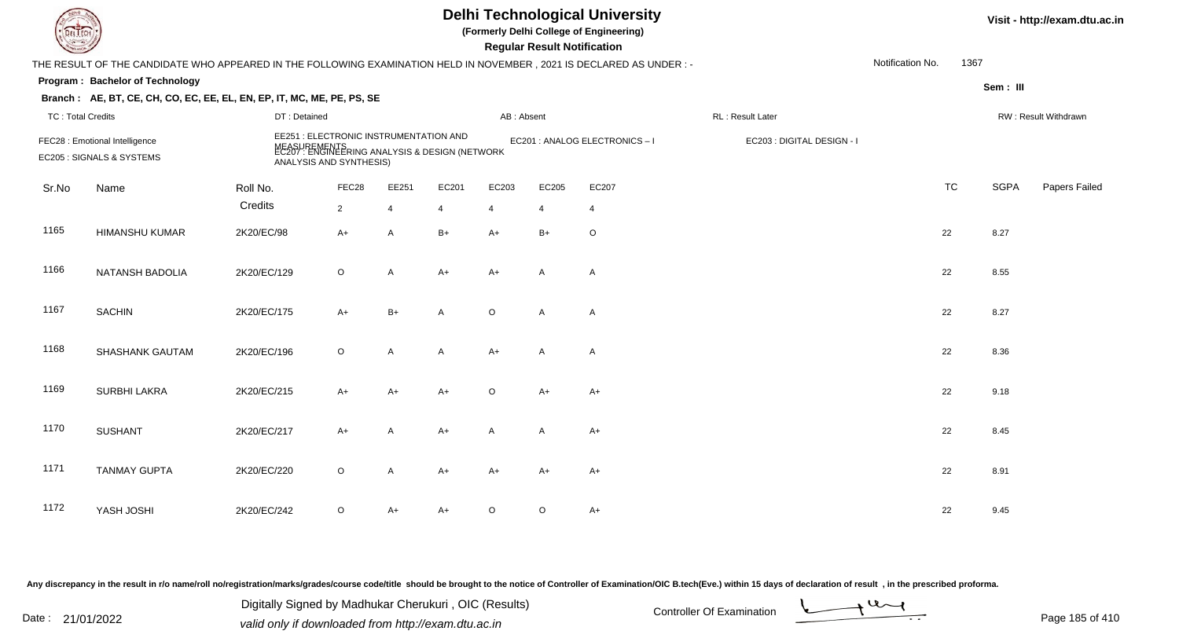|                          | <b>Delhi Technological University</b><br>(Formerly Delhi College of Engineering)<br>EL ECH<br><b>Regular Result Notification</b><br>THE RESULT OF THE CANDIDATE WHO APPEARED IN THE FOLLOWING EXAMINATION HELD IN NOVEMBER, 2021 IS DECLARED AS UNDER :- |              |                                                                                                                                     |                |                |              |              |                              |                            |                  |           |             | Visit - http://exam.dtu.ac.in |
|--------------------------|----------------------------------------------------------------------------------------------------------------------------------------------------------------------------------------------------------------------------------------------------------|--------------|-------------------------------------------------------------------------------------------------------------------------------------|----------------|----------------|--------------|--------------|------------------------------|----------------------------|------------------|-----------|-------------|-------------------------------|
|                          |                                                                                                                                                                                                                                                          |              |                                                                                                                                     |                |                |              |              |                              |                            | Notification No. | 1367      |             |                               |
|                          | Program: Bachelor of Technology                                                                                                                                                                                                                          |              |                                                                                                                                     |                |                |              |              |                              |                            |                  |           | Sem: III    |                               |
|                          | Branch: AE, BT, CE, CH, CO, EC, EE, EL, EN, EP, IT, MC, ME, PE, PS, SE                                                                                                                                                                                   |              |                                                                                                                                     |                |                |              |              |                              |                            |                  |           |             |                               |
| <b>TC: Total Credits</b> |                                                                                                                                                                                                                                                          | DT: Detained |                                                                                                                                     |                |                | AB: Absent   |              |                              | RL: Result Later           |                  |           |             | RW: Result Withdrawn          |
|                          | FEC28 : Emotional Intelligence<br>EC205 : SIGNALS & SYSTEMS                                                                                                                                                                                              |              | EE251 : ELECTRONIC INSTRUMENTATION AND<br>MEASUREMENTS<br>EC207 : ENGINEERING ANALYSIS & DESIGN (NETWORK<br>ANALYSIS AND SYNTHESIS) |                |                |              |              | EC201 : ANALOG ELECTRONICS-I | EC203 : DIGITAL DESIGN - I |                  |           |             |                               |
| Sr.No                    | Name                                                                                                                                                                                                                                                     | Roll No.     | FEC28                                                                                                                               | EE251          | EC201          | EC203        | EC205        | EC207                        |                            |                  | <b>TC</b> | <b>SGPA</b> | Papers Failed                 |
|                          |                                                                                                                                                                                                                                                          | Credits      | $2^{\circ}$                                                                                                                         | $\overline{4}$ | $\overline{4}$ | 4            | 4            | $\overline{4}$               |                            |                  |           |             |                               |
| 1165                     | <b>HIMANSHU KUMAR</b>                                                                                                                                                                                                                                    | 2K20/EC/98   | A+                                                                                                                                  | $\overline{A}$ | $B+$           | $A+$         | $B+$         | $\mathsf O$                  |                            |                  | 22        | 8.27        |                               |
| 1166                     | NATANSH BADOLIA                                                                                                                                                                                                                                          | 2K20/EC/129  | $\circ$                                                                                                                             | A              | $A+$           | $A+$         | A            | $\mathsf{A}$                 |                            |                  | 22        | 8.55        |                               |
| 1167                     | <b>SACHIN</b>                                                                                                                                                                                                                                            | 2K20/EC/175  | $A+$                                                                                                                                | $B+$           | $\mathsf{A}$   | $\circ$      | A            | A                            |                            |                  | 22        | 8.27        |                               |
| 1168                     | <b>SHASHANK GAUTAM</b>                                                                                                                                                                                                                                   | 2K20/EC/196  | $\circ$                                                                                                                             | A              | A              | $A+$         | $\mathsf{A}$ | $\mathsf{A}$                 |                            |                  | 22        | 8.36        |                               |
| 1169                     | <b>SURBHI LAKRA</b>                                                                                                                                                                                                                                      | 2K20/EC/215  | $A+$                                                                                                                                | $A+$           | A+             | $\circ$      | $A+$         | $A+$                         |                            |                  | 22        | 9.18        |                               |
| 1170                     | <b>SUSHANT</b>                                                                                                                                                                                                                                           | 2K20/EC/217  | $A+$                                                                                                                                | $\overline{A}$ | A+             | $\mathsf{A}$ | A            | $A+$                         |                            |                  | 22        | 8.45        |                               |
| 1171                     | <b>TANMAY GUPTA</b>                                                                                                                                                                                                                                      | 2K20/EC/220  | $\mathsf O$                                                                                                                         | A              | $A+$           | $A+$         | A+           | $A+$                         |                            |                  | 22        | 8.91        |                               |
| 1172                     | YASH JOSHI                                                                                                                                                                                                                                               | 2K20/EC/242  | O                                                                                                                                   | $A+$           | A+             | $\circ$      | $\circ$      | $A+$                         |                            |                  | 22        | 9.45        |                               |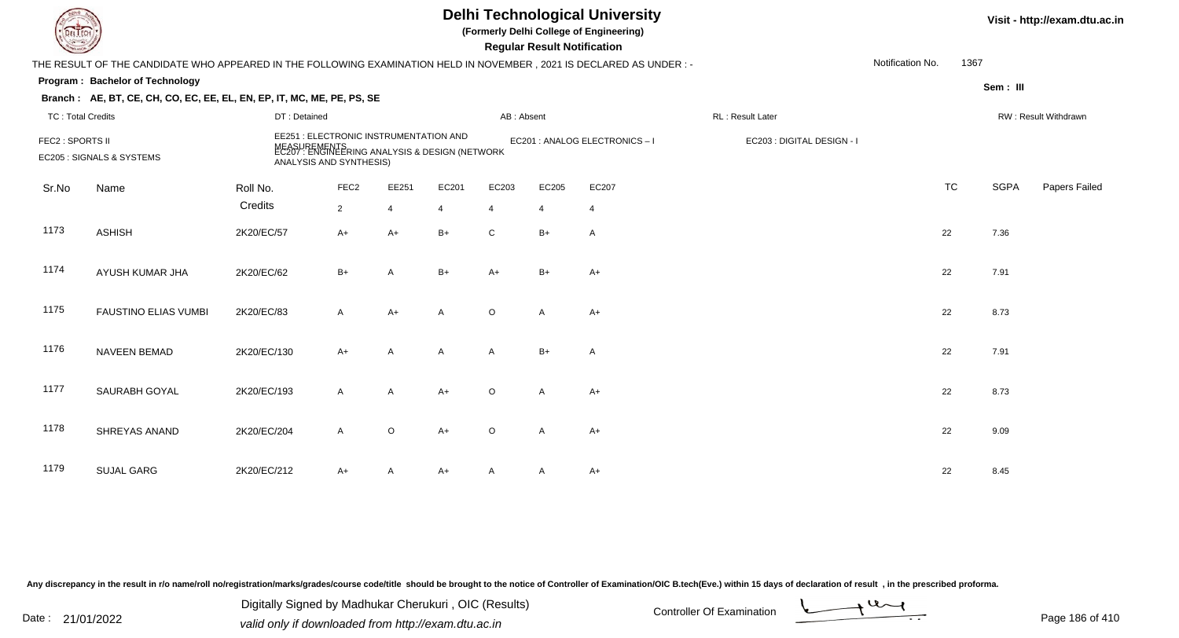| <b>LIECH</b>             |                                                                                                                      |                                                                                                                                     |                  |                |              |                | <b>Regular Result Notification</b> | <b>Delhi Technological University</b><br>(Formerly Delhi College of Engineering) |                            |                  |           |             | Visit - http://exam.dtu.ac.in |
|--------------------------|----------------------------------------------------------------------------------------------------------------------|-------------------------------------------------------------------------------------------------------------------------------------|------------------|----------------|--------------|----------------|------------------------------------|----------------------------------------------------------------------------------|----------------------------|------------------|-----------|-------------|-------------------------------|
|                          | THE RESULT OF THE CANDIDATE WHO APPEARED IN THE FOLLOWING EXAMINATION HELD IN NOVEMBER, 2021 IS DECLARED AS UNDER :- |                                                                                                                                     |                  |                |              |                |                                    |                                                                                  |                            | Notification No. | 1367      |             |                               |
|                          | Program: Bachelor of Technology                                                                                      |                                                                                                                                     |                  |                |              |                |                                    |                                                                                  |                            |                  |           | Sem: III    |                               |
|                          | Branch: AE, BT, CE, CH, CO, EC, EE, EL, EN, EP, IT, MC, ME, PE, PS, SE                                               |                                                                                                                                     |                  |                |              |                |                                    |                                                                                  |                            |                  |           |             |                               |
| <b>TC: Total Credits</b> |                                                                                                                      | DT: Detained                                                                                                                        |                  |                |              | AB: Absent     |                                    |                                                                                  | RL: Result Later           |                  |           |             | RW: Result Withdrawn          |
| FEC2 : SPORTS II         | EC205 : SIGNALS & SYSTEMS                                                                                            | EE251 : ELECTRONIC INSTRUMENTATION AND<br>MEASUREMENTS<br>EC207 : ENGINEERING ANALYSIS & DESIGN (NETWORK<br>ANALYSIS AND SYNTHESIS) |                  |                |              |                |                                    | EC201 : ANALOG ELECTRONICS-I                                                     | EC203 : DIGITAL DESIGN - I |                  |           |             |                               |
| Sr.No                    | Name                                                                                                                 | Roll No.                                                                                                                            | FEC <sub>2</sub> | EE251          | EC201        | EC203          | EC205                              | EC207                                                                            |                            |                  | <b>TC</b> | <b>SGPA</b> | Papers Failed                 |
|                          |                                                                                                                      | Credits                                                                                                                             | $2^{\circ}$      | $\overline{4}$ | 4            | $\overline{4}$ | $\overline{4}$                     | $\overline{4}$                                                                   |                            |                  |           |             |                               |
| 1173                     | <b>ASHISH</b>                                                                                                        | 2K20/EC/57                                                                                                                          | A+               | $A+$           | $B+$         | C              | $B+$                               | $\overline{A}$                                                                   |                            |                  | 22        | 7.36        |                               |
| 1174                     | AYUSH KUMAR JHA                                                                                                      | 2K20/EC/62                                                                                                                          | $B+$             | $\overline{A}$ | $B+$         | $A+$           | $B+$                               | $A+$                                                                             |                            |                  | 22        | 7.91        |                               |
| 1175                     | <b>FAUSTINO ELIAS VUMBI</b>                                                                                          | 2K20/EC/83                                                                                                                          | $\mathsf{A}$     | $A+$           | $\mathsf{A}$ | $\circ$        | $\mathsf{A}$                       | $A+$                                                                             |                            |                  | 22        | 8.73        |                               |
| 1176                     | NAVEEN BEMAD                                                                                                         | 2K20/EC/130                                                                                                                         | $A+$             | A              | A            | A              | $B+$                               | $\overline{A}$                                                                   |                            |                  | 22        | 7.91        |                               |
| 1177                     | SAURABH GOYAL                                                                                                        | 2K20/EC/193                                                                                                                         | $\mathsf{A}$     | A              | $A+$         | $\circ$        | $\mathsf{A}$                       | $A+$                                                                             |                            |                  | 22        | 8.73        |                               |
| 1178                     | SHREYAS ANAND                                                                                                        | 2K20/EC/204                                                                                                                         | A                | $\mathsf O$    | $A+$         | $\circ$        | A                                  | $A+$                                                                             |                            |                  | 22        | 9.09        |                               |
| 1179                     | <b>SUJAL GARG</b>                                                                                                    | 2K20/EC/212                                                                                                                         | A+               | A              | A+           | A              | A                                  | A+                                                                               |                            |                  | 22        | 8.45        |                               |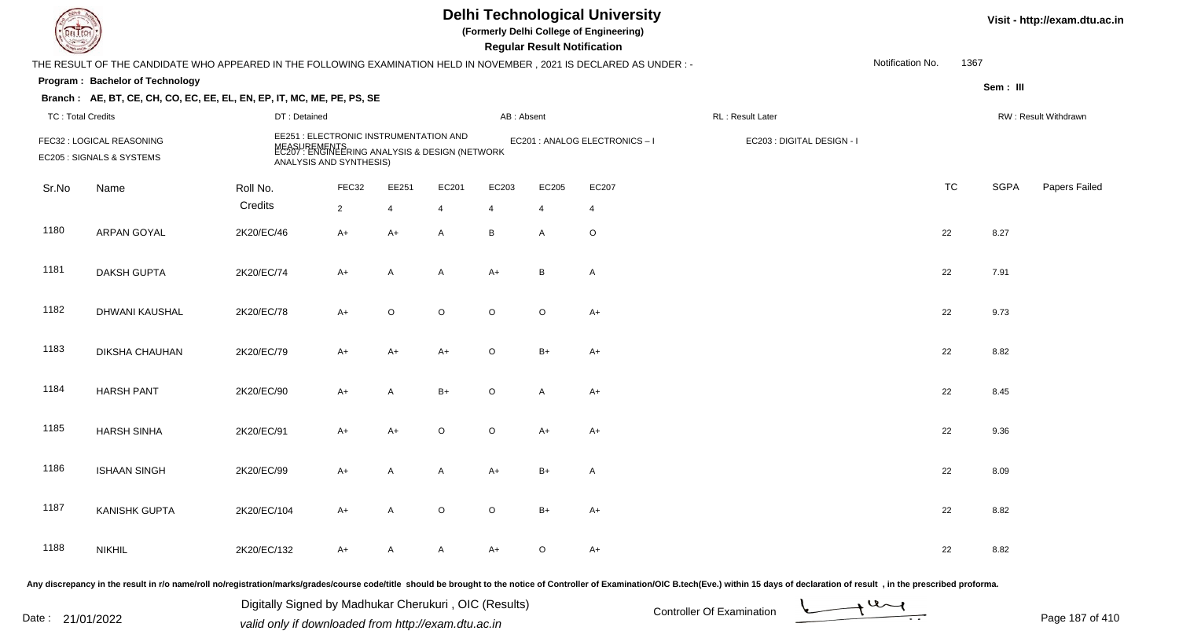|                          |                                                                                                                      |                                                                                                                                     |                |                |                |                | <b>Regular Result Notification</b> | <b>Delhi Technological University</b><br>(Formerly Delhi College of Engineering) |                            |                  |           |             | Visit - http://exam.dtu.ac.in |
|--------------------------|----------------------------------------------------------------------------------------------------------------------|-------------------------------------------------------------------------------------------------------------------------------------|----------------|----------------|----------------|----------------|------------------------------------|----------------------------------------------------------------------------------|----------------------------|------------------|-----------|-------------|-------------------------------|
|                          | THE RESULT OF THE CANDIDATE WHO APPEARED IN THE FOLLOWING EXAMINATION HELD IN NOVEMBER, 2021 IS DECLARED AS UNDER :- |                                                                                                                                     |                |                |                |                |                                    |                                                                                  |                            | Notification No. | 1367      |             |                               |
|                          | Program: Bachelor of Technology                                                                                      |                                                                                                                                     |                |                |                |                |                                    |                                                                                  |                            |                  |           | Sem: III    |                               |
|                          | Branch: AE, BT, CE, CH, CO, EC, EE, EL, EN, EP, IT, MC, ME, PE, PS, SE                                               |                                                                                                                                     |                |                |                |                |                                    |                                                                                  |                            |                  |           |             |                               |
| <b>TC: Total Credits</b> |                                                                                                                      | DT: Detained                                                                                                                        |                |                |                | AB: Absent     |                                    |                                                                                  | RL : Result Later          |                  |           |             | RW: Result Withdrawn          |
|                          | FEC32 : LOGICAL REASONING<br>EC205 : SIGNALS & SYSTEMS                                                               | EE251 : ELECTRONIC INSTRUMENTATION AND<br>MEASUREMENTS<br>EC207 : ENGINEERING ANALYSIS & DESIGN (NETWORK<br>ANALYSIS AND SYNTHESIS) |                |                |                |                |                                    | EC201 : ANALOG ELECTRONICS - I                                                   | EC203 : DIGITAL DESIGN - I |                  |           |             |                               |
| Sr.No                    | Name                                                                                                                 | Roll No.                                                                                                                            | FEC32          | EE251          | EC201          | EC203          | EC205                              | EC207                                                                            |                            |                  | <b>TC</b> | <b>SGPA</b> | Papers Failed                 |
|                          |                                                                                                                      | Credits                                                                                                                             | $\overline{2}$ | $\overline{4}$ | $\overline{4}$ | $\overline{4}$ | $\overline{4}$                     | $\overline{4}$                                                                   |                            |                  |           |             |                               |
| 1180                     | ARPAN GOYAL                                                                                                          | 2K20/EC/46                                                                                                                          | $A+$           | $A+$           | $\mathsf{A}$   | B              | A                                  | $\circ$                                                                          |                            |                  | 22        | 8.27        |                               |
| 1181                     | <b>DAKSH GUPTA</b>                                                                                                   | 2K20/EC/74                                                                                                                          | $A+$           | A              | A              | $A+$           | B                                  | $\overline{A}$                                                                   |                            |                  | 22        | 7.91        |                               |
| 1182                     | DHWANI KAUSHAL                                                                                                       | 2K20/EC/78                                                                                                                          | $A+$           | $\mathsf O$    | $\circ$        | $\circ$        | $\circ$                            | $A+$                                                                             |                            |                  | 22        | 9.73        |                               |
| 1183                     | DIKSHA CHAUHAN                                                                                                       | 2K20/EC/79                                                                                                                          | $A+$           | $A+$           | $A+$           | $\circ$        | $B+$                               | $A+$                                                                             |                            |                  | 22        | 8.82        |                               |
| 1184                     | <b>HARSH PANT</b>                                                                                                    | 2K20/EC/90                                                                                                                          | $A+$           | $\overline{A}$ | $B+$           | $\circ$        | A                                  | $A+$                                                                             |                            |                  | 22        | 8.45        |                               |
| 1185                     | <b>HARSH SINHA</b>                                                                                                   | 2K20/EC/91                                                                                                                          | A+             | $A+$           | $\circ$        | $\circ$        | $A+$                               | $A+$                                                                             |                            |                  | 22        | 9.36        |                               |
| 1186                     | <b>ISHAAN SINGH</b>                                                                                                  | 2K20/EC/99                                                                                                                          | A+             | A              | A              | $A+$           | B+                                 | $\mathsf{A}$                                                                     |                            |                  | 22        | 8.09        |                               |
| 1187                     | <b>KANISHK GUPTA</b>                                                                                                 | 2K20/EC/104                                                                                                                         | $A+$           | A              | $\circ$        | $\circ$        | $B+$                               | $A+$                                                                             |                            |                  | 22        | 8.82        |                               |
| 1188                     | <b>NIKHIL</b>                                                                                                        | 2K20/EC/132                                                                                                                         | A+             | A              | A              | A+             | $\circ$                            | $A+$                                                                             |                            |                  | 22        | 8.82        |                               |
|                          |                                                                                                                      |                                                                                                                                     |                |                |                |                |                                    |                                                                                  |                            |                  |           |             |                               |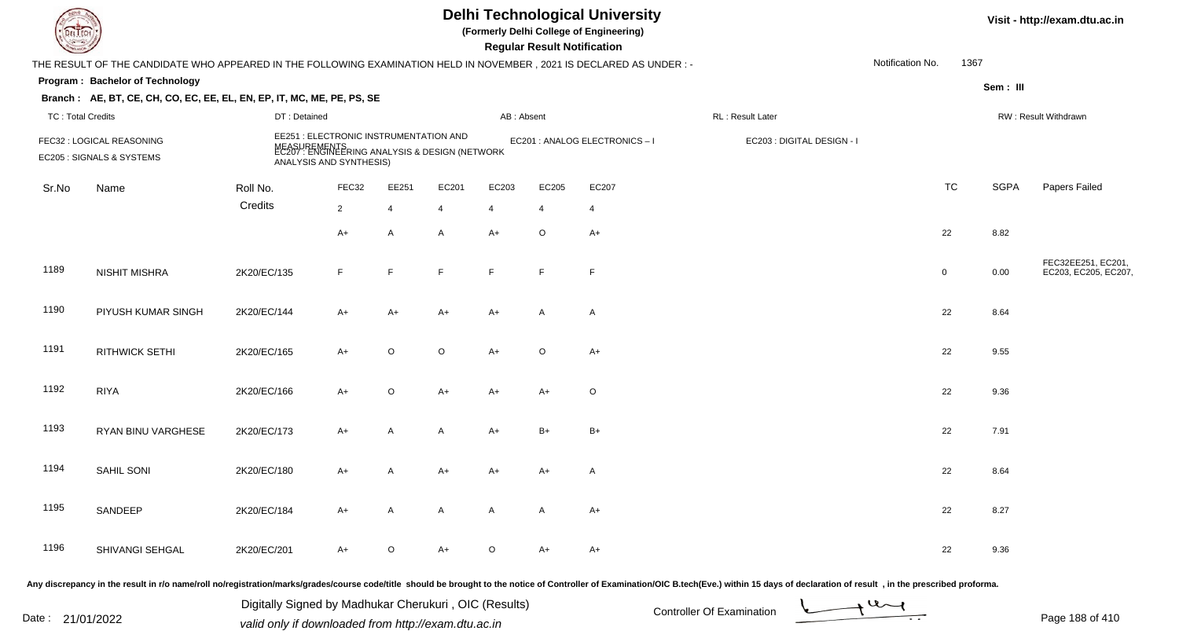| <b>DELTECH</b>           |                                                                                                                      |                                                                   |                |                |                                                                |                | <b>Regular Result Notification</b> | <b>Delhi Technological University</b><br>(Formerly Delhi College of Engineering) |                            |                  |             |             | Visit - http://exam.dtu.ac.in              |
|--------------------------|----------------------------------------------------------------------------------------------------------------------|-------------------------------------------------------------------|----------------|----------------|----------------------------------------------------------------|----------------|------------------------------------|----------------------------------------------------------------------------------|----------------------------|------------------|-------------|-------------|--------------------------------------------|
|                          | THE RESULT OF THE CANDIDATE WHO APPEARED IN THE FOLLOWING EXAMINATION HELD IN NOVEMBER, 2021 IS DECLARED AS UNDER :- |                                                                   |                |                |                                                                |                |                                    |                                                                                  |                            | Notification No. | 1367        |             |                                            |
|                          | Program: Bachelor of Technology                                                                                      |                                                                   |                |                |                                                                |                |                                    |                                                                                  |                            |                  |             | Sem: III    |                                            |
|                          | Branch: AE, BT, CE, CH, CO, EC, EE, EL, EN, EP, IT, MC, ME, PE, PS, SE                                               |                                                                   |                |                |                                                                |                |                                    |                                                                                  |                            |                  |             |             |                                            |
| <b>TC: Total Credits</b> |                                                                                                                      | DT: Detained                                                      |                |                |                                                                | AB: Absent     |                                    |                                                                                  | RL: Result Later           |                  |             |             | RW: Result Withdrawn                       |
|                          | FEC32 : LOGICAL REASONING<br>EC205 : SIGNALS & SYSTEMS                                                               | EE251 : ELECTRONIC INSTRUMENTATION AND<br>ANALYSIS AND SYNTHESIS) |                |                | MEASUREMENTS<br>EC207 : ENGINEERING ANALYSIS & DESIGN (NETWORK |                |                                    | EC201 : ANALOG ELECTRONICS - I                                                   | EC203 : DIGITAL DESIGN - I |                  |             |             |                                            |
| Sr.No                    | Name                                                                                                                 | Roll No.                                                          | FEC32          | EE251          | EC201                                                          | EC203          | EC205                              | EC207                                                                            |                            |                  | <b>TC</b>   | <b>SGPA</b> | Papers Failed                              |
|                          |                                                                                                                      | Credits                                                           | $\overline{2}$ | $\overline{4}$ | $\overline{4}$                                                 | $\overline{4}$ | $\overline{4}$                     | -4                                                                               |                            |                  |             |             |                                            |
|                          |                                                                                                                      |                                                                   | $A+$           | $\mathsf{A}$   | $\mathsf{A}$                                                   | $A+$           | $\circ$                            | $A+$                                                                             |                            |                  | 22          | 8.82        |                                            |
| 1189                     | <b>NISHIT MISHRA</b>                                                                                                 | 2K20/EC/135                                                       | F              | F              | E                                                              | E              | $\mathsf{F}$                       | F                                                                                |                            |                  | $\mathbf 0$ | 0.00        | FEC32EE251, EC201,<br>EC203, EC205, EC207, |
| 1190                     | PIYUSH KUMAR SINGH                                                                                                   | 2K20/EC/144                                                       | A+             | $A+$           | $A+$                                                           | A+             | $\mathsf{A}$                       | $\mathsf{A}$                                                                     |                            |                  | 22          | 8.64        |                                            |
| 1191                     | <b>RITHWICK SETHI</b>                                                                                                | 2K20/EC/165                                                       | $A+$           | $\circ$        | $\circ$                                                        | $A+$           | $\circ$                            | $A+$                                                                             |                            |                  | 22          | 9.55        |                                            |
| 1192                     | <b>RIYA</b>                                                                                                          | 2K20/EC/166                                                       | A+             | $\circ$        | $A+$                                                           | A+             | $A+$                               | $\circ$                                                                          |                            |                  | 22          | 9.36        |                                            |
| 1193                     | RYAN BINU VARGHESE                                                                                                   | 2K20/EC/173                                                       | A+             | $\overline{A}$ | A                                                              | A+             | $B+$                               | $\mathsf{B}+$                                                                    |                            |                  | 22          | 7.91        |                                            |
| 1194                     | SAHIL SONI                                                                                                           | 2K20/EC/180                                                       | A+             | A              | A+                                                             | A+             | A+                                 | A                                                                                |                            |                  | 22          | 8.64        |                                            |
| 1195                     | SANDEEP                                                                                                              | 2K20/EC/184                                                       | $A+$           | A              | A                                                              | A              | A                                  | $A+$                                                                             |                            |                  | 22          | 8.27        |                                            |
| 1196                     | SHIVANGI SEHGAL                                                                                                      | 2K20/EC/201                                                       | $A+$           | $\circ$        | A+                                                             | $\circ$        | $A+$                               | A+                                                                               |                            |                  | 22          | 9.36        |                                            |
|                          |                                                                                                                      |                                                                   |                |                |                                                                |                |                                    |                                                                                  |                            |                  |             |             |                                            |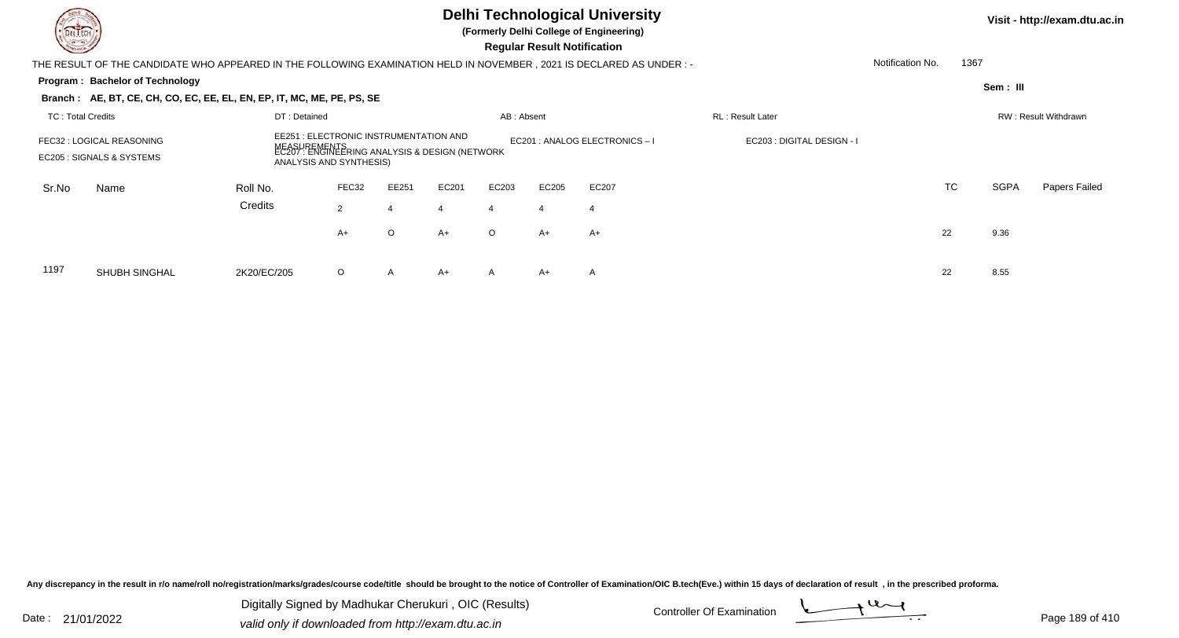|                          |                                                                                                                       |                                                                   |                                                                |              |                      |                              |                                    | Visit - http://exam.dtu.ac.in |  |                  |      |             |               |
|--------------------------|-----------------------------------------------------------------------------------------------------------------------|-------------------------------------------------------------------|----------------------------------------------------------------|--------------|----------------------|------------------------------|------------------------------------|-------------------------------|--|------------------|------|-------------|---------------|
|                          | THE RESULT OF THE CANDIDATE WHO APPEARED IN THE FOLLOWING EXAMINATION HELD IN NOVEMBER , 2021 IS DECLARED AS UNDER :- |                                                                   |                                                                |              |                      |                              | <b>Regular Result Notification</b> |                               |  | Notification No. | 1367 |             |               |
|                          | Program: Bachelor of Technology                                                                                       |                                                                   |                                                                |              |                      |                              |                                    |                               |  |                  |      | Sem: III    |               |
|                          | Branch: AE, BT, CE, CH, CO, EC, EE, EL, EN, EP, IT, MC, ME, PE, PS, SE                                                |                                                                   |                                                                |              |                      |                              |                                    |                               |  |                  |      |             |               |
| <b>TC: Total Credits</b> |                                                                                                                       |                                                                   |                                                                |              | RW: Result Withdrawn |                              |                                    |                               |  |                  |      |             |               |
|                          | FEC32 : LOGICAL REASONING<br>EC205 : SIGNALS & SYSTEMS                                                                | EE251 : ELECTRONIC INSTRUMENTATION AND<br>ANALYSIS AND SYNTHESIS) | MEASUREMENTS<br>EC207 : ENGINEERING ANALYSIS & DESIGN (NETWORK |              |                      | EC201 : ANALOG ELECTRONICS-I | EC203 : DIGITAL DESIGN - I         |                               |  |                  |      |             |               |
| Sr.No                    | Name                                                                                                                  | Roll No.                                                          | FEC32                                                          | EE251        | EC201                | EC203                        | EC205                              | EC207                         |  |                  | TC   | <b>SGPA</b> | Papers Failed |
|                          |                                                                                                                       | Credits                                                           | 2                                                              |              |                      | $\overline{4}$               | $\overline{4}$                     | $\overline{4}$                |  |                  |      |             |               |
|                          |                                                                                                                       |                                                                   | A+                                                             | $\circ$      | $A+$                 | $\circ$                      | A+                                 | $A+$                          |  |                  | 22   | 9.36        |               |
| 1197                     | <b>SHUBH SINGHAL</b>                                                                                                  | 2K20/EC/205                                                       | $\circ$                                                        | $\mathsf{A}$ | A+                   | A                            | A+                                 | A                             |  |                  | 22   | 8.55        |               |

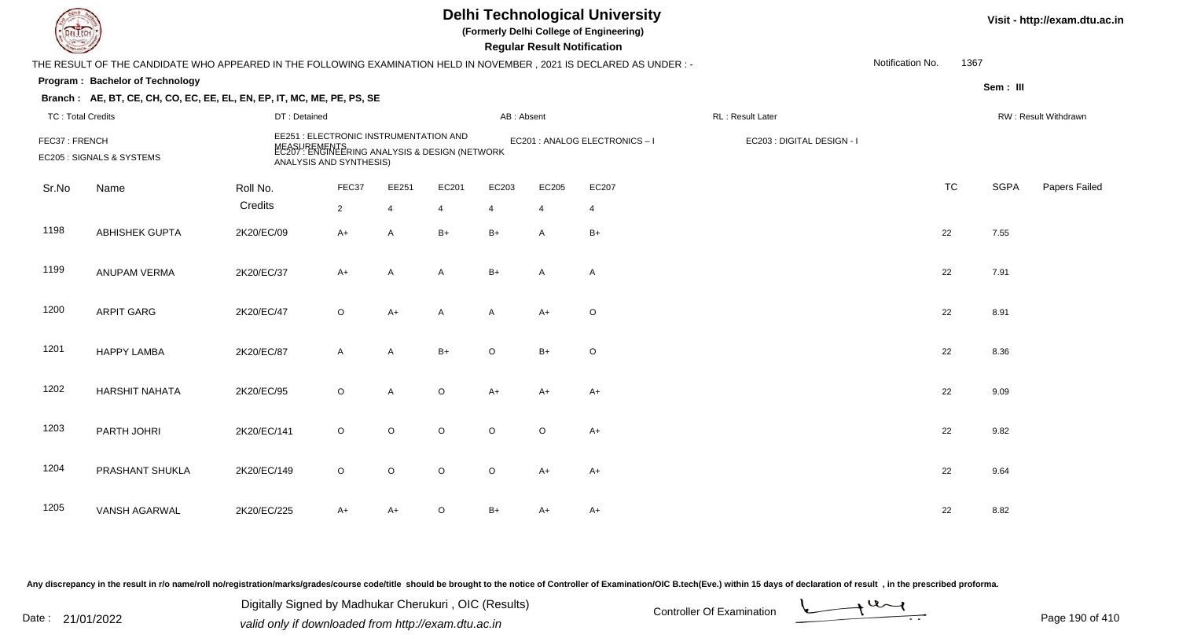| <b>Delhi Technological University</b><br>(Formerly Delhi College of Engineering)<br>EL I ECH<br><b>Regular Result Notification</b><br>THE RESULT OF THE CANDIDATE WHO APPEARED IN THE FOLLOWING EXAMINATION HELD IN NOVEMBER, 2021 IS DECLARED AS UNDER :- |                                                                        |              |                                                                                                                                     |                |                |              |                |                              |                            |                  |           |             | Visit - http://exam.dtu.ac.in |
|------------------------------------------------------------------------------------------------------------------------------------------------------------------------------------------------------------------------------------------------------------|------------------------------------------------------------------------|--------------|-------------------------------------------------------------------------------------------------------------------------------------|----------------|----------------|--------------|----------------|------------------------------|----------------------------|------------------|-----------|-------------|-------------------------------|
|                                                                                                                                                                                                                                                            |                                                                        |              |                                                                                                                                     |                |                |              |                |                              |                            | Notification No. | 1367      |             |                               |
|                                                                                                                                                                                                                                                            | Program: Bachelor of Technology                                        |              |                                                                                                                                     |                |                |              |                |                              |                            |                  |           | Sem: III    |                               |
|                                                                                                                                                                                                                                                            | Branch: AE, BT, CE, CH, CO, EC, EE, EL, EN, EP, IT, MC, ME, PE, PS, SE |              |                                                                                                                                     |                |                |              |                |                              |                            |                  |           |             |                               |
| <b>TC: Total Credits</b>                                                                                                                                                                                                                                   |                                                                        | DT: Detained |                                                                                                                                     |                |                | AB: Absent   |                |                              | RL: Result Later           |                  |           |             | RW: Result Withdrawn          |
| FEC37: FRENCH                                                                                                                                                                                                                                              | EC205 : SIGNALS & SYSTEMS                                              |              | EE251 : ELECTRONIC INSTRUMENTATION AND<br>MEASUREMENTS<br>EC207 : ENGINEERING ANALYSIS & DESIGN (NETWORK<br>ANALYSIS AND SYNTHESIS) |                |                |              |                | EC201 : ANALOG ELECTRONICS-I | EC203 : DIGITAL DESIGN - I |                  |           |             |                               |
| Sr.No                                                                                                                                                                                                                                                      | Name                                                                   | Roll No.     | FEC37                                                                                                                               | EE251          | EC201          | EC203        | EC205          | EC207                        |                            |                  | <b>TC</b> | <b>SGPA</b> | Papers Failed                 |
|                                                                                                                                                                                                                                                            |                                                                        | Credits      | $2^{\circ}$                                                                                                                         | $\overline{4}$ | $\overline{4}$ | 4            | $\overline{4}$ | $\overline{4}$               |                            |                  |           |             |                               |
| 1198                                                                                                                                                                                                                                                       | <b>ABHISHEK GUPTA</b>                                                  | 2K20/EC/09   | A+                                                                                                                                  | A              | $B+$           | $B+$         | A              | $B+$                         |                            |                  | 22        | 7.55        |                               |
| 1199                                                                                                                                                                                                                                                       | ANUPAM VERMA                                                           | 2K20/EC/37   | A+                                                                                                                                  | A              | $\mathsf{A}$   | $B+$         | A              | $\mathsf{A}$                 |                            |                  | 22        | 7.91        |                               |
| 1200                                                                                                                                                                                                                                                       | <b>ARPIT GARG</b>                                                      | 2K20/EC/47   | $\circ$                                                                                                                             | $A+$           | A              | $\mathsf{A}$ | $A+$           | $\circ$                      |                            |                  | 22        | 8.91        |                               |
| 1201                                                                                                                                                                                                                                                       | <b>HAPPY LAMBA</b>                                                     | 2K20/EC/87   | $\mathsf{A}$                                                                                                                        | A              | $B+$           | $\Omega$     | $B+$           | $\circ$                      |                            |                  | 22        | 8.36        |                               |
| 1202                                                                                                                                                                                                                                                       | <b>HARSHIT NAHATA</b>                                                  | 2K20/EC/95   | $\circ$                                                                                                                             | A              | $\circ$        | $A+$         | A+             | $A+$                         |                            |                  | 22        | 9.09        |                               |
| 1203                                                                                                                                                                                                                                                       | PARTH JOHRI                                                            | 2K20/EC/141  | $\circ$                                                                                                                             | $\circ$        | $\circ$        | $\circ$      | $\circ$        | $A+$                         |                            |                  | 22        | 9.82        |                               |
| 1204                                                                                                                                                                                                                                                       | PRASHANT SHUKLA                                                        | 2K20/EC/149  | $\circ$                                                                                                                             | $\mathsf O$    | $\circ$        | $\circ$      | A+             | $A+$                         |                            |                  | 22        | 9.64        |                               |
| 1205                                                                                                                                                                                                                                                       | <b>VANSH AGARWAL</b>                                                   | 2K20/EC/225  | A+                                                                                                                                  | $A+$           | $\circ$        | $B+$         | A+             | A+                           |                            |                  | 22        | 8.82        |                               |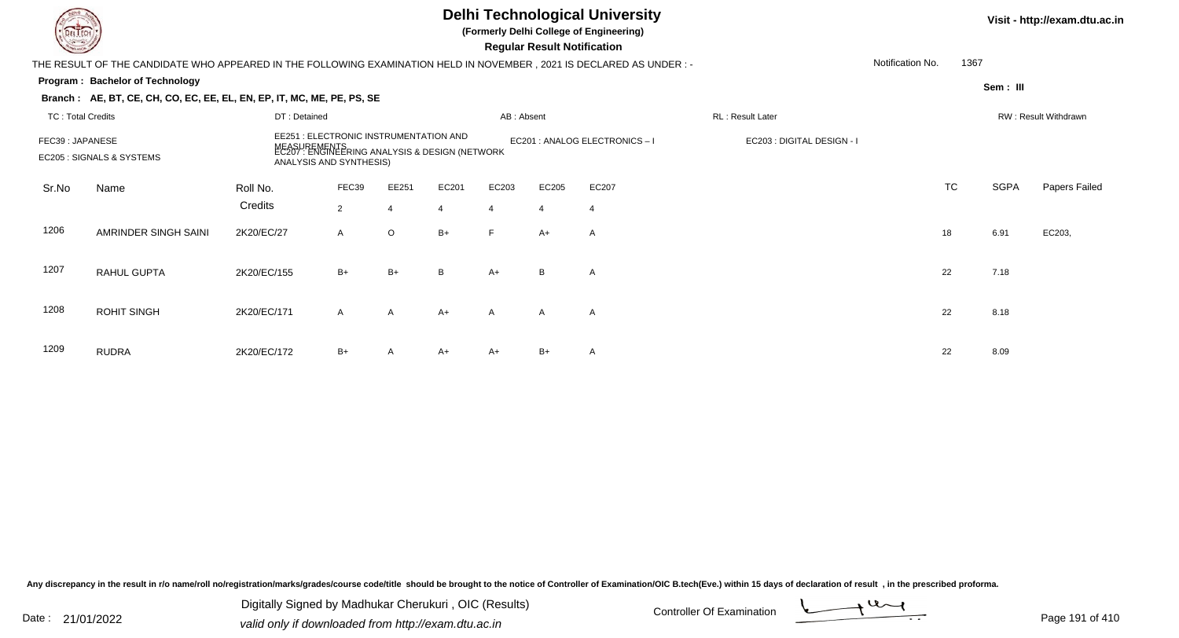|                          |                                                                                                                       |                                                                   |                                                                |                |       |                                | <b>Regular Result Notification</b> | <b>Delhi Technological University</b><br>(Formerly Delhi College of Engineering) |                  |                  |           |             | Visit - http://exam.dtu.ac.in |
|--------------------------|-----------------------------------------------------------------------------------------------------------------------|-------------------------------------------------------------------|----------------------------------------------------------------|----------------|-------|--------------------------------|------------------------------------|----------------------------------------------------------------------------------|------------------|------------------|-----------|-------------|-------------------------------|
|                          | THE RESULT OF THE CANDIDATE WHO APPEARED IN THE FOLLOWING EXAMINATION HELD IN NOVEMBER , 2021 IS DECLARED AS UNDER :- |                                                                   |                                                                |                |       |                                |                                    |                                                                                  |                  | Notification No. | 1367      |             |                               |
|                          | <b>Program: Bachelor of Technology</b>                                                                                |                                                                   |                                                                |                |       |                                |                                    |                                                                                  |                  |                  |           |             |                               |
|                          | Branch: AE, BT, CE, CH, CO, EC, EE, EL, EN, EP, IT, MC, ME, PE, PS, SE                                                |                                                                   |                                                                |                |       |                                |                                    |                                                                                  |                  |                  |           | Sem : III   |                               |
| <b>TC: Total Credits</b> |                                                                                                                       | DT: Detained                                                      |                                                                |                |       | AB: Absent                     |                                    |                                                                                  | RL: Result Later |                  |           |             | RW: Result Withdrawn          |
| FEC39: JAPANESE          | EC205 : SIGNALS & SYSTEMS                                                                                             | EE251 : ELECTRONIC INSTRUMENTATION AND<br>ANALYSIS AND SYNTHESIS) | MEASUREMENTS<br>EC207 : ENGINEERING ANALYSIS & DESIGN (NETWORK |                |       | EC201 : ANALOG ELECTRONICS - I | EC203 : DIGITAL DESIGN - I         |                                                                                  |                  |                  |           |             |                               |
| Sr.No                    | Name                                                                                                                  | Roll No.                                                          | FEC39                                                          | EE251          | EC201 | EC203                          | EC205                              | EC207                                                                            |                  |                  | <b>TC</b> | <b>SGPA</b> | Papers Failed                 |
|                          |                                                                                                                       | Credits                                                           | $\overline{2}$                                                 | $\overline{4}$ |       | $\overline{4}$                 | 4                                  | 4                                                                                |                  |                  |           |             |                               |
| 1206                     | AMRINDER SINGH SAINI                                                                                                  | 2K20/EC/27                                                        | A                                                              | $\circ$        | $B+$  | $\mathsf{F}$                   | A+                                 | $\mathsf{A}$                                                                     |                  |                  | 18        | 6.91        | EC203,                        |
| 1207                     | <b>RAHUL GUPTA</b>                                                                                                    | 2K20/EC/155                                                       | $B+$                                                           | $B+$           | B     | $A+$                           | B                                  | $\mathsf{A}$                                                                     |                  |                  | 22        | 7.18        |                               |
| 1208                     | <b>ROHIT SINGH</b>                                                                                                    | 2K20/EC/171                                                       | A                                                              | A              | $A+$  | $\mathsf{A}$                   | $\overline{A}$                     | $\mathsf{A}$                                                                     |                  |                  | 22        | 8.18        |                               |
| 1209                     | <b>RUDRA</b>                                                                                                          | 2K20/EC/172                                                       | $B+$                                                           | A              | A+    | $A+$                           | $B+$                               | $\mathsf{A}$                                                                     |                  |                  | 22        | 8.09        |                               |

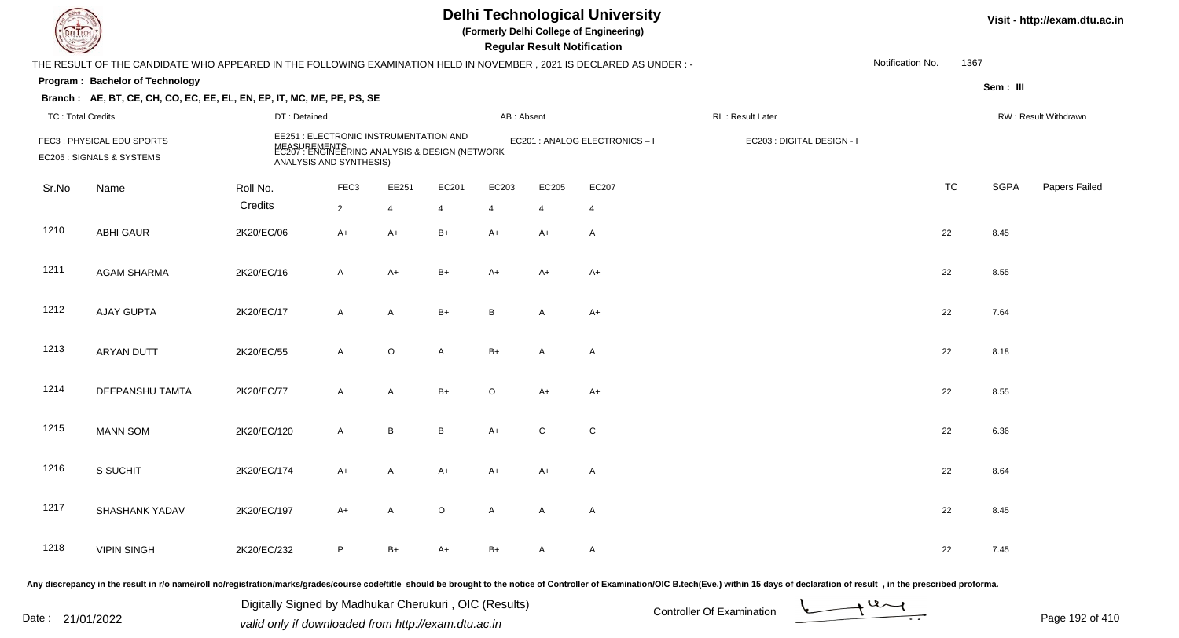| EL ECH                   |                                                                                                                      |                                                                                                                                     |                  |                |         |                | <b>Regular Result Notification</b> | <b>Delhi Technological University</b><br>(Formerly Delhi College of Engineering) |                            |                  |           |             | Visit - http://exam.dtu.ac.in |
|--------------------------|----------------------------------------------------------------------------------------------------------------------|-------------------------------------------------------------------------------------------------------------------------------------|------------------|----------------|---------|----------------|------------------------------------|----------------------------------------------------------------------------------|----------------------------|------------------|-----------|-------------|-------------------------------|
|                          | THE RESULT OF THE CANDIDATE WHO APPEARED IN THE FOLLOWING EXAMINATION HELD IN NOVEMBER, 2021 IS DECLARED AS UNDER :- |                                                                                                                                     |                  |                |         |                |                                    |                                                                                  |                            | Notification No. | 1367      |             |                               |
|                          | Program: Bachelor of Technology                                                                                      |                                                                                                                                     |                  |                |         |                |                                    |                                                                                  |                            |                  |           | Sem: III    |                               |
|                          | Branch: AE, BT, CE, CH, CO, EC, EE, EL, EN, EP, IT, MC, ME, PE, PS, SE                                               |                                                                                                                                     |                  |                |         |                |                                    |                                                                                  |                            |                  |           |             |                               |
| <b>TC: Total Credits</b> |                                                                                                                      | DT: Detained                                                                                                                        |                  |                |         | AB: Absent     |                                    |                                                                                  | RL: Result Later           |                  |           |             | RW: Result Withdrawn          |
|                          | FEC3: PHYSICAL EDU SPORTS<br>EC205 : SIGNALS & SYSTEMS                                                               | EE251 : ELECTRONIC INSTRUMENTATION AND<br>MEASUREMENTS<br>EC207 : ENGINEERING ANALYSIS & DESIGN (NETWORK<br>ANALYSIS AND SYNTHESIS) |                  |                |         |                |                                    | EC201 : ANALOG ELECTRONICS - I                                                   | EC203 : DIGITAL DESIGN - I |                  |           |             |                               |
| Sr.No                    | Name                                                                                                                 | Roll No.                                                                                                                            | FEC <sub>3</sub> | EE251          | EC201   | EC203          | EC205                              | EC207                                                                            |                            |                  | <b>TC</b> | <b>SGPA</b> | Papers Failed                 |
|                          |                                                                                                                      | Credits                                                                                                                             | $2^{\circ}$      | $\overline{4}$ | 4       | $\overline{4}$ | $\overline{4}$                     | $\overline{4}$                                                                   |                            |                  |           |             |                               |
| 1210                     | <b>ABHI GAUR</b>                                                                                                     | 2K20/EC/06                                                                                                                          | $A+$             | $A+$           | $B+$    | $A+$           | A+                                 | A                                                                                |                            | 22               |           | 8.45        |                               |
| 1211                     | <b>AGAM SHARMA</b>                                                                                                   | 2K20/EC/16                                                                                                                          | A                | $A+$           | $B+$    | $A+$           | A+                                 | A+                                                                               |                            | 22               |           | 8.55        |                               |
| 1212                     | <b>AJAY GUPTA</b>                                                                                                    | 2K20/EC/17                                                                                                                          | A                | A              | $B+$    | B              | $\mathsf{A}$                       | $A+$                                                                             |                            | 22               |           | 7.64        |                               |
| 1213                     | ARYAN DUTT                                                                                                           | 2K20/EC/55                                                                                                                          | $\mathsf{A}$     | $\mathsf O$    | A       | $B+$           | $\mathsf{A}$                       | A                                                                                |                            | 22               |           | 8.18        |                               |
| 1214                     | DEEPANSHU TAMTA                                                                                                      | 2K20/EC/77                                                                                                                          | $\mathsf{A}$     | A              | $B+$    | $\circ$        | A+                                 | A+                                                                               |                            | 22               |           | 8.55        |                               |
| 1215                     | <b>MANN SOM</b>                                                                                                      | 2K20/EC/120                                                                                                                         | A                | $\, {\bf B}$   | B       | $A+$           | $\mathsf C$                        | ${\rm C}$                                                                        |                            | 22               |           | 6.36        |                               |
| 1216                     | S SUCHIT                                                                                                             | 2K20/EC/174                                                                                                                         | A+               | A              | A+      | A+             | A+                                 | Α                                                                                |                            | 22               |           | 8.64        |                               |
| 1217                     | SHASHANK YADAV                                                                                                       | 2K20/EC/197                                                                                                                         | A+               | A              | $\circ$ | $\mathsf{A}$   | A                                  | A                                                                                |                            | 22               |           | 8.45        |                               |
| 1218                     | <b>VIPIN SINGH</b>                                                                                                   | 2K20/EC/232                                                                                                                         | P.               | $B+$           | A+      | B+             | A                                  | $\mathsf{A}$                                                                     |                            | 22               |           | 7.45        |                               |
|                          |                                                                                                                      |                                                                                                                                     |                  |                |         |                |                                    |                                                                                  |                            |                  |           |             |                               |

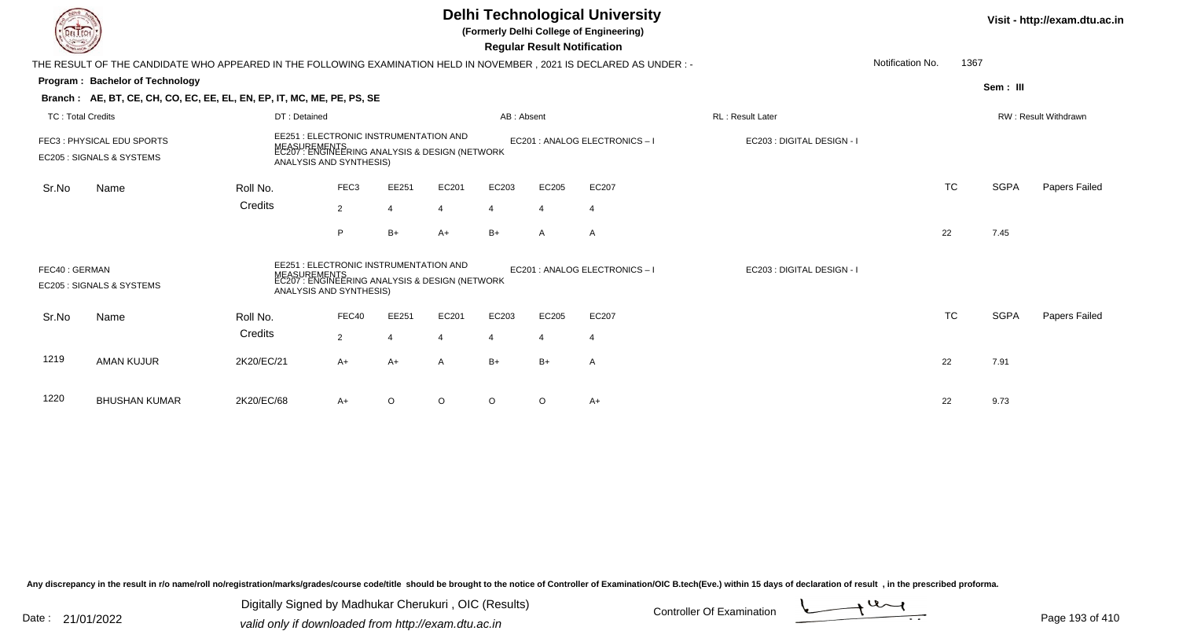|                          |                                                                                                                                                                                               |              |                                                                                                                           |                         |       | Visit - http://exam.dtu.ac.in |                                    |                                |                            |                  |           |             |                      |
|--------------------------|-----------------------------------------------------------------------------------------------------------------------------------------------------------------------------------------------|--------------|---------------------------------------------------------------------------------------------------------------------------|-------------------------|-------|-------------------------------|------------------------------------|--------------------------------|----------------------------|------------------|-----------|-------------|----------------------|
|                          | THE RESULT OF THE CANDIDATE WHO APPEARED IN THE FOLLOWING EXAMINATION HELD IN NOVEMBER , 2021 IS DECLARED AS UNDER : -                                                                        |              |                                                                                                                           |                         |       |                               | <b>Regular Result Notification</b> |                                |                            | Notification No. | 1367      |             |                      |
|                          | Program: Bachelor of Technology                                                                                                                                                               |              |                                                                                                                           |                         |       |                               |                                    |                                |                            |                  |           | Sem: III    |                      |
|                          | Branch: AE, BT, CE, CH, CO, EC, EE, EL, EN, EP, IT, MC, ME, PE, PS, SE                                                                                                                        |              |                                                                                                                           |                         |       |                               |                                    |                                |                            |                  |           |             |                      |
| <b>TC: Total Credits</b> |                                                                                                                                                                                               | DT: Detained |                                                                                                                           |                         |       | AB: Absent                    |                                    |                                | <b>RL: Result Later</b>    |                  |           |             | RW: Result Withdrawn |
|                          | EE251 : ELECTRONIC INSTRUMENTATION AND<br>FEC3: PHYSICAL EDU SPORTS<br>MEASUREMENTS<br>EC207 : ENGINEERING ANALYSIS & DESIGN (NETWORK<br>EC205 : SIGNALS & SYSTEMS<br>ANALYSIS AND SYNTHESIS) |              |                                                                                                                           |                         |       |                               |                                    | EC201 : ANALOG ELECTRONICS - I | EC203 : DIGITAL DESIGN - I |                  |           |             |                      |
| Sr.No                    | Name                                                                                                                                                                                          | Roll No.     | FEC3                                                                                                                      | EE251                   | EC201 | EC203                         | EC205                              | EC207                          |                            |                  | <b>TC</b> | <b>SGPA</b> | Papers Failed        |
|                          |                                                                                                                                                                                               | Credits      | $\overline{2}$                                                                                                            | $\overline{4}$          |       | 4                             |                                    | 4                              |                            |                  |           |             |                      |
|                          |                                                                                                                                                                                               |              | P                                                                                                                         | $B+$                    | $A+$  | $B+$                          | $\mathsf{A}$                       | A                              |                            |                  | 22        | 7.45        |                      |
| FEC40: GERMAN            | EC205 : SIGNALS & SYSTEMS                                                                                                                                                                     |              | EE251 : ELECTRONIC INSTRUMENTATION AND<br>IREMENTS<br>: ENGINEERING ANALYSIS & DESIGN (NETWORK<br>ANALYSIS AND SYNTHESIS) |                         |       |                               |                                    | EC201 : ANALOG ELECTRONICS - I | EC203 : DIGITAL DESIGN - I |                  |           |             |                      |
| Sr.No                    | Name                                                                                                                                                                                          | Roll No.     | FEC40                                                                                                                     | EE251                   | EC201 | EC203                         | EC205                              | EC207                          |                            |                  | <b>TC</b> | <b>SGPA</b> | Papers Failed        |
|                          |                                                                                                                                                                                               | Credits      | $\overline{2}$                                                                                                            | $\overline{\mathbf{4}}$ |       | $\overline{4}$                | 4                                  | 4                              |                            |                  |           |             |                      |
| 1219                     | <b>AMAN KUJUR</b>                                                                                                                                                                             | 2K20/EC/21   | $A+$                                                                                                                      | $A+$                    | A     | $B+$                          | $B+$                               | $\mathsf{A}$                   |                            |                  | 22        | 7.91        |                      |
| 1220                     | <b>BHUSHAN KUMAR</b>                                                                                                                                                                          | 2K20/EC/68   | A+                                                                                                                        | O                       | O     | $\circ$                       | $\circ$                            | $A+$                           |                            |                  | 22        | 9.73        |                      |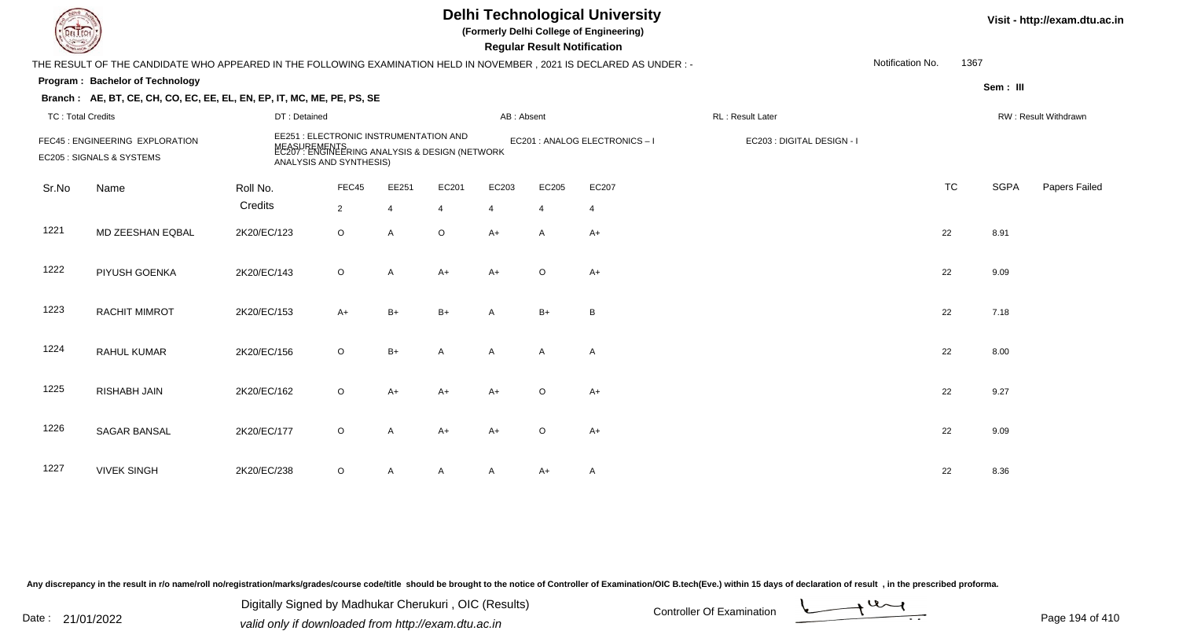| LI ECH                   |                                                                                                                      |              |                                                                                                                                     |                |              |                | <b>Regular Result Notification</b> | <b>Delhi Technological University</b><br>(Formerly Delhi College of Engineering) |                            |                  |           |             | Visit - http://exam.dtu.ac.in |
|--------------------------|----------------------------------------------------------------------------------------------------------------------|--------------|-------------------------------------------------------------------------------------------------------------------------------------|----------------|--------------|----------------|------------------------------------|----------------------------------------------------------------------------------|----------------------------|------------------|-----------|-------------|-------------------------------|
|                          | THE RESULT OF THE CANDIDATE WHO APPEARED IN THE FOLLOWING EXAMINATION HELD IN NOVEMBER, 2021 IS DECLARED AS UNDER :- |              |                                                                                                                                     |                |              |                |                                    |                                                                                  |                            | Notification No. | 1367      |             |                               |
|                          | Program: Bachelor of Technology                                                                                      |              |                                                                                                                                     |                |              |                |                                    |                                                                                  |                            |                  |           | Sem: III    |                               |
|                          | Branch: AE, BT, CE, CH, CO, EC, EE, EL, EN, EP, IT, MC, ME, PE, PS, SE                                               |              |                                                                                                                                     |                |              |                |                                    |                                                                                  |                            |                  |           |             |                               |
| <b>TC: Total Credits</b> |                                                                                                                      | DT: Detained |                                                                                                                                     |                |              | AB: Absent     |                                    |                                                                                  | RL: Result Later           |                  |           |             | RW: Result Withdrawn          |
|                          | FEC45 : ENGINEERING EXPLORATION<br>EC205 : SIGNALS & SYSTEMS                                                         |              | EE251 : ELECTRONIC INSTRUMENTATION AND<br>MEASUREMENTS<br>EC207 : ENGINEERING ANALYSIS & DESIGN (NETWORK<br>ANALYSIS AND SYNTHESIS) |                |              |                |                                    | EC201 : ANALOG ELECTRONICS-I                                                     | EC203 : DIGITAL DESIGN - I |                  |           |             |                               |
| Sr.No                    | Name                                                                                                                 | Roll No.     | FEC45                                                                                                                               | EE251          | EC201        | EC203          | EC205                              | EC207                                                                            |                            |                  | <b>TC</b> | <b>SGPA</b> | Papers Failed                 |
|                          |                                                                                                                      | Credits      | $\overline{2}$                                                                                                                      | $\overline{4}$ | 4            | $\overline{4}$ | $\overline{4}$                     | $\overline{4}$                                                                   |                            |                  |           |             |                               |
| 1221                     | MD ZEESHAN EQBAL                                                                                                     | 2K20/EC/123  | $\circ$                                                                                                                             | $\mathsf{A}$   | $\circ$      | $A+$           | Α                                  | $A+$                                                                             |                            |                  | 22        | 8.91        |                               |
| 1222                     | PIYUSH GOENKA                                                                                                        | 2K20/EC/143  | $\circ$                                                                                                                             | A              | $A+$         | $A+$           | $\circ$                            | $A+$                                                                             |                            |                  | 22        | 9.09        |                               |
| 1223                     | RACHIT MIMROT                                                                                                        | 2K20/EC/153  | $A+$                                                                                                                                | $B+$           | $B+$         | A              | $B+$                               | B                                                                                |                            |                  | 22        | 7.18        |                               |
| 1224                     | <b>RAHUL KUMAR</b>                                                                                                   | 2K20/EC/156  | $\circ$                                                                                                                             | $B+$           | $\mathsf{A}$ | $\mathsf{A}$   | A                                  | $\mathsf{A}$                                                                     |                            |                  | 22        | 8.00        |                               |
| 1225                     | <b>RISHABH JAIN</b>                                                                                                  | 2K20/EC/162  | $\circ$                                                                                                                             | $A+$           | $A+$         | $A+$           | $\circ$                            | $A+$                                                                             |                            |                  | 22        | 9.27        |                               |
| 1226                     | SAGAR BANSAL                                                                                                         | 2K20/EC/177  | O                                                                                                                                   | A              | A+           | $A+$           | $\circ$                            | $A+$                                                                             |                            |                  | 22        | 9.09        |                               |
| 1227                     | <b>VIVEK SINGH</b>                                                                                                   | 2K20/EC/238  | O                                                                                                                                   | A              | A            | A              | A+                                 | A                                                                                |                            |                  | 22        | 8.36        |                               |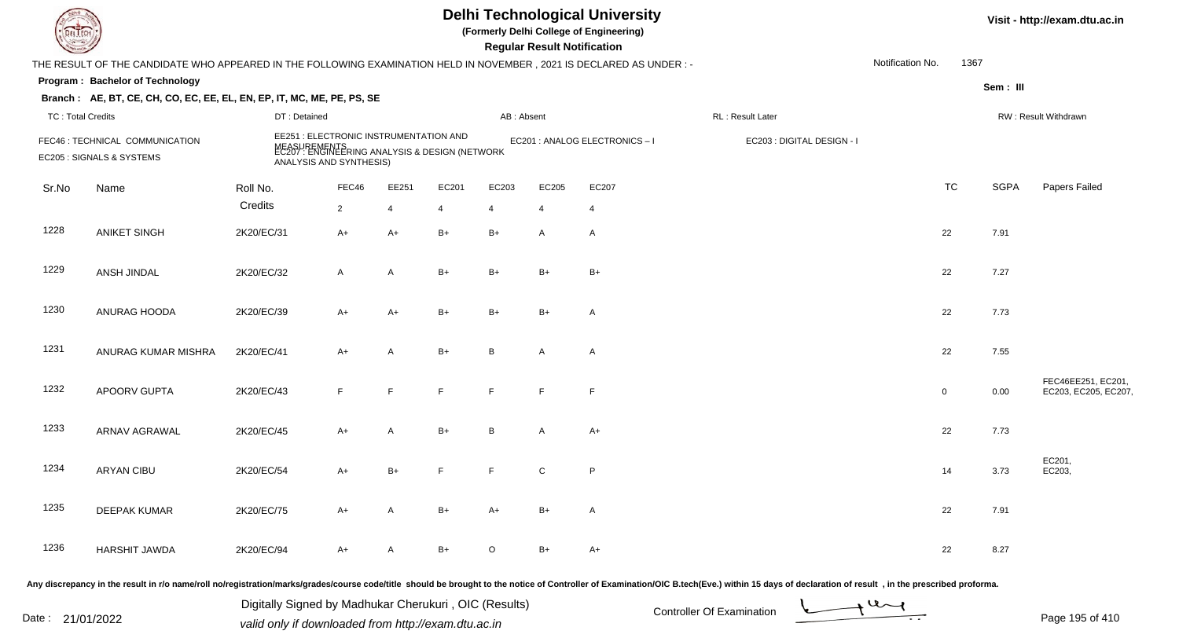| DEL TECH                 |                                                                                                                       |                                                                                                                                     |              |                |       |            | <b>Regular Result Notification</b> | <b>Delhi Technological University</b><br>(Formerly Delhi College of Engineering) |                                                                                                                                                                                                                                |                  |              |             | Visit - http://exam.dtu.ac.in             |
|--------------------------|-----------------------------------------------------------------------------------------------------------------------|-------------------------------------------------------------------------------------------------------------------------------------|--------------|----------------|-------|------------|------------------------------------|----------------------------------------------------------------------------------|--------------------------------------------------------------------------------------------------------------------------------------------------------------------------------------------------------------------------------|------------------|--------------|-------------|-------------------------------------------|
|                          | THE RESULT OF THE CANDIDATE WHO APPEARED IN THE FOLLOWING EXAMINATION HELD IN NOVEMBER, 2021 IS DECLARED AS UNDER : - |                                                                                                                                     |              |                |       |            |                                    |                                                                                  |                                                                                                                                                                                                                                | Notification No. | 1367         |             |                                           |
|                          | Program: Bachelor of Technology                                                                                       |                                                                                                                                     |              |                |       |            |                                    |                                                                                  |                                                                                                                                                                                                                                |                  |              | Sem : III   |                                           |
|                          | Branch: AE, BT, CE, CH, CO, EC, EE, EL, EN, EP, IT, MC, ME, PE, PS, SE                                                |                                                                                                                                     |              |                |       |            |                                    |                                                                                  |                                                                                                                                                                                                                                |                  |              |             |                                           |
| <b>TC: Total Credits</b> |                                                                                                                       | DT: Detained                                                                                                                        |              |                |       | AB: Absent |                                    |                                                                                  | RL: Result Later                                                                                                                                                                                                               |                  |              |             | RW: Result Withdrawn                      |
|                          | FEC46 : TECHNICAL COMMUNICATION<br>EC205 : SIGNALS & SYSTEMS                                                          | EE251 : ELECTRONIC INSTRUMENTATION AND<br>MEASUREMENTS<br>EC207 : ENGINEERING ANALYSIS & DESIGN (NETWORK<br>ANALYSIS AND SYNTHESIS) |              |                |       |            |                                    | EC201 : ANALOG ELECTRONICS-I                                                     | EC203 : DIGITAL DESIGN - I                                                                                                                                                                                                     |                  |              |             |                                           |
| Sr.No                    | Name                                                                                                                  | Roll No.                                                                                                                            | FEC46        | EE251          | EC201 | EC203      | EC205                              | EC207                                                                            |                                                                                                                                                                                                                                |                  | <b>TC</b>    | <b>SGPA</b> | Papers Failed                             |
|                          |                                                                                                                       | Credits                                                                                                                             | 2            | $\overline{4}$ | 4     | 4          | $\overline{4}$                     | $\overline{4}$                                                                   |                                                                                                                                                                                                                                |                  |              |             |                                           |
| 1228                     | <b>ANIKET SINGH</b>                                                                                                   | 2K20/EC/31                                                                                                                          | $A+$         | $A+$           | $B+$  | $B+$       | $\mathsf{A}$                       | $\overline{A}$                                                                   |                                                                                                                                                                                                                                |                  | 22           | 7.91        |                                           |
| 1229                     | ANSH JINDAL                                                                                                           | 2K20/EC/32                                                                                                                          | $\mathsf{A}$ | A              | $B+$  | $B+$       | $B+$                               | $B+$                                                                             |                                                                                                                                                                                                                                |                  | 22           | 7.27        |                                           |
| 1230                     | ANURAG HOODA                                                                                                          | 2K20/EC/39                                                                                                                          | $A+$         | $A+$           | $B+$  | $B+$       | $B+$                               | $\overline{A}$                                                                   |                                                                                                                                                                                                                                |                  | 22           | 7.73        |                                           |
| 1231                     | ANURAG KUMAR MISHRA                                                                                                   | 2K20/EC/41                                                                                                                          | $A+$         | A              | $B+$  | B          | A                                  | $\overline{A}$                                                                   |                                                                                                                                                                                                                                |                  | 22           | 7.55        |                                           |
| 1232                     | APOORV GUPTA                                                                                                          | 2K20/EC/43                                                                                                                          | F.           | F.             | F.    | E          | F                                  | $\mathsf{F}$                                                                     |                                                                                                                                                                                                                                |                  | $\mathbf{0}$ | 0.00        | FEC46EE251, EC201,<br>EC203, EC205, EC207 |
| 1233                     | <b>ARNAV AGRAWAL</b>                                                                                                  | 2K20/EC/45                                                                                                                          | $A+$         | A              | $B+$  | B.         | A                                  | $A+$                                                                             |                                                                                                                                                                                                                                |                  | 22           | 7.73        |                                           |
| 1234                     | <b>ARYAN CIBU</b>                                                                                                     | 2K20/EC/54                                                                                                                          | A+           | $B+$           |       |            | ${\bf C}$                          | $\sf P$                                                                          |                                                                                                                                                                                                                                |                  | 14           | 3.73        | EC201,<br>EC203,                          |
| 1235                     | <b>DEEPAK KUMAR</b>                                                                                                   | 2K20/EC/75                                                                                                                          | A+           | A              | $B+$  | $A+$       | $B+$                               | $\mathsf{A}$                                                                     |                                                                                                                                                                                                                                |                  | 22           | 7.91        |                                           |
| 1236                     | <b>HARSHIT JAWDA</b>                                                                                                  | 2K20/EC/94                                                                                                                          | A+           | A              | B+    | $\circ$    | $B+$                               | $A+$                                                                             |                                                                                                                                                                                                                                |                  | 22           | 8.27        |                                           |
|                          |                                                                                                                       |                                                                                                                                     |              |                |       |            |                                    |                                                                                  | Any discrepancy in the result in r/o name/roll no/registration/marks/grades/course code/title should be brought to the notice of Controller of Examination/OIC B.tech(Eve.) within 15 days of declaration of result , in the p |                  |              |             |                                           |

Date : 21/01/2022 Digital Digital of Microsofted Chemical Controller Of Examination Determination Page 195 of 41 Digitally Signed by Madhukar Cherukuri , OIC (Results)

Page 195 of 410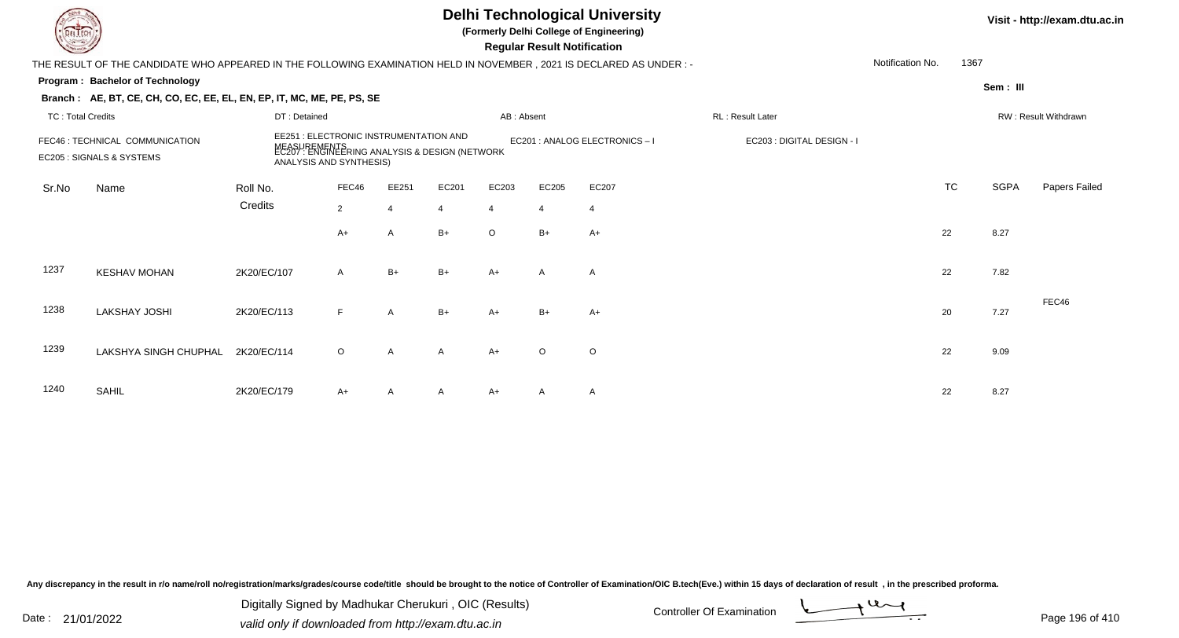|                          |                                                                                                                      |              |                |                                        |                                                                |                | Visit - http://exam.dtu.ac.in      |                                |                            |                  |      |             |                      |
|--------------------------|----------------------------------------------------------------------------------------------------------------------|--------------|----------------|----------------------------------------|----------------------------------------------------------------|----------------|------------------------------------|--------------------------------|----------------------------|------------------|------|-------------|----------------------|
|                          | THE RESULT OF THE CANDIDATE WHO APPEARED IN THE FOLLOWING EXAMINATION HELD IN NOVEMBER, 2021 IS DECLARED AS UNDER: - |              |                |                                        |                                                                |                | <b>Regular Result Notification</b> |                                |                            | Notification No. | 1367 |             |                      |
|                          | Program: Bachelor of Technology                                                                                      |              |                |                                        |                                                                |                |                                    |                                |                            |                  |      | Sem: III    |                      |
|                          | Branch: AE, BT, CE, CH, CO, EC, EE, EL, EN, EP, IT, MC, ME, PE, PS, SE                                               |              |                |                                        |                                                                |                |                                    |                                |                            |                  |      |             |                      |
| <b>TC: Total Credits</b> |                                                                                                                      | DT: Detained |                |                                        |                                                                | AB: Absent     |                                    |                                | RL: Result Later           |                  |      |             | RW: Result Withdrawn |
|                          | FEC46 : TECHNICAL COMMUNICATION<br>EC205 : SIGNALS & SYSTEMS<br>ANALYSIS AND SYNTHESIS)                              |              |                | EE251 : ELECTRONIC INSTRUMENTATION AND | MEASUREMENTS<br>EC207 : ENGINEERING ANALYSIS & DESIGN (NETWORK |                |                                    | EC201 : ANALOG ELECTRONICS - I | EC203 : DIGITAL DESIGN - I |                  |      |             |                      |
| Sr.No                    | Name                                                                                                                 | Roll No.     | FEC46          | EE251                                  | EC201                                                          | EC203          | EC205                              | EC207                          |                            |                  | TC   | <b>SGPA</b> | Papers Failed        |
|                          |                                                                                                                      | Credits      | $\overline{2}$ | $\overline{4}$                         | 4                                                              | $\overline{4}$ | 4                                  | $\overline{4}$                 |                            |                  |      |             |                      |
|                          |                                                                                                                      |              | A+             | A                                      | B+                                                             | $\circ$        | $B+$                               | $A+$                           |                            |                  | 22   | 8.27        |                      |
| 1237                     | <b>KESHAV MOHAN</b>                                                                                                  | 2K20/EC/107  | $\mathsf{A}$   | $B+$                                   | B+                                                             | $A+$           | A                                  | A                              |                            |                  | 22   | 7.82        |                      |
| 1238                     | <b>LAKSHAY JOSHI</b>                                                                                                 | 2K20/EC/113  | F              | A                                      | $B+$                                                           | A+             | $B+$                               | $A+$                           |                            |                  | 20   | 7.27        | FEC46                |
| 1239                     | LAKSHYA SINGH CHUPHAL                                                                                                | 2K20/EC/114  | $\circ$        | A                                      | A                                                              | $A+$           | $\circ$                            | O                              |                            |                  | 22   | 9.09        |                      |
| 1240                     | SAHIL                                                                                                                | 2K20/EC/179  | A+             | A                                      | A                                                              | A+             | A                                  | A                              |                            |                  | 22   | 8.27        |                      |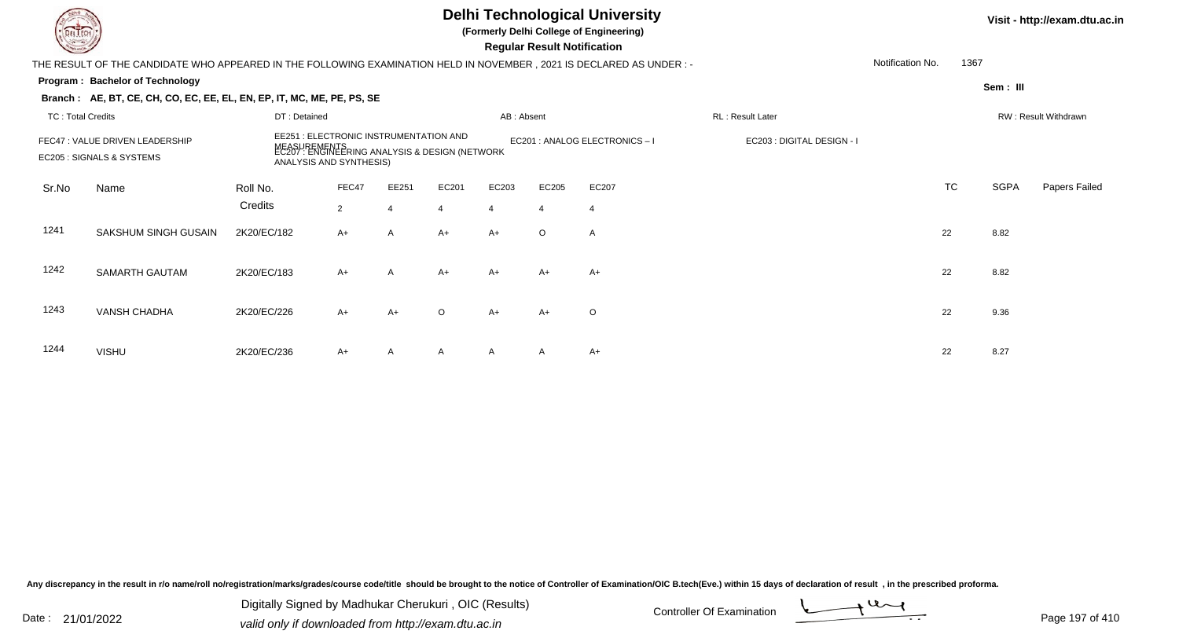## **Delhi Technological University**

**(Formerly Delhi College of Engineering)**

 **Regular Result Notification**

|                          |                                                                                                                                                                                                     |              |       |              |                |              | $1.99$ and $1.000$ and $1.000$ and $0.000$ |                              |                            |                  |           |             |                      |
|--------------------------|-----------------------------------------------------------------------------------------------------------------------------------------------------------------------------------------------------|--------------|-------|--------------|----------------|--------------|--------------------------------------------|------------------------------|----------------------------|------------------|-----------|-------------|----------------------|
|                          | THE RESULT OF THE CANDIDATE WHO APPEARED IN THE FOLLOWING EXAMINATION HELD IN NOVEMBER , 2021 IS DECLARED AS UNDER :-                                                                               |              |       |              |                |              |                                            |                              |                            | Notification No. | 1367      |             |                      |
|                          | Program: Bachelor of Technology                                                                                                                                                                     |              |       |              |                |              |                                            |                              |                            |                  |           | Sem: III    |                      |
|                          | Branch: AE, BT, CE, CH, CO, EC, EE, EL, EN, EP, IT, MC, ME, PE, PS, SE                                                                                                                              |              |       |              |                |              |                                            |                              |                            |                  |           |             |                      |
| <b>TC: Total Credits</b> |                                                                                                                                                                                                     | DT: Detained |       |              |                | AB: Absent   |                                            |                              | RL: Result Later           |                  |           |             | RW: Result Withdrawn |
|                          | EE251 : ELECTRONIC INSTRUMENTATION AND<br>FEC47 : VALUE DRIVEN LEADERSHIP<br>MEASUREMENTS<br>EC207 : ENGINEERING ANALYSIS & DESIGN (NETWORK<br>EC205 : SIGNALS & SYSTEMS<br>ANALYSIS AND SYNTHESIS) |              |       |              |                |              |                                            | EC201 : ANALOG ELECTRONICS-I | EC203 : DIGITAL DESIGN - I |                  |           |             |                      |
| Sr.No                    | Name                                                                                                                                                                                                | Roll No.     | FEC47 | EE251        | EC201          | EC203        | EC205                                      | EC207                        |                            |                  | <b>TC</b> | <b>SGPA</b> | Papers Failed        |
|                          |                                                                                                                                                                                                     | Credits      | 2     |              | $\overline{4}$ | 4            | $\overline{4}$                             |                              |                            |                  |           |             |                      |
| 1241                     | SAKSHUM SINGH GUSAIN                                                                                                                                                                                | 2K20/EC/182  | $A+$  | $\mathsf{A}$ | $A+$           | $A+$         | $\circ$                                    | $\mathsf{A}$                 |                            | 22               |           | 8.82        |                      |
| 1242                     | SAMARTH GAUTAM                                                                                                                                                                                      | 2K20/EC/183  | $A+$  | A            | $A+$           | $A+$         | $A+$                                       | $A+$                         |                            | 22               |           | 8.82        |                      |
| 1243                     | <b>VANSH CHADHA</b>                                                                                                                                                                                 | 2K20/EC/226  | $A+$  | $A+$         | $\circ$        | $A+$         | $A+$                                       | $\circ$                      |                            | 22               |           | 9.36        |                      |
| 1244                     | <b>VISHU</b>                                                                                                                                                                                        | 2K20/EC/236  | $A+$  | $\mathsf{A}$ | A              | $\mathsf{A}$ | $\mathsf{A}$                               | A+                           |                            | 22               |           | 8.27        |                      |

Any discrepancy in the result in r/o name/roll no/registration/marks/grades/course code/title should be brought to the notice of Controller of Examination/OIC B.tech(Eve.) within 15 days of declaration of result, in the pr

Date : 21/01/2022 Digital Digital of Microsofted Chemical Controller Of Examination Determination Page 197 of 41 Digitally Signed by Madhukar Cherukuri , OIC (Results)

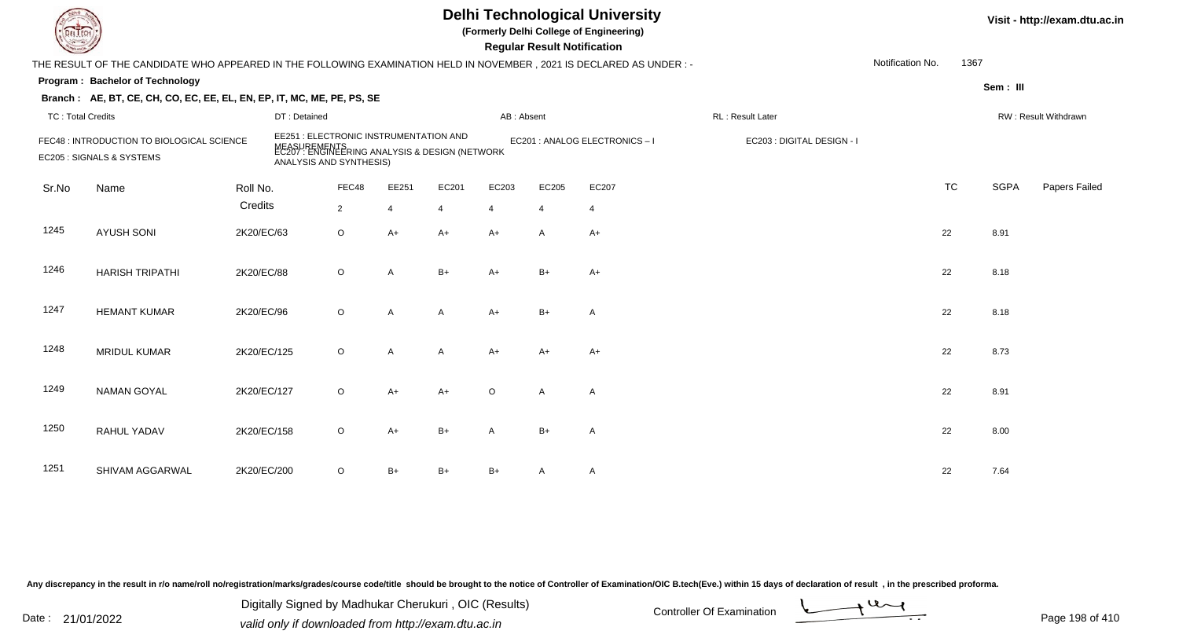## **Delhi Technological University**

**(Formerly Delhi College of Engineering)**

 **Regular Result Notification**

| $\sim$                   |                                                                                                                      |             |                                                                                                                                           |                |       |                |            | n <del>c</del> yular n <del>c</del> sult notification |                              |                            |                  |           |             |                      |
|--------------------------|----------------------------------------------------------------------------------------------------------------------|-------------|-------------------------------------------------------------------------------------------------------------------------------------------|----------------|-------|----------------|------------|-------------------------------------------------------|------------------------------|----------------------------|------------------|-----------|-------------|----------------------|
|                          | THE RESULT OF THE CANDIDATE WHO APPEARED IN THE FOLLOWING EXAMINATION HELD IN NOVEMBER, 2021 IS DECLARED AS UNDER :- |             |                                                                                                                                           |                |       |                |            |                                                       |                              |                            | Notification No. | 1367      |             |                      |
|                          | Program: Bachelor of Technology                                                                                      |             |                                                                                                                                           |                |       |                |            |                                                       |                              |                            |                  |           | Sem: III    |                      |
|                          | Branch: AE, BT, CE, CH, CO, EC, EE, EL, EN, EP, IT, MC, ME, PE, PS, SE                                               |             |                                                                                                                                           |                |       |                |            |                                                       |                              |                            |                  |           |             |                      |
| <b>TC: Total Credits</b> |                                                                                                                      |             | DT: Detained                                                                                                                              |                |       |                | AB: Absent |                                                       |                              | RL: Result Later           |                  |           |             | RW: Result Withdrawn |
|                          | FEC48 : INTRODUCTION TO BIOLOGICAL SCIENCE<br>EC205 : SIGNALS & SYSTEMS                                              |             | <b>EE251: ELECTRONIC INSTRUMENTATION AND</b><br>MEASUREMENTS<br>EC207 : ENGINEERING ANALYSIS & DESIGN (NETWORK<br>ANALYSIS AND SYNTHESIS) |                |       |                |            |                                                       | EC201 : ANALOG ELECTRONICS-I | EC203 : DIGITAL DESIGN - I |                  |           |             |                      |
| Sr.No                    | Name                                                                                                                 | Roll No.    |                                                                                                                                           | FEC48          | EE251 | EC201          | EC203      | EC205                                                 | EC207                        |                            |                  | <b>TC</b> | <b>SGPA</b> | Papers Failec        |
|                          |                                                                                                                      | Credits     |                                                                                                                                           | $\overline{2}$ | 4     | $\overline{4}$ | 4          | $\overline{4}$                                        | 4                            |                            |                  |           |             |                      |
| 1245                     | <b>AYUSH SONI</b>                                                                                                    | 2K20/EC/63  |                                                                                                                                           | $\circ$        | A+    | $A+$           | $A+$       | A                                                     | $A+$                         |                            |                  | 22        | 8.91        |                      |
| 1246                     | <b>HARISH TRIPATHI</b>                                                                                               | 2K20/EC/88  |                                                                                                                                           | $\mathsf O$    | A     | $B+$           | $A+$       | $B+$                                                  | $A+$                         |                            |                  | 22        | 8.18        |                      |
| 1247                     | <b>HEMANT KUMAR</b>                                                                                                  | 2K20/EC/96  |                                                                                                                                           | $\circ$        | A     | A              | $A+$       | $B+$                                                  | A                            |                            |                  | 22        | 8.18        |                      |
| 1248                     | <b>MRIDUL KUMAR</b>                                                                                                  | 2K20/EC/125 |                                                                                                                                           | $\circ$        | A     | A              | $A+$       | A+                                                    | $A+$                         |                            |                  | 22        | 8.73        |                      |
| 1249                     | <b>NAMAN GOYAL</b>                                                                                                   | 2K20/EC/127 |                                                                                                                                           | $\circ$        | A+    | $A+$           | $\circ$    | Α                                                     | Α                            |                            |                  | 22        | 8.91        |                      |
| 1250                     | RAHUL YADAV                                                                                                          | 2K20/EC/158 |                                                                                                                                           | $\circ$        | $A+$  | $B+$           | A          | $B+$                                                  | Α                            |                            |                  | 22        | 8.00        |                      |
| 1251                     | SHIVAM AGGARWAL                                                                                                      | 2K20/EC/200 |                                                                                                                                           | $\circ$        | $B+$  | $B+$           | $B+$       | A                                                     | Α                            |                            |                  | 22        | 7.64        |                      |

Any discrepancy in the result in r/o name/roll no/registration/marks/grades/course code/title should be brought to the notice of Controller of Examination/OIC B.tech(Eve.) within 15 days of declaration of result, in the pr

Date : 21/01/2022 Digital Digital of Microsofted Chemical Controller Of Examination Determination Page 198 of 41 Digitally Signed by Madhukar Cherukuri , OIC (Results)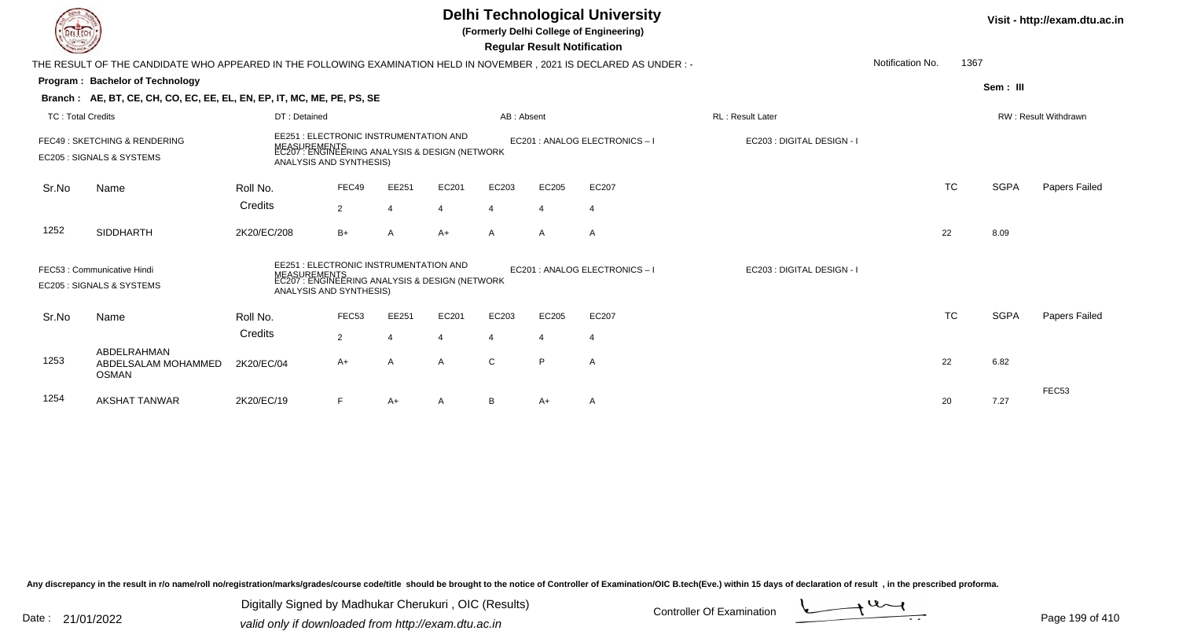|                          |                                                                                                                        |                                                                                                                                     |                   |                |                                                       |                | <b>Regular Result Notification</b> | <b>Delhi Technological University</b><br>(Formerly Delhi College of Engineering) |                            |                  |           |             | Visit - http://exam.dtu.ac.in |
|--------------------------|------------------------------------------------------------------------------------------------------------------------|-------------------------------------------------------------------------------------------------------------------------------------|-------------------|----------------|-------------------------------------------------------|----------------|------------------------------------|----------------------------------------------------------------------------------|----------------------------|------------------|-----------|-------------|-------------------------------|
|                          | THE RESULT OF THE CANDIDATE WHO APPEARED IN THE FOLLOWING EXAMINATION HELD IN NOVEMBER , 2021 IS DECLARED AS UNDER : - |                                                                                                                                     |                   |                |                                                       |                |                                    |                                                                                  |                            | Notification No. | 1367      |             |                               |
|                          | Program: Bachelor of Technology                                                                                        |                                                                                                                                     |                   |                |                                                       |                |                                    |                                                                                  |                            |                  |           | Sem: III    |                               |
|                          | Branch: AE, BT, CE, CH, CO, EC, EE, EL, EN, EP, IT, MC, ME, PE, PS, SE                                                 |                                                                                                                                     |                   |                |                                                       |                |                                    |                                                                                  |                            |                  |           |             |                               |
| <b>TC: Total Credits</b> |                                                                                                                        | DT: Detained                                                                                                                        |                   |                |                                                       | AB: Absent     |                                    |                                                                                  | <b>RL: Result Later</b>    |                  |           |             | RW: Result Withdrawn          |
|                          | FEC49: SKETCHING & RENDERING<br>EC205 : SIGNALS & SYSTEMS                                                              | EE251 : ELECTRONIC INSTRUMENTATION AND<br>MEASUREMENTS<br>EC207 : ENGINEERING ANALYSIS & DESIGN (NETWORK<br>ANALYSIS AND SYNTHESIS) |                   |                |                                                       |                |                                    | EC201 : ANALOG ELECTRONICS - I                                                   | EC203 : DIGITAL DESIGN - I |                  |           |             |                               |
| Sr.No                    | Name                                                                                                                   | Roll No.                                                                                                                            | FEC49             | EE251          | EC201                                                 | EC203          | EC205                              | EC207                                                                            |                            |                  | <b>TC</b> | <b>SGPA</b> | <b>Papers Failed</b>          |
|                          |                                                                                                                        | Credits                                                                                                                             | $\overline{2}$    | $\overline{4}$ |                                                       | $\overline{4}$ | $\overline{4}$                     | $\overline{4}$                                                                   |                            |                  |           |             |                               |
| 1252                     | <b>SIDDHARTH</b>                                                                                                       | 2K20/EC/208                                                                                                                         | $B+$              | $\overline{A}$ | $A+$                                                  | $\mathsf{A}$   | $\mathsf{A}$                       | $\overline{A}$                                                                   |                            |                  | 22        | 8.09        |                               |
|                          | FEC53: Communicative Hindi<br>EC205 : SIGNALS & SYSTEMS                                                                | EE251 : ELECTRONIC INSTRUMENTATION AND<br>ANALYSIS AND SYNTHESIS)                                                                   |                   |                | UREMENTS<br>': ENGINEERING ANALYSIS & DESIGN (NETWORK |                |                                    | EC201 : ANALOG ELECTRONICS - I                                                   | EC203 : DIGITAL DESIGN - I |                  |           |             |                               |
| Sr.No                    | Name                                                                                                                   | Roll No.                                                                                                                            | FEC <sub>53</sub> | EE251          | EC201                                                 | EC203          | EC205                              | EC207                                                                            |                            |                  | <b>TC</b> | <b>SGPA</b> | Papers Failed                 |
|                          |                                                                                                                        | Credits                                                                                                                             | $\overline{2}$    | $\Delta$       | $\boldsymbol{\varDelta}$                              | $\overline{4}$ | $\overline{4}$                     | $\overline{4}$                                                                   |                            |                  |           |             |                               |
| 1253                     | ABDELRAHMAN<br>ABDELSALAM MOHAMMED<br><b>OSMAN</b>                                                                     | 2K20/EC/04                                                                                                                          | A+                | A              | A                                                     | C              | P                                  | $\overline{A}$                                                                   |                            |                  | 22        | 6.82        |                               |
| 1254                     | <b>AKSHAT TANWAR</b>                                                                                                   | 2K20/EC/19                                                                                                                          | F.                | A+             |                                                       | B              | A+                                 | A                                                                                |                            |                  | 20        | 7.27        | FEC <sub>53</sub>             |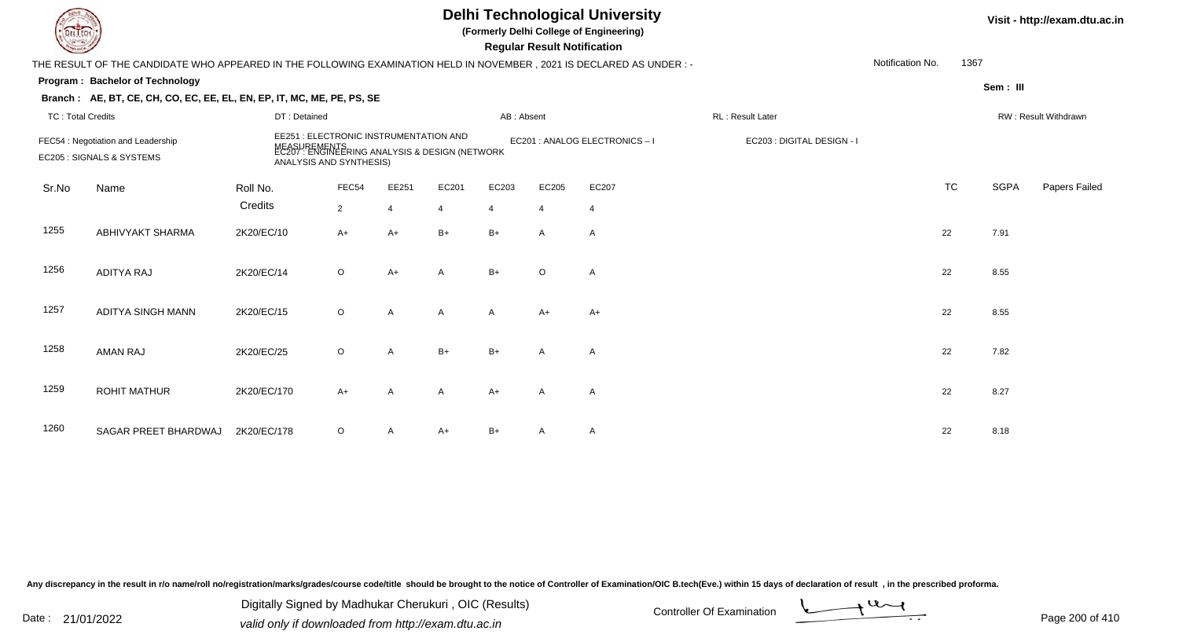| DEL TECH                 |                                                                                                                      |              |                                                                                                                                     |                |                |            | <b>Regular Result Notification</b> | <b>Delhi Technological University</b><br>(Formerly Delhi College of Engineering) |                            |                  |           |             | Visit - http://exam.dtu.a |
|--------------------------|----------------------------------------------------------------------------------------------------------------------|--------------|-------------------------------------------------------------------------------------------------------------------------------------|----------------|----------------|------------|------------------------------------|----------------------------------------------------------------------------------|----------------------------|------------------|-----------|-------------|---------------------------|
|                          | THE RESULT OF THE CANDIDATE WHO APPEARED IN THE FOLLOWING EXAMINATION HELD IN NOVEMBER, 2021 IS DECLARED AS UNDER :- |              |                                                                                                                                     |                |                |            |                                    |                                                                                  |                            | Notification No. | 1367      |             |                           |
|                          | Program: Bachelor of Technology                                                                                      |              |                                                                                                                                     |                |                |            |                                    |                                                                                  |                            |                  |           | Sem: III    |                           |
|                          | Branch: AE, BT, CE, CH, CO, EC, EE, EL, EN, EP, IT, MC, ME, PE, PS, SE                                               |              |                                                                                                                                     |                |                |            |                                    |                                                                                  |                            |                  |           |             |                           |
| <b>TC: Total Credits</b> |                                                                                                                      | DT: Detained |                                                                                                                                     |                |                | AB: Absent |                                    |                                                                                  | RL: Result Later           |                  |           |             | RW: Result Withdrawn      |
|                          | FEC54 : Negotiation and Leadership<br>EC205 : SIGNALS & SYSTEMS                                                      |              | EE251 : ELECTRONIC INSTRUMENTATION AND<br>MEASUREMENTS<br>EC207 : ENGINEERING ANALYSIS & DESIGN (NETWORK<br>ANALYSIS AND SYNTHESIS) |                |                |            |                                    | EC201 : ANALOG ELECTRONICS - I                                                   | EC203 : DIGITAL DESIGN - I |                  |           |             |                           |
| Sr.No                    | Name                                                                                                                 | Roll No.     | FEC54                                                                                                                               | EE251          | EC201          | EC203      | EC205                              | EC207                                                                            |                            |                  | <b>TC</b> | <b>SGPA</b> | <b>Papers Failed</b>      |
|                          |                                                                                                                      | Credits      | $\overline{2}$                                                                                                                      | $\overline{4}$ | $\overline{4}$ | 4          | $\overline{4}$                     | $\overline{4}$                                                                   |                            |                  |           |             |                           |
| 1255                     | ABHIVYAKT SHARMA                                                                                                     | 2K20/EC/10   | $A+$                                                                                                                                | $A+$           | $B+$           | $B+$       | A                                  | A                                                                                |                            | 22               |           | 7.91        |                           |
| 1256                     | <b>ADITYA RAJ</b>                                                                                                    | 2K20/EC/14   | $\mathsf O$                                                                                                                         | $A+$           | A              | $B+$       | $\circ$                            | A                                                                                |                            |                  | 22        | 8.55        |                           |
| 1257                     | <b>ADITYA SINGH MANN</b>                                                                                             | 2K20/EC/15   | $\circ$                                                                                                                             | A              | A              | A          | A+                                 | $A+$                                                                             |                            | 22               |           | 8.55        |                           |
| 1258                     | <b>AMAN RAJ</b>                                                                                                      | 2K20/EC/25   | $\circ$                                                                                                                             | A              | $B+$           | $B+$       | A                                  | $\overline{A}$                                                                   |                            | 22               |           | 7.82        |                           |
| 1259                     | <b>ROHIT MATHUR</b>                                                                                                  | 2K20/EC/170  | $A+$                                                                                                                                | A              | A              | $A+$       | A                                  | Α                                                                                |                            | 22               |           | 8.27        |                           |
| 1260                     | SAGAR PREET BHARDWAJ                                                                                                 | 2K20/EC/178  | O                                                                                                                                   | A              | A+             | $B+$       | A                                  | A                                                                                |                            |                  | 22        | 8.18        |                           |

Digitally Signed by Madhukar Cherukuri, OIC (Results)<br>Date : 21/01/2022 valid only if downloaded from http://oxam.dtu.ac.in Digitally Signed by Madhukar Cherukuri , OIC (Results)valid only if downloaded from http://exam.dtu.ac.in



**Itu.ac.in**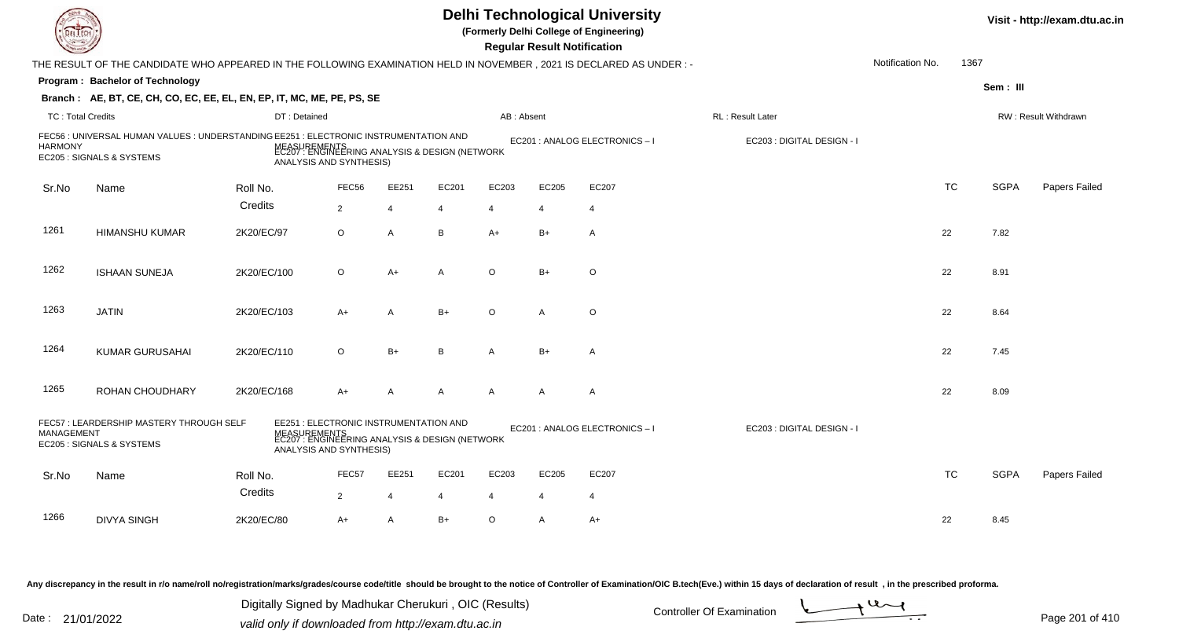|                          |                                                                                                                      |                         |                                        |                |                                                                |                       | <b>Regular Result Notification</b> | <b>Delhi Technological University</b><br>(Formerly Delhi College of Engineering) |                            |                  |           |             | Visit - http://exam.dtu.ac.in |
|--------------------------|----------------------------------------------------------------------------------------------------------------------|-------------------------|----------------------------------------|----------------|----------------------------------------------------------------|-----------------------|------------------------------------|----------------------------------------------------------------------------------|----------------------------|------------------|-----------|-------------|-------------------------------|
|                          | THE RESULT OF THE CANDIDATE WHO APPEARED IN THE FOLLOWING EXAMINATION HELD IN NOVEMBER, 2021 IS DECLARED AS UNDER :- |                         |                                        |                |                                                                |                       |                                    |                                                                                  |                            | Notification No. | 1367      |             |                               |
|                          | <b>Program: Bachelor of Technology</b>                                                                               |                         |                                        |                |                                                                |                       |                                    |                                                                                  |                            |                  |           | Sem: III    |                               |
|                          | Branch: AE, BT, CE, CH, CO, EC, EE, EL, EN, EP, IT, MC, ME, PE, PS, SE                                               |                         |                                        |                |                                                                |                       |                                    |                                                                                  |                            |                  |           |             |                               |
| <b>TC: Total Credits</b> |                                                                                                                      | DT: Detained            |                                        |                |                                                                | AB: Absent            |                                    |                                                                                  | RL : Result Later          |                  |           |             | RW: Result Withdrawn          |
| <b>HARMONY</b>           | FEC56 : UNIVERSAL HUMAN VALUES : UNDERSTANDING EE251 : ELECTRONIC INSTRUMENTATION AND<br>EC205 : SIGNALS & SYSTEMS   | ANALYSIS AND SYNTHESIS) |                                        |                | MEASUREMENTS<br>EC207 : ENGINEERING ANALYSIS & DESIGN (NETWORK |                       |                                    | EC201 : ANALOG ELECTRONICS - I                                                   | EC203 : DIGITAL DESIGN - I |                  |           |             |                               |
| Sr.No                    | Name                                                                                                                 | Roll No.                | FEC56                                  | EE251          | EC201                                                          | EC203                 | EC205                              | EC207                                                                            |                            |                  | <b>TC</b> | <b>SGPA</b> | Papers Failed                 |
|                          |                                                                                                                      | Credits                 | $\overline{2}$                         | $\overline{4}$ | 4                                                              | 4                     | $\overline{4}$                     | $\overline{4}$                                                                   |                            |                  |           |             |                               |
| 1261                     | <b>HIMANSHU KUMAR</b>                                                                                                | 2K20/EC/97              | $\circ$                                | $\overline{A}$ | B                                                              | $A+$                  | $B+$                               | $\overline{A}$                                                                   |                            |                  | 22        | 7.82        |                               |
| 1262                     | <b>ISHAAN SUNEJA</b>                                                                                                 | 2K20/EC/100             | $\circ$                                | $A+$           | A                                                              | $\Omega$              | $B+$                               | $\circ$                                                                          |                            |                  | 22        | 8.91        |                               |
| 1263                     | <b>JATIN</b>                                                                                                         | 2K20/EC/103             | A+                                     | A              | $B+$                                                           | $\circ$               | A                                  | $\circ$                                                                          |                            |                  | 22        | 8.64        |                               |
| 1264                     | <b>KUMAR GURUSAHAI</b>                                                                                               | 2K20/EC/110             | $\circ$                                | $B+$           | B                                                              | $\mathsf{A}$          | $B+$                               | $\overline{A}$                                                                   |                            |                  | 22        | 7.45        |                               |
| 1265                     | ROHAN CHOUDHARY                                                                                                      | 2K20/EC/168             | $A+$                                   | A              | $\mathsf{A}$                                                   | $\mathsf{A}$          | A                                  | $\overline{A}$                                                                   |                            |                  | 22        | 8.09        |                               |
| <b>MANAGEMENT</b>        | FEC57: LEARDERSHIP MASTERY THROUGH SELF<br>EC205 : SIGNALS & SYSTEMS                                                 | ANALYSIS AND SYNTHESIS) | EE251 : ELECTRONIC INSTRUMENTATION AND |                | MEASUREMENTS<br>EC207 : ENGINEERING ANALYSIS & DESIGN (NETWORK |                       |                                    | EC201 : ANALOG ELECTRONICS-I                                                     | EC203 : DIGITAL DESIGN - I |                  |           |             |                               |
| Sr.No                    | Name                                                                                                                 | Roll No.<br>Credits     | FEC57                                  | EE251          | EC201                                                          | EC203                 | EC205                              | EC207                                                                            |                            |                  | <b>TC</b> | <b>SGPA</b> | Papers Failed                 |
|                          |                                                                                                                      |                         | $\overline{2}$                         | 4              |                                                                | $\boldsymbol{\Delta}$ | $\boldsymbol{\Delta}$              | $\overline{4}$                                                                   |                            |                  |           |             |                               |
| 1266                     | <b>DIVYA SINGH</b>                                                                                                   | 2K20/EC/80              | $A+$                                   | $\overline{A}$ | $B+$                                                           | $\circ$               | A                                  | $A+$                                                                             |                            |                  | 22        | 8.45        |                               |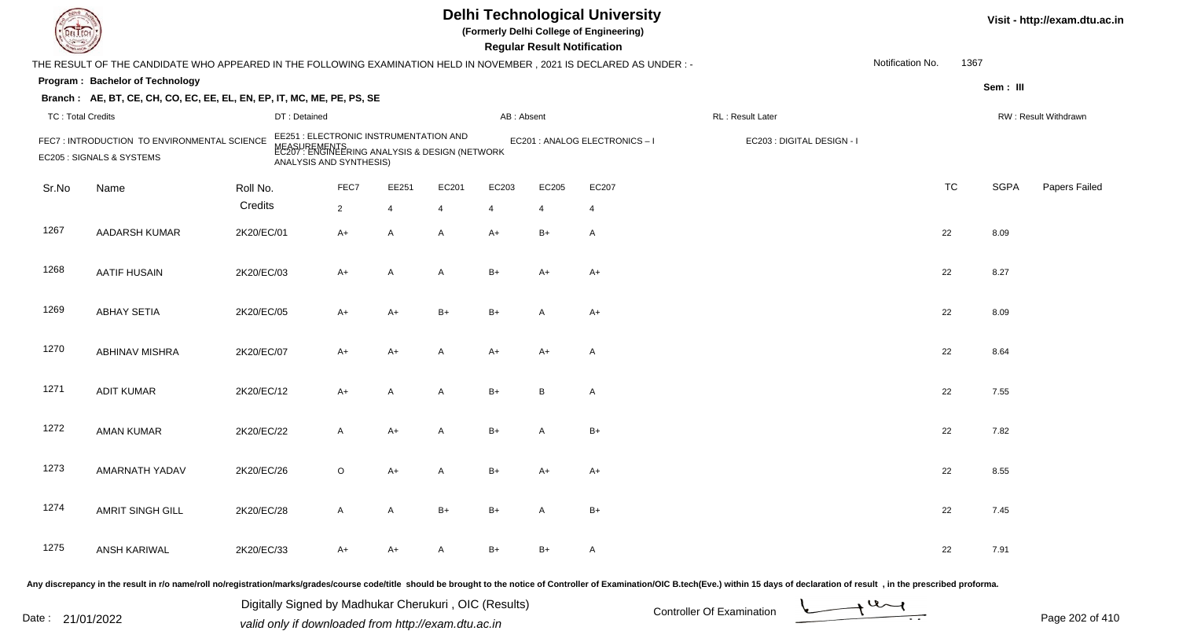|                          |                                                                                                                      |                                                                                                                                     |                |                |       |            | <b>Regular Result Notification</b> | <b>Delhi Technological University</b><br>(Formerly Delhi College of Engineering) |                            |                  |           |             | Visit - http://exam.dtu.ac.in |
|--------------------------|----------------------------------------------------------------------------------------------------------------------|-------------------------------------------------------------------------------------------------------------------------------------|----------------|----------------|-------|------------|------------------------------------|----------------------------------------------------------------------------------|----------------------------|------------------|-----------|-------------|-------------------------------|
|                          | THE RESULT OF THE CANDIDATE WHO APPEARED IN THE FOLLOWING EXAMINATION HELD IN NOVEMBER, 2021 IS DECLARED AS UNDER :- |                                                                                                                                     |                |                |       |            |                                    |                                                                                  |                            | Notification No. | 1367      |             |                               |
|                          | Program: Bachelor of Technology                                                                                      |                                                                                                                                     |                |                |       |            |                                    |                                                                                  |                            |                  |           | Sem: III    |                               |
|                          | Branch: AE, BT, CE, CH, CO, EC, EE, EL, EN, EP, IT, MC, ME, PE, PS, SE                                               |                                                                                                                                     |                |                |       |            |                                    |                                                                                  |                            |                  |           |             |                               |
| <b>TC: Total Credits</b> |                                                                                                                      | DT: Detained                                                                                                                        |                |                |       | AB: Absent |                                    |                                                                                  | RL : Result Later          |                  |           |             | RW: Result Withdrawn          |
|                          | FEC7: INTRODUCTION TO ENVIRONMENTAL SCIENCE<br>EC205 : SIGNALS & SYSTEMS                                             | EE251 : ELECTRONIC INSTRUMENTATION AND<br>MEASUREMENTS<br>EC207 : ENGINEERING ANALYSIS & DESIGN (NETWORK<br>ANALYSIS AND SYNTHESIS) |                |                |       |            |                                    | EC201 : ANALOG ELECTRONICS - I                                                   | EC203 : DIGITAL DESIGN - I |                  |           |             |                               |
| Sr.No                    | Name                                                                                                                 | Roll No.                                                                                                                            | FEC7           | EE251          | EC201 | EC203      | EC205                              | EC207                                                                            |                            |                  | <b>TC</b> | <b>SGPA</b> | Papers Failed                 |
|                          |                                                                                                                      | Credits                                                                                                                             | $\overline{2}$ | $\overline{4}$ | 4     | 4          | $\overline{4}$                     | $\overline{4}$                                                                   |                            |                  |           |             |                               |
| 1267                     | AADARSH KUMAR                                                                                                        | 2K20/EC/01                                                                                                                          | A+             | A              | A     | $A+$       | $B+$                               | A                                                                                |                            |                  | 22        | 8.09        |                               |
| 1268                     | <b>AATIF HUSAIN</b>                                                                                                  | 2K20/EC/03                                                                                                                          | A+             | Α              | A     | $B+$       | A+                                 | A+                                                                               |                            |                  | 22        | 8.27        |                               |
| 1269                     | <b>ABHAY SETIA</b>                                                                                                   | 2K20/EC/05                                                                                                                          | A+             | $A+$           | $B+$  | $B+$       | A                                  | $A+$                                                                             |                            |                  | 22        | 8.09        |                               |
| 1270                     | <b>ABHINAV MISHRA</b>                                                                                                | 2K20/EC/07                                                                                                                          | A+             | $A+$           | A     | $A+$       | A+                                 | A                                                                                |                            |                  | 22        | 8.64        |                               |
| 1271                     | <b>ADIT KUMAR</b>                                                                                                    | 2K20/EC/12                                                                                                                          | A+             | A              | A     | $B+$       | B                                  | A                                                                                |                            |                  | 22        | 7.55        |                               |
| 1272                     | <b>AMAN KUMAR</b>                                                                                                    | 2K20/EC/22                                                                                                                          | A              | $A+$           | A     | $B+$       | A                                  | $B+$                                                                             |                            |                  | 22        | 7.82        |                               |
| 1273                     | <b>AMARNATH YADAV</b>                                                                                                | 2K20/EC/26                                                                                                                          | O              | $A+$           |       | $B+$       | A+                                 | A+                                                                               |                            |                  | 22        | 8.55        |                               |
| 1274                     | AMRIT SINGH GILL                                                                                                     | 2K20/EC/28                                                                                                                          | $\mathsf{A}$   | A              | $B+$  | B+         | A                                  | $B+$                                                                             |                            |                  | 22        | 7.45        |                               |
| 1275                     | ANSH KARIWAL                                                                                                         | 2K20/EC/33                                                                                                                          | A+             | A+             | A     | $B+$       | $B+$                               | $\mathsf{A}$                                                                     |                            |                  | 22        | 7.91        |                               |
|                          |                                                                                                                      |                                                                                                                                     |                |                |       |            |                                    |                                                                                  |                            |                  |           |             |                               |

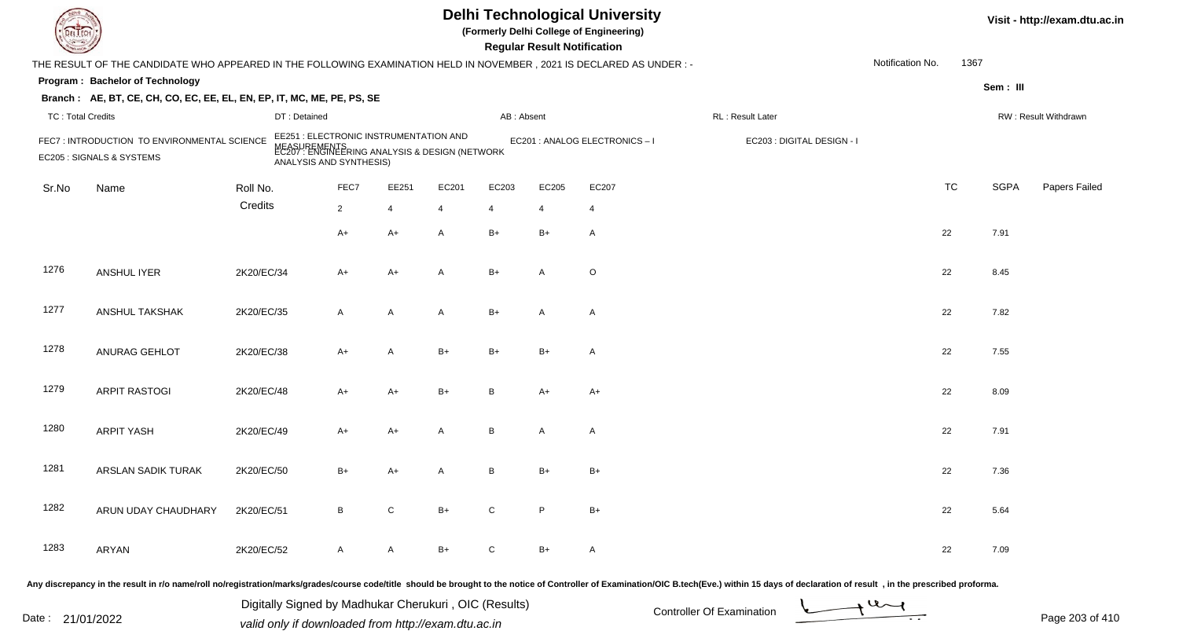| <b>DELTEC</b>            |                                                                                                                     |            |                                                                                                                                     |                |              |                |                | <b>Regular Result Notification</b> | <b>Delhi Technological University</b><br>(Formerly Delhi College of Engineering) |                                                                                                                                                                                                                                |                  |           |             | Visit - http://exam.dtu.ac.in |
|--------------------------|---------------------------------------------------------------------------------------------------------------------|------------|-------------------------------------------------------------------------------------------------------------------------------------|----------------|--------------|----------------|----------------|------------------------------------|----------------------------------------------------------------------------------|--------------------------------------------------------------------------------------------------------------------------------------------------------------------------------------------------------------------------------|------------------|-----------|-------------|-------------------------------|
|                          | THE RESULT OF THE CANDIDATE WHO APPEARED IN THE FOLLOWING EXAMINATION HELD IN NOVEMBER, 2021 IS DECLARED AS UNDER:- |            |                                                                                                                                     |                |              |                |                |                                    |                                                                                  |                                                                                                                                                                                                                                | Notification No. | 1367      |             |                               |
|                          | Program: Bachelor of Technology                                                                                     |            |                                                                                                                                     |                |              |                |                |                                    |                                                                                  |                                                                                                                                                                                                                                |                  |           | Sem: III    |                               |
|                          | Branch: AE, BT, CE, CH, CO, EC, EE, EL, EN, EP, IT, MC, ME, PE, PS, SE                                              |            |                                                                                                                                     |                |              |                |                |                                    |                                                                                  |                                                                                                                                                                                                                                |                  |           |             |                               |
| <b>TC: Total Credits</b> |                                                                                                                     |            | DT: Detained                                                                                                                        |                |              |                | AB: Absent     |                                    |                                                                                  | RL: Result Later                                                                                                                                                                                                               |                  |           |             | RW: Result Withdrawn          |
|                          | FEC7: INTRODUCTION TO ENVIRONMENTAL SCIENCE<br>EC205 : SIGNALS & SYSTEMS                                            |            | EE251 : ELECTRONIC INSTRUMENTATION AND<br>MEASUREMENTS<br>EC207 : ENGINEERING ANALYSIS & DESIGN (NETWORK<br>ANALYSIS AND SYNTHESIS) |                |              |                |                |                                    | EC201 : ANALOG ELECTRONICS - I                                                   | EC203 : DIGITAL DESIGN - I                                                                                                                                                                                                     |                  |           |             |                               |
| Sr.No                    | Name                                                                                                                | Roll No.   |                                                                                                                                     | FEC7           | EE251        | EC201          | EC203          | EC205                              | EC207                                                                            |                                                                                                                                                                                                                                |                  | <b>TC</b> | <b>SGPA</b> | Papers Failed                 |
|                          |                                                                                                                     | Credits    |                                                                                                                                     | $\overline{2}$ | 4            | $\overline{4}$ | $\overline{4}$ | $\overline{4}$                     | $\overline{4}$                                                                   |                                                                                                                                                                                                                                |                  |           |             |                               |
|                          |                                                                                                                     |            |                                                                                                                                     | $A+$           | $A+$         | A              | $B+$           | $B+$                               | $\mathsf{A}$                                                                     |                                                                                                                                                                                                                                |                  | 22        | 7.91        |                               |
| 1276                     | <b>ANSHUL IYER</b>                                                                                                  | 2K20/EC/34 |                                                                                                                                     | $A+$           | $A+$         | A              | $B+$           | $\overline{A}$                     | $\circ$                                                                          |                                                                                                                                                                                                                                |                  | 22        | 8.45        |                               |
| 1277                     | ANSHUL TAKSHAK                                                                                                      | 2K20/EC/35 |                                                                                                                                     | $\mathsf{A}$   | $\mathsf{A}$ | A              | $B+$           | $\overline{A}$                     | $\mathsf{A}$                                                                     |                                                                                                                                                                                                                                |                  | 22        | 7.82        |                               |
| 1278                     | ANURAG GEHLOT                                                                                                       | 2K20/EC/38 |                                                                                                                                     | $A+$           | A            | $B+$           | $B+$           | $B+$                               | $\mathsf{A}$                                                                     |                                                                                                                                                                                                                                |                  | 22        | 7.55        |                               |
| 1279                     | <b>ARPIT RASTOGI</b>                                                                                                | 2K20/EC/48 |                                                                                                                                     | $A+$           | $A+$         | $B+$           | B              | $A+$                               | $A+$                                                                             |                                                                                                                                                                                                                                |                  | 22        | 8.09        |                               |
| 1280                     | <b>ARPIT YASH</b>                                                                                                   | 2K20/EC/49 |                                                                                                                                     | $A+$           | $A+$         | A              | В              | A                                  | $\mathsf{A}$                                                                     |                                                                                                                                                                                                                                |                  | 22        | 7.91        |                               |
| 1281                     | ARSLAN SADIK TURAK                                                                                                  | 2K20/EC/50 |                                                                                                                                     | B+             | A+           | A              | B              | B+                                 | $B+$                                                                             |                                                                                                                                                                                                                                |                  | 22        | 7.36        |                               |
| 1282                     | ARUN UDAY CHAUDHARY                                                                                                 | 2K20/EC/51 |                                                                                                                                     | B              | ${\rm C}$    | $B+$           | C              | P                                  | $B+$                                                                             |                                                                                                                                                                                                                                |                  | 22        | 5.64        |                               |
| 1283                     | ARYAN                                                                                                               | 2K20/EC/52 |                                                                                                                                     | $\mathsf{A}$   | $\mathsf{A}$ | B+             | C              | $B+$                               | A                                                                                |                                                                                                                                                                                                                                |                  | 22        | 7.09        |                               |
|                          |                                                                                                                     |            |                                                                                                                                     |                |              |                |                |                                    |                                                                                  | Any discrepancy in the result in r/o name/roll no/registration/marks/grades/course code/title should be brought to the notice of Controller of Examination/OIC B.tech(Eve.) within 15 days of declaration of result , in the p |                  |           |             |                               |

Date : 21/01/2022 Digital Digital of Microsofted Controller Of Examination Determination Page 203 of 41 Digitally Signed by Madhukar Cherukuri , OIC (Results)

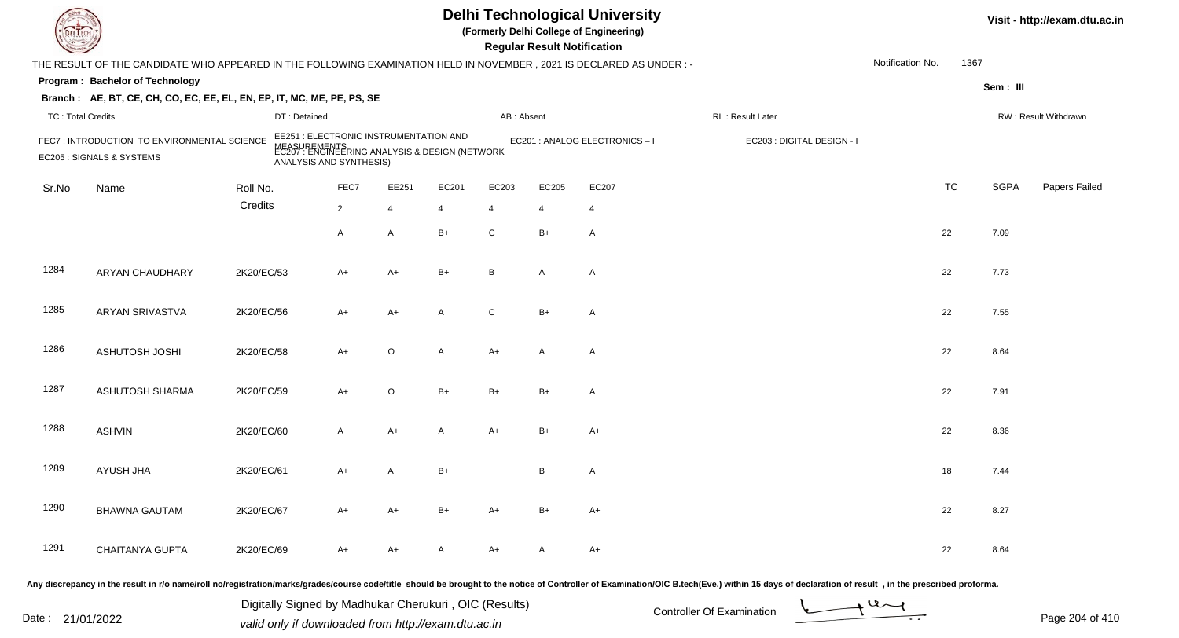|                          |                                                                                                                     |              |                                                                                                                                     |                |       |                | <b>Regular Result Notification</b> | <b>Delhi Technological University</b><br>(Formerly Delhi College of Engineering) |                            |                  |           |             | Visit - http://exam.dtu.ac.in |
|--------------------------|---------------------------------------------------------------------------------------------------------------------|--------------|-------------------------------------------------------------------------------------------------------------------------------------|----------------|-------|----------------|------------------------------------|----------------------------------------------------------------------------------|----------------------------|------------------|-----------|-------------|-------------------------------|
|                          | THE RESULT OF THE CANDIDATE WHO APPEARED IN THE FOLLOWING EXAMINATION HELD IN NOVEMBER, 2021 IS DECLARED AS UNDER:- |              |                                                                                                                                     |                |       |                |                                    |                                                                                  |                            | Notification No. | 1367      |             |                               |
|                          | Program: Bachelor of Technology                                                                                     |              |                                                                                                                                     |                |       |                |                                    |                                                                                  |                            |                  |           | Sem: III    |                               |
|                          | Branch: AE, BT, CE, CH, CO, EC, EE, EL, EN, EP, IT, MC, ME, PE, PS, SE                                              |              |                                                                                                                                     |                |       |                |                                    |                                                                                  |                            |                  |           |             |                               |
| <b>TC: Total Credits</b> |                                                                                                                     | DT: Detained |                                                                                                                                     |                |       | AB: Absent     |                                    |                                                                                  | RL : Result Later          |                  |           |             | RW: Result Withdrawn          |
|                          | FEC7: INTRODUCTION TO ENVIRONMENTAL SCIENCE<br>EC205 : SIGNALS & SYSTEMS                                            |              | EE251 : ELECTRONIC INSTRUMENTATION AND<br>MEASUREMENTS<br>EC207 : ENGINEERING ANALYSIS & DESIGN (NETWORK<br>ANALYSIS AND SYNTHESIS) |                |       |                |                                    | EC201 : ANALOG ELECTRONICS-I                                                     | EC203 : DIGITAL DESIGN - I |                  |           |             |                               |
| Sr.No                    | Name                                                                                                                | Roll No.     | FEC7                                                                                                                                | EE251          | EC201 | EC203          | EC205                              | EC207                                                                            |                            |                  | <b>TC</b> | <b>SGPA</b> | Papers Failed                 |
|                          |                                                                                                                     | Credits      | $\overline{2}$                                                                                                                      | $\overline{4}$ | 4     | $\overline{4}$ | $\overline{4}$                     | $\overline{4}$                                                                   |                            |                  |           |             |                               |
|                          |                                                                                                                     |              | A                                                                                                                                   | A              | $B+$  | C              | $B+$                               | $\overline{A}$                                                                   |                            |                  | 22        | 7.09        |                               |
| 1284                     | ARYAN CHAUDHARY                                                                                                     | 2K20/EC/53   | A+                                                                                                                                  | $A+$           | $B+$  | B              | A                                  | $\overline{A}$                                                                   |                            |                  | 22        | 7.73        |                               |
| 1285                     | <b>ARYAN SRIVASTVA</b>                                                                                              | 2K20/EC/56   | $A+$                                                                                                                                | $A+$           | A     | C              | $B+$                               | $\overline{A}$                                                                   |                            | 22               |           | 7.55        |                               |
| 1286                     | ASHUTOSH JOSHI                                                                                                      | 2K20/EC/58   | $A+$                                                                                                                                | $\circ$        | A     | $A+$           | A                                  | $\overline{A}$                                                                   |                            | 22               |           | 8.64        |                               |
| 1287                     | <b>ASHUTOSH SHARMA</b>                                                                                              | 2K20/EC/59   | $A+$                                                                                                                                | $\circ$        | $B+$  | $B+$           | $B+$                               | $\overline{A}$                                                                   |                            |                  | 22        | 7.91        |                               |
| 1288                     | <b>ASHVIN</b>                                                                                                       | 2K20/EC/60   | A                                                                                                                                   | $A+$           | A     | $A+$           | $B+$                               | $A+$                                                                             |                            |                  | 22        | 8.36        |                               |
| 1289                     | AYUSH JHA                                                                                                           | 2K20/EC/61   | A+                                                                                                                                  | A              | $B+$  |                | B                                  | $\mathsf{A}$                                                                     |                            |                  | 18        | 7.44        |                               |
| 1290                     | <b>BHAWNA GAUTAM</b>                                                                                                | 2K20/EC/67   | A+                                                                                                                                  | $A+$           | B+    | A+             | B+                                 | $A+$                                                                             |                            |                  | 22        | 8.27        |                               |
| 1291                     | CHAITANYA GUPTA                                                                                                     | 2K20/EC/69   | A+                                                                                                                                  | A+             | A     | A+             | A                                  | $A+$                                                                             |                            |                  | 22        | 8.64        |                               |
|                          |                                                                                                                     |              |                                                                                                                                     |                |       |                |                                    |                                                                                  |                            |                  |           |             |                               |

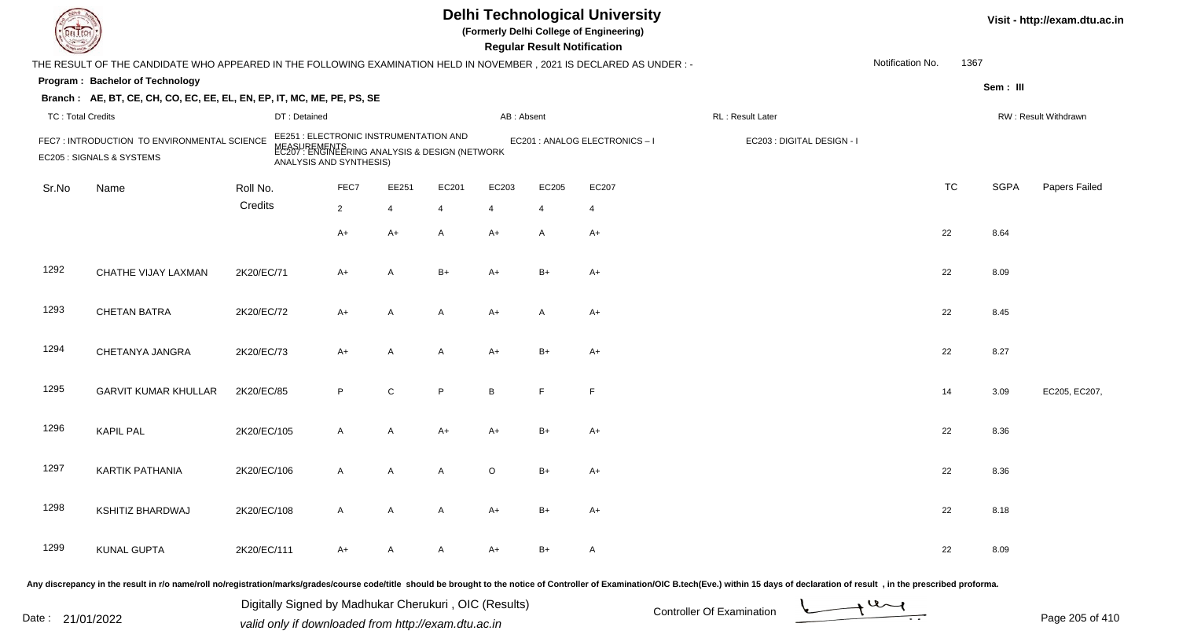| DEL TECI                 |                                                                                                                     |             |                                                                                                                                     |                |                |            | <b>Regular Result Notification</b> | <b>Delhi Technological University</b><br>(Formerly Delhi College of Engineering) |                                                                                                                                                                                                                                |                  |           |             | Visit - http://exam.dtu.ac.in |
|--------------------------|---------------------------------------------------------------------------------------------------------------------|-------------|-------------------------------------------------------------------------------------------------------------------------------------|----------------|----------------|------------|------------------------------------|----------------------------------------------------------------------------------|--------------------------------------------------------------------------------------------------------------------------------------------------------------------------------------------------------------------------------|------------------|-----------|-------------|-------------------------------|
|                          | THE RESULT OF THE CANDIDATE WHO APPEARED IN THE FOLLOWING EXAMINATION HELD IN NOVEMBER, 2021 IS DECLARED AS UNDER:- |             |                                                                                                                                     |                |                |            |                                    |                                                                                  |                                                                                                                                                                                                                                | Notification No. | 1367      |             |                               |
|                          | Program: Bachelor of Technology                                                                                     |             |                                                                                                                                     |                |                |            |                                    |                                                                                  |                                                                                                                                                                                                                                |                  |           | Sem: III    |                               |
|                          | Branch: AE, BT, CE, CH, CO, EC, EE, EL, EN, EP, IT, MC, ME, PE, PS, SE                                              |             |                                                                                                                                     |                |                |            |                                    |                                                                                  |                                                                                                                                                                                                                                |                  |           |             |                               |
| <b>TC: Total Credits</b> |                                                                                                                     |             | DT: Detained                                                                                                                        |                |                | AB: Absent |                                    |                                                                                  | RL: Result Later                                                                                                                                                                                                               |                  |           |             | RW: Result Withdrawn          |
|                          | FEC7: INTRODUCTION TO ENVIRONMENTAL SCIENCE<br>EC205 : SIGNALS & SYSTEMS                                            |             | EE251 : ELECTRONIC INSTRUMENTATION AND<br>MEASUREMENTS<br>EC207 : ENGINEERING ANALYSIS & DESIGN (NETWORK<br>ANALYSIS AND SYNTHESIS) |                |                |            |                                    | EC201 : ANALOG ELECTRONICS - I                                                   | EC203 : DIGITAL DESIGN - I                                                                                                                                                                                                     |                  |           |             |                               |
| Sr.No                    | Name                                                                                                                | Roll No.    | FEC7                                                                                                                                | EE251          | EC201          | EC203      | EC205                              | EC207                                                                            |                                                                                                                                                                                                                                |                  | <b>TC</b> | <b>SGPA</b> | Papers Failed                 |
|                          |                                                                                                                     | Credits     | $\overline{2}$                                                                                                                      | $\overline{4}$ | $\overline{4}$ | 4          | $\overline{4}$                     | $\overline{4}$                                                                   |                                                                                                                                                                                                                                |                  |           |             |                               |
|                          |                                                                                                                     |             | $A+$                                                                                                                                | $A+$           | A              | $A+$       | $\overline{A}$                     | $A+$                                                                             |                                                                                                                                                                                                                                |                  | 22        | 8.64        |                               |
| 1292                     | CHATHE VIJAY LAXMAN                                                                                                 | 2K20/EC/71  | $A+$                                                                                                                                | $\mathsf{A}$   | $B+$           | A+         | $B+$                               | $A+$                                                                             |                                                                                                                                                                                                                                |                  | 22        | 8.09        |                               |
| 1293                     | <b>CHETAN BATRA</b>                                                                                                 | 2K20/EC/72  | $A+$                                                                                                                                | $\mathsf{A}$   | A              | A+         | A                                  | $A+$                                                                             |                                                                                                                                                                                                                                |                  | 22        | 8.45        |                               |
| 1294                     | CHETANYA JANGRA                                                                                                     | 2K20/EC/73  | $A+$                                                                                                                                | $\mathsf{A}$   | A              | $A+$       | $B+$                               | $A+$                                                                             |                                                                                                                                                                                                                                |                  | 22        | 8.27        |                               |
| 1295                     | <b>GARVIT KUMAR KHULLAR</b>                                                                                         | 2K20/EC/85  | P                                                                                                                                   | $\mathsf C$    | P              | B          | E                                  | F                                                                                |                                                                                                                                                                                                                                |                  | 14        | 3.09        | EC205, EC207,                 |
| 1296                     | <b>KAPIL PAL</b>                                                                                                    | 2K20/EC/105 | $\overline{A}$                                                                                                                      | A              | A+             | A+         | $B+$                               | $A+$                                                                             |                                                                                                                                                                                                                                |                  | 22        | 8.36        |                               |
| 1297                     | <b>KARTIK PATHANIA</b>                                                                                              | 2K20/EC/106 | A                                                                                                                                   | Α              | A              | O          | B+                                 | A+                                                                               |                                                                                                                                                                                                                                |                  | 22        | 8.36        |                               |
| 1298                     | <b>KSHITIZ BHARDWAJ</b>                                                                                             | 2K20/EC/108 | $\mathsf{A}$                                                                                                                        | $\mathsf{A}$   | A              | A+         | B+                                 | $A+$                                                                             |                                                                                                                                                                                                                                |                  | 22        | 8.18        |                               |
| 1299                     | <b>KUNAL GUPTA</b>                                                                                                  | 2K20/EC/111 | $A+$                                                                                                                                | A              | A              | A+         | $B+$                               | A                                                                                |                                                                                                                                                                                                                                |                  | 22        | 8.09        |                               |
|                          |                                                                                                                     |             |                                                                                                                                     |                |                |            |                                    |                                                                                  | Any discrepancy in the result in r/o name/roll no/registration/marks/grades/course code/title should be brought to the notice of Controller of Examination/OIC B.tech(Eve.) within 15 days of declaration of result, in the pr |                  |           |             |                               |

Date : 21/01/2022 Digital Digital of Microsofted Chemical Controller Of Examination Determination Page 205 of 41 Digitally Signed by Madhukar Cherukuri , OIC (Results)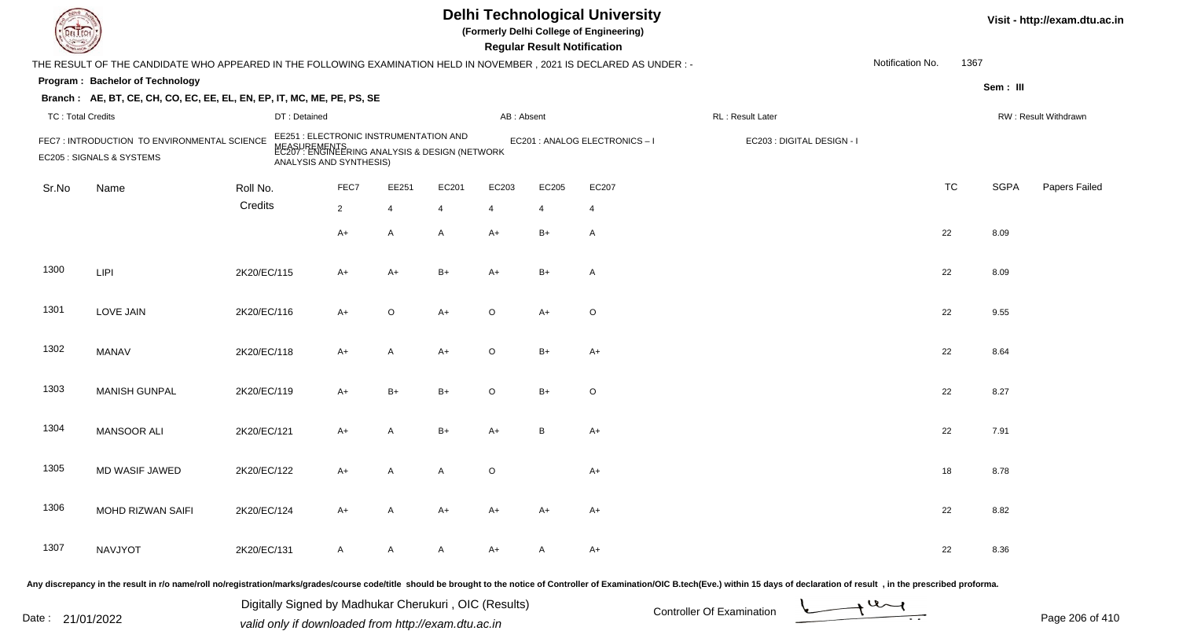|                          |                                                                                                                        |              |                                                                                                                                     |                |       |                | <b>Regular Result Notification</b> | <b>Delhi Technological University</b><br>(Formerly Delhi College of Engineering) |                                                                                                                                                                                                                                |                  |           |             | Visit - http://exam.dtu.ac.in |
|--------------------------|------------------------------------------------------------------------------------------------------------------------|--------------|-------------------------------------------------------------------------------------------------------------------------------------|----------------|-------|----------------|------------------------------------|----------------------------------------------------------------------------------|--------------------------------------------------------------------------------------------------------------------------------------------------------------------------------------------------------------------------------|------------------|-----------|-------------|-------------------------------|
|                          | THE RESULT OF THE CANDIDATE WHO APPEARED IN THE FOLLOWING EXAMINATION HELD IN NOVEMBER , 2021 IS DECLARED AS UNDER : - |              |                                                                                                                                     |                |       |                |                                    |                                                                                  |                                                                                                                                                                                                                                | Notification No. | 1367      |             |                               |
|                          | Program: Bachelor of Technology                                                                                        |              |                                                                                                                                     |                |       |                |                                    |                                                                                  |                                                                                                                                                                                                                                |                  |           | Sem: III    |                               |
|                          | Branch: AE, BT, CE, CH, CO, EC, EE, EL, EN, EP, IT, MC, ME, PE, PS, SE                                                 |              |                                                                                                                                     |                |       |                |                                    |                                                                                  |                                                                                                                                                                                                                                |                  |           |             |                               |
| <b>TC: Total Credits</b> |                                                                                                                        | DT: Detained |                                                                                                                                     |                |       | AB: Absent     |                                    |                                                                                  | RL : Result Later                                                                                                                                                                                                              |                  |           |             | RW: Result Withdrawn          |
|                          | FEC7: INTRODUCTION TO ENVIRONMENTAL SCIENCE<br>EC205 : SIGNALS & SYSTEMS                                               |              | EE251 : ELECTRONIC INSTRUMENTATION AND<br>MEASUREMENTS<br>EC207 : ENGINEERING ANALYSIS & DESIGN (NETWORK<br>ANALYSIS AND SYNTHESIS) |                |       |                |                                    | EC201 : ANALOG ELECTRONICS - I                                                   | EC203 : DIGITAL DESIGN - I                                                                                                                                                                                                     |                  |           |             |                               |
| Sr.No                    | Name                                                                                                                   | Roll No.     | FEC7                                                                                                                                | EE251          | EC201 | EC203          | EC205                              | EC207                                                                            |                                                                                                                                                                                                                                |                  | <b>TC</b> | <b>SGPA</b> | Papers Failed                 |
|                          |                                                                                                                        | Credits      | $\overline{2}$                                                                                                                      | $\overline{4}$ | 4     | $\overline{4}$ | $\overline{4}$                     | $\overline{4}$                                                                   |                                                                                                                                                                                                                                |                  |           |             |                               |
|                          |                                                                                                                        |              | $A+$                                                                                                                                | A              | A     | $A+$           | $B+$                               | $\mathsf{A}$                                                                     |                                                                                                                                                                                                                                |                  | 22        | 8.09        |                               |
| 1300                     | <b>LIPI</b>                                                                                                            | 2K20/EC/115  | A+                                                                                                                                  | $A+$           | $B+$  | $A+$           | $B+$                               | $\overline{A}$                                                                   |                                                                                                                                                                                                                                |                  | 22        | 8.09        |                               |
| 1301                     | <b>LOVE JAIN</b>                                                                                                       | 2K20/EC/116  | $A+$                                                                                                                                | $\mathsf O$    | $A+$  | O              | $A+$                               | $\circ$                                                                          |                                                                                                                                                                                                                                |                  | 22        | 9.55        |                               |
| 1302                     | <b>MANAV</b>                                                                                                           | 2K20/EC/118  | $A+$                                                                                                                                | A              | $A+$  | $\circ$        | $B+$                               | $A+$                                                                             |                                                                                                                                                                                                                                |                  | 22        | 8.64        |                               |
| 1303                     | <b>MANISH GUNPAL</b>                                                                                                   | 2K20/EC/119  | $A+$                                                                                                                                | $B+$           | $B+$  | $\circ$        | $B+$                               | $\circ$                                                                          |                                                                                                                                                                                                                                |                  | 22        | 8.27        |                               |
| 1304                     | MANSOOR ALI                                                                                                            | 2K20/EC/121  | A+                                                                                                                                  | A              | $B+$  | A+             | B                                  | $A+$                                                                             |                                                                                                                                                                                                                                |                  | 22        | 7.91        |                               |
| 1305                     | MD WASIF JAWED                                                                                                         | 2K20/EC/122  | A+                                                                                                                                  | Α              | A     | O              |                                    | $A+$                                                                             |                                                                                                                                                                                                                                |                  | 18        | 8.78        |                               |
| 1306                     | MOHD RIZWAN SAIFI                                                                                                      | 2K20/EC/124  | A+                                                                                                                                  | A              | A+    | A+             | A+                                 | $A+$                                                                             |                                                                                                                                                                                                                                |                  | 22        | 8.82        |                               |
| 1307                     | NAVJYOT                                                                                                                | 2K20/EC/131  | A                                                                                                                                   | A              | A     | A+             | A                                  | $A+$                                                                             |                                                                                                                                                                                                                                |                  | 22        | 8.36        |                               |
|                          |                                                                                                                        |              |                                                                                                                                     |                |       |                |                                    |                                                                                  | ny discrepancy in the result in r/o name/roll no/registration/marks/grades/course code/title, should be brought to the potice of Controller of Examination/OIC B tech(Eye) within 15 days of declaration of result in the pres |                  |           |             |                               |

Date : 21/01/2022 Digital Digital of Microsofted Chemical Controller Of Examination Determination Page 206 of 41 Digitally Signed by Madhukar Cherukuri , OIC (Results)

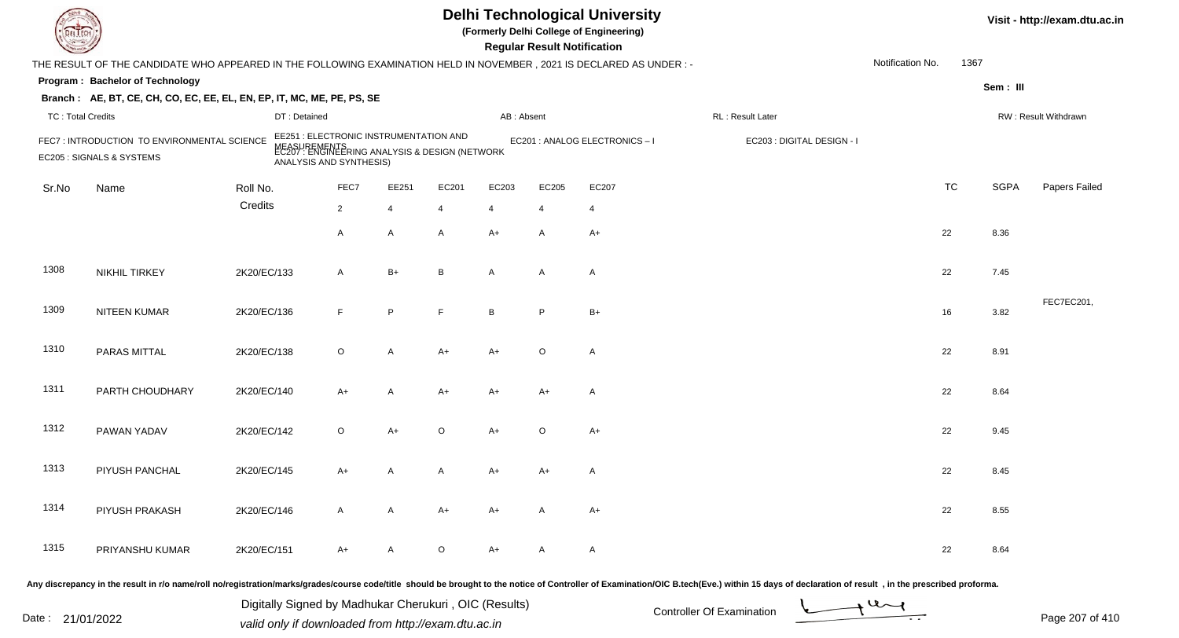|                          |                                                                                                                      |              |                                                                                                                           |              |              |                | <b>Regular Result Notification</b> | <b>Delhi Technological University</b><br>(Formerly Delhi College of Engineering) |                            |                  |           |             | Visit - http://exam.dtu.ac.in |
|--------------------------|----------------------------------------------------------------------------------------------------------------------|--------------|---------------------------------------------------------------------------------------------------------------------------|--------------|--------------|----------------|------------------------------------|----------------------------------------------------------------------------------|----------------------------|------------------|-----------|-------------|-------------------------------|
|                          | THE RESULT OF THE CANDIDATE WHO APPEARED IN THE FOLLOWING EXAMINATION HELD IN NOVEMBER, 2021 IS DECLARED AS UNDER :- |              |                                                                                                                           |              |              |                |                                    |                                                                                  |                            | Notification No. | 1367      |             |                               |
|                          | Program: Bachelor of Technology                                                                                      |              |                                                                                                                           |              |              |                |                                    |                                                                                  |                            |                  |           | Sem: III    |                               |
|                          | Branch: AE, BT, CE, CH, CO, EC, EE, EL, EN, EP, IT, MC, ME, PE, PS, SE                                               |              |                                                                                                                           |              |              |                |                                    |                                                                                  |                            |                  |           |             |                               |
| <b>TC: Total Credits</b> |                                                                                                                      | DT: Detained |                                                                                                                           |              |              | AB: Absent     |                                    |                                                                                  | RL : Result Later          |                  |           |             | RW: Result Withdrawn          |
|                          | FEC7: INTRODUCTION TO ENVIRONMENTAL SCIENCE<br>EC205 : SIGNALS & SYSTEMS                                             | NEASU        | EE251 : ELECTRONIC INSTRUMENTATION AND<br>IREMENTS<br>: ENGINEERING ANALYSIS & DESIGN (NETWORK<br>ANALYSIS AND SYNTHESIS) |              |              |                |                                    | EC201 : ANALOG ELECTRONICS-I                                                     | EC203 : DIGITAL DESIGN - I |                  |           |             |                               |
| Sr.No                    | Name                                                                                                                 | Roll No.     | FEC7                                                                                                                      | EE251        | EC201        | EC203          | EC205                              | EC207                                                                            |                            |                  | <b>TC</b> | <b>SGPA</b> | Papers Failed                 |
|                          |                                                                                                                      | Credits      | $\overline{2}$                                                                                                            | 4            | 4            | $\overline{4}$ | $\overline{4}$                     | $\overline{4}$                                                                   |                            |                  |           |             |                               |
|                          |                                                                                                                      |              | A                                                                                                                         | A            | $\mathsf{A}$ | $A+$           | $\mathsf{A}$                       | $A+$                                                                             |                            | 22               |           | 8.36        |                               |
| 1308                     | <b>NIKHIL TIRKEY</b>                                                                                                 | 2K20/EC/133  | $\mathsf{A}$                                                                                                              | $B+$         | B            | A              | A                                  | $\overline{A}$                                                                   |                            | 22               |           | 7.45        |                               |
| 1309                     | NITEEN KUMAR                                                                                                         | 2K20/EC/136  | F                                                                                                                         | P            | F            | B              | P                                  | $B+$                                                                             |                            | 16               |           | 3.82        | FEC7EC201,                    |
| 1310                     | PARAS MITTAL                                                                                                         | 2K20/EC/138  | $\circ$                                                                                                                   | $\mathsf{A}$ | $A+$         | $A+$           | $\circ$                            | $\mathsf{A}$                                                                     |                            | 22               |           | 8.91        |                               |
| 1311                     | PARTH CHOUDHARY                                                                                                      | 2K20/EC/140  | $A+$                                                                                                                      | A            | $A+$         | A+             | $A+$                               | $\overline{A}$                                                                   |                            | 22               |           | 8.64        |                               |
| 1312                     | PAWAN YADAV                                                                                                          | 2K20/EC/142  | $\circ$                                                                                                                   | $A+$         | $\circ$      | $A+$           | O                                  | $A+$                                                                             |                            | 22               |           | 9.45        |                               |
| 1313                     | PIYUSH PANCHAL                                                                                                       | 2K20/EC/145  | A+                                                                                                                        | A            | A            | $A+$           | A+                                 | A                                                                                |                            | 22               |           | 8.45        |                               |
| 1314                     | PIYUSH PRAKASH                                                                                                       | 2K20/EC/146  | A                                                                                                                         | A            | A+           | A+             | A                                  | $A+$                                                                             |                            | 22               |           | 8.55        |                               |
| 1315                     | PRIYANSHU KUMAR                                                                                                      | 2K20/EC/151  | A+                                                                                                                        | A            | $\circ$      | A+             | A                                  | A                                                                                |                            | 22               |           | 8.64        |                               |
|                          |                                                                                                                      |              |                                                                                                                           |              |              |                |                                    |                                                                                  |                            |                  |           |             |                               |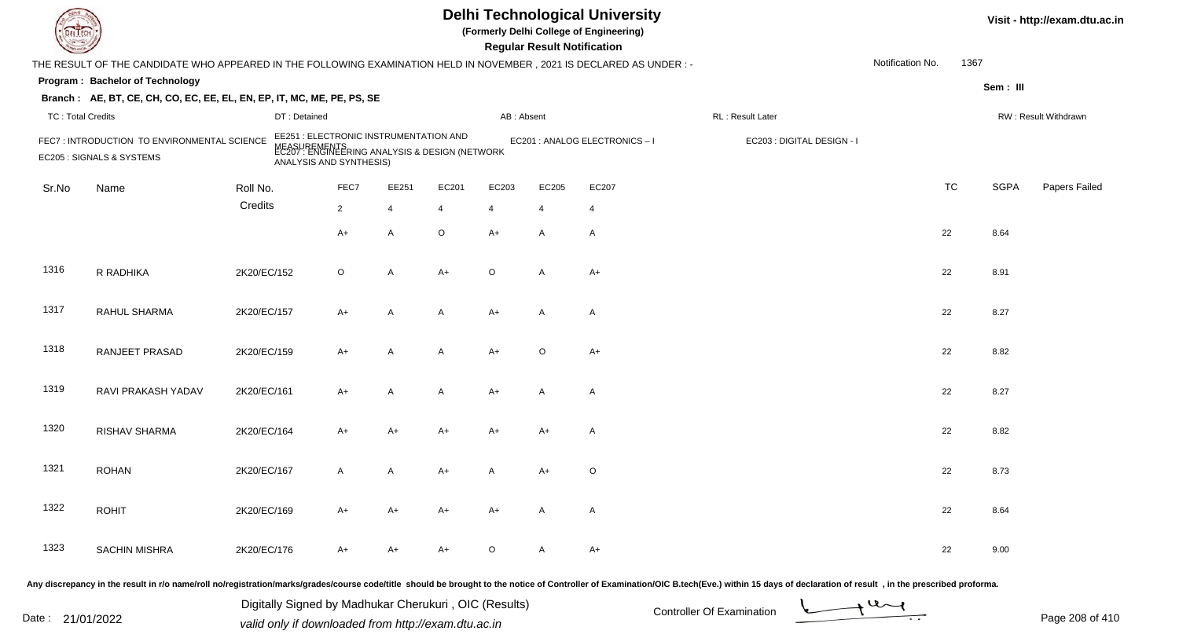| DEL TECI                 |                                                                                                                     |              |                                                                                                                                     |                |                |            | <b>Regular Result Notification</b> | <b>Delhi Technological University</b><br>(Formerly Delhi College of Engineering) |                                                                                                                                                                                                                                |                  |           |             | Visit - http://exam.dtu.ac.in |
|--------------------------|---------------------------------------------------------------------------------------------------------------------|--------------|-------------------------------------------------------------------------------------------------------------------------------------|----------------|----------------|------------|------------------------------------|----------------------------------------------------------------------------------|--------------------------------------------------------------------------------------------------------------------------------------------------------------------------------------------------------------------------------|------------------|-----------|-------------|-------------------------------|
|                          | THE RESULT OF THE CANDIDATE WHO APPEARED IN THE FOLLOWING EXAMINATION HELD IN NOVEMBER, 2021 IS DECLARED AS UNDER:- |              |                                                                                                                                     |                |                |            |                                    |                                                                                  |                                                                                                                                                                                                                                | Notification No. | 1367      |             |                               |
|                          | Program: Bachelor of Technology                                                                                     |              |                                                                                                                                     |                |                |            |                                    |                                                                                  |                                                                                                                                                                                                                                |                  |           | Sem: III    |                               |
|                          | Branch: AE, BT, CE, CH, CO, EC, EE, EL, EN, EP, IT, MC, ME, PE, PS, SE                                              |              |                                                                                                                                     |                |                |            |                                    |                                                                                  |                                                                                                                                                                                                                                |                  |           |             |                               |
| <b>TC: Total Credits</b> |                                                                                                                     | DT: Detained |                                                                                                                                     |                |                | AB: Absent |                                    |                                                                                  | RL: Result Later                                                                                                                                                                                                               |                  |           |             | RW: Result Withdrawn          |
|                          | FEC7: INTRODUCTION TO ENVIRONMENTAL SCIENCE<br>EC205 : SIGNALS & SYSTEMS                                            |              | EE251 : ELECTRONIC INSTRUMENTATION AND<br>MEASUREMENTS<br>EC207 : ENGINEERING ANALYSIS & DESIGN (NETWORK<br>ANALYSIS AND SYNTHESIS) |                |                |            |                                    | EC201 : ANALOG ELECTRONICS - I                                                   | EC203 : DIGITAL DESIGN - I                                                                                                                                                                                                     |                  |           |             |                               |
| Sr.No                    | Name                                                                                                                | Roll No.     | FEC7                                                                                                                                | EE251          | EC201          | EC203      | EC205                              | EC207                                                                            |                                                                                                                                                                                                                                |                  | <b>TC</b> | <b>SGPA</b> | Papers Failed                 |
|                          |                                                                                                                     | Credits      | $\overline{2}$                                                                                                                      | $\overline{4}$ | $\overline{4}$ | 4          | $\overline{4}$                     | 4                                                                                |                                                                                                                                                                                                                                |                  |           |             |                               |
|                          |                                                                                                                     |              | $A+$                                                                                                                                | $\mathsf{A}$   | $\circ$        | $A+$       | A                                  | $\mathsf{A}$                                                                     |                                                                                                                                                                                                                                |                  | 22        | 8.64        |                               |
| 1316                     | R RADHIKA                                                                                                           | 2K20/EC/152  | $\circ$                                                                                                                             | $\mathsf{A}$   | $A+$           | $\circ$    | $\overline{A}$                     | $A+$                                                                             |                                                                                                                                                                                                                                |                  | 22        | 8.91        |                               |
| 1317                     | RAHUL SHARMA                                                                                                        | 2K20/EC/157  | $A+$                                                                                                                                | $\mathsf{A}$   | A              | A+         | A                                  | A                                                                                |                                                                                                                                                                                                                                |                  | 22        | 8.27        |                               |
| 1318                     | <b>RANJEET PRASAD</b>                                                                                               | 2K20/EC/159  | $A+$                                                                                                                                | $\mathsf{A}$   | A              | $A+$       | $\circ$                            | $A+$                                                                             |                                                                                                                                                                                                                                |                  | 22        | 8.82        |                               |
| 1319                     | RAVI PRAKASH YADAV                                                                                                  | 2K20/EC/161  | $A+$                                                                                                                                | $\mathsf{A}$   | A              | A+         | A                                  | A                                                                                |                                                                                                                                                                                                                                |                  | 22        | 8.27        |                               |
| 1320                     | RISHAV SHARMA                                                                                                       | 2K20/EC/164  | $A+$                                                                                                                                | $A+$           | A+             | A+         | $A+$                               | Α                                                                                |                                                                                                                                                                                                                                |                  | 22        | 8.82        |                               |
| 1321                     | <b>ROHAN</b>                                                                                                        | 2K20/EC/167  | $\mathsf{A}$                                                                                                                        | Α              | A+             | A          | A+                                 | $\circ$                                                                          |                                                                                                                                                                                                                                |                  | 22        | 8.73        |                               |
| 1322                     | <b>ROHIT</b>                                                                                                        | 2K20/EC/169  | A+                                                                                                                                  | $A+$           | A+             | A+         | $\mathsf{A}$                       | A                                                                                |                                                                                                                                                                                                                                |                  | 22        | 8.64        |                               |
| 1323                     | <b>SACHIN MISHRA</b>                                                                                                | 2K20/EC/176  | A+                                                                                                                                  | A+             | A+             | $\circ$    | A                                  | $A+$                                                                             |                                                                                                                                                                                                                                |                  | 22        | 9.00        |                               |
|                          |                                                                                                                     |              |                                                                                                                                     |                |                |            |                                    |                                                                                  | Any discrepancy in the result in r/o name/roll no/registration/marks/grades/course code/title should be brought to the notice of Controller of Examination/OIC B.tech(Eve.) within 15 days of declaration of result , in the p |                  |           |             |                               |

Date : 21/01/2022 Digital Digital of Microsofted Chemical Controller Of Examination Determination Page 208 of 41 Digitally Signed by Madhukar Cherukuri , OIC (Results)

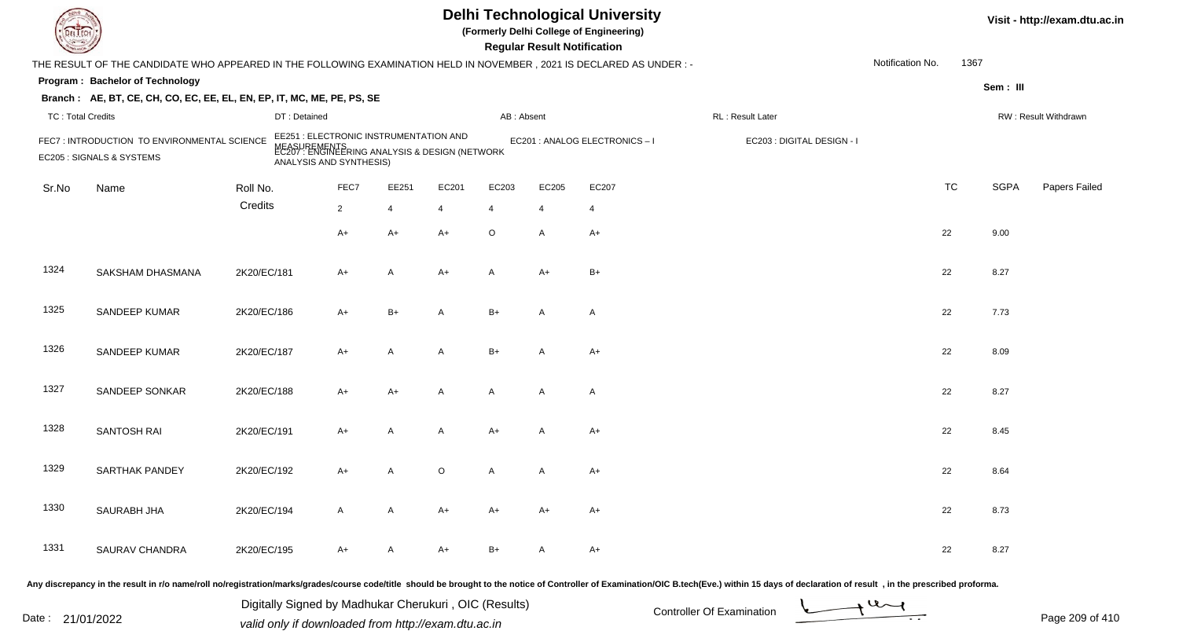|                          |                                                                                                                      |             |                         |                                                                                                |         |                | <b>Regular Result Notification</b> | <b>Delhi Technological University</b><br>(Formerly Delhi College of Engineering)             |                            |                  |           |             | Visit - http://exam.dtu.ac.in |
|--------------------------|----------------------------------------------------------------------------------------------------------------------|-------------|-------------------------|------------------------------------------------------------------------------------------------|---------|----------------|------------------------------------|----------------------------------------------------------------------------------------------|----------------------------|------------------|-----------|-------------|-------------------------------|
|                          | THE RESULT OF THE CANDIDATE WHO APPEARED IN THE FOLLOWING EXAMINATION HELD IN NOVEMBER, 2021 IS DECLARED AS UNDER :- |             |                         |                                                                                                |         |                |                                    |                                                                                              |                            | Notification No. | 1367      |             |                               |
|                          | Program: Bachelor of Technology                                                                                      |             |                         |                                                                                                |         |                |                                    |                                                                                              |                            |                  |           | Sem: III    |                               |
|                          | Branch: AE, BT, CE, CH, CO, EC, EE, EL, EN, EP, IT, MC, ME, PE, PS, SE                                               |             |                         |                                                                                                |         |                |                                    |                                                                                              |                            |                  |           |             |                               |
| <b>TC: Total Credits</b> |                                                                                                                      |             | DT: Detained            |                                                                                                |         | AB: Absent     |                                    |                                                                                              | RL : Result Later          |                  |           |             | RW: Result Withdrawn          |
|                          | FEC7: INTRODUCTION TO ENVIRONMENTAL SCIENCE<br>EC205 : SIGNALS & SYSTEMS                                             | NEASU       | ANALYSIS AND SYNTHESIS) | EE251 : ELECTRONIC INSTRUMENTATION AND<br>IREMENTS<br>: ENGINEERING ANALYSIS & DESIGN (NETWORK |         |                |                                    | EC201 : ANALOG ELECTRONICS-I                                                                 | EC203 : DIGITAL DESIGN - I |                  |           |             |                               |
| Sr.No                    | Name                                                                                                                 | Roll No.    | FEC7                    | EE251                                                                                          | EC201   | EC203          | EC205                              | EC207                                                                                        |                            |                  | <b>TC</b> | <b>SGPA</b> | Papers Failed                 |
|                          |                                                                                                                      | Credits     | $\overline{2}$          | $\overline{4}$                                                                                 | 4       | $\overline{4}$ | $\overline{4}$                     | $\overline{4}$                                                                               |                            |                  |           |             |                               |
|                          |                                                                                                                      |             | A+                      | $A+$                                                                                           | $A+$    | $\circ$        | A                                  | $A+$                                                                                         |                            | 22               |           | 9.00        |                               |
| 1324                     | <b>SAKSHAM DHASMANA</b>                                                                                              | 2K20/EC/181 | A+                      | A                                                                                              | $A+$    | A              | $A+$                               | $B+$                                                                                         |                            | 22               |           | 8.27        |                               |
| 1325                     | SANDEEP KUMAR                                                                                                        | 2K20/EC/186 | A+                      | $B+$                                                                                           | A       | $B+$           | A                                  | $\overline{A}$                                                                               |                            | 22               |           | 7.73        |                               |
| 1326                     | SANDEEP KUMAR                                                                                                        | 2K20/EC/187 | $A+$                    | A                                                                                              | A       | $B+$           | A                                  | $A+$                                                                                         |                            | 22               |           | 8.09        |                               |
| 1327                     | <b>SANDEEP SONKAR</b>                                                                                                | 2K20/EC/188 | A+                      | $A+$                                                                                           | A       | A              | A                                  | $\overline{A}$                                                                               |                            | 22               |           | 8.27        |                               |
| 1328                     | SANTOSH RAI                                                                                                          | 2K20/EC/191 | A+                      | $\overline{A}$                                                                                 | A       | $A+$           | A                                  | $A+$                                                                                         |                            | 22               |           | 8.45        |                               |
| 1329                     | SARTHAK PANDEY                                                                                                       | 2K20/EC/192 | A+                      | A                                                                                              | $\circ$ | A              | A                                  | A+                                                                                           |                            | 22               |           | 8.64        |                               |
| 1330                     | SAURABH JHA                                                                                                          | 2K20/EC/194 | A                       | A                                                                                              | A+      | A+             | A+                                 | A+                                                                                           |                            | 22               |           | 8.73        |                               |
| 1331                     | SAURAV CHANDRA                                                                                                       | 2K20/EC/195 | A+                      | A                                                                                              | A+      | B+             | A                                  | A+                                                                                           |                            | 22               |           | 8.27        |                               |
|                          |                                                                                                                      |             |                         | الملفاء المسامر                                                                                |         |                |                                    | chauld he huaimht ta the nation of Controller of Eveningtian (OIC B teah (Eve) within 4E der |                            |                  |           |             |                               |

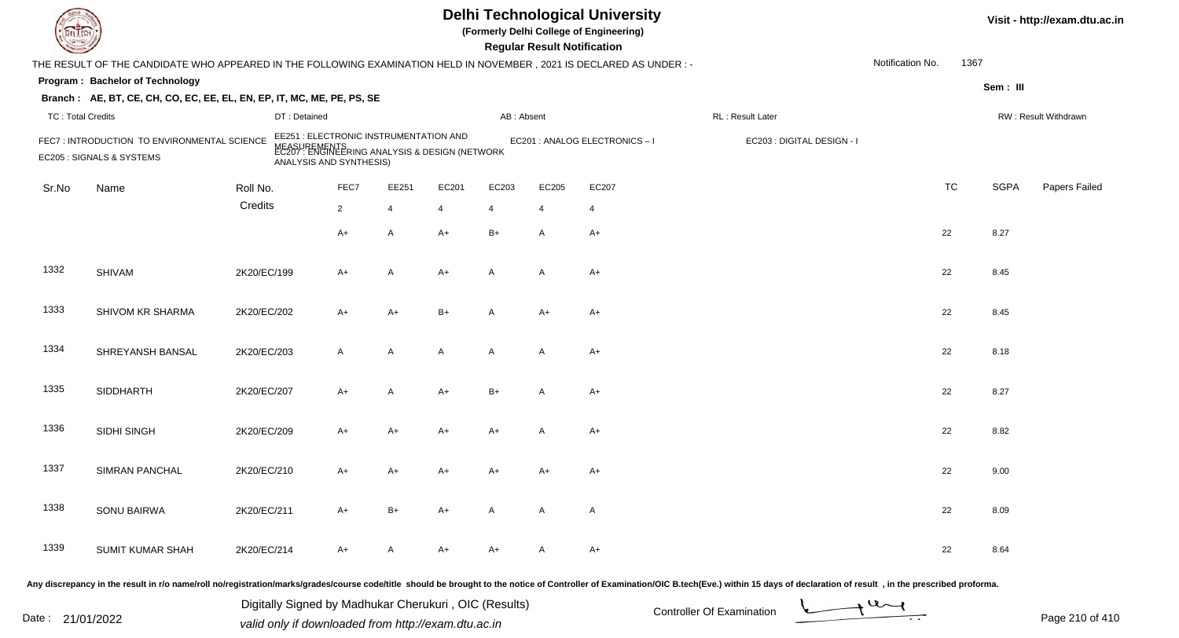|                          |                                                                                                                      |             |                                                                                                                                     |                |                |       |              | <b>Regular Result Notification</b> | <b>Delhi Technological University</b><br>(Formerly Delhi College of Engineering) |                            |                  |           |             | Visit - http://exam.dtu.ac.in |
|--------------------------|----------------------------------------------------------------------------------------------------------------------|-------------|-------------------------------------------------------------------------------------------------------------------------------------|----------------|----------------|-------|--------------|------------------------------------|----------------------------------------------------------------------------------|----------------------------|------------------|-----------|-------------|-------------------------------|
|                          | THE RESULT OF THE CANDIDATE WHO APPEARED IN THE FOLLOWING EXAMINATION HELD IN NOVEMBER, 2021 IS DECLARED AS UNDER :- |             |                                                                                                                                     |                |                |       |              |                                    |                                                                                  |                            | Notification No. | 1367      |             |                               |
|                          | Program: Bachelor of Technology                                                                                      |             |                                                                                                                                     |                |                |       |              |                                    |                                                                                  |                            |                  |           | Sem: III    |                               |
|                          | Branch: AE, BT, CE, CH, CO, EC, EE, EL, EN, EP, IT, MC, ME, PE, PS, SE                                               |             |                                                                                                                                     |                |                |       |              |                                    |                                                                                  |                            |                  |           |             |                               |
| <b>TC: Total Credits</b> |                                                                                                                      |             | DT: Detained                                                                                                                        |                |                |       | AB: Absent   |                                    |                                                                                  | RL: Result Later           |                  |           |             | RW: Result Withdrawn          |
|                          | FEC7: INTRODUCTION TO ENVIRONMENTAL SCIENCE<br>EC205 : SIGNALS & SYSTEMS                                             |             | EE251 : ELECTRONIC INSTRUMENTATION AND<br>MEASUREMENTS<br>EC207 : ENGINEERING ANALYSIS & DESIGN (NETWORK<br>ANALYSIS AND SYNTHESIS) |                |                |       |              |                                    | EC201 : ANALOG ELECTRONICS-I                                                     | EC203 : DIGITAL DESIGN - I |                  |           |             |                               |
| Sr.No                    | Name                                                                                                                 | Roll No.    |                                                                                                                                     | FEC7           | EE251          | EC201 | EC203        | EC205                              | EC207                                                                            |                            |                  | <b>TC</b> | <b>SGPA</b> | Papers Failed                 |
|                          |                                                                                                                      | Credits     |                                                                                                                                     | $\overline{2}$ | $\overline{4}$ | 4     | 4            | $\overline{4}$                     | $\overline{4}$                                                                   |                            |                  |           |             |                               |
|                          |                                                                                                                      |             |                                                                                                                                     | $A+$           | A              | $A+$  | $B+$         | A                                  | $A+$                                                                             |                            |                  | 22        | 8.27        |                               |
| 1332                     | <b>SHIVAM</b>                                                                                                        | 2K20/EC/199 |                                                                                                                                     | $A+$           | A              | $A+$  | $\mathsf{A}$ | $\mathsf{A}$                       | A+                                                                               |                            |                  | 22        | 8.45        |                               |
| 1333                     | SHIVOM KR SHARMA                                                                                                     | 2K20/EC/202 |                                                                                                                                     | A+             | $A+$           | $B+$  | A            | A+                                 | A+                                                                               |                            |                  | 22        | 8.45        |                               |
| 1334                     | SHREYANSH BANSAL                                                                                                     | 2K20/EC/203 |                                                                                                                                     | $\mathsf{A}$   | A              | A     | $\mathsf{A}$ | A                                  | $A+$                                                                             |                            |                  | 22        | 8.18        |                               |
| 1335                     | <b>SIDDHARTH</b>                                                                                                     | 2K20/EC/207 |                                                                                                                                     | $A+$           | A              | A+    | $B+$         | A                                  | A+                                                                               |                            |                  | 22        | 8.27        |                               |
| 1336                     | SIDHI SINGH                                                                                                          | 2K20/EC/209 |                                                                                                                                     | A+             | A+             | A+    | $A+$         | A                                  | $A+$                                                                             |                            |                  | 22        | 8.82        |                               |
| 1337                     | SIMRAN PANCHAL                                                                                                       | 2K20/EC/210 |                                                                                                                                     | A+             | A+             | A+    | A+           | A+                                 | A+                                                                               |                            |                  | 22        | 9.00        |                               |
| 1338                     | <b>SONU BAIRWA</b>                                                                                                   | 2K20/EC/211 |                                                                                                                                     | A+             | $B+$           | A+    | A            | A                                  | A                                                                                |                            |                  | 22        | 8.09        |                               |
| 1339                     | <b>SUMIT KUMAR SHAH</b>                                                                                              | 2K20/EC/214 |                                                                                                                                     | A+             | A              | A+    | A+           | A                                  | A+                                                                               |                            |                  | 22        | 8.64        |                               |
|                          |                                                                                                                      |             |                                                                                                                                     |                |                |       |              |                                    |                                                                                  |                            |                  |           |             |                               |

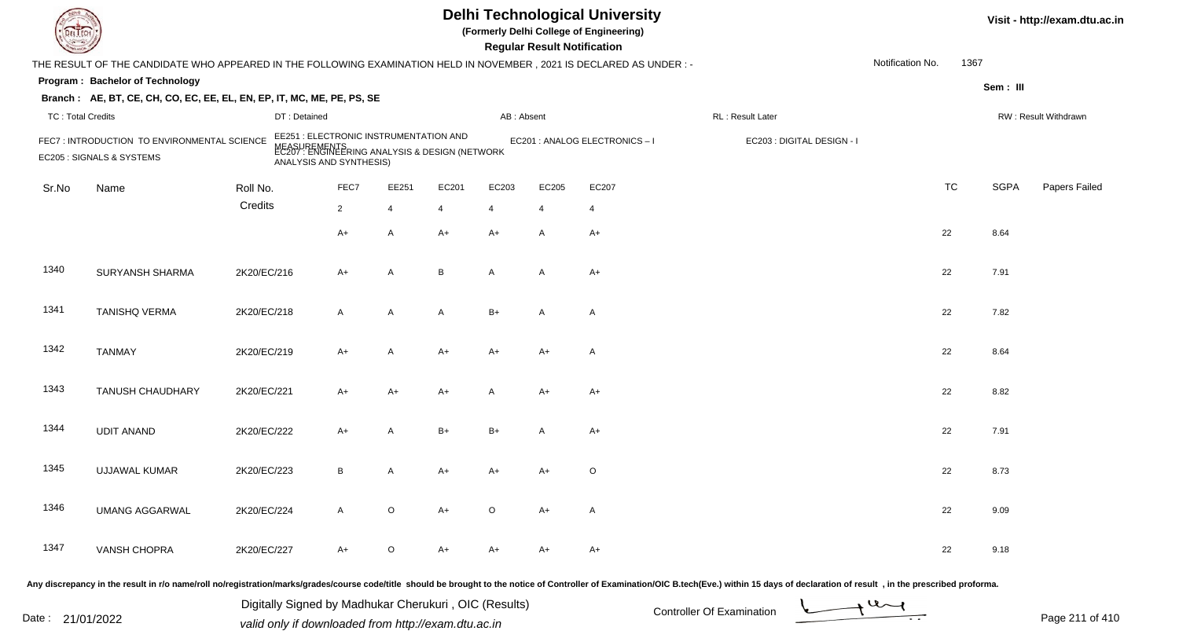| DEL TECI                 |                                                                                                                     |              |                                                                                                                                     |                |                |            | <b>Regular Result Notification</b> | <b>Delhi Technological University</b><br>(Formerly Delhi College of Engineering) |                                                                                                                                                                                                                                |                  |           |             | Visit - http://exam.dtu.ac.in |
|--------------------------|---------------------------------------------------------------------------------------------------------------------|--------------|-------------------------------------------------------------------------------------------------------------------------------------|----------------|----------------|------------|------------------------------------|----------------------------------------------------------------------------------|--------------------------------------------------------------------------------------------------------------------------------------------------------------------------------------------------------------------------------|------------------|-----------|-------------|-------------------------------|
|                          | THE RESULT OF THE CANDIDATE WHO APPEARED IN THE FOLLOWING EXAMINATION HELD IN NOVEMBER, 2021 IS DECLARED AS UNDER:- |              |                                                                                                                                     |                |                |            |                                    |                                                                                  |                                                                                                                                                                                                                                | Notification No. | 1367      |             |                               |
|                          | Program: Bachelor of Technology                                                                                     |              |                                                                                                                                     |                |                |            |                                    |                                                                                  |                                                                                                                                                                                                                                |                  |           | Sem: III    |                               |
|                          | Branch: AE, BT, CE, CH, CO, EC, EE, EL, EN, EP, IT, MC, ME, PE, PS, SE                                              |              |                                                                                                                                     |                |                |            |                                    |                                                                                  |                                                                                                                                                                                                                                |                  |           |             |                               |
| <b>TC: Total Credits</b> |                                                                                                                     | DT: Detained |                                                                                                                                     |                |                | AB: Absent |                                    |                                                                                  | RL: Result Later                                                                                                                                                                                                               |                  |           |             | RW: Result Withdrawn          |
|                          | FEC7: INTRODUCTION TO ENVIRONMENTAL SCIENCE<br>EC205 : SIGNALS & SYSTEMS                                            |              | EE251 : ELECTRONIC INSTRUMENTATION AND<br>MEASUREMENTS<br>EC207 : ENGINEERING ANALYSIS & DESIGN (NETWORK<br>ANALYSIS AND SYNTHESIS) |                |                |            |                                    | EC201 : ANALOG ELECTRONICS - I                                                   | EC203 : DIGITAL DESIGN - I                                                                                                                                                                                                     |                  |           |             |                               |
| Sr.No                    | Name                                                                                                                | Roll No.     | FEC7                                                                                                                                | EE251          | EC201          | EC203      | EC205                              | EC207                                                                            |                                                                                                                                                                                                                                |                  | <b>TC</b> | <b>SGPA</b> | Papers Failed                 |
|                          |                                                                                                                     | Credits      | $\overline{2}$                                                                                                                      | $\overline{4}$ | $\overline{4}$ | 4          | $\overline{4}$                     | 4                                                                                |                                                                                                                                                                                                                                |                  |           |             |                               |
|                          |                                                                                                                     |              | $A+$                                                                                                                                | $\mathsf{A}$   | $A+$           | $A+$       | $\overline{A}$                     | $A+$                                                                             |                                                                                                                                                                                                                                |                  | 22        | 8.64        |                               |
| 1340                     | SURYANSH SHARMA                                                                                                     | 2K20/EC/216  | $A+$                                                                                                                                | $\mathsf{A}$   | B              | A          | $\overline{A}$                     | $A+$                                                                             |                                                                                                                                                                                                                                |                  | 22        | 7.91        |                               |
| 1341                     | <b>TANISHQ VERMA</b>                                                                                                | 2K20/EC/218  | $\overline{A}$                                                                                                                      | $\mathsf{A}$   | A              | $B+$       | A                                  | A                                                                                |                                                                                                                                                                                                                                |                  | 22        | 7.82        |                               |
| 1342                     | <b>TANMAY</b>                                                                                                       | 2K20/EC/219  | $A+$                                                                                                                                | $\mathsf{A}$   | $A+$           | A+         | $A+$                               | A                                                                                |                                                                                                                                                                                                                                |                  | 22        | 8.64        |                               |
| 1343                     | <b>TANUSH CHAUDHARY</b>                                                                                             | 2K20/EC/221  | $A+$                                                                                                                                | $A+$           | A+             | A          | $A+$                               | A+                                                                               |                                                                                                                                                                                                                                |                  | 22        | 8.82        |                               |
| 1344                     | <b>UDIT ANAND</b>                                                                                                   | 2K20/EC/222  | $A+$                                                                                                                                | $\overline{A}$ | $B+$           | $B+$       | A                                  | $A+$                                                                             |                                                                                                                                                                                                                                |                  | 22        | 7.91        |                               |
| 1345                     | <b>UJJAWAL KUMAR</b>                                                                                                | 2K20/EC/223  | В                                                                                                                                   | A              | A+             | A+         | A+                                 | $\circ$                                                                          |                                                                                                                                                                                                                                |                  | 22        | 8.73        |                               |
| 1346                     | <b>UMANG AGGARWAL</b>                                                                                               | 2K20/EC/224  | A                                                                                                                                   | $\circ$        | A+             | $\circ$    | A+                                 | A                                                                                |                                                                                                                                                                                                                                |                  | 22        | 9.09        |                               |
| 1347                     | VANSH CHOPRA                                                                                                        | 2K20/EC/227  | $A+$                                                                                                                                | $\circ$        | A+             | A+         | A+                                 | A+                                                                               |                                                                                                                                                                                                                                |                  | 22        | 9.18        |                               |
|                          |                                                                                                                     |              |                                                                                                                                     |                |                |            |                                    |                                                                                  | Any discrepancy in the result in r/o name/roll no/registration/marks/grades/course code/title should be brought to the notice of Controller of Examination/OIC B.tech(Eve.) within 15 days of declaration of result , in the p |                  |           |             |                               |

Date : 21/01/2022 Digital Digital of Microsofted Chemical Controller Of Examination Determination Page 211 of 41 Digitally Signed by Madhukar Cherukuri , OIC (Results)

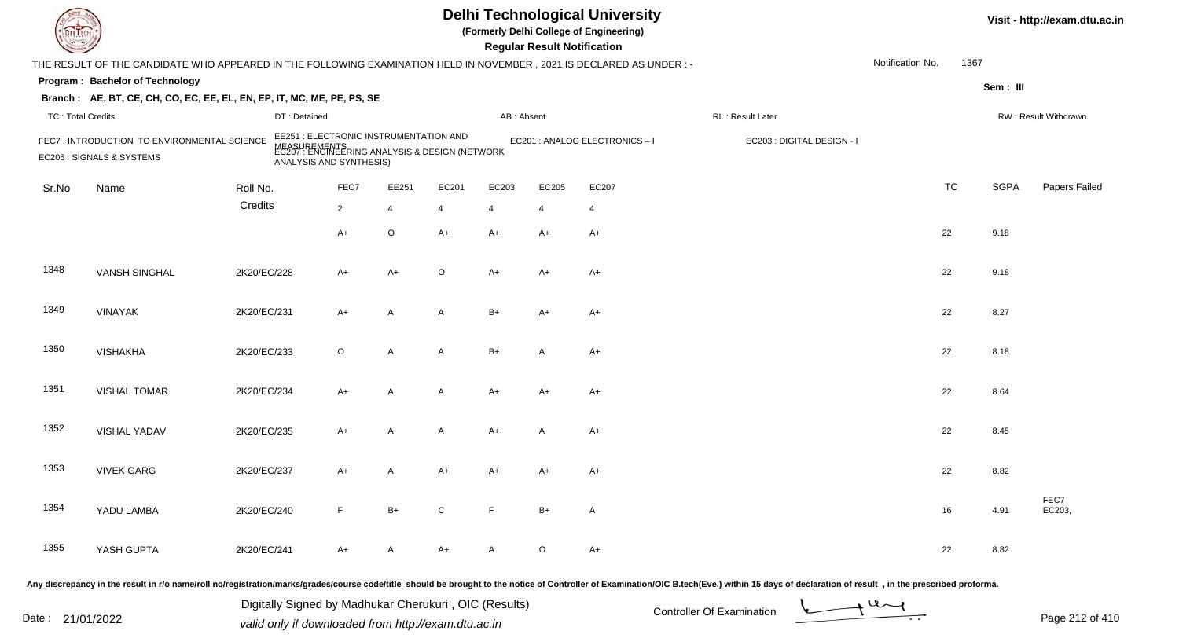| DEL TEC                  |                                                                                                                      |             |                                                                                                                                     |                |                |            | <b>Regular Result Notification</b> | <b>Delhi Technological University</b><br>(Formerly Delhi College of Engineering) |                                                                                                                                                                                                                                |                  |           |             | Visit - http://exam.dtu.ac.in |
|--------------------------|----------------------------------------------------------------------------------------------------------------------|-------------|-------------------------------------------------------------------------------------------------------------------------------------|----------------|----------------|------------|------------------------------------|----------------------------------------------------------------------------------|--------------------------------------------------------------------------------------------------------------------------------------------------------------------------------------------------------------------------------|------------------|-----------|-------------|-------------------------------|
|                          | THE RESULT OF THE CANDIDATE WHO APPEARED IN THE FOLLOWING EXAMINATION HELD IN NOVEMBER, 2021 IS DECLARED AS UNDER: - |             |                                                                                                                                     |                |                |            |                                    |                                                                                  |                                                                                                                                                                                                                                | Notification No. | 1367      |             |                               |
|                          | Program: Bachelor of Technology                                                                                      |             |                                                                                                                                     |                |                |            |                                    |                                                                                  |                                                                                                                                                                                                                                |                  |           | Sem: III    |                               |
|                          | Branch: AE, BT, CE, CH, CO, EC, EE, EL, EN, EP, IT, MC, ME, PE, PS, SE                                               |             |                                                                                                                                     |                |                |            |                                    |                                                                                  |                                                                                                                                                                                                                                |                  |           |             |                               |
| <b>TC: Total Credits</b> |                                                                                                                      |             | DT: Detained                                                                                                                        |                |                | AB: Absent |                                    |                                                                                  | RL: Result Later                                                                                                                                                                                                               |                  |           |             | RW: Result Withdrawn          |
|                          | FEC7: INTRODUCTION TO ENVIRONMENTAL SCIENCE<br>EC205 : SIGNALS & SYSTEMS                                             |             | EE251 : ELECTRONIC INSTRUMENTATION AND<br>MEASUREMENTS<br>EC207 : ENGINEERING ANALYSIS & DESIGN (NETWORK<br>ANALYSIS AND SYNTHESIS) |                |                |            |                                    | EC201 : ANALOG ELECTRONICS - I                                                   | EC203 : DIGITAL DESIGN - I                                                                                                                                                                                                     |                  |           |             |                               |
| Sr.No                    | Name                                                                                                                 | Roll No.    | FEC7                                                                                                                                | EE251          | EC201          | EC203      | EC205                              | EC207                                                                            |                                                                                                                                                                                                                                |                  | <b>TC</b> | <b>SGPA</b> | Papers Failed                 |
|                          |                                                                                                                      | Credits     | $\overline{2}$                                                                                                                      | $\overline{4}$ | $\overline{4}$ | 4          | $\overline{4}$                     | 4                                                                                |                                                                                                                                                                                                                                |                  |           |             |                               |
|                          |                                                                                                                      |             | $A+$                                                                                                                                | $\circ$        | $A+$           | $A+$       | $A+$                               | $A+$                                                                             |                                                                                                                                                                                                                                | 22               |           | 9.18        |                               |
| 1348                     | <b>VANSH SINGHAL</b>                                                                                                 | 2K20/EC/228 | $A+$                                                                                                                                | $A+$           | $\circ$        | A+         | $A+$                               | $A+$                                                                             |                                                                                                                                                                                                                                | 22               |           | 9.18        |                               |
| 1349                     | <b>VINAYAK</b>                                                                                                       | 2K20/EC/231 | $A+$                                                                                                                                | $\mathsf{A}$   | A              | $B+$       | $A+$                               | $A+$                                                                             |                                                                                                                                                                                                                                | 22               |           | 8.27        |                               |
| 1350                     | <b>VISHAKHA</b>                                                                                                      | 2K20/EC/233 | $\circ$                                                                                                                             | $\mathsf{A}$   | A              | $B+$       | $\overline{A}$                     | $A+$                                                                             |                                                                                                                                                                                                                                | 22               |           | 8.18        |                               |
| 1351                     | <b>VISHAL TOMAR</b>                                                                                                  | 2K20/EC/234 | $A+$                                                                                                                                | $\mathsf{A}$   | A              | A+         | $A+$                               | $A+$                                                                             |                                                                                                                                                                                                                                | 22               |           | 8.64        |                               |
| 1352                     | VISHAL YADAV                                                                                                         | 2K20/EC/235 | $A+$                                                                                                                                | $\overline{A}$ | A              | A+         | A                                  | $A+$                                                                             |                                                                                                                                                                                                                                | 22               |           | 8.45        |                               |
| 1353                     | <b>VIVEK GARG</b>                                                                                                    | 2K20/EC/237 | $A+$                                                                                                                                | A              | A+             | A+         | A+                                 | $A+$                                                                             |                                                                                                                                                                                                                                | 22               |           | 8.82        |                               |
| 1354                     | YADU LAMBA                                                                                                           | 2K20/EC/240 | F.                                                                                                                                  | $B+$           | C              | F          | $B+$                               | A                                                                                |                                                                                                                                                                                                                                |                  | 16        | 4.91        | FEC7<br>EC203,                |
| 1355                     | YASH GUPTA                                                                                                           | 2K20/EC/241 | $A+$                                                                                                                                | A              | A+             | A          | $\circ$                            | $A+$                                                                             |                                                                                                                                                                                                                                | 22               |           | 8.82        |                               |
|                          |                                                                                                                      |             |                                                                                                                                     |                |                |            |                                    |                                                                                  | Any discrepancy in the result in r/o name/roll no/registration/marks/grades/course code/title should be brought to the notice of Controller of Examination/OIC B.tech(Eve.) within 15 days of declaration of result , in the p |                  |           |             |                               |

Date : 21/01/2022 Digital Digital of Microsofted Chemical Controller Of Examination Determination Page 212 of 41 Digitally Signed by Madhukar Cherukuri , OIC (Results)

Page 212 of 410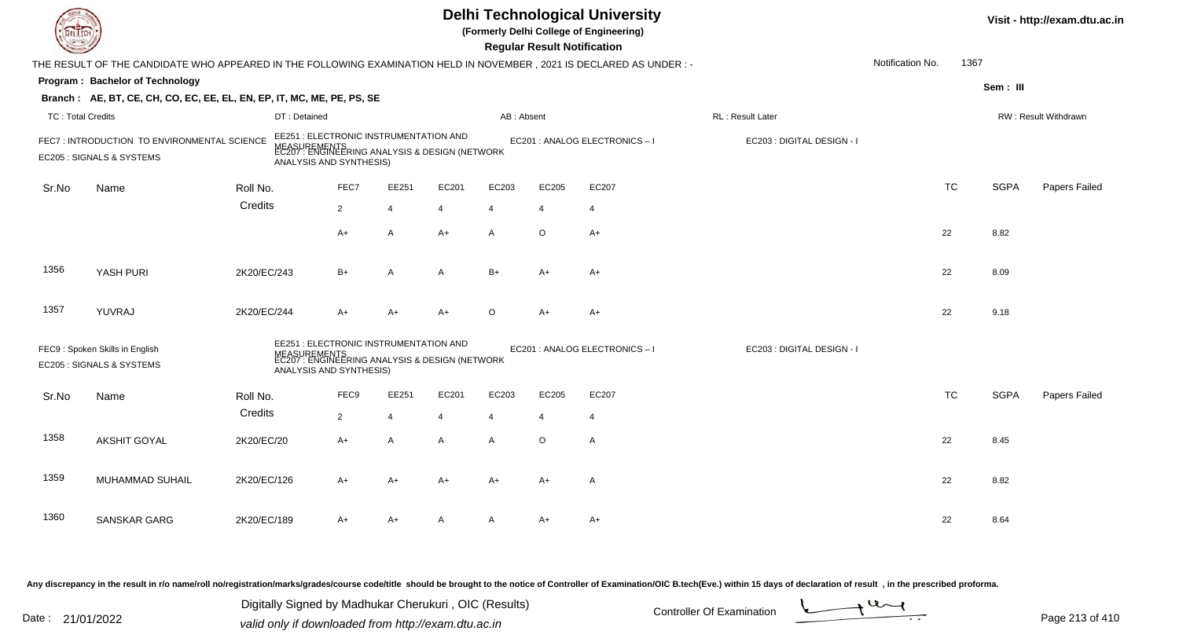|                          |                                                                                                                      |             |                         |                |                                        |                                                                |                | <b>Regular Result Notification</b> | <b>Delhi Technological University</b><br>(Formerly Delhi College of Engineering) |                            |                  |           |             | Visit - http://exam.dtu.ac.in |
|--------------------------|----------------------------------------------------------------------------------------------------------------------|-------------|-------------------------|----------------|----------------------------------------|----------------------------------------------------------------|----------------|------------------------------------|----------------------------------------------------------------------------------|----------------------------|------------------|-----------|-------------|-------------------------------|
|                          | THE RESULT OF THE CANDIDATE WHO APPEARED IN THE FOLLOWING EXAMINATION HELD IN NOVEMBER, 2021 IS DECLARED AS UNDER :- |             |                         |                |                                        |                                                                |                |                                    |                                                                                  |                            | Notification No. | 1367      |             |                               |
|                          | Program: Bachelor of Technology                                                                                      |             |                         |                |                                        |                                                                |                |                                    |                                                                                  |                            |                  |           | Sem: III    |                               |
|                          | Branch: AE, BT, CE, CH, CO, EC, EE, EL, EN, EP, IT, MC, ME, PE, PS, SE                                               |             |                         |                |                                        |                                                                |                |                                    |                                                                                  |                            |                  |           |             |                               |
| <b>TC: Total Credits</b> |                                                                                                                      |             | DT: Detained            |                |                                        |                                                                | AB: Absent     |                                    |                                                                                  | RL : Result Later          |                  |           |             | RW: Result Withdrawn          |
|                          | FEC7: INTRODUCTION TO ENVIRONMENTAL SCIENCE<br>EC205 : SIGNALS & SYSTEMS                                             |             | ANALYSIS AND SYNTHESIS) |                | EE251 : ELECTRONIC INSTRUMENTATION AND | MEASUREMENTS<br>EC207 : ENGINEERING ANALYSIS & DESIGN (NETWORK |                |                                    | EC201 : ANALOG ELECTRONICS-I                                                     | EC203 : DIGITAL DESIGN - I |                  |           |             |                               |
| Sr.No                    | Name                                                                                                                 | Roll No.    |                         | FEC7           | EE251                                  | EC201                                                          | EC203          | EC205                              | EC207                                                                            |                            |                  | <b>TC</b> | <b>SGPA</b> | Papers Failed                 |
|                          |                                                                                                                      | Credits     |                         | $\overline{2}$ | $\overline{4}$                         | $\overline{4}$                                                 | $\overline{4}$ | $\overline{4}$                     | $\overline{4}$                                                                   |                            |                  |           |             |                               |
|                          |                                                                                                                      |             |                         | A+             | A                                      | $A+$                                                           | A              | $\circ$                            | $A+$                                                                             |                            |                  | 22        | 8.82        |                               |
| 1356                     | YASH PURI                                                                                                            | 2K20/EC/243 |                         | $B+$           | $\overline{A}$                         | A                                                              | $B+$           | $A+$                               | $A+$                                                                             |                            |                  | 22        | 8.09        |                               |
| 1357                     | YUVRAJ                                                                                                               | 2K20/EC/244 |                         | A+             | $A+$                                   | $A+$                                                           | $\circ$        | $A+$                               | $A+$                                                                             |                            |                  | 22        | 9.18        |                               |
|                          | FEC9: Spoken Skills in English<br>EC205 : SIGNALS & SYSTEMS                                                          |             | ANALYSIS AND SYNTHESIS) |                | EE251 : ELECTRONIC INSTRUMENTATION AND | MEASUREMENTS<br>EC207 : ENGINEERING ANALYSIS & DESIGN (NETWORK |                |                                    | EC201 : ANALOG ELECTRONICS-I                                                     | EC203 : DIGITAL DESIGN - I |                  |           |             |                               |
| Sr.No                    | Name                                                                                                                 | Roll No.    |                         | FEC9           | EE251                                  | EC201                                                          | EC203          | EC205                              | EC207                                                                            |                            |                  | <b>TC</b> | <b>SGPA</b> | Papers Failed                 |
|                          |                                                                                                                      | Credits     |                         | $\overline{2}$ | $\overline{4}$                         | 4                                                              | $\overline{4}$ | $\overline{4}$                     | $\overline{4}$                                                                   |                            |                  |           |             |                               |
| 1358                     | <b>AKSHIT GOYAL</b>                                                                                                  | 2K20/EC/20  |                         | A+             | A                                      | $\mathsf{A}$                                                   | $\mathsf{A}$   | O                                  | $\overline{A}$                                                                   |                            |                  | 22        | 8.45        |                               |
| 1359                     | MUHAMMAD SUHAIL                                                                                                      | 2K20/EC/126 |                         | A+             | $A+$                                   | $A+$                                                           | $A+$           | $A+$                               | Α                                                                                |                            |                  | 22        | 8.82        |                               |
| 1360                     | SANSKAR GARG                                                                                                         | 2K20/EC/189 |                         | A+             | $A+$                                   | A                                                              | A              | A+                                 | A+                                                                               |                            |                  | 22        | 8.64        |                               |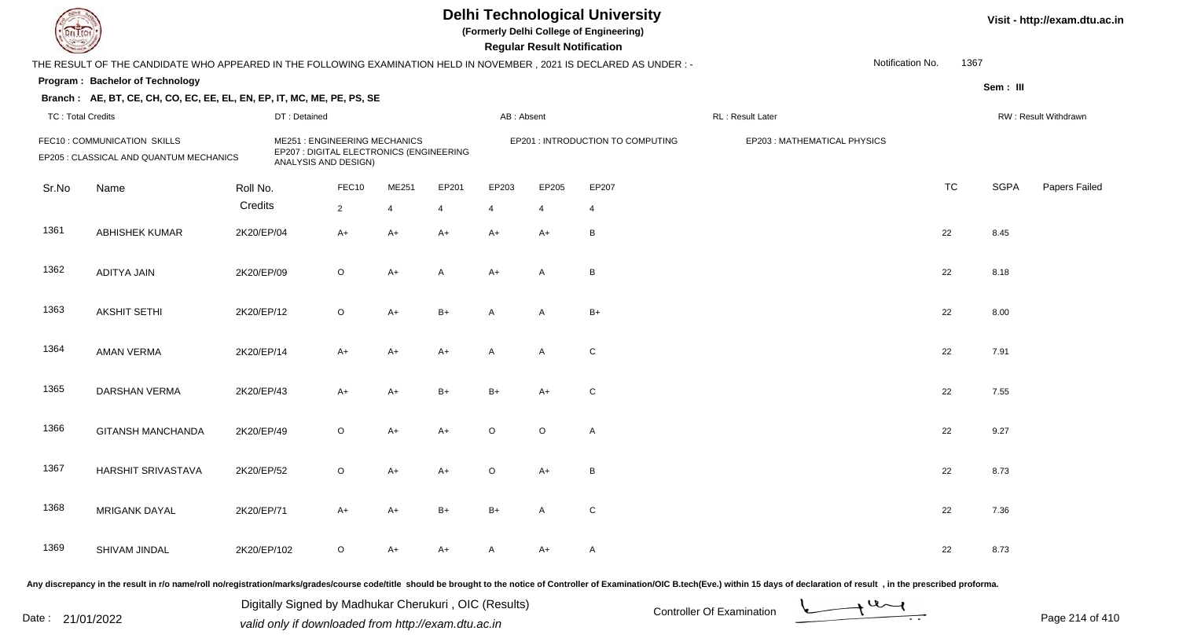## **Delhi Technological University**

**(Formerly Delhi College of Engineering)**

**Regular Regular Results Notification** 

| <b>Course of</b>                                                       |                                                                                                                      |             |                                                                                                         |                         |                         |         | <b>Regular Result Notification</b> |                                   |                             |                  |                      |               |  |
|------------------------------------------------------------------------|----------------------------------------------------------------------------------------------------------------------|-------------|---------------------------------------------------------------------------------------------------------|-------------------------|-------------------------|---------|------------------------------------|-----------------------------------|-----------------------------|------------------|----------------------|---------------|--|
|                                                                        | THE RESULT OF THE CANDIDATE WHO APPEARED IN THE FOLLOWING EXAMINATION HELD IN NOVEMBER, 2021 IS DECLARED AS UNDER :- |             |                                                                                                         |                         |                         |         |                                    |                                   |                             | Notification No. | 1367                 |               |  |
|                                                                        | Program: Bachelor of Technology                                                                                      |             |                                                                                                         |                         |                         |         |                                    |                                   |                             |                  | Sem: III             |               |  |
|                                                                        | Branch: AE, BT, CE, CH, CO, EC, EE, EL, EN, EP, IT, MC, ME, PE, PS, SE                                               |             |                                                                                                         |                         |                         |         |                                    |                                   |                             |                  |                      |               |  |
|                                                                        | <b>TC: Total Credits</b><br>DT: Detained                                                                             |             |                                                                                                         |                         |                         |         | AB: Absent                         |                                   | RL: Result Later            |                  | RW: Result Withdrawn |               |  |
| FEC10: COMMUNICATION SKILLS<br>EP205 : CLASSICAL AND QUANTUM MECHANICS |                                                                                                                      |             | <b>ME251: ENGINEERING MECHANICS</b><br>EP207 : DIGITAL ELECTRONICS (ENGINEERING<br>ANALYSIS AND DESIGN) |                         |                         |         |                                    | EP201 : INTRODUCTION TO COMPUTING | EP203: MATHEMATICAL PHYSICS |                  |                      |               |  |
| Sr.No                                                                  | Name                                                                                                                 | Roll No.    | FEC10                                                                                                   | ME251                   | EP201                   | EP203   | EP205                              | EP207                             |                             | <b>TC</b>        | <b>SGPA</b>          | Papers Failed |  |
|                                                                        |                                                                                                                      | Credits     | $\overline{2}$                                                                                          | $\overline{\mathbf{A}}$ | $\overline{\mathbf{A}}$ | 4       | $\boldsymbol{\Delta}$              | $\overline{4}$                    |                             |                  |                      |               |  |
| 1361                                                                   | <b>ABHISHEK KUMAR</b>                                                                                                | 2K20/EP/04  | $A+$                                                                                                    | $A+$                    | $A+$                    | $A+$    | $A+$                               | B                                 |                             | 22               | 8.45                 |               |  |
| 1362                                                                   | <b>ADITYA JAIN</b>                                                                                                   | 2K20/EP/09  | $\circ$                                                                                                 | $A+$                    | A                       | $A+$    | A                                  | B                                 |                             | 22               | 8.18                 |               |  |
| 1363                                                                   | <b>AKSHIT SETHI</b>                                                                                                  | 2K20/EP/12  | $\circ$                                                                                                 | A+                      | $B+$                    | A       | A                                  | $B+$                              |                             | 22               | 8.00                 |               |  |
| 1364                                                                   | <b>AMAN VERMA</b>                                                                                                    | 2K20/EP/14  | $A+$                                                                                                    | $A+$                    | $A+$                    | A       | A                                  | C                                 |                             | 22               | 7.91                 |               |  |
| 1365                                                                   | DARSHAN VERMA                                                                                                        | 2K20/EP/43  | $A+$                                                                                                    | $A+$                    | $B+$                    | $B+$    | $A+$                               | С                                 |                             | 22               | 7.55                 |               |  |
| 1366                                                                   | <b>GITANSH MANCHANDA</b>                                                                                             | 2K20/EP/49  | $\circ$                                                                                                 | $A+$                    | $A+$                    | $\circ$ | O                                  | A                                 |                             | 22               | 9.27                 |               |  |
| 1367                                                                   | HARSHIT SRIVASTAVA                                                                                                   | 2K20/EP/52  | $\circ$                                                                                                 | $A+$                    | $A+$                    | $\circ$ | $A+$                               | B                                 |                             | 22               | 8.73                 |               |  |
| 1368                                                                   | <b>MRIGANK DAYAL</b>                                                                                                 | 2K20/EP/71  | $A+$                                                                                                    | A+                      | $B+$                    | $B+$    | A                                  | C                                 |                             | 22               | 7.36                 |               |  |
| 1369                                                                   | SHIVAM JINDAL                                                                                                        | 2K20/EP/102 | $\circ$                                                                                                 | A+                      | A+                      | A       | A+                                 | Α                                 |                             | 22               | 8.73                 |               |  |
|                                                                        |                                                                                                                      |             |                                                                                                         |                         |                         |         |                                    |                                   |                             |                  |                      |               |  |

Any discrepancy in the result in r/o name/roll no/registration/marks/grades/course code/title should be brought to the notice of Controller of Examination/OIC B.tech(Eve.) within 15 days of declaration of result, in the pr

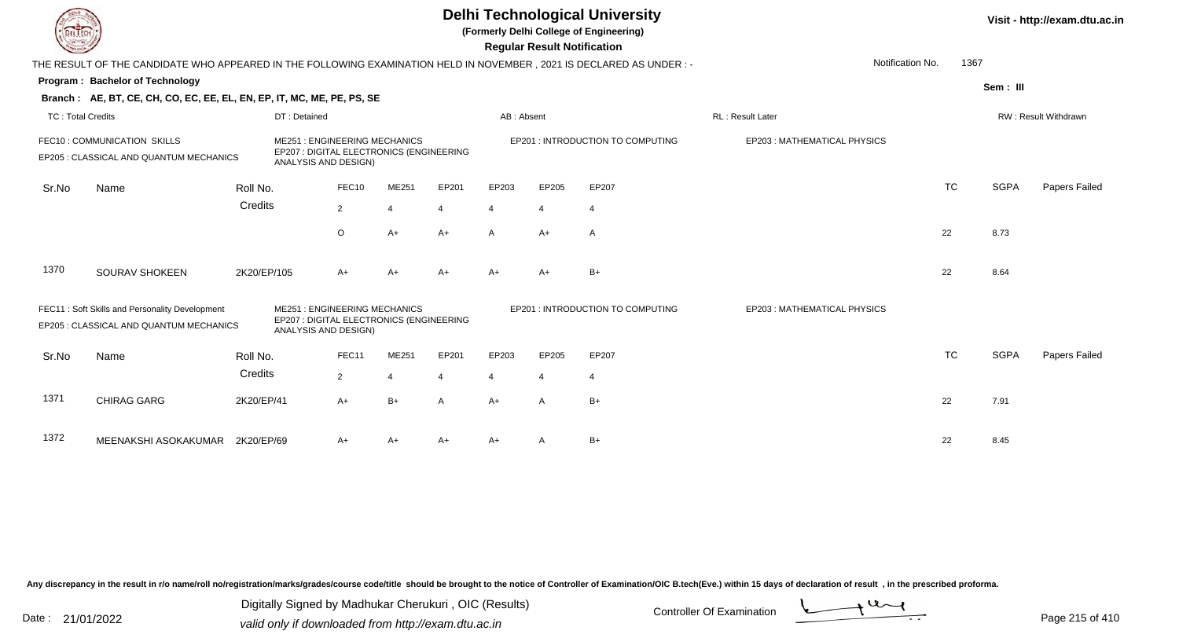|                                                                         |                                                                                                                      |             |                                                                                                         |                |       |       |                | <b>Regular Result Notification</b> | <b>Delhi Technological University</b><br>(Formerly Delhi College of Engineering) |                             |                      |             | Visit - http://exam.dtu.ac.in |  |
|-------------------------------------------------------------------------|----------------------------------------------------------------------------------------------------------------------|-------------|---------------------------------------------------------------------------------------------------------|----------------|-------|-------|----------------|------------------------------------|----------------------------------------------------------------------------------|-----------------------------|----------------------|-------------|-------------------------------|--|
|                                                                         | THE RESULT OF THE CANDIDATE WHO APPEARED IN THE FOLLOWING EXAMINATION HELD IN NOVEMBER, 2021 IS DECLARED AS UNDER :- |             |                                                                                                         |                |       |       |                |                                    |                                                                                  | Notification No.            | 1367                 |             |                               |  |
|                                                                         | Program: Bachelor of Technology                                                                                      |             |                                                                                                         |                |       |       |                |                                    |                                                                                  |                             |                      | Sem: III    |                               |  |
|                                                                         | Branch: AE, BT, CE, CH, CO, EC, EE, EL, EN, EP, IT, MC, ME, PE, PS, SE                                               |             |                                                                                                         |                |       |       |                |                                    |                                                                                  |                             |                      |             |                               |  |
| <b>TC: Total Credits</b>                                                |                                                                                                                      |             | DT: Detained                                                                                            |                |       |       | AB: Absent     |                                    |                                                                                  | <b>RL: Result Later</b>     | RW: Result Withdrawn |             |                               |  |
| FEC10 : COMMUNICATION SKILLS<br>EP205 : CLASSICAL AND QUANTUM MECHANICS |                                                                                                                      |             | <b>ME251: ENGINEERING MECHANICS</b><br>EP207 : DIGITAL ELECTRONICS (ENGINEERING<br>ANALYSIS AND DESIGN) |                |       |       |                |                                    | EP201 : INTRODUCTION TO COMPUTING                                                | EP203: MATHEMATICAL PHYSICS |                      |             |                               |  |
| Sr.No                                                                   | Name                                                                                                                 | Roll No.    |                                                                                                         | FEC10          | ME251 | EP201 | EP203          | EP205                              | EP207                                                                            |                             | <b>TC</b>            | <b>SGPA</b> | Papers Failed                 |  |
|                                                                         |                                                                                                                      | Credits     |                                                                                                         | $\overline{2}$ | 4     |       | $\overline{4}$ | $\overline{4}$                     | $\overline{4}$                                                                   |                             |                      |             |                               |  |
|                                                                         |                                                                                                                      |             |                                                                                                         | $\circ$        | $A+$  | $A+$  | $\mathsf{A}$   | $A+$                               | A                                                                                |                             | 22                   | 8.73        |                               |  |
| 1370                                                                    | SOURAV SHOKEEN                                                                                                       | 2K20/EP/105 |                                                                                                         | $A+$           | $A+$  | A+    | $A+$           | $A+$                               | $B+$                                                                             |                             | 22                   | 8.64        |                               |  |
|                                                                         | FEC11: Soft Skills and Personality Development<br>EP205 : CLASSICAL AND QUANTUM MECHANICS                            |             | ME251 : ENGINEERING MECHANICS<br>EP207 : DIGITAL ELECTRONICS (ENGINEERING<br>ANALYSIS AND DESIGN)       |                |       |       |                |                                    | EP201 : INTRODUCTION TO COMPUTING                                                | EP203: MATHEMATICAL PHYSICS |                      |             |                               |  |
| Sr.No                                                                   | Name                                                                                                                 | Roll No.    |                                                                                                         | FEC11          | ME251 | EP201 | EP203          | EP205                              | EP207                                                                            |                             | <b>TC</b>            | <b>SGPA</b> | Papers Failed                 |  |
|                                                                         |                                                                                                                      | Credits     |                                                                                                         | $\overline{2}$ | 4     |       | 4              | 4                                  | $\overline{4}$                                                                   |                             |                      |             |                               |  |
| 1371                                                                    | <b>CHIRAG GARG</b>                                                                                                   | 2K20/EP/41  |                                                                                                         | $A+$           | $B+$  | A     | $A+$           | $\overline{A}$                     | $B+$                                                                             |                             | 22                   | 7.91        |                               |  |
| 1372                                                                    | MEENAKSHI ASOKAKUMAR                                                                                                 | 2K20/EP/69  |                                                                                                         | $A+$           | A+    | A+    | A+             |                                    | $B+$                                                                             |                             | 22                   | 8.45        |                               |  |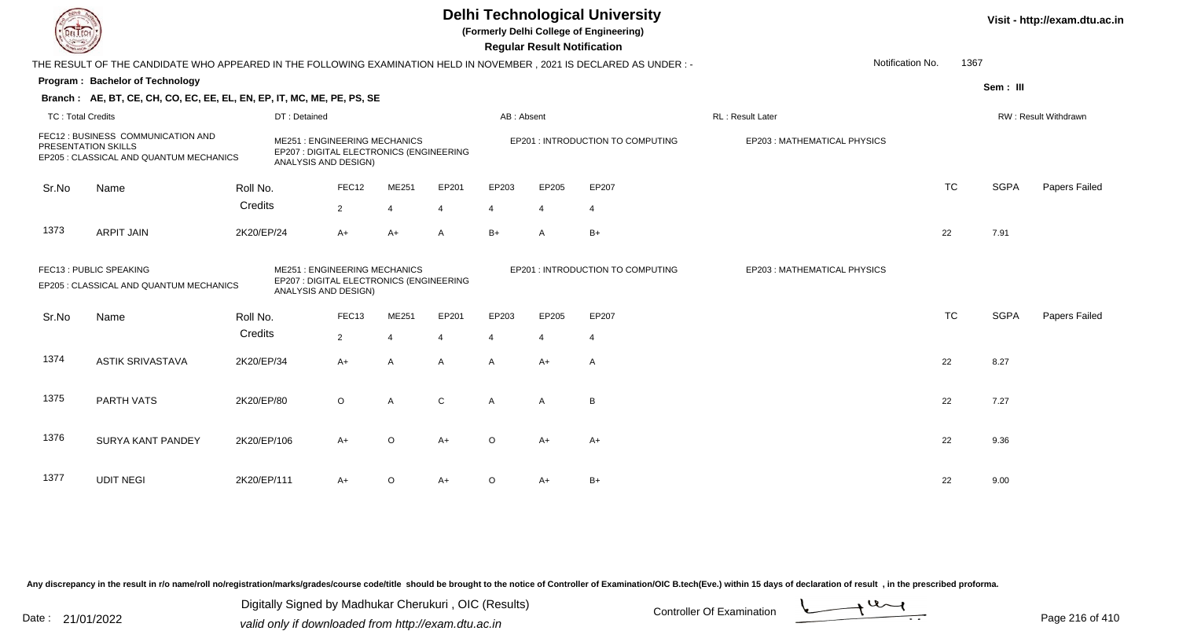|                          | <b>Delhi Technological University</b><br>(Formerly Delhi College of Engineering)<br><b>Regular Result Notification</b> |              |                                                                                                         |                |                          |                                   |                |                                   |                             |           |             |                      |
|--------------------------|------------------------------------------------------------------------------------------------------------------------|--------------|---------------------------------------------------------------------------------------------------------|----------------|--------------------------|-----------------------------------|----------------|-----------------------------------|-----------------------------|-----------|-------------|----------------------|
|                          | THE RESULT OF THE CANDIDATE WHO APPEARED IN THE FOLLOWING EXAMINATION HELD IN NOVEMBER , 2021 IS DECLARED AS UNDER : - |              |                                                                                                         |                |                          |                                   |                |                                   | Notification No.            | 1367      |             |                      |
|                          | Program: Bachelor of Technology                                                                                        |              |                                                                                                         |                |                          |                                   |                |                                   |                             |           | Sem: III    |                      |
|                          | Branch: AE, BT, CE, CH, CO, EC, EE, EL, EN, EP, IT, MC, ME, PE, PS, SE                                                 |              |                                                                                                         |                |                          |                                   |                |                                   |                             |           |             |                      |
| <b>TC: Total Credits</b> |                                                                                                                        | DT: Detained |                                                                                                         |                |                          | AB: Absent                        |                |                                   | RL: Result Later            |           |             | RW: Result Withdrawn |
|                          | FEC12 : BUSINESS COMMUNICATION AND<br>PRESENTATION SKILLS<br>EP205 : CLASSICAL AND QUANTUM MECHANICS                   |              | <b>ME251: ENGINEERING MECHANICS</b><br>EP207 : DIGITAL ELECTRONICS (ENGINEERING<br>ANALYSIS AND DESIGN) |                |                          | EP201 : INTRODUCTION TO COMPUTING |                |                                   | EP203: MATHEMATICAL PHYSICS |           |             |                      |
| Sr.No                    | Name                                                                                                                   | Roll No.     | FEC12                                                                                                   | ME251          | EP201                    | EP203                             | EP205          | EP207                             |                             | <b>TC</b> | <b>SGPA</b> | Papers Failed        |
|                          |                                                                                                                        | Credits      | 2                                                                                                       | $\overline{4}$ | $\boldsymbol{\varDelta}$ | 4                                 | $\overline{4}$ | $\overline{4}$                    |                             |           |             |                      |
| 1373                     | <b>ARPIT JAIN</b>                                                                                                      | 2K20/EP/24   | $A+$                                                                                                    | $A+$           | A                        | $B+$                              | $\mathsf{A}$   | $B+$                              |                             | 22        | 7.91        |                      |
|                          | FEC13 : PUBLIC SPEAKING<br>EP205 : CLASSICAL AND QUANTUM MECHANICS                                                     |              | <b>ME251: ENGINEERING MECHANICS</b><br>EP207 : DIGITAL ELECTRONICS (ENGINEERING<br>ANALYSIS AND DESIGN) |                |                          |                                   |                | EP201 : INTRODUCTION TO COMPUTING | EP203: MATHEMATICAL PHYSICS |           |             |                      |
| Sr.No                    | Name                                                                                                                   | Roll No.     | FEC13                                                                                                   | ME251          | EP201                    | EP203                             | EP205          | EP207                             |                             | <b>TC</b> | <b>SGPA</b> | Papers Failed        |
|                          |                                                                                                                        | Credits      | $\overline{2}$                                                                                          | $\overline{4}$ | $\overline{4}$           | $\overline{4}$                    | $\overline{4}$ | $\overline{4}$                    |                             |           |             |                      |
| 1374                     | <b>ASTIK SRIVASTAVA</b>                                                                                                | 2K20/EP/34   | A+                                                                                                      | $\overline{A}$ | A                        | A                                 | $A+$           | A                                 |                             | 22        | 8.27        |                      |
| 1375                     | PARTH VATS                                                                                                             | 2K20/EP/80   | $\circ$                                                                                                 | $\overline{A}$ | $\mathsf C$              | $\mathsf{A}$                      | A              | $\overline{B}$                    |                             | 22        | 7.27        |                      |
| 1376                     | <b>SURYA KANT PANDEY</b>                                                                                               | 2K20/EP/106  | $A+$                                                                                                    | $\circ$        | $A+$                     | $\Omega$                          | $A+$           | $A+$                              |                             | 22        | 9.36        |                      |
| 1377                     | <b>UDIT NEGI</b>                                                                                                       | 2K20/EP/111  | A+                                                                                                      | $\circ$        | $A+$                     | $\Omega$                          | A+             | $B+$                              |                             | 22        | 9.00        |                      |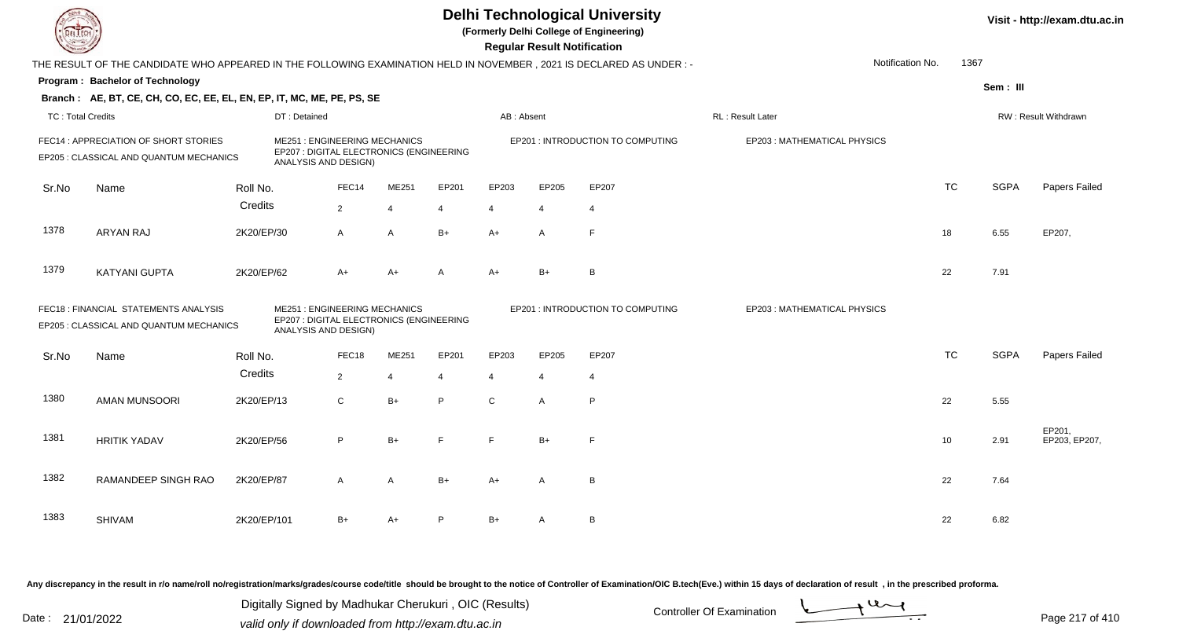**(Formerly Delhi College of Engineering)**

 **Regular Result Notification**

|                          | THE RESULT OF THE CANDIDATE WHO APPEARED IN THE FOLLOWING EXAMINATION HELD IN NOVEMBER, 2021 IS DECLARED AS UNDER :- |             |                                                                                                         |                |                |                |              |                |                                   | Notification No.            | 1367      |             |                         |
|--------------------------|----------------------------------------------------------------------------------------------------------------------|-------------|---------------------------------------------------------------------------------------------------------|----------------|----------------|----------------|--------------|----------------|-----------------------------------|-----------------------------|-----------|-------------|-------------------------|
|                          | Program: Bachelor of Technology                                                                                      |             |                                                                                                         |                |                |                |              |                |                                   |                             |           | Sem: III    |                         |
|                          | Branch: AE, BT, CE, CH, CO, EC, EE, EL, EN, EP, IT, MC, ME, PE, PS, SE                                               |             |                                                                                                         |                |                |                |              |                |                                   |                             |           |             |                         |
| <b>TC: Total Credits</b> |                                                                                                                      |             | DT: Detained                                                                                            |                |                |                | AB: Absent   |                |                                   | RL: Result Later            |           |             | RW: Result Withdrawn    |
|                          | FEC14 : APPRECIATION OF SHORT STORIES<br>EP205 : CLASSICAL AND QUANTUM MECHANICS                                     |             | <b>ME251: ENGINEERING MECHANICS</b><br>EP207 : DIGITAL ELECTRONICS (ENGINEERING                         |                |                |                |              |                | EP201 : INTRODUCTION TO COMPUTING | EP203: MATHEMATICAL PHYSICS |           |             |                         |
|                          |                                                                                                                      |             | ANALYSIS AND DESIGN)                                                                                    |                |                |                |              |                |                                   |                             |           |             |                         |
| Sr.No                    | Name                                                                                                                 | Roll No.    |                                                                                                         | FEC14          | ME251          | EP201          | EP203        | EP205          | EP207                             |                             | <b>TC</b> | <b>SGPA</b> | Papers Failed           |
|                          |                                                                                                                      | Credits     |                                                                                                         | $\overline{2}$ | 4              | $\overline{4}$ | 4            | 4              | $\overline{4}$                    |                             |           |             |                         |
| 1378                     | <b>ARYAN RAJ</b>                                                                                                     | 2K20/EP/30  |                                                                                                         | $\mathsf{A}$   | $\mathsf{A}$   | $B+$           | $A+$         | $\overline{A}$ | F                                 |                             | 18        | 6.55        | EP207,                  |
| 1379                     | <b>KATYANI GUPTA</b>                                                                                                 | 2K20/EP/62  |                                                                                                         | $A+$           | $A+$           | Α              | A+           | $B+$           | B                                 |                             | 22        | 7.91        |                         |
|                          | FEC18 : FINANCIAL STATEMENTS ANALYSIS<br>EP205 : CLASSICAL AND QUANTUM MECHANICS                                     |             | <b>ME251: ENGINEERING MECHANICS</b><br>EP207 : DIGITAL ELECTRONICS (ENGINEERING<br>ANALYSIS AND DESIGN) |                |                |                |              |                | EP201 : INTRODUCTION TO COMPUTING | EP203: MATHEMATICAL PHYSICS |           |             |                         |
| Sr.No                    | Name                                                                                                                 | Roll No.    |                                                                                                         | FEC18          | ME251          | EP201          | EP203        | EP205          | EP207                             |                             | <b>TC</b> | <b>SGPA</b> | Papers Failed           |
|                          |                                                                                                                      | Credits     |                                                                                                         | $\overline{2}$ | $\overline{4}$ | $\overline{4}$ | 4            | $\overline{4}$ | $\overline{4}$                    |                             |           |             |                         |
| 1380                     | <b>AMAN MUNSOORI</b>                                                                                                 | 2K20/EP/13  |                                                                                                         | $\mathsf C$    | $B+$           | P              | $\mathsf{C}$ | A              | P                                 |                             | 22        | 5.55        |                         |
| 1381                     | <b>HRITIK YADAV</b>                                                                                                  | 2K20/EP/56  |                                                                                                         | P              | $B+$           | F              | F.           | $B+$           | F                                 |                             | 10        | 2.91        | EP201,<br>EP203, EP207, |
| 1382                     | RAMANDEEP SINGH RAO                                                                                                  | 2K20/EP/87  |                                                                                                         | A              | $\mathsf{A}$   | $B+$           | A+           | A              | B                                 |                             | 22        | 7.64        |                         |
| 1383                     | <b>SHIVAM</b>                                                                                                        | 2K20/EP/101 |                                                                                                         | $B+$           | A+             | P              | B+           | Α              | В                                 |                             | 22        | 6.82        |                         |

Any discrepancy in the result in r/o name/roll no/registration/marks/grades/course code/title should be brought to the notice of Controller of Examination/OIC B.tech(Eve.) within 15 days of declaration of result, in the pr

Date : 21/01/2022 Digital Digital of Microsofted Chemical Controller Of Examination Determination Page 217 of 41 Digitally Signed by Madhukar Cherukuri , OIC (Results)

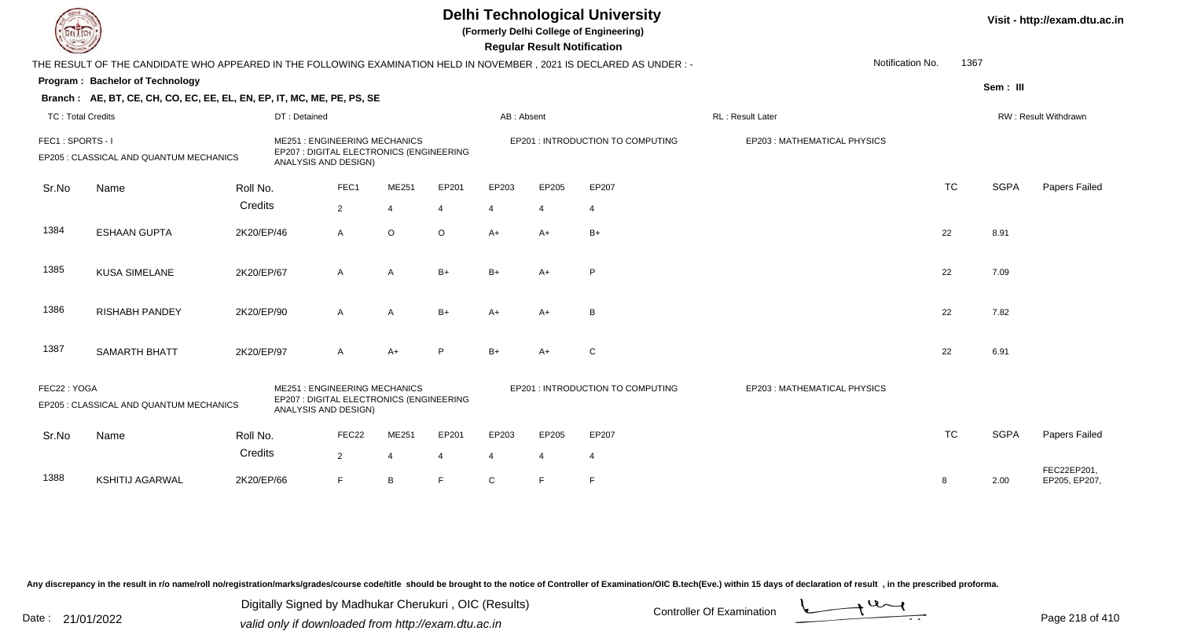**(Formerly Delhi College of Engineering)**

 **Regular Result Notification**

| <b>Course Les</b>        |                                                                                                                      |            |                                                                                                         |                |                |                |                | Regular Result Notification |                                   |                             |                  |           |             |                              |
|--------------------------|----------------------------------------------------------------------------------------------------------------------|------------|---------------------------------------------------------------------------------------------------------|----------------|----------------|----------------|----------------|-----------------------------|-----------------------------------|-----------------------------|------------------|-----------|-------------|------------------------------|
|                          | THE RESULT OF THE CANDIDATE WHO APPEARED IN THE FOLLOWING EXAMINATION HELD IN NOVEMBER, 2021 IS DECLARED AS UNDER :- |            |                                                                                                         |                |                |                |                |                             |                                   |                             | Notification No. | 1367      |             |                              |
|                          | Program: Bachelor of Technology                                                                                      |            |                                                                                                         |                |                |                |                |                             |                                   |                             |                  |           | Sem: III    |                              |
|                          | Branch: AE, BT, CE, CH, CO, EC, EE, EL, EN, EP, IT, MC, ME, PE, PS, SE                                               |            |                                                                                                         |                |                |                |                |                             |                                   |                             |                  |           |             |                              |
| <b>TC: Total Credits</b> |                                                                                                                      |            | DT: Detained                                                                                            |                |                |                | AB: Absent     |                             |                                   | RL: Result Later            |                  |           |             | RW: Result Withdrawn         |
| FEC1: SPORTS - I         | EP205 : CLASSICAL AND QUANTUM MECHANICS                                                                              |            | <b>ME251: ENGINEERING MECHANICS</b><br>EP207 : DIGITAL ELECTRONICS (ENGINEERING<br>ANALYSIS AND DESIGN) |                |                |                |                |                             | EP201 : INTRODUCTION TO COMPUTING | EP203: MATHEMATICAL PHYSICS |                  |           |             |                              |
| Sr.No                    | Name                                                                                                                 | Roll No.   |                                                                                                         | FEC1           | ME251          | EP201          | EP203          | EP205                       | EP207                             |                             |                  | <b>TC</b> | <b>SGPA</b> | Papers Failed                |
|                          |                                                                                                                      | Credits    |                                                                                                         | $\overline{2}$ | $\overline{4}$ | 4              | $\overline{4}$ | 4                           | 4                                 |                             |                  |           |             |                              |
| 1384                     | <b>ESHAAN GUPTA</b>                                                                                                  | 2K20/EP/46 |                                                                                                         | $\mathsf{A}$   | $\circ$        | $\circ$        | $A+$           | $A+$                        | $B+$                              |                             |                  | 22        | 8.91        |                              |
| 1385                     | <b>KUSA SIMELANE</b>                                                                                                 | 2K20/EP/67 |                                                                                                         | A              | A              | $B+$           | $B+$           | $A+$                        | P                                 |                             |                  | 22        | 7.09        |                              |
| 1386                     | <b>RISHABH PANDEY</b>                                                                                                | 2K20/EP/90 |                                                                                                         | $\mathsf{A}$   | $\mathsf{A}$   | $B+$           | $A+$           | $A+$                        | B                                 |                             |                  | 22        | 7.82        |                              |
| 1387                     | <b>SAMARTH BHATT</b>                                                                                                 | 2K20/EP/97 |                                                                                                         | A              | $A+$           | P              | $B+$           | $A+$                        | C                                 |                             |                  | 22        | 6.91        |                              |
| FEC22: YOGA              | EP205 : CLASSICAL AND QUANTUM MECHANICS                                                                              |            | <b>ME251: ENGINEERING MECHANICS</b><br>EP207 : DIGITAL ELECTRONICS (ENGINEERING<br>ANALYSIS AND DESIGN) |                |                |                |                |                             | EP201 : INTRODUCTION TO COMPUTING | EP203: MATHEMATICAL PHYSICS |                  |           |             |                              |
| Sr.No                    | Name                                                                                                                 | Roll No.   |                                                                                                         | FEC22          | ME251          | EP201          | EP203          | EP205                       | EP207                             |                             |                  | <b>TC</b> | <b>SGPA</b> | Papers Failed                |
|                          |                                                                                                                      | Credits    |                                                                                                         | $\overline{2}$ | $\overline{4}$ | $\overline{4}$ | 4              | $\overline{4}$              | 4                                 |                             |                  |           |             |                              |
| 1388                     | <b>KSHITIJ AGARWAL</b>                                                                                               | 2K20/EP/66 |                                                                                                         | F              | B              | F.             | $\mathsf C$    | E                           | E                                 |                             |                  | 8         | 2.00        | FEC22EP201,<br>EP205, EP207, |

Any discrepancy in the result in r/o name/roll no/registration/marks/grades/course code/title should be brought to the notice of Controller of Examination/OIC B.tech(Eve.) within 15 days of declaration of result, in the pr

Date : 21/01/2022 Digital Digital of Microsofted Chemical Controller Of Examination Determination Page 218 of 41 Digitally Signed by Madhukar Cherukuri , OIC (Results)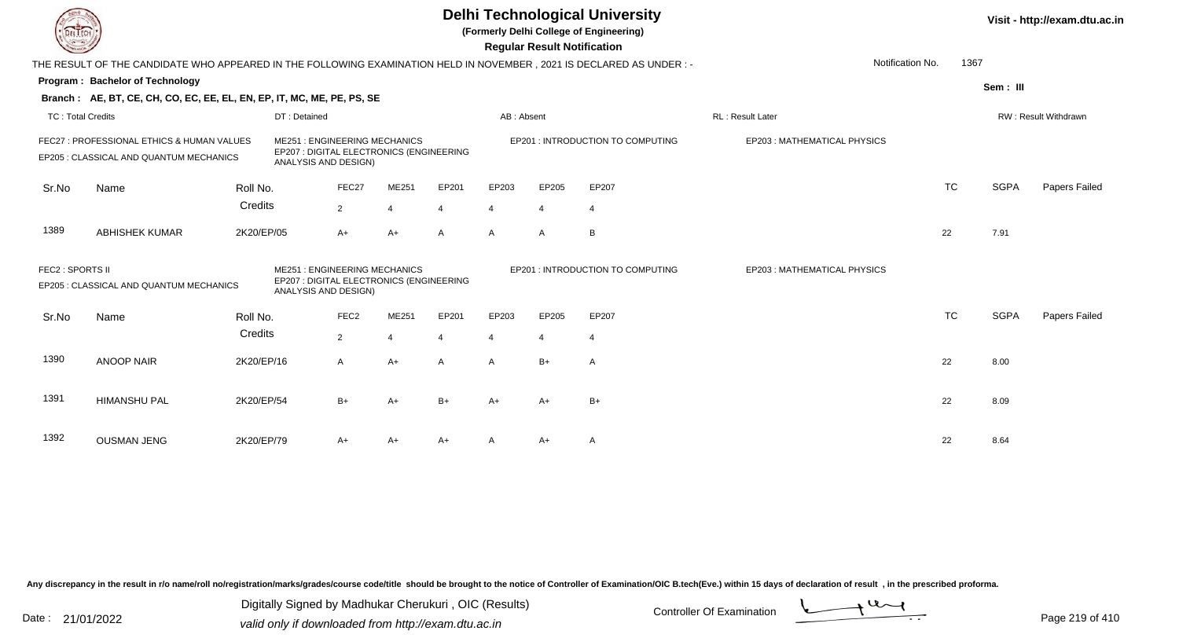| IL I ECH          |                                                                                                                        |            |                                                                                                         |                  |                |              |                | <b>Regular Result Notification</b> | <b>Delhi Technological University</b><br>(Formerly Delhi College of Engineering) |                                    |                  |           |             | Visit - http://exam.dtu.ac.in |
|-------------------|------------------------------------------------------------------------------------------------------------------------|------------|---------------------------------------------------------------------------------------------------------|------------------|----------------|--------------|----------------|------------------------------------|----------------------------------------------------------------------------------|------------------------------------|------------------|-----------|-------------|-------------------------------|
|                   | THE RESULT OF THE CANDIDATE WHO APPEARED IN THE FOLLOWING EXAMINATION HELD IN NOVEMBER , 2021 IS DECLARED AS UNDER : - |            |                                                                                                         |                  |                |              |                |                                    |                                                                                  |                                    | Notification No. | 1367      |             |                               |
|                   | Program: Bachelor of Technology                                                                                        |            |                                                                                                         |                  |                |              |                |                                    |                                                                                  |                                    |                  |           | Sem: III    |                               |
|                   | Branch: AE, BT, CE, CH, CO, EC, EE, EL, EN, EP, IT, MC, ME, PE, PS, SE                                                 |            |                                                                                                         |                  |                |              |                |                                    |                                                                                  |                                    |                  |           |             |                               |
| TC: Total Credits |                                                                                                                        |            | DT: Detained                                                                                            |                  |                |              | AB: Absent     |                                    |                                                                                  | <b>RL: Result Later</b>            |                  |           |             | <b>RW: Result Withdrawn</b>   |
|                   | FEC27 : PROFESSIONAL ETHICS & HUMAN VALUES<br>EP205 : CLASSICAL AND QUANTUM MECHANICS                                  |            | <b>ME251: ENGINEERING MECHANICS</b><br>EP207 : DIGITAL ELECTRONICS (ENGINEERING<br>ANALYSIS AND DESIGN) |                  |                |              |                |                                    | EP201 : INTRODUCTION TO COMPUTING                                                | EP203: MATHEMATICAL PHYSICS        |                  |           |             |                               |
| Sr.No             | Name                                                                                                                   | Roll No.   |                                                                                                         | FEC27            | ME251          | EP201        | EP203          | EP205                              | EP207                                                                            |                                    |                  | <b>TC</b> | <b>SGPA</b> | Papers Failed                 |
|                   |                                                                                                                        | Credits    |                                                                                                         | $\overline{2}$   | $\overline{4}$ | 4            | $\overline{4}$ | $\overline{4}$                     | $\overline{4}$                                                                   |                                    |                  |           |             |                               |
| 1389              | <b>ABHISHEK KUMAR</b>                                                                                                  | 2K20/EP/05 |                                                                                                         | $A+$             | $A+$           | $\mathsf{A}$ | $\mathsf{A}$   | $\mathsf{A}$                       | B                                                                                |                                    |                  | 22        | 7.91        |                               |
| FEC2 : SPORTS II  | EP205 : CLASSICAL AND QUANTUM MECHANICS                                                                                |            | <b>ME251: ENGINEERING MECHANICS</b><br>EP207 : DIGITAL ELECTRONICS (ENGINEERING<br>ANALYSIS AND DESIGN) |                  |                |              |                |                                    | EP201 : INTRODUCTION TO COMPUTING                                                | <b>EP203: MATHEMATICAL PHYSICS</b> |                  |           |             |                               |
| Sr.No             | Name                                                                                                                   | Roll No.   |                                                                                                         | FEC <sub>2</sub> | ME251          | EP201        | EP203          | EP205                              | EP207                                                                            |                                    |                  | <b>TC</b> | <b>SGPA</b> | Papers Failed                 |
|                   |                                                                                                                        | Credits    |                                                                                                         | $\overline{2}$   | $\overline{4}$ |              | $\overline{4}$ | $\overline{4}$                     | $\overline{4}$                                                                   |                                    |                  |           |             |                               |
| 1390              | <b>ANOOP NAIR</b>                                                                                                      | 2K20/EP/16 |                                                                                                         | A                | $A+$           | A            | A              | $B+$                               | $\overline{A}$                                                                   |                                    |                  | 22        | 8.00        |                               |
| 1391              | <b>HIMANSHU PAL</b>                                                                                                    | 2K20/EP/54 |                                                                                                         | $B+$             | $A+$           | $B+$         | $A+$           | $A+$                               | $B+$                                                                             |                                    |                  | 22        | 8.09        |                               |
| 1392              | <b>OUSMAN JENG</b>                                                                                                     | 2K20/EP/79 |                                                                                                         | A+               | A+             | $A+$         |                | A+                                 | $\overline{A}$                                                                   |                                    |                  | 22        | 8.64        |                               |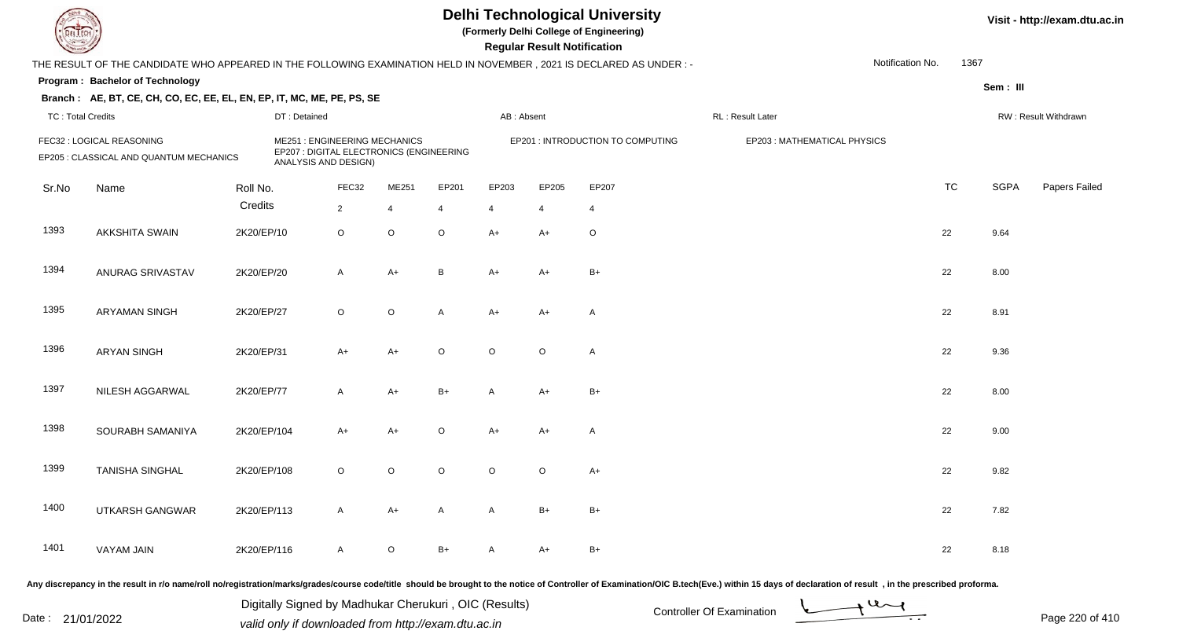**(Formerly Delhi College of Engineering)**

**Regular Regular Results Notification** 

| <b>County</b>            |                                                                                                                      |             |                                                                                                         |                |                |                |              | <b>Regular Result Notification</b> |                                   |                   |                             |                  |           |             |                      |
|--------------------------|----------------------------------------------------------------------------------------------------------------------|-------------|---------------------------------------------------------------------------------------------------------|----------------|----------------|----------------|--------------|------------------------------------|-----------------------------------|-------------------|-----------------------------|------------------|-----------|-------------|----------------------|
|                          | THE RESULT OF THE CANDIDATE WHO APPEARED IN THE FOLLOWING EXAMINATION HELD IN NOVEMBER, 2021 IS DECLARED AS UNDER :- |             |                                                                                                         |                |                |                |              |                                    |                                   |                   |                             | Notification No. | 1367      |             |                      |
|                          | Program: Bachelor of Technology                                                                                      |             |                                                                                                         |                |                |                |              |                                    |                                   |                   |                             |                  |           | Sem: III    |                      |
|                          | Branch: AE, BT, CE, CH, CO, EC, EE, EL, EN, EP, IT, MC, ME, PE, PS, SE                                               |             |                                                                                                         |                |                |                |              |                                    |                                   |                   |                             |                  |           |             |                      |
| <b>TC: Total Credits</b> |                                                                                                                      |             | DT: Detained                                                                                            |                |                |                | AB: Absent   |                                    |                                   | RL : Result Later |                             |                  |           |             | RW: Result Withdrawn |
|                          | FEC32 : LOGICAL REASONING<br>EP205 : CLASSICAL AND QUANTUM MECHANICS                                                 |             | <b>ME251: ENGINEERING MECHANICS</b><br>EP207 : DIGITAL ELECTRONICS (ENGINEERING<br>ANALYSIS AND DESIGN) |                |                |                |              |                                    | EP201 : INTRODUCTION TO COMPUTING |                   | EP203: MATHEMATICAL PHYSICS |                  |           |             |                      |
| Sr.No                    | Name                                                                                                                 | Roll No.    |                                                                                                         | FEC32          | ME251          | EP201          | EP203        | EP205                              | EP207                             |                   |                             |                  | <b>TC</b> | <b>SGPA</b> | Papers Failed        |
|                          |                                                                                                                      | Credits     |                                                                                                         | $\overline{2}$ | $\overline{4}$ | $\overline{4}$ | Δ            | 4                                  | $\overline{4}$                    |                   |                             |                  |           |             |                      |
| 1393                     | <b>AKKSHITA SWAIN</b>                                                                                                | 2K20/EP/10  |                                                                                                         | $\circ$        | $\circ$        | $\circ$        | $A+$         | A+                                 | $\circ$                           |                   |                             |                  | 22        | 9.64        |                      |
| 1394                     | ANURAG SRIVASTAV                                                                                                     | 2K20/EP/20  |                                                                                                         | $\mathsf{A}$   | $A+$           | $\, {\bf B}$   | $A+$         | A+                                 | $B+$                              |                   |                             |                  | 22        | 8.00        |                      |
| 1395                     | <b>ARYAMAN SINGH</b>                                                                                                 | 2K20/EP/27  |                                                                                                         | $\circ$        | $\circ$        | A              | $A+$         | $A+$                               | A                                 |                   |                             |                  | 22        | 8.91        |                      |
| 1396                     | <b>ARYAN SINGH</b>                                                                                                   | 2K20/EP/31  |                                                                                                         | $A+$           | $A+$           | $\circ$        | $\circ$      | $\circ$                            | A                                 |                   |                             |                  | 22        | 9.36        |                      |
| 1397                     | NILESH AGGARWAL                                                                                                      | 2K20/EP/77  |                                                                                                         | $\mathsf{A}$   | $A+$           | $B+$           | $\mathsf{A}$ | $A+$                               | $B+$                              |                   |                             |                  | 22        | 8.00        |                      |
| 1398                     | SOURABH SAMANIYA                                                                                                     | 2K20/EP/104 |                                                                                                         | $A+$           | $A+$           | $\mathsf O$    | $A+$         | $A+$                               | A                                 |                   |                             |                  | 22        | 9.00        |                      |
| 1399                     | <b>TANISHA SINGHAL</b>                                                                                               | 2K20/EP/108 |                                                                                                         | $\circ$        | $\circ$        | $\circ$        | $\circ$      | $\circ$                            | $A+$                              |                   |                             |                  | 22        | 9.82        |                      |
| 1400                     | UTKARSH GANGWAR                                                                                                      | 2K20/EP/113 |                                                                                                         | $\mathsf{A}$   | $A+$           | $\mathsf{A}$   | A            | $B+$                               | $B+$                              |                   |                             |                  | 22        | 7.82        |                      |
| 1401                     | VAYAM JAIN                                                                                                           | 2K20/EP/116 |                                                                                                         | $\overline{A}$ | $\circ$        | $B+$           | A            | A+                                 | $B+$                              |                   |                             |                  | 22        | 8.18        |                      |
|                          |                                                                                                                      |             |                                                                                                         |                |                |                |              |                                    |                                   |                   |                             |                  |           |             |                      |

Any discrepancy in the result in r/o name/roll no/registration/marks/grades/course code/title should be brought to the notice of Controller of Examination/OIC B.tech(Eve.) within 15 days of declaration of result, in the pr

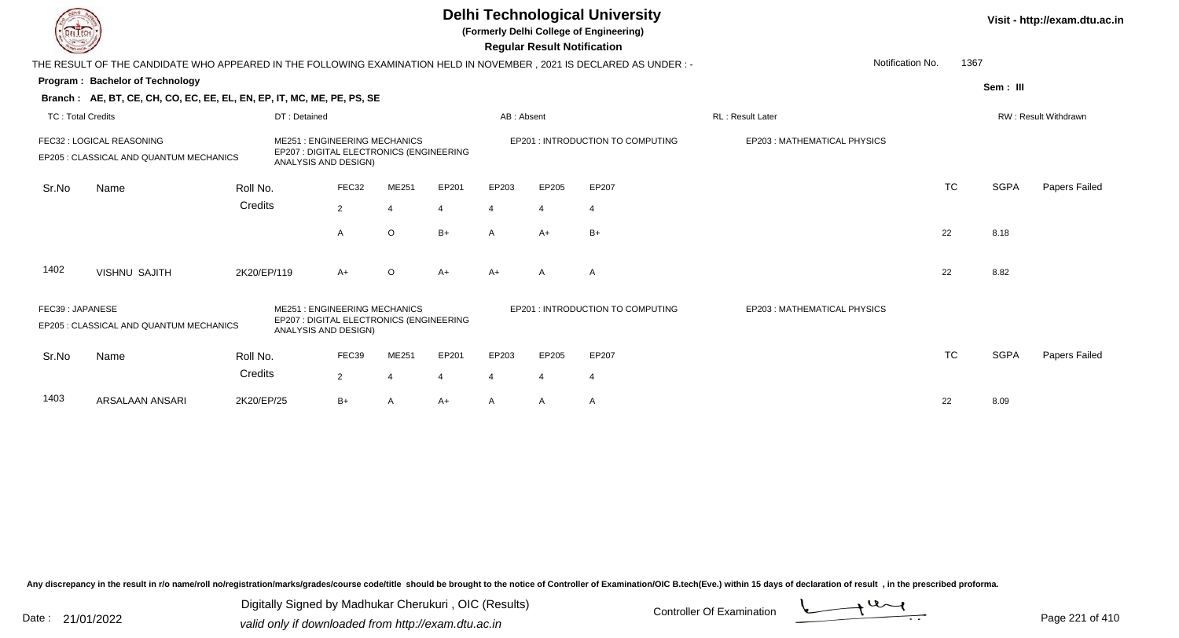|                          |                                                                                                                     |             |                                                                                                         |                |         |       |                | <b>Regular Result Notification</b> | <b>Delhi Technological University</b><br>(Formerly Delhi College of Engineering) |                             |           |             | Visit - http://exam.dtu.ac.in |
|--------------------------|---------------------------------------------------------------------------------------------------------------------|-------------|---------------------------------------------------------------------------------------------------------|----------------|---------|-------|----------------|------------------------------------|----------------------------------------------------------------------------------|-----------------------------|-----------|-------------|-------------------------------|
|                          | THE RESULT OF THE CANDIDATE WHO APPEARED IN THE FOLLOWING EXAMINATION HELD IN NOVEMBER, 2021 IS DECLARED AS UNDER:- |             |                                                                                                         |                |         |       |                |                                    |                                                                                  | Notification No.            | 1367      |             |                               |
|                          | Program: Bachelor of Technology                                                                                     |             |                                                                                                         |                |         |       |                |                                    |                                                                                  |                             |           | Sem: III    |                               |
|                          | Branch: AE, BT, CE, CH, CO, EC, EE, EL, EN, EP, IT, MC, ME, PE, PS, SE                                              |             |                                                                                                         |                |         |       |                |                                    |                                                                                  |                             |           |             |                               |
| <b>TC: Total Credits</b> |                                                                                                                     |             | DT: Detained                                                                                            |                |         |       | AB: Absent     |                                    |                                                                                  | RL: Result Later            |           |             | RW: Result Withdrawn          |
|                          | FEC32 : LOGICAL REASONING<br>EP205 : CLASSICAL AND QUANTUM MECHANICS                                                |             | <b>ME251: ENGINEERING MECHANICS</b><br>EP207 : DIGITAL ELECTRONICS (ENGINEERING<br>ANALYSIS AND DESIGN) |                |         |       |                |                                    | EP201 : INTRODUCTION TO COMPUTING                                                | EP203: MATHEMATICAL PHYSICS |           |             |                               |
| Sr.No                    | Name                                                                                                                | Roll No.    |                                                                                                         | FEC32          | ME251   | EP201 | EP203          | EP205                              | EP207                                                                            |                             | <b>TC</b> | <b>SGPA</b> | Papers Failed                 |
|                          |                                                                                                                     | Credits     |                                                                                                         | $\overline{2}$ | 4       | 4     | 4              | $\overline{4}$                     | $\overline{4}$                                                                   |                             |           |             |                               |
|                          |                                                                                                                     |             |                                                                                                         | A              | $\circ$ | $B+$  | $\mathsf{A}$   | $A+$                               | $B+$                                                                             |                             | 22        | 8.18        |                               |
| 1402                     | <b>VISHNU SAJITH</b>                                                                                                | 2K20/EP/119 |                                                                                                         | A+             | $\circ$ | $A+$  | $A+$           | A                                  | A                                                                                |                             | 22        | 8.82        |                               |
| FEC39: JAPANESE          | EP205 : CLASSICAL AND QUANTUM MECHANICS                                                                             |             | <b>ME251: ENGINEERING MECHANICS</b><br>EP207 : DIGITAL ELECTRONICS (ENGINEERING<br>ANALYSIS AND DESIGN) |                |         |       |                |                                    | EP201 : INTRODUCTION TO COMPUTING                                                | EP203: MATHEMATICAL PHYSICS |           |             |                               |
| Sr.No                    | Name                                                                                                                | Roll No.    |                                                                                                         | FEC39          | ME251   | EP201 | EP203          | EP205                              | EP207                                                                            |                             | <b>TC</b> | <b>SGPA</b> | Papers Failed                 |
|                          |                                                                                                                     | Credits     |                                                                                                         | 2              |         |       | $\overline{4}$ | $\overline{4}$                     | $\overline{4}$                                                                   |                             |           |             |                               |
| 1403                     | <b>ARSALAAN ANSARI</b>                                                                                              | 2K20/EP/25  |                                                                                                         | B+             | A       | A+    | A              | A                                  | A                                                                                |                             | 22        | 8.09        |                               |

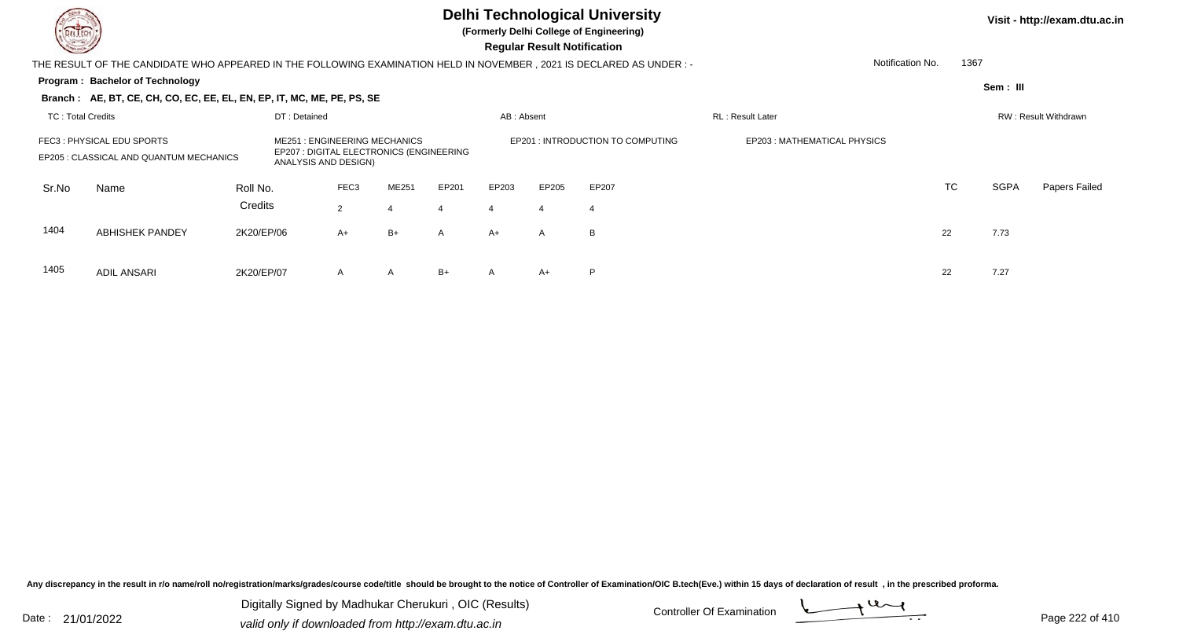

**(Formerly Delhi College of Engineering)**

 **Regular Result Notification**

| <b>Courses Lines</b>     |                                                                                                                     |            |                      |                  |                                                                                 |              |            | Regular Result Notification |                                   |                              |           |          |                      |
|--------------------------|---------------------------------------------------------------------------------------------------------------------|------------|----------------------|------------------|---------------------------------------------------------------------------------|--------------|------------|-----------------------------|-----------------------------------|------------------------------|-----------|----------|----------------------|
|                          | THE RESULT OF THE CANDIDATE WHO APPEARED IN THE FOLLOWING EXAMINATION HELD IN NOVEMBER, 2021 IS DECLARED AS UNDER:- |            |                      |                  |                                                                                 |              |            |                             |                                   | Notification No.             |           | 1367     |                      |
|                          | Program: Bachelor of Technology                                                                                     |            |                      |                  |                                                                                 |              |            |                             |                                   |                              |           | Sem: III |                      |
|                          | Branch: AE, BT, CE, CH, CO, EC, EE, EL, EN, EP, IT, MC, ME, PE, PS, SE                                              |            |                      |                  |                                                                                 |              |            |                             |                                   |                              |           |          |                      |
| <b>TC: Total Credits</b> |                                                                                                                     |            | DT: Detained         |                  |                                                                                 |              | AB: Absent |                             |                                   | RL: Result Later             |           |          | RW: Result Withdrawn |
|                          | FEC3: PHYSICAL EDU SPORTS<br>EP205 : CLASSICAL AND QUANTUM MECHANICS                                                |            | ANALYSIS AND DESIGN) |                  | <b>ME251: ENGINEERING MECHANICS</b><br>EP207 : DIGITAL ELECTRONICS (ENGINEERING |              |            |                             | EP201 : INTRODUCTION TO COMPUTING | EP203 : MATHEMATICAL PHYSICS |           |          |                      |
| Sr.No                    | Name                                                                                                                | Roll No.   |                      | FEC <sub>3</sub> | ME251                                                                           | EP201        | EP203      | EP205                       | EP207                             |                              | <b>TC</b> | SGPA     | Papers Failed        |
|                          |                                                                                                                     | Credits    |                      | $\overline{2}$   |                                                                                 |              |            |                             |                                   |                              |           |          |                      |
| 1404                     | <b>ABHISHEK PANDEY</b>                                                                                              | 2K20/EP/06 |                      | $A+$             | B+                                                                              | $\mathsf{A}$ | A+         | A                           | B                                 |                              | 22        | 7.73     |                      |
| 1405                     | <b>ADIL ANSARI</b>                                                                                                  | 2K20/EP/07 |                      | $\mathsf{A}$     | A                                                                               | $B+$         | A          | $A+$                        | P                                 |                              | 22        | 7.27     |                      |

Any discrepancy in the result in r/o name/roll no/registration/marks/grades/course code/title should be brought to the notice of Controller of Examination/OIC B.tech(Eve.) within 15 days of declaration of result, in the pr

Date : 21/01/2022 Digital Digital of Microsofted Chemical Controller Of Examination Determination Page 222 of 41 Digitally Signed by Madhukar Cherukuri , OIC (Results)

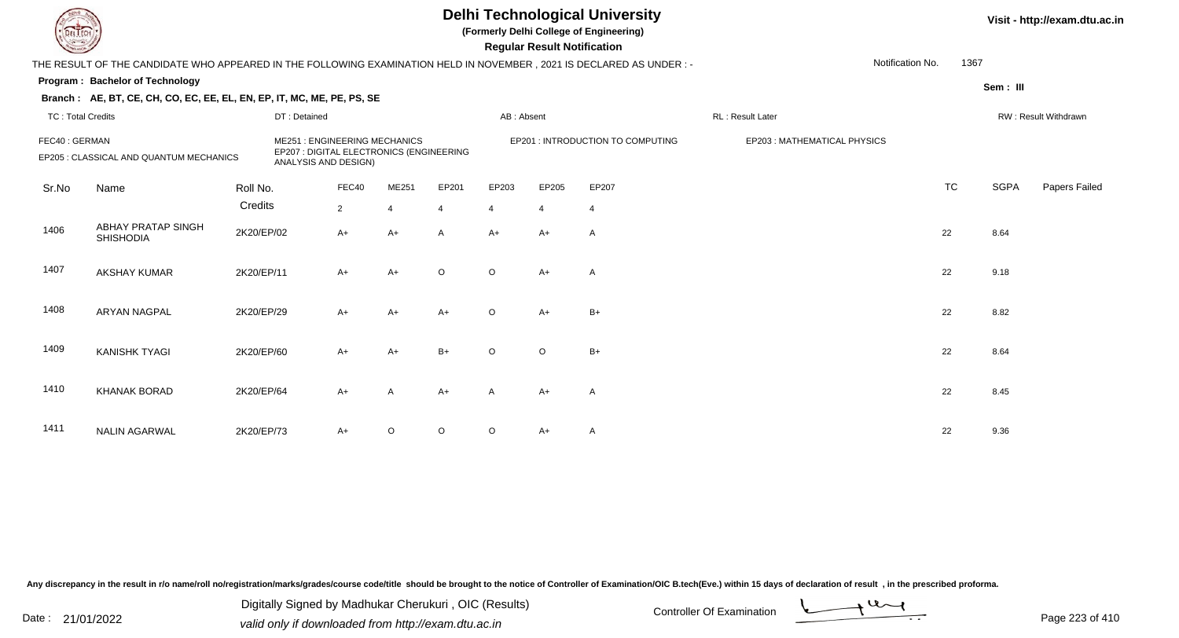**(Formerly Delhi College of Engineering)**

 **Regular Result Notification**

| $\overline{\phantom{a}}$ |                                                                                                                       |            |                                                                                                         |                |                |                |            | <b>Regular Result Notification</b> |                                   |                  |                             |                  |           |             |                      |
|--------------------------|-----------------------------------------------------------------------------------------------------------------------|------------|---------------------------------------------------------------------------------------------------------|----------------|----------------|----------------|------------|------------------------------------|-----------------------------------|------------------|-----------------------------|------------------|-----------|-------------|----------------------|
|                          | THE RESULT OF THE CANDIDATE WHO APPEARED IN THE FOLLOWING EXAMINATION HELD IN NOVEMBER , 2021 IS DECLARED AS UNDER :- |            |                                                                                                         |                |                |                |            |                                    |                                   |                  |                             | Notification No. | 1367      |             |                      |
|                          | Program: Bachelor of Technology                                                                                       |            |                                                                                                         |                |                |                |            |                                    |                                   |                  |                             |                  |           | Sem: III    |                      |
|                          | Branch: AE, BT, CE, CH, CO, EC, EE, EL, EN, EP, IT, MC, ME, PE, PS, SE                                                |            |                                                                                                         |                |                |                |            |                                    |                                   |                  |                             |                  |           |             |                      |
| <b>TC: Total Credits</b> |                                                                                                                       |            | DT: Detained                                                                                            |                |                |                | AB: Absent |                                    |                                   | RL: Result Later |                             |                  |           |             | RW: Result Withdrawn |
| FEC40: GERMAN            | EP205 : CLASSICAL AND QUANTUM MECHANICS                                                                               |            | <b>ME251: ENGINEERING MECHANICS</b><br>EP207 : DIGITAL ELECTRONICS (ENGINEERING<br>ANALYSIS AND DESIGN) |                |                |                |            |                                    | EP201 : INTRODUCTION TO COMPUTING |                  | EP203: MATHEMATICAL PHYSICS |                  |           |             |                      |
| Sr.No                    | Name                                                                                                                  | Roll No.   |                                                                                                         | FEC40          | ME251          | EP201          | EP203      | EP205                              | EP207                             |                  |                             |                  | <b>TC</b> | <b>SGPA</b> | Papers Failed        |
|                          |                                                                                                                       | Credits    |                                                                                                         | $\overline{2}$ | $\overline{4}$ | $\overline{4}$ | 4          | $\overline{4}$                     | $\overline{4}$                    |                  |                             |                  |           |             |                      |
| 1406                     | <b>ABHAY PRATAP SINGH</b><br><b>SHISHODIA</b>                                                                         | 2K20/EP/02 |                                                                                                         | $A+$           | A+             | $\mathsf{A}$   | $A+$       | $A+$                               | Α                                 |                  |                             | 22               |           | 8.64        |                      |
| 1407                     | <b>AKSHAY KUMAR</b>                                                                                                   | 2K20/EP/11 |                                                                                                         | $A+$           | $A+$           | $\circ$        | $\circ$    | $A+$                               | Α                                 |                  |                             | 22               |           | 9.18        |                      |
| 1408                     | <b>ARYAN NAGPAL</b>                                                                                                   | 2K20/EP/29 |                                                                                                         | $A+$           | $A+$           | $A+$           | $\circ$    | $A+$                               | $B+$                              |                  |                             | 22               |           | 8.82        |                      |
| 1409                     | <b>KANISHK TYAGI</b>                                                                                                  | 2K20/EP/60 |                                                                                                         | $A+$           | $A+$           | $B+$           | $\circ$    | $\circ$                            | $B+$                              |                  |                             | 22               |           | 8.64        |                      |
| 1410                     | <b>KHANAK BORAD</b>                                                                                                   | 2K20/EP/64 |                                                                                                         | $A+$           | A              | $A+$           | A          | A+                                 | A                                 |                  |                             | 22               |           | 8.45        |                      |
| 1411                     | <b>NALIN AGARWAL</b>                                                                                                  | 2K20/EP/73 |                                                                                                         | $A+$           | $\circ$        | $\mathsf O$    | $\circ$    | A+                                 | A                                 |                  |                             | 22               |           | 9.36        |                      |

Any discrepancy in the result in r/o name/roll no/registration/marks/grades/course code/title should be brought to the notice of Controller of Examination/OIC B.tech(Eve.) within 15 days of declaration of result, in the pr

Date : 21/01/2022 Digital Digital of Microsofted Chemical Controller Of Examination Determination Page 223 of 41 Digitally Signed by Madhukar Cherukuri , OIC (Results)

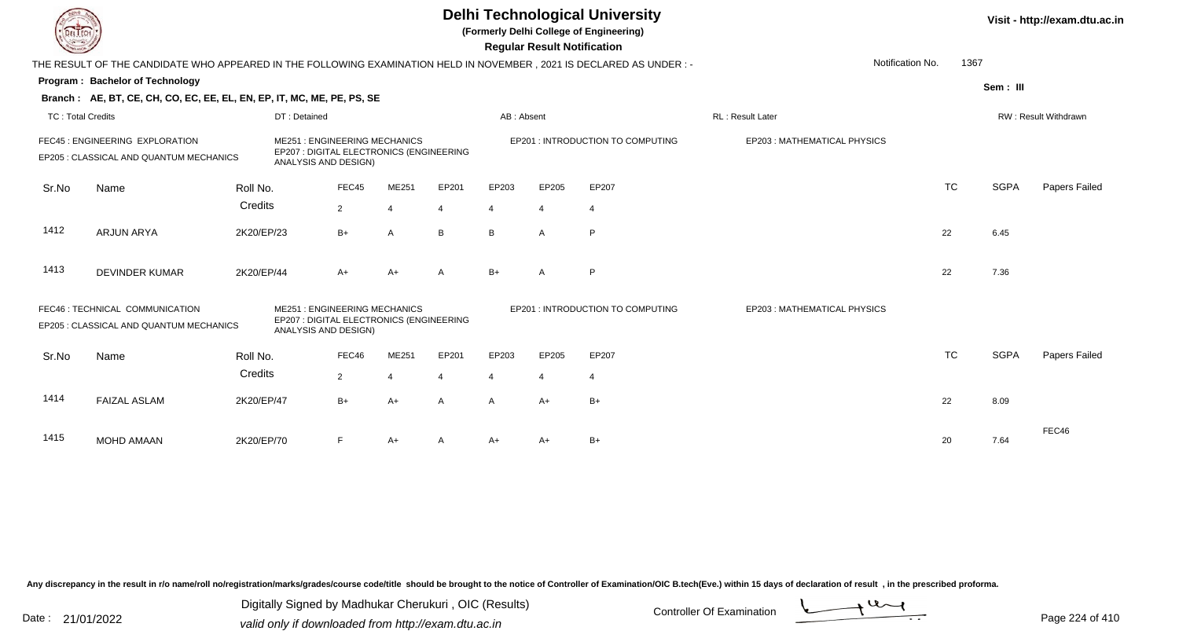**(Formerly Delhi College of Engineering)**

 **Regular Result Notification**

| <b>Courses A</b>         |                                                                                                                      |              |                                                                                                         |       |       |            | Regular Result Notification |                                   |                             |           |             |                      |
|--------------------------|----------------------------------------------------------------------------------------------------------------------|--------------|---------------------------------------------------------------------------------------------------------|-------|-------|------------|-----------------------------|-----------------------------------|-----------------------------|-----------|-------------|----------------------|
|                          | THE RESULT OF THE CANDIDATE WHO APPEARED IN THE FOLLOWING EXAMINATION HELD IN NOVEMBER, 2021 IS DECLARED AS UNDER :- |              |                                                                                                         |       |       |            |                             |                                   | Notification No.            | 1367      |             |                      |
|                          | Program: Bachelor of Technology                                                                                      |              |                                                                                                         |       |       |            |                             |                                   |                             |           | Sem: III    |                      |
|                          | Branch: AE, BT, CE, CH, CO, EC, EE, EL, EN, EP, IT, MC, ME, PE, PS, SE                                               |              |                                                                                                         |       |       |            |                             |                                   |                             |           |             |                      |
| <b>TC: Total Credits</b> |                                                                                                                      | DT: Detained |                                                                                                         |       |       | AB: Absent |                             |                                   | RL: Result Later            |           |             | RW: Result Withdrawn |
|                          | FEC45 : ENGINEERING EXPLORATION<br>EP205 : CLASSICAL AND QUANTUM MECHANICS                                           |              | <b>ME251: ENGINEERING MECHANICS</b><br>EP207 : DIGITAL ELECTRONICS (ENGINEERING<br>ANALYSIS AND DESIGN) |       |       |            |                             | EP201 : INTRODUCTION TO COMPUTING | EP203: MATHEMATICAL PHYSICS |           |             |                      |
| Sr.No                    | Name                                                                                                                 | Roll No.     | FEC45                                                                                                   | ME251 | EP201 | EP203      | EP205                       | EP207                             |                             | <b>TC</b> | <b>SGPA</b> | Papers Failed        |
|                          |                                                                                                                      | Credits      | $\overline{2}$                                                                                          | 4     | 4     |            | 4                           | 4                                 |                             |           |             |                      |
| 1412                     | <b>ARJUN ARYA</b>                                                                                                    | 2K20/EP/23   | $B+$                                                                                                    | A     | B     | B          | A                           | P                                 |                             | 22        | 6.45        |                      |
| 1413                     | <b>DEVINDER KUMAR</b>                                                                                                | 2K20/EP/44   | $A+$                                                                                                    | A+    | Α     | $B+$       | A                           | P                                 |                             | 22        | 7.36        |                      |
|                          | FEC46: TECHNICAL COMMUNICATION<br>EP205 : CLASSICAL AND QUANTUM MECHANICS                                            |              | <b>ME251: ENGINEERING MECHANICS</b><br>EP207 : DIGITAL ELECTRONICS (ENGINEERING<br>ANALYSIS AND DESIGN) |       |       |            |                             | EP201 : INTRODUCTION TO COMPUTING | EP203: MATHEMATICAL PHYSICS |           |             |                      |
| Sr.No                    | Name                                                                                                                 | Roll No.     | FEC46                                                                                                   | ME251 | EP201 | EP203      | EP205                       | EP207                             |                             | <b>TC</b> | <b>SGPA</b> | Papers Failed        |
|                          |                                                                                                                      | Credits      | $\overline{2}$                                                                                          |       | 4     | 4          | 4                           | 4                                 |                             |           |             |                      |
| 1414                     | <b>FAIZAL ASLAM</b>                                                                                                  | 2K20/EP/47   | $B+$                                                                                                    | A+    | A     | A          | A+                          | $B+$                              |                             | 22        | 8.09        |                      |
| 1415                     | <b>MOHD AMAAN</b>                                                                                                    | 2K20/EP/70   | F                                                                                                       | A+    | A     | A+         | A+                          | $B+$                              |                             | 20        | 7.64        | FEC46                |

Any discrepancy in the result in r/o name/roll no/registration/marks/grades/course code/title should be brought to the notice of Controller of Examination/OIC B.tech(Eve.) within 15 days of declaration of result, in the pr

Date : 21/01/2022 Digital Digital of Microsofted Chemical Controller Of Examination Determination Page 224 of 41 Digitally Signed by Madhukar Cherukuri , OIC (Results)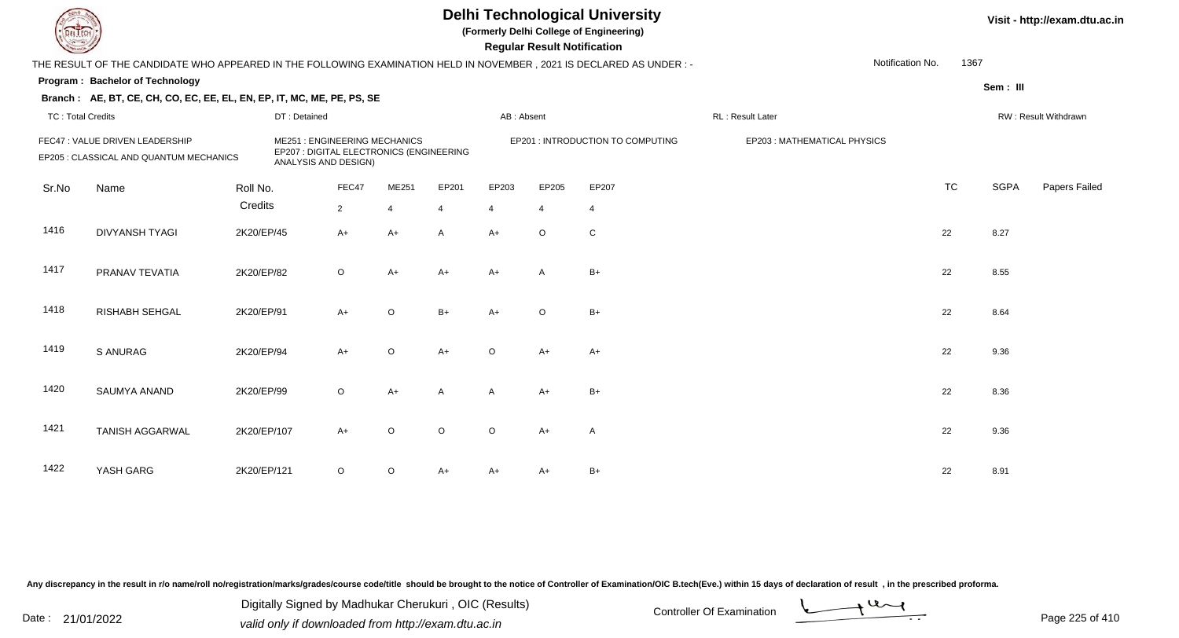**(Formerly Delhi College of Engineering)**

 **Regular Result Notification**

| $\sim$                   |                                                                                                                      |              |                                                                                                         |         |                |                | <b>Regular Result Notification</b> |                                   |                             |                  |           |             |                      |
|--------------------------|----------------------------------------------------------------------------------------------------------------------|--------------|---------------------------------------------------------------------------------------------------------|---------|----------------|----------------|------------------------------------|-----------------------------------|-----------------------------|------------------|-----------|-------------|----------------------|
|                          | THE RESULT OF THE CANDIDATE WHO APPEARED IN THE FOLLOWING EXAMINATION HELD IN NOVEMBER, 2021 IS DECLARED AS UNDER :- |              |                                                                                                         |         |                |                |                                    |                                   |                             | Notification No. | 1367      |             |                      |
|                          | Program: Bachelor of Technology                                                                                      |              |                                                                                                         |         |                |                |                                    |                                   |                             |                  |           | Sem: III    |                      |
|                          | Branch: AE, BT, CE, CH, CO, EC, EE, EL, EN, EP, IT, MC, ME, PE, PS, SE                                               |              |                                                                                                         |         |                |                |                                    |                                   |                             |                  |           |             |                      |
| <b>TC: Total Credits</b> |                                                                                                                      | DT: Detained |                                                                                                         |         |                | AB: Absent     |                                    |                                   | <b>RL: Result Later</b>     |                  |           |             | RW: Result Withdrawn |
|                          | FEC47 : VALUE DRIVEN LEADERSHIP<br>EP205 : CLASSICAL AND QUANTUM MECHANICS                                           |              | <b>ME251: ENGINEERING MECHANICS</b><br>EP207 : DIGITAL ELECTRONICS (ENGINEERING<br>ANALYSIS AND DESIGN) |         |                |                |                                    | EP201 : INTRODUCTION TO COMPUTING | EP203: MATHEMATICAL PHYSICS |                  |           |             |                      |
| Sr.No                    | Name                                                                                                                 | Roll No.     | FEC47                                                                                                   | ME251   | EP201          | EP203          | EP205                              | EP207                             |                             |                  | <b>TC</b> | <b>SGPA</b> | Papers Failed        |
|                          |                                                                                                                      | Credits      | $\overline{2}$                                                                                          | 4       | $\overline{4}$ | $\overline{4}$ | $\overline{4}$                     | 4                                 |                             |                  |           |             |                      |
| 1416                     | <b>DIVYANSH TYAGI</b>                                                                                                | 2K20/EP/45   | $A+$                                                                                                    | A+      | A              | $A+$           | $\circ$                            | ${\bf C}$                         |                             | 22               |           | 8.27        |                      |
| 1417                     | PRANAV TEVATIA                                                                                                       | 2K20/EP/82   | $\circ$                                                                                                 | $A+$    | $A+$           | $A+$           | A                                  | $B+$                              |                             | 22               |           | 8.55        |                      |
| 1418                     | RISHABH SEHGAL                                                                                                       | 2K20/EP/91   | $A+$                                                                                                    | O       | $B+$           | $A+$           | $\circ$                            | $B+$                              |                             | 22               |           | 8.64        |                      |
| 1419                     | <b>S ANURAG</b>                                                                                                      | 2K20/EP/94   | $A+$                                                                                                    | $\circ$ | $A+$           | O              | A+                                 | $A+$                              |                             | 22               |           | 9.36        |                      |
| 1420                     | SAUMYA ANAND                                                                                                         | 2K20/EP/99   | $\circ$                                                                                                 | A+      | A              | A              | $A+$                               | $B+$                              |                             | 22               |           | 8.36        |                      |
| 1421                     | <b>TANISH AGGARWAL</b>                                                                                               | 2K20/EP/107  | $A+$                                                                                                    | $\circ$ | $\circ$        | O              | A+                                 | A                                 |                             | 22               |           | 9.36        |                      |
| 1422                     | YASH GARG                                                                                                            | 2K20/EP/121  | $\circ$                                                                                                 | $\circ$ | $A+$           | A+             | A+                                 | $B+$                              |                             | 22               |           | 8.91        |                      |

Any discrepancy in the result in r/o name/roll no/registration/marks/grades/course code/title should be brought to the notice of Controller of Examination/OIC B.tech(Eve.) within 15 days of declaration of result, in the pr

Date : 21/01/2022 Digital Digital of Microsofted Chemical Controller Of Examination Determination Page 225 of 41 Digitally Signed by Madhukar Cherukuri , OIC (Results)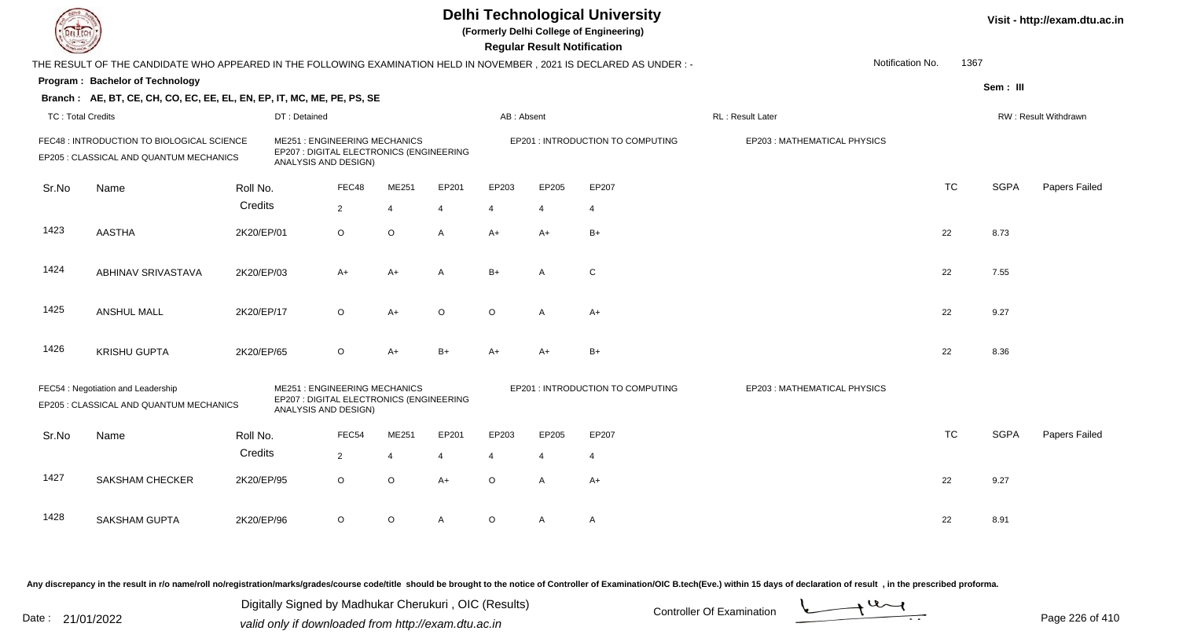|                          |                                                                                                                      |            |                                                                                                         |                |                |         | <b>Delhi Technological University</b><br>(Formerly Delhi College of Engineering)<br><b>Regular Result Notification</b> |                       |                                   |                             |                  |           |             | Visit - http://exam.dtu.ac.in |
|--------------------------|----------------------------------------------------------------------------------------------------------------------|------------|---------------------------------------------------------------------------------------------------------|----------------|----------------|---------|------------------------------------------------------------------------------------------------------------------------|-----------------------|-----------------------------------|-----------------------------|------------------|-----------|-------------|-------------------------------|
|                          | THE RESULT OF THE CANDIDATE WHO APPEARED IN THE FOLLOWING EXAMINATION HELD IN NOVEMBER, 2021 IS DECLARED AS UNDER :- |            |                                                                                                         |                |                |         |                                                                                                                        |                       |                                   |                             | Notification No. | 1367      |             |                               |
|                          | Program: Bachelor of Technology                                                                                      |            |                                                                                                         |                |                |         |                                                                                                                        |                       |                                   |                             |                  |           | Sem: III    |                               |
|                          | Branch: AE, BT, CE, CH, CO, EC, EE, EL, EN, EP, IT, MC, ME, PE, PS, SE                                               |            |                                                                                                         |                |                |         |                                                                                                                        |                       |                                   |                             |                  |           |             |                               |
| <b>TC: Total Credits</b> |                                                                                                                      |            | DT: Detained                                                                                            |                |                |         | AB: Absent                                                                                                             |                       |                                   | RL : Result Later           |                  |           |             | RW: Result Withdrawn          |
|                          | FEC48 : INTRODUCTION TO BIOLOGICAL SCIENCE<br>EP205 : CLASSICAL AND QUANTUM MECHANICS                                |            | <b>ME251: ENGINEERING MECHANICS</b><br>EP207 : DIGITAL ELECTRONICS (ENGINEERING<br>ANALYSIS AND DESIGN) |                |                |         |                                                                                                                        |                       | EP201 : INTRODUCTION TO COMPUTING | EP203: MATHEMATICAL PHYSICS |                  |           |             |                               |
| Sr.No                    | Name                                                                                                                 | Roll No.   |                                                                                                         | FEC48          | ME251          | EP201   | EP203                                                                                                                  | EP205                 | EP207                             |                             |                  | <b>TC</b> | <b>SGPA</b> | Papers Failed                 |
|                          |                                                                                                                      | Credits    |                                                                                                         | $\overline{2}$ | $\overline{4}$ | 4       | $\overline{4}$                                                                                                         | $\overline{4}$        | $\overline{4}$                    |                             |                  |           |             |                               |
| 1423                     | <b>AASTHA</b>                                                                                                        | 2K20/EP/01 |                                                                                                         | $\circ$        | $\circ$        | A       | $A+$                                                                                                                   | $A+$                  | $B+$                              |                             |                  | 22        | 8.73        |                               |
| 1424                     | ABHINAV SRIVASTAVA                                                                                                   | 2K20/EP/03 |                                                                                                         | $A+$           | $A+$           | A       | $B+$                                                                                                                   | A                     | C                                 |                             |                  | 22        | 7.55        |                               |
| 1425                     | <b>ANSHUL MALL</b>                                                                                                   | 2K20/EP/17 |                                                                                                         | $\circ$        | $A+$           | $\circ$ | $\circ$                                                                                                                | $\mathsf{A}$          | $A+$                              |                             |                  | 22        | 9.27        |                               |
| 1426                     | <b>KRISHU GUPTA</b>                                                                                                  | 2K20/EP/65 |                                                                                                         | $\circ$        | $A+$           | $B+$    | $A+$                                                                                                                   | $A+$                  | $B+$                              |                             |                  | 22        | 8.36        |                               |
|                          | FEC54 : Negotiation and Leadership<br>EP205 : CLASSICAL AND QUANTUM MECHANICS                                        |            | <b>ME251: ENGINEERING MECHANICS</b><br>EP207 : DIGITAL ELECTRONICS (ENGINEERING<br>ANALYSIS AND DESIGN) |                |                |         |                                                                                                                        |                       | EP201 : INTRODUCTION TO COMPUTING | EP203: MATHEMATICAL PHYSICS |                  |           |             |                               |
| Sr.No                    | Name                                                                                                                 | Roll No.   |                                                                                                         | FEC54          | ME251          | EP201   | EP203                                                                                                                  | EP205                 | EP207                             |                             |                  | <b>TC</b> | <b>SGPA</b> | Papers Failed                 |
|                          |                                                                                                                      | Credits    |                                                                                                         | $\overline{2}$ | $\overline{4}$ | 4       | $\overline{4}$                                                                                                         | $\boldsymbol{\Delta}$ | $\overline{4}$                    |                             |                  |           |             |                               |
| 1427                     | <b>SAKSHAM CHECKER</b>                                                                                               | 2K20/EP/95 |                                                                                                         | $\circ$        | $\circ$        | $A+$    | $\circ$                                                                                                                | A                     | $A+$                              |                             |                  | 22        | 9.27        |                               |
| 1428                     | <b>SAKSHAM GUPTA</b>                                                                                                 | 2K20/EP/96 |                                                                                                         | $\circ$        | $\mathsf O$    | A       | O                                                                                                                      | A                     | $\mathsf{A}$                      |                             |                  | 22        | 8.91        |                               |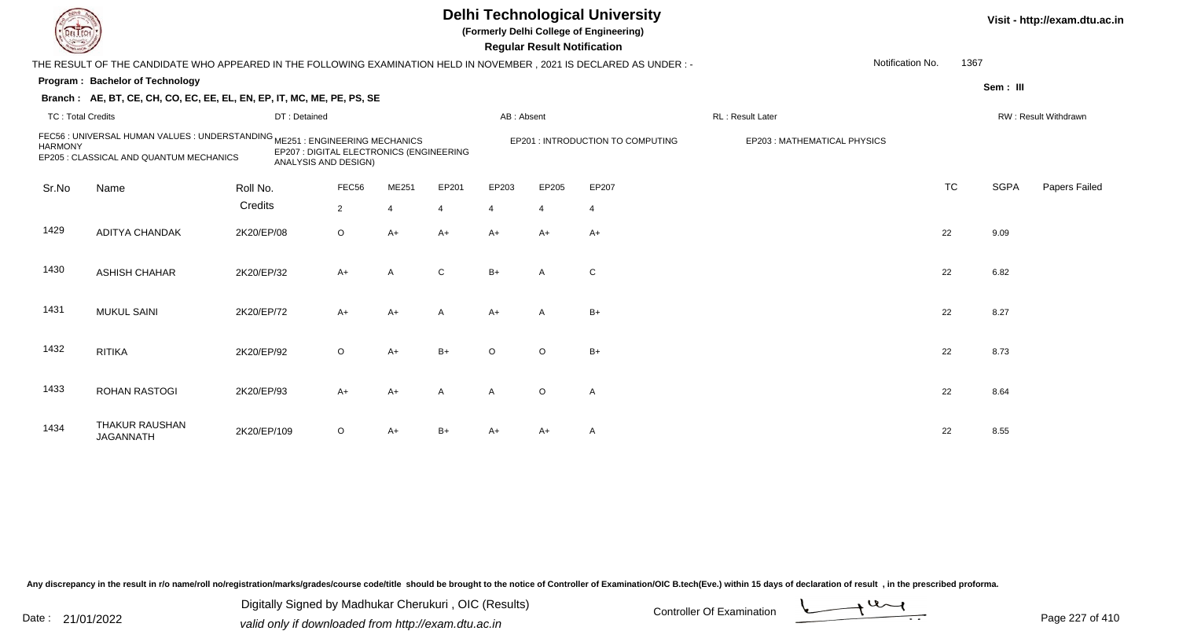**(Formerly Delhi College of Engineering)**

 **Regular Result Notification**

| <b>Controller Comments</b> |                                                                                                                         |              |                                                                  |              |                |              | Regular Result Notification |                                  |                             |                  |           |             |                      |
|----------------------------|-------------------------------------------------------------------------------------------------------------------------|--------------|------------------------------------------------------------------|--------------|----------------|--------------|-----------------------------|----------------------------------|-----------------------------|------------------|-----------|-------------|----------------------|
|                            | THE RESULT OF THE CANDIDATE WHO APPEARED IN THE FOLLOWING EXAMINATION HELD IN NOVEMBER , 2021 IS DECLARED AS UNDER : -  |              |                                                                  |              |                |              |                             |                                  |                             | Notification No. | 1367      |             |                      |
|                            | Program: Bachelor of Technology                                                                                         |              |                                                                  |              |                |              |                             |                                  |                             |                  |           | Sem: III    |                      |
|                            | Branch: AE, BT, CE, CH, CO, EC, EE, EL, EN, EP, IT, MC, ME, PE, PS, SE                                                  |              |                                                                  |              |                |              |                             |                                  |                             |                  |           |             |                      |
| <b>TC: Total Credits</b>   |                                                                                                                         | DT: Detained |                                                                  |              |                | AB: Absent   |                             |                                  | RL: Result Later            |                  |           |             | RW: Result Withdrawn |
| <b>HARMONY</b>             | FEC56 : UNIVERSAL HUMAN VALUES : UNDERSTANDING ME251 : ENGINEERING MECHANICS<br>EP205 : CLASSICAL AND QUANTUM MECHANICS |              | EP207 : DIGITAL ELECTRONICS (ENGINEERING<br>ANALYSIS AND DESIGN) |              |                |              |                             | EP201: INTRODUCTION TO COMPUTING | EP203: MATHEMATICAL PHYSICS |                  |           |             |                      |
| Sr.No                      | Name                                                                                                                    | Roll No.     | FEC56                                                            | ME251        | EP201          | EP203        | EP205                       | EP207                            |                             |                  | <b>TC</b> | <b>SGPA</b> | Papers Failed        |
|                            |                                                                                                                         | Credits      | 2                                                                | 4            | $\overline{4}$ | 4            | $\overline{4}$              | 4                                |                             |                  |           |             |                      |
| 1429                       | <b>ADITYA CHANDAK</b>                                                                                                   | 2K20/EP/08   | $\circ$                                                          | A+           | $A+$           | $A+$         | $A+$                        | A+                               |                             | 22               |           | 9.09        |                      |
| 1430                       | <b>ASHISH CHAHAR</b>                                                                                                    | 2K20/EP/32   | $A+$                                                             | $\mathsf{A}$ | $\mathsf{C}$   | $B+$         | $\mathsf{A}$                | $\mathsf{C}$                     |                             | 22               |           | 6.82        |                      |
| 1431                       | <b>MUKUL SAINI</b>                                                                                                      | 2K20/EP/72   | $A+$                                                             | $A+$         | $\overline{A}$ | $A+$         | $\mathsf{A}$                | $B+$                             |                             | 22               |           | 8.27        |                      |
| 1432                       | <b>RITIKA</b>                                                                                                           | 2K20/EP/92   | $\circ$                                                          | $A+$         | $B+$           | $\circ$      | $\circ$                     | $B+$                             |                             | 22               |           | 8.73        |                      |
| 1433                       | <b>ROHAN RASTOGI</b>                                                                                                    | 2K20/EP/93   | $A+$                                                             | A+           | $\overline{A}$ | $\mathsf{A}$ | $\circ$                     | A                                |                             | 22               |           | 8.64        |                      |
| 1434                       | <b>THAKUR RAUSHAN</b><br><b>JAGANNATH</b>                                                                               | 2K20/EP/109  | $\circ$                                                          | A+           | $B+$           | $A+$         | A+                          | A                                |                             | 22               |           | 8.55        |                      |

Any discrepancy in the result in r/o name/roll no/registration/marks/grades/course code/title should be brought to the notice of Controller of Examination/OIC B.tech(Eve.) within 15 days of declaration of result, in the pr

Date : 21/01/2022 Digital Digital of Microsofted Chemical Controller Of Examination Determination Page 227 of 41 Digitally Signed by Madhukar Cherukuri , OIC (Results)

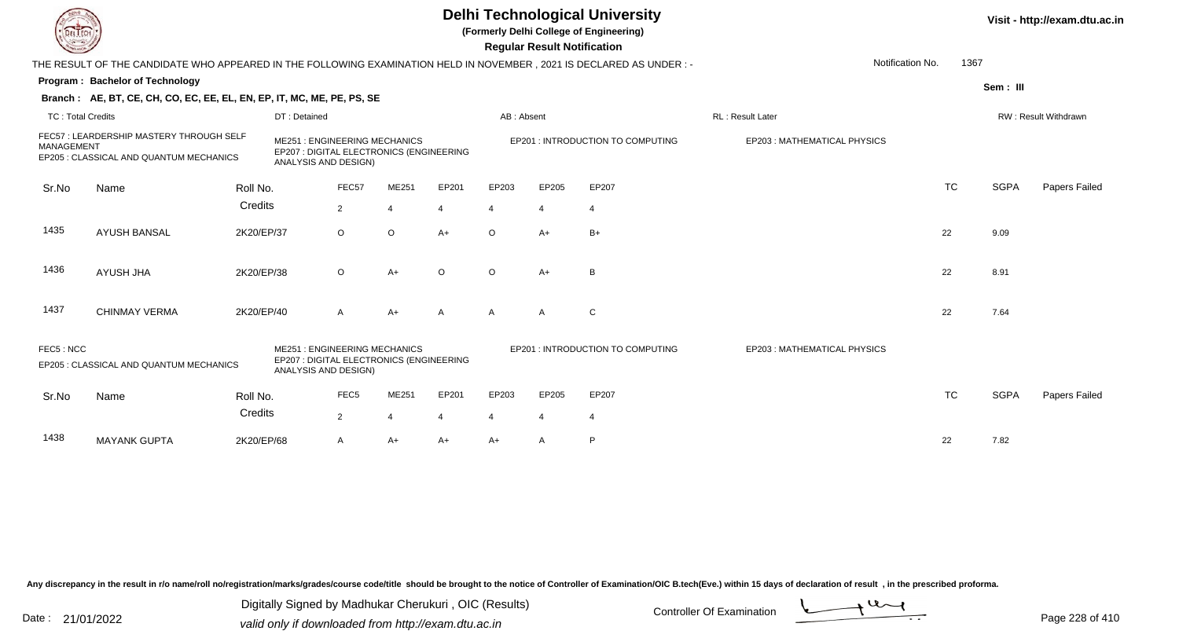**(Formerly Delhi College of Engineering)**

 **Regular Result Notification**

| $\sim$                   |                                                                                                                       |            |                                                                                                         |                  |         |                |              | <b>Regular Result Notification</b> |                                   |                             |                  |      |             |                      |
|--------------------------|-----------------------------------------------------------------------------------------------------------------------|------------|---------------------------------------------------------------------------------------------------------|------------------|---------|----------------|--------------|------------------------------------|-----------------------------------|-----------------------------|------------------|------|-------------|----------------------|
|                          | THE RESULT OF THE CANDIDATE WHO APPEARED IN THE FOLLOWING EXAMINATION HELD IN NOVEMBER , 2021 IS DECLARED AS UNDER :- |            |                                                                                                         |                  |         |                |              |                                    |                                   |                             | Notification No. | 1367 |             |                      |
|                          | <b>Program: Bachelor of Technology</b>                                                                                |            |                                                                                                         |                  |         |                |              |                                    |                                   |                             |                  |      | Sem: III    |                      |
|                          | Branch: AE, BT, CE, CH, CO, EC, EE, EL, EN, EP, IT, MC, ME, PE, PS, SE                                                |            |                                                                                                         |                  |         |                |              |                                    |                                   |                             |                  |      |             |                      |
| <b>TC: Total Credits</b> |                                                                                                                       |            | DT: Detained                                                                                            |                  |         |                | AB: Absent   |                                    |                                   | <b>RL: Result Later</b>     |                  |      |             | RW: Result Withdrawn |
| MANAGEMENT               | FEC57: LEARDERSHIP MASTERY THROUGH SELF<br>EP205 : CLASSICAL AND QUANTUM MECHANICS                                    |            | <b>ME251: ENGINEERING MECHANICS</b><br>EP207 : DIGITAL ELECTRONICS (ENGINEERING<br>ANALYSIS AND DESIGN) |                  |         |                |              |                                    | EP201 : INTRODUCTION TO COMPUTING | EP203: MATHEMATICAL PHYSICS |                  |      |             |                      |
| Sr.No                    | Name                                                                                                                  | Roll No.   |                                                                                                         | FEC57            | ME251   | EP201          | EP203        | EP205                              | EP207                             |                             | <b>TC</b>        |      | <b>SGPA</b> | Papers Failed        |
|                          |                                                                                                                       | Credits    |                                                                                                         | 2                |         | $\overline{4}$ |              | 4                                  |                                   |                             |                  |      |             |                      |
| 1435                     | <b>AYUSH BANSAL</b>                                                                                                   | 2K20/EP/37 |                                                                                                         | $\circ$          | $\circ$ | $A+$           | $\circ$      | $A+$                               | $B+$                              |                             | 22               |      | 9.09        |                      |
| 1436                     | <b>AYUSH JHA</b>                                                                                                      | 2K20/EP/38 |                                                                                                         | $\circ$          | $A+$    | $\circ$        | $\circ$      | $A+$                               | В                                 |                             | 22               |      | 8.91        |                      |
| 1437                     | <b>CHINMAY VERMA</b>                                                                                                  | 2K20/EP/40 |                                                                                                         | $\mathsf{A}$     | $A+$    | $\mathsf{A}$   | $\mathsf{A}$ | $\mathsf{A}$                       | $\mathsf{C}$                      |                             | 22               |      | 7.64        |                      |
| FEC5: NCC                | EP205 : CLASSICAL AND QUANTUM MECHANICS                                                                               |            | <b>ME251: ENGINEERING MECHANICS</b><br>EP207 : DIGITAL ELECTRONICS (ENGINEERING<br>ANALYSIS AND DESIGN) |                  |         |                |              |                                    | EP201 : INTRODUCTION TO COMPUTING | EP203: MATHEMATICAL PHYSICS |                  |      |             |                      |
| Sr.No                    | Name                                                                                                                  | Roll No.   |                                                                                                         | FEC <sub>5</sub> | ME251   | EP201          | EP203        | EP205                              | EP207                             |                             | <b>TC</b>        |      | <b>SGPA</b> | Papers Failed        |
|                          |                                                                                                                       | Credits    |                                                                                                         | 2                | 4       | 4              | 4            | $\overline{4}$                     |                                   |                             |                  |      |             |                      |
| 1438                     | <b>MAYANK GUPTA</b>                                                                                                   | 2K20/EP/68 |                                                                                                         | A                | A+      | $A+$           | A+           | $\mathsf{A}$                       | P                                 |                             | 22               |      | 7.82        |                      |
|                          |                                                                                                                       |            |                                                                                                         |                  |         |                |              |                                    |                                   |                             |                  |      |             |                      |

Any discrepancy in the result in r/o name/roll no/registration/marks/grades/course code/title should be brought to the notice of Controller of Examination/OIC B.tech(Eve.) within 15 days of declaration of result, in the pr

Date : 21/01/2022 Digital Digital of Microsofted Chemical Controller Of Examination Determination Page 228 of 41 Digitally Signed by Madhukar Cherukuri , OIC (Results)

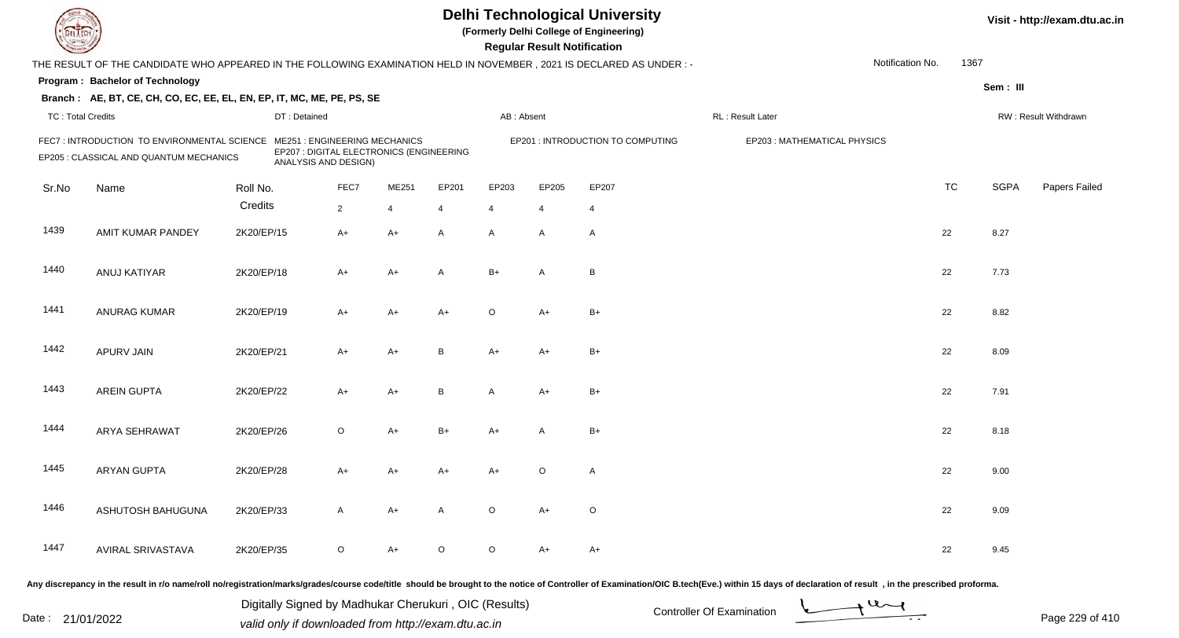|                          |                                                                                                                     |            |                                                                                                         |                |                |         |                | <b>Regular Result Notification</b> | <b>Delhi Technological University</b><br>(Formerly Delhi College of Engineering) |                                                                                                                                                                                                                                |                  |           |             | Visit - http://exam.dtu.ac.in |
|--------------------------|---------------------------------------------------------------------------------------------------------------------|------------|---------------------------------------------------------------------------------------------------------|----------------|----------------|---------|----------------|------------------------------------|----------------------------------------------------------------------------------|--------------------------------------------------------------------------------------------------------------------------------------------------------------------------------------------------------------------------------|------------------|-----------|-------------|-------------------------------|
|                          | THE RESULT OF THE CANDIDATE WHO APPEARED IN THE FOLLOWING EXAMINATION HELD IN NOVEMBER, 2021 IS DECLARED AS UNDER:- |            |                                                                                                         |                |                |         |                |                                    |                                                                                  |                                                                                                                                                                                                                                | Notification No. | 1367      |             |                               |
|                          | Program: Bachelor of Technology                                                                                     |            |                                                                                                         |                |                |         |                |                                    |                                                                                  |                                                                                                                                                                                                                                |                  |           | Sem: III    |                               |
|                          | Branch: AE, BT, CE, CH, CO, EC, EE, EL, EN, EP, IT, MC, ME, PE, PS, SE                                              |            |                                                                                                         |                |                |         |                |                                    |                                                                                  |                                                                                                                                                                                                                                |                  |           |             |                               |
| <b>TC: Total Credits</b> |                                                                                                                     |            | DT: Detained                                                                                            |                |                |         | AB: Absent     |                                    |                                                                                  | RL : Result Later                                                                                                                                                                                                              |                  |           |             | RW: Result Withdrawn          |
|                          | FEC7: INTRODUCTION TO ENVIRONMENTAL SCIENCE<br>EP205 : CLASSICAL AND QUANTUM MECHANICS                              |            | <b>ME251: ENGINEERING MECHANICS</b><br>EP207 : DIGITAL ELECTRONICS (ENGINEERING<br>ANALYSIS AND DESIGN) |                |                |         |                |                                    | EP201 : INTRODUCTION TO COMPUTING                                                | EP203: MATHEMATICAL PHYSICS                                                                                                                                                                                                    |                  |           |             |                               |
| Sr.No                    | Name                                                                                                                | Roll No.   |                                                                                                         | FEC7           | ME251          | EP201   | EP203          | EP205                              | EP207                                                                            |                                                                                                                                                                                                                                |                  | <b>TC</b> | <b>SGPA</b> | Papers Failed                 |
|                          |                                                                                                                     | Credits    |                                                                                                         | $\overline{2}$ | $\overline{4}$ | 4       | $\overline{4}$ | $\overline{4}$                     | $\overline{4}$                                                                   |                                                                                                                                                                                                                                |                  |           |             |                               |
| 1439                     | AMIT KUMAR PANDEY                                                                                                   | 2K20/EP/15 |                                                                                                         | $A+$           | $A+$           | A       | A              | $\overline{A}$                     | $\mathsf{A}$                                                                     |                                                                                                                                                                                                                                |                  | 22        | 8.27        |                               |
| 1440                     | ANUJ KATIYAR                                                                                                        | 2K20/EP/18 |                                                                                                         | $A+$           | $A+$           | A       | $B+$           | $\overline{A}$                     | B                                                                                |                                                                                                                                                                                                                                |                  | 22        | 7.73        |                               |
| 1441                     | <b>ANURAG KUMAR</b>                                                                                                 | 2K20/EP/19 |                                                                                                         | A+             | A+             | A+      | $\circ$        | A+                                 | $B+$                                                                             |                                                                                                                                                                                                                                |                  | 22        | 8.82        |                               |
| 1442                     | APURV JAIN                                                                                                          | 2K20/EP/21 |                                                                                                         | $A+$           | $A+$           | B       | A+             | A+                                 | $B+$                                                                             |                                                                                                                                                                                                                                |                  | 22        | 8.09        |                               |
| 1443                     | <b>AREIN GUPTA</b>                                                                                                  | 2K20/EP/22 |                                                                                                         | $A+$           | $A+$           | B       | A              | $A+$                               | $B+$                                                                             |                                                                                                                                                                                                                                |                  | 22        | 7.91        |                               |
| 1444                     | <b>ARYA SEHRAWAT</b>                                                                                                | 2K20/EP/26 |                                                                                                         | $\circ$        | $A+$           | $B+$    | A+             | $\mathsf{A}$                       | $B+$                                                                             |                                                                                                                                                                                                                                |                  | 22        | 8.18        |                               |
| 1445                     | <b>ARYAN GUPTA</b>                                                                                                  | 2K20/EP/28 |                                                                                                         | A+             | A+             | A+      | A+             | $\circ$                            | $\mathsf{A}$                                                                     |                                                                                                                                                                                                                                |                  | 22        | 9.00        |                               |
| 1446                     | ASHUTOSH BAHUGUNA                                                                                                   | 2K20/EP/33 |                                                                                                         | A              | A+             | A       | $\circ$        | A+                                 | $\circ$                                                                          |                                                                                                                                                                                                                                |                  | 22        | 9.09        |                               |
| 1447                     | AVIRAL SRIVASTAVA                                                                                                   | 2K20/EP/35 |                                                                                                         | $\circ$        | A+             | $\circ$ | $\circ$        | A+                                 | A+                                                                               |                                                                                                                                                                                                                                |                  | 22        | 9.45        |                               |
|                          |                                                                                                                     |            |                                                                                                         |                |                |         |                |                                    |                                                                                  | ny diserpaneus in the result in r/e name/rell ne/registration/marks/grades/ceurse sedeltitle, should be brought to the notice of Centroller of Examination/OIC B tooh/Eye ) within 15 days of declaration of result in the pro |                  |           |             |                               |

Any discrepancy in the result in r/o name/roll no/registration/marks/grades/course code/title should be brought to the notice of

Date : 21/01/2022 Digital Digital of Microsofted Chemical Controller Of Examination Determination Page 229 of 41 Digitally Signed by Madhukar Cherukuri , OIC (Results)

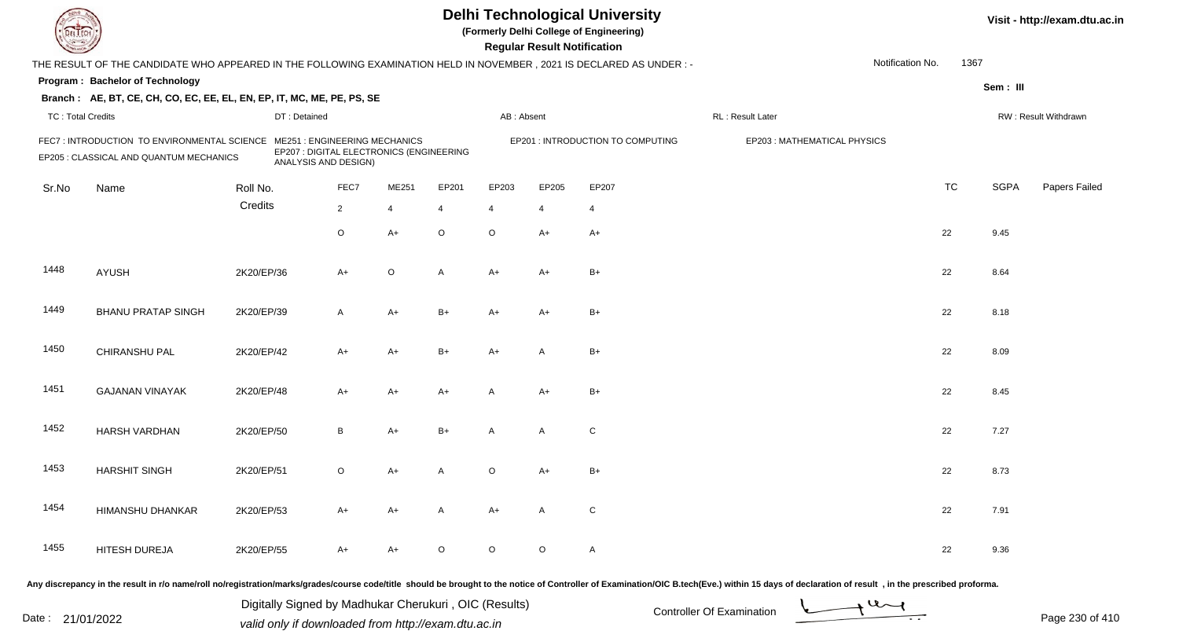| <b>Delhi Technological University</b><br>(Formerly Delhi College of Engineering)<br>DEL EC<br><b>Regular Result Notification</b> |                                                                                                                      |            |              |                                                                                                   |                |                |                |                |                                   |                                                                                                                                                                                                                                |                  |           |             | Visit - http://exam.dtu.ac.in |
|----------------------------------------------------------------------------------------------------------------------------------|----------------------------------------------------------------------------------------------------------------------|------------|--------------|---------------------------------------------------------------------------------------------------|----------------|----------------|----------------|----------------|-----------------------------------|--------------------------------------------------------------------------------------------------------------------------------------------------------------------------------------------------------------------------------|------------------|-----------|-------------|-------------------------------|
|                                                                                                                                  | THE RESULT OF THE CANDIDATE WHO APPEARED IN THE FOLLOWING EXAMINATION HELD IN NOVEMBER, 2021 IS DECLARED AS UNDER: - |            |              |                                                                                                   |                |                |                |                |                                   |                                                                                                                                                                                                                                | Notification No. | 1367      |             |                               |
|                                                                                                                                  | Program: Bachelor of Technology                                                                                      |            |              |                                                                                                   |                |                |                |                |                                   |                                                                                                                                                                                                                                |                  |           | Sem: III    |                               |
|                                                                                                                                  | Branch: AE, BT, CE, CH, CO, EC, EE, EL, EN, EP, IT, MC, ME, PE, PS, SE                                               |            |              |                                                                                                   |                |                |                |                |                                   |                                                                                                                                                                                                                                |                  |           |             |                               |
| <b>TC: Total Credits</b>                                                                                                         |                                                                                                                      |            | DT: Detained |                                                                                                   |                |                | AB: Absent     |                |                                   | RL: Result Later                                                                                                                                                                                                               |                  |           |             | RW: Result Withdrawn          |
|                                                                                                                                  | FEC7: INTRODUCTION TO ENVIRONMENTAL SCIENCE<br>EP205 : CLASSICAL AND QUANTUM MECHANICS                               |            |              | ME251 : ENGINEERING MECHANICS<br>EP207 : DIGITAL ELECTRONICS (ENGINEERING<br>ANALYSIS AND DESIGN) |                |                |                |                | EP201 : INTRODUCTION TO COMPUTING | EP203: MATHEMATICAL PHYSICS                                                                                                                                                                                                    |                  |           |             |                               |
| Sr.No                                                                                                                            | Name                                                                                                                 | Roll No.   |              | FEC7                                                                                              | ME251          | EP201          | EP203          | EP205          | EP207                             |                                                                                                                                                                                                                                |                  | <b>TC</b> | <b>SGPA</b> | Papers Failed                 |
|                                                                                                                                  |                                                                                                                      | Credits    |              | $\overline{2}$                                                                                    | $\overline{4}$ | $\overline{4}$ | $\overline{4}$ | $\overline{4}$ | $\overline{4}$                    |                                                                                                                                                                                                                                |                  |           |             |                               |
|                                                                                                                                  |                                                                                                                      |            |              | $\circ$                                                                                           | $A+$           | $\circ$        | $\mathsf O$    | $A+$           | $A+$                              |                                                                                                                                                                                                                                |                  | 22        | 9.45        |                               |
| 1448                                                                                                                             | <b>AYUSH</b>                                                                                                         | 2K20/EP/36 |              | $A+$                                                                                              | $\circ$        | A              | $A+$           | A+             | $B+$                              |                                                                                                                                                                                                                                |                  | 22        | 8.64        |                               |
| 1449                                                                                                                             | <b>BHANU PRATAP SINGH</b>                                                                                            | 2K20/EP/39 |              | $\overline{A}$                                                                                    | $A+$           | $B+$           | A+             | $A+$           | $B+$                              |                                                                                                                                                                                                                                |                  | 22        | 8.18        |                               |
| 1450                                                                                                                             | CHIRANSHU PAL                                                                                                        | 2K20/EP/42 |              | $A+$                                                                                              | $A+$           | $B+$           | A+             | $\overline{A}$ | $B+$                              |                                                                                                                                                                                                                                |                  | 22        | 8.09        |                               |
| 1451                                                                                                                             | <b>GAJANAN VINAYAK</b>                                                                                               | 2K20/EP/48 |              | $A+$                                                                                              | $A+$           | $A+$           | A              | $A+$           | $B+$                              |                                                                                                                                                                                                                                |                  | 22        | 8.45        |                               |
| 1452                                                                                                                             | <b>HARSH VARDHAN</b>                                                                                                 | 2K20/EP/50 |              | B                                                                                                 | $A+$           | $B+$           | A              | A              | ${\bf C}$                         |                                                                                                                                                                                                                                |                  | 22        | 7.27        |                               |
| 1453                                                                                                                             | <b>HARSHIT SINGH</b>                                                                                                 | 2K20/EP/51 |              | $\circ$                                                                                           | A+             | A              | O              | A+             | $B+$                              |                                                                                                                                                                                                                                |                  | 22        | 8.73        |                               |
| 1454                                                                                                                             | HIMANSHU DHANKAR                                                                                                     | 2K20/EP/53 |              | A+                                                                                                | $A+$           | A              | $A+$           | A              | C                                 |                                                                                                                                                                                                                                |                  | 22        | 7.91        |                               |
| 1455                                                                                                                             | HITESH DUREJA                                                                                                        | 2K20/EP/55 |              | A+                                                                                                | A+             | $\circ$        | $\circ$        | $\circ$        | $\mathsf{A}$                      |                                                                                                                                                                                                                                |                  | 22        | 9.36        |                               |
|                                                                                                                                  |                                                                                                                      |            |              |                                                                                                   |                |                |                |                |                                   | Any discrepancy in the result in r/o name/roll no/registration/marks/grades/course code/title should be brought to the notice of Controller of Examination/OIC B.tech(Eve.) within 15 days of declaration of result , in the p |                  |           |             |                               |

Date : 21/01/2022 Digital Digital of Microsofted Chemical Controller Of Examination Determination Page 230 of 41 Digitally Signed by Madhukar Cherukuri , OIC (Results)

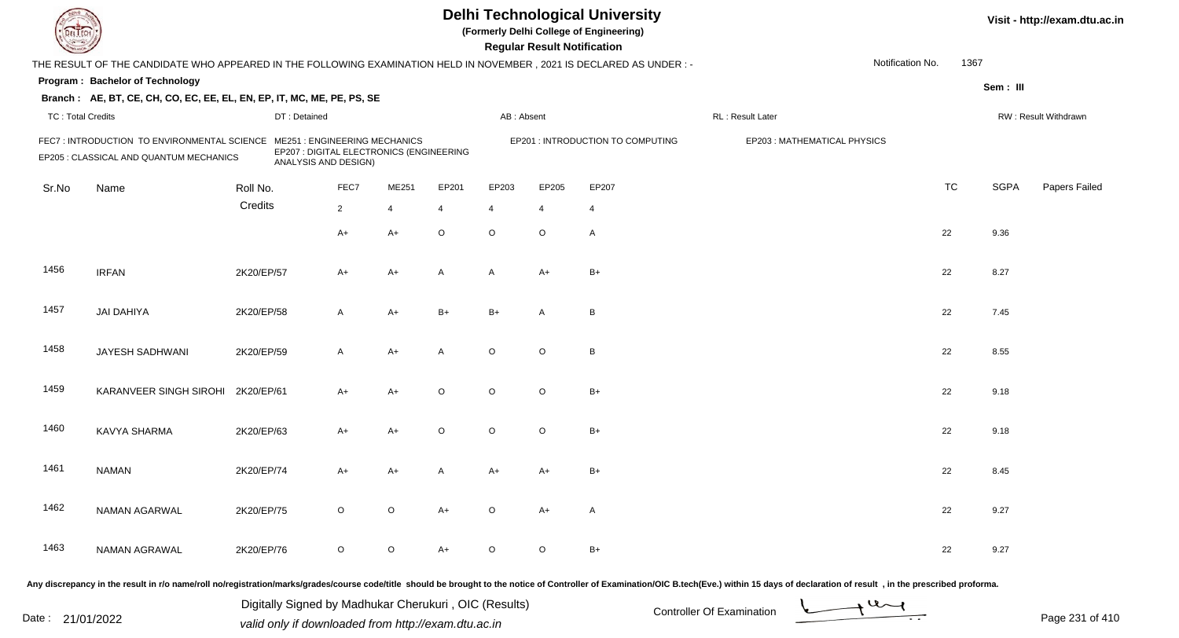| EL EC                    |                                                                                                                     |            |                      |                                                                           |                |                |                | <b>Regular Result Notification</b> | <b>Delhi Technological University</b><br>(Formerly Delhi College of Engineering) |                                                                                                                                                                                                                                |                  |           |             | Visit - http://exam.dtu.ac.in |
|--------------------------|---------------------------------------------------------------------------------------------------------------------|------------|----------------------|---------------------------------------------------------------------------|----------------|----------------|----------------|------------------------------------|----------------------------------------------------------------------------------|--------------------------------------------------------------------------------------------------------------------------------------------------------------------------------------------------------------------------------|------------------|-----------|-------------|-------------------------------|
|                          | THE RESULT OF THE CANDIDATE WHO APPEARED IN THE FOLLOWING EXAMINATION HELD IN NOVEMBER, 2021 IS DECLARED AS UNDER:- |            |                      |                                                                           |                |                |                |                                    |                                                                                  |                                                                                                                                                                                                                                | Notification No. | 1367      |             |                               |
|                          | Program: Bachelor of Technology                                                                                     |            |                      |                                                                           |                |                |                |                                    |                                                                                  |                                                                                                                                                                                                                                |                  |           | Sem: III    |                               |
|                          | Branch: AE, BT, CE, CH, CO, EC, EE, EL, EN, EP, IT, MC, ME, PE, PS, SE                                              |            |                      |                                                                           |                |                |                |                                    |                                                                                  |                                                                                                                                                                                                                                |                  |           |             |                               |
| <b>TC: Total Credits</b> |                                                                                                                     |            | DT: Detained         |                                                                           |                |                | AB: Absent     |                                    |                                                                                  | RL: Result Later                                                                                                                                                                                                               |                  |           |             | RW: Result Withdrawn          |
|                          | FEC7: INTRODUCTION TO ENVIRONMENTAL SCIENCE<br>EP205 : CLASSICAL AND QUANTUM MECHANICS                              |            | ANALYSIS AND DESIGN) | ME251 : ENGINEERING MECHANICS<br>EP207 : DIGITAL ELECTRONICS (ENGINEERING |                |                |                |                                    | EP201 : INTRODUCTION TO COMPUTING                                                | EP203: MATHEMATICAL PHYSICS                                                                                                                                                                                                    |                  |           |             |                               |
| Sr.No                    | Name                                                                                                                | Roll No.   |                      | FEC7                                                                      | ME251          | EP201          | EP203          | EP205                              | EP207                                                                            |                                                                                                                                                                                                                                |                  | <b>TC</b> | <b>SGPA</b> | Papers Failed                 |
|                          |                                                                                                                     | Credits    |                      | $\overline{2}$                                                            | $\overline{4}$ | $\overline{4}$ | $\overline{4}$ | $\overline{4}$                     | $\overline{4}$                                                                   |                                                                                                                                                                                                                                |                  |           |             |                               |
|                          |                                                                                                                     |            |                      | $A+$                                                                      | $A+$           | $\circ$        | $\circ$        | $\circ$                            | $\mathsf{A}$                                                                     |                                                                                                                                                                                                                                |                  | 22        | 9.36        |                               |
| 1456                     | <b>IRFAN</b>                                                                                                        | 2K20/EP/57 |                      | $A+$                                                                      | $A+$           | A              | A              | $A+$                               | $B+$                                                                             |                                                                                                                                                                                                                                |                  | 22        | 8.27        |                               |
| 1457                     | <b>JAI DAHIYA</b>                                                                                                   | 2K20/EP/58 |                      | $\mathsf{A}$                                                              | $A+$           | $B+$           | $B+$           | A                                  | B                                                                                |                                                                                                                                                                                                                                |                  | 22        | 7.45        |                               |
| 1458                     | JAYESH SADHWANI                                                                                                     | 2K20/EP/59 |                      | $\mathsf{A}$                                                              | $A+$           | A              | $\circ$        | $\circ$                            | B                                                                                |                                                                                                                                                                                                                                |                  | 22        | 8.55        |                               |
| 1459                     | KARANVEER SINGH SIROHI                                                                                              | 2K20/EP/61 |                      | $A+$                                                                      | $A+$           | $\circ$        | $\circ$        | $\circ$                            | $B+$                                                                             |                                                                                                                                                                                                                                |                  | 22        | 9.18        |                               |
| 1460                     | KAVYA SHARMA                                                                                                        | 2K20/EP/63 |                      | $A+$                                                                      | $A+$           | $\circ$        | $\circ$        | $\circ$                            | $B+$                                                                             |                                                                                                                                                                                                                                |                  | 22        | 9.18        |                               |
| 1461                     | <b>NAMAN</b>                                                                                                        | 2K20/EP/74 |                      | $A+$                                                                      | A+             |                | A+             | A+                                 | $B+$                                                                             |                                                                                                                                                                                                                                |                  | 22        | 8.45        |                               |
| 1462                     | NAMAN AGARWAL                                                                                                       | 2K20/EP/75 |                      | $\circ$                                                                   | $\circ$        | A+             | $\circ$        | A+                                 | A                                                                                |                                                                                                                                                                                                                                |                  | 22        | 9.27        |                               |
| 1463                     | NAMAN AGRAWAL                                                                                                       | 2K20/EP/76 |                      | $\circ$                                                                   | $\circ$        | A+             | $\circ$        | $\circ$                            | $B+$                                                                             |                                                                                                                                                                                                                                |                  | 22        | 9.27        |                               |
|                          |                                                                                                                     |            |                      |                                                                           |                |                |                |                                    |                                                                                  | Any discrepancy in the result in r/o name/roll no/registration/marks/grades/course code/title should be brought to the notice of Controller of Examination/OIC B.tech(Eve.) within 15 days of declaration of result , in the p |                  |           |             |                               |

Date : 21/01/2022 Digital Digital of Microsofted Chemical Controller Of Examination Determination Page 231 of 41 Digitally Signed by Madhukar Cherukuri , OIC (Results)

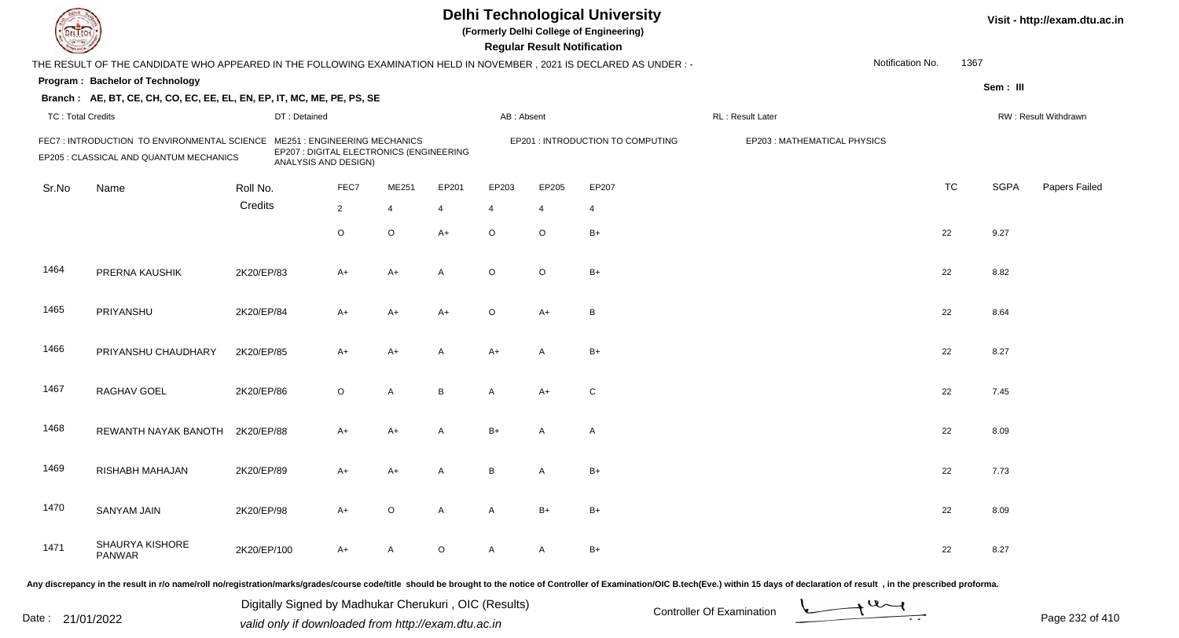|                          | <b>Delhi Technological University</b><br>(Formerly Delhi College of Engineering)<br><b>Regular Result Notification</b> |             |                                                                                                         |                |                |         |                |                |                                   |                              |                  |           | Visit - http://exam.dtu.ac.in |                      |  |
|--------------------------|------------------------------------------------------------------------------------------------------------------------|-------------|---------------------------------------------------------------------------------------------------------|----------------|----------------|---------|----------------|----------------|-----------------------------------|------------------------------|------------------|-----------|-------------------------------|----------------------|--|
|                          | THE RESULT OF THE CANDIDATE WHO APPEARED IN THE FOLLOWING EXAMINATION HELD IN NOVEMBER, 2021 IS DECLARED AS UNDER :-   |             |                                                                                                         |                |                |         |                |                |                                   |                              | Notification No. | 1367      |                               |                      |  |
|                          | Program: Bachelor of Technology                                                                                        |             |                                                                                                         |                |                |         |                |                |                                   |                              |                  |           | Sem: III                      |                      |  |
|                          | Branch: AE, BT, CE, CH, CO, EC, EE, EL, EN, EP, IT, MC, ME, PE, PS, SE                                                 |             |                                                                                                         |                |                |         |                |                |                                   |                              |                  |           |                               |                      |  |
| <b>TC: Total Credits</b> |                                                                                                                        |             | DT: Detained                                                                                            |                |                |         | AB: Absent     |                |                                   | RL: Result Later             |                  |           |                               | RW: Result Withdrawn |  |
|                          | FEC7 : INTRODUCTION TO ENVIRONMENTAL SCIENCE<br>EP205 : CLASSICAL AND QUANTUM MECHANICS                                |             | <b>ME251: ENGINEERING MECHANICS</b><br>EP207 : DIGITAL ELECTRONICS (ENGINEERING<br>ANALYSIS AND DESIGN) |                |                |         |                |                | EP201 : INTRODUCTION TO COMPUTING | EP203 : MATHEMATICAL PHYSICS |                  |           |                               |                      |  |
| Sr.No                    | Name                                                                                                                   | Roll No.    |                                                                                                         | FEC7           | ME251          | EP201   | EP203          | EP205          | EP207                             |                              |                  | <b>TC</b> | <b>SGPA</b>                   | Papers Failed        |  |
|                          |                                                                                                                        | Credits     |                                                                                                         | $\overline{2}$ | $\overline{4}$ | 4       | $\overline{4}$ | $\overline{4}$ | $\overline{4}$                    |                              |                  |           |                               |                      |  |
|                          |                                                                                                                        |             |                                                                                                         | O              | $\mathsf O$    | $A+$    | $\circ$        | $\circ$        | $B+$                              |                              |                  | 22        | 9.27                          |                      |  |
| 1464                     | PRERNA KAUSHIK                                                                                                         | 2K20/EP/83  |                                                                                                         | $A+$           | $A+$           | A       | $\circ$        | $\circ$        | $B+$                              |                              |                  | 22        | 8.82                          |                      |  |
| 1465                     | PRIYANSHU                                                                                                              | 2K20/EP/84  |                                                                                                         | A+             | $A+$           | $A+$    | $\circ$        | $A+$           | B                                 |                              |                  | 22        | 8.64                          |                      |  |
| 1466                     | PRIYANSHU CHAUDHARY                                                                                                    | 2K20/EP/85  |                                                                                                         | A+             | $A+$           | A       | $A+$           | A              | $B+$                              |                              |                  | 22        | 8.27                          |                      |  |
| 1467                     | RAGHAV GOEL                                                                                                            | 2K20/EP/86  |                                                                                                         | $\circ$        | A              | B       | A              | $A+$           | $\mathsf{C}$                      |                              |                  | 22        | 7.45                          |                      |  |
| 1468                     | REWANTH NAYAK BANOTH                                                                                                   | 2K20/EP/88  |                                                                                                         | A+             | $A+$           | A       | $B+$           | A              | A                                 |                              |                  | 22        | 8.09                          |                      |  |
| 1469                     | RISHABH MAHAJAN                                                                                                        | 2K20/EP/89  |                                                                                                         | A+             | A+             | A       | B              | A              | $B+$                              |                              |                  | 22        | 7.73                          |                      |  |
| 1470                     | SANYAM JAIN                                                                                                            | 2K20/EP/98  |                                                                                                         | $A+$           | $\circ$        | A       | $\mathsf{A}$   | $B+$           | $B+$                              |                              |                  | 22        | 8.09                          |                      |  |
| 1471                     | <b>SHAURYA KISHORE</b><br>PANWAR                                                                                       | 2K20/EP/100 |                                                                                                         | A+             | A              | $\circ$ | A              | A              | $B+$                              |                              |                  | 22        | 8.27                          |                      |  |
|                          |                                                                                                                        |             |                                                                                                         |                |                |         |                |                |                                   |                              |                  |           |                               |                      |  |

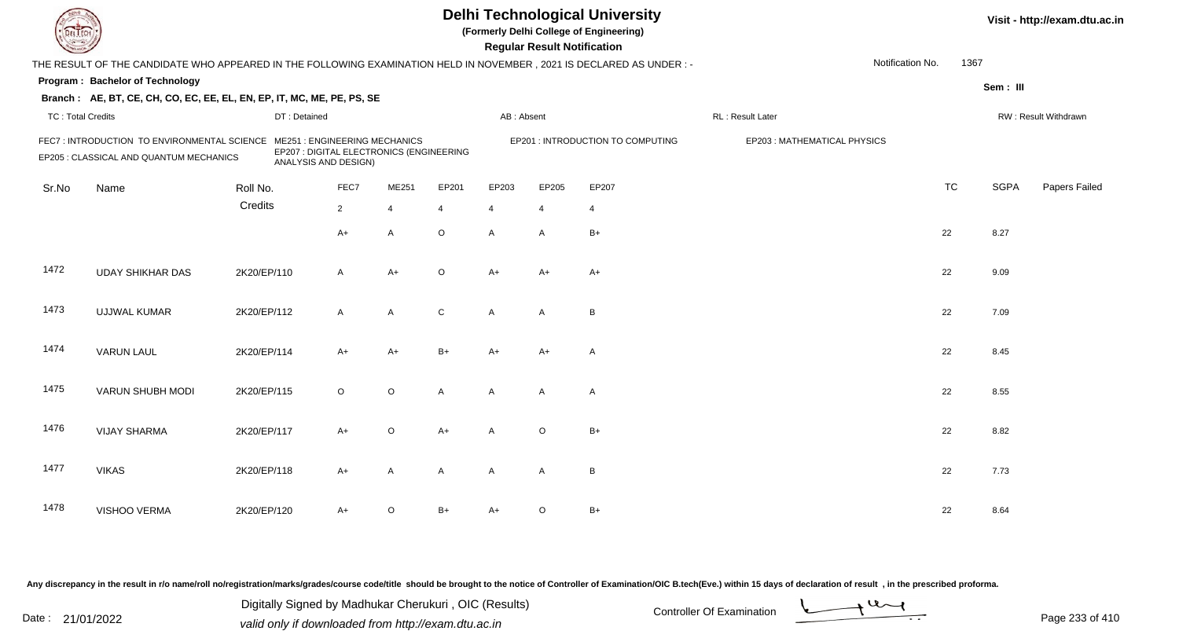|                          |                                                                                                                      |             |                                                                                                         |                |                |              |                | <b>Regular Result Notification</b> | <b>Delhi Technological University</b><br>(Formerly Delhi College of Engineering) |                   |                             |           |             | Visit - http://exam.dtu.ac.in |
|--------------------------|----------------------------------------------------------------------------------------------------------------------|-------------|---------------------------------------------------------------------------------------------------------|----------------|----------------|--------------|----------------|------------------------------------|----------------------------------------------------------------------------------|-------------------|-----------------------------|-----------|-------------|-------------------------------|
|                          | THE RESULT OF THE CANDIDATE WHO APPEARED IN THE FOLLOWING EXAMINATION HELD IN NOVEMBER, 2021 IS DECLARED AS UNDER :- |             |                                                                                                         |                |                |              |                |                                    |                                                                                  |                   | Notification No.            | 1367      |             |                               |
|                          | Program: Bachelor of Technology                                                                                      |             |                                                                                                         |                |                |              |                |                                    |                                                                                  |                   |                             |           | Sem: III    |                               |
|                          | Branch: AE, BT, CE, CH, CO, EC, EE, EL, EN, EP, IT, MC, ME, PE, PS, SE                                               |             |                                                                                                         |                |                |              |                |                                    |                                                                                  |                   |                             |           |             |                               |
| <b>TC: Total Credits</b> |                                                                                                                      |             | DT: Detained                                                                                            |                |                |              | AB: Absent     |                                    |                                                                                  | RL : Result Later |                             |           |             | RW: Result Withdrawn          |
|                          | FEC7: INTRODUCTION TO ENVIRONMENTAL SCIENCE<br>EP205 : CLASSICAL AND QUANTUM MECHANICS                               |             | <b>ME251: ENGINEERING MECHANICS</b><br>EP207 : DIGITAL ELECTRONICS (ENGINEERING<br>ANALYSIS AND DESIGN) |                |                |              |                |                                    | EP201 : INTRODUCTION TO COMPUTING                                                |                   | EP203: MATHEMATICAL PHYSICS |           |             |                               |
| Sr.No                    | Name                                                                                                                 | Roll No.    |                                                                                                         | FEC7           | ME251          | EP201        | EP203          | EP205                              | EP207                                                                            |                   |                             | <b>TC</b> | <b>SGPA</b> | Papers Failed                 |
|                          |                                                                                                                      | Credits     |                                                                                                         | $\overline{2}$ | $\overline{4}$ | 4            | $\overline{4}$ | $\overline{4}$                     | $\overline{4}$                                                                   |                   |                             |           |             |                               |
|                          |                                                                                                                      |             |                                                                                                         | $A+$           | $\overline{A}$ | $\circ$      | $\overline{A}$ | $\mathsf{A}$                       | $B+$                                                                             |                   |                             | 22        | 8.27        |                               |
| 1472                     | <b>UDAY SHIKHAR DAS</b>                                                                                              | 2K20/EP/110 |                                                                                                         | $\mathsf{A}$   | $A+$           | $\circ$      | $A+$           | $A+$                               | $A+$                                                                             |                   |                             | 22        | 9.09        |                               |
| 1473                     | <b>UJJWAL KUMAR</b>                                                                                                  | 2K20/EP/112 |                                                                                                         | $\mathsf{A}$   | $\mathsf{A}$   | $\mathsf{C}$ | A              | A                                  | $\overline{B}$                                                                   |                   |                             | 22        | 7.09        |                               |
| 1474                     | <b>VARUN LAUL</b>                                                                                                    | 2K20/EP/114 |                                                                                                         | $A+$           | $A+$           | $B+$         | $A+$           | $A+$                               | $\overline{\mathsf{A}}$                                                          |                   |                             | 22        | 8.45        |                               |
| 1475                     | VARUN SHUBH MODI                                                                                                     | 2K20/EP/115 |                                                                                                         | $\circ$        | $\mathsf O$    | A            | A              | A                                  | $\overline{A}$                                                                   |                   |                             | 22        | 8.55        |                               |
| 1476                     | <b>VIJAY SHARMA</b>                                                                                                  | 2K20/EP/117 |                                                                                                         | $A+$           | $\circ$        | $A+$         | $\mathsf{A}$   | $\mathsf O$                        | $B+$                                                                             |                   |                             | 22        | 8.82        |                               |
| 1477                     | <b>VIKAS</b>                                                                                                         | 2K20/EP/118 |                                                                                                         | $A+$           | A              | A            | $\mathsf{A}$   | A                                  | $\overline{B}$                                                                   |                   |                             | 22        | 7.73        |                               |
| 1478                     | VISHOO VERMA                                                                                                         | 2K20/EP/120 |                                                                                                         | A+             | $\circ$        | B+           | $A+$           | $\circ$                            | $B+$                                                                             |                   |                             | 22        | 8.64        |                               |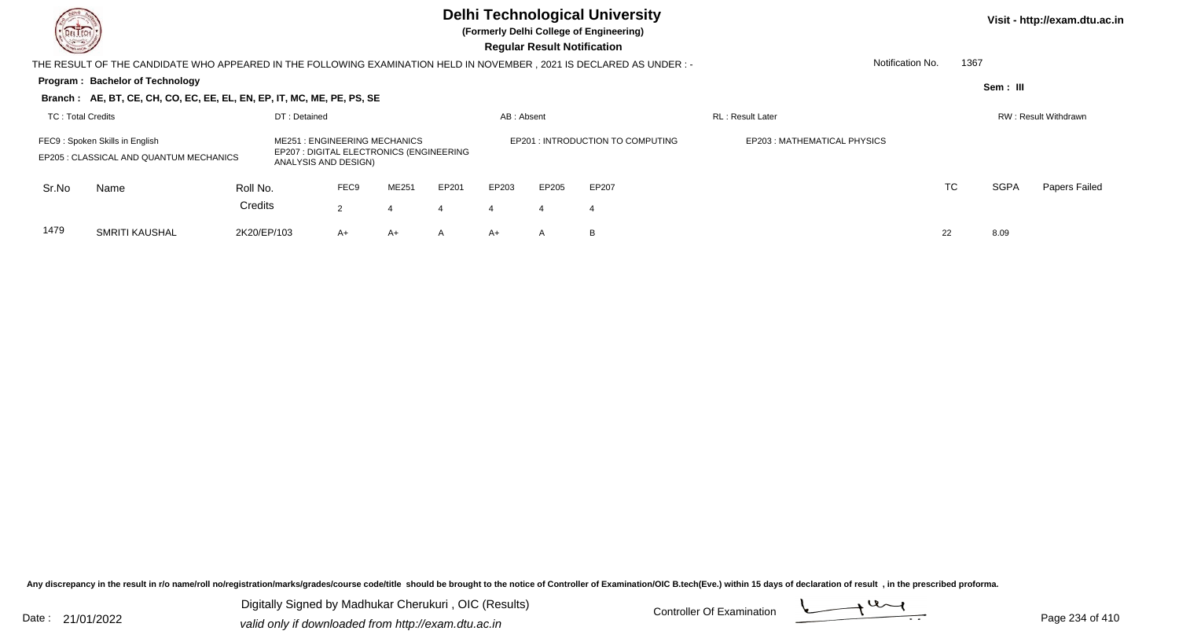

**(Formerly Delhi College of Engineering)**

**Regular Regular Results** 

| <b>Chassen /</b>  |                                                                                                                     |             |                                                                                                         |                      |              |              |            | <b>Regular Result Notification</b> |                                  |                             |                  |      |             |                             |
|-------------------|---------------------------------------------------------------------------------------------------------------------|-------------|---------------------------------------------------------------------------------------------------------|----------------------|--------------|--------------|------------|------------------------------------|----------------------------------|-----------------------------|------------------|------|-------------|-----------------------------|
|                   | THE RESULT OF THE CANDIDATE WHO APPEARED IN THE FOLLOWING EXAMINATION HELD IN NOVEMBER, 2021 IS DECLARED AS UNDER:- |             |                                                                                                         |                      |              |              |            |                                    |                                  |                             | Notification No. | 1367 |             |                             |
|                   | <b>Program: Bachelor of Technology</b>                                                                              |             |                                                                                                         |                      |              |              |            |                                    |                                  |                             |                  |      | Sem: III    |                             |
|                   | Branch: AE, BT, CE, CH, CO, EC, EE, EL, EN, EP, IT, MC, ME, PE, PS, SE                                              |             |                                                                                                         |                      |              |              |            |                                    |                                  |                             |                  |      |             |                             |
| TC: Total Credits |                                                                                                                     |             | DT: Detained                                                                                            |                      |              |              | AB: Absent |                                    |                                  | <b>RL</b> : Result Later    |                  |      |             | <b>RW: Result Withdrawn</b> |
|                   | FEC9: Spoken Skills in English<br>EP205 : CLASSICAL AND QUANTUM MECHANICS                                           |             | <b>ME251: ENGINEERING MECHANICS</b><br>EP207 : DIGITAL ELECTRONICS (ENGINEERING<br>ANALYSIS AND DESIGN) |                      |              |              |            |                                    | EP201: INTRODUCTION TO COMPUTING | EP203: MATHEMATICAL PHYSICS |                  |      |             |                             |
| Sr.No             | Name                                                                                                                | Roll No.    |                                                                                                         | FEC <sub>9</sub>     | <b>ME251</b> | EP201        | EP203      | EP205                              | EP207                            |                             |                  | TC   | <b>SGPA</b> | Papers Failed               |
|                   |                                                                                                                     | Credits     |                                                                                                         | $\mathbf{2}^{\circ}$ | 4            | 4            | 4          | 4                                  | 4                                |                             |                  |      |             |                             |
| 1479              | SMRITI KAUSHAL                                                                                                      | 2K20/EP/103 |                                                                                                         | $A+$                 | A+           | $\mathsf{A}$ | $A+$       | $\mathsf{A}$                       | B                                |                             | 22               |      | 8.09        |                             |

Any discrepancy in the result in r/o name/roll no/registration/marks/grades/course code/title should be brought to the notice of Controller of Examination/OIC B.tech(Eve.) within 15 days of declaration of result, in the pr

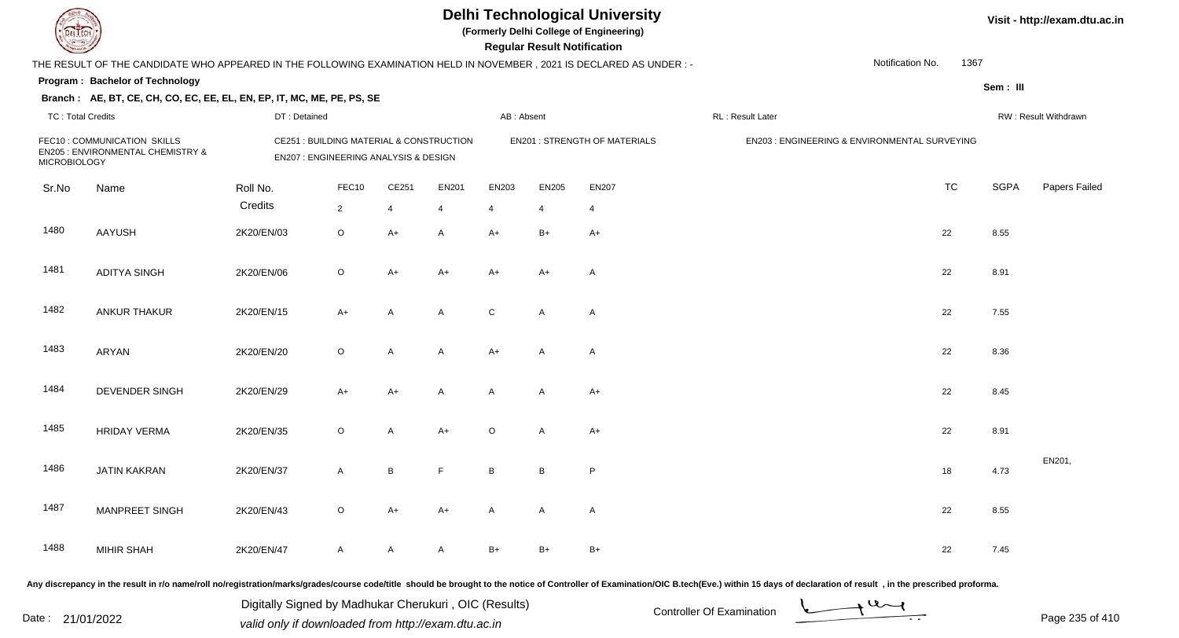**(Formerly Delhi College of Engineering)**

 **Regular Result Notification**

|                          | THE RESULT OF THE CANDIDATE WHO APPEARED IN THE FOLLOWING EXAMINATION HELD IN NOVEMBER, 2021 IS DECLARED AS UNDER :- |              |                                                                                   |       |                |                 |                |                                      |                  | Notification No.                              | 1367        |                      |
|--------------------------|----------------------------------------------------------------------------------------------------------------------|--------------|-----------------------------------------------------------------------------------|-------|----------------|-----------------|----------------|--------------------------------------|------------------|-----------------------------------------------|-------------|----------------------|
|                          | Program: Bachelor of Technology                                                                                      |              |                                                                                   |       |                |                 |                |                                      |                  |                                               | Sem: III    |                      |
| <b>TC: Total Credits</b> | Branch: AE, BT, CE, CH, CO, EC, EE, EL, EN, EP, IT, MC, ME, PE, PS, SE                                               | DT: Detained |                                                                                   |       |                | AB: Absent      |                |                                      | RL: Result Later |                                               |             | RW: Result Withdrawn |
| <b>MICROBIOLOGY</b>      | FEC10: COMMUNICATION SKILLS<br>EN205 : ENVIRONMENTAL CHEMISTRY &                                                     |              | CE251 : BUILDING MATERIAL & CONSTRUCTION<br>EN207 : ENGINEERING ANALYSIS & DESIGN |       |                |                 |                | <b>EN201 : STRENGTH OF MATERIALS</b> |                  | EN203 : ENGINEERING & ENVIRONMENTAL SURVEYING |             |                      |
| Sr.No                    | Name                                                                                                                 | Roll No.     | FEC10                                                                             | CE251 | EN201          | EN203           | EN205          | EN207                                |                  | <b>TC</b>                                     | <b>SGPA</b> | Papers Failec        |
|                          |                                                                                                                      | Credits      | $\overline{2}$                                                                    | 4     | $\overline{4}$ | $\overline{4}$  | $\overline{4}$ | 4                                    |                  |                                               |             |                      |
| 1480                     | <b>AAYUSH</b>                                                                                                        | 2K20/EN/03   | $\circ$                                                                           | $A+$  | A              | $A+$            | $B+$           | $A+$                                 |                  | 22                                            | 8.55        |                      |
| 1481                     | <b>ADITYA SINGH</b>                                                                                                  | 2K20/EN/06   | $\circ$                                                                           | $A+$  | $A+$           | $A+$            | $A+$           | $\mathsf{A}$                         |                  | 22                                            | 8.91        |                      |
| 1482                     | ANKUR THAKUR                                                                                                         | 2K20/EN/15   | $A+$                                                                              | A     | A              | C               | A              | $\mathsf{A}$                         |                  | 22                                            | 7.55        |                      |
| 1483                     | ARYAN                                                                                                                | 2K20/EN/20   | $\circ$                                                                           | A     | A              | $A+$            | $\mathsf{A}$   | $\mathsf{A}$                         |                  | 22                                            | 8.36        |                      |
| 1484                     | DEVENDER SINGH                                                                                                       | 2K20/EN/29   | A+                                                                                | A+    | A              | A               | A              | $A+$                                 |                  | 22                                            | 8.45        |                      |
| 1485                     | <b>HRIDAY VERMA</b>                                                                                                  | 2K20/EN/35   | $\circ$                                                                           | A     | $A+$           | $\circ$         | A              | $A+$                                 |                  | 22                                            | 8.91        |                      |
| 1486                     | <b>JATIN KAKRAN</b>                                                                                                  | 2K20/EN/37   | $\mathsf{A}$                                                                      | В     | F.             | $\, {\bf B} \,$ | $\, {\bf B}$   | P                                    |                  | $18$                                          | 4.73        | EN201,               |
| 1487                     | <b>MANPREET SINGH</b>                                                                                                | 2K20/EN/43   | $\circ$                                                                           | A+    | $A+$           | Α               | A              | $\mathsf{A}$                         |                  | 22                                            | 8.55        |                      |
| 1488                     | <b>MIHIR SHAH</b>                                                                                                    | 2K20/EN/47   | $\mathsf{A}$                                                                      | A     | A              | $B+$            | $B+$           | $B+$                                 |                  | 22                                            | 7.45        |                      |

Any discrepancy in the result in r/o name/roll no/registration/marks/grades/course code/title should be brought to the notice of Controller of Examination/OIC B.tech(Eve.) within 15 days of declaration of result, in the pr

Date : 21/01/2022 Digital Digital of Microsofted Chemical Controller Of Examination Determination Page 235 of 41 Digitally Signed by Madhukar Cherukuri , OIC (Results)

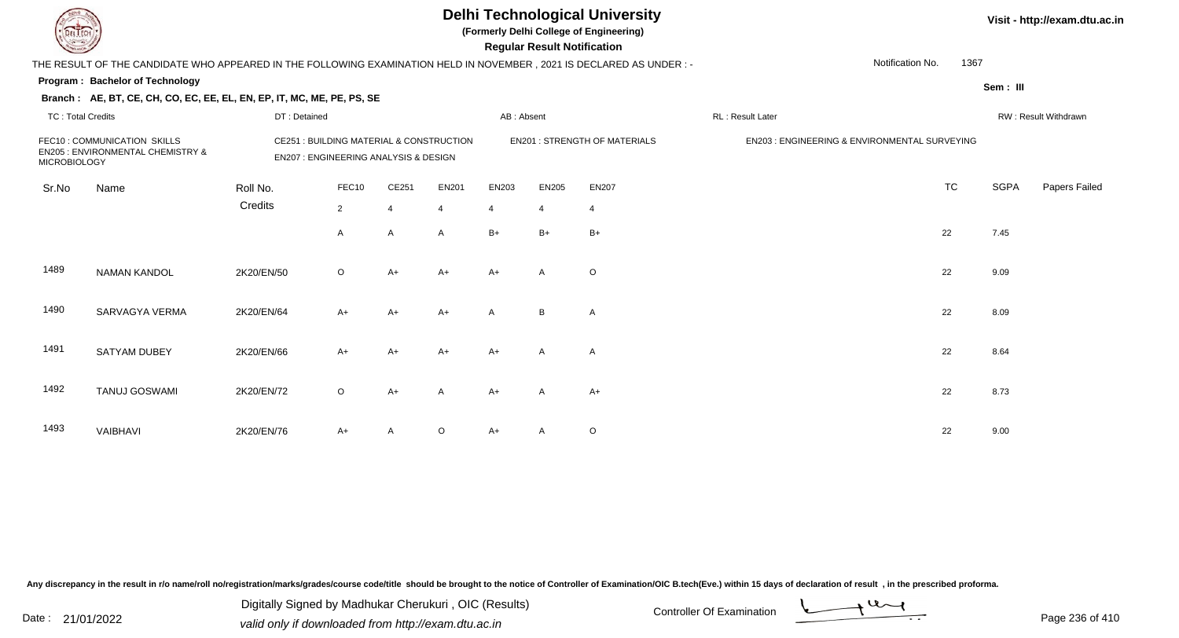|                          |                                                                                                                      |              |                                                                                   |                |                         |            | <b>Regular Result Notification</b> | <b>Delhi Technological University</b><br>(Formerly Delhi College of Engineering) |                                               |          |             | Visit - http://exam.dtu.ac.in |
|--------------------------|----------------------------------------------------------------------------------------------------------------------|--------------|-----------------------------------------------------------------------------------|----------------|-------------------------|------------|------------------------------------|----------------------------------------------------------------------------------|-----------------------------------------------|----------|-------------|-------------------------------|
|                          | THE RESULT OF THE CANDIDATE WHO APPEARED IN THE FOLLOWING EXAMINATION HELD IN NOVEMBER, 2021 IS DECLARED AS UNDER :- |              |                                                                                   |                |                         |            |                                    |                                                                                  | Notification No.                              | 1367     |             |                               |
|                          | Program: Bachelor of Technology                                                                                      |              |                                                                                   |                |                         |            |                                    |                                                                                  |                                               | Sem: III |             |                               |
|                          | Branch: AE, BT, CE, CH, CO, EC, EE, EL, EN, EP, IT, MC, ME, PE, PS, SE                                               |              |                                                                                   |                |                         |            |                                    |                                                                                  |                                               |          |             |                               |
| <b>TC: Total Credits</b> |                                                                                                                      | DT: Detained |                                                                                   |                |                         | AB: Absent |                                    |                                                                                  | RL: Result Later                              |          |             | RW: Result Withdrawn          |
| <b>MICROBIOLOGY</b>      | FEC10: COMMUNICATION SKILLS<br>EN205 : ENVIRONMENTAL CHEMISTRY &                                                     |              | CE251 : BUILDING MATERIAL & CONSTRUCTION<br>EN207 : ENGINEERING ANALYSIS & DESIGN |                |                         |            |                                    | <b>EN201 : STRENGTH OF MATERIALS</b>                                             | EN203 : ENGINEERING & ENVIRONMENTAL SURVEYING |          |             |                               |
| Sr.No                    | Name                                                                                                                 | Roll No.     | FEC10                                                                             | CE251          | <b>EN201</b>            | EN203      | <b>EN205</b>                       | <b>EN207</b>                                                                     | <b>TC</b>                                     |          | <b>SGPA</b> | Papers Failed                 |
|                          |                                                                                                                      | Credits      | $\overline{2}$                                                                    | $\overline{4}$ | $\overline{\mathbf{4}}$ | 4          | $\overline{4}$                     | $\overline{4}$                                                                   |                                               |          |             |                               |
|                          |                                                                                                                      |              | A                                                                                 | A              | $\overline{A}$          | $B+$       | $B+$                               | $B+$                                                                             | 22                                            | 7.45     |             |                               |
| 1489                     | <b>NAMAN KANDOL</b>                                                                                                  | 2K20/EN/50   | $\circ$                                                                           | $A+$           | $A+$                    | $A+$       | $\overline{A}$                     | $\circ$                                                                          | 22                                            | 9.09     |             |                               |
| 1490                     | SARVAGYA VERMA                                                                                                       | 2K20/EN/64   | $A+$                                                                              | $A+$           | A+                      | A          | B                                  | A                                                                                | 22                                            | 8.09     |             |                               |
| 1491                     | <b>SATYAM DUBEY</b>                                                                                                  | 2K20/EN/66   | $A+$                                                                              | $A+$           | A+                      | $A+$       | A                                  | A                                                                                | 22                                            | 8.64     |             |                               |
| 1492                     | <b>TANUJ GOSWAMI</b>                                                                                                 | 2K20/EN/72   | $\circ$                                                                           | $A+$           | A                       | $A+$       | A                                  | $A+$                                                                             | 22                                            | 8.73     |             |                               |
| 1493                     | VAIBHAVI                                                                                                             | 2K20/EN/76   | A+                                                                                | A              | O                       | A+         | A                                  | $\mathsf O$                                                                      | 22                                            | 9.00     |             |                               |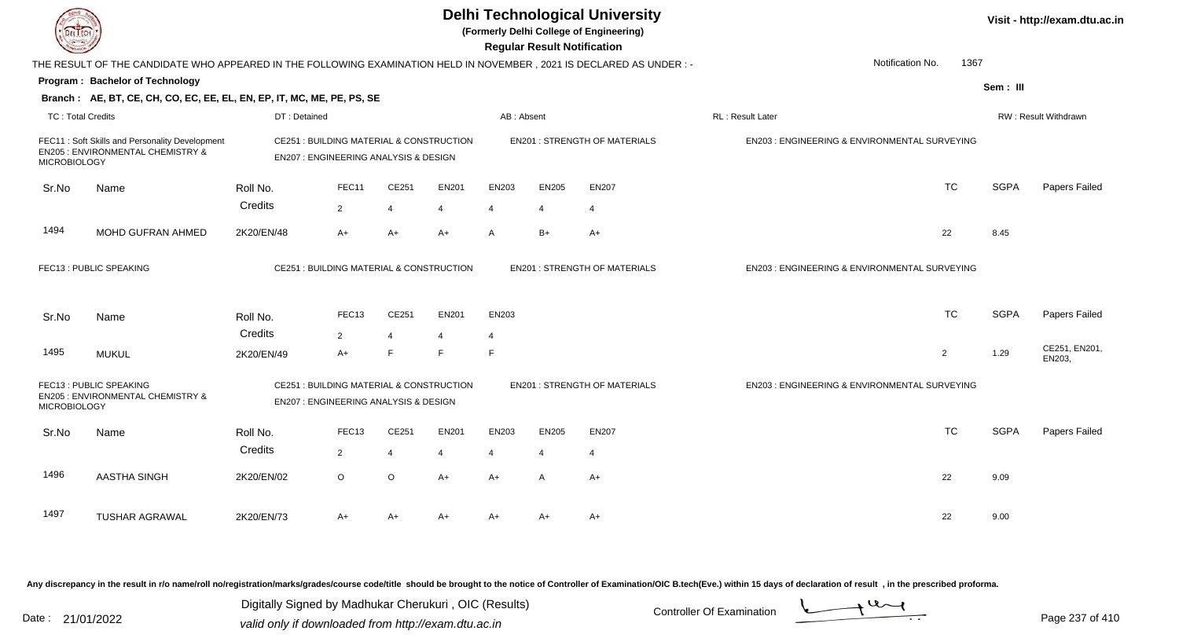| EL ECH                   |                                                                                                                      |                                                                                             |                        |                     |              |                | <b>Regular Result Notification</b> | <b>Delhi Technological University</b><br>(Formerly Delhi College of Engineering) |                                               |                          |             | Visit - http://exam.dtu.ac.in |
|--------------------------|----------------------------------------------------------------------------------------------------------------------|---------------------------------------------------------------------------------------------|------------------------|---------------------|--------------|----------------|------------------------------------|----------------------------------------------------------------------------------|-----------------------------------------------|--------------------------|-------------|-------------------------------|
|                          | THE RESULT OF THE CANDIDATE WHO APPEARED IN THE FOLLOWING EXAMINATION HELD IN NOVEMBER, 2021 IS DECLARED AS UNDER :- |                                                                                             |                        |                     |              |                |                                    |                                                                                  |                                               | Notification No.<br>1367 |             |                               |
|                          | Program: Bachelor of Technology                                                                                      |                                                                                             |                        |                     |              |                |                                    |                                                                                  |                                               |                          | Sem: III    |                               |
|                          | Branch: AE, BT, CE, CH, CO, EC, EE, EL, EN, EP, IT, MC, ME, PE, PS, SE                                               |                                                                                             |                        |                     |              |                |                                    |                                                                                  |                                               |                          |             |                               |
| <b>TC: Total Credits</b> |                                                                                                                      | DT: Detained                                                                                |                        |                     |              | AB: Absent     |                                    |                                                                                  | RL : Result Later                             |                          |             | <b>RW: Result Withdrawn</b>   |
| <b>MICROBIOLOGY</b>      | FEC11: Soft Skills and Personality Development<br><b>EN205 : ENVIRONMENTAL CHEMISTRY &amp;</b>                       | CE251 : BUILDING MATERIAL & CONSTRUCTION<br><b>EN207: ENGINEERING ANALYSIS &amp; DESIGN</b> |                        |                     |              |                |                                    | <b>EN201: STRENGTH OF MATERIALS</b>                                              | EN203 : ENGINEERING & ENVIRONMENTAL SURVEYING |                          |             |                               |
| Sr.No                    | Name                                                                                                                 | Roll No.                                                                                    | FEC11                  | CE251               | <b>EN201</b> | EN203          | <b>EN205</b>                       | <b>EN207</b>                                                                     |                                               | <b>TC</b>                | <b>SGPA</b> | Papers Failed                 |
|                          |                                                                                                                      | Credits                                                                                     | 2                      | $\overline{4}$      | 4            | $\overline{4}$ | 4                                  | $\overline{4}$                                                                   |                                               |                          |             |                               |
| 1494                     | MOHD GUFRAN AHMED                                                                                                    | 2K20/EN/48                                                                                  | $A+$                   | $A+$                | $A+$         | $\mathsf{A}$   | $B+$                               | $A+$                                                                             |                                               | 22                       | 8.45        |                               |
|                          | FEC13: PUBLIC SPEAKING                                                                                               | CE251 : BUILDING MATERIAL & CONSTRUCTION                                                    |                        |                     |              |                |                                    | <b>EN201: STRENGTH OF MATERIALS</b>                                              | EN203 : ENGINEERING & ENVIRONMENTAL SURVEYING |                          |             |                               |
| Sr.No                    | Name                                                                                                                 | Roll No.                                                                                    | FEC <sub>13</sub>      | CE251               | <b>EN201</b> | EN203          |                                    |                                                                                  |                                               | <b>TC</b>                | <b>SGPA</b> | Papers Failed                 |
| 1495                     | <b>MUKUL</b>                                                                                                         | Credits<br>2K20/EN/49                                                                       | $\overline{2}$<br>$A+$ | $\overline{4}$<br>E | E            | 4<br>E         |                                    |                                                                                  |                                               | 2                        | 1.29        | CE251, EN201,<br>EN203.       |
| <b>MICROBIOLOGY</b>      | FEC13: PUBLIC SPEAKING<br>EN205 : ENVIRONMENTAL CHEMISTRY &                                                          | CE251 : BUILDING MATERIAL & CONSTRUCTION<br>EN207 : ENGINEERING ANALYSIS & DESIGN           |                        |                     |              |                |                                    | <b>EN201 : STRENGTH OF MATERIALS</b>                                             | EN203 : ENGINEERING & ENVIRONMENTAL SURVEYING |                          |             |                               |
| Sr.No                    | Name                                                                                                                 | Roll No.                                                                                    | FEC <sub>13</sub>      | CE251               | <b>EN201</b> | EN203          | <b>EN205</b>                       | <b>EN207</b>                                                                     |                                               | <b>TC</b>                | <b>SGPA</b> | Papers Failed                 |
|                          |                                                                                                                      | Credits                                                                                     | 2                      | 4                   | 4            | 4              | $\overline{4}$                     | $\overline{4}$                                                                   |                                               |                          |             |                               |
| 1496                     | AASTHA SINGH                                                                                                         | 2K20/EN/02                                                                                  | $\circ$                | $\circ$             | $A+$         | $A+$           | $\mathsf{A}$                       | $A+$                                                                             |                                               | 22                       | 9.09        |                               |
| 1497                     | <b>TUSHAR AGRAWAL</b>                                                                                                | 2K20/EN/73                                                                                  | A+                     | $A+$                | $A+$         | $A+$           | A+                                 | A+                                                                               |                                               | 22                       | 9.00        |                               |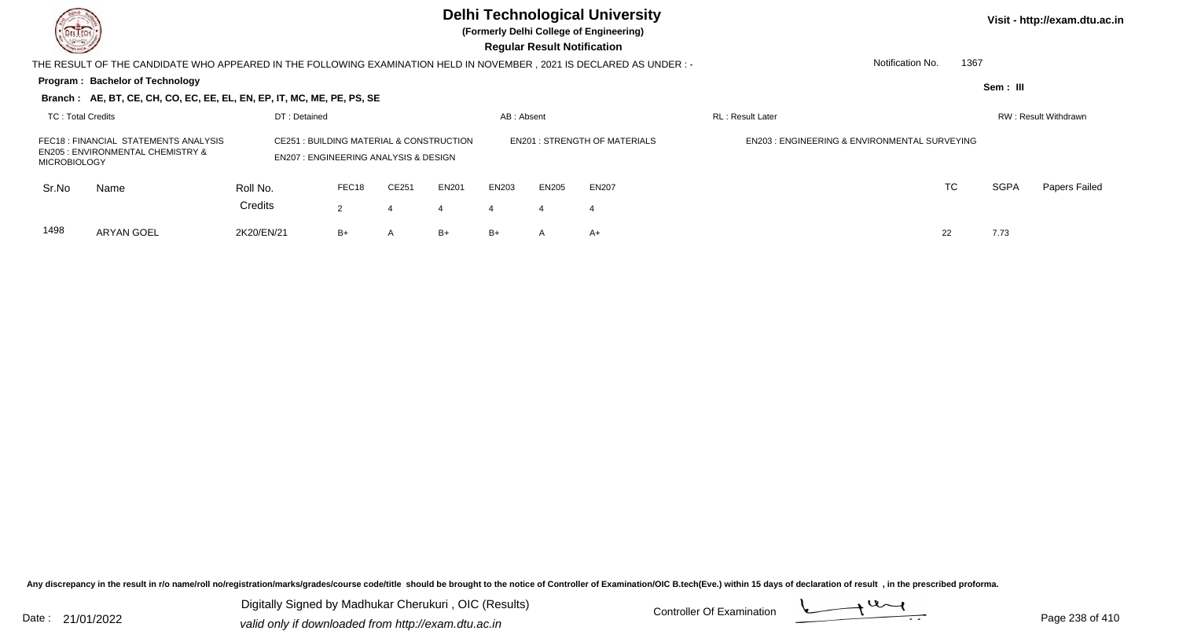**(Formerly Delhi College of Engineering)**

| <b>County</b>       |                                                                                                                     |                                                                                                        |                |                |              |            | <b>Regular Result Notification</b> |                                     |                                                          |                          |          |                      |
|---------------------|---------------------------------------------------------------------------------------------------------------------|--------------------------------------------------------------------------------------------------------|----------------|----------------|--------------|------------|------------------------------------|-------------------------------------|----------------------------------------------------------|--------------------------|----------|----------------------|
|                     | THE RESULT OF THE CANDIDATE WHO APPEARED IN THE FOLLOWING EXAMINATION HELD IN NOVEMBER, 2021 IS DECLARED AS UNDER:- |                                                                                                        |                |                |              |            |                                    |                                     |                                                          | 1367<br>Notification No. |          |                      |
|                     | Program: Bachelor of Technology                                                                                     |                                                                                                        |                |                |              |            |                                    |                                     |                                                          |                          | Sem: III |                      |
|                     | Branch: AE, BT, CE, CH, CO, EC, EE, EL, EN, EP, IT, MC, ME, PE, PS, SE                                              |                                                                                                        |                |                |              |            |                                    |                                     |                                                          |                          |          |                      |
| TC: Total Credits   |                                                                                                                     | DT: Detained                                                                                           |                |                |              | AB: Absent |                                    |                                     | <b>RL: Result Later</b>                                  |                          |          | RW: Result Withdrawn |
| <b>MICROBIOLOGY</b> | FEC18 : FINANCIAL STATEMENTS ANALYSIS<br><b>EN205 : ENVIRONMENTAL CHEMISTRY &amp;</b>                               | <b>CE251 : BUILDING MATERIAL &amp; CONSTRUCTION</b><br><b>EN207: ENGINEERING ANALYSIS &amp; DESIGN</b> |                |                |              |            |                                    | <b>EN201: STRENGTH OF MATERIALS</b> | <b>EN203 : ENGINEERING &amp; ENVIRONMENTAL SURVEYING</b> |                          |          |                      |
| Sr.No               | Name                                                                                                                | Roll No.                                                                                               | FEC18          | CE251          | <b>EN201</b> | EN203      | <b>EN205</b>                       | <b>EN207</b>                        |                                                          | TC                       | SGPA     | Papers Failed        |
|                     |                                                                                                                     | Credits                                                                                                | $\overline{2}$ | 4              | 4            | 4          |                                    |                                     |                                                          |                          |          |                      |
| 1498                | ARYAN GOEL                                                                                                          | 2K20/EN/21                                                                                             | B+             | $\overline{A}$ | $B+$         | $B+$       | A                                  | A+                                  |                                                          | 22                       | 7.73     |                      |

Any discrepancy in the result in r/o name/roll no/registration/marks/grades/course code/title should be brought to the notice of Controller of Examination/OIC B.tech(Eve.) within 15 days of declaration of result, in the pr

Digitally Signed by Madhukar Cherukuri, OIC (Results)<br>Date : 21/01/2022 Controller Of Examination Digitally Signed by Madhukar Cherukuri , OIC (Results)valid only if downloaded from http://exam.dtu.ac.in

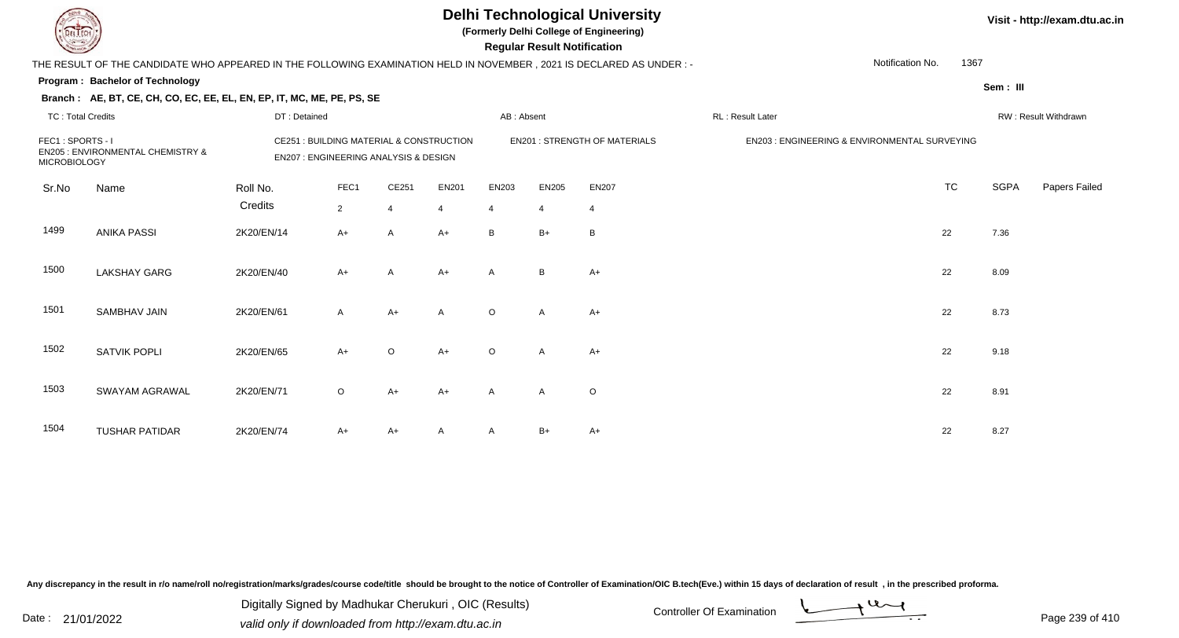**(Formerly Delhi College of Engineering)**

| <b>Courses I</b>                        |                                                                                                                     |              |                                                                                   |                |                |            |                | <b>Regular Result Notification</b>  |                         |                                               |             |                      |
|-----------------------------------------|---------------------------------------------------------------------------------------------------------------------|--------------|-----------------------------------------------------------------------------------|----------------|----------------|------------|----------------|-------------------------------------|-------------------------|-----------------------------------------------|-------------|----------------------|
|                                         | THE RESULT OF THE CANDIDATE WHO APPEARED IN THE FOLLOWING EXAMINATION HELD IN NOVEMBER, 2021 IS DECLARED AS UNDER:- |              |                                                                                   |                |                |            |                |                                     |                         | Notification No.<br>1367                      |             |                      |
|                                         | <b>Program: Bachelor of Technology</b>                                                                              |              |                                                                                   |                |                |            |                |                                     |                         |                                               | Sem: III    |                      |
|                                         | Branch: AE, BT, CE, CH, CO, EC, EE, EL, EN, EP, IT, MC, ME, PE, PS, SE                                              |              |                                                                                   |                |                |            |                |                                     |                         |                                               |             |                      |
| <b>TC: Total Credits</b>                |                                                                                                                     | DT: Detained |                                                                                   |                |                | AB: Absent |                |                                     | <b>RL: Result Later</b> |                                               |             | RW: Result Withdrawn |
| FEC1: SPORTS - I<br><b>MICROBIOLOGY</b> | <b>EN205 : ENVIRONMENTAL CHEMISTRY &amp;</b>                                                                        |              | CE251 : BUILDING MATERIAL & CONSTRUCTION<br>EN207 : ENGINEERING ANALYSIS & DESIGN |                |                |            |                | <b>EN201: STRENGTH OF MATERIALS</b> |                         | EN203 : ENGINEERING & ENVIRONMENTAL SURVEYING |             |                      |
| Sr.No                                   | Name                                                                                                                | Roll No.     | FEC1                                                                              | CE251          | EN201          | EN203      | EN205          | <b>EN207</b>                        |                         | <b>TC</b>                                     | <b>SGPA</b> | Papers Failed        |
|                                         |                                                                                                                     | Credits      | $\overline{2}$                                                                    | $\overline{4}$ | $\overline{4}$ | 4          | $\overline{4}$ | 4                                   |                         |                                               |             |                      |
| 1499                                    | <b>ANIKA PASSI</b>                                                                                                  | 2K20/EN/14   | $A+$                                                                              | A              | $A+$           | B          | $B+$           | B                                   |                         | 22                                            | 7.36        |                      |
| 1500                                    | <b>LAKSHAY GARG</b>                                                                                                 | 2K20/EN/40   | $A+$                                                                              | A              | $A+$           | A          | B              | $A+$                                |                         | 22                                            | 8.09        |                      |
| 1501                                    | <b>SAMBHAV JAIN</b>                                                                                                 | 2K20/EN/61   | $\mathsf{A}$                                                                      | $A+$           | $\mathsf{A}$   | $\circ$    | Α              | $A+$                                |                         | 22                                            | 8.73        |                      |
| 1502                                    | <b>SATVIK POPLI</b>                                                                                                 | 2K20/EN/65   | $A+$                                                                              | $\circ$        | $A+$           | $\circ$    | A              | $A+$                                |                         | 22                                            | 9.18        |                      |
| 1503                                    | SWAYAM AGRAWAL                                                                                                      | 2K20/EN/71   | $\circ$                                                                           | $A+$           | $A+$           | A          | A              | O                                   |                         | 22                                            | 8.91        |                      |
| 1504                                    | <b>TUSHAR PATIDAR</b>                                                                                               | 2K20/EN/74   | $A+$                                                                              | A+             | Α              | A          | B+             | $A+$                                |                         | 22                                            | 8.27        |                      |

Any discrepancy in the result in r/o name/roll no/registration/marks/grades/course code/title should be brought to the notice of Controller of Examination/OIC B.tech(Eve.) within 15 days of declaration of result, in the pr

Date : 21/01/2022 Digital Digital of Microsofted Chemical Controller Of Examination Determination Page 239 of 41 Digitally Signed by Madhukar Cherukuri , OIC (Results)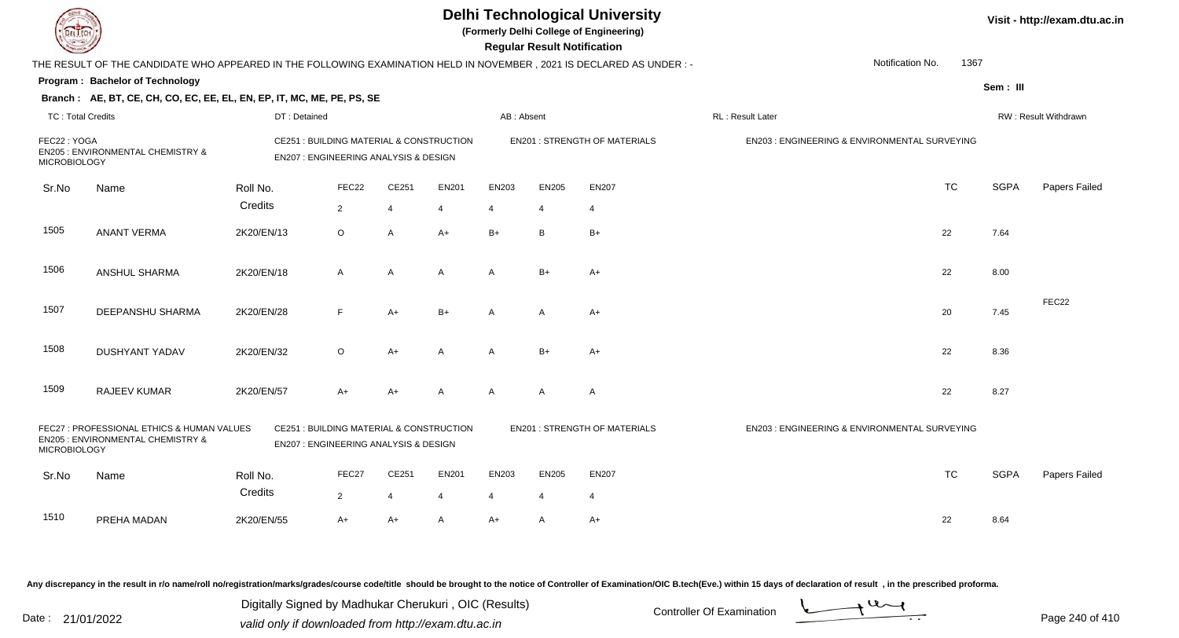|                                    |                                                                                                                        |                                                                                             |                |                |              |              | <b>Regular Result Notification</b> | <b>Delhi Technological University</b><br>(Formerly Delhi College of Engineering) |                                                         |                          |             | Visit - http://exam.dtu.ac.in |
|------------------------------------|------------------------------------------------------------------------------------------------------------------------|---------------------------------------------------------------------------------------------|----------------|----------------|--------------|--------------|------------------------------------|----------------------------------------------------------------------------------|---------------------------------------------------------|--------------------------|-------------|-------------------------------|
|                                    | THE RESULT OF THE CANDIDATE WHO APPEARED IN THE FOLLOWING EXAMINATION HELD IN NOVEMBER , 2021 IS DECLARED AS UNDER : - |                                                                                             |                |                |              |              |                                    |                                                                                  |                                                         | Notification No.<br>1367 |             |                               |
|                                    | Program: Bachelor of Technology                                                                                        |                                                                                             |                |                |              |              |                                    |                                                                                  |                                                         |                          | Sem: III    |                               |
|                                    | Branch: AE, BT, CE, CH, CO, EC, EE, EL, EN, EP, IT, MC, ME, PE, PS, SE                                                 |                                                                                             |                |                |              |              |                                    |                                                                                  |                                                         |                          |             |                               |
| <b>TC: Total Credits</b>           |                                                                                                                        | DT: Detained                                                                                |                |                |              | AB: Absent   |                                    |                                                                                  | RL: Result Later                                        |                          |             | RW: Result Withdrawn          |
| FEC22: YOGA<br><b>MICROBIOLOGY</b> | <b>EN205: ENVIRONMENTAL CHEMISTRY &amp;</b>                                                                            | CE251 : BUILDING MATERIAL & CONSTRUCTION<br>EN207 : ENGINEERING ANALYSIS & DESIGN           |                |                |              |              |                                    | <b>EN201: STRENGTH OF MATERIALS</b>                                              | EN203 : ENGINEERING & ENVIRONMENTAL SURVEYING           |                          |             |                               |
| Sr.No                              | Name                                                                                                                   | Roll No.                                                                                    | FEC22          | CE251          | <b>EN201</b> | EN203        | <b>EN205</b>                       | <b>EN207</b>                                                                     |                                                         | <b>TC</b>                | <b>SGPA</b> | Papers Failed                 |
|                                    |                                                                                                                        | Credits                                                                                     | $\overline{2}$ | $\overline{4}$ | 4            | 4            | $\overline{4}$                     | $\overline{4}$                                                                   |                                                         |                          |             |                               |
| 1505                               | <b>ANANT VERMA</b>                                                                                                     | 2K20/EN/13                                                                                  | $\circ$        | $\overline{A}$ | $A+$         | $B+$         | B                                  | $B+$                                                                             |                                                         | 22                       | 7.64        |                               |
| 1506                               | ANSHUL SHARMA                                                                                                          | 2K20/EN/18                                                                                  | $\mathsf{A}$   | $\overline{A}$ | $\mathsf{A}$ | $\mathsf{A}$ | $B+$                               | $A+$                                                                             |                                                         | 22                       | 8.00        |                               |
| 1507                               | DEEPANSHU SHARMA                                                                                                       | 2K20/EN/28                                                                                  | E              | $A+$           | $B+$         | A            | A                                  | A+                                                                               |                                                         | 20                       | 7.45        | FEC22                         |
| 1508                               | <b>DUSHYANT YADAV</b>                                                                                                  | 2K20/EN/32                                                                                  | $\circ$        | $A+$           | A            | $\mathsf{A}$ | $B+$                               | $A+$                                                                             |                                                         | 22                       | 8.36        |                               |
| 1509                               | RAJEEV KUMAR                                                                                                           | 2K20/EN/57                                                                                  | $A+$           | $A+$           | A            | A            | A                                  | $\overline{A}$                                                                   |                                                         | 22                       | 8.27        |                               |
| <b>MICROBIOLOGY</b>                | FEC27 : PROFESSIONAL ETHICS & HUMAN VALUES<br>EN205 : ENVIRONMENTAL CHEMISTRY &                                        | CE251 : BUILDING MATERIAL & CONSTRUCTION<br><b>EN207: ENGINEERING ANALYSIS &amp; DESIGN</b> |                |                |              |              |                                    | <b>EN201 : STRENGTH OF MATERIALS</b>                                             | <b>EN203: ENGINEERING &amp; ENVIRONMENTAL SURVEYING</b> |                          |             |                               |
| Sr.No                              | Name                                                                                                                   | Roll No.                                                                                    | FEC27          | CE251          | <b>EN201</b> | EN203        | <b>EN205</b>                       | <b>EN207</b>                                                                     |                                                         | <b>TC</b>                | <b>SGPA</b> | Papers Failed                 |
|                                    |                                                                                                                        | Credits                                                                                     | $\overline{2}$ | $\overline{4}$ | 4            | 4            | 4                                  | $\overline{4}$                                                                   |                                                         |                          |             |                               |
| 1510                               | PREHA MADAN                                                                                                            | 2K20/EN/55                                                                                  | A+             | $A+$           | A            | $A+$         | A                                  | $A+$                                                                             |                                                         | 22                       | 8.64        |                               |

Digitally Signed by Madhukar Cherukuri, OIC (Results)<br>Date : 21/01/2022 valid only if downloaded from http://oxam.dtu.ac.in Digitally Signed by Madhukar Cherukuri , OIC (Results)valid only if downloaded from http://exam.dtu.ac.in

Page 240 of 410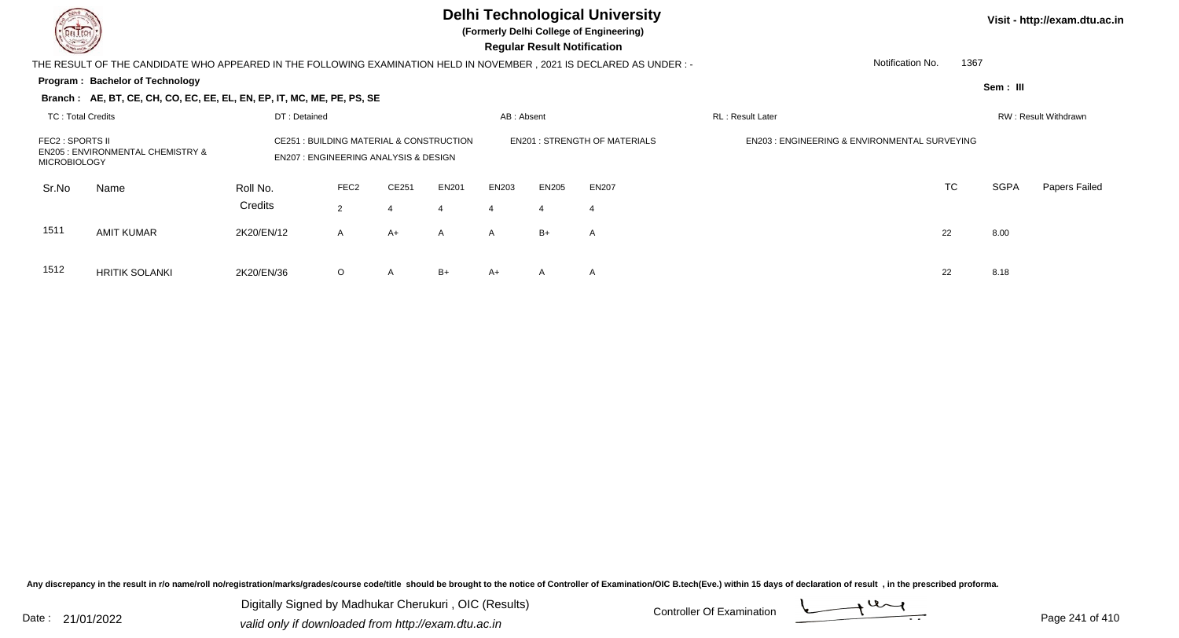HRITIK SOLANKI 2K20/EN/36

6 O

# **Delhi Technological University**

**(Formerly Delhi College of Engineering)**

 **Regular Result Notification**

|                                         | THE RESULT OF THE CANDIDATE WHO APPEARED IN THE FOLLOWING EXAMINATION HELD IN NOVEMBER, 2021 IS DECLARED AS UNDER:- |                     |                                                                                       |       |                   |                |              |                                     |                                                         | Notification No. | 1367 |          |                      |
|-----------------------------------------|---------------------------------------------------------------------------------------------------------------------|---------------------|---------------------------------------------------------------------------------------|-------|-------------------|----------------|--------------|-------------------------------------|---------------------------------------------------------|------------------|------|----------|----------------------|
|                                         | Program: Bachelor of Technology                                                                                     |                     |                                                                                       |       |                   |                |              |                                     |                                                         |                  |      | Sem: III |                      |
|                                         | Branch: AE, BT, CE, CH, CO, EC, EE, EL, EN, EP, IT, MC, ME, PE, PS, SE                                              |                     |                                                                                       |       |                   |                |              |                                     |                                                         |                  |      |          |                      |
| TC: Total Credits                       |                                                                                                                     | DT: Detained        |                                                                                       |       |                   | AB: Absent     |              |                                     | <b>RL: Result Later</b>                                 |                  |      |          | RW: Result Withdrawn |
| FEC2 : SPORTS II<br><b>MICROBIOLOGY</b> | <b>EN205 : ENVIRONMENTAL CHEMISTRY &amp;</b>                                                                        | CE251               | : BUILDING MATERIAL & CONSTRUCTION<br><b>EN207: ENGINEERING ANALYSIS &amp; DESIGN</b> |       |                   |                |              | <b>EN201: STRENGTH OF MATERIALS</b> | <b>EN203: ENGINEERING &amp; ENVIRONMENTAL SURVEYING</b> |                  |      |          |                      |
| Sr.No                                   | Name                                                                                                                | Roll No.<br>Credits | FEC <sub>2</sub><br>2                                                                 | CE251 | <b>EN201</b><br>4 | EN203<br>4     | <b>EN205</b> | EN207                               |                                                         | TC               |      | SGPA     | <b>Papers Failed</b> |
| 1511                                    | AMIT KUMAR                                                                                                          | 2K20/EN/12          | $\mathsf{A}$                                                                          | A+    | A                 | $\overline{A}$ | $B+$         | A                                   |                                                         | 22               |      | 8.00     |                      |
| 1512                                    | HRITIK SOLANKI                                                                                                      | 2K20/FN/36          | $\Omega$                                                                              | A     | $B+$              | $A+$           | A            |                                     |                                                         | 22               |      | 8.18     |                      |

Any discrepancy in the result in r/o name/roll no/registration/marks/grades/course code/title should be brought to the notice of Controller of Examination/OIC B.tech(Eve.) within 15 days of declaration of result, in the pr

Date : 21/01/2022 Digital Digital of Microsofted Chemical Controller Of Examination Determination Page 241 of 41 Digitally Signed by Madhukar Cherukuri , OIC (Results)

O A B+ A+ A A <br>
22 8.18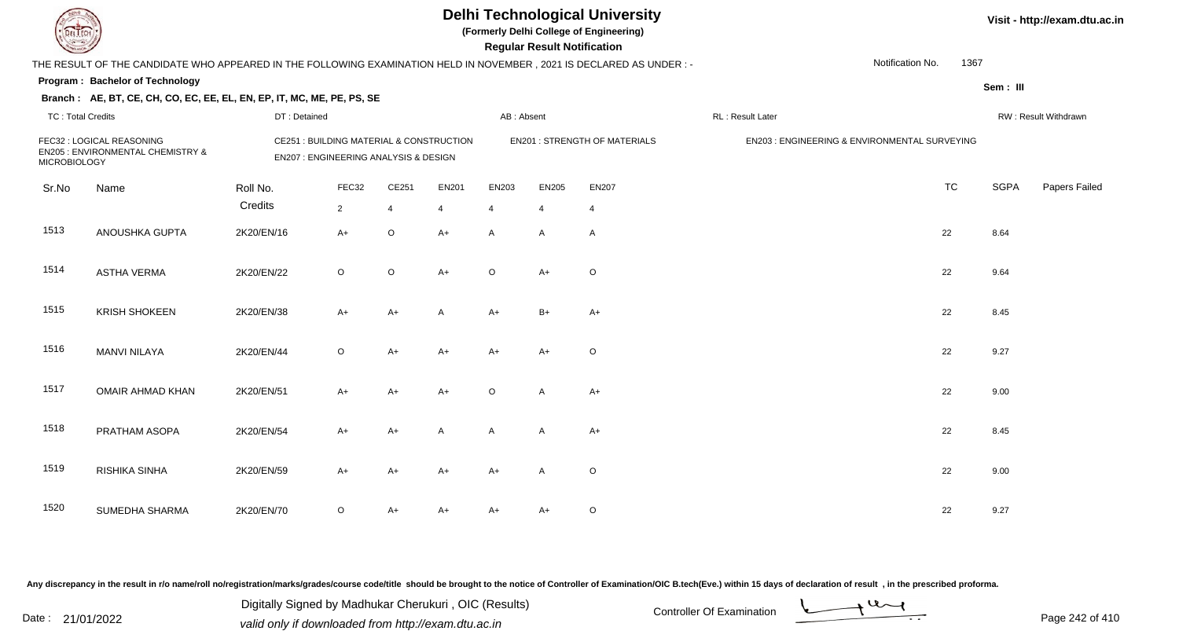**(Formerly Delhi College of Engineering)**

| <b>Consumer of Designation</b> |                                                                                                                      |              |                                                                                   |       |                |                | <b>Regular Result Notification</b> |                                      |                                               |                  |      |             |                      |
|--------------------------------|----------------------------------------------------------------------------------------------------------------------|--------------|-----------------------------------------------------------------------------------|-------|----------------|----------------|------------------------------------|--------------------------------------|-----------------------------------------------|------------------|------|-------------|----------------------|
|                                | THE RESULT OF THE CANDIDATE WHO APPEARED IN THE FOLLOWING EXAMINATION HELD IN NOVEMBER, 2021 IS DECLARED AS UNDER :- |              |                                                                                   |       |                |                |                                    |                                      |                                               | Notification No. | 1367 |             |                      |
|                                | Program: Bachelor of Technology                                                                                      |              |                                                                                   |       |                |                |                                    |                                      |                                               |                  |      | Sem: III    |                      |
|                                | Branch: AE, BT, CE, CH, CO, EC, EE, EL, EN, EP, IT, MC, ME, PE, PS, SE                                               |              |                                                                                   |       |                |                |                                    |                                      |                                               |                  |      |             |                      |
| <b>TC: Total Credits</b>       |                                                                                                                      | DT: Detained |                                                                                   |       |                | AB: Absent     |                                    |                                      | RL : Result Later                             |                  |      |             | RW: Result Withdrawn |
| <b>MICROBIOLOGY</b>            | FEC32 : LOGICAL REASONING<br>EN205 : ENVIRONMENTAL CHEMISTRY &                                                       |              | CE251 : BUILDING MATERIAL & CONSTRUCTION<br>EN207 : ENGINEERING ANALYSIS & DESIGN |       |                |                |                                    | <b>EN201 : STRENGTH OF MATERIALS</b> | EN203 : ENGINEERING & ENVIRONMENTAL SURVEYING |                  |      |             |                      |
| Sr.No                          | Name                                                                                                                 | Roll No.     | FEC32                                                                             | CE251 | EN201          | EN203          | EN205                              | <b>EN207</b>                         |                                               | <b>TC</b>        |      | <b>SGPA</b> | <b>Papers Failed</b> |
|                                |                                                                                                                      | Credits      | $\overline{2}$                                                                    | 4     | $\overline{4}$ | $\overline{4}$ | $\overline{4}$                     | $\overline{4}$                       |                                               |                  |      |             |                      |
| 1513                           | ANOUSHKA GUPTA                                                                                                       | 2K20/EN/16   | $A+$                                                                              | O     | $A+$           | A              | A                                  | A                                    |                                               | 22               |      | 8.64        |                      |
| 1514                           | <b>ASTHA VERMA</b>                                                                                                   | 2K20/EN/22   | $\circ$                                                                           | O     | $A+$           | O              | $A+$                               | $\circ$                              |                                               | 22               |      | 9.64        |                      |
| 1515                           | <b>KRISH SHOKEEN</b>                                                                                                 | 2K20/EN/38   | $A+$                                                                              | A+    | A              | A+             | $B+$                               | $A+$                                 |                                               | 22               |      | 8.45        |                      |
| 1516                           | <b>MANVI NILAYA</b>                                                                                                  | 2K20/EN/44   | $\circ$                                                                           | A+    | $A+$           | A+             | $A+$                               | $\circ$                              |                                               | 22               |      | 9.27        |                      |
| 1517                           | OMAIR AHMAD KHAN                                                                                                     | 2K20/EN/51   | $A+$                                                                              | A+    | $A+$           | O              | Α                                  | $A+$                                 |                                               | 22               |      | 9.00        |                      |
| 1518                           | PRATHAM ASOPA                                                                                                        | 2K20/EN/54   | A+                                                                                | A+    | Α              | Α              | Α                                  | $A+$                                 |                                               | 22               |      | 8.45        |                      |
| 1519                           | RISHIKA SINHA                                                                                                        | 2K20/EN/59   | $A+$                                                                              | A+    | $A+$           | A+             | Α                                  | O                                    |                                               | 22               |      | 9.00        |                      |
| 1520                           | SUMEDHA SHARMA                                                                                                       | 2K20/EN/70   | $\circ$                                                                           | A+    | A+             | A+             | A+                                 | O                                    |                                               | 22               |      | 9.27        |                      |

Any discrepancy in the result in r/o name/roll no/registration/marks/grades/course code/title should be brought to the notice of Controller of Examination/OIC B.tech(Eve.) within 15 days of declaration of result, in the pr

Date : 21/01/2022 Digital Digital of Microsofted Chemical Controller Of Examination Determination Page 242 of 41 Digitally Signed by Madhukar Cherukuri , OIC (Results)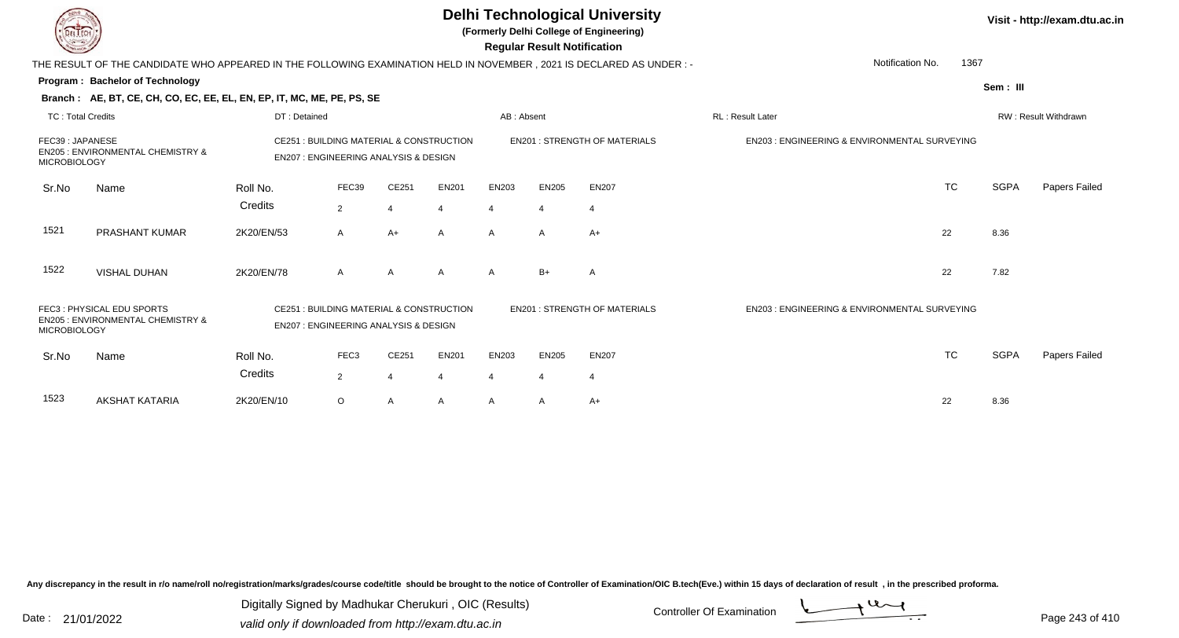|                     |                                                                                                                                                                                      |                                                                                             |                  |                |                |                       | <b>Regular Result Notification</b> | <b>Delhi Technological University</b><br>(Formerly Delhi College of Engineering) |                                                         | Visit - http://exam.dtu.ac.in |             |                      |  |
|---------------------|--------------------------------------------------------------------------------------------------------------------------------------------------------------------------------------|---------------------------------------------------------------------------------------------|------------------|----------------|----------------|-----------------------|------------------------------------|----------------------------------------------------------------------------------|---------------------------------------------------------|-------------------------------|-------------|----------------------|--|
|                     | THE RESULT OF THE CANDIDATE WHO APPEARED IN THE FOLLOWING EXAMINATION HELD IN NOVEMBER, 2021 IS DECLARED AS UNDER :-                                                                 |                                                                                             |                  |                |                |                       |                                    |                                                                                  | Notification No.                                        | 1367                          |             |                      |  |
|                     | Program: Bachelor of Technology                                                                                                                                                      |                                                                                             |                  |                |                |                       |                                    |                                                                                  |                                                         |                               | Sem: III    |                      |  |
|                     | Branch: AE, BT, CE, CH, CO, EC, EE, EL, EN, EP, IT, MC, ME, PE, PS, SE                                                                                                               |                                                                                             |                  |                |                |                       |                                    |                                                                                  |                                                         |                               |             |                      |  |
| TC: Total Credits   |                                                                                                                                                                                      | DT: Detained                                                                                |                  |                |                | AB: Absent            |                                    |                                                                                  | RL: Result Later                                        |                               |             | RW: Result Withdrawn |  |
|                     | FEC39: JAPANESE<br>CE251 : BUILDING MATERIAL & CONSTRUCTION<br><b>EN205: ENVIRONMENTAL CHEMISTRY &amp;</b><br><b>EN207: ENGINEERING ANALYSIS &amp; DESIGN</b><br><b>MICROBIOLOGY</b> |                                                                                             |                  |                |                |                       |                                    | <b>EN201: STRENGTH OF MATERIALS</b>                                              | <b>EN203: ENGINEERING &amp; ENVIRONMENTAL SURVEYING</b> |                               |             |                      |  |
| Sr.No               | Name                                                                                                                                                                                 | Roll No.                                                                                    | FEC39            | CE251          | <b>EN201</b>   | EN203                 | <b>EN205</b>                       | <b>EN207</b>                                                                     |                                                         | <b>TC</b>                     | <b>SGPA</b> | Papers Failed        |  |
|                     |                                                                                                                                                                                      | Credits                                                                                     | $\overline{2}$   | 4              | $\overline{4}$ |                       |                                    | 4                                                                                |                                                         |                               |             |                      |  |
| 1521                | <b>PRASHANT KUMAR</b>                                                                                                                                                                | 2K20/EN/53                                                                                  | $\overline{A}$   | $A+$           | $\mathsf{A}$   | $\mathsf{A}$          | A                                  | $A+$                                                                             |                                                         | 22                            | 8.36        |                      |  |
| 1522                | <b>VISHAL DUHAN</b>                                                                                                                                                                  | 2K20/EN/78                                                                                  | $\overline{A}$   | A              | A              | A                     | $B+$                               | $\mathsf{A}$                                                                     |                                                         | 22                            | 7.82        |                      |  |
| <b>MICROBIOLOGY</b> | FEC3: PHYSICAL EDU SPORTS<br><b>EN205: ENVIRONMENTAL CHEMISTRY &amp;</b>                                                                                                             | CE251 : BUILDING MATERIAL & CONSTRUCTION<br><b>EN207: ENGINEERING ANALYSIS &amp; DESIGN</b> |                  |                |                |                       |                                    | <b>EN201 : STRENGTH OF MATERIALS</b>                                             | EN203 : ENGINEERING & ENVIRONMENTAL SURVEYING           |                               |             |                      |  |
| Sr.No               | Name                                                                                                                                                                                 | Roll No.                                                                                    | FEC <sub>3</sub> | CE251          | <b>EN201</b>   | EN203                 | <b>EN205</b>                       | <b>EN207</b>                                                                     |                                                         | <b>TC</b>                     | <b>SGPA</b> | Papers Failed        |  |
|                     |                                                                                                                                                                                      | Credits                                                                                     | 2                | $\overline{4}$ | 4              | $\boldsymbol{\Delta}$ | 4                                  | $\overline{4}$                                                                   |                                                         |                               |             |                      |  |
| 1523                | AKSHAT KATARIA                                                                                                                                                                       | 2K20/EN/10                                                                                  | $\circ$          | A              | A              | A                     | A                                  | $A+$                                                                             |                                                         | 22                            | 8.36        |                      |  |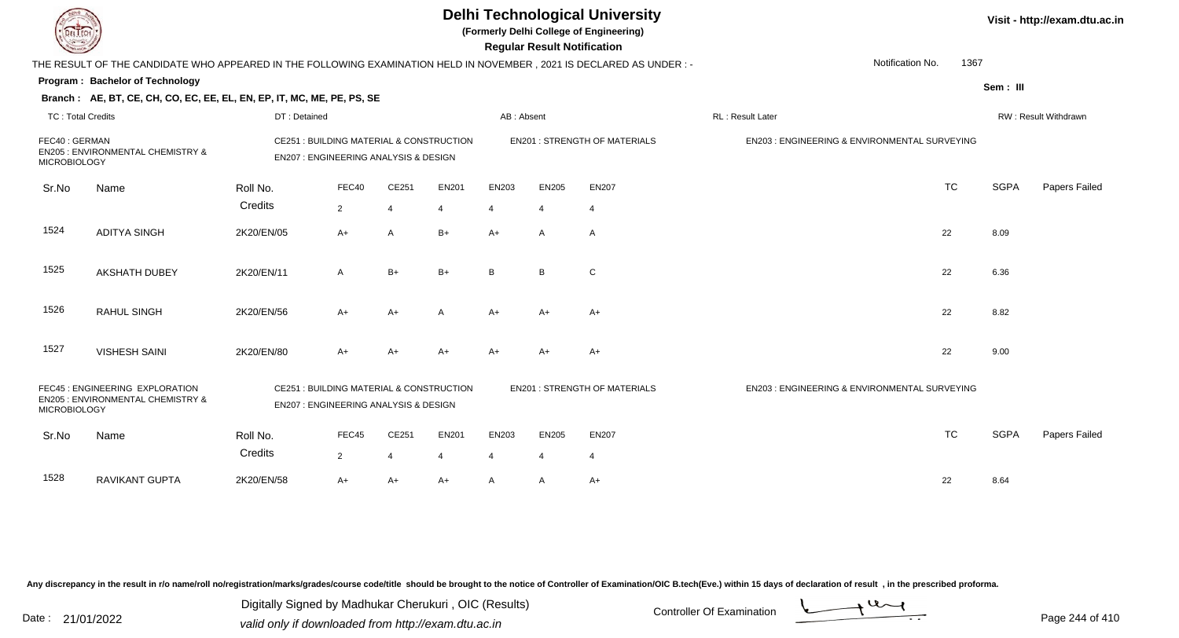|                                                                                                                                                                                  |                                                                                                                     |                     |                                                                                   |                |            | <b>Delhi Technological University</b><br>(Formerly Delhi College of Engineering)<br><b>Regular Result Notification</b> |                                      | Visit - http://exam.dtu.ac.in                 |                                               |                      |             |               |
|----------------------------------------------------------------------------------------------------------------------------------------------------------------------------------|---------------------------------------------------------------------------------------------------------------------|---------------------|-----------------------------------------------------------------------------------|----------------|------------|------------------------------------------------------------------------------------------------------------------------|--------------------------------------|-----------------------------------------------|-----------------------------------------------|----------------------|-------------|---------------|
|                                                                                                                                                                                  | THE RESULT OF THE CANDIDATE WHO APPEARED IN THE FOLLOWING EXAMINATION HELD IN NOVEMBER, 2021 IS DECLARED AS UNDER:- |                     |                                                                                   |                |            |                                                                                                                        |                                      |                                               | Notification No.                              | 1367                 |             |               |
|                                                                                                                                                                                  | Program: Bachelor of Technology                                                                                     |                     |                                                                                   |                |            |                                                                                                                        |                                      |                                               |                                               |                      | Sem: III    |               |
|                                                                                                                                                                                  | Branch: AE, BT, CE, CH, CO, EC, EE, EL, EN, EP, IT, MC, ME, PE, PS, SE                                              |                     |                                                                                   |                |            |                                                                                                                        |                                      |                                               |                                               |                      |             |               |
| <b>TC: Total Credits</b>                                                                                                                                                         |                                                                                                                     | DT: Detained        |                                                                                   |                |            | AB: Absent                                                                                                             |                                      |                                               | RL: Result Later                              | RW: Result Withdrawn |             |               |
| FEC40: GERMAN<br><b>MICROBIOLOGY</b>                                                                                                                                             | EN205 : ENVIRONMENTAL CHEMISTRY &                                                                                   |                     | CE251 : BUILDING MATERIAL & CONSTRUCTION<br>EN207 : ENGINEERING ANALYSIS & DESIGN |                |            |                                                                                                                        |                                      | <b>EN201 : STRENGTH OF MATERIALS</b>          | EN203 : ENGINEERING & ENVIRONMENTAL SURVEYING |                      |             |               |
| Sr.No                                                                                                                                                                            | Name                                                                                                                | Roll No.            | FEC40                                                                             | CE251          | EN201      | EN203                                                                                                                  | <b>EN205</b>                         | <b>EN207</b>                                  | <b>TC</b>                                     |                      | <b>SGPA</b> | Papers Failed |
|                                                                                                                                                                                  |                                                                                                                     | Credits             | $\overline{2}$                                                                    | $\overline{4}$ | 4          | $\boldsymbol{\Delta}$                                                                                                  | $\boldsymbol{\vartriangle}$          | $\overline{4}$                                |                                               |                      |             |               |
| 1524                                                                                                                                                                             | <b>ADITYA SINGH</b>                                                                                                 | 2K20/EN/05          | $A+$                                                                              | A              | $B+$       | $A+$                                                                                                                   | $\overline{A}$                       | A                                             | 22                                            |                      | 8.09        |               |
| 1525                                                                                                                                                                             | <b>AKSHATH DUBEY</b>                                                                                                | 2K20/EN/11          | A                                                                                 | $B+$           | B+         | B <sub>1</sub>                                                                                                         | B.                                   | C                                             | 22                                            |                      | 6.36        |               |
| 1526                                                                                                                                                                             | RAHUL SINGH                                                                                                         | 2K20/EN/56          | $A+$                                                                              | $A+$           | A          | $A+$                                                                                                                   | $A+$                                 | $A+$                                          | 22                                            |                      | 8.82        |               |
| 1527                                                                                                                                                                             | <b>VISHESH SAINI</b>                                                                                                | 2K20/EN/80          | A+                                                                                | $A+$           | A+         | $A+$                                                                                                                   | $A+$                                 | $A+$                                          | 22                                            |                      | 9.00        |               |
| FEC45 : ENGINEERING EXPLORATION<br>CE251 : BUILDING MATERIAL & CONSTRUCTION<br>EN205 : ENVIRONMENTAL CHEMISTRY &<br>EN207 : ENGINEERING ANALYSIS & DESIGN<br><b>MICROBIOLOGY</b> |                                                                                                                     |                     |                                                                                   |                |            |                                                                                                                        | <b>EN201 : STRENGTH OF MATERIALS</b> | EN203 : ENGINEERING & ENVIRONMENTAL SURVEYING |                                               |                      |             |               |
| Sr.No                                                                                                                                                                            | Name                                                                                                                | Roll No.<br>Credits | FEC45<br>$\overline{2}$                                                           | CE251<br>4     | EN201<br>4 | EN203<br>4                                                                                                             | <b>EN205</b><br>4                    | <b>EN207</b><br>$\overline{4}$                | <b>TC</b>                                     |                      | <b>SGPA</b> | Papers Failed |
| 1528                                                                                                                                                                             | <b>RAVIKANT GUPTA</b>                                                                                               | 2K20/EN/58          | A+                                                                                | A+             | A+         | $\mathsf{A}$                                                                                                           | A                                    | A+                                            | 22                                            |                      | 8.64        |               |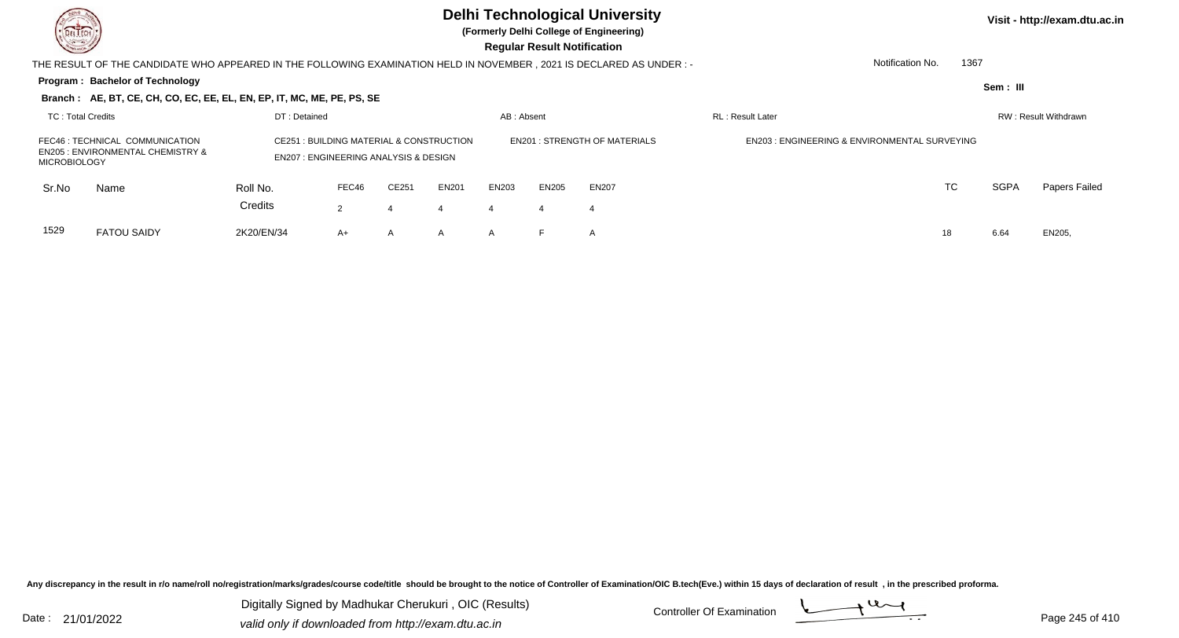**(Formerly Delhi College of Engineering)**

 **Regular Result Notification**

| $\sim$              |                                                                                                                     |                                                                                             |                        |                   |        |            | ncyular ncəyil nutiliyatlur         |                                                         |                          |           |          |                      |
|---------------------|---------------------------------------------------------------------------------------------------------------------|---------------------------------------------------------------------------------------------|------------------------|-------------------|--------|------------|-------------------------------------|---------------------------------------------------------|--------------------------|-----------|----------|----------------------|
|                     | THE RESULT OF THE CANDIDATE WHO APPEARED IN THE FOLLOWING EXAMINATION HELD IN NOVEMBER, 2021 IS DECLARED AS UNDER:- |                                                                                             |                        |                   |        |            |                                     |                                                         | Notification No.         | 1367      |          |                      |
|                     | <b>Program: Bachelor of Technology</b>                                                                              |                                                                                             |                        |                   |        |            |                                     |                                                         |                          |           | Sem: III |                      |
|                     | Branch: AE, BT, CE, CH, CO, EC, EE, EL, EN, EP, IT, MC, ME, PE, PS, SE                                              |                                                                                             |                        |                   |        |            |                                     |                                                         |                          |           |          |                      |
| TC: Total Credits   |                                                                                                                     | DT: Detained                                                                                |                        |                   |        | AB: Absent |                                     |                                                         | <b>RL</b> : Result Later |           |          | RW: Result Withdrawn |
| <b>MICROBIOLOGY</b> | FEC46 : TECHNICAL COMMUNICATION<br><b>EN205 : ENVIRONMENTAL CHEMISTRY &amp;</b>                                     | CE251 : BUILDING MATERIAL & CONSTRUCTION<br><b>EN207: ENGINEERING ANALYSIS &amp; DESIGN</b> |                        |                   |        |            | <b>EN201: STRENGTH OF MATERIALS</b> | <b>EN203: ENGINEERING &amp; ENVIRONMENTAL SURVEYING</b> |                          |           |          |                      |
| Sr.No               | Name                                                                                                                | Roll No.<br>Credits                                                                         | FEC46<br>$\mathcal{P}$ | CE251             | EN201  | EN203      | EN205<br>4                          | <b>EN207</b><br>4                                       |                          | <b>TC</b> | SGPA     | Papers Failed        |
| 1529                | <b>FATOU SAIDY</b>                                                                                                  | 2K20/EN/34                                                                                  | $A+$                   | 4<br>$\mathsf{A}$ | 4<br>A | 4<br>A     |                                     | A                                                       |                          | 18        | 6.64     | EN205,               |

Any discrepancy in the result in r/o name/roll no/registration/marks/grades/course code/title should be brought to the notice of Controller of Examination/OIC B.tech(Eve.) within 15 days of declaration of result, in the pr

Date : 21/01/2022 Digital Digital of Microsofted Chemical Controller Of Examination Determination Page 245 of 41 Digitally Signed by Madhukar Cherukuri , OIC (Results)

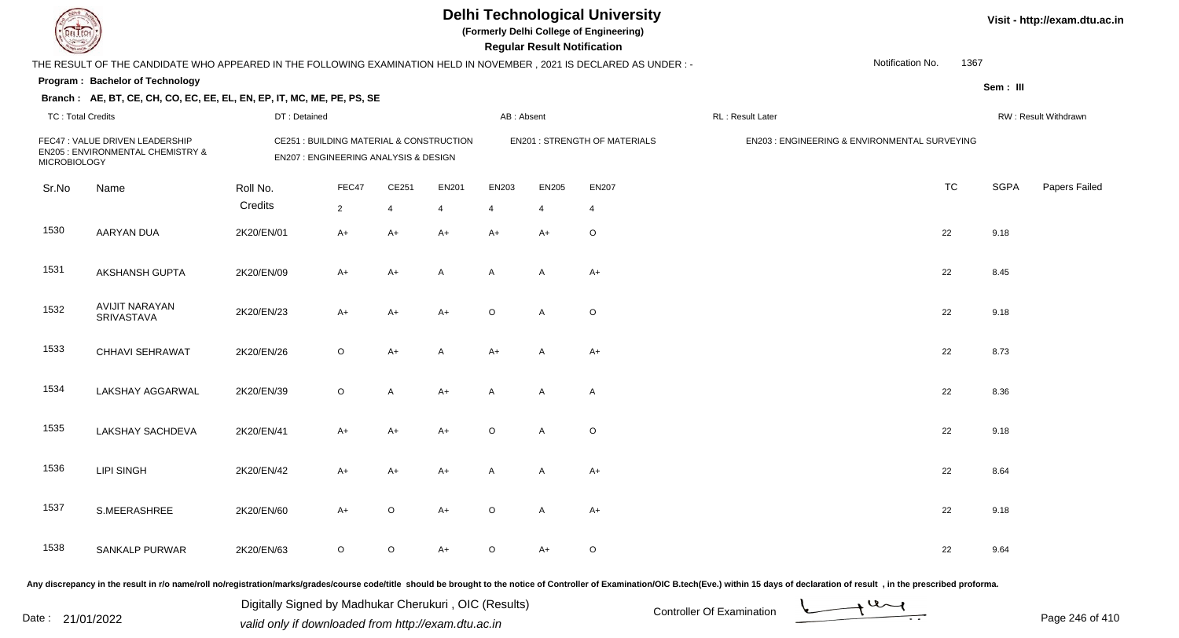**(Formerly Delhi College of Engineering)**

**Regular Regular Results Notification** 

| <b>County</b>            |                                                                                                                     |              |                                                                                             |         |                |            | <b>Regular Result Notification</b> |                                      |                  |                                               |             |                      |
|--------------------------|---------------------------------------------------------------------------------------------------------------------|--------------|---------------------------------------------------------------------------------------------|---------|----------------|------------|------------------------------------|--------------------------------------|------------------|-----------------------------------------------|-------------|----------------------|
|                          | THE RESULT OF THE CANDIDATE WHO APPEARED IN THE FOLLOWING EXAMINATION HELD IN NOVEMBER, 2021 IS DECLARED AS UNDER:- |              |                                                                                             |         |                |            |                                    |                                      |                  | Notification No.<br>1367                      |             |                      |
|                          | Program: Bachelor of Technology                                                                                     |              |                                                                                             |         |                |            |                                    |                                      |                  |                                               | Sem: III    |                      |
|                          | Branch: AE, BT, CE, CH, CO, EC, EE, EL, EN, EP, IT, MC, ME, PE, PS, SE                                              |              |                                                                                             |         |                |            |                                    |                                      |                  |                                               |             |                      |
| <b>TC: Total Credits</b> |                                                                                                                     | DT: Detained |                                                                                             |         |                | AB: Absent |                                    |                                      | RL: Result Later |                                               |             | RW: Result Withdrawn |
| <b>MICROBIOLOGY</b>      | FEC47 : VALUE DRIVEN LEADERSHIP<br>EN205 : ENVIRONMENTAL CHEMISTRY &                                                |              | <b>CE251: BUILDING MATERIAL &amp; CONSTRUCTION</b><br>EN207 : ENGINEERING ANALYSIS & DESIGN |         |                |            |                                    | <b>EN201 : STRENGTH OF MATERIALS</b> |                  | EN203 : ENGINEERING & ENVIRONMENTAL SURVEYING |             |                      |
| Sr.No                    | Name                                                                                                                | Roll No.     | FEC47                                                                                       | CE251   | <b>EN201</b>   | EN203      | <b>EN205</b>                       | <b>EN207</b>                         |                  | <b>TC</b>                                     | <b>SGPA</b> | Papers Failed        |
|                          |                                                                                                                     | Credits      | $\overline{2}$                                                                              | 4       | $\overline{4}$ | 4          | $\overline{4}$                     | $\overline{4}$                       |                  |                                               |             |                      |
| 1530                     | <b>AARYAN DUA</b>                                                                                                   | 2K20/EN/01   | $A+$                                                                                        | $A+$    | $A+$           | $A+$       | $A+$                               | $\circ$                              |                  | 22                                            | 9.18        |                      |
| 1531                     | <b>AKSHANSH GUPTA</b>                                                                                               | 2K20/EN/09   | $A+$                                                                                        | $A+$    | A              | Α          | Α                                  | $A+$                                 |                  | 22                                            | 8.45        |                      |
| 1532                     | <b>AVIJIT NARAYAN</b><br><b>SRIVASTAVA</b>                                                                          | 2K20/EN/23   | $A+$                                                                                        | $A+$    | $A+$           | $\circ$    | A                                  | $\circ$                              |                  | 22                                            | 9.18        |                      |
| 1533                     | CHHAVI SEHRAWAT                                                                                                     | 2K20/EN/26   | $\circ$                                                                                     | $A+$    | A              | $A+$       | $\overline{A}$                     | $A+$                                 |                  | 22                                            | 8.73        |                      |
| 1534                     | LAKSHAY AGGARWAL                                                                                                    | 2K20/EN/39   | $\circ$                                                                                     | A       | $A+$           | A          | A                                  | $\mathsf{A}$                         |                  | 22                                            | 8.36        |                      |
| 1535                     | <b>LAKSHAY SACHDEVA</b>                                                                                             | 2K20/EN/41   | $A+$                                                                                        | $A+$    | $A+$           | $\circ$    | A                                  | $\circ$                              |                  | 22                                            | 9.18        |                      |
| 1536                     | <b>LIPI SINGH</b>                                                                                                   | 2K20/EN/42   | $A+$                                                                                        | $A+$    | $A+$           | Α          | A                                  | $A+$                                 |                  | 22                                            | 8.64        |                      |
| 1537                     | S.MEERASHREE                                                                                                        | 2K20/EN/60   | $A+$                                                                                        | O       | $A+$           | $\circ$    | A                                  | $A+$                                 |                  | 22                                            | 9.18        |                      |
| 1538                     | <b>SANKALP PURWAR</b>                                                                                               | 2K20/EN/63   | $\circ$                                                                                     | $\circ$ | A+             | $\circ$    | A+                                 | $\circ$                              |                  | 22                                            | 9.64        |                      |
|                          |                                                                                                                     |              |                                                                                             |         |                |            |                                    |                                      |                  |                                               |             |                      |

Any discrepancy in the result in r/o name/roll no/registration/marks/grades/course code/title should be brought to the notice of Controller of Examination/OIC B.tech(Eve.) within 15 days of declaration of result, in the pr

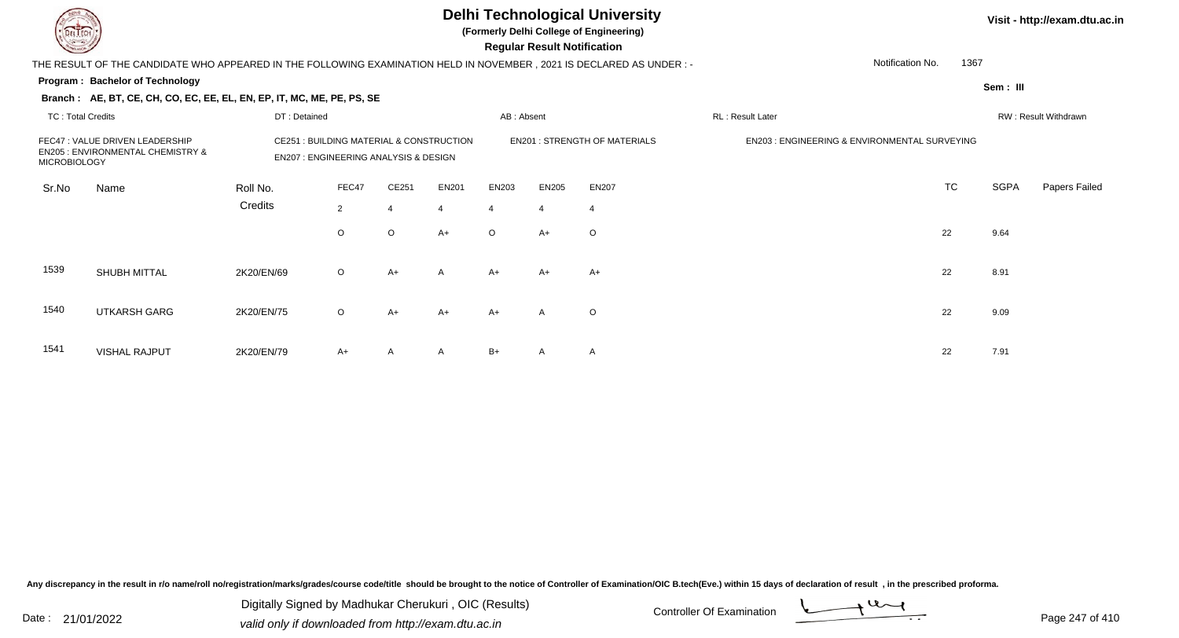**(Formerly Delhi College of Engineering)**

 **Regular Result Notification**

| <b>Course Lines</b>      |                                                                                                                        |                                                                                             |                |         |                |                | Regular Result Notification |                                      |                                               |                  |             |                      |
|--------------------------|------------------------------------------------------------------------------------------------------------------------|---------------------------------------------------------------------------------------------|----------------|---------|----------------|----------------|-----------------------------|--------------------------------------|-----------------------------------------------|------------------|-------------|----------------------|
|                          | THE RESULT OF THE CANDIDATE WHO APPEARED IN THE FOLLOWING EXAMINATION HELD IN NOVEMBER , 2021 IS DECLARED AS UNDER : - |                                                                                             |                |         |                |                |                             |                                      |                                               | Notification No. | 1367        |                      |
|                          | Program: Bachelor of Technology                                                                                        |                                                                                             |                |         |                |                |                             |                                      |                                               |                  | Sem: III    |                      |
|                          | Branch: AE, BT, CE, CH, CO, EC, EE, EL, EN, EP, IT, MC, ME, PE, PS, SE                                                 |                                                                                             |                |         |                |                |                             |                                      |                                               |                  |             |                      |
| <b>TC: Total Credits</b> |                                                                                                                        | DT: Detained                                                                                |                |         |                | AB: Absent     |                             |                                      | RL: Result Later                              |                  |             | RW: Result Withdrawn |
| MICROBIOLOGY             | FEC47: VALUE DRIVEN LEADERSHIP<br><b>EN205: ENVIRONMENTAL CHEMISTRY &amp;</b>                                          | CE251 : BUILDING MATERIAL & CONSTRUCTION<br><b>EN207: ENGINEERING ANALYSIS &amp; DESIGN</b> |                |         |                |                |                             | <b>EN201 : STRENGTH OF MATERIALS</b> | EN203 : ENGINEERING & ENVIRONMENTAL SURVEYING |                  |             |                      |
| Sr.No                    | Name                                                                                                                   | Roll No.                                                                                    | FEC47          | CE251   | EN201          | EN203          | EN205                       | <b>EN207</b>                         |                                               | <b>TC</b>        | <b>SGPA</b> | <b>Papers Failed</b> |
|                          |                                                                                                                        | Credits                                                                                     | $\overline{2}$ |         | $\overline{4}$ | $\overline{4}$ | $\overline{4}$              | 4                                    |                                               |                  |             |                      |
|                          |                                                                                                                        |                                                                                             | $\circ$        | $\circ$ | $A+$           | $\circ$        | $A+$                        | $\circ$                              |                                               | 22               | 9.64        |                      |
| 1539                     | SHUBH MITTAL                                                                                                           | 2K20/EN/69                                                                                  | $\circ$        | $A+$    | $\mathsf{A}$   | $A+$           | $A+$                        | $A+$                                 |                                               | 22               | 8.91        |                      |
| 1540                     | <b>UTKARSH GARG</b>                                                                                                    | 2K20/EN/75                                                                                  | $\circ$        | A+      | $A+$           | $A+$           | A                           | $\circ$                              |                                               | 22               | 9.09        |                      |
| 1541                     | <b>VISHAL RAJPUT</b>                                                                                                   | 2K20/EN/79                                                                                  | $A+$           | A       | $\mathsf{A}$   | $B+$           | A                           | A                                    |                                               | 22               | 7.91        |                      |

Any discrepancy in the result in r/o name/roll no/registration/marks/grades/course code/title should be brought to the notice of Controller of Examination/OIC B.tech(Eve.) within 15 days of declaration of result, in the pr

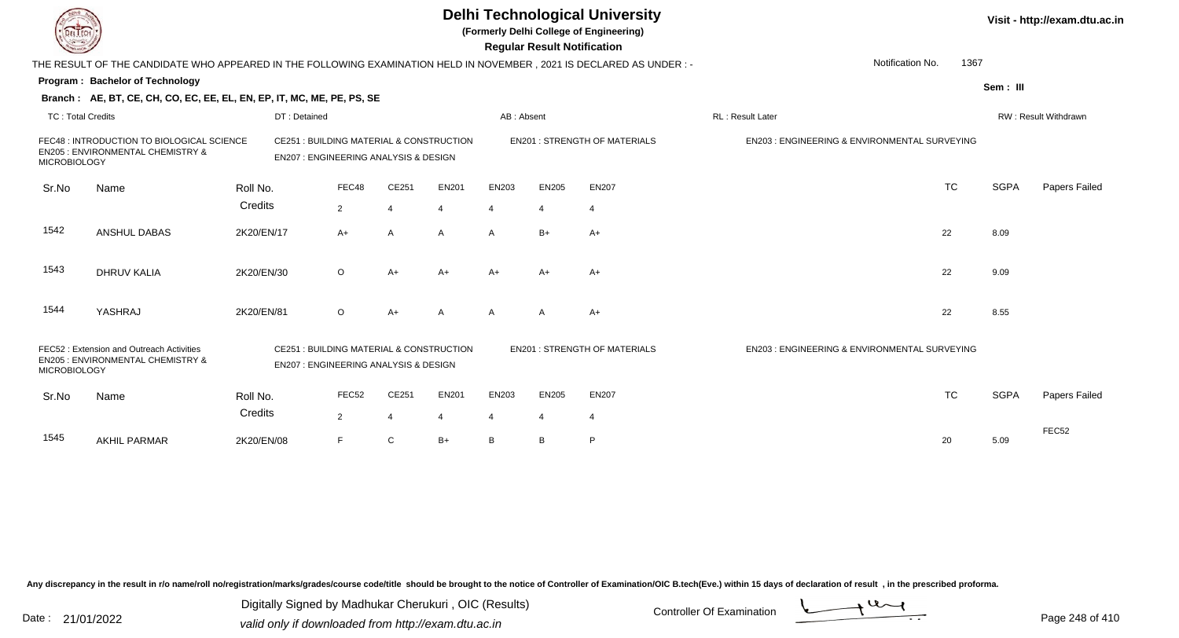|                          |                                                                                                                      |            |                                                                                             |                |                |                |              | <b>Regular Result Notification</b> | <b>Delhi Technological University</b><br>(Formerly Delhi College of Engineering) |                                                         |           |             | Visit - http://exam.dtu.ac.in |
|--------------------------|----------------------------------------------------------------------------------------------------------------------|------------|---------------------------------------------------------------------------------------------|----------------|----------------|----------------|--------------|------------------------------------|----------------------------------------------------------------------------------|---------------------------------------------------------|-----------|-------------|-------------------------------|
|                          | THE RESULT OF THE CANDIDATE WHO APPEARED IN THE FOLLOWING EXAMINATION HELD IN NOVEMBER, 2021 IS DECLARED AS UNDER :- |            |                                                                                             |                |                |                |              |                                    |                                                                                  | Notification No.                                        | 1367      |             |                               |
|                          | <b>Program: Bachelor of Technology</b>                                                                               |            |                                                                                             |                |                |                |              |                                    |                                                                                  |                                                         |           | Sem: III    |                               |
|                          | Branch: AE, BT, CE, CH, CO, EC, EE, EL, EN, EP, IT, MC, ME, PE, PS, SE                                               |            |                                                                                             |                |                |                |              |                                    |                                                                                  |                                                         |           |             |                               |
| <b>TC: Total Credits</b> |                                                                                                                      |            | DT: Detained                                                                                |                |                |                | AB: Absent   |                                    |                                                                                  | RL: Result Later                                        |           |             | RW: Result Withdrawn          |
| <b>MICROBIOLOGY</b>      | FEC48 : INTRODUCTION TO BIOLOGICAL SCIENCE<br>EN205 : ENVIRONMENTAL CHEMISTRY &                                      |            | CE251 : BUILDING MATERIAL & CONSTRUCTION<br><b>EN207: ENGINEERING ANALYSIS &amp; DESIGN</b> |                |                |                |              |                                    | <b>EN201 : STRENGTH OF MATERIALS</b>                                             | EN203 : ENGINEERING & ENVIRONMENTAL SURVEYING           |           |             |                               |
| Sr.No                    | Name                                                                                                                 | Roll No.   |                                                                                             | FEC48          | CE251          | <b>EN201</b>   | EN203        | <b>EN205</b>                       | <b>EN207</b>                                                                     |                                                         | <b>TC</b> | <b>SGPA</b> | Papers Failed                 |
|                          |                                                                                                                      | Credits    |                                                                                             | $\overline{2}$ | 4              | 4              | 4            | 4                                  | $\overline{4}$                                                                   |                                                         |           |             |                               |
| 1542                     | ANSHUL DABAS                                                                                                         | 2K20/EN/17 |                                                                                             | $A+$           | A              | A              | $\mathsf{A}$ | $B+$                               | $A+$                                                                             |                                                         | 22        | 8.09        |                               |
| 1543                     | <b>DHRUV KALIA</b>                                                                                                   | 2K20/EN/30 |                                                                                             | O              | $A+$           | $A+$           | $A+$         | $A+$                               | $A+$                                                                             |                                                         | 22        | 9.09        |                               |
| 1544                     | YASHRAJ                                                                                                              | 2K20/EN/81 |                                                                                             | $\circ$        | $A+$           | A              | A            | A                                  | $A+$                                                                             |                                                         | 22        | 8.55        |                               |
| <b>MICROBIOLOGY</b>      | FEC52: Extension and Outreach Activities<br>EN205 : ENVIRONMENTAL CHEMISTRY &                                        |            | CE251 : BUILDING MATERIAL & CONSTRUCTION<br><b>EN207: ENGINEERING ANALYSIS &amp; DESIGN</b> |                |                |                |              |                                    | <b>EN201: STRENGTH OF MATERIALS</b>                                              | <b>EN203: ENGINEERING &amp; ENVIRONMENTAL SURVEYING</b> |           |             |                               |
| Sr.No                    | Name                                                                                                                 | Roll No.   |                                                                                             | FEC52          | CE251          | <b>EN201</b>   | EN203        | <b>EN205</b>                       | <b>EN207</b>                                                                     |                                                         | <b>TC</b> | <b>SGPA</b> | Papers Failed                 |
|                          |                                                                                                                      | Credits    |                                                                                             | $\overline{2}$ | $\overline{4}$ | $\overline{4}$ | 4            | 4                                  | $\overline{4}$                                                                   |                                                         |           |             |                               |
| 1545                     | <b>AKHIL PARMAR</b>                                                                                                  | 2K20/EN/08 |                                                                                             | F              | C              | $B+$           | B            | B                                  | P                                                                                |                                                         | 20        | 5.09        | FEC52                         |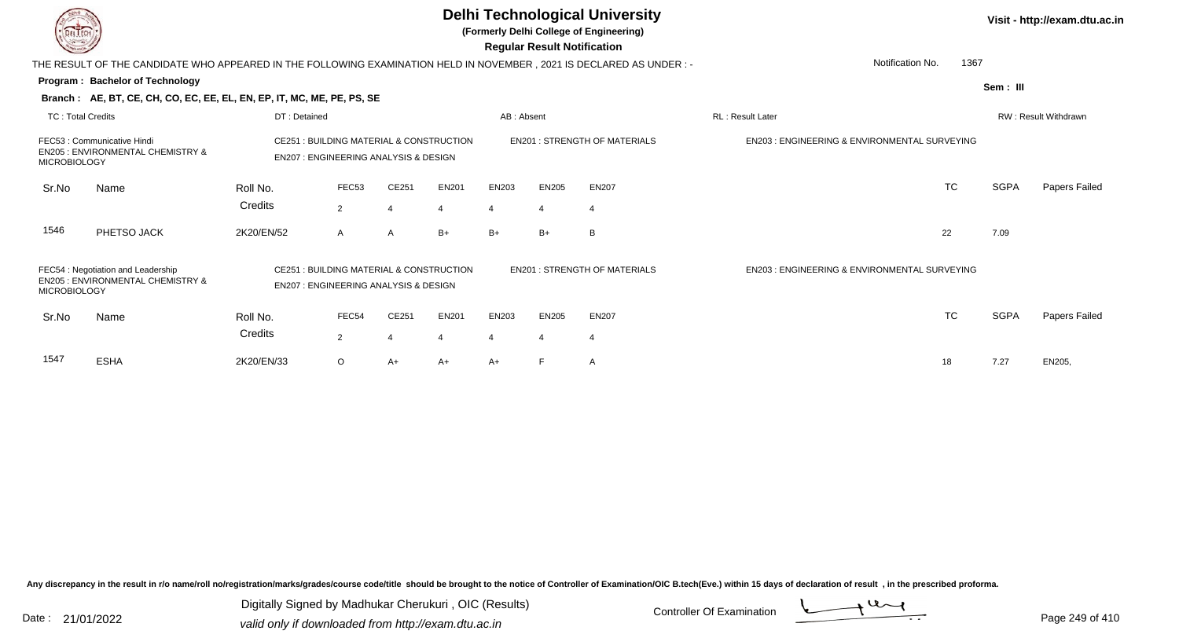| <b>Delhi Technological University</b><br>(Formerly Delhi College of Engineering)<br><b>Regular Result Notification</b> |                                                                                                                       |                                                                                             |                                                                                                                                     |                |              |                |                                               |                                      |                                               | Visit - http://exam.dtu.ac.in |                      |                      |  |
|------------------------------------------------------------------------------------------------------------------------|-----------------------------------------------------------------------------------------------------------------------|---------------------------------------------------------------------------------------------|-------------------------------------------------------------------------------------------------------------------------------------|----------------|--------------|----------------|-----------------------------------------------|--------------------------------------|-----------------------------------------------|-------------------------------|----------------------|----------------------|--|
|                                                                                                                        | THE RESULT OF THE CANDIDATE WHO APPEARED IN THE FOLLOWING EXAMINATION HELD IN NOVEMBER , 2021 IS DECLARED AS UNDER :- |                                                                                             |                                                                                                                                     |                |              |                |                                               |                                      |                                               | 1367<br>Notification No.      |                      |                      |  |
|                                                                                                                        | Program: Bachelor of Technology                                                                                       |                                                                                             |                                                                                                                                     |                |              |                |                                               |                                      |                                               |                               | Sem: III             |                      |  |
|                                                                                                                        | Branch: AE, BT, CE, CH, CO, EC, EE, EL, EN, EP, IT, MC, ME, PE, PS, SE                                                |                                                                                             |                                                                                                                                     |                |              |                |                                               |                                      |                                               |                               |                      |                      |  |
| <b>TC: Total Credits</b>                                                                                               |                                                                                                                       | DT: Detained                                                                                |                                                                                                                                     |                | AB: Absent   |                |                                               | RL: Result Later                     |                                               |                               | RW: Result Withdrawn |                      |  |
| FEC53: Communicative Hindi<br>EN205 : ENVIRONMENTAL CHEMISTRY &<br><b>MICROBIOLOGY</b>                                 |                                                                                                                       |                                                                                             | CE251 : BUILDING MATERIAL & CONSTRUCTION<br><b>EN201 : STRENGTH OF MATERIALS</b><br><b>EN207: ENGINEERING ANALYSIS &amp; DESIGN</b> |                |              |                | EN203 : ENGINEERING & ENVIRONMENTAL SURVEYING |                                      |                                               |                               |                      |                      |  |
| Sr.No                                                                                                                  | Name                                                                                                                  | Roll No.                                                                                    | FEC53                                                                                                                               | CE251          | <b>EN201</b> | EN203          | <b>EN205</b>                                  | <b>EN207</b>                         |                                               | <b>TC</b>                     | <b>SGPA</b>          | <b>Papers Failed</b> |  |
|                                                                                                                        |                                                                                                                       | Credits                                                                                     | $\overline{2}$                                                                                                                      |                | 4            | $\overline{4}$ | $\overline{4}$                                | $\overline{4}$                       |                                               |                               |                      |                      |  |
| 1546                                                                                                                   | PHETSO JACK                                                                                                           | 2K20/EN/52                                                                                  | $\mathsf{A}$                                                                                                                        | $\overline{A}$ | $B+$         | $B+$           | $B+$                                          | B                                    |                                               | 22                            | 7.09                 |                      |  |
| FEC54 : Negotiation and Leadership<br>EN205 : ENVIRONMENTAL CHEMISTRY &<br><b>MICROBIOLOGY</b>                         |                                                                                                                       | CE251 : BUILDING MATERIAL & CONSTRUCTION<br><b>EN207: ENGINEERING ANALYSIS &amp; DESIGN</b> |                                                                                                                                     |                |              |                |                                               | <b>EN201 : STRENGTH OF MATERIALS</b> | EN203 : ENGINEERING & ENVIRONMENTAL SURVEYING |                               |                      |                      |  |
| Sr.No                                                                                                                  | Name                                                                                                                  | Roll No.                                                                                    | FEC54                                                                                                                               | CE251          | <b>EN201</b> | EN203          | <b>EN205</b>                                  | <b>EN207</b>                         |                                               | <b>TC</b>                     | <b>SGPA</b>          | Papers Failed        |  |
|                                                                                                                        |                                                                                                                       | Credits                                                                                     | $\overline{2}$                                                                                                                      |                |              | $\overline{4}$ | 4                                             | $\overline{4}$                       |                                               |                               |                      |                      |  |
| 1547                                                                                                                   | <b>ESHA</b>                                                                                                           | 2K20/EN/33                                                                                  | $\circ$                                                                                                                             | A+             | $A+$         | $A+$           |                                               | A                                    |                                               | 18                            | 7.27                 | EN205,               |  |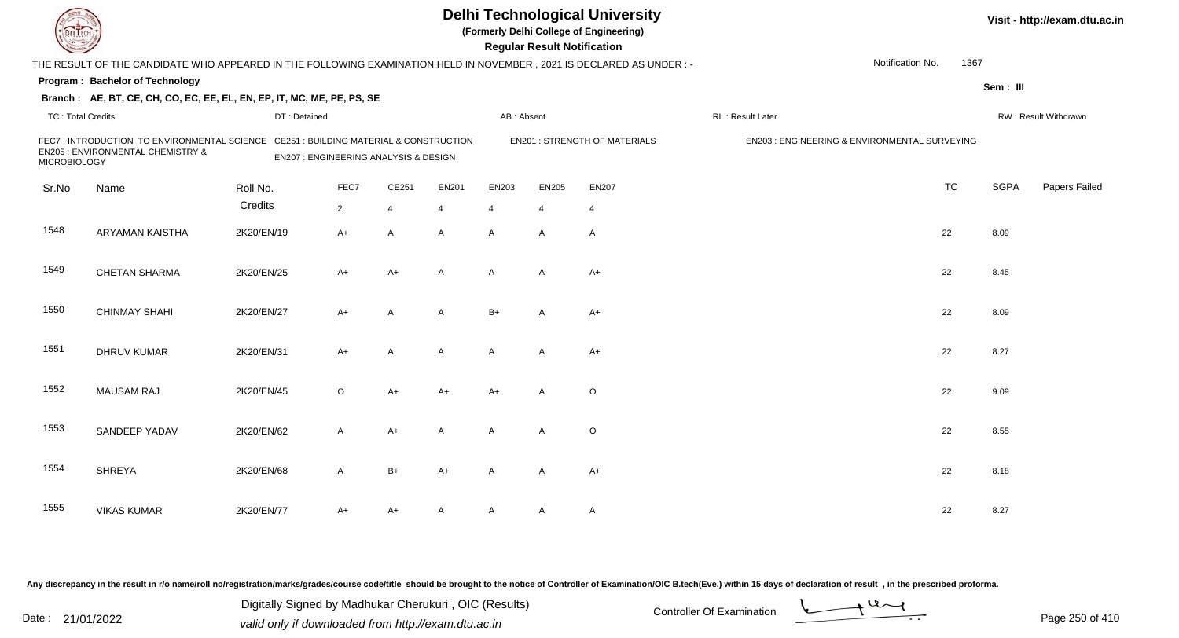| DEL ECH                                                                                                 |                                                                                                                      |                                                                                   |             |                |                                     | <b>Delhi Technological University</b><br>(Formerly Delhi College of Engineering)<br><b>Regular Result Notification</b> | Visit - http://exam.dtu.ac.in |                |                   |                                               |           |             |                      |
|---------------------------------------------------------------------------------------------------------|----------------------------------------------------------------------------------------------------------------------|-----------------------------------------------------------------------------------|-------------|----------------|-------------------------------------|------------------------------------------------------------------------------------------------------------------------|-------------------------------|----------------|-------------------|-----------------------------------------------|-----------|-------------|----------------------|
|                                                                                                         | THE RESULT OF THE CANDIDATE WHO APPEARED IN THE FOLLOWING EXAMINATION HELD IN NOVEMBER, 2021 IS DECLARED AS UNDER :- |                                                                                   |             |                |                                     |                                                                                                                        |                               |                |                   | Notification No.                              | 1367      |             |                      |
|                                                                                                         | Program: Bachelor of Technology                                                                                      |                                                                                   |             |                |                                     |                                                                                                                        |                               |                |                   |                                               |           | Sem: III    |                      |
|                                                                                                         | Branch: AE, BT, CE, CH, CO, EC, EE, EL, EN, EP, IT, MC, ME, PE, PS, SE                                               |                                                                                   |             |                |                                     |                                                                                                                        |                               |                |                   |                                               |           |             |                      |
| <b>TC: Total Credits</b>                                                                                |                                                                                                                      | DT: Detained                                                                      |             |                |                                     | AB: Absent                                                                                                             |                               |                | RL : Result Later |                                               |           |             | RW: Result Withdrawn |
| FEC7: INTRODUCTION TO ENVIRONMENTAL SCIENCE<br>EN205 : ENVIRONMENTAL CHEMISTRY &<br><b>MICROBIOLOGY</b> |                                                                                                                      | CE251 : BUILDING MATERIAL & CONSTRUCTION<br>EN207 : ENGINEERING ANALYSIS & DESIGN |             |                | <b>EN201: STRENGTH OF MATERIALS</b> |                                                                                                                        |                               |                |                   | EN203 : ENGINEERING & ENVIRONMENTAL SURVEYING |           |             |                      |
| Sr.No                                                                                                   | Name                                                                                                                 | Roll No.                                                                          | FEC7        | CE251          | <b>EN201</b>                        | EN203                                                                                                                  | <b>EN205</b>                  | <b>EN207</b>   |                   |                                               | <b>TC</b> | <b>SGPA</b> | Papers Failed        |
|                                                                                                         |                                                                                                                      | Credits                                                                           | $2^{\circ}$ | $\overline{4}$ | 4                                   | 4                                                                                                                      | $\overline{4}$                | $\overline{4}$ |                   |                                               |           |             |                      |
| 1548                                                                                                    | ARYAMAN KAISTHA                                                                                                      | 2K20/EN/19                                                                        | $A+$        | $\overline{A}$ | A                                   | $\overline{A}$                                                                                                         | $\mathsf{A}$                  | $\overline{A}$ |                   |                                               | 22        | 8.09        |                      |
| 1549                                                                                                    | <b>CHETAN SHARMA</b>                                                                                                 | 2K20/EN/25                                                                        | $A+$        | $A+$           | $\mathsf{A}$                        | $\mathsf{A}$                                                                                                           | $\mathsf{A}$                  | $A+$           |                   |                                               | 22        | 8.45        |                      |
| 1550                                                                                                    | <b>CHINMAY SHAHI</b>                                                                                                 | 2K20/EN/27                                                                        | $A+$        | $\mathsf{A}$   | $\mathsf{A}$                        | $B+$                                                                                                                   | A                             | $A+$           |                   |                                               | 22        | 8.09        |                      |
| 1551                                                                                                    | <b>DHRUV KUMAR</b>                                                                                                   | 2K20/EN/31                                                                        | $A+$        | A              | A                                   | A                                                                                                                      | $\mathsf{A}$                  | $A+$           |                   |                                               | 22        | 8.27        |                      |
| 1552                                                                                                    | <b>MAUSAM RAJ</b>                                                                                                    | 2K20/EN/45                                                                        | $\circ$     | $A+$           | $A+$                                | $A+$                                                                                                                   | $\mathsf{A}$                  | $\circ$        |                   |                                               | 22        | 9.09        |                      |
| 1553                                                                                                    | SANDEEP YADAV                                                                                                        | 2K20/EN/62                                                                        | A           | $A+$           | A                                   | A                                                                                                                      | A                             | $\circ$        |                   |                                               | 22        | 8.55        |                      |
| 1554                                                                                                    | <b>SHREYA</b>                                                                                                        | 2K20/EN/68                                                                        | A           | $B+$           | $A+$                                | A                                                                                                                      | A                             | $A+$           |                   |                                               | 22        | 8.18        |                      |
| 1555                                                                                                    | <b>VIKAS KUMAR</b>                                                                                                   | 2K20/EN/77                                                                        | A+          | A+             | A                                   | A                                                                                                                      | A                             | $\mathsf{A}$   |                   |                                               | 22        | 8.27        |                      |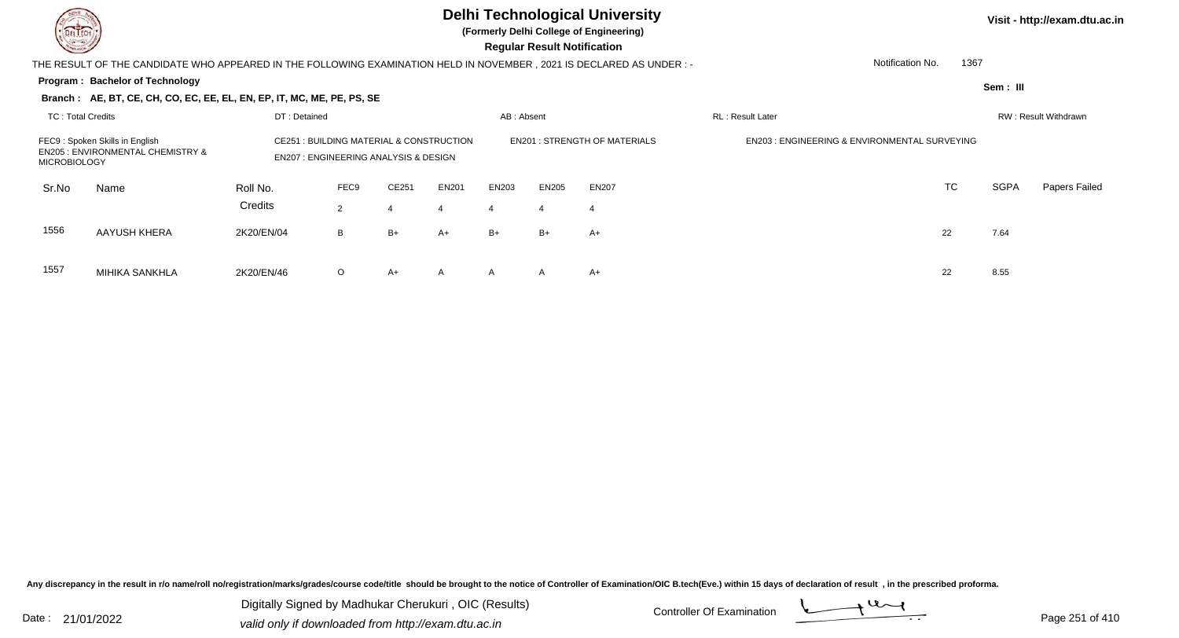MIHIKA SANKHLA

# **Delhi Technological University**

**(Formerly Delhi College of Engineering)**

 **Regular Result Notification**

|                                                                                                       | THE RESULT OF THE CANDIDATE WHO APPEARED IN THE FOLLOWING EXAMINATION HELD IN NOVEMBER, 2021 IS DECLARED AS UNDER:- |                     |                                                 |                                                                                           |                   |            |              |                                                         |                          | Notification No. | 1367 |                      |                      |  |
|-------------------------------------------------------------------------------------------------------|---------------------------------------------------------------------------------------------------------------------|---------------------|-------------------------------------------------|-------------------------------------------------------------------------------------------|-------------------|------------|--------------|---------------------------------------------------------|--------------------------|------------------|------|----------------------|----------------------|--|
|                                                                                                       | <b>Program: Bachelor of Technology</b>                                                                              |                     |                                                 |                                                                                           |                   |            |              |                                                         |                          |                  |      | Sem: III             |                      |  |
|                                                                                                       | Branch: AE, BT, CE, CH, CO, EC, EE, EL, EN, EP, IT, MC, ME, PE, PS, SE                                              |                     |                                                 |                                                                                           |                   |            |              |                                                         |                          |                  |      |                      |                      |  |
| <b>TC: Total Credits</b><br>DT: Detained                                                              |                                                                                                                     |                     |                                                 |                                                                                           |                   | AB: Absent |              |                                                         | <b>RL</b> : Result Later |                  |      | RW: Result Withdrawn |                      |  |
| FEC9: Spoken Skills in English<br><b>EN205 : ENVIRONMENTAL CHEMISTRY &amp;</b><br><b>MICROBIOLOGY</b> |                                                                                                                     |                     | <b>EN207: ENGINEERING ANALYSIS &amp; DESIGN</b> | <b>CE251: BUILDING MATERIAL &amp; CONSTRUCTION</b><br><b>EN201: STRENGTH OF MATERIALS</b> |                   |            |              | <b>EN203: ENGINEERING &amp; ENVIRONMENTAL SURVEYING</b> |                          |                  |      |                      |                      |  |
| Sr.No                                                                                                 | Name                                                                                                                | Roll No.<br>Credits | FEC9<br>$\overline{2}$                          | CE251                                                                                     | <b>EN201</b><br>4 | EN203      | <b>EN205</b> | EN207                                                   |                          |                  | TC   | <b>SGPA</b>          | <b>Papers Failed</b> |  |
| 1556                                                                                                  | AAYUSH KHERA                                                                                                        | 2K20/EN/04          | B                                               | B+                                                                                        | A+                | $B+$       | $B+$         | $A+$                                                    |                          | 22               |      | 7.64                 |                      |  |
| 1557                                                                                                  | MIHIKA SANKHI A                                                                                                     | 2K20/FN/46          | $\Omega$                                        | $A+$                                                                                      | A                 | A          |              | $A+$                                                    |                          | 22               |      | 8.55                 |                      |  |

A 2K20/EN/46 O A+ A A A A A+

Any discrepancy in the result in r/o name/roll no/registration/marks/grades/course code/title should be brought to the notice of Controller of Examination/OIC B.tech(Eve.) within 15 days of declaration of result, in the pr

Date : 21/01/2022 Digital Digital of Microsofted Chemical Controller Of Examination Determination Page 251 of 41 Digitally Signed by Madhukar Cherukuri , OIC (Results)

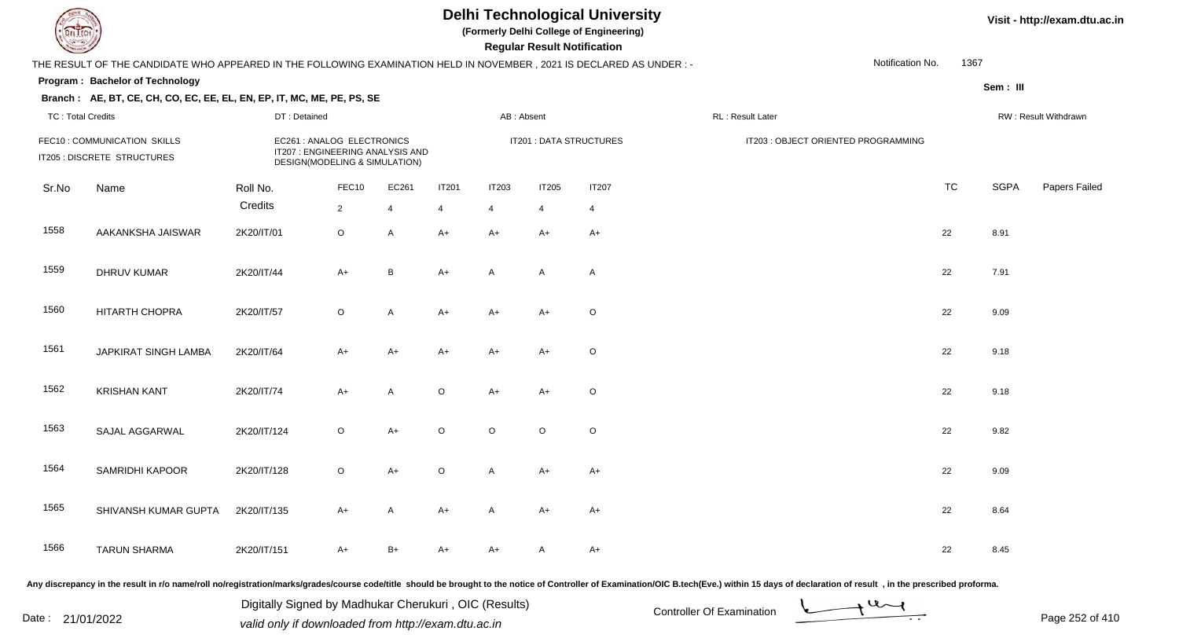**(Formerly Delhi College of Engineering)**

 **Regular Result Notification**

| THE RESULT OF THE CANDIDATE WHO APPEARED IN THE FOLLOWING EXAMINATION HELD IN NOVEMBER, 2021 IS DECLARED AS UNDER :- |                                                                        |                                                                                                 |                         |                         |                                |                                |                                |                                |  |                                     | Notification No. | 1367      |                      |               |  |  |
|----------------------------------------------------------------------------------------------------------------------|------------------------------------------------------------------------|-------------------------------------------------------------------------------------------------|-------------------------|-------------------------|--------------------------------|--------------------------------|--------------------------------|--------------------------------|--|-------------------------------------|------------------|-----------|----------------------|---------------|--|--|
|                                                                                                                      | Program: Bachelor of Technology                                        |                                                                                                 |                         |                         |                                |                                |                                |                                |  |                                     |                  |           | Sem: III             |               |  |  |
| <b>TC: Total Credits</b>                                                                                             | Branch: AE, BT, CE, CH, CO, EC, EE, EL, EN, EP, IT, MC, ME, PE, PS, SE | DT: Detained                                                                                    |                         |                         |                                | AB: Absent                     |                                |                                |  | RL: Result Later                    |                  |           | RW: Result Withdrawn |               |  |  |
| FEC10 : COMMUNICATION SKILLS<br>IT205 : DISCRETE STRUCTURES                                                          |                                                                        | EC261 : ANALOG ELECTRONICS<br>IT207 : ENGINEERING ANALYSIS AND<br>DESIGN(MODELING & SIMULATION) |                         |                         |                                |                                |                                | IT201 : DATA STRUCTURES        |  | IT203 : OBJECT ORIENTED PROGRAMMING |                  |           |                      |               |  |  |
| Sr.No                                                                                                                | Name                                                                   | Roll No.<br>Credits                                                                             | FEC10<br>$\overline{2}$ | EC261<br>$\overline{4}$ | <b>IT201</b><br>$\overline{4}$ | <b>IT203</b><br>$\overline{4}$ | <b>IT205</b><br>$\overline{4}$ | <b>IT207</b><br>$\overline{4}$ |  |                                     |                  | <b>TC</b> | <b>SGPA</b>          | Papers Failed |  |  |
| 1558                                                                                                                 | AAKANKSHA JAISWAR                                                      | 2K20/IT/01                                                                                      | $\circ$                 | A                       | $A+$                           | $A+$                           | $A+$                           | $A+$                           |  |                                     |                  | 22        | 8.91                 |               |  |  |
| 1559                                                                                                                 | DHRUV KUMAR                                                            | 2K20/IT/44                                                                                      | $A+$                    | $\mathsf B$             | $A+$                           | A                              | A                              | A                              |  |                                     |                  | 22        | 7.91                 |               |  |  |
| 1560                                                                                                                 | <b>HITARTH CHOPRA</b>                                                  | 2K20/IT/57                                                                                      | $\circ$                 | $\mathsf{A}$            | $A+$                           | $A+$                           | $A+$                           | $\mathsf O$                    |  |                                     |                  | 22        | 9.09                 |               |  |  |
| 1561                                                                                                                 | JAPKIRAT SINGH LAMBA                                                   | 2K20/IT/64                                                                                      | $A+$                    | $A+$                    | $A+$                           | $A+$                           | $A+$                           | $\circ$                        |  |                                     |                  | 22        | 9.18                 |               |  |  |
| 1562                                                                                                                 | <b>KRISHAN KANT</b>                                                    | 2K20/IT/74                                                                                      | $A+$                    | $\overline{A}$          | $\circ$                        | $A+$                           | $A+$                           | $\mathsf O$                    |  |                                     |                  | 22        | 9.18                 |               |  |  |
| 1563                                                                                                                 | SAJAL AGGARWAL                                                         | 2K20/IT/124                                                                                     | $\circ$                 | $A+$                    | $\circ$                        | $\circ$                        | $\circ$                        | $\circ$                        |  |                                     |                  | 22        | 9.82                 |               |  |  |
| 1564                                                                                                                 | SAMRIDHI KAPOOR                                                        | 2K20/IT/128                                                                                     | $\circ$                 | $A+$                    | $\circ$                        | $\overline{A}$                 | $A+$                           | $A+$                           |  |                                     |                  | 22        | 9.09                 |               |  |  |
| 1565                                                                                                                 | SHIVANSH KUMAR GUPTA                                                   | 2K20/IT/135                                                                                     | $A+$                    | A                       | $A+$                           | A                              | $A+$                           | $A+$                           |  |                                     |                  | 22        | 8.64                 |               |  |  |
| 1566                                                                                                                 | <b>TARUN SHARMA</b>                                                    | 2K20/IT/151                                                                                     | A+                      | $B+$                    | $A+$                           | $A+$                           | A                              | $A+$                           |  |                                     |                  | 22        | 8.45                 |               |  |  |
|                                                                                                                      |                                                                        |                                                                                                 |                         |                         |                                |                                |                                |                                |  |                                     |                  |           |                      |               |  |  |

Any discrepancy in the result in r/o name/roll no/registration/marks/grades/course code/title should be brought to the notice of Controller of Examination/OIC B.tech(Eve.) within 15 days of declaration of result, in the pr

Date : 21/01/2022 Digital Digital of Microsofted Chemical Controller Of Examination Determination Page 252 of 41 Digitally Signed by Madhukar Cherukuri , OIC (Results)

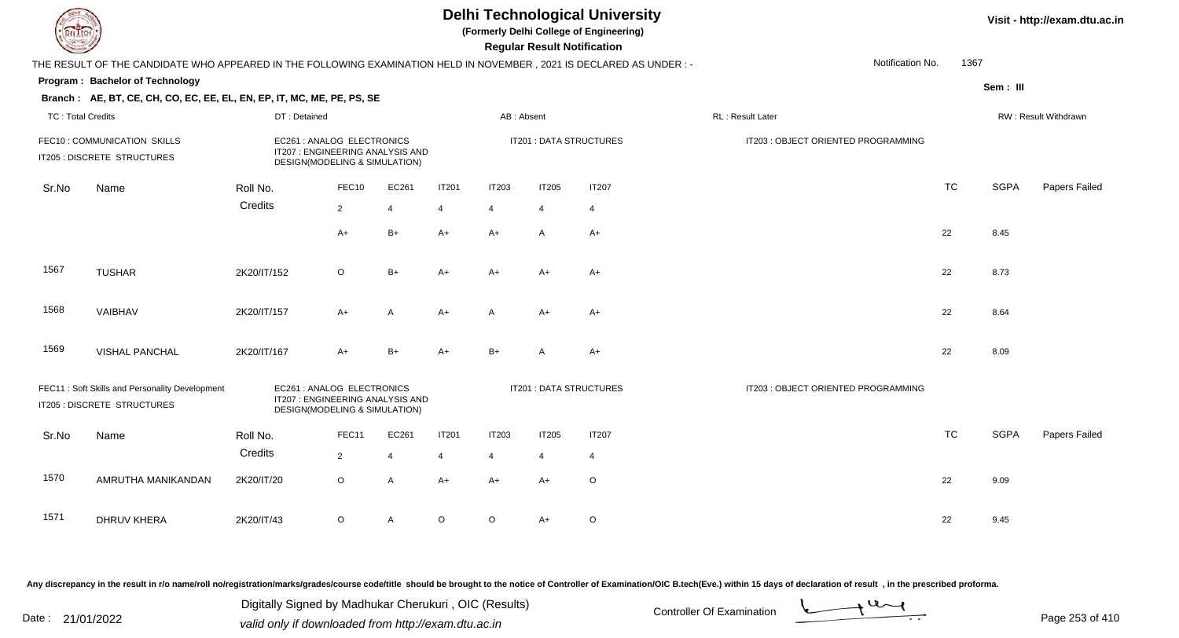**(Formerly Delhi College of Engineering)**

 **Regular Result Notification**

|                          | THE RESULT OF THE CANDIDATE WHO APPEARED IN THE FOLLOWING EXAMINATION HELD IN NOVEMBER, 2021 IS DECLARED AS UNDER :- |              |                                                                                                 |       |              |              |                |                                | Notification No.                    | 1367      |             |                      |
|--------------------------|----------------------------------------------------------------------------------------------------------------------|--------------|-------------------------------------------------------------------------------------------------|-------|--------------|--------------|----------------|--------------------------------|-------------------------------------|-----------|-------------|----------------------|
|                          | Program: Bachelor of Technology                                                                                      |              |                                                                                                 |       |              |              |                |                                |                                     |           | Sem: III    |                      |
|                          | Branch: AE, BT, CE, CH, CO, EC, EE, EL, EN, EP, IT, MC, ME, PE, PS, SE                                               |              |                                                                                                 |       |              |              |                |                                |                                     |           |             |                      |
| <b>TC: Total Credits</b> |                                                                                                                      | DT: Detained |                                                                                                 |       |              | AB: Absent   |                |                                | RL: Result Later                    |           |             | RW: Result Withdrawn |
|                          | FEC10: COMMUNICATION SKILLS<br>IT205 : DISCRETE STRUCTURES                                                           |              | EC261 : ANALOG ELECTRONICS<br>IT207 : ENGINEERING ANALYSIS AND<br>DESIGN(MODELING & SIMULATION) |       |              |              |                | IT201 : DATA STRUCTURES        | IT203 : OBJECT ORIENTED PROGRAMMING |           |             |                      |
| Sr.No                    | Name                                                                                                                 | Roll No.     | FEC10                                                                                           | EC261 | <b>IT201</b> | <b>IT203</b> | <b>IT205</b>   | <b>IT207</b>                   |                                     | <b>TC</b> | <b>SGPA</b> | Papers Failed        |
|                          |                                                                                                                      | Credits      | $\overline{2}$                                                                                  | 4     | 4            | 4            | $\overline{4}$ | $\overline{4}$                 |                                     |           |             |                      |
|                          |                                                                                                                      |              | $A+$                                                                                            | $B+$  | $A+$         | $A+$         | $\mathsf{A}$   | $A+$                           |                                     | 22        | 8.45        |                      |
| 1567                     | <b>TUSHAR</b>                                                                                                        | 2K20/IT/152  | $\circ$                                                                                         | $B+$  | $A+$         | $A+$         | $A+$           | $A+$                           |                                     | 22        | 8.73        |                      |
| 1568                     | VAIBHAV                                                                                                              | 2K20/IT/157  | $A+$                                                                                            | A     | $A+$         | A            | $A+$           | $A+$                           |                                     | 22        | 8.64        |                      |
| 1569                     | <b>VISHAL PANCHAL</b>                                                                                                | 2K20/IT/167  | $A+$                                                                                            | $B+$  | $A+$         | $B+$         | A              | $A+$                           |                                     | 22        | 8.09        |                      |
|                          | FEC11: Soft Skills and Personality Development<br>IT205 : DISCRETE STRUCTURES                                        |              | EC261 : ANALOG ELECTRONICS<br>IT207 : ENGINEERING ANALYSIS AND<br>DESIGN(MODELING & SIMULATION) |       |              |              |                | <b>IT201 : DATA STRUCTURES</b> | IT203 : OBJECT ORIENTED PROGRAMMING |           |             |                      |
| Sr.No                    | Name                                                                                                                 | Roll No.     | FEC11                                                                                           | EC261 | IT201        | <b>IT203</b> | IT205          | <b>IT207</b>                   |                                     | <b>TC</b> | <b>SGPA</b> | Papers Failed        |
|                          |                                                                                                                      | Credits      | $\overline{2}$                                                                                  | 4     | 4            | 4            | 4              | 4                              |                                     |           |             |                      |
| 1570                     | AMRUTHA MANIKANDAN                                                                                                   | 2K20/IT/20   | $\circ$                                                                                         | A     | $A+$         | $A+$         | $A+$           | $\circ$                        |                                     | 22        | 9.09        |                      |
| 1571                     | <b>DHRUV KHERA</b>                                                                                                   | 2K20/IT/43   | O                                                                                               | A     | $\circ$      | O            | $A+$           | O                              |                                     | 22        | 9.45        |                      |

Any discrepancy in the result in r/o name/roll no/registration/marks/grades/course code/title should be brought to the notice of Controller of Examination/OIC B.tech(Eve.) within 15 days of declaration of result, in the pr

Date : 21/01/2022 Digital Digital of Microsofted Chemical Controller Of Examination Determination Page 253 of 41 Digitally Signed by Madhukar Cherukuri , OIC (Results)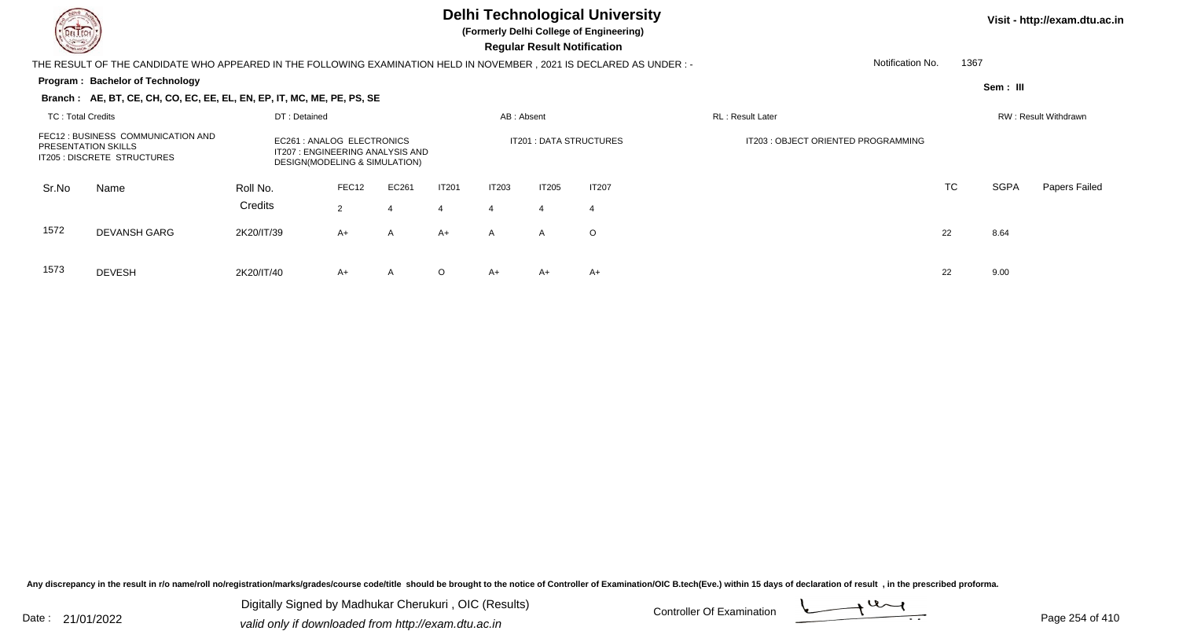

**(Formerly Delhi College of Engineering)**

 **Regular Result Notification**

### THE RESULT OF THE CANDIDATE WHO APPEARED IN THE FOLLOWING EXAMINATION HELD IN NOVEMBER , 2021 IS DECLARED AS UNDER : -

#### **Program : Bachelor of Technology**

Notification No.1367

**Sem : III**

### **Branch : AE, BT, CE, CH, CO, EC, EE, EL, EN, EP, IT, MC, ME, PE, PS, SE**

| TC: Total Credits          |                                                                   | DT: Detained                                                                                    |            |            |                   | AB: Absent        |                         |                    | <b>RL</b> : Result Later            |    |      | RW: Result Withdrawn |
|----------------------------|-------------------------------------------------------------------|-------------------------------------------------------------------------------------------------|------------|------------|-------------------|-------------------|-------------------------|--------------------|-------------------------------------|----|------|----------------------|
| <b>PRESENTATION SKILLS</b> | FEC12 : BUSINESS COMMUNICATION AND<br>IT205 : DISCRETE STRUCTURES | EC261 : ANALOG ELECTRONICS<br>IT207 : ENGINEERING ANALYSIS AND<br>DESIGN(MODELING & SIMULATION) |            |            |                   |                   | IT201 : DATA STRUCTURES |                    | IT203 : OBJECT ORIENTED PROGRAMMING |    |      |                      |
| Sr.No                      | Name                                                              | Roll No.<br>Credits                                                                             | FEC12<br>2 | EC261<br>4 | <b>IT201</b><br>4 | <b>IT203</b><br>4 | IT205                   | <b>IT207</b><br>-4 |                                     | TC | SGPA | Papers Failed        |
| 1572                       | <b>DEVANSH GARG</b>                                               | 2K20/IT/39                                                                                      | $A+$       | A          | $A+$              | $\mathsf{A}$      | A                       | $\circ$            |                                     | 22 | 8.64 |                      |
| 1573                       | <b>DEVESH</b>                                                     | 2K20/IT/40                                                                                      | A+         | A          | $\circ$           | A+                | $A+$                    | $A+$               |                                     | 22 | 9.00 |                      |

Any discrepancy in the result in r/o name/roll no/registration/marks/grades/course code/title should be brought to the notice of Controller of Examination/OIC B.tech(Eve.) within 15 days of declaration of result, in the pr

Date : 21/01/2022 Digital Digital of Microsofted Chemical Controller Of Examination Determination Page 254 of 41 Digitally Signed by Madhukar Cherukuri , OIC (Results)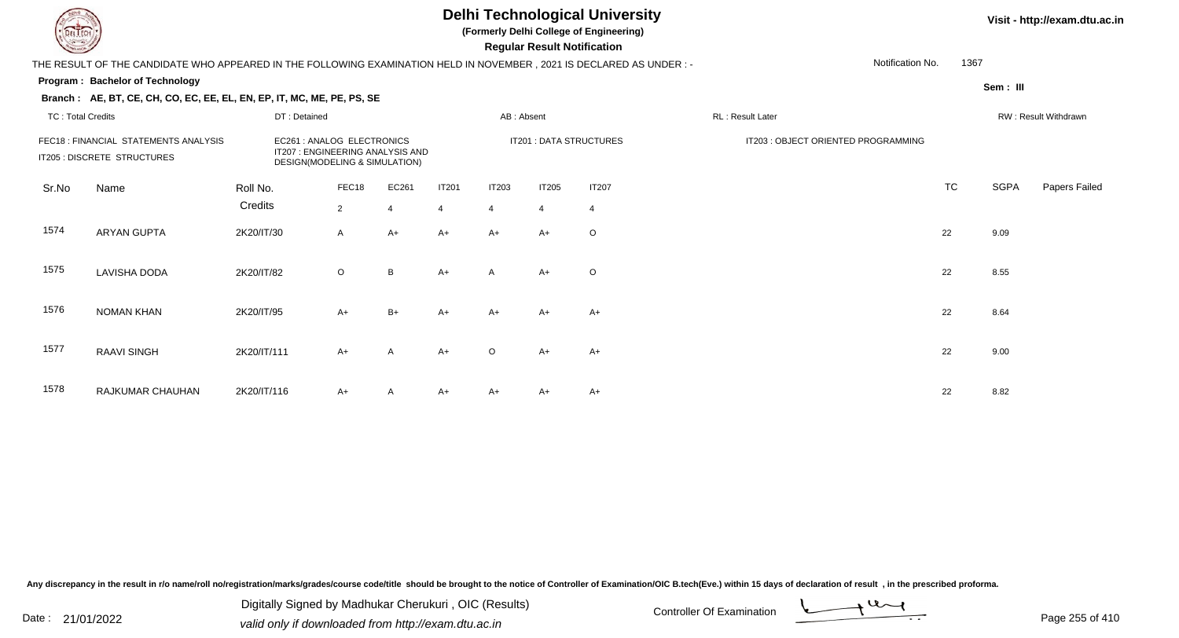**(Formerly Delhi College of Engineering)**

 **Regular Result Notification**

### **Visit - http://exam.dtu.ac.in**

THE RESULT OF THE CANDIDATE WHO APPEARED IN THE FOLLOWING EXAMINATION HELD IN NOVEMBER , 2021 IS DECLARED AS UNDER : -

#### **Program : Bachelor of Technology**

**Branch : AE, BT, CE, CH, CO, EC, EE, EL, EN, EP, IT, MC, ME, PE, PS, SE**

**Sem : III**

1367

Notification No.

| <b>TC: Total Credits</b> |                                                                      | DT: Detained |                                                                                                 |                |                | AB: Absent     |                |                         | RL: Result Later                    |           |      | RW: Result Withdrawn |
|--------------------------|----------------------------------------------------------------------|--------------|-------------------------------------------------------------------------------------------------|----------------|----------------|----------------|----------------|-------------------------|-------------------------------------|-----------|------|----------------------|
|                          | FEC18 : FINANCIAL STATEMENTS ANALYSIS<br>IT205 : DISCRETE STRUCTURES |              | EC261 : ANALOG ELECTRONICS<br>IT207 : ENGINEERING ANALYSIS AND<br>DESIGN(MODELING & SIMULATION) |                |                |                |                | IT201 : DATA STRUCTURES | IT203 : OBJECT ORIENTED PROGRAMMING |           |      |                      |
| Sr.No                    | Name                                                                 | Roll No.     | FEC18                                                                                           | EC261          | <b>IT201</b>   | <b>IT203</b>   | <b>IT205</b>   | <b>IT207</b>            |                                     | <b>TC</b> | SGPA | Papers Failec        |
|                          |                                                                      | Credits      | $\overline{2}$                                                                                  | $\overline{4}$ | $\overline{4}$ | $\overline{4}$ | $\overline{4}$ | $\overline{4}$          |                                     |           |      |                      |
| 1574                     | <b>ARYAN GUPTA</b>                                                   | 2K20/IT/30   | $\mathsf{A}$                                                                                    | $A+$           | $A+$           | $A+$           | $A+$           | $\circ$                 |                                     | 22        | 9.09 |                      |
| 1575                     | LAVISHA DODA                                                         | 2K20/IT/82   | $\circ$                                                                                         | B              | $A+$           | A              | $A+$           | $\circ$                 |                                     | 22        | 8.55 |                      |
| 1576                     | <b>NOMAN KHAN</b>                                                    | 2K20/IT/95   | $A+$                                                                                            | $B+$           | $A+$           | $A+$           | $A+$           | $A+$                    |                                     | 22        | 8.64 |                      |
| 1577                     | <b>RAAVI SINGH</b>                                                   | 2K20/IT/111  | $A+$                                                                                            | A              | $A+$           | $\circ$        | $A+$           | $A+$                    |                                     | 22        | 9.00 |                      |
| 1578                     | RAJKUMAR CHAUHAN                                                     | 2K20/IT/116  | $A+$                                                                                            | A              | $A+$           | $A+$           | $A+$           | $A+$                    |                                     | 22        | 8.82 |                      |

Any discrepancy in the result in r/o name/roll no/registration/marks/grades/course code/title should be brought to the notice of Controller of Examination/OIC B.tech(Eve.) within 15 days of declaration of result, in the pr

Date : 21/01/2022 Digital Digital of Microsofted Chemical Controller Of Examination Determination Page 255 of 41 Digitally Signed by Madhukar Cherukuri , OIC (Results)

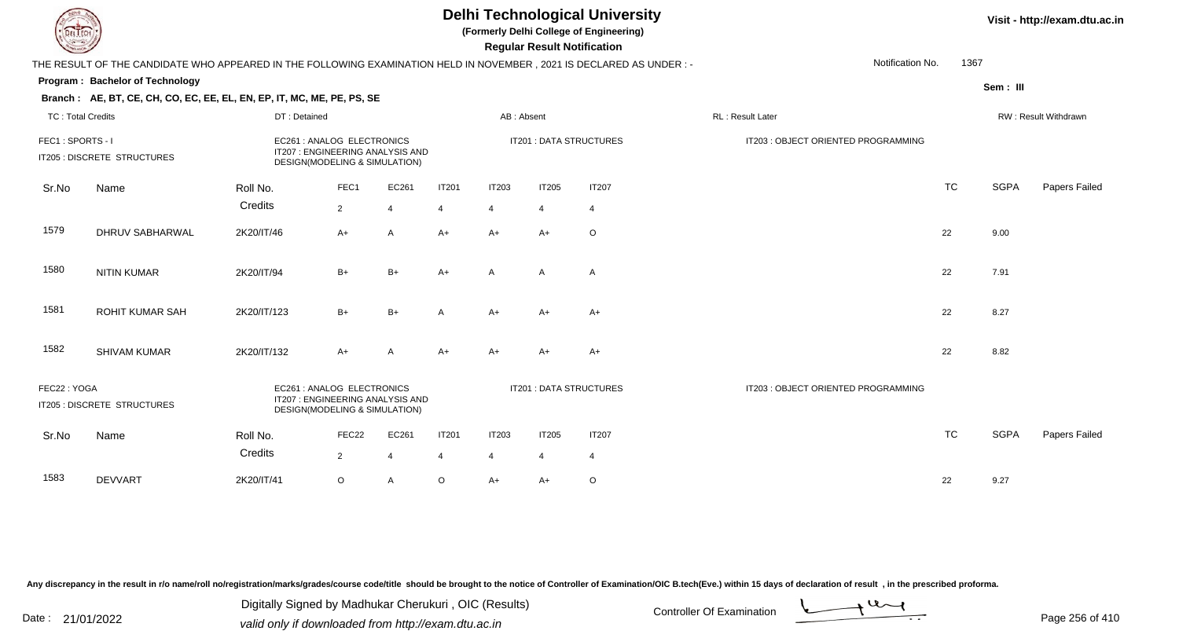**(Formerly Delhi College of Engineering)**

 **Regular Result Notification**

|                          | THE RESULT OF THE CANDIDATE WHO APPEARED IN THE FOLLOWING EXAMINATION HELD IN NOVEMBER, 2021 IS DECLARED AS UNDER :- |                                                                                                 |                |                |                |                |                |                                | Notification No.                    | 1367      |             |                      |
|--------------------------|----------------------------------------------------------------------------------------------------------------------|-------------------------------------------------------------------------------------------------|----------------|----------------|----------------|----------------|----------------|--------------------------------|-------------------------------------|-----------|-------------|----------------------|
|                          | Program: Bachelor of Technology                                                                                      |                                                                                                 |                |                |                |                |                |                                |                                     |           | Sem: III    |                      |
|                          | Branch: AE, BT, CE, CH, CO, EC, EE, EL, EN, EP, IT, MC, ME, PE, PS, SE                                               |                                                                                                 |                |                |                |                |                |                                |                                     |           |             |                      |
| <b>TC: Total Credits</b> |                                                                                                                      | DT: Detained                                                                                    |                |                |                | AB: Absent     |                |                                | RL: Result Later                    |           |             | RW: Result Withdrawn |
| FEC1: SPORTS - I         | IT205 : DISCRETE STRUCTURES                                                                                          | EC261 : ANALOG ELECTRONICS<br>IT207: ENGINEERING ANALYSIS AND<br>DESIGN(MODELING & SIMULATION)  |                |                |                |                |                | IT201 : DATA STRUCTURES        | IT203 : OBJECT ORIENTED PROGRAMMING |           |             |                      |
| Sr.No                    | Name                                                                                                                 | Roll No.                                                                                        | FEC1           | EC261          | <b>IT201</b>   | IT203          | <b>IT205</b>   | <b>IT207</b>                   |                                     | <b>TC</b> | <b>SGPA</b> | Papers Failed        |
|                          |                                                                                                                      | Credits                                                                                         | $\overline{2}$ | $\overline{4}$ | $\overline{4}$ | $\overline{4}$ | $\overline{4}$ | $\overline{4}$                 |                                     |           |             |                      |
| 1579                     | <b>DHRUV SABHARWAL</b>                                                                                               | 2K20/IT/46                                                                                      | $A+$           | $\overline{A}$ | $A+$           | $A+$           | $A+$           | $\circ$                        |                                     | 22        | 9.00        |                      |
| 1580                     | <b>NITIN KUMAR</b>                                                                                                   | 2K20/IT/94                                                                                      | $B+$           | $B+$           | $A+$           | $\mathsf{A}$   | $\mathsf{A}$   | $\overline{A}$                 |                                     | 22        | 7.91        |                      |
| 1581                     | <b>ROHIT KUMAR SAH</b>                                                                                               | 2K20/IT/123                                                                                     | $B+$           | $B+$           | A              | $A+$           | A+             | $A+$                           |                                     | 22        | 8.27        |                      |
| 1582                     | <b>SHIVAM KUMAR</b>                                                                                                  | 2K20/IT/132                                                                                     | $A+$           | A              | $A+$           | $A+$           | A+             | $A+$                           |                                     | 22        | 8.82        |                      |
| FEC22: YOGA              | IT205 : DISCRETE STRUCTURES                                                                                          | EC261 : ANALOG ELECTRONICS<br>IT207 : ENGINEERING ANALYSIS AND<br>DESIGN(MODELING & SIMULATION) |                |                |                |                |                | <b>IT201 : DATA STRUCTURES</b> | IT203 : OBJECT ORIENTED PROGRAMMING |           |             |                      |
| Sr.No                    | Name                                                                                                                 | Roll No.                                                                                        | FEC22          | EC261          | <b>IT201</b>   | <b>IT203</b>   | <b>IT205</b>   | <b>IT207</b>                   |                                     | <b>TC</b> | <b>SGPA</b> | Papers Failed        |
|                          |                                                                                                                      | Credits                                                                                         | $\overline{2}$ | $\overline{4}$ | 4              | 4              | $\overline{4}$ | $\overline{4}$                 |                                     |           |             |                      |
| 1583                     | <b>DEVVART</b>                                                                                                       | 2K20/IT/41                                                                                      | $\circ$        | $\mathsf{A}$   | $\circ$        | $A+$           | A+             | $\circ$                        |                                     | 22        | 9.27        |                      |

Any discrepancy in the result in r/o name/roll no/registration/marks/grades/course code/title should be brought to the notice of Controller of Examination/OIC B.tech(Eve.) within 15 days of declaration of result, in the pr

Date : 21/01/2022 Digital Digital of Microsofted Chemical Controller Of Examination Determination Page 256 of 41 Digitally Signed by Madhukar Cherukuri , OIC (Results)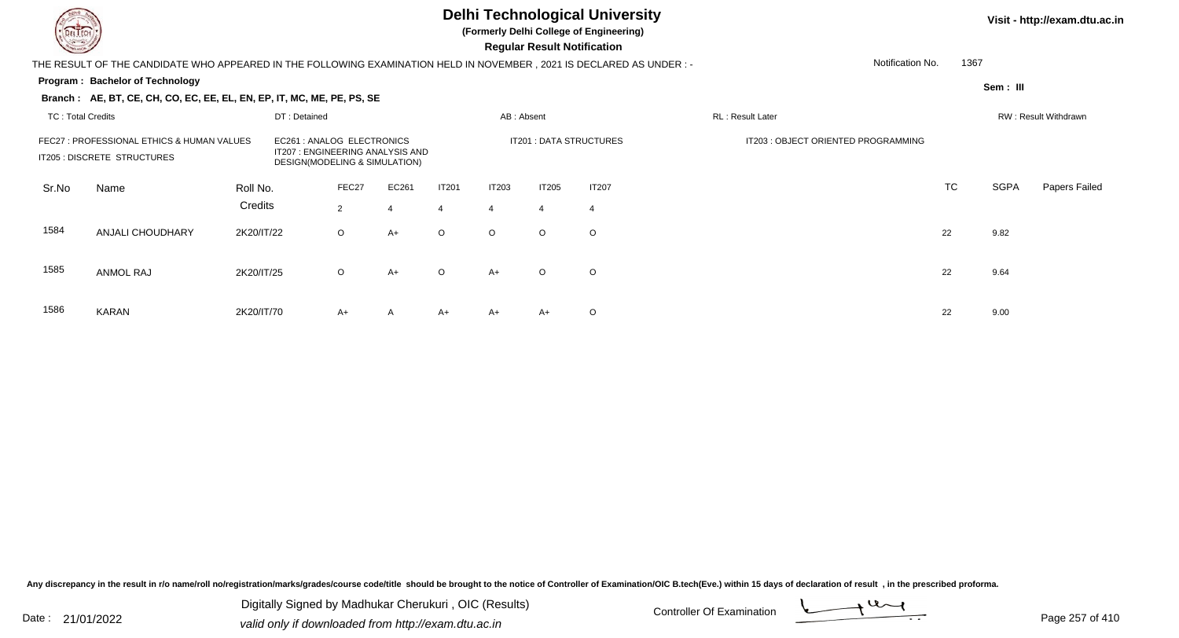**(Formerly Delhi College of Engineering)**

 **Regular Result Notification**

THE RESULT OF THE CANDIDATE WHO APPEARED IN THE FOLLOWING EXAMINATION HELD IN NOVEMBER , 2021 IS DECLARED AS UNDER : -

#### **Program : Bachelor of Technology**

1367

Notification No.

**Sem : III**

|                          | Branch : AE, BT, CE, CH, CO, EC, EE, EL, EN, EP, IT, MC, ME, PE, PS, SE   |                     |                                                                                                 |                         |            |                                |            |                                |                                |                                     |    |             |                      |
|--------------------------|---------------------------------------------------------------------------|---------------------|-------------------------------------------------------------------------------------------------|-------------------------|------------|--------------------------------|------------|--------------------------------|--------------------------------|-------------------------------------|----|-------------|----------------------|
| <b>TC: Total Credits</b> |                                                                           |                     | DT: Detained                                                                                    |                         |            |                                | AB: Absent |                                |                                | RL: Result Later                    |    |             | RW: Result Withdrawn |
|                          | FEC27 : PROFESSIONAL ETHICS & HUMAN VALUES<br>IT205 : DISCRETE STRUCTURES |                     | EC261 : ANALOG ELECTRONICS<br>IT207 : ENGINEERING ANALYSIS AND<br>DESIGN(MODELING & SIMULATION) |                         |            |                                |            |                                | IT201 : DATA STRUCTURES        | IT203 : OBJECT ORIENTED PROGRAMMING |    |             |                      |
| Sr.No                    | Name                                                                      | Roll No.<br>Credits |                                                                                                 | FEC27<br>$\overline{2}$ | EC261<br>4 | <b>IT201</b><br>$\overline{4}$ | IT203<br>4 | <b>IT205</b><br>$\overline{4}$ | <b>IT207</b><br>$\overline{4}$ |                                     | TC | <b>SGPA</b> | Papers Failed        |
| 1584                     | ANJALI CHOUDHARY                                                          | 2K20/IT/22          |                                                                                                 | $\circ$                 | $A+$       | $\circ$                        | $\circ$    | $\circ$                        | $\circ$                        |                                     | 22 | 9.82        |                      |
| 1585                     | ANMOL RAJ                                                                 | 2K20/IT/25          |                                                                                                 | $\circ$                 | $A+$       | $\circ$                        | $A+$       | $\circ$                        | $\circ$                        |                                     | 22 | 9.64        |                      |
| 1586                     | KARAN                                                                     | 2K20/IT/70          |                                                                                                 | $A+$                    | A          | $A+$                           | $A+$       | $A+$                           | $\circ$                        |                                     | 22 | 9.00        |                      |

Any discrepancy in the result in r/o name/roll no/registration/marks/grades/course code/title should be brought to the notice of Controller of Examination/OIC B.tech(Eve.) within 15 days of declaration of result, in the pr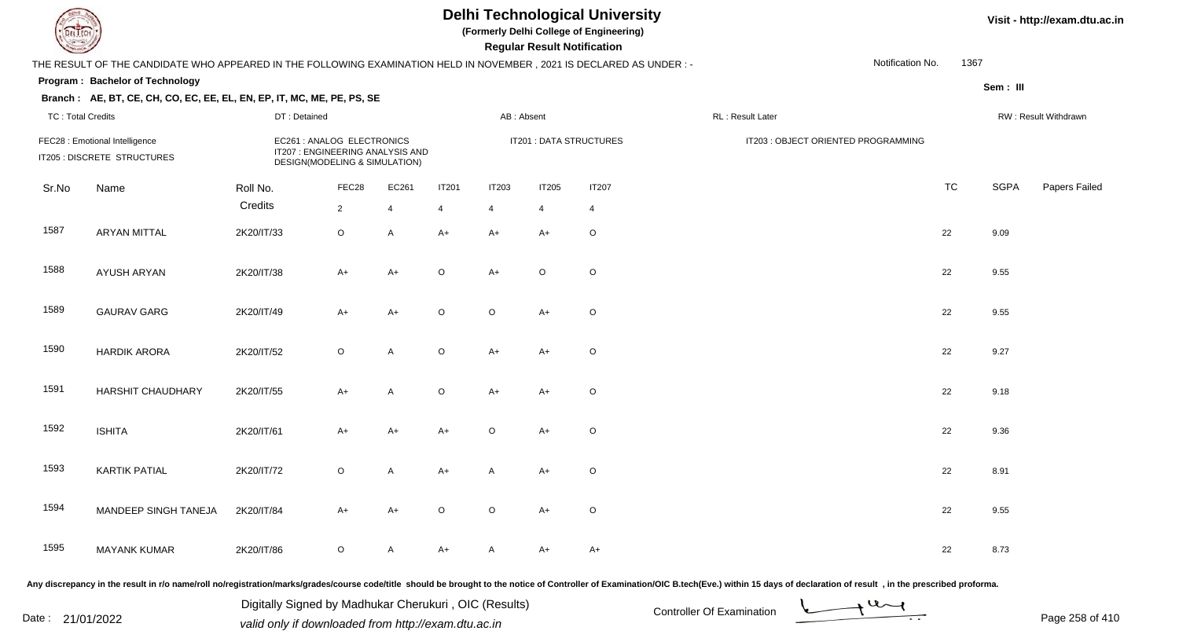**(Formerly Delhi College of Engineering)**

 **Regular Result Notification**

### **Visit - http://exam.dtu.ac.in**

|                          | THE RESULT OF THE CANDIDATE WHO APPEARED IN THE FOLLOWING EXAMINATION HELD IN NOVEMBER, 2021 IS DECLARED AS UNDER :- |              |                                                                                                 |                |                |                |              |                         |                   | Notification No.                    | 1367      |             |                      |
|--------------------------|----------------------------------------------------------------------------------------------------------------------|--------------|-------------------------------------------------------------------------------------------------|----------------|----------------|----------------|--------------|-------------------------|-------------------|-------------------------------------|-----------|-------------|----------------------|
|                          | Program: Bachelor of Technology                                                                                      |              |                                                                                                 |                |                |                |              |                         |                   |                                     |           | Sem: III    |                      |
|                          | Branch: AE, BT, CE, CH, CO, EC, EE, EL, EN, EP, IT, MC, ME, PE, PS, SE                                               |              |                                                                                                 |                |                |                |              |                         |                   |                                     |           |             |                      |
| <b>TC: Total Credits</b> |                                                                                                                      | DT: Detained |                                                                                                 |                |                | AB: Absent     |              |                         | RL : Result Later |                                     |           |             | RW: Result Withdrawn |
|                          | FEC28 : Emotional Intelligence<br>IT205 : DISCRETE STRUCTURES                                                        |              | EC261 : ANALOG ELECTRONICS<br>IT207 : ENGINEERING ANALYSIS AND<br>DESIGN(MODELING & SIMULATION) |                |                |                |              | IT201 : DATA STRUCTURES |                   | IT203 : OBJECT ORIENTED PROGRAMMING |           |             |                      |
| Sr.No                    | Name                                                                                                                 | Roll No.     | FEC28                                                                                           | EC261          | <b>IT201</b>   | <b>IT203</b>   | <b>IT205</b> | <b>IT207</b>            |                   |                                     | <b>TC</b> | <b>SGPA</b> | Papers Failed        |
|                          |                                                                                                                      | Credits      | $2\overline{ }$                                                                                 | $\overline{4}$ | $\overline{4}$ | $\overline{4}$ | 4            | $\overline{4}$          |                   |                                     |           |             |                      |
| 1587                     | <b>ARYAN MITTAL</b>                                                                                                  | 2K20/IT/33   | $\circ$                                                                                         | $\mathsf{A}$   | $A+$           | $A+$           | $A+$         | $\circ$                 |                   |                                     | 22        | 9.09        |                      |
| 1588                     | AYUSH ARYAN                                                                                                          | 2K20/IT/38   | $A+$                                                                                            | $A+$           | $\circ$        | $A+$           | $\circ$      | $\circ$                 |                   |                                     | 22        | 9.55        |                      |
| 1589                     | <b>GAURAV GARG</b>                                                                                                   | 2K20/IT/49   | $A+$                                                                                            | $A+$           | $\circ$        | $\circ$        | $A+$         | $\mathsf O$             |                   |                                     | 22        | 9.55        |                      |
| 1590                     | <b>HARDIK ARORA</b>                                                                                                  | 2K20/IT/52   | $\circ$                                                                                         | $\mathsf{A}$   | $\circ$        | $A+$           | $A+$         | $\mathsf O$             |                   |                                     | 22        | 9.27        |                      |
| 1591                     | <b>HARSHIT CHAUDHARY</b>                                                                                             | 2K20/IT/55   | $A+$                                                                                            | $\mathsf{A}$   | $\circ$        | $A+$           | $A+$         | $\circ$                 |                   |                                     | 22        | 9.18        |                      |
| 1592                     | <b>ISHITA</b>                                                                                                        | 2K20/IT/61   | A+                                                                                              | A+             | $A+$           | $\circ$        | $A+$         | $\mathsf O$             |                   |                                     | 22        | 9.36        |                      |
| 1593                     | <b>KARTIK PATIAL</b>                                                                                                 | 2K20/IT/72   | $\circ$                                                                                         | $\mathsf{A}$   | $A+$           | A              | $A+$         | $\mathsf O$             |                   |                                     | 22        | 8.91        |                      |
| 1594                     | MANDEEP SINGH TANEJA                                                                                                 | 2K20/IT/84   | $A+$                                                                                            | $A+$           | $\circ$        | $\circ$        | $A+$         | $\circ$                 |                   |                                     | 22        | 9.55        |                      |
| 1595                     | <b>MAYANK KUMAR</b>                                                                                                  | 2K20/IT/86   | $\circ$                                                                                         | A              | A+             | A              | A+           | $A+$                    |                   |                                     | 22        | 8.73        |                      |

Any discrepancy in the result in r/o name/roll no/registration/marks/grades/course code/title should be brought to the notice of Controller of Examination/OIC B.tech(Eve.) within 15 days of declaration of result, in the pr

Date : 21/01/2022 Digital Digital of Microsofted Chemical Controller Of Examination Determination Page 258 of 41 Digitally Signed by Madhukar Cherukuri , OIC (Results)

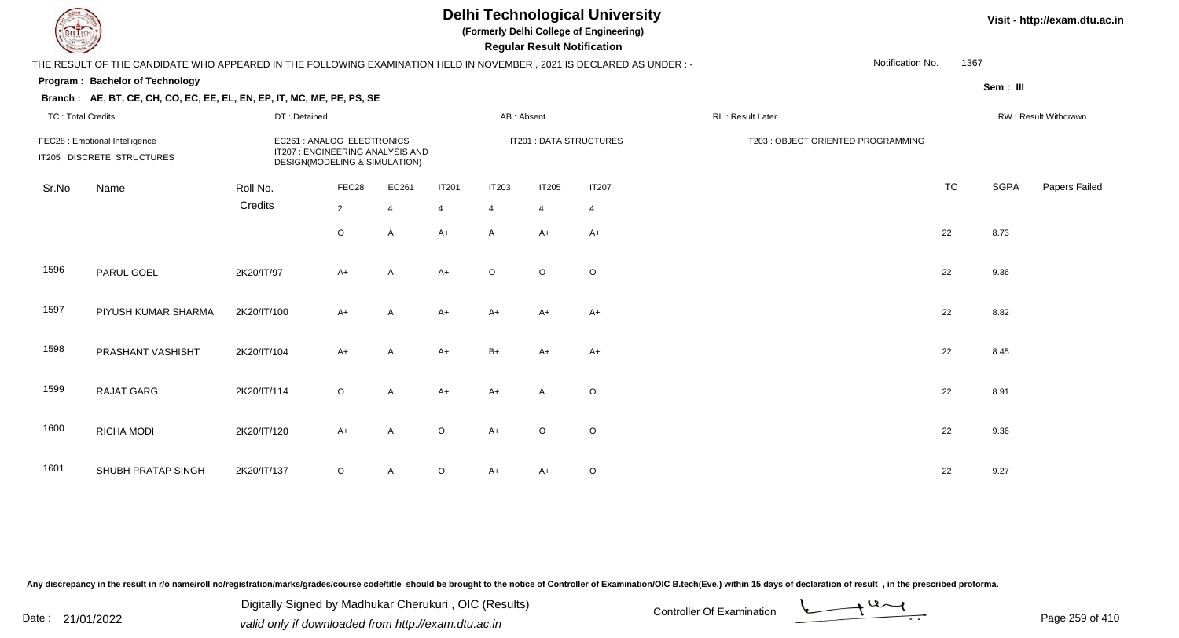**(Formerly Delhi College of Engineering)**

 **Regular Result Notification**

### **Visit - http://exam.dtu.ac.in**

THE RESULT OF THE CANDIDATE WHO APPEARED IN THE FOLLOWING EXAMINATION HELD IN NOVEMBER , 2021 IS DECLARED AS UNDER : -Notification No.

#### **Program : Bachelor of Technology**

**Branch : AE, BT, CE, CH, CO, EC, EE, EL, EN, EP, IT, MC, ME, PE, PS, SE**

**Sem : III**

1367

|       | <b>TC: Total Credits</b><br>DT: Detained                      |                     |                                                                                                | AB: Absent              |                                |                         | RL: Result Later        |                                | RW: Result Withdrawn                |           |      |               |
|-------|---------------------------------------------------------------|---------------------|------------------------------------------------------------------------------------------------|-------------------------|--------------------------------|-------------------------|-------------------------|--------------------------------|-------------------------------------|-----------|------|---------------|
|       | FEC28 : Emotional Intelligence<br>IT205 : DISCRETE STRUCTURES |                     | EC261: ANALOG ELECTRONICS<br>IT207 : ENGINEERING ANALYSIS AND<br>DESIGN(MODELING & SIMULATION) |                         |                                |                         |                         | IT201 : DATA STRUCTURES        | IT203 : OBJECT ORIENTED PROGRAMMING |           |      |               |
| Sr.No | Name                                                          | Roll No.<br>Credits | FEC28<br>$\overline{2}$                                                                        | EC261<br>$\overline{4}$ | <b>IT201</b><br>$\overline{4}$ | IT203<br>$\overline{4}$ | IT205<br>$\overline{4}$ | <b>IT207</b><br>$\overline{4}$ |                                     | <b>TC</b> | SGPA | Papers Failec |
|       |                                                               |                     | $\circ$                                                                                        | $\mathsf{A}$            | $A+$                           | $\mathsf{A}$            | $A+$                    | $A+$                           |                                     | 22        | 8.73 |               |
| 1596  | PARUL GOEL                                                    | 2K20/IT/97          | $A+$                                                                                           | $\mathsf{A}$            | $A+$                           | $\circ$                 | $\circ$                 | $\circ$                        |                                     | 22        | 9.36 |               |
| 1597  | PIYUSH KUMAR SHARMA                                           | 2K20/IT/100         | $A+$                                                                                           | $\mathsf{A}$            | $A+$                           | $A+$                    | $A+$                    | $A+$                           |                                     | 22        | 8.82 |               |
| 1598  | PRASHANT VASHISHT                                             | 2K20/IT/104         | $A+$                                                                                           | $\mathsf{A}$            | $A+$                           | $B+$                    | $A+$                    | $A+$                           |                                     | 22        | 8.45 |               |
| 1599  | RAJAT GARG                                                    | 2K20/IT/114         | $\circ$                                                                                        | $\mathsf{A}$            | $A+$                           | $A+$                    | A                       | $\circ$                        |                                     | 22        | 8.91 |               |
| 1600  | RICHA MODI                                                    | 2K20/IT/120         | $A+$                                                                                           | $\mathsf{A}$            | $\circ$                        | $A+$                    | $\circ$                 | $\circ$                        |                                     | 22        | 9.36 |               |
| 1601  | SHUBH PRATAP SINGH                                            | 2K20/IT/137         | $\circ$                                                                                        | $\mathsf{A}$            | $\circ$                        | $A+$                    | $A+$                    | O                              |                                     | 22        | 9.27 |               |

Any discrepancy in the result in r/o name/roll no/registration/marks/grades/course code/title should be brought to the notice of Controller of Examination/OIC B.tech(Eve.) within 15 days of declaration of result, in the pr

Date : 21/01/2022 Digital Digital of Microsofted Chemical Controller Of Examination Determination Page 259 of 41 Digitally Signed by Madhukar Cherukuri , OIC (Results)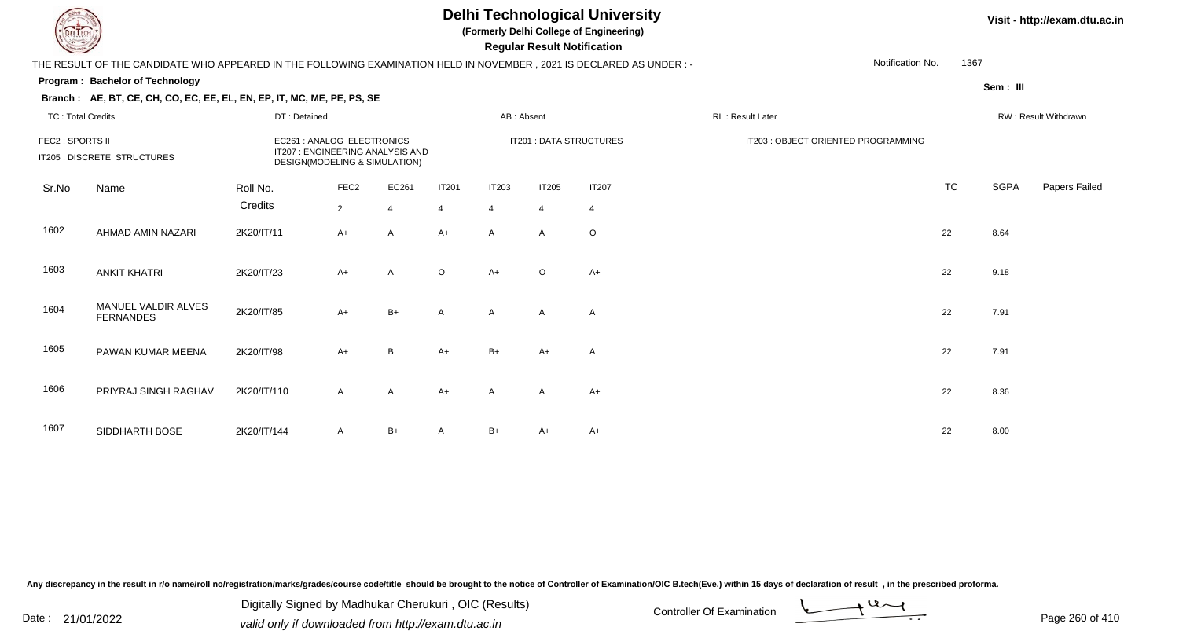**(Formerly Delhi College of Engineering)**

 **Regular Result Notification**

### **Visit - http://exam.dtu.ac.in**

THE RESULT OF THE CANDIDATE WHO APPEARED IN THE FOLLOWING EXAMINATION HELD IN NOVEMBER , 2021 IS DECLARED AS UNDER : -

#### **Program : Bachelor of Technology**

**Branch : AE, BT, CE, CH, CO, EC, EE, EL, EN, EP, IT, MC, ME, PE, PS, SE**

1367

Notification No.

# **Sem : III**

| TC: Total Credits |                                         | DT: Detained        |                                                                                                |                         |                                | AB: Absent        |                                |                                | RL : Result Later                   |           |      | RW : Result Withdrawn |
|-------------------|-----------------------------------------|---------------------|------------------------------------------------------------------------------------------------|-------------------------|--------------------------------|-------------------|--------------------------------|--------------------------------|-------------------------------------|-----------|------|-----------------------|
| FEC2 : SPORTS II  | IT205 : DISCRETE STRUCTURES             |                     | EC261: ANALOG ELECTRONICS<br>IT207 : ENGINEERING ANALYSIS AND<br>DESIGN(MODELING & SIMULATION) |                         |                                |                   |                                | IT201 : DATA STRUCTURES        | IT203 : OBJECT ORIENTED PROGRAMMING |           |      |                       |
| Sr.No             | Name                                    | Roll No.<br>Credits | FEC <sub>2</sub><br>$\overline{2}$                                                             | EC261<br>$\overline{4}$ | <b>IT201</b><br>$\overline{4}$ | <b>IT203</b><br>4 | <b>IT205</b><br>$\overline{4}$ | <b>IT207</b><br>$\overline{4}$ |                                     | <b>TC</b> | SGPA | Papers Failec         |
| 1602              | AHMAD AMIN NAZARI                       | 2K20/IT/11          | $A+$                                                                                           | A                       | $A+$                           | $\mathsf{A}$      | A                              | $\circ$                        |                                     | 22        | 8.64 |                       |
| 1603              | <b>ANKIT KHATRI</b>                     | 2K20/IT/23          | $A+$                                                                                           | A                       | $\circ$                        | $A+$              | $\circ$                        | $A+$                           |                                     | 22        | 9.18 |                       |
| 1604              | MANUEL VALDIR ALVES<br><b>FERNANDES</b> | 2K20/IT/85          | $A+$                                                                                           | $B+$                    | $\mathsf{A}$                   | $\mathsf{A}$      | A                              | A                              |                                     | 22        | 7.91 |                       |
| 1605              | PAWAN KUMAR MEENA                       | 2K20/IT/98          | $A+$                                                                                           | B                       | $A+$                           | $B+$              | $A+$                           | Α                              |                                     | 22        | 7.91 |                       |
| 1606              | PRIYRAJ SINGH RAGHAV                    | 2K20/IT/110         | $\mathsf{A}$                                                                                   | A                       | $A+$                           | A                 | $\mathsf{A}$                   | $A+$                           |                                     | 22        | 8.36 |                       |
| 1607              | SIDDHARTH BOSE                          | 2K20/IT/144         | $\mathsf{A}$                                                                                   | $B+$                    | $\mathsf{A}$                   | $B+$              | A+                             | $A+$                           |                                     | 22        | 8.00 |                       |

Any discrepancy in the result in r/o name/roll no/registration/marks/grades/course code/title should be brought to the notice of Controller of Examination/OIC B.tech(Eve.) within 15 days of declaration of result, in the pr

Date : 21/01/2022 Digital Digital of Microsofted Chemical Controller Of Examination Determination Page 260 of 41 Digitally Signed by Madhukar Cherukuri , OIC (Results)

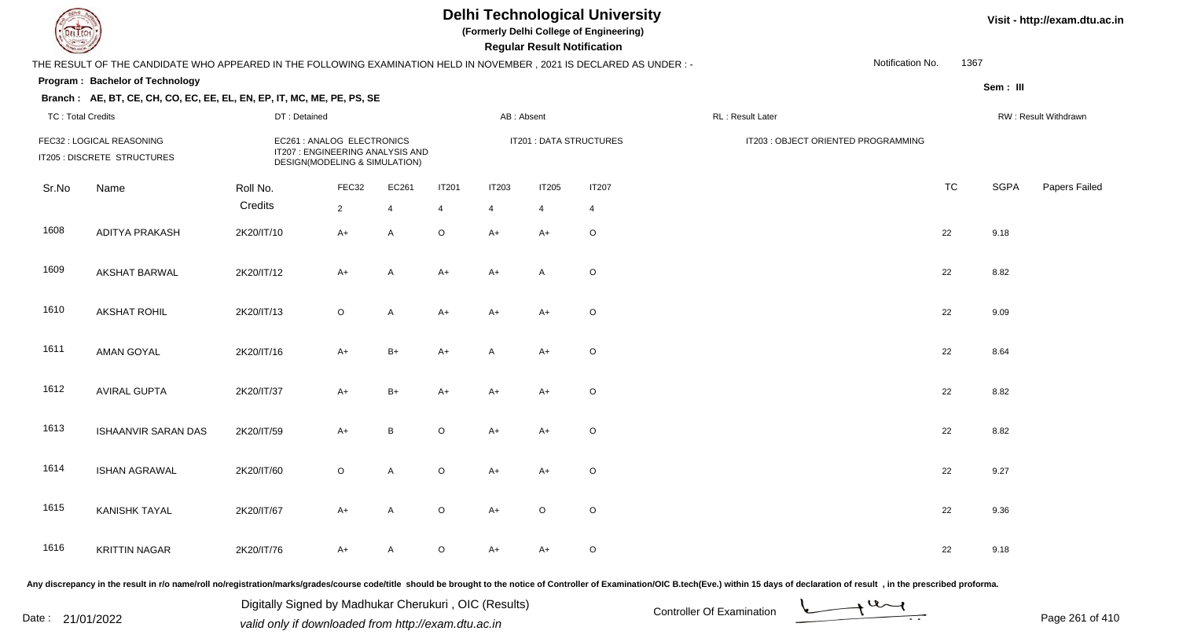**(Formerly Delhi College of Engineering)**

 **Regular Result Notification**

### **Visit - http://exam.dtu.ac.in**

|                          | THE RESULT OF THE CANDIDATE WHO APPEARED IN THE FOLLOWING EXAMINATION HELD IN NOVEMBER, 2021 IS DECLARED AS UNDER:- |              |                                                                                                 |              |              |                |                |                         |                                     | Notification No. | 1367 |          |                      |
|--------------------------|---------------------------------------------------------------------------------------------------------------------|--------------|-------------------------------------------------------------------------------------------------|--------------|--------------|----------------|----------------|-------------------------|-------------------------------------|------------------|------|----------|----------------------|
|                          | Program: Bachelor of Technology<br>Branch: AE, BT, CE, CH, CO, EC, EE, EL, EN, EP, IT, MC, ME, PE, PS, SE           |              |                                                                                                 |              |              |                |                |                         |                                     |                  |      | Sem: III |                      |
| <b>TC: Total Credits</b> |                                                                                                                     | DT: Detained |                                                                                                 |              |              |                | AB: Absent     |                         | RL : Result Later                   |                  |      |          | RW: Result Withdrawn |
|                          | FEC32 : LOGICAL REASONING<br>IT205 : DISCRETE STRUCTURES                                                            |              | EC261 : ANALOG ELECTRONICS<br>IT207 : ENGINEERING ANALYSIS AND<br>DESIGN(MODELING & SIMULATION) |              |              |                |                | IT201 : DATA STRUCTURES | IT203 : OBJECT ORIENTED PROGRAMMING |                  |      |          |                      |
| Sr.No                    | Name                                                                                                                | Roll No.     | FEC32                                                                                           | EC261        | <b>IT201</b> | <b>IT203</b>   | <b>IT205</b>   | <b>IT207</b>            |                                     |                  | TC   | SGPA     | Papers Failed        |
|                          |                                                                                                                     | Credits      | $\overline{2}$                                                                                  | 4            | 4            | $\overline{4}$ | $\overline{4}$ | 4                       |                                     |                  |      |          |                      |
| 1608                     | <b>ADITYA PRAKASH</b>                                                                                               | 2K20/IT/10   | $A+$                                                                                            | $\mathsf{A}$ | $\circ$      | $A+$           | $A+$           | $\circ$                 |                                     | 22               |      | 9.18     |                      |
| 1609                     | <b>AKSHAT BARWAL</b>                                                                                                | 2K20/IT/12   | $A+$                                                                                            | $\mathsf{A}$ | $A+$         | $A+$           | A              | $\circ$                 |                                     | 22               |      | 8.82     |                      |
| 1610                     | <b>AKSHAT ROHIL</b>                                                                                                 | 2K20/IT/13   | $\circ$                                                                                         | $\mathsf{A}$ | $A+$         | $A+$           | $A+$           | $\circ$                 |                                     | 22               |      | 9.09     |                      |
| 1611                     | <b>AMAN GOYAL</b>                                                                                                   | 2K20/IT/16   | $A+$                                                                                            | $B+$         | $A+$         | A              | $A+$           | $\circ$                 |                                     | 22               |      | 8.64     |                      |
| 1612                     | <b>AVIRAL GUPTA</b>                                                                                                 | 2K20/IT/37   | $A+$                                                                                            | $B+$         | $A+$         | $A+$           | $A+$           | $\circ$                 |                                     | 22               |      | 8.82     |                      |
| 1613                     | ISHAANVIR SARAN DAS                                                                                                 | 2K20/IT/59   | $A+$                                                                                            | $\, {\bf B}$ | $\mathsf O$  | $A+$           | $A+$           | $\circ$                 |                                     | 22               |      | 8.82     |                      |
| 1614                     | <b>ISHAN AGRAWAL</b>                                                                                                | 2K20/IT/60   | $\circ$                                                                                         | $\mathsf{A}$ | $\mathsf O$  | $A+$           | $A+$           | $\circ$                 |                                     | 22               |      | 9.27     |                      |
| 1615                     | <b>KANISHK TAYAL</b>                                                                                                | 2K20/IT/67   | $A+$                                                                                            | $\mathsf{A}$ | $\circ$      | $A+$           | $\mathsf O$    | $\circ$                 |                                     | 22               |      | 9.36     |                      |
| 1616                     | <b>KRITTIN NAGAR</b>                                                                                                | 2K20/IT/76   | $A+$                                                                                            | Α            | $\circ$      | $A+$           | $A+$           | $\circ$                 |                                     | 22               |      | 9.18     |                      |

Any discrepancy in the result in r/o name/roll no/registration/marks/grades/course code/title should be brought to the notice of Controller of Examination/OIC B.tech(Eve.) within 15 days of declaration of result, in the pr

Date : 21/01/2022 Digital Digital of Microsofted Chemical Controller Of Examination Determination Page 261 of 41 Digitally Signed by Madhukar Cherukuri , OIC (Results)

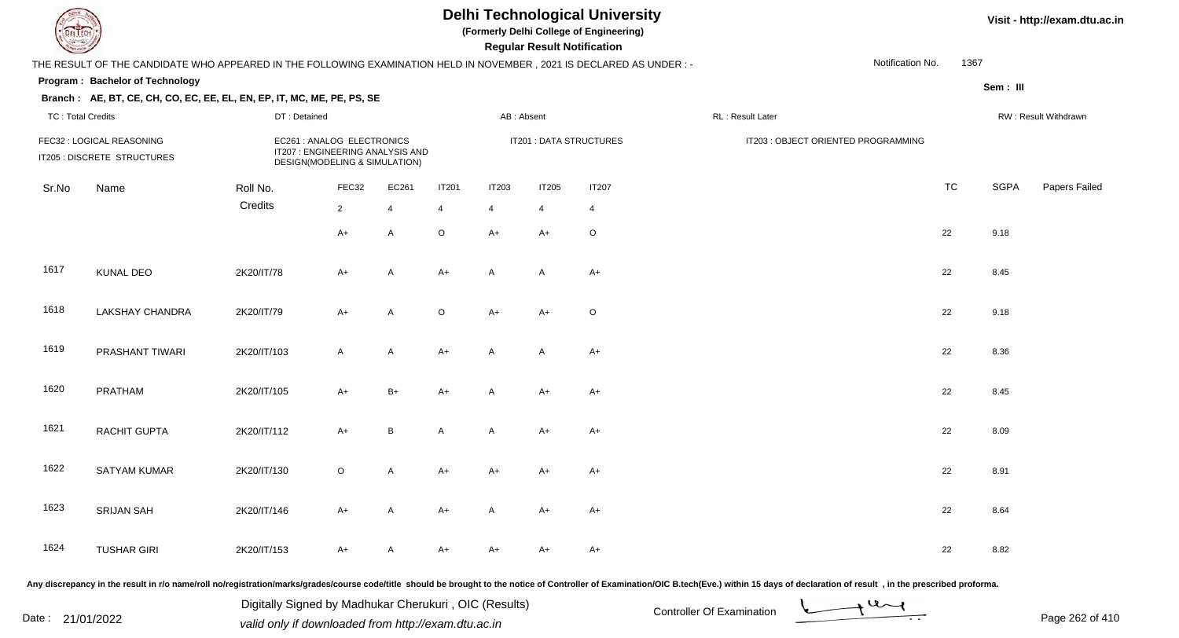**(Formerly Delhi College of Engineering)**

 **Regular Result Notification**

|                          | THE RESULT OF THE CANDIDATE WHO APPEARED IN THE FOLLOWING EXAMINATION HELD IN NOVEMBER, 2021 IS DECLARED AS UNDER :- |              |                                                                                                 |                |              |                           |              |                         |                                     |           |             |                      |
|--------------------------|----------------------------------------------------------------------------------------------------------------------|--------------|-------------------------------------------------------------------------------------------------|----------------|--------------|---------------------------|--------------|-------------------------|-------------------------------------|-----------|-------------|----------------------|
|                          | Program: Bachelor of Technology                                                                                      |              |                                                                                                 |                |              |                           |              |                         |                                     |           | Sem: III    |                      |
|                          | Branch: AE, BT, CE, CH, CO, EC, EE, EL, EN, EP, IT, MC, ME, PE, PS, SE                                               |              |                                                                                                 |                |              |                           |              |                         |                                     |           |             |                      |
| <b>TC: Total Credits</b> |                                                                                                                      | DT: Detained |                                                                                                 |                |              | AB: Absent                |              |                         | RL: Result Later                    |           |             | RW: Result Withdrawn |
|                          | FEC32 : LOGICAL REASONING<br>IT205 : DISCRETE STRUCTURES                                                             |              | EC261 : ANALOG ELECTRONICS<br>IT207 : ENGINEERING ANALYSIS AND<br>DESIGN(MODELING & SIMULATION) |                |              |                           |              | IT201 : DATA STRUCTURES | IT203 : OBJECT ORIENTED PROGRAMMING |           |             |                      |
| Sr.No                    | Name                                                                                                                 | Roll No.     | FEC32                                                                                           | EC261          | <b>IT201</b> | <b>IT203</b>              | <b>IT205</b> | <b>IT207</b>            |                                     | <b>TC</b> | <b>SGPA</b> | Papers Failed        |
|                          |                                                                                                                      | Credits      | $\overline{2}$                                                                                  | $\overline{4}$ | 4            | 4                         | 4            | 4                       |                                     |           |             |                      |
|                          |                                                                                                                      |              | $A+$                                                                                            | A              | $\mathsf O$  | $A+$                      | A+           | $\mathsf O$             |                                     | 22        | 9.18        |                      |
| 1617                     | <b>KUNAL DEO</b>                                                                                                     | 2K20/IT/78   | A+                                                                                              | A              | $A+$         | $\mathsf{A}$              | A            | $A+$                    |                                     | 22        | 8.45        |                      |
| 1618                     | LAKSHAY CHANDRA                                                                                                      | 2K20/IT/79   | $A+$                                                                                            | A              | $\circ$      | $A+$                      | A+           | $\circ$                 |                                     | 22        | 9.18        |                      |
| 1619                     | PRASHANT TIWARI                                                                                                      | 2K20/IT/103  | $\mathsf{A}$                                                                                    | A              | $A+$         | $\mathsf{A}$              | A            | $A+$                    |                                     | 22        | 8.36        |                      |
| 1620                     | PRATHAM                                                                                                              | 2K20/IT/105  | $A+$                                                                                            | $B+$           | $A+$         | A                         | $A+$         | $A+$                    |                                     | 22        | 8.45        |                      |
| 1621                     | RACHIT GUPTA                                                                                                         | 2K20/IT/112  | $A+$                                                                                            | B              | A            | $\boldsymbol{\mathsf{A}}$ | $A+$         | $A+$                    |                                     | 22        | 8.09        |                      |
| 1622                     | SATYAM KUMAR                                                                                                         | 2K20/IT/130  | $\circ$                                                                                         | A              | $A+$         | $A+$                      | A+           | $A+$                    |                                     | 22        | 8.91        |                      |
| 1623                     | <b>SRIJAN SAH</b>                                                                                                    | 2K20/IT/146  | $A+$                                                                                            | A              | $A+$         | $\mathsf{A}$              | $A+$         | $A+$                    |                                     | 22        | 8.64        |                      |
| 1624                     | <b>TUSHAR GIRI</b>                                                                                                   | 2K20/IT/153  | A+                                                                                              | A              | A+           | $A+$                      | A+           | $A+$                    |                                     | 22        | 8.82        |                      |

Any discrepancy in the result in r/o name/roll no/registration/marks/grades/course code/title should be brought to the notice of Controller of Examination/OIC B.tech(Eve.) within 15 days of declaration of result, in the pr

Date : 21/01/2022 Digital Digital of Microsofted Chemical Controller Of Examination Determination Page 262 of 41 Digitally Signed by Madhukar Cherukuri , OIC (Results)

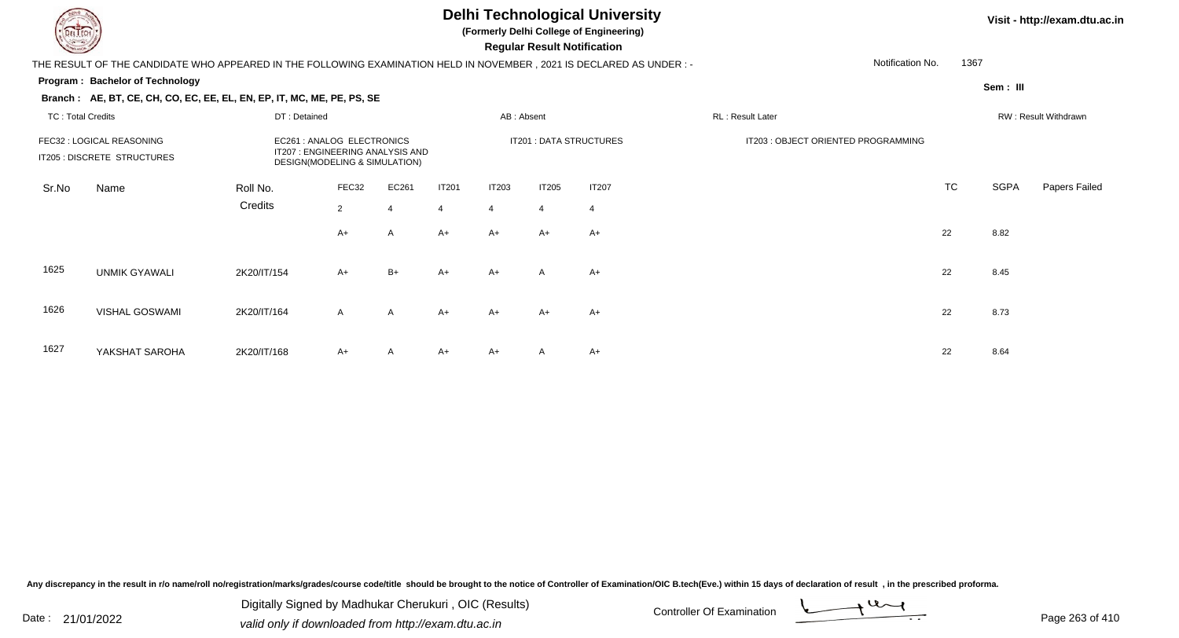**(Formerly Delhi College of Engineering)**

 **Regular Result Notification**

### **Visit - http://exam.dtu.ac.in**

THE RESULT OF THE CANDIDATE WHO APPEARED IN THE FOLLOWING EXAMINATION HELD IN NOVEMBER , 2021 IS DECLARED AS UNDER : -

#### **Program : Bachelor of Technology**

**Branch : AE, BT, CE, CH, CO, EC, EE, EL, EN, EP, IT, MC, ME, PE, PS, SE**

1367

Notification No.

**Sem : III**

| <b>TC: Total Credits</b> |                                                          | DT: Detained                                                                                    |                         |                         |                                | AB: Absent                     |                         |                                | RL: Result Later                    |           |             | RW: Result Withdrawn |
|--------------------------|----------------------------------------------------------|-------------------------------------------------------------------------------------------------|-------------------------|-------------------------|--------------------------------|--------------------------------|-------------------------|--------------------------------|-------------------------------------|-----------|-------------|----------------------|
|                          | FEC32 : LOGICAL REASONING<br>IT205 : DISCRETE STRUCTURES | EC261 : ANALOG ELECTRONICS<br>IT207 : ENGINEERING ANALYSIS AND<br>DESIGN(MODELING & SIMULATION) |                         |                         |                                |                                | IT201 : DATA STRUCTURES |                                | IT203 : OBJECT ORIENTED PROGRAMMING |           |             |                      |
| Sr.No                    | Name                                                     | Roll No.<br>Credits                                                                             | FEC32<br>$\overline{2}$ | EC261<br>$\overline{4}$ | <b>IT201</b><br>$\overline{4}$ | <b>IT203</b><br>$\overline{4}$ | IT205<br>$\overline{4}$ | <b>IT207</b><br>$\overline{4}$ |                                     | <b>TC</b> | <b>SGPA</b> | Papers Failed        |
|                          |                                                          |                                                                                                 | $A+$                    | $\mathsf{A}$            | $A+$                           | A+                             | $A+$                    | $A+$                           |                                     | 22        | 8.82        |                      |
| 1625                     | <b>UNMIK GYAWALI</b>                                     | 2K20/IT/154                                                                                     | $A+$                    | $B+$                    | $A+$                           | $A+$                           | $\mathsf{A}$            | $A+$                           |                                     | 22        | 8.45        |                      |
| 1626                     | <b>VISHAL GOSWAMI</b>                                    | 2K20/IT/164                                                                                     | $\mathsf{A}$            | $\mathsf{A}$            | $A+$                           | $A+$                           | $A+$                    | $A+$                           |                                     | 22        | 8.73        |                      |
| 1627                     | YAKSHAT SAROHA                                           | 2K20/IT/168                                                                                     | $A+$                    | $\mathsf{A}$            | $A+$                           | A+                             | A                       | A+                             |                                     | 22        | 8.64        |                      |

Any discrepancy in the result in r/o name/roll no/registration/marks/grades/course code/title should be brought to the notice of Controller of Examination/OIC B.tech(Eve.) within 15 days of declaration of result, in the pr

Date : 21/01/2022 Digital Digital of Microsofted Chemical Controller Of Examination Determination Page 263 of 41 Digitally Signed by Madhukar Cherukuri , OIC (Results)

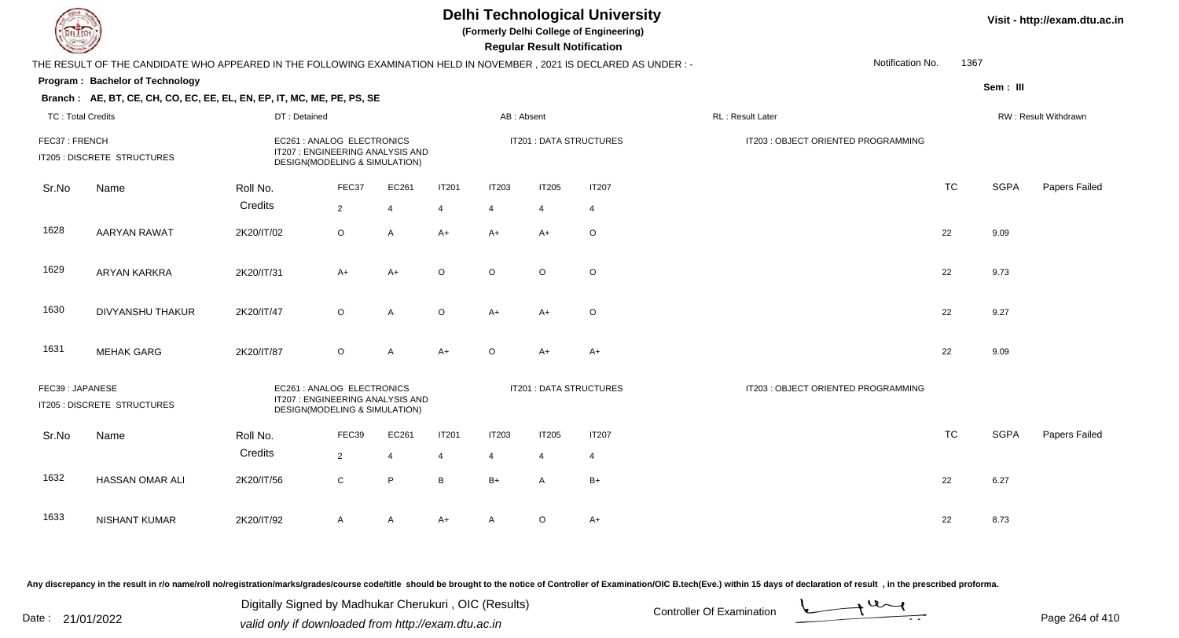**(Formerly Delhi College of Engineering)**

 **Regular Result Notification**

|                          | THE RESULT OF THE CANDIDATE WHO APPEARED IN THE FOLLOWING EXAMINATION HELD IN NOVEMBER, 2021 IS DECLARED AS UNDER :- |                                                                                                 |                |                |                |                |                |                                | Notification No.                    | 1367      |             |                      |
|--------------------------|----------------------------------------------------------------------------------------------------------------------|-------------------------------------------------------------------------------------------------|----------------|----------------|----------------|----------------|----------------|--------------------------------|-------------------------------------|-----------|-------------|----------------------|
|                          | Program: Bachelor of Technology                                                                                      |                                                                                                 |                |                |                |                |                |                                |                                     |           | Sem: III    |                      |
|                          | Branch: AE, BT, CE, CH, CO, EC, EE, EL, EN, EP, IT, MC, ME, PE, PS, SE                                               |                                                                                                 |                |                |                |                |                |                                |                                     |           |             |                      |
| <b>TC: Total Credits</b> |                                                                                                                      | DT: Detained                                                                                    |                |                |                | AB: Absent     |                |                                | RL: Result Later                    |           |             | RW: Result Withdrawn |
| FEC37: FRENCH            | IT205 : DISCRETE STRUCTURES                                                                                          | EC261 : ANALOG ELECTRONICS<br>IT207 : ENGINEERING ANALYSIS AND<br>DESIGN(MODELING & SIMULATION) |                |                |                |                |                | IT201 : DATA STRUCTURES        | IT203 : OBJECT ORIENTED PROGRAMMING |           |             |                      |
| Sr.No                    | Name                                                                                                                 | Roll No.                                                                                        | FEC37          | EC261          | <b>IT201</b>   | <b>IT203</b>   | <b>IT205</b>   | <b>IT207</b>                   |                                     | <b>TC</b> | <b>SGPA</b> | Papers Failed        |
|                          |                                                                                                                      | Credits                                                                                         | $\overline{2}$ | $\overline{4}$ | $\overline{4}$ | $\overline{4}$ | $\overline{4}$ | $\overline{4}$                 |                                     |           |             |                      |
| 1628                     | <b>AARYAN RAWAT</b>                                                                                                  | 2K20/IT/02                                                                                      | $\circ$        | A              | $A+$           | $A+$           | $A+$           | $\circ$                        |                                     | 22        | 9.09        |                      |
| 1629                     | <b>ARYAN KARKRA</b>                                                                                                  | 2K20/IT/31                                                                                      | $A+$           | A+             | $\circ$        | $\circ$        | $\circ$        | $\circ$                        |                                     | 22        | 9.73        |                      |
| 1630                     | <b>DIVYANSHU THAKUR</b>                                                                                              | 2K20/IT/47                                                                                      | $\circ$        | Α              | $\circ$        | $A+$           | $A+$           | $\circ$                        |                                     | 22        | 9.27        |                      |
| 1631                     | <b>MEHAK GARG</b>                                                                                                    | 2K20/IT/87                                                                                      | $\circ$        | A              | $A+$           | $\circ$        | $A+$           | $A+$                           |                                     | 22        | 9.09        |                      |
| FEC39: JAPANESE          | IT205 : DISCRETE STRUCTURES                                                                                          | EC261 : ANALOG ELECTRONICS<br>IT207 : ENGINEERING ANALYSIS AND<br>DESIGN(MODELING & SIMULATION) |                |                |                |                |                | <b>IT201 : DATA STRUCTURES</b> | IT203 : OBJECT ORIENTED PROGRAMMING |           |             |                      |
| Sr.No                    | Name                                                                                                                 | Roll No.                                                                                        | FEC39          | EC261          | <b>IT201</b>   | <b>IT203</b>   | <b>IT205</b>   | <b>IT207</b>                   |                                     | <b>TC</b> | <b>SGPA</b> | Papers Failed        |
|                          |                                                                                                                      | Credits                                                                                         | $\overline{2}$ | $\overline{4}$ | $\overline{4}$ | $\overline{4}$ | $\overline{4}$ | $\overline{4}$                 |                                     |           |             |                      |
| 1632                     | <b>HASSAN OMAR ALI</b>                                                                                               | 2K20/IT/56                                                                                      | $\mathsf C$    | P              | $\, {\bf B}$   | $B+$           | $\overline{A}$ | $B+$                           |                                     | 22        | 6.27        |                      |
| 1633                     | <b>NISHANT KUMAR</b>                                                                                                 | 2K20/IT/92                                                                                      | A              | A              | $A+$           | A              | $\circ$        | $A+$                           |                                     | 22        | 8.73        |                      |

Any discrepancy in the result in r/o name/roll no/registration/marks/grades/course code/title should be brought to the notice of Controller of Examination/OIC B.tech(Eve.) within 15 days of declaration of result, in the pr

Date : 21/01/2022 Digital Digital of Microsofted Chemical Controller Of Examination Determination Page 264 of 41 Digitally Signed by Madhukar Cherukuri , OIC (Results)

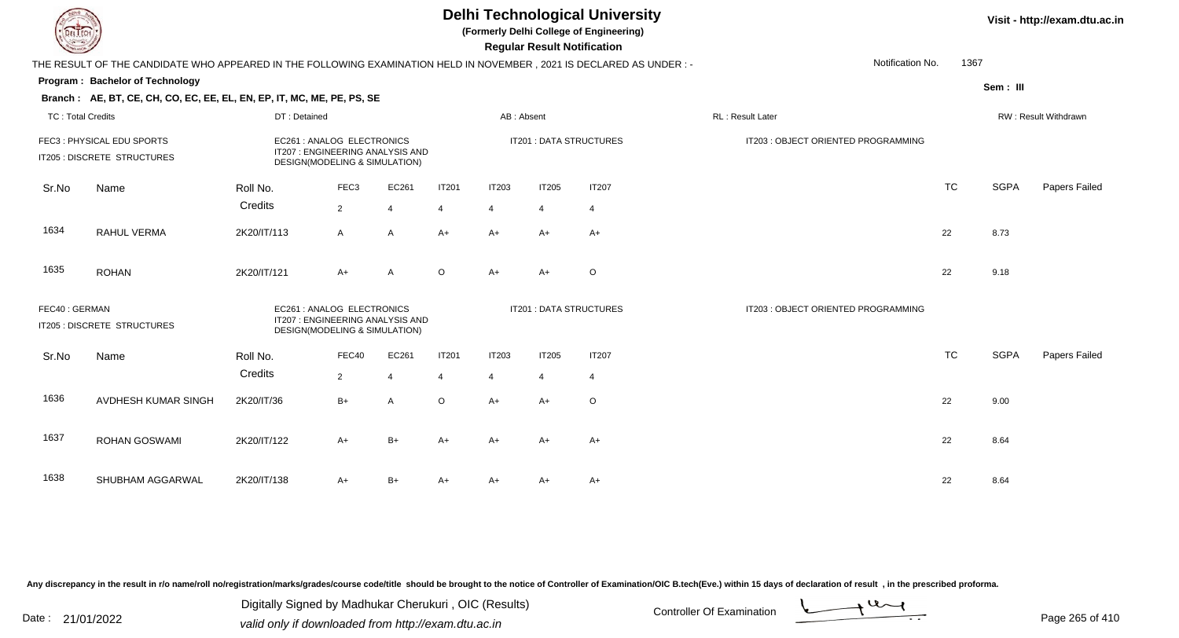**(Formerly Delhi College of Engineering)**

 **Regular Result Notification**

|                          | THE RESULT OF THE CANDIDATE WHO APPEARED IN THE FOLLOWING EXAMINATION HELD IN NOVEMBER, 2021 IS DECLARED AS UNDER :- |                                                                                                |                                                                                                |                |                | Notification No.<br>1367 |                         |                                     |                                     |           |             |                      |
|--------------------------|----------------------------------------------------------------------------------------------------------------------|------------------------------------------------------------------------------------------------|------------------------------------------------------------------------------------------------|----------------|----------------|--------------------------|-------------------------|-------------------------------------|-------------------------------------|-----------|-------------|----------------------|
|                          | Program: Bachelor of Technology                                                                                      |                                                                                                |                                                                                                |                |                |                          |                         |                                     |                                     |           | Sem: III    |                      |
|                          | Branch: AE, BT, CE, CH, CO, EC, EE, EL, EN, EP, IT, MC, ME, PE, PS, SE                                               |                                                                                                |                                                                                                |                |                |                          |                         |                                     |                                     |           |             |                      |
| <b>TC: Total Credits</b> |                                                                                                                      | DT: Detained                                                                                   |                                                                                                |                |                | AB: Absent               |                         |                                     | <b>RL: Result Later</b>             |           |             | RW: Result Withdrawn |
|                          | FEC3: PHYSICAL EDU SPORTS<br>IT205 : DISCRETE STRUCTURES                                                             |                                                                                                | EC261 : ANALOG ELECTRONICS<br>IT207: ENGINEERING ANALYSIS AND<br>DESIGN(MODELING & SIMULATION) |                |                |                          |                         | IT201 : DATA STRUCTURES             | IT203 : OBJECT ORIENTED PROGRAMMING |           |             |                      |
| Sr.No                    | Name                                                                                                                 | Roll No.                                                                                       | FEC <sub>3</sub>                                                                               | EC261          | <b>IT201</b>   | IT203                    | <b>IT205</b>            | <b>IT207</b>                        |                                     | <b>TC</b> | <b>SGPA</b> | Papers Failed        |
|                          |                                                                                                                      | Credits                                                                                        | 2                                                                                              | $\overline{4}$ | $\overline{4}$ | $\overline{4}$           | $\overline{4}$          | $\overline{4}$                      |                                     |           |             |                      |
| 1634                     | RAHUL VERMA                                                                                                          | 2K20/IT/113                                                                                    | $\overline{A}$                                                                                 | $\overline{A}$ | $A+$           | $A+$                     | $A+$                    | $A+$                                |                                     | 22        | 8.73        |                      |
| 1635                     | <b>ROHAN</b>                                                                                                         | 2K20/IT/121                                                                                    | $A+$                                                                                           | A              | $\circ$        | A+                       | $A+$                    | $\circ$                             |                                     | 22        | 9.18        |                      |
| FEC40: GERMAN            | IT205 : DISCRETE STRUCTURES                                                                                          | EC261 : ANALOG ELECTRONICS<br>IT207: ENGINEERING ANALYSIS AND<br>DESIGN(MODELING & SIMULATION) |                                                                                                |                |                |                          | IT201 : DATA STRUCTURES | IT203 : OBJECT ORIENTED PROGRAMMING |                                     |           |             |                      |
| Sr.No                    | Name                                                                                                                 | Roll No.                                                                                       | FEC40                                                                                          | EC261          | <b>IT201</b>   | <b>IT203</b>             | <b>IT205</b>            | <b>IT207</b>                        |                                     | <b>TC</b> | <b>SGPA</b> | Papers Failed        |
|                          |                                                                                                                      | Credits                                                                                        | $\overline{2}$                                                                                 | $\overline{4}$ | $\overline{4}$ | 4                        | $\overline{4}$          | 4                                   |                                     |           |             |                      |
| 1636                     | AVDHESH KUMAR SINGH                                                                                                  | 2K20/IT/36                                                                                     | $B+$                                                                                           | A              | $\circ$        | $A+$                     | $A+$                    | O                                   |                                     | 22        | 9.00        |                      |
| 1637                     | ROHAN GOSWAMI                                                                                                        | 2K20/IT/122                                                                                    | $A+$                                                                                           | $B+$           | $A+$           | $A+$                     | $A+$                    | $A+$                                |                                     | 22        | 8.64        |                      |
| 1638                     | SHUBHAM AGGARWAL                                                                                                     | 2K20/IT/138                                                                                    | $A+$                                                                                           | $B+$           | A+             | A+                       | A+                      | A+                                  |                                     | 22        | 8.64        |                      |

Any discrepancy in the result in r/o name/roll no/registration/marks/grades/course code/title should be brought to the notice of Controller of Examination/OIC B.tech(Eve.) within 15 days of declaration of result, in the pr

Date : 21/01/2022 Digital Digital of Microsofted Chemical Controller Of Examination Determination Page 265 of 41 Digitally Signed by Madhukar Cherukuri , OIC (Results)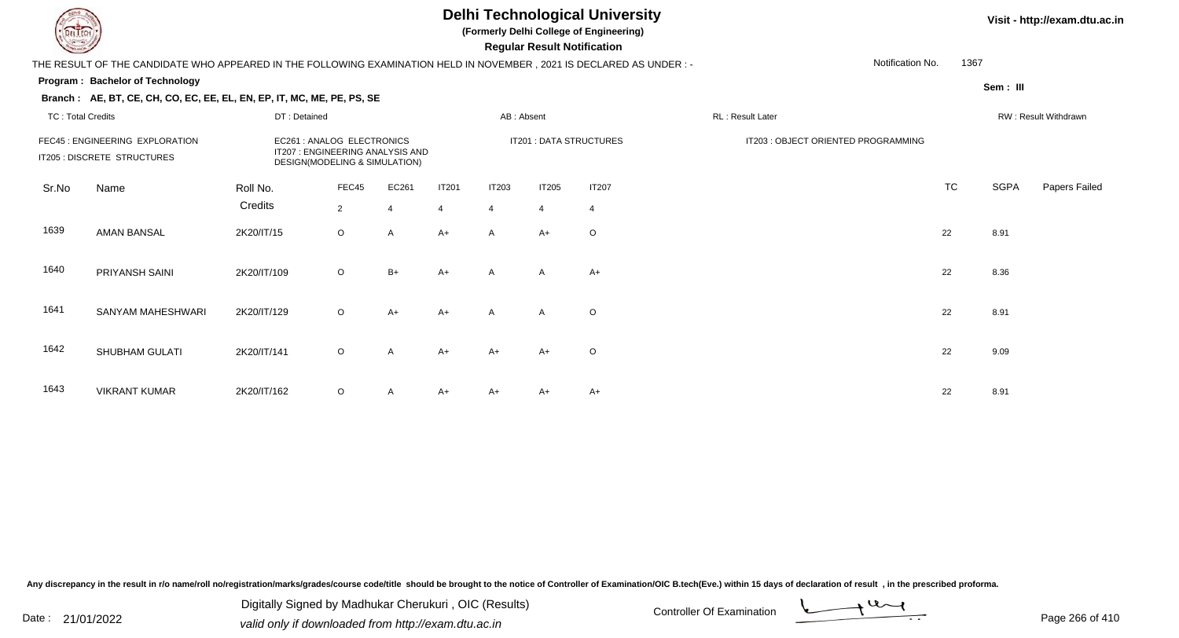**(Formerly Delhi College of Engineering)**

 **Regular Result Notification**

#### **Visit - http://exam.dtu.ac.in**

THE RESULT OF THE CANDIDATE WHO APPEARED IN THE FOLLOWING EXAMINATION HELD IN NOVEMBER , 2021 IS DECLARED AS UNDER : -

#### **Program : Bachelor of Technology**

**Branch : AE, BT, CE, CH, CO, EC, EE, EL, EN, EP, IT, MC, ME, PE, PS, SE**

**Sem : III**

1367

Notification No.

#### TC : Total Credits DT : Detainedd AB : Absent RL : Result Later RW : Result Withdrawn Sr.NoName Roll No. **Credits** FEC45 : ENGINEERING EXPLORATION EC261 : ANALOG ELECTRONICS IT201 : DATA STRUCTURES IT203 : OBJECT ORIENTED PROGRAMMINGIT205 : DISCRETE STRUCTURESDESIGN(MODELING & SIMULATION) FEC455 EC261 IT201 IT203 IT205 IT207 1T207 1T207 1T207 1TC TC SGPA Papers Failed 22 4 4 4 4 4 1639 AMAN BANSAL 2K20/IT/15 <sup>O</sup>O A A+ A A+ O 1640 PRIYANSH SAINI 2K20/IT/1099 O O B+ A+ A A A+ <br>
22 8.36 1641SANYAM MAHESHWARI 2K20/IT/129 9 O O A+ A+ A A O 22 8.91 1642SHUBHAM GULATI 2K20/IT/141 1 O O A A+ A+ A+ O 22 9.09 1643 VIKRANT KUMARR 2K20/IT/162 O A A+ A+ A+ A+ A+ C C C C 22 8.91

Any discrepancy in the result in r/o name/roll no/registration/marks/grades/course code/title should be brought to the notice of Controller of Examination/OIC B.tech(Eve.) within 15 days of declaration of result , in the p

Date : 21/01/2022 Digital Digital of Microsofted Chemical Controller Of Examination Determination Page 266 of 41

Digitally Signed by Madhukar Cherukuri , OIC (Results)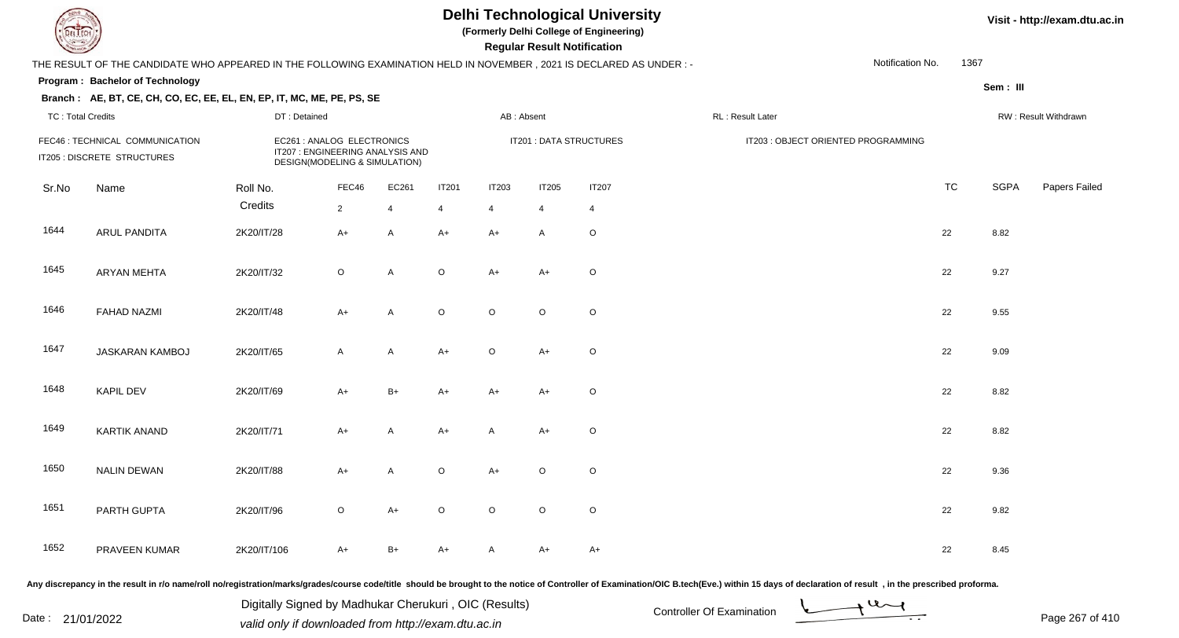**(Formerly Delhi College of Engineering)**

 **Regular Result Notification**

### **Visit - http://exam.dtu.ac.in**

|                          | THE RESULT OF THE CANDIDATE WHO APPEARED IN THE FOLLOWING EXAMINATION HELD IN NOVEMBER, 2021 IS DECLARED AS UNDER :- |                     |                                                                                                 |                         |                   |                                |                                |                         |                                     | Notification No. | 1367      |             |                      |
|--------------------------|----------------------------------------------------------------------------------------------------------------------|---------------------|-------------------------------------------------------------------------------------------------|-------------------------|-------------------|--------------------------------|--------------------------------|-------------------------|-------------------------------------|------------------|-----------|-------------|----------------------|
|                          | Program: Bachelor of Technology                                                                                      |                     |                                                                                                 |                         |                   |                                |                                |                         |                                     |                  |           | Sem: III    |                      |
| <b>TC: Total Credits</b> | Branch: AE, BT, CE, CH, CO, EC, EE, EL, EN, EP, IT, MC, ME, PE, PS, SE                                               | DT: Detained        |                                                                                                 |                         |                   |                                | AB: Absent                     |                         | RL: Result Later                    |                  |           |             | RW: Result Withdrawn |
|                          | FEC46 : TECHNICAL COMMUNICATION<br>IT205 : DISCRETE STRUCTURES                                                       |                     | EC261 : ANALOG ELECTRONICS<br>IT207 : ENGINEERING ANALYSIS AND<br>DESIGN(MODELING & SIMULATION) |                         |                   |                                |                                | IT201 : DATA STRUCTURES | IT203 : OBJECT ORIENTED PROGRAMMING |                  |           |             |                      |
| Sr.No                    | Name                                                                                                                 | Roll No.<br>Credits | FEC46<br>$\overline{2}$                                                                         | EC261<br>$\overline{4}$ | <b>IT201</b><br>4 | <b>IT203</b><br>$\overline{4}$ | <b>IT205</b><br>$\overline{4}$ | <b>IT207</b><br>4       |                                     |                  | <b>TC</b> | <b>SGPA</b> | Papers Failed        |
| 1644                     | ARUL PANDITA                                                                                                         | 2K20/IT/28          | $A+$                                                                                            | $\mathsf{A}$            | $A+$              | $A+$                           | $\mathsf{A}$                   | $\circ$                 |                                     |                  | 22        | 8.82        |                      |
| 1645                     | <b>ARYAN MEHTA</b>                                                                                                   | 2K20/IT/32          | $\circ$                                                                                         | A                       | $\circ$           | $A+$                           | $A+$                           | $\circ$                 |                                     |                  | 22        | 9.27        |                      |
| 1646                     | <b>FAHAD NAZMI</b>                                                                                                   | 2K20/IT/48          | $A+$                                                                                            | A                       | $\circ$           | $\circ$                        | $\mathsf O$                    | $\circ$                 |                                     |                  | 22        | 9.55        |                      |
| 1647                     | JASKARAN KAMBOJ                                                                                                      | 2K20/IT/65          | $\mathsf{A}$                                                                                    | A                       | $A+$              | $\circ$                        | $A+$                           | $\circ$                 |                                     |                  | 22        | 9.09        |                      |
| 1648                     | <b>KAPIL DEV</b>                                                                                                     | 2K20/IT/69          | $A+$                                                                                            | $B+$                    | $A+$              | $A+$                           | $A+$                           | $\circ$                 |                                     |                  | 22        | 8.82        |                      |
| 1649                     | <b>KARTIK ANAND</b>                                                                                                  | 2K20/IT/71          | $A+$                                                                                            | A                       | $A+$              | A                              | $A+$                           | $\circ$                 |                                     |                  | 22        | 8.82        |                      |
| 1650                     | <b>NALIN DEWAN</b>                                                                                                   | 2K20/IT/88          | $A+$                                                                                            | A                       | O                 | $A+$                           | $\circ$                        | $\circ$                 |                                     |                  | 22        | 9.36        |                      |
| 1651                     | PARTH GUPTA                                                                                                          | 2K20/IT/96          | $\circ$                                                                                         | $A+$                    | $\circ$           | $\circ$                        | $\circ$                        | $\circ$                 |                                     |                  | 22        | 9.82        |                      |
| 1652                     | PRAVEEN KUMAR                                                                                                        | 2K20/IT/106         | A+                                                                                              | B+                      | A+                | $\mathsf{A}$                   | $A+$                           | A+                      |                                     |                  | 22        | 8.45        |                      |

Any discrepancy in the result in r/o name/roll no/registration/marks/grades/course code/title should be brought to the notice of Controller of Examination/OIC B.tech(Eve.) within 15 days of declaration of result, in the pr

Date : 21/01/2022 Digital Digital of Microsofted Chemical Controller Of Examination Determination Page 267 of 41 Digitally Signed by Madhukar Cherukuri , OIC (Results)

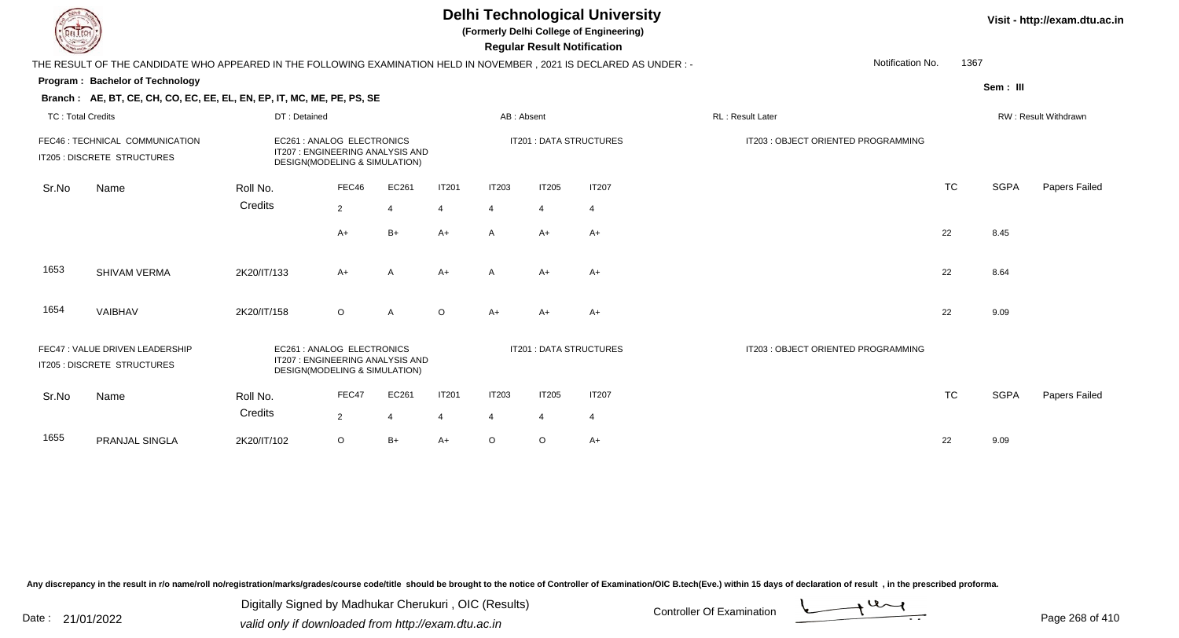|                          | <b>Delhi Technological University</b><br>Visit - http://exam.dtu.ac.in<br>(Formerly Delhi College of Engineering)<br><b>Regular Result Notification</b>           |              |                                                                                                |                          |              |                |                |                         |                                     |           |             |                      |  |  |
|--------------------------|-------------------------------------------------------------------------------------------------------------------------------------------------------------------|--------------|------------------------------------------------------------------------------------------------|--------------------------|--------------|----------------|----------------|-------------------------|-------------------------------------|-----------|-------------|----------------------|--|--|
|                          | THE RESULT OF THE CANDIDATE WHO APPEARED IN THE FOLLOWING EXAMINATION HELD IN NOVEMBER , 2021 IS DECLARED AS UNDER : -                                            |              |                                                                                                |                          |              |                |                |                         | Notification No.                    | 1367      |             |                      |  |  |
|                          | Program: Bachelor of Technology                                                                                                                                   |              |                                                                                                |                          |              |                |                |                         |                                     |           | Sem: III    |                      |  |  |
|                          | Branch: AE, BT, CE, CH, CO, EC, EE, EL, EN, EP, IT, MC, ME, PE, PS, SE                                                                                            |              |                                                                                                |                          |              |                |                |                         |                                     |           |             |                      |  |  |
| <b>TC: Total Credits</b> |                                                                                                                                                                   | DT: Detained |                                                                                                |                          |              | AB: Absent     |                |                         | RL: Result Later                    |           |             | RW: Result Withdrawn |  |  |
|                          | FEC46 : TECHNICAL COMMUNICATION<br>EC261 : ANALOG ELECTRONICS<br>IT207 : ENGINEERING ANALYSIS AND<br>IT205 : DISCRETE STRUCTURES<br>DESIGN(MODELING & SIMULATION) |              |                                                                                                |                          |              |                |                | IT201 : DATA STRUCTURES | IT203 : OBJECT ORIENTED PROGRAMMING |           |             |                      |  |  |
| Sr.No                    | Name                                                                                                                                                              | Roll No.     | FEC46                                                                                          | EC261                    | <b>IT201</b> | <b>IT203</b>   | <b>IT205</b>   | <b>IT207</b>            |                                     | <b>TC</b> | <b>SGPA</b> | Papers Failed        |  |  |
|                          |                                                                                                                                                                   | Credits      | $\overline{2}$                                                                                 | $\boldsymbol{\varDelta}$ | 4            | 4              | $\overline{4}$ | $\overline{4}$          |                                     |           |             |                      |  |  |
|                          |                                                                                                                                                                   |              | A+                                                                                             | $B+$                     | $A+$         | $\mathsf{A}$   | A+             | $A+$                    |                                     | 22        | 8.45        |                      |  |  |
| 1653                     | SHIVAM VERMA                                                                                                                                                      | 2K20/IT/133  | $A+$                                                                                           | $\overline{A}$           | $A+$         | $\mathsf{A}$   | $A+$           | $A+$                    |                                     | 22        | 8.64        |                      |  |  |
| 1654                     | VAIBHAV                                                                                                                                                           | 2K20/IT/158  | $\circ$                                                                                        | A                        | $\Omega$     | $A+$           | A+             | A+                      |                                     | 22        | 9.09        |                      |  |  |
|                          | FEC47 : VALUE DRIVEN LEADERSHIP<br>IT205 : DISCRETE STRUCTURES                                                                                                    |              | EC261 : ANALOG ELECTRONICS<br>IT207: ENGINEERING ANALYSIS AND<br>DESIGN(MODELING & SIMULATION) |                          |              |                |                | IT201 : DATA STRUCTURES | IT203 : OBJECT ORIENTED PROGRAMMING |           |             |                      |  |  |
| Sr.No                    | Name                                                                                                                                                              | Roll No.     | FEC47                                                                                          | EC261                    | <b>IT201</b> | <b>IT203</b>   | <b>IT205</b>   | <b>IT207</b>            |                                     | <b>TC</b> | <b>SGPA</b> | Papers Failed        |  |  |
|                          |                                                                                                                                                                   | Credits      | $\overline{2}$                                                                                 | $\overline{4}$           | 4            | $\overline{4}$ | $\overline{4}$ | $\overline{4}$          |                                     |           |             |                      |  |  |
| 1655                     | PRANJAL SINGLA                                                                                                                                                    | 2K20/IT/102  | $\circ$                                                                                        | $B+$                     | $A+$         | $\circ$        | O              | $A+$                    |                                     | 22        | 9.09        |                      |  |  |

一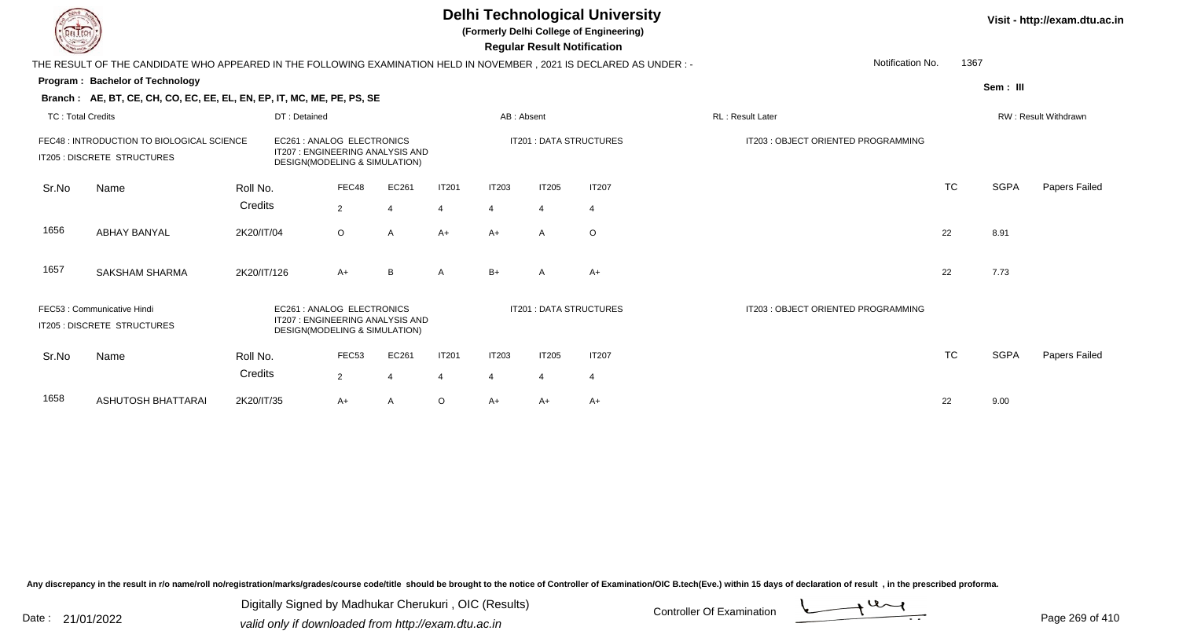**(Formerly Delhi College of Engineering)**

 **Regular Result Notification**

|                          | Notification No.<br>1367<br>THE RESULT OF THE CANDIDATE WHO APPEARED IN THE FOLLOWING EXAMINATION HELD IN NOVEMBER, 2021 IS DECLARED AS UNDER: -                           |              |                                                                                                |                          |                |                |                |                                |                                     |           |             |                      |  |  |
|--------------------------|----------------------------------------------------------------------------------------------------------------------------------------------------------------------------|--------------|------------------------------------------------------------------------------------------------|--------------------------|----------------|----------------|----------------|--------------------------------|-------------------------------------|-----------|-------------|----------------------|--|--|
|                          | Program: Bachelor of Technology                                                                                                                                            |              |                                                                                                |                          |                |                |                |                                |                                     |           | Sem : III   |                      |  |  |
|                          | Branch: AE, BT, CE, CH, CO, EC, EE, EL, EN, EP, IT, MC, ME, PE, PS, SE                                                                                                     |              |                                                                                                |                          |                |                |                |                                |                                     |           |             |                      |  |  |
| <b>TC: Total Credits</b> |                                                                                                                                                                            | DT: Detained |                                                                                                |                          |                | AB: Absent     |                |                                | RL: Result Later                    |           |             | RW: Result Withdrawn |  |  |
|                          | FEC48 : INTRODUCTION TO BIOLOGICAL SCIENCE<br>EC261: ANALOG ELECTRONICS<br>IT207: ENGINEERING ANALYSIS AND<br>IT205 : DISCRETE STRUCTURES<br>DESIGN(MODELING & SIMULATION) |              |                                                                                                |                          |                |                |                | <b>IT201: DATA STRUCTURES</b>  | IT203 : OBJECT ORIENTED PROGRAMMING |           |             |                      |  |  |
| Sr.No                    | Name                                                                                                                                                                       | Roll No.     | FEC48                                                                                          | EC261                    | <b>IT201</b>   | <b>IT203</b>   | <b>IT205</b>   | <b>IT207</b>                   |                                     | <b>TC</b> | <b>SGPA</b> | Papers Failed        |  |  |
|                          |                                                                                                                                                                            | Credits      | $\overline{2}$                                                                                 | $\boldsymbol{\varDelta}$ | $\overline{4}$ | $\overline{4}$ | $\overline{4}$ | $\overline{4}$                 |                                     |           |             |                      |  |  |
| 1656                     | <b>ABHAY BANYAL</b>                                                                                                                                                        | 2K20/IT/04   | $\circ$                                                                                        | A                        | $A+$           | $A+$           | $\mathsf{A}$   | $\circ$                        |                                     | 22        | 8.91        |                      |  |  |
| 1657                     | <b>SAKSHAM SHARMA</b>                                                                                                                                                      | 2K20/IT/126  | $A+$                                                                                           | B                        | A              | $B+$           | A              | $A+$                           |                                     | 22        | 7.73        |                      |  |  |
|                          | FEC53: Communicative Hindi<br>IT205 : DISCRETE STRUCTURES                                                                                                                  |              | EC261: ANALOG ELECTRONICS<br>IT207 : ENGINEERING ANALYSIS AND<br>DESIGN(MODELING & SIMULATION) |                          |                |                |                | <b>IT201 : DATA STRUCTURES</b> | IT203: OBJECT ORIENTED PROGRAMMING  |           |             |                      |  |  |
| Sr.No                    | Name                                                                                                                                                                       | Roll No.     | FEC53                                                                                          | EC261                    | <b>IT201</b>   | <b>IT203</b>   | <b>IT205</b>   | <b>IT207</b>                   |                                     | <b>TC</b> | <b>SGPA</b> | Papers Failed        |  |  |
|                          |                                                                                                                                                                            | Credits      | $\overline{2}$                                                                                 |                          | $\overline{4}$ | $\overline{4}$ | $\overline{4}$ | $\overline{4}$                 |                                     |           |             |                      |  |  |
| 1658                     | ASHUTOSH BHATTARAI                                                                                                                                                         | 2K20/IT/35   | $A+$                                                                                           |                          | $\circ$        | A+             | A+             | A+                             |                                     | 22        | 9.00        |                      |  |  |

Any discrepancy in the result in r/o name/roll no/registration/marks/grades/course code/title should be brought to the notice of Controller of Examination/OIC B.tech(Eve.) within 15 days of declaration of result, in the pr

Date : 21/01/2022 Digital Digital of Microsofted Chemical Controller Of Examination Determination Page 269 of 41 Digitally Signed by Madhukar Cherukuri , OIC (Results)

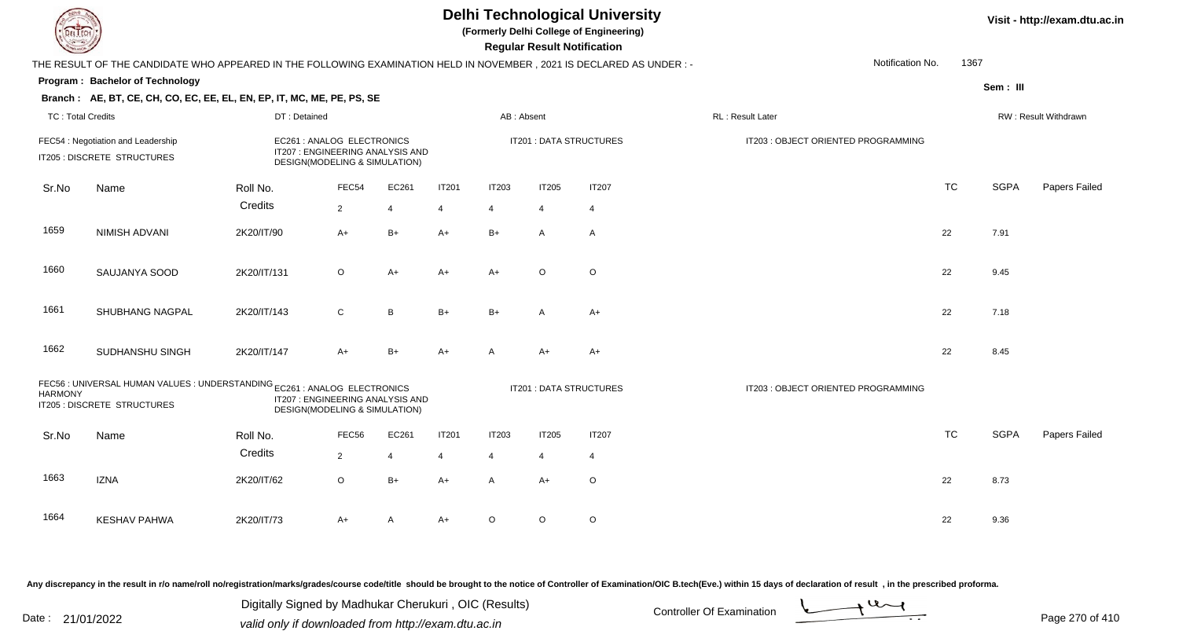**(Formerly Delhi College of Engineering)**

 **Regular Result Notification**

|                          | THE RESULT OF THE CANDIDATE WHO APPEARED IN THE FOLLOWING EXAMINATION HELD IN NOVEMBER, 2021 IS DECLARED AS UNDER :- |                                                                                                 |                |                |              | Notification No.<br>1367 |                |                         |                                     |           |             |                      |
|--------------------------|----------------------------------------------------------------------------------------------------------------------|-------------------------------------------------------------------------------------------------|----------------|----------------|--------------|--------------------------|----------------|-------------------------|-------------------------------------|-----------|-------------|----------------------|
|                          | Program: Bachelor of Technology                                                                                      |                                                                                                 |                |                |              |                          |                |                         |                                     |           | Sem: III    |                      |
|                          | Branch: AE, BT, CE, CH, CO, EC, EE, EL, EN, EP, IT, MC, ME, PE, PS, SE                                               |                                                                                                 |                |                |              |                          |                |                         |                                     |           |             |                      |
| <b>TC: Total Credits</b> |                                                                                                                      | DT: Detained                                                                                    |                |                |              | AB: Absent               |                |                         | RL: Result Later                    |           |             | RW: Result Withdrawn |
|                          | FEC54 : Negotiation and Leadership<br>IT205 : DISCRETE STRUCTURES                                                    | EC261 : ANALOG ELECTRONICS<br>IT207 : ENGINEERING ANALYSIS AND<br>DESIGN(MODELING & SIMULATION) |                |                |              |                          |                | IT201 : DATA STRUCTURES | IT203 : OBJECT ORIENTED PROGRAMMING |           |             |                      |
| Sr.No                    | Name                                                                                                                 | Roll No.                                                                                        | FEC54          | EC261          | <b>IT201</b> | <b>IT203</b>             | IT205          | <b>IT207</b>            |                                     | TC        | <b>SGPA</b> | Papers Failed        |
|                          |                                                                                                                      | Credits                                                                                         | $\overline{2}$ | $\overline{4}$ | 4            | 4                        | $\overline{4}$ | $\overline{4}$          |                                     |           |             |                      |
| 1659                     | NIMISH ADVANI                                                                                                        | 2K20/IT/90                                                                                      | $A+$           | $B+$           | A+           | $B+$                     | A              | $\mathsf{A}$            |                                     | 22        | 7.91        |                      |
| 1660                     | SAUJANYA SOOD                                                                                                        | 2K20/IT/131                                                                                     | $\circ$        | $A+$           | A+           | $A+$                     | $\circ$        | $\circ$                 |                                     | 22        | 9.45        |                      |
| 1661                     | SHUBHANG NAGPAL                                                                                                      | 2K20/IT/143                                                                                     | C              | B              | $B+$         | $B+$                     | A              | $A+$                    |                                     | 22        | 7.18        |                      |
| 1662                     | SUDHANSHU SINGH                                                                                                      | 2K20/IT/147                                                                                     | $A+$           | $B+$           | A+           | $\mathsf{A}$             | $A+$           | $A+$                    |                                     | 22        | 8.45        |                      |
| <b>HARMONY</b>           | FEC56 : UNIVERSAL HUMAN VALUES : UNDERSTANDING EC261 : ANALOG ELECTRONICS<br>IT205 : DISCRETE STRUCTURES             | IT207 : ENGINEERING ANALYSIS AND<br>DESIGN(MODELING & SIMULATION)                               |                |                |              |                          |                | IT201 : DATA STRUCTURES | IT203 : OBJECT ORIENTED PROGRAMMING |           |             |                      |
| Sr.No                    | Name                                                                                                                 | Roll No.                                                                                        | FEC56          | EC261          | <b>IT201</b> | <b>IT203</b>             | IT205          | <b>IT207</b>            |                                     | <b>TC</b> | <b>SGPA</b> | Papers Failed        |
|                          |                                                                                                                      | Credits                                                                                         | $\overline{2}$ | $\overline{4}$ | 4            | 4                        | $\overline{4}$ | 4                       |                                     |           |             |                      |
| 1663                     | <b>IZNA</b>                                                                                                          | 2K20/IT/62                                                                                      | $\circ$        | $B+$           | A+           | A                        | $A+$           | $\circ$                 |                                     | 22        | 8.73        |                      |
| 1664                     | <b>KESHAV PAHWA</b>                                                                                                  | 2K20/IT/73                                                                                      | $A+$           | A              | A+           | O                        | O              | $\circ$                 |                                     | 22        | 9.36        |                      |

Any discrepancy in the result in r/o name/roll no/registration/marks/grades/course code/title should be brought to the notice of Controller of Examination/OIC B.tech(Eve.) within 15 days of declaration of result, in the pr

Date : 21/01/2022 Digital Digital of Microsofted Chemical Controller Of Examination Determination Page 270 of 41 Digitally Signed by Madhukar Cherukuri , OIC (Results)



Page 270 of 410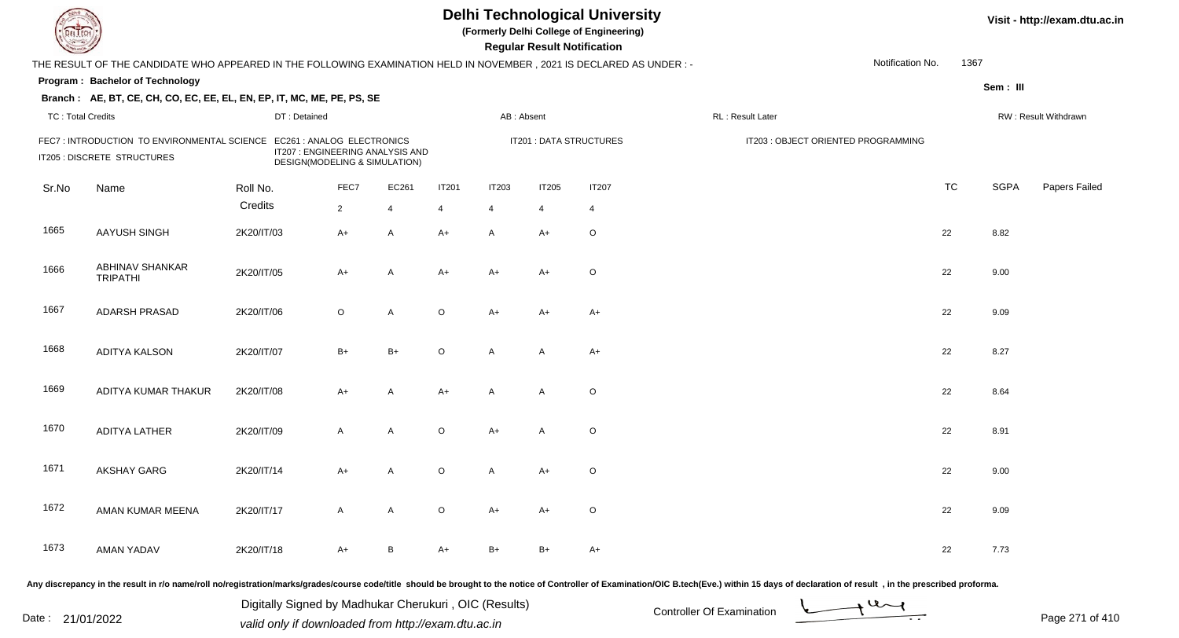| EL ECH                   |                                                                                                                     |                               |                |                                  |                |              | <b>Regular Result Notification</b> | <b>Delhi Technological University</b><br>(Formerly Delhi College of Engineering) |                                     |                  | Visit - http://exam.dtu.ac.in |             |                      |
|--------------------------|---------------------------------------------------------------------------------------------------------------------|-------------------------------|----------------|----------------------------------|----------------|--------------|------------------------------------|----------------------------------------------------------------------------------|-------------------------------------|------------------|-------------------------------|-------------|----------------------|
|                          | THE RESULT OF THE CANDIDATE WHO APPEARED IN THE FOLLOWING EXAMINATION HELD IN NOVEMBER, 2021 IS DECLARED AS UNDER:- |                               |                |                                  |                |              |                                    |                                                                                  |                                     | Notification No. | 1367                          |             |                      |
|                          | Program: Bachelor of Technology                                                                                     |                               |                |                                  |                |              |                                    |                                                                                  |                                     |                  |                               | Sem: III    |                      |
|                          | Branch: AE, BT, CE, CH, CO, EC, EE, EL, EN, EP, IT, MC, ME, PE, PS, SE                                              |                               |                |                                  |                |              |                                    |                                                                                  |                                     |                  |                               |             |                      |
| <b>TC: Total Credits</b> |                                                                                                                     | DT: Detained                  |                |                                  |                | AB: Absent   |                                    |                                                                                  | RL : Result Later                   |                  |                               |             | RW: Result Withdrawn |
|                          | FEC7: INTRODUCTION TO ENVIRONMENTAL SCIENCE EC261 : ANALOG ELECTRONICS<br>IT205 : DISCRETE STRUCTURES               | DESIGN(MODELING & SIMULATION) |                | IT207 : ENGINEERING ANALYSIS AND |                |              |                                    | IT201 : DATA STRUCTURES                                                          | IT203 : OBJECT ORIENTED PROGRAMMING |                  |                               |             |                      |
| Sr.No                    | Name                                                                                                                | Roll No.                      | FEC7           | EC261                            | <b>IT201</b>   | <b>IT203</b> | <b>IT205</b>                       | <b>IT207</b>                                                                     |                                     |                  | <b>TC</b>                     | <b>SGPA</b> | Papers Failed        |
|                          |                                                                                                                     | Credits                       | $\overline{2}$ | $\overline{4}$                   | $\overline{4}$ | 4            | 4                                  | $\overline{4}$                                                                   |                                     |                  |                               |             |                      |
| 1665                     | AAYUSH SINGH                                                                                                        | 2K20/IT/03                    | A+             | A                                | $A+$           | A            | A+                                 | $\circ$                                                                          |                                     |                  | 22                            | 8.82        |                      |
| 1666                     | ABHINAV SHANKAR<br><b>TRIPATHI</b>                                                                                  | 2K20/IT/05                    | A+             | Α                                | A+             | $A+$         | A+                                 | $\circ$                                                                          |                                     |                  | 22                            | 9.00        |                      |
| 1667                     | <b>ADARSH PRASAD</b>                                                                                                | 2K20/IT/06                    | $\circ$        | A                                | $\circ$        | $A+$         | A+                                 | A+                                                                               |                                     |                  | 22                            | 9.09        |                      |
| 1668                     | <b>ADITYA KALSON</b>                                                                                                | 2K20/IT/07                    | $B+$           | $B+$                             | $\circ$        | $\mathsf{A}$ | A                                  | $A+$                                                                             |                                     |                  | 22                            | 8.27        |                      |
| 1669                     | ADITYA KUMAR THAKUR                                                                                                 | 2K20/IT/08                    | A+             | A                                | $A+$           | $\mathsf{A}$ | $\mathsf{A}$                       | $\mathsf O$                                                                      |                                     |                  | 22                            | 8.64        |                      |
| 1670                     | ADITYA LATHER                                                                                                       | 2K20/IT/09                    | A              | A                                | $\circ$        | $A+$         | $\mathsf{A}$                       | $\circ$                                                                          |                                     |                  | 22                            | 8.91        |                      |
| 1671                     | <b>AKSHAY GARG</b>                                                                                                  | 2K20/IT/14                    | A+             | A                                | $\circ$        | A            | A+                                 | $\mathsf O$                                                                      |                                     |                  | 22                            | 9.00        |                      |
| 1672                     | AMAN KUMAR MEENA                                                                                                    | 2K20/IT/17                    | A              | A                                | $\circ$        | A+           | A+                                 | $\circ$                                                                          |                                     |                  | 22                            | 9.09        |                      |
| 1673                     | AMAN YADAV                                                                                                          | 2K20/IT/18                    | A+             | B                                | A+             | B+           | $B+$                               | A+                                                                               |                                     |                  | 22                            | 7.73        |                      |
|                          |                                                                                                                     |                               |                |                                  |                |              |                                    |                                                                                  |                                     |                  |                               |             |                      |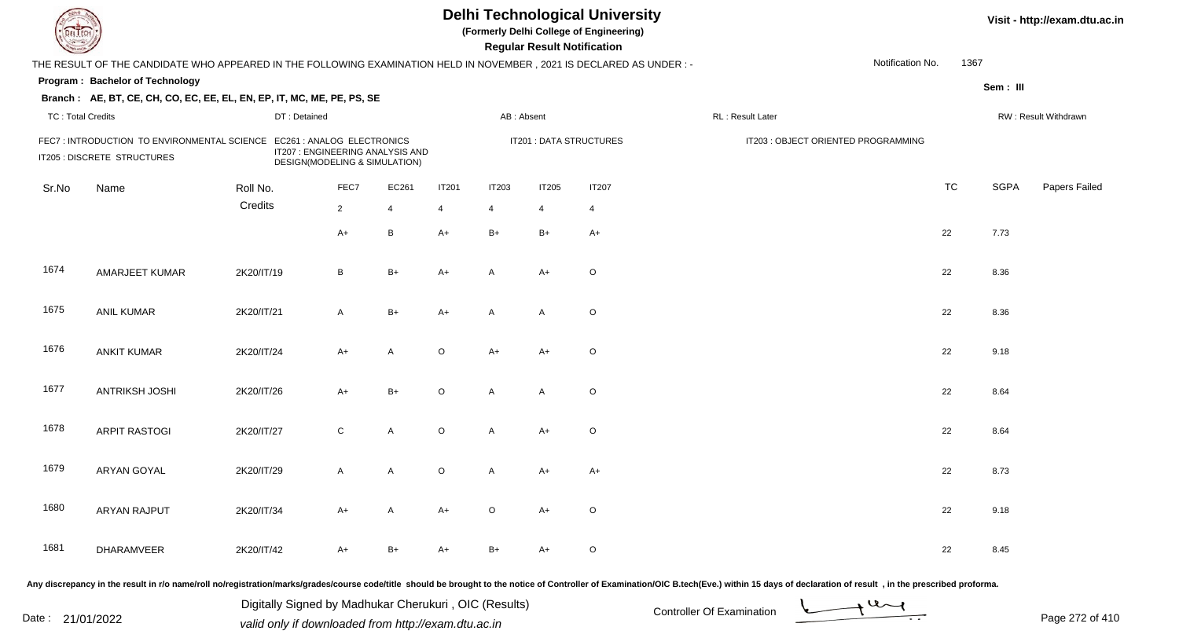| DEL TECH                 |                                                                                                                       |              |                                                                   |                | <b>Delhi Technological University</b><br>(Formerly Delhi College of Engineering)<br><b>Regular Result Notification</b> |                |                         |                |                                                                                                                                                                                                                                |                  |           |             | Visit - http://exam.dtu.ac.in |  |  |
|--------------------------|-----------------------------------------------------------------------------------------------------------------------|--------------|-------------------------------------------------------------------|----------------|------------------------------------------------------------------------------------------------------------------------|----------------|-------------------------|----------------|--------------------------------------------------------------------------------------------------------------------------------------------------------------------------------------------------------------------------------|------------------|-----------|-------------|-------------------------------|--|--|
|                          | THE RESULT OF THE CANDIDATE WHO APPEARED IN THE FOLLOWING EXAMINATION HELD IN NOVEMBER, 2021 IS DECLARED AS UNDER : - |              |                                                                   |                |                                                                                                                        |                |                         |                |                                                                                                                                                                                                                                | Notification No. | 1367      |             |                               |  |  |
|                          | Program: Bachelor of Technology                                                                                       |              |                                                                   |                |                                                                                                                        |                |                         |                |                                                                                                                                                                                                                                |                  |           | Sem: III    |                               |  |  |
|                          | Branch: AE, BT, CE, CH, CO, EC, EE, EL, EN, EP, IT, MC, ME, PE, PS, SE                                                |              |                                                                   |                |                                                                                                                        |                |                         |                |                                                                                                                                                                                                                                |                  |           |             |                               |  |  |
| <b>TC: Total Credits</b> |                                                                                                                       | DT: Detained |                                                                   |                |                                                                                                                        | AB: Absent     |                         |                | RL: Result Later                                                                                                                                                                                                               |                  |           |             | RW: Result Withdrawn          |  |  |
|                          | FEC7: INTRODUCTION TO ENVIRONMENTAL SCIENCE EC261: ANALOG ELECTRONICS<br>IT205 : DISCRETE STRUCTURES                  |              | IT207 : ENGINEERING ANALYSIS AND<br>DESIGN(MODELING & SIMULATION) |                |                                                                                                                        |                | IT201 : DATA STRUCTURES |                | IT203 : OBJECT ORIENTED PROGRAMMING                                                                                                                                                                                            |                  |           |             |                               |  |  |
| Sr.No                    | Name                                                                                                                  | Roll No.     | FEC7                                                              | EC261          | <b>IT201</b>                                                                                                           | <b>IT203</b>   | <b>IT205</b>            | <b>IT207</b>   |                                                                                                                                                                                                                                |                  | <b>TC</b> | <b>SGPA</b> | Papers Failed                 |  |  |
|                          |                                                                                                                       | Credits      | $\overline{2}$                                                    | $\overline{4}$ | 4                                                                                                                      | $\overline{4}$ | 4                       | $\overline{4}$ |                                                                                                                                                                                                                                |                  |           |             |                               |  |  |
|                          |                                                                                                                       |              | $A+$                                                              | B              | $A+$                                                                                                                   | $B+$           | $B+$                    | $A+$           |                                                                                                                                                                                                                                |                  | 22        | 7.73        |                               |  |  |
| 1674                     | AMARJEET KUMAR                                                                                                        | 2K20/IT/19   | B                                                                 | $B+$           | $A+$                                                                                                                   | A              | $A+$                    | $\mathsf O$    |                                                                                                                                                                                                                                |                  | 22        | 8.36        |                               |  |  |
| 1675                     | <b>ANIL KUMAR</b>                                                                                                     | 2K20/IT/21   | $\mathsf{A}$                                                      | $B+$           | $A+$                                                                                                                   | A              | A                       | $\circ$        |                                                                                                                                                                                                                                |                  | 22        | 8.36        |                               |  |  |
| 1676                     | <b>ANKIT KUMAR</b>                                                                                                    | 2K20/IT/24   | $A+$                                                              | A              | $\circ$                                                                                                                | $A+$           | A+                      | $\circ$        |                                                                                                                                                                                                                                |                  | 22        | 9.18        |                               |  |  |
| 1677                     | <b>ANTRIKSH JOSHI</b>                                                                                                 | 2K20/IT/26   | $A+$                                                              | $B+$           | $\circ$                                                                                                                | A              | A                       | $\circ$        |                                                                                                                                                                                                                                |                  | 22        | 8.64        |                               |  |  |
| 1678                     | <b>ARPIT RASTOGI</b>                                                                                                  | 2K20/IT/27   | $\mathsf{C}$                                                      | A              | $\circ$                                                                                                                | A              | $A+$                    | $\circ$        |                                                                                                                                                                                                                                |                  | 22        | 8.64        |                               |  |  |
| 1679                     | ARYAN GOYAL                                                                                                           | 2K20/IT/29   | A                                                                 | A              | $\circ$                                                                                                                | A              | A+                      | $A+$           |                                                                                                                                                                                                                                |                  | 22        | 8.73        |                               |  |  |
| 1680                     | ARYAN RAJPUT                                                                                                          | 2K20/IT/34   | A+                                                                | $\mathsf{A}$   | $A+$                                                                                                                   | $\circ$        | A+                      | $\circ$        |                                                                                                                                                                                                                                |                  | 22        | 9.18        |                               |  |  |
| 1681                     | DHARAMVEER                                                                                                            | 2K20/IT/42   | A+                                                                | $B+$           | $A+$                                                                                                                   | $B+$           | A+                      | $\circ$        |                                                                                                                                                                                                                                |                  | 22        | 8.45        |                               |  |  |
|                          |                                                                                                                       |              |                                                                   |                |                                                                                                                        |                |                         |                | Any discrepancy in the result in r/o name/roll no/registration/marks/grades/course code/title should be brought to the notice of Controller of Examination/OIC B.tech(Eve.) within 15 days of declaration of result , in the p |                  |           |             |                               |  |  |

Date : 21/01/2022 Digital Digital of Microsofted Chemical Controller Of Examination Determination Page 272 of 41 Digitally Signed by Madhukar Cherukuri , OIC (Results)

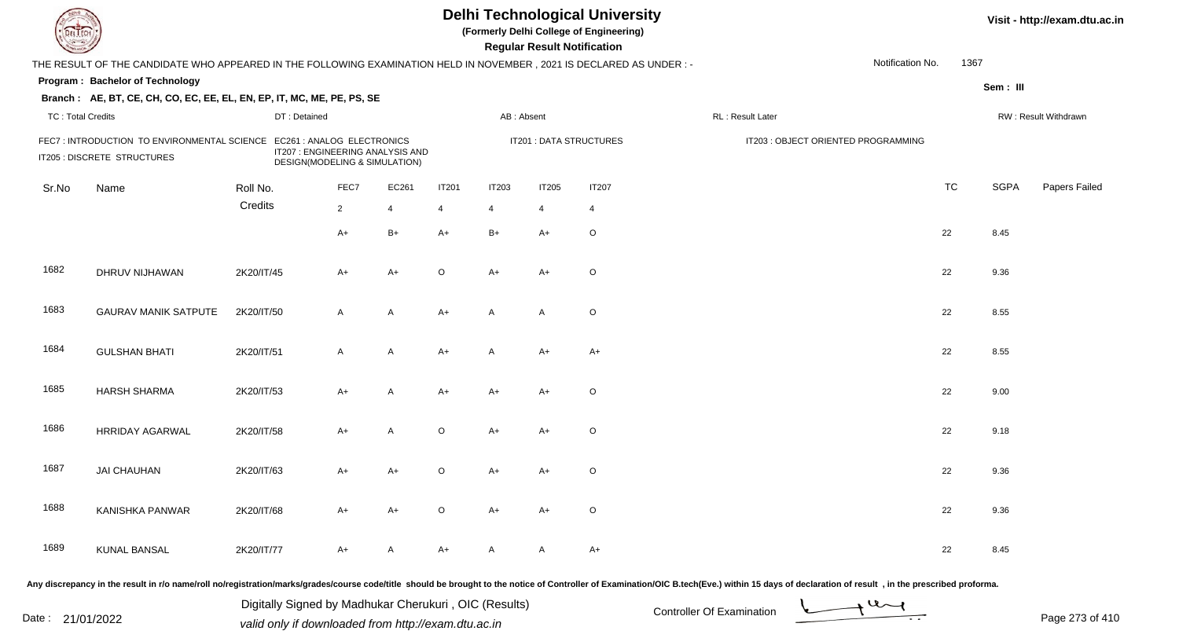| LI ECH                   |                                                                                                                       |              |                                                                   |                |              |                | <b>Regular Result Notification</b> | <b>Delhi Technological University</b><br>(Formerly Delhi College of Engineering) |                                     |                  | Visit - http://exam.dtu.ac.in |             |                      |
|--------------------------|-----------------------------------------------------------------------------------------------------------------------|--------------|-------------------------------------------------------------------|----------------|--------------|----------------|------------------------------------|----------------------------------------------------------------------------------|-------------------------------------|------------------|-------------------------------|-------------|----------------------|
|                          | THE RESULT OF THE CANDIDATE WHO APPEARED IN THE FOLLOWING EXAMINATION HELD IN NOVEMBER , 2021 IS DECLARED AS UNDER :- |              |                                                                   |                |              |                |                                    |                                                                                  |                                     | Notification No. | 1367                          |             |                      |
|                          | Program: Bachelor of Technology                                                                                       |              |                                                                   |                |              |                |                                    |                                                                                  |                                     |                  |                               | Sem: III    |                      |
|                          | Branch: AE, BT, CE, CH, CO, EC, EE, EL, EN, EP, IT, MC, ME, PE, PS, SE                                                |              |                                                                   |                |              |                |                                    |                                                                                  |                                     |                  |                               |             |                      |
| <b>TC: Total Credits</b> |                                                                                                                       | DT: Detained |                                                                   |                |              | AB: Absent     |                                    |                                                                                  | RL: Result Later                    |                  |                               |             | RW: Result Withdrawn |
|                          | FEC7: INTRODUCTION TO ENVIRONMENTAL SCIENCE EC261: ANALOG ELECTRONICS<br>IT205 : DISCRETE STRUCTURES                  |              | IT207 : ENGINEERING ANALYSIS AND<br>DESIGN(MODELING & SIMULATION) |                |              |                | IT201 : DATA STRUCTURES            |                                                                                  | IT203 : OBJECT ORIENTED PROGRAMMING |                  |                               |             |                      |
| Sr.No                    | Name                                                                                                                  | Roll No.     | FEC7                                                              | EC261          | <b>IT201</b> | <b>IT203</b>   | <b>IT205</b>                       | <b>IT207</b>                                                                     |                                     |                  | <b>TC</b>                     | <b>SGPA</b> | Papers Failed        |
|                          |                                                                                                                       | Credits      | $2^{\circ}$                                                       | $\overline{4}$ | 4            | $\overline{4}$ | 4                                  | $\overline{4}$                                                                   |                                     |                  |                               |             |                      |
|                          |                                                                                                                       |              | A+                                                                | $B+$           | $A+$         | $B+$           | $A+$                               | $\circ$                                                                          |                                     |                  | 22                            | 8.45        |                      |
| 1682                     | DHRUV NIJHAWAN                                                                                                        | 2K20/IT/45   | A+                                                                | $A+$           | O            | $A+$           | A+                                 | $\circ$                                                                          |                                     |                  | 22                            | 9.36        |                      |
| 1683                     | <b>GAURAV MANIK SATPUTE</b>                                                                                           | 2K20/IT/50   | $\mathsf{A}$                                                      | A              | $A+$         | $\mathsf{A}$   | A                                  | $\circ$                                                                          |                                     |                  | 22                            | 8.55        |                      |
| 1684                     | <b>GULSHAN BHATI</b>                                                                                                  | 2K20/IT/51   | $\mathsf{A}$                                                      | A              | $A+$         | $\mathsf{A}$   | A+                                 | A+                                                                               |                                     |                  | 22                            | 8.55        |                      |
| 1685                     | <b>HARSH SHARMA</b>                                                                                                   | 2K20/IT/53   | A+                                                                | Α              | A+           | $A+$           | A+                                 | $\mathsf O$                                                                      |                                     |                  | 22                            | 9.00        |                      |
| 1686                     | <b>HRRIDAY AGARWAL</b>                                                                                                | 2K20/IT/58   | $A+$                                                              | A              | $\circ$      | $A+$           | A+                                 | $\circ$                                                                          |                                     |                  | 22                            | 9.18        |                      |
| 1687                     | <b>JAI CHAUHAN</b>                                                                                                    | 2K20/IT/63   | A+                                                                | A+             | $\circ$      | A+             | A+                                 | $\circ$                                                                          |                                     |                  | 22                            | 9.36        |                      |
| 1688                     | KANISHKA PANWAR                                                                                                       | 2K20/IT/68   | A+                                                                | A+             | $\circ$      | $A+$           | A+                                 | $\circ$                                                                          |                                     |                  | 22                            | 9.36        |                      |
| 1689                     | <b>KUNAL BANSAL</b>                                                                                                   | 2K20/IT/77   | A+                                                                | A              | A+           | A              | A                                  | A+                                                                               |                                     |                  | 22                            | 8.45        |                      |
|                          |                                                                                                                       |              |                                                                   |                |              |                |                                    |                                                                                  |                                     |                  |                               |             |                      |

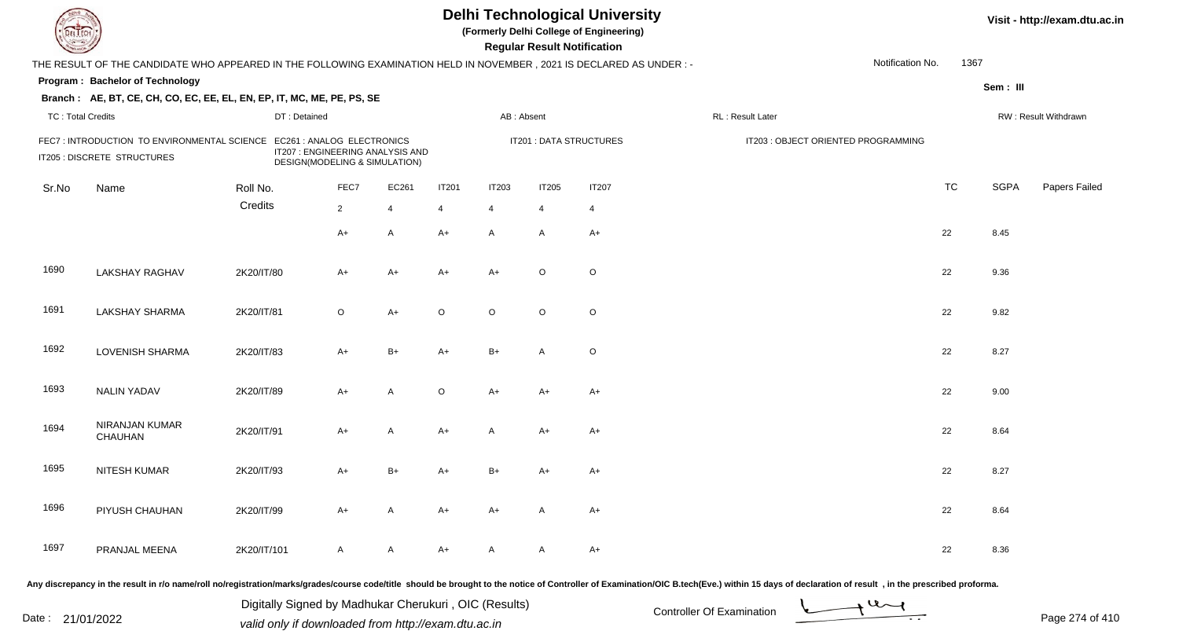| EL ECH                   |                                                                                                                      |              |                                                                                                 |                |                |              | <b>Regular Result Notification</b> | <b>Delhi Technological University</b><br>(Formerly Delhi College of Engineering) |                                     |                  |           |             | Visit - http://exam.dtu.ac.in |
|--------------------------|----------------------------------------------------------------------------------------------------------------------|--------------|-------------------------------------------------------------------------------------------------|----------------|----------------|--------------|------------------------------------|----------------------------------------------------------------------------------|-------------------------------------|------------------|-----------|-------------|-------------------------------|
|                          | THE RESULT OF THE CANDIDATE WHO APPEARED IN THE FOLLOWING EXAMINATION HELD IN NOVEMBER, 2021 IS DECLARED AS UNDER :- |              |                                                                                                 |                |                |              |                                    |                                                                                  |                                     | Notification No. | 1367      |             |                               |
|                          | Program: Bachelor of Technology                                                                                      |              |                                                                                                 |                |                |              |                                    |                                                                                  |                                     |                  |           | Sem : III   |                               |
|                          | Branch: AE, BT, CE, CH, CO, EC, EE, EL, EN, EP, IT, MC, ME, PE, PS, SE                                               |              |                                                                                                 |                |                |              |                                    |                                                                                  |                                     |                  |           |             |                               |
| <b>TC: Total Credits</b> |                                                                                                                      | DT: Detained |                                                                                                 |                |                | AB: Absent   |                                    |                                                                                  | <b>RL: Result Later</b>             |                  |           |             | RW: Result Withdrawn          |
|                          | FEC7: INTRODUCTION TO ENVIRONMENTAL SCIENCE<br>IT205 : DISCRETE STRUCTURES                                           |              | EC261 : ANALOG ELECTRONICS<br>IT207 : ENGINEERING ANALYSIS AND<br>DESIGN(MODELING & SIMULATION) |                |                |              | <b>IT201 : DATA STRUCTURES</b>     |                                                                                  | IT203 : OBJECT ORIENTED PROGRAMMING |                  |           |             |                               |
| Sr.No                    | Name                                                                                                                 | Roll No.     | FEC7                                                                                            | EC261          | <b>IT201</b>   | <b>IT203</b> | IT205                              | <b>IT207</b>                                                                     |                                     |                  | <b>TC</b> | <b>SGPA</b> | Papers Failed                 |
|                          |                                                                                                                      | Credits      | $2^{\circ}$                                                                                     | $\overline{4}$ | $\overline{4}$ | 4            | $\overline{4}$                     | $\overline{4}$                                                                   |                                     |                  |           |             |                               |
|                          |                                                                                                                      |              | A+                                                                                              | A              | $A+$           | $\mathsf{A}$ | A                                  | $A+$                                                                             |                                     | 22               |           | 8.45        |                               |
| 1690                     | <b>LAKSHAY RAGHAV</b>                                                                                                | 2K20/IT/80   | A+                                                                                              | $A+$           | $A+$           | $A+$         | $\circ$                            | $\mathsf O$                                                                      |                                     | 22               |           | 9.36        |                               |
| 1691                     | <b>LAKSHAY SHARMA</b>                                                                                                | 2K20/IT/81   | $\circ$                                                                                         | $A+$           | $\circ$        | $\circ$      | $\circ$                            | $\mathsf O$                                                                      |                                     | 22               |           | 9.82        |                               |
| 1692                     | <b>LOVENISH SHARMA</b>                                                                                               | 2K20/IT/83   | $A+$                                                                                            | $B+$           | A+             | $B+$         | A                                  | $\mathsf O$                                                                      |                                     | 22               |           | 8.27        |                               |
| 1693                     | <b>NALIN YADAV</b>                                                                                                   | 2K20/IT/89   | A+                                                                                              | Α              | $\circ$        | $A+$         | $A+$                               | $A+$                                                                             |                                     | 22               |           | 9.00        |                               |
| 1694                     | NIRANJAN KUMAR<br>CHAUHAN                                                                                            | 2K20/IT/91   | A+                                                                                              | $\mathsf{A}$   | $A+$           | $\mathsf{A}$ | $A+$                               | $A+$                                                                             |                                     | 22               |           | 8.64        |                               |
| 1695                     | NITESH KUMAR                                                                                                         | 2K20/IT/93   | A+                                                                                              | $B+$           | A+             | $B+$         | A+                                 | $A+$                                                                             |                                     | 22               |           | 8.27        |                               |
| 1696                     | PIYUSH CHAUHAN                                                                                                       | 2K20/IT/99   | A+                                                                                              | A              | $A+$           | $A+$         | A                                  | $A+$                                                                             |                                     | 22               |           | 8.64        |                               |
| 1697                     | PRANJAL MEENA                                                                                                        | 2K20/IT/101  | A                                                                                               | A              | A+             | A            | A                                  | A+                                                                               |                                     | 22               |           | 8.36        |                               |

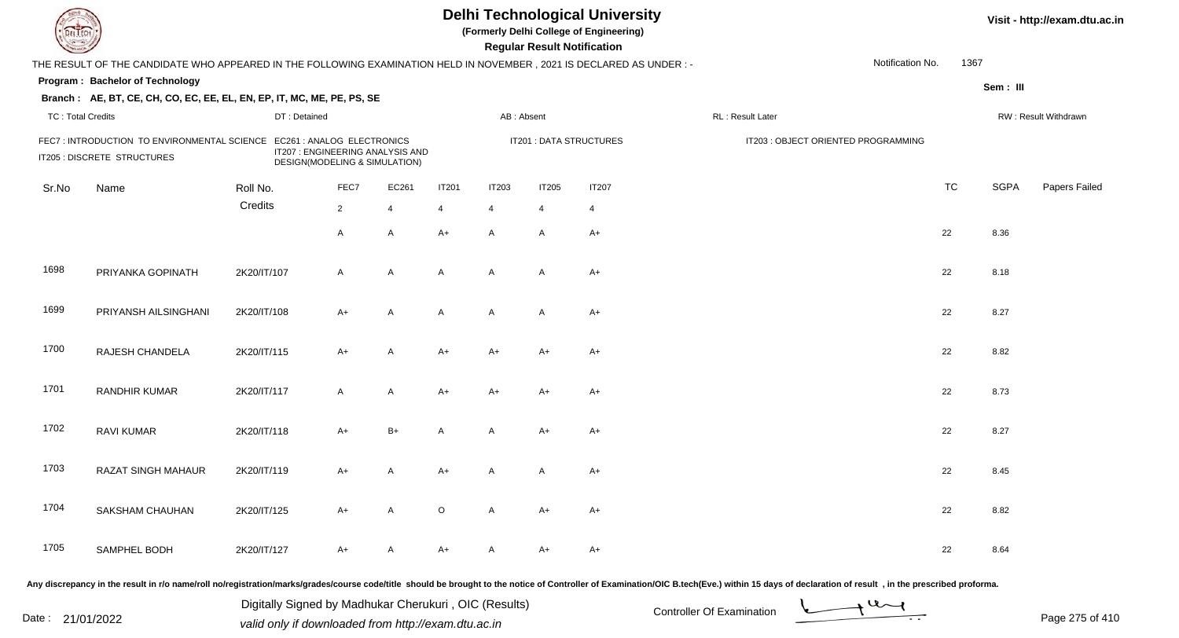| el I ech                 |                                                                                                                      |             |                                                                   |                |                |                | <b>Regular Result Notification</b> | <b>Delhi Technological University</b><br>(Formerly Delhi College of Engineering) |                                     |                  |           |             | Visit - http://exam.dtu.ac.in |
|--------------------------|----------------------------------------------------------------------------------------------------------------------|-------------|-------------------------------------------------------------------|----------------|----------------|----------------|------------------------------------|----------------------------------------------------------------------------------|-------------------------------------|------------------|-----------|-------------|-------------------------------|
|                          | THE RESULT OF THE CANDIDATE WHO APPEARED IN THE FOLLOWING EXAMINATION HELD IN NOVEMBER, 2021 IS DECLARED AS UNDER :- |             |                                                                   |                |                |                |                                    |                                                                                  |                                     | Notification No. | 1367      |             |                               |
|                          | Program: Bachelor of Technology                                                                                      |             |                                                                   |                |                |                |                                    |                                                                                  |                                     |                  |           | Sem: III    |                               |
|                          | Branch: AE, BT, CE, CH, CO, EC, EE, EL, EN, EP, IT, MC, ME, PE, PS, SE                                               |             |                                                                   |                |                |                |                                    |                                                                                  |                                     |                  |           |             |                               |
| <b>TC: Total Credits</b> |                                                                                                                      |             | DT: Detained                                                      |                |                | AB: Absent     |                                    |                                                                                  | RL : Result Later                   |                  |           |             | RW: Result Withdrawn          |
|                          | FEC7: INTRODUCTION TO ENVIRONMENTAL SCIENCE EC261: ANALOG ELECTRONICS<br>IT205 : DISCRETE STRUCTURES                 |             | IT207 : ENGINEERING ANALYSIS AND<br>DESIGN(MODELING & SIMULATION) |                |                |                |                                    | IT201 : DATA STRUCTURES                                                          | IT203 : OBJECT ORIENTED PROGRAMMING |                  |           |             |                               |
| Sr.No                    | Name                                                                                                                 | Roll No.    | FEC7                                                              | EC261          | <b>IT201</b>   | <b>IT203</b>   | <b>IT205</b>                       | <b>IT207</b>                                                                     |                                     |                  | <b>TC</b> | <b>SGPA</b> | Papers Failed                 |
|                          |                                                                                                                      | Credits     | $\overline{2}$                                                    | $\overline{4}$ | $\overline{4}$ | $\overline{4}$ | 4                                  | $\overline{4}$                                                                   |                                     |                  |           |             |                               |
|                          |                                                                                                                      |             | A                                                                 | $\mathsf{A}$   | $A+$           | $\mathsf{A}$   | A                                  | A+                                                                               |                                     |                  | 22        | 8.36        |                               |
| 1698                     | PRIYANKA GOPINATH                                                                                                    | 2K20/IT/107 | A                                                                 | A              | A              | $\mathsf{A}$   | A                                  | A+                                                                               |                                     |                  | 22        | 8.18        |                               |
| 1699                     | PRIYANSH AILSINGHANI                                                                                                 | 2K20/IT/108 | A+                                                                | A              | A              | $\mathsf{A}$   | A                                  | $A+$                                                                             |                                     |                  | 22        | 8.27        |                               |
| 1700                     | RAJESH CHANDELA                                                                                                      | 2K20/IT/115 | $A+$                                                              | A              | A+             | $A+$           | A+                                 | A+                                                                               |                                     |                  | 22        | 8.82        |                               |
| 1701                     | <b>RANDHIR KUMAR</b>                                                                                                 | 2K20/IT/117 | A                                                                 | Α              | A+             | $A+$           | A+                                 | $A+$                                                                             |                                     |                  | 22        | 8.73        |                               |
| 1702                     | <b>RAVI KUMAR</b>                                                                                                    | 2K20/IT/118 | $A+$                                                              | $B+$           | A              | A              | A+                                 | A+                                                                               |                                     |                  | 22        | 8.27        |                               |
| 1703                     | <b>RAZAT SINGH MAHAUR</b>                                                                                            | 2K20/IT/119 | A+                                                                | Α              | A+             | A              | A                                  | A+                                                                               |                                     |                  | 22        | 8.45        |                               |
| 1704                     | SAKSHAM CHAUHAN                                                                                                      | 2K20/IT/125 | A+                                                                | A              | $\circ$        | A              | A+                                 | A+                                                                               |                                     |                  | 22        | 8.82        |                               |
| 1705                     | SAMPHEL BODH                                                                                                         | 2K20/IT/127 | A+                                                                | A              | A+             | A              | A+                                 | A+                                                                               |                                     |                  | 22        | 8.64        |                               |
|                          |                                                                                                                      |             |                                                                   |                |                |                |                                    |                                                                                  |                                     |                  |           |             |                               |

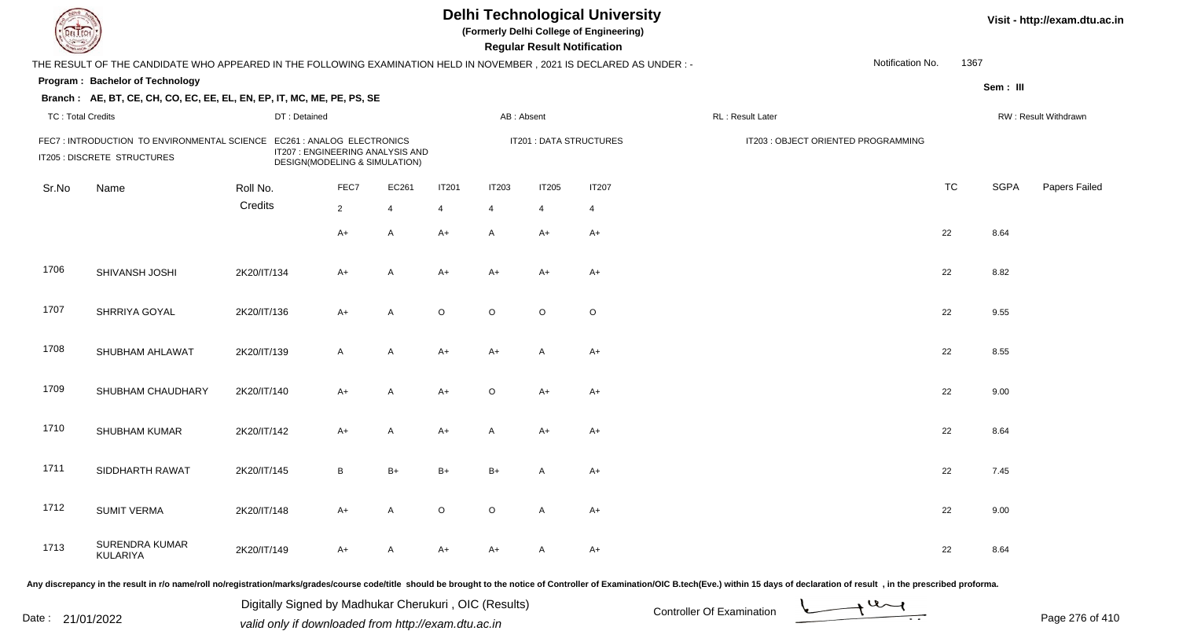| <b>DELTECH</b>           |                                                                                                                     |              |                                                                                                 |                |                |              | <b>Regular Result Notification</b> | <b>Delhi Technological University</b><br>(Formerly Delhi College of Engineering) |                                     |                  |           |             | Visit - http://exam.dtu.ac.in |
|--------------------------|---------------------------------------------------------------------------------------------------------------------|--------------|-------------------------------------------------------------------------------------------------|----------------|----------------|--------------|------------------------------------|----------------------------------------------------------------------------------|-------------------------------------|------------------|-----------|-------------|-------------------------------|
|                          | THE RESULT OF THE CANDIDATE WHO APPEARED IN THE FOLLOWING EXAMINATION HELD IN NOVEMBER, 2021 IS DECLARED AS UNDER:- |              |                                                                                                 |                |                |              |                                    |                                                                                  |                                     | Notification No. | 1367      |             |                               |
|                          | Program: Bachelor of Technology                                                                                     |              |                                                                                                 |                |                |              |                                    |                                                                                  |                                     |                  |           | Sem: III    |                               |
|                          | Branch: AE, BT, CE, CH, CO, EC, EE, EL, EN, EP, IT, MC, ME, PE, PS, SE                                              |              |                                                                                                 |                |                |              |                                    |                                                                                  |                                     |                  |           |             |                               |
| <b>TC: Total Credits</b> |                                                                                                                     | DT: Detained |                                                                                                 |                |                | AB: Absent   |                                    |                                                                                  | RL: Result Later                    |                  |           |             | RW: Result Withdrawn          |
|                          | FEC7: INTRODUCTION TO ENVIRONMENTAL SCIENCE<br>IT205 : DISCRETE STRUCTURES                                          |              | EC261 : ANALOG ELECTRONICS<br>IT207 : ENGINEERING ANALYSIS AND<br>DESIGN(MODELING & SIMULATION) |                |                |              |                                    | <b>IT201 : DATA STRUCTURES</b>                                                   | IT203 : OBJECT ORIENTED PROGRAMMING |                  |           |             |                               |
| Sr.No                    | Name                                                                                                                | Roll No.     | FEC7                                                                                            | EC261          | <b>IT201</b>   | <b>IT203</b> | IT205                              | <b>IT207</b>                                                                     |                                     |                  | <b>TC</b> | <b>SGPA</b> | Papers Failed                 |
|                          |                                                                                                                     | Credits      | $2^{\circ}$                                                                                     | $\overline{4}$ | $\overline{4}$ | 4            | $\overline{4}$                     | $\overline{4}$                                                                   |                                     |                  |           |             |                               |
|                          |                                                                                                                     |              | $A+$                                                                                            | A              | A+             | $\mathsf{A}$ | A+                                 | A+                                                                               |                                     |                  | 22        | 8.64        |                               |
| 1706                     | SHIVANSH JOSHI                                                                                                      | 2K20/IT/134  | A+                                                                                              | A              | A+             | $A+$         | A+                                 | A+                                                                               |                                     |                  | 22        | 8.82        |                               |
| 1707                     | SHRRIYA GOYAL                                                                                                       | 2K20/IT/136  | $A+$                                                                                            | A              | $\circ$        | $\circ$      | $\circ$                            | $\circ$                                                                          |                                     |                  | 22        | 9.55        |                               |
| 1708                     | SHUBHAM AHLAWAT                                                                                                     | 2K20/IT/139  | $\mathsf{A}$                                                                                    | A              | $A+$           | $A+$         | A                                  | $A+$                                                                             |                                     |                  | 22        | 8.55        |                               |
| 1709                     | SHUBHAM CHAUDHARY                                                                                                   | 2K20/IT/140  | $A+$                                                                                            | A              | $A+$           | $\circ$      | $A+$                               | $A+$                                                                             |                                     |                  | 22        | 9.00        |                               |
| 1710                     | SHUBHAM KUMAR                                                                                                       | 2K20/IT/142  | $A+$                                                                                            | A              | $A+$           | $\mathsf{A}$ | $A+$                               | $A+$                                                                             |                                     |                  | 22        | 8.64        |                               |
| 1711                     | SIDDHARTH RAWAT                                                                                                     | 2K20/IT/145  | B                                                                                               | $B+$           | $B+$           | $B+$         | A                                  | $A+$                                                                             |                                     |                  | 22        | 7.45        |                               |
| 1712                     | <b>SUMIT VERMA</b>                                                                                                  | 2K20/IT/148  | $A+$                                                                                            | A              | $\circ$        | $\circ$      | A                                  | $A+$                                                                             |                                     |                  | 22        | 9.00        |                               |
| 1713                     | SURENDRA KUMAR<br>KULARIYA                                                                                          | 2K20/IT/149  | A+                                                                                              | A              | A+             | $A+$         | A                                  | A+                                                                               |                                     |                  | 22        | 8.64        |                               |

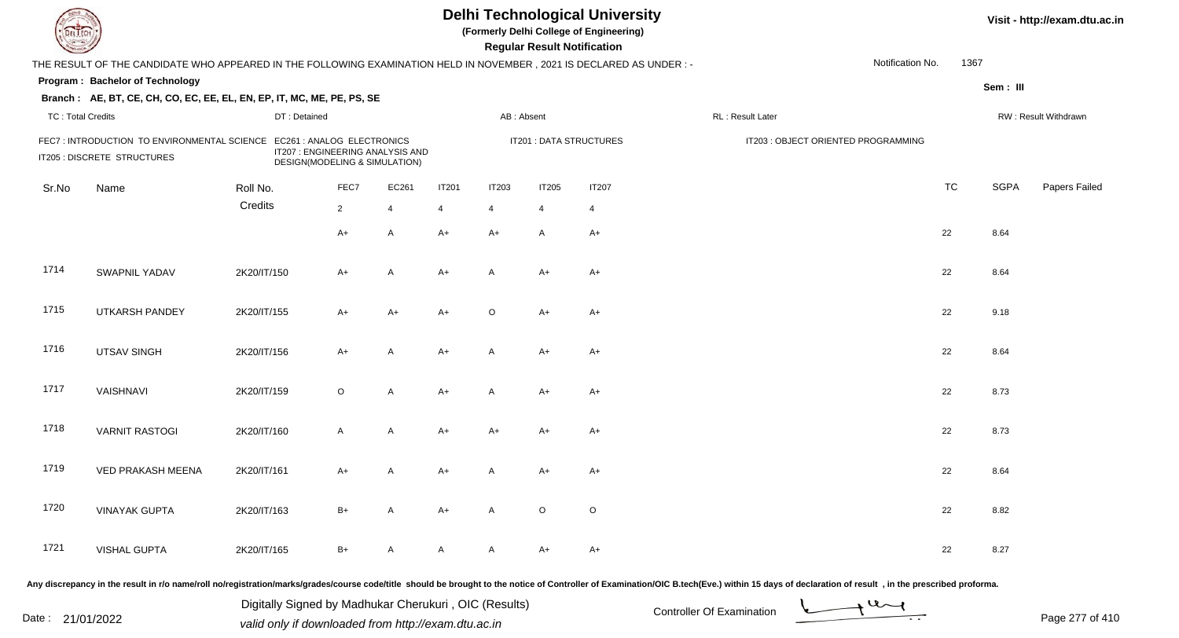| DEL TECH                 |                                                                                                                                                                                                                                |              |                                                                   |                |              |                | <b>Regular Result Notification</b> | <b>Delhi Technological University</b><br>(Formerly Delhi College of Engineering) |                           |                                     |                   |           |             | Visit - http://exam.dtu.ac.in |
|--------------------------|--------------------------------------------------------------------------------------------------------------------------------------------------------------------------------------------------------------------------------|--------------|-------------------------------------------------------------------|----------------|--------------|----------------|------------------------------------|----------------------------------------------------------------------------------|---------------------------|-------------------------------------|-------------------|-----------|-------------|-------------------------------|
|                          | THE RESULT OF THE CANDIDATE WHO APPEARED IN THE FOLLOWING EXAMINATION HELD IN NOVEMBER, 2021 IS DECLARED AS UNDER : -                                                                                                          |              |                                                                   |                |              |                |                                    |                                                                                  |                           |                                     | Notification No.  | 1367      |             |                               |
|                          | Program: Bachelor of Technology                                                                                                                                                                                                |              |                                                                   |                |              |                |                                    |                                                                                  |                           |                                     |                   |           | Sem: III    |                               |
|                          | Branch: AE, BT, CE, CH, CO, EC, EE, EL, EN, EP, IT, MC, ME, PE, PS, SE                                                                                                                                                         |              |                                                                   |                |              |                |                                    |                                                                                  |                           |                                     |                   |           |             |                               |
| <b>TC: Total Credits</b> |                                                                                                                                                                                                                                | DT: Detained |                                                                   |                |              | AB: Absent     |                                    |                                                                                  | RL : Result Later         |                                     |                   |           |             | RW: Result Withdrawn          |
|                          | FEC7: INTRODUCTION TO ENVIRONMENTAL SCIENCE EC261: ANALOG ELECTRONICS<br>IT205 : DISCRETE STRUCTURES                                                                                                                           |              | IT207 : ENGINEERING ANALYSIS AND<br>DESIGN(MODELING & SIMULATION) |                |              |                |                                    | IT201 : DATA STRUCTURES                                                          |                           | IT203 : OBJECT ORIENTED PROGRAMMING |                   |           |             |                               |
| Sr.No                    | Name                                                                                                                                                                                                                           | Roll No.     | FEC7                                                              | EC261          | <b>IT201</b> | <b>IT203</b>   | <b>IT205</b>                       | <b>IT207</b>                                                                     |                           |                                     |                   | <b>TC</b> | <b>SGPA</b> | Papers Failed                 |
|                          |                                                                                                                                                                                                                                | Credits      | $\overline{2}$                                                    | $\overline{4}$ | 4            | $\overline{4}$ | 4                                  | $\overline{4}$                                                                   |                           |                                     |                   |           |             |                               |
|                          |                                                                                                                                                                                                                                |              | $A+$                                                              | A              | $A+$         | $A+$           | A                                  | $A+$                                                                             |                           |                                     |                   | 22        | 8.64        |                               |
| 1714                     | <b>SWAPNIL YADAV</b>                                                                                                                                                                                                           | 2K20/IT/150  | $A+$                                                              | A              | $A+$         | A              | A+                                 | $A+$                                                                             |                           |                                     |                   | 22        | 8.64        |                               |
| 1715                     | <b>UTKARSH PANDEY</b>                                                                                                                                                                                                          | 2K20/IT/155  | $A+$                                                              | A+             | $A+$         | $\circ$        | A+                                 | $A+$                                                                             |                           |                                     |                   | 22        | 9.18        |                               |
| 1716                     | <b>UTSAV SINGH</b>                                                                                                                                                                                                             | 2K20/IT/156  | $A+$                                                              | A              | $A+$         | A              | A+                                 | $A+$                                                                             |                           |                                     |                   | 22        | 8.64        |                               |
| 1717                     | VAISHNAVI                                                                                                                                                                                                                      | 2K20/IT/159  | $\circ$                                                           | A              | $A+$         | A              | A+                                 | $A+$                                                                             |                           |                                     |                   | 22        | 8.73        |                               |
| 1718                     | <b>VARNIT RASTOGI</b>                                                                                                                                                                                                          | 2K20/IT/160  | $\mathsf{A}$                                                      | A              | $A+$         | $A+$           | $A+$                               | $A+$                                                                             |                           |                                     |                   | 22        | 8.73        |                               |
| 1719                     | <b>VED PRAKASH MEENA</b>                                                                                                                                                                                                       | 2K20/IT/161  | $A+$                                                              | A              | $A+$         | A              | A+                                 | $A+$                                                                             |                           |                                     |                   | 22        | 8.64        |                               |
| 1720                     | <b>VINAYAK GUPTA</b>                                                                                                                                                                                                           | 2K20/IT/163  | B+                                                                | A              | A+           | A              | $\circ$                            | $\circ$                                                                          |                           |                                     |                   | 22        | 8.82        |                               |
| 1721                     | <b>VISHAL GUPTA</b>                                                                                                                                                                                                            | 2K20/IT/165  | $B+$                                                              | $\mathsf{A}$   | A            | A              | A+                                 | $A+$                                                                             |                           |                                     |                   | 22        | 8.27        |                               |
|                          | Any discrepancy in the result in r/o name/roll no/registration/marks/grades/course code/title should be brought to the notice of Controller of Examination/OIC B.tech(Eve.) within 15 days of declaration of result , in the p |              |                                                                   |                |              |                |                                    |                                                                                  |                           |                                     |                   |           |             |                               |
|                          |                                                                                                                                                                                                                                |              | Digitally Signed by Madhukar Cherukuri, OIC (Results)             |                |              |                |                                    |                                                                                  | Controller Of Examination |                                     | $\rightarrow$ 4 d |           |             |                               |

Date : 21/01/2022 Digital Digital of Microsofted Chemical Controller Of Examination Determination Page 277 of 41

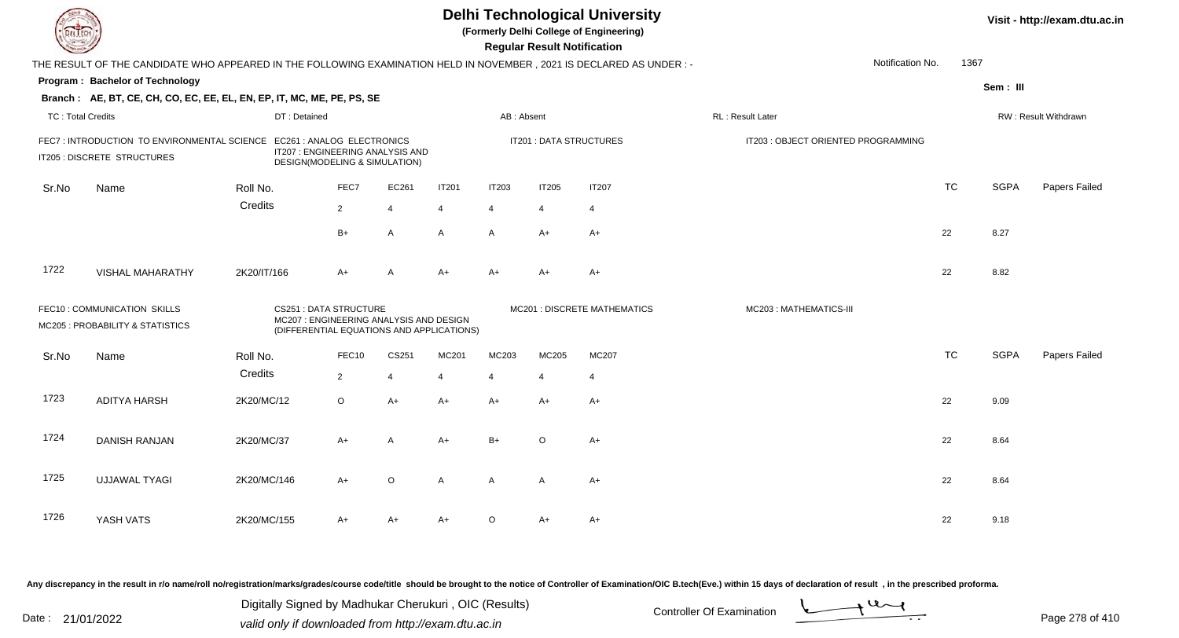| DEL ECH                  |                                                                                                                      |              |                                                                                                                      |                |              |                | <b>Regular Result Notification</b> | <b>Delhi Technological University</b><br>(Formerly Delhi College of Engineering) |                                     |                  |             | Visit - http://exam.dtu.ac.in |
|--------------------------|----------------------------------------------------------------------------------------------------------------------|--------------|----------------------------------------------------------------------------------------------------------------------|----------------|--------------|----------------|------------------------------------|----------------------------------------------------------------------------------|-------------------------------------|------------------|-------------|-------------------------------|
|                          | THE RESULT OF THE CANDIDATE WHO APPEARED IN THE FOLLOWING EXAMINATION HELD IN NOVEMBER, 2021 IS DECLARED AS UNDER :- |              |                                                                                                                      |                |              |                |                                    |                                                                                  |                                     | Notification No. | 1367        |                               |
|                          | Program: Bachelor of Technology                                                                                      |              |                                                                                                                      |                |              |                |                                    |                                                                                  |                                     |                  | Sem: III    |                               |
|                          | Branch: AE, BT, CE, CH, CO, EC, EE, EL, EN, EP, IT, MC, ME, PE, PS, SE                                               |              |                                                                                                                      |                |              |                |                                    |                                                                                  |                                     |                  |             |                               |
| <b>TC: Total Credits</b> |                                                                                                                      | DT: Detained |                                                                                                                      |                |              | AB: Absent     |                                    |                                                                                  | RL: Result Later                    |                  |             | RW: Result Withdrawn          |
|                          | FEC7: INTRODUCTION TO ENVIRONMENTAL SCIENCE EC261: ANALOG ELECTRONICS<br>IT205 : DISCRETE STRUCTURES                 |              | IT207 : ENGINEERING ANALYSIS AND<br>DESIGN(MODELING & SIMULATION)                                                    |                |              |                | <b>IT201 : DATA STRUCTURES</b>     |                                                                                  | IT203 : OBJECT ORIENTED PROGRAMMING |                  |             |                               |
| Sr.No                    | Name                                                                                                                 | Roll No.     | FEC7                                                                                                                 | EC261          | <b>IT201</b> | <b>IT203</b>   | <b>IT205</b>                       | <b>IT207</b>                                                                     |                                     | <b>TC</b>        | <b>SGPA</b> | Papers Failed                 |
|                          |                                                                                                                      | Credits      | $\overline{2}$                                                                                                       | $\overline{4}$ | 4            | $\overline{4}$ | 4                                  | $\overline{4}$                                                                   |                                     |                  |             |                               |
|                          |                                                                                                                      |              | $B+$                                                                                                                 | A              | A            | A              | $A+$                               | $A+$                                                                             |                                     | 22               | 8.27        |                               |
| 1722                     | <b>VISHAL MAHARATHY</b>                                                                                              | 2K20/IT/166  | $A+$                                                                                                                 | $\overline{A}$ | $A+$         | $A+$           | A+                                 | $A+$                                                                             |                                     | 22               | 8.82        |                               |
|                          | FEC10 : COMMUNICATION SKILLS<br>MC205 : PROBABILITY & STATISTICS                                                     |              | <b>CS251: DATA STRUCTURE</b><br>MC207 : ENGINEERING ANALYSIS AND DESIGN<br>(DIFFERENTIAL EQUATIONS AND APPLICATIONS) |                |              |                |                                    | MC201 : DISCRETE MATHEMATICS                                                     | MC203: MATHEMATICS-III              |                  |             |                               |
| Sr.No                    | Name                                                                                                                 | Roll No.     | FEC10                                                                                                                | CS251          | MC201        | MC203          | MC205                              | MC207                                                                            |                                     | <b>TC</b>        | <b>SGPA</b> | Papers Failed                 |
|                          |                                                                                                                      | Credits      | $\overline{2}$                                                                                                       | $\overline{4}$ | 4            | $\overline{4}$ | $\overline{4}$                     | $\overline{4}$                                                                   |                                     |                  |             |                               |
| 1723                     | <b>ADITYA HARSH</b>                                                                                                  | 2K20/MC/12   | $\circ$                                                                                                              | $A+$           | $A+$         | A+             | $A+$                               | $A+$                                                                             |                                     | 22               | 9.09        |                               |
| 1724                     | <b>DANISH RANJAN</b>                                                                                                 | 2K20/MC/37   | $A+$                                                                                                                 | A              | $A+$         | $B+$           | $\circ$                            | $A+$                                                                             |                                     | 22               | 8.64        |                               |
| 1725                     | <b>UJJAWAL TYAGI</b>                                                                                                 | 2K20/MC/146  | $A+$                                                                                                                 | $\circ$        | A            | A              | A                                  | $A+$                                                                             |                                     | 22               | 8.64        |                               |
| 1726                     | YASH VATS                                                                                                            | 2K20/MC/155  | A+                                                                                                                   | A+             | $A+$         | O              | A+                                 | A+                                                                               |                                     | 22               | 9.18        |                               |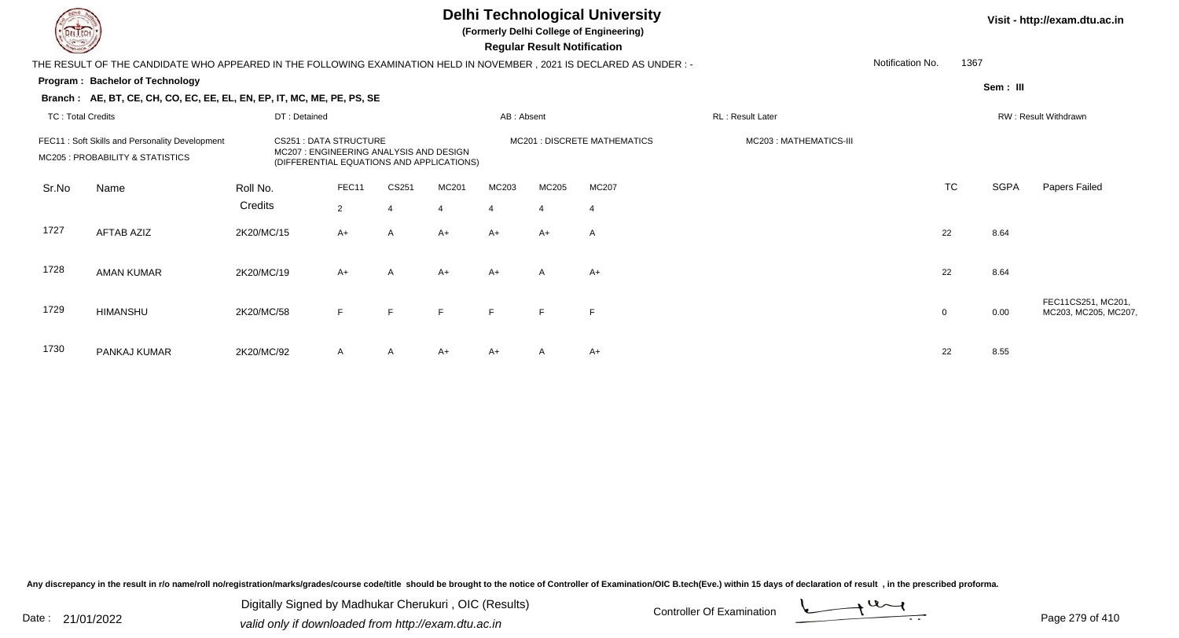**(Formerly Delhi College of Engineering)**

 **Regular Result Notification**

|                          |                                                                                                                        |              |                                                                                     |       |                |            | $1.99$ and $1.99$ and $1.99$ and $0.91$ |                              |                         |                  |           |             |                      |
|--------------------------|------------------------------------------------------------------------------------------------------------------------|--------------|-------------------------------------------------------------------------------------|-------|----------------|------------|-----------------------------------------|------------------------------|-------------------------|------------------|-----------|-------------|----------------------|
|                          | THE RESULT OF THE CANDIDATE WHO APPEARED IN THE FOLLOWING EXAMINATION HELD IN NOVEMBER , 2021 IS DECLARED AS UNDER : - |              |                                                                                     |       |                |            |                                         |                              |                         | Notification No. | 1367      |             |                      |
|                          | Program: Bachelor of Technology                                                                                        |              |                                                                                     |       |                |            |                                         |                              |                         |                  |           | Sem: III    |                      |
|                          | Branch: AE, BT, CE, CH, CO, EC, EE, EL, EN, EP, IT, MC, ME, PE, PS, SE                                                 |              |                                                                                     |       |                |            |                                         |                              |                         |                  |           |             |                      |
| <b>TC: Total Credits</b> |                                                                                                                        | DT: Detained |                                                                                     |       |                | AB: Absent |                                         |                              | RL: Result Later        |                  |           |             | RW: Result Withdrawn |
|                          | FEC11: Soft Skills and Personality Development                                                                         |              | <b>CS251 : DATA STRUCTURE</b>                                                       |       |                |            |                                         | MC201 : DISCRETE MATHEMATICS | MC203 : MATHEMATICS-III |                  |           |             |                      |
|                          | MC205 : PROBABILITY & STATISTICS                                                                                       |              | MC207: ENGINEERING ANALYSIS AND DESIGN<br>(DIFFERENTIAL EQUATIONS AND APPLICATIONS) |       |                |            |                                         |                              |                         |                  |           |             |                      |
| Sr.No                    | Name                                                                                                                   | Roll No.     | FEC11                                                                               | CS251 | MC201          | MC203      | MC205                                   | MC207                        |                         |                  | <b>TC</b> | <b>SGPA</b> | Papers Failed        |
|                          |                                                                                                                        | Credits      | 2                                                                                   | 4     | $\overline{4}$ |            | $\overline{4}$                          | $\overline{4}$               |                         |                  |           |             |                      |
| 1727                     | <b>AFTAB AZIZ</b>                                                                                                      | 2K20/MC/15   | $A+$                                                                                | A     | $A+$           | $A+$       | $A+$                                    | $\overline{A}$               |                         |                  | 22        | 8.64        |                      |
|                          |                                                                                                                        |              |                                                                                     |       |                |            |                                         |                              |                         |                  |           |             |                      |
| 1728                     | <b>AMAN KUMAR</b>                                                                                                      | 2K20/MC/19   | $A+$                                                                                | A     | $A+$           | $A+$       | $\mathsf{A}$                            | $A+$                         |                         |                  | 22        | 8.64        |                      |
|                          |                                                                                                                        |              |                                                                                     |       |                |            |                                         |                              |                         |                  |           |             | FEC11CS251, MC201,   |
| 1729                     | <b>HIMANSHU</b>                                                                                                        | 2K20/MC/58   | F                                                                                   | F.    | F              | E          | F                                       | F                            |                         | $\mathbf 0$      |           | 0.00        | MC203, MC205, MC207, |
|                          |                                                                                                                        |              |                                                                                     |       |                |            |                                         |                              |                         |                  |           |             |                      |
| 1730                     | PANKAJ KUMAR                                                                                                           | 2K20/MC/92   | A                                                                                   | A     | $A+$           | $A+$       | $\mathsf{A}$                            | $A+$                         |                         |                  | 22        | 8.55        |                      |

Any discrepancy in the result in r/o name/roll no/registration/marks/grades/course code/title should be brought to the notice of Controller of Examination/OIC B.tech(Eve.) within 15 days of declaration of result, in the pr

Date : 21/01/2022 Digital Digital of Microsofted Chemical Controller Of Examination Determination Page 279 of 41 Digitally Signed by Madhukar Cherukuri , OIC (Results)

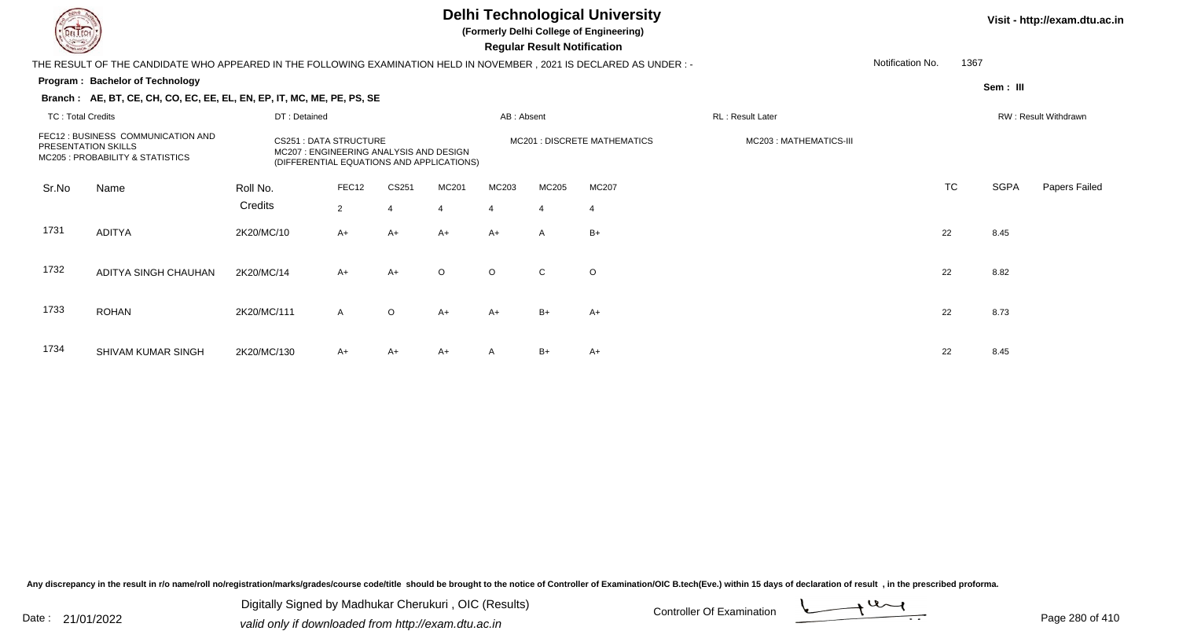**(Formerly Delhi College of Engineering)**

 **Regular Result Notification**

#### **Visit - http://exam.dtu.ac.in**

**Program : Bachelor of TechnologySem : III Branch : AE, BT, CE, CH, CO, EC, EE, EL, EN, EP, IT, MC, ME, PE, PS, SE**THE RESULT OF THE CANDIDATE WHO APPEARED IN THE FOLLOWING EXAMINATION HELD IN NOVEMBER , 2021 IS DECLARED AS UNDER : -TC : Total Credits DT : Detainedd AB : Absent RL : Result Later RW : Result Withdrawn Notification No. 1367Sr.NoName Roll No. **Credits** FEC12 : BUSINESS COMMUNICATION ANDPRESENTATION SKILLSCS251 : DATA STRUCTURE MODESIGN MC201 : DISCRETE MATHEMATICS MODES MC203 : MATHEMATICS-III<br>MC207 : ENGINEERING ANALYSIS AND DESIGN MC205 : PROBABILITY & STATISTICS(DIFFERENTIAL EQUATIONS AND APPLICATIONS) FEC12 CS251 MC201 MC203 MC205 MC207 TCTC SGPA Papers Failed 22 4 4 4 4 4 1731 ADITYAA 2K20/MC/10 A+ A+ A+ A+ A+ A B+ 1732 ADITYA SINGH CHAUHANN 2K20/MC/14 A+ A+ O O C O 1733 ROHANN 2K20/MC/111 A O A+ A+ B+ A+ A+ C 22 8.73 1734 SHIVAM KUMAR SINGHH 2K20/MC/130 A+ A+ A+ A B+ A+ A+ A B+ A+

Any discrepancy in the result in r/o name/roll no/registration/marks/grades/course code/title should be brought to the notice of Controller of Examination/OIC B.tech(Eve.) within 15 days of declaration of result , in the p

Date : 21/01/2022 Digital Digital of Microsofted Chemical Controller Of Examination Determination Page 280 of 41 Digitally Signed by Madhukar Cherukuri , OIC (Results)

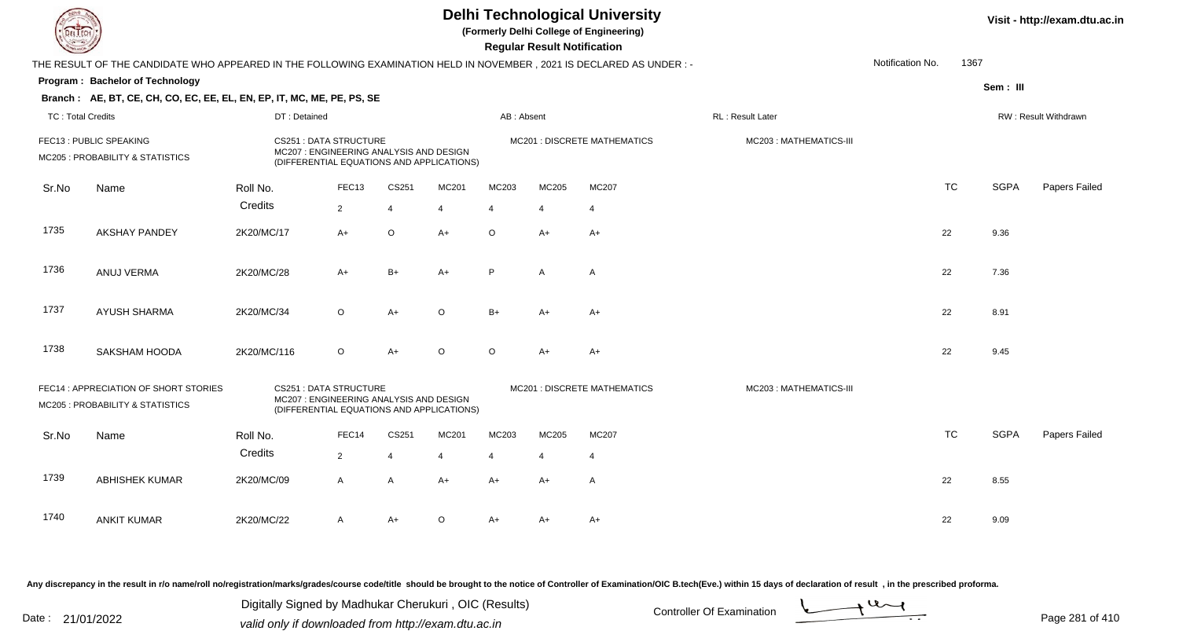|                          |                                                                                                                     |                                                                                                                      |                   |                |                |                | <b>Regular Result Notification</b> | <b>Delhi Technological University</b><br>(Formerly Delhi College of Engineering) |                        |                  |           |             | Visit - http://exam.dtu.ac.in |
|--------------------------|---------------------------------------------------------------------------------------------------------------------|----------------------------------------------------------------------------------------------------------------------|-------------------|----------------|----------------|----------------|------------------------------------|----------------------------------------------------------------------------------|------------------------|------------------|-----------|-------------|-------------------------------|
|                          | THE RESULT OF THE CANDIDATE WHO APPEARED IN THE FOLLOWING EXAMINATION HELD IN NOVEMBER, 2021 IS DECLARED AS UNDER:- |                                                                                                                      |                   |                |                |                |                                    |                                                                                  |                        | Notification No. | 1367      |             |                               |
|                          | Program: Bachelor of Technology                                                                                     |                                                                                                                      |                   |                |                |                |                                    |                                                                                  |                        |                  |           | Sem: III    |                               |
|                          | Branch: AE, BT, CE, CH, CO, EC, EE, EL, EN, EP, IT, MC, ME, PE, PS, SE                                              |                                                                                                                      |                   |                |                |                |                                    |                                                                                  |                        |                  |           |             |                               |
| <b>TC: Total Credits</b> |                                                                                                                     | DT: Detained                                                                                                         |                   |                |                | AB: Absent     |                                    |                                                                                  | RL: Result Later       |                  |           |             | RW: Result Withdrawn          |
|                          | FEC13: PUBLIC SPEAKING<br>MC205 : PROBABILITY & STATISTICS                                                          | <b>CS251: DATA STRUCTURE</b><br>MC207 : ENGINEERING ANALYSIS AND DESIGN<br>(DIFFERENTIAL EQUATIONS AND APPLICATIONS) |                   |                |                |                |                                    | <b>MC201: DISCRETE MATHEMATICS</b>                                               | MC203: MATHEMATICS-III |                  |           |             |                               |
| Sr.No                    | Name                                                                                                                | Roll No.                                                                                                             | FEC <sub>13</sub> | CS251          | MC201          | MC203          | MC205                              | MC207                                                                            |                        |                  | <b>TC</b> | <b>SGPA</b> | Papers Failed                 |
|                          |                                                                                                                     | Credits                                                                                                              | $\overline{2}$    | $\overline{4}$ | $\overline{4}$ | $\overline{4}$ | $\overline{4}$                     | $\overline{4}$                                                                   |                        |                  |           |             |                               |
| 1735                     | <b>AKSHAY PANDEY</b>                                                                                                | 2K20/MC/17                                                                                                           | $A+$              | $\circ$        | $A+$           | $\circ$        | $A+$                               | $A+$                                                                             |                        |                  | 22        | 9.36        |                               |
| 1736                     | ANUJ VERMA                                                                                                          | 2K20/MC/28                                                                                                           | $A+$              | $B+$           | $A+$           | P              | $\mathsf{A}$                       | $\overline{A}$                                                                   |                        |                  | 22        | 7.36        |                               |
| 1737                     | AYUSH SHARMA                                                                                                        | 2K20/MC/34                                                                                                           | $\circ$           | $A+$           | $\circ$        | $B+$           | A+                                 | $A+$                                                                             |                        |                  | 22        | 8.91        |                               |
| 1738                     | <b>SAKSHAM HOODA</b>                                                                                                | 2K20/MC/116                                                                                                          | $\circ$           | $A+$           | $\Omega$       | $\circ$        | $A+$                               | $A+$                                                                             |                        |                  | 22        | 9.45        |                               |
|                          | FEC14: APPRECIATION OF SHORT STORIES<br>MC205 : PROBABILITY & STATISTICS                                            | <b>CS251: DATA STRUCTURE</b><br>MC207 : ENGINEERING ANALYSIS AND DESIGN<br>(DIFFERENTIAL EQUATIONS AND APPLICATIONS) |                   |                |                |                |                                    | <b>MC201 : DISCRETE MATHEMATICS</b>                                              | MC203: MATHEMATICS-III |                  |           |             |                               |
| Sr.No                    | Name                                                                                                                | Roll No.                                                                                                             | FEC14             | CS251          | MC201          | MC203          | MC205                              | MC207                                                                            |                        |                  | <b>TC</b> | <b>SGPA</b> | Papers Failed                 |
|                          |                                                                                                                     | Credits                                                                                                              | $\overline{2}$    | 4              | 4              | $\overline{4}$ | 4                                  | $\overline{4}$                                                                   |                        |                  |           |             |                               |
| 1739                     | <b>ABHISHEK KUMAR</b>                                                                                               | 2K20/MC/09                                                                                                           | A                 | $\overline{A}$ | $A+$           | $A+$           | A+                                 | $\overline{A}$                                                                   |                        |                  | 22        | 8.55        |                               |
| 1740                     | <b>ANKIT KUMAR</b>                                                                                                  | 2K20/MC/22                                                                                                           | A                 | $A+$           | $\circ$        | A+             | A+                                 | $A+$                                                                             |                        |                  | 22        | 9.09        |                               |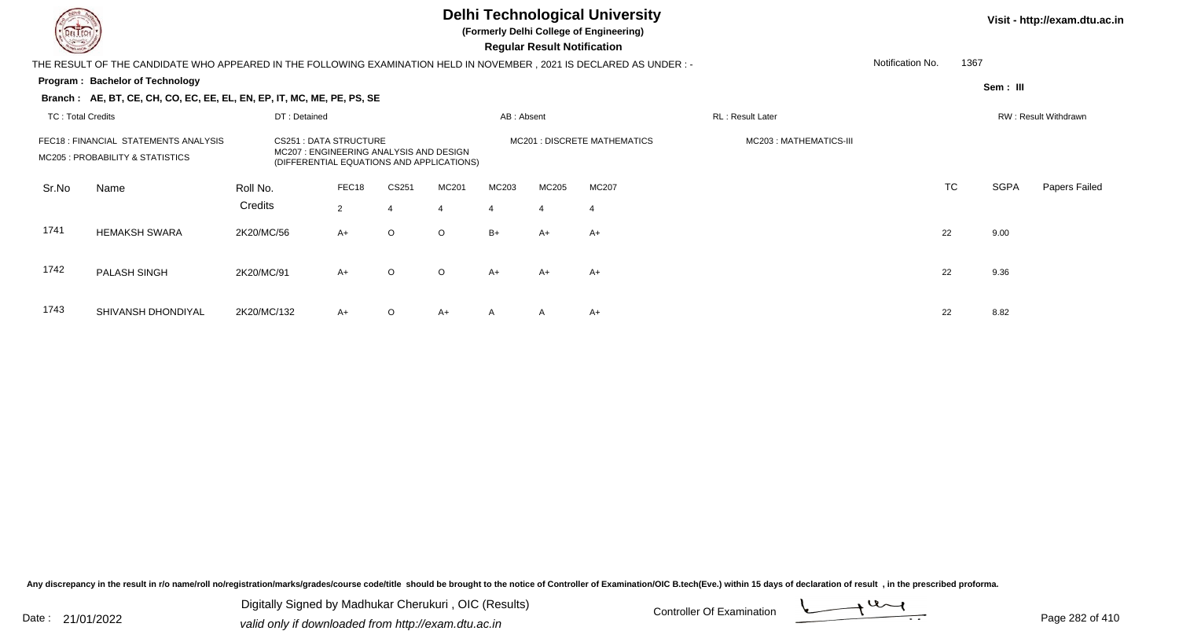

**(Formerly Delhi College of Engineering)**

 **Regular Result Notification**

| <b>Course Lines</b>      |                                                                                                                     |              |                                                                         |         |                                           |            | Regular Result Notification |                              |                        |                  |      |             |                      |
|--------------------------|---------------------------------------------------------------------------------------------------------------------|--------------|-------------------------------------------------------------------------|---------|-------------------------------------------|------------|-----------------------------|------------------------------|------------------------|------------------|------|-------------|----------------------|
|                          | THE RESULT OF THE CANDIDATE WHO APPEARED IN THE FOLLOWING EXAMINATION HELD IN NOVEMBER, 2021 IS DECLARED AS UNDER:- |              |                                                                         |         |                                           |            |                             |                              |                        | Notification No. | 1367 |             |                      |
|                          | Program: Bachelor of Technology                                                                                     |              |                                                                         |         |                                           |            |                             |                              |                        |                  |      | Sem: III    |                      |
|                          | Branch: AE, BT, CE, CH, CO, EC, EE, EL, EN, EP, IT, MC, ME, PE, PS, SE                                              |              |                                                                         |         |                                           |            |                             |                              |                        |                  |      |             |                      |
| <b>TC: Total Credits</b> |                                                                                                                     | DT: Detained |                                                                         |         |                                           | AB: Absent |                             |                              | RL: Result Later       |                  |      |             | RW: Result Withdrawn |
|                          | FEC18 : FINANCIAL STATEMENTS ANALYSIS<br>MC205 : PROBABILITY & STATISTICS                                           |              | <b>CS251 : DATA STRUCTURE</b><br>MC207: ENGINEERING ANALYSIS AND DESIGN |         | (DIFFERENTIAL EQUATIONS AND APPLICATIONS) |            |                             | MC201 : DISCRETE MATHEMATICS | MC203: MATHEMATICS-III |                  |      |             |                      |
| Sr.No                    | Name                                                                                                                | Roll No.     | FEC18                                                                   | CS251   | MC201                                     | MC203      | MC205                       | MC207                        |                        |                  | TC   | <b>SGPA</b> | Papers Failed        |
|                          |                                                                                                                     | Credits      | $\overline{2}$                                                          |         | $\overline{4}$                            |            | $\overline{4}$              | $\overline{4}$               |                        |                  |      |             |                      |
| 1741                     | <b>HEMAKSH SWARA</b>                                                                                                | 2K20/MC/56   | $A+$                                                                    | $\circ$ | $\circ$                                   | $B+$       | A+                          | A+                           |                        | 22               |      | 9.00        |                      |
| 1742                     | <b>PALASH SINGH</b>                                                                                                 | 2K20/MC/91   | $A+$                                                                    | $\circ$ | $\circ$                                   | A+         | A+                          | A+                           |                        | 22               |      | 9.36        |                      |
| 1743                     | SHIVANSH DHONDIYAL                                                                                                  | 2K20/MC/132  | $A+$                                                                    | $\circ$ | $A+$                                      | A          | $\mathsf{A}$                | A+                           |                        | 22               |      | 8.82        |                      |

Any discrepancy in the result in r/o name/roll no/registration/marks/grades/course code/title should be brought to the notice of Controller of Examination/OIC B.tech(Eve.) within 15 days of declaration of result, in the pr

Date : 21/01/2022 Digital Digital of Microsofted Chemical Controller Of Examination Determination Page 282 of 41 Digitally Signed by Madhukar Cherukuri , OIC (Results)

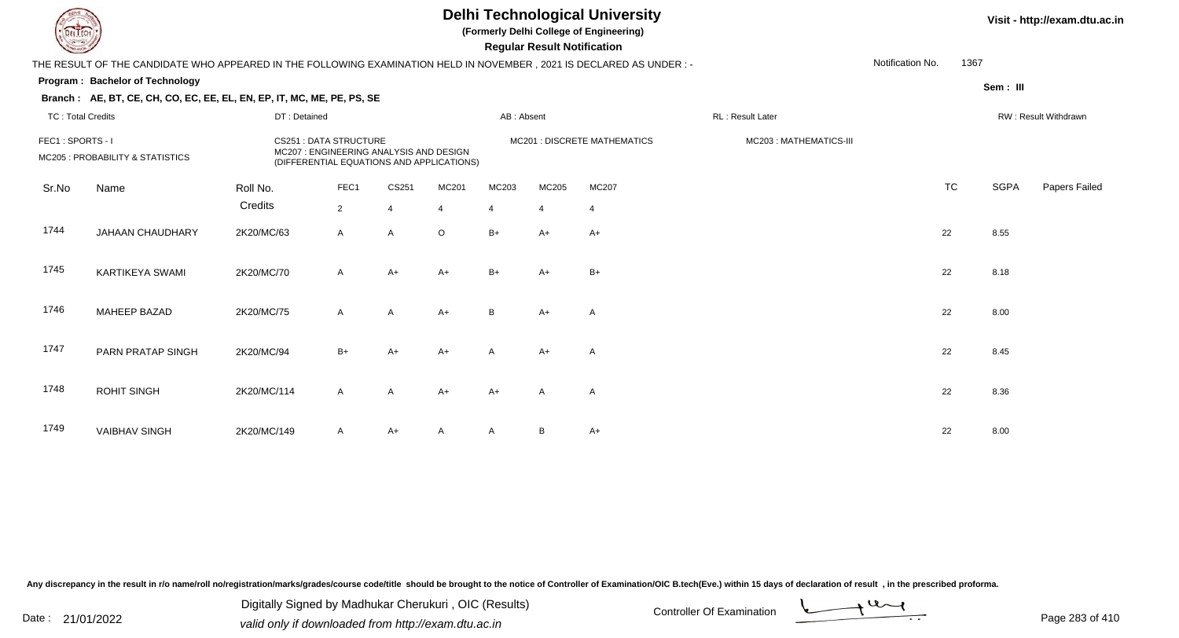**(Formerly Delhi College of Engineering)**

 **Regular Result Notification**

### **Visit - http://exam.dtu.ac.in**

|                          | THE RESULT OF THE CANDIDATE WHO APPEARED IN THE FOLLOWING EXAMINATION HELD IN NOVEMBER, 2021 IS DECLARED AS UNDER :- |                     |                              |                                                                                      |                         |            |                         |                                     |                          | Notification No. | 1367      |             |                      |
|--------------------------|----------------------------------------------------------------------------------------------------------------------|---------------------|------------------------------|--------------------------------------------------------------------------------------|-------------------------|------------|-------------------------|-------------------------------------|--------------------------|------------------|-----------|-------------|----------------------|
|                          | <b>Program: Bachelor of Technology</b><br>Branch: AE, BT, CE, CH, CO, EC, EE, EL, EN, EP, IT, MC, ME, PE, PS, SE     |                     |                              |                                                                                      |                         |            |                         |                                     |                          |                  |           | Sem: III    |                      |
| <b>TC: Total Credits</b> |                                                                                                                      | DT: Detained        |                              |                                                                                      |                         | AB: Absent |                         |                                     | <b>RL</b> : Result Later |                  |           |             | RW: Result Withdrawn |
| FEC1: SPORTS - I         | MC205 : PROBABILITY & STATISTICS                                                                                     |                     | <b>CS251: DATA STRUCTURE</b> | MC207 : ENGINEERING ANALYSIS AND DESIGN<br>(DIFFERENTIAL EQUATIONS AND APPLICATIONS) |                         |            |                         | <b>MC201 : DISCRETE MATHEMATICS</b> | MC203: MATHEMATICS-III   |                  |           |             |                      |
| Sr.No                    | Name                                                                                                                 | Roll No.<br>Credits | FEC1<br>$\overline{2}$       | CS251<br>4                                                                           | MC201<br>$\overline{4}$ | MC203<br>4 | MC205<br>$\overline{4}$ | <b>MC207</b><br>$\overline{4}$      |                          |                  | <b>TC</b> | <b>SGPA</b> | Papers Failed        |
| 1744                     | JAHAAN CHAUDHARY                                                                                                     | 2K20/MC/63          | $\mathsf{A}$                 | $\mathsf{A}$                                                                         | $\circ$                 | $B+$       | A+                      | $A+$                                |                          |                  | 22        | 8.55        |                      |
| 1745                     | <b>KARTIKEYA SWAMI</b>                                                                                               | 2K20/MC/70          | $\mathsf{A}$                 | $A+$                                                                                 | $A+$                    | $B+$       | $A+$                    | $B+$                                |                          |                  | 22        | 8.18        |                      |
| 1746                     | MAHEEP BAZAD                                                                                                         | 2K20/MC/75          | $\mathsf{A}$                 | $\mathsf{A}$                                                                         | $A+$                    | B          | $A+$                    | A                                   |                          |                  | 22        | 8.00        |                      |
| 1747                     | PARN PRATAP SINGH                                                                                                    | 2K20/MC/94          | $B+$                         | A+                                                                                   | $A+$                    | A          | A+                      | A                                   |                          |                  | 22        | 8.45        |                      |
| 1748                     | <b>ROHIT SINGH</b>                                                                                                   | 2K20/MC/114         | $\mathsf{A}$                 | $\mathsf{A}$                                                                         | $A+$                    | A+         | Α                       | A                                   |                          |                  | 22        | 8.36        |                      |
| 1749                     | <b>VAIBHAV SINGH</b>                                                                                                 | 2K20/MC/149         | $\mathsf{A}$                 | $A+$                                                                                 | A                       | A          | B                       | $A+$                                |                          |                  | 22        | 8.00        |                      |

Any discrepancy in the result in r/o name/roll no/registration/marks/grades/course code/title should be brought to the notice of Controller of Examination/OIC B.tech(Eve.) within 15 days of declaration of result, in the pr

Date : 21/01/2022 Digital Digital of Microsofted Chemical Controller Of Examination Determination Page 283 of 41 Digitally Signed by Madhukar Cherukuri , OIC (Results)

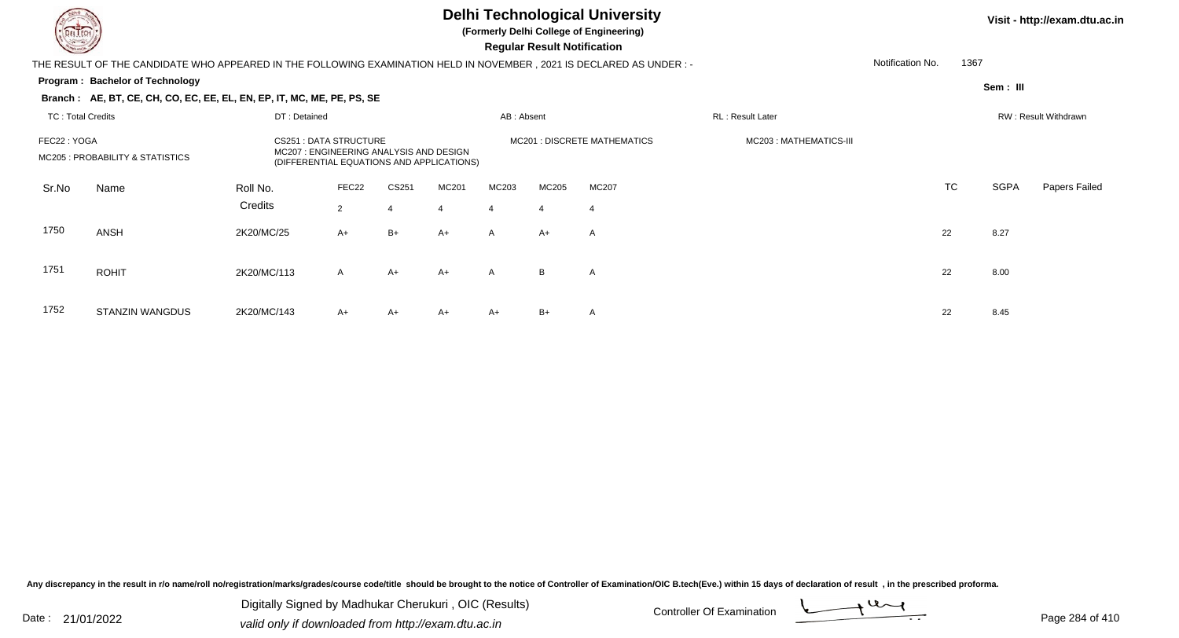

**(Formerly Delhi College of Engineering)**

 **Regular Result Notification**

| <b>Controller Comments</b>               |                                                                                                                       |             |                                                                                                                     |            |                |              | Regular Result Notification |                              |                         |                  |                      |             |               |
|------------------------------------------|-----------------------------------------------------------------------------------------------------------------------|-------------|---------------------------------------------------------------------------------------------------------------------|------------|----------------|--------------|-----------------------------|------------------------------|-------------------------|------------------|----------------------|-------------|---------------|
|                                          | THE RESULT OF THE CANDIDATE WHO APPEARED IN THE FOLLOWING EXAMINATION HELD IN NOVEMBER , 2021 IS DECLARED AS UNDER :- |             |                                                                                                                     |            |                |              |                             |                              |                         | Notification No. | 1367                 |             |               |
|                                          | <b>Program: Bachelor of Technology</b>                                                                                |             |                                                                                                                     |            |                |              |                             |                              |                         |                  |                      | Sem: III    |               |
|                                          | Branch: AE, BT, CE, CH, CO, EC, EE, EL, EN, EP, IT, MC, ME, PE, PS, SE                                                |             |                                                                                                                     |            |                |              |                             |                              |                         |                  |                      |             |               |
| <b>TC: Total Credits</b><br>DT: Detained |                                                                                                                       |             |                                                                                                                     | AB: Absent |                |              | RL: Result Later            |                              |                         |                  | RW: Result Withdrawn |             |               |
| FEC22: YOGA                              | MC205 : PROBABILITY & STATISTICS                                                                                      |             | <b>CS251: DATA STRUCTURE</b><br>MC207: ENGINEERING ANALYSIS AND DESIGN<br>(DIFFERENTIAL EQUATIONS AND APPLICATIONS) |            |                |              |                             | MC201 : DISCRETE MATHEMATICS | MC203 : MATHEMATICS-III |                  |                      |             |               |
| Sr.No                                    | Name                                                                                                                  | Roll No.    | FEC22                                                                                                               | CS251      | MC201          | MC203        | MC205                       | <b>MC207</b>                 |                         |                  | <b>TC</b>            | <b>SGPA</b> | Papers Failed |
|                                          |                                                                                                                       | Credits     | $\overline{2}$                                                                                                      | 4          | $\overline{4}$ | 4            | $\overline{4}$              | $\overline{4}$               |                         |                  |                      |             |               |
| 1750                                     | <b>ANSH</b>                                                                                                           | 2K20/MC/25  | $A+$                                                                                                                | $B+$       | $A+$           | $\mathsf{A}$ | $A+$                        | A                            |                         | 22               |                      | 8.27        |               |
| 1751                                     | <b>ROHIT</b>                                                                                                          | 2K20/MC/113 | $\mathsf{A}$                                                                                                        | $A+$       | $A+$           | $\mathsf{A}$ | B                           | A                            |                         | 22               |                      | 8.00        |               |
| 1752                                     | <b>STANZIN WANGDUS</b>                                                                                                | 2K20/MC/143 | $A+$                                                                                                                | A+         | $A+$           | $A+$         | $B+$                        | Α                            |                         | 22               |                      | 8.45        |               |

Any discrepancy in the result in r/o name/roll no/registration/marks/grades/course code/title should be brought to the notice of Controller of Examination/OIC B.tech(Eve.) within 15 days of declaration of result, in the pr

Date : 21/01/2022 Digital Digital of Microsofted Chemical Controller Of Examination Determination Page 284 of 41 Digitally Signed by Madhukar Cherukuri , OIC (Results)

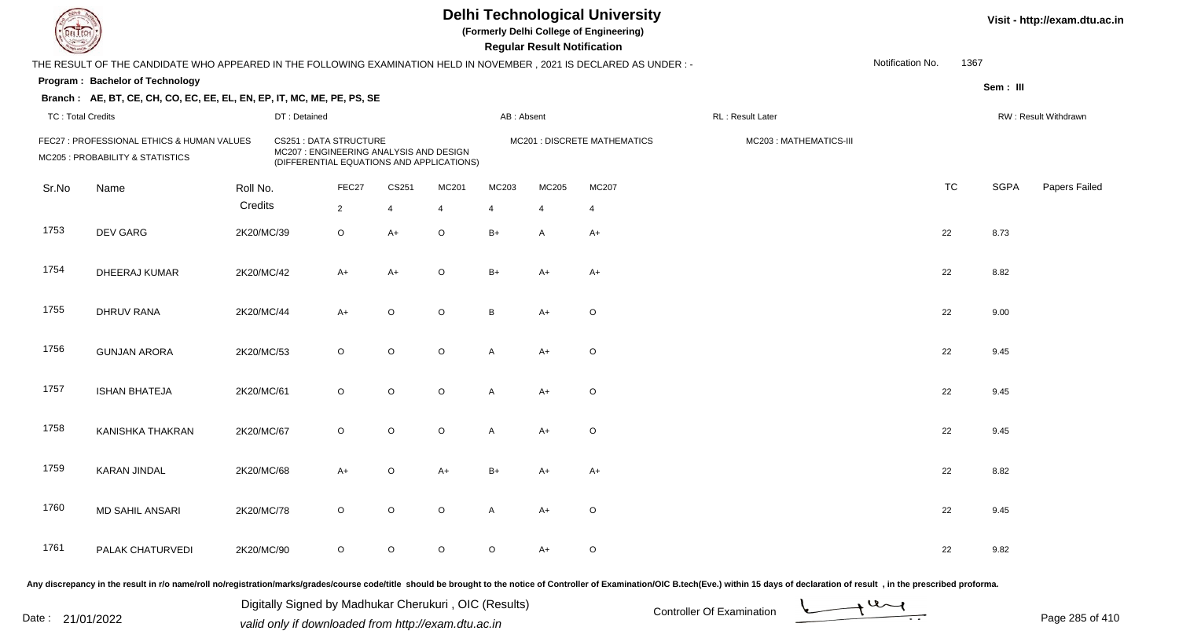**(Formerly Delhi College of Engineering)**

**Regular Regular Results Notification** 

| <b>Consultant Property</b>                                                                                                                                                                             |                                                                                                                      |            |              |                |         |                |                              | <b>Regular Result Notification</b> |                |                   |                  |           |             |                      |
|--------------------------------------------------------------------------------------------------------------------------------------------------------------------------------------------------------|----------------------------------------------------------------------------------------------------------------------|------------|--------------|----------------|---------|----------------|------------------------------|------------------------------------|----------------|-------------------|------------------|-----------|-------------|----------------------|
|                                                                                                                                                                                                        | THE RESULT OF THE CANDIDATE WHO APPEARED IN THE FOLLOWING EXAMINATION HELD IN NOVEMBER, 2021 IS DECLARED AS UNDER :- |            |              |                |         |                |                              |                                    |                |                   | Notification No. | 1367      |             |                      |
|                                                                                                                                                                                                        | Program: Bachelor of Technology                                                                                      |            |              |                |         |                |                              |                                    |                |                   |                  |           | Sem: III    |                      |
|                                                                                                                                                                                                        | Branch: AE, BT, CE, CH, CO, EC, EE, EL, EN, EP, IT, MC, ME, PE, PS, SE                                               |            |              |                |         |                |                              |                                    |                |                   |                  |           |             |                      |
| <b>TC: Total Credits</b>                                                                                                                                                                               |                                                                                                                      |            | DT: Detained |                |         |                | AB: Absent                   |                                    |                | RL : Result Later |                  |           |             | RW: Result Withdrawn |
| FEC27 : PROFESSIONAL ETHICS & HUMAN VALUES<br><b>CS251: DATA STRUCTURE</b><br>MC207 : ENGINEERING ANALYSIS AND DESIGN<br>MC205 : PROBABILITY & STATISTICS<br>(DIFFERENTIAL EQUATIONS AND APPLICATIONS) |                                                                                                                      |            |              |                |         |                | MC201 : DISCRETE MATHEMATICS |                                    |                |                   |                  |           |             |                      |
| Sr.No                                                                                                                                                                                                  | Name                                                                                                                 | Roll No.   |              | FEC27          | CS251   | MC201          | MC203                        | MC205                              | MC207          |                   |                  | <b>TC</b> | <b>SGPA</b> | Papers Failed        |
|                                                                                                                                                                                                        |                                                                                                                      | Credits    |              | $\overline{2}$ | 4       | $\overline{4}$ | $\overline{4}$               | $\overline{4}$                     | $\overline{4}$ |                   |                  |           |             |                      |
| 1753                                                                                                                                                                                                   | DEV GARG                                                                                                             | 2K20/MC/39 |              | $\circ$        | $A+$    | $\circ$        | $B+$                         | A                                  | $A+$           |                   |                  | 22        | 8.73        |                      |
| 1754                                                                                                                                                                                                   | DHEERAJ KUMAR                                                                                                        | 2K20/MC/42 |              | $A+$           | $A+$    | $\mathsf O$    | $B+$                         | $A+$                               | $A+$           |                   |                  | 22        | 8.82        |                      |
| 1755                                                                                                                                                                                                   | <b>DHRUV RANA</b>                                                                                                    | 2K20/MC/44 |              | $A+$           | $\circ$ | $\mathsf O$    | B                            | $A+$                               | $\circ$        |                   |                  | 22        | 9.00        |                      |
| 1756                                                                                                                                                                                                   | <b>GUNJAN ARORA</b>                                                                                                  | 2K20/MC/53 |              | $\circ$        | $\circ$ | $\circ$        | A                            | $A+$                               | O              |                   |                  | 22        | 9.45        |                      |
| 1757                                                                                                                                                                                                   | <b>ISHAN BHATEJA</b>                                                                                                 | 2K20/MC/61 |              | $\circ$        | $\circ$ | $\mathsf O$    | A                            | $A+$                               | $\circ$        |                   |                  | 22        | 9.45        |                      |
| 1758                                                                                                                                                                                                   | KANISHKA THAKRAN                                                                                                     | 2K20/MC/67 |              | $\circ$        | $\circ$ | $\mathsf O$    | A                            | $A+$                               | $\mathsf O$    |                   |                  | 22        | 9.45        |                      |
| 1759                                                                                                                                                                                                   | <b>KARAN JINDAL</b>                                                                                                  | 2K20/MC/68 |              | $A+$           | $\circ$ | $A+$           | $B+$                         | A+                                 | A+             |                   |                  | 22        | 8.82        |                      |
| 1760                                                                                                                                                                                                   | <b>MD SAHIL ANSARI</b>                                                                                               | 2K20/MC/78 |              | $\circ$        | $\circ$ | $\mathsf O$    | $\mathsf{A}$                 | $A+$                               | O              |                   |                  | 22        | 9.45        |                      |
| 1761                                                                                                                                                                                                   | PALAK CHATURVEDI                                                                                                     | 2K20/MC/90 |              | $\circ$        | $\circ$ | $\circ$        | $\circ$                      | A+                                 | O              |                   |                  | 22        | 9.82        |                      |
|                                                                                                                                                                                                        |                                                                                                                      |            |              |                |         |                |                              |                                    |                |                   |                  |           |             |                      |

Any discrepancy in the result in r/o name/roll no/registration/marks/grades/course code/title should be brought to the notice of Controller of Examination/OIC B.tech(Eve.) within 15 days of declaration of result, in the pr

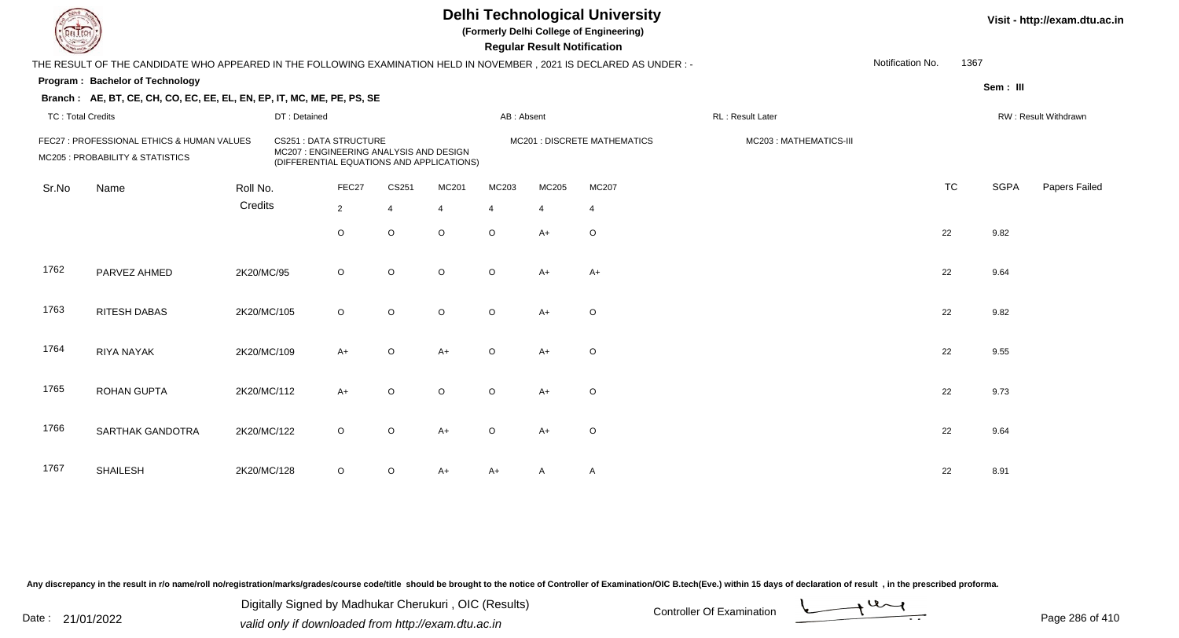|                                                                                |                                                                                                                      |             |                                                                                                                      |                |                |         |                              | <b>Regular Result Notification</b> | <b>Delhi Technological University</b><br>(Formerly Delhi College of Engineering) |                        |                  | Visit - http://exam.dtu.ac.in |             |                      |
|--------------------------------------------------------------------------------|----------------------------------------------------------------------------------------------------------------------|-------------|----------------------------------------------------------------------------------------------------------------------|----------------|----------------|---------|------------------------------|------------------------------------|----------------------------------------------------------------------------------|------------------------|------------------|-------------------------------|-------------|----------------------|
|                                                                                | THE RESULT OF THE CANDIDATE WHO APPEARED IN THE FOLLOWING EXAMINATION HELD IN NOVEMBER, 2021 IS DECLARED AS UNDER :- |             |                                                                                                                      |                |                |         |                              |                                    |                                                                                  |                        | Notification No. | 1367                          |             |                      |
|                                                                                | Program: Bachelor of Technology                                                                                      |             |                                                                                                                      |                |                |         |                              |                                    |                                                                                  |                        |                  |                               | Sem: III    |                      |
|                                                                                | Branch: AE, BT, CE, CH, CO, EC, EE, EL, EN, EP, IT, MC, ME, PE, PS, SE                                               |             |                                                                                                                      |                |                |         |                              |                                    |                                                                                  |                        |                  |                               |             |                      |
| <b>TC: Total Credits</b>                                                       |                                                                                                                      |             | DT: Detained                                                                                                         |                |                |         | AB: Absent                   |                                    |                                                                                  | RL: Result Later       |                  |                               |             | RW: Result Withdrawn |
| FEC27 : PROFESSIONAL ETHICS & HUMAN VALUES<br>MC205 : PROBABILITY & STATISTICS |                                                                                                                      |             | <b>CS251: DATA STRUCTURE</b><br>MC207 : ENGINEERING ANALYSIS AND DESIGN<br>(DIFFERENTIAL EQUATIONS AND APPLICATIONS) |                |                |         | MC201 : DISCRETE MATHEMATICS |                                    |                                                                                  | MC203: MATHEMATICS-III |                  |                               |             |                      |
| Sr.No                                                                          | Name                                                                                                                 | Roll No.    |                                                                                                                      | FEC27          | CS251          | MC201   | MC203                        | MC205                              | MC207                                                                            |                        |                  | <b>TC</b>                     | <b>SGPA</b> | Papers Failed        |
|                                                                                |                                                                                                                      | Credits     |                                                                                                                      | $\overline{2}$ | $\overline{4}$ | 4       | 4                            | $\overline{4}$                     | $\overline{4}$                                                                   |                        |                  |                               |             |                      |
|                                                                                |                                                                                                                      |             |                                                                                                                      | O              | $\mathsf O$    | $\circ$ | $\circ$                      | $A+$                               | $\circ$                                                                          |                        |                  | 22                            | 9.82        |                      |
| 1762                                                                           | PARVEZ AHMED                                                                                                         | 2K20/MC/95  |                                                                                                                      | $\circ$        | $\circ$        | $\circ$ | $\circ$                      | $A+$                               | $A+$                                                                             |                        |                  | 22                            | 9.64        |                      |
| 1763                                                                           | <b>RITESH DABAS</b>                                                                                                  | 2K20/MC/105 |                                                                                                                      | $\circ$        | $\mathsf O$    | $\circ$ | $\circ$                      | $A+$                               | $\circ$                                                                          |                        |                  | 22                            | 9.82        |                      |
| 1764                                                                           | <b>RIYA NAYAK</b>                                                                                                    | 2K20/MC/109 |                                                                                                                      | $A+$           | $\mathsf O$    | $A+$    | $\Omega$                     | $A+$                               | $\circ$                                                                          |                        |                  | 22                            | 9.55        |                      |
| 1765                                                                           | <b>ROHAN GUPTA</b>                                                                                                   | 2K20/MC/112 |                                                                                                                      | $A+$           | $\mathsf O$    | O       | $\circ$                      | A+                                 | $\circ$                                                                          |                        |                  | 22                            | 9.73        |                      |
| 1766                                                                           | SARTHAK GANDOTRA                                                                                                     | 2K20/MC/122 |                                                                                                                      | $\circ$        | $\mathsf O$    | $A+$    | $\Omega$                     | $A+$                               | $\mathsf O$                                                                      |                        |                  | 22                            | 9.64        |                      |
| 1767                                                                           | <b>SHAILESH</b>                                                                                                      | 2K20/MC/128 |                                                                                                                      | O              | $\circ$        | A+      | A+                           | A                                  | A                                                                                |                        |                  | 22                            | 8.91        |                      |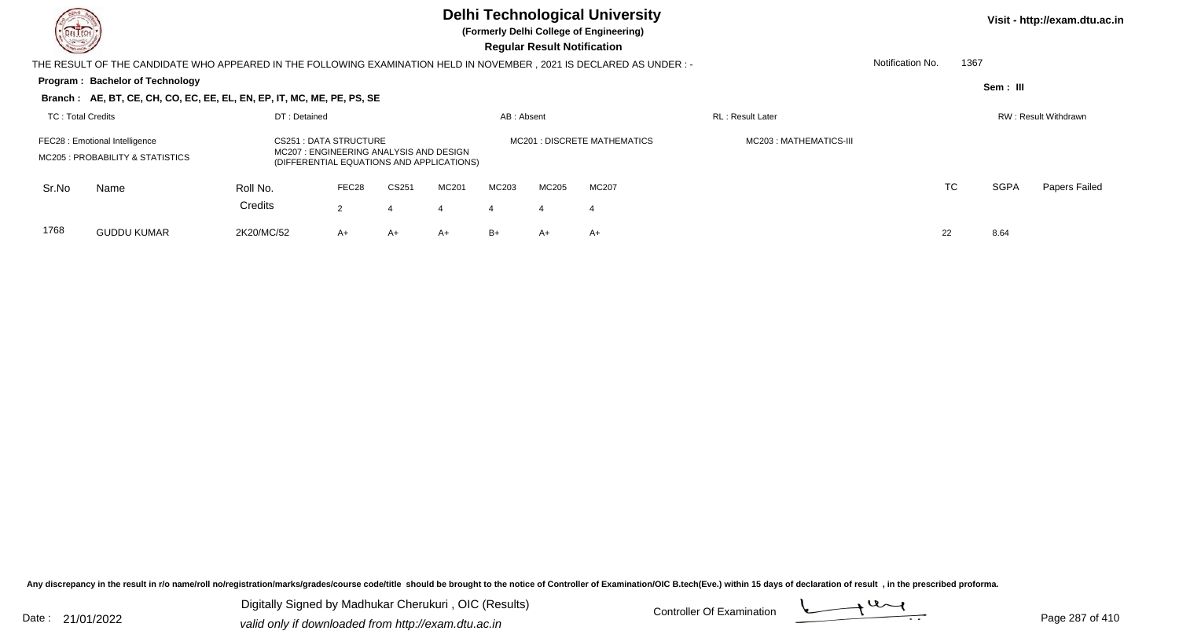

**(Formerly Delhi College of Engineering)**

| <b>Consultor of Personal Property</b> |                                                                                                                                                                                     |            |       |       |       |            |                              | <b>Regular Result Notification</b> |                          |                  |           |             |                      |
|---------------------------------------|-------------------------------------------------------------------------------------------------------------------------------------------------------------------------------------|------------|-------|-------|-------|------------|------------------------------|------------------------------------|--------------------------|------------------|-----------|-------------|----------------------|
|                                       | THE RESULT OF THE CANDIDATE WHO APPEARED IN THE FOLLOWING EXAMINATION HELD IN NOVEMBER , 2021 IS DECLARED AS UNDER : -                                                              |            |       |       |       |            |                              |                                    |                          | Notification No. | 1367      |             |                      |
|                                       | Program: Bachelor of Technology                                                                                                                                                     |            |       |       |       |            |                              |                                    |                          |                  |           | Sem : III   |                      |
|                                       | Branch: AE, BT, CE, CH, CO, EC, EE, EL, EN, EP, IT, MC, ME, PE, PS, SE                                                                                                              |            |       |       |       |            |                              |                                    |                          |                  |           |             |                      |
| DT: Detained<br>TC: Total Credits     |                                                                                                                                                                                     |            |       |       |       | AB: Absent |                              |                                    | <b>RL</b> : Result Later |                  |           |             | RW: Result Withdrawn |
|                                       | CS251 : DATA STRUCTURE<br>FEC28 : Emotional Intelligence<br>MC207: ENGINEERING ANALYSIS AND DESIGN<br>MC205 : PROBABILITY & STATISTICS<br>(DIFFERENTIAL EQUATIONS AND APPLICATIONS) |            |       |       |       |            | MC201 : DISCRETE MATHEMATICS | MC203 : MATHEMATICS-III            |                          |                  |           |             |                      |
| Sr.No                                 | Name                                                                                                                                                                                | Roll No.   | FEC28 | CS251 | MC201 | MC203      | MC205                        | MC207                              |                          |                  | <b>TC</b> | <b>SGPA</b> | Papers Failed        |
|                                       |                                                                                                                                                                                     | Credits    | 2     | 4     | 4     | 4          | 4                            | 4                                  |                          |                  |           |             |                      |
| 1768                                  | <b>GUDDU KUMAR</b>                                                                                                                                                                  | 2K20/MC/52 | $A+$  | $A+$  | $A+$  | $B+$       | $A+$                         | $A+$                               |                          | 22               |           | 8.64        |                      |

Any discrepancy in the result in r/o name/roll no/registration/marks/grades/course code/title should be brought to the notice of Controller of Examination/OIC B.tech(Eve.) within 15 days of declaration of result, in the pr

Date : 21/01/2022 Digital Digital of Microsofted Chemical Controller Of Examination Determination Page 287 of 41 Digitally Signed by Madhukar Cherukuri , OIC (Results)

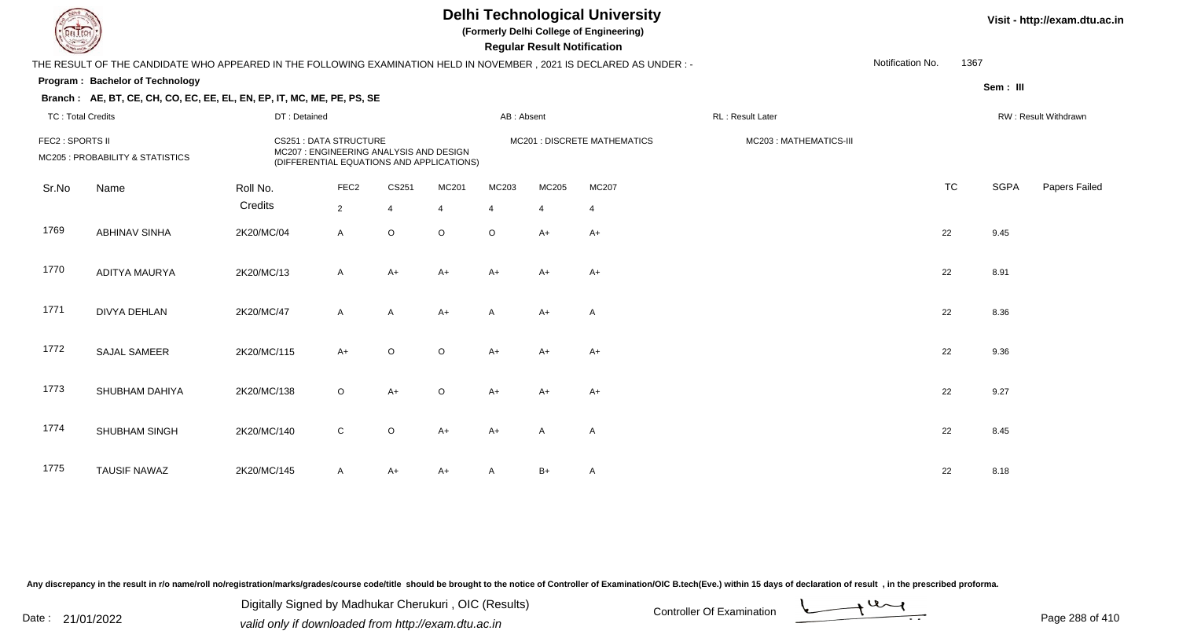**(Formerly Delhi College of Engineering)**

 **Regular Result Notification**

### **Visit - http://exam.dtu.ac.in**

|                                                      |                               |                  |              |                                                                        |                                        |                                           |                |                              | Notification No.                                                                                                     |                                                     |                      |
|------------------------------------------------------|-------------------------------|------------------|--------------|------------------------------------------------------------------------|----------------------------------------|-------------------------------------------|----------------|------------------------------|----------------------------------------------------------------------------------------------------------------------|-----------------------------------------------------|----------------------|
| Program: Bachelor of Technology                      |                               |                  |              |                                                                        |                                        |                                           |                |                              |                                                                                                                      | Sem: III                                            |                      |
|                                                      |                               |                  |              |                                                                        |                                        |                                           |                |                              |                                                                                                                      |                                                     |                      |
| <b>TC: Total Credits</b>                             |                               |                  |              |                                                                        |                                        |                                           |                | RL: Result Later             |                                                                                                                      |                                                     | RW: Result Withdrawn |
| FEC2 : SPORTS II<br>MC205 : PROBABILITY & STATISTICS | <b>CS251 : DATA STRUCTURE</b> |                  |              |                                                                        |                                        |                                           |                | MC203: MATHEMATICS-III       |                                                                                                                      |                                                     |                      |
| Name                                                 | Roll No.                      | FEC <sub>2</sub> | CS251        | MC201                                                                  | MC203                                  | MC205                                     | MC207          |                              |                                                                                                                      | <b>SGPA</b>                                         | Papers Failed        |
|                                                      | Credits                       | $\overline{2}$   | 4            | $\overline{4}$                                                         | $\overline{4}$                         | $\overline{4}$                            | $\overline{4}$ |                              |                                                                                                                      |                                                     |                      |
| <b>ABHINAV SINHA</b>                                 | 2K20/MC/04                    | A                | $\circ$      | $\circ$                                                                | $\circ$                                | $A+$                                      | $A+$           |                              |                                                                                                                      | 9.45                                                |                      |
| ADITYA MAURYA                                        | 2K20/MC/13                    | $\mathsf{A}$     | $A+$         | $A+$                                                                   | $A+$                                   | $A+$                                      | $A+$           |                              |                                                                                                                      | 8.91                                                |                      |
| <b>DIVYA DEHLAN</b>                                  | 2K20/MC/47                    | A                | $\mathsf{A}$ | $A+$                                                                   | A                                      | $A+$                                      | Α              |                              |                                                                                                                      | 8.36                                                |                      |
| <b>SAJAL SAMEER</b>                                  | 2K20/MC/115                   | $A+$             | $\circ$      | $\circ$                                                                | $A+$                                   | $A+$                                      | $A+$           |                              |                                                                                                                      | 9.36                                                |                      |
| SHUBHAM DAHIYA                                       | 2K20/MC/138                   | $\circ$          | $A+$         | O                                                                      | $A+$                                   | $A+$                                      | $A+$           |                              |                                                                                                                      | 9.27                                                |                      |
| SHUBHAM SINGH                                        | 2K20/MC/140                   | $\mathbf C$      | O            | $A+$                                                                   | $A+$                                   | Α                                         | Α              |                              |                                                                                                                      | 8.45                                                |                      |
| <b>TAUSIF NAWAZ</b>                                  | 2K20/MC/145                   | A                | $A+$         | A+                                                                     | A                                      | $B+$                                      | A              |                              |                                                                                                                      | 8.18                                                |                      |
|                                                      |                               |                  | DT: Detained | Branch: AE, BT, CE, CH, CO, EC, EE, EL, EN, EP, IT, MC, ME, PE, PS, SE | MC207: ENGINEERING ANALYSIS AND DESIGN | (DIFFERENTIAL EQUATIONS AND APPLICATIONS) | AB: Absent     | MC201 : DISCRETE MATHEMATICS | THE RESULT OF THE CANDIDATE WHO APPEARED IN THE FOLLOWING EXAMINATION HELD IN NOVEMBER, 2021 IS DECLARED AS UNDER :- | <b>TC</b><br>22<br>22<br>22<br>22<br>22<br>22<br>22 | 1367                 |

Any discrepancy in the result in r/o name/roll no/registration/marks/grades/course code/title should be brought to the notice of Controller of Examination/OIC B.tech(Eve.) within 15 days of declaration of result, in the pr

Date : 21/01/2022 Digital Digital of Microsofted Chemical Controller Of Examination Determination Page 288 of 41 Digitally Signed by Madhukar Cherukuri , OIC (Results)

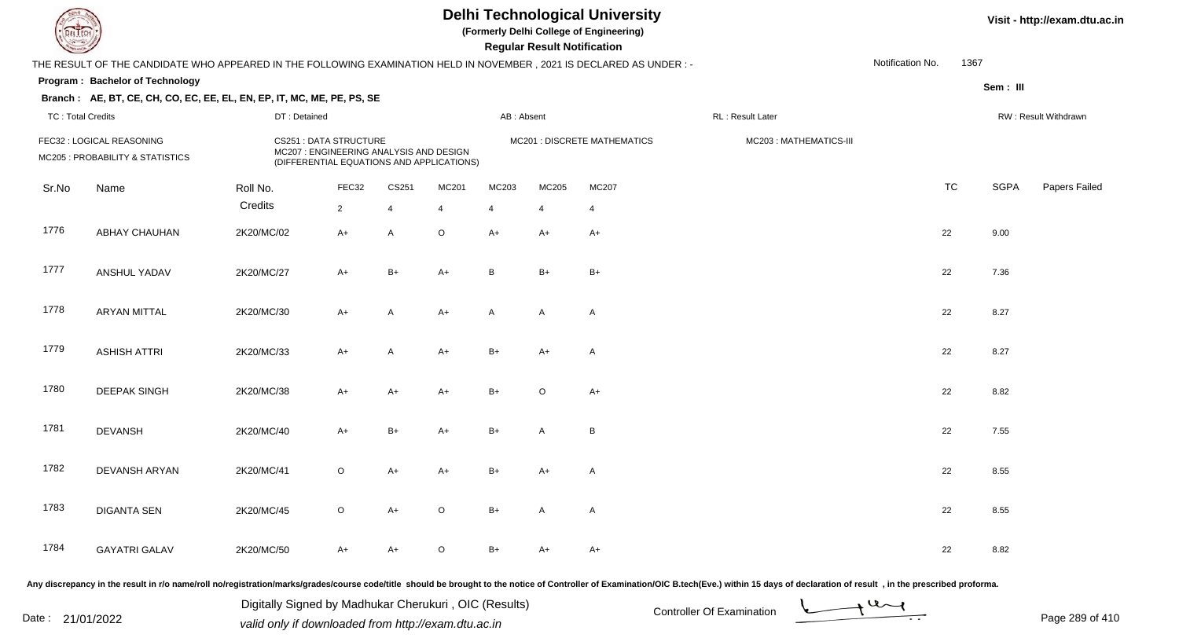**(Formerly Delhi College of Engineering)**

 **Regular Result Notification**

| <b>Country of Charles</b> |                                                                                                                     |              |                                                                         |                |                                                                           |                | Regular Result Notification |              |                        |                  |           |             |                      |
|---------------------------|---------------------------------------------------------------------------------------------------------------------|--------------|-------------------------------------------------------------------------|----------------|---------------------------------------------------------------------------|----------------|-----------------------------|--------------|------------------------|------------------|-----------|-------------|----------------------|
|                           | THE RESULT OF THE CANDIDATE WHO APPEARED IN THE FOLLOWING EXAMINATION HELD IN NOVEMBER, 2021 IS DECLARED AS UNDER:- |              |                                                                         |                |                                                                           |                |                             |              |                        | Notification No. | 1367      |             |                      |
|                           | Program: Bachelor of Technology                                                                                     |              |                                                                         |                |                                                                           |                |                             |              |                        |                  |           | Sem: III    |                      |
|                           | Branch: AE, BT, CE, CH, CO, EC, EE, EL, EN, EP, IT, MC, ME, PE, PS, SE                                              |              |                                                                         |                |                                                                           |                |                             |              |                        |                  |           |             |                      |
| <b>TC: Total Credits</b>  |                                                                                                                     | DT: Detained |                                                                         |                |                                                                           | AB: Absent     |                             |              | RL: Result Later       |                  |           |             | RW: Result Withdrawn |
|                           | FEC32 : LOGICAL REASONING<br>MC205 : PROBABILITY & STATISTICS                                                       |              | <b>CS251: DATA STRUCTURE</b><br>MC207 : ENGINEERING ANALYSIS AND DESIGN |                | MC201 : DISCRETE MATHEMATICS<br>(DIFFERENTIAL EQUATIONS AND APPLICATIONS) |                |                             |              | MC203: MATHEMATICS-III |                  |           |             |                      |
| Sr.No                     | Name                                                                                                                | Roll No.     | FEC32                                                                   | CS251          | MC201                                                                     | MC203          | MC205                       | MC207        |                        |                  | <b>TC</b> | <b>SGPA</b> | Papers Failed        |
|                           |                                                                                                                     | Credits      | $\overline{2}$                                                          | $\overline{4}$ | $\overline{4}$                                                            | $\overline{4}$ | $\overline{4}$              | 4            |                        |                  |           |             |                      |
| 1776                      | <b>ABHAY CHAUHAN</b>                                                                                                | 2K20/MC/02   | $A+$                                                                    | A              | $\mathsf O$                                                               | $A+$           | $A+$                        | $A+$         |                        | 22               |           | 9.00        |                      |
| 1777                      | ANSHUL YADAV                                                                                                        | 2K20/MC/27   | $A+$                                                                    | $B+$           | $A+$                                                                      | B              | $B+$                        | $B+$         |                        |                  | 22        | 7.36        |                      |
| 1778                      | <b>ARYAN MITTAL</b>                                                                                                 | 2K20/MC/30   | $A+$                                                                    | A              | $A+$                                                                      | A              | A                           | $\mathsf{A}$ |                        |                  | 22        | 8.27        |                      |
| 1779                      | <b>ASHISH ATTRI</b>                                                                                                 | 2K20/MC/33   | $A+$                                                                    | A              | $A+$                                                                      | $B+$           | $A+$                        | A            |                        | 22               |           | 8.27        |                      |
| 1780                      | <b>DEEPAK SINGH</b>                                                                                                 | 2K20/MC/38   | $A+$                                                                    | $A+$           | $A+$                                                                      | $B+$           | $\mathsf O$                 | $A+$         |                        | 22               |           | 8.82        |                      |
| 1781                      | <b>DEVANSH</b>                                                                                                      | 2K20/MC/40   | $A+$                                                                    | $B+$           | $A+$                                                                      | $B+$           | A                           | B            |                        |                  | 22        | 7.55        |                      |
| 1782                      | DEVANSH ARYAN                                                                                                       | 2K20/MC/41   | $\circ$                                                                 | $A+$           | $A+$                                                                      | $B+$           | $A+$                        | $\mathsf{A}$ |                        |                  | 22        | 8.55        |                      |
| 1783                      | <b>DIGANTA SEN</b>                                                                                                  | 2K20/MC/45   | $\circ$                                                                 | $A+$           | $\mathsf O$                                                               | $B+$           | Α                           | $\mathsf{A}$ |                        | 22               |           | 8.55        |                      |
| 1784                      | <b>GAYATRI GALAV</b>                                                                                                | 2K20/MC/50   | $A+$                                                                    | A+             | $\mathsf O$                                                               | $B+$           | A+                          | A+           |                        |                  | 22        | 8.82        |                      |
|                           |                                                                                                                     |              |                                                                         |                |                                                                           |                |                             |              |                        |                  |           |             |                      |

Any discrepancy in the result in r/o name/roll no/registration/marks/grades/course code/title should be brought to the notice of Controller of Examination/OIC B.tech(Eve.) within 15 days of declaration of result, in the pr

Date : 21/01/2022 Digital Digital of Microsofted Chemical Controller Of Examination Determination Page 289 of 41 Digitally Signed by Madhukar Cherukuri , OIC (Results)

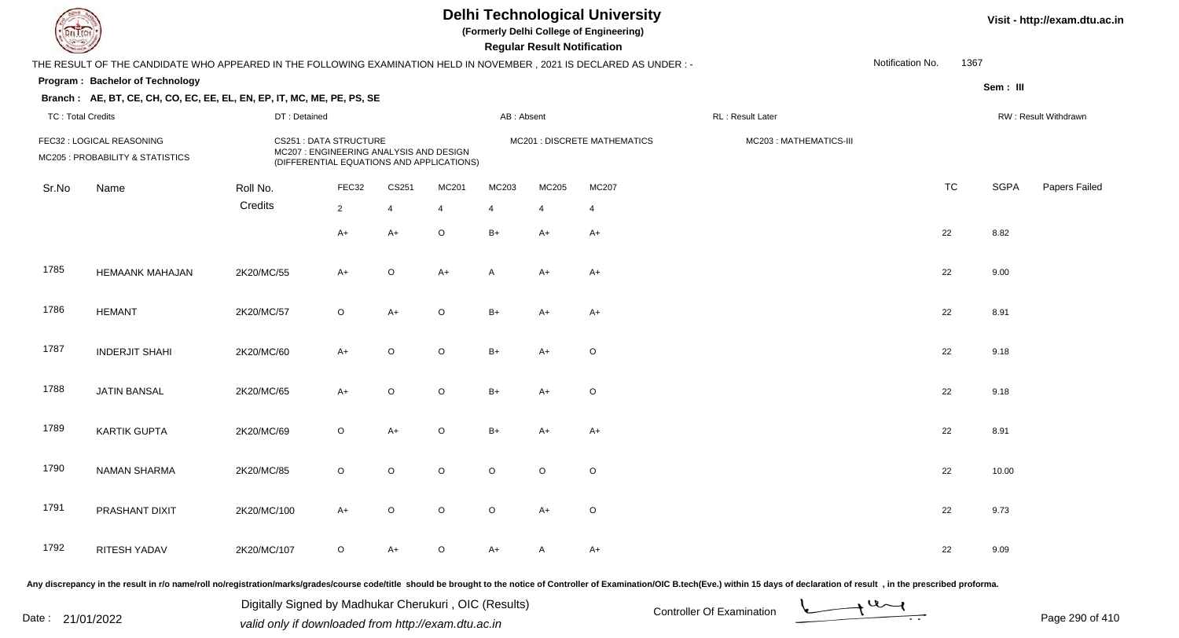**(Formerly Delhi College of Engineering)**

 **Regular Result Notification**

| <b>Course Line</b>       |                                                                                                                     |              |                                                                                                                |         |                |            | Regular Result Notification |                                    |                        |                  |      |             |                      |
|--------------------------|---------------------------------------------------------------------------------------------------------------------|--------------|----------------------------------------------------------------------------------------------------------------|---------|----------------|------------|-----------------------------|------------------------------------|------------------------|------------------|------|-------------|----------------------|
|                          | THE RESULT OF THE CANDIDATE WHO APPEARED IN THE FOLLOWING EXAMINATION HELD IN NOVEMBER, 2021 IS DECLARED AS UNDER:- |              |                                                                                                                |         |                |            |                             |                                    |                        | Notification No. | 1367 |             |                      |
|                          | Program: Bachelor of Technology                                                                                     |              |                                                                                                                |         |                |            |                             |                                    |                        |                  |      | Sem: III    |                      |
|                          | Branch: AE, BT, CE, CH, CO, EC, EE, EL, EN, EP, IT, MC, ME, PE, PS, SE                                              |              |                                                                                                                |         |                |            |                             |                                    |                        |                  |      |             |                      |
| <b>TC: Total Credits</b> |                                                                                                                     | DT: Detained |                                                                                                                |         |                | AB: Absent |                             |                                    | RL: Result Later       |                  |      |             | RW: Result Withdrawn |
|                          | FEC32 : LOGICAL REASONING<br>MC205 : PROBABILITY & STATISTICS                                                       |              | CS251 : DATA STRUCTURE<br>MC207 : ENGINEERING ANALYSIS AND DESIGN<br>(DIFFERENTIAL EQUATIONS AND APPLICATIONS) |         |                |            |                             | <b>MC201: DISCRETE MATHEMATICS</b> | MC203: MATHEMATICS-III |                  |      |             |                      |
| Sr.No                    | Name                                                                                                                | Roll No.     | FEC32                                                                                                          | CS251   | MC201          | MC203      | MC205                       | <b>MC207</b>                       |                        | TC               |      | <b>SGPA</b> | Papers Failed        |
|                          |                                                                                                                     | Credits      | $\overline{2}$                                                                                                 | 4       | $\overline{4}$ | 4          | $\overline{4}$              | 4                                  |                        |                  |      |             |                      |
|                          |                                                                                                                     |              | $A+$                                                                                                           | $A+$    | $\circ$        | $B+$       | $A+$                        | $A+$                               |                        | 22               |      | 8.82        |                      |
| 1785                     | <b>HEMAANK MAHAJAN</b>                                                                                              | 2K20/MC/55   | $A+$                                                                                                           | $\circ$ | $A+$           | A          | $A+$                        | $A+$                               |                        | 22               |      | 9.00        |                      |
| 1786                     | <b>HEMANT</b>                                                                                                       | 2K20/MC/57   | $\mathsf O$                                                                                                    | $A+$    | $\mathsf O$    | $B+$       | $A+$                        | $A+$                               |                        | 22               |      | 8.91        |                      |
| 1787                     | <b>INDERJIT SHAHI</b>                                                                                               | 2K20/MC/60   | $A+$                                                                                                           | $\circ$ | $\mathsf O$    | $B+$       | $A+$                        | $\circ$                            |                        | 22               |      | 9.18        |                      |
| 1788                     | <b>JATIN BANSAL</b>                                                                                                 | 2K20/MC/65   | $A+$                                                                                                           | $\circ$ | $\circ$        | $B+$       | $A+$                        | $\mathsf O$                        |                        | 22               |      | 9.18        |                      |
| 1789                     | <b>KARTIK GUPTA</b>                                                                                                 | 2K20/MC/69   | $\mathsf O$                                                                                                    | $A+$    | $\mathsf O$    | $B+$       | $A+$                        | $A+$                               |                        | 22               |      | 8.91        |                      |
| 1790                     | <b>NAMAN SHARMA</b>                                                                                                 | 2K20/MC/85   | $\circ$                                                                                                        | $\circ$ | $\circ$        | $\circ$    | $\circ$                     | $\circ$                            |                        | 22               |      | 10.00       |                      |
| 1791                     | PRASHANT DIXIT                                                                                                      | 2K20/MC/100  | $A+$                                                                                                           | $\circ$ | $\circ$        | $\circ$    | $A+$                        | $\circ$                            |                        | 22               |      | 9.73        |                      |
| 1792                     | <b>RITESH YADAV</b>                                                                                                 | 2K20/MC/107  | $\circ$                                                                                                        | A+      | $\circ$        | $A+$       | A                           | $A+$                               |                        | 22               |      | 9.09        |                      |
|                          |                                                                                                                     |              |                                                                                                                |         |                |            |                             |                                    |                        |                  |      |             |                      |

Any discrepancy in the result in r/o name/roll no/registration/marks/grades/course code/title should be brought to the notice of Controller of Examination/OIC B.tech(Eve.) within 15 days of declaration of result, in the pr

Date : 21/01/2022 Digital Digital of Microsofted Chemical Controller Of Examination Determination Page 290 of 41 Digitally Signed by Madhukar Cherukuri , OIC (Results)

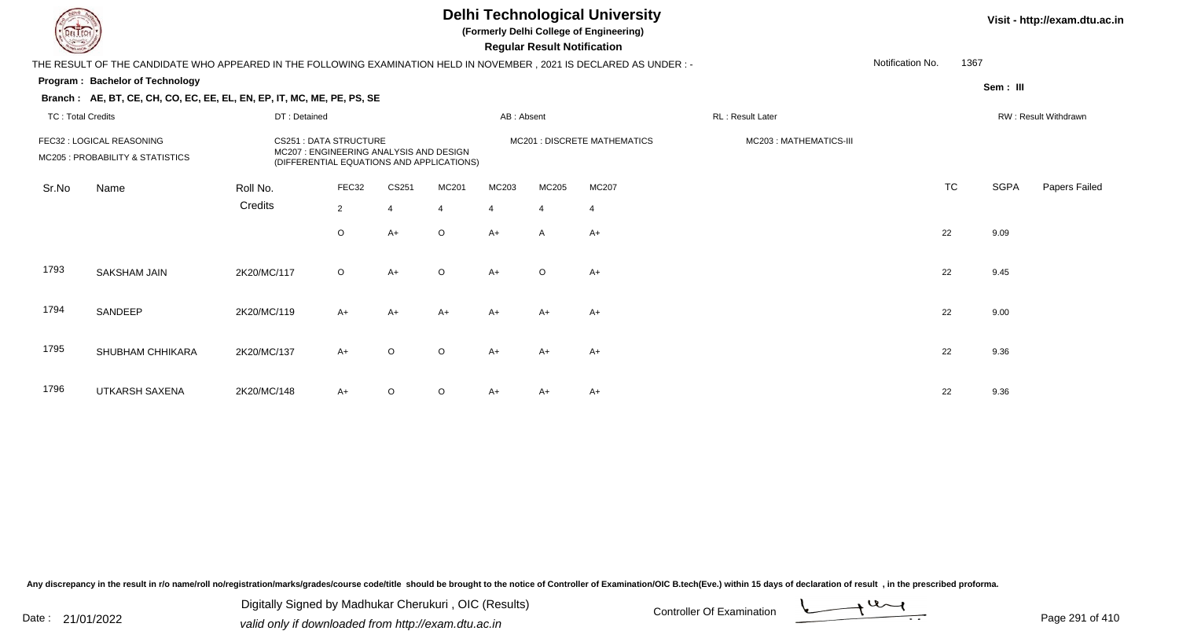**(Formerly Delhi College of Engineering)**

 **Regular Result Notification**

#### **Visit - http://exam.dtu.ac.in**

|                          | THE RESULT OF THE CANDIDATE WHO APPEARED IN THE FOLLOWING EXAMINATION HELD IN NOVEMBER , 2021 IS DECLARED AS UNDER : -                                                               |              |                |                                                        |                |                |                  |       |  | Notification No. | 1367                 |             |               |
|--------------------------|--------------------------------------------------------------------------------------------------------------------------------------------------------------------------------------|--------------|----------------|--------------------------------------------------------|----------------|----------------|------------------|-------|--|------------------|----------------------|-------------|---------------|
|                          | <b>Program: Bachelor of Technology</b>                                                                                                                                               |              |                |                                                        |                |                |                  |       |  |                  |                      | Sem : III   |               |
|                          | Branch: AE, BT, CE, CH, CO, EC, EE, EL, EN, EP, IT, MC, ME, PE, PS, SE                                                                                                               |              |                |                                                        |                |                |                  |       |  |                  |                      |             |               |
| <b>TC: Total Credits</b> |                                                                                                                                                                                      | DT: Detained |                |                                                        |                |                | RL: Result Later |       |  |                  | RW: Result Withdrawn |             |               |
|                          | FEC32 : LOGICAL REASONING<br><b>CS251: DATA STRUCTURE</b><br>MC207: ENGINEERING ANALYSIS AND DESIGN<br>MC205 : PROBABILITY & STATISTICS<br>(DIFFERENTIAL EQUATIONS AND APPLICATIONS) |              |                | MC201 : DISCRETE MATHEMATICS<br>MC203: MATHEMATICS-III |                |                |                  |       |  |                  |                      |             |               |
| Sr.No                    | Name                                                                                                                                                                                 | Roll No.     | FEC32          | CS251                                                  | MC201          | MC203          | MC205            | MC207 |  |                  | <b>TC</b>            | <b>SGPA</b> | Papers Failed |
|                          |                                                                                                                                                                                      | Credits      | $\overline{2}$ | $\Delta$                                               | $\overline{4}$ | $\overline{4}$ | $\overline{4}$   | 4     |  |                  |                      |             |               |
|                          |                                                                                                                                                                                      |              | $\circ$        | $A+$                                                   | $\circ$        | $A+$           | $\overline{A}$   | $A+$  |  |                  | 22                   | 9.09        |               |
| 1793                     | SAKSHAM JAIN                                                                                                                                                                         | 2K20/MC/117  | $\circ$        | $A+$                                                   | $\circ$        | $A+$           | $\circ$          | $A+$  |  |                  | 22                   | 9.45        |               |
| 1794                     | SANDEEP                                                                                                                                                                              | 2K20/MC/119  | $A+$           | $A+$                                                   | $A+$           | $A+$           | $A+$             | $A+$  |  |                  | 22                   | 9.00        |               |
| 1795                     | SHUBHAM CHHIKARA                                                                                                                                                                     | 2K20/MC/137  | $A+$           | $\circ$                                                | $\circ$        | $A+$           | $A+$             | $A+$  |  |                  | 22                   | 9.36        |               |
| 1796                     | UTKARSH SAXENA                                                                                                                                                                       | 2K20/MC/148  | $A+$           | $\Omega$                                               | $\circ$        | A+             | A+               | $A+$  |  |                  | 22                   | 9.36        |               |

Any discrepancy in the result in r/o name/roll no/registration/marks/grades/course code/title should be brought to the notice of Controller of Examination/OIC B.tech(Eve.) within 15 days of declaration of result, in the pr

Date : 21/01/2022 Digital Digital of Microsofted Chemical Controller Of Examination Determination Page 291 of 41 Digitally Signed by Madhukar Cherukuri , OIC (Results)

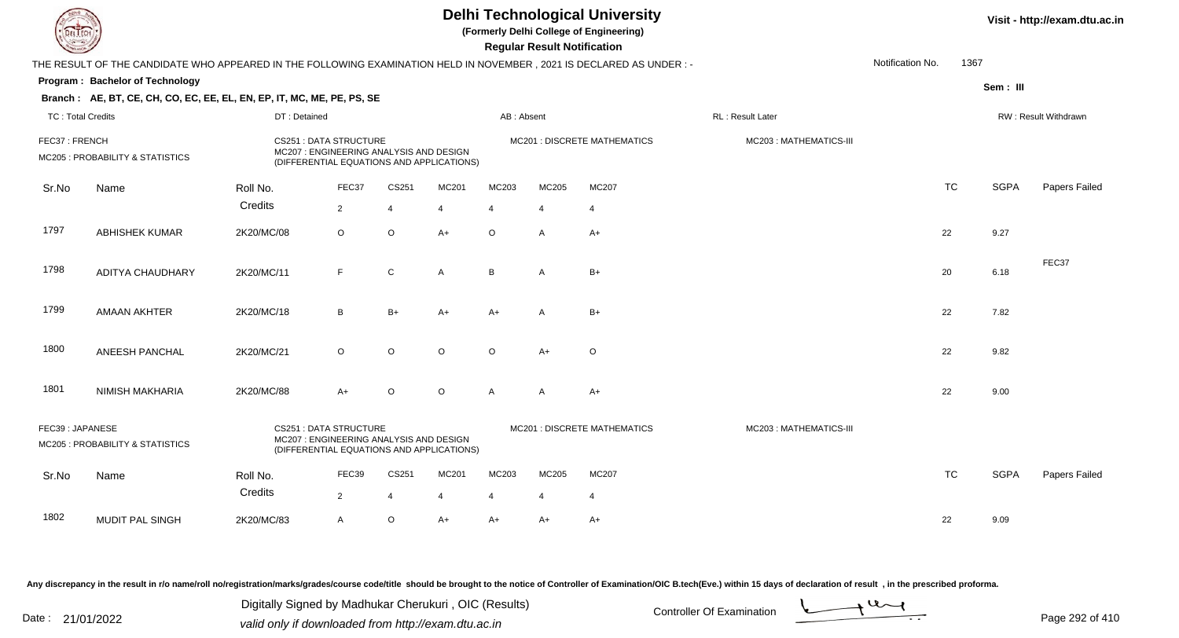|                          |                                                                                                                                                                             |              |                                                                                                                      |                |                         | <b>Delhi Technological University</b><br>(Formerly Delhi College of Engineering)<br><b>Regular Result Notification</b> |                       | Visit - http://exam.dtu.ac.in       |                        |                  |           |                      |               |
|--------------------------|-----------------------------------------------------------------------------------------------------------------------------------------------------------------------------|--------------|----------------------------------------------------------------------------------------------------------------------|----------------|-------------------------|------------------------------------------------------------------------------------------------------------------------|-----------------------|-------------------------------------|------------------------|------------------|-----------|----------------------|---------------|
|                          | THE RESULT OF THE CANDIDATE WHO APPEARED IN THE FOLLOWING EXAMINATION HELD IN NOVEMBER, 2021 IS DECLARED AS UNDER :-                                                        |              |                                                                                                                      |                |                         |                                                                                                                        |                       |                                     |                        | Notification No. | 1367      |                      |               |
|                          | Program: Bachelor of Technology                                                                                                                                             |              |                                                                                                                      |                |                         |                                                                                                                        |                       |                                     |                        |                  |           | Sem: III             |               |
|                          | Branch: AE, BT, CE, CH, CO, EC, EE, EL, EN, EP, IT, MC, ME, PE, PS, SE                                                                                                      |              |                                                                                                                      |                |                         |                                                                                                                        |                       |                                     |                        |                  |           |                      |               |
| <b>TC: Total Credits</b> |                                                                                                                                                                             | DT: Detained |                                                                                                                      |                |                         | AB: Absent                                                                                                             |                       |                                     |                        |                  |           | RW: Result Withdrawn |               |
| FEC37: FRENCH            | MC205 : PROBABILITY & STATISTICS                                                                                                                                            |              | <b>CS251: DATA STRUCTURE</b><br>MC207 : ENGINEERING ANALYSIS AND DESIGN<br>(DIFFERENTIAL EQUATIONS AND APPLICATIONS) |                |                         |                                                                                                                        |                       | <b>MC201 : DISCRETE MATHEMATICS</b> | MC203: MATHEMATICS-III |                  |           |                      |               |
| Sr.No                    | Name                                                                                                                                                                        | Roll No.     | FEC37                                                                                                                | CS251          | MC201                   | MC203                                                                                                                  | MC205                 | MC207                               |                        |                  | <b>TC</b> | <b>SGPA</b>          | Papers Failed |
|                          |                                                                                                                                                                             | Credits      | $\overline{2}$                                                                                                       | $\overline{4}$ | $\overline{\mathbf{4}}$ | 4                                                                                                                      | $\overline{4}$        | $\overline{4}$                      |                        |                  |           |                      |               |
| 1797                     | <b>ABHISHEK KUMAR</b>                                                                                                                                                       | 2K20/MC/08   | $\circ$                                                                                                              | $\mathsf O$    | $A+$                    | $\circ$                                                                                                                | A                     | $A+$                                |                        |                  | 22        | 9.27                 |               |
| 1798                     | <b>ADITYA CHAUDHARY</b>                                                                                                                                                     | 2K20/MC/11   | F                                                                                                                    | ${\bf C}$      | A                       | B                                                                                                                      | $\overline{A}$        | $B+$                                |                        |                  | 20        | 6.18                 | FEC37         |
| 1799                     | <b>AMAAN AKHTER</b>                                                                                                                                                         | 2K20/MC/18   | B                                                                                                                    | $B+$           | $A+$                    | $A+$                                                                                                                   | A                     | $B+$                                |                        |                  | 22        | 7.82                 |               |
| 1800                     | ANEESH PANCHAL                                                                                                                                                              | 2K20/MC/21   | O                                                                                                                    | $\circ$        | O                       | $\circ$                                                                                                                | $A+$                  | O                                   |                        |                  | 22        | 9.82                 |               |
| 1801                     | <b>NIMISH MAKHARIA</b>                                                                                                                                                      | 2K20/MC/88   | $A+$                                                                                                                 | $\circ$        | $\circ$                 | $\mathsf{A}$                                                                                                           | $\mathsf{A}$          | $A+$                                |                        |                  | 22        | 9.00                 |               |
|                          | FEC39: JAPANESE<br><b>CS251: DATA STRUCTURE</b><br>MC207 : ENGINEERING ANALYSIS AND DESIGN<br>MC205 : PROBABILITY & STATISTICS<br>(DIFFERENTIAL EQUATIONS AND APPLICATIONS) |              |                                                                                                                      |                |                         |                                                                                                                        |                       | <b>MC201 : DISCRETE MATHEMATICS</b> | MC203: MATHEMATICS-III |                  |           |                      |               |
| Sr.No                    | Name                                                                                                                                                                        | Roll No.     | FEC39                                                                                                                | CS251          | MC201                   | MC203                                                                                                                  | MC205                 | MC207                               |                        |                  | <b>TC</b> | <b>SGPA</b>          | Papers Failed |
|                          |                                                                                                                                                                             | Credits      | $\overline{2}$                                                                                                       | $\overline{4}$ |                         |                                                                                                                        | $\boldsymbol{\Delta}$ | $\overline{4}$                      |                        |                  |           |                      |               |
| 1802                     | MUDIT PAL SINGH                                                                                                                                                             | 2K20/MC/83   | A                                                                                                                    | $\mathsf O$    | $A+$                    | $A+$                                                                                                                   | A+                    | A+                                  |                        |                  | 22        | 9.09                 |               |

Digitally Signed by Madhukar Cherukuri, OIC (Results)<br>Date : 21/01/2022 valid only if downloaded from http://oxam.dtu.ac.in Digitally Signed by Madhukar Cherukuri , OIC (Results)valid only if downloaded from http://exam.dtu.ac.in

Page 292 of 410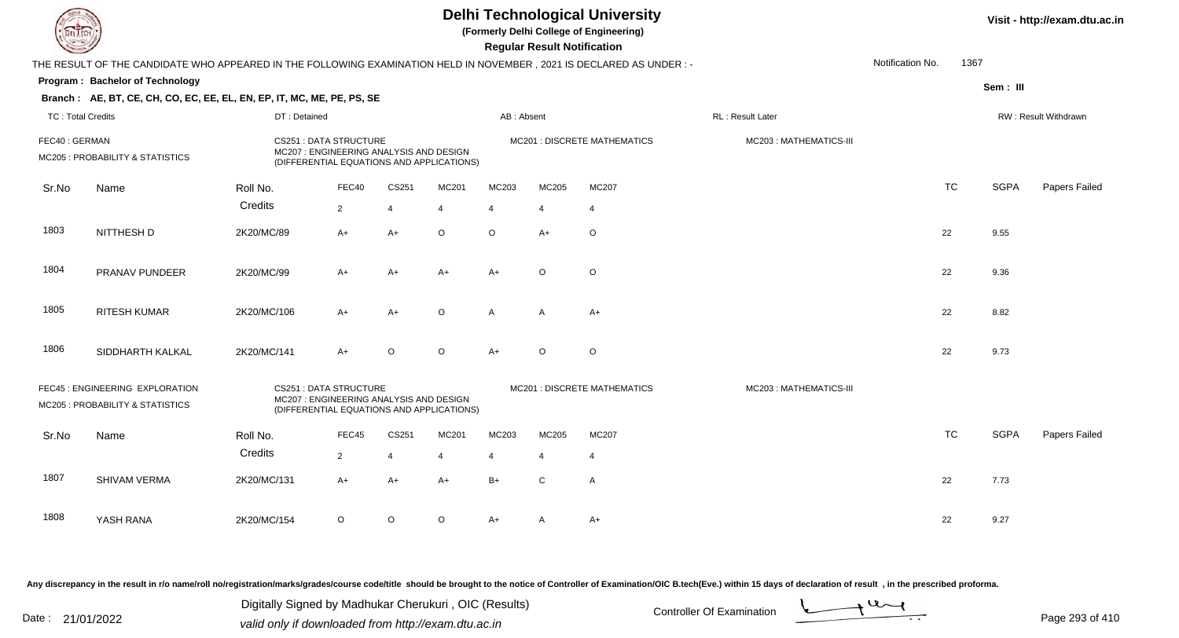|                          |                                                                                                                     |              |                                                                                                                      |                |         |                | <b>Regular Result Notification</b> | <b>Delhi Technological University</b><br>(Formerly Delhi College of Engineering) |                        |                  |           |                             | Visit - http://exam.dtu.ac.in |
|--------------------------|---------------------------------------------------------------------------------------------------------------------|--------------|----------------------------------------------------------------------------------------------------------------------|----------------|---------|----------------|------------------------------------|----------------------------------------------------------------------------------|------------------------|------------------|-----------|-----------------------------|-------------------------------|
|                          | THE RESULT OF THE CANDIDATE WHO APPEARED IN THE FOLLOWING EXAMINATION HELD IN NOVEMBER, 2021 IS DECLARED AS UNDER:- |              |                                                                                                                      |                |         |                |                                    |                                                                                  |                        | Notification No. | 1367      |                             |                               |
|                          | Program: Bachelor of Technology                                                                                     |              |                                                                                                                      |                |         |                |                                    |                                                                                  |                        |                  |           | Sem: III                    |                               |
|                          | Branch: AE, BT, CE, CH, CO, EC, EE, EL, EN, EP, IT, MC, ME, PE, PS, SE                                              |              |                                                                                                                      |                |         |                |                                    |                                                                                  |                        |                  |           |                             |                               |
| <b>TC: Total Credits</b> |                                                                                                                     | DT: Detained |                                                                                                                      |                |         | AB: Absent     |                                    |                                                                                  |                        |                  |           | <b>RW: Result Withdrawn</b> |                               |
| FEC40: GERMAN            | MC205 : PROBABILITY & STATISTICS                                                                                    |              | <b>CS251: DATA STRUCTURE</b><br>MC207 : ENGINEERING ANALYSIS AND DESIGN<br>(DIFFERENTIAL EQUATIONS AND APPLICATIONS) |                |         |                |                                    | MC201 : DISCRETE MATHEMATICS                                                     | MC203: MATHEMATICS-III |                  |           |                             |                               |
| Sr.No                    | Name                                                                                                                | Roll No.     | FEC40                                                                                                                | CS251          | MC201   | MC203          | MC205                              | MC207                                                                            |                        |                  | <b>TC</b> | <b>SGPA</b>                 | Papers Failed                 |
|                          |                                                                                                                     | Credits      | $\overline{2}$                                                                                                       | $\overline{4}$ | 4       | $\overline{4}$ | $\overline{4}$                     | $\overline{4}$                                                                   |                        |                  |           |                             |                               |
| 1803                     | NITTHESH D                                                                                                          | 2K20/MC/89   | A+                                                                                                                   | $A+$           | O       | $\circ$        | $A+$                               | $\circ$                                                                          |                        |                  | 22        | 9.55                        |                               |
| 1804                     | PRANAV PUNDEER                                                                                                      | 2K20/MC/99   | $A+$                                                                                                                 | $A+$           | A+      | $A+$           | $\circ$                            | $\circ$                                                                          |                        |                  | 22        | 9.36                        |                               |
| 1805                     | <b>RITESH KUMAR</b>                                                                                                 | 2K20/MC/106  | A+                                                                                                                   | $A+$           | O       | $\mathsf{A}$   | $\overline{A}$                     | $A+$                                                                             |                        |                  | 22        | 8.82                        |                               |
| 1806                     | SIDDHARTH KALKAL                                                                                                    | 2K20/MC/141  | A+                                                                                                                   | O              | $\circ$ | $A+$           | $\circ$                            | $\circ$                                                                          |                        |                  | 22        | 9.73                        |                               |
|                          | FEC45 : ENGINEERING EXPLORATION<br>MC205 : PROBABILITY & STATISTICS                                                 |              | <b>CS251: DATA STRUCTURE</b><br>MC207: ENGINEERING ANALYSIS AND DESIGN<br>(DIFFERENTIAL EQUATIONS AND APPLICATIONS)  |                |         |                |                                    | MC201 : DISCRETE MATHEMATICS                                                     | MC203: MATHEMATICS-III |                  |           |                             |                               |
| Sr.No                    | Name                                                                                                                | Roll No.     | FEC45                                                                                                                | CS251          | MC201   | MC203          | MC205                              | MC207                                                                            |                        |                  | <b>TC</b> | <b>SGPA</b>                 | Papers Failed                 |
|                          |                                                                                                                     | Credits      | $\overline{2}$                                                                                                       | $\overline{4}$ | 4       | 4              | 4                                  | $\overline{4}$                                                                   |                        |                  |           |                             |                               |
| 1807                     | SHIVAM VERMA                                                                                                        | 2K20/MC/131  | A+                                                                                                                   | A+             | A+      | $B+$           | C                                  | $\mathsf{A}$                                                                     |                        |                  | 22        | 7.73                        |                               |
| 1808                     | YASH RANA                                                                                                           | 2K20/MC/154  | O                                                                                                                    | O              | O       | A+             | A                                  | A+                                                                               |                        |                  | 22        | 9.27                        |                               |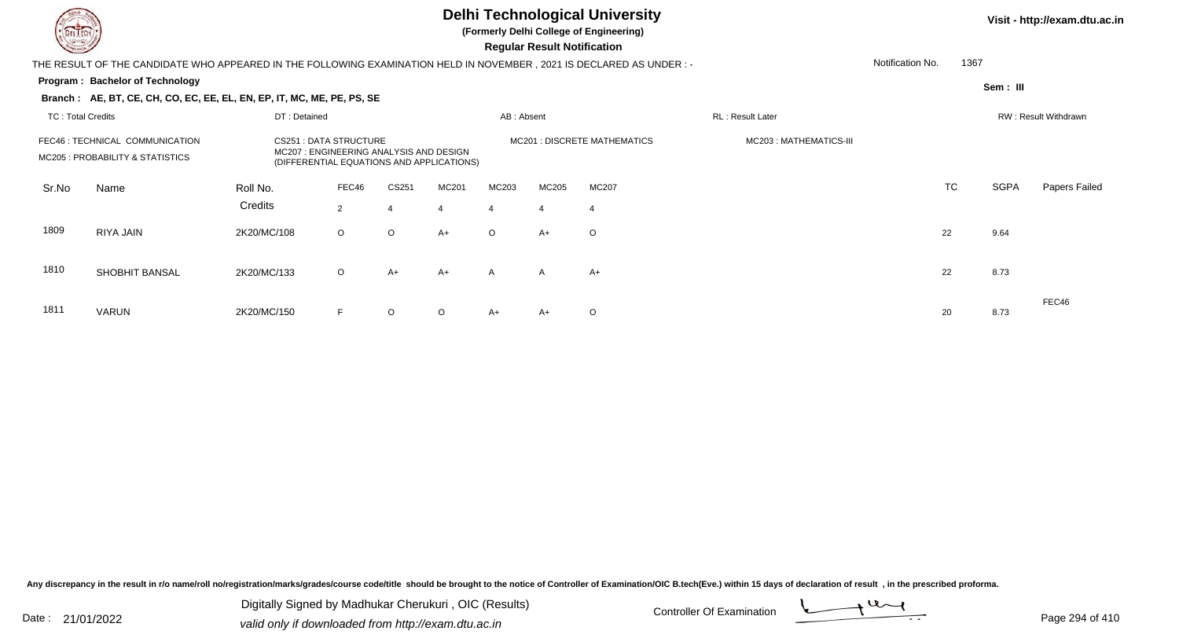**(Formerly Delhi College of Engineering)**

 **Regular Result Notification**

|       | THE RESULT OF THE CANDIDATE WHO APPEARED IN THE FOLLOWING EXAMINATION HELD IN NOVEMBER , 2021 IS DECLARED AS UNDER :- |             |                                                                                                                     |         |                         |         |                |                                    |                        | Notification No.     | 1367      |             |               |
|-------|-----------------------------------------------------------------------------------------------------------------------|-------------|---------------------------------------------------------------------------------------------------------------------|---------|-------------------------|---------|----------------|------------------------------------|------------------------|----------------------|-----------|-------------|---------------|
|       | <b>Program: Bachelor of Technology</b>                                                                                |             |                                                                                                                     |         |                         |         |                |                                    |                        |                      |           | Sem : III   |               |
|       | Branch: AE, BT, CE, CH, CO, EC, EE, EL, EN, EP, IT, MC, ME, PE, PS, SE                                                |             |                                                                                                                     |         |                         |         |                |                                    |                        |                      |           |             |               |
|       | <b>TC: Total Credits</b><br>DT: Detained                                                                              |             |                                                                                                                     |         |                         |         |                |                                    |                        | RW: Result Withdrawn |           |             |               |
|       | FEC46 : TECHNICAL COMMUNICATION<br>MC205 : PROBABILITY & STATISTICS                                                   |             | <b>CS251: DATA STRUCTURE</b><br>MC207: ENGINEERING ANALYSIS AND DESIGN<br>(DIFFERENTIAL EQUATIONS AND APPLICATIONS) |         |                         |         |                | <b>MC201: DISCRETE MATHEMATICS</b> | MC203: MATHEMATICS-III |                      |           |             |               |
| Sr.No | Name                                                                                                                  | Roll No.    | FEC46                                                                                                               | CS251   | MC201                   | MC203   | MC205          | MC207                              |                        |                      | <b>TC</b> | <b>SGPA</b> | Papers Failed |
|       |                                                                                                                       | Credits     | 2                                                                                                                   | 4       | $\overline{\mathbf{4}}$ |         | $\overline{4}$ | $\boldsymbol{\Delta}$              |                        |                      |           |             |               |
| 1809  | RIYA JAIN                                                                                                             | 2K20/MC/108 | $\circ$                                                                                                             | $\circ$ | $A+$                    | $\circ$ | A+             | $\circ$                            |                        | 22                   |           | 9.64        |               |
| 1810  | SHOBHIT BANSAL                                                                                                        | 2K20/MC/133 | $\circ$                                                                                                             | $A+$    | $A+$                    | A       | $\mathsf{A}$   | $A+$                               |                        |                      | 22        | 8.73        |               |
| 1811  | VARUN                                                                                                                 | 2K20/MC/150 | F                                                                                                                   | $\circ$ | $\circ$                 | A+      | A+             | O                                  |                        | 20                   |           | 8.73        | FEC46         |

Any discrepancy in the result in r/o name/roll no/registration/marks/grades/course code/title should be brought to the notice of Controller of Examination/OIC B.tech(Eve.) within 15 days of declaration of result, in the pr

Date : 21/01/2022 Digital Digital of Microsofted Chemical Controller Of Examination Determination Page 294 of 41 Digitally Signed by Madhukar Cherukuri , OIC (Results)

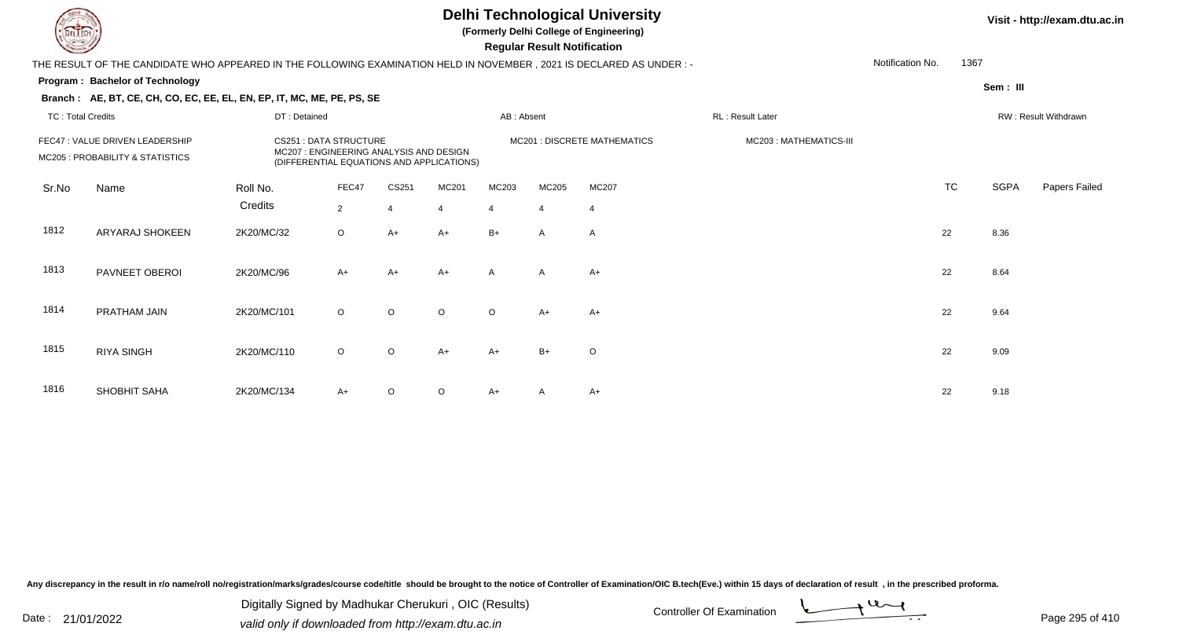**(Formerly Delhi College of Engineering)**

 **Regular Result Notification**

| $\tilde{}$               |                                                                                                                     |                                                                                                                     |                |                |                                |                |                |                              |                        |                  |           |             |                      |
|--------------------------|---------------------------------------------------------------------------------------------------------------------|---------------------------------------------------------------------------------------------------------------------|----------------|----------------|--------------------------------|----------------|----------------|------------------------------|------------------------|------------------|-----------|-------------|----------------------|
|                          | THE RESULT OF THE CANDIDATE WHO APPEARED IN THE FOLLOWING EXAMINATION HELD IN NOVEMBER, 2021 IS DECLARED AS UNDER:- |                                                                                                                     |                |                |                                |                |                |                              |                        | Notification No. | 1367      |             |                      |
|                          | Program: Bachelor of Technology                                                                                     |                                                                                                                     |                |                |                                |                |                |                              |                        |                  |           | Sem: III    |                      |
|                          | Branch: AE, BT, CE, CH, CO, EC, EE, EL, EN, EP, IT, MC, ME, PE, PS, SE                                              |                                                                                                                     |                |                |                                |                |                |                              |                        |                  |           |             |                      |
| <b>TC: Total Credits</b> |                                                                                                                     | DT: Detained                                                                                                        |                |                | AB: Absent<br>RL: Result Later |                |                |                              |                        |                  |           |             | RW: Result Withdrawn |
|                          | FEC47 : VALUE DRIVEN LEADERSHIP<br>MC205 : PROBABILITY & STATISTICS                                                 | <b>CS251: DATA STRUCTURE</b><br>MC207: ENGINEERING ANALYSIS AND DESIGN<br>(DIFFERENTIAL EQUATIONS AND APPLICATIONS) |                |                |                                |                |                | MC201 : DISCRETE MATHEMATICS | MC203: MATHEMATICS-III |                  |           |             |                      |
| Sr.No                    | Name                                                                                                                | Roll No.                                                                                                            | FEC47          | CS251          | MC201                          | MC203          | MC205          | MC207                        |                        |                  | <b>TC</b> | <b>SGPA</b> | Papers Failed        |
|                          |                                                                                                                     | Credits                                                                                                             | $\overline{2}$ | $\overline{4}$ | $\overline{4}$                 | $\overline{4}$ | $\overline{4}$ |                              |                        |                  |           |             |                      |
| 1812                     | ARYARAJ SHOKEEN                                                                                                     | 2K20/MC/32                                                                                                          | $\circ$        | $A+$           | $A+$                           | $B+$           | $\mathsf{A}$   | A                            |                        |                  | 22        | 8.36        |                      |
| 1813                     | PAVNEET OBEROI                                                                                                      | 2K20/MC/96                                                                                                          | $A+$           | A+             | $A+$                           | $\mathsf{A}$   | $\mathsf{A}$   | A+                           |                        |                  | 22        | 8.64        |                      |
| 1814                     | PRATHAM JAIN                                                                                                        | 2K20/MC/101                                                                                                         | $\circ$        | $\circ$        | $\circ$                        | $\circ$        | $A+$           | $A+$                         |                        |                  | 22        | 9.64        |                      |
| 1815                     | <b>RIYA SINGH</b>                                                                                                   | 2K20/MC/110                                                                                                         | $\circ$        | $\circ$        | $A+$                           | $A+$           | $B+$           | $\circ$                      |                        |                  | 22        | 9.09        |                      |
| 1816                     | SHOBHIT SAHA                                                                                                        | 2K20/MC/134                                                                                                         | $A+$           | O              | $\circ$                        | $A+$           | A              | $A+$                         |                        |                  | 22        | 9.18        |                      |

Any discrepancy in the result in r/o name/roll no/registration/marks/grades/course code/title should be brought to the notice of Controller of Examination/OIC B.tech(Eve.) within 15 days of declaration of result, in the pr

Date : 21/01/2022 Digital Digital of Microsofted Chemical Controller Of Examination Determination Page 295 of 41 Digitally Signed by Madhukar Cherukuri , OIC (Results)

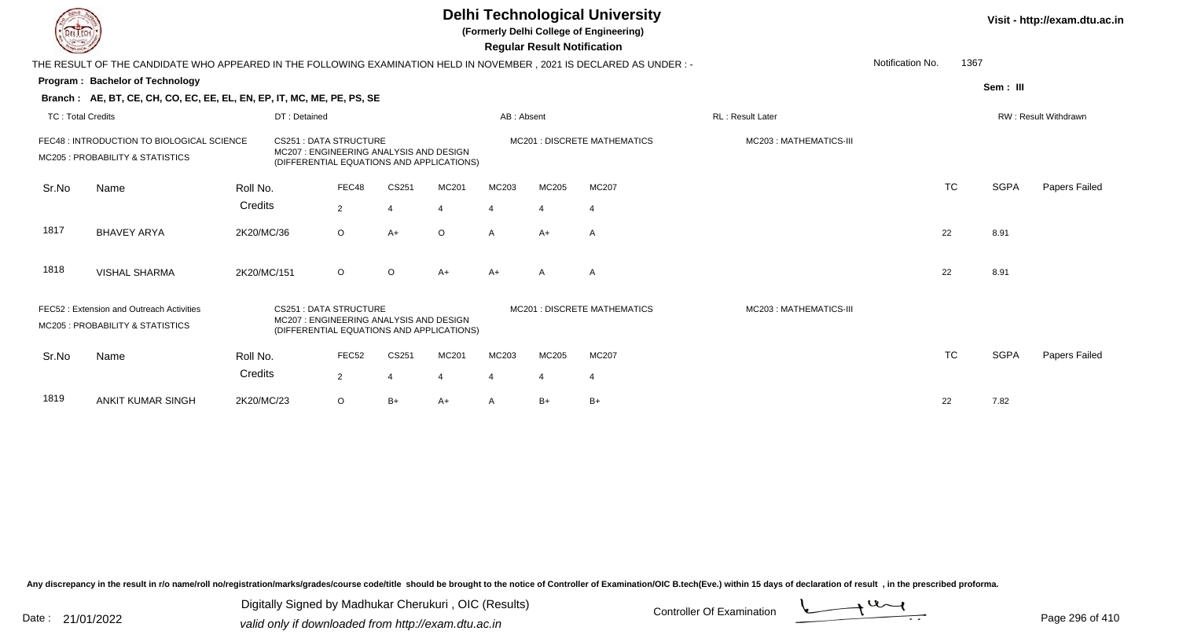|                          |                                                                                                                                                                                                                                              |             |                                                                                                                     |                   |                       |         |                         | <b>Regular Result Notification</b> | <b>Delhi Technological University</b><br>(Formerly Delhi College of Engineering) |                         |                  |           |             | Visit - http://exam.dtu.ac.in |
|--------------------------|----------------------------------------------------------------------------------------------------------------------------------------------------------------------------------------------------------------------------------------------|-------------|---------------------------------------------------------------------------------------------------------------------|-------------------|-----------------------|---------|-------------------------|------------------------------------|----------------------------------------------------------------------------------|-------------------------|------------------|-----------|-------------|-------------------------------|
|                          | THE RESULT OF THE CANDIDATE WHO APPEARED IN THE FOLLOWING EXAMINATION HELD IN NOVEMBER, 2021 IS DECLARED AS UNDER :-                                                                                                                         |             |                                                                                                                     |                   |                       |         |                         |                                    |                                                                                  |                         | Notification No. | 1367      |             |                               |
|                          | Program: Bachelor of Technology                                                                                                                                                                                                              |             |                                                                                                                     |                   |                       |         |                         |                                    |                                                                                  |                         |                  |           | Sem: III    |                               |
|                          | Branch: AE, BT, CE, CH, CO, EC, EE, EL, EN, EP, IT, MC, ME, PE, PS, SE                                                                                                                                                                       |             |                                                                                                                     |                   |                       |         |                         |                                    |                                                                                  |                         |                  |           |             |                               |
| <b>TC: Total Credits</b> |                                                                                                                                                                                                                                              |             | DT: Detained                                                                                                        |                   |                       |         | AB: Absent              |                                    |                                                                                  | <b>RL: Result Later</b> |                  |           |             | RW: Result Withdrawn          |
|                          | FEC48 : INTRODUCTION TO BIOLOGICAL SCIENCE<br><b>CS251: DATA STRUCTURE</b><br>MC207 : ENGINEERING ANALYSIS AND DESIGN<br>MC205 : PROBABILITY & STATISTICS<br>(DIFFERENTIAL EQUATIONS AND APPLICATIONS)<br>FEC48<br>CS251<br>Roll No.<br>Name |             |                                                                                                                     |                   |                       |         |                         |                                    | <b>MC201: DISCRETE MATHEMATICS</b>                                               | MC203: MATHEMATICS-III  |                  |           |             |                               |
| Sr.No                    |                                                                                                                                                                                                                                              |             |                                                                                                                     |                   |                       | MC201   | MC203                   | MC205                              | MC207                                                                            |                         |                  | <b>TC</b> | <b>SGPA</b> | Papers Failed                 |
|                          |                                                                                                                                                                                                                                              | Credits     |                                                                                                                     | $\overline{2}$    | $\boldsymbol{\Delta}$ |         | $\boldsymbol{\Delta}$   | $\overline{4}$                     | $\overline{4}$                                                                   |                         |                  |           |             |                               |
| 1817                     | <b>BHAVEY ARYA</b>                                                                                                                                                                                                                           | 2K20/MC/36  |                                                                                                                     | $\circ$           | $A+$                  | $\circ$ | $\mathsf{A}$            | $A+$                               | A                                                                                |                         |                  | 22        | 8.91        |                               |
| 1818                     | <b>VISHAL SHARMA</b>                                                                                                                                                                                                                         | 2K20/MC/151 |                                                                                                                     | $\circ$           | $\circ$               | $A+$    | $A+$                    | A                                  | A                                                                                |                         |                  | 22        | 8.91        |                               |
|                          | FEC52: Extension and Outreach Activities<br>MC205 : PROBABILITY & STATISTICS                                                                                                                                                                 |             | <b>CS251: DATA STRUCTURE</b><br>MC207: ENGINEERING ANALYSIS AND DESIGN<br>(DIFFERENTIAL EQUATIONS AND APPLICATIONS) |                   |                       |         |                         |                                    | <b>MC201 : DISCRETE MATHEMATICS</b>                                              | MC203: MATHEMATICS-III  |                  |           |             |                               |
| Sr.No                    | Name                                                                                                                                                                                                                                         | Roll No.    |                                                                                                                     | FEC <sub>52</sub> | CS251                 | MC201   | MC203                   | MC205                              | MC207                                                                            |                         |                  | <b>TC</b> | <b>SGPA</b> | Papers Failed                 |
|                          |                                                                                                                                                                                                                                              | Credits     |                                                                                                                     | $\overline{2}$    | 4                     |         | $\overline{\mathbf{4}}$ | $\overline{4}$                     | $\overline{4}$                                                                   |                         |                  |           |             |                               |
| 1819                     | <b>ANKIT KUMAR SINGH</b>                                                                                                                                                                                                                     | 2K20/MC/23  |                                                                                                                     | $\circ$           | $B+$                  | A+      | A                       | $B+$                               | $B+$                                                                             |                         |                  | 22        | 7.82        |                               |

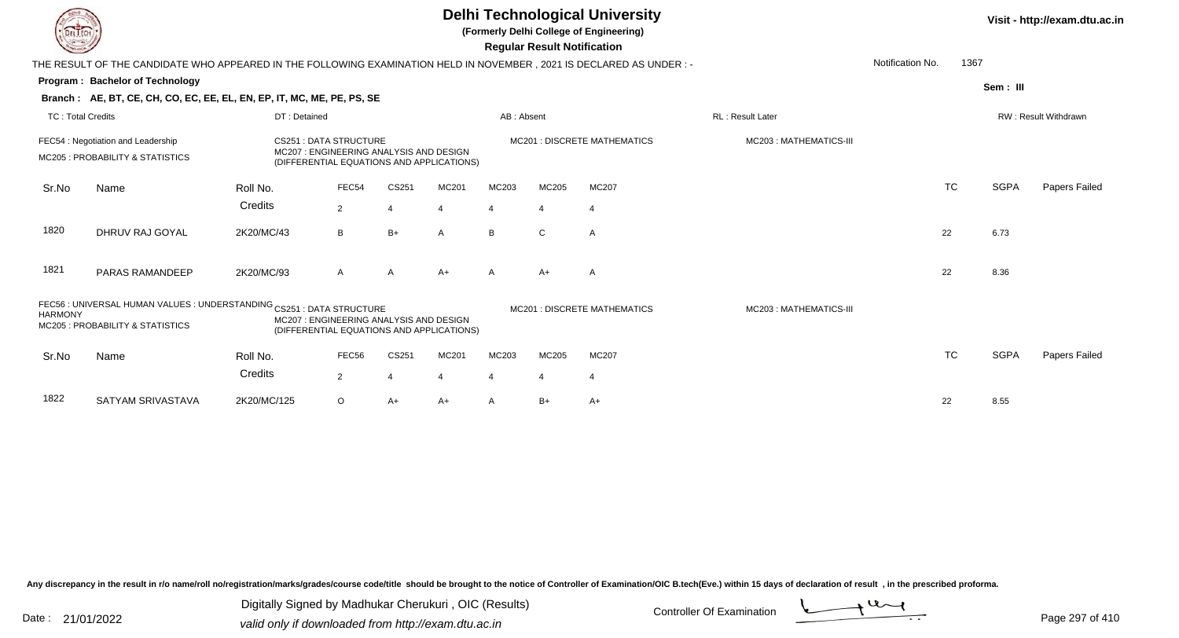|                          |                                                                                                                        |                                                                                                                                                                                                                        |                |       |       |                | <b>Regular Result Notification</b> | <b>Delhi Technological University</b><br>(Formerly Delhi College of Engineering) |                        |                  |           |             | Visit - http://exam.dtu.ac.in |
|--------------------------|------------------------------------------------------------------------------------------------------------------------|------------------------------------------------------------------------------------------------------------------------------------------------------------------------------------------------------------------------|----------------|-------|-------|----------------|------------------------------------|----------------------------------------------------------------------------------|------------------------|------------------|-----------|-------------|-------------------------------|
|                          | THE RESULT OF THE CANDIDATE WHO APPEARED IN THE FOLLOWING EXAMINATION HELD IN NOVEMBER , 2021 IS DECLARED AS UNDER : - |                                                                                                                                                                                                                        |                |       |       |                |                                    |                                                                                  |                        | Notification No. | 1367      |             |                               |
|                          | Program: Bachelor of Technology                                                                                        |                                                                                                                                                                                                                        |                |       |       |                |                                    |                                                                                  |                        |                  |           | Sem: III    |                               |
|                          | Branch: AE, BT, CE, CH, CO, EC, EE, EL, EN, EP, IT, MC, ME, PE, PS, SE                                                 |                                                                                                                                                                                                                        |                |       |       |                |                                    |                                                                                  |                        |                  |           |             |                               |
| <b>TC: Total Credits</b> |                                                                                                                        | DT: Detained                                                                                                                                                                                                           |                |       |       | AB: Absent     |                                    |                                                                                  | RL: Result Later       |                  |           |             | RW: Result Withdrawn          |
|                          | FEC54: Negotiation and Leadership<br><b>MC205: PROBABILITY &amp; STATISTICS</b>                                        | <b>CS251: DATA STRUCTURE</b><br>MC207: ENGINEERING ANALYSIS AND DESIGN<br>(DIFFERENTIAL EQUATIONS AND APPLICATIONS)<br>FEC54<br>CS251                                                                                  |                |       |       |                |                                    | <b>MC201: DISCRETE MATHEMATICS</b>                                               | MC203: MATHEMATICS-III |                  |           |             |                               |
| Sr.No                    | Name                                                                                                                   | Roll No.                                                                                                                                                                                                               |                |       | MC201 | MC203          | MC205                              | MC207                                                                            |                        |                  | <b>TC</b> | <b>SGPA</b> | Papers Failed                 |
|                          |                                                                                                                        | Credits                                                                                                                                                                                                                | $\overline{2}$ |       |       | $\overline{4}$ | 4                                  | $\overline{4}$                                                                   |                        |                  |           |             |                               |
| 1820                     | DHRUV RAJ GOYAL                                                                                                        | 2K20/MC/43                                                                                                                                                                                                             | B              | $B+$  | A     | B              | $\mathsf{C}$                       | $\overline{A}$                                                                   |                        |                  | 22        | 6.73        |                               |
| 1821                     | PARAS RAMANDEEP                                                                                                        | 2K20/MC/93                                                                                                                                                                                                             | A              | A     | $A+$  | A              | $A+$                               | Α                                                                                |                        |                  | 22        | 8.36        |                               |
| <b>HARMONY</b>           | MC205 : PROBABILITY & STATISTICS                                                                                       | FEC56 : UNIVERSAL HUMAN VALUES : UNDERSTANDING CS251 : DATA STRUCTURE<br>MC201 : DISCRETE MATHEMATICS<br>MC203: MATHEMATICS-III<br>MC207: ENGINEERING ANALYSIS AND DESIGN<br>(DIFFERENTIAL EQUATIONS AND APPLICATIONS) |                |       |       |                |                                    |                                                                                  |                        |                  |           |             |                               |
| Sr.No                    | Name                                                                                                                   | Roll No.                                                                                                                                                                                                               | FEC56          | CS251 | MC201 | MC203          | MC205                              | MC207                                                                            |                        |                  | <b>TC</b> | <b>SGPA</b> | <b>Papers Failed</b>          |
|                          |                                                                                                                        | Credits                                                                                                                                                                                                                | $\overline{2}$ |       |       | $\overline{4}$ | $\overline{4}$                     | $\overline{4}$                                                                   |                        |                  |           |             |                               |
| 1822                     | SATYAM SRIVASTAVA                                                                                                      | 2K20/MC/125                                                                                                                                                                                                            | $\circ$        | A+    | $A+$  | A              | $B+$                               | $A+$                                                                             |                        |                  | 22        | 8.55        |                               |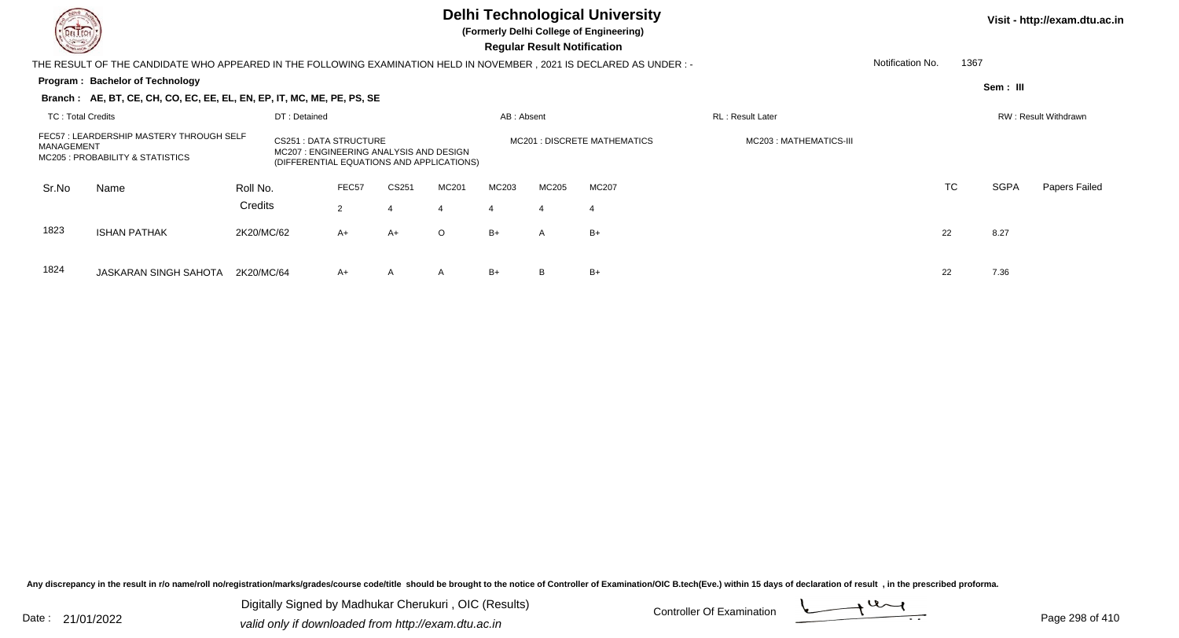

**(Formerly Delhi College of Engineering)**

 **Regular Result Notification**

| <b>Course Lines</b>      |                                                                                                                     |            |                                                                                                               |       |       |         |                | Regular Result Notification |                                     |                          |                  |      |             |                             |
|--------------------------|---------------------------------------------------------------------------------------------------------------------|------------|---------------------------------------------------------------------------------------------------------------|-------|-------|---------|----------------|-----------------------------|-------------------------------------|--------------------------|------------------|------|-------------|-----------------------------|
|                          | THE RESULT OF THE CANDIDATE WHO APPEARED IN THE FOLLOWING EXAMINATION HELD IN NOVEMBER, 2021 IS DECLARED AS UNDER:- |            |                                                                                                               |       |       |         |                |                             |                                     |                          | Notification No. | 1367 |             |                             |
|                          | Program: Bachelor of Technology                                                                                     |            |                                                                                                               |       |       |         |                |                             |                                     |                          |                  |      | Sem : III   |                             |
|                          | Branch: AE, BT, CE, CH, CO, EC, EE, EL, EN, EP, IT, MC, ME, PE, PS, SE                                              |            |                                                                                                               |       |       |         |                |                             |                                     |                          |                  |      |             |                             |
| <b>TC: Total Credits</b> |                                                                                                                     |            | DT: Detained                                                                                                  |       |       |         | AB: Absent     |                             |                                     | <b>RL</b> : Result Later |                  |      |             | <b>RW: Result Withdrawn</b> |
| MANAGEMENT               | FEC57: LEARDERSHIP MASTERY THROUGH SELF<br>MC205 : PROBABILITY & STATISTICS                                         |            | CS251 : DATA STRUCTURE<br>MC207: ENGINEERING ANALYSIS AND DESIGN<br>(DIFFERENTIAL EQUATIONS AND APPLICATIONS) |       |       |         |                |                             | <b>MC201 : DISCRETE MATHEMATICS</b> | MC203: MATHEMATICS-III   |                  |      |             |                             |
| Sr.No                    | Name                                                                                                                | Roll No.   |                                                                                                               | FEC57 | CS251 | MC201   | MC203          | MC205                       | MC207                               |                          | <b>TC</b>        |      | <b>SGPA</b> | Papers Failed               |
|                          |                                                                                                                     | Credits    |                                                                                                               | 2     |       |         | $\overline{a}$ |                             |                                     |                          |                  |      |             |                             |
| 1823                     | <b>ISHAN PATHAK</b>                                                                                                 | 2K20/MC/62 |                                                                                                               | $A+$  | A+    | $\circ$ | $B+$           | A                           | $B+$                                |                          | 22               |      | 8.27        |                             |
| 1824                     | JASKARAN SINGH SAHOTA                                                                                               | 2K20/MC/64 |                                                                                                               | $A+$  | A     | A       | B+             | B                           | $B+$                                |                          | 22               |      | 7.36        |                             |

Any discrepancy in the result in r/o name/roll no/registration/marks/grades/course code/title should be brought to the notice of Controller of Examination/OIC B.tech(Eve.) within 15 days of declaration of result, in the pr

Date : 21/01/2022 Digital Digital of Microsofted Chemical Controller Of Examination Determination Page 298 of 41 Digitally Signed by Madhukar Cherukuri , OIC (Results)

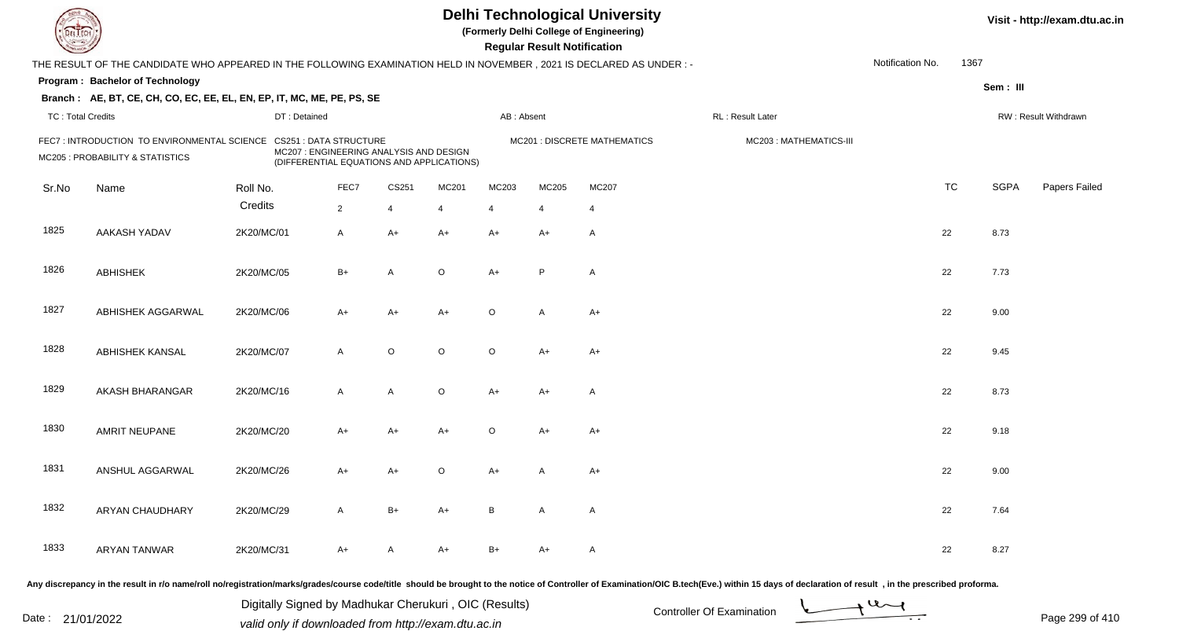| DEL TECI                 |                                                                                                                      |              |                                                                                                                       |                |         |                | <b>Regular Result Notification</b> | <b>Delhi Technological University</b><br>(Formerly Delhi College of Engineering) |                                                                                                                                                                                                                                |                  |           |             | Visit - http://exam.dtu.ac.in |
|--------------------------|----------------------------------------------------------------------------------------------------------------------|--------------|-----------------------------------------------------------------------------------------------------------------------|----------------|---------|----------------|------------------------------------|----------------------------------------------------------------------------------|--------------------------------------------------------------------------------------------------------------------------------------------------------------------------------------------------------------------------------|------------------|-----------|-------------|-------------------------------|
|                          | THE RESULT OF THE CANDIDATE WHO APPEARED IN THE FOLLOWING EXAMINATION HELD IN NOVEMBER, 2021 IS DECLARED AS UNDER :- |              |                                                                                                                       |                |         |                |                                    |                                                                                  |                                                                                                                                                                                                                                | Notification No. | 1367      |             |                               |
|                          | Program: Bachelor of Technology                                                                                      |              |                                                                                                                       |                |         |                |                                    |                                                                                  |                                                                                                                                                                                                                                |                  |           | Sem: III    |                               |
|                          | Branch: AE, BT, CE, CH, CO, EC, EE, EL, EN, EP, IT, MC, ME, PE, PS, SE                                               |              |                                                                                                                       |                |         |                |                                    |                                                                                  |                                                                                                                                                                                                                                |                  |           |             |                               |
| <b>TC: Total Credits</b> |                                                                                                                      | DT: Detained |                                                                                                                       |                |         | AB: Absent     |                                    |                                                                                  | RL: Result Later                                                                                                                                                                                                               |                  |           |             | RW: Result Withdrawn          |
|                          | FEC7: INTRODUCTION TO ENVIRONMENTAL SCIENCE<br>MC205 : PROBABILITY & STATISTICS                                      |              | <b>CS251 : DATA STRUCTURE</b><br>MC207 : ENGINEERING ANALYSIS AND DESIGN<br>(DIFFERENTIAL EQUATIONS AND APPLICATIONS) |                |         |                |                                    | MC201 : DISCRETE MATHEMATICS                                                     | MC203: MATHEMATICS-III                                                                                                                                                                                                         |                  |           |             |                               |
| Sr.No                    | Name                                                                                                                 | Roll No.     | FEC7                                                                                                                  | CS251          | MC201   | MC203          | MC205                              | MC207                                                                            |                                                                                                                                                                                                                                |                  | <b>TC</b> | <b>SGPA</b> | Papers Failed                 |
|                          |                                                                                                                      | Credits      | $\overline{2}$                                                                                                        | $\overline{4}$ | 4       | $\overline{4}$ | $\overline{4}$                     | $\overline{4}$                                                                   |                                                                                                                                                                                                                                |                  |           |             |                               |
| 1825                     | AAKASH YADAV                                                                                                         | 2K20/MC/01   | $\mathsf{A}$                                                                                                          | $A+$           | $A+$    | $A+$           | $A+$                               | $\mathsf{A}$                                                                     |                                                                                                                                                                                                                                |                  | 22        | 8.73        |                               |
| 1826                     | <b>ABHISHEK</b>                                                                                                      | 2K20/MC/05   | $B+$                                                                                                                  | A              | $\circ$ | $A+$           | P                                  | A                                                                                |                                                                                                                                                                                                                                |                  | 22        | 7.73        |                               |
| 1827                     | ABHISHEK AGGARWAL                                                                                                    | 2K20/MC/06   | $A+$                                                                                                                  | $A+$           | $A+$    | $\circ$        | A                                  | $A+$                                                                             |                                                                                                                                                                                                                                |                  | 22        | 9.00        |                               |
| 1828                     | <b>ABHISHEK KANSAL</b>                                                                                               | 2K20/MC/07   | $\mathsf{A}$                                                                                                          | $\circ$        | $\circ$ | $\circ$        | $A+$                               | $A+$                                                                             |                                                                                                                                                                                                                                |                  | 22        | 9.45        |                               |
| 1829                     | AKASH BHARANGAR                                                                                                      | 2K20/MC/16   | $\mathsf{A}$                                                                                                          | A              | $\circ$ | A+             | A+                                 | A                                                                                |                                                                                                                                                                                                                                |                  | 22        | 8.73        |                               |
| 1830                     | AMRIT NEUPANE                                                                                                        | 2K20/MC/20   | $A+$                                                                                                                  | $A+$           | $A+$    | O              | $A+$                               | $A+$                                                                             |                                                                                                                                                                                                                                |                  | 22        | 9.18        |                               |
| 1831                     | ANSHUL AGGARWAL                                                                                                      | 2K20/MC/26   | A+                                                                                                                    | A+             | $\circ$ | A+             |                                    | $A+$                                                                             |                                                                                                                                                                                                                                |                  | 22        | 9.00        |                               |
| 1832                     | ARYAN CHAUDHARY                                                                                                      | 2K20/MC/29   | $\mathsf{A}$                                                                                                          | $B+$           | A+      | B              | $\mathsf{A}$                       | A                                                                                |                                                                                                                                                                                                                                |                  | 22        | 7.64        |                               |
| 1833                     | <b>ARYAN TANWAR</b>                                                                                                  | 2K20/MC/31   | $A+$                                                                                                                  | A              | A+      | $B+$           | $A+$                               | A                                                                                |                                                                                                                                                                                                                                |                  | 22        | 8.27        |                               |
|                          |                                                                                                                      |              |                                                                                                                       |                |         |                |                                    |                                                                                  | Any discrepancy in the result in r/o name/roll no/registration/marks/grades/course code/title should be brought to the notice of Controller of Examination/OIC B.tech(Eve.) within 15 days of declaration of result , in the p |                  |           |             |                               |

Date : 21/01/2022 Digital Digital of Microsofted Chemical Controller Of Examination Determination Page 299 of 41 Digitally Signed by Madhukar Cherukuri , OIC (Results)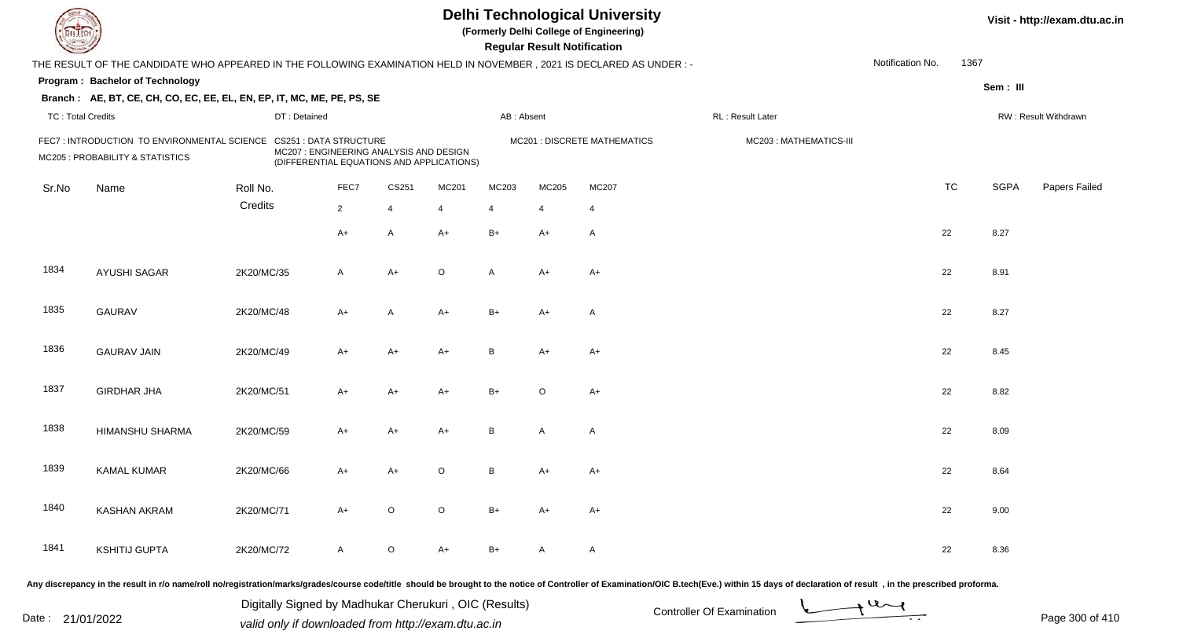| DEL TECI                 |                                                                                                                      |              |                                                                                                                       |                |                |                | <b>Regular Result Notification</b> | <b>Delhi Technological University</b><br>(Formerly Delhi College of Engineering) |                                                                                                                                                                                                                                |                  |           |             | Visit - http://exam.dtu.ac.in |
|--------------------------|----------------------------------------------------------------------------------------------------------------------|--------------|-----------------------------------------------------------------------------------------------------------------------|----------------|----------------|----------------|------------------------------------|----------------------------------------------------------------------------------|--------------------------------------------------------------------------------------------------------------------------------------------------------------------------------------------------------------------------------|------------------|-----------|-------------|-------------------------------|
|                          | THE RESULT OF THE CANDIDATE WHO APPEARED IN THE FOLLOWING EXAMINATION HELD IN NOVEMBER, 2021 IS DECLARED AS UNDER :- |              |                                                                                                                       |                |                |                |                                    |                                                                                  |                                                                                                                                                                                                                                | Notification No. | 1367      |             |                               |
|                          | Program: Bachelor of Technology                                                                                      |              |                                                                                                                       |                |                |                |                                    |                                                                                  |                                                                                                                                                                                                                                |                  |           | Sem: III    |                               |
|                          | Branch: AE, BT, CE, CH, CO, EC, EE, EL, EN, EP, IT, MC, ME, PE, PS, SE                                               |              |                                                                                                                       |                |                |                |                                    |                                                                                  |                                                                                                                                                                                                                                |                  |           |             |                               |
| <b>TC: Total Credits</b> |                                                                                                                      | DT: Detained |                                                                                                                       |                |                | AB: Absent     |                                    |                                                                                  | RL: Result Later                                                                                                                                                                                                               |                  |           |             | RW: Result Withdrawn          |
|                          | FEC7: INTRODUCTION TO ENVIRONMENTAL SCIENCE<br>MC205 : PROBABILITY & STATISTICS                                      |              | <b>CS251 : DATA STRUCTURE</b><br>MC207 : ENGINEERING ANALYSIS AND DESIGN<br>(DIFFERENTIAL EQUATIONS AND APPLICATIONS) |                |                |                |                                    | MC201 : DISCRETE MATHEMATICS                                                     | MC203: MATHEMATICS-III                                                                                                                                                                                                         |                  |           |             |                               |
| Sr.No                    | Name                                                                                                                 | Roll No.     | FEC7                                                                                                                  | CS251          | MC201          | MC203          | MC205                              | MC207                                                                            |                                                                                                                                                                                                                                |                  | <b>TC</b> | <b>SGPA</b> | Papers Failed                 |
|                          |                                                                                                                      | Credits      | $\overline{2}$                                                                                                        | $\overline{4}$ | $\overline{4}$ | $\overline{4}$ | $\overline{4}$                     | $\overline{4}$                                                                   |                                                                                                                                                                                                                                |                  |           |             |                               |
|                          |                                                                                                                      |              | $A+$                                                                                                                  | A              | $A+$           | $B+$           | $A+$                               | $\mathsf{A}$                                                                     |                                                                                                                                                                                                                                |                  | 22        | 8.27        |                               |
| 1834                     | <b>AYUSHI SAGAR</b>                                                                                                  | 2K20/MC/35   | $\mathsf{A}$                                                                                                          | A+             | $\circ$        | A              | $A+$                               | $A+$                                                                             |                                                                                                                                                                                                                                |                  | 22        | 8.91        |                               |
| 1835                     | <b>GAURAV</b>                                                                                                        | 2K20/MC/48   | $A+$                                                                                                                  | A              | $A+$           | $B+$           | $A+$                               | $\mathsf{A}$                                                                     |                                                                                                                                                                                                                                |                  | 22        | 8.27        |                               |
| 1836                     | <b>GAURAV JAIN</b>                                                                                                   | 2K20/MC/49   | $A+$                                                                                                                  | $A+$           | $A+$           | B              | $A+$                               | $A+$                                                                             |                                                                                                                                                                                                                                |                  | 22        | 8.45        |                               |
| 1837                     | <b>GIRDHAR JHA</b>                                                                                                   | 2K20/MC/51   | $A+$                                                                                                                  | $A+$           | $A+$           | $B+$           | $\circ$                            | $A+$                                                                             |                                                                                                                                                                                                                                |                  | 22        | 8.82        |                               |
| 1838                     | HIMANSHU SHARMA                                                                                                      | 2K20/MC/59   | $A+$                                                                                                                  | $A+$           | $A+$           | B              | $\overline{A}$                     | $\mathsf{A}$                                                                     |                                                                                                                                                                                                                                |                  | 22        | 8.09        |                               |
| 1839                     | <b>KAMAL KUMAR</b>                                                                                                   | 2K20/MC/66   | A+                                                                                                                    | A+             | $\circ$        | В              | A+                                 | $A+$                                                                             |                                                                                                                                                                                                                                |                  | 22        | 8.64        |                               |
| 1840                     | <b>KASHAN AKRAM</b>                                                                                                  | 2K20/MC/71   | A+                                                                                                                    | $\circ$        | $\circ$        | $B+$           | A+                                 | A+                                                                               |                                                                                                                                                                                                                                |                  | 22        | 9.00        |                               |
| 1841                     | <b>KSHITIJ GUPTA</b>                                                                                                 | 2K20/MC/72   | $\mathsf{A}$                                                                                                          | $\circ$        | $A+$           | $B+$           | A                                  | A                                                                                |                                                                                                                                                                                                                                |                  | 22        | 8.36        |                               |
|                          |                                                                                                                      |              |                                                                                                                       |                |                |                |                                    |                                                                                  | Any discrepancy in the result in r/o name/roll no/registration/marks/grades/course code/title should be brought to the notice of Controller of Examination/OIC B.tech(Eve.) within 15 days of declaration of result , in the p |                  |           |             |                               |

Date : 21/01/2022 Digital Digital of Microsofted Chemical Controller Of Examination Determination Page 300 of 41 Digitally Signed by Madhukar Cherukuri , OIC (Results)

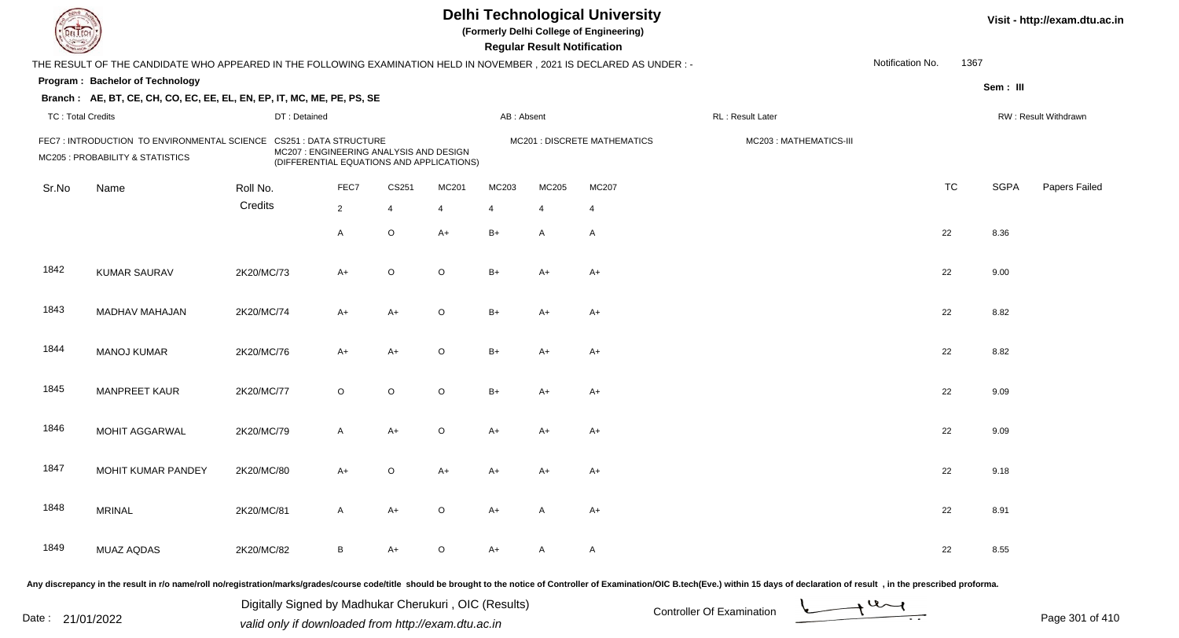| DEL TECI                 |                                                                                                                      |              |                                                                                                                       |                |                |                | <b>Regular Result Notification</b> | <b>Delhi Technological University</b><br>(Formerly Delhi College of Engineering) |                                                                                                                                                                                                                                |                  |           |             | Visit - http://exam.dtu.ac.in |
|--------------------------|----------------------------------------------------------------------------------------------------------------------|--------------|-----------------------------------------------------------------------------------------------------------------------|----------------|----------------|----------------|------------------------------------|----------------------------------------------------------------------------------|--------------------------------------------------------------------------------------------------------------------------------------------------------------------------------------------------------------------------------|------------------|-----------|-------------|-------------------------------|
|                          | THE RESULT OF THE CANDIDATE WHO APPEARED IN THE FOLLOWING EXAMINATION HELD IN NOVEMBER, 2021 IS DECLARED AS UNDER :- |              |                                                                                                                       |                |                |                |                                    |                                                                                  |                                                                                                                                                                                                                                | Notification No. | 1367      |             |                               |
|                          | Program: Bachelor of Technology                                                                                      |              |                                                                                                                       |                |                |                |                                    |                                                                                  |                                                                                                                                                                                                                                |                  |           | Sem: III    |                               |
|                          | Branch: AE, BT, CE, CH, CO, EC, EE, EL, EN, EP, IT, MC, ME, PE, PS, SE                                               |              |                                                                                                                       |                |                |                |                                    |                                                                                  |                                                                                                                                                                                                                                |                  |           |             |                               |
| <b>TC: Total Credits</b> |                                                                                                                      | DT: Detained |                                                                                                                       |                |                | AB: Absent     |                                    |                                                                                  | RL: Result Later                                                                                                                                                                                                               |                  |           |             | RW: Result Withdrawn          |
|                          | FEC7: INTRODUCTION TO ENVIRONMENTAL SCIENCE<br>MC205 : PROBABILITY & STATISTICS                                      |              | <b>CS251 : DATA STRUCTURE</b><br>MC207 : ENGINEERING ANALYSIS AND DESIGN<br>(DIFFERENTIAL EQUATIONS AND APPLICATIONS) |                |                |                |                                    | MC201 : DISCRETE MATHEMATICS                                                     | MC203: MATHEMATICS-III                                                                                                                                                                                                         |                  |           |             |                               |
| Sr.No                    | Name                                                                                                                 | Roll No.     | FEC7                                                                                                                  | CS251          | MC201          | MC203          | MC205                              | MC207                                                                            |                                                                                                                                                                                                                                |                  | <b>TC</b> | <b>SGPA</b> | Papers Failed                 |
|                          |                                                                                                                      | Credits      | $\overline{2}$                                                                                                        | $\overline{4}$ | $\overline{4}$ | $\overline{4}$ | 4                                  | $\overline{4}$                                                                   |                                                                                                                                                                                                                                |                  |           |             |                               |
|                          |                                                                                                                      |              | $\overline{A}$                                                                                                        | $\circ$        | $A+$           | $B+$           | $\overline{A}$                     | $\mathsf{A}$                                                                     |                                                                                                                                                                                                                                |                  | 22        | 8.36        |                               |
| 1842                     | <b>KUMAR SAURAV</b>                                                                                                  | 2K20/MC/73   | $A+$                                                                                                                  | $\circ$        | $\circ$        | $B+$           | $A+$                               | $A+$                                                                             |                                                                                                                                                                                                                                |                  | 22        | 9.00        |                               |
| 1843                     | MADHAV MAHAJAN                                                                                                       | 2K20/MC/74   | $A+$                                                                                                                  | $A+$           | $\circ$        | $B+$           | $A+$                               | $A+$                                                                             |                                                                                                                                                                                                                                |                  | 22        | 8.82        |                               |
| 1844                     | <b>MANOJ KUMAR</b>                                                                                                   | 2K20/MC/76   | $A+$                                                                                                                  | $A+$           | $\circ$        | $B+$           | $A+$                               | $A+$                                                                             |                                                                                                                                                                                                                                |                  | 22        | 8.82        |                               |
| 1845                     | <b>MANPREET KAUR</b>                                                                                                 | 2K20/MC/77   | $\circ$                                                                                                               | $\circ$        | $\circ$        | $B+$           | $A+$                               | $A+$                                                                             |                                                                                                                                                                                                                                |                  | 22        | 9.09        |                               |
| 1846                     | MOHIT AGGARWAL                                                                                                       | 2K20/MC/79   | $\mathsf{A}$                                                                                                          | A+             | $\circ$        | A+             | A+                                 | $A+$                                                                             |                                                                                                                                                                                                                                |                  | 22        | 9.09        |                               |
| 1847                     | MOHIT KUMAR PANDEY                                                                                                   | 2K20/MC/80   | $A+$                                                                                                                  | O              | $A+$           | A+             | A+                                 | $A+$                                                                             |                                                                                                                                                                                                                                |                  | 22        | 9.18        |                               |
| 1848                     | <b>MRINAL</b>                                                                                                        | 2K20/MC/81   | $\mathsf{A}$                                                                                                          | A+             | $\circ$        | A+             | A                                  | $A+$                                                                             |                                                                                                                                                                                                                                |                  | 22        | 8.91        |                               |
| 1849                     | MUAZ AQDAS                                                                                                           | 2K20/MC/82   | B                                                                                                                     | A+             | $\circ$        | A+             | A                                  | A                                                                                |                                                                                                                                                                                                                                |                  | 22        | 8.55        |                               |
|                          |                                                                                                                      |              |                                                                                                                       |                |                |                |                                    |                                                                                  | Any discrepancy in the result in r/o name/roll no/registration/marks/grades/course code/title should be brought to the notice of Controller of Examination/OIC B.tech(Eve.) within 15 days of declaration of result , in the p |                  |           |             |                               |

Date : 21/01/2022 Digital Digital of Microsofted Chemical Controller Of Examination Determination Page 301 of 41 Digitally Signed by Madhukar Cherukuri , OIC (Results)

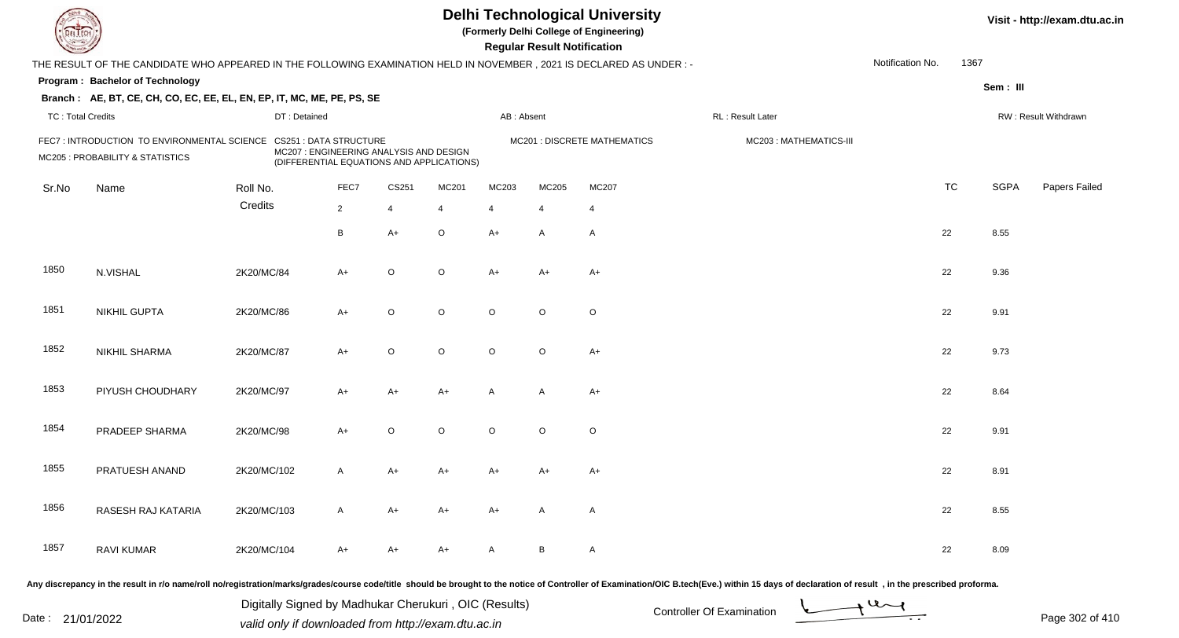| DEL TECI                 |                                                                                                                      |                               |                |                                                                                      |                |                | <b>Regular Result Notification</b> | <b>Delhi Technological University</b><br>(Formerly Delhi College of Engineering) |                                                                                                                                                                                                                                |                  |           |             | Visit - http://exam.dtu.ac.in |
|--------------------------|----------------------------------------------------------------------------------------------------------------------|-------------------------------|----------------|--------------------------------------------------------------------------------------|----------------|----------------|------------------------------------|----------------------------------------------------------------------------------|--------------------------------------------------------------------------------------------------------------------------------------------------------------------------------------------------------------------------------|------------------|-----------|-------------|-------------------------------|
|                          | THE RESULT OF THE CANDIDATE WHO APPEARED IN THE FOLLOWING EXAMINATION HELD IN NOVEMBER, 2021 IS DECLARED AS UNDER :- |                               |                |                                                                                      |                |                |                                    |                                                                                  |                                                                                                                                                                                                                                | Notification No. | 1367      |             |                               |
|                          | Program: Bachelor of Technology                                                                                      |                               |                |                                                                                      |                |                |                                    |                                                                                  |                                                                                                                                                                                                                                |                  |           | Sem: III    |                               |
|                          | Branch: AE, BT, CE, CH, CO, EC, EE, EL, EN, EP, IT, MC, ME, PE, PS, SE                                               |                               |                |                                                                                      |                |                |                                    |                                                                                  |                                                                                                                                                                                                                                |                  |           |             |                               |
| <b>TC: Total Credits</b> |                                                                                                                      | DT: Detained                  |                |                                                                                      |                | AB: Absent     |                                    |                                                                                  | RL: Result Later                                                                                                                                                                                                               |                  |           |             | RW: Result Withdrawn          |
|                          | FEC7: INTRODUCTION TO ENVIRONMENTAL SCIENCE<br>MC205 : PROBABILITY & STATISTICS                                      | <b>CS251 : DATA STRUCTURE</b> |                | MC207 : ENGINEERING ANALYSIS AND DESIGN<br>(DIFFERENTIAL EQUATIONS AND APPLICATIONS) |                |                |                                    | MC201 : DISCRETE MATHEMATICS                                                     | MC203: MATHEMATICS-III                                                                                                                                                                                                         |                  |           |             |                               |
| Sr.No                    | Name                                                                                                                 | Roll No.                      | FEC7           | CS251                                                                                | MC201          | MC203          | MC205                              | MC207                                                                            |                                                                                                                                                                                                                                |                  | <b>TC</b> | <b>SGPA</b> | Papers Failed                 |
|                          |                                                                                                                      | Credits                       | $\overline{2}$ | $\overline{4}$                                                                       | $\overline{4}$ | $\overline{4}$ | 4                                  | 4                                                                                |                                                                                                                                                                                                                                |                  |           |             |                               |
|                          |                                                                                                                      |                               | B              | $A+$                                                                                 | $\circ$        | $A+$           | $\mathsf{A}$                       | $\mathsf{A}$                                                                     |                                                                                                                                                                                                                                |                  | 22        | 8.55        |                               |
| 1850                     | N.VISHAL                                                                                                             | 2K20/MC/84                    | $A+$           | $\circ$                                                                              | $\circ$        | A+             | $A+$                               | $A+$                                                                             |                                                                                                                                                                                                                                |                  | 22        | 9.36        |                               |
| 1851                     | <b>NIKHIL GUPTA</b>                                                                                                  | 2K20/MC/86                    | $A+$           | $\circ$                                                                              | $\circ$        | $\circ$        | $\circ$                            | $\circ$                                                                          |                                                                                                                                                                                                                                |                  | 22        | 9.91        |                               |
| 1852                     | <b>NIKHIL SHARMA</b>                                                                                                 | 2K20/MC/87                    | $A+$           | $\circ$                                                                              | $\circ$        | $\circ$        | $\circ$                            | $A+$                                                                             |                                                                                                                                                                                                                                |                  | 22        | 9.73        |                               |
| 1853                     | PIYUSH CHOUDHARY                                                                                                     | 2K20/MC/97                    | $A+$           | $A+$                                                                                 | $A+$           | A              | $\overline{A}$                     | $A+$                                                                             |                                                                                                                                                                                                                                |                  | 22        | 8.64        |                               |
| 1854                     | PRADEEP SHARMA                                                                                                       | 2K20/MC/98                    | $A+$           | $\circ$                                                                              | $\circ$        | $\circ$        | $\circ$                            | $\circ$                                                                          |                                                                                                                                                                                                                                |                  | 22        | 9.91        |                               |
| 1855                     | PRATUESH ANAND                                                                                                       | 2K20/MC/102                   | A              | A+                                                                                   | A+             | A+             | A+                                 | $A+$                                                                             |                                                                                                                                                                                                                                |                  | 22        | 8.91        |                               |
| 1856                     | RASESH RAJ KATARIA                                                                                                   | 2K20/MC/103                   | A              | $A+$                                                                                 | A+             | A+             | $\mathsf{A}$                       | A                                                                                |                                                                                                                                                                                                                                |                  | 22        | 8.55        |                               |
| 1857                     | <b>RAVI KUMAR</b>                                                                                                    | 2K20/MC/104                   | $A+$           | A+                                                                                   | A+             | A              | B                                  | A                                                                                |                                                                                                                                                                                                                                |                  | 22        | 8.09        |                               |
|                          |                                                                                                                      |                               |                |                                                                                      |                |                |                                    |                                                                                  | Any discrepancy in the result in r/o name/roll no/registration/marks/grades/course code/title should be brought to the notice of Controller of Examination/OIC B.tech(Eve.) within 15 days of declaration of result , in the p |                  |           |             |                               |

Date : 21/01/2022 Digital Digital of Microsofted Chemical Controller Of Examination Determination Page 302 of 41 Digitally Signed by Madhukar Cherukuri , OIC (Results)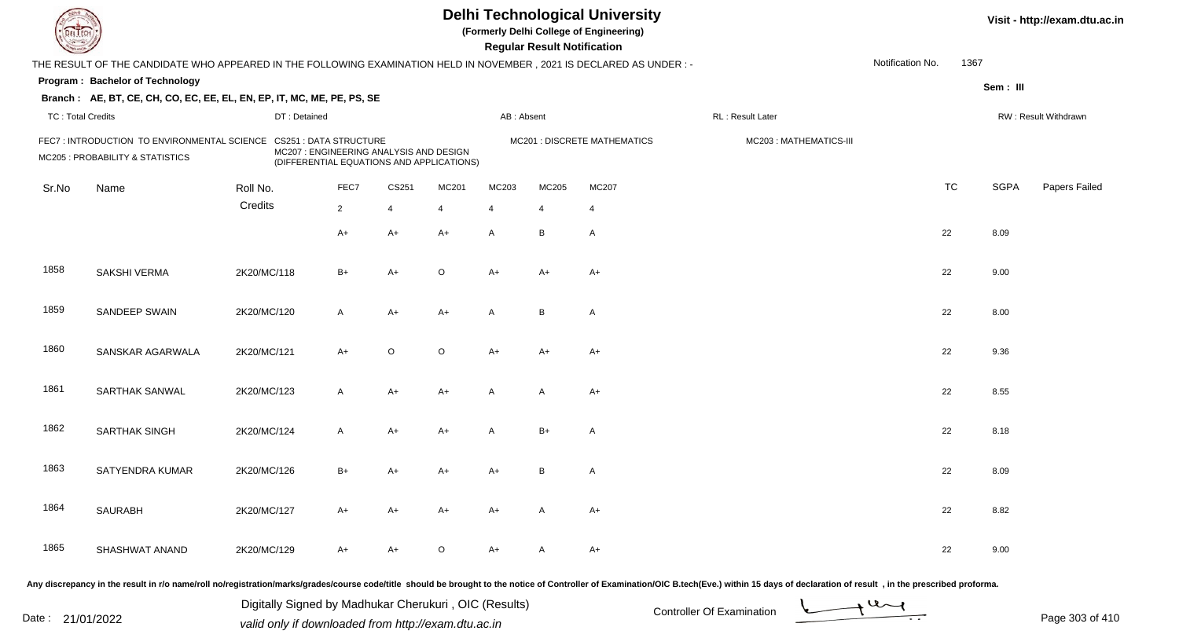| DEL TECI                 |                                                                                                                      |              |                                                                                                                       |                |         |                | <b>Regular Result Notification</b> | <b>Delhi Technological University</b><br>(Formerly Delhi College of Engineering) |                                                                                                                                                                                                                                |                  |           |             | Visit - http://exam.dtu.ac.in |
|--------------------------|----------------------------------------------------------------------------------------------------------------------|--------------|-----------------------------------------------------------------------------------------------------------------------|----------------|---------|----------------|------------------------------------|----------------------------------------------------------------------------------|--------------------------------------------------------------------------------------------------------------------------------------------------------------------------------------------------------------------------------|------------------|-----------|-------------|-------------------------------|
|                          | THE RESULT OF THE CANDIDATE WHO APPEARED IN THE FOLLOWING EXAMINATION HELD IN NOVEMBER, 2021 IS DECLARED AS UNDER :- |              |                                                                                                                       |                |         |                |                                    |                                                                                  |                                                                                                                                                                                                                                | Notification No. | 1367      |             |                               |
|                          | Program: Bachelor of Technology                                                                                      |              |                                                                                                                       |                |         |                |                                    |                                                                                  |                                                                                                                                                                                                                                |                  |           | Sem: III    |                               |
|                          | Branch: AE, BT, CE, CH, CO, EC, EE, EL, EN, EP, IT, MC, ME, PE, PS, SE                                               |              |                                                                                                                       |                |         |                |                                    |                                                                                  |                                                                                                                                                                                                                                |                  |           |             |                               |
| <b>TC: Total Credits</b> |                                                                                                                      | DT: Detained |                                                                                                                       |                |         | AB: Absent     |                                    |                                                                                  | RL: Result Later                                                                                                                                                                                                               |                  |           |             | RW: Result Withdrawn          |
|                          | FEC7: INTRODUCTION TO ENVIRONMENTAL SCIENCE<br>MC205 : PROBABILITY & STATISTICS                                      |              | <b>CS251 : DATA STRUCTURE</b><br>MC207 : ENGINEERING ANALYSIS AND DESIGN<br>(DIFFERENTIAL EQUATIONS AND APPLICATIONS) |                |         |                |                                    | MC201 : DISCRETE MATHEMATICS                                                     | MC203: MATHEMATICS-III                                                                                                                                                                                                         |                  |           |             |                               |
| Sr.No                    | Name                                                                                                                 | Roll No.     | FEC7                                                                                                                  | CS251          | MC201   | MC203          | MC205                              | MC207                                                                            |                                                                                                                                                                                                                                |                  | <b>TC</b> | <b>SGPA</b> | Papers Failed                 |
|                          |                                                                                                                      | Credits      | $\overline{2}$                                                                                                        | $\overline{4}$ | 4       | $\overline{4}$ | $\overline{4}$                     | 4                                                                                |                                                                                                                                                                                                                                |                  |           |             |                               |
|                          |                                                                                                                      |              | $A+$                                                                                                                  | $A+$           | $A+$    | A              | B                                  | A                                                                                |                                                                                                                                                                                                                                |                  | 22        | 8.09        |                               |
| 1858                     | <b>SAKSHI VERMA</b>                                                                                                  | 2K20/MC/118  | $B+$                                                                                                                  | A+             | $\circ$ | A+             | $A+$                               | $A+$                                                                             |                                                                                                                                                                                                                                |                  | 22        | 9.00        |                               |
| 1859                     | <b>SANDEEP SWAIN</b>                                                                                                 | 2K20/MC/120  | $\mathsf{A}$                                                                                                          | $A+$           | $A+$    | A              | B                                  | $\mathsf{A}$                                                                     |                                                                                                                                                                                                                                |                  | 22        | 8.00        |                               |
| 1860                     | SANSKAR AGARWALA                                                                                                     | 2K20/MC/121  | $A+$                                                                                                                  | $\circ$        | $\circ$ | $A+$           | $A+$                               | $A+$                                                                             |                                                                                                                                                                                                                                |                  | 22        | 9.36        |                               |
| 1861                     | SARTHAK SANWAL                                                                                                       | 2K20/MC/123  | $\mathsf{A}$                                                                                                          | A+             | $A+$    | A              | $\overline{A}$                     | $A+$                                                                             |                                                                                                                                                                                                                                |                  | 22        | 8.55        |                               |
| 1862                     | SARTHAK SINGH                                                                                                        | 2K20/MC/124  | $\mathsf{A}$                                                                                                          | A+             | $A+$    | A              | $B+$                               | A                                                                                |                                                                                                                                                                                                                                |                  | 22        | 8.18        |                               |
| 1863                     | SATYENDRA KUMAR                                                                                                      | 2K20/MC/126  | B+                                                                                                                    | A+             | A+      | A+             | B                                  | A                                                                                |                                                                                                                                                                                                                                |                  | 22        | 8.09        |                               |
| 1864                     | <b>SAURABH</b>                                                                                                       | 2K20/MC/127  | A+                                                                                                                    | $A+$           | A+      | A+             | A                                  | $A+$                                                                             |                                                                                                                                                                                                                                |                  | 22        | 8.82        |                               |
| 1865                     | SHASHWAT ANAND                                                                                                       | 2K20/MC/129  | $A+$                                                                                                                  | A+             | $\circ$ | A+             | A                                  | $A+$                                                                             |                                                                                                                                                                                                                                |                  | 22        | 9.00        |                               |
|                          |                                                                                                                      |              |                                                                                                                       |                |         |                |                                    |                                                                                  | Any discrepancy in the result in r/o name/roll no/registration/marks/grades/course code/title should be brought to the notice of Controller of Examination/OIC B.tech(Eve.) within 15 days of declaration of result , in the p |                  |           |             |                               |

Date : 21/01/2022 Digital Digital of Microsofted Chemical Controller Of Examination Determination Page 303 of 41 Digitally Signed by Madhukar Cherukuri , OIC (Results)

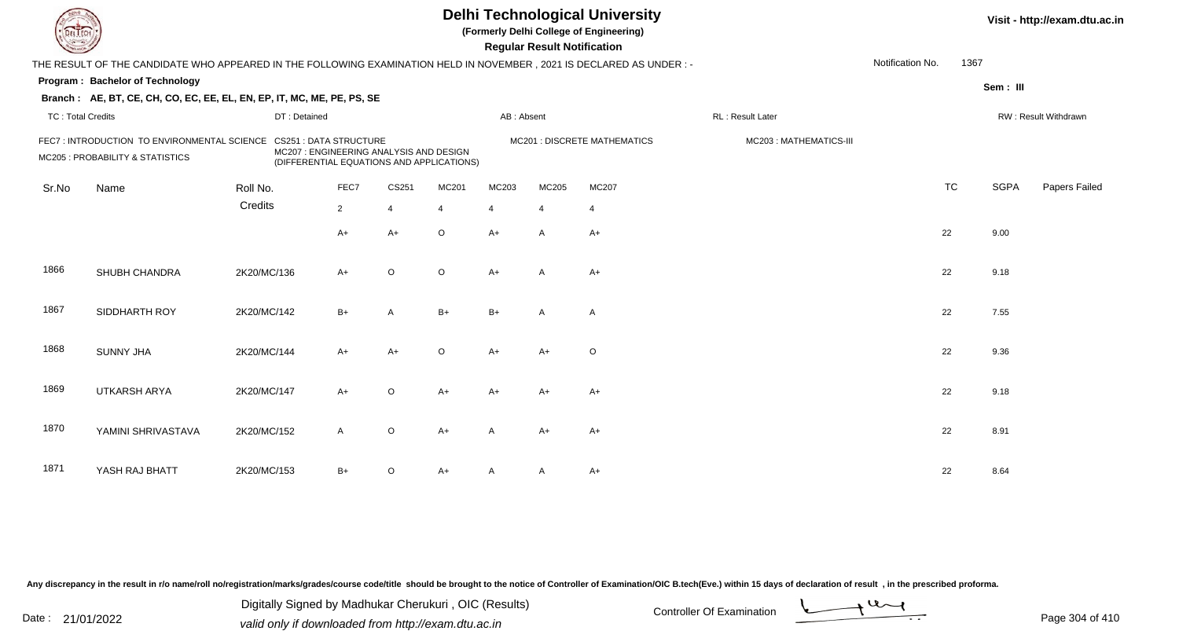|                          |                                                                                                                      |              |                                         |                |                                           |            | <b>Regular Result Notification</b> | <b>Delhi Technological University</b><br>(Formerly Delhi College of Engineering) |                        |                  |           |             | Visit - http://exam.dtu.ac.in |
|--------------------------|----------------------------------------------------------------------------------------------------------------------|--------------|-----------------------------------------|----------------|-------------------------------------------|------------|------------------------------------|----------------------------------------------------------------------------------|------------------------|------------------|-----------|-------------|-------------------------------|
|                          | THE RESULT OF THE CANDIDATE WHO APPEARED IN THE FOLLOWING EXAMINATION HELD IN NOVEMBER, 2021 IS DECLARED AS UNDER :- |              |                                         |                |                                           |            |                                    |                                                                                  |                        | Notification No. | 1367      |             |                               |
|                          | Program: Bachelor of Technology                                                                                      |              |                                         |                |                                           |            |                                    |                                                                                  |                        |                  |           | Sem: III    |                               |
|                          | Branch: AE, BT, CE, CH, CO, EC, EE, EL, EN, EP, IT, MC, ME, PE, PS, SE                                               |              |                                         |                |                                           |            |                                    |                                                                                  |                        |                  |           |             |                               |
| <b>TC: Total Credits</b> |                                                                                                                      | DT: Detained |                                         |                |                                           | AB: Absent |                                    |                                                                                  | RL: Result Later       |                  |           |             | RW: Result Withdrawn          |
|                          | FEC7: INTRODUCTION TO ENVIRONMENTAL SCIENCE CS251: DATA STRUCTURE<br>MC205 : PROBABILITY & STATISTICS                |              | MC207 : ENGINEERING ANALYSIS AND DESIGN |                | (DIFFERENTIAL EQUATIONS AND APPLICATIONS) |            |                                    | MC201 : DISCRETE MATHEMATICS                                                     | MC203: MATHEMATICS-III |                  |           |             |                               |
| Sr.No                    | Name                                                                                                                 | Roll No.     | FEC7                                    | CS251          | MC201                                     | MC203      | MC205                              | MC207                                                                            |                        |                  | <b>TC</b> | <b>SGPA</b> | Papers Failed                 |
|                          |                                                                                                                      | Credits      | $\overline{2}$                          | $\overline{4}$ |                                           | 4          | $\overline{4}$                     | $\overline{4}$                                                                   |                        |                  |           |             |                               |
|                          |                                                                                                                      |              | A+                                      | $A+$           | $\circ$                                   | $A+$       | A                                  | $A+$                                                                             |                        |                  | 22        | 9.00        |                               |
| 1866                     | SHUBH CHANDRA                                                                                                        | 2K20/MC/136  | A+                                      | $\circ$        | $\circ$                                   | $A+$       | $\mathsf{A}$                       | $A+$                                                                             |                        |                  | 22        | 9.18        |                               |
| 1867                     | SIDDHARTH ROY                                                                                                        | 2K20/MC/142  | $B+$                                    | $\overline{A}$ | $B+$                                      | $B+$       | $\mathsf{A}$                       | $\overline{A}$                                                                   |                        |                  | 22        | 7.55        |                               |
| 1868                     | <b>SUNNY JHA</b>                                                                                                     | 2K20/MC/144  | $A+$                                    | $A+$           | $\circ$                                   | $A+$       | $A+$                               | $\circ$                                                                          |                        |                  | 22        | 9.36        |                               |
| 1869                     | <b>UTKARSH ARYA</b>                                                                                                  | 2K20/MC/147  | $A+$                                    | $\mathsf O$    | $A+$                                      | $A+$       | $A+$                               | $A+$                                                                             |                        |                  | 22        | 9.18        |                               |
| 1870                     | YAMINI SHRIVASTAVA                                                                                                   | 2K20/MC/152  | $\mathsf{A}$                            | $\circ$        | $A+$                                      | A          | $A+$                               | $A+$                                                                             |                        |                  | 22        | 8.91        |                               |
| 1871                     | YASH RAJ BHATT                                                                                                       | 2K20/MC/153  | B+                                      | O              | A+                                        |            | A                                  | $A+$                                                                             |                        |                  | 22        | 8.64        |                               |

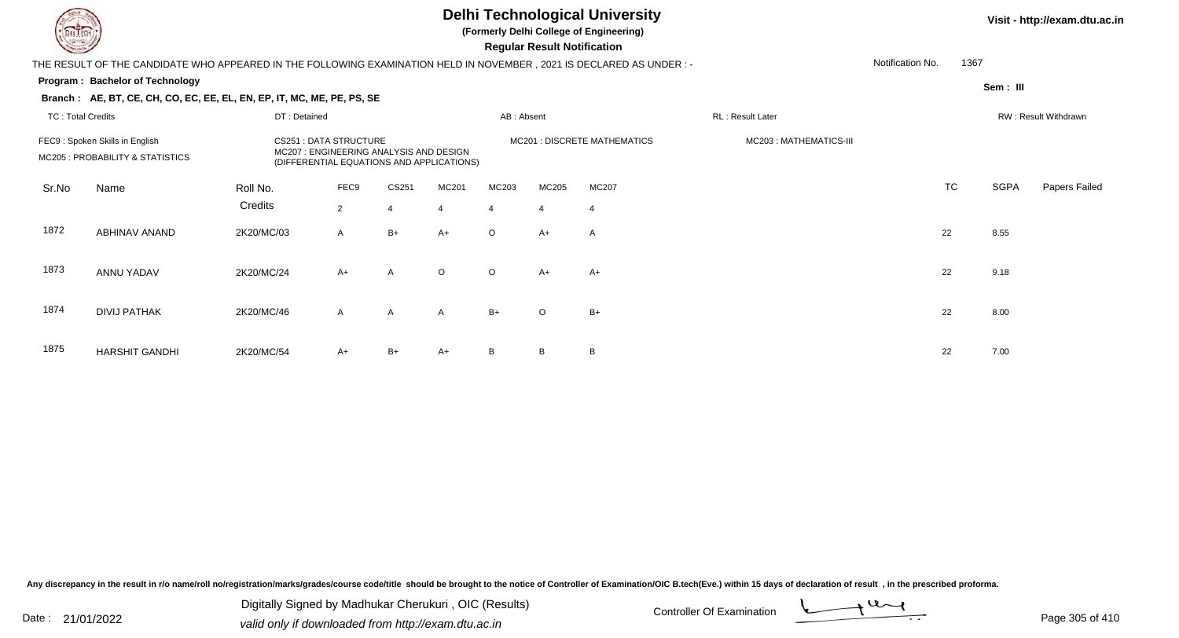**(Formerly Delhi College of Engineering)**

 **Regular Result Notification**

|                          | THE RESULT OF THE CANDIDATE WHO APPEARED IN THE FOLLOWING EXAMINATION HELD IN NOVEMBER , 2021 IS DECLARED AS UNDER : - |                                                                                                         |                |                |         |            |         |                              |                        | Notification No. | 1367      |             |                      |
|--------------------------|------------------------------------------------------------------------------------------------------------------------|---------------------------------------------------------------------------------------------------------|----------------|----------------|---------|------------|---------|------------------------------|------------------------|------------------|-----------|-------------|----------------------|
|                          | <b>Program: Bachelor of Technology</b>                                                                                 |                                                                                                         |                |                |         |            |         |                              |                        |                  |           | Sem : III   |                      |
|                          | Branch: AE, BT, CE, CH, CO, EC, EE, EL, EN, EP, IT, MC, ME, PE, PS, SE                                                 |                                                                                                         |                |                |         |            |         |                              |                        |                  |           |             |                      |
| <b>TC: Total Credits</b> |                                                                                                                        | DT: Detained                                                                                            |                |                |         | AB: Absent |         |                              | RL: Result Later       |                  |           |             | RW: Result Withdrawn |
|                          | FEC9: Spoken Skills in English                                                                                         | <b>CS251 : DATA STRUCTURE</b>                                                                           |                |                |         |            |         | MC201 : DISCRETE MATHEMATICS | MC203: MATHEMATICS-III |                  |           |             |                      |
|                          | MC205 : PROBABILITY & STATISTICS                                                                                       | MC207: ENGINEERING ANALYSIS AND DESIGN<br>(DIFFERENTIAL EQUATIONS AND APPLICATIONS)<br>FEC9<br>Roll No. |                |                |         |            |         |                              |                        |                  |           |             |                      |
| Sr.No                    | Name                                                                                                                   |                                                                                                         |                | CS251          | MC201   | MC203      | MC205   | <b>MC207</b>                 |                        |                  | <b>TC</b> | <b>SGPA</b> | Papers Failed        |
|                          |                                                                                                                        | Credits                                                                                                 | $\overline{2}$ | $\overline{4}$ | 4       | 4          | 4       | -4                           |                        |                  |           |             |                      |
| 1872                     | ABHINAV ANAND                                                                                                          | 2K20/MC/03                                                                                              | $\mathsf{A}$   | $B+$           | $A+$    | $\Omega$   | $A+$    | $\mathsf{A}$                 |                        |                  | 22        | 8.55        |                      |
| 1873                     | ANNU YADAV                                                                                                             | 2K20/MC/24                                                                                              | $A+$           | A              | $\circ$ | $\circ$    | $A+$    | $A+$                         |                        |                  | 22        | 9.18        |                      |
|                          |                                                                                                                        |                                                                                                         |                |                |         |            |         |                              |                        |                  |           |             |                      |
| 1874                     | <b>DIVIJ PATHAK</b>                                                                                                    | 2K20/MC/46                                                                                              | $\mathsf{A}$   | $\mathsf{A}$   | A       | $B+$       | $\circ$ | $B+$                         |                        |                  | 22        | 8.00        |                      |
|                          |                                                                                                                        |                                                                                                         |                |                |         |            |         |                              |                        |                  |           |             |                      |
| 1875                     | <b>HARSHIT GANDHI</b>                                                                                                  | 2K20/MC/54                                                                                              | $A+$           | B+             | $A+$    | B          | B       | B                            |                        |                  | 22        | 7.00        |                      |

Any discrepancy in the result in r/o name/roll no/registration/marks/grades/course code/title should be brought to the notice of Controller of Examination/OIC B.tech(Eve.) within 15 days of declaration of result, in the pr

Date : 21/01/2022 Digital Digital of Microsofted Chemical Controller Of Examination Determination Page 305 of 41 Digitally Signed by Madhukar Cherukuri , OIC (Results)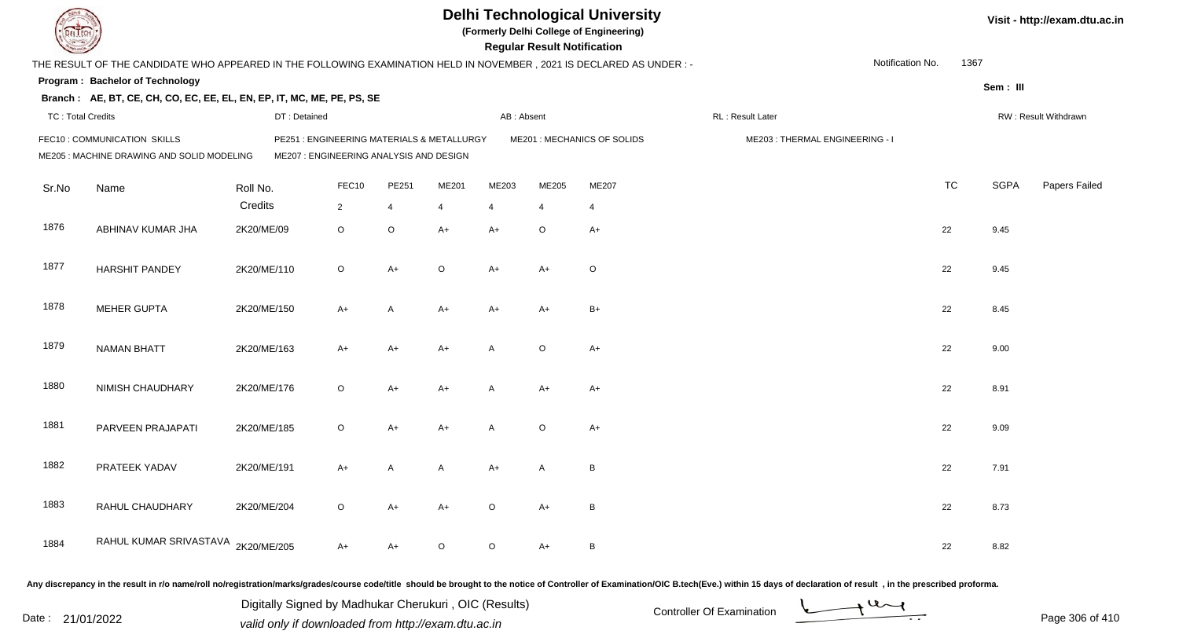|                          |                                                                                                                      |             |                                         |         |                |                                            |                | <b>Regular Result Notification</b> | <b>Delhi Technological University</b><br>(Formerly Delhi College of Engineering) |                                |                  |           |             | Visit - http://exam.dtu.ac.in |
|--------------------------|----------------------------------------------------------------------------------------------------------------------|-------------|-----------------------------------------|---------|----------------|--------------------------------------------|----------------|------------------------------------|----------------------------------------------------------------------------------|--------------------------------|------------------|-----------|-------------|-------------------------------|
|                          | THE RESULT OF THE CANDIDATE WHO APPEARED IN THE FOLLOWING EXAMINATION HELD IN NOVEMBER, 2021 IS DECLARED AS UNDER :- |             |                                         |         |                |                                            |                |                                    |                                                                                  |                                | Notification No. | 1367      |             |                               |
|                          | Program: Bachelor of Technology                                                                                      |             |                                         |         |                |                                            |                |                                    |                                                                                  |                                |                  |           | Sem: III    |                               |
|                          | Branch: AE, BT, CE, CH, CO, EC, EE, EL, EN, EP, IT, MC, ME, PE, PS, SE                                               |             |                                         |         |                |                                            |                |                                    |                                                                                  |                                |                  |           |             |                               |
| <b>TC: Total Credits</b> |                                                                                                                      |             | DT: Detained                            |         |                |                                            | AB: Absent     |                                    |                                                                                  | RL : Result Later              |                  |           |             | RW: Result Withdrawn          |
|                          | FEC10: COMMUNICATION SKILLS                                                                                          |             |                                         |         |                | PE251 : ENGINEERING MATERIALS & METALLURGY |                |                                    | ME201 : MECHANICS OF SOLIDS                                                      | ME203: THERMAL ENGINEERING - I |                  |           |             |                               |
|                          | ME205 : MACHINE DRAWING AND SOLID MODELING                                                                           |             | ME207 : ENGINEERING ANALYSIS AND DESIGN |         |                |                                            |                |                                    |                                                                                  |                                |                  |           |             |                               |
| Sr.No                    | Name                                                                                                                 | Roll No.    |                                         | FEC10   | PE251          | ME201                                      | ME203          | ME205                              | ME207                                                                            |                                |                  | <b>TC</b> | <b>SGPA</b> | Papers Failed                 |
|                          |                                                                                                                      | Credits     | $\overline{2}$                          |         | $\overline{4}$ | 4                                          | $\overline{4}$ | $\overline{4}$                     | $\overline{4}$                                                                   |                                |                  |           |             |                               |
| 1876                     | ABHINAV KUMAR JHA                                                                                                    | 2K20/ME/09  |                                         | $\circ$ | $\mathsf O$    | $A+$                                       | $A+$           | $\circ$                            | $A+$                                                                             |                                | 22               |           | 9.45        |                               |
| 1877                     | <b>HARSHIT PANDEY</b>                                                                                                | 2K20/ME/110 |                                         | $\circ$ | $A+$           | $\circ$                                    | $A+$           | $A+$                               | $\circ$                                                                          |                                |                  | 22        | 9.45        |                               |
| 1878                     | <b>MEHER GUPTA</b>                                                                                                   | 2K20/ME/150 |                                         | $A+$    | A              | $A+$                                       | $A+$           | $A+$                               | $B+$                                                                             |                                |                  | 22        | 8.45        |                               |
| 1879                     | <b>NAMAN BHATT</b>                                                                                                   | 2K20/ME/163 |                                         | $A+$    | $A+$           | $A+$                                       | A              | $\circ$                            | $A+$                                                                             |                                |                  | 22        | 9.00        |                               |
| 1880                     | NIMISH CHAUDHARY                                                                                                     | 2K20/ME/176 |                                         | $\circ$ | $A+$           | $A+$                                       | $\mathsf{A}$   | A+                                 | $A+$                                                                             |                                |                  | 22        | 8.91        |                               |
| 1881                     | PARVEEN PRAJAPATI                                                                                                    | 2K20/ME/185 |                                         | $\circ$ | $A+$           | $A+$                                       | $\mathsf{A}$   | $\circ$                            | $A+$                                                                             |                                |                  | 22        | 9.09        |                               |
| 1882                     | PRATEEK YADAV                                                                                                        | 2K20/ME/191 |                                         | $A+$    | A              | $\mathsf{A}$                               | $A+$           | A                                  | $\,$ B                                                                           |                                |                  | 22        | 7.91        |                               |
| 1883                     | RAHUL CHAUDHARY                                                                                                      | 2K20/ME/204 |                                         | $\circ$ | $A+$           | $A+$                                       | $\circ$        | $A+$                               | $\, {\sf B}$                                                                     |                                |                  | 22        | 8.73        |                               |
| 1884                     | RAHUL KUMAR SRIVASTAVA 2K20/ME/205                                                                                   |             |                                         | $A+$    | $A+$           | $\Omega$                                   | $\circ$        | $A+$                               | B                                                                                |                                |                  | 22        | 8.82        |                               |

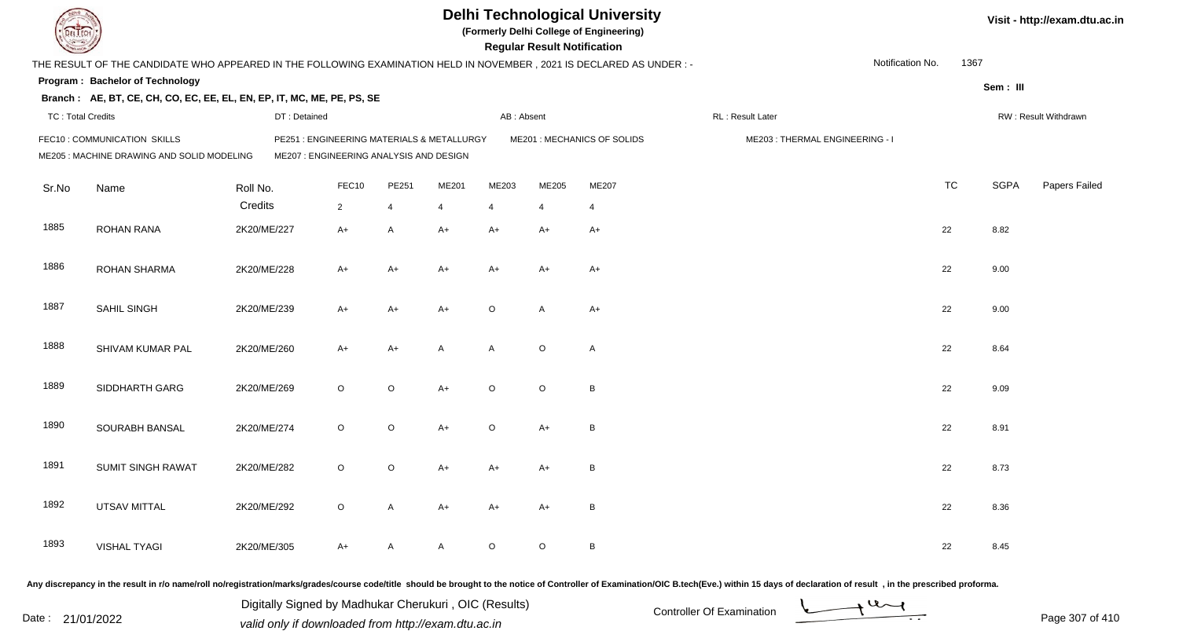| <b>DELTECH</b>           |                                                                                                                     |              |                                            |                |                |                | <b>Regular Result Notification</b> | <b>Delhi Technological University</b><br>(Formerly Delhi College of Engineering) |                                                                                                                                                                                                                                |                  |           |             | Visit - http://exam.dtu.ac.in |
|--------------------------|---------------------------------------------------------------------------------------------------------------------|--------------|--------------------------------------------|----------------|----------------|----------------|------------------------------------|----------------------------------------------------------------------------------|--------------------------------------------------------------------------------------------------------------------------------------------------------------------------------------------------------------------------------|------------------|-----------|-------------|-------------------------------|
|                          | THE RESULT OF THE CANDIDATE WHO APPEARED IN THE FOLLOWING EXAMINATION HELD IN NOVEMBER, 2021 IS DECLARED AS UNDER:- |              |                                            |                |                |                |                                    |                                                                                  |                                                                                                                                                                                                                                | Notification No. | 1367      |             |                               |
|                          | Program: Bachelor of Technology                                                                                     |              |                                            |                |                |                |                                    |                                                                                  |                                                                                                                                                                                                                                |                  |           | Sem: III    |                               |
|                          | Branch: AE, BT, CE, CH, CO, EC, EE, EL, EN, EP, IT, MC, ME, PE, PS, SE                                              |              |                                            |                |                |                |                                    |                                                                                  |                                                                                                                                                                                                                                |                  |           |             |                               |
| <b>TC: Total Credits</b> |                                                                                                                     | DT: Detained |                                            |                |                | AB: Absent     |                                    |                                                                                  | RL: Result Later                                                                                                                                                                                                               |                  |           |             | RW: Result Withdrawn          |
|                          | FEC10 : COMMUNICATION SKILLS                                                                                        |              | PE251 : ENGINEERING MATERIALS & METALLURGY |                |                |                |                                    | ME201 : MECHANICS OF SOLIDS                                                      | ME203: THERMAL ENGINEERING - I                                                                                                                                                                                                 |                  |           |             |                               |
|                          | ME205 : MACHINE DRAWING AND SOLID MODELING                                                                          |              | ME207 : ENGINEERING ANALYSIS AND DESIGN    |                |                |                |                                    |                                                                                  |                                                                                                                                                                                                                                |                  |           |             |                               |
| Sr.No                    | Name                                                                                                                | Roll No.     | FEC10                                      | PE251          | ME201          | ME203          | ME205                              | ME207                                                                            |                                                                                                                                                                                                                                |                  | <b>TC</b> | <b>SGPA</b> | Papers Failed                 |
|                          |                                                                                                                     | Credits      | $\overline{2}$                             | $\overline{4}$ | $\overline{4}$ | $\overline{4}$ | 4                                  | $\overline{4}$                                                                   |                                                                                                                                                                                                                                |                  |           |             |                               |
| 1885                     | <b>ROHAN RANA</b>                                                                                                   | 2K20/ME/227  | $A+$                                       | $\mathsf{A}$   | $A+$           | A+             | A+                                 | $A+$                                                                             |                                                                                                                                                                                                                                |                  | 22        | 8.82        |                               |
|                          |                                                                                                                     |              |                                            |                |                |                |                                    |                                                                                  |                                                                                                                                                                                                                                |                  |           |             |                               |
| 1886                     | <b>ROHAN SHARMA</b>                                                                                                 | 2K20/ME/228  | $A+$                                       | $A+$           | A+             | $A+$           | A+                                 | $A+$                                                                             |                                                                                                                                                                                                                                |                  | 22        | 9.00        |                               |
|                          |                                                                                                                     |              |                                            |                |                |                |                                    |                                                                                  |                                                                                                                                                                                                                                |                  |           |             |                               |
| 1887                     | SAHIL SINGH                                                                                                         | 2K20/ME/239  | $A+$                                       | $A+$           | $A+$           | O              | $\overline{A}$                     | $A+$                                                                             |                                                                                                                                                                                                                                |                  | 22        | 9.00        |                               |
|                          |                                                                                                                     |              |                                            |                |                |                |                                    |                                                                                  |                                                                                                                                                                                                                                |                  |           |             |                               |
| 1888                     | SHIVAM KUMAR PAL                                                                                                    | 2K20/ME/260  | $A+$                                       | A+             | A              | A              | $\circ$                            | $\mathsf{A}$                                                                     |                                                                                                                                                                                                                                |                  | 22        | 8.64        |                               |
|                          |                                                                                                                     |              |                                            |                |                |                |                                    |                                                                                  |                                                                                                                                                                                                                                |                  |           |             |                               |
| 1889                     | SIDDHARTH GARG                                                                                                      | 2K20/ME/269  | $\circ$                                    | $\circ$        | $A+$           | $\circ$        | $\circ$                            | B                                                                                |                                                                                                                                                                                                                                |                  | 22        | 9.09        |                               |
|                          |                                                                                                                     |              |                                            |                |                |                |                                    |                                                                                  |                                                                                                                                                                                                                                |                  |           |             |                               |
| 1890                     | SOURABH BANSAL                                                                                                      | 2K20/ME/274  | $\circ$                                    | $\circ$        | $A+$           | $\circ$        | $A+$                               | B                                                                                |                                                                                                                                                                                                                                |                  | 22        | 8.91        |                               |
|                          |                                                                                                                     |              |                                            |                |                |                |                                    |                                                                                  |                                                                                                                                                                                                                                |                  |           |             |                               |
| 1891                     | <b>SUMIT SINGH RAWAT</b>                                                                                            | 2K20/ME/282  | $\circ$                                    | $\circ$        | A+             | A+             | A+                                 | B                                                                                |                                                                                                                                                                                                                                |                  | 22        | 8.73        |                               |
|                          |                                                                                                                     |              |                                            |                |                |                |                                    |                                                                                  |                                                                                                                                                                                                                                |                  |           |             |                               |
| 1892                     | <b>UTSAV MITTAL</b>                                                                                                 | 2K20/ME/292  | $\circ$                                    | A              | A+             | A+             | A+                                 | B                                                                                |                                                                                                                                                                                                                                |                  | 22        | 8.36        |                               |
|                          |                                                                                                                     |              |                                            |                |                |                |                                    |                                                                                  |                                                                                                                                                                                                                                |                  |           |             |                               |
| 1893                     | <b>VISHAL TYAGI</b>                                                                                                 | 2K20/ME/305  | $A+$                                       | A              | A              | $\circ$        | $\circ$                            | $\, {\sf B}$                                                                     |                                                                                                                                                                                                                                |                  | 22        | 8.45        |                               |
|                          |                                                                                                                     |              |                                            |                |                |                |                                    |                                                                                  | Any discrepancy in the result in r/o name/roll no/registration/marks/grades/course code/title should be brought to the notice of Controller of Examination/OIC B.tech(Eve.) within 15 days of declaration of result , in the p |                  |           |             |                               |

Date : 21/01/2022 Digital Digital of Microsofted Chemical Controller Of Examination Determination Page 307 of 41 Digitally Signed by Madhukar Cherukuri , OIC (Results)

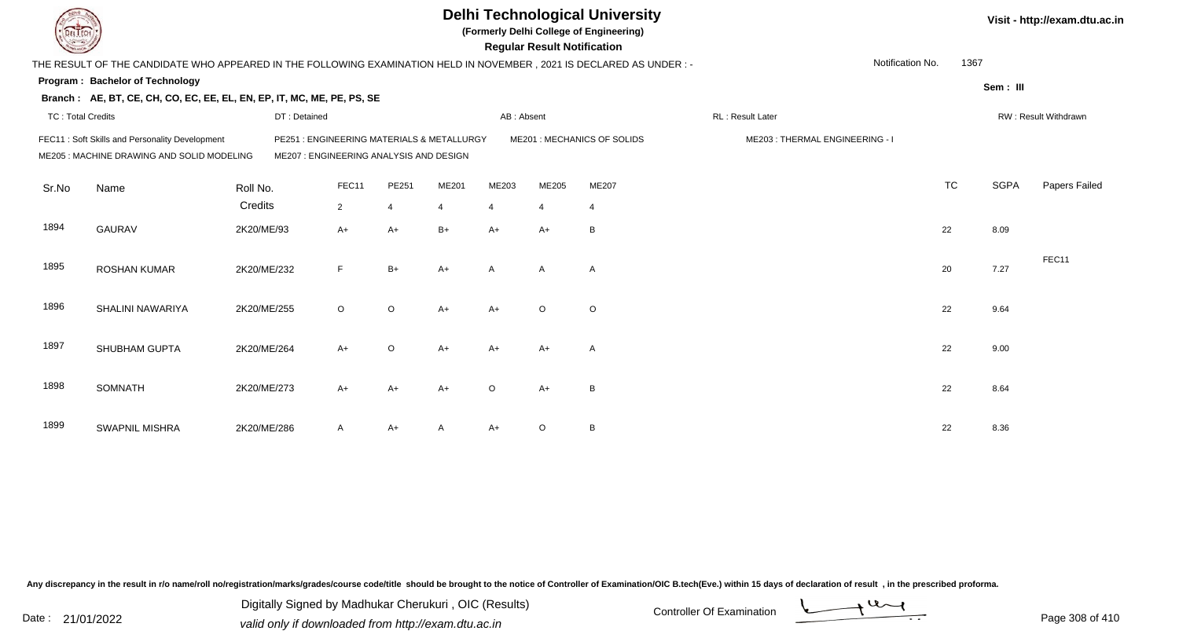|                          |                                                                                                                        |             |              |                |                                         |                                            |                | <b>Regular Result Notification</b> | <b>Delhi Technological University</b><br>(Formerly Delhi College of Engineering) |                  |                                |                  |           |             | Visit - http://exam.dtu.ac.in |
|--------------------------|------------------------------------------------------------------------------------------------------------------------|-------------|--------------|----------------|-----------------------------------------|--------------------------------------------|----------------|------------------------------------|----------------------------------------------------------------------------------|------------------|--------------------------------|------------------|-----------|-------------|-------------------------------|
|                          | THE RESULT OF THE CANDIDATE WHO APPEARED IN THE FOLLOWING EXAMINATION HELD IN NOVEMBER , 2021 IS DECLARED AS UNDER : - |             |              |                |                                         |                                            |                |                                    |                                                                                  |                  |                                | Notification No. | 1367      |             |                               |
|                          | Program: Bachelor of Technology                                                                                        |             |              |                |                                         |                                            |                |                                    |                                                                                  |                  |                                |                  |           | Sem: III    |                               |
|                          | Branch: AE, BT, CE, CH, CO, EC, EE, EL, EN, EP, IT, MC, ME, PE, PS, SE                                                 |             |              |                |                                         |                                            |                |                                    |                                                                                  |                  |                                |                  |           |             |                               |
| <b>TC: Total Credits</b> |                                                                                                                        |             | DT: Detained |                |                                         |                                            | AB: Absent     |                                    |                                                                                  | RL: Result Later |                                |                  |           |             | RW: Result Withdrawn          |
|                          | FEC11: Soft Skills and Personality Development<br>ME205 : MACHINE DRAWING AND SOLID MODELING                           |             |              |                | ME207 : ENGINEERING ANALYSIS AND DESIGN | PE251 : ENGINEERING MATERIALS & METALLURGY |                |                                    | ME201 : MECHANICS OF SOLIDS                                                      |                  | ME203: THERMAL ENGINEERING - I |                  |           |             |                               |
| Sr.No                    | Name                                                                                                                   | Roll No.    |              | FEC11          | PE251                                   | ME201                                      | ME203          | ME205                              | ME207                                                                            |                  |                                |                  | <b>TC</b> | <b>SGPA</b> | Papers Failed                 |
|                          |                                                                                                                        | Credits     |              | $\overline{2}$ | $\overline{4}$                          | $\overline{4}$                             | $\overline{4}$ | $\overline{4}$                     | $\overline{4}$                                                                   |                  |                                |                  |           |             |                               |
| 1894                     | <b>GAURAV</b>                                                                                                          | 2K20/ME/93  |              | $A+$           | $A+$                                    | $B+$                                       | $A+$           | $A+$                               | B                                                                                |                  |                                |                  | 22        | 8.09        |                               |
| 1895                     | <b>ROSHAN KUMAR</b>                                                                                                    | 2K20/ME/232 |              | F.             | $B+$                                    | $A+$                                       | $\mathsf{A}$   | $\mathsf{A}$                       | $\overline{A}$                                                                   |                  |                                |                  | 20        | 7.27        | FEC11                         |
| 1896                     | SHALINI NAWARIYA                                                                                                       | 2K20/ME/255 |              | $\circ$        | $\circ$                                 | $A+$                                       | $A+$           | $\circ$                            | $\circ$                                                                          |                  |                                |                  | 22        | 9.64        |                               |
| 1897                     | SHUBHAM GUPTA                                                                                                          | 2K20/ME/264 |              | $A+$           | $\circ$                                 | $A+$                                       | $A+$           | $A+$                               | A                                                                                |                  |                                |                  | 22        | 9.00        |                               |
| 1898                     | <b>SOMNATH</b>                                                                                                         | 2K20/ME/273 |              | $A+$           | $A+$                                    | $A+$                                       | $\circ$        | $A+$                               | B                                                                                |                  |                                |                  | 22        | 8.64        |                               |
| 1899                     | <b>SWAPNIL MISHRA</b>                                                                                                  | 2K20/ME/286 |              | A              | $A+$                                    |                                            | $A+$           | $\circ$                            | B                                                                                |                  |                                |                  | 22        | 8.36        |                               |

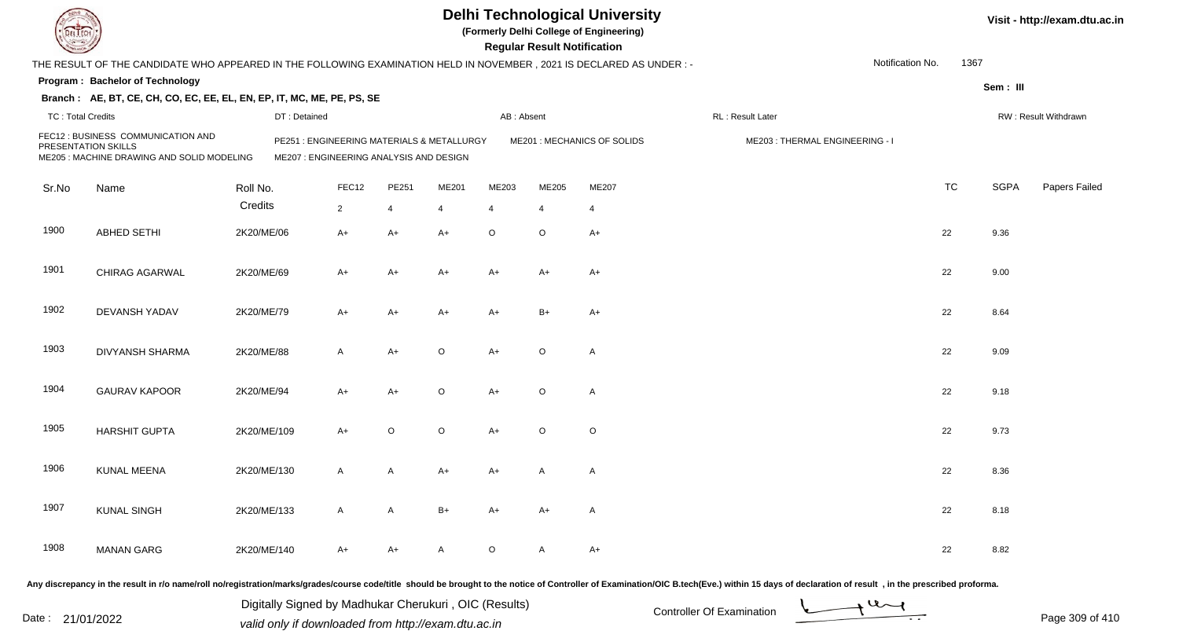| DEL TECH                 |                                                                                                                                                                                                                                |             |                                                                                      |                |              |                |                | <b>Regular Result Notification</b> | <b>Delhi Technological University</b><br>(Formerly Delhi College of Engineering) |                                |                  |           |             | Visit - http://exam.dtu.ac.in |
|--------------------------|--------------------------------------------------------------------------------------------------------------------------------------------------------------------------------------------------------------------------------|-------------|--------------------------------------------------------------------------------------|----------------|--------------|----------------|----------------|------------------------------------|----------------------------------------------------------------------------------|--------------------------------|------------------|-----------|-------------|-------------------------------|
|                          | THE RESULT OF THE CANDIDATE WHO APPEARED IN THE FOLLOWING EXAMINATION HELD IN NOVEMBER, 2021 IS DECLARED AS UNDER:-                                                                                                            |             |                                                                                      |                |              |                |                |                                    |                                                                                  |                                | Notification No. | 1367      |             |                               |
|                          | Program: Bachelor of Technology                                                                                                                                                                                                |             |                                                                                      |                |              |                |                |                                    |                                                                                  |                                |                  |           | Sem: III    |                               |
|                          | Branch: AE, BT, CE, CH, CO, EC, EE, EL, EN, EP, IT, MC, ME, PE, PS, SE                                                                                                                                                         |             |                                                                                      |                |              |                |                |                                    |                                                                                  |                                |                  |           |             |                               |
| <b>TC: Total Credits</b> |                                                                                                                                                                                                                                |             | DT: Detained                                                                         |                |              |                | AB: Absent     |                                    |                                                                                  | RL: Result Later               |                  |           |             | RW: Result Withdrawn          |
| PRESENTATION SKILLS      | FEC12 : BUSINESS COMMUNICATION AND<br>ME205 : MACHINE DRAWING AND SOLID MODELING                                                                                                                                               |             | PE251: ENGINEERING MATERIALS & METALLURGY<br>ME207 : ENGINEERING ANALYSIS AND DESIGN |                |              |                |                |                                    | ME201 : MECHANICS OF SOLIDS                                                      | ME203: THERMAL ENGINEERING - I |                  |           |             |                               |
| Sr.No                    | Name                                                                                                                                                                                                                           | Roll No.    |                                                                                      | FEC12          | PE251        | ME201          | ME203          | ME205                              | ME207                                                                            |                                |                  | <b>TC</b> | <b>SGPA</b> | Papers Failed                 |
|                          |                                                                                                                                                                                                                                | Credits     |                                                                                      | $\overline{2}$ | 4            | $\overline{4}$ | $\overline{4}$ | 4                                  | $\overline{4}$                                                                   |                                |                  |           |             |                               |
| 1900                     | <b>ABHED SETHI</b>                                                                                                                                                                                                             | 2K20/ME/06  |                                                                                      | $A+$           | $A+$         | $A+$           | $\circ$        | $\circ$                            | $A+$                                                                             |                                |                  | 22        | 9.36        |                               |
| 1901                     | CHIRAG AGARWAL                                                                                                                                                                                                                 | 2K20/ME/69  |                                                                                      | $A+$           | $A+$         | A+             | A+             | A+                                 | A+                                                                               |                                |                  | 22        | 9.00        |                               |
| 1902                     | <b>DEVANSH YADAV</b>                                                                                                                                                                                                           | 2K20/ME/79  |                                                                                      | $A+$           | $A+$         | A+             | A+             | $B+$                               | $A+$                                                                             |                                |                  | 22        | 8.64        |                               |
| 1903                     | DIVYANSH SHARMA                                                                                                                                                                                                                | 2K20/ME/88  |                                                                                      | $\mathsf{A}$   | $A+$         | $\circ$        | $A+$           | $\circ$                            | $\mathsf{A}$                                                                     |                                |                  | 22        | 9.09        |                               |
| 1904                     | <b>GAURAV KAPOOR</b>                                                                                                                                                                                                           | 2K20/ME/94  |                                                                                      | $A+$           | $A+$         | $\circ$        | $A+$           | $\circ$                            | $\mathsf{A}$                                                                     |                                |                  | 22        | 9.18        |                               |
| 1905                     | <b>HARSHIT GUPTA</b>                                                                                                                                                                                                           | 2K20/ME/109 |                                                                                      | $A+$           | $\circ$      | $\circ$        | A+             | $\circ$                            | $\circ$                                                                          |                                |                  | 22        | 9.73        |                               |
| 1906                     | KUNAL MEENA                                                                                                                                                                                                                    | 2K20/ME/130 |                                                                                      | $\mathsf{A}$   | Α            | A+             | A+             | A                                  | A                                                                                |                                |                  | 22        | 8.36        |                               |
| 1907                     | <b>KUNAL SINGH</b>                                                                                                                                                                                                             | 2K20/ME/133 |                                                                                      | $\mathsf{A}$   | $\mathsf{A}$ | $B+$           | A+             | A+                                 | A                                                                                |                                |                  | 22        | 8.18        |                               |
| 1908                     | <b>MANAN GARG</b>                                                                                                                                                                                                              | 2K20/ME/140 |                                                                                      | $A+$           | $A+$         | A              | $\circ$        | A                                  | $A+$                                                                             |                                |                  | 22        | 8.82        |                               |
|                          | Any discrepancy in the result in r/o name/roll no/registration/marks/grades/course code/title should be brought to the notice of Controller of Examination/OIC B.tech(Eve.) within 15 days of declaration of result , in the p |             |                                                                                      |                |              |                |                |                                    |                                                                                  |                                |                  |           |             |                               |

Date : 21/01/2022 Digital Digital of Microsofted Chemical Controller Of Examination Determination Page 309 of 41 Digitally Signed by Madhukar Cherukuri , OIC (Results)

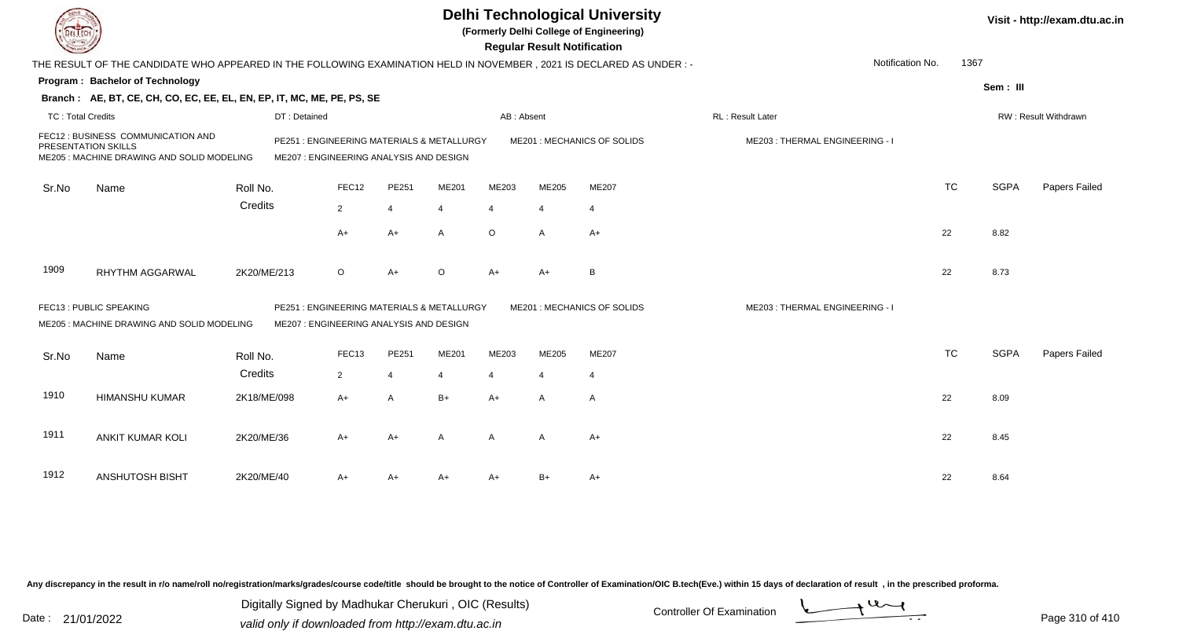|                          |                                                                                                                      |              |                                                                                       |                |          |                | <b>Regular Result Notification</b> | <b>Delhi Technological University</b><br>(Formerly Delhi College of Engineering) |                                |                          |             | Visit - http://exam.dtu.ac.in |
|--------------------------|----------------------------------------------------------------------------------------------------------------------|--------------|---------------------------------------------------------------------------------------|----------------|----------|----------------|------------------------------------|----------------------------------------------------------------------------------|--------------------------------|--------------------------|-------------|-------------------------------|
|                          | THE RESULT OF THE CANDIDATE WHO APPEARED IN THE FOLLOWING EXAMINATION HELD IN NOVEMBER, 2021 IS DECLARED AS UNDER :- |              |                                                                                       |                |          |                |                                    |                                                                                  |                                | Notification No.<br>1367 |             |                               |
|                          | Program: Bachelor of Technology                                                                                      |              |                                                                                       |                |          |                |                                    |                                                                                  |                                |                          | Sem: III    |                               |
|                          | Branch: AE, BT, CE, CH, CO, EC, EE, EL, EN, EP, IT, MC, ME, PE, PS, SE                                               |              |                                                                                       |                |          |                |                                    |                                                                                  |                                |                          |             |                               |
| <b>TC: Total Credits</b> |                                                                                                                      | DT: Detained |                                                                                       |                |          | AB: Absent     |                                    |                                                                                  | RL: Result Later               |                          |             | RW: Result Withdrawn          |
| PRESENTATION SKILLS      | FEC12: BUSINESS COMMUNICATION AND<br>ME205 : MACHINE DRAWING AND SOLID MODELING                                      |              | PE251: ENGINEERING MATERIALS & METALLURGY<br>ME207 : ENGINEERING ANALYSIS AND DESIGN  |                |          |                |                                    | ME201: MECHANICS OF SOLIDS                                                       | ME203: THERMAL ENGINEERING - I |                          |             |                               |
| Sr.No                    | Name                                                                                                                 | Roll No.     | FEC12                                                                                 | PE251          | ME201    | ME203          | ME205                              | ME207                                                                            |                                | <b>TC</b>                | <b>SGPA</b> | <b>Papers Failed</b>          |
|                          |                                                                                                                      | Credits      | $\overline{2}$                                                                        | $\overline{4}$ |          | $\overline{4}$ | $\overline{4}$                     | $\overline{4}$                                                                   |                                |                          |             |                               |
|                          |                                                                                                                      |              | A+                                                                                    | A+             | A        | $\circ$        | A                                  | A+                                                                               |                                | 22                       | 8.82        |                               |
| 1909                     | <b>RHYTHM AGGARWAL</b>                                                                                               | 2K20/ME/213  | $\circ$                                                                               | $A+$           | $\Omega$ | $A+$           | A+                                 | B                                                                                |                                | 22                       | 8.73        |                               |
|                          | FEC13 : PUBLIC SPEAKING<br>ME205 : MACHINE DRAWING AND SOLID MODELING                                                |              | PE251 : ENGINEERING MATERIALS & METALLURGY<br>ME207 : ENGINEERING ANALYSIS AND DESIGN |                |          |                |                                    | ME201 : MECHANICS OF SOLIDS                                                      | ME203: THERMAL ENGINEERING - I |                          |             |                               |
| Sr.No                    | Name                                                                                                                 | Roll No.     | FEC13                                                                                 | PE251          | ME201    | ME203          | <b>ME205</b>                       | ME207                                                                            |                                | <b>TC</b>                | <b>SGPA</b> | Papers Failed                 |
|                          |                                                                                                                      | Credits      | 2                                                                                     | $\overline{4}$ | 4        | 4              | $\overline{4}$                     | $\overline{4}$                                                                   |                                |                          |             |                               |
| 1910                     | <b>HIMANSHU KUMAR</b>                                                                                                | 2K18/ME/098  | A+                                                                                    | $\overline{A}$ | $B+$     | $A+$           | A                                  | A                                                                                |                                | 22                       | 8.09        |                               |
| 1911                     | <b>ANKIT KUMAR KOLI</b>                                                                                              | 2K20/ME/36   | A+                                                                                    | $A+$           | A        | A              | $\overline{A}$                     | A+                                                                               |                                | 22                       | 8.45        |                               |
| 1912                     | <b>ANSHUTOSH BISHT</b>                                                                                               | 2K20/ME/40   | A+                                                                                    | A+             | A+       | $A+$           | B+                                 | A+                                                                               |                                | 22                       | 8.64        |                               |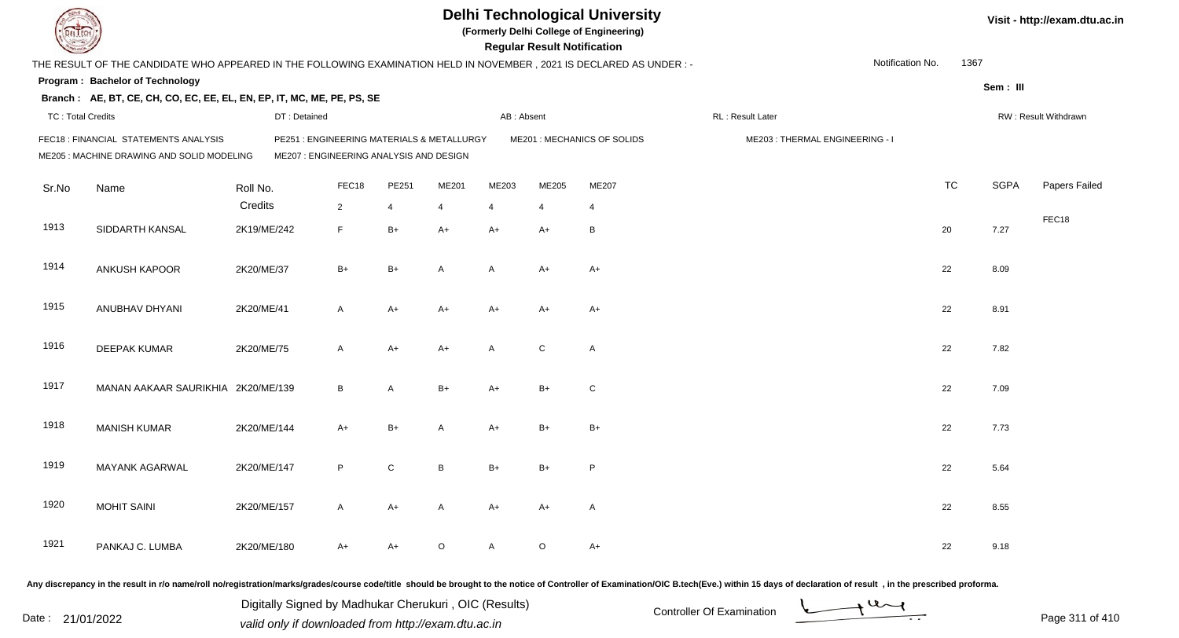|                          |                                                                                                                      |              |                                                                                      |                |         |                | <b>Regular Result Notification</b> | <b>Delhi Technological University</b><br>(Formerly Delhi College of Engineering) |                                |                  |           |             | Visit - http://exam.dtu.ac.in |
|--------------------------|----------------------------------------------------------------------------------------------------------------------|--------------|--------------------------------------------------------------------------------------|----------------|---------|----------------|------------------------------------|----------------------------------------------------------------------------------|--------------------------------|------------------|-----------|-------------|-------------------------------|
|                          | THE RESULT OF THE CANDIDATE WHO APPEARED IN THE FOLLOWING EXAMINATION HELD IN NOVEMBER, 2021 IS DECLARED AS UNDER :- |              |                                                                                      |                |         |                |                                    |                                                                                  |                                | Notification No. | 1367      |             |                               |
|                          | Program: Bachelor of Technology                                                                                      |              |                                                                                      |                |         |                |                                    |                                                                                  |                                |                  |           | Sem: III    |                               |
|                          | Branch: AE, BT, CE, CH, CO, EC, EE, EL, EN, EP, IT, MC, ME, PE, PS, SE                                               |              |                                                                                      |                |         |                |                                    |                                                                                  |                                |                  |           |             |                               |
| <b>TC: Total Credits</b> |                                                                                                                      | DT: Detained |                                                                                      |                |         | AB: Absent     |                                    |                                                                                  | RL: Result Later               |                  |           |             | RW: Result Withdrawn          |
|                          | FEC18 : FINANCIAL STATEMENTS ANALYSIS<br>ME205 : MACHINE DRAWING AND SOLID MODELING                                  |              | PE251: ENGINEERING MATERIALS & METALLURGY<br>ME207 : ENGINEERING ANALYSIS AND DESIGN |                |         |                |                                    | ME201 : MECHANICS OF SOLIDS                                                      | ME203: THERMAL ENGINEERING - I |                  |           |             |                               |
| Sr.No                    | Name                                                                                                                 | Roll No.     | FEC18                                                                                | PE251          | ME201   | ME203          | ME205                              | ME207                                                                            |                                |                  | <b>TC</b> | <b>SGPA</b> | Papers Failed                 |
|                          |                                                                                                                      | Credits      | $\overline{2}$                                                                       | $\overline{4}$ | 4       | $\overline{4}$ | $\overline{4}$                     | $\overline{4}$                                                                   |                                |                  |           |             |                               |
| 1913                     | SIDDARTH KANSAL                                                                                                      | 2K19/ME/242  | F                                                                                    | $B+$           | $A+$    | $A+$           | $A+$                               | B                                                                                |                                |                  | 20        | 7.27        | FEC18                         |
| 1914                     | ANKUSH KAPOOR                                                                                                        | 2K20/ME/37   | $B+$                                                                                 | $B+$           | A       | A              | $A+$                               | $A+$                                                                             |                                |                  | 22        | 8.09        |                               |
| 1915                     | ANUBHAV DHYANI                                                                                                       | 2K20/ME/41   | A                                                                                    | $A+$           | $A+$    | $A+$           | A+                                 | A+                                                                               |                                |                  | 22        | 8.91        |                               |
| 1916                     | DEEPAK KUMAR                                                                                                         | 2K20/ME/75   | A                                                                                    | $A+$           | $A+$    | $\mathsf{A}$   | $\mathsf C$                        | $\mathsf{A}$                                                                     |                                |                  | 22        | 7.82        |                               |
| 1917                     | MANAN AAKAAR SAURIKHIA 2K20/ME/139                                                                                   |              | B                                                                                    | A              | $B+$    | $A+$           | $B+$                               | $\mathsf{C}$                                                                     |                                |                  | 22        | 7.09        |                               |
| 1918                     | <b>MANISH KUMAR</b>                                                                                                  | 2K20/ME/144  | $A+$                                                                                 | $B+$           | A       | $A+$           | $B+$                               | $B+$                                                                             |                                |                  | 22        | 7.73        |                               |
| 1919                     | <b>MAYANK AGARWAL</b>                                                                                                | 2K20/ME/147  | P                                                                                    | C              | B       | $B+$           | $B+$                               | P                                                                                |                                |                  | 22        | 5.64        |                               |
| 1920                     | <b>MOHIT SAINI</b>                                                                                                   | 2K20/ME/157  | A                                                                                    | $A+$           | A       | A+             | A+                                 | $\mathsf{A}$                                                                     |                                |                  | 22        | 8.55        |                               |
| 1921                     | PANKAJ C. LUMBA                                                                                                      | 2K20/ME/180  | A+                                                                                   | A+             | $\circ$ | A              | $\circ$                            | $A+$                                                                             |                                |                  | 22        | 9.18        |                               |
|                          |                                                                                                                      |              |                                                                                      |                |         |                |                                    |                                                                                  |                                |                  |           |             |                               |

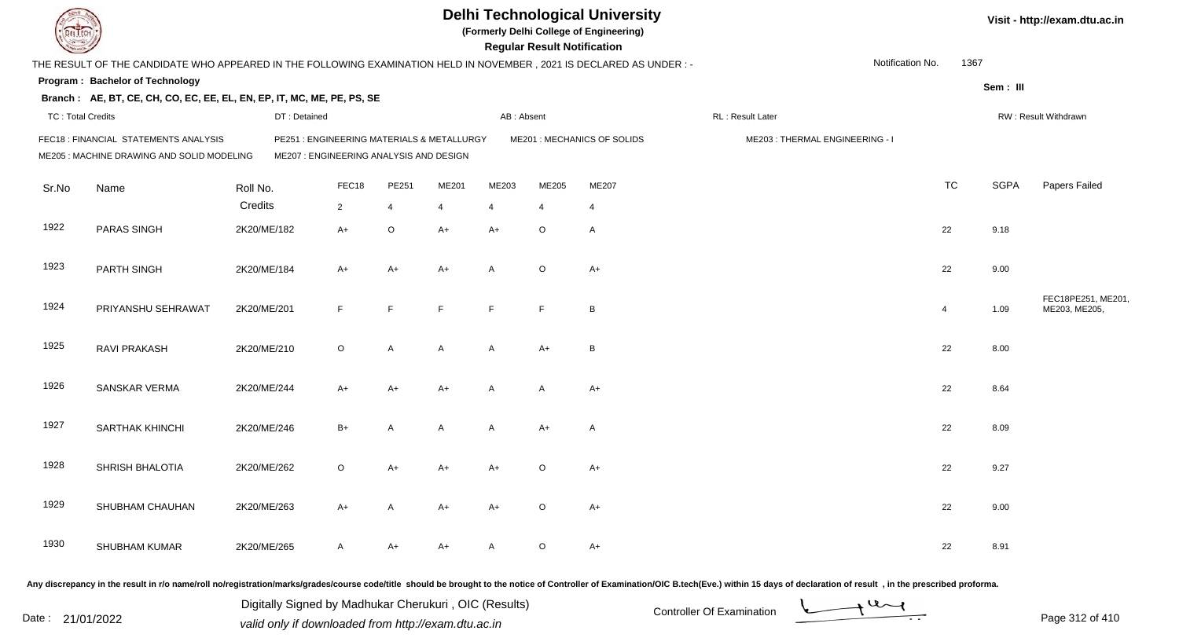| <b>DELTECH</b>           |                                                                                                                                                                                                                                |                                                       |                                                                                      |                |                |                | <b>Regular Result Notification</b> | <b>Delhi Technological University</b><br>(Formerly Delhi College of Engineering) |                           |                                |                  |                |             | Visit - http://exam.dtu.ac.in       |
|--------------------------|--------------------------------------------------------------------------------------------------------------------------------------------------------------------------------------------------------------------------------|-------------------------------------------------------|--------------------------------------------------------------------------------------|----------------|----------------|----------------|------------------------------------|----------------------------------------------------------------------------------|---------------------------|--------------------------------|------------------|----------------|-------------|-------------------------------------|
|                          | THE RESULT OF THE CANDIDATE WHO APPEARED IN THE FOLLOWING EXAMINATION HELD IN NOVEMBER, 2021 IS DECLARED AS UNDER :-                                                                                                           |                                                       |                                                                                      |                |                |                |                                    |                                                                                  |                           |                                | Notification No. | 1367           |             |                                     |
|                          | Program: Bachelor of Technology                                                                                                                                                                                                |                                                       |                                                                                      |                |                |                |                                    |                                                                                  |                           |                                |                  |                | Sem: III    |                                     |
|                          | Branch: AE, BT, CE, CH, CO, EC, EE, EL, EN, EP, IT, MC, ME, PE, PS, SE                                                                                                                                                         |                                                       |                                                                                      |                |                |                |                                    |                                                                                  |                           |                                |                  |                |             |                                     |
| <b>TC: Total Credits</b> |                                                                                                                                                                                                                                | DT: Detained                                          |                                                                                      |                |                | AB: Absent     |                                    |                                                                                  | RL: Result Later          |                                |                  |                |             | RW: Result Withdrawn                |
|                          | FEC18: FINANCIAL STATEMENTS ANALYSIS<br>ME205 : MACHINE DRAWING AND SOLID MODELING                                                                                                                                             |                                                       | PE251: ENGINEERING MATERIALS & METALLURGY<br>ME207 : ENGINEERING ANALYSIS AND DESIGN |                |                |                |                                    | ME201 : MECHANICS OF SOLIDS                                                      |                           | ME203: THERMAL ENGINEERING - I |                  |                |             |                                     |
| Sr.No                    | Name                                                                                                                                                                                                                           | Roll No.                                              | FEC18                                                                                | PE251          | ME201          | ME203          | ME205                              | ME207                                                                            |                           |                                |                  | <b>TC</b>      | <b>SGPA</b> | Papers Failed                       |
|                          |                                                                                                                                                                                                                                | Credits                                               | $\overline{2}$                                                                       | $\overline{4}$ | $\overline{4}$ | 4              | 4                                  | 4                                                                                |                           |                                |                  |                |             |                                     |
| 1922                     | PARAS SINGH                                                                                                                                                                                                                    | 2K20/ME/182                                           | $A+$                                                                                 | $\mathsf O$    | A+             | $A+$           | $\circ$                            | A                                                                                |                           |                                |                  | 22             | 9.18        |                                     |
| 1923                     | PARTH SINGH                                                                                                                                                                                                                    | 2K20/ME/184                                           | A+                                                                                   | $A+$           | A+             | $\overline{A}$ | $\circ$                            | A+                                                                               |                           |                                |                  | 22             | 9.00        |                                     |
| 1924                     | PRIYANSHU SEHRAWAT                                                                                                                                                                                                             | 2K20/ME/201                                           | F.                                                                                   | F              | E              | F              | $\mathsf F$                        | B                                                                                |                           |                                |                  | $\overline{4}$ | 1.09        | FEC18PE251, ME201,<br>ME203, ME205, |
| 1925                     | RAVI PRAKASH                                                                                                                                                                                                                   | 2K20/ME/210                                           | $\circ$                                                                              | Α              | A              | $\overline{A}$ | $A+$                               | B                                                                                |                           |                                |                  | 22             | 8.00        |                                     |
| 1926                     | SANSKAR VERMA                                                                                                                                                                                                                  | 2K20/ME/244                                           | A+                                                                                   | $A+$           | A+             | $\overline{A}$ | Α                                  | $A+$                                                                             |                           |                                |                  | 22             | 8.64        |                                     |
| 1927                     | <b>SARTHAK KHINCHI</b>                                                                                                                                                                                                         | 2K20/ME/246                                           | $B+$                                                                                 | Α              | A              | $\overline{A}$ | $A+$                               | A                                                                                |                           |                                |                  | 22             | 8.09        |                                     |
| 1928                     | SHRISH BHALOTIA                                                                                                                                                                                                                | 2K20/ME/262                                           | $\circ$                                                                              | $A+$           | A+             | A+             | $\circ$                            | A+                                                                               |                           |                                |                  | 22             | 9.27        |                                     |
| 1929                     | SHUBHAM CHAUHAN                                                                                                                                                                                                                | 2K20/ME/263                                           | A+                                                                                   | A              | A+             | $A+$           | $\circ$                            | A+                                                                               |                           |                                |                  | 22             | 9.00        |                                     |
| 1930                     | SHUBHAM KUMAR                                                                                                                                                                                                                  | 2K20/ME/265                                           | A                                                                                    | A+             | A+             | $\mathsf{A}$   | $\mathsf O$                        | A+                                                                               |                           |                                |                  | 22             | 8.91        |                                     |
|                          | Any discrepancy in the result in r/o name/roll no/registration/marks/grades/course code/title should be brought to the notice of Controller of Examination/OIC B.tech(Eve.) within 15 days of declaration of result , in the p |                                                       |                                                                                      |                |                |                |                                    |                                                                                  |                           |                                |                  |                |             |                                     |
|                          |                                                                                                                                                                                                                                | Digitally Signed by Madhukar Cherukuri, OIC (Results) |                                                                                      |                |                |                |                                    |                                                                                  | Controller Of Evamination |                                | $u_{\sim l}$     |                |             |                                     |

Date : 21/01/2022 Digital Digital of Microsofted Chemical Controller Of Examination Determination Page 312 of 41



Page 312 of 410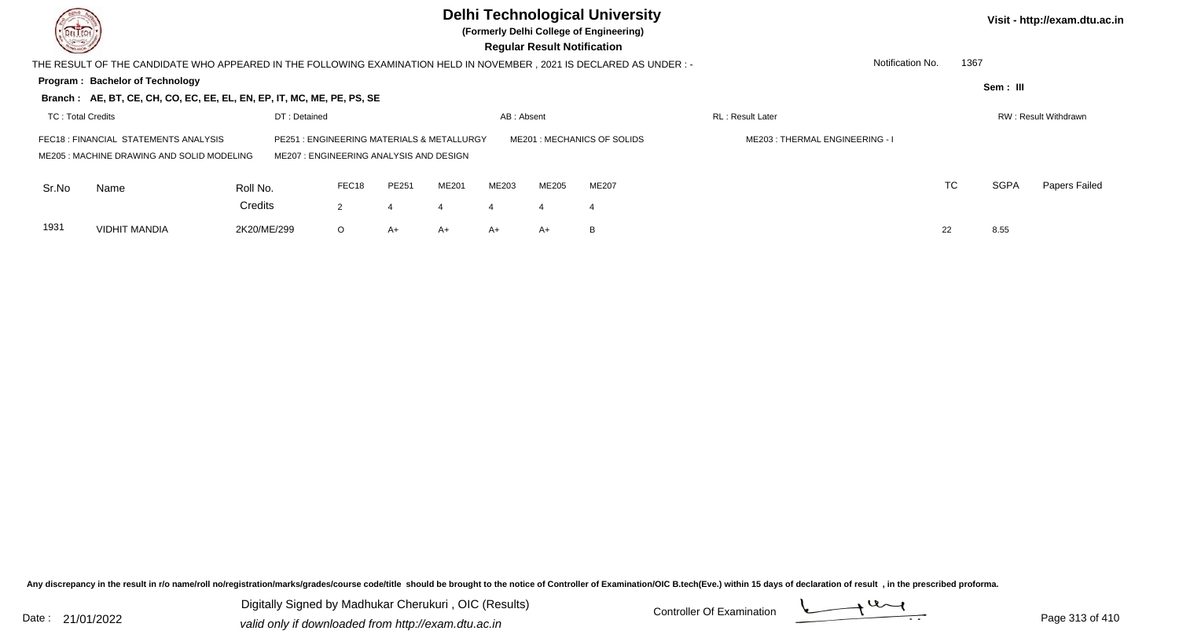| DEL TECH<br>$\sim$ |                                                                                                                       |              |                                                                                |       |       |                       | <b>Regular Result Notification</b> | <b>Delhi Technological University</b><br>(Formerly Delhi College of Engineering) |                                |           |             | Visit - http://exam.dtu.ac.in |
|--------------------|-----------------------------------------------------------------------------------------------------------------------|--------------|--------------------------------------------------------------------------------|-------|-------|-----------------------|------------------------------------|----------------------------------------------------------------------------------|--------------------------------|-----------|-------------|-------------------------------|
|                    | THE RESULT OF THE CANDIDATE WHO APPEARED IN THE FOLLOWING EXAMINATION HELD IN NOVEMBER , 2021 IS DECLARED AS UNDER :- |              |                                                                                |       |       |                       |                                    |                                                                                  | Notification No.               | 1367      |             |                               |
|                    | Program: Bachelor of Technology                                                                                       |              |                                                                                |       |       |                       |                                    |                                                                                  |                                |           | Sem: III    |                               |
|                    | Branch: AE, BT, CE, CH, CO, EC, EE, EL, EN, EP, IT, MC, ME, PE, PS, SE                                                |              |                                                                                |       |       |                       |                                    |                                                                                  |                                |           |             |                               |
| TC: Total Credits  |                                                                                                                       | DT: Detained |                                                                                |       |       | AB: Absent            |                                    |                                                                                  | <b>RL</b> : Result Later       |           |             | RW: Result Withdrawn          |
|                    | FEC18: FINANCIAL STATEMENTS ANALYSIS<br>ME205: MACHINE DRAWING AND SOLID MODELING                                     | PE251        | : ENGINEERING MATERIALS & METALLURGY<br>ME207: ENGINEERING ANALYSIS AND DESIGN |       |       |                       |                                    | ME201 : MECHANICS OF SOLIDS                                                      | ME203: THERMAL ENGINEERING - I |           |             |                               |
| Sr.No              | Name                                                                                                                  | Roll No.     | FEC18                                                                          | PE251 | ME201 | ME203                 | <b>ME205</b>                       | ME207                                                                            |                                | <b>TC</b> | <b>SGPA</b> | Papers Failed                 |
|                    |                                                                                                                       | Credits      | 2                                                                              |       |       | $\boldsymbol{\Delta}$ | 4                                  |                                                                                  |                                |           |             |                               |
| 1931               | <b>VIDHIT MANDIA</b>                                                                                                  | 2K20/ME/299  | $\circ$                                                                        | $A+$  | A+    | A+                    | A+                                 | B                                                                                |                                | 22        | 8.55        |                               |

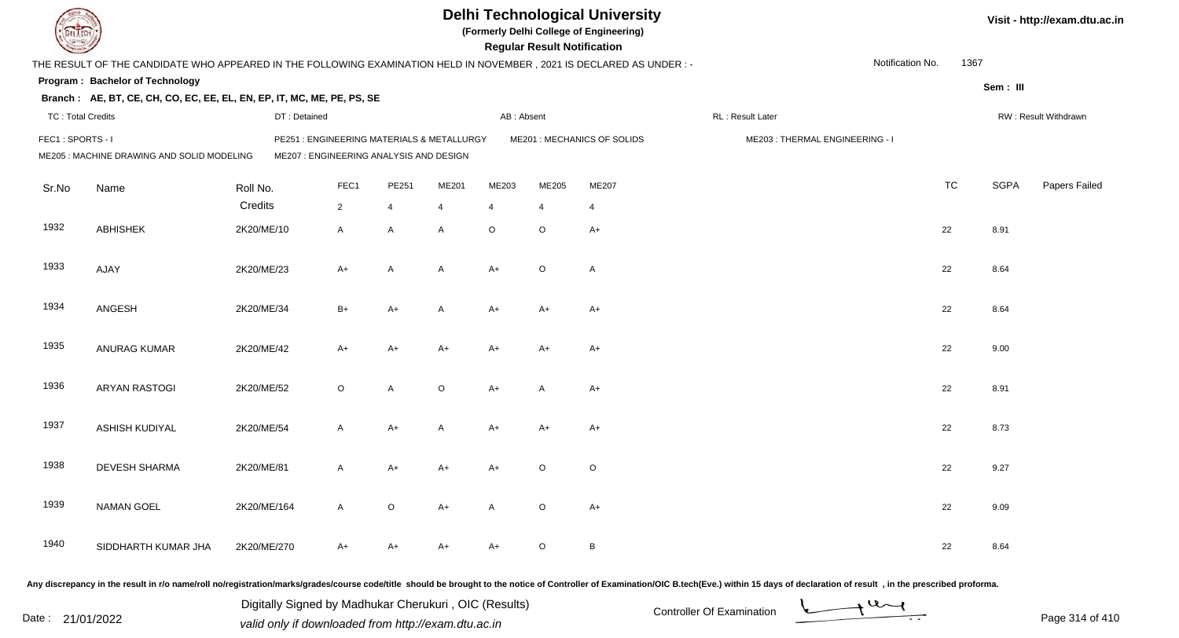|                          |                                                                                                                      |              |                                                                                       |                |         |                | <b>Regular Result Notification</b> | <b>Delhi Technological University</b><br>(Formerly Delhi College of Engineering) |                                |                  |           |             | Visit - http://exam.dtu.ac.in |
|--------------------------|----------------------------------------------------------------------------------------------------------------------|--------------|---------------------------------------------------------------------------------------|----------------|---------|----------------|------------------------------------|----------------------------------------------------------------------------------|--------------------------------|------------------|-----------|-------------|-------------------------------|
|                          | THE RESULT OF THE CANDIDATE WHO APPEARED IN THE FOLLOWING EXAMINATION HELD IN NOVEMBER, 2021 IS DECLARED AS UNDER :- |              |                                                                                       |                |         |                |                                    |                                                                                  |                                | Notification No. | 1367      |             |                               |
|                          | Program: Bachelor of Technology                                                                                      |              |                                                                                       |                |         |                |                                    |                                                                                  |                                |                  |           | Sem: III    |                               |
|                          | Branch: AE, BT, CE, CH, CO, EC, EE, EL, EN, EP, IT, MC, ME, PE, PS, SE                                               |              |                                                                                       |                |         |                |                                    |                                                                                  |                                |                  |           |             |                               |
| <b>TC: Total Credits</b> |                                                                                                                      | DT: Detained |                                                                                       |                |         | AB: Absent     |                                    |                                                                                  | RL: Result Later               |                  |           |             | RW: Result Withdrawn          |
| FEC1: SPORTS - I         | ME205 : MACHINE DRAWING AND SOLID MODELING                                                                           |              | PE251 : ENGINEERING MATERIALS & METALLURGY<br>ME207 : ENGINEERING ANALYSIS AND DESIGN |                |         |                |                                    | ME201 : MECHANICS OF SOLIDS                                                      | ME203: THERMAL ENGINEERING - I |                  |           |             |                               |
| Sr.No                    | Name                                                                                                                 | Roll No.     | FEC1                                                                                  | PE251          | ME201   | ME203          | ME205                              | ME207                                                                            |                                |                  | <b>TC</b> | <b>SGPA</b> | Papers Failed                 |
|                          |                                                                                                                      | Credits      | $2^{\circ}$                                                                           | 4              | 4       | $\overline{4}$ | $\overline{4}$                     | $\overline{4}$                                                                   |                                |                  |           |             |                               |
| 1932                     | <b>ABHISHEK</b>                                                                                                      | 2K20/ME/10   | A                                                                                     | $\mathsf{A}$   | A       | $\circ$        | $\circ$                            | $A+$                                                                             |                                |                  | 22        | 8.91        |                               |
| 1933                     | AJAY                                                                                                                 | 2K20/ME/23   | $A+$                                                                                  | $\overline{A}$ | A       | $A+$           | $\circ$                            | $\overline{A}$                                                                   |                                |                  | 22        | 8.64        |                               |
| 1934                     | ANGESH                                                                                                               | 2K20/ME/34   | $B+$                                                                                  | $A+$           | A       | $A+$           | A+                                 | $A+$                                                                             |                                |                  | 22        | 8.64        |                               |
| 1935                     | <b>ANURAG KUMAR</b>                                                                                                  | 2K20/ME/42   | $A+$                                                                                  | $A+$           | A+      | $A+$           | $A+$                               | $A+$                                                                             |                                |                  | 22        | 9.00        |                               |
| 1936                     | <b>ARYAN RASTOGI</b>                                                                                                 | 2K20/ME/52   | $\circ$                                                                               | A              | $\circ$ | $A+$           | A                                  | $A+$                                                                             |                                |                  | 22        | 8.91        |                               |
| 1937                     | ASHISH KUDIYAL                                                                                                       | 2K20/ME/54   | A                                                                                     | $A+$           | A       | $A+$           | $A+$                               | $A+$                                                                             |                                |                  | 22        | 8.73        |                               |
| 1938                     | <b>DEVESH SHARMA</b>                                                                                                 | 2K20/ME/81   | A                                                                                     | $A+$           | A+      | A+             | O                                  | $\circ$                                                                          |                                |                  | 22        | 9.27        |                               |
| 1939                     | <b>NAMAN GOEL</b>                                                                                                    | 2K20/ME/164  | A                                                                                     | $\circ$        | A+      | A              | $\circ$                            | $A+$                                                                             |                                |                  | 22        | 9.09        |                               |
| 1940                     | SIDDHARTH KUMAR JHA                                                                                                  | 2K20/ME/270  | A+                                                                                    | A+             | A+      | A+             | $\circ$                            | $\, {\bf B}$                                                                     |                                |                  | 22        | 8.64        |                               |
|                          |                                                                                                                      |              |                                                                                       |                |         |                |                                    |                                                                                  |                                |                  |           |             |                               |

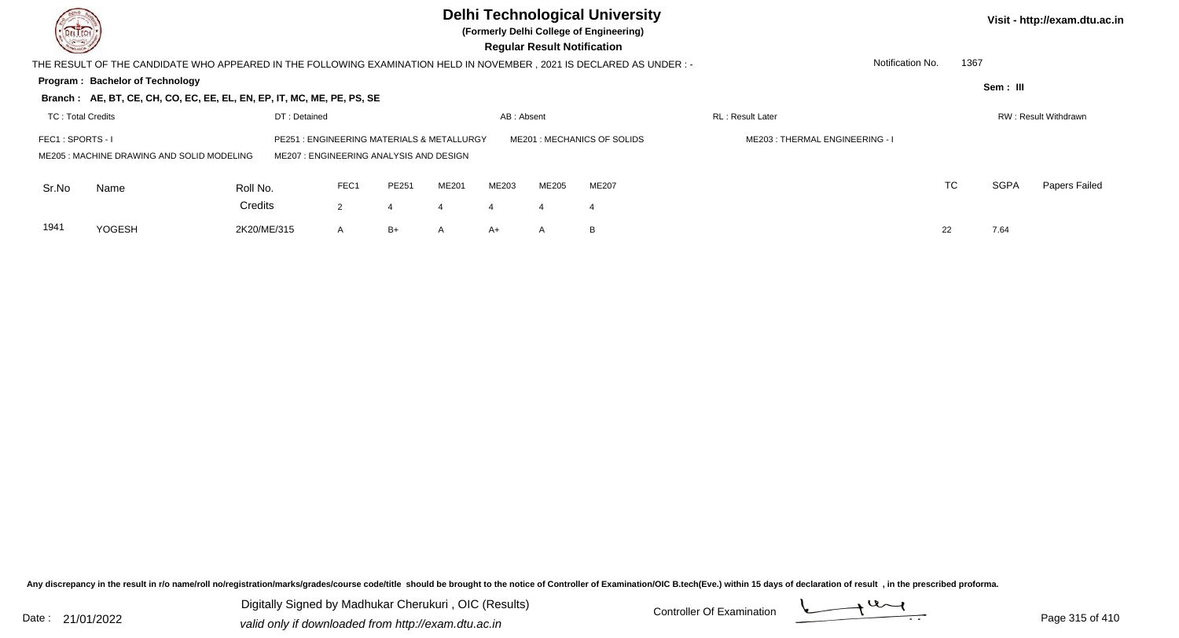| <b>Common</b>     |                                                                                                                       |              |                                                                                |       |       |            | <b>Regular Result Notification</b> | <b>Delhi Technological University</b><br>(Formerly Delhi College of Engineering) |                                |      |             | Visit - http://exam.dtu.ac.in |
|-------------------|-----------------------------------------------------------------------------------------------------------------------|--------------|--------------------------------------------------------------------------------|-------|-------|------------|------------------------------------|----------------------------------------------------------------------------------|--------------------------------|------|-------------|-------------------------------|
|                   | THE RESULT OF THE CANDIDATE WHO APPEARED IN THE FOLLOWING EXAMINATION HELD IN NOVEMBER , 2021 IS DECLARED AS UNDER :- |              |                                                                                |       |       |            |                                    |                                                                                  | Notification No.               | 1367 |             |                               |
|                   | Program: Bachelor of Technology                                                                                       |              |                                                                                |       |       |            |                                    |                                                                                  |                                |      | Sem: III    |                               |
|                   | Branch: AE, BT, CE, CH, CO, EC, EE, EL, EN, EP, IT, MC, ME, PE, PS, SE                                                |              |                                                                                |       |       |            |                                    |                                                                                  |                                |      |             |                               |
| TC: Total Credits |                                                                                                                       | DT: Detained |                                                                                |       |       | AB: Absent |                                    |                                                                                  | <b>RL: Result Later</b>        |      |             | RW: Result Withdrawn          |
| FEC1: SPORTS - I  | ME205: MACHINE DRAWING AND SOLID MODELING                                                                             | PE251        | : ENGINEERING MATERIALS & METALLURGY<br>ME207: ENGINEERING ANALYSIS AND DESIGN |       |       |            |                                    | ME201: MECHANICS OF SOLIDS                                                       | ME203: THERMAL ENGINEERING - I |      |             |                               |
| Sr.No             | Name                                                                                                                  | Roll No.     | FEC1                                                                           | PE251 | ME201 | ME203      | ME205                              | ME207                                                                            |                                | TC   | <b>SGPA</b> | Papers Failed                 |
|                   |                                                                                                                       | Credits      | $\overline{2}$                                                                 | 4     |       | Δ          | 4                                  | 4                                                                                |                                |      |             |                               |
| 1941              | YOGESH                                                                                                                | 2K20/ME/315  | A                                                                              | $B+$  | A     | $A+$       | A                                  | B                                                                                |                                | 22   | 7.64        |                               |
|                   |                                                                                                                       |              |                                                                                |       |       |            |                                    |                                                                                  |                                |      |             |                               |

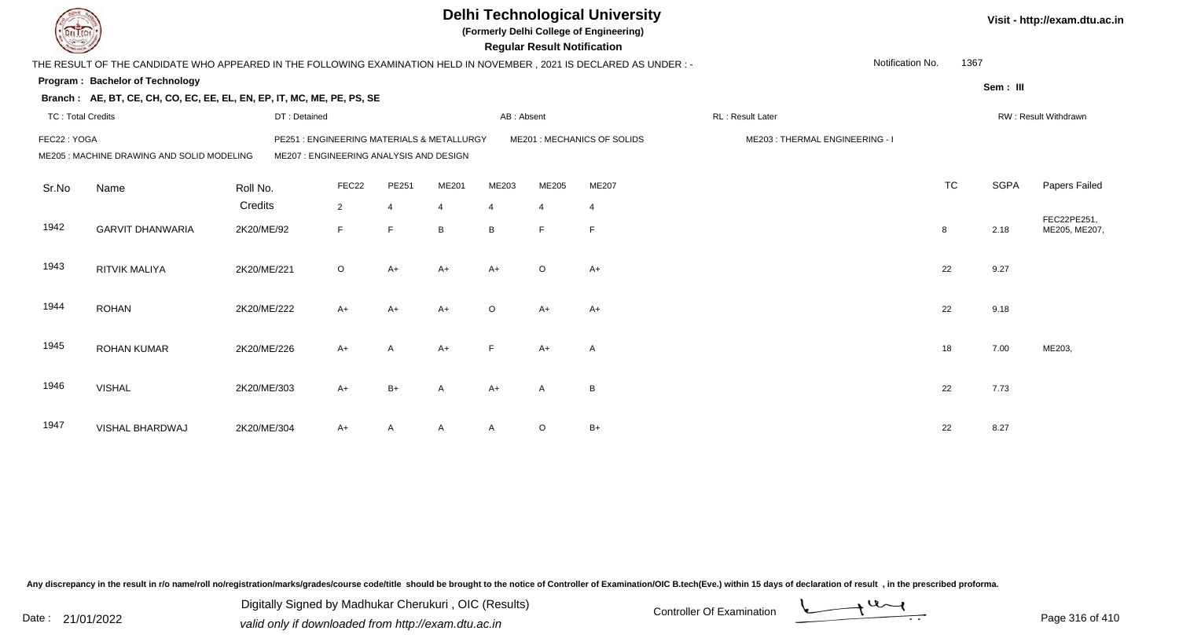|                          |                                                                                                                        |              |                                                                                       |                |                |                | <b>Regular Result Notification</b> | <b>Delhi Technological University</b><br>(Formerly Delhi College of Engineering) |                                |                  |           |             | Visit - http://exam.dtu.ac.in |
|--------------------------|------------------------------------------------------------------------------------------------------------------------|--------------|---------------------------------------------------------------------------------------|----------------|----------------|----------------|------------------------------------|----------------------------------------------------------------------------------|--------------------------------|------------------|-----------|-------------|-------------------------------|
|                          | THE RESULT OF THE CANDIDATE WHO APPEARED IN THE FOLLOWING EXAMINATION HELD IN NOVEMBER , 2021 IS DECLARED AS UNDER : - |              |                                                                                       |                |                |                |                                    |                                                                                  |                                | Notification No. | 1367      |             |                               |
|                          | Program: Bachelor of Technology                                                                                        |              |                                                                                       |                |                |                |                                    |                                                                                  |                                |                  |           | Sem: III    |                               |
|                          | Branch: AE, BT, CE, CH, CO, EC, EE, EL, EN, EP, IT, MC, ME, PE, PS, SE                                                 |              |                                                                                       |                |                |                |                                    |                                                                                  |                                |                  |           |             |                               |
| <b>TC: Total Credits</b> |                                                                                                                        | DT: Detained |                                                                                       |                |                | AB: Absent     |                                    |                                                                                  | RL: Result Later               |                  |           |             | RW: Result Withdrawn          |
| FEC22: YOGA              | ME205 : MACHINE DRAWING AND SOLID MODELING                                                                             |              | PE251 : ENGINEERING MATERIALS & METALLURGY<br>ME207 : ENGINEERING ANALYSIS AND DESIGN |                |                |                |                                    | ME201 : MECHANICS OF SOLIDS                                                      | ME203: THERMAL ENGINEERING - I |                  |           |             |                               |
| Sr.No                    | Name                                                                                                                   | Roll No.     | FEC22                                                                                 | PE251          | ME201          | ME203          | ME205                              | ME207                                                                            |                                |                  | <b>TC</b> | <b>SGPA</b> | Papers Failed                 |
|                          |                                                                                                                        | Credits      | $\overline{2}$                                                                        | $\overline{4}$ | $\overline{4}$ | $\overline{4}$ | $\overline{4}$                     | $\overline{4}$                                                                   |                                |                  |           |             |                               |
| 1942                     | <b>GARVIT DHANWARIA</b>                                                                                                | 2K20/ME/92   | F                                                                                     | E              | B              | B              | F                                  | $\mathsf{F}$                                                                     |                                |                  | 8         | 2.18        | FEC22PE251,<br>ME205, ME207,  |
| 1943                     | <b>RITVIK MALIYA</b>                                                                                                   | 2K20/ME/221  | $\circ$                                                                               | $A+$           | $A+$           | $A+$           | $\circ$                            | $A+$                                                                             |                                |                  | 22        | 9.27        |                               |
| 1944                     | <b>ROHAN</b>                                                                                                           | 2K20/ME/222  | $A+$                                                                                  | $A+$           | $A+$           | $\Omega$       | $A+$                               | $A+$                                                                             |                                |                  | 22        | 9.18        |                               |
| 1945                     | <b>ROHAN KUMAR</b>                                                                                                     | 2K20/ME/226  | $A+$                                                                                  | A              | $A+$           | F              | $A+$                               | A                                                                                |                                |                  | 18        | 7.00        | ME203,                        |
| 1946                     | <b>VISHAL</b>                                                                                                          | 2K20/ME/303  | $A+$                                                                                  | $B+$           | A              | $A+$           | $\mathsf{A}$                       | B                                                                                |                                |                  | 22        | 7.73        |                               |
| 1947                     | VISHAL BHARDWAJ                                                                                                        | 2K20/ME/304  | A+                                                                                    | A              | A              | $\mathsf{A}$   | O                                  | $B+$                                                                             |                                |                  | 22        | 8.27        |                               |

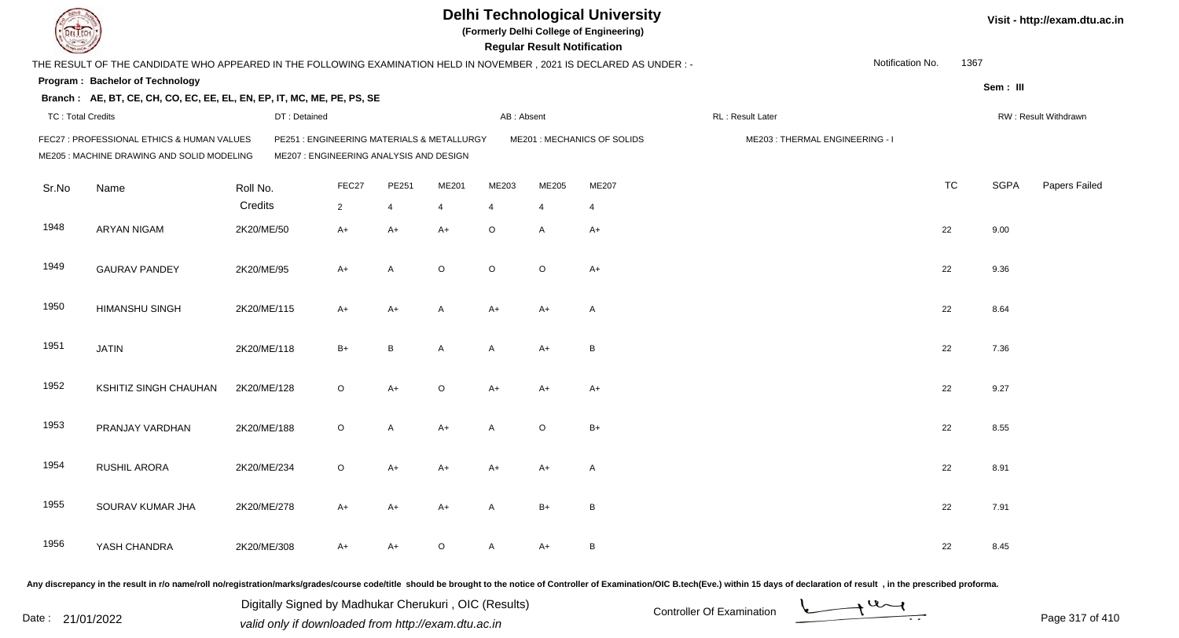| DEL ECH                  |                                                                                                                     |              |                                                                                      |       |         |                | <b>Regular Result Notification</b> | <b>Delhi Technological University</b><br>(Formerly Delhi College of Engineering) |                                                                                                                                                                                                                                |                  |           |             | Visit - http://exam.dtu.ac.in |
|--------------------------|---------------------------------------------------------------------------------------------------------------------|--------------|--------------------------------------------------------------------------------------|-------|---------|----------------|------------------------------------|----------------------------------------------------------------------------------|--------------------------------------------------------------------------------------------------------------------------------------------------------------------------------------------------------------------------------|------------------|-----------|-------------|-------------------------------|
|                          | THE RESULT OF THE CANDIDATE WHO APPEARED IN THE FOLLOWING EXAMINATION HELD IN NOVEMBER, 2021 IS DECLARED AS UNDER:- |              |                                                                                      |       |         |                |                                    |                                                                                  |                                                                                                                                                                                                                                | Notification No. | 1367      |             |                               |
|                          | Program: Bachelor of Technology                                                                                     |              |                                                                                      |       |         |                |                                    |                                                                                  |                                                                                                                                                                                                                                |                  |           | Sem: III    |                               |
|                          | Branch: AE, BT, CE, CH, CO, EC, EE, EL, EN, EP, IT, MC, ME, PE, PS, SE                                              |              |                                                                                      |       |         |                |                                    |                                                                                  |                                                                                                                                                                                                                                |                  |           |             |                               |
| <b>TC: Total Credits</b> |                                                                                                                     | DT: Detained |                                                                                      |       |         | AB: Absent     |                                    |                                                                                  | RL : Result Later                                                                                                                                                                                                              |                  |           |             | RW: Result Withdrawn          |
|                          | FEC27 : PROFESSIONAL ETHICS & HUMAN VALUES<br>ME205 : MACHINE DRAWING AND SOLID MODELING                            |              | PE251: ENGINEERING MATERIALS & METALLURGY<br>ME207 : ENGINEERING ANALYSIS AND DESIGN |       |         |                |                                    | ME201 : MECHANICS OF SOLIDS                                                      | ME203: THERMAL ENGINEERING - I                                                                                                                                                                                                 |                  |           |             |                               |
| Sr.No                    | Name                                                                                                                | Roll No.     | FEC27                                                                                | PE251 | ME201   | ME203          | ME205                              | ME207                                                                            |                                                                                                                                                                                                                                |                  | <b>TC</b> | <b>SGPA</b> | Papers Failed                 |
|                          |                                                                                                                     | Credits      | $\overline{2}$                                                                       | 4     | 4       | $\overline{4}$ |                                    | $\overline{4}$                                                                   |                                                                                                                                                                                                                                |                  |           |             |                               |
| 1948                     | <b>ARYAN NIGAM</b>                                                                                                  | 2K20/ME/50   | $A+$                                                                                 | $A+$  | $A+$    | O              | A                                  | $A+$                                                                             |                                                                                                                                                                                                                                |                  | 22        | 9.00        |                               |
| 1949                     | <b>GAURAV PANDEY</b>                                                                                                | 2K20/ME/95   | $A+$                                                                                 | A     | $\circ$ | $\circ$        | $\circ$                            | $A+$                                                                             |                                                                                                                                                                                                                                |                  | 22        | 9.36        |                               |
| 1950                     | <b>HIMANSHU SINGH</b>                                                                                               | 2K20/ME/115  | $A+$                                                                                 | $A+$  | A       | A+             | $A+$                               | $\mathsf{A}$                                                                     |                                                                                                                                                                                                                                |                  | 22        | 8.64        |                               |
| 1951                     | <b>JATIN</b>                                                                                                        | 2K20/ME/118  | $B+$                                                                                 | B     | A       | A              | $A+$                               | B                                                                                |                                                                                                                                                                                                                                |                  | 22        | 7.36        |                               |
| 1952                     | KSHITIZ SINGH CHAUHAN                                                                                               | 2K20/ME/128  | $\circ$                                                                              | $A+$  | $\circ$ | A+             | $A+$                               | $A+$                                                                             |                                                                                                                                                                                                                                |                  | 22        | 9.27        |                               |
| 1953                     | PRANJAY VARDHAN                                                                                                     | 2K20/ME/188  | $\circ$                                                                              | A     | $A+$    | A              | $\circ$                            | $B+$                                                                             |                                                                                                                                                                                                                                |                  | 22        | 8.55        |                               |
| 1954                     | RUSHIL ARORA                                                                                                        | 2K20/ME/234  | $\circ$                                                                              | $A+$  | A+      | A+             | A+                                 | A                                                                                |                                                                                                                                                                                                                                |                  | 22        | 8.91        |                               |
| 1955                     | SOURAV KUMAR JHA                                                                                                    | 2K20/ME/278  | A+                                                                                   | A+    | A+      | A              | $B+$                               | B                                                                                |                                                                                                                                                                                                                                |                  | 22        | 7.91        |                               |
| 1956                     | YASH CHANDRA                                                                                                        | 2K20/ME/308  | $A+$                                                                                 | $A+$  | O       | $\mathsf{A}$   | A+                                 | $\, {\sf B}$                                                                     |                                                                                                                                                                                                                                |                  | 22        | 8.45        |                               |
|                          |                                                                                                                     |              |                                                                                      |       |         |                |                                    |                                                                                  | Any discrepancy in the result in r/o name/roll no/registration/marks/grades/course code/title should be brought to the notice of Controller of Examination/OIC B.tech(Eve.) within 15 days of declaration of result , in the p |                  |           |             |                               |

Date : 21/01/2022 Digital Digital of Microsofted Chemical Controller Of Examination Determination Page 317 of 41 Digitally Signed by Madhukar Cherukuri , OIC (Results)

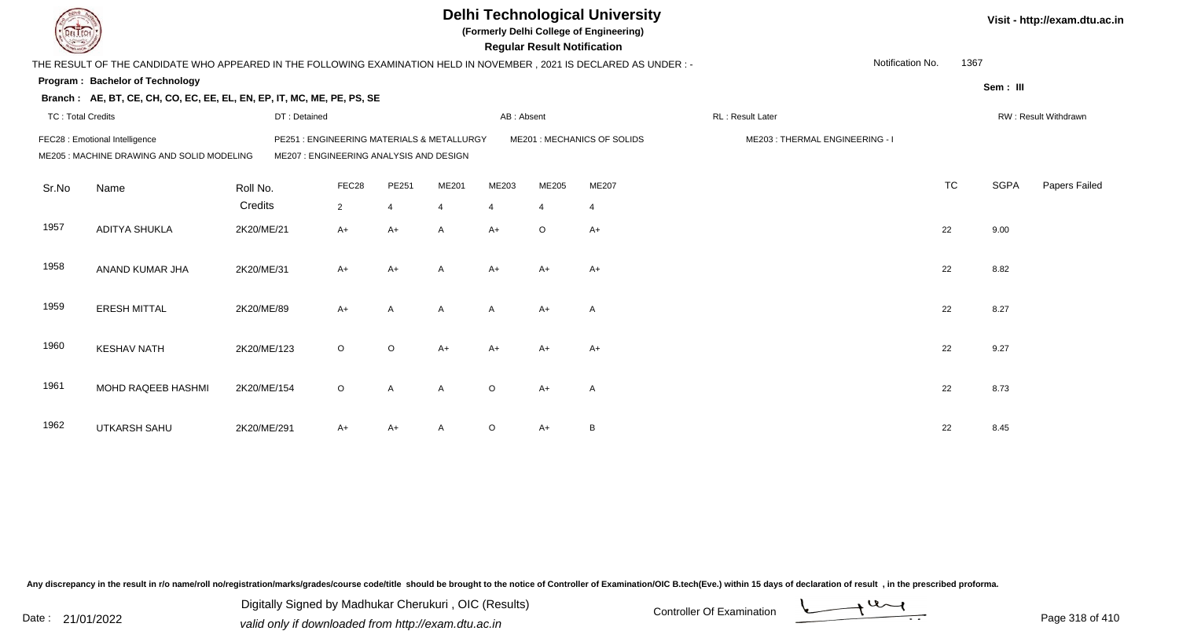|                          |                                                                                                                      |              |                                                                                      |                |                |                | <b>Regular Result Notification</b> | <b>Delhi Technological University</b><br>(Formerly Delhi College of Engineering) |                                |                  |           |             | Visit - http://exam.dtu.ac.in |
|--------------------------|----------------------------------------------------------------------------------------------------------------------|--------------|--------------------------------------------------------------------------------------|----------------|----------------|----------------|------------------------------------|----------------------------------------------------------------------------------|--------------------------------|------------------|-----------|-------------|-------------------------------|
|                          | THE RESULT OF THE CANDIDATE WHO APPEARED IN THE FOLLOWING EXAMINATION HELD IN NOVEMBER, 2021 IS DECLARED AS UNDER :- |              |                                                                                      |                |                |                |                                    |                                                                                  |                                | Notification No. | 1367      |             |                               |
|                          | <b>Program: Bachelor of Technology</b>                                                                               |              |                                                                                      |                |                |                |                                    |                                                                                  |                                |                  |           | Sem: III    |                               |
|                          | Branch: AE, BT, CE, CH, CO, EC, EE, EL, EN, EP, IT, MC, ME, PE, PS, SE                                               |              |                                                                                      |                |                |                |                                    |                                                                                  |                                |                  |           |             |                               |
| <b>TC: Total Credits</b> |                                                                                                                      | DT: Detained |                                                                                      |                |                | AB: Absent     |                                    |                                                                                  | RL : Result Later              |                  |           |             | RW: Result Withdrawn          |
|                          | FEC28 : Emotional Intelligence<br>ME205 : MACHINE DRAWING AND SOLID MODELING                                         |              | PE251: ENGINEERING MATERIALS & METALLURGY<br>ME207 : ENGINEERING ANALYSIS AND DESIGN |                |                |                |                                    | ME201 : MECHANICS OF SOLIDS                                                      | ME203: THERMAL ENGINEERING - I |                  |           |             |                               |
| Sr.No                    | Name                                                                                                                 | Roll No.     | FEC28                                                                                | PE251          | ME201          | ME203          | ME205                              | ME207                                                                            |                                |                  | <b>TC</b> | <b>SGPA</b> | Papers Failed                 |
|                          |                                                                                                                      | Credits      | $\overline{2}$                                                                       | $\overline{4}$ | $\overline{4}$ | $\overline{4}$ | $\overline{4}$                     | $\overline{4}$                                                                   |                                |                  |           |             |                               |
| 1957                     | <b>ADITYA SHUKLA</b>                                                                                                 | 2K20/ME/21   | $A+$                                                                                 | $A+$           | A              | $A+$           | $\circ$                            | $A+$                                                                             |                                |                  | 22        | 9.00        |                               |
| 1958                     | ANAND KUMAR JHA                                                                                                      | 2K20/ME/31   | $A+$                                                                                 | $A+$           | A              | $A+$           | $A+$                               | $A+$                                                                             |                                |                  | 22        | 8.82        |                               |
| 1959                     | <b>ERESH MITTAL</b>                                                                                                  | 2K20/ME/89   | $A+$                                                                                 | A              | A              | $\mathsf{A}$   | $A+$                               | A                                                                                |                                |                  | 22        | 8.27        |                               |
| 1960                     | <b>KESHAV NATH</b>                                                                                                   | 2K20/ME/123  | $\circ$                                                                              | $\circ$        | $A+$           | $A+$           | $A+$                               | $A+$                                                                             |                                |                  | 22        | 9.27        |                               |
| 1961                     | MOHD RAQEEB HASHMI                                                                                                   | 2K20/ME/154  | $\circ$                                                                              | $\overline{A}$ | A              | $\Omega$       | $A+$                               | $\overline{\mathsf{A}}$                                                          |                                |                  | 22        | 8.73        |                               |
| 1962                     | <b>UTKARSH SAHU</b>                                                                                                  | 2K20/ME/291  | A+                                                                                   | $A+$           |                | $\circ$        | $A+$                               | B                                                                                |                                |                  | 22        | 8.45        |                               |

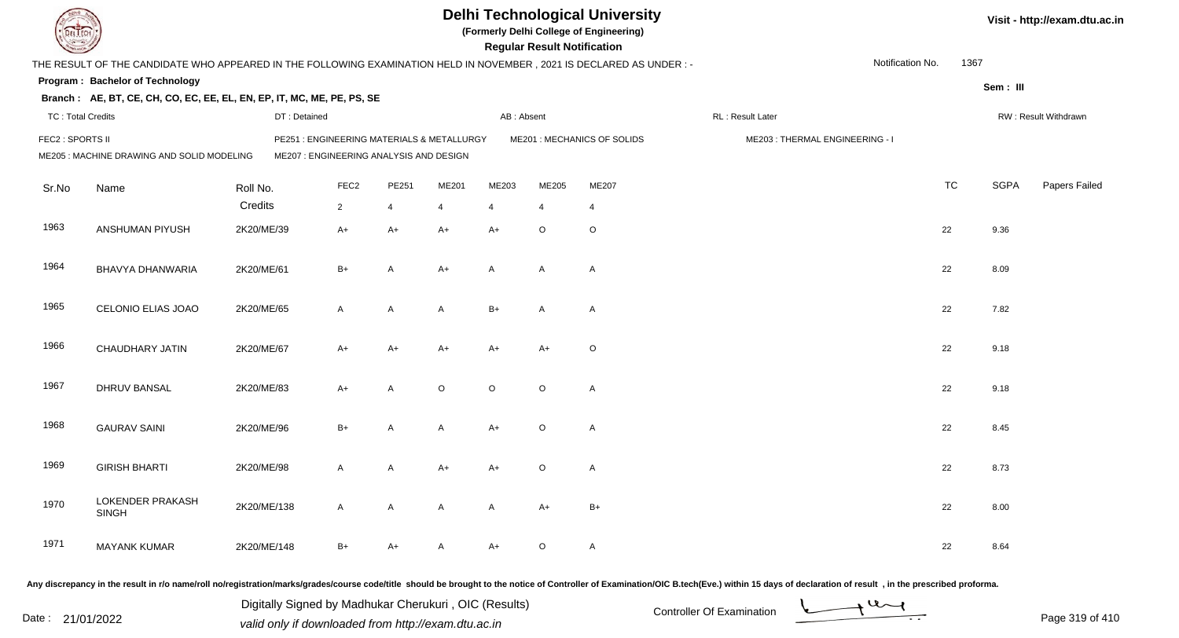|                                                                |                                                                                                                     |             |              |                  |                                         |                                            |                | <b>Regular Result Notification</b> | <b>Delhi Technological University</b><br>(Formerly Delhi College of Engineering) |                                |                  |           |             | Visit - http://exam.dtu.ac.in |
|----------------------------------------------------------------|---------------------------------------------------------------------------------------------------------------------|-------------|--------------|------------------|-----------------------------------------|--------------------------------------------|----------------|------------------------------------|----------------------------------------------------------------------------------|--------------------------------|------------------|-----------|-------------|-------------------------------|
|                                                                | THE RESULT OF THE CANDIDATE WHO APPEARED IN THE FOLLOWING EXAMINATION HELD IN NOVEMBER, 2021 IS DECLARED AS UNDER:- |             |              |                  |                                         |                                            |                |                                    |                                                                                  |                                | Notification No. | 1367      |             |                               |
|                                                                | Program: Bachelor of Technology                                                                                     |             |              |                  |                                         |                                            |                |                                    |                                                                                  |                                |                  |           | Sem: III    |                               |
|                                                                | Branch: AE, BT, CE, CH, CO, EC, EE, EL, EN, EP, IT, MC, ME, PE, PS, SE                                              |             |              |                  |                                         |                                            |                |                                    |                                                                                  |                                |                  |           |             |                               |
| <b>TC: Total Credits</b>                                       |                                                                                                                     |             | DT: Detained |                  |                                         |                                            | AB: Absent     |                                    |                                                                                  | RL: Result Later               |                  |           |             | RW: Result Withdrawn          |
| FEC2 : SPORTS II<br>ME205 : MACHINE DRAWING AND SOLID MODELING |                                                                                                                     |             |              |                  | ME207 : ENGINEERING ANALYSIS AND DESIGN | PE251 : ENGINEERING MATERIALS & METALLURGY |                |                                    | ME201 : MECHANICS OF SOLIDS                                                      | ME203: THERMAL ENGINEERING - I |                  |           |             |                               |
| Sr.No                                                          | Name                                                                                                                | Roll No.    |              | FEC <sub>2</sub> | PE251                                   | ME201                                      | ME203          | ME205                              | ME207                                                                            |                                |                  | <b>TC</b> | <b>SGPA</b> | Papers Failed                 |
|                                                                |                                                                                                                     | Credits     |              | $2^{\circ}$      | 4                                       | 4                                          | $\overline{4}$ | $\overline{4}$                     | $\overline{4}$                                                                   |                                |                  |           |             |                               |
| 1963                                                           | ANSHUMAN PIYUSH                                                                                                     | 2K20/ME/39  |              | $A+$             | $A+$                                    | $A+$                                       | $A+$           | $\circ$                            | $\circ$                                                                          |                                |                  | 22        | 9.36        |                               |
| 1964                                                           | <b>BHAVYA DHANWARIA</b>                                                                                             | 2K20/ME/61  |              | $B+$             | A                                       | $A+$                                       | A              | A                                  | A                                                                                |                                |                  | 22        | 8.09        |                               |
| 1965                                                           | CELONIO ELIAS JOAO                                                                                                  | 2K20/ME/65  |              | A                | $\overline{A}$                          | A                                          | $B+$           | A                                  | $\overline{A}$                                                                   |                                |                  | 22        | 7.82        |                               |
| 1966                                                           | CHAUDHARY JATIN                                                                                                     | 2K20/ME/67  |              | A+               | $A+$                                    | $A+$                                       | $A+$           | $A+$                               | $\circ$                                                                          |                                |                  | 22        | 9.18        |                               |
| 1967                                                           | DHRUV BANSAL                                                                                                        | 2K20/ME/83  |              | $A+$             | A                                       | $\circ$                                    | $\circ$        | $\circ$                            | $\overline{A}$                                                                   |                                |                  | 22        | 9.18        |                               |
| 1968                                                           | <b>GAURAV SAINI</b>                                                                                                 | 2K20/ME/96  |              | $B+$             | A                                       | A                                          | $A+$           | $\circ$                            | $\overline{A}$                                                                   |                                |                  | 22        | 8.45        |                               |
| 1969                                                           | <b>GIRISH BHARTI</b>                                                                                                | 2K20/ME/98  |              | A                | A                                       | A+                                         | A+             | $\circ$                            | $\mathsf{A}$                                                                     |                                |                  | 22        | 8.73        |                               |
| 1970                                                           | LOKENDER PRAKASH<br><b>SINGH</b>                                                                                    | 2K20/ME/138 |              | A                | A                                       | A                                          | A              | A+                                 | B+                                                                               |                                |                  | 22        | 8.00        |                               |
| 1971                                                           | <b>MAYANK KUMAR</b>                                                                                                 | 2K20/ME/148 |              | B+               | $A+$                                    | $\mathsf{A}$                               | $A+$           | $\circ$                            | $\mathsf{A}$                                                                     |                                |                  | 22        | 8.64        |                               |

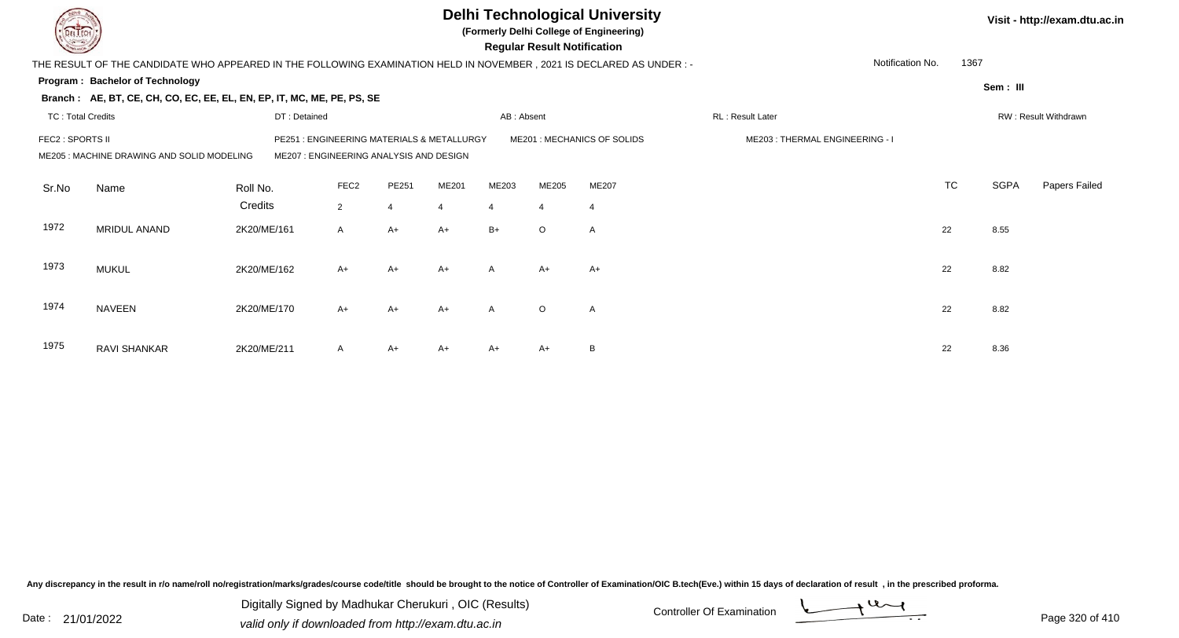|                          |                                                                                                                       |              |                                                                                |                |                |                | <b>Regular Result Notification</b> | <b>Delhi Technological University</b><br>(Formerly Delhi College of Engineering) |                                |                  | Visit - http://exam.dtu.ac.in |             |                      |
|--------------------------|-----------------------------------------------------------------------------------------------------------------------|--------------|--------------------------------------------------------------------------------|----------------|----------------|----------------|------------------------------------|----------------------------------------------------------------------------------|--------------------------------|------------------|-------------------------------|-------------|----------------------|
|                          | THE RESULT OF THE CANDIDATE WHO APPEARED IN THE FOLLOWING EXAMINATION HELD IN NOVEMBER , 2021 IS DECLARED AS UNDER :- |              |                                                                                |                |                |                |                                    |                                                                                  |                                | Notification No. | 1367                          |             |                      |
|                          | Program: Bachelor of Technology                                                                                       |              |                                                                                |                |                |                |                                    |                                                                                  |                                |                  |                               | Sem: III    |                      |
|                          | Branch: AE, BT, CE, CH, CO, EC, EE, EL, EN, EP, IT, MC, ME, PE, PS, SE                                                |              |                                                                                |                |                |                |                                    |                                                                                  |                                |                  |                               |             |                      |
| <b>TC: Total Credits</b> |                                                                                                                       | DT: Detained |                                                                                |                |                | AB: Absent     |                                    |                                                                                  | RL: Result Later               |                  |                               |             | RW: Result Withdrawn |
| FEC2 : SPORTS II         | ME205: MACHINE DRAWING AND SOLID MODELING                                                                             | PE251        | : ENGINEERING MATERIALS & METALLURGY<br>ME207: ENGINEERING ANALYSIS AND DESIGN |                |                |                |                                    | ME201 : MECHANICS OF SOLIDS                                                      | ME203: THERMAL ENGINEERING - I |                  |                               |             |                      |
| Sr.No                    | Name                                                                                                                  | Roll No.     | FEC <sub>2</sub>                                                               | PE251          | <b>ME201</b>   | ME203          | ME205                              | ME207                                                                            |                                |                  | <b>TC</b>                     | <b>SGPA</b> | Papers Failed        |
|                          |                                                                                                                       | Credits      | 2                                                                              | $\overline{4}$ | $\overline{4}$ | $\overline{4}$ | $\overline{4}$                     | $\overline{4}$                                                                   |                                |                  |                               |             |                      |
| 1972                     | MRIDUL ANAND                                                                                                          | 2K20/ME/161  | A                                                                              | $A+$           | $A+$           | $B+$           | $\circ$                            | $\overline{A}$                                                                   |                                |                  | 22                            | 8.55        |                      |
| 1973                     | <b>MUKUL</b>                                                                                                          | 2K20/ME/162  | $A+$                                                                           | $A+$           | $A+$           | $\mathsf{A}$   | $A+$                               | $A+$                                                                             |                                |                  | 22                            | 8.82        |                      |
| 1974                     | <b>NAVEEN</b>                                                                                                         | 2K20/ME/170  | $A+$                                                                           | $A+$           | $A+$           | $\mathsf{A}$   | $\circ$                            | $\mathsf{A}$                                                                     |                                |                  | 22                            | 8.82        |                      |
| 1975                     | RAVI SHANKAR                                                                                                          | 2K20/ME/211  | A                                                                              | $A+$           | $A+$           | A+             | A+                                 | B                                                                                |                                |                  | 22                            | 8.36        |                      |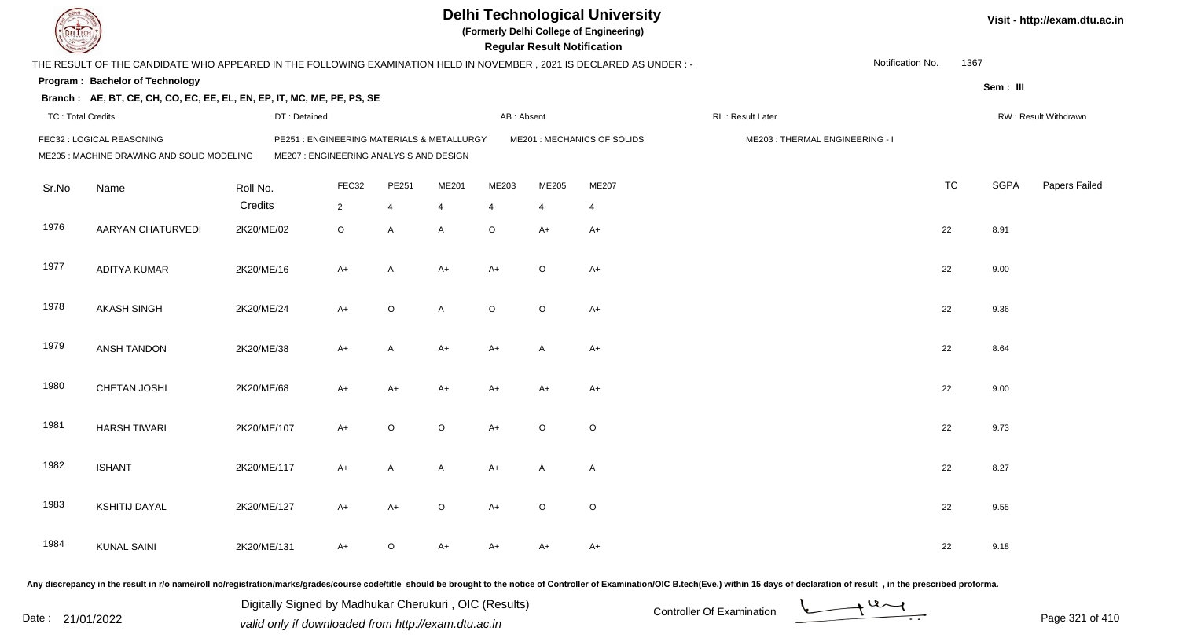| DEL ECH                                                                               |                                                                                                                     |              |                                           |                |                |                | <b>Regular Result Notification</b> | <b>Delhi Technological University</b><br>(Formerly Delhi College of Engineering) |                                                                                                                                                                                                                                |                  |           |             | Visit - http://exam.dtu.ac.in |
|---------------------------------------------------------------------------------------|---------------------------------------------------------------------------------------------------------------------|--------------|-------------------------------------------|----------------|----------------|----------------|------------------------------------|----------------------------------------------------------------------------------|--------------------------------------------------------------------------------------------------------------------------------------------------------------------------------------------------------------------------------|------------------|-----------|-------------|-------------------------------|
|                                                                                       | THE RESULT OF THE CANDIDATE WHO APPEARED IN THE FOLLOWING EXAMINATION HELD IN NOVEMBER, 2021 IS DECLARED AS UNDER:- |              |                                           |                |                |                |                                    |                                                                                  |                                                                                                                                                                                                                                | Notification No. | 1367      |             |                               |
|                                                                                       | Program: Bachelor of Technology                                                                                     |              |                                           |                |                |                |                                    |                                                                                  |                                                                                                                                                                                                                                |                  |           |             |                               |
| Sem: III<br>Branch: AE, BT, CE, CH, CO, EC, EE, EL, EN, EP, IT, MC, ME, PE, PS, SE    |                                                                                                                     |              |                                           |                |                |                |                                    |                                                                                  |                                                                                                                                                                                                                                |                  |           |             |                               |
| <b>TC: Total Credits</b>                                                              |                                                                                                                     | DT: Detained |                                           |                |                | AB: Absent     |                                    |                                                                                  | RL : Result Later                                                                                                                                                                                                              |                  |           |             | RW: Result Withdrawn          |
|                                                                                       | FEC32 : LOGICAL REASONING                                                                                           |              | PE251: ENGINEERING MATERIALS & METALLURGY |                |                |                |                                    | ME201 : MECHANICS OF SOLIDS                                                      | ME203: THERMAL ENGINEERING - I                                                                                                                                                                                                 |                  |           |             |                               |
| ME207 : ENGINEERING ANALYSIS AND DESIGN<br>ME205 : MACHINE DRAWING AND SOLID MODELING |                                                                                                                     |              |                                           |                |                |                |                                    |                                                                                  |                                                                                                                                                                                                                                |                  |           |             |                               |
| Sr.No                                                                                 | Name                                                                                                                | Roll No.     | FEC32                                     | PE251          | ME201          | ME203          | ME205                              | ME207                                                                            |                                                                                                                                                                                                                                |                  | <b>TC</b> | <b>SGPA</b> | Papers Failed                 |
|                                                                                       |                                                                                                                     | Credits      | $\overline{2}$                            | 4              | $\overline{4}$ | $\overline{4}$ |                                    | $\overline{4}$                                                                   |                                                                                                                                                                                                                                |                  |           |             |                               |
| 1976                                                                                  | AARYAN CHATURVEDI                                                                                                   | 2K20/ME/02   | $\circ$                                   | $\overline{A}$ | A              | $\circ$        | A+                                 | $A+$                                                                             |                                                                                                                                                                                                                                |                  | 22        | 8.91        |                               |
| 1977                                                                                  | <b>ADITYA KUMAR</b>                                                                                                 | 2K20/ME/16   | $A+$                                      | A              | $A+$           | $A+$           | $\circ$                            | $A+$                                                                             |                                                                                                                                                                                                                                |                  | 22        | 9.00        |                               |
| 1978                                                                                  | <b>AKASH SINGH</b>                                                                                                  | 2K20/ME/24   | $A+$                                      | $\circ$        | A              | $\circ$        | $\circ$                            | $A+$                                                                             |                                                                                                                                                                                                                                |                  | 22        | 9.36        |                               |
| 1979                                                                                  | <b>ANSH TANDON</b>                                                                                                  | 2K20/ME/38   | $A+$                                      | $\mathsf{A}$   | A+             | A+             | A                                  | A+                                                                               |                                                                                                                                                                                                                                |                  | 22        | 8.64        |                               |
| 1980                                                                                  | <b>CHETAN JOSHI</b>                                                                                                 | 2K20/ME/68   | $A+$                                      | $A+$           | $A+$           | A+             | A+                                 | $A+$                                                                             |                                                                                                                                                                                                                                |                  | 22        | 9.00        |                               |
| 1981                                                                                  | <b>HARSH TIWARI</b>                                                                                                 | 2K20/ME/107  | $A+$                                      | $\circ$        | $\circ$        | $A+$           | $\circ$                            | $\circ$                                                                          |                                                                                                                                                                                                                                |                  | 22        | 9.73        |                               |
| 1982                                                                                  | <b>ISHANT</b>                                                                                                       | 2K20/ME/117  | $A+$                                      | A              | A              | A+             | A                                  | $\mathsf{A}$                                                                     |                                                                                                                                                                                                                                |                  | 22        | 8.27        |                               |
| 1983                                                                                  | <b>KSHITIJ DAYAL</b>                                                                                                | 2K20/ME/127  | A+                                        | $A+$           | O              | A+             | $\circ$                            | $\circ$                                                                          |                                                                                                                                                                                                                                |                  | 22        | 9.55        |                               |
| 1984                                                                                  | <b>KUNAL SAINI</b>                                                                                                  | 2K20/ME/131  | $A+$                                      | $\circ$        | A+             | A+             | A+                                 | $A+$                                                                             |                                                                                                                                                                                                                                |                  | 22        | 9.18        |                               |
|                                                                                       |                                                                                                                     |              |                                           |                |                |                |                                    |                                                                                  | Any discrepancy in the result in r/o name/roll no/registration/marks/grades/course code/title should be brought to the notice of Controller of Examination/OIC B.tech(Eve.) within 15 days of declaration of result , in the p |                  |           |             |                               |

Date : 21/01/2022 Digital Digital of Microsofted Chemical Controller Of Examination Determination Page 321 of 41 Digitally Signed by Madhukar Cherukuri , OIC (Results)

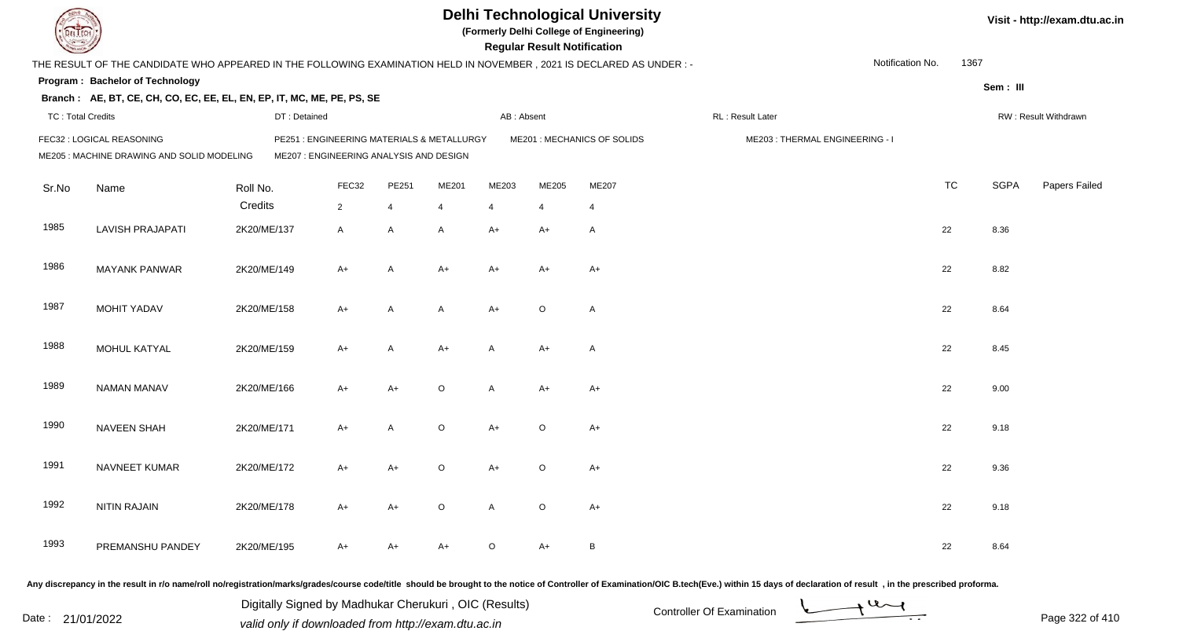|                                                                                                                                                                  |                                                                                                                     |             |              |                |                |         |                | <b>Regular Result Notification</b> | <b>Delhi Technological University</b><br>(Formerly Delhi College of Engineering) |                                |                  |           |             | Visit - http://exam.dtu.ac.in |  |
|------------------------------------------------------------------------------------------------------------------------------------------------------------------|---------------------------------------------------------------------------------------------------------------------|-------------|--------------|----------------|----------------|---------|----------------|------------------------------------|----------------------------------------------------------------------------------|--------------------------------|------------------|-----------|-------------|-------------------------------|--|
|                                                                                                                                                                  | THE RESULT OF THE CANDIDATE WHO APPEARED IN THE FOLLOWING EXAMINATION HELD IN NOVEMBER, 2021 IS DECLARED AS UNDER:- |             |              |                |                |         |                |                                    |                                                                                  |                                | Notification No. | 1367      |             |                               |  |
|                                                                                                                                                                  | <b>Program: Bachelor of Technology</b>                                                                              |             |              |                |                |         |                |                                    |                                                                                  |                                |                  |           | Sem: III    |                               |  |
|                                                                                                                                                                  | Branch: AE, BT, CE, CH, CO, EC, EE, EL, EN, EP, IT, MC, ME, PE, PS, SE                                              |             |              |                |                |         |                |                                    |                                                                                  |                                |                  |           |             |                               |  |
| <b>TC: Total Credits</b>                                                                                                                                         |                                                                                                                     |             | DT: Detained |                |                |         | AB: Absent     |                                    |                                                                                  | RL: Result Later               |                  |           |             | RW: Result Withdrawn          |  |
| FEC32 : LOGICAL REASONING<br>PE251 : ENGINEERING MATERIALS & METALLURGY<br>ME205 : MACHINE DRAWING AND SOLID MODELING<br>ME207 : ENGINEERING ANALYSIS AND DESIGN |                                                                                                                     |             |              |                |                |         |                |                                    | ME201 : MECHANICS OF SOLIDS                                                      | ME203: THERMAL ENGINEERING - I |                  |           |             |                               |  |
| Sr.No                                                                                                                                                            | Name                                                                                                                | Roll No.    |              | FEC32          | PE251          | ME201   | ME203          | ME205                              | ME207                                                                            |                                |                  | <b>TC</b> | <b>SGPA</b> | Papers Failed                 |  |
|                                                                                                                                                                  |                                                                                                                     | Credits     |              | $\overline{2}$ | $\overline{4}$ | 4       | $\overline{4}$ | $\overline{4}$                     | $\overline{4}$                                                                   |                                |                  |           |             |                               |  |
| 1985                                                                                                                                                             | <b>LAVISH PRAJAPATI</b>                                                                                             | 2K20/ME/137 |              | A              | A              | A       | $A+$           | $A+$                               | $\overline{A}$                                                                   |                                |                  | 22        | 8.36        |                               |  |
| 1986                                                                                                                                                             | <b>MAYANK PANWAR</b>                                                                                                | 2K20/ME/149 |              | A+             | A              | $A+$    | $A+$           | A+                                 | $A+$                                                                             |                                |                  | 22        | 8.82        |                               |  |
| 1987                                                                                                                                                             | MOHIT YADAV                                                                                                         | 2K20/ME/158 |              | A+             | A              | A       | $A+$           | $\circ$                            | $\overline{A}$                                                                   |                                |                  | 22        | 8.64        |                               |  |
| 1988                                                                                                                                                             | MOHUL KATYAL                                                                                                        | 2K20/ME/159 |              | $A+$           | A              | $A+$    | A              | A+                                 | $\overline{A}$                                                                   |                                |                  | 22        | 8.45        |                               |  |
| 1989                                                                                                                                                             | <b>NAMAN MANAV</b>                                                                                                  | 2K20/ME/166 |              | $A+$           | $A+$           | $\circ$ | A              | $A+$                               | $A+$                                                                             |                                |                  | 22        | 9.00        |                               |  |
| 1990                                                                                                                                                             | <b>NAVEEN SHAH</b>                                                                                                  | 2K20/ME/171 |              | $A+$           | A              | $\circ$ | $A+$           | $\circ$                            | $A+$                                                                             |                                |                  | 22        | 9.18        |                               |  |
| 1991                                                                                                                                                             | NAVNEET KUMAR                                                                                                       | 2K20/ME/172 |              | A+             | $A+$           | $\circ$ | A+             | O                                  | A+                                                                               |                                |                  | 22        | 9.36        |                               |  |
| 1992                                                                                                                                                             | <b>NITIN RAJAIN</b>                                                                                                 | 2K20/ME/178 |              | A+             | $A+$           | $\circ$ | $\mathsf{A}$   | $\circ$                            | $A+$                                                                             |                                |                  | 22        | 9.18        |                               |  |
| 1993                                                                                                                                                             | PREMANSHU PANDEY                                                                                                    | 2K20/ME/195 |              | A+             | $A+$           | A+      | $\circ$        | A+                                 | $\, {\sf B}$                                                                     |                                |                  | 22        | 8.64        |                               |  |
|                                                                                                                                                                  |                                                                                                                     |             |              |                |                |         |                |                                    |                                                                                  |                                |                  |           |             |                               |  |

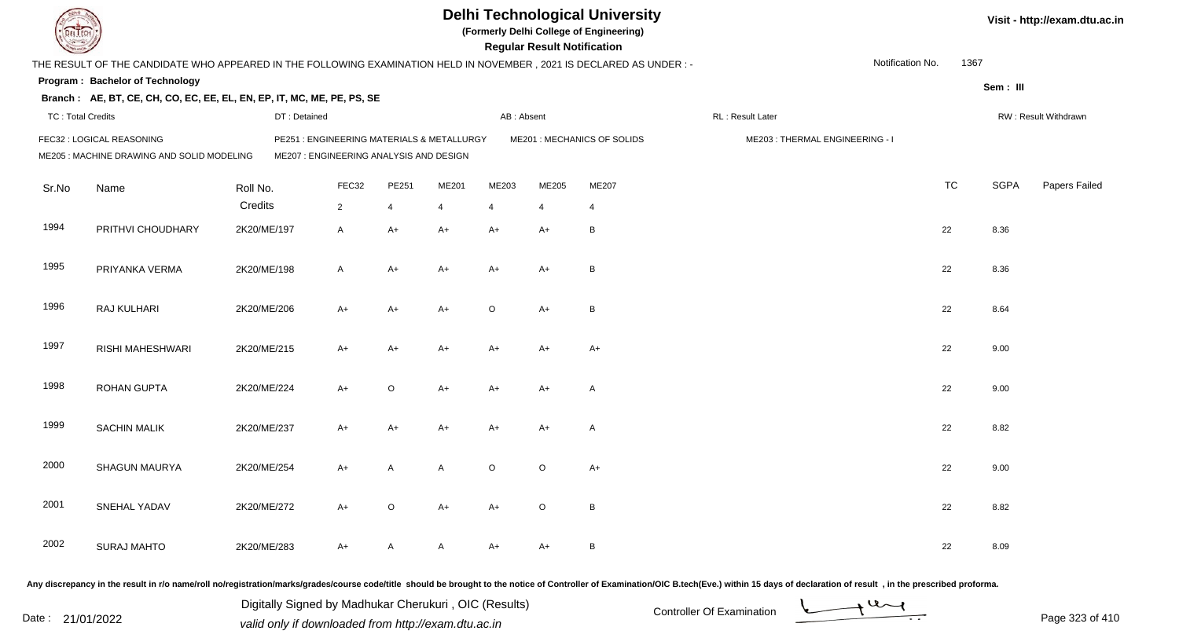| DEL ECH                                                                                                                                         |                                             |              |                                           |         |       |            | <b>Regular Result Notification</b> | <b>Delhi Technological University</b><br>(Formerly Delhi College of Engineering) |                                                                                                                                                                                                                                |  |           |             | Visit - http://exam.dtu.ac.in |
|-------------------------------------------------------------------------------------------------------------------------------------------------|---------------------------------------------|--------------|-------------------------------------------|---------|-------|------------|------------------------------------|----------------------------------------------------------------------------------|--------------------------------------------------------------------------------------------------------------------------------------------------------------------------------------------------------------------------------|--|-----------|-------------|-------------------------------|
| 1367<br>Notification No.<br>THE RESULT OF THE CANDIDATE WHO APPEARED IN THE FOLLOWING EXAMINATION HELD IN NOVEMBER, 2021 IS DECLARED AS UNDER:- |                                             |              |                                           |         |       |            |                                    |                                                                                  |                                                                                                                                                                                                                                |  |           |             |                               |
|                                                                                                                                                 | Program: Bachelor of Technology<br>Sem: III |              |                                           |         |       |            |                                    |                                                                                  |                                                                                                                                                                                                                                |  |           |             |                               |
| Branch: AE, BT, CE, CH, CO, EC, EE, EL, EN, EP, IT, MC, ME, PE, PS, SE                                                                          |                                             |              |                                           |         |       |            |                                    |                                                                                  |                                                                                                                                                                                                                                |  |           |             |                               |
| <b>TC: Total Credits</b>                                                                                                                        |                                             | DT: Detained |                                           |         |       | AB: Absent |                                    |                                                                                  | RL: Result Later                                                                                                                                                                                                               |  |           |             | RW: Result Withdrawn          |
|                                                                                                                                                 | FEC32 : LOGICAL REASONING                   |              | PE251: ENGINEERING MATERIALS & METALLURGY |         |       |            |                                    | ME201 : MECHANICS OF SOLIDS                                                      | ME203: THERMAL ENGINEERING - I                                                                                                                                                                                                 |  |           |             |                               |
|                                                                                                                                                 | ME205 : MACHINE DRAWING AND SOLID MODELING  |              | ME207 : ENGINEERING ANALYSIS AND DESIGN   |         |       |            |                                    |                                                                                  |                                                                                                                                                                                                                                |  |           |             |                               |
| Sr.No                                                                                                                                           | Name                                        | Roll No.     | FEC32                                     | PE251   | ME201 | ME203      | ME205                              | ME207                                                                            |                                                                                                                                                                                                                                |  | <b>TC</b> | <b>SGPA</b> | Papers Failed                 |
|                                                                                                                                                 |                                             | Credits      | $\overline{2}$                            | 4       | 4     | 4          |                                    | $\overline{4}$                                                                   |                                                                                                                                                                                                                                |  |           |             |                               |
| 1994                                                                                                                                            | PRITHVI CHOUDHARY                           | 2K20/ME/197  | $\mathsf{A}$                              | $A+$    | $A+$  | A+         | A+                                 | B                                                                                |                                                                                                                                                                                                                                |  | 22        | 8.36        |                               |
| 1995                                                                                                                                            | PRIYANKA VERMA                              | 2K20/ME/198  | $\mathsf{A}$                              | $A+$    | A+    | A+         | A+                                 | B                                                                                |                                                                                                                                                                                                                                |  | 22        | 8.36        |                               |
| 1996                                                                                                                                            | RAJ KULHARI                                 | 2K20/ME/206  | $A+$                                      | $A+$    | $A+$  | O          | $A+$                               | B                                                                                |                                                                                                                                                                                                                                |  | 22        | 8.64        |                               |
| 1997                                                                                                                                            | RISHI MAHESHWARI                            | 2K20/ME/215  | $A+$                                      | $A+$    | A+    | A+         | $A+$                               | A+                                                                               |                                                                                                                                                                                                                                |  | 22        | 9.00        |                               |
| 1998                                                                                                                                            | <b>ROHAN GUPTA</b>                          | 2K20/ME/224  | $A+$                                      | $\circ$ | A+    | A+         | A+                                 | Α                                                                                |                                                                                                                                                                                                                                |  | 22        | 9.00        |                               |
| 1999                                                                                                                                            | <b>SACHIN MALIK</b>                         | 2K20/ME/237  | $A+$                                      | $A+$    | A+    | A+         | A+                                 | A                                                                                |                                                                                                                                                                                                                                |  | 22        | 8.82        |                               |
| 2000                                                                                                                                            | SHAGUN MAURYA                               | 2K20/ME/254  | $A+$                                      | A       | A     | $\circ$    | $\circ$                            | A+                                                                               |                                                                                                                                                                                                                                |  | 22        | 9.00        |                               |
| 2001                                                                                                                                            | SNEHAL YADAV                                | 2K20/ME/272  | $A+$                                      | $\circ$ | A+    | A+         | $\circ$                            | $\, {\sf B}$                                                                     |                                                                                                                                                                                                                                |  | 22        | 8.82        |                               |
| 2002                                                                                                                                            | <b>SURAJ MAHTO</b>                          | 2K20/ME/283  | $A+$                                      | A       | A     | A+         | A+                                 | $\, {\sf B}$                                                                     |                                                                                                                                                                                                                                |  | 22        | 8.09        |                               |
|                                                                                                                                                 |                                             |              |                                           |         |       |            |                                    |                                                                                  | Any discrepancy in the result in r/o name/roll no/registration/marks/grades/course code/title should be brought to the notice of Controller of Examination/OIC B.tech(Eve.) within 15 days of declaration of result , in the p |  |           |             |                               |

Date : 21/01/2022 Digital Digital of Microsofted Chemical Controller Of Examination Determination Page 323 of 41 Digitally Signed by Madhukar Cherukuri , OIC (Results)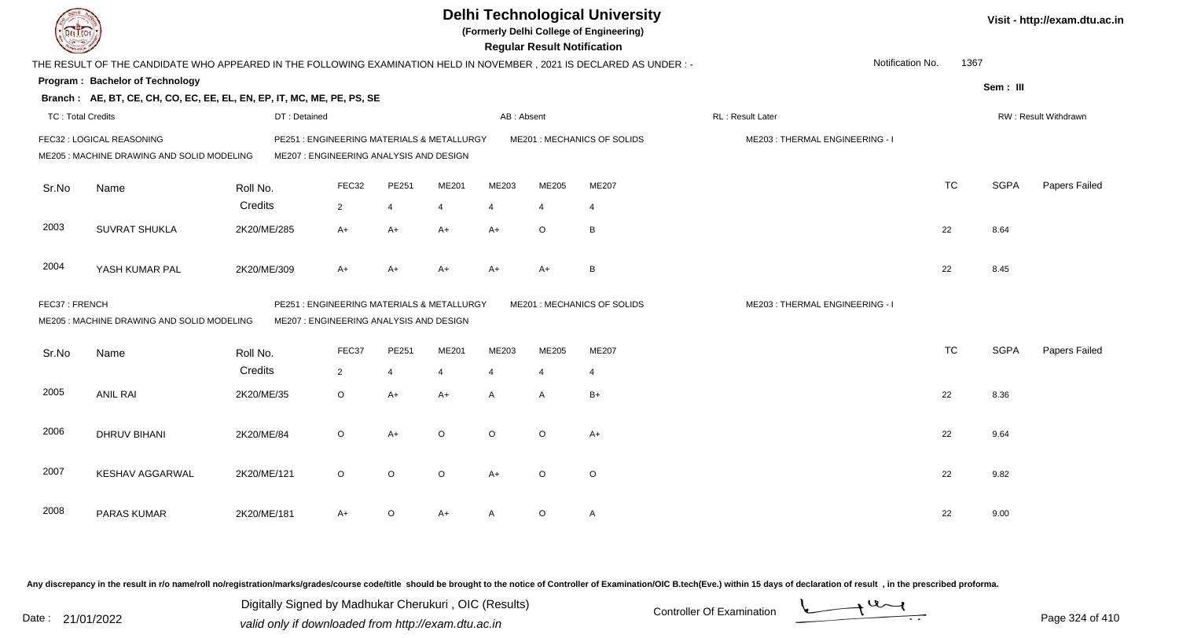| <b>DELTECH</b>                                                          |                                                                                                                     |              |                                                                                       |                |         |                | <b>Regular Result Notification</b> | <b>Delhi Technological University</b><br>(Formerly Delhi College of Engineering) |                                |           |             | Visit - http://exam.dtu.ac.in |
|-------------------------------------------------------------------------|---------------------------------------------------------------------------------------------------------------------|--------------|---------------------------------------------------------------------------------------|----------------|---------|----------------|------------------------------------|----------------------------------------------------------------------------------|--------------------------------|-----------|-------------|-------------------------------|
|                                                                         | THE RESULT OF THE CANDIDATE WHO APPEARED IN THE FOLLOWING EXAMINATION HELD IN NOVEMBER, 2021 IS DECLARED AS UNDER:- |              |                                                                                       |                |         |                |                                    |                                                                                  | Notification No.               | 1367      |             |                               |
|                                                                         | <b>Program: Bachelor of Technology</b>                                                                              |              |                                                                                       |                |         |                |                                    |                                                                                  |                                |           | Sem: III    |                               |
|                                                                         | Branch: AE, BT, CE, CH, CO, EC, EE, EL, EN, EP, IT, MC, ME, PE, PS, SE                                              |              |                                                                                       |                |         |                |                                    |                                                                                  |                                |           |             |                               |
| <b>TC: Total Credits</b>                                                |                                                                                                                     | DT: Detained |                                                                                       |                |         | AB: Absent     |                                    |                                                                                  | RL : Result Later              |           |             | RW: Result Withdrawn          |
| FEC32 : LOGICAL REASONING<br>ME205 : MACHINE DRAWING AND SOLID MODELING |                                                                                                                     |              | PE251 : ENGINEERING MATERIALS & METALLURGY<br>ME207 : ENGINEERING ANALYSIS AND DESIGN |                |         |                |                                    | ME201 : MECHANICS OF SOLIDS                                                      | ME203: THERMAL ENGINEERING - I |           |             |                               |
| Sr.No                                                                   | Name                                                                                                                | Roll No.     | FEC32                                                                                 | PE251          | ME201   | ME203          | ME205                              | ME207                                                                            |                                | <b>TC</b> | <b>SGPA</b> | Papers Failed                 |
|                                                                         |                                                                                                                     | Credits      | $\overline{2}$                                                                        | $\overline{4}$ | 4       | $\overline{4}$ | 4                                  | 4                                                                                |                                |           |             |                               |
| 2003                                                                    | <b>SUVRAT SHUKLA</b>                                                                                                | 2K20/ME/285  | $A+$                                                                                  | $A+$           | $A+$    | $A+$           | $\circ$                            | $\, {\bf B} \,$                                                                  |                                | 22        | 8.64        |                               |
| 2004                                                                    | YASH KUMAR PAL                                                                                                      | 2K20/ME/309  | $A+$                                                                                  | $A+$           | $A+$    | $A+$           | A+                                 | B                                                                                |                                | 22        | 8.45        |                               |
| FEC37: FRENCH                                                           | ME205: MACHINE DRAWING AND SOLID MODELING                                                                           |              | PE251 : ENGINEERING MATERIALS & METALLURGY<br>ME207 : ENGINEERING ANALYSIS AND DESIGN |                |         |                |                                    | ME201 : MECHANICS OF SOLIDS                                                      | ME203: THERMAL ENGINEERING - I |           |             |                               |
| Sr.No                                                                   | Name                                                                                                                | Roll No.     | FEC37                                                                                 | PE251          | ME201   | ME203          | ME205                              | <b>ME207</b>                                                                     |                                | <b>TC</b> | <b>SGPA</b> | Papers Failed                 |
|                                                                         |                                                                                                                     | Credits      | $\overline{2}$                                                                        | $\overline{4}$ | 4       | $\overline{4}$ | 4                                  | 4                                                                                |                                |           |             |                               |
| 2005                                                                    | <b>ANIL RAI</b>                                                                                                     | 2K20/ME/35   | $\circ$                                                                               | $A+$           | $A+$    | A              | A                                  | $B+$                                                                             |                                | 22        | 8.36        |                               |
| 2006                                                                    | <b>DHRUV BIHANI</b>                                                                                                 | 2K20/ME/84   | $\circ$                                                                               | $A+$           | $\circ$ | $\circ$        | $\circ$                            | $A+$                                                                             |                                | 22        | 9.64        |                               |
| 2007                                                                    | <b>KESHAV AGGARWAL</b>                                                                                              | 2K20/ME/121  | $\circ$                                                                               | $\circ$        | $\circ$ | $A+$           | $\circ$                            | $\circ$                                                                          |                                | 22        | 9.82        |                               |
| 2008                                                                    | <b>PARAS KUMAR</b>                                                                                                  | 2K20/ME/181  | A+                                                                                    | $\circ$        | A+      | A              | $\circ$                            | $\mathsf{A}$                                                                     |                                | 22        | 9.00        |                               |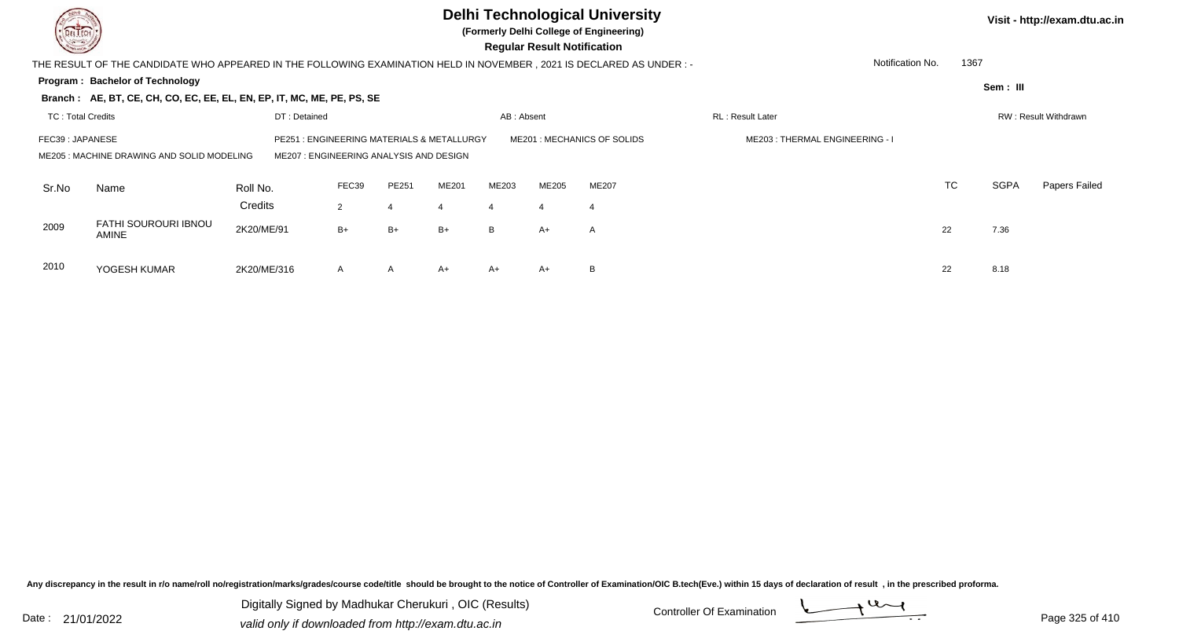| DEL TECH<br><b>COMMAND</b> |                                                                                                                                                                                                                          |                     |                         |              |       |                         | <b>Regular Result Notification</b> | <b>Delhi Technological University</b><br>(Formerly Delhi College of Engineering) |                  |                          |             | Visit - http://exam.dtu.ac.in |  |  |
|----------------------------|--------------------------------------------------------------------------------------------------------------------------------------------------------------------------------------------------------------------------|---------------------|-------------------------|--------------|-------|-------------------------|------------------------------------|----------------------------------------------------------------------------------|------------------|--------------------------|-------------|-------------------------------|--|--|
|                            | THE RESULT OF THE CANDIDATE WHO APPEARED IN THE FOLLOWING EXAMINATION HELD IN NOVEMBER , 2021 IS DECLARED AS UNDER :-                                                                                                    |                     |                         |              |       |                         |                                    |                                                                                  |                  | 1367<br>Notification No. |             |                               |  |  |
|                            | Program: Bachelor of Technology                                                                                                                                                                                          |                     |                         |              |       |                         |                                    |                                                                                  |                  |                          | Sem: III    |                               |  |  |
|                            | Branch: AE, BT, CE, CH, CO, EC, EE, EL, EN, EP, IT, MC, ME, PE, PS, SE                                                                                                                                                   |                     |                         |              |       |                         |                                    |                                                                                  |                  |                          |             |                               |  |  |
| <b>TC: Total Credits</b>   |                                                                                                                                                                                                                          | DT: Detained        |                         |              |       | AB: Absent              |                                    |                                                                                  | RL: Result Later |                          |             | RW: Result Withdrawn          |  |  |
|                            | : ENGINEERING MATERIALS & METALLURGY<br>ME201: MECHANICS OF SOLIDS<br>ME203: THERMAL ENGINEERING - I<br>FEC39: JAPANESE<br>PE251<br>ME205: MACHINE DRAWING AND SOLID MODELING<br>ME207 : ENGINEERING ANALYSIS AND DESIGN |                     |                         |              |       |                         |                                    |                                                                                  |                  |                          |             |                               |  |  |
| Sr.No                      | Name                                                                                                                                                                                                                     | Roll No.<br>Credits | FEC39<br>$\overline{2}$ | PE251        | ME201 | ME203<br>$\overline{4}$ | <b>ME205</b><br>$\overline{4}$     | <b>ME207</b><br>$\overline{4}$                                                   |                  | <b>TC</b>                | <b>SGPA</b> | Papers Failed                 |  |  |
| 2009                       | <b>FATHI SOUROURI IBNOU</b><br><b>AMINE</b>                                                                                                                                                                              | 2K20/ME/91          | $B+$                    | $B+$         | $B+$  | B                       | A+                                 | A                                                                                |                  | 22                       | 7.36        |                               |  |  |
| 2010                       | YOGESH KUMAR                                                                                                                                                                                                             | 2K20/ME/316         | A                       | $\mathsf{A}$ | $A+$  | $A+$                    | A+                                 | B                                                                                |                  | 22                       | 8.18        |                               |  |  |

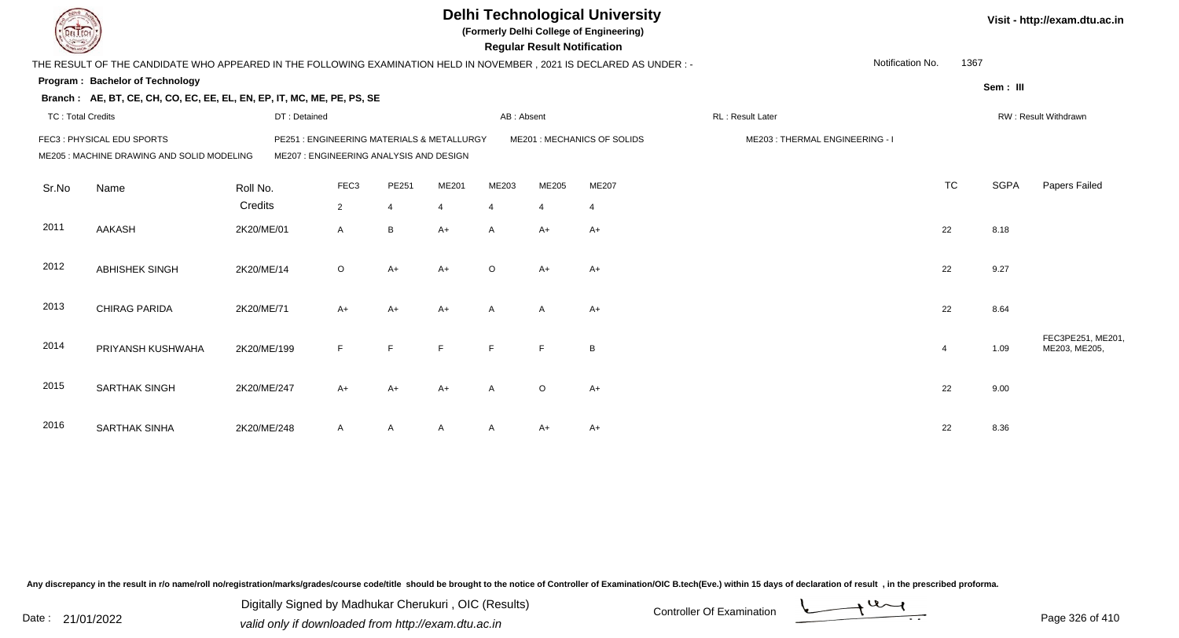|                          |                                                                                                                      |              |                                                                                       |                |       |                | <b>Regular Result Notification</b> | <b>Delhi Technological University</b><br>(Formerly Delhi College of Engineering) |                                |                  |                |             | Visit - http://exam.dtu.ac.in      |
|--------------------------|----------------------------------------------------------------------------------------------------------------------|--------------|---------------------------------------------------------------------------------------|----------------|-------|----------------|------------------------------------|----------------------------------------------------------------------------------|--------------------------------|------------------|----------------|-------------|------------------------------------|
|                          | THE RESULT OF THE CANDIDATE WHO APPEARED IN THE FOLLOWING EXAMINATION HELD IN NOVEMBER, 2021 IS DECLARED AS UNDER :- |              |                                                                                       |                |       |                |                                    |                                                                                  |                                | Notification No. | 1367           |             |                                    |
|                          | Program: Bachelor of Technology                                                                                      |              |                                                                                       |                |       |                |                                    |                                                                                  |                                |                  |                | Sem: III    |                                    |
|                          | Branch: AE, BT, CE, CH, CO, EC, EE, EL, EN, EP, IT, MC, ME, PE, PS, SE                                               |              |                                                                                       |                |       |                |                                    |                                                                                  |                                |                  |                |             |                                    |
| <b>TC: Total Credits</b> |                                                                                                                      | DT: Detained |                                                                                       |                |       | AB: Absent     |                                    |                                                                                  | RL: Result Later               |                  |                |             | RW: Result Withdrawn               |
|                          | FEC3: PHYSICAL EDU SPORTS<br>ME205 : MACHINE DRAWING AND SOLID MODELING                                              |              | PE251 : ENGINEERING MATERIALS & METALLURGY<br>ME207 : ENGINEERING ANALYSIS AND DESIGN |                |       |                |                                    | ME201 : MECHANICS OF SOLIDS                                                      | ME203: THERMAL ENGINEERING - I |                  |                |             |                                    |
| Sr.No                    | Name                                                                                                                 | Roll No.     | FEC <sub>3</sub>                                                                      | PE251          | ME201 | ME203          | ME205                              | <b>ME207</b>                                                                     |                                |                  | <b>TC</b>      | <b>SGPA</b> | Papers Failed                      |
|                          |                                                                                                                      | Credits      | $\overline{2}$                                                                        | $\overline{4}$ | 4     | $\overline{4}$ | $\overline{4}$                     | $\overline{4}$                                                                   |                                |                  |                |             |                                    |
| 2011                     | <b>AAKASH</b>                                                                                                        | 2K20/ME/01   | $\mathsf{A}$                                                                          | $\, {\sf B}$   | A+    | A              | A+                                 | $A+$                                                                             |                                |                  | 22             | 8.18        |                                    |
| 2012                     | <b>ABHISHEK SINGH</b>                                                                                                | 2K20/ME/14   | $\circ$                                                                               | $A+$           | $A+$  | $\circ$        | $A+$                               | $A+$                                                                             |                                |                  | 22             | 9.27        |                                    |
| 2013                     | CHIRAG PARIDA                                                                                                        | 2K20/ME/71   | $A+$                                                                                  | $A+$           | $A+$  | A              | $\overline{A}$                     | $A+$                                                                             |                                |                  | 22             | 8.64        |                                    |
| 2014                     | PRIYANSH KUSHWAHA                                                                                                    | 2K20/ME/199  | F                                                                                     | E              | E     | E              | F                                  | B                                                                                |                                |                  | $\overline{4}$ | 1.09        | FEC3PE251, ME201,<br>ME203, ME205, |
| 2015                     | <b>SARTHAK SINGH</b>                                                                                                 | 2K20/ME/247  | $A+$                                                                                  | $A+$           | $A+$  | A              | $\circ$                            | $A+$                                                                             |                                |                  | 22             | 9.00        |                                    |
| 2016                     | <b>SARTHAK SINHA</b>                                                                                                 | 2K20/ME/248  | A                                                                                     | A              |       | A              | A+                                 | $A+$                                                                             |                                |                  | 22             | 8.36        |                                    |

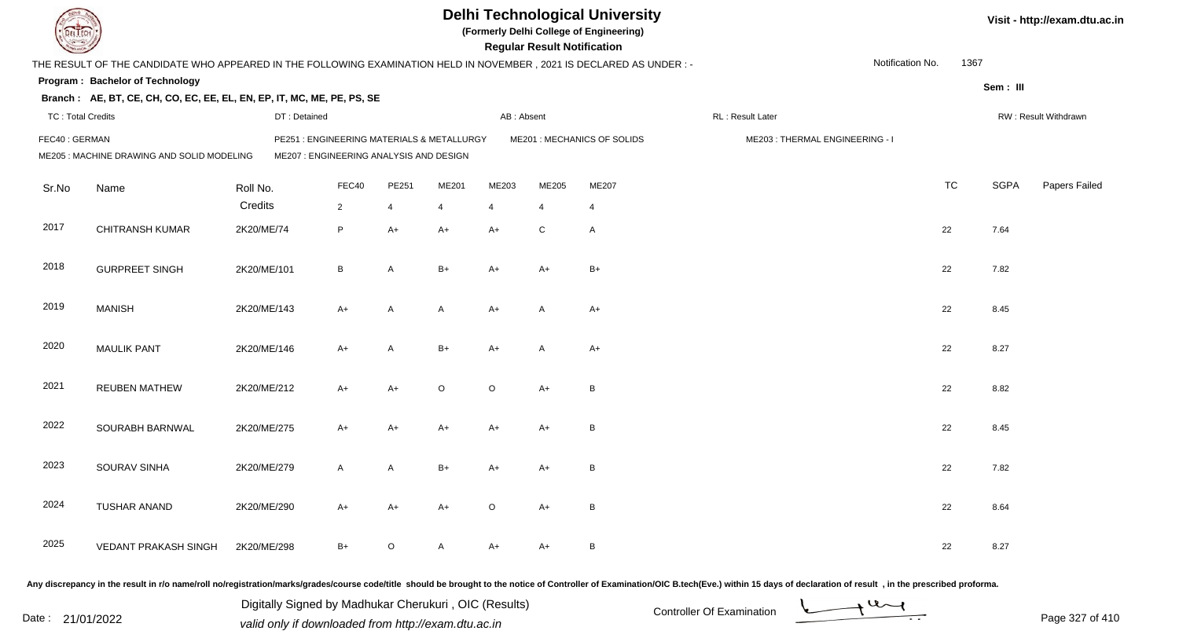|                          |                                                                                                                       |              |                                                                                       |                |         |                | <b>Regular Result Notification</b> | <b>Delhi Technological University</b><br>(Formerly Delhi College of Engineering) |                                |                  |           |             | Visit - http://exam.dtu.ac.in |
|--------------------------|-----------------------------------------------------------------------------------------------------------------------|--------------|---------------------------------------------------------------------------------------|----------------|---------|----------------|------------------------------------|----------------------------------------------------------------------------------|--------------------------------|------------------|-----------|-------------|-------------------------------|
|                          | THE RESULT OF THE CANDIDATE WHO APPEARED IN THE FOLLOWING EXAMINATION HELD IN NOVEMBER , 2021 IS DECLARED AS UNDER :- |              |                                                                                       |                |         |                |                                    |                                                                                  |                                | Notification No. | 1367      |             |                               |
|                          | Program: Bachelor of Technology                                                                                       |              |                                                                                       |                |         |                |                                    |                                                                                  |                                |                  |           | Sem: III    |                               |
|                          | Branch: AE, BT, CE, CH, CO, EC, EE, EL, EN, EP, IT, MC, ME, PE, PS, SE                                                |              |                                                                                       |                |         |                |                                    |                                                                                  |                                |                  |           |             |                               |
| <b>TC: Total Credits</b> |                                                                                                                       | DT: Detained |                                                                                       |                |         | AB: Absent     |                                    |                                                                                  | RL: Result Later               |                  |           |             | RW: Result Withdrawn          |
| FEC40: GERMAN            | ME205 : MACHINE DRAWING AND SOLID MODELING                                                                            |              | PE251 : ENGINEERING MATERIALS & METALLURGY<br>ME207 : ENGINEERING ANALYSIS AND DESIGN |                |         |                |                                    | ME201 : MECHANICS OF SOLIDS                                                      | ME203: THERMAL ENGINEERING - I |                  |           |             |                               |
| Sr.No                    | Name                                                                                                                  | Roll No.     | FEC40                                                                                 | PE251          | ME201   | ME203          | ME205                              | ME207                                                                            |                                |                  | <b>TC</b> | <b>SGPA</b> | Papers Failed                 |
|                          |                                                                                                                       | Credits      | $\overline{2}$                                                                        | $\overline{4}$ | 4       | $\overline{4}$ | $\overline{4}$                     | $\overline{4}$                                                                   |                                |                  |           |             |                               |
| 2017                     | <b>CHITRANSH KUMAR</b>                                                                                                | 2K20/ME/74   | P                                                                                     | $A+$           | $A+$    | $A+$           | $\mathsf{C}$                       | $\overline{A}$                                                                   |                                |                  | 22        | 7.64        |                               |
| 2018                     | <b>GURPREET SINGH</b>                                                                                                 | 2K20/ME/101  | B                                                                                     | $\overline{A}$ | $B+$    | $A+$           | A+                                 | $B+$                                                                             |                                |                  | 22        | 7.82        |                               |
| 2019                     | <b>MANISH</b>                                                                                                         | 2K20/ME/143  | $A+$                                                                                  | A              | A       | $A+$           | $\mathsf{A}$                       | $A+$                                                                             |                                |                  | 22        | 8.45        |                               |
| 2020                     | <b>MAULIK PANT</b>                                                                                                    | 2K20/ME/146  | A+                                                                                    | A              | $B+$    | $A+$           | A                                  | $A+$                                                                             |                                |                  | 22        | 8.27        |                               |
| 2021                     | <b>REUBEN MATHEW</b>                                                                                                  | 2K20/ME/212  | A+                                                                                    | $A+$           | $\circ$ | $\circ$        | $A+$                               | B                                                                                |                                |                  | 22        | 8.82        |                               |
| 2022                     | SOURABH BARNWAL                                                                                                       | 2K20/ME/275  | A+                                                                                    | $A+$           | $A+$    | $A+$           | $A+$                               | $\, {\bf B}$                                                                     |                                |                  | 22        | 8.45        |                               |
| 2023                     | SOURAV SINHA                                                                                                          | 2K20/ME/279  | A                                                                                     | A              | $B+$    | A+             | A+                                 | B                                                                                |                                |                  | 22        | 7.82        |                               |
| 2024                     | TUSHAR ANAND                                                                                                          | 2K20/ME/290  | A+                                                                                    | A+             | A+      | $\circ$        | A+                                 | B                                                                                |                                |                  | 22        | 8.64        |                               |
| 2025                     | VEDANT PRAKASH SINGH                                                                                                  | 2K20/ME/298  | B+                                                                                    | $\circ$        | A       | A+             | A+                                 | B                                                                                |                                |                  | 22        | 8.27        |                               |
|                          |                                                                                                                       |              |                                                                                       |                |         |                |                                    |                                                                                  |                                |                  |           |             |                               |

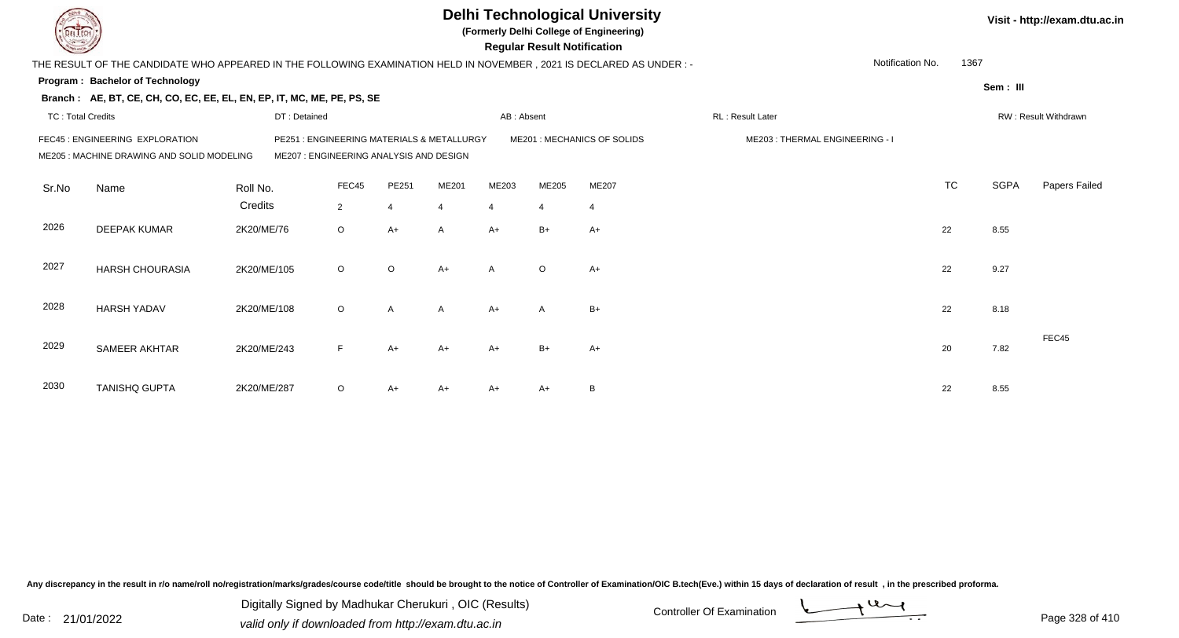|                          |                                                                                                                     |              |                                                                                 |                |              |                | <b>Regular Result Notification</b> | <b>Delhi Technological University</b><br>(Formerly Delhi College of Engineering) |                                |                  |           |             | Visit - http://exam.dtu.ac.in |
|--------------------------|---------------------------------------------------------------------------------------------------------------------|--------------|---------------------------------------------------------------------------------|----------------|--------------|----------------|------------------------------------|----------------------------------------------------------------------------------|--------------------------------|------------------|-----------|-------------|-------------------------------|
|                          | THE RESULT OF THE CANDIDATE WHO APPEARED IN THE FOLLOWING EXAMINATION HELD IN NOVEMBER, 2021 IS DECLARED AS UNDER:- |              |                                                                                 |                |              |                |                                    |                                                                                  |                                | Notification No. | 1367      |             |                               |
|                          | <b>Program: Bachelor of Technology</b>                                                                              |              |                                                                                 |                |              |                |                                    |                                                                                  |                                |                  |           | Sem: III    |                               |
|                          | Branch: AE, BT, CE, CH, CO, EC, EE, EL, EN, EP, IT, MC, ME, PE, PS, SE                                              |              |                                                                                 |                |              |                |                                    |                                                                                  |                                |                  |           |             |                               |
| <b>TC: Total Credits</b> |                                                                                                                     | DT: Detained |                                                                                 |                |              | AB: Absent     |                                    |                                                                                  | RL: Result Later               |                  |           |             | RW: Result Withdrawn          |
|                          | FEC45 : ENGINEERING EXPLORATION<br>ME205: MACHINE DRAWING AND SOLID MODELING                                        | PE251        | : ENGINEERING MATERIALS & METALLURGY<br>ME207 : ENGINEERING ANALYSIS AND DESIGN |                |              |                |                                    | ME201: MECHANICS OF SOLIDS                                                       | ME203: THERMAL ENGINEERING - I |                  |           |             |                               |
| Sr.No                    | Name                                                                                                                | Roll No.     | FEC45                                                                           | PE251          | ME201        | ME203          | ME205                              | ME207                                                                            |                                |                  | <b>TC</b> | <b>SGPA</b> | Papers Failed                 |
|                          |                                                                                                                     | Credits      | $\overline{2}$                                                                  | $\overline{4}$ | 4            | $\overline{4}$ | $\overline{4}$                     | $\overline{4}$                                                                   |                                |                  |           |             |                               |
| 2026                     | <b>DEEPAK KUMAR</b>                                                                                                 | 2K20/ME/76   | $\circ$                                                                         | $A+$           | A            | $A+$           | $B+$                               | $A+$                                                                             |                                |                  | 22        | 8.55        |                               |
| 2027                     | <b>HARSH CHOURASIA</b>                                                                                              | 2K20/ME/105  | $\circ$                                                                         | $\circ$        | $A+$         | $\mathsf{A}$   | $\circ$                            | $A+$                                                                             |                                |                  | 22        | 9.27        |                               |
| 2028                     | <b>HARSH YADAV</b>                                                                                                  | 2K20/ME/108  | $\circ$                                                                         | $\mathsf{A}$   | $\mathsf{A}$ | $A+$           | $\mathsf{A}$                       | $B+$                                                                             |                                |                  | 22        | 8.18        |                               |
| 2029                     | SAMEER AKHTAR                                                                                                       | 2K20/ME/243  | F                                                                               | $A+$           | $A+$         | $A+$           | $B+$                               | $A+$                                                                             |                                |                  | 20        | 7.82        | FEC45                         |
| 2030                     | <b>TANISHQ GUPTA</b>                                                                                                | 2K20/ME/287  | $\circ$                                                                         | A+             | A+           | A+             | A+                                 | B                                                                                |                                |                  | 22        | 8.55        |                               |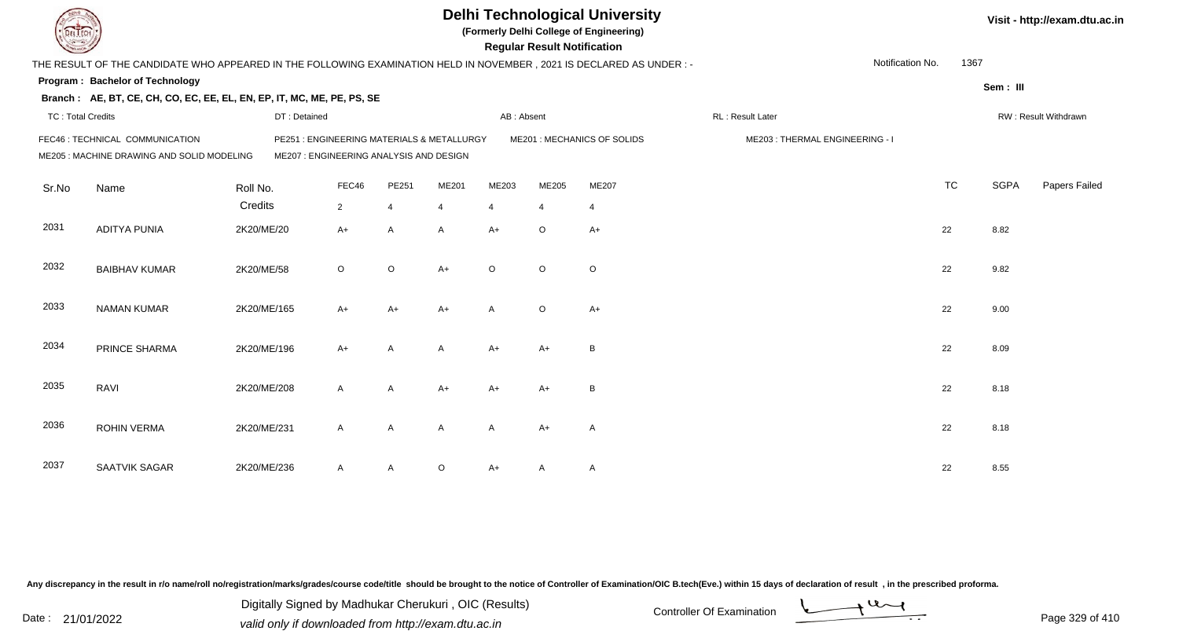| L ECH                    |                                                                                                                        |                                                                                       |                |                |              |                | <b>Regular Result Notification</b> | <b>Delhi Technological University</b><br>(Formerly Delhi College of Engineering) |                                |                  |           |             | Visit - http://exam.dtu.ac.in |
|--------------------------|------------------------------------------------------------------------------------------------------------------------|---------------------------------------------------------------------------------------|----------------|----------------|--------------|----------------|------------------------------------|----------------------------------------------------------------------------------|--------------------------------|------------------|-----------|-------------|-------------------------------|
|                          | THE RESULT OF THE CANDIDATE WHO APPEARED IN THE FOLLOWING EXAMINATION HELD IN NOVEMBER , 2021 IS DECLARED AS UNDER : - |                                                                                       |                |                |              |                |                                    |                                                                                  |                                | Notification No. | 1367      |             |                               |
|                          | Program: Bachelor of Technology                                                                                        |                                                                                       |                |                |              |                |                                    |                                                                                  |                                |                  |           |             |                               |
|                          | Branch: AE, BT, CE, CH, CO, EC, EE, EL, EN, EP, IT, MC, ME, PE, PS, SE                                                 |                                                                                       |                |                |              |                |                                    |                                                                                  |                                |                  |           | Sem: III    |                               |
| <b>TC: Total Credits</b> |                                                                                                                        | DT: Detained                                                                          |                |                |              | AB: Absent     |                                    |                                                                                  | RL: Result Later               |                  |           |             | RW: Result Withdrawn          |
|                          | FEC46 : TECHNICAL COMMUNICATION<br>ME205 : MACHINE DRAWING AND SOLID MODELING                                          | PE251 : ENGINEERING MATERIALS & METALLURGY<br>ME207 : ENGINEERING ANALYSIS AND DESIGN |                |                |              |                |                                    | ME201 : MECHANICS OF SOLIDS                                                      | ME203: THERMAL ENGINEERING - I |                  |           |             |                               |
| Sr.No                    | Name                                                                                                                   | Roll No.                                                                              | FEC46          | PE251          | ME201        | ME203          | ME205                              | ME207                                                                            |                                |                  | <b>TC</b> | <b>SGPA</b> | Papers Failed                 |
|                          |                                                                                                                        | Credits                                                                               | $\overline{2}$ | $\overline{4}$ | 4            | $\overline{4}$ | $\overline{4}$                     | $\overline{4}$                                                                   |                                |                  |           |             |                               |
| 2031                     | <b>ADITYA PUNIA</b>                                                                                                    | 2K20/ME/20                                                                            | $A+$           | A              | A            | $A+$           | $\circ$                            | $A+$                                                                             |                                |                  | 22        | 8.82        |                               |
| 2032                     | <b>BAIBHAV KUMAR</b>                                                                                                   | 2K20/ME/58                                                                            | $\circ$        | $\circ$        | $A+$         | $\circ$        | $\circ$                            | $\circ$                                                                          |                                |                  | 22        | 9.82        |                               |
| 2033                     | <b>NAMAN KUMAR</b>                                                                                                     | 2K20/ME/165                                                                           | $A+$           | $A+$           | $A+$         | $\mathsf{A}$   | $\circ$                            | $A+$                                                                             |                                |                  | 22        | 9.00        |                               |
| 2034                     | PRINCE SHARMA                                                                                                          | 2K20/ME/196                                                                           | $A+$           | $\overline{A}$ | A            | $A+$           | $A+$                               | B                                                                                |                                |                  | 22        | 8.09        |                               |
| 2035                     | RAVI                                                                                                                   | 2K20/ME/208                                                                           | $\mathsf{A}$   | A              | $A+$         | $A+$           | $A+$                               | B                                                                                |                                |                  | 22        | 8.18        |                               |
| 2036                     | <b>ROHIN VERMA</b>                                                                                                     | 2K20/ME/231                                                                           | $\mathsf{A}$   | A              | $\mathsf{A}$ | $\mathsf{A}$   | $A+$                               | $\overline{A}$                                                                   |                                |                  | 22        | 8.18        |                               |
| 2037                     | SAATVIK SAGAR                                                                                                          | 2K20/ME/236                                                                           | A              | A              | $\circ$      | $A+$           | A                                  | $\mathsf{A}$                                                                     |                                |                  | 22        | 8.55        |                               |

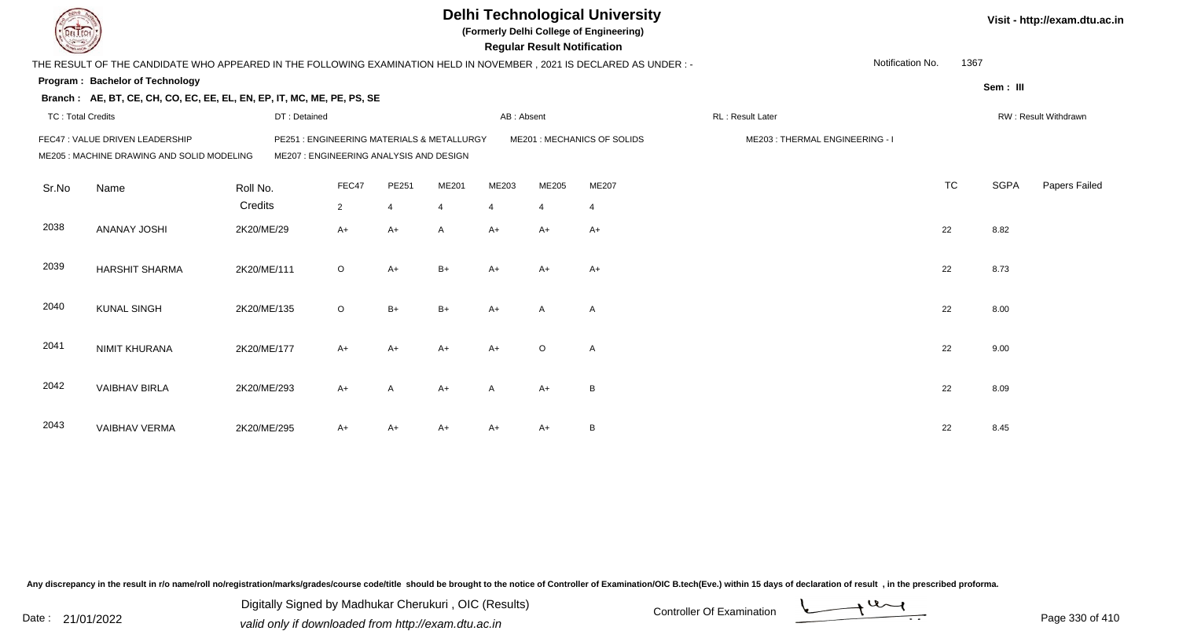|                          |                                                                                                                      |                                                                                      |                |                |       |                | <b>Regular Result Notification</b> | <b>Delhi Technological University</b><br>(Formerly Delhi College of Engineering) |                                |                  |           |             | Visit - http://exam.dtu.ac.in |
|--------------------------|----------------------------------------------------------------------------------------------------------------------|--------------------------------------------------------------------------------------|----------------|----------------|-------|----------------|------------------------------------|----------------------------------------------------------------------------------|--------------------------------|------------------|-----------|-------------|-------------------------------|
|                          | THE RESULT OF THE CANDIDATE WHO APPEARED IN THE FOLLOWING EXAMINATION HELD IN NOVEMBER, 2021 IS DECLARED AS UNDER :- |                                                                                      |                |                |       |                |                                    |                                                                                  |                                | Notification No. | 1367      |             |                               |
|                          | <b>Program: Bachelor of Technology</b>                                                                               |                                                                                      |                |                |       |                |                                    |                                                                                  |                                |                  |           | Sem: III    |                               |
|                          | Branch: AE, BT, CE, CH, CO, EC, EE, EL, EN, EP, IT, MC, ME, PE, PS, SE                                               |                                                                                      |                |                |       |                |                                    |                                                                                  |                                |                  |           |             |                               |
| <b>TC: Total Credits</b> |                                                                                                                      | DT: Detained                                                                         |                |                |       | AB: Absent     |                                    |                                                                                  | RL : Result Later              |                  |           |             | RW: Result Withdrawn          |
|                          | FEC47 : VALUE DRIVEN LEADERSHIP<br>ME205: MACHINE DRAWING AND SOLID MODELING                                         | PE251: ENGINEERING MATERIALS & METALLURGY<br>ME207 : ENGINEERING ANALYSIS AND DESIGN |                |                |       |                |                                    | ME201 : MECHANICS OF SOLIDS                                                      | ME203: THERMAL ENGINEERING - I |                  |           |             |                               |
| Sr.No                    | Name                                                                                                                 | Roll No.                                                                             | FEC47          | PE251          | ME201 | ME203          | ME205                              | ME207                                                                            |                                |                  | <b>TC</b> | <b>SGPA</b> | Papers Failed                 |
|                          |                                                                                                                      | Credits                                                                              | $\overline{2}$ | $\overline{4}$ | 4     | $\overline{4}$ | $\overline{4}$                     | $\overline{4}$                                                                   |                                |                  |           |             |                               |
| 2038                     | <b>ANANAY JOSHI</b>                                                                                                  | 2K20/ME/29                                                                           | A+             | $A+$           | A     | $A+$           | $A+$                               | $A+$                                                                             |                                |                  | 22        | 8.82        |                               |
| 2039                     | <b>HARSHIT SHARMA</b>                                                                                                | 2K20/ME/111                                                                          | $\circ$        | $A+$           | $B+$  | $A+$           | $A+$                               | $A+$                                                                             |                                |                  | 22        | 8.73        |                               |
| 2040                     | <b>KUNAL SINGH</b>                                                                                                   | 2K20/ME/135                                                                          | $\circ$        | $B+$           | $B+$  | $A+$           | $\mathsf{A}$                       | $\overline{A}$                                                                   |                                |                  | 22        | 8.00        |                               |
| 2041                     | <b>NIMIT KHURANA</b>                                                                                                 | 2K20/ME/177                                                                          | A+             | $A+$           | $A+$  | $A+$           | $\circ$                            | $\overline{A}$                                                                   |                                |                  | 22        | 9.00        |                               |
| 2042                     | <b>VAIBHAV BIRLA</b>                                                                                                 | 2K20/ME/293                                                                          | $A+$           | $\overline{A}$ | $A+$  | A              | $A+$                               | B                                                                                |                                |                  | 22        | 8.09        |                               |
| 2043                     | <b>VAIBHAV VERMA</b>                                                                                                 | 2K20/ME/295                                                                          | A+             | $A+$           | A+    | $A+$           | A+                                 | B                                                                                |                                |                  | 22        | 8.45        |                               |

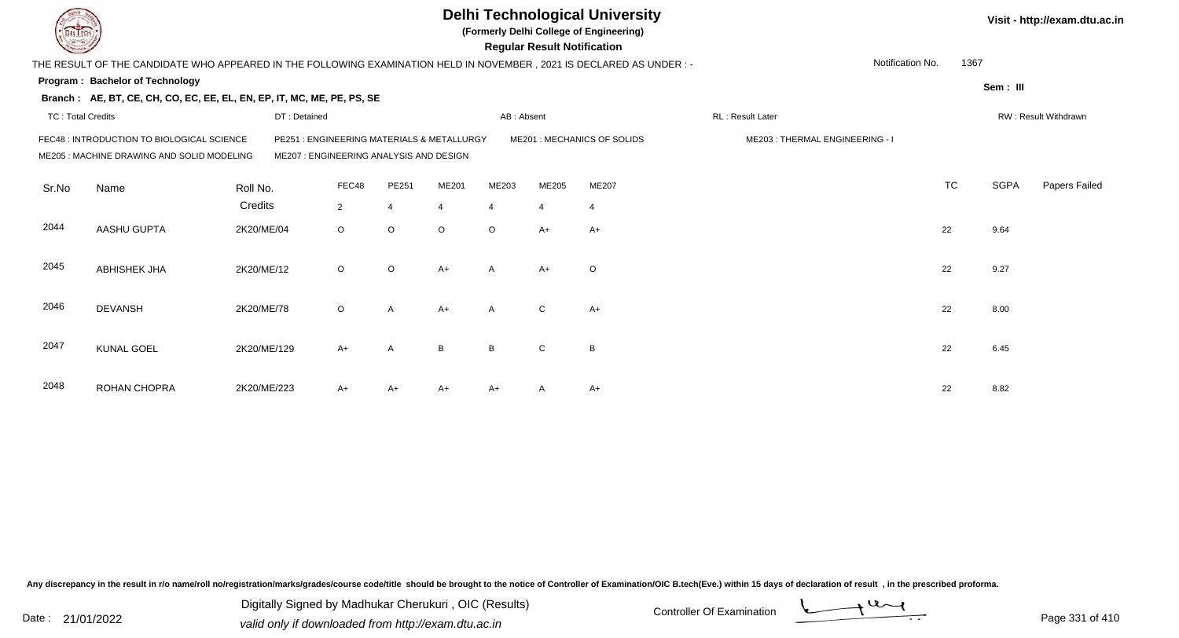|                          |                                                                                                                     |              |                                                                                      |                |         |                | <b>Regular Result Notification</b> | <b>Delhi Technological University</b><br>(Formerly Delhi College of Engineering) |                                |                  |             | Visit - http://exam.dtu.ac.in |
|--------------------------|---------------------------------------------------------------------------------------------------------------------|--------------|--------------------------------------------------------------------------------------|----------------|---------|----------------|------------------------------------|----------------------------------------------------------------------------------|--------------------------------|------------------|-------------|-------------------------------|
|                          | THE RESULT OF THE CANDIDATE WHO APPEARED IN THE FOLLOWING EXAMINATION HELD IN NOVEMBER, 2021 IS DECLARED AS UNDER:- |              |                                                                                      |                |         |                |                                    |                                                                                  |                                | Notification No. | 1367        |                               |
|                          | <b>Program: Bachelor of Technology</b>                                                                              |              |                                                                                      |                |         |                |                                    |                                                                                  |                                |                  | Sem: III    |                               |
|                          | Branch: AE, BT, CE, CH, CO, EC, EE, EL, EN, EP, IT, MC, ME, PE, PS, SE                                              |              |                                                                                      |                |         |                |                                    |                                                                                  |                                |                  |             |                               |
| <b>TC: Total Credits</b> |                                                                                                                     | DT: Detained |                                                                                      |                |         | AB: Absent     |                                    |                                                                                  | RL: Result Later               |                  |             | RW: Result Withdrawn          |
|                          | FEC48 : INTRODUCTION TO BIOLOGICAL SCIENCE<br>ME205 : MACHINE DRAWING AND SOLID MODELING                            |              | PE251: ENGINEERING MATERIALS & METALLURGY<br>ME207 : ENGINEERING ANALYSIS AND DESIGN |                |         |                |                                    | ME201: MECHANICS OF SOLIDS                                                       | ME203: THERMAL ENGINEERING - I |                  |             |                               |
| Sr.No                    | Name                                                                                                                | Roll No.     | FEC48                                                                                | PE251          | ME201   | ME203          | ME205                              | ME207                                                                            |                                | <b>TC</b>        | <b>SGPA</b> | Papers Failed                 |
|                          |                                                                                                                     | Credits      | $\overline{2}$                                                                       | $\overline{4}$ | 4       | $\overline{4}$ | $\overline{4}$                     | $\overline{4}$                                                                   |                                |                  |             |                               |
| 2044                     | AASHU GUPTA                                                                                                         | 2K20/ME/04   | $\circ$                                                                              | $\circ$        | $\circ$ | $\circ$        | $A+$                               | $A+$                                                                             |                                | 22               | 9.64        |                               |
| 2045                     | ABHISHEK JHA                                                                                                        | 2K20/ME/12   | $\circ$                                                                              | $\circ$        | $A+$    | $\mathsf{A}$   | $A+$                               | $\circ$                                                                          |                                | 22               | 9.27        |                               |
| 2046                     | <b>DEVANSH</b>                                                                                                      | 2K20/ME/78   | $\circ$                                                                              | $\mathsf{A}$   | $A+$    | $\mathsf{A}$   | ${\bf C}$                          | $A+$                                                                             |                                | 22               | 8.00        |                               |
| 2047                     | <b>KUNAL GOEL</b>                                                                                                   | 2K20/ME/129  | $A+$                                                                                 | A              | B       | B              | C                                  | B                                                                                |                                | 22               | 6.45        |                               |
| 2048                     | ROHAN CHOPRA                                                                                                        | 2K20/ME/223  | A+                                                                                   | A+             | A+      | A+             |                                    | $A+$                                                                             |                                | 22               | 8.82        |                               |

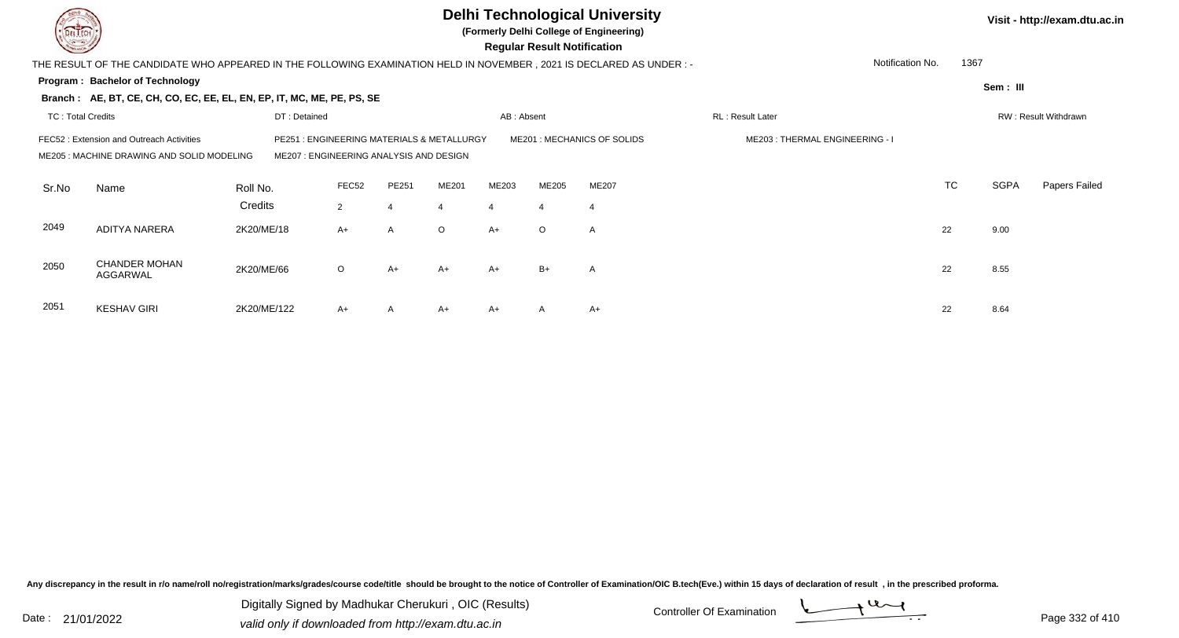|                                                                                                                                                                                                                                                     |                                                                                                                        |              |                |                  |         |                | <b>Regular Result Notification</b> | <b>Delhi Technological University</b><br>(Formerly Delhi College of Engineering) |                  |           |             | Visit - http://exam.dtu.ac.in |
|-----------------------------------------------------------------------------------------------------------------------------------------------------------------------------------------------------------------------------------------------------|------------------------------------------------------------------------------------------------------------------------|--------------|----------------|------------------|---------|----------------|------------------------------------|----------------------------------------------------------------------------------|------------------|-----------|-------------|-------------------------------|
|                                                                                                                                                                                                                                                     | THE RESULT OF THE CANDIDATE WHO APPEARED IN THE FOLLOWING EXAMINATION HELD IN NOVEMBER , 2021 IS DECLARED AS UNDER : - |              |                |                  |         |                |                                    |                                                                                  | Notification No. | 1367      |             |                               |
|                                                                                                                                                                                                                                                     | Program: Bachelor of Technology                                                                                        |              |                |                  |         |                |                                    |                                                                                  |                  |           | Sem: III    |                               |
|                                                                                                                                                                                                                                                     | Branch: AE, BT, CE, CH, CO, EC, EE, EL, EN, EP, IT, MC, ME, PE, PS, SE                                                 |              |                |                  |         |                |                                    |                                                                                  |                  |           |             |                               |
| <b>TC: Total Credits</b>                                                                                                                                                                                                                            |                                                                                                                        | DT: Detained |                |                  |         | AB: Absent     |                                    |                                                                                  | RL: Result Later |           |             | RW: Result Withdrawn          |
| : ENGINEERING MATERIALS & METALLURGY<br>ME201 : MECHANICS OF SOLIDS<br>ME203: THERMAL ENGINEERING - I<br>FEC52: Extension and Outreach Activities<br>PE251<br>ME205 : MACHINE DRAWING AND SOLID MODELING<br>ME207 : ENGINEERING ANALYSIS AND DESIGN |                                                                                                                        |              |                |                  |         |                |                                    |                                                                                  |                  |           |             |                               |
| Sr.No                                                                                                                                                                                                                                               | Name                                                                                                                   | Roll No.     | FEC52          | PE251            | ME201   | ME203          | ME205                              | <b>ME207</b>                                                                     |                  | <b>TC</b> | <b>SGPA</b> | Papers Failed                 |
|                                                                                                                                                                                                                                                     |                                                                                                                        | Credits      | $\overline{2}$ | $\boldsymbol{4}$ | 4       | $\overline{4}$ | $\overline{4}$                     | -4                                                                               |                  |           |             |                               |
| 2049                                                                                                                                                                                                                                                | <b>ADITYA NARERA</b>                                                                                                   | 2K20/ME/18   | $A+$           | $\overline{A}$   | $\circ$ | $A+$           | $\circ$                            | $\mathsf{A}$                                                                     |                  | 22        | 9.00        |                               |
| 2050                                                                                                                                                                                                                                                | <b>CHANDER MOHAN</b><br>AGGARWAL                                                                                       | 2K20/ME/66   | $\circ$        | $A+$             | $A+$    | $A+$           | $B+$                               | $\overline{A}$                                                                   |                  | 22        | 8.55        |                               |
| 2051                                                                                                                                                                                                                                                | <b>KESHAV GIRI</b>                                                                                                     | 2K20/ME/122  | A+             | A                | A+      | $A+$           | A                                  | $A+$                                                                             |                  | 22        | 8.64        |                               |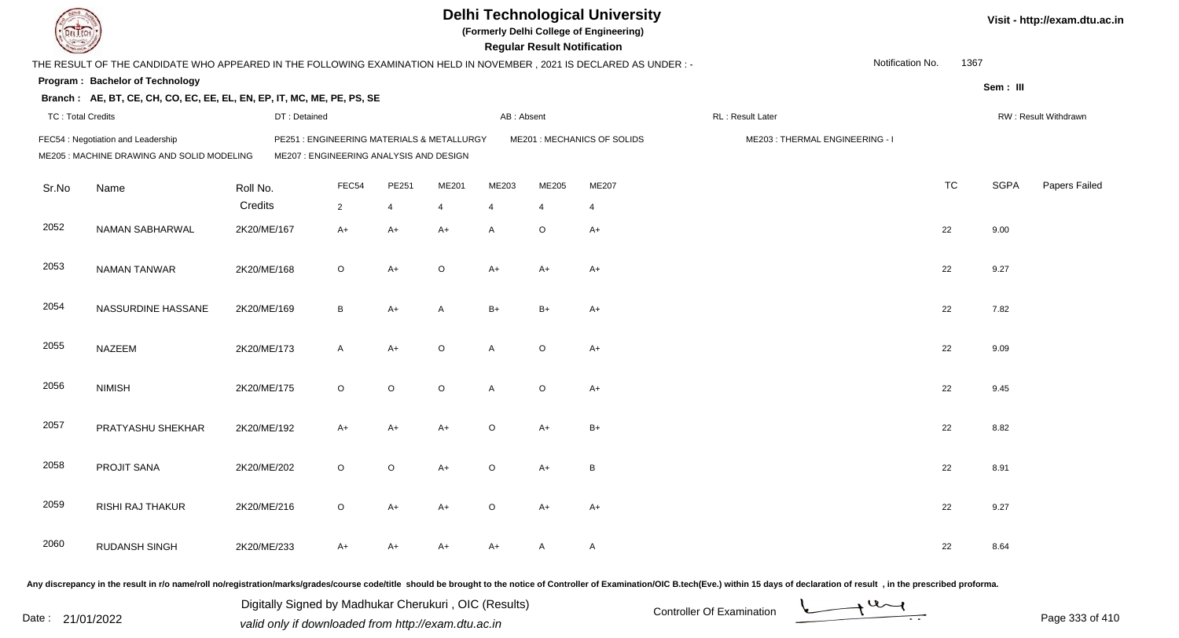|                          |                                                                                                                       |              |                                                                                       |                |              |                | <b>Regular Result Notification</b> | <b>Delhi Technological University</b><br>(Formerly Delhi College of Engineering) |                                |                  |           |             | Visit - http://exam.dtu.ac.in |
|--------------------------|-----------------------------------------------------------------------------------------------------------------------|--------------|---------------------------------------------------------------------------------------|----------------|--------------|----------------|------------------------------------|----------------------------------------------------------------------------------|--------------------------------|------------------|-----------|-------------|-------------------------------|
|                          | THE RESULT OF THE CANDIDATE WHO APPEARED IN THE FOLLOWING EXAMINATION HELD IN NOVEMBER , 2021 IS DECLARED AS UNDER :- |              |                                                                                       |                |              |                |                                    |                                                                                  |                                | Notification No. | 1367      |             |                               |
|                          | Program: Bachelor of Technology                                                                                       |              |                                                                                       |                |              |                |                                    |                                                                                  |                                |                  |           | Sem: III    |                               |
|                          | Branch: AE, BT, CE, CH, CO, EC, EE, EL, EN, EP, IT, MC, ME, PE, PS, SE                                                |              |                                                                                       |                |              |                |                                    |                                                                                  |                                |                  |           |             |                               |
| <b>TC: Total Credits</b> |                                                                                                                       | DT: Detained |                                                                                       |                |              | AB: Absent     |                                    |                                                                                  | RL: Result Later               |                  |           |             | RW: Result Withdrawn          |
|                          | FEC54 : Negotiation and Leadership<br>ME205 : MACHINE DRAWING AND SOLID MODELING                                      |              | PE251 : ENGINEERING MATERIALS & METALLURGY<br>ME207 : ENGINEERING ANALYSIS AND DESIGN |                |              |                |                                    | ME201 : MECHANICS OF SOLIDS                                                      | ME203: THERMAL ENGINEERING - I |                  |           |             |                               |
| Sr.No                    | Name                                                                                                                  | Roll No.     | FEC54                                                                                 | PE251          | ME201        | ME203          | ME205                              | ME207                                                                            |                                |                  | <b>TC</b> | <b>SGPA</b> | Papers Failed                 |
|                          |                                                                                                                       | Credits      | $\overline{2}$                                                                        | $\overline{4}$ | 4            | $\overline{4}$ | $\overline{4}$                     | $\overline{4}$                                                                   |                                |                  |           |             |                               |
| 2052                     | NAMAN SABHARWAL                                                                                                       | 2K20/ME/167  | $A+$                                                                                  | $A+$           | $A+$         | A              | $\circ$                            | $A+$                                                                             |                                |                  | 22        | 9.00        |                               |
| 2053                     | <b>NAMAN TANWAR</b>                                                                                                   | 2K20/ME/168  | $\circ$                                                                               | $A+$           | $\circ$      | $A+$           | $A+$                               | $A+$                                                                             |                                |                  | 22        | 9.27        |                               |
| 2054                     | NASSURDINE HASSANE                                                                                                    | 2K20/ME/169  | B                                                                                     | $A+$           | $\mathsf{A}$ | $B+$           | $B+$                               | $A+$                                                                             |                                |                  | 22        | 7.82        |                               |
| 2055                     | <b>NAZEEM</b>                                                                                                         | 2K20/ME/173  | $\mathsf{A}$                                                                          | $A+$           | $\circ$      | A              | $\circ$                            | $A+$                                                                             |                                |                  | 22        | 9.09        |                               |
| 2056                     | <b>NIMISH</b>                                                                                                         | 2K20/ME/175  | $\circ$                                                                               | $\circ$        | $\circ$      | A              | $\circ$                            | $A+$                                                                             |                                |                  | 22        | 9.45        |                               |
| 2057                     | PRATYASHU SHEKHAR                                                                                                     | 2K20/ME/192  | A+                                                                                    | $A+$           | $A+$         | $\circ$        | $A+$                               | $B+$                                                                             |                                |                  | 22        | 8.82        |                               |
| 2058                     | PROJIT SANA                                                                                                           | 2K20/ME/202  | $\circ$                                                                               | $\circ$        | A+           | $\circ$        | A+                                 | B                                                                                |                                |                  | 22        | 8.91        |                               |
| 2059                     | RISHI RAJ THAKUR                                                                                                      | 2K20/ME/216  | $\circ$                                                                               | $A+$           | A+           | $\circ$        | A+                                 | $A+$                                                                             |                                |                  | 22        | 9.27        |                               |
| 2060                     | RUDANSH SINGH                                                                                                         | 2K20/ME/233  | A+                                                                                    | $A+$           | A+           | A+             | A                                  | $\mathsf{A}$                                                                     |                                |                  | 22        | 8.64        |                               |
|                          |                                                                                                                       |              |                                                                                       |                |              |                |                                    |                                                                                  |                                |                  |           |             |                               |

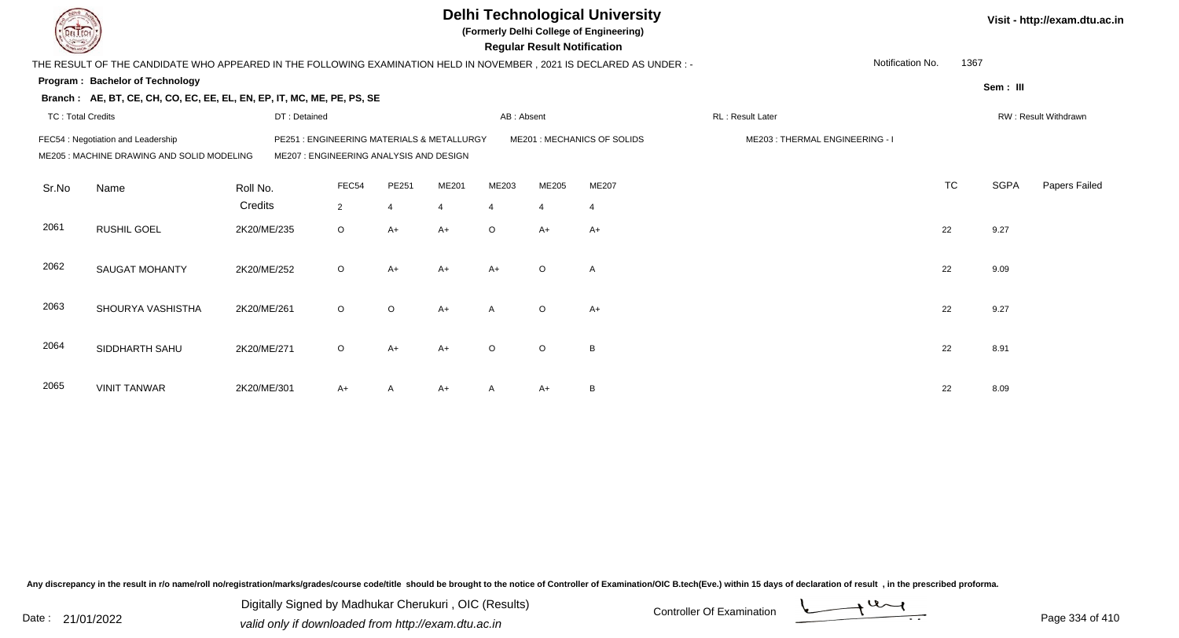|                          |                                                                                                                        |              |                                                                                 |                |                |                | <b>Regular Result Notification</b> | <b>Delhi Technological University</b><br>(Formerly Delhi College of Engineering) |                                |                  |           |             | Visit - http://exam.dtu.ac.in |
|--------------------------|------------------------------------------------------------------------------------------------------------------------|--------------|---------------------------------------------------------------------------------|----------------|----------------|----------------|------------------------------------|----------------------------------------------------------------------------------|--------------------------------|------------------|-----------|-------------|-------------------------------|
|                          | THE RESULT OF THE CANDIDATE WHO APPEARED IN THE FOLLOWING EXAMINATION HELD IN NOVEMBER , 2021 IS DECLARED AS UNDER : - |              |                                                                                 |                |                |                |                                    |                                                                                  |                                | Notification No. | 1367      |             |                               |
|                          | <b>Program: Bachelor of Technology</b>                                                                                 |              |                                                                                 |                |                |                |                                    |                                                                                  |                                |                  |           | Sem: III    |                               |
|                          | Branch: AE, BT, CE, CH, CO, EC, EE, EL, EN, EP, IT, MC, ME, PE, PS, SE                                                 |              |                                                                                 |                |                |                |                                    |                                                                                  |                                |                  |           |             |                               |
| <b>TC: Total Credits</b> |                                                                                                                        | DT: Detained |                                                                                 |                |                | AB: Absent     |                                    |                                                                                  | RL: Result Later               |                  |           |             | RW: Result Withdrawn          |
|                          | FEC54 : Negotiation and Leadership<br>ME205: MACHINE DRAWING AND SOLID MODELING                                        | PE251        | : ENGINEERING MATERIALS & METALLURGY<br>ME207 : ENGINEERING ANALYSIS AND DESIGN |                |                |                |                                    | ME201: MECHANICS OF SOLIDS                                                       | ME203: THERMAL ENGINEERING - I |                  |           |             |                               |
| Sr.No                    | Name                                                                                                                   | Roll No.     | FEC54                                                                           | PE251          | ME201          | ME203          | ME205                              | ME207                                                                            |                                |                  | <b>TC</b> | <b>SGPA</b> | Papers Failed                 |
|                          |                                                                                                                        | Credits      | $\overline{2}$                                                                  | $\overline{4}$ | $\overline{4}$ | $\overline{4}$ | $\overline{4}$                     | $\overline{4}$                                                                   |                                |                  |           |             |                               |
| 2061                     | <b>RUSHIL GOEL</b>                                                                                                     | 2K20/ME/235  | $\circ$                                                                         | $A+$           | $A+$           | $\circ$        | $A+$                               | $A+$                                                                             |                                |                  | 22        | 9.27        |                               |
| 2062                     | <b>SAUGAT MOHANTY</b>                                                                                                  | 2K20/ME/252  | $\circ$                                                                         | $A+$           | $A+$           | $A+$           | $\circ$                            | $\overline{A}$                                                                   |                                |                  | 22        | 9.09        |                               |
| 2063                     | SHOURYA VASHISTHA                                                                                                      | 2K20/ME/261  | $\circ$                                                                         | $\circ$        | $A+$           | $\mathsf{A}$   | $\circ$                            | $A+$                                                                             |                                |                  | 22        | 9.27        |                               |
| 2064                     | SIDDHARTH SAHU                                                                                                         | 2K20/ME/271  | $\circ$                                                                         | $A+$           | $A+$           | $\Omega$       | $\circ$                            | B                                                                                |                                |                  | 22        | 8.91        |                               |
| 2065                     | <b>VINIT TANWAR</b>                                                                                                    | 2K20/ME/301  | A+                                                                              | A              | $A+$           |                | A+                                 | B                                                                                |                                |                  | 22        | 8.09        |                               |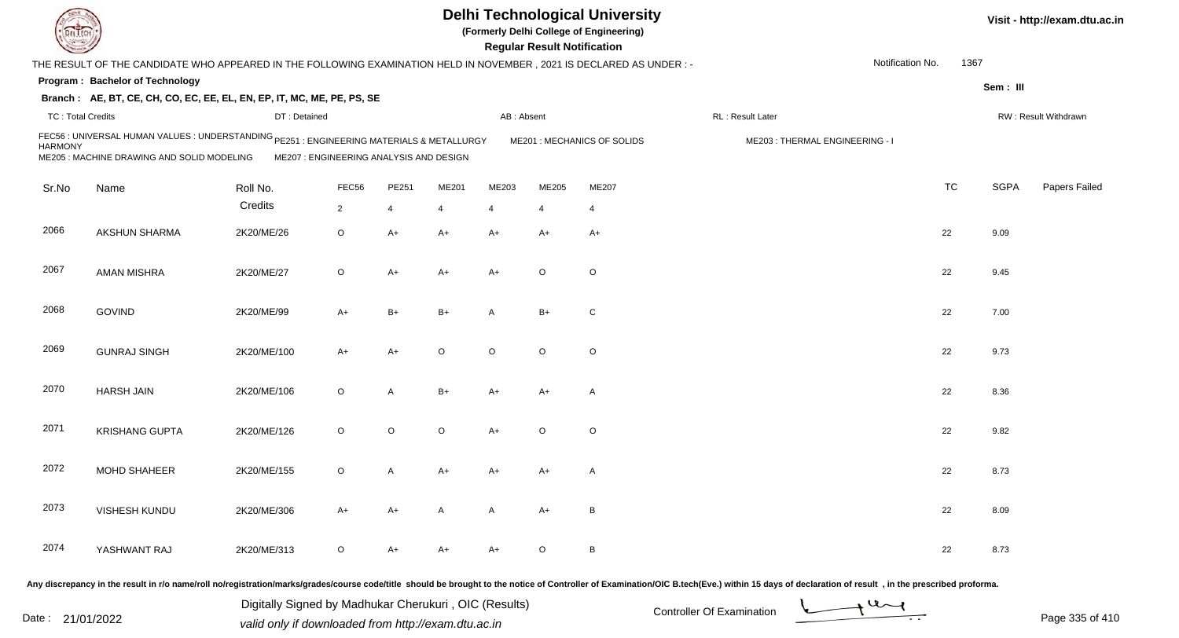|                          |                                                                                                                                         |                                         |                |       |         |              | <b>Regular Result Notification</b> | <b>Delhi Technological University</b><br>(Formerly Delhi College of Engineering) |                                |                  |           |             | Visit - http://exam.dtu.ac.in |
|--------------------------|-----------------------------------------------------------------------------------------------------------------------------------------|-----------------------------------------|----------------|-------|---------|--------------|------------------------------------|----------------------------------------------------------------------------------|--------------------------------|------------------|-----------|-------------|-------------------------------|
|                          | THE RESULT OF THE CANDIDATE WHO APPEARED IN THE FOLLOWING EXAMINATION HELD IN NOVEMBER , 2021 IS DECLARED AS UNDER : -                  |                                         |                |       |         |              |                                    |                                                                                  |                                | Notification No. | 1367      |             |                               |
|                          | Program: Bachelor of Technology<br>Branch: AE, BT, CE, CH, CO, EC, EE, EL, EN, EP, IT, MC, ME, PE, PS, SE                               |                                         |                |       |         |              |                                    |                                                                                  |                                |                  |           | Sem: III    |                               |
| <b>TC: Total Credits</b> |                                                                                                                                         | DT: Detained                            |                |       |         | AB: Absent   |                                    |                                                                                  | RL: Result Later               |                  |           |             | RW: Result Withdrawn          |
| <b>HARMONY</b>           | FEC56 : UNIVERSAL HUMAN VALUES : UNDERSTANDING PE251 : ENGINEERING MATERIALS & METALLURGY<br>ME205 : MACHINE DRAWING AND SOLID MODELING | ME207 : ENGINEERING ANALYSIS AND DESIGN |                |       |         |              |                                    | ME201 : MECHANICS OF SOLIDS                                                      | ME203: THERMAL ENGINEERING - I |                  |           |             |                               |
| Sr.No                    | Name                                                                                                                                    | Roll No.                                | FEC56          | PE251 | ME201   | ME203        | ME205                              | ME207                                                                            |                                |                  | <b>TC</b> | <b>SGPA</b> | Papers Failed                 |
|                          |                                                                                                                                         | Credits                                 | $\overline{2}$ | 4     | 4       | 4            | -4                                 | -4                                                                               |                                |                  |           |             |                               |
| 2066                     | AKSHUN SHARMA                                                                                                                           | 2K20/ME/26                              | O              | A+    | A+      | $A+$         | $A+$                               | $A+$                                                                             |                                |                  | 22        | 9.09        |                               |
| 2067                     | <b>AMAN MISHRA</b>                                                                                                                      | 2K20/ME/27                              | O              | A+    | A+      | $A+$         | $\circ$                            | $\circ$                                                                          |                                |                  | 22        | 9.45        |                               |
| 2068                     | <b>GOVIND</b>                                                                                                                           | 2K20/ME/99                              | $A+$           | B+    | B+      | A            | $B+$                               | C                                                                                |                                |                  | 22        | 7.00        |                               |
| 2069                     | <b>GUNRAJ SINGH</b>                                                                                                                     | 2K20/ME/100                             | $A+$           | A+    | $\circ$ | $\circ$      | $\circ$                            | $\circ$                                                                          |                                |                  | 22        | 9.73        |                               |
| 2070                     | <b>HARSH JAIN</b>                                                                                                                       | 2K20/ME/106                             | O              | A     | $B+$    | A+           | $A+$                               | $\mathsf{A}$                                                                     |                                |                  | 22        | 8.36        |                               |
| 2071                     | <b>KRISHANG GUPTA</b>                                                                                                                   | 2K20/ME/126                             | $\circ$        | O     | $\circ$ | $A+$         | $\circ$                            | $\circ$                                                                          |                                |                  | 22        | 9.82        |                               |
| 2072                     | <b>MOHD SHAHEER</b>                                                                                                                     | 2K20/ME/155                             | O              | Α     | A+      | A+           | A+                                 | A                                                                                |                                |                  | 22        | 8.73        |                               |
| 2073                     | VISHESH KUNDU                                                                                                                           | 2K20/ME/306                             | $A+$           | A+    | A       | $\mathsf{A}$ | $A+$                               | B                                                                                |                                |                  | 22        | 8.09        |                               |
| 2074                     | YASHWANT RAJ                                                                                                                            | 2K20/ME/313                             | O              | A+    | A+      | A+           | $\circ$                            | B                                                                                |                                |                  | 22        | 8.73        |                               |
|                          |                                                                                                                                         |                                         |                |       |         |              |                                    |                                                                                  |                                |                  |           |             |                               |

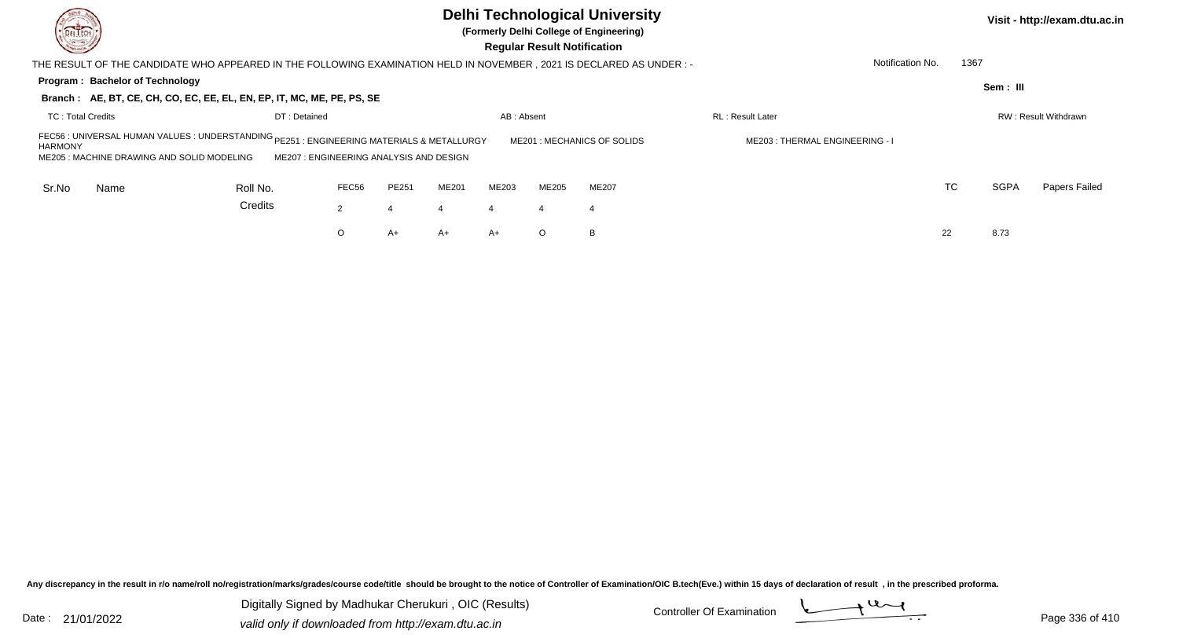| DEL TECH<br><b>Cornell</b>                                                                                           |                                                                                                                                                                                                                                                                                               |       |       |       |                | <b>Regular Result Notification</b> | <b>Delhi Technological University</b><br>(Formerly Delhi College of Engineering) |                         |                  |             | Visit - http://exam.dtu.ac.in |  |  |
|----------------------------------------------------------------------------------------------------------------------|-----------------------------------------------------------------------------------------------------------------------------------------------------------------------------------------------------------------------------------------------------------------------------------------------|-------|-------|-------|----------------|------------------------------------|----------------------------------------------------------------------------------|-------------------------|------------------|-------------|-------------------------------|--|--|
| THE RESULT OF THE CANDIDATE WHO APPEARED IN THE FOLLOWING EXAMINATION HELD IN NOVEMBER, 2021 IS DECLARED AS UNDER :- |                                                                                                                                                                                                                                                                                               |       |       |       |                |                                    |                                                                                  |                         | Notification No. | 1367        |                               |  |  |
| Program: Bachelor of Technology<br>Branch: AE, BT, CE, CH, CO, EC, EE, EL, EN, EP, IT, MC, ME, PE, PS, SE            |                                                                                                                                                                                                                                                                                               |       |       |       |                |                                    |                                                                                  |                         |                  | Sem: III    |                               |  |  |
| <b>TC: Total Credits</b>                                                                                             |                                                                                                                                                                                                                                                                                               |       |       |       |                |                                    |                                                                                  | <b>RL: Result Later</b> |                  |             | RW: Result Withdrawn          |  |  |
| <b>HARMONY</b>                                                                                                       | DT: Detained<br>AB: Absent<br>FEC56 : UNIVERSAL HUMAN VALUES : UNDERSTANDING <sub>PE251</sub><br>: ENGINEERING MATERIALS & METALLURGY<br>ME201 : MECHANICS OF SOLIDS<br>ME203: THERMAL ENGINEERING - I<br>ME205: MACHINE DRAWING AND SOLID MODELING<br>ME207: ENGINEERING ANALYSIS AND DESIGN |       |       |       |                |                                    |                                                                                  |                         |                  |             |                               |  |  |
| Sr.No<br>Name                                                                                                        | Roll No.                                                                                                                                                                                                                                                                                      | FEC56 | PE251 | ME201 | ME203          | <b>ME205</b>                       | ME207                                                                            |                         | <b>TC</b>        | <b>SGPA</b> | Papers Failed                 |  |  |
|                                                                                                                      | Credits                                                                                                                                                                                                                                                                                       | 2     |       |       | $\overline{4}$ | -4                                 | -4                                                                               |                         |                  |             |                               |  |  |
|                                                                                                                      |                                                                                                                                                                                                                                                                                               | O     | A+    | A+    | $A+$           | $\circ$                            | B                                                                                |                         | 22               | 8.73        |                               |  |  |

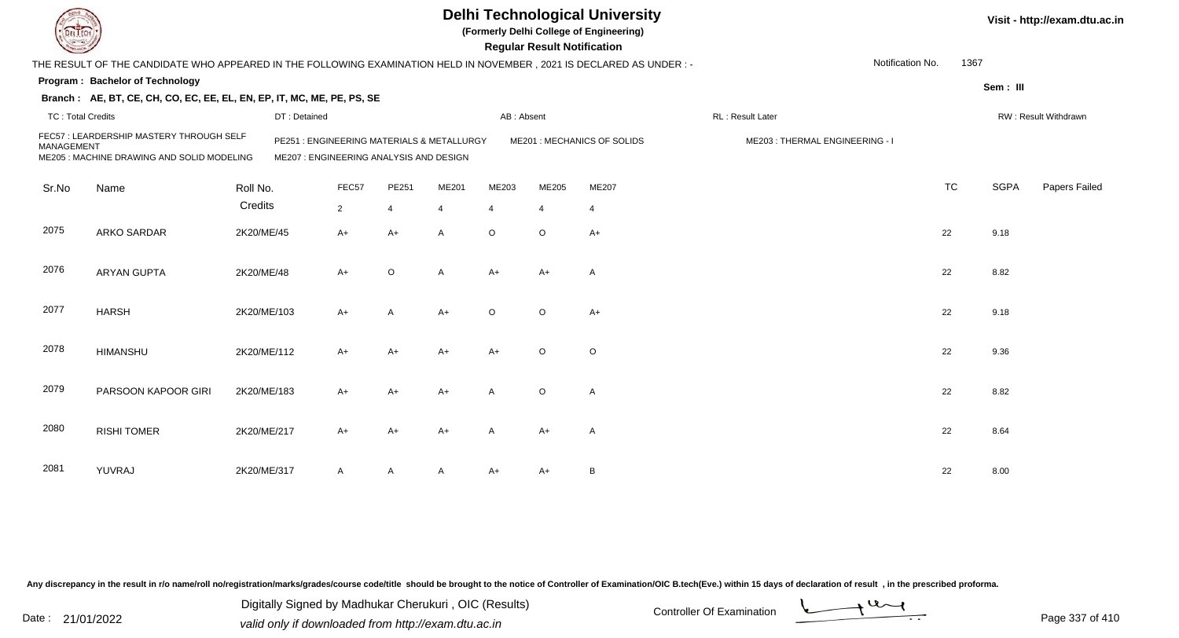| L ECH                    |                                                                                                                        |              |                                                                                       |                         |              |                |                | <b>Delhi Technological University</b><br>(Formerly Delhi College of Engineering)<br><b>Regular Result Notification</b> |                                |                  |           |             | Visit - http://exam.dtu.ac.in |
|--------------------------|------------------------------------------------------------------------------------------------------------------------|--------------|---------------------------------------------------------------------------------------|-------------------------|--------------|----------------|----------------|------------------------------------------------------------------------------------------------------------------------|--------------------------------|------------------|-----------|-------------|-------------------------------|
|                          | THE RESULT OF THE CANDIDATE WHO APPEARED IN THE FOLLOWING EXAMINATION HELD IN NOVEMBER , 2021 IS DECLARED AS UNDER : - |              |                                                                                       |                         |              |                |                |                                                                                                                        |                                | Notification No. | 1367      |             |                               |
|                          | Program: Bachelor of Technology                                                                                        |              |                                                                                       |                         |              |                |                |                                                                                                                        |                                |                  |           | Sem: III    |                               |
|                          | Branch: AE, BT, CE, CH, CO, EC, EE, EL, EN, EP, IT, MC, ME, PE, PS, SE                                                 |              |                                                                                       |                         |              |                |                |                                                                                                                        |                                |                  |           |             |                               |
| <b>TC: Total Credits</b> |                                                                                                                        | DT: Detained |                                                                                       |                         |              | AB: Absent     |                |                                                                                                                        | RL : Result Later              |                  |           |             | RW: Result Withdrawn          |
| MANAGEMENT               | FEC57 : LEARDERSHIP MASTERY THROUGH SELF<br>ME205 : MACHINE DRAWING AND SOLID MODELING                                 |              | PE251 : ENGINEERING MATERIALS & METALLURGY<br>ME207 : ENGINEERING ANALYSIS AND DESIGN |                         |              |                |                | ME201 : MECHANICS OF SOLIDS                                                                                            | ME203: THERMAL ENGINEERING - I |                  |           |             |                               |
| Sr.No                    | Name                                                                                                                   | Roll No.     | FEC57                                                                                 | PE251                   | ME201        | ME203          | ME205          | ME207                                                                                                                  |                                |                  | <b>TC</b> | <b>SGPA</b> | Papers Failed                 |
|                          |                                                                                                                        | Credits      | $\overline{2}$                                                                        | $\overline{\mathbf{4}}$ |              | $\overline{4}$ | $\overline{4}$ | $\overline{4}$                                                                                                         |                                |                  |           |             |                               |
| 2075                     | <b>ARKO SARDAR</b>                                                                                                     | 2K20/ME/45   | A+                                                                                    | $A+$                    | A            | $\circ$        | $\circ$        | $A+$                                                                                                                   |                                |                  | 22        | 9.18        |                               |
| 2076                     | <b>ARYAN GUPTA</b>                                                                                                     | 2K20/ME/48   | $A+$                                                                                  | $\circ$                 | $\mathsf{A}$ | $A+$           | $A+$           | $\overline{A}$                                                                                                         |                                |                  | 22        | 8.82        |                               |
| 2077                     | <b>HARSH</b>                                                                                                           | 2K20/ME/103  | A+                                                                                    | A                       | $A+$         | $\circ$        | $\circ$        | $A+$                                                                                                                   |                                |                  | 22        | 9.18        |                               |
| 2078                     | <b>HIMANSHU</b>                                                                                                        | 2K20/ME/112  | $A+$                                                                                  | $A+$                    | $A+$         | $A+$           | $\circ$        | $\circ$                                                                                                                |                                |                  | 22        | 9.36        |                               |
| 2079                     | PARSOON KAPOOR GIRI                                                                                                    | 2K20/ME/183  | A+                                                                                    | $A+$                    | $A+$         | $\mathsf{A}$   | $\circ$        | $\overline{A}$                                                                                                         |                                |                  | 22        | 8.82        |                               |
| 2080                     | <b>RISHI TOMER</b>                                                                                                     | 2K20/ME/217  | $A+$                                                                                  | $A+$                    | $A+$         | A              | $A+$           | $\overline{A}$                                                                                                         |                                |                  | 22        | 8.64        |                               |
| 2081                     | YUVRAJ                                                                                                                 | 2K20/ME/317  | A                                                                                     | A                       | A            | $A+$           | A+             | $\, {\bf B}$                                                                                                           |                                |                  | 22        | 8.00        |                               |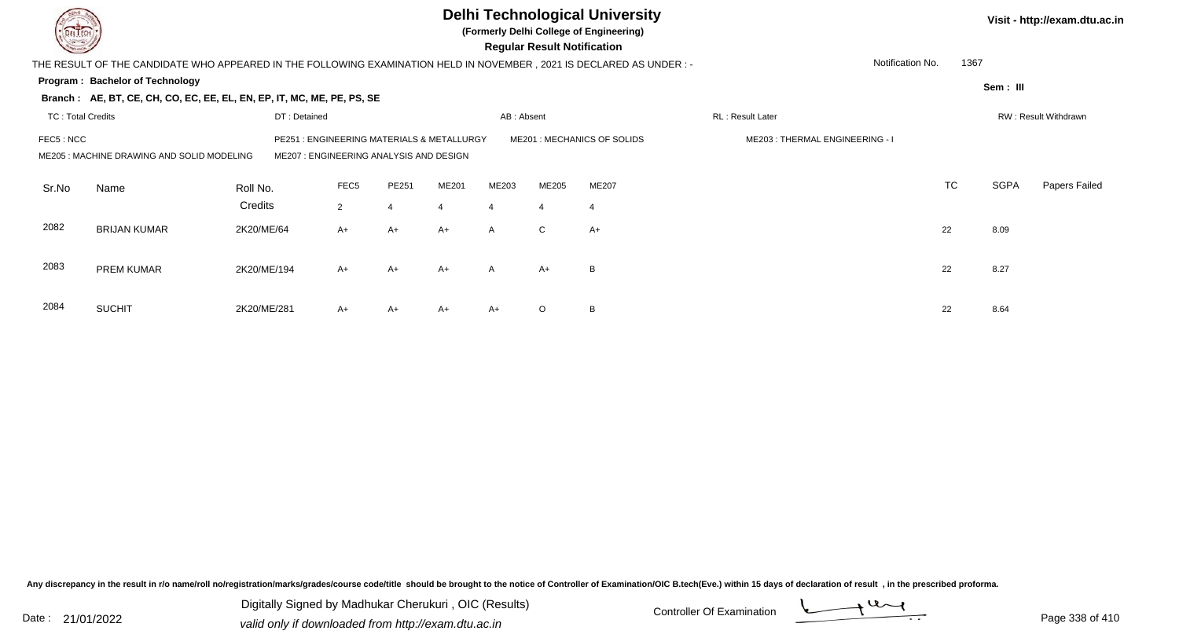|                          |                                                                                                                       |              |                  |                                                                                 |       |                         | <b>Regular Result Notification</b> | <b>Delhi Technological University</b><br>(Formerly Delhi College of Engineering) |                                |                          |             | Visit - http://exam.dtu.ac.in |
|--------------------------|-----------------------------------------------------------------------------------------------------------------------|--------------|------------------|---------------------------------------------------------------------------------|-------|-------------------------|------------------------------------|----------------------------------------------------------------------------------|--------------------------------|--------------------------|-------------|-------------------------------|
|                          | THE RESULT OF THE CANDIDATE WHO APPEARED IN THE FOLLOWING EXAMINATION HELD IN NOVEMBER , 2021 IS DECLARED AS UNDER :- |              |                  |                                                                                 |       |                         |                                    |                                                                                  |                                | Notification No.<br>1367 |             |                               |
|                          | Program: Bachelor of Technology                                                                                       |              |                  |                                                                                 |       |                         |                                    |                                                                                  |                                |                          | Sem : III   |                               |
|                          | Branch: AE, BT, CE, CH, CO, EC, EE, EL, EN, EP, IT, MC, ME, PE, PS, SE                                                |              |                  |                                                                                 |       |                         |                                    |                                                                                  |                                |                          |             |                               |
| <b>TC: Total Credits</b> |                                                                                                                       | DT: Detained |                  | <b>RL: Result Later</b>                                                         |       |                         | RW: Result Withdrawn               |                                                                                  |                                |                          |             |                               |
| FEC5 : NCC               | ME205: MACHINE DRAWING AND SOLID MODELING                                                                             | PE251        |                  | : ENGINEERING MATERIALS & METALLURGY<br>ME207 : ENGINEERING ANALYSIS AND DESIGN |       |                         |                                    | ME201 : MECHANICS OF SOLIDS                                                      | ME203: THERMAL ENGINEERING - I |                          |             |                               |
| Sr.No                    | Name                                                                                                                  | Roll No.     | FEC <sub>5</sub> | PE251                                                                           | ME201 | ME203                   | ME205                              | <b>ME207</b>                                                                     |                                | <b>TC</b>                | <b>SGPA</b> | Papers Failed                 |
|                          |                                                                                                                       | Credits      | $\overline{2}$   | $\boldsymbol{4}$                                                                | 4     | $\overline{\mathbf{4}}$ | $\overline{4}$                     | $\overline{4}$                                                                   |                                |                          |             |                               |
| 2082                     | <b>BRIJAN KUMAR</b>                                                                                                   | 2K20/ME/64   | $A+$             | $A+$                                                                            | $A+$  | $\mathsf{A}$            | $\mathsf{C}$                       | $A+$                                                                             |                                | 22                       | 8.09        |                               |
| 2083                     | PREM KUMAR                                                                                                            | 2K20/ME/194  | $A+$             | $A+$                                                                            | $A+$  | A                       | A+                                 | B                                                                                |                                | 22                       | 8.27        |                               |
| 2084                     | <b>SUCHIT</b>                                                                                                         | 2K20/ME/281  | A+               | A+                                                                              | A+    | $A+$                    | $\circ$                            | B                                                                                |                                | 22                       | 8.64        |                               |

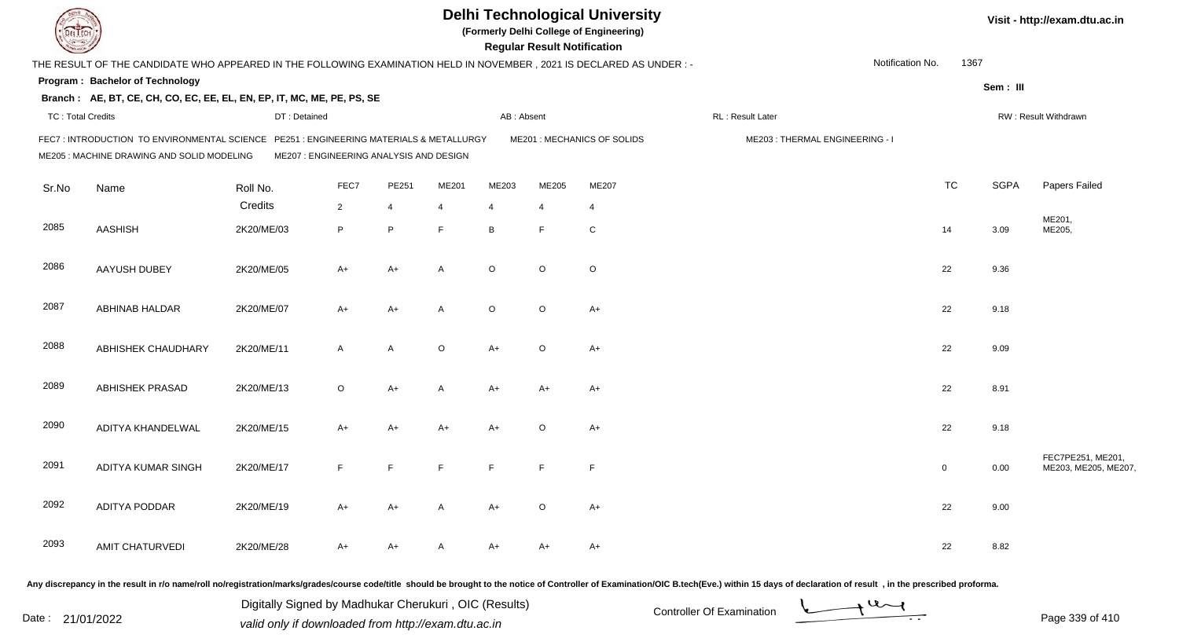|                          |                                                                                                                                       |              |                                         |                |                |            | <b>Regular Result Notification</b> | <b>Delhi Technological University</b><br>(Formerly Delhi College of Engineering) |                                |                  |              |             | Visit - http://exam.dtu.ac.in            |
|--------------------------|---------------------------------------------------------------------------------------------------------------------------------------|--------------|-----------------------------------------|----------------|----------------|------------|------------------------------------|----------------------------------------------------------------------------------|--------------------------------|------------------|--------------|-------------|------------------------------------------|
|                          | THE RESULT OF THE CANDIDATE WHO APPEARED IN THE FOLLOWING EXAMINATION HELD IN NOVEMBER, 2021 IS DECLARED AS UNDER :-                  |              |                                         |                |                |            |                                    |                                                                                  |                                | Notification No. | 1367         |             |                                          |
|                          | <b>Program: Bachelor of Technology</b>                                                                                                |              |                                         |                |                |            |                                    |                                                                                  |                                |                  |              | Sem: III    |                                          |
|                          | Branch: AE, BT, CE, CH, CO, EC, EE, EL, EN, EP, IT, MC, ME, PE, PS, SE                                                                |              |                                         |                |                |            |                                    |                                                                                  |                                |                  |              |             |                                          |
| <b>TC: Total Credits</b> |                                                                                                                                       | DT: Detained |                                         |                |                | AB: Absent |                                    |                                                                                  | RL: Result Later               |                  |              |             | RW: Result Withdrawn                     |
|                          | FEC7 : INTRODUCTION TO ENVIRONMENTAL SCIENCE PE251 : ENGINEERING MATERIALS & METALLURGY<br>ME205 : MACHINE DRAWING AND SOLID MODELING |              | ME207 : ENGINEERING ANALYSIS AND DESIGN |                |                |            |                                    | ME201 : MECHANICS OF SOLIDS                                                      | ME203: THERMAL ENGINEERING - I |                  |              |             |                                          |
| Sr.No                    | Name                                                                                                                                  | Roll No.     | FEC7                                    | PE251          | ME201          | ME203      | ME205                              | ME207                                                                            |                                |                  | <b>TC</b>    | <b>SGPA</b> | Papers Failed                            |
|                          |                                                                                                                                       | Credits      | $\overline{2}$                          | $\overline{4}$ | $\overline{4}$ | 4          | 4                                  | 4                                                                                |                                |                  |              |             |                                          |
| 2085                     | <b>AASHISH</b>                                                                                                                        | 2K20/ME/03   | P                                       | P              | E              | B          | F                                  | ${\rm C}$                                                                        |                                |                  | 14           | 3.09        | ME201,<br>ME205,                         |
| 2086                     | <b>AAYUSH DUBEY</b>                                                                                                                   | 2K20/ME/05   | $A+$                                    | $A+$           | $\overline{A}$ | $\circ$    | O                                  | $\circ$                                                                          |                                |                  | 22           | 9.36        |                                          |
| 2087                     | ABHINAB HALDAR                                                                                                                        | 2K20/ME/07   | A+                                      | $A+$           | $\overline{A}$ | $\circ$    | $\mathsf O$                        | $A+$                                                                             |                                |                  | 22           | 9.18        |                                          |
| 2088                     | ABHISHEK CHAUDHARY                                                                                                                    | 2K20/ME/11   | $\mathsf{A}$                            | A              | $\circ$        | $A+$       | $\circ$                            | $A+$                                                                             |                                |                  | 22           | 9.09        |                                          |
| 2089                     | <b>ABHISHEK PRASAD</b>                                                                                                                | 2K20/ME/13   | $\circ$                                 | $A+$           | $\mathsf{A}$   | A+         | A+                                 | A+                                                                               |                                |                  | 22           | 8.91        |                                          |
| 2090                     | ADITYA KHANDELWAL                                                                                                                     | 2K20/ME/15   | A+                                      | $A+$           | A+             | A+         | $\mathsf O$                        | $A+$                                                                             |                                |                  | 22           | 9.18        |                                          |
| 2091                     | ADITYA KUMAR SINGH                                                                                                                    | 2K20/ME/17   | F                                       | E              | F              | F          | F                                  | F                                                                                |                                |                  | $\mathbf{0}$ | 0.00        | FEC7PE251, ME201,<br>ME203, ME205, ME207 |
| 2092                     | ADITYA PODDAR                                                                                                                         | 2K20/ME/19   | A+                                      | A+             | A              | $A+$       | $\circ$                            | $A+$                                                                             |                                |                  | 22           | 9.00        |                                          |
| 2093                     | <b>AMIT CHATURVEDI</b>                                                                                                                | 2K20/ME/28   | A+                                      | A+             | A              | A+         | A+                                 | $A+$                                                                             |                                |                  | 22           | 8.82        |                                          |
|                          |                                                                                                                                       |              |                                         |                |                |            |                                    |                                                                                  |                                |                  |              |             |                                          |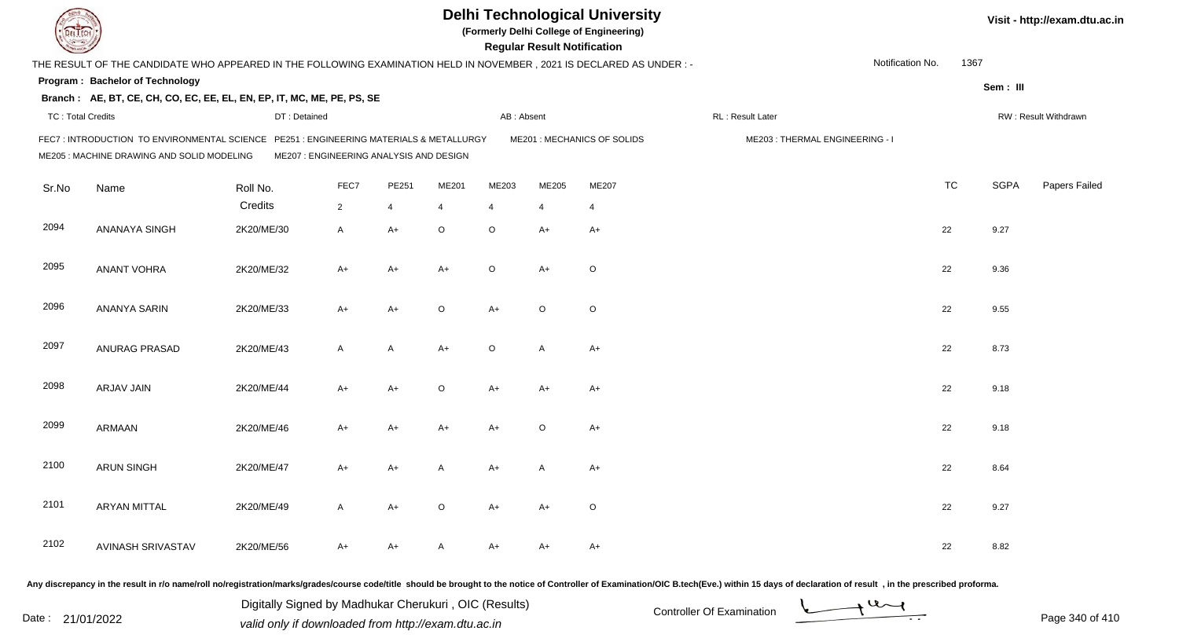|                          |                                                                                                                                     |                                         |                |       |         |                | <b>Regular Result Notification</b> | <b>Delhi Technological University</b><br>(Formerly Delhi College of Engineering) |                                |                  |           |             | Visit - http://exam.dtu.ac.in |
|--------------------------|-------------------------------------------------------------------------------------------------------------------------------------|-----------------------------------------|----------------|-------|---------|----------------|------------------------------------|----------------------------------------------------------------------------------|--------------------------------|------------------|-----------|-------------|-------------------------------|
|                          | THE RESULT OF THE CANDIDATE WHO APPEARED IN THE FOLLOWING EXAMINATION HELD IN NOVEMBER, 2021 IS DECLARED AS UNDER :-                |                                         |                |       |         |                |                                    |                                                                                  |                                | Notification No. | 1367      |             |                               |
|                          | Program: Bachelor of Technology                                                                                                     |                                         |                |       |         |                |                                    |                                                                                  |                                |                  |           | Sem: III    |                               |
|                          | Branch: AE, BT, CE, CH, CO, EC, EE, EL, EN, EP, IT, MC, ME, PE, PS, SE                                                              |                                         |                |       |         |                |                                    |                                                                                  |                                |                  |           |             |                               |
| <b>TC: Total Credits</b> |                                                                                                                                     | DT: Detained                            |                |       |         | AB: Absent     |                                    |                                                                                  | RL: Result Later               |                  |           |             | RW: Result Withdrawn          |
|                          | FEC7: INTRODUCTION TO ENVIRONMENTAL SCIENCE PE251: ENGINEERING MATERIALS & METALLURGY<br>ME205 : MACHINE DRAWING AND SOLID MODELING | ME207 : ENGINEERING ANALYSIS AND DESIGN |                |       |         |                |                                    | ME201 : MECHANICS OF SOLIDS                                                      | ME203: THERMAL ENGINEERING - I |                  |           |             |                               |
| Sr.No                    | Name                                                                                                                                | Roll No.                                | FEC7           | PE251 | ME201   | ME203          | ME205                              | ME207                                                                            |                                |                  | <b>TC</b> | <b>SGPA</b> | Papers Failed                 |
|                          |                                                                                                                                     | Credits                                 | $\overline{2}$ | 4     | 4       | $\overline{4}$ | $\overline{4}$                     | $\overline{4}$                                                                   |                                |                  |           |             |                               |
| 2094                     | ANANAYA SINGH                                                                                                                       | 2K20/ME/30                              | A              | $A+$  | $\circ$ | $\circ$        | A+                                 | $A+$                                                                             |                                |                  | 22        | 9.27        |                               |
| 2095                     | <b>ANANT VOHRA</b>                                                                                                                  | 2K20/ME/32                              | $A+$           | $A+$  | $A+$    | $\circ$        | $A+$                               | $\circ$                                                                          |                                |                  | 22        | 9.36        |                               |
| 2096                     | ANANYA SARIN                                                                                                                        | 2K20/ME/33                              | A+             | $A+$  | $\circ$ | $A+$           | $\circ$                            | $\circ$                                                                          |                                |                  | 22        | 9.55        |                               |
| 2097                     | ANURAG PRASAD                                                                                                                       | 2K20/ME/43                              | A              | A     | $A+$    | $\circ$        | A                                  | $A+$                                                                             |                                |                  | 22        | 8.73        |                               |
| 2098                     | ARJAV JAIN                                                                                                                          | 2K20/ME/44                              | A+             | $A+$  | $\circ$ | $A+$           | A+                                 | $A+$                                                                             |                                |                  | 22        | 9.18        |                               |
| 2099                     | ARMAAN                                                                                                                              | 2K20/ME/46                              | $A+$           | $A+$  | $A+$    | $A+$           | $\circ$                            | $A+$                                                                             |                                |                  | 22        | 9.18        |                               |
| 2100                     | <b>ARUN SINGH</b>                                                                                                                   | 2K20/ME/47                              | A+             | A+    | A       | A+             | A                                  | A+                                                                               |                                |                  | 22        | 8.64        |                               |
| 2101                     | <b>ARYAN MITTAL</b>                                                                                                                 | 2K20/ME/49                              | A              | $A+$  | $\circ$ | $A+$           | A+                                 | $\circ$                                                                          |                                |                  | 22        | 9.27        |                               |
| 2102                     | AVINASH SRIVASTAV                                                                                                                   | 2K20/ME/56                              | A+             | A+    | A       | A+             | A+                                 | $A+$                                                                             |                                |                  | 22        | 8.82        |                               |

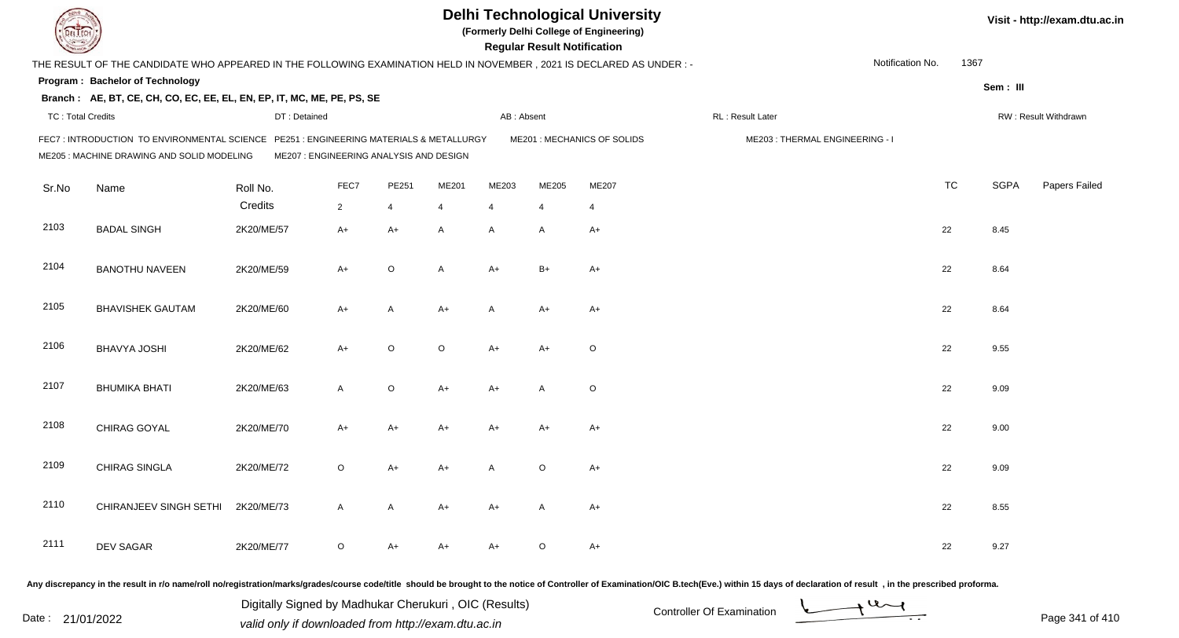|                          |                                                                                                                                     |                                         |                |             |              |                | <b>Regular Result Notification</b> | <b>Delhi Technological University</b><br>(Formerly Delhi College of Engineering) |                                |                  |           |             | Visit - http://exam.dtu.ac.in |
|--------------------------|-------------------------------------------------------------------------------------------------------------------------------------|-----------------------------------------|----------------|-------------|--------------|----------------|------------------------------------|----------------------------------------------------------------------------------|--------------------------------|------------------|-----------|-------------|-------------------------------|
|                          | THE RESULT OF THE CANDIDATE WHO APPEARED IN THE FOLLOWING EXAMINATION HELD IN NOVEMBER, 2021 IS DECLARED AS UNDER :-                |                                         |                |             |              |                |                                    |                                                                                  |                                | Notification No. | 1367      |             |                               |
|                          | Program: Bachelor of Technology                                                                                                     |                                         |                |             |              |                |                                    |                                                                                  |                                |                  |           | Sem: III    |                               |
|                          | Branch: AE, BT, CE, CH, CO, EC, EE, EL, EN, EP, IT, MC, ME, PE, PS, SE                                                              |                                         |                |             |              |                |                                    |                                                                                  |                                |                  |           |             |                               |
| <b>TC: Total Credits</b> |                                                                                                                                     | DT: Detained                            |                |             |              | AB: Absent     |                                    |                                                                                  | RL : Result Later              |                  |           |             | RW: Result Withdrawn          |
|                          | FEC7: INTRODUCTION TO ENVIRONMENTAL SCIENCE PE251: ENGINEERING MATERIALS & METALLURGY<br>ME205 : MACHINE DRAWING AND SOLID MODELING | ME207 : ENGINEERING ANALYSIS AND DESIGN |                |             |              |                |                                    | ME201 : MECHANICS OF SOLIDS                                                      | ME203: THERMAL ENGINEERING - I |                  |           |             |                               |
| Sr.No                    | Name                                                                                                                                | Roll No.                                | FEC7           | PE251       | ME201        | ME203          | ME205                              | ME207                                                                            |                                |                  | <b>TC</b> | <b>SGPA</b> | Papers Failed                 |
|                          |                                                                                                                                     | Credits                                 | $\overline{2}$ | 4           | 4            | $\overline{4}$ | $\overline{4}$                     | $\overline{4}$                                                                   |                                |                  |           |             |                               |
| 2103                     | <b>BADAL SINGH</b>                                                                                                                  | 2K20/ME/57                              | $A+$           | $A+$        | $\mathsf{A}$ | A              | A                                  | $A+$                                                                             |                                |                  | 22        | 8.45        |                               |
| 2104                     | <b>BANOTHU NAVEEN</b>                                                                                                               | 2K20/ME/59                              | $A+$           | $\circ$     | A            | $A+$           | $B+$                               | $A+$                                                                             |                                |                  | 22        | 8.64        |                               |
| 2105                     | <b>BHAVISHEK GAUTAM</b>                                                                                                             | 2K20/ME/60                              | A+             | A           | $A+$         | A              | $A+$                               | A+                                                                               |                                |                  | 22        | 8.64        |                               |
| 2106                     | <b>BHAVYA JOSHI</b>                                                                                                                 | 2K20/ME/62                              | $A+$           | $\circ$     | $\circ$      | $A+$           | A+                                 | $\circ$                                                                          |                                |                  | 22        | 9.55        |                               |
| 2107                     | <b>BHUMIKA BHATI</b>                                                                                                                | 2K20/ME/63                              | $\mathsf{A}$   | $\mathsf O$ | $A+$         | $A+$           | A                                  | $\circ$                                                                          |                                |                  | 22        | 9.09        |                               |
| 2108                     | CHIRAG GOYAL                                                                                                                        | 2K20/ME/70                              | $A+$           | $A+$        | $A+$         | $A+$           | $A+$                               | $A+$                                                                             |                                |                  | 22        | 9.00        |                               |
| 2109                     | CHIRAG SINGLA                                                                                                                       | 2K20/ME/72                              | $\circ$        | A+          | A+           | A              | $\circ$                            | $A+$                                                                             |                                |                  | 22        | 9.09        |                               |
| 2110                     | CHIRANJEEV SINGH SETHI 2K20/ME/73                                                                                                   |                                         | A              | A           | A+           | A+             | A                                  | A+                                                                               |                                |                  | 22        | 8.55        |                               |
| 2111                     | DEV SAGAR                                                                                                                           | 2K20/ME/77                              | $\circ$        | $A+$        | A+           | A+             | $\circ$                            | $A+$                                                                             |                                |                  | 22        | 9.27        |                               |
|                          |                                                                                                                                     |                                         |                |             |              |                |                                    |                                                                                  |                                |                  |           |             |                               |

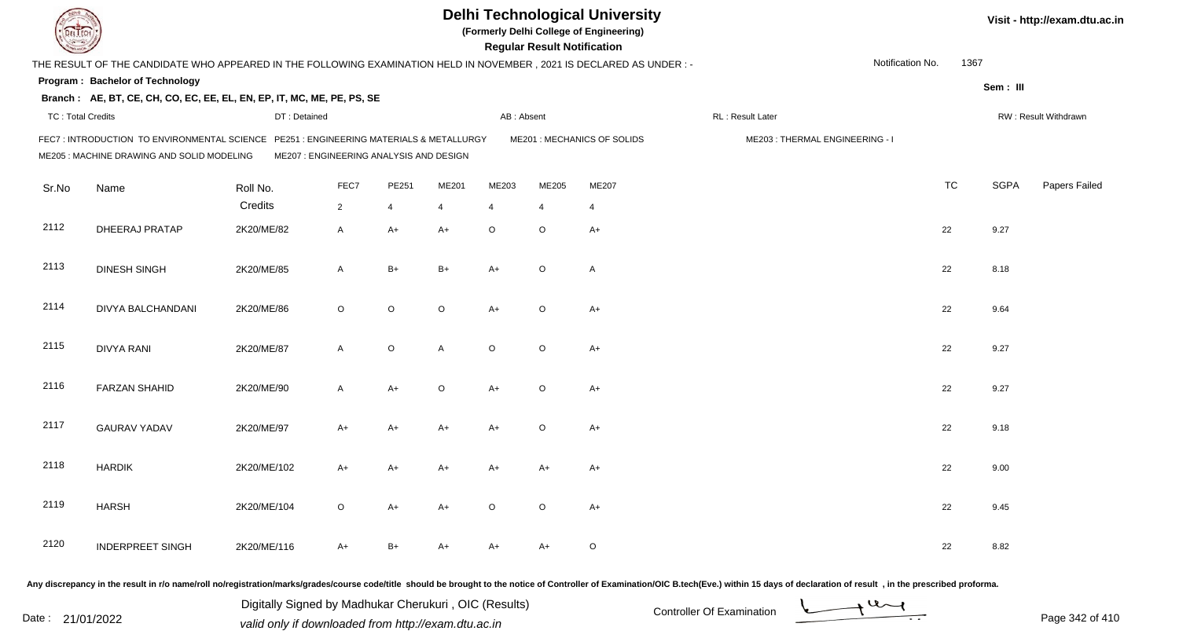|                          |                                                                                                                                       |                                         |              |             |              |                | <b>Regular Result Notification</b> | <b>Delhi Technological University</b><br>(Formerly Delhi College of Engineering) |                                |                  |           |             | Visit - http://exam.dtu.ac.in |
|--------------------------|---------------------------------------------------------------------------------------------------------------------------------------|-----------------------------------------|--------------|-------------|--------------|----------------|------------------------------------|----------------------------------------------------------------------------------|--------------------------------|------------------|-----------|-------------|-------------------------------|
|                          | THE RESULT OF THE CANDIDATE WHO APPEARED IN THE FOLLOWING EXAMINATION HELD IN NOVEMBER, 2021 IS DECLARED AS UNDER:-                   |                                         |              |             |              |                |                                    |                                                                                  |                                | Notification No. | 1367      |             |                               |
|                          | Program: Bachelor of Technology                                                                                                       |                                         |              |             |              |                |                                    |                                                                                  |                                |                  |           | Sem: III    |                               |
|                          | Branch: AE, BT, CE, CH, CO, EC, EE, EL, EN, EP, IT, MC, ME, PE, PS, SE                                                                |                                         |              |             |              |                |                                    |                                                                                  |                                |                  |           |             |                               |
| <b>TC: Total Credits</b> |                                                                                                                                       | DT: Detained                            |              |             |              | AB: Absent     |                                    |                                                                                  | RL: Result Later               |                  |           |             | RW: Result Withdrawn          |
|                          | FEC7 : INTRODUCTION TO ENVIRONMENTAL SCIENCE PE251 : ENGINEERING MATERIALS & METALLURGY<br>ME205 : MACHINE DRAWING AND SOLID MODELING | ME207 : ENGINEERING ANALYSIS AND DESIGN |              |             |              |                |                                    | ME201 : MECHANICS OF SOLIDS                                                      | ME203: THERMAL ENGINEERING - I |                  |           |             |                               |
| Sr.No                    | Name                                                                                                                                  | Roll No.                                | FEC7         | PE251       | ME201        | ME203          | ME205                              | ME207                                                                            |                                |                  | <b>TC</b> | <b>SGPA</b> | Papers Failed                 |
|                          |                                                                                                                                       | Credits                                 | $2^{\circ}$  | 4           | 4            | $\overline{4}$ | $\overline{4}$                     | $\overline{4}$                                                                   |                                |                  |           |             |                               |
| 2112                     | DHEERAJ PRATAP                                                                                                                        | 2K20/ME/82                              | A            | $A+$        | $A+$         | $\circ$        | $\circ$                            | $A+$                                                                             |                                |                  | 22        | 9.27        |                               |
| 2113                     | <b>DINESH SINGH</b>                                                                                                                   | 2K20/ME/85                              | A            | $B+$        | $B+$         | $A+$           | $\circ$                            | A                                                                                |                                |                  | 22        | 8.18        |                               |
| 2114                     | DIVYA BALCHANDANI                                                                                                                     | 2K20/ME/86                              | $\circ$      | $\mathsf O$ | $\circ$      | $A+$           | $\circ$                            | $A+$                                                                             |                                |                  | 22        | 9.64        |                               |
| 2115                     | <b>DIVYA RANI</b>                                                                                                                     | 2K20/ME/87                              | $\mathsf{A}$ | $\mathsf O$ | $\mathsf{A}$ | $\circ$        | $\circ$                            | $A+$                                                                             |                                |                  | 22        | 9.27        |                               |
| 2116                     | <b>FARZAN SHAHID</b>                                                                                                                  | 2K20/ME/90                              | $\mathsf{A}$ | $A+$        | $\circ$      | $A+$           | $\circ$                            | $A+$                                                                             |                                |                  | 22        | 9.27        |                               |
| 2117                     | <b>GAURAV YADAV</b>                                                                                                                   | 2K20/ME/97                              | A+           | A+          | A+           | $A+$           | $\circ$                            | $A+$                                                                             |                                |                  | 22        | 9.18        |                               |
| 2118                     | <b>HARDIK</b>                                                                                                                         | 2K20/ME/102                             | A+           | $A+$        | A+           | A+             | A+                                 | A+                                                                               |                                |                  | 22        | 9.00        |                               |
| 2119                     | <b>HARSH</b>                                                                                                                          | 2K20/ME/104                             | $\circ$      | $A+$        | A+           | $\circ$        | $\circ$                            | $A+$                                                                             |                                |                  | 22        | 9.45        |                               |
| 2120                     | <b>INDERPREET SINGH</b>                                                                                                               | 2K20/ME/116                             | A+           | $B+$        | A+           | A+             | A+                                 | $\circ$                                                                          |                                |                  | 22        | 8.82        |                               |

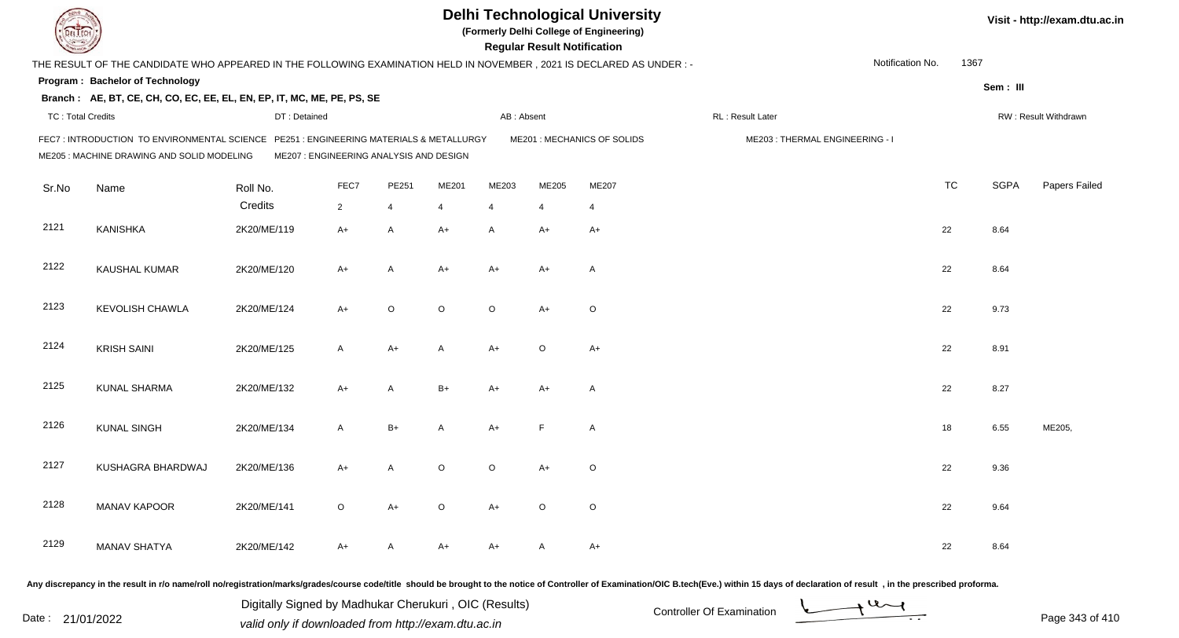|                          |                                                                                                                                     |                                         |                |                |         |                | <b>Regular Result Notification</b> | <b>Delhi Technological University</b><br>(Formerly Delhi College of Engineering) |                                |                  |           |             | Visit - http://exam.dtu.ac.in |
|--------------------------|-------------------------------------------------------------------------------------------------------------------------------------|-----------------------------------------|----------------|----------------|---------|----------------|------------------------------------|----------------------------------------------------------------------------------|--------------------------------|------------------|-----------|-------------|-------------------------------|
|                          | THE RESULT OF THE CANDIDATE WHO APPEARED IN THE FOLLOWING EXAMINATION HELD IN NOVEMBER, 2021 IS DECLARED AS UNDER :-                |                                         |                |                |         |                |                                    |                                                                                  |                                | Notification No. | 1367      |             |                               |
|                          | Program: Bachelor of Technology                                                                                                     |                                         |                |                |         |                |                                    |                                                                                  |                                |                  |           | Sem: III    |                               |
|                          | Branch: AE, BT, CE, CH, CO, EC, EE, EL, EN, EP, IT, MC, ME, PE, PS, SE                                                              |                                         |                |                |         |                |                                    |                                                                                  |                                |                  |           |             |                               |
| <b>TC: Total Credits</b> |                                                                                                                                     | DT: Detained                            |                |                |         | AB: Absent     |                                    |                                                                                  | RL: Result Later               |                  |           |             | RW: Result Withdrawn          |
|                          | FEC7: INTRODUCTION TO ENVIRONMENTAL SCIENCE PE251: ENGINEERING MATERIALS & METALLURGY<br>ME205 : MACHINE DRAWING AND SOLID MODELING | ME207 : ENGINEERING ANALYSIS AND DESIGN |                |                |         |                |                                    | ME201 : MECHANICS OF SOLIDS                                                      | ME203: THERMAL ENGINEERING - I |                  |           |             |                               |
| Sr.No                    | Name                                                                                                                                | Roll No.                                | FEC7           | PE251          | ME201   | ME203          | ME205                              | ME207                                                                            |                                |                  | <b>TC</b> | <b>SGPA</b> | Papers Failed                 |
|                          |                                                                                                                                     | Credits                                 | $\overline{2}$ | $\overline{4}$ | 4       | $\overline{4}$ | $\overline{4}$                     | $\overline{4}$                                                                   |                                |                  |           |             |                               |
| 2121                     | <b>KANISHKA</b>                                                                                                                     | 2K20/ME/119                             | $A+$           | $\mathsf{A}$   | $A+$    | A              | $A+$                               | $A+$                                                                             |                                |                  | 22        | 8.64        |                               |
| 2122                     | <b>KAUSHAL KUMAR</b>                                                                                                                | 2K20/ME/120                             | A+             | A              | $A+$    | A+             | A+                                 | $\overline{A}$                                                                   |                                |                  | 22        | 8.64        |                               |
| 2123                     | <b>KEVOLISH CHAWLA</b>                                                                                                              | 2K20/ME/124                             | $A+$           | $\circ$        | $\circ$ | $\circ$        | $A+$                               | $\circ$                                                                          |                                |                  | 22        | 9.73        |                               |
| 2124                     | <b>KRISH SAINI</b>                                                                                                                  | 2K20/ME/125                             | A              | $A+$           | A       | $A+$           | $\circ$                            | $A+$                                                                             |                                |                  | 22        | 8.91        |                               |
| 2125                     | <b>KUNAL SHARMA</b>                                                                                                                 | 2K20/ME/132                             | $A+$           | A              | $B+$    | A+             | $A+$                               | $\overline{\mathsf{A}}$                                                          |                                |                  | 22        | 8.27        |                               |
| 2126                     | <b>KUNAL SINGH</b>                                                                                                                  | 2K20/ME/134                             | A              | $B+$           | A       | $A+$           | E                                  | $\overline{A}$                                                                   |                                |                  | 18        | 6.55        | ME205,                        |
| 2127                     | KUSHAGRA BHARDWAJ                                                                                                                   | 2K20/ME/136                             | A+             | A              | $\circ$ | $\circ$        | A+                                 | $\circ$                                                                          |                                |                  | 22        | 9.36        |                               |
| 2128                     | <b>MANAV KAPOOR</b>                                                                                                                 | 2K20/ME/141                             | $\circ$        | $A+$           | $\circ$ | A+             | $\circ$                            | $\circ$                                                                          |                                |                  | 22        | 9.64        |                               |
| 2129                     | <b>MANAV SHATYA</b>                                                                                                                 | 2K20/ME/142                             | A+             | A              | A+      | A+             | A                                  | $A+$                                                                             |                                |                  | 22        | 8.64        |                               |
|                          |                                                                                                                                     |                                         |                |                |         |                |                                    |                                                                                  |                                |                  |           |             |                               |

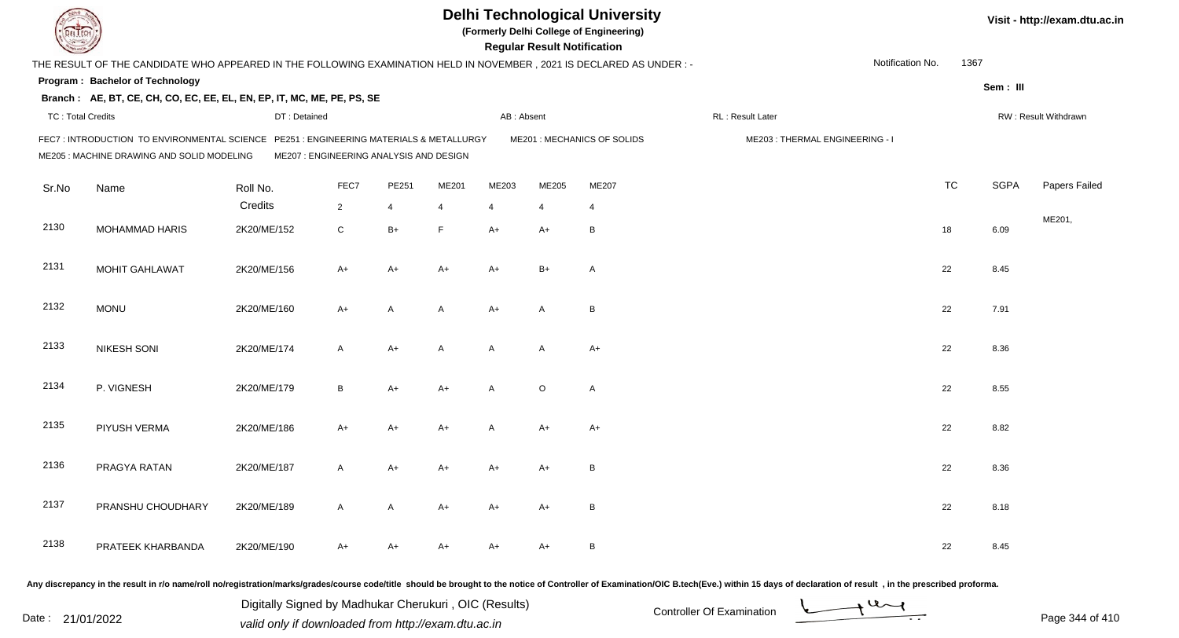|                          |                                                                                                                                     |                                         |                |       |       |                | <b>Regular Result Notification</b> | <b>Delhi Technological University</b><br>(Formerly Delhi College of Engineering) |                                |                  |           |             | Visit - http://exam.dtu.ac.in |
|--------------------------|-------------------------------------------------------------------------------------------------------------------------------------|-----------------------------------------|----------------|-------|-------|----------------|------------------------------------|----------------------------------------------------------------------------------|--------------------------------|------------------|-----------|-------------|-------------------------------|
|                          | THE RESULT OF THE CANDIDATE WHO APPEARED IN THE FOLLOWING EXAMINATION HELD IN NOVEMBER, 2021 IS DECLARED AS UNDER :-                |                                         |                |       |       |                |                                    |                                                                                  |                                | Notification No. | 1367      |             |                               |
|                          | Program: Bachelor of Technology                                                                                                     |                                         |                |       |       |                |                                    |                                                                                  |                                |                  |           | Sem: III    |                               |
|                          | Branch: AE, BT, CE, CH, CO, EC, EE, EL, EN, EP, IT, MC, ME, PE, PS, SE                                                              |                                         |                |       |       |                |                                    |                                                                                  |                                |                  |           |             |                               |
| <b>TC: Total Credits</b> |                                                                                                                                     | DT: Detained                            |                |       |       | AB: Absent     |                                    |                                                                                  | RL: Result Later               |                  |           |             | RW: Result Withdrawn          |
|                          | FEC7: INTRODUCTION TO ENVIRONMENTAL SCIENCE PE251: ENGINEERING MATERIALS & METALLURGY<br>ME205 : MACHINE DRAWING AND SOLID MODELING | ME207 : ENGINEERING ANALYSIS AND DESIGN |                |       |       |                |                                    | ME201 : MECHANICS OF SOLIDS                                                      | ME203: THERMAL ENGINEERING - I |                  |           |             |                               |
| Sr.No                    | Name                                                                                                                                | Roll No.                                | FEC7           | PE251 | ME201 | ME203          | ME205                              | ME207                                                                            |                                |                  | <b>TC</b> | <b>SGPA</b> | Papers Failed                 |
|                          |                                                                                                                                     | Credits                                 | $\overline{2}$ | 4     | 4     | $\overline{4}$ | $\overline{4}$                     | $\overline{4}$                                                                   |                                |                  |           |             |                               |
| 2130                     | <b>MOHAMMAD HARIS</b>                                                                                                               | 2K20/ME/152                             | $\mathsf C$    | $B+$  | F     | $A+$           | $A+$                               | B                                                                                |                                |                  | 18        | 6.09        | ME201,                        |
| 2131                     | <b>MOHIT GAHLAWAT</b>                                                                                                               | 2K20/ME/156                             | $A+$           | $A+$  | $A+$  | $A+$           | $B+$                               | $\overline{A}$                                                                   |                                |                  | 22        | 8.45        |                               |
| 2132                     | <b>MONU</b>                                                                                                                         | 2K20/ME/160                             | A+             | A     | A     | $A+$           | A                                  | B                                                                                |                                |                  | 22        | 7.91        |                               |
| 2133                     | <b>NIKESH SONI</b>                                                                                                                  | 2K20/ME/174                             | A              | $A+$  | A     | A              | A                                  | $A+$                                                                             |                                |                  | 22        | 8.36        |                               |
| 2134                     | P. VIGNESH                                                                                                                          | 2K20/ME/179                             | B              | $A+$  | $A+$  | A              | $\circ$                            | $\overline{A}$                                                                   |                                |                  | 22        | 8.55        |                               |
| 2135                     | PIYUSH VERMA                                                                                                                        | 2K20/ME/186                             | $A+$           | $A+$  | $A+$  | A              | $A+$                               | $A+$                                                                             |                                |                  | 22        | 8.82        |                               |
| 2136                     | PRAGYA RATAN                                                                                                                        | 2K20/ME/187                             | A              | A+    | A+    | A+             | A+                                 | B                                                                                |                                |                  | 22        | 8.36        |                               |
| 2137                     | PRANSHU CHOUDHARY                                                                                                                   | 2K20/ME/189                             | A              | A     | A+    | A+             | A+                                 | B                                                                                |                                |                  | 22        | 8.18        |                               |
| 2138                     | PRATEEK KHARBANDA                                                                                                                   | 2K20/ME/190                             | A+             | A+    | A+    | A+             | A+                                 | $\overline{B}$                                                                   |                                |                  | 22        | 8.45        |                               |
|                          |                                                                                                                                     |                                         |                |       |       |                |                                    |                                                                                  |                                |                  |           |             |                               |

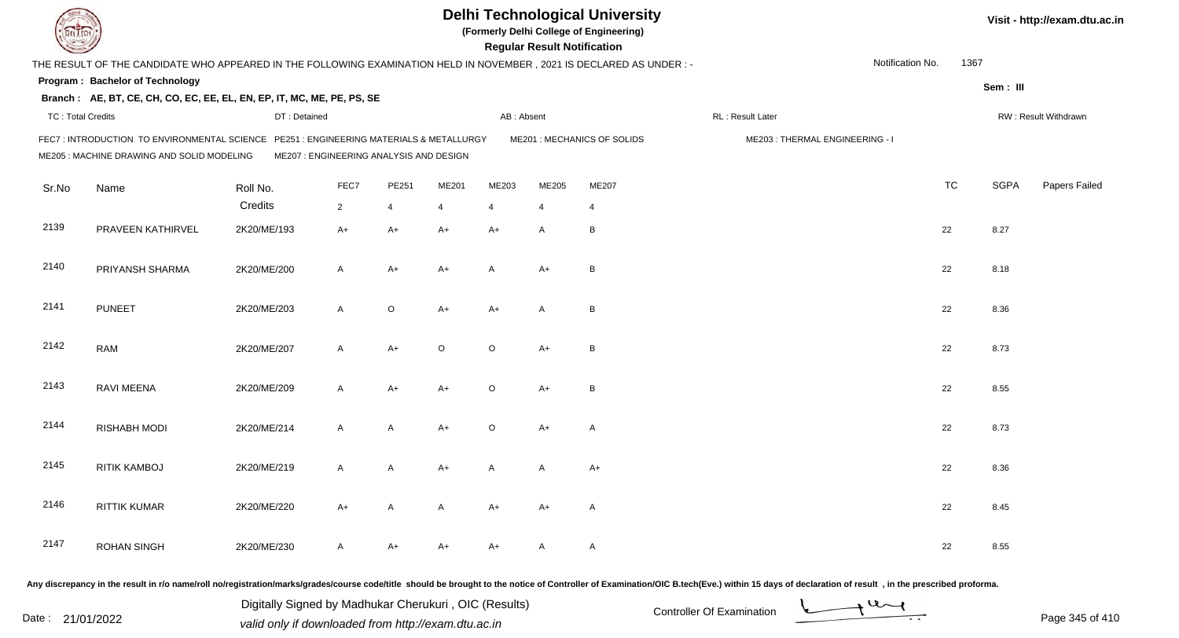|                          |                                                                                                                                      |                                         |                |       |         |                | <b>Regular Result Notification</b> | <b>Delhi Technological University</b><br>(Formerly Delhi College of Engineering) |                                |                  |           |             | Visit - http://exam.dtu.ac.in |
|--------------------------|--------------------------------------------------------------------------------------------------------------------------------------|-----------------------------------------|----------------|-------|---------|----------------|------------------------------------|----------------------------------------------------------------------------------|--------------------------------|------------------|-----------|-------------|-------------------------------|
|                          | THE RESULT OF THE CANDIDATE WHO APPEARED IN THE FOLLOWING EXAMINATION HELD IN NOVEMBER, 2021 IS DECLARED AS UNDER:-                  |                                         |                |       |         |                |                                    |                                                                                  |                                | Notification No. | 1367      |             |                               |
|                          | Program: Bachelor of Technology                                                                                                      |                                         |                |       |         |                |                                    |                                                                                  |                                |                  |           | Sem: III    |                               |
|                          | Branch: AE, BT, CE, CH, CO, EC, EE, EL, EN, EP, IT, MC, ME, PE, PS, SE                                                               |                                         |                |       |         |                |                                    |                                                                                  |                                |                  |           |             |                               |
| <b>TC: Total Credits</b> |                                                                                                                                      | DT: Detained                            |                |       |         | AB: Absent     |                                    |                                                                                  | RL: Result Later               |                  |           |             | RW: Result Withdrawn          |
|                          | FEC7: INTRODUCTION TO ENVIRONMENTAL SCIENCE PE251 : ENGINEERING MATERIALS & METALLURGY<br>ME205 : MACHINE DRAWING AND SOLID MODELING | ME207 : ENGINEERING ANALYSIS AND DESIGN |                |       |         |                |                                    | ME201 : MECHANICS OF SOLIDS                                                      | ME203: THERMAL ENGINEERING - I |                  |           |             |                               |
| Sr.No                    | Name                                                                                                                                 | Roll No.                                | FEC7           | PE251 | ME201   | ME203          | ME205                              | ME207                                                                            |                                |                  | <b>TC</b> | <b>SGPA</b> | Papers Failed                 |
|                          |                                                                                                                                      | Credits                                 | $\overline{2}$ | 4     | 4       | $\overline{4}$ | 4                                  | 4                                                                                |                                |                  |           |             |                               |
| 2139                     | PRAVEEN KATHIRVEL                                                                                                                    | 2K20/ME/193                             | $A+$           | A+    | A+      | $A+$           | A                                  | B                                                                                |                                |                  | 22        | 8.27        |                               |
| 2140                     | PRIYANSH SHARMA                                                                                                                      | 2K20/ME/200                             | A              | A+    | A+      | A              | $A+$                               | B                                                                                |                                |                  | 22        | 8.18        |                               |
| 2141                     | <b>PUNEET</b>                                                                                                                        | 2K20/ME/203                             | A              | O     | A+      | $A+$           | A                                  | B                                                                                |                                |                  | 22        | 8.36        |                               |
| 2142                     | <b>RAM</b>                                                                                                                           | 2K20/ME/207                             | A              | A+    | $\circ$ | $\circ$        | $A+$                               | B                                                                                |                                |                  | 22        | 8.73        |                               |
| 2143                     | <b>RAVI MEENA</b>                                                                                                                    | 2K20/ME/209                             | A              | A+    | $A+$    | $\circ$        | $A+$                               | B                                                                                |                                |                  | 22        | 8.55        |                               |
| 2144                     | <b>RISHABH MODI</b>                                                                                                                  | 2K20/ME/214                             | A              | A     | A+      | $\circ$        | $A+$                               | $\mathsf{A}$                                                                     |                                |                  | 22        | 8.73        |                               |
| 2145                     | <b>RITIK KAMBOJ</b>                                                                                                                  | 2K20/ME/219                             | A              | A     | A+      | A              | A                                  | $A+$                                                                             |                                |                  | 22        | 8.36        |                               |
| 2146                     | <b>RITTIK KUMAR</b>                                                                                                                  | 2K20/ME/220                             | A+             | A     | A       | A+             | A+                                 | A                                                                                |                                |                  | 22        | 8.45        |                               |
| 2147                     | <b>ROHAN SINGH</b>                                                                                                                   | 2K20/ME/230                             | A              | A+    | A+      | A+             | A                                  | $\mathsf{A}$                                                                     |                                |                  | 22        | 8.55        |                               |
|                          |                                                                                                                                      |                                         |                |       |         |                |                                    |                                                                                  |                                |                  |           |             |                               |

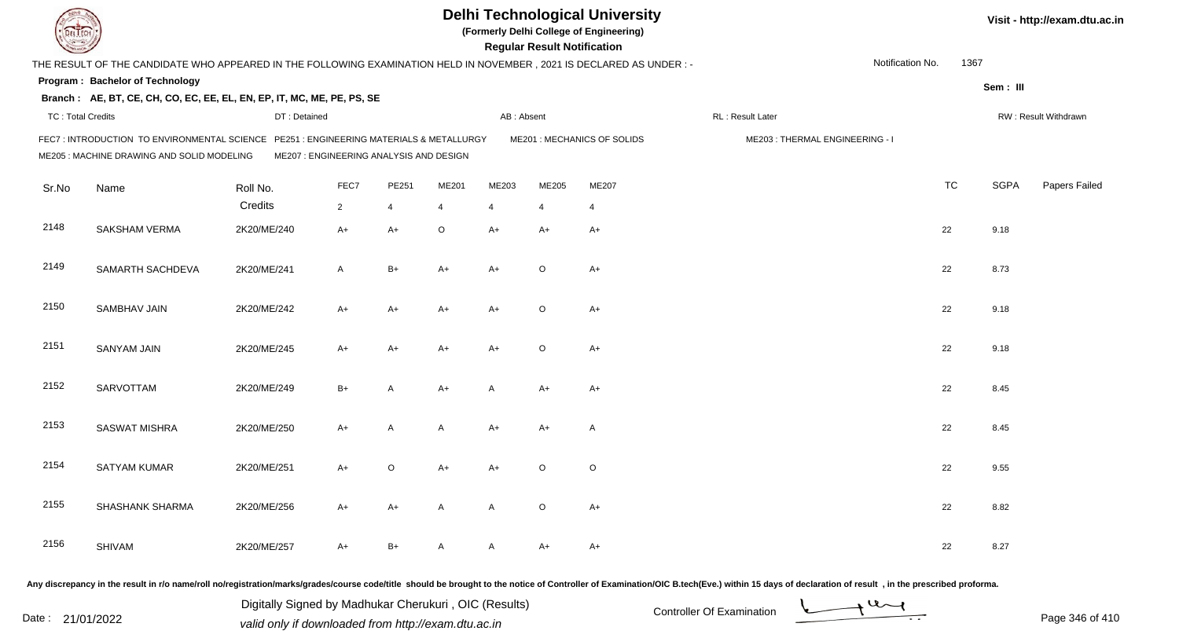|                          |                                                                                                                                      |                                         |                |       |         |                | <b>Regular Result Notification</b> | <b>Delhi Technological University</b><br>(Formerly Delhi College of Engineering) |                                |                  |           |             | Visit - http://exam.dtu.ac.in |
|--------------------------|--------------------------------------------------------------------------------------------------------------------------------------|-----------------------------------------|----------------|-------|---------|----------------|------------------------------------|----------------------------------------------------------------------------------|--------------------------------|------------------|-----------|-------------|-------------------------------|
|                          | THE RESULT OF THE CANDIDATE WHO APPEARED IN THE FOLLOWING EXAMINATION HELD IN NOVEMBER, 2021 IS DECLARED AS UNDER :-                 |                                         |                |       |         |                |                                    |                                                                                  |                                | Notification No. | 1367      |             |                               |
|                          | Program: Bachelor of Technology                                                                                                      |                                         |                |       |         |                |                                    |                                                                                  |                                |                  |           | Sem: III    |                               |
|                          | Branch: AE, BT, CE, CH, CO, EC, EE, EL, EN, EP, IT, MC, ME, PE, PS, SE                                                               |                                         |                |       |         |                |                                    |                                                                                  |                                |                  |           |             |                               |
| <b>TC: Total Credits</b> |                                                                                                                                      | DT: Detained                            |                |       |         | AB: Absent     |                                    |                                                                                  | RL: Result Later               |                  |           |             | RW: Result Withdrawn          |
|                          | FEC7: INTRODUCTION TO ENVIRONMENTAL SCIENCE PE251 : ENGINEERING MATERIALS & METALLURGY<br>ME205 : MACHINE DRAWING AND SOLID MODELING | ME207 : ENGINEERING ANALYSIS AND DESIGN |                |       |         |                |                                    | ME201 : MECHANICS OF SOLIDS                                                      | ME203: THERMAL ENGINEERING - I |                  |           |             |                               |
| Sr.No                    | Name                                                                                                                                 | Roll No.                                | FEC7           | PE251 | ME201   | ME203          | ME205                              | ME207                                                                            |                                |                  | <b>TC</b> | <b>SGPA</b> | Papers Failed                 |
|                          |                                                                                                                                      | Credits                                 | $\overline{2}$ | 4     | 4       | $\overline{4}$ | 4                                  | 4                                                                                |                                |                  |           |             |                               |
| 2148                     | <b>SAKSHAM VERMA</b>                                                                                                                 | 2K20/ME/240                             | $A+$           | A+    | $\circ$ | $A+$           | $A+$                               | $A+$                                                                             |                                |                  | 22        | 9.18        |                               |
| 2149                     | SAMARTH SACHDEVA                                                                                                                     | 2K20/ME/241                             | A              | B+    | A+      | $A+$           | $\circ$                            | $A+$                                                                             |                                |                  | 22        | 8.73        |                               |
| 2150                     | SAMBHAV JAIN                                                                                                                         | 2K20/ME/242                             | A+             | A+    | A+      | $A+$           | $\circ$                            | A+                                                                               |                                |                  | 22        | 9.18        |                               |
| 2151                     | <b>SANYAM JAIN</b>                                                                                                                   | 2K20/ME/245                             | A+             | A+    | A+      | $A+$           | $\circ$                            | $A+$                                                                             |                                |                  | 22        | 9.18        |                               |
| 2152                     | SARVOTTAM                                                                                                                            | 2K20/ME/249                             | $B+$           | A     | $A+$    | $\overline{A}$ | $A+$                               | $A+$                                                                             |                                |                  | 22        | 8.45        |                               |
| 2153                     | <b>SASWAT MISHRA</b>                                                                                                                 | 2K20/ME/250                             | $A+$           | A     | A       | $A+$           | $A+$                               | $\mathsf{A}$                                                                     |                                |                  | 22        | 8.45        |                               |
| 2154                     | SATYAM KUMAR                                                                                                                         | 2K20/ME/251                             | A+             | O     | A+      | A+             | $\circ$                            | O                                                                                |                                |                  | 22        | 9.55        |                               |
| 2155                     | SHASHANK SHARMA                                                                                                                      | 2K20/ME/256                             | A+             | A+    | A       | A              | $\circ$                            | A+                                                                               |                                |                  | 22        | 8.82        |                               |
| 2156                     | <b>SHIVAM</b>                                                                                                                        | 2K20/ME/257                             | A+             | B+    | A       | A              | A+                                 | A+                                                                               |                                |                  | 22        | 8.27        |                               |
|                          |                                                                                                                                      |                                         |                |       |         |                |                                    |                                                                                  |                                |                  |           |             |                               |

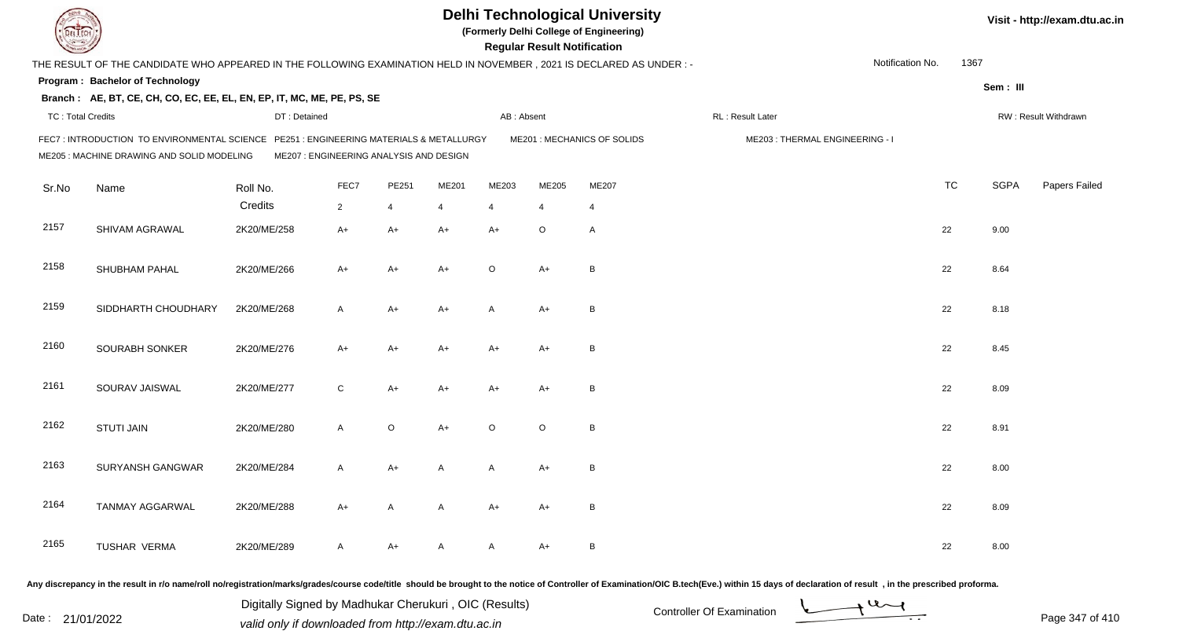|                          |                                                                                                                                     |                                         |                |             |       |                | <b>Regular Result Notification</b> | <b>Delhi Technological University</b><br>(Formerly Delhi College of Engineering) |                                |                  |           |             | Visit - http://exam.dtu.ac.in |
|--------------------------|-------------------------------------------------------------------------------------------------------------------------------------|-----------------------------------------|----------------|-------------|-------|----------------|------------------------------------|----------------------------------------------------------------------------------|--------------------------------|------------------|-----------|-------------|-------------------------------|
|                          | THE RESULT OF THE CANDIDATE WHO APPEARED IN THE FOLLOWING EXAMINATION HELD IN NOVEMBER, 2021 IS DECLARED AS UNDER :-                |                                         |                |             |       |                |                                    |                                                                                  |                                | Notification No. | 1367      |             |                               |
|                          | Program: Bachelor of Technology                                                                                                     |                                         |                |             |       |                |                                    |                                                                                  |                                |                  |           | Sem: III    |                               |
|                          | Branch: AE, BT, CE, CH, CO, EC, EE, EL, EN, EP, IT, MC, ME, PE, PS, SE                                                              |                                         |                |             |       |                |                                    |                                                                                  |                                |                  |           |             |                               |
| <b>TC: Total Credits</b> |                                                                                                                                     | DT: Detained                            |                |             |       | AB: Absent     |                                    |                                                                                  | RL: Result Later               |                  |           |             | RW: Result Withdrawn          |
|                          | FEC7: INTRODUCTION TO ENVIRONMENTAL SCIENCE PE251: ENGINEERING MATERIALS & METALLURGY<br>ME205 : MACHINE DRAWING AND SOLID MODELING | ME207 : ENGINEERING ANALYSIS AND DESIGN |                |             |       |                |                                    | ME201 : MECHANICS OF SOLIDS                                                      | ME203: THERMAL ENGINEERING - I |                  |           |             |                               |
| Sr.No                    | Name                                                                                                                                | Roll No.                                | FEC7           | PE251       | ME201 | ME203          | ME205                              | ME207                                                                            |                                |                  | <b>TC</b> | <b>SGPA</b> | Papers Failed                 |
|                          |                                                                                                                                     | Credits                                 | $\overline{2}$ | 4           | 4     | $\overline{4}$ | 4                                  | 4                                                                                |                                |                  |           |             |                               |
| 2157                     | SHIVAM AGRAWAL                                                                                                                      | 2K20/ME/258                             | $A+$           | $A+$        | A+    | $A+$           | O                                  | $\mathsf{A}$                                                                     |                                |                  | 22        | 9.00        |                               |
| 2158                     | SHUBHAM PAHAL                                                                                                                       | 2K20/ME/266                             | A+             | A+          | A+    | $\circ$        | $A+$                               | B                                                                                |                                |                  | 22        | 8.64        |                               |
| 2159                     | SIDDHARTH CHOUDHARY                                                                                                                 | 2K20/ME/268                             | A              | A+          | A+    | A              | A+                                 | B                                                                                |                                |                  | 22        | 8.18        |                               |
| 2160                     | SOURABH SONKER                                                                                                                      | 2K20/ME/276                             | A+             | A+          | A+    | $A+$           | $A+$                               | B                                                                                |                                |                  | 22        | 8.45        |                               |
| 2161                     | SOURAV JAISWAL                                                                                                                      | 2K20/ME/277                             | C              | A+          | A+    | $A+$           | $A+$                               | B                                                                                |                                |                  | 22        | 8.09        |                               |
| 2162                     | <b>STUTI JAIN</b>                                                                                                                   | 2K20/ME/280                             | A              | $\mathsf O$ | A+    | $\circ$        | $\circ$                            | B                                                                                |                                |                  | 22        | 8.91        |                               |
| 2163                     | SURYANSH GANGWAR                                                                                                                    | 2K20/ME/284                             | A              | A+          | A     | A              | A+                                 | B                                                                                |                                |                  | 22        | 8.00        |                               |
| 2164                     | <b>TANMAY AGGARWAL</b>                                                                                                              | 2K20/ME/288                             | A+             | A           | A     | A+             | A+                                 | B                                                                                |                                |                  | 22        | 8.09        |                               |
| 2165                     | TUSHAR VERMA                                                                                                                        | 2K20/ME/289                             | A              | A+          | A     | A              | A+                                 | B                                                                                |                                |                  | 22        | 8.00        |                               |
|                          |                                                                                                                                     |                                         |                |             |       |                |                                    |                                                                                  |                                |                  |           |             |                               |

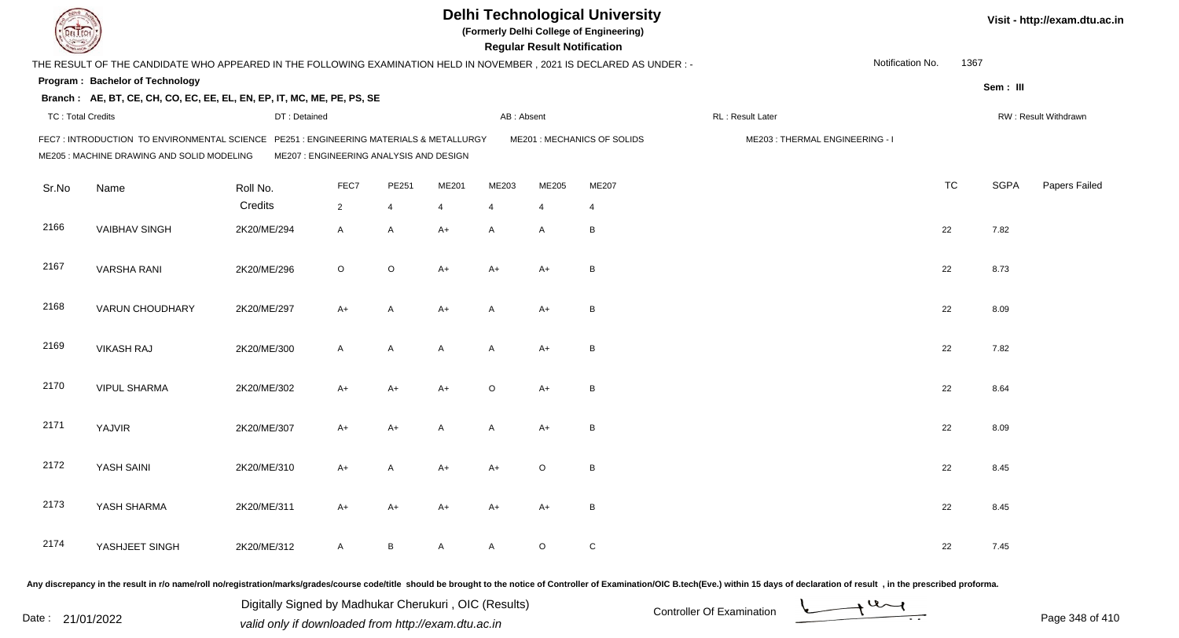|                          |                                                                                                                                       |                                         |                |       |       |                | <b>Regular Result Notification</b> | <b>Delhi Technological University</b><br>(Formerly Delhi College of Engineering) |                                |                  |           |             | Visit - http://exam.dtu.ac.in |
|--------------------------|---------------------------------------------------------------------------------------------------------------------------------------|-----------------------------------------|----------------|-------|-------|----------------|------------------------------------|----------------------------------------------------------------------------------|--------------------------------|------------------|-----------|-------------|-------------------------------|
|                          | THE RESULT OF THE CANDIDATE WHO APPEARED IN THE FOLLOWING EXAMINATION HELD IN NOVEMBER, 2021 IS DECLARED AS UNDER :-                  |                                         |                |       |       |                |                                    |                                                                                  |                                | Notification No. | 1367      |             |                               |
|                          | Program: Bachelor of Technology                                                                                                       |                                         |                |       |       |                |                                    |                                                                                  |                                |                  |           | Sem: III    |                               |
|                          | Branch: AE, BT, CE, CH, CO, EC, EE, EL, EN, EP, IT, MC, ME, PE, PS, SE                                                                |                                         |                |       |       |                |                                    |                                                                                  |                                |                  |           |             |                               |
| <b>TC: Total Credits</b> |                                                                                                                                       | DT: Detained                            |                |       |       | AB: Absent     |                                    |                                                                                  | RL: Result Later               |                  |           |             | RW: Result Withdrawn          |
|                          | FEC7 : INTRODUCTION TO ENVIRONMENTAL SCIENCE PE251 : ENGINEERING MATERIALS & METALLURGY<br>ME205 : MACHINE DRAWING AND SOLID MODELING | ME207 : ENGINEERING ANALYSIS AND DESIGN |                |       |       |                |                                    | ME201 : MECHANICS OF SOLIDS                                                      | ME203: THERMAL ENGINEERING - I |                  |           |             |                               |
| Sr.No                    | Name                                                                                                                                  | Roll No.                                | FEC7           | PE251 | ME201 | ME203          | ME205                              | ME207                                                                            |                                |                  | <b>TC</b> | <b>SGPA</b> | Papers Failed                 |
|                          |                                                                                                                                       | Credits                                 | $\overline{2}$ | 4     | 4     | $\overline{4}$ | 4                                  | 4                                                                                |                                |                  |           |             |                               |
| 2166                     | <b>VAIBHAV SINGH</b>                                                                                                                  | 2K20/ME/294                             | A              | A     | $A+$  | $\mathsf{A}$   | A                                  | B                                                                                |                                |                  | 22        | 7.82        |                               |
| 2167                     | <b>VARSHA RANI</b>                                                                                                                    | 2K20/ME/296                             | O              | O     | A+    | A+             | $A+$                               | B                                                                                |                                |                  | 22        | 8.73        |                               |
| 2168                     | VARUN CHOUDHARY                                                                                                                       | 2K20/ME/297                             | A+             | A     | A+    | A              | A+                                 | B                                                                                |                                |                  | 22        | 8.09        |                               |
| 2169                     | <b>VIKASH RAJ</b>                                                                                                                     | 2K20/ME/300                             | A              | A     | A     | $\mathsf{A}$   | $A+$                               | B                                                                                |                                |                  | 22        | 7.82        |                               |
| 2170                     | <b>VIPUL SHARMA</b>                                                                                                                   | 2K20/ME/302                             | A+             | A+    | A+    | $\circ$        | $A+$                               | B                                                                                |                                |                  | 22        | 8.64        |                               |
| 2171                     | YAJVIR                                                                                                                                | 2K20/ME/307                             | A+             | A+    | Α     | A              | $A+$                               | B                                                                                |                                |                  | 22        | 8.09        |                               |
| 2172                     | YASH SAINI                                                                                                                            | 2K20/ME/310                             | A+             | Α     | A+    | A+             | $\circ$                            | B                                                                                |                                |                  | 22        | 8.45        |                               |
| 2173                     | YASH SHARMA                                                                                                                           | 2K20/ME/311                             | A+             | A+    | A+    | A+             | A+                                 | B                                                                                |                                |                  | 22        | 8.45        |                               |
| 2174                     | YASHJEET SINGH                                                                                                                        | 2K20/ME/312                             | A              | B     | A     | $\mathsf{A}$   | $\circ$                            | ${\rm C}$                                                                        |                                |                  | 22        | 7.45        |                               |
|                          |                                                                                                                                       |                                         |                |       |       |                |                                    |                                                                                  |                                |                  |           |             |                               |

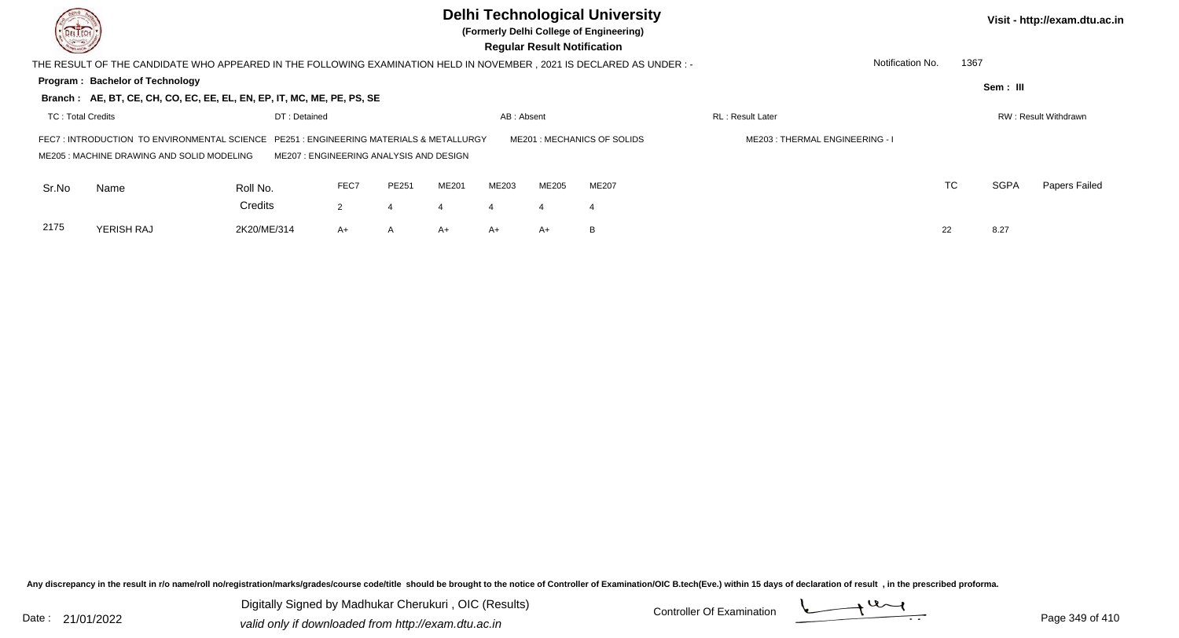| DEL TECH                 |                                                                                                                                    |                                        |                |       |       |            | <b>Regular Result Notification</b> | <b>Delhi Technological University</b><br>(Formerly Delhi College of Engineering) |                                |                  |      |             | Visit - http://exam.dtu.ac.in |
|--------------------------|------------------------------------------------------------------------------------------------------------------------------------|----------------------------------------|----------------|-------|-------|------------|------------------------------------|----------------------------------------------------------------------------------|--------------------------------|------------------|------|-------------|-------------------------------|
|                          | THE RESULT OF THE CANDIDATE WHO APPEARED IN THE FOLLOWING EXAMINATION HELD IN NOVEMBER , 2021 IS DECLARED AS UNDER :-              |                                        |                |       |       |            |                                    |                                                                                  |                                | Notification No. | 1367 |             |                               |
|                          | <b>Program: Bachelor of Technology</b><br>Branch: AE, BT, CE, CH, CO, EC, EE, EL, EN, EP, IT, MC, ME, PE, PS, SE                   |                                        |                |       |       |            |                                    |                                                                                  |                                |                  |      | Sem: III    |                               |
| <b>TC: Total Credits</b> |                                                                                                                                    | DT: Detained                           |                |       |       | AB: Absent |                                    |                                                                                  | <b>RL</b> : Result Later       |                  |      |             | RW: Result Withdrawn          |
|                          | FEC7: INTRODUCTION TO ENVIRONMENTAL SCIENCE PE251: ENGINEERING MATERIALS & METALLURGY<br>ME205: MACHINE DRAWING AND SOLID MODELING | ME207: ENGINEERING ANALYSIS AND DESIGN |                |       |       |            |                                    | ME201: MECHANICS OF SOLIDS                                                       | ME203: THERMAL ENGINEERING - I |                  |      |             |                               |
| Sr.No                    | Name                                                                                                                               | Roll No.                               | FEC7           | PE251 | ME201 | ME203      | ME205                              | ME207                                                                            |                                |                  | TC   | <b>SGPA</b> | Papers Failed                 |
|                          |                                                                                                                                    | Credits                                | $\overline{2}$ | 4     |       |            |                                    | 4                                                                                |                                |                  |      |             |                               |
| 2175                     | YERISH RAJ                                                                                                                         | 2K20/ME/314                            | A+             | A     | A+    | $A+$       | A+                                 | B                                                                                |                                |                  | 22   | 8.27        |                               |

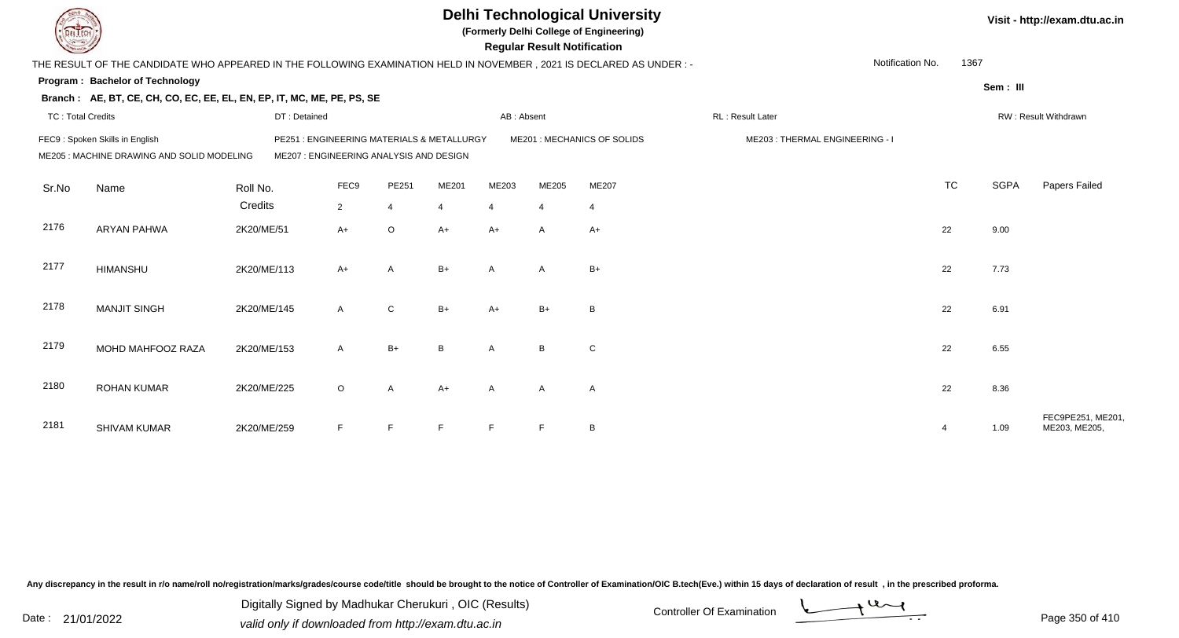|                          |                                                                                                                      |              |                                                                                      |                |                |                | <b>Regular Result Notification</b> | <b>Delhi Technological University</b><br>(Formerly Delhi College of Engineering) |                                |                          |             | Visit - http://exam.dtu.ac.in     |
|--------------------------|----------------------------------------------------------------------------------------------------------------------|--------------|--------------------------------------------------------------------------------------|----------------|----------------|----------------|------------------------------------|----------------------------------------------------------------------------------|--------------------------------|--------------------------|-------------|-----------------------------------|
|                          | THE RESULT OF THE CANDIDATE WHO APPEARED IN THE FOLLOWING EXAMINATION HELD IN NOVEMBER, 2021 IS DECLARED AS UNDER :- |              |                                                                                      |                |                |                |                                    |                                                                                  |                                | Notification No.<br>1367 |             |                                   |
|                          | <b>Program: Bachelor of Technology</b>                                                                               |              |                                                                                      |                |                |                |                                    |                                                                                  |                                |                          | Sem: III    |                                   |
|                          | Branch: AE, BT, CE, CH, CO, EC, EE, EL, EN, EP, IT, MC, ME, PE, PS, SE                                               |              |                                                                                      |                |                |                |                                    |                                                                                  |                                |                          |             |                                   |
| <b>TC: Total Credits</b> |                                                                                                                      | DT: Detained |                                                                                      |                |                | AB: Absent     |                                    |                                                                                  | RL: Result Later               |                          |             | RW: Result Withdrawn              |
|                          | FEC9: Spoken Skills in English<br>ME205 : MACHINE DRAWING AND SOLID MODELING                                         |              | PE251: ENGINEERING MATERIALS & METALLURGY<br>ME207 : ENGINEERING ANALYSIS AND DESIGN |                |                |                |                                    | ME201 : MECHANICS OF SOLIDS                                                      | ME203: THERMAL ENGINEERING - I |                          |             |                                   |
| Sr.No                    | Name                                                                                                                 | Roll No.     | FEC9                                                                                 | PE251          | ME201          | ME203          | ME205                              | ME207                                                                            |                                | <b>TC</b>                | <b>SGPA</b> | Papers Failed                     |
|                          |                                                                                                                      | Credits      | $\overline{2}$                                                                       | $\overline{4}$ | $\overline{4}$ | $\overline{4}$ | $\overline{4}$                     | $\overline{4}$                                                                   |                                |                          |             |                                   |
| 2176                     | <b>ARYAN PAHWA</b>                                                                                                   | 2K20/ME/51   | $A+$                                                                                 | $\circ$        | $A+$           | $A+$           | A                                  | $A+$                                                                             |                                | 22                       | 9.00        |                                   |
| 2177                     | <b>HIMANSHU</b>                                                                                                      | 2K20/ME/113  | $A+$                                                                                 | A              | $B+$           | A              | A                                  | $B+$                                                                             |                                | 22                       | 7.73        |                                   |
| 2178                     | <b>MANJIT SINGH</b>                                                                                                  | 2K20/ME/145  | $\mathsf{A}$                                                                         | ${\bf C}$      | $B+$           | $A+$           | $B+$                               | B                                                                                |                                | 22                       | 6.91        |                                   |
| 2179                     | MOHD MAHFOOZ RAZA                                                                                                    | 2K20/ME/153  | A                                                                                    | $B+$           | <sub>B</sub>   | A              | B <sub>1</sub>                     | C                                                                                |                                | 22                       | 6.55        |                                   |
| 2180                     | <b>ROHAN KUMAR</b>                                                                                                   | 2K20/ME/225  | $\circ$                                                                              | $\mathsf{A}$   | $A+$           | $\overline{A}$ | $\mathsf{A}$                       | $\mathsf{A}$                                                                     |                                | 22                       | 8.36        |                                   |
| 2181                     | <b>SHIVAM KUMAR</b>                                                                                                  | 2K20/ME/259  | F.                                                                                   | E              | E              | E              | E                                  | B                                                                                |                                | 4                        | 1.09        | FEC9PE251, ME201<br>ME203, ME205, |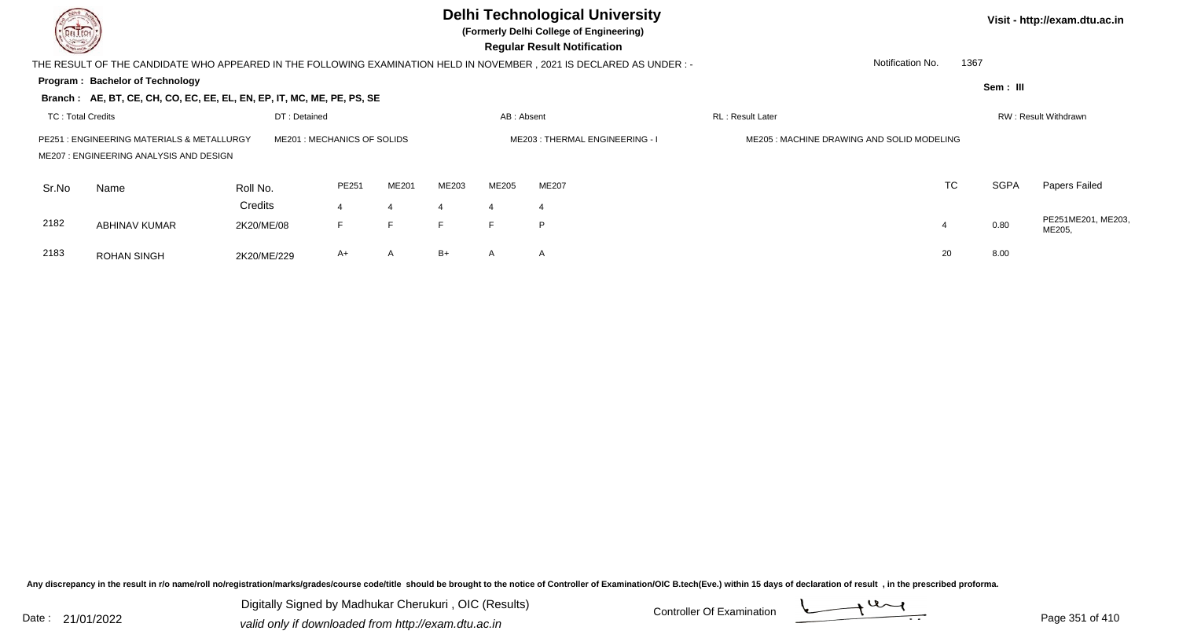

## **Delhi Technological University**

**(Formerly Delhi College of Engineering)**

 **Regular Result Notification**

**Visit - http://exam.dtu.ac.in**

**Program : Bachelor of TechnologySem : III Branch : AE, BT, CE, CH, CO, EC, EE, EL, EN, EP, IT, MC, ME, PE, PS, SE**THE RESULT OF THE CANDIDATE WHO APPEARED IN THE FOLLOWING EXAMINATION HELD IN NOVEMBER , 2021 IS DECLARED AS UNDER : -TC : Total Credits DT : Detainedd AB : Absent RL : Result Later RW : Result Withdrawn Notification No. 1367Sr.NoName Roll No. **Credits** PE251 : ENGINEERING MATERIALS & METALLURGY ME201 : MECHANICS OF SOLIDS ME203 : THERMAL ENGINEERING - I ME205 : MACHINE DRAWING AND SOLID MODELINGME207 : ENGINEERING ANALYSIS AND DESIGNPE2511 ME201 ME203 ME205 ME207 ME207 ME207 ME207 ME30 ME307 ME207 MEXIC TC SGPA Papers Failed 44 4 4 4 4 2182 ABHINAV KUMAR 2K20/ME/08 <sup>F</sup> <sup>F</sup> <sup>F</sup> <sup>F</sup> <sup>P</sup> <sup>4</sup> 0.80 PE251ME201, ME203, ME205, 2183 ROHAN SINGHH 2K20/ME/229 A+ A B+ A A A

Any discrepancy in the result in r/o name/roll no/registration/marks/grades/course code/title should be brought to the notice of Controller of Examination/OIC B.tech(Eve.) within 15 days of declaration of result , in the p

Date : 21/01/2022 Digital Digital of Microsofted Chemical Controller Of Examination Determination Page 351 of 41 Digitally Signed by Madhukar Cherukuri , OIC (Results)

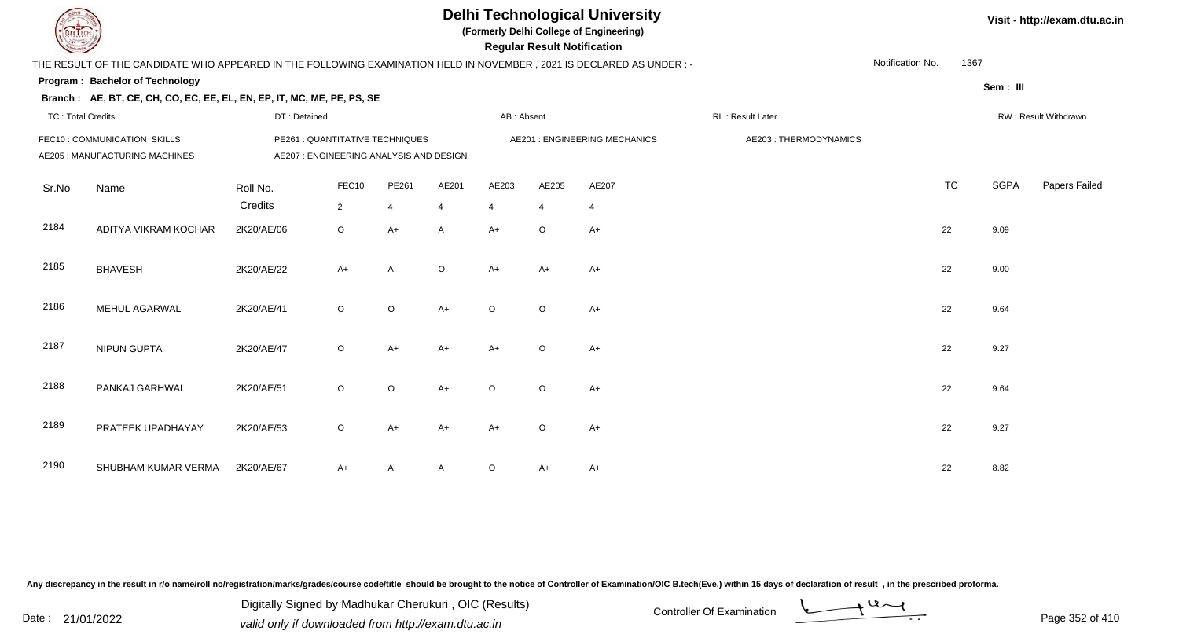## **Delhi Technological University**

**(Formerly Delhi College of Engineering)**

 **Regular Result Notification**

| <b>Courses A</b>         |                                                                                                                      |                                                                            |                |         |                |            | Regular Result Notification |                               |                       |                  |      |             |                      |
|--------------------------|----------------------------------------------------------------------------------------------------------------------|----------------------------------------------------------------------------|----------------|---------|----------------|------------|-----------------------------|-------------------------------|-----------------------|------------------|------|-------------|----------------------|
|                          | THE RESULT OF THE CANDIDATE WHO APPEARED IN THE FOLLOWING EXAMINATION HELD IN NOVEMBER, 2021 IS DECLARED AS UNDER :- |                                                                            |                |         |                |            |                             |                               |                       | Notification No. | 1367 |             |                      |
|                          | Program: Bachelor of Technology                                                                                      |                                                                            |                |         |                |            |                             |                               |                       |                  |      | Sem : III   |                      |
|                          | Branch: AE, BT, CE, CH, CO, EC, EE, EL, EN, EP, IT, MC, ME, PE, PS, SE                                               |                                                                            |                |         |                |            |                             |                               |                       |                  |      |             |                      |
| <b>TC: Total Credits</b> |                                                                                                                      | DT: Detained                                                               |                |         |                | AB: Absent |                             |                               | RL: Result Later      |                  |      |             | RW: Result Withdrawn |
|                          | FEC10 : COMMUNICATION SKILLS<br>AE205 : MANUFACTURING MACHINES                                                       | PE261 : QUANTITATIVE TECHNIQUES<br>AE207 : ENGINEERING ANALYSIS AND DESIGN |                |         |                |            |                             | AE201 : ENGINEERING MECHANICS | AE203: THERMODYNAMICS |                  |      |             |                      |
| Sr.No                    | Name                                                                                                                 | Roll No.                                                                   | FEC10          | PE261   | AE201          | AE203      | AE205                       | AE207                         |                       |                  | TC   | <b>SGPA</b> | Papers Failed        |
|                          |                                                                                                                      | Credits                                                                    | $\overline{2}$ | 4       | $\overline{4}$ | 4          | $\overline{4}$              | $\overline{4}$                |                       |                  |      |             |                      |
| 2184                     | ADITYA VIKRAM KOCHAR                                                                                                 | 2K20/AE/06                                                                 | $\circ$        | $A+$    | $\mathsf{A}$   | $A+$       | $\circ$                     | $A+$                          |                       |                  | 22   | 9.09        |                      |
| 2185                     | <b>BHAVESH</b>                                                                                                       | 2K20/AE/22                                                                 | $A+$           | A       | $\circ$        | A+         | A+                          | A+                            |                       |                  | 22   | 9.00        |                      |
| 2186                     | MEHUL AGARWAL                                                                                                        | 2K20/AE/41                                                                 | $\circ$        | $\circ$ | $A+$           | $\circ$    | $\circ$                     | A+                            |                       |                  | 22   | 9.64        |                      |
| 2187                     | NIPUN GUPTA                                                                                                          | 2K20/AE/47                                                                 | $\circ$        | $A+$    | $A+$           | $A+$       | $\circ$                     | $A+$                          |                       |                  | 22   | 9.27        |                      |
| 2188                     | PANKAJ GARHWAL                                                                                                       | 2K20/AE/51                                                                 | $\circ$        | $\circ$ | $A+$           | $\circ$    | $\circ$                     | $A+$                          |                       |                  | 22   | 9.64        |                      |
| 2189                     | PRATEEK UPADHAYAY                                                                                                    | 2K20/AE/53                                                                 | $\mathsf O$    | $A+$    | $A+$           | A+         | $\circ$                     | $A+$                          |                       |                  | 22   | 9.27        |                      |
| 2190                     | SHUBHAM KUMAR VERMA                                                                                                  | 2K20/AE/67                                                                 | $A+$           | A       | A              | $\circ$    | A+                          | $A+$                          |                       |                  | 22   | 8.82        |                      |

Any discrepancy in the result in r/o name/roll no/registration/marks/grades/course code/title should be brought to the notice of Controller of Examination/OIC B.tech(Eve.) within 15 days of declaration of result, in the pr

Date : 21/01/2022 Digital Digital of Microsofted Chemical Controller Of Examination Determination Page 352 of 41 Digitally Signed by Madhukar Cherukuri , OIC (Results)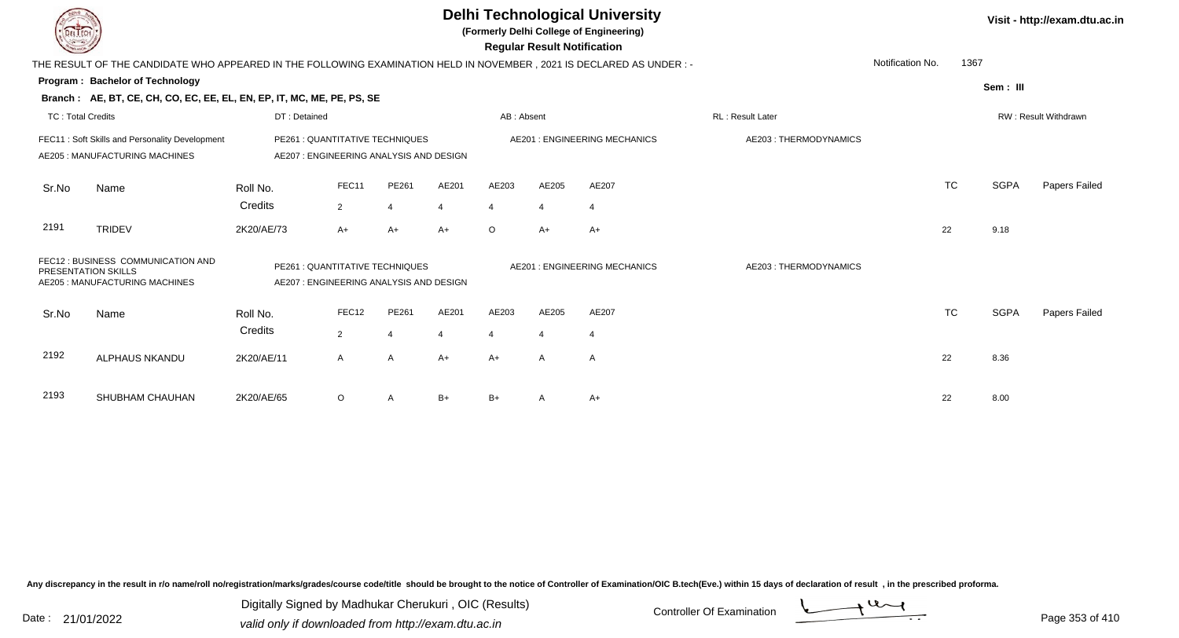|                          |                                                                                                                                                                          |              |              |                |                |                | <b>Regular Result Notification</b> | <b>Delhi Technological University</b><br>(Formerly Delhi College of Engineering) |                       |                  |           |             | Visit - http://exam.dtu.ac.in |
|--------------------------|--------------------------------------------------------------------------------------------------------------------------------------------------------------------------|--------------|--------------|----------------|----------------|----------------|------------------------------------|----------------------------------------------------------------------------------|-----------------------|------------------|-----------|-------------|-------------------------------|
|                          | THE RESULT OF THE CANDIDATE WHO APPEARED IN THE FOLLOWING EXAMINATION HELD IN NOVEMBER, 2021 IS DECLARED AS UNDER :-                                                     |              |              |                |                |                |                                    |                                                                                  |                       | Notification No. | 1367      |             |                               |
|                          | <b>Program: Bachelor of Technology</b>                                                                                                                                   |              |              |                |                |                |                                    |                                                                                  |                       |                  |           | Sem: III    |                               |
|                          | Branch: AE, BT, CE, CH, CO, EC, EE, EL, EN, EP, IT, MC, ME, PE, PS, SE                                                                                                   |              |              |                |                |                |                                    |                                                                                  |                       |                  |           |             |                               |
| <b>TC: Total Credits</b> |                                                                                                                                                                          | DT: Detained |              |                |                | AB: Absent     |                                    |                                                                                  | RL : Result Later     |                  |           |             | RW: Result Withdrawn          |
|                          | FEC11: Soft Skills and Personality Development<br>PE261 : QUANTITATIVE TECHNIQUES<br>AE205: MANUFACTURING MACHINES<br>AE207 : ENGINEERING ANALYSIS AND DESIGN            |              |              |                |                |                |                                    | <b>AE201: ENGINEERING MECHANICS</b>                                              | AE203: THERMODYNAMICS |                  |           |             |                               |
| Sr.No                    | Name                                                                                                                                                                     | Roll No.     | FEC11        | PE261          | AE201          | AE203          | AE205                              | AE207                                                                            |                       |                  | <b>TC</b> | <b>SGPA</b> | Papers Failed                 |
|                          |                                                                                                                                                                          | Credits      | 2            | $\overline{4}$ | $\overline{4}$ | $\overline{4}$ |                                    | $\overline{4}$                                                                   |                       |                  |           |             |                               |
| 2191                     | <b>TRIDEV</b>                                                                                                                                                            | 2K20/AE/73   | $A+$         | $A+$           | $A+$           | $\circ$        | $A+$                               | $A+$                                                                             |                       | 22               |           | 9.18        |                               |
|                          | FEC12 : BUSINESS COMMUNICATION AND<br>PE261 : QUANTITATIVE TECHNIQUES<br>PRESENTATION SKILLS<br>AE205 : MANUFACTURING MACHINES<br>AE207: ENGINEERING ANALYSIS AND DESIGN |              |              |                |                |                |                                    | <b>AE201: ENGINEERING MECHANICS</b>                                              | AE203: THERMODYNAMICS |                  |           |             |                               |
| Sr.No                    | Name                                                                                                                                                                     | Roll No.     | FEC12        | PE261          | AE201          | AE203          | AE205                              | AE207                                                                            |                       |                  | <b>TC</b> | <b>SGPA</b> | Papers Failed                 |
|                          |                                                                                                                                                                          | Credits      | 2            | $\overline{4}$ | $\overline{4}$ | $\overline{4}$ | $\boldsymbol{\Delta}$              | 4                                                                                |                       |                  |           |             |                               |
| 2192                     | <b>ALPHAUS NKANDU</b>                                                                                                                                                    | 2K20/AE/11   | $\mathsf{A}$ | $\overline{A}$ | $A+$           | $A+$           | A                                  | $\mathsf{A}$                                                                     |                       | 22               |           | 8.36        |                               |
| 2193                     | SHUBHAM CHAUHAN                                                                                                                                                          | 2K20/AE/65   | $\circ$      | A              | $B+$           | $B+$           |                                    | A+                                                                               |                       | 22               |           | 8.00        |                               |

Digitally Signed by Madhukar Cherukuri, OIC (Results)<br>Date : 21/01/2022 valid only if downloaded from http://oxam.dtu.ac.in valid only if downloaded from http://exam.dtu.ac.in

Digitally Signed by Madhukar Cherukuri , OIC (Results)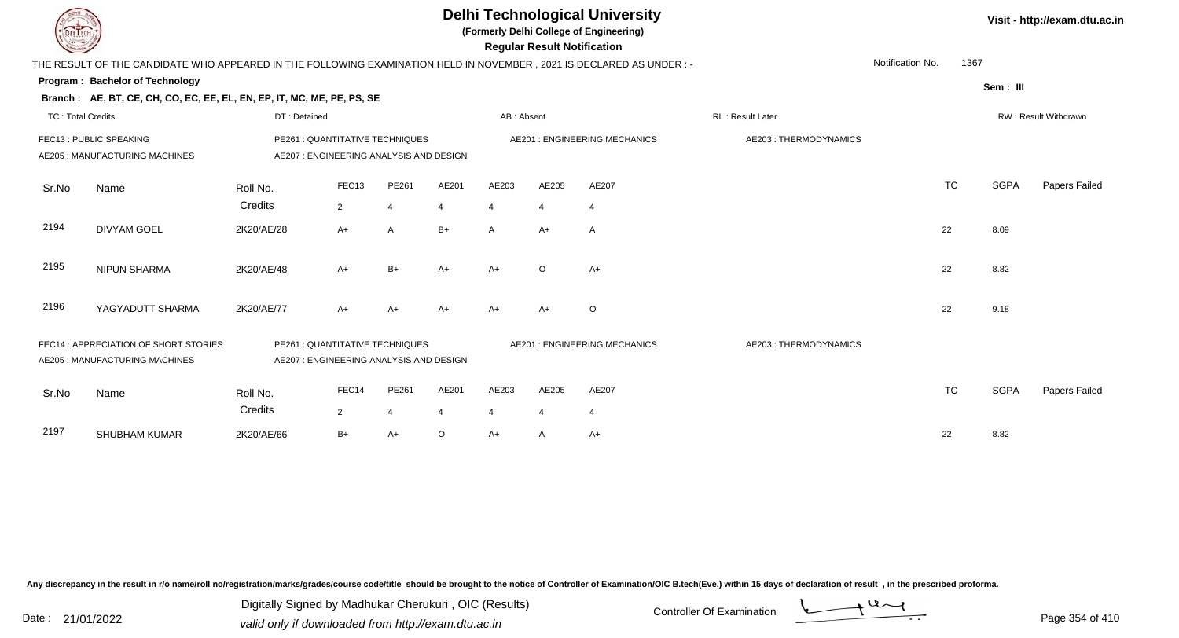| <b>DELTECH</b>           |                                                                                                                                        |                                                                           |                         |                         |            |                         | <b>Regular Result Notification</b> | <b>Delhi Technological University</b><br>(Formerly Delhi College of Engineering) |                       |                  |           |             | Visit - http://exam.dtu.ac.in |
|--------------------------|----------------------------------------------------------------------------------------------------------------------------------------|---------------------------------------------------------------------------|-------------------------|-------------------------|------------|-------------------------|------------------------------------|----------------------------------------------------------------------------------|-----------------------|------------------|-----------|-------------|-------------------------------|
|                          | THE RESULT OF THE CANDIDATE WHO APPEARED IN THE FOLLOWING EXAMINATION HELD IN NOVEMBER, 2021 IS DECLARED AS UNDER :-                   |                                                                           |                         |                         |            |                         |                                    |                                                                                  |                       | Notification No. | 1367      |             |                               |
|                          | Program: Bachelor of Technology<br>Branch: AE, BT, CE, CH, CO, EC, EE, EL, EN, EP, IT, MC, ME, PE, PS, SE                              |                                                                           |                         |                         |            |                         |                                    |                                                                                  |                       |                  |           | Sem: III    |                               |
| <b>TC: Total Credits</b> |                                                                                                                                        | DT: Detained                                                              |                         |                         |            | AB: Absent              |                                    |                                                                                  | RL: Result Later      |                  |           |             | RW: Result Withdrawn          |
|                          | FEC13: PUBLIC SPEAKING<br>PE261 : QUANTITATIVE TECHNIQUES<br>AE205 : MANUFACTURING MACHINES<br>AE207 : ENGINEERING ANALYSIS AND DESIGN |                                                                           |                         |                         |            |                         |                                    | <b>AE201: ENGINEERING MECHANICS</b>                                              | AE203: THERMODYNAMICS |                  |           |             |                               |
| Sr.No                    | Name                                                                                                                                   | Roll No.<br>Credits                                                       | FEC13<br>2              | PE261<br>$\overline{4}$ | AE201<br>4 | AE203<br>$\overline{4}$ | AE205                              | AE207<br>$\overline{4}$                                                          |                       |                  | <b>TC</b> | <b>SGPA</b> | Papers Failed                 |
| 2194                     | <b>DIVYAM GOEL</b>                                                                                                                     | 2K20/AE/28                                                                | $A+$                    | $\overline{A}$          | $B+$       | A                       | $A+$                               | $\mathsf{A}$                                                                     |                       |                  | 22        | 8.09        |                               |
| 2195                     | <b>NIPUN SHARMA</b>                                                                                                                    | 2K20/AE/48                                                                | $A+$                    | $B+$                    | $A+$       | $A+$                    | $\circ$                            | $A+$                                                                             |                       |                  | 22        | 8.82        |                               |
| 2196                     | YAGYADUTT SHARMA                                                                                                                       | 2K20/AE/77                                                                | $A+$                    | A+                      | $A+$       |                         | $A+$                               | $\circ$                                                                          |                       |                  | 22        | 9.18        |                               |
|                          | FEC14 : APPRECIATION OF SHORT STORIES<br>AE205 : MANUFACTURING MACHINES                                                                | PE261 : QUANTITATIVE TECHNIQUES<br>AE207: ENGINEERING ANALYSIS AND DESIGN |                         |                         |            |                         |                                    | <b>AE201: ENGINEERING MECHANICS</b>                                              | AE203: THERMODYNAMICS |                  |           |             |                               |
| Sr.No                    | Name                                                                                                                                   | Roll No.<br>Credits                                                       | FEC14<br>$\overline{2}$ | PE261<br>$\overline{4}$ | AE201<br>4 | AE203<br>$\overline{4}$ | AE205                              | AE207<br>$\overline{4}$                                                          |                       |                  | <b>TC</b> | <b>SGPA</b> | Papers Failed                 |
| 2197                     | <b>SHUBHAM KUMAR</b>                                                                                                                   | 2K20/AE/66                                                                | $B+$                    | $A+$                    | $\circ$    | A+                      | A                                  | $A+$                                                                             |                       |                  | 22        | 8.82        |                               |

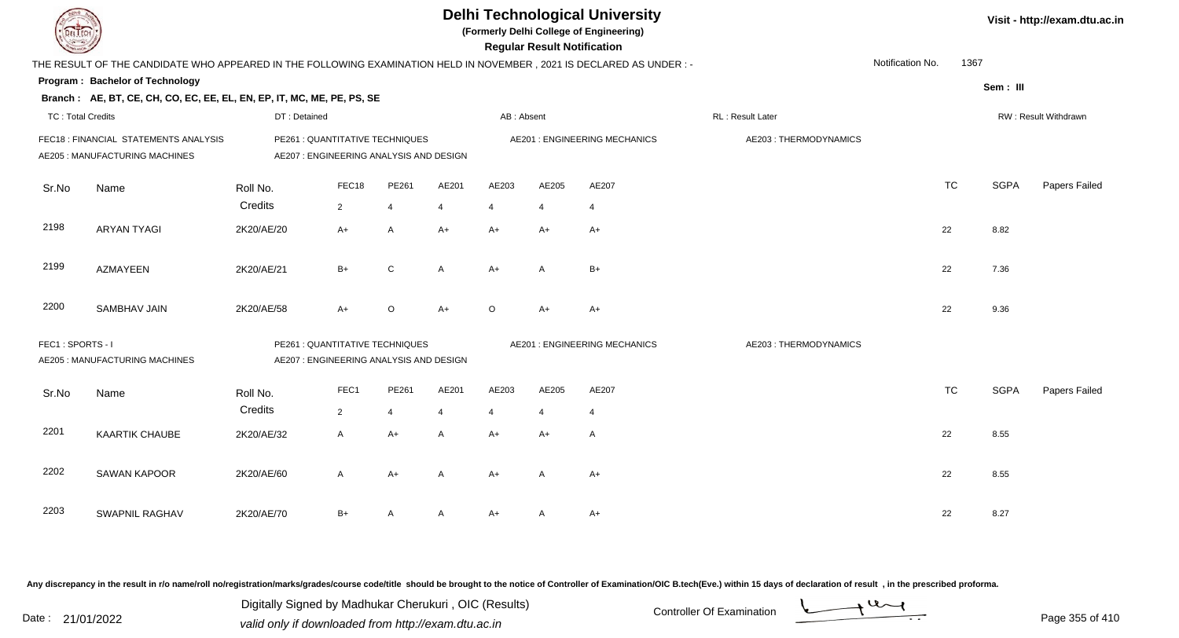| JEL I ECH                |                                                                                                                      |              |                                                                            |                |              |                       | <b>Regular Result Notification</b> | <b>Delhi Technological University</b><br>(Formerly Delhi College of Engineering) |                       |                  |           |             | Visit - http://exam.dtu.ac.in |
|--------------------------|----------------------------------------------------------------------------------------------------------------------|--------------|----------------------------------------------------------------------------|----------------|--------------|-----------------------|------------------------------------|----------------------------------------------------------------------------------|-----------------------|------------------|-----------|-------------|-------------------------------|
|                          | THE RESULT OF THE CANDIDATE WHO APPEARED IN THE FOLLOWING EXAMINATION HELD IN NOVEMBER, 2021 IS DECLARED AS UNDER :- |              |                                                                            |                |              |                       |                                    |                                                                                  |                       | Notification No. | 1367      |             |                               |
|                          | Program: Bachelor of Technology                                                                                      |              |                                                                            |                |              |                       |                                    |                                                                                  |                       |                  |           | Sem: III    |                               |
|                          | Branch: AE, BT, CE, CH, CO, EC, EE, EL, EN, EP, IT, MC, ME, PE, PS, SE                                               |              |                                                                            |                |              |                       |                                    |                                                                                  |                       |                  |           |             |                               |
| <b>TC: Total Credits</b> |                                                                                                                      | DT: Detained |                                                                            |                |              | AB: Absent            |                                    |                                                                                  | RL: Result Later      |                  |           |             | RW: Result Withdrawn          |
|                          | FEC18 : FINANCIAL STATEMENTS ANALYSIS<br>AE205 : MANUFACTURING MACHINES                                              |              | PE261 : QUANTITATIVE TECHNIQUES<br>AE207 : ENGINEERING ANALYSIS AND DESIGN |                |              |                       |                                    | <b>AE201: ENGINEERING MECHANICS</b>                                              | AE203: THERMODYNAMICS |                  |           |             |                               |
| Sr.No                    | Name                                                                                                                 | Roll No.     | FEC18                                                                      | PE261          | AE201        | AE203                 | AE205                              | AE207                                                                            |                       |                  | <b>TC</b> | <b>SGPA</b> | Papers Failed                 |
|                          |                                                                                                                      | Credits      | $\overline{2}$                                                             | $\overline{4}$ | 4            | $\boldsymbol{\Delta}$ |                                    | $\overline{4}$                                                                   |                       |                  |           |             |                               |
| 2198                     | <b>ARYAN TYAGI</b>                                                                                                   | 2K20/AE/20   | $A+$                                                                       | A              | A+           | $A+$                  | $A+$                               | $A+$                                                                             |                       |                  | 22        | 8.82        |                               |
| 2199                     | <b>AZMAYEEN</b>                                                                                                      | 2K20/AE/21   | $B+$                                                                       | C              | $\mathsf{A}$ | $A+$                  | $\mathsf{A}$                       | $B+$                                                                             |                       |                  | 22        | 7.36        |                               |
| 2200                     | <b>SAMBHAV JAIN</b>                                                                                                  | 2K20/AE/58   | $A+$                                                                       | $\mathsf O$    | A+           | $\circ$               | $A+$                               | $A+$                                                                             |                       |                  | 22        | 9.36        |                               |
| FEC1: SPORTS - I         | <b>AE205: MANUFACTURING MACHINES</b>                                                                                 |              | PE261 : QUANTITATIVE TECHNIQUES<br>AE207 : ENGINEERING ANALYSIS AND DESIGN |                |              |                       |                                    | AE201 : ENGINEERING MECHANICS                                                    | AE203: THERMODYNAMICS |                  |           |             |                               |
| Sr.No                    | Name                                                                                                                 | Roll No.     | FEC1                                                                       | PE261          | AE201        | AE203                 | AE205                              | AE207                                                                            |                       |                  | <b>TC</b> | <b>SGPA</b> | Papers Failed                 |
|                          |                                                                                                                      | Credits      | $\overline{2}$                                                             | $\overline{4}$ | 4            | $\overline{4}$        | $\overline{4}$                     | $\overline{4}$                                                                   |                       |                  |           |             |                               |
| 2201                     | <b>KAARTIK CHAUBE</b>                                                                                                | 2K20/AE/32   | A                                                                          | $A+$           | A            | $A+$                  | $A+$                               | $\mathsf{A}$                                                                     |                       |                  | 22        | 8.55        |                               |
| 2202                     | <b>SAWAN KAPOOR</b>                                                                                                  | 2K20/AE/60   | A                                                                          | $A+$           | A            | $A+$                  | A                                  | $A+$                                                                             |                       |                  | 22        | 8.55        |                               |
| 2203                     | <b>SWAPNIL RAGHAV</b>                                                                                                | 2K20/AE/70   | $B+$                                                                       | A              | A            | $A+$                  | A                                  | $A+$                                                                             |                       |                  | 22        | 8.27        |                               |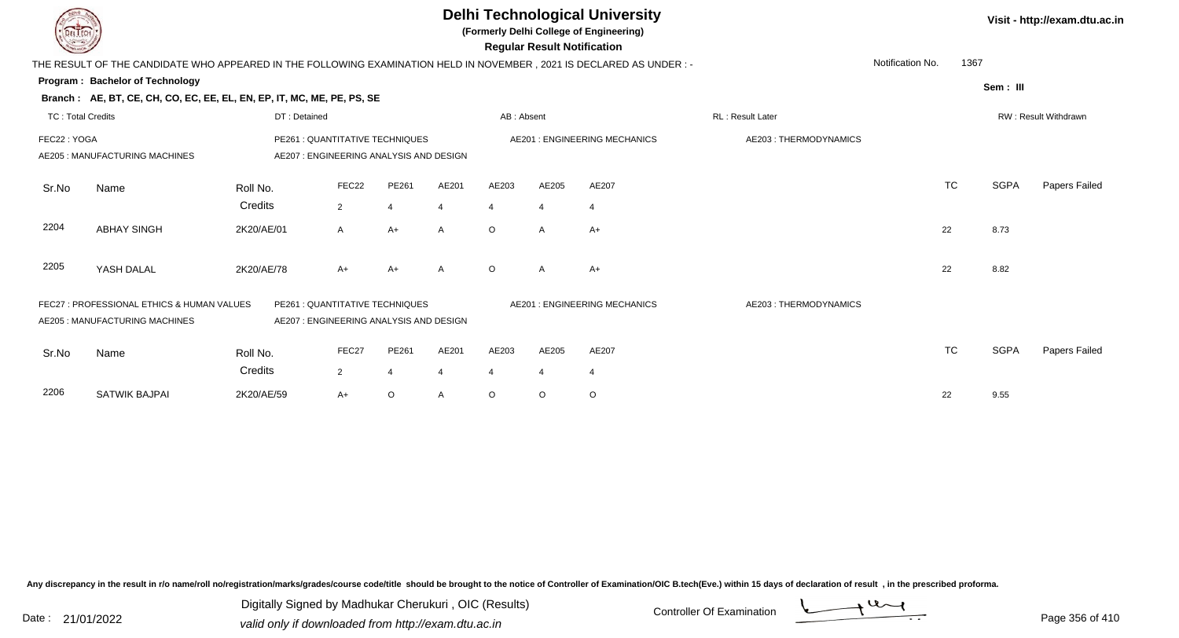| DEL TEC                  |                                                                                                                      |              |                                                                           |                         |                |                | <b>Regular Result Notification</b> | <b>Delhi Technological University</b><br>(Formerly Delhi College of Engineering) |                       |                  |           |             | Visit - http://exam.dtu.ac.in |
|--------------------------|----------------------------------------------------------------------------------------------------------------------|--------------|---------------------------------------------------------------------------|-------------------------|----------------|----------------|------------------------------------|----------------------------------------------------------------------------------|-----------------------|------------------|-----------|-------------|-------------------------------|
|                          | THE RESULT OF THE CANDIDATE WHO APPEARED IN THE FOLLOWING EXAMINATION HELD IN NOVEMBER, 2021 IS DECLARED AS UNDER :- |              |                                                                           |                         |                |                |                                    |                                                                                  |                       | Notification No. | 1367      |             |                               |
|                          | Program: Bachelor of Technology                                                                                      |              |                                                                           |                         |                |                |                                    |                                                                                  |                       |                  |           | Sem: III    |                               |
|                          | Branch: AE, BT, CE, CH, CO, EC, EE, EL, EN, EP, IT, MC, ME, PE, PS, SE                                               |              |                                                                           |                         |                |                |                                    |                                                                                  |                       |                  |           |             |                               |
| <b>TC: Total Credits</b> |                                                                                                                      | DT: Detained |                                                                           |                         |                | AB: Absent     |                                    |                                                                                  | RL: Result Later      |                  |           |             | RW: Result Withdrawn          |
| FEC22: YOGA              | AE205 : MANUFACTURING MACHINES                                                                                       |              | PE261 : QUANTITATIVE TECHNIQUES<br>AE207: ENGINEERING ANALYSIS AND DESIGN |                         |                |                |                                    | AE201 : ENGINEERING MECHANICS                                                    | AE203: THERMODYNAMICS |                  |           |             |                               |
| Sr.No                    | Name                                                                                                                 | Roll No.     | FEC22                                                                     | PE261                   | AE201          | AE203          | AE205                              | AE207                                                                            |                       |                  | <b>TC</b> | <b>SGPA</b> | Papers Failed                 |
|                          |                                                                                                                      | Credits      | $\overline{2}$                                                            | $\overline{4}$          | $\overline{4}$ | $\overline{4}$ | $\overline{4}$                     | $\overline{4}$                                                                   |                       |                  |           |             |                               |
| 2204                     | <b>ABHAY SINGH</b>                                                                                                   | 2K20/AE/01   | $\mathsf{A}$                                                              | $A+$                    | $\mathsf{A}$   | $\circ$        | A                                  | $A+$                                                                             |                       | 22               |           | 8.73        |                               |
| 2205                     | YASH DALAL                                                                                                           | 2K20/AE/78   | $A+$                                                                      | $A+$                    | A              | $\circ$        | A                                  | A+                                                                               |                       | 22               |           | 8.82        |                               |
|                          | FEC27 : PROFESSIONAL ETHICS & HUMAN VALUES<br>AE205 : MANUFACTURING MACHINES                                         |              | PE261 : QUANTITATIVE TECHNIQUES<br>AE207: ENGINEERING ANALYSIS AND DESIGN |                         |                |                |                                    | <b>AE201: ENGINEERING MECHANICS</b>                                              | AE203: THERMODYNAMICS |                  |           |             |                               |
| Sr.No                    | Name                                                                                                                 | Roll No.     | FEC27                                                                     | PE261                   | AE201          | AE203          | AE205                              | AE207                                                                            |                       |                  | <b>TC</b> | <b>SGPA</b> | Papers Failed                 |
|                          |                                                                                                                      | Credits      | $\overline{2}$                                                            | $\overline{\mathbf{4}}$ | $\overline{4}$ | 4              | 4                                  | 4                                                                                |                       |                  |           |             |                               |
| 2206                     | <b>SATWIK BAJPAI</b>                                                                                                 | 2K20/AE/59   | $A+$                                                                      | $\circ$                 | A              | $\circ$        | O                                  | $\circ$                                                                          |                       | 22               |           | 9.55        |                               |

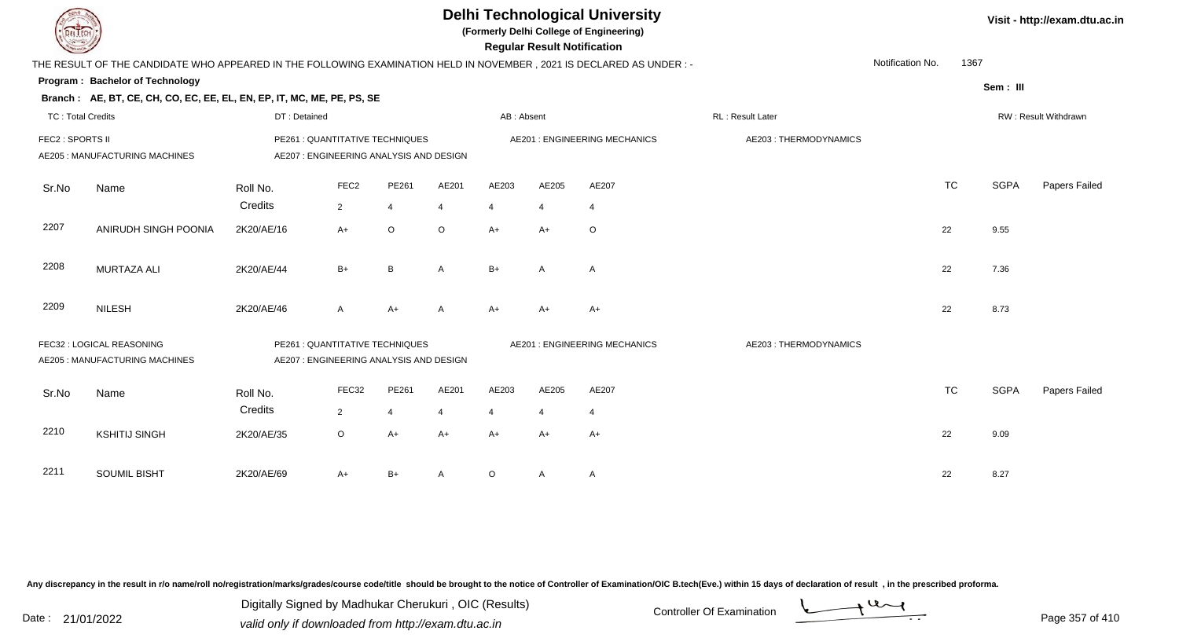| <b>DEL</b> ECH           |                                                                                                                     |                                                                            |                  |                |       |            | <b>Regular Result Notification</b> | <b>Delhi Technological University</b><br>(Formerly Delhi College of Engineering) |                       |                          |             | Visit - http://exam.dtu.ac.in |
|--------------------------|---------------------------------------------------------------------------------------------------------------------|----------------------------------------------------------------------------|------------------|----------------|-------|------------|------------------------------------|----------------------------------------------------------------------------------|-----------------------|--------------------------|-------------|-------------------------------|
|                          | THE RESULT OF THE CANDIDATE WHO APPEARED IN THE FOLLOWING EXAMINATION HELD IN NOVEMBER, 2021 IS DECLARED AS UNDER:- |                                                                            |                  |                |       |            |                                    |                                                                                  |                       | Notification No.<br>1367 |             |                               |
|                          | Program: Bachelor of Technology                                                                                     |                                                                            |                  |                |       |            |                                    |                                                                                  |                       |                          | Sem: III    |                               |
|                          | Branch: AE, BT, CE, CH, CO, EC, EE, EL, EN, EP, IT, MC, ME, PE, PS, SE                                              |                                                                            |                  |                |       |            |                                    |                                                                                  |                       |                          |             |                               |
| <b>TC: Total Credits</b> |                                                                                                                     | DT: Detained                                                               |                  |                |       | AB: Absent |                                    |                                                                                  | RL: Result Later      |                          |             | RW: Result Withdrawn          |
| FEC2 : SPORTS II         | PE261 : QUANTITATIVE TECHNIQUES<br>AE205 : MANUFACTURING MACHINES<br>AE207 : ENGINEERING ANALYSIS AND DESIGN        |                                                                            |                  |                |       |            | AE201 : ENGINEERING MECHANICS      | AE203: THERMODYNAMICS                                                            |                       |                          |             |                               |
| Sr.No                    | Name                                                                                                                | Roll No.                                                                   | FEC <sub>2</sub> | PE261          | AE201 | AE203      | AE205                              | AE207                                                                            |                       | <b>TC</b>                | <b>SGPA</b> | Papers Failed                 |
|                          |                                                                                                                     | Credits                                                                    | $\overline{2}$   | $\overline{4}$ | 4     | 4          |                                    | 4                                                                                |                       |                          |             |                               |
| 2207                     | ANIRUDH SINGH POONIA                                                                                                | 2K20/AE/16                                                                 | $A+$             | O              | O     | $A+$       | A+                                 | $\circ$                                                                          |                       | 22                       | 9.55        |                               |
| 2208                     | <b>MURTAZA ALI</b>                                                                                                  | 2K20/AE/44                                                                 | $B+$             | B              | A     | $B+$       | A                                  | $\mathsf{A}$                                                                     |                       | 22                       | 7.36        |                               |
| 2209                     | <b>NILESH</b>                                                                                                       | 2K20/AE/46                                                                 | A                | $A+$           | A     | $A+$       | $A+$                               | $A+$                                                                             |                       | 22                       | 8.73        |                               |
|                          | FEC32 : LOGICAL REASONING<br>AE205 : MANUFACTURING MACHINES                                                         | PE261 : QUANTITATIVE TECHNIQUES<br>AE207 : ENGINEERING ANALYSIS AND DESIGN |                  |                |       |            |                                    | <b>AE201: ENGINEERING MECHANICS</b>                                              | AE203: THERMODYNAMICS |                          |             |                               |
| Sr.No                    | Name                                                                                                                | Roll No.                                                                   | FEC32            | PE261          | AE201 | AE203      | AE205                              | AE207                                                                            |                       | <b>TC</b>                | <b>SGPA</b> | Papers Failed                 |
|                          |                                                                                                                     | Credits                                                                    | $\overline{2}$   | $\overline{4}$ | 4     | 4          |                                    | $\overline{4}$                                                                   |                       |                          |             |                               |
| 2210                     | <b>KSHITIJ SINGH</b>                                                                                                | 2K20/AE/35                                                                 | $\circ$          | $A+$           | A+    | $A+$       | $A+$                               | $A+$                                                                             |                       | 22                       | 9.09        |                               |
| 2211                     | <b>SOUMIL BISHT</b>                                                                                                 | 2K20/AE/69                                                                 | A+               | $B+$           | A     | $\circ$    | A                                  | A                                                                                |                       | 22                       | 8.27        |                               |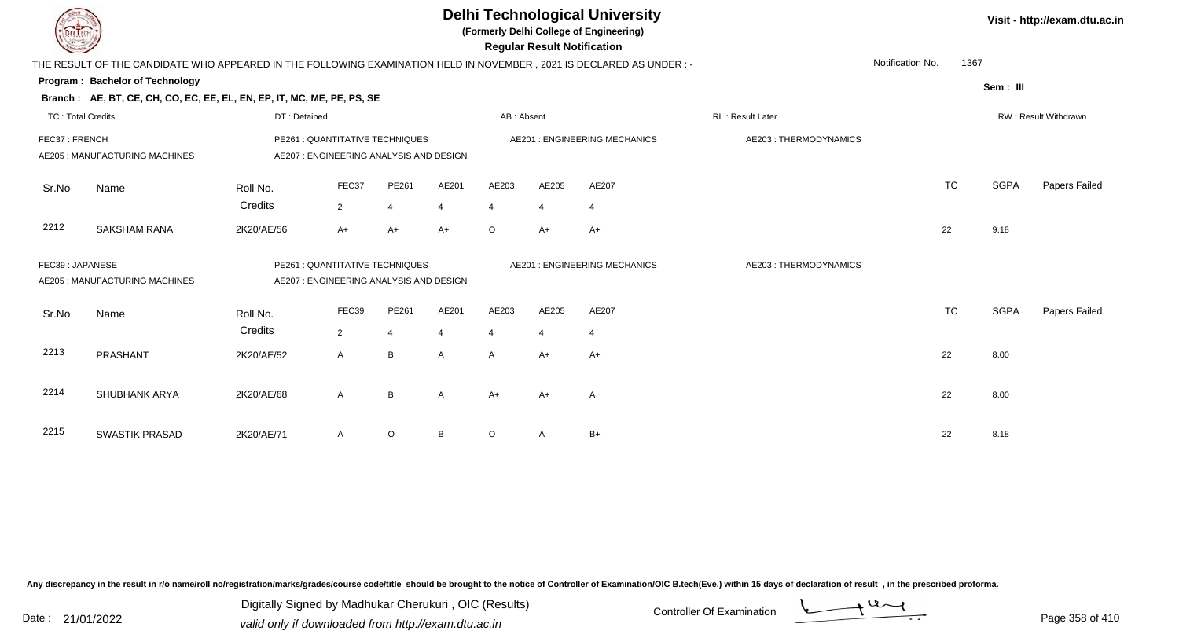|                          |                                                                                                                               |                     |                                                                            |                         |                         |                         | <b>Regular Result Notification</b> | <b>Delhi Technological University</b><br>(Formerly Delhi College of Engineering) |                       |                  |             | Visit - http://exam.dtu.ac.in |
|--------------------------|-------------------------------------------------------------------------------------------------------------------------------|---------------------|----------------------------------------------------------------------------|-------------------------|-------------------------|-------------------------|------------------------------------|----------------------------------------------------------------------------------|-----------------------|------------------|-------------|-------------------------------|
|                          | THE RESULT OF THE CANDIDATE WHO APPEARED IN THE FOLLOWING EXAMINATION HELD IN NOVEMBER, 2021 IS DECLARED AS UNDER:-           |                     |                                                                            |                         |                         |                         |                                    |                                                                                  |                       | Notification No. | 1367        |                               |
|                          | Program: Bachelor of Technology<br>Branch: AE, BT, CE, CH, CO, EC, EE, EL, EN, EP, IT, MC, ME, PE, PS, SE                     |                     |                                                                            |                         |                         |                         |                                    |                                                                                  |                       |                  | Sem: III    |                               |
| <b>TC: Total Credits</b> |                                                                                                                               | DT: Detained        |                                                                            |                         |                         | AB: Absent              |                                    |                                                                                  | RL : Result Later     |                  |             | RW: Result Withdrawn          |
|                          | FEC37: FRENCH<br>PE261 : QUANTITATIVE TECHNIQUES<br>AE207 : ENGINEERING ANALYSIS AND DESIGN<br>AE205 : MANUFACTURING MACHINES |                     |                                                                            |                         |                         |                         |                                    | <b>AE201: ENGINEERING MECHANICS</b>                                              | AE203: THERMODYNAMICS |                  |             |                               |
| Sr.No                    | Name                                                                                                                          | Roll No.<br>Credits | FEC37<br>$\overline{2}$                                                    | PE261<br>$\overline{4}$ | AE201<br>$\overline{4}$ | AE203<br>$\overline{4}$ | AE205<br>4                         | AE207<br>$\overline{4}$                                                          |                       | <b>TC</b>        | <b>SGPA</b> | Papers Failed                 |
| 2212                     | <b>SAKSHAM RANA</b>                                                                                                           | 2K20/AE/56          | $A+$                                                                       | $A+$                    | $A+$                    | $\circ$                 | $A+$                               | $A+$                                                                             |                       | 22               | 9.18        |                               |
| FEC39: JAPANESE          | AE205 : MANUFACTURING MACHINES                                                                                                |                     | PE261 : QUANTITATIVE TECHNIQUES<br>AE207 : ENGINEERING ANALYSIS AND DESIGN |                         |                         |                         |                                    | <b>AE201: ENGINEERING MECHANICS</b>                                              | AE203: THERMODYNAMICS |                  |             |                               |
| Sr.No                    | Name                                                                                                                          | Roll No.<br>Credits | FEC39<br>$\overline{2}$                                                    | PE261<br>$\overline{4}$ | AE201<br>4              | AE203<br>$\overline{4}$ | AE205                              | AE207<br>$\overline{4}$                                                          |                       | <b>TC</b>        | <b>SGPA</b> | Papers Failed                 |
| 2213                     | PRASHANT                                                                                                                      | 2K20/AE/52          | $\mathsf{A}$                                                               | B                       | $\mathsf{A}$            | A                       | $A+$                               | $A+$                                                                             |                       | 22               | 8.00        |                               |
| 2214                     | <b>SHUBHANK ARYA</b>                                                                                                          | 2K20/AE/68          | $\mathsf{A}$                                                               | B                       | A                       | $A+$                    | A+                                 | A                                                                                |                       | 22               | 8.00        |                               |
| 2215                     | <b>SWASTIK PRASAD</b>                                                                                                         | 2K20/AE/71          | A                                                                          | $\circ$                 | B                       | O                       | Α                                  | $B+$                                                                             |                       | 22               | 8.18        |                               |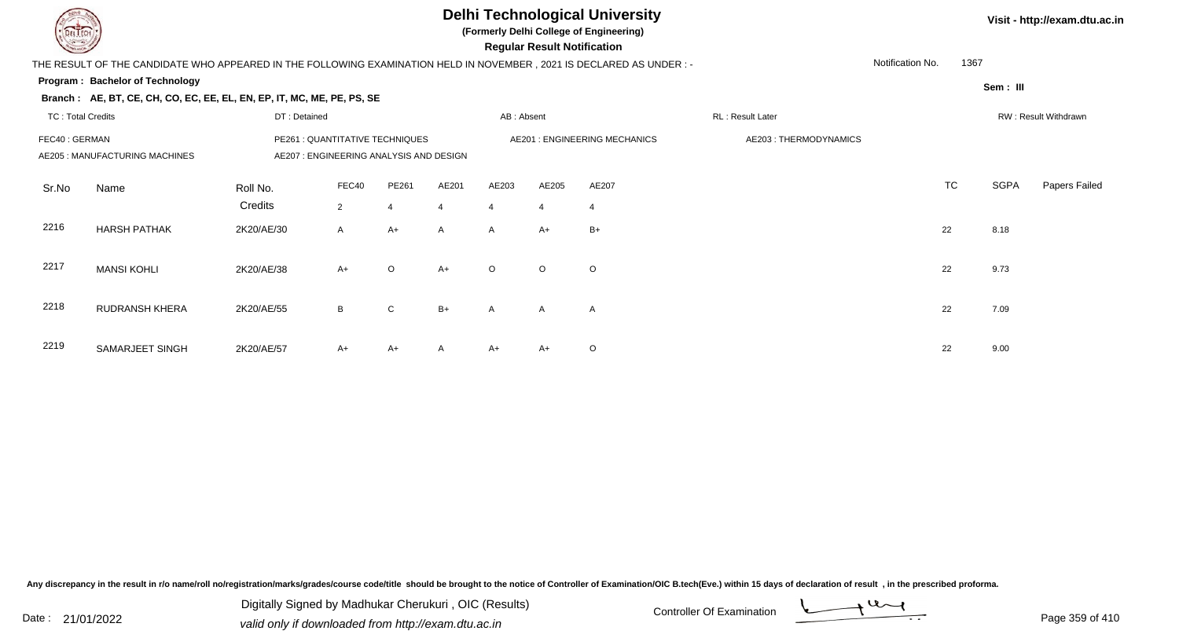## **Delhi Technological University**

**(Formerly Delhi College of Engineering)**

 **Regular Result Notification**

**Visit - http://exam.dtu.ac.in**

| $\sim$                   |                                                                                                                                |              |                |                |                |                | ncyular ncəult notification |                               |                        |                  |           |          |                      |
|--------------------------|--------------------------------------------------------------------------------------------------------------------------------|--------------|----------------|----------------|----------------|----------------|-----------------------------|-------------------------------|------------------------|------------------|-----------|----------|----------------------|
|                          | THE RESULT OF THE CANDIDATE WHO APPEARED IN THE FOLLOWING EXAMINATION HELD IN NOVEMBER , 2021 IS DECLARED AS UNDER : -         |              |                |                |                |                |                             |                               |                        | Notification No. | 1367      |          |                      |
|                          | Program: Bachelor of Technology                                                                                                |              |                |                |                |                |                             |                               |                        |                  |           | Sem: III |                      |
|                          | Branch: AE, BT, CE, CH, CO, EC, EE, EL, EN, EP, IT, MC, ME, PE, PS, SE                                                         |              |                |                |                |                |                             |                               |                        |                  |           |          |                      |
| <b>TC: Total Credits</b> |                                                                                                                                | DT: Detained |                |                |                | AB: Absent     |                             |                               | RL: Result Later       |                  |           |          | RW: Result Withdrawn |
|                          | PE261 : QUANTITATIVE TECHNIQUES<br>FEC40 : GERMAN<br>AE205 : MANUFACTURING MACHINES<br>AE207 : ENGINEERING ANALYSIS AND DESIGN |              |                |                |                |                |                             | AE201 : ENGINEERING MECHANICS | AE203 : THERMODYNAMICS |                  |           |          |                      |
| Sr.No                    | Name                                                                                                                           | Roll No.     | FEC40          | PE261          | AE201          | AE203          | AE205                       | AE207                         |                        |                  | <b>TC</b> | SGPA     | Papers Failed        |
|                          |                                                                                                                                | Credits      | $\overline{2}$ | $\overline{4}$ | $\overline{4}$ | $\overline{4}$ | $\overline{4}$              | $\overline{4}$                |                        |                  |           |          |                      |
| 2216                     | <b>HARSH PATHAK</b>                                                                                                            | 2K20/AE/30   | $\mathsf{A}$   | A+             | $\mathsf{A}$   | $\mathsf{A}$   | $A+$                        | $B+$                          |                        |                  | 22        | 8.18     |                      |
| 2217                     | <b>MANSI KOHLI</b>                                                                                                             | 2K20/AE/38   | $A+$           | $\circ$        | $A+$           | $\Omega$       | $\circ$                     | $\circ$                       |                        |                  | 22        | 9.73     |                      |
| 2218                     | <b>RUDRANSH KHERA</b>                                                                                                          | 2K20/AE/55   | B              | $\mathsf{C}$   | $B+$           | $\mathsf{A}$   | $\mathsf{A}$                | A                             |                        |                  | 22        | 7.09     |                      |
| 2219                     | SAMARJEET SINGH                                                                                                                | 2K20/AE/57   | A+             | A+             | A              | A+             | $A+$                        | $\circ$                       |                        |                  | 22        | 9.00     |                      |

Any discrepancy in the result in r/o name/roll no/registration/marks/grades/course code/title should be brought to the notice of Controller of Examination/OIC B.tech(Eve.) within 15 days of declaration of result, in the pr

Date : 21/01/2022 Digital Digital of Microsofted Chemical Controller Of Examination Determination Page 359 of 41 Digitally Signed by Madhukar Cherukuri , OIC (Results)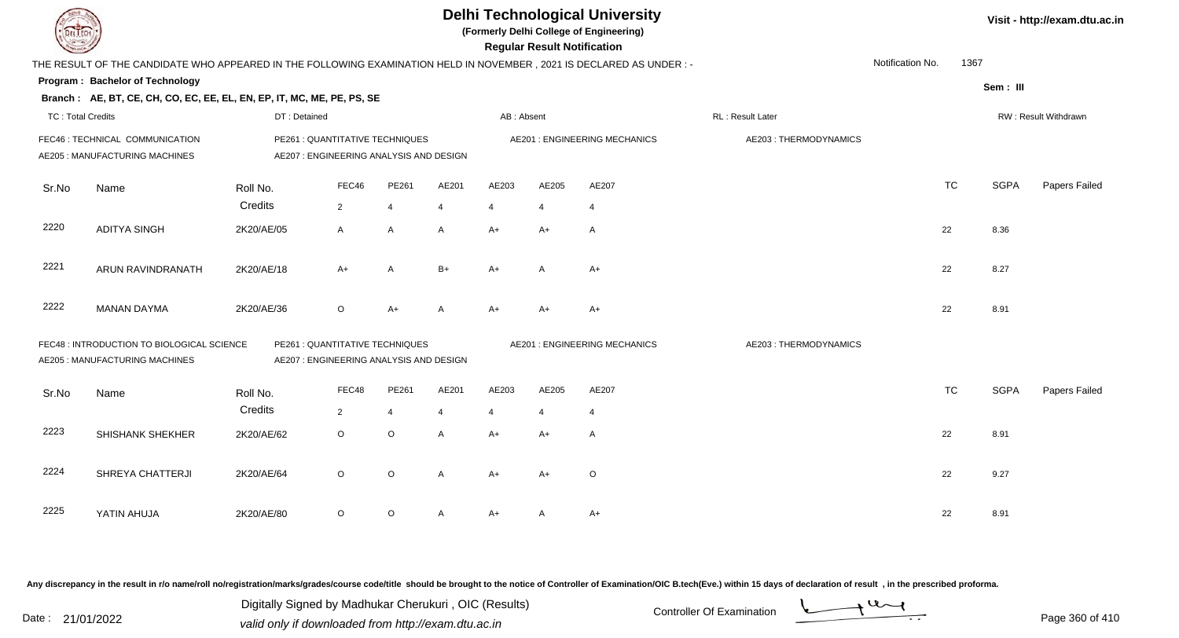| <b>DELTECH</b>                                                                                                                                             |                                                                                                                     | <b>Delhi Technological University</b><br>(Formerly Delhi College of Engineering)<br><b>Regular Result Notification</b> |                |                |       |                               |       |                                     |                       |                  | Visit - http://exam.dtu.ac.in |             |               |
|------------------------------------------------------------------------------------------------------------------------------------------------------------|---------------------------------------------------------------------------------------------------------------------|------------------------------------------------------------------------------------------------------------------------|----------------|----------------|-------|-------------------------------|-------|-------------------------------------|-----------------------|------------------|-------------------------------|-------------|---------------|
|                                                                                                                                                            | THE RESULT OF THE CANDIDATE WHO APPEARED IN THE FOLLOWING EXAMINATION HELD IN NOVEMBER, 2021 IS DECLARED AS UNDER:- |                                                                                                                        |                |                |       |                               |       |                                     |                       | Notification No. | 1367                          |             |               |
|                                                                                                                                                            | Program: Bachelor of Technology                                                                                     |                                                                                                                        |                |                |       |                               |       |                                     |                       |                  |                               | Sem: III    |               |
|                                                                                                                                                            | Branch: AE, BT, CE, CH, CO, EC, EE, EL, EN, EP, IT, MC, ME, PE, PS, SE                                              |                                                                                                                        |                |                |       |                               |       |                                     |                       |                  |                               |             |               |
| <b>TC: Total Credits</b>                                                                                                                                   |                                                                                                                     | DT: Detained                                                                                                           |                |                |       | AB: Absent                    |       |                                     | RL: Result Later      |                  | RW: Result Withdrawn          |             |               |
| FEC46 : TECHNICAL COMMUNICATION<br>AE205 : MANUFACTURING MACHINES                                                                                          |                                                                                                                     | PE261 : QUANTITATIVE TECHNIQUES<br>AE207 : ENGINEERING ANALYSIS AND DESIGN                                             |                |                |       | AE201 : ENGINEERING MECHANICS |       |                                     | AE203: THERMODYNAMICS |                  |                               |             |               |
| Sr.No                                                                                                                                                      | Name                                                                                                                | Roll No.                                                                                                               | FEC46          | PE261          | AE201 | AE203                         | AE205 | AE207                               |                       |                  | <b>TC</b>                     | <b>SGPA</b> | Papers Failed |
|                                                                                                                                                            |                                                                                                                     | Credits                                                                                                                | $\overline{2}$ | $\overline{4}$ | 4     | 4                             | 4     | $\overline{4}$                      |                       |                  |                               |             |               |
| 2220                                                                                                                                                       | <b>ADITYA SINGH</b>                                                                                                 | 2K20/AE/05                                                                                                             | $\overline{A}$ | $\mathsf{A}$   | A     | $A+$                          | $A+$  | $\mathsf{A}$                        |                       |                  | 22                            | 8.36        |               |
| 2221                                                                                                                                                       | ARUN RAVINDRANATH                                                                                                   | 2K20/AE/18                                                                                                             | $A+$           | A              | $B+$  | $A+$                          | A     | $A+$                                |                       |                  | 22                            | 8.27        |               |
| 2222                                                                                                                                                       | <b>MANAN DAYMA</b>                                                                                                  | 2K20/AE/36                                                                                                             | $\circ$        | $A+$           | A     | $A+$                          | $A+$  | $A+$                                |                       |                  | 22                            | 8.91        |               |
| FEC48 : INTRODUCTION TO BIOLOGICAL SCIENCE<br>PE261 : QUANTITATIVE TECHNIQUES<br>AE205 : MANUFACTURING MACHINES<br>AE207 : ENGINEERING ANALYSIS AND DESIGN |                                                                                                                     |                                                                                                                        |                |                |       |                               |       | <b>AE201: ENGINEERING MECHANICS</b> | AE203: THERMODYNAMICS |                  |                               |             |               |
| Sr.No                                                                                                                                                      | Name                                                                                                                | Roll No.                                                                                                               | FEC48          | PE261          | AE201 | AE203                         | AE205 | AE207                               |                       |                  | <b>TC</b>                     | <b>SGPA</b> | Papers Failed |
|                                                                                                                                                            |                                                                                                                     | Credits                                                                                                                | $\overline{2}$ | $\overline{4}$ | 4     | $\overline{4}$                | 4     | $\overline{4}$                      |                       |                  |                               |             |               |
| 2223                                                                                                                                                       | SHISHANK SHEKHER                                                                                                    | 2K20/AE/62                                                                                                             | $\circ$        | $\circ$        | A     | $A+$                          | A+    | $\mathsf{A}$                        |                       |                  | 22                            | 8.91        |               |
| 2224                                                                                                                                                       | SHREYA CHATTERJI                                                                                                    | 2K20/AE/64                                                                                                             | $\mathsf O$    | $\circ$        | A     | $A+$                          | A+    | $\circ$                             |                       |                  | 22                            | 9.27        |               |
| 2225                                                                                                                                                       | YATIN AHUJA                                                                                                         | 2K20/AE/80                                                                                                             | $\circ$        | $\circ$        | A     | A+                            | Α     | $A+$                                |                       |                  | 22                            | 8.91        |               |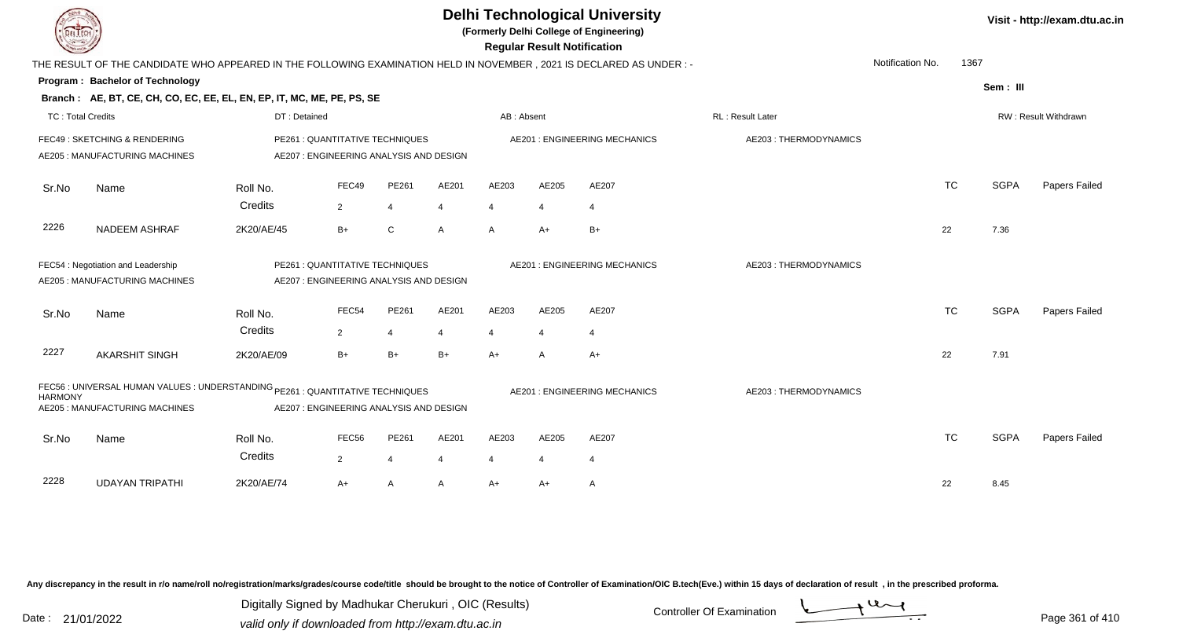| DEL TECH                 |                                                                                                                     |                     |                                                                            |                         |            |                         | <b>Regular Result Notification</b> | <b>Delhi Technological University</b><br>(Formerly Delhi College of Engineering) |                       |                  |      |             | Visit - http://exam.dtu.ac.in |
|--------------------------|---------------------------------------------------------------------------------------------------------------------|---------------------|----------------------------------------------------------------------------|-------------------------|------------|-------------------------|------------------------------------|----------------------------------------------------------------------------------|-----------------------|------------------|------|-------------|-------------------------------|
|                          | THE RESULT OF THE CANDIDATE WHO APPEARED IN THE FOLLOWING EXAMINATION HELD IN NOVEMBER, 2021 IS DECLARED AS UNDER:- |                     |                                                                            |                         |            |                         |                                    |                                                                                  |                       | Notification No. | 1367 |             |                               |
|                          | Program: Bachelor of Technology                                                                                     |                     |                                                                            |                         |            |                         |                                    |                                                                                  |                       |                  |      | Sem: III    |                               |
|                          | Branch: AE, BT, CE, CH, CO, EC, EE, EL, EN, EP, IT, MC, ME, PE, PS, SE                                              |                     |                                                                            |                         |            |                         |                                    |                                                                                  |                       |                  |      |             |                               |
| <b>TC: Total Credits</b> |                                                                                                                     | DT: Detained        |                                                                            |                         |            | AB: Absent              |                                    |                                                                                  | RL: Result Later      |                  |      |             | RW: Result Withdrawn          |
|                          | FEC49: SKETCHING & RENDERING<br>AE205 : MANUFACTURING MACHINES                                                      |                     | PE261 : QUANTITATIVE TECHNIQUES<br>AE207: ENGINEERING ANALYSIS AND DESIGN  |                         |            |                         |                                    | <b>AE201: ENGINEERING MECHANICS</b>                                              | AE203: THERMODYNAMICS |                  |      |             |                               |
| Sr.No                    | Name                                                                                                                | Roll No.<br>Credits | FEC49<br>$\overline{2}$                                                    | PE261<br>$\overline{4}$ | AE201<br>4 | AE203<br>$\overline{4}$ | AE205<br>$\overline{4}$            | AE207<br>$\overline{4}$                                                          |                       | <b>TC</b>        |      | <b>SGPA</b> | Papers Failed                 |
| 2226                     | <b>NADEEM ASHRAF</b>                                                                                                | 2K20/AE/45          | $B+$                                                                       | C                       | A          | $\mathsf{A}$            | $A+$                               | $B+$                                                                             |                       | 22               |      | 7.36        |                               |
|                          | FEC54 : Negotiation and Leadership<br>AE205 : MANUFACTURING MACHINES                                                |                     | PE261 : QUANTITATIVE TECHNIQUES<br>AE207 : ENGINEERING ANALYSIS AND DESIGN |                         |            |                         |                                    | <b>AE201: ENGINEERING MECHANICS</b>                                              | AE203: THERMODYNAMICS |                  |      |             |                               |
| Sr.No                    | Name                                                                                                                | Roll No.<br>Credits | FEC54<br>$\overline{2}$                                                    | PE261<br>$\overline{4}$ | AE201<br>4 | AE203<br>4              | AE205<br>4                         | AE207<br>$\overline{4}$                                                          |                       | <b>TC</b>        |      | <b>SGPA</b> | Papers Failed                 |
| 2227                     | <b>AKARSHIT SINGH</b>                                                                                               | 2K20/AE/09          | $B+$                                                                       | $B+$                    | $B+$       | A+                      | A                                  | $A+$                                                                             |                       | 22               |      | 7.91        |                               |
| <b>HARMONY</b>           | FEC56 : UNIVERSAL HUMAN VALUES : UNDERSTANDING PE261 : QUANTITATIVE TECHNIQUES<br>AE205 : MANUFACTURING MACHINES    |                     | AE207 : ENGINEERING ANALYSIS AND DESIGN                                    |                         |            |                         |                                    | AE201 : ENGINEERING MECHANICS                                                    | AE203: THERMODYNAMICS |                  |      |             |                               |
| Sr.No                    | Name                                                                                                                | Roll No.<br>Credits | FEC <sub>56</sub><br>2                                                     | PE261<br>$\overline{4}$ | AE201<br>4 | AE203                   | AE205<br>4                         | AE207<br>-4                                                                      |                       | <b>TC</b>        |      | <b>SGPA</b> | Papers Failed                 |
| 2228                     | <b>UDAYAN TRIPATHI</b>                                                                                              | 2K20/AE/74          | A+                                                                         | A                       | A          | A+                      | $A+$                               | A                                                                                |                       | 22               |      | 8.45        |                               |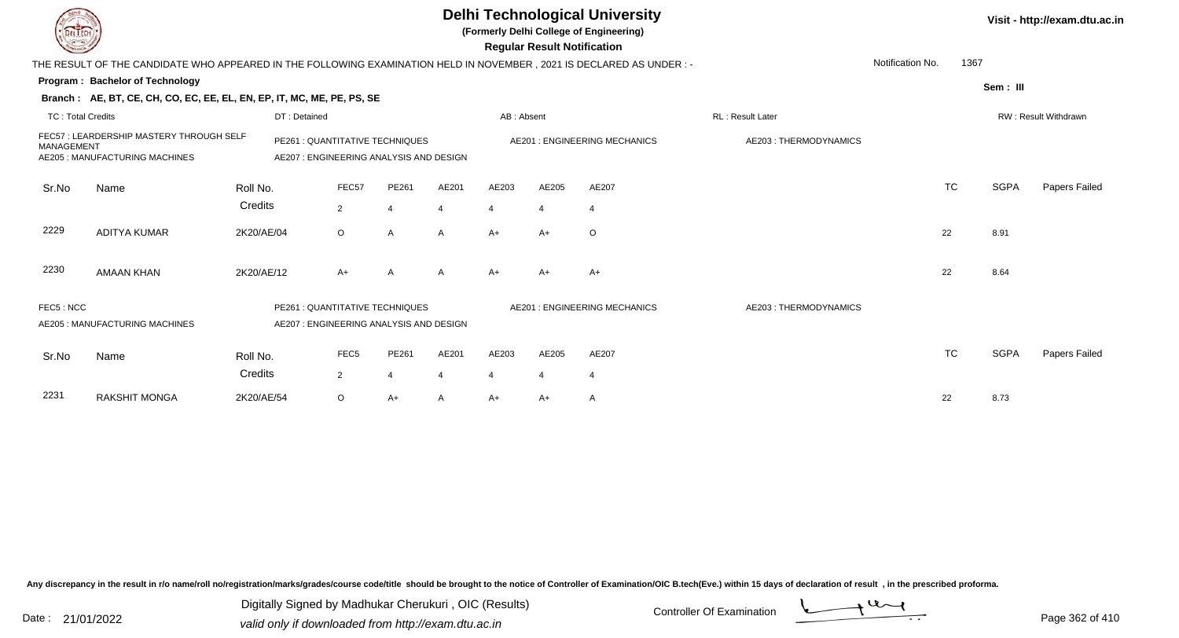|                          |                                                                                                                      |            |                                                                           |                  |       |                |            | <b>Regular Result Notification</b> | <b>Delhi Technological University</b><br>(Formerly Delhi College of Engineering) |                       |                  |      |             | Visit - http://exam.dtu.ac.in |
|--------------------------|----------------------------------------------------------------------------------------------------------------------|------------|---------------------------------------------------------------------------|------------------|-------|----------------|------------|------------------------------------|----------------------------------------------------------------------------------|-----------------------|------------------|------|-------------|-------------------------------|
|                          | THE RESULT OF THE CANDIDATE WHO APPEARED IN THE FOLLOWING EXAMINATION HELD IN NOVEMBER, 2021 IS DECLARED AS UNDER :- |            |                                                                           |                  |       |                |            |                                    |                                                                                  |                       | Notification No. | 1367 |             |                               |
|                          | Program: Bachelor of Technology                                                                                      |            |                                                                           |                  |       |                |            |                                    |                                                                                  |                       |                  |      | Sem: III    |                               |
|                          | Branch: AE, BT, CE, CH, CO, EC, EE, EL, EN, EP, IT, MC, ME, PE, PS, SE                                               |            |                                                                           |                  |       |                |            |                                    |                                                                                  |                       |                  |      |             |                               |
| <b>TC: Total Credits</b> |                                                                                                                      |            | DT: Detained                                                              |                  |       |                | AB: Absent |                                    |                                                                                  | RL: Result Later      |                  |      |             | RW: Result Withdrawn          |
| MANAGEMENT               | FEC57: LEARDERSHIP MASTERY THROUGH SELF<br>AE205 : MANUFACTURING MACHINES                                            |            | PE261 : QUANTITATIVE TECHNIQUES<br>AE207: ENGINEERING ANALYSIS AND DESIGN |                  |       |                |            |                                    | <b>AE201: ENGINEERING MECHANICS</b>                                              | AE203: THERMODYNAMICS |                  |      |             |                               |
| Sr.No                    | Name                                                                                                                 | Roll No.   |                                                                           | FEC57            | PE261 | AE201          | AE203      | AE205                              | AE207                                                                            |                       | <b>TC</b>        |      | <b>SGPA</b> | Papers Failed                 |
|                          |                                                                                                                      | Credits    |                                                                           | $\overline{2}$   | 4     | $\overline{4}$ | 4          | 4                                  | $\overline{4}$                                                                   |                       |                  |      |             |                               |
| 2229                     | <b>ADITYA KUMAR</b>                                                                                                  | 2K20/AE/04 |                                                                           | $\circ$          | A     | A              | A+         | $A+$                               | $\circ$                                                                          |                       | 22               |      | 8.91        |                               |
| 2230                     | <b>AMAAN KHAN</b>                                                                                                    | 2K20/AE/12 |                                                                           | $A+$             | A     | A              | $A+$       | $A+$                               | $A+$                                                                             |                       | 22               |      | 8.64        |                               |
| FEC5: NCC                | AE205 : MANUFACTURING MACHINES                                                                                       |            | PE261 : QUANTITATIVE TECHNIQUES<br>AE207: ENGINEERING ANALYSIS AND DESIGN |                  |       |                |            |                                    | <b>AE201: ENGINEERING MECHANICS</b>                                              | AE203: THERMODYNAMICS |                  |      |             |                               |
| Sr.No                    | Name                                                                                                                 | Roll No.   |                                                                           | FEC <sub>5</sub> | PE261 | AE201          | AE203      | AE205                              | AE207                                                                            |                       | TC               |      | <b>SGPA</b> | Papers Failed                 |
|                          |                                                                                                                      | Credits    |                                                                           | 2                | 4     | $\overline{4}$ | 4          | 4                                  | $\overline{4}$                                                                   |                       |                  |      |             |                               |
| 2231                     | <b>RAKSHIT MONGA</b>                                                                                                 | 2K20/AE/54 |                                                                           | $\circ$          | A+    | A              | A+         | A+                                 | A                                                                                |                       | 22               |      | 8.73        |                               |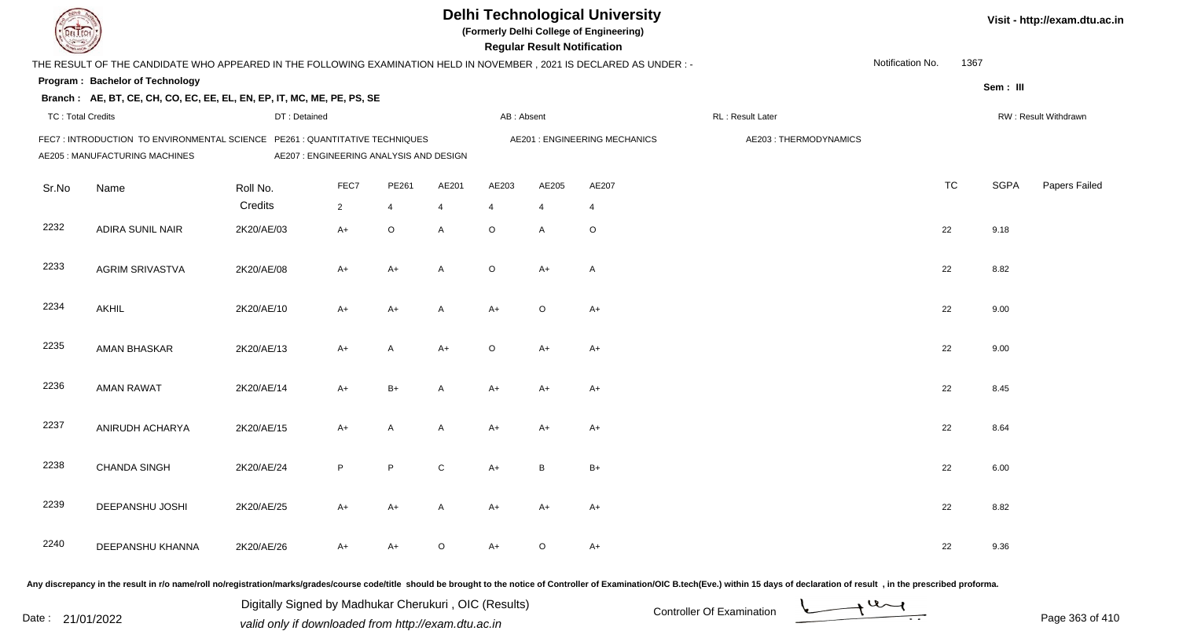|                          |                                                                                                                       |                                         |                |             |              |                | <b>Regular Result Notification</b> | <b>Delhi Technological University</b><br>(Formerly Delhi College of Engineering) |                       |                  |           |             | Visit - http://exam.dtu.ac.in |
|--------------------------|-----------------------------------------------------------------------------------------------------------------------|-----------------------------------------|----------------|-------------|--------------|----------------|------------------------------------|----------------------------------------------------------------------------------|-----------------------|------------------|-----------|-------------|-------------------------------|
|                          | THE RESULT OF THE CANDIDATE WHO APPEARED IN THE FOLLOWING EXAMINATION HELD IN NOVEMBER , 2021 IS DECLARED AS UNDER :- |                                         |                |             |              |                |                                    |                                                                                  |                       | Notification No. | 1367      |             |                               |
|                          | Program: Bachelor of Technology                                                                                       |                                         |                |             |              |                |                                    |                                                                                  |                       |                  |           | Sem: III    |                               |
|                          | Branch: AE, BT, CE, CH, CO, EC, EE, EL, EN, EP, IT, MC, ME, PE, PS, SE                                                |                                         |                |             |              |                |                                    |                                                                                  |                       |                  |           |             |                               |
| <b>TC: Total Credits</b> |                                                                                                                       | DT: Detained                            |                |             |              | AB: Absent     |                                    |                                                                                  | RL : Result Later     |                  |           |             | RW: Result Withdrawn          |
|                          | FEC7: INTRODUCTION TO ENVIRONMENTAL SCIENCE PE261: QUANTITATIVE TECHNIQUES<br>AE205 : MANUFACTURING MACHINES          | AE207 : ENGINEERING ANALYSIS AND DESIGN |                |             |              |                |                                    | <b>AE201: ENGINEERING MECHANICS</b>                                              | AE203: THERMODYNAMICS |                  |           |             |                               |
| Sr.No                    | Name                                                                                                                  | Roll No.                                | FEC7           | PE261       | AE201        | AE203          | AE205                              | AE207                                                                            |                       |                  | <b>TC</b> | <b>SGPA</b> | Papers Failed                 |
|                          |                                                                                                                       | Credits                                 | $\overline{2}$ | 4           | 4            | $\overline{4}$ | $\overline{4}$                     | $\overline{4}$                                                                   |                       |                  |           |             |                               |
| 2232                     | ADIRA SUNIL NAIR                                                                                                      | 2K20/AE/03                              | $A+$           | $\mathsf O$ | A            | $\circ$        | A                                  | $\circ$                                                                          |                       |                  | 22        | 9.18        |                               |
| 2233                     | <b>AGRIM SRIVASTVA</b>                                                                                                | 2K20/AE/08                              | A+             | $A+$        | A            | $\circ$        | $A+$                               | $\overline{A}$                                                                   |                       |                  | 22        | 8.82        |                               |
| 2234                     | <b>AKHIL</b>                                                                                                          | 2K20/AE/10                              | A+             | $A+$        | A            | $A+$           | $\circ$                            | $A+$                                                                             |                       |                  | 22        | 9.00        |                               |
| 2235                     | AMAN BHASKAR                                                                                                          | 2K20/AE/13                              | A+             | A           | $A+$         | $\circ$        | A+                                 | $A+$                                                                             |                       |                  | 22        | 9.00        |                               |
| 2236                     | <b>AMAN RAWAT</b>                                                                                                     | 2K20/AE/14                              | A+             | $B+$        | A            | $A+$           | $A+$                               | $A+$                                                                             |                       |                  | 22        | 8.45        |                               |
| 2237                     | ANIRUDH ACHARYA                                                                                                       | 2K20/AE/15                              | $A+$           | A           | A            | $A+$           | $A+$                               | $A+$                                                                             |                       |                  | 22        | 8.64        |                               |
| 2238                     | <b>CHANDA SINGH</b>                                                                                                   | 2K20/AE/24                              | P              | P           | $\mathsf{C}$ | A+             | B                                  | $B+$                                                                             |                       |                  | 22        | 6.00        |                               |
| 2239                     | DEEPANSHU JOSHI                                                                                                       | 2K20/AE/25                              | A+             | $A+$        | A            | A+             | A+                                 | $A+$                                                                             |                       |                  | 22        | 8.82        |                               |
| 2240                     | DEEPANSHU KHANNA                                                                                                      | 2K20/AE/26                              | A+             | $A+$        | $\circ$      | A+             | $\circ$                            | $A+$                                                                             |                       |                  | 22        | 9.36        |                               |
|                          |                                                                                                                       |                                         |                |             |              |                |                                    |                                                                                  |                       |                  |           |             |                               |

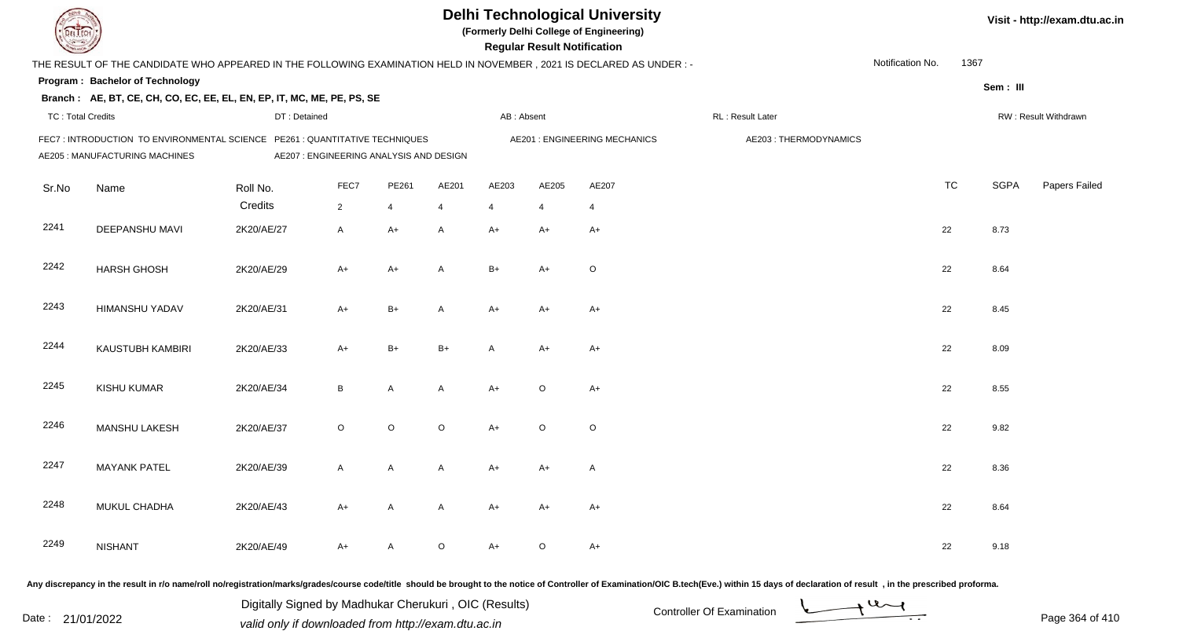| EL I ECH                 |                                                                                                                     |                                         |                |             |         |                | <b>Regular Result Notification</b> | <b>Delhi Technological University</b><br>(Formerly Delhi College of Engineering) |                       |                  |           |             | Visit - http://exam.dtu.ac.in |
|--------------------------|---------------------------------------------------------------------------------------------------------------------|-----------------------------------------|----------------|-------------|---------|----------------|------------------------------------|----------------------------------------------------------------------------------|-----------------------|------------------|-----------|-------------|-------------------------------|
|                          | THE RESULT OF THE CANDIDATE WHO APPEARED IN THE FOLLOWING EXAMINATION HELD IN NOVEMBER, 2021 IS DECLARED AS UNDER:- |                                         |                |             |         |                |                                    |                                                                                  |                       | Notification No. | 1367      |             |                               |
|                          | <b>Program: Bachelor of Technology</b>                                                                              |                                         |                |             |         |                |                                    |                                                                                  |                       |                  |           | Sem: III    |                               |
|                          | Branch: AE, BT, CE, CH, CO, EC, EE, EL, EN, EP, IT, MC, ME, PE, PS, SE                                              |                                         |                |             |         |                |                                    |                                                                                  |                       |                  |           |             |                               |
| <b>TC: Total Credits</b> |                                                                                                                     | DT: Detained                            |                |             |         | AB: Absent     |                                    |                                                                                  | RL : Result Later     |                  |           |             | RW: Result Withdrawn          |
|                          | FEC7: INTRODUCTION TO ENVIRONMENTAL SCIENCE PE261: QUANTITATIVE TECHNIQUES<br>AE205 : MANUFACTURING MACHINES        | AE207 : ENGINEERING ANALYSIS AND DESIGN |                |             |         |                |                                    | <b>AE201: ENGINEERING MECHANICS</b>                                              | AE203: THERMODYNAMICS |                  |           |             |                               |
| Sr.No                    | Name                                                                                                                | Roll No.                                | FEC7           | PE261       | AE201   | AE203          | AE205                              | AE207                                                                            |                       |                  | <b>TC</b> | <b>SGPA</b> | Papers Failed                 |
|                          |                                                                                                                     | Credits                                 | $\overline{2}$ | 4           | 4       | $\overline{4}$ | $\overline{4}$                     | $\overline{4}$                                                                   |                       |                  |           |             |                               |
| 2241                     | DEEPANSHU MAVI                                                                                                      | 2K20/AE/27                              | A              | $A+$        | A       | $A+$           | $A+$                               | $A+$                                                                             |                       | 22               |           | 8.73        |                               |
| 2242                     | <b>HARSH GHOSH</b>                                                                                                  | 2K20/AE/29                              | A+             | $A+$        | A       | $B+$           | $A+$                               | $\circ$                                                                          |                       | 22               |           | 8.64        |                               |
| 2243                     | <b>HIMANSHU YADAV</b>                                                                                               | 2K20/AE/31                              | $A+$           | $B+$        | A       | $A+$           | $A+$                               | $A+$                                                                             |                       | 22               |           | 8.45        |                               |
| 2244                     | KAUSTUBH KAMBIRI                                                                                                    | 2K20/AE/33                              | $A+$           | $B+$        | $B+$    | A              | A+                                 | $A+$                                                                             |                       | 22               |           | 8.09        |                               |
| 2245                     | KISHU KUMAR                                                                                                         | 2K20/AE/34                              | B              | A           | A       | $A+$           | $\circ$                            | $A+$                                                                             |                       | 22               |           | 8.55        |                               |
| 2246                     | MANSHU LAKESH                                                                                                       | 2K20/AE/37                              | $\circ$        | $\mathsf O$ | $\circ$ | $A+$           | $\circ$                            | $\circ$                                                                          |                       | 22               |           | 9.82        |                               |
| 2247                     | <b>MAYANK PATEL</b>                                                                                                 | 2K20/AE/39                              | A              | A           | A       | A+             | A+                                 | A                                                                                |                       | 22               |           | 8.36        |                               |
| 2248                     | MUKUL CHADHA                                                                                                        | 2K20/AE/43                              | A+             | A           | A       | $A+$           | A+                                 | $A+$                                                                             |                       | 22               |           | 8.64        |                               |
| 2249                     | <b>NISHANT</b>                                                                                                      | 2K20/AE/49                              | A+             | A           | $\circ$ | $A+$           | $\circ$                            | $A+$                                                                             |                       | 22               |           | 9.18        |                               |
|                          |                                                                                                                     |                                         |                |             |         |                |                                    |                                                                                  |                       |                  |           |             |                               |

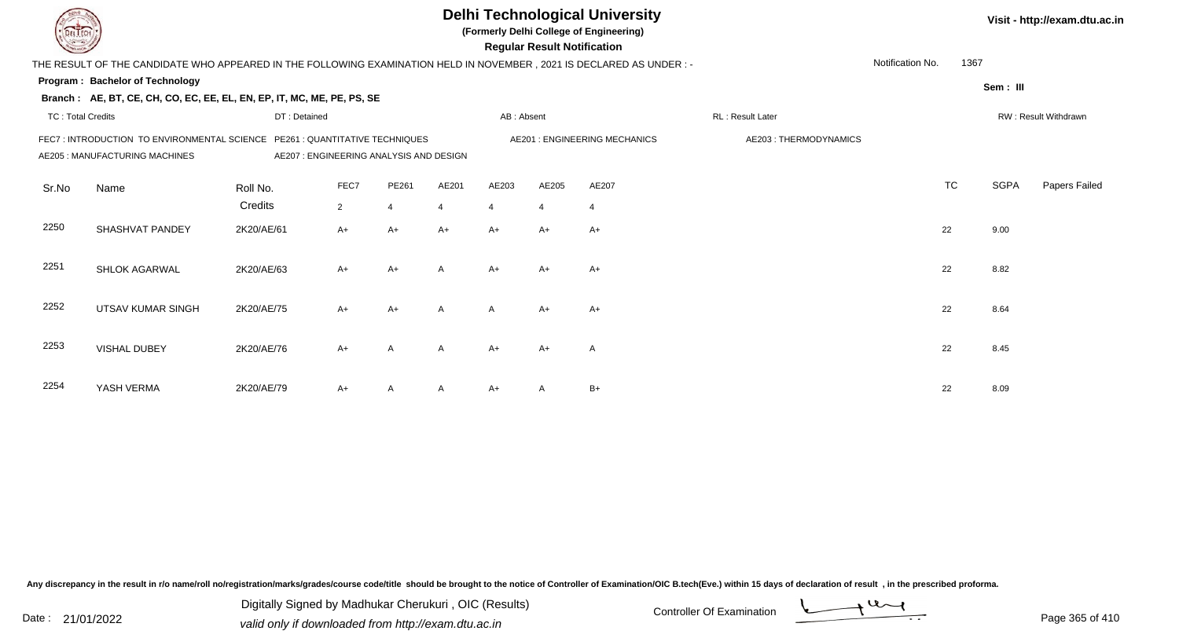|                          |                                                                                                                     |              |                |                                                                            |                |                | <b>Regular Result Notification</b> | <b>Delhi Technological University</b><br>(Formerly Delhi College of Engineering) |                       |                  |           |             | Visit - http://exam.dtu.ac.in |
|--------------------------|---------------------------------------------------------------------------------------------------------------------|--------------|----------------|----------------------------------------------------------------------------|----------------|----------------|------------------------------------|----------------------------------------------------------------------------------|-----------------------|------------------|-----------|-------------|-------------------------------|
|                          | THE RESULT OF THE CANDIDATE WHO APPEARED IN THE FOLLOWING EXAMINATION HELD IN NOVEMBER, 2021 IS DECLARED AS UNDER:- |              |                |                                                                            |                |                |                                    |                                                                                  |                       | Notification No. | 1367      |             |                               |
|                          | <b>Program: Bachelor of Technology</b>                                                                              |              |                |                                                                            |                |                |                                    |                                                                                  |                       |                  |           | Sem: III    |                               |
|                          | Branch: AE, BT, CE, CH, CO, EC, EE, EL, EN, EP, IT, MC, ME, PE, PS, SE                                              |              |                |                                                                            |                |                |                                    |                                                                                  |                       |                  |           |             |                               |
| <b>TC: Total Credits</b> |                                                                                                                     | DT: Detained |                |                                                                            |                | AB: Absent     |                                    |                                                                                  | RL : Result Later     |                  |           |             | RW: Result Withdrawn          |
|                          | FEC7: INTRODUCTION TO ENVIRONMENTAL SCIENCE<br>AE205 : MANUFACTURING MACHINES                                       |              |                | PE261 : QUANTITATIVE TECHNIQUES<br>AE207 : ENGINEERING ANALYSIS AND DESIGN |                |                |                                    | <b>AE201: ENGINEERING MECHANICS</b>                                              | AE203: THERMODYNAMICS |                  |           |             |                               |
| Sr.No                    | Name                                                                                                                | Roll No.     | FEC7           | PE261                                                                      | AE201          | AE203          | AE205                              | AE207                                                                            |                       |                  | <b>TC</b> | <b>SGPA</b> | Papers Failed                 |
|                          |                                                                                                                     | Credits      | $\overline{2}$ | $\overline{4}$                                                             | $\overline{4}$ | $\overline{4}$ | $\overline{4}$                     | $\overline{4}$                                                                   |                       |                  |           |             |                               |
| 2250                     | SHASHVAT PANDEY                                                                                                     | 2K20/AE/61   | A+             | $A+$                                                                       | $A+$           | $A+$           | $A+$                               | $A+$                                                                             |                       |                  | 22        | 9.00        |                               |
| 2251                     | SHLOK AGARWAL                                                                                                       | 2K20/AE/63   | $A+$           | $A+$                                                                       | A              | $A+$           | $A+$                               | $A+$                                                                             |                       |                  | 22        | 8.82        |                               |
| 2252                     | <b>UTSAV KUMAR SINGH</b>                                                                                            | 2K20/AE/75   | $A+$           | $A+$                                                                       | A              | $\mathsf{A}$   | $A+$                               | $A+$                                                                             |                       |                  | 22        | 8.64        |                               |
| 2253                     | VISHAL DUBEY                                                                                                        | 2K20/AE/76   | $A+$           | $\overline{A}$                                                             | A              | $A+$           | $A+$                               | A                                                                                |                       |                  | 22        | 8.45        |                               |
| 2254                     | YASH VERMA                                                                                                          | 2K20/AE/79   | A+             | A                                                                          | A              | $A+$           | A                                  | $B+$                                                                             |                       |                  | 22        | 8.09        |                               |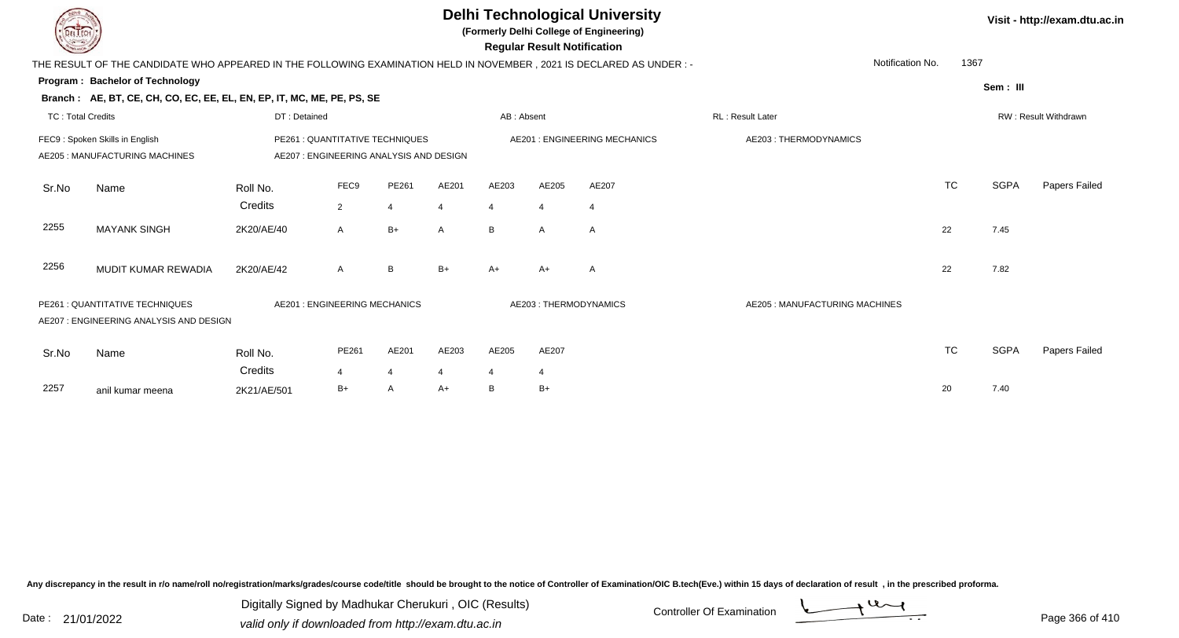|                          |                                                                                                                     |              |                                                                           |                |                |                | <b>Regular Result Notification</b> | <b>Delhi Technological University</b><br>(Formerly Delhi College of Engineering) |                                |                  |             | Visit - http://exam.dtu.ac.in |
|--------------------------|---------------------------------------------------------------------------------------------------------------------|--------------|---------------------------------------------------------------------------|----------------|----------------|----------------|------------------------------------|----------------------------------------------------------------------------------|--------------------------------|------------------|-------------|-------------------------------|
|                          | THE RESULT OF THE CANDIDATE WHO APPEARED IN THE FOLLOWING EXAMINATION HELD IN NOVEMBER, 2021 IS DECLARED AS UNDER:- |              |                                                                           |                |                |                |                                    |                                                                                  |                                | Notification No. | 1367        |                               |
|                          | Program: Bachelor of Technology                                                                                     |              |                                                                           |                |                |                |                                    |                                                                                  |                                |                  | Sem: III    |                               |
|                          | Branch: AE, BT, CE, CH, CO, EC, EE, EL, EN, EP, IT, MC, ME, PE, PS, SE                                              |              |                                                                           |                |                |                |                                    |                                                                                  |                                |                  |             |                               |
| <b>TC: Total Credits</b> |                                                                                                                     | DT: Detained |                                                                           |                |                | AB: Absent     |                                    |                                                                                  | RL: Result Later               |                  |             | RW: Result Withdrawn          |
|                          | FEC9: Spoken Skills in English<br>AE205: MANUFACTURING MACHINES                                                     |              | PE261 : QUANTITATIVE TECHNIQUES<br>AE207: ENGINEERING ANALYSIS AND DESIGN |                |                |                |                                    | AE201 : ENGINEERING MECHANICS                                                    | AE203: THERMODYNAMICS          |                  |             |                               |
| Sr.No                    | Name                                                                                                                | Roll No.     | FEC9                                                                      | PE261          | AE201          | AE203          | AE205                              | AE207                                                                            |                                | <b>TC</b>        | <b>SGPA</b> | Papers Failed                 |
|                          |                                                                                                                     | Credits      | 2                                                                         | $\overline{4}$ | $\overline{4}$ | $\overline{4}$ | $\boldsymbol{\Delta}$              | $\overline{4}$                                                                   |                                |                  |             |                               |
| 2255                     | <b>MAYANK SINGH</b>                                                                                                 | 2K20/AE/40   | $\mathsf{A}$                                                              | $B+$           | $\mathsf{A}$   | B              | A                                  | A                                                                                |                                | 22               | 7.45        |                               |
| 2256                     | MUDIT KUMAR REWADIA                                                                                                 | 2K20/AE/42   | $\mathsf{A}$                                                              | B              | $B+$           | $A+$           | A+                                 | $\mathsf{A}$                                                                     |                                | 22               | 7.82        |                               |
|                          | PE261 : QUANTITATIVE TECHNIQUES<br>AE207 : ENGINEERING ANALYSIS AND DESIGN                                          |              | AE201 : ENGINEERING MECHANICS                                             |                |                |                |                                    | AE203: THERMODYNAMICS                                                            | AE205 : MANUFACTURING MACHINES |                  |             |                               |
| Sr.No                    | Name                                                                                                                | Roll No.     | PE261                                                                     | AE201          | AE203          | AE205          | AE207                              |                                                                                  |                                | <b>TC</b>        | <b>SGPA</b> | Papers Failed                 |
|                          |                                                                                                                     | Credits      | $\boldsymbol{\Delta}$                                                     | $\overline{4}$ | 4              | 4              | 4                                  |                                                                                  |                                |                  |             |                               |
| 2257                     | anil kumar meena                                                                                                    | 2K21/AE/501  | $B+$                                                                      | A              | $A+$           | B              | $B+$                               |                                                                                  |                                | 20               | 7.40        |                               |

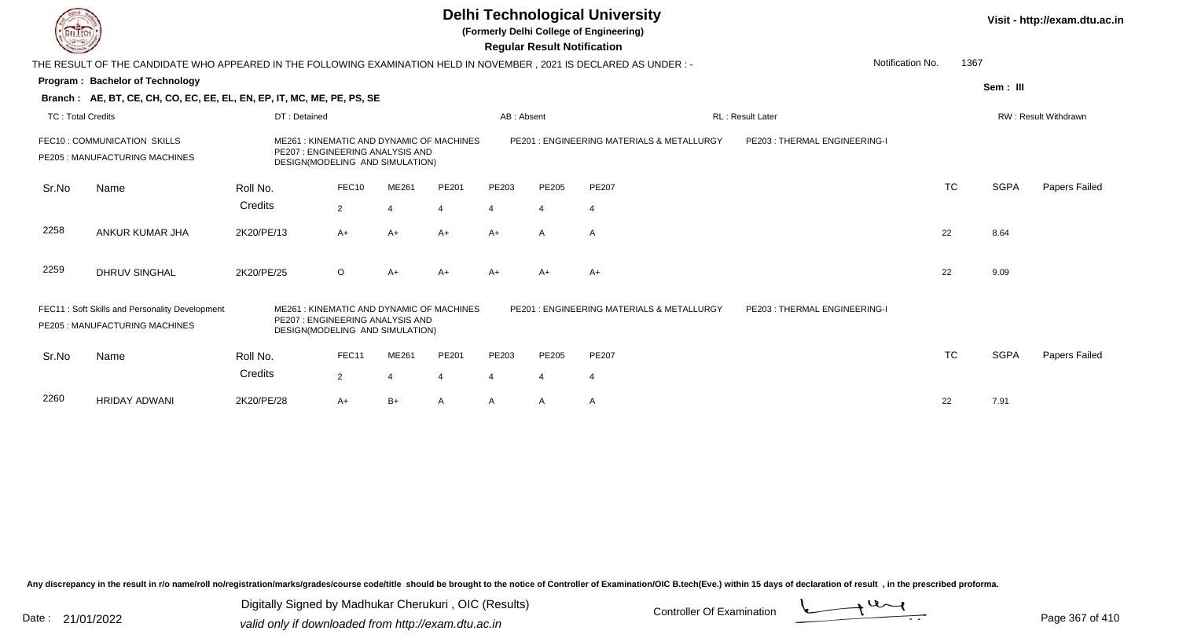**(Formerly Delhi College of Engineering)**

 **Regular Result Notification**

| $\sim$                   |                                                                                                                      |              |                                                                                                                 |                  |       |                | Regular Result Notification |                                           |                               |                  |      |             |                             |
|--------------------------|----------------------------------------------------------------------------------------------------------------------|--------------|-----------------------------------------------------------------------------------------------------------------|------------------|-------|----------------|-----------------------------|-------------------------------------------|-------------------------------|------------------|------|-------------|-----------------------------|
|                          | THE RESULT OF THE CANDIDATE WHO APPEARED IN THE FOLLOWING EXAMINATION HELD IN NOVEMBER, 2021 IS DECLARED AS UNDER :- |              |                                                                                                                 |                  |       |                |                             |                                           |                               | Notification No. | 1367 |             |                             |
|                          | Program: Bachelor of Technology                                                                                      |              |                                                                                                                 |                  |       |                |                             |                                           |                               |                  |      | Sem: III    |                             |
|                          | Branch: AE, BT, CE, CH, CO, EC, EE, EL, EN, EP, IT, MC, ME, PE, PS, SE                                               |              |                                                                                                                 |                  |       |                |                             |                                           |                               |                  |      |             |                             |
| <b>TC: Total Credits</b> |                                                                                                                      | DT: Detained |                                                                                                                 |                  |       | AB: Absent     |                             |                                           | <b>RL</b> : Result Later      |                  |      |             | <b>RW: Result Withdrawn</b> |
|                          | FEC10: COMMUNICATION SKILLS<br>PE205 : MANUFACTURING MACHINES                                                        |              | ME261: KINEMATIC AND DYNAMIC OF MACHINES<br>PE207 : ENGINEERING ANALYSIS AND<br>DESIGN(MODELING AND SIMULATION) |                  |       |                |                             | PE201: ENGINEERING MATERIALS & METALLURGY | PE203 : THERMAL ENGINEERING-I |                  |      |             |                             |
| Sr.No                    | Name                                                                                                                 | Roll No.     | FEC10                                                                                                           | ME261            | PE201 | PE203          | PE205                       | <b>PE207</b>                              |                               | <b>TC</b>        |      | <b>SGPA</b> | Papers Failed               |
|                          |                                                                                                                      | Credits      | $\overline{2}$                                                                                                  | $\boldsymbol{A}$ | 4     | $\overline{4}$ | 4                           | 4                                         |                               |                  |      |             |                             |
| 2258                     | ANKUR KUMAR JHA                                                                                                      | 2K20/PE/13   | $A+$                                                                                                            | $A+$             | $A+$  | $A+$           | A                           | A                                         |                               | 22               |      | 8.64        |                             |
| 2259                     | <b>DHRUV SINGHAL</b>                                                                                                 | 2K20/PE/25   | $\circ$                                                                                                         | $A+$             | $A+$  | $A+$           | $A+$                        | $A+$                                      |                               | 22               |      | 9.09        |                             |
|                          | FEC11: Soft Skills and Personality Development<br>PE205 : MANUFACTURING MACHINES                                     | ME261        | : KINEMATIC AND DYNAMIC OF MACHINES<br>PE207 : ENGINEERING ANALYSIS AND<br>DESIGN(MODELING AND SIMULATION)      |                  |       |                |                             | PE201: ENGINEERING MATERIALS & METALLURGY | PE203: THERMAL ENGINEERING-I  |                  |      |             |                             |
| Sr.No                    | Name                                                                                                                 | Roll No.     | FEC11                                                                                                           | ME261            | PE201 | PE203          | PE205                       | PE207                                     |                               | <b>TC</b>        |      | <b>SGPA</b> | Papers Failed               |
|                          |                                                                                                                      | Credits      | $\overline{2}$                                                                                                  |                  | 4     | 4              | 4                           | 4                                         |                               |                  |      |             |                             |
| 2260                     | <b>HRIDAY ADWANI</b>                                                                                                 | 2K20/PE/28   | $A+$                                                                                                            | B+               | A     | A              | A                           | A                                         |                               | 22               |      | 7.91        |                             |

Any discrepancy in the result in r/o name/roll no/registration/marks/grades/course code/title should be brought to the notice of Controller of Examination/OIC B.tech(Eve.) within 15 days of declaration of result, in the pr

Date : 21/01/2022 Digital Digital of Microsofted Chemical Controller Of Examination Determination Page 367 of 41

Digitally Signed by Madhukar Cherukuri , OIC (Results)

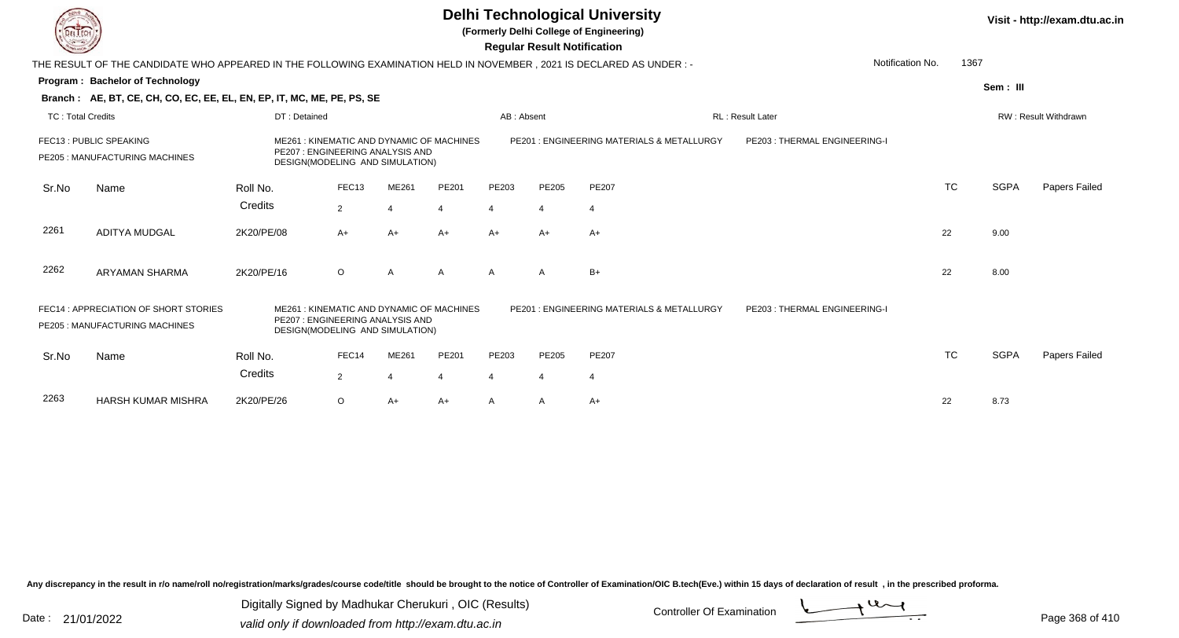**(Formerly Delhi College of Engineering)**

 **Regular Result Notification**

| <b>Controller A</b>      |                                                                                                                     |              |                                                                    |       |                                          |            | Regular Result Notification |                                           |                              |                          |             |                             |
|--------------------------|---------------------------------------------------------------------------------------------------------------------|--------------|--------------------------------------------------------------------|-------|------------------------------------------|------------|-----------------------------|-------------------------------------------|------------------------------|--------------------------|-------------|-----------------------------|
|                          | THE RESULT OF THE CANDIDATE WHO APPEARED IN THE FOLLOWING EXAMINATION HELD IN NOVEMBER, 2021 IS DECLARED AS UNDER:- |              |                                                                    |       |                                          |            |                             |                                           |                              | 1367<br>Notification No. |             |                             |
|                          | <b>Program: Bachelor of Technology</b>                                                                              |              |                                                                    |       |                                          |            |                             |                                           |                              |                          | Sem: III    |                             |
|                          | Branch: AE, BT, CE, CH, CO, EC, EE, EL, EN, EP, IT, MC, ME, PE, PS, SE                                              |              |                                                                    |       |                                          |            |                             |                                           |                              |                          |             |                             |
| <b>TC: Total Credits</b> |                                                                                                                     | DT: Detained |                                                                    |       |                                          | AB: Absent |                             |                                           | <b>RL: Result Later</b>      |                          |             | <b>RW: Result Withdrawn</b> |
|                          | FEC13 : PUBLIC SPEAKING<br>PE205 : MANUFACTURING MACHINES                                                           |              | PE207: ENGINEERING ANALYSIS AND<br>DESIGN(MODELING AND SIMULATION) |       | ME261: KINEMATIC AND DYNAMIC OF MACHINES |            |                             | PE201: ENGINEERING MATERIALS & METALLURGY | PE203: THERMAL ENGINEERING-I |                          |             |                             |
| Sr.No                    | Name                                                                                                                | Roll No.     | FEC <sub>13</sub>                                                  | ME261 | PE201                                    | PE203      | PE205                       | PE207                                     |                              | <b>TC</b>                | <b>SGPA</b> | Papers Failed               |
|                          |                                                                                                                     | Credits      | 2                                                                  | 4     | $\overline{4}$                           | 4          | 4                           | 4                                         |                              |                          |             |                             |
| 2261                     | <b>ADITYA MUDGAL</b>                                                                                                | 2K20/PE/08   | $A+$                                                               | A+    | $A+$                                     | A+         | $A+$                        | $A+$                                      |                              | 22                       | 9.00        |                             |
| 2262                     | ARYAMAN SHARMA                                                                                                      | 2K20/PE/16   | $\circ$                                                            | A     | A                                        | A          | $\mathsf{A}$                | $B+$                                      |                              | 22                       | 8.00        |                             |
|                          | FEC14: APPRECIATION OF SHORT STORIES<br>PE205: MANUFACTURING MACHINES                                               |              | PE207: ENGINEERING ANALYSIS AND<br>DESIGN(MODELING AND SIMULATION) |       | ME261: KINEMATIC AND DYNAMIC OF MACHINES |            |                             | PE201: ENGINEERING MATERIALS & METALLURGY | PE203: THERMAL ENGINEERING-I |                          |             |                             |
| Sr.No                    | Name                                                                                                                | Roll No.     | FEC14                                                              | ME261 | PE201                                    | PE203      | PE205                       | PE207                                     |                              | <b>TC</b>                | <b>SGPA</b> | Papers Failed               |
|                          |                                                                                                                     | Credits      | $\overline{2}$                                                     |       | 4                                        | 4          | 4                           | 4                                         |                              |                          |             |                             |
| 2263                     | <b>HARSH KUMAR MISHRA</b>                                                                                           | 2K20/PE/26   | $\circ$                                                            | A+    | $A+$                                     | A          | A                           | A+                                        |                              | 22                       | 8.73        |                             |

Any discrepancy in the result in r/o name/roll no/registration/marks/grades/course code/title should be brought to the notice of Controller of Examination/OIC B.tech(Eve.) within 15 days of declaration of result, in the pr

Date : 21/01/2022 Digital Digital of Microsofted Chemical Controller Of Examination Determination Page 368 of 41 Digitally Signed by Madhukar Cherukuri , OIC (Results)

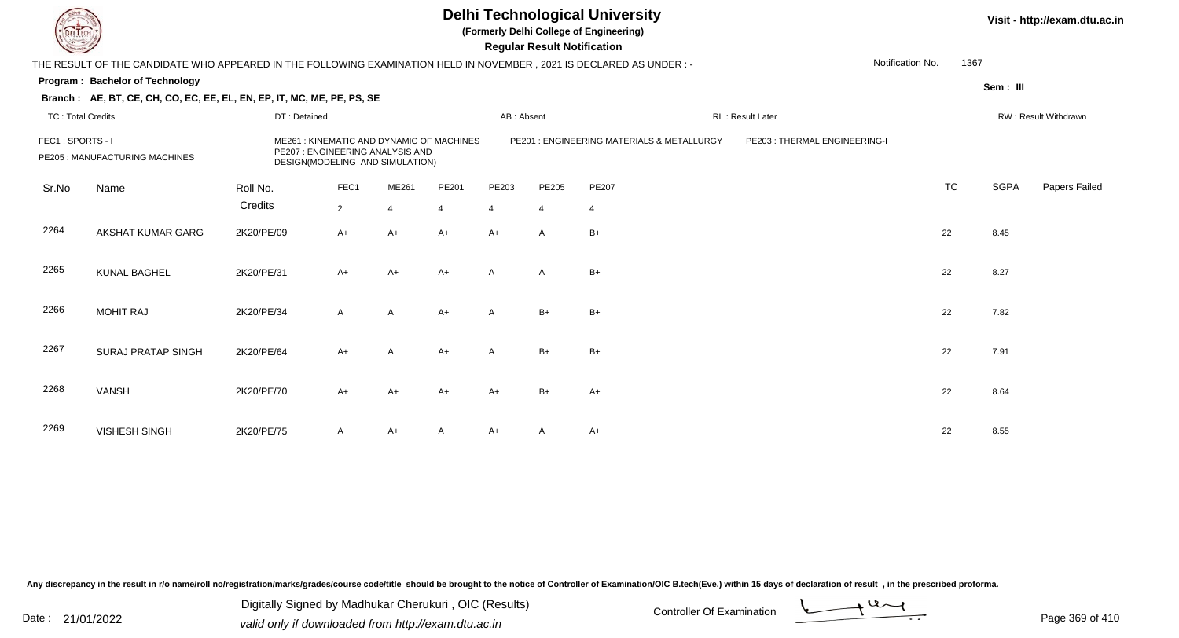**(Formerly Delhi College of Engineering)**

**Regular Regular Results Notification** 

| <b>Consultor of Charles</b> |                                                                                                                      |              |                |                                                                    |                                          |              | <b>Regular Result Notification</b> |                                           |                               |                          |             |                      |
|-----------------------------|----------------------------------------------------------------------------------------------------------------------|--------------|----------------|--------------------------------------------------------------------|------------------------------------------|--------------|------------------------------------|-------------------------------------------|-------------------------------|--------------------------|-------------|----------------------|
|                             | THE RESULT OF THE CANDIDATE WHO APPEARED IN THE FOLLOWING EXAMINATION HELD IN NOVEMBER, 2021 IS DECLARED AS UNDER :- |              |                |                                                                    |                                          |              |                                    |                                           |                               | Notification No.<br>1367 |             |                      |
|                             | Program: Bachelor of Technology                                                                                      |              |                |                                                                    |                                          |              |                                    |                                           |                               |                          | Sem: III    |                      |
|                             | Branch: AE, BT, CE, CH, CO, EC, EE, EL, EN, EP, IT, MC, ME, PE, PS, SE                                               |              |                |                                                                    |                                          |              |                                    |                                           |                               |                          |             |                      |
| <b>TC: Total Credits</b>    |                                                                                                                      | DT: Detained |                |                                                                    |                                          | AB: Absent   |                                    |                                           | RL: Result Later              |                          |             | RW: Result Withdrawn |
| FEC1: SPORTS - I            | PE205 : MANUFACTURING MACHINES                                                                                       |              |                | PE207: ENGINEERING ANALYSIS AND<br>DESIGN(MODELING AND SIMULATION) | ME261: KINEMATIC AND DYNAMIC OF MACHINES |              |                                    | PE201: ENGINEERING MATERIALS & METALLURGY | PE203 : THERMAL ENGINEERING-I |                          |             |                      |
| Sr.No                       | Name                                                                                                                 | Roll No.     | FEC1           | ME261                                                              | PE201                                    | PE203        | PE205                              | PE207                                     |                               | <b>TC</b>                | <b>SGPA</b> | Papers Failed        |
|                             |                                                                                                                      | Credits      | $\overline{2}$ | 4                                                                  | $\overline{4}$                           | 4            | $\overline{4}$                     | 4                                         |                               |                          |             |                      |
| 2264                        | AKSHAT KUMAR GARG                                                                                                    | 2K20/PE/09   | $A+$           | $A+$                                                               | $A+$                                     | A+           | A                                  | $B+$                                      |                               | 22                       | 8.45        |                      |
| 2265                        | <b>KUNAL BAGHEL</b>                                                                                                  | 2K20/PE/31   | $A+$           | $A+$                                                               | $A+$                                     | A            | A                                  | $B+$                                      |                               | 22                       | 8.27        |                      |
| 2266                        | <b>MOHIT RAJ</b>                                                                                                     | 2K20/PE/34   | A              | A                                                                  | $A+$                                     | $\mathsf{A}$ | $B+$                               | $B+$                                      |                               | 22                       | 7.82        |                      |
| 2267                        | <b>SURAJ PRATAP SINGH</b>                                                                                            | 2K20/PE/64   | $A+$           | A                                                                  | $A+$                                     | A            | $B+$                               | $B+$                                      |                               | 22                       | 7.91        |                      |
| 2268                        | <b>VANSH</b>                                                                                                         | 2K20/PE/70   | $A+$           | A+                                                                 | $A+$                                     | $A+$         | $B+$                               | $A+$                                      |                               | 22                       | 8.64        |                      |
| 2269                        | <b>VISHESH SINGH</b>                                                                                                 | 2K20/PE/75   | A              | A+                                                                 | A                                        | A+           | A                                  | $A+$                                      |                               | 22                       | 8.55        |                      |

Any discrepancy in the result in r/o name/roll no/registration/marks/grades/course code/title should be brought to the notice of Controller of Examination/OIC B.tech(Eve.) within 15 days of declaration of result, in the pr

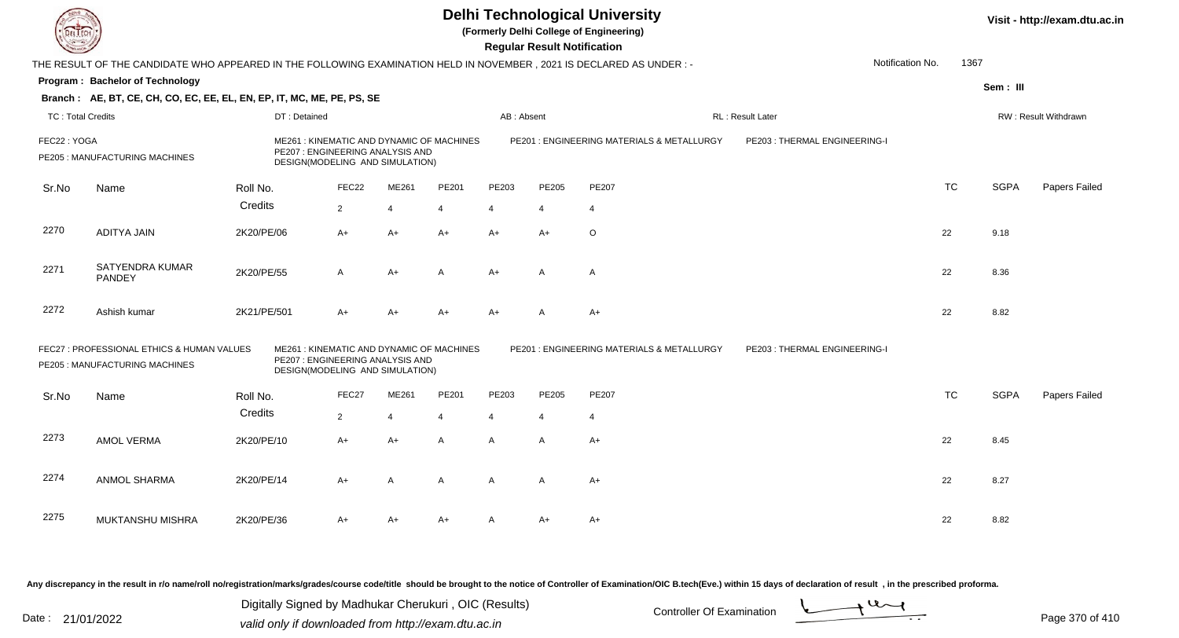**(Formerly Delhi College of Engineering)**

 **Regular Result Notification**

| $\sim$                   |                                                                                                                      |              |                                                                                                                 |       |                |            | n <del>c</del> yular n <del>c</del> sult notification |                                            |                              |           |             |                      |
|--------------------------|----------------------------------------------------------------------------------------------------------------------|--------------|-----------------------------------------------------------------------------------------------------------------|-------|----------------|------------|-------------------------------------------------------|--------------------------------------------|------------------------------|-----------|-------------|----------------------|
|                          | THE RESULT OF THE CANDIDATE WHO APPEARED IN THE FOLLOWING EXAMINATION HELD IN NOVEMBER, 2021 IS DECLARED AS UNDER :- |              |                                                                                                                 |       |                |            |                                                       |                                            | Notification No.             | 1367      |             |                      |
|                          | <b>Program: Bachelor of Technology</b>                                                                               |              |                                                                                                                 |       |                |            |                                                       |                                            |                              |           | Sem : III   |                      |
|                          | Branch: AE, BT, CE, CH, CO, EC, EE, EL, EN, EP, IT, MC, ME, PE, PS, SE                                               |              |                                                                                                                 |       |                |            |                                                       |                                            |                              |           |             |                      |
| <b>TC: Total Credits</b> |                                                                                                                      | DT: Detained |                                                                                                                 |       |                | AB: Absent |                                                       |                                            | RL: Result Later             |           |             | RW: Result Withdrawn |
| FEC22: YOGA              | PE205 : MANUFACTURING MACHINES                                                                                       |              | ME261: KINEMATIC AND DYNAMIC OF MACHINES<br>PE207 : ENGINEERING ANALYSIS AND<br>DESIGN(MODELING AND SIMULATION) |       |                |            |                                                       | PE201: ENGINEERING MATERIALS & METALLURGY  | PE203: THERMAL ENGINEERING-I |           |             |                      |
| Sr.No                    | Name                                                                                                                 | Roll No.     | FEC22                                                                                                           | ME261 | PE201          | PE203      | PE205                                                 | PE207                                      |                              | <b>TC</b> | <b>SGPA</b> | Papers Failed        |
|                          |                                                                                                                      | Credits      | 2                                                                                                               | 4     | 4              | 4          | 4                                                     | 4                                          |                              |           |             |                      |
| 2270                     | <b>ADITYA JAIN</b>                                                                                                   | 2K20/PE/06   | $A+$                                                                                                            | A+    | $A+$           | A+         | $A+$                                                  | O                                          |                              | 22        | 9.18        |                      |
| 2271                     | SATYENDRA KUMAR<br>PANDEY                                                                                            | 2K20/PE/55   | A                                                                                                               | $A+$  | A              | A+         | $\overline{A}$                                        | A                                          |                              | 22        | 8.36        |                      |
| 2272                     | Ashish kumar                                                                                                         | 2K21/PE/501  | $A+$                                                                                                            | A+    | A+             | A+         | A                                                     | A+                                         |                              | 22        | 8.82        |                      |
|                          | FEC27 : PROFESSIONAL ETHICS & HUMAN VALUES<br>PE205 : MANUFACTURING MACHINES                                         |              | ME261: KINEMATIC AND DYNAMIC OF MACHINES<br>PE207 : ENGINEERING ANALYSIS AND<br>DESIGN(MODELING AND SIMULATION) |       |                |            |                                                       | PE201 : ENGINEERING MATERIALS & METALLURGY | PE203: THERMAL ENGINEERING-I |           |             |                      |
| Sr.No                    | Name                                                                                                                 | Roll No.     | FEC27                                                                                                           | ME261 | PE201          | PE203      | PE205                                                 | PE207                                      |                              | <b>TC</b> | <b>SGPA</b> | Papers Failed        |
|                          |                                                                                                                      | Credits      | $\overline{2}$                                                                                                  | 4     | $\overline{4}$ | 4          | 4                                                     | 4                                          |                              |           |             |                      |
| 2273                     | AMOL VERMA                                                                                                           | 2K20/PE/10   | $A+$                                                                                                            | $A+$  | A              | A          | A                                                     | A+                                         |                              | 22        | 8.45        |                      |
| 2274                     | <b>ANMOL SHARMA</b>                                                                                                  | 2K20/PE/14   | $A+$                                                                                                            | A     | A              | A          | A                                                     | A+                                         |                              | 22        | 8.27        |                      |
| 2275                     | MUKTANSHU MISHRA                                                                                                     | 2K20/PE/36   | A+                                                                                                              | A+    | A+             | A          | A+                                                    | A+                                         |                              | 22        | 8.82        |                      |

Any discrepancy in the result in r/o name/roll no/registration/marks/grades/course code/title should be brought to the notice of Controller of Examination/OIC B.tech(Eve.) within 15 days of declaration of result, in the pr

Date : 21/01/2022 Digital Digital of Microsofted Chemical Controller Of Examination Determination Page 370 of 41 Digitally Signed by Madhukar Cherukuri , OIC (Results)

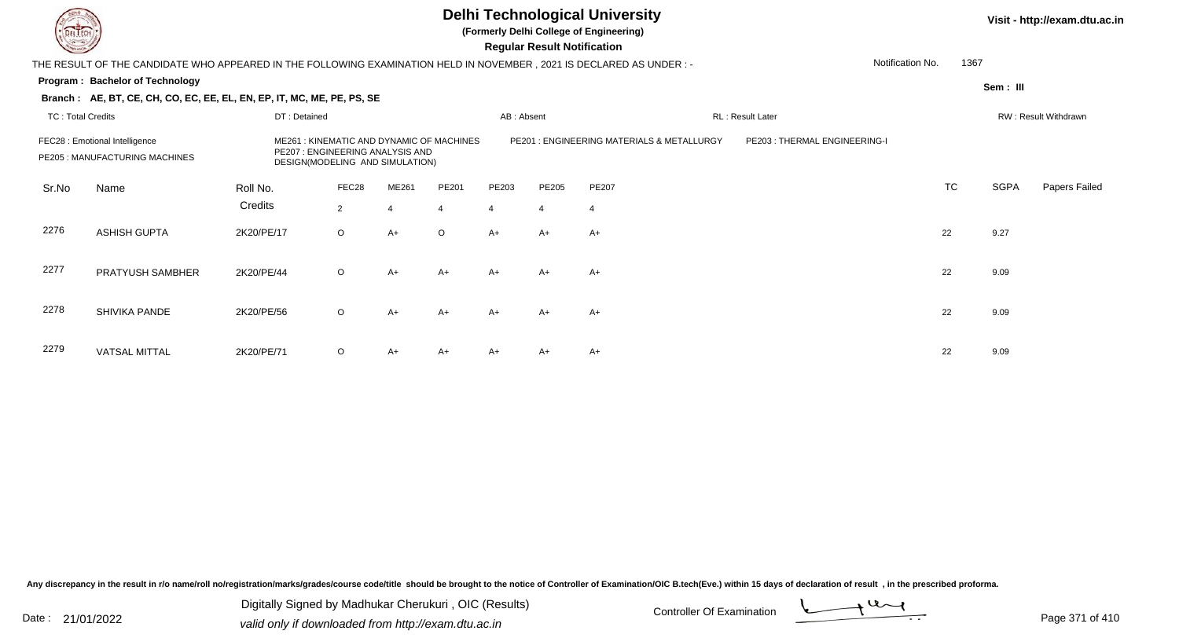

**(Formerly Delhi College of Engineering)**

**Regular Regular Results** 

| <b>Consultor of Charles</b> |                                                                                                                       |              |                                                                                                                 |                |                |                | <b>Regular Result Notification</b> |                                           |                              |           |             |                      |
|-----------------------------|-----------------------------------------------------------------------------------------------------------------------|--------------|-----------------------------------------------------------------------------------------------------------------|----------------|----------------|----------------|------------------------------------|-------------------------------------------|------------------------------|-----------|-------------|----------------------|
|                             | THE RESULT OF THE CANDIDATE WHO APPEARED IN THE FOLLOWING EXAMINATION HELD IN NOVEMBER , 2021 IS DECLARED AS UNDER :- |              |                                                                                                                 |                |                |                |                                    |                                           | Notification No.             | 1367      |             |                      |
|                             | Program: Bachelor of Technology                                                                                       |              |                                                                                                                 |                |                |                |                                    |                                           |                              |           | Sem: III    |                      |
|                             | Branch: AE, BT, CE, CH, CO, EC, EE, EL, EN, EP, IT, MC, ME, PE, PS, SE                                                |              |                                                                                                                 |                |                |                |                                    |                                           |                              |           |             |                      |
| <b>TC: Total Credits</b>    |                                                                                                                       | DT: Detained |                                                                                                                 |                |                | AB: Absent     |                                    |                                           | RL: Result Later             |           |             | RW: Result Withdrawn |
|                             | FEC28 : Emotional Intelligence<br>PE205 : MANUFACTURING MACHINES                                                      |              | ME261: KINEMATIC AND DYNAMIC OF MACHINES<br>PE207 : ENGINEERING ANALYSIS AND<br>DESIGN(MODELING AND SIMULATION) |                |                |                |                                    | PE201: ENGINEERING MATERIALS & METALLURGY | PE203: THERMAL ENGINEERING-I |           |             |                      |
| Sr.No                       | Name                                                                                                                  | Roll No.     | FEC28                                                                                                           | ME261          | PE201          | PE203          | PE205                              | PE207                                     |                              | <b>TC</b> | <b>SGPA</b> | Papers Failed        |
|                             |                                                                                                                       | Credits      | $\overline{2}$                                                                                                  | $\overline{4}$ | $\overline{4}$ | $\overline{4}$ | $\overline{4}$                     | -4                                        |                              |           |             |                      |
| 2276                        | <b>ASHISH GUPTA</b>                                                                                                   | 2K20/PE/17   | $\circ$                                                                                                         | $A+$           | $\circ$        | A+             | $A+$                               | A+                                        |                              | 22        | 9.27        |                      |
| 2277                        | PRATYUSH SAMBHER                                                                                                      | 2K20/PE/44   | $\circ$                                                                                                         | $A+$           | $A+$           | $A+$           | $A+$                               | $A+$                                      |                              | 22        | 9.09        |                      |
| 2278                        | SHIVIKA PANDE                                                                                                         | 2K20/PE/56   | $\circ$                                                                                                         | A+             | $A+$           | A+             | $A+$                               | A+                                        |                              | 22        | 9.09        |                      |
| 2279                        | <b>VATSAL MITTAL</b>                                                                                                  | 2K20/PE/71   | $\circ$                                                                                                         | A+             | $A+$           | A+             | A+                                 | A+                                        |                              | 22        | 9.09        |                      |

Any discrepancy in the result in r/o name/roll no/registration/marks/grades/course code/title should be brought to the notice of Controller of Examination/OIC B.tech(Eve.) within 15 days of declaration of result, in the pr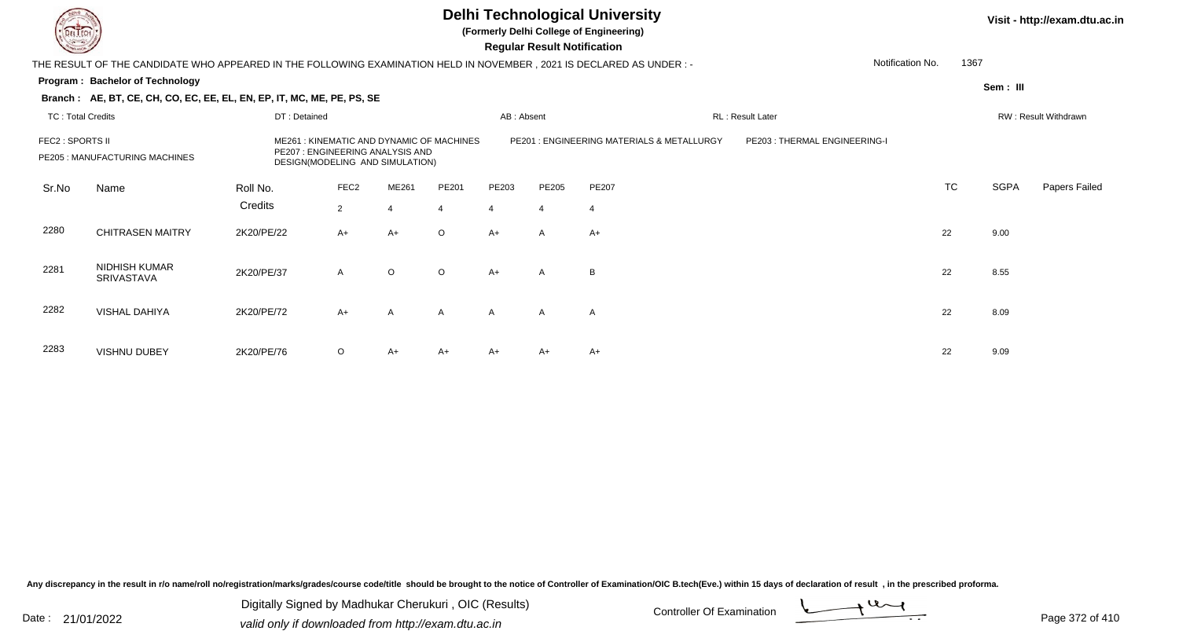**(Formerly Delhi College of Engineering)**

 **Regular Result Notification**

| <b>Courses and Company</b> |                                                                                                                        |              |                                                                    |                |                                          |                | Regular Result Notification |                                           |                              |                  |             |                      |
|----------------------------|------------------------------------------------------------------------------------------------------------------------|--------------|--------------------------------------------------------------------|----------------|------------------------------------------|----------------|-----------------------------|-------------------------------------------|------------------------------|------------------|-------------|----------------------|
|                            | THE RESULT OF THE CANDIDATE WHO APPEARED IN THE FOLLOWING EXAMINATION HELD IN NOVEMBER , 2021 IS DECLARED AS UNDER : - |              |                                                                    |                |                                          |                |                             |                                           |                              | Notification No. | 1367        |                      |
|                            | Program: Bachelor of Technology                                                                                        |              |                                                                    |                |                                          |                |                             |                                           |                              |                  | Sem: III    |                      |
|                            | Branch: AE, BT, CE, CH, CO, EC, EE, EL, EN, EP, IT, MC, ME, PE, PS, SE                                                 |              |                                                                    |                |                                          |                |                             |                                           |                              |                  |             |                      |
| <b>TC: Total Credits</b>   |                                                                                                                        | DT: Detained |                                                                    |                |                                          | AB: Absent     |                             |                                           | RL: Result Later             |                  |             | RW: Result Withdrawn |
| FEC2 : SPORTS II           | PE205 : MANUFACTURING MACHINES                                                                                         |              | PE207: ENGINEERING ANALYSIS AND<br>DESIGN(MODELING AND SIMULATION) |                | ME261: KINEMATIC AND DYNAMIC OF MACHINES |                |                             | PE201: ENGINEERING MATERIALS & METALLURGY | PE203: THERMAL ENGINEERING-I |                  |             |                      |
| Sr.No                      | Name                                                                                                                   | Roll No.     | FEC <sub>2</sub>                                                   | ME261          | PE201                                    | PE203          | PE205                       | PE207                                     |                              | <b>TC</b>        | <b>SGPA</b> | Papers Failed        |
|                            |                                                                                                                        | Credits      | $\overline{2}$                                                     | $\overline{4}$ | $\overline{4}$                           | $\overline{4}$ | $\overline{4}$              | $\overline{4}$                            |                              |                  |             |                      |
| 2280                       | <b>CHITRASEN MAITRY</b>                                                                                                | 2K20/PE/22   | $A+$                                                               | A+             | $\circ$                                  | A+             | $\mathsf{A}$                | $A+$                                      |                              | 22               | 9.00        |                      |
| 2281                       | NIDHISH KUMAR<br>SRIVASTAVA                                                                                            | 2K20/PE/37   | $\mathsf{A}$                                                       | $\circ$        | $\circ$                                  | $A+$           | $\mathsf{A}$                | B                                         |                              | 22               | 8.55        |                      |
| 2282                       | <b>VISHAL DAHIYA</b>                                                                                                   | 2K20/PE/72   | $A+$                                                               | $\mathsf{A}$   | $\mathsf{A}$                             | $\mathsf{A}$   | $\mathsf{A}$                | $\mathsf{A}$                              |                              | 22               | 8.09        |                      |
| 2283                       | <b>VISHNU DUBEY</b>                                                                                                    | 2K20/PE/76   | $\circ$                                                            | A+             | $A+$                                     | A+             | A+                          | A+                                        |                              | 22               | 9.09        |                      |

Any discrepancy in the result in r/o name/roll no/registration/marks/grades/course code/title should be brought to the notice of Controller of Examination/OIC B.tech(Eve.) within 15 days of declaration of result, in the pr

Date : 21/01/2022 Digital Digital of Microsofted Chemical Controller Of Examination Determination Page 372 of 41 Digitally Signed by Madhukar Cherukuri , OIC (Results)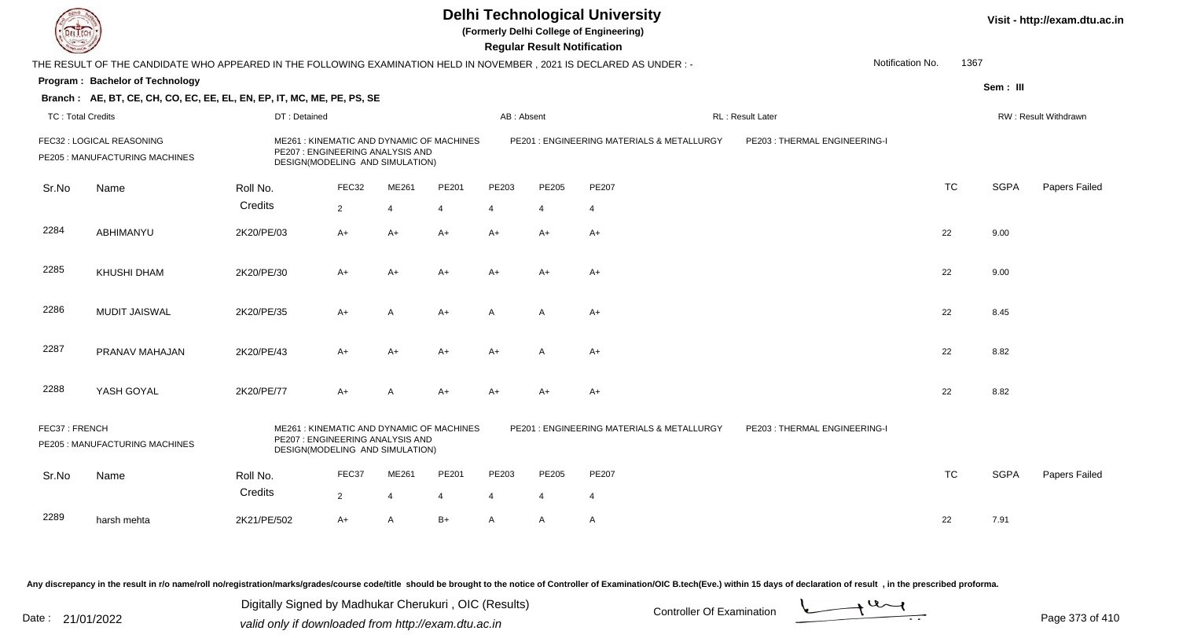**(Formerly Delhi College of Engineering)**

**Regular Regular Results** 

| Sem: III<br>RW: Result Withdrawn |
|----------------------------------|
|                                  |
|                                  |
|                                  |
|                                  |
|                                  |
| <b>SGPA</b><br>Papers Failed     |
|                                  |
| 9.00                             |
| 9.00                             |
| 8.45                             |
| 8.82                             |
| 8.82                             |
|                                  |
| <b>SGPA</b><br>Papers Failed     |
|                                  |
| 7.91                             |
|                                  |

Any discrepancy in the result in r/o name/roll no/registration/marks/grades/course code/title should be brought to the notice of Controller of Examination/OIC B.tech(Eve.) within 15 days of declaration of result, in the pr

Date : 21/01/2022 Digital Digital of Microsofted Chemical Controller Of Examination Determination Page 373 of 41 Digitally Signed by Madhukar Cherukuri , OIC (Results)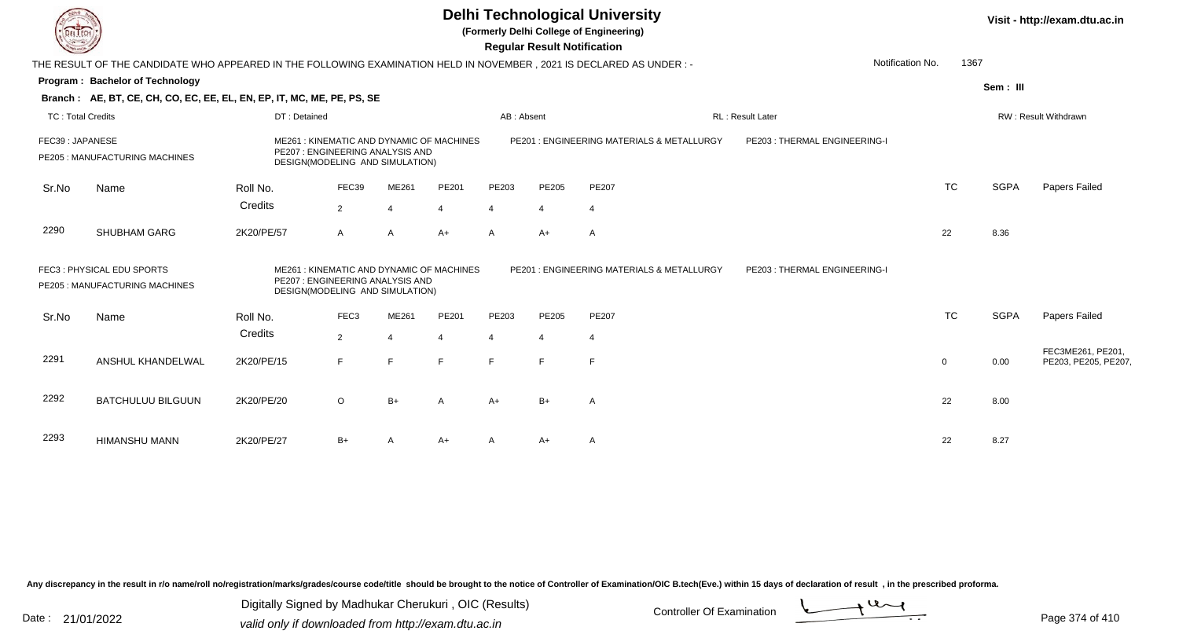| EL ECH                   |                                                                                                                      |              |                                                                     |                |                                           |                | <b>Regular Result Notification</b> | <b>Delhi Technological University</b><br>(Formerly Delhi College of Engineering) |                               |             |             | Visit - http://exam.dtu.ac.in             |
|--------------------------|----------------------------------------------------------------------------------------------------------------------|--------------|---------------------------------------------------------------------|----------------|-------------------------------------------|----------------|------------------------------------|----------------------------------------------------------------------------------|-------------------------------|-------------|-------------|-------------------------------------------|
|                          | THE RESULT OF THE CANDIDATE WHO APPEARED IN THE FOLLOWING EXAMINATION HELD IN NOVEMBER, 2021 IS DECLARED AS UNDER :- |              |                                                                     |                |                                           |                |                                    |                                                                                  | Notification No.              | 1367        |             |                                           |
|                          | Program: Bachelor of Technology                                                                                      |              |                                                                     |                |                                           |                |                                    |                                                                                  |                               |             | Sem: III    |                                           |
|                          | Branch: AE, BT, CE, CH, CO, EC, EE, EL, EN, EP, IT, MC, ME, PE, PS, SE                                               |              |                                                                     |                |                                           |                |                                    |                                                                                  |                               |             |             |                                           |
| <b>TC: Total Credits</b> |                                                                                                                      | DT: Detained |                                                                     |                |                                           | AB: Absent     |                                    |                                                                                  | RL: Result Later              |             |             | RW: Result Withdrawn                      |
| FEC39: JAPANESE          | PE205 : MANUFACTURING MACHINES                                                                                       |              | PE207: ENGINEERING ANALYSIS AND<br>DESIGN(MODELING AND SIMULATION)  |                | ME261: KINEMATIC AND DYNAMIC OF MACHINES  |                |                                    | PE201: ENGINEERING MATERIALS & METALLURGY                                        | PE203: THERMAL ENGINEERING-I  |             |             |                                           |
| Sr.No                    | Name                                                                                                                 | Roll No.     | FEC39                                                               | ME261          | PE201                                     | PE203          | PE205                              | <b>PE207</b>                                                                     |                               | <b>TC</b>   | <b>SGPA</b> | Papers Failed                             |
|                          |                                                                                                                      | Credits      | 2                                                                   | $\overline{4}$ | 4                                         | $\overline{4}$ | 4                                  | -4                                                                               |                               |             |             |                                           |
| 2290                     | SHUBHAM GARG                                                                                                         | 2K20/PE/57   | A                                                                   | $\overline{A}$ | $A+$                                      | $\mathsf{A}$   | $A+$                               | $\overline{A}$                                                                   |                               | 22          | 8.36        |                                           |
|                          | FEC3: PHYSICAL EDU SPORTS<br>PE205 : MANUFACTURING MACHINES                                                          |              | PE207 : ENGINEERING ANALYSIS AND<br>DESIGN(MODELING AND SIMULATION) |                | ME261 : KINEMATIC AND DYNAMIC OF MACHINES |                |                                    | PE201 : ENGINEERING MATERIALS & METALLURGY                                       | PE203 : THERMAL ENGINEERING-I |             |             |                                           |
| Sr.No                    | Name                                                                                                                 | Roll No.     | FEC <sub>3</sub>                                                    | ME261          | PE201                                     | PE203          | PE205                              | <b>PE207</b>                                                                     |                               | <b>TC</b>   | <b>SGPA</b> | Papers Failed                             |
|                          |                                                                                                                      | Credits      | $\overline{2}$                                                      | $\overline{4}$ | 4                                         |                | 4                                  | -4                                                                               |                               |             |             |                                           |
| 2291                     | ANSHUL KHANDELWAL                                                                                                    | 2K20/PE/15   | F                                                                   | E              | F                                         | F              | F                                  | E                                                                                |                               | $\mathbf 0$ | 0.00        | FEC3ME261, PE201,<br>PE203, PE205, PE207, |
| 2292                     | <b>BATCHULUU BILGUUN</b>                                                                                             | 2K20/PE/20   | $\circ$                                                             | $B+$           | A                                         | A+             | $B+$                               | A                                                                                |                               | 22          | 8.00        |                                           |
| 2293                     | <b>HIMANSHU MANN</b>                                                                                                 | 2K20/PE/27   | $B+$                                                                | A              | $A+$                                      |                | A+                                 | A                                                                                |                               | 22          | 8.27        |                                           |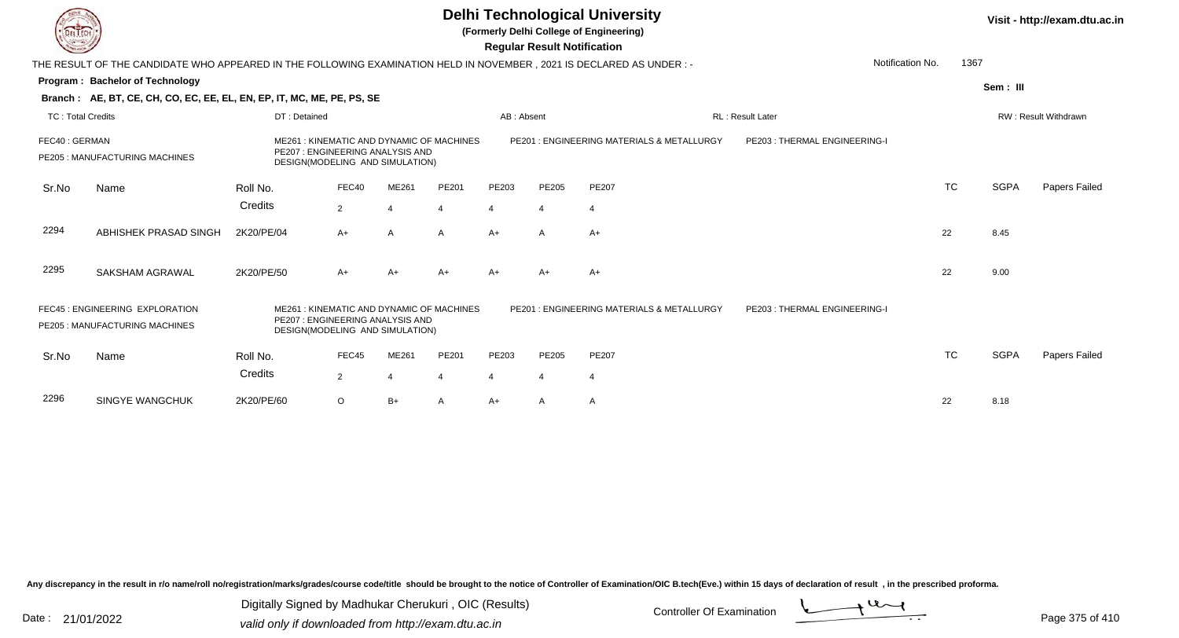**(Formerly Delhi College of Engineering)**

 **Regular Result Notification**

| <b>Consultant</b>        |                                                                                                                      |                                                                     |                |              |                                          |            | Regular Result Notification |                                           |                              |                          |             |                             |
|--------------------------|----------------------------------------------------------------------------------------------------------------------|---------------------------------------------------------------------|----------------|--------------|------------------------------------------|------------|-----------------------------|-------------------------------------------|------------------------------|--------------------------|-------------|-----------------------------|
|                          | THE RESULT OF THE CANDIDATE WHO APPEARED IN THE FOLLOWING EXAMINATION HELD IN NOVEMBER, 2021 IS DECLARED AS UNDER :- |                                                                     |                |              |                                          |            |                             |                                           |                              | 1367<br>Notification No. |             |                             |
|                          | Program: Bachelor of Technology                                                                                      |                                                                     |                |              |                                          |            |                             |                                           |                              |                          | Sem: III    |                             |
|                          | Branch: AE, BT, CE, CH, CO, EC, EE, EL, EN, EP, IT, MC, ME, PE, PS, SE                                               |                                                                     |                |              |                                          |            |                             |                                           |                              |                          |             |                             |
| <b>TC: Total Credits</b> |                                                                                                                      | DT: Detained                                                        |                |              |                                          | AB: Absent |                             |                                           | <b>RL: Result Later</b>      |                          |             | <b>RW: Result Withdrawn</b> |
| FEC40: GERMAN            | PE205 : MANUFACTURING MACHINES                                                                                       | PE207 : ENGINEERING ANALYSIS AND<br>DESIGN(MODELING AND SIMULATION) |                |              | ME261: KINEMATIC AND DYNAMIC OF MACHINES |            |                             | PE201: ENGINEERING MATERIALS & METALLURGY | PE203: THERMAL ENGINEERING-I |                          |             |                             |
| Sr.No                    | Name                                                                                                                 | Roll No.                                                            | FEC40          | ME261        | PE201                                    | PE203      | PE205                       | PE207                                     |                              | <b>TC</b>                | <b>SGPA</b> | Papers Failed               |
|                          |                                                                                                                      | Credits                                                             | $\overline{2}$ | 4            | $\overline{4}$                           | 4          | $\overline{4}$              | 4                                         |                              |                          |             |                             |
| 2294                     | ABHISHEK PRASAD SINGH                                                                                                | 2K20/PE/04                                                          | $A+$           | $\mathsf{A}$ | $\mathsf{A}$                             | $A+$       | $\mathsf{A}$                | $A+$                                      |                              | 22                       | 8.45        |                             |
| 2295                     | SAKSHAM AGRAWAL                                                                                                      | 2K20/PE/50                                                          | $A+$           | A+           | $A+$                                     | A+         | $A+$                        | A+                                        |                              | 22                       | 9.00        |                             |
|                          | FEC45 : ENGINEERING EXPLORATION<br>PE205: MANUFACTURING MACHINES                                                     | PE207: ENGINEERING ANALYSIS AND<br>DESIGN(MODELING AND SIMULATION)  |                |              | ME261: KINEMATIC AND DYNAMIC OF MACHINES |            |                             | PE201: ENGINEERING MATERIALS & METALLURGY | PE203: THERMAL ENGINEERING-I |                          |             |                             |
| Sr.No                    | Name                                                                                                                 | Roll No.                                                            | FEC45          | ME261        | PE201                                    | PE203      | PE205                       | PE207                                     |                              | <b>TC</b>                | <b>SGPA</b> | Papers Failed               |
|                          |                                                                                                                      | Credits                                                             | $\overline{2}$ | 4            | 4                                        | 4          | 4                           | 4                                         |                              |                          |             |                             |
| 2296                     | <b>SINGYE WANGCHUK</b>                                                                                               | 2K20/PE/60                                                          | $\circ$        | $B+$         | Α                                        | A+         | A                           | A                                         |                              | 22                       | 8.18        |                             |
|                          |                                                                                                                      |                                                                     |                |              |                                          |            |                             |                                           |                              |                          |             |                             |

Any discrepancy in the result in r/o name/roll no/registration/marks/grades/course code/title should be brought to the notice of Controller of Examination/OIC B.tech(Eve.) within 15 days of declaration of result, in the pr

Date : 21/01/2022 Digital Digital of Microsofted Chemical Controller Of Examination Determination Page 375 of 41 Digitally Signed by Madhukar Cherukuri , OIC (Results)

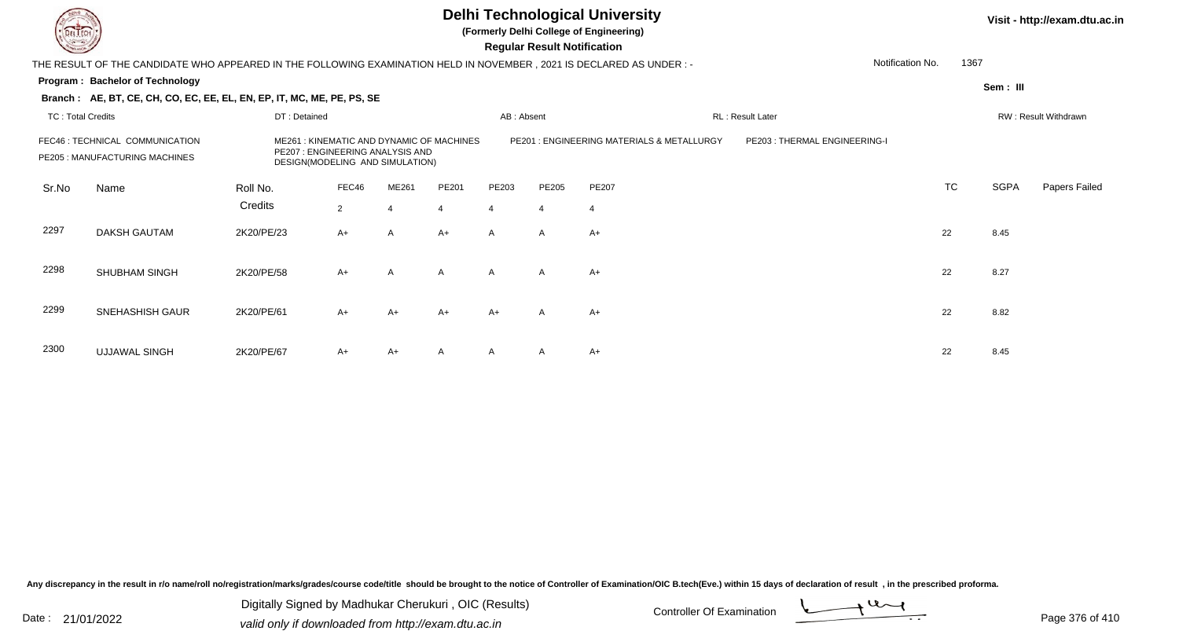

**(Formerly Delhi College of Engineering)**

 **Regular Result Notification**

| <b>Courses I</b>         |                                                                                                                        |              |                                                                     |                |                                          |                | <b>Regular Result Notification</b> |                                            |                              |                  |      |             |                      |
|--------------------------|------------------------------------------------------------------------------------------------------------------------|--------------|---------------------------------------------------------------------|----------------|------------------------------------------|----------------|------------------------------------|--------------------------------------------|------------------------------|------------------|------|-------------|----------------------|
|                          | THE RESULT OF THE CANDIDATE WHO APPEARED IN THE FOLLOWING EXAMINATION HELD IN NOVEMBER , 2021 IS DECLARED AS UNDER : - |              |                                                                     |                |                                          |                |                                    |                                            |                              | Notification No. | 1367 |             |                      |
|                          | Program: Bachelor of Technology                                                                                        |              |                                                                     |                |                                          |                |                                    |                                            |                              |                  |      | Sem: III    |                      |
|                          | Branch: AE, BT, CE, CH, CO, EC, EE, EL, EN, EP, IT, MC, ME, PE, PS, SE                                                 |              |                                                                     |                |                                          |                |                                    |                                            |                              |                  |      |             |                      |
| <b>TC: Total Credits</b> |                                                                                                                        | DT: Detained |                                                                     |                |                                          | AB: Absent     |                                    |                                            | RL: Result Later             |                  |      |             | RW: Result Withdrawn |
|                          | FEC46 : TECHNICAL COMMUNICATION<br>PE205 : MANUFACTURING MACHINES                                                      |              | PE207 : ENGINEERING ANALYSIS AND<br>DESIGN(MODELING AND SIMULATION) |                | ME261: KINEMATIC AND DYNAMIC OF MACHINES |                |                                    | PE201 : ENGINEERING MATERIALS & METALLURGY | PE203: THERMAL ENGINEERING-I |                  |      |             |                      |
| Sr.No                    | Name                                                                                                                   | Roll No.     | FEC46                                                               | ME261          | PE201                                    | PE203          | PE205                              | <b>PE207</b>                               |                              | <b>TC</b>        |      | <b>SGPA</b> | Papers Failed        |
|                          |                                                                                                                        | Credits      | $\overline{2}$                                                      | $\overline{4}$ | $\overline{4}$                           | $\overline{4}$ | $\overline{4}$                     | $\overline{4}$                             |                              |                  |      |             |                      |
| 2297                     | <b>DAKSH GAUTAM</b>                                                                                                    | 2K20/PE/23   | $A+$                                                                | A              | $A+$                                     | A              | A                                  | $A+$                                       |                              | 22               |      | 8.45        |                      |
|                          |                                                                                                                        |              |                                                                     |                |                                          |                |                                    |                                            |                              |                  |      |             |                      |
| 2298                     | <b>SHUBHAM SINGH</b>                                                                                                   | 2K20/PE/58   | $A+$                                                                | A              | A                                        | A              | $\mathsf{A}$                       | $A+$                                       |                              | 22               |      | 8.27        |                      |
|                          |                                                                                                                        |              |                                                                     |                |                                          |                |                                    |                                            |                              |                  |      |             |                      |
| 2299                     | SNEHASHISH GAUR                                                                                                        | 2K20/PE/61   | $A+$                                                                | A+             | A+                                       | A+             | A                                  | A+                                         |                              | 22               |      | 8.82        |                      |
|                          |                                                                                                                        |              |                                                                     |                |                                          |                |                                    |                                            |                              |                  |      |             |                      |
| 2300                     | <b>UJJAWAL SINGH</b>                                                                                                   | 2K20/PE/67   | $A+$                                                                | A+             | A                                        | A              | A                                  | A+                                         |                              | 22               |      | 8.45        |                      |

Any discrepancy in the result in r/o name/roll no/registration/marks/grades/course code/title should be brought to the notice of Controller of Examination/OIC B.tech(Eve.) within 15 days of declaration of result, in the pr

Date : 21/01/2022 Digital Digital of Microsofted Chemical Controller Of Examination Determination Page 376 of 41 Digitally Signed by Madhukar Cherukuri , OIC (Results)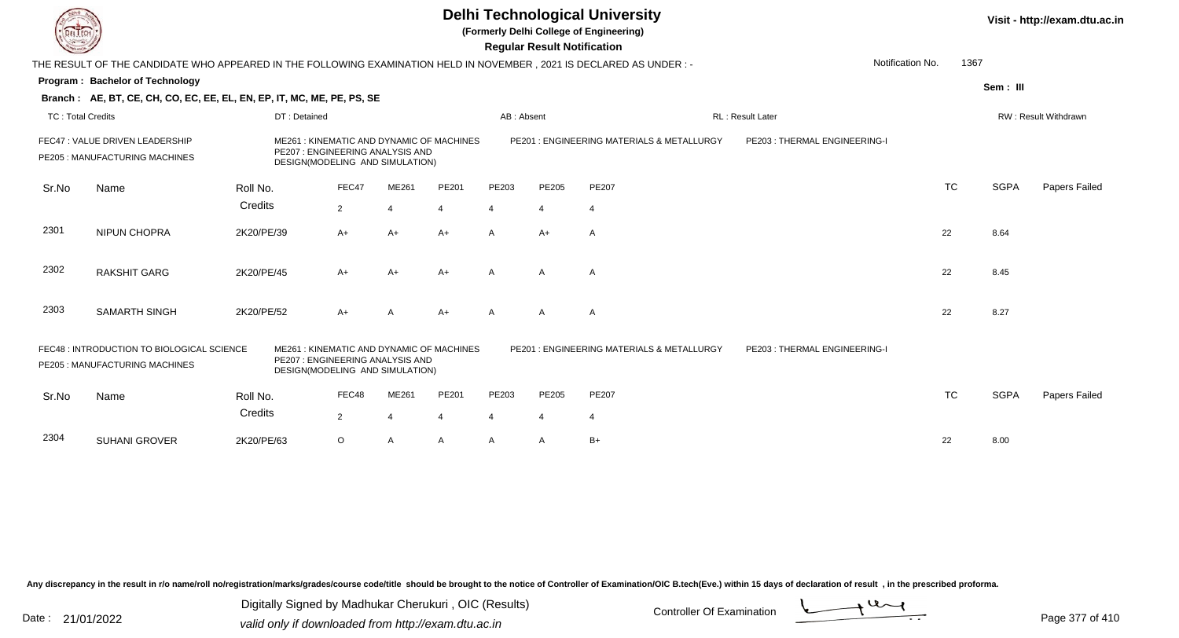**(Formerly Delhi College of Engineering)**

 **Regular Result Notification**

| <b>Courses A</b>         |                                                                                                                        |              |                                                                     |                |                                          |                | <b>Regular Result Notification</b> |                                           |                              |                  |           |             |                      |
|--------------------------|------------------------------------------------------------------------------------------------------------------------|--------------|---------------------------------------------------------------------|----------------|------------------------------------------|----------------|------------------------------------|-------------------------------------------|------------------------------|------------------|-----------|-------------|----------------------|
|                          | THE RESULT OF THE CANDIDATE WHO APPEARED IN THE FOLLOWING EXAMINATION HELD IN NOVEMBER , 2021 IS DECLARED AS UNDER : - |              |                                                                     |                |                                          |                |                                    |                                           |                              | Notification No. | 1367      |             |                      |
|                          | Program: Bachelor of Technology                                                                                        |              |                                                                     |                |                                          |                |                                    |                                           |                              |                  |           | Sem: III    |                      |
|                          | Branch: AE, BT, CE, CH, CO, EC, EE, EL, EN, EP, IT, MC, ME, PE, PS, SE                                                 |              |                                                                     |                |                                          |                |                                    |                                           |                              |                  |           |             |                      |
| <b>TC: Total Credits</b> |                                                                                                                        | DT: Detained |                                                                     |                |                                          | AB: Absent     |                                    |                                           | <b>RL: Result Later</b>      |                  |           |             | RW: Result Withdrawn |
|                          | FEC47 : VALUE DRIVEN LEADERSHIP<br>PE205 : MANUFACTURING MACHINES                                                      |              | PE207: ENGINEERING ANALYSIS AND<br>DESIGN(MODELING AND SIMULATION)  |                | ME261: KINEMATIC AND DYNAMIC OF MACHINES |                |                                    | PE201: ENGINEERING MATERIALS & METALLURGY | PE203: THERMAL ENGINEERING-I |                  |           |             |                      |
| Sr.No                    | Name                                                                                                                   | Roll No.     | FEC47                                                               | ME261          | PE201                                    | PE203          | <b>PE205</b>                       | PE207                                     |                              |                  | <b>TC</b> | <b>SGPA</b> | Papers Failed        |
|                          |                                                                                                                        | Credits      | $\overline{2}$                                                      | $\overline{4}$ | $\overline{4}$                           | 4              | 4                                  | 4                                         |                              |                  |           |             |                      |
| 2301                     | <b>NIPUN CHOPRA</b>                                                                                                    | 2K20/PE/39   | $A+$                                                                | $A+$           | $A+$                                     | $\mathsf{A}$   | $A+$                               | $\mathsf{A}$                              |                              | 22               |           | 8.64        |                      |
| 2302                     | <b>RAKSHIT GARG</b>                                                                                                    | 2K20/PE/45   | $A+$                                                                | $A+$           | $A+$                                     | A              | A                                  | A                                         |                              | 22               |           | 8.45        |                      |
| 2303                     | <b>SAMARTH SINGH</b>                                                                                                   | 2K20/PE/52   | $A+$                                                                | A              | $A+$                                     | A              | A                                  | A                                         |                              | 22               |           | 8.27        |                      |
|                          | FEC48 : INTRODUCTION TO BIOLOGICAL SCIENCE<br>PE205 : MANUFACTURING MACHINES                                           |              | PE207 : ENGINEERING ANALYSIS AND<br>DESIGN(MODELING AND SIMULATION) |                | ME261: KINEMATIC AND DYNAMIC OF MACHINES |                |                                    | PE201: ENGINEERING MATERIALS & METALLURGY | PE203: THERMAL ENGINEERING-I |                  |           |             |                      |
| Sr.No                    | Name                                                                                                                   | Roll No.     | FEC48                                                               | ME261          | PE201                                    | PE203          | PE205                              | PE207                                     |                              |                  | TC        | <b>SGPA</b> | Papers Failed        |
|                          |                                                                                                                        | Credits      | $\overline{2}$                                                      | 4              | 4                                        | $\overline{4}$ | 4                                  | 4                                         |                              |                  |           |             |                      |
| 2304                     | <b>SUHANI GROVER</b>                                                                                                   | 2K20/PE/63   | $\circ$                                                             | A              | $\mathsf{A}$                             | A              | A                                  | $B+$                                      |                              | 22               |           | 8.00        |                      |

Any discrepancy in the result in r/o name/roll no/registration/marks/grades/course code/title should be brought to the notice of Controller of Examination/OIC B.tech(Eve.) within 15 days of declaration of result, in the pr

Date : 21/01/2022 Digital Digital of Microsofted Chemical Controller Of Examination Determination Page 377 of 41 Digitally Signed by Madhukar Cherukuri , OIC (Results)

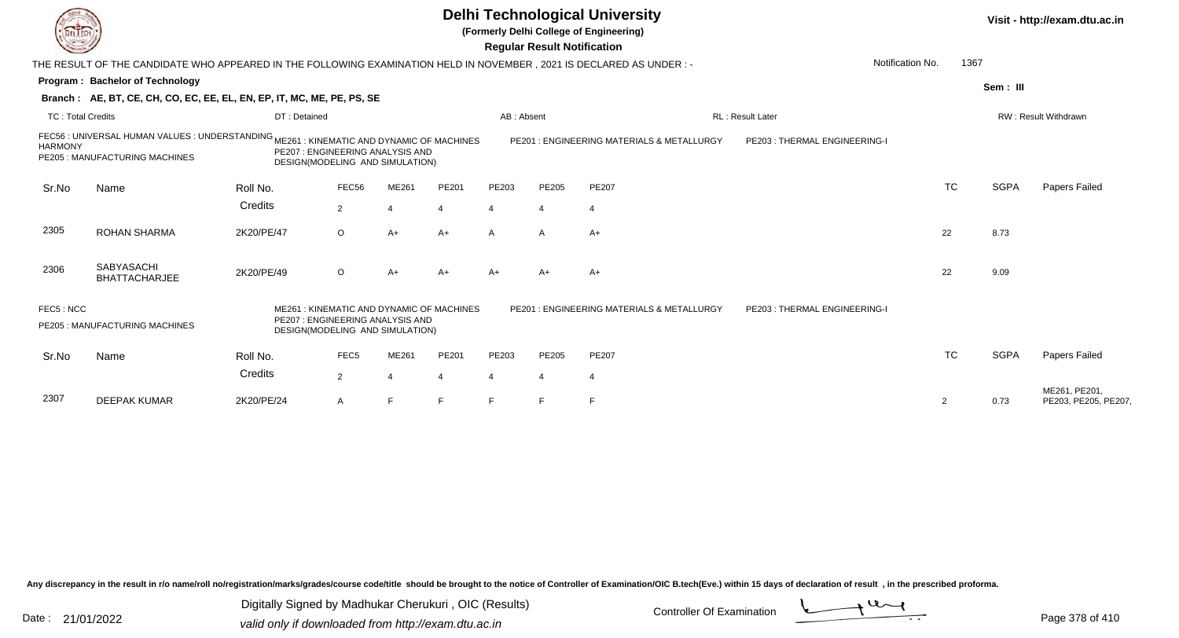**(Formerly Delhi College of Engineering)**

 **Regular Result Notification**

| $\sim$                   |                                                                                                                           |                                                                                                                 |                  |       |                | nggular ngsult notihlation |                |                                           |                               |                  |           |             |                                      |
|--------------------------|---------------------------------------------------------------------------------------------------------------------------|-----------------------------------------------------------------------------------------------------------------|------------------|-------|----------------|----------------------------|----------------|-------------------------------------------|-------------------------------|------------------|-----------|-------------|--------------------------------------|
|                          | THE RESULT OF THE CANDIDATE WHO APPEARED IN THE FOLLOWING EXAMINATION HELD IN NOVEMBER, 2021 IS DECLARED AS UNDER:-       |                                                                                                                 |                  |       |                |                            |                |                                           |                               | Notification No. | 1367      |             |                                      |
|                          | Program: Bachelor of Technology                                                                                           |                                                                                                                 |                  |       |                |                            |                |                                           |                               |                  |           | Sem: III    |                                      |
|                          | Branch: AE, BT, CE, CH, CO, EC, EE, EL, EN, EP, IT, MC, ME, PE, PS, SE                                                    |                                                                                                                 |                  |       |                |                            |                |                                           |                               |                  |           |             |                                      |
| <b>TC: Total Credits</b> |                                                                                                                           | DT: Detained                                                                                                    |                  |       |                | AB: Absent                 |                |                                           | <b>RL: Result Later</b>       |                  |           |             | RW: Result Withdrawn                 |
| <b>HARMONY</b>           | FEC56 : UNIVERSAL HUMAN VALUES : UNDERSTANDING ME261 : KINEMATIC AND DYNAMIC OF MACHINES<br>PE205: MANUFACTURING MACHINES | PE207: ENGINEERING ANALYSIS AND<br>DESIGN(MODELING AND SIMULATION)                                              |                  |       |                |                            |                | PE201: ENGINEERING MATERIALS & METALLURGY | PE203 : THERMAL ENGINEERING-I |                  |           |             |                                      |
| Sr.No                    | Name                                                                                                                      | Roll No.                                                                                                        | FEC56            | ME261 | PE201          | PE203                      | <b>PE205</b>   | <b>PE207</b>                              |                               |                  | <b>TC</b> | <b>SGPA</b> | Papers Failed                        |
|                          |                                                                                                                           | Credits                                                                                                         | $\overline{2}$   | 4     | $\overline{4}$ | $\overline{4}$             | $\overline{4}$ | $\overline{4}$                            |                               |                  |           |             |                                      |
| 2305                     | <b>ROHAN SHARMA</b>                                                                                                       | 2K20/PE/47                                                                                                      | $\circ$          | $A+$  | $A+$           | $\mathsf{A}$               | A              | $A+$                                      |                               | 22               |           | 8.73        |                                      |
| 2306                     | <b>SABYASACHI</b><br><b>BHATTACHARJEE</b>                                                                                 | 2K20/PE/49                                                                                                      | $\circ$          | $A+$  | $A+$           | $A+$                       | $A+$           | $A+$                                      |                               | 22               |           | 9.09        |                                      |
| FEC5: NCC                | PE205 : MANUFACTURING MACHINES                                                                                            | ME261: KINEMATIC AND DYNAMIC OF MACHINES<br>PE207 : ENGINEERING ANALYSIS AND<br>DESIGN(MODELING AND SIMULATION) |                  |       |                |                            |                | PE201: ENGINEERING MATERIALS & METALLURGY | PE203: THERMAL ENGINEERING-I  |                  |           |             |                                      |
| Sr.No                    | Name                                                                                                                      | Roll No.                                                                                                        | FEC <sub>5</sub> | ME261 | PE201          | PE203                      | <b>PE205</b>   | PE207                                     |                               |                  | <b>TC</b> | <b>SGPA</b> | Papers Failed                        |
|                          |                                                                                                                           | Credits                                                                                                         | $\overline{2}$   |       | $\overline{4}$ | $\overline{4}$             | -4             | 4                                         |                               |                  |           |             |                                      |
| 2307                     | <b>DEEPAK KUMAR</b>                                                                                                       | 2K20/PE/24                                                                                                      | $\mathsf{A}$     |       | F              |                            | E              |                                           |                               | 2                |           | 0.73        | ME261, PE201,<br>PE203, PE205, PE207 |

Any discrepancy in the result in r/o name/roll no/registration/marks/grades/course code/title should be brought to the notice of Controller of Examination/OIC B.tech(Eve.) within 15 days of declaration of result, in the pr

Date : 21/01/2022 Digital Digital of Microsofted Chemical Controller Of Examination Determination Page 378 of 41 Digitally Signed by Madhukar Cherukuri , OIC (Results)

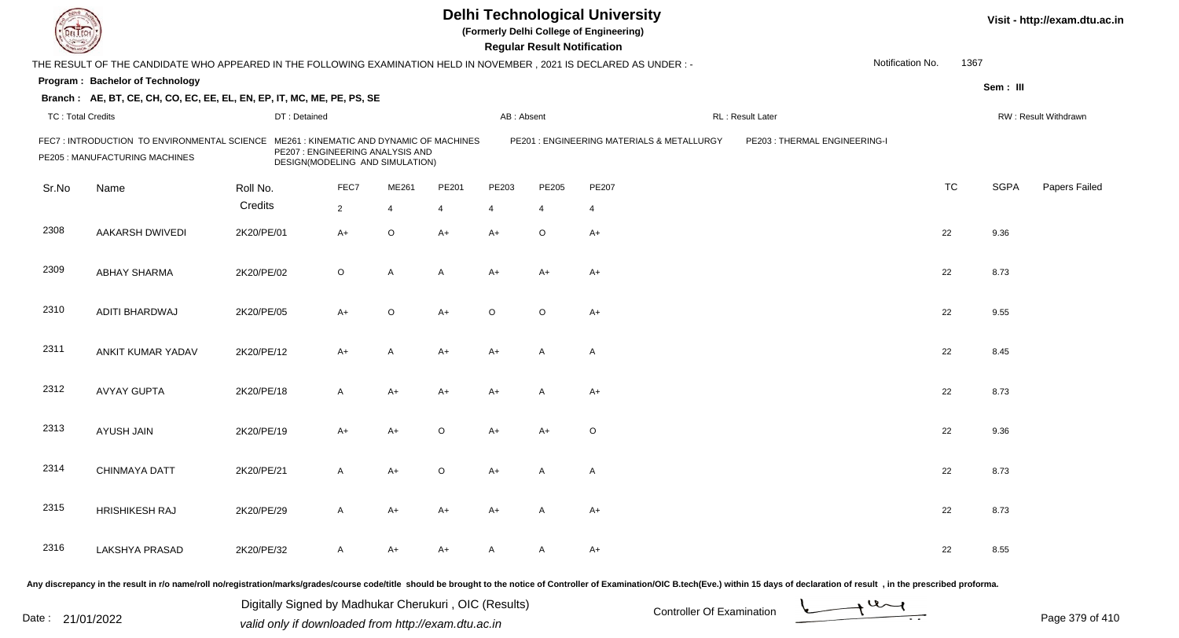|                          |                                                                                                                       |                                 |                                  |                |                                           |                | <b>Regular Result Notification</b> | <b>Delhi Technological University</b><br>(Formerly Delhi College of Engineering) |                              |                  |           |             | Visit - http://exam.dtu.ac.in |
|--------------------------|-----------------------------------------------------------------------------------------------------------------------|---------------------------------|----------------------------------|----------------|-------------------------------------------|----------------|------------------------------------|----------------------------------------------------------------------------------|------------------------------|------------------|-----------|-------------|-------------------------------|
|                          | THE RESULT OF THE CANDIDATE WHO APPEARED IN THE FOLLOWING EXAMINATION HELD IN NOVEMBER , 2021 IS DECLARED AS UNDER :- |                                 |                                  |                |                                           |                |                                    |                                                                                  |                              | Notification No. | 1367      |             |                               |
|                          | Program: Bachelor of Technology                                                                                       |                                 |                                  |                |                                           |                |                                    |                                                                                  |                              |                  |           | Sem: III    |                               |
|                          | Branch: AE, BT, CE, CH, CO, EC, EE, EL, EN, EP, IT, MC, ME, PE, PS, SE                                                |                                 |                                  |                |                                           |                |                                    |                                                                                  |                              |                  |           |             |                               |
| <b>TC: Total Credits</b> |                                                                                                                       | DT: Detained                    |                                  |                |                                           | AB: Absent     |                                    |                                                                                  | RL: Result Later             |                  |           |             | RW: Result Withdrawn          |
|                          | FEC7 : INTRODUCTION TO ENVIRONMENTAL SCIENCE<br>PE205 : MANUFACTURING MACHINES                                        | DESIGN(MODELING AND SIMULATION) | PE207 : ENGINEERING ANALYSIS AND |                | ME261 : KINEMATIC AND DYNAMIC OF MACHINES |                |                                    | PE201 : ENGINEERING MATERIALS & METALLURGY                                       | PE203: THERMAL ENGINEERING-I |                  |           |             |                               |
| Sr.No                    | Name                                                                                                                  | Roll No.                        | FEC7                             | ME261          | PE201                                     | PE203          | PE205                              | PE207                                                                            |                              |                  | <b>TC</b> | <b>SGPA</b> | Papers Failed                 |
|                          |                                                                                                                       | Credits                         | $\overline{2}$                   | $\overline{4}$ | $\overline{4}$                            | $\overline{4}$ | $\overline{4}$                     | $\overline{4}$                                                                   |                              |                  |           |             |                               |
| 2308                     | <b>AAKARSH DWIVEDI</b>                                                                                                | 2K20/PE/01                      | A+                               | $\circ$        | $A+$                                      | $A+$           | $\circ$                            | $A+$                                                                             |                              |                  | 22        | 9.36        |                               |
| 2309                     | <b>ABHAY SHARMA</b>                                                                                                   | 2K20/PE/02                      | $\circ$                          | A              | A                                         | $A+$           | A+                                 | $A+$                                                                             |                              |                  | 22        | 8.73        |                               |
| 2310                     | ADITI BHARDWAJ                                                                                                        | 2K20/PE/05                      | $A+$                             | $\circ$        | $A+$                                      | $\circ$        | $\circ$                            | $A+$                                                                             |                              |                  | 22        | 9.55        |                               |
| 2311                     | ANKIT KUMAR YADAV                                                                                                     | 2K20/PE/12                      | A+                               | A              | $A+$                                      | $A+$           | A                                  | $\overline{A}$                                                                   |                              |                  | 22        | 8.45        |                               |
| 2312                     | <b>AVYAY GUPTA</b>                                                                                                    | 2K20/PE/18                      | A                                | $A+$           | $A+$                                      | $A+$           | A                                  | $A+$                                                                             |                              |                  | 22        | 8.73        |                               |
| 2313                     | AYUSH JAIN                                                                                                            | 2K20/PE/19                      | A+                               | $A+$           | $\Omega$                                  | $A+$           | A+                                 | $\circ$                                                                          |                              |                  | 22        | 9.36        |                               |
| 2314                     | <b>CHINMAYA DATT</b>                                                                                                  | 2K20/PE/21                      | A                                | $A+$           | $\circ$                                   | A+             | A                                  | A                                                                                |                              |                  | 22        | 8.73        |                               |
| 2315                     | <b>HRISHIKESH RAJ</b>                                                                                                 | 2K20/PE/29                      | A                                | $A+$           | $A+$                                      | $A+$           | A                                  | $A+$                                                                             |                              |                  | 22        | 8.73        |                               |
| 2316                     | <b>LAKSHYA PRASAD</b>                                                                                                 | 2K20/PE/32                      | A                                | $A+$           | A+                                        | A              | A                                  | $A+$                                                                             |                              |                  | 22        | 8.55        |                               |
|                          |                                                                                                                       |                                 |                                  |                |                                           |                |                                    |                                                                                  |                              |                  |           |             |                               |

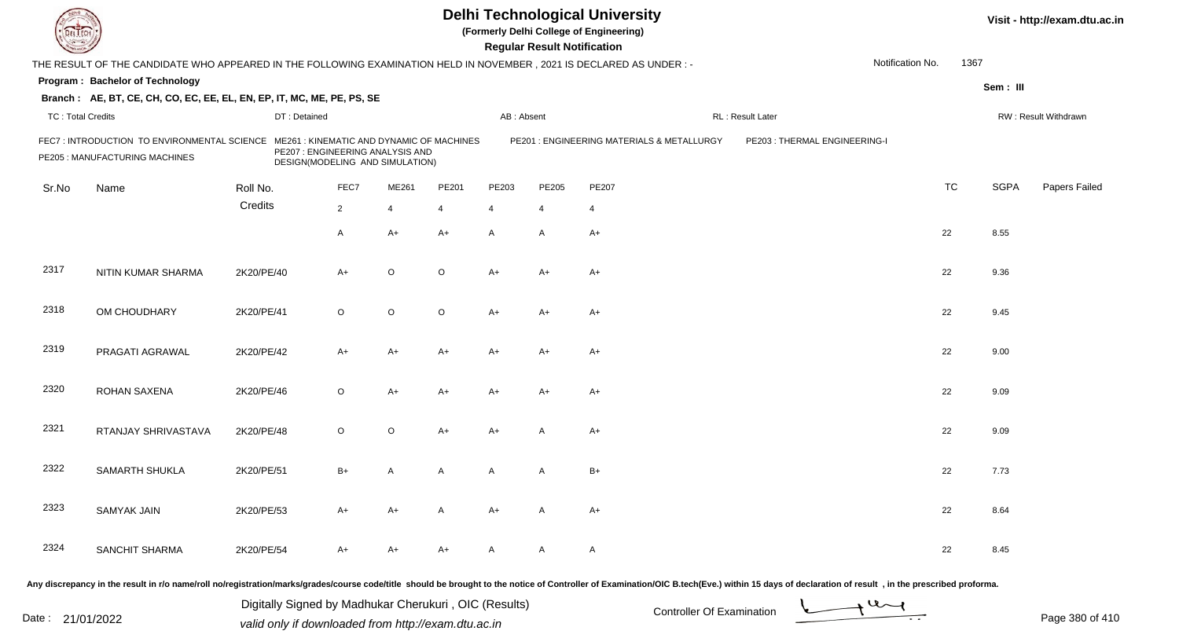| DEL TECH                 |                                                                                                                      |              |                                                                                                                 |                |                |            | <b>Regular Result Notification</b> | <b>Delhi Technological University</b><br>(Formerly Delhi College of Engineering)                                                                                                                                               |                               |                  |           |             | Visit - http://exam.dtu.ac.in |
|--------------------------|----------------------------------------------------------------------------------------------------------------------|--------------|-----------------------------------------------------------------------------------------------------------------|----------------|----------------|------------|------------------------------------|--------------------------------------------------------------------------------------------------------------------------------------------------------------------------------------------------------------------------------|-------------------------------|------------------|-----------|-------------|-------------------------------|
|                          | THE RESULT OF THE CANDIDATE WHO APPEARED IN THE FOLLOWING EXAMINATION HELD IN NOVEMBER, 2021 IS DECLARED AS UNDER: - |              |                                                                                                                 |                |                |            |                                    |                                                                                                                                                                                                                                |                               | Notification No. | 1367      |             |                               |
|                          | Program: Bachelor of Technology                                                                                      |              |                                                                                                                 |                |                |            |                                    |                                                                                                                                                                                                                                |                               |                  |           | Sem: III    |                               |
|                          | Branch: AE, BT, CE, CH, CO, EC, EE, EL, EN, EP, IT, MC, ME, PE, PS, SE                                               |              |                                                                                                                 |                |                |            |                                    |                                                                                                                                                                                                                                |                               |                  |           |             |                               |
| <b>TC: Total Credits</b> |                                                                                                                      | DT: Detained |                                                                                                                 |                |                | AB: Absent |                                    |                                                                                                                                                                                                                                | RL: Result Later              |                  |           |             | RW: Result Withdrawn          |
|                          | FEC7: INTRODUCTION TO ENVIRONMENTAL SCIENCE<br>PE205 : MANUFACTURING MACHINES                                        |              | ME261: KINEMATIC AND DYNAMIC OF MACHINES<br>PE207 : ENGINEERING ANALYSIS AND<br>DESIGN(MODELING AND SIMULATION) |                |                |            |                                    | PE201 : ENGINEERING MATERIALS & METALLURGY                                                                                                                                                                                     | PE203 : THERMAL ENGINEERING-I |                  |           |             |                               |
| Sr.No                    | Name                                                                                                                 | Roll No.     | FEC7                                                                                                            | ME261          | PE201          | PE203      | PE205                              | <b>PE207</b>                                                                                                                                                                                                                   |                               |                  | <b>TC</b> | <b>SGPA</b> | Papers Failed                 |
|                          |                                                                                                                      | Credits      | $\overline{2}$                                                                                                  | $\overline{4}$ | $\overline{4}$ | 4          | $\overline{4}$                     | $\overline{4}$                                                                                                                                                                                                                 |                               |                  |           |             |                               |
|                          |                                                                                                                      |              | $\overline{A}$                                                                                                  | $A+$           | $A+$           | A          | $\overline{A}$                     | $A+$                                                                                                                                                                                                                           |                               |                  | 22        | 8.55        |                               |
| 2317                     | NITIN KUMAR SHARMA                                                                                                   | 2K20/PE/40   | $A+$                                                                                                            | $\circ$        | $\circ$        | A+         | $A+$                               | $A+$                                                                                                                                                                                                                           |                               |                  | 22        | 9.36        |                               |
| 2318                     | OM CHOUDHARY                                                                                                         | 2K20/PE/41   | $\circ$                                                                                                         | $\circ$        | $\circ$        | A+         | $A+$                               | $A+$                                                                                                                                                                                                                           |                               |                  | 22        | 9.45        |                               |
| 2319                     | PRAGATI AGRAWAL                                                                                                      | 2K20/PE/42   | $A+$                                                                                                            | $A+$           | A+             | A+         | $A+$                               | A+                                                                                                                                                                                                                             |                               |                  | 22        | 9.00        |                               |
| 2320                     | <b>ROHAN SAXENA</b>                                                                                                  | 2K20/PE/46   | $\circ$                                                                                                         | $A+$           | A+             | A+         | A+                                 | $A+$                                                                                                                                                                                                                           |                               |                  | 22        | 9.09        |                               |
| 2321                     | RTANJAY SHRIVASTAVA                                                                                                  | 2K20/PE/48   | $\circ$                                                                                                         | $\circ$        | A+             | A+         | A                                  | $A+$                                                                                                                                                                                                                           |                               |                  | 22        | 9.09        |                               |
| 2322                     | SAMARTH SHUKLA                                                                                                       | 2K20/PE/51   | $B+$                                                                                                            | A              | A              | A          | A                                  | $B+$                                                                                                                                                                                                                           |                               |                  | 22        | 7.73        |                               |
| 2323                     | <b>SAMYAK JAIN</b>                                                                                                   | 2K20/PE/53   | $A+$                                                                                                            | A+             | A              | $A+$       | A                                  | $A+$                                                                                                                                                                                                                           |                               |                  | 22        | 8.64        |                               |
| 2324                     | SANCHIT SHARMA                                                                                                       | 2K20/PE/54   | A+                                                                                                              | A+             | A+             | A          | A                                  | A                                                                                                                                                                                                                              |                               |                  | 22        | 8.45        |                               |
|                          |                                                                                                                      |              |                                                                                                                 |                |                |            |                                    | Any discrepancy in the result in r/o name/roll no/registration/marks/grades/course code/title should be brought to the notice of Controller of Examination/OIC B.tech(Eve.) within 15 days of declaration of result , in the p |                               |                  |           |             |                               |

Date : 21/01/2022 Digital Digital of Microsofted Chemical Controller Of Examination Determination Page 380 of 41 Digitally Signed by Madhukar Cherukuri , OIC (Results)

Page 380 of 410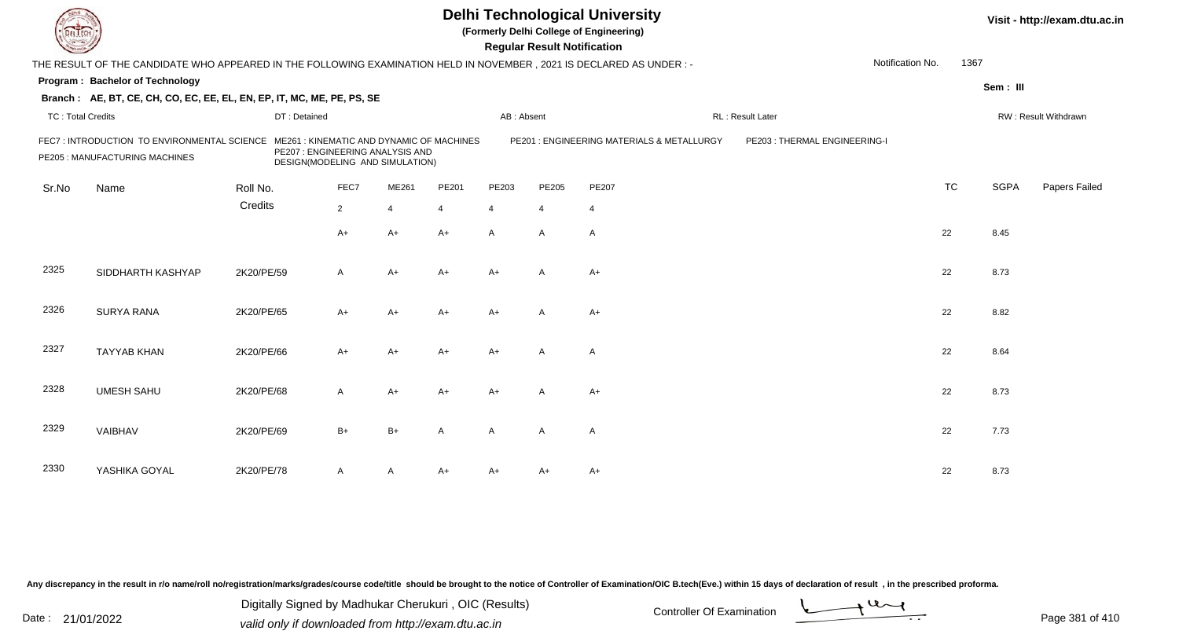| EL ECH                   |                                                                                                                      |              | <b>Delhi Technological University</b><br>(Formerly Delhi College of Engineering)<br><b>Regular Result Notification</b> |                                                                     |                                          |                |                |                                            |                              |                  |      |             | Visit - http://exam.dtu.ac.in |
|--------------------------|----------------------------------------------------------------------------------------------------------------------|--------------|------------------------------------------------------------------------------------------------------------------------|---------------------------------------------------------------------|------------------------------------------|----------------|----------------|--------------------------------------------|------------------------------|------------------|------|-------------|-------------------------------|
|                          | THE RESULT OF THE CANDIDATE WHO APPEARED IN THE FOLLOWING EXAMINATION HELD IN NOVEMBER, 2021 IS DECLARED AS UNDER :- |              |                                                                                                                        |                                                                     |                                          |                |                |                                            |                              | Notification No. | 1367 |             |                               |
|                          | Program: Bachelor of Technology                                                                                      |              |                                                                                                                        |                                                                     |                                          |                |                |                                            |                              |                  |      | Sem: III    |                               |
|                          | Branch: AE, BT, CE, CH, CO, EC, EE, EL, EN, EP, IT, MC, ME, PE, PS, SE                                               |              |                                                                                                                        |                                                                     |                                          |                |                |                                            |                              |                  |      |             |                               |
| <b>TC: Total Credits</b> |                                                                                                                      | DT: Detained |                                                                                                                        |                                                                     |                                          | AB: Absent     |                |                                            | RL : Result Later            |                  |      |             | RW: Result Withdrawn          |
|                          | FEC7: INTRODUCTION TO ENVIRONMENTAL SCIENCE<br>PE205 : MANUFACTURING MACHINES                                        |              |                                                                                                                        | PE207 : ENGINEERING ANALYSIS AND<br>DESIGN(MODELING AND SIMULATION) | ME261: KINEMATIC AND DYNAMIC OF MACHINES |                |                | PE201 : ENGINEERING MATERIALS & METALLURGY | PE203: THERMAL ENGINEERING-I |                  |      |             |                               |
| Sr.No                    | Name                                                                                                                 | Roll No.     | FEC7                                                                                                                   | ME261                                                               | PE201                                    | PE203          | PE205          | PE207                                      |                              | <b>TC</b>        |      | <b>SGPA</b> | Papers Failed                 |
|                          |                                                                                                                      | Credits      | $\overline{2}$                                                                                                         | $\overline{4}$                                                      | 4                                        | $\overline{4}$ | $\overline{4}$ | $\overline{4}$                             |                              |                  |      |             |                               |
|                          |                                                                                                                      |              | A+                                                                                                                     | $A+$                                                                | $A+$                                     | A              | A              | $\overline{A}$                             |                              | 22               |      | 8.45        |                               |
| 2325                     | SIDDHARTH KASHYAP                                                                                                    | 2K20/PE/59   | $\mathsf{A}$                                                                                                           | $A+$                                                                | $A+$                                     | $A+$           | $\overline{A}$ | $A+$                                       |                              | 22               |      | 8.73        |                               |
| 2326                     | <b>SURYA RANA</b>                                                                                                    | 2K20/PE/65   | $A+$                                                                                                                   | $A+$                                                                | $A+$                                     | $A+$           | $\overline{A}$ | $A+$                                       |                              | 22               |      | 8.82        |                               |
| 2327                     | <b>TAYYAB KHAN</b>                                                                                                   | 2K20/PE/66   | A+                                                                                                                     | $A+$                                                                | A+                                       | $A+$           | A              | $\overline{A}$                             |                              | 22               |      | 8.64        |                               |
| 2328                     | <b>UMESH SAHU</b>                                                                                                    | 2K20/PE/68   | A                                                                                                                      | $A+$                                                                | $A+$                                     | $A+$           | $\overline{A}$ | $A+$                                       |                              | 22               |      | 8.73        |                               |
| 2329                     | VAIBHAV                                                                                                              | 2K20/PE/69   | $B+$                                                                                                                   | $B+$                                                                | A                                        | $\mathsf{A}$   | $\mathsf{A}$   | $\overline{A}$                             |                              | 22               |      | 7.73        |                               |
| 2330                     | YASHIKA GOYAL                                                                                                        | 2K20/PE/78   | A                                                                                                                      | A                                                                   | A+                                       | A+             | A+             | A+                                         |                              | 22               |      | 8.73        |                               |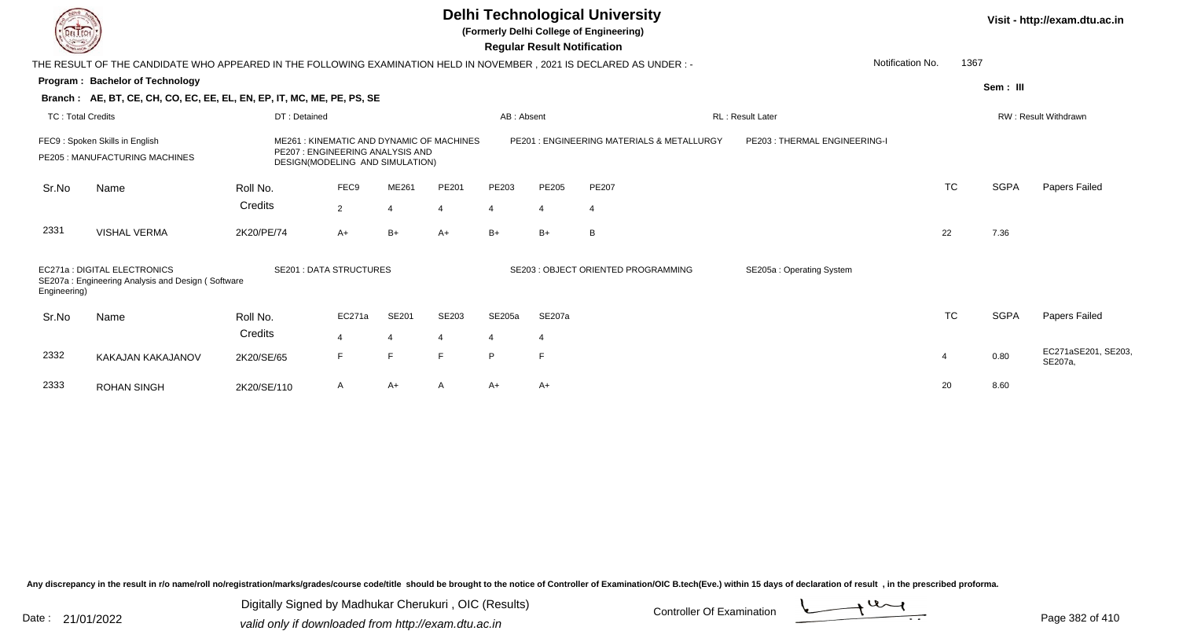**(Formerly Delhi College of Engineering)**

 **Regular Result Notification**

| <b>Courses A</b>         |                                                                                                                      |              |                                                                                                                 |                             |                |                | <b>Regular Result Notification</b> |                                           |                              |           |             |                                |
|--------------------------|----------------------------------------------------------------------------------------------------------------------|--------------|-----------------------------------------------------------------------------------------------------------------|-----------------------------|----------------|----------------|------------------------------------|-------------------------------------------|------------------------------|-----------|-------------|--------------------------------|
|                          | THE RESULT OF THE CANDIDATE WHO APPEARED IN THE FOLLOWING EXAMINATION HELD IN NOVEMBER, 2021 IS DECLARED AS UNDER :- |              |                                                                                                                 |                             |                |                |                                    |                                           | Notification No.             | 1367      |             |                                |
|                          | <b>Program: Bachelor of Technology</b>                                                                               |              |                                                                                                                 |                             |                |                |                                    |                                           |                              |           | Sem: III    |                                |
|                          | Branch: AE, BT, CE, CH, CO, EC, EE, EL, EN, EP, IT, MC, ME, PE, PS, SE                                               |              |                                                                                                                 |                             |                |                |                                    |                                           |                              |           |             |                                |
| <b>TC: Total Credits</b> |                                                                                                                      | DT: Detained |                                                                                                                 |                             |                | AB: Absent     |                                    |                                           | RL: Result Later             |           |             | RW: Result Withdrawn           |
|                          | FEC9: Spoken Skills in English<br>PE205: MANUFACTURING MACHINES                                                      |              | ME261: KINEMATIC AND DYNAMIC OF MACHINES<br>PE207 : ENGINEERING ANALYSIS AND<br>DESIGN(MODELING AND SIMULATION) |                             |                |                |                                    | PE201: ENGINEERING MATERIALS & METALLURGY | PE203: THERMAL ENGINEERING-I |           |             |                                |
| Sr.No                    | Name                                                                                                                 | Roll No.     | FEC9                                                                                                            | ME261                       | PE201          | PE203          | <b>PE205</b>                       | PE207                                     |                              | <b>TC</b> | <b>SGPA</b> | Papers Failed                  |
|                          |                                                                                                                      | Credits      | $\overline{2}$                                                                                                  | $\boldsymbol{\vartriangle}$ | $\overline{4}$ | Δ              | $\overline{4}$                     | 4                                         |                              |           |             |                                |
| 2331                     | <b>VISHAL VERMA</b>                                                                                                  | 2K20/PE/74   | A+                                                                                                              | $B+$                        | $A+$           | $B+$           | $B+$                               | B                                         |                              | 22        | 7.36        |                                |
| Engineering)             | EC271a: DIGITAL ELECTRONICS<br>SE207a: Engineering Analysis and Design (Software                                     |              | <b>SE201: DATA STRUCTURES</b>                                                                                   |                             |                |                |                                    | SE203 : OBJECT ORIENTED PROGRAMMING       | SE205a: Operating System     |           |             |                                |
| Sr.No                    | Name                                                                                                                 | Roll No.     | EC271a                                                                                                          | SE201                       | <b>SE203</b>   | SE205a         | SE207a                             |                                           |                              | <b>TC</b> | <b>SGPA</b> | Papers Failed                  |
|                          |                                                                                                                      | Credits      |                                                                                                                 | $\overline{4}$              | 4              | $\overline{4}$ | $\overline{4}$                     |                                           |                              |           |             |                                |
| 2332                     | KAKAJAN KAKAJANOV                                                                                                    | 2K20/SE/65   | F                                                                                                               | E                           | F              | P              | E                                  |                                           |                              | 4         | 0.80        | EC271aSE201, SE203,<br>SE207a, |
| 2333                     | <b>ROHAN SINGH</b>                                                                                                   | 2K20/SE/110  | A                                                                                                               | $A+$                        | A              | $A+$           | $A+$                               |                                           |                              | 20        | 8.60        |                                |

Any discrepancy in the result in r/o name/roll no/registration/marks/grades/course code/title should be brought to the notice of Controller of Examination/OIC B.tech(Eve.) within 15 days of declaration of result, in the pr

Date : 21/01/2022 Digital Digital of Microsofted Chemical Controller Of Examination Determination Page 382 of 41 Digitally Signed by Madhukar Cherukuri , OIC (Results)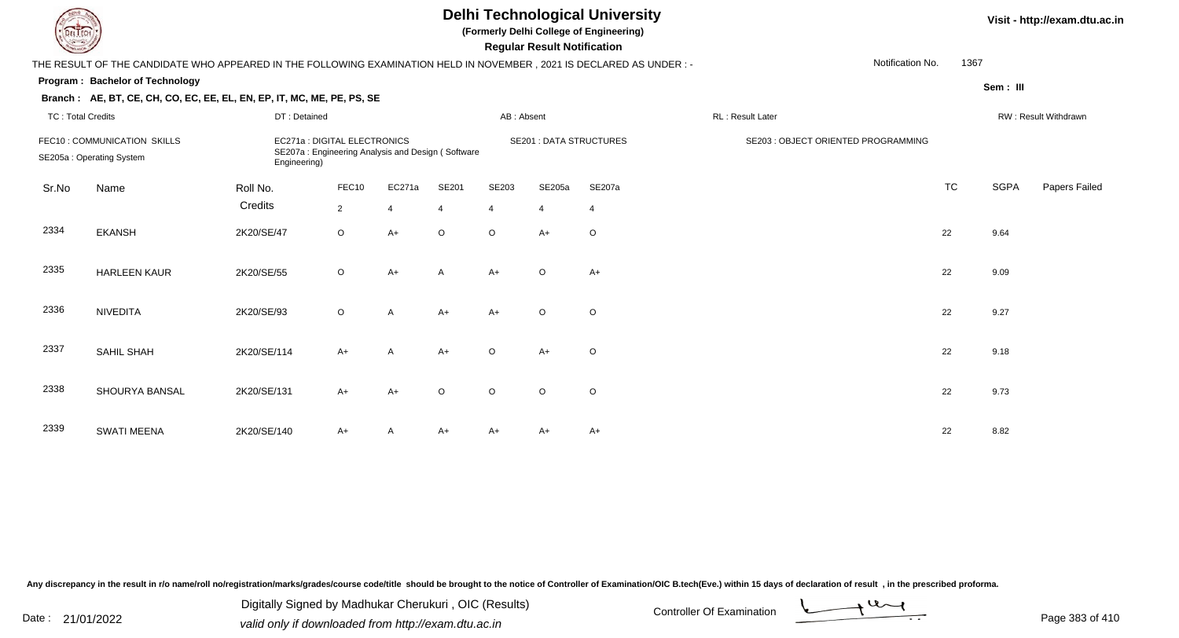**(Formerly Delhi College of Engineering)**

 **Regular Result Notification**

| $\sim$                   |                                                                                                                      |              |                                                                                   |                |                |                | ncyular ncədil nolllivation    |                |                  |                                     |           |          |                      |
|--------------------------|----------------------------------------------------------------------------------------------------------------------|--------------|-----------------------------------------------------------------------------------|----------------|----------------|----------------|--------------------------------|----------------|------------------|-------------------------------------|-----------|----------|----------------------|
|                          | THE RESULT OF THE CANDIDATE WHO APPEARED IN THE FOLLOWING EXAMINATION HELD IN NOVEMBER, 2021 IS DECLARED AS UNDER :- |              |                                                                                   |                |                |                |                                |                |                  | Notification No.                    | 1367      |          |                      |
|                          | Program: Bachelor of Technology                                                                                      |              |                                                                                   |                |                |                |                                |                |                  |                                     |           | Sem: III |                      |
|                          | Branch: AE, BT, CE, CH, CO, EC, EE, EL, EN, EP, IT, MC, ME, PE, PS, SE                                               |              |                                                                                   |                |                |                |                                |                |                  |                                     |           |          |                      |
| <b>TC: Total Credits</b> |                                                                                                                      | DT: Detained |                                                                                   |                |                | AB: Absent     |                                |                | RL: Result Later |                                     |           |          | RW: Result Withdrawn |
|                          | FEC10: COMMUNICATION SKILLS<br>SE205a: Operating System                                                              | Engineering) | EC271a : DIGITAL ELECTRONICS<br>SE207a: Engineering Analysis and Design (Software |                |                |                | <b>SE201 : DATA STRUCTURES</b> |                |                  | SE203 : OBJECT ORIENTED PROGRAMMING |           |          |                      |
| Sr.No                    | Name                                                                                                                 | Roll No.     | FEC10                                                                             | EC271a         | SE201          | SE203          | SE205a                         | SE207a         |                  |                                     | <b>TC</b> | SGPA     | Papers Failed        |
|                          |                                                                                                                      | Credits      | $\overline{2}$                                                                    | $\overline{4}$ | $\overline{4}$ | $\overline{4}$ | $\overline{4}$                 | $\overline{4}$ |                  |                                     |           |          |                      |
| 2334                     | <b>EKANSH</b>                                                                                                        | 2K20/SE/47   | $\circ$                                                                           | $A+$           | $\circ$        | $\circ$        | $A+$                           | $\circ$        |                  |                                     | 22        | 9.64     |                      |
| 2335                     | <b>HARLEEN KAUR</b>                                                                                                  | 2K20/SE/55   | $\circ$                                                                           | $A+$           | $\overline{A}$ | $A+$           | $\circ$                        | $A+$           |                  |                                     | 22        | 9.09     |                      |
| 2336                     | <b>NIVEDITA</b>                                                                                                      | 2K20/SE/93   | $\circ$                                                                           | $\overline{A}$ | $A+$           | $A+$           | $\circ$                        | $\circ$        |                  |                                     | 22        | 9.27     |                      |
| 2337                     | SAHIL SHAH                                                                                                           | 2K20/SE/114  | $A+$                                                                              | A              | $A+$           | $\circ$        | $A+$                           | $\circ$        |                  |                                     | 22        | 9.18     |                      |
| 2338                     | SHOURYA BANSAL                                                                                                       | 2K20/SE/131  | $A+$                                                                              | $A+$           | $\circ$        | $\circ$        | $\circ$                        | $\circ$        |                  |                                     | 22        | 9.73     |                      |
| 2339                     | <b>SWATI MEENA</b>                                                                                                   | 2K20/SE/140  | $A+$                                                                              | A              | $A+$           | A+             | A+                             | A+             |                  |                                     | 22        | 8.82     |                      |

Any discrepancy in the result in r/o name/roll no/registration/marks/grades/course code/title should be brought to the notice of Controller of Examination/OIC B.tech(Eve.) within 15 days of declaration of result, in the pr

Date : 21/01/2022 Digital Digital of Microsofted Chemical Controller Of Examination Determination Page 383 of 41 Digitally Signed by Madhukar Cherukuri , OIC (Results)

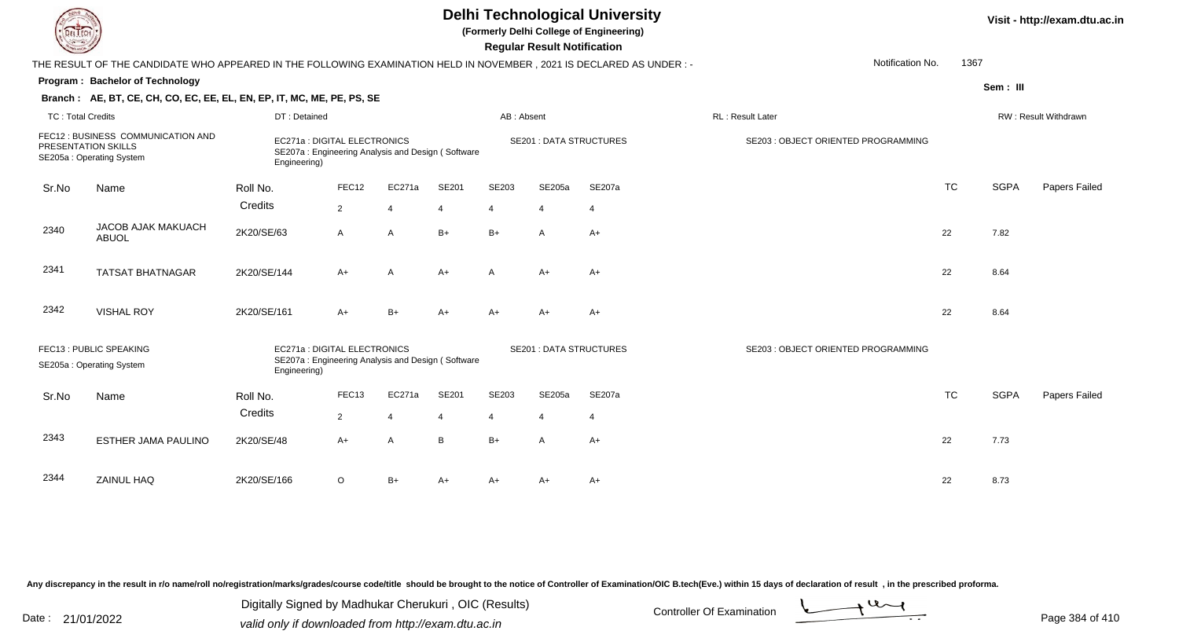| IL I ECH                 |                                                                                                                        |                                              |                |                                                   |       |                         | <b>Regular Result Notification</b> | <b>Delhi Technological University</b><br>(Formerly Delhi College of Engineering) |                                     |           |             | Visit - http://exam.dtu.ac.in |
|--------------------------|------------------------------------------------------------------------------------------------------------------------|----------------------------------------------|----------------|---------------------------------------------------|-------|-------------------------|------------------------------------|----------------------------------------------------------------------------------|-------------------------------------|-----------|-------------|-------------------------------|
|                          | THE RESULT OF THE CANDIDATE WHO APPEARED IN THE FOLLOWING EXAMINATION HELD IN NOVEMBER , 2021 IS DECLARED AS UNDER : - |                                              |                |                                                   |       |                         |                                    |                                                                                  | Notification No.                    | 1367      |             |                               |
|                          | Program: Bachelor of Technology                                                                                        |                                              |                |                                                   |       |                         |                                    |                                                                                  |                                     |           | Sem: III    |                               |
|                          | Branch: AE, BT, CE, CH, CO, EC, EE, EL, EN, EP, IT, MC, ME, PE, PS, SE                                                 |                                              |                |                                                   |       |                         |                                    |                                                                                  |                                     |           |             |                               |
| <b>TC: Total Credits</b> |                                                                                                                        | DT: Detained                                 |                |                                                   |       | AB: Absent              |                                    |                                                                                  | RL: Result Later                    |           |             | RW: Result Withdrawn          |
|                          | FEC12 : BUSINESS COMMUNICATION AND<br>PRESENTATION SKILLS<br>SE205a: Operating System                                  | EC271a: DIGITAL ELECTRONICS<br>Engineering)  |                | SE207a: Engineering Analysis and Design (Software |       |                         |                                    | <b>SE201 : DATA STRUCTURES</b>                                                   | SE203 : OBJECT ORIENTED PROGRAMMING |           |             |                               |
| Sr.No                    | Name                                                                                                                   | Roll No.                                     | FEC12          | EC271a                                            | SE201 | SE203                   | SE205a                             | SE207a                                                                           |                                     | <b>TC</b> | <b>SGPA</b> | Papers Failed                 |
|                          |                                                                                                                        | Credits                                      | $\overline{2}$ | $\overline{4}$                                    | 4     | $\overline{4}$          | $\overline{4}$                     | $\overline{4}$                                                                   |                                     |           |             |                               |
| 2340                     | JACOB AJAK MAKUACH<br><b>ABUOL</b>                                                                                     | 2K20/SE/63                                   | A              | $\overline{A}$                                    | $B+$  | $B+$                    | A                                  | $A+$                                                                             |                                     | 22        | 7.82        |                               |
| 2341                     | <b>TATSAT BHATNAGAR</b>                                                                                                | 2K20/SE/144                                  | A+             | A                                                 | $A+$  | A                       | $A+$                               | $A+$                                                                             |                                     | 22        | 8.64        |                               |
| 2342                     | <b>VISHAL ROY</b>                                                                                                      | 2K20/SE/161                                  | A+             | $B+$                                              | $A+$  | $A+$                    | A+                                 | $A+$                                                                             |                                     | 22        | 8.64        |                               |
|                          | FEC13 : PUBLIC SPEAKING<br>SE205a: Operating System                                                                    | EC271a : DIGITAL ELECTRONICS<br>Engineering) |                | SE207a: Engineering Analysis and Design (Software |       |                         |                                    | <b>SE201 : DATA STRUCTURES</b>                                                   | SE203 : OBJECT ORIENTED PROGRAMMING |           |             |                               |
| Sr.No                    | Name                                                                                                                   | Roll No.                                     | FEC13          | EC271a                                            | SE201 | SE203                   | SE205a                             | <b>SE207a</b>                                                                    |                                     | <b>TC</b> | <b>SGPA</b> | Papers Failed                 |
|                          |                                                                                                                        | Credits                                      | $\overline{2}$ | $\overline{4}$                                    |       | $\overline{\mathbf{4}}$ | $\overline{4}$                     | $\overline{4}$                                                                   |                                     |           |             |                               |
| 2343                     | ESTHER JAMA PAULINO                                                                                                    | 2K20/SE/48                                   | A+             | $\overline{A}$                                    | B     | $B+$                    | $\overline{A}$                     | $A+$                                                                             |                                     | 22        | 7.73        |                               |
| 2344                     | ZAINUL HAQ                                                                                                             | 2K20/SE/166                                  | $\circ$        | $B+$                                              | $A+$  | $A+$                    | A+                                 | $A+$                                                                             |                                     | 22        | 8.73        |                               |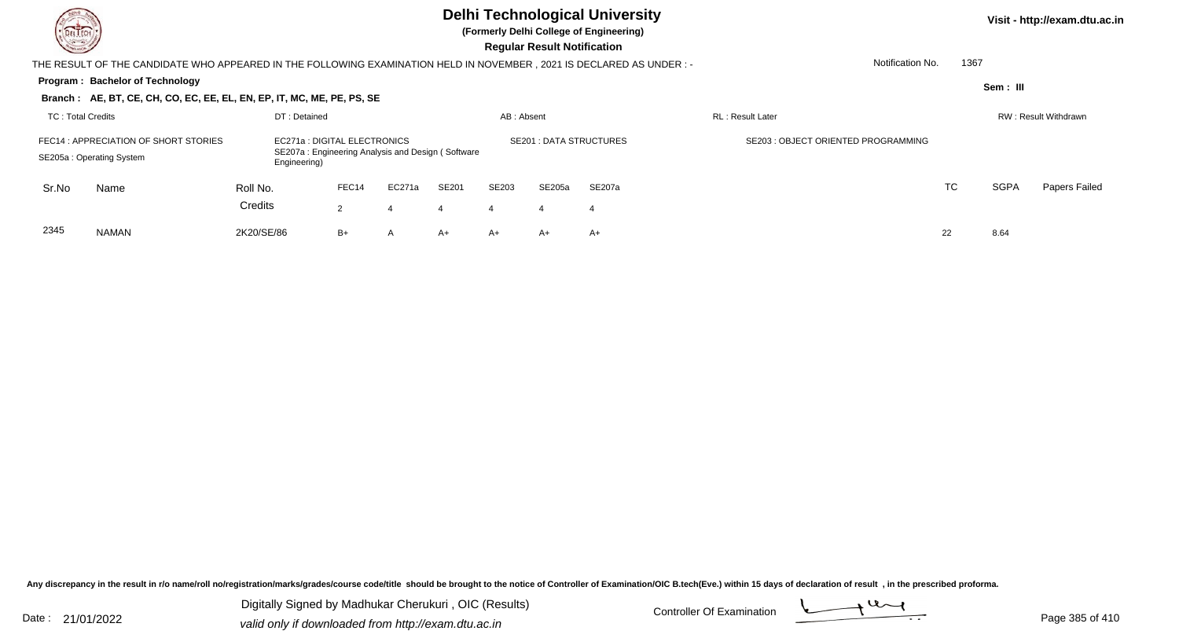**(Formerly Delhi College of Engineering)**

 **Regular Result Notification**

| <b>Chassen /</b>  |                                                                                                                     |              |                                                                                   |                |              |            | <b>Requiar Result Notification</b> |                               |                                     |    |          |                      |               |
|-------------------|---------------------------------------------------------------------------------------------------------------------|--------------|-----------------------------------------------------------------------------------|----------------|--------------|------------|------------------------------------|-------------------------------|-------------------------------------|----|----------|----------------------|---------------|
|                   | THE RESULT OF THE CANDIDATE WHO APPEARED IN THE FOLLOWING EXAMINATION HELD IN NOVEMBER, 2021 IS DECLARED AS UNDER:- |              |                                                                                   |                |              |            |                                    |                               | Notification No.                    |    | 1367     |                      |               |
|                   | <b>Program: Bachelor of Technology</b>                                                                              |              |                                                                                   |                |              |            |                                    |                               |                                     |    | Sem: III |                      |               |
|                   | Branch: AE, BT, CE, CH, CO, EC, EE, EL, EN, EP, IT, MC, ME, PE, PS, SE                                              |              |                                                                                   |                |              |            |                                    |                               |                                     |    |          |                      |               |
| TC: Total Credits |                                                                                                                     | DT: Detained |                                                                                   |                |              | AB: Absent |                                    |                               | <b>RL</b> : Result Later            |    |          | RW: Result Withdrawn |               |
|                   | FEC14 : APPRECIATION OF SHORT STORIES<br>SE205a: Operating System                                                   | Engineering) | EC271a : DIGITAL ELECTRONICS<br>SE207a: Engineering Analysis and Design (Software |                |              |            |                                    | <b>SE201: DATA STRUCTURES</b> | SE203 : OBJECT ORIENTED PROGRAMMING |    |          |                      |               |
| Sr.No             | Name                                                                                                                | Roll No.     | FEC14                                                                             | EC271a         | <b>SE201</b> | SE203      | SE205a                             | SE207a                        |                                     | TC |          | <b>SGPA</b>          | Papers Failed |
|                   |                                                                                                                     | Credits      | $\mathbf{2}^{\circ}$                                                              | 4              | 4            | 4          | 4                                  | 4                             |                                     |    |          |                      |               |
| 2345              | <b>NAMAN</b>                                                                                                        | 2K20/SE/86   | $B+$                                                                              | $\overline{A}$ | $A+$         | A+         | A+                                 | A+                            |                                     | 22 | 8.64     |                      |               |

Any discrepancy in the result in r/o name/roll no/registration/marks/grades/course code/title should be brought to the notice of Controller of Examination/OIC B.tech(Eve.) within 15 days of declaration of result, in the pr

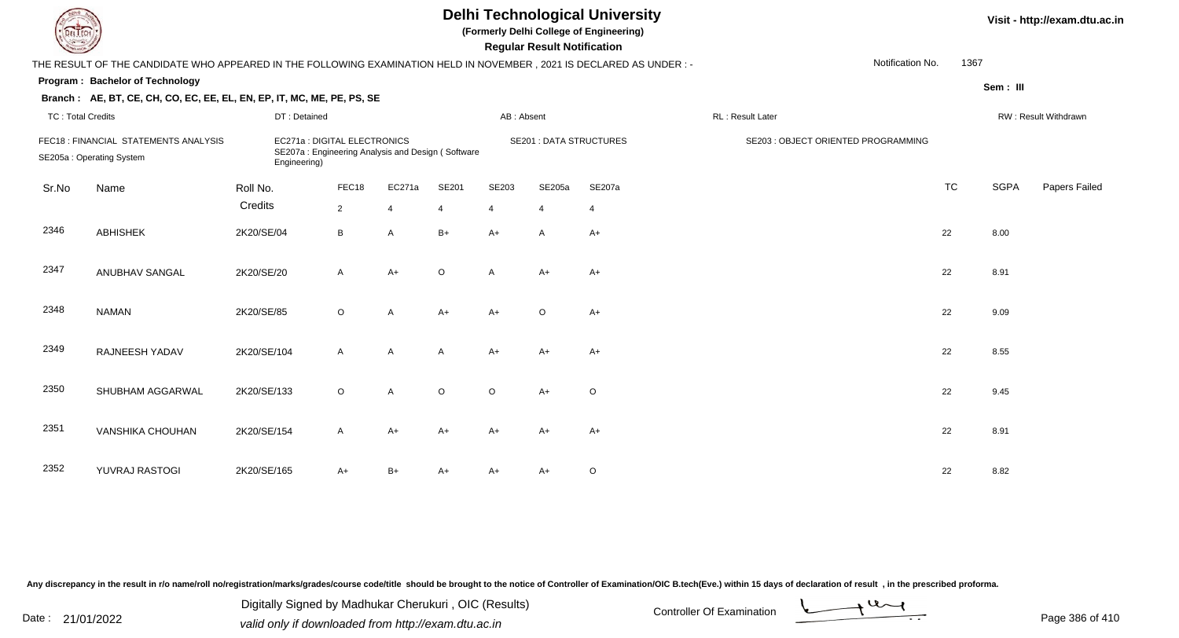| LI ECH                   |                                                                        | <b>Delhi Technological University</b><br>(Formerly Delhi College of Engineering)<br><b>Regular Result Notification</b><br>Notification No.<br>THE RESULT OF THE CANDIDATE WHO APPEARED IN THE FOLLOWING EXAMINATION HELD IN NOVEMBER, 2021 IS DECLARED AS UNDER :- |              |                |              |              |                |                                |                                     |           |             |                      |  |  |  |
|--------------------------|------------------------------------------------------------------------|--------------------------------------------------------------------------------------------------------------------------------------------------------------------------------------------------------------------------------------------------------------------|--------------|----------------|--------------|--------------|----------------|--------------------------------|-------------------------------------|-----------|-------------|----------------------|--|--|--|
|                          |                                                                        |                                                                                                                                                                                                                                                                    |              |                |              |              |                |                                |                                     | 1367      |             |                      |  |  |  |
|                          | Program: Bachelor of Technology                                        |                                                                                                                                                                                                                                                                    |              |                |              |              |                |                                |                                     |           | Sem: III    |                      |  |  |  |
|                          | Branch: AE, BT, CE, CH, CO, EC, EE, EL, EN, EP, IT, MC, ME, PE, PS, SE |                                                                                                                                                                                                                                                                    |              |                |              |              |                |                                |                                     |           |             |                      |  |  |  |
| <b>TC: Total Credits</b> |                                                                        | DT: Detained                                                                                                                                                                                                                                                       |              |                |              | AB: Absent   |                |                                | RL: Result Later                    |           |             | RW: Result Withdrawn |  |  |  |
|                          | FEC18 : FINANCIAL STATEMENTS ANALYSIS<br>SE205a: Operating System      | EC271a : DIGITAL ELECTRONICS<br>SE207a: Engineering Analysis and Design (Software<br>Engineering)                                                                                                                                                                  |              |                |              |              |                | <b>SE201 : DATA STRUCTURES</b> | SE203 : OBJECT ORIENTED PROGRAMMING |           |             |                      |  |  |  |
| Sr.No                    | Name                                                                   | Roll No.                                                                                                                                                                                                                                                           | FEC18        | EC271a         | SE201        | SE203        | SE205a         | <b>SE207a</b>                  |                                     | <b>TC</b> | <b>SGPA</b> | Papers Failed        |  |  |  |
|                          |                                                                        | Credits                                                                                                                                                                                                                                                            | $2^{\circ}$  | $\overline{4}$ | 4            | 4            | $\overline{4}$ | $\overline{4}$                 |                                     |           |             |                      |  |  |  |
| 2346                     | <b>ABHISHEK</b>                                                        | 2K20/SE/04                                                                                                                                                                                                                                                         | B            | A              | $B+$         | $A+$         | A              | $A+$                           |                                     | 22        | 8.00        |                      |  |  |  |
| 2347                     | ANUBHAV SANGAL                                                         | 2K20/SE/20                                                                                                                                                                                                                                                         | $\mathsf{A}$ | $A+$           | $\circ$      | $\mathsf{A}$ | $A+$           | $A+$                           |                                     | 22        | 8.91        |                      |  |  |  |
| 2348                     | <b>NAMAN</b>                                                           | 2K20/SE/85                                                                                                                                                                                                                                                         | $\circ$      | A              | $A+$         | $A+$         | $\circ$        | $A+$                           |                                     | 22        | 9.09        |                      |  |  |  |
| 2349                     | RAJNEESH YADAV                                                         | 2K20/SE/104                                                                                                                                                                                                                                                        | $\mathsf{A}$ | A              | $\mathsf{A}$ | $A+$         | $A+$           | $A+$                           |                                     | 22        | 8.55        |                      |  |  |  |
| 2350                     | SHUBHAM AGGARWAL                                                       | 2K20/SE/133                                                                                                                                                                                                                                                        | $\circ$      | A              | $\circ$      | $\circ$      | $A+$           | $\circ$                        |                                     | 22        | 9.45        |                      |  |  |  |
| 2351                     | <b>VANSHIKA CHOUHAN</b>                                                | 2K20/SE/154                                                                                                                                                                                                                                                        | A            | A+             | A+           | $A+$         | $A+$           | $A+$                           |                                     | 22        | 8.91        |                      |  |  |  |
| 2352                     | YUVRAJ RASTOGI                                                         | 2K20/SE/165                                                                                                                                                                                                                                                        | A+           | B+             | A+           | A+           | A+             | $\mathsf O$                    |                                     | 22        | 8.82        |                      |  |  |  |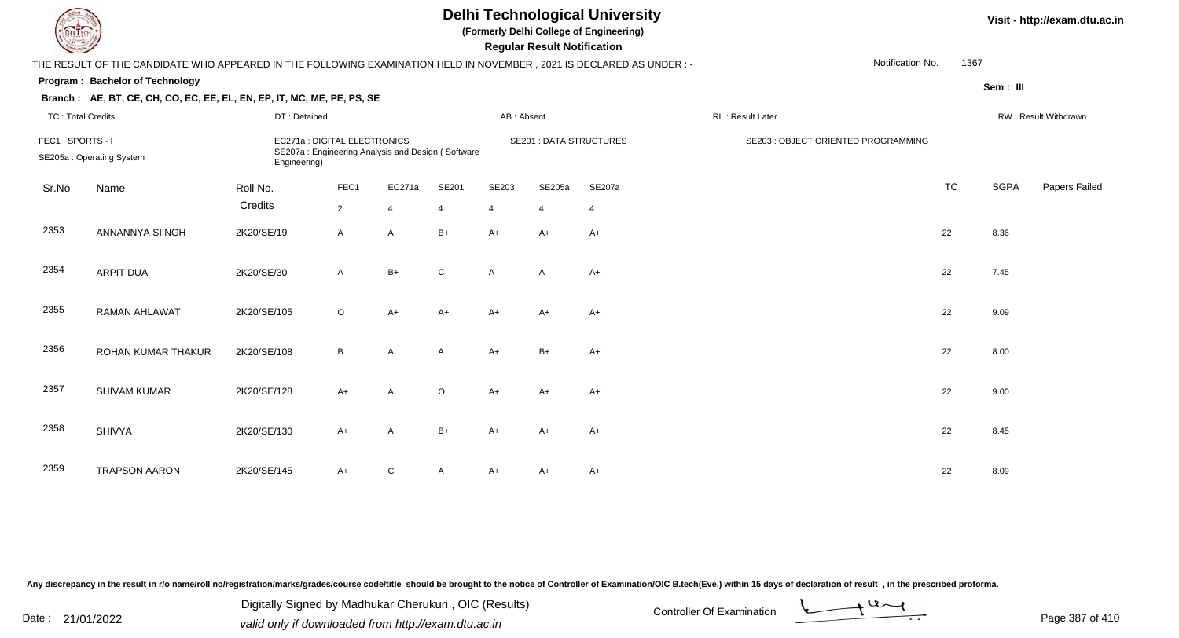| L ECH                    |                                                                                                                     |              |                              |                                                   |                         |                | <b>Regular Result Notification</b> | <b>Delhi Technological University</b><br>(Formerly Delhi College of Engineering) |                  |                                     |           |             | Visit - http://exam.dtu.ac.in |
|--------------------------|---------------------------------------------------------------------------------------------------------------------|--------------|------------------------------|---------------------------------------------------|-------------------------|----------------|------------------------------------|----------------------------------------------------------------------------------|------------------|-------------------------------------|-----------|-------------|-------------------------------|
|                          | THE RESULT OF THE CANDIDATE WHO APPEARED IN THE FOLLOWING EXAMINATION HELD IN NOVEMBER, 2021 IS DECLARED AS UNDER:- |              |                              |                                                   |                         |                |                                    |                                                                                  |                  | Notification No.                    | 1367      |             |                               |
|                          | <b>Program: Bachelor of Technology</b>                                                                              |              |                              |                                                   |                         |                |                                    |                                                                                  |                  |                                     |           |             |                               |
|                          | Branch: AE, BT, CE, CH, CO, EC, EE, EL, EN, EP, IT, MC, ME, PE, PS, SE                                              |              |                              |                                                   |                         |                |                                    |                                                                                  |                  |                                     |           | Sem: III    |                               |
| <b>TC: Total Credits</b> |                                                                                                                     | DT: Detained |                              |                                                   |                         | AB: Absent     |                                    |                                                                                  | RL: Result Later |                                     |           |             | RW: Result Withdrawn          |
| FEC1: SPORTS-I           | SE205a: Operating System                                                                                            | Engineering) | EC271a : DIGITAL ELECTRONICS | SE207a: Engineering Analysis and Design (Software |                         |                | <b>SE201 : DATA STRUCTURES</b>     |                                                                                  |                  | SE203 : OBJECT ORIENTED PROGRAMMING |           |             |                               |
| Sr.No                    | Name                                                                                                                | Roll No.     | FEC1                         | EC271a                                            | SE201                   | SE203          | SE205a                             | SE207a                                                                           |                  |                                     | <b>TC</b> | <b>SGPA</b> | Papers Failed                 |
|                          |                                                                                                                     | Credits      | $\overline{2}$               | $\overline{4}$                                    | $\overline{\mathbf{4}}$ | $\overline{4}$ | $\overline{4}$                     | $\overline{4}$                                                                   |                  |                                     |           |             |                               |
| 2353                     | ANNANNYA SIINGH                                                                                                     | 2K20/SE/19   | A                            | A                                                 | $B+$                    | $A+$           | A+                                 | A+                                                                               |                  |                                     | 22        | 8.36        |                               |
|                          |                                                                                                                     |              |                              |                                                   |                         |                |                                    |                                                                                  |                  |                                     |           |             |                               |
| 2354                     | <b>ARPIT DUA</b>                                                                                                    | 2K20/SE/30   | $\mathsf{A}$                 | $B+$                                              | $\mathsf{C}$            | $\mathsf{A}$   | $\overline{A}$                     | A+                                                                               |                  |                                     | 22        | 7.45        |                               |
|                          |                                                                                                                     |              |                              |                                                   |                         |                |                                    |                                                                                  |                  |                                     |           |             |                               |
| 2355                     | <b>RAMAN AHLAWAT</b>                                                                                                | 2K20/SE/105  | $\circ$                      | $A+$                                              | $A+$                    | $A+$           | $A+$                               | A+                                                                               |                  |                                     | 22        | 9.09        |                               |
|                          |                                                                                                                     |              |                              |                                                   |                         |                |                                    |                                                                                  |                  |                                     |           |             |                               |
| 2356                     | ROHAN KUMAR THAKUR                                                                                                  | 2K20/SE/108  | B                            | A                                                 | A                       | $A+$           | $B+$                               | $A+$                                                                             |                  |                                     | 22        | 8.00        |                               |
|                          |                                                                                                                     |              |                              |                                                   |                         |                |                                    |                                                                                  |                  |                                     |           |             |                               |
| 2357                     | <b>SHIVAM KUMAR</b>                                                                                                 | 2K20/SE/128  | $A+$                         | A                                                 | $\circ$                 | $A+$           | $A+$                               | $A+$                                                                             |                  |                                     | 22        | 9.00        |                               |
|                          |                                                                                                                     |              |                              |                                                   |                         |                |                                    |                                                                                  |                  |                                     |           |             |                               |
| 2358                     | <b>SHIVYA</b>                                                                                                       | 2K20/SE/130  | $A+$                         | A                                                 | $B+$                    | $A+$           | A+                                 | $A+$                                                                             |                  |                                     | 22        | 8.45        |                               |
|                          |                                                                                                                     |              |                              |                                                   |                         |                |                                    |                                                                                  |                  |                                     |           |             |                               |
| 2359                     | <b>TRAPSON AARON</b>                                                                                                | 2K20/SE/145  | A+                           | С                                                 |                         | A+             |                                    | A+                                                                               |                  |                                     | 22        | 8.09        |                               |

N 2K20/SE/145 A+ C A A+ A+ A+ A+ C and a 22 8.09

Any discrepancy in the result in r/o name/roll no/registration/marks/grades/course code/title should be brought to the notice of Controller of Examination/OIC B.tech(Eve.) within 15 days of declaration of result, in the pr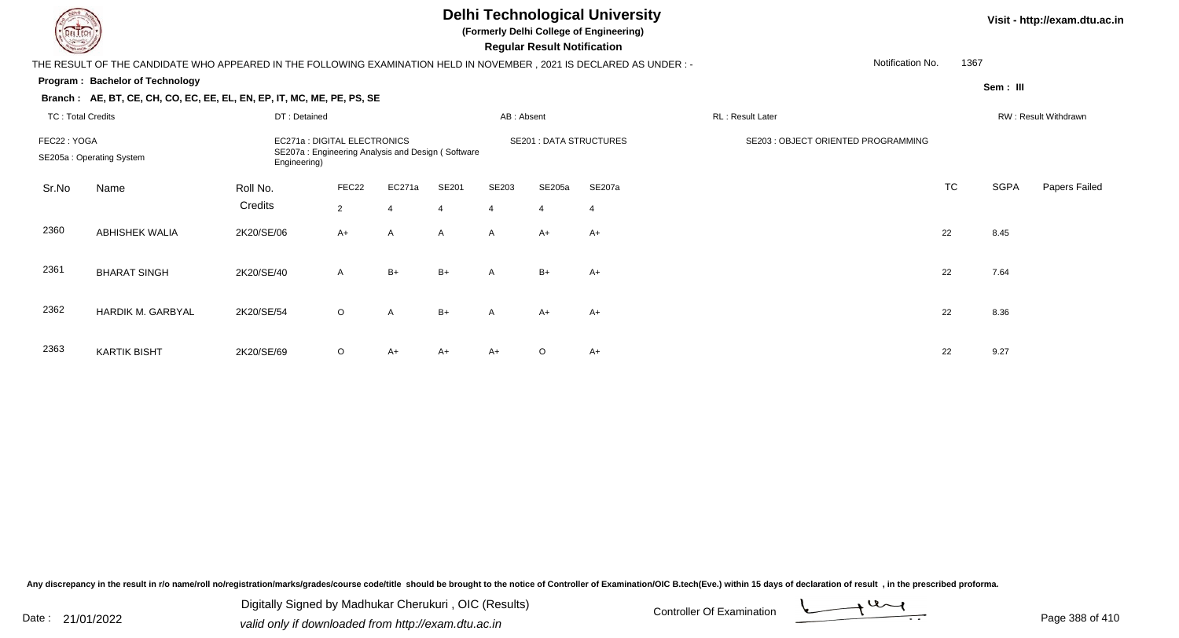**(Formerly Delhi College of Engineering)**

 **Regular Result Notification**

| $\sim$                   |                                                                                                                      |                              |                |                |                |                | neguiai nesuit notiiloation    |                |                                     |                  |      |             |                      |
|--------------------------|----------------------------------------------------------------------------------------------------------------------|------------------------------|----------------|----------------|----------------|----------------|--------------------------------|----------------|-------------------------------------|------------------|------|-------------|----------------------|
|                          | THE RESULT OF THE CANDIDATE WHO APPEARED IN THE FOLLOWING EXAMINATION HELD IN NOVEMBER, 2021 IS DECLARED AS UNDER :- |                              |                |                |                |                |                                |                |                                     | Notification No. | 1367 |             |                      |
|                          | Program: Bachelor of Technology                                                                                      |                              |                |                |                |                |                                |                |                                     |                  |      | Sem: III    |                      |
|                          | Branch: AE, BT, CE, CH, CO, EC, EE, EL, EN, EP, IT, MC, ME, PE, PS, SE                                               |                              |                |                |                |                |                                |                |                                     |                  |      |             |                      |
| <b>TC: Total Credits</b> |                                                                                                                      | DT: Detained                 |                |                |                | AB: Absent     |                                |                | RL: Result Later                    |                  |      |             | RW: Result Withdrawn |
| FEC22: YOGA              |                                                                                                                      | EC271a : DIGITAL ELECTRONICS |                |                |                |                | <b>SE201 : DATA STRUCTURES</b> |                | SE203 : OBJECT ORIENTED PROGRAMMING |                  |      |             |                      |
|                          | SE207a: Engineering Analysis and Design (Software<br>SE205a: Operating System<br>Engineering)                        |                              |                |                |                |                |                                |                |                                     |                  |      |             |                      |
| Sr.No                    | Name                                                                                                                 | Roll No.                     | FEC22          | EC271a         | SE201          | SE203          | SE205a                         | SE207a         |                                     | TC               |      | <b>SGPA</b> | Papers Failed        |
|                          |                                                                                                                      | Credits                      | $\overline{2}$ | $\overline{4}$ | $\overline{4}$ | $\overline{4}$ | $\overline{4}$                 | $\overline{4}$ |                                     |                  |      |             |                      |
| 2360                     | <b>ABHISHEK WALIA</b>                                                                                                | 2K20/SE/06                   | $A+$           | A              | $\mathsf{A}$   | A              | $A+$                           | $A+$           |                                     | 22               |      | 8.45        |                      |
|                          |                                                                                                                      |                              |                |                |                |                |                                |                |                                     |                  |      |             |                      |
| 2361                     | <b>BHARAT SINGH</b>                                                                                                  | 2K20/SE/40                   | A              | $B+$           | $B+$           | $\mathsf{A}$   | $B+$                           | $A+$           |                                     | 22               |      | 7.64        |                      |
|                          |                                                                                                                      |                              |                |                |                |                |                                |                |                                     |                  |      |             |                      |
| 2362                     | HARDIK M. GARBYAL                                                                                                    | 2K20/SE/54                   | $\circ$        | A              | $B+$           | A              | A+                             | A+             |                                     | 22               |      | 8.36        |                      |
|                          |                                                                                                                      |                              |                |                |                |                |                                |                |                                     |                  |      |             |                      |
| 2363                     | <b>KARTIK BISHT</b>                                                                                                  | 2K20/SE/69                   | O              | A+             | A+             | A+             | $\circ$                        | A+             |                                     | 22               |      | 9.27        |                      |

Any discrepancy in the result in r/o name/roll no/registration/marks/grades/course code/title should be brought to the notice of Controller of Examination/OIC B.tech(Eve.) within 15 days of declaration of result, in the pr

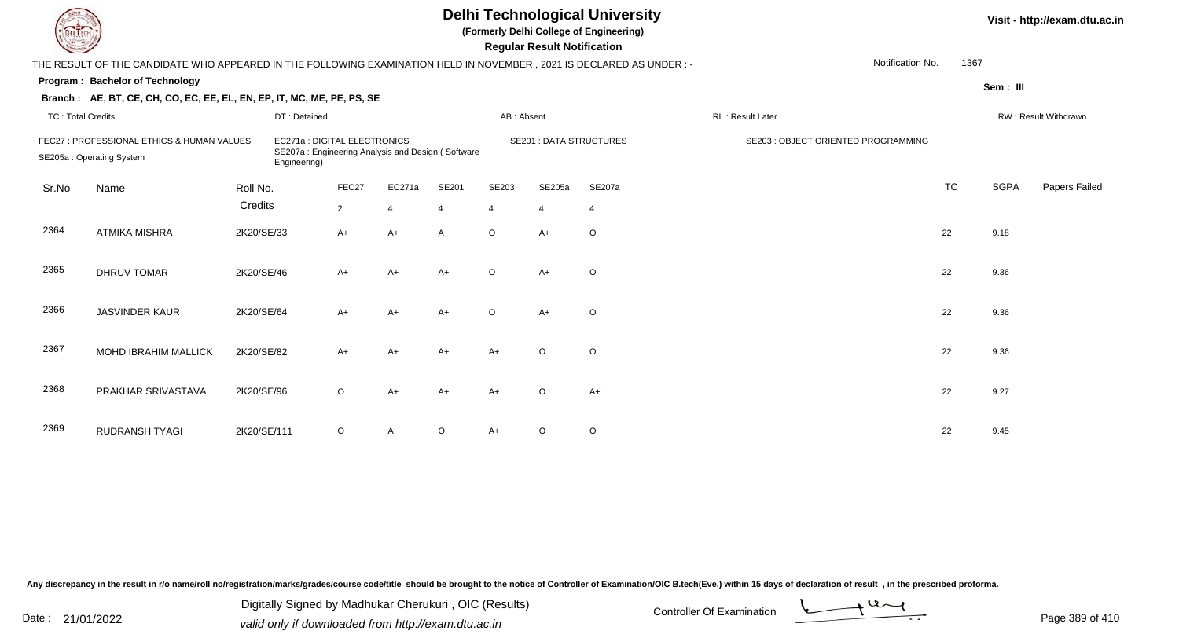| EL ECH                   |                                                                                                                      |             |                                                                                                   |                |                |                |                | <b>Regular Result Notification</b> | <b>Delhi Technological University</b><br>(Formerly Delhi College of Engineering) |                  |                                     |           |             | Visit - http://exam.dtu.ac.in |
|--------------------------|----------------------------------------------------------------------------------------------------------------------|-------------|---------------------------------------------------------------------------------------------------|----------------|----------------|----------------|----------------|------------------------------------|----------------------------------------------------------------------------------|------------------|-------------------------------------|-----------|-------------|-------------------------------|
|                          | THE RESULT OF THE CANDIDATE WHO APPEARED IN THE FOLLOWING EXAMINATION HELD IN NOVEMBER, 2021 IS DECLARED AS UNDER :- |             |                                                                                                   |                |                |                |                |                                    |                                                                                  |                  | Notification No.                    | 1367      |             |                               |
|                          | Program: Bachelor of Technology                                                                                      |             |                                                                                                   |                |                |                |                |                                    |                                                                                  |                  |                                     |           | Sem: III    |                               |
|                          | Branch: AE, BT, CE, CH, CO, EC, EE, EL, EN, EP, IT, MC, ME, PE, PS, SE                                               |             |                                                                                                   |                |                |                |                |                                    |                                                                                  |                  |                                     |           |             |                               |
| <b>TC: Total Credits</b> |                                                                                                                      |             | DT: Detained                                                                                      |                |                |                | AB: Absent     |                                    |                                                                                  | RL: Result Later |                                     |           |             | RW: Result Withdrawn          |
|                          | FEC27 : PROFESSIONAL ETHICS & HUMAN VALUES<br>SE205a: Operating System                                               |             | EC271a : DIGITAL ELECTRONICS<br>SE207a: Engineering Analysis and Design (Software<br>Engineering) |                |                |                |                | <b>SE201 : DATA STRUCTURES</b>     |                                                                                  |                  | SE203 : OBJECT ORIENTED PROGRAMMING |           |             |                               |
| Sr.No                    | Name                                                                                                                 | Roll No.    |                                                                                                   | FEC27          | EC271a         | SE201          | SE203          | SE205a                             | SE207a                                                                           |                  |                                     | <b>TC</b> | <b>SGPA</b> | Papers Failed                 |
|                          |                                                                                                                      | Credits     |                                                                                                   | $\overline{2}$ | $\overline{4}$ | $\overline{4}$ | $\overline{4}$ | $\overline{4}$                     | $\overline{4}$                                                                   |                  |                                     |           |             |                               |
| 2364                     | <b>ATMIKA MISHRA</b>                                                                                                 | 2K20/SE/33  |                                                                                                   | A+             | $A+$           | A              | $\circ$        | A+                                 | $\circ$                                                                          |                  |                                     | 22        | 9.18        |                               |
| 2365                     | <b>DHRUV TOMAR</b>                                                                                                   | 2K20/SE/46  |                                                                                                   | $A+$           | $A+$           | $A+$           | $\circ$        | $A+$                               | $\circ$                                                                          |                  |                                     | 22        | 9.36        |                               |
| 2366                     | <b>JASVINDER KAUR</b>                                                                                                | 2K20/SE/64  |                                                                                                   | $A+$           | $A+$           | $A+$           | $\circ$        | $A+$                               | $\circ$                                                                          |                  |                                     | 22        | 9.36        |                               |
| 2367                     | <b>MOHD IBRAHIM MALLICK</b>                                                                                          | 2K20/SE/82  |                                                                                                   | A+             | $A+$           | $A+$           | $A+$           | $\Omega$                           | $\circ$                                                                          |                  |                                     | 22        | 9.36        |                               |
| 2368                     | PRAKHAR SRIVASTAVA                                                                                                   | 2K20/SE/96  |                                                                                                   | $\circ$        | $A+$           | $A+$           | $A+$           | $\circ$                            | $A+$                                                                             |                  |                                     | 22        | 9.27        |                               |
| 2369                     | <b>RUDRANSH TYAGI</b>                                                                                                | 2K20/SE/111 |                                                                                                   | $\circ$        | $\overline{A}$ | $\circ$        | $A+$           | O                                  | $\circ$                                                                          |                  |                                     | 22        | 9.45        |                               |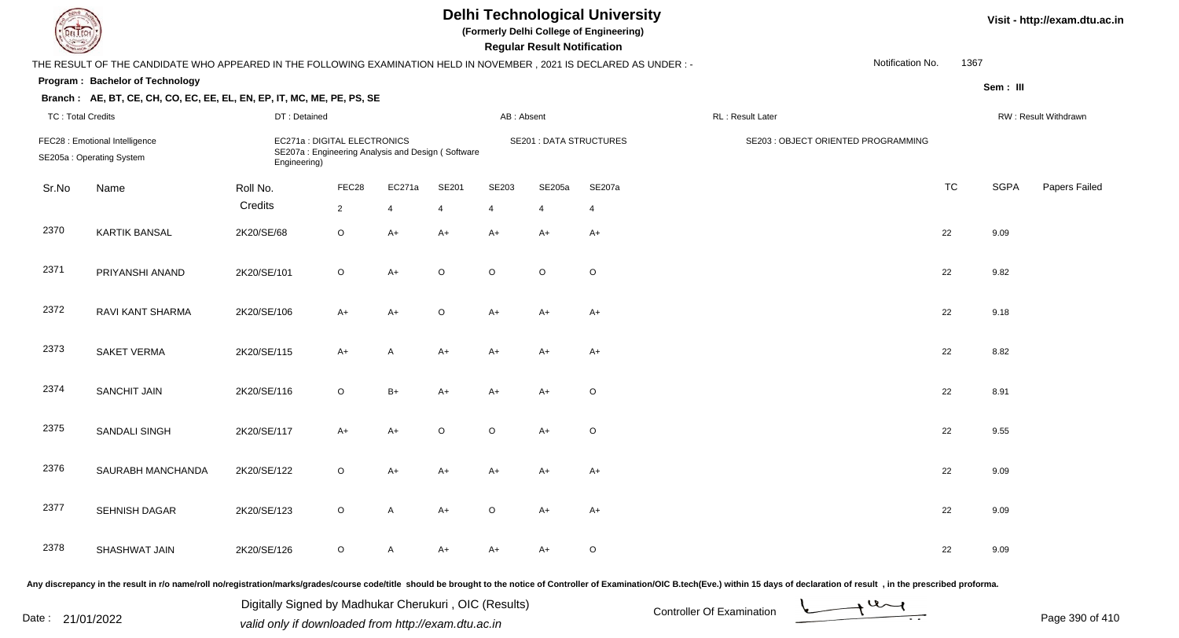|                          | <b>Delhi Technological University</b><br>(Formerly Delhi College of Engineering)<br>EL ECH<br><b>Regular Result Notification</b><br>Notification No.<br>THE RESULT OF THE CANDIDATE WHO APPEARED IN THE FOLLOWING EXAMINATION HELD IN NOVEMBER, 2021 IS DECLARED AS UNDER :- |              |                                                                                   |                |         |            |                                |                |                                     |  |           |             |                      |  |
|--------------------------|------------------------------------------------------------------------------------------------------------------------------------------------------------------------------------------------------------------------------------------------------------------------------|--------------|-----------------------------------------------------------------------------------|----------------|---------|------------|--------------------------------|----------------|-------------------------------------|--|-----------|-------------|----------------------|--|
|                          |                                                                                                                                                                                                                                                                              |              |                                                                                   |                |         |            |                                |                |                                     |  | 1367      |             |                      |  |
|                          | Program: Bachelor of Technology                                                                                                                                                                                                                                              |              |                                                                                   |                |         |            |                                |                |                                     |  |           | Sem: III    |                      |  |
|                          | Branch: AE, BT, CE, CH, CO, EC, EE, EL, EN, EP, IT, MC, ME, PE, PS, SE                                                                                                                                                                                                       |              |                                                                                   |                |         |            |                                |                |                                     |  |           |             |                      |  |
| <b>TC: Total Credits</b> |                                                                                                                                                                                                                                                                              | DT: Detained |                                                                                   |                |         | AB: Absent |                                |                | RL : Result Later                   |  |           |             | RW: Result Withdrawn |  |
|                          | FEC28 : Emotional Intelligence<br>SE205a: Operating System                                                                                                                                                                                                                   | Engineering) | EC271a : DIGITAL ELECTRONICS<br>SE207a: Engineering Analysis and Design (Software |                |         |            | <b>SE201 : DATA STRUCTURES</b> |                | SE203 : OBJECT ORIENTED PROGRAMMING |  |           |             |                      |  |
| Sr.No                    | Name                                                                                                                                                                                                                                                                         | Roll No.     | FEC28                                                                             | EC271a         | SE201   | SE203      | SE205a                         | SE207a         |                                     |  | <b>TC</b> | <b>SGPA</b> | Papers Failed        |  |
|                          |                                                                                                                                                                                                                                                                              | Credits      | $\overline{2}$                                                                    | $\overline{4}$ |         | 4          | $\overline{4}$                 | $\overline{4}$ |                                     |  |           |             |                      |  |
| 2370                     | <b>KARTIK BANSAL</b>                                                                                                                                                                                                                                                         | 2K20/SE/68   | $\circ$                                                                           | $A+$           | $A+$    | $A+$       | A+                             | $A+$           |                                     |  | 22        | 9.09        |                      |  |
| 2371                     | PRIYANSHI ANAND                                                                                                                                                                                                                                                              | 2K20/SE/101  | $\circ$                                                                           | $A+$           | $\circ$ | $\circ$    | $\circ$                        | $\mathsf O$    |                                     |  | 22        | 9.82        |                      |  |
| 2372                     | RAVI KANT SHARMA                                                                                                                                                                                                                                                             | 2K20/SE/106  | A+                                                                                | $A+$           | $\circ$ | $A+$       | A+                             | A+             |                                     |  | 22        | 9.18        |                      |  |
| 2373                     | <b>SAKET VERMA</b>                                                                                                                                                                                                                                                           | 2K20/SE/115  | $A+$                                                                              | A              | $A+$    | $A+$       | A+                             | A+             |                                     |  | 22        | 8.82        |                      |  |
| 2374                     | <b>SANCHIT JAIN</b>                                                                                                                                                                                                                                                          | 2K20/SE/116  | $\circ$                                                                           | $B+$           | A+      | $A+$       | A+                             | O              |                                     |  | 22        | 8.91        |                      |  |
| 2375                     | SANDALI SINGH                                                                                                                                                                                                                                                                | 2K20/SE/117  | $A+$                                                                              | $A+$           | $\circ$ | $\circ$    | $A+$                           | $\mathsf O$    |                                     |  | 22        | 9.55        |                      |  |
| 2376                     | SAURABH MANCHANDA                                                                                                                                                                                                                                                            | 2K20/SE/122  | $\circ$                                                                           | A+             | A+      | A+         | A+                             | A+             |                                     |  | 22        | 9.09        |                      |  |
| 2377                     | SEHNISH DAGAR                                                                                                                                                                                                                                                                | 2K20/SE/123  | $\circ$                                                                           | A              | A+      | $\circ$    | A+                             | A+             |                                     |  | 22        | 9.09        |                      |  |
| 2378                     | SHASHWAT JAIN                                                                                                                                                                                                                                                                | 2K20/SE/126  | $\circ$                                                                           | A              | A+      | A+         | A+                             | $\circ$        |                                     |  | 22        | 9.09        |                      |  |
|                          |                                                                                                                                                                                                                                                                              |              |                                                                                   |                |         |            |                                |                |                                     |  |           |             |                      |  |

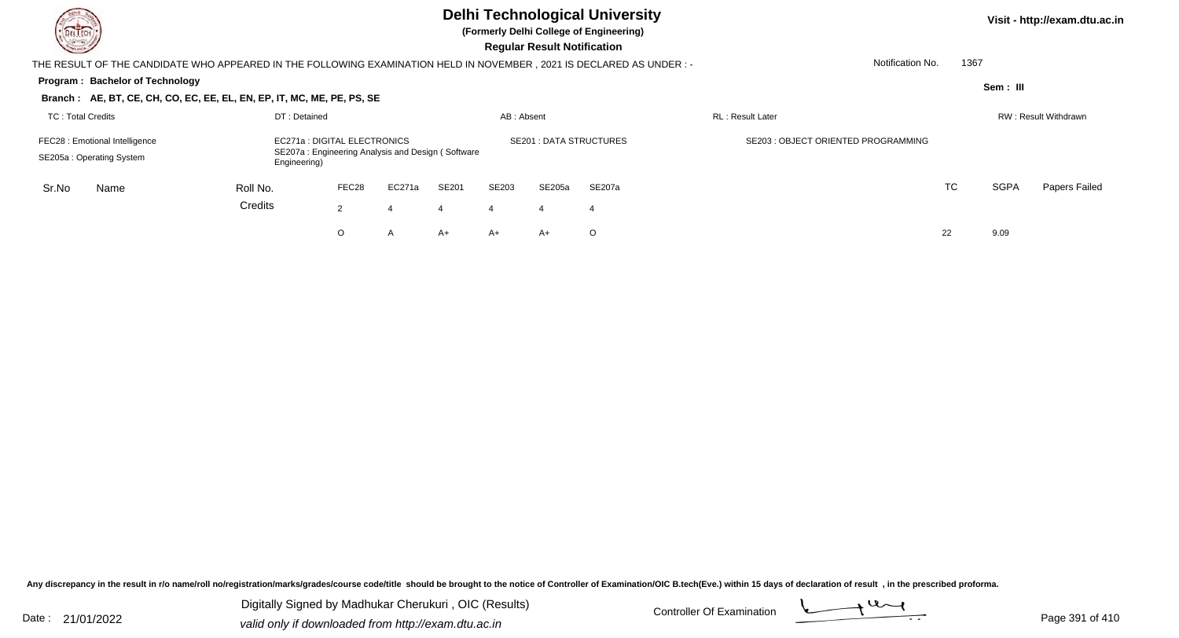| DEL TECH<br>$\sim$                                                                                                                                              |              |                |        |       |                | <b>Regular Result Notification</b> | <b>Delhi Technological University</b><br>(Formerly Delhi College of Engineering) |                                     |      |             | Visit - http://exam.dtu.ac.in |
|-----------------------------------------------------------------------------------------------------------------------------------------------------------------|--------------|----------------|--------|-------|----------------|------------------------------------|----------------------------------------------------------------------------------|-------------------------------------|------|-------------|-------------------------------|
| THE RESULT OF THE CANDIDATE WHO APPEARED IN THE FOLLOWING EXAMINATION HELD IN NOVEMBER, 2021 IS DECLARED AS UNDER :-                                            |              |                |        |       |                |                                    |                                                                                  | Notification No.                    | 1367 |             |                               |
| <b>Program: Bachelor of Technology</b>                                                                                                                          |              |                |        |       |                |                                    |                                                                                  |                                     |      | Sem: III    |                               |
| Branch: AE, BT, CE, CH, CO, EC, EE, EL, EN, EP, IT, MC, ME, PE, PS, SE                                                                                          |              |                |        |       |                |                                    |                                                                                  |                                     |      |             |                               |
| <b>TC: Total Credits</b>                                                                                                                                        | DT: Detained |                |        |       | AB: Absent     |                                    |                                                                                  | <b>RL: Result Later</b>             |      |             | RW: Result Withdrawn          |
| EC271a : DIGITAL ELECTRONICS<br>FEC28 : Emotional Intelligence<br>SE207a: Engineering Analysis and Design (Software<br>SE205a: Operating System<br>Engineering) |              |                |        |       |                |                                    | <b>SE201: DATA STRUCTURES</b>                                                    | SE203 : OBJECT ORIENTED PROGRAMMING |      |             |                               |
| Sr.No<br>Name                                                                                                                                                   | Roll No.     | FEC28          | EC271a | SE201 | SE203          | SE205a                             | SE207a                                                                           |                                     | TC   | <b>SGPA</b> | Papers Failed                 |
|                                                                                                                                                                 | Credits      | $\overline{2}$ |        | 4     | $\overline{4}$ | -4                                 | -4                                                                               |                                     |      |             |                               |
|                                                                                                                                                                 |              | O              | A      | A+    | $A+$           | A+                                 | $\circ$                                                                          |                                     | 22   | 9.09        |                               |

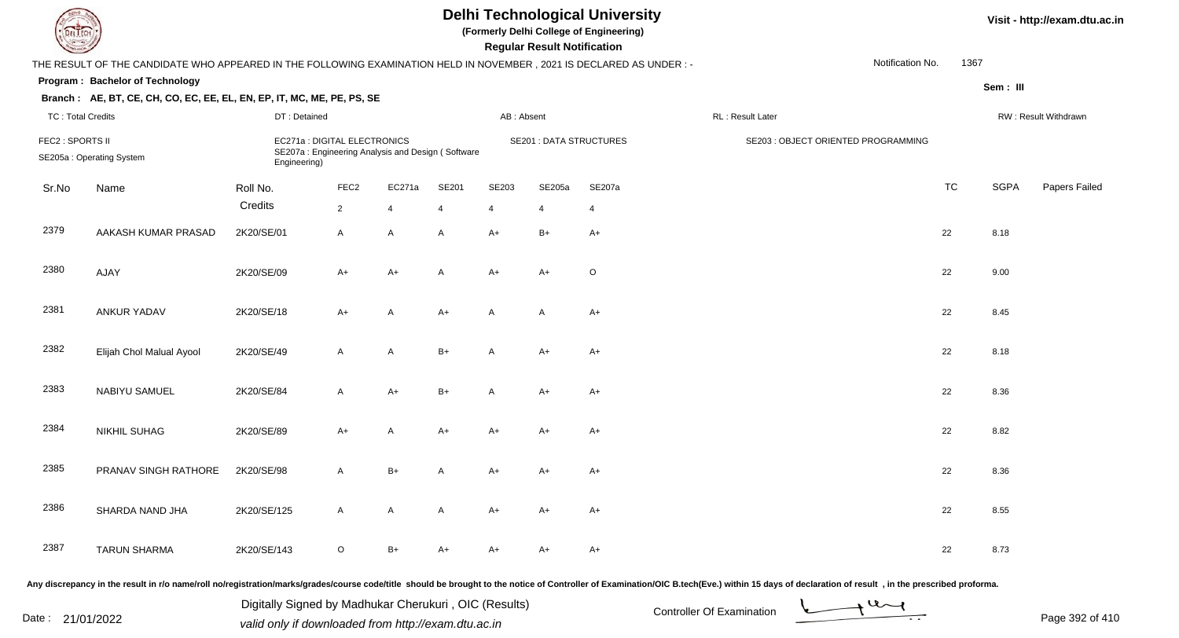|                          |                                                                                                                      |                                                                                                   |                  |                |       |              | <b>Regular Result Notification</b> | <b>Delhi Technological University</b><br>(Formerly Delhi College of Engineering) |                                     |                  |           |             | Visit - http://exam.dtu.ac.in |
|--------------------------|----------------------------------------------------------------------------------------------------------------------|---------------------------------------------------------------------------------------------------|------------------|----------------|-------|--------------|------------------------------------|----------------------------------------------------------------------------------|-------------------------------------|------------------|-----------|-------------|-------------------------------|
|                          | THE RESULT OF THE CANDIDATE WHO APPEARED IN THE FOLLOWING EXAMINATION HELD IN NOVEMBER, 2021 IS DECLARED AS UNDER :- |                                                                                                   |                  |                |       |              |                                    |                                                                                  |                                     | Notification No. | 1367      |             |                               |
|                          | Program: Bachelor of Technology                                                                                      |                                                                                                   |                  |                |       |              |                                    |                                                                                  |                                     |                  |           | Sem: III    |                               |
|                          | Branch: AE, BT, CE, CH, CO, EC, EE, EL, EN, EP, IT, MC, ME, PE, PS, SE                                               |                                                                                                   |                  |                |       |              |                                    |                                                                                  |                                     |                  |           |             |                               |
| <b>TC: Total Credits</b> |                                                                                                                      | DT: Detained                                                                                      |                  |                |       | AB: Absent   |                                    |                                                                                  | RL : Result Later                   |                  |           |             | RW: Result Withdrawn          |
| FEC2 : SPORTS II         | SE205a: Operating System                                                                                             | EC271a : DIGITAL ELECTRONICS<br>SE207a: Engineering Analysis and Design (Software<br>Engineering) |                  |                |       |              | <b>SE201 : DATA STRUCTURES</b>     |                                                                                  | SE203 : OBJECT ORIENTED PROGRAMMING |                  |           |             |                               |
| Sr.No                    | Name                                                                                                                 | Roll No.                                                                                          | FEC <sub>2</sub> | EC271a         | SE201 | SE203        | SE205a                             | SE207a                                                                           |                                     |                  | <b>TC</b> | <b>SGPA</b> | Papers Failed                 |
|                          |                                                                                                                      | Credits                                                                                           | $\overline{2}$   | $\overline{4}$ |       | 4            | 4                                  | $\overline{4}$                                                                   |                                     |                  |           |             |                               |
| 2379                     | AAKASH KUMAR PRASAD                                                                                                  | 2K20/SE/01                                                                                        | A                | A              | A     | $A+$         | $B+$                               | $A+$                                                                             |                                     |                  | 22        | 8.18        |                               |
| 2380                     | AJAY                                                                                                                 | 2K20/SE/09                                                                                        | A+               | $A+$           | A     | $A+$         | A+                                 | $\circ$                                                                          |                                     |                  | 22        | 9.00        |                               |
| 2381                     | ANKUR YADAV                                                                                                          | 2K20/SE/18                                                                                        | A+               | A              | $A+$  | A            | A                                  | A+                                                                               |                                     |                  | 22        | 8.45        |                               |
| 2382                     | Elijah Chol Malual Ayool                                                                                             | 2K20/SE/49                                                                                        | $\mathsf{A}$     | A              | $B+$  | $\mathsf{A}$ | A+                                 | A+                                                                               |                                     |                  | 22        | 8.18        |                               |
| 2383                     | NABIYU SAMUEL                                                                                                        | 2K20/SE/84                                                                                        | A                | $A+$           | $B+$  | A            | A+                                 | $A+$                                                                             |                                     |                  | 22        | 8.36        |                               |
| 2384                     | <b>NIKHIL SUHAG</b>                                                                                                  | 2K20/SE/89                                                                                        | $A+$             | A              | A+    | $A+$         | A+                                 | $A+$                                                                             |                                     |                  | 22        | 8.82        |                               |
| 2385                     | PRANAV SINGH RATHORE                                                                                                 | 2K20/SE/98                                                                                        | A                | $B+$           |       | A+           | A+                                 | A+                                                                               |                                     |                  | 22        | 8.36        |                               |
| 2386                     | SHARDA NAND JHA                                                                                                      | 2K20/SE/125                                                                                       | A                | A              | A     | A+           | A+                                 | A+                                                                               |                                     |                  | 22        | 8.55        |                               |
| 2387                     | <b>TARUN SHARMA</b>                                                                                                  | 2K20/SE/143                                                                                       | $\circ$          | B+             | A+    | A+           | A+                                 | $A+$                                                                             |                                     |                  | 22        | 8.73        |                               |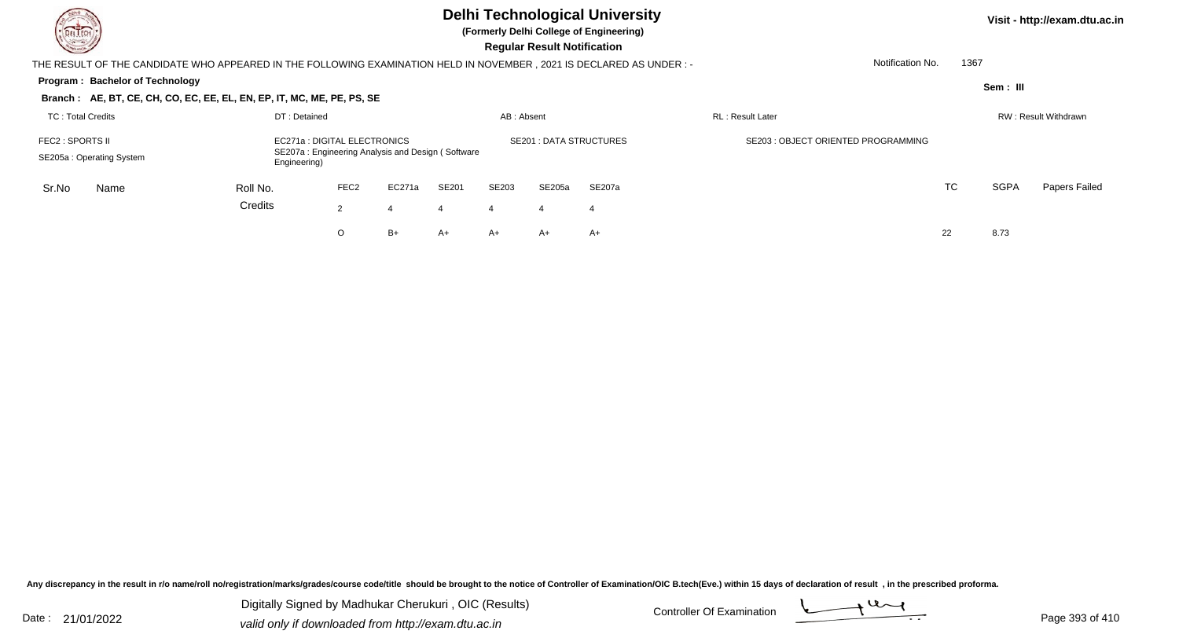| DEL TECH<br><u>in Si</u>                                                                                                                          |              |                  |        |       |                | <b>Regular Result Notification</b> | <b>Delhi Technological University</b><br>(Formerly Delhi College of Engineering) |                                    |           |             | Visit - http://exam.dtu.ac.in |
|---------------------------------------------------------------------------------------------------------------------------------------------------|--------------|------------------|--------|-------|----------------|------------------------------------|----------------------------------------------------------------------------------|------------------------------------|-----------|-------------|-------------------------------|
| THE RESULT OF THE CANDIDATE WHO APPEARED IN THE FOLLOWING EXAMINATION HELD IN NOVEMBER , 2021 IS DECLARED AS UNDER : -                            |              |                  |        |       |                |                                    |                                                                                  | Notification No.                   | 1367      |             |                               |
| Program: Bachelor of Technology<br>Branch: AE, BT, CE, CH, CO, EC, EE, EL, EN, EP, IT, MC, ME, PE, PS, SE                                         |              |                  |        |       |                |                                    |                                                                                  |                                    |           | Sem: III    |                               |
| TC: Total Credits                                                                                                                                 | DT: Detained |                  |        |       | AB: Absent     |                                    |                                                                                  | <b>RL</b> : Result Later           |           |             | RW: Result Withdrawn          |
| EC271a : DIGITAL ELECTRONICS<br>FEC2 : SPORTS II<br>SE207a: Engineering Analysis and Design (Software<br>SE205a: Operating System<br>Engineering) |              |                  |        |       |                | <b>SE201: DATA STRUCTURES</b>      |                                                                                  | SE203: OBJECT ORIENTED PROGRAMMING |           |             |                               |
| Sr.No<br>Name                                                                                                                                     | Roll No.     | FEC <sub>2</sub> | EC271a | SE201 | SE203          | SE205a                             | SE207a                                                                           |                                    | <b>TC</b> | <b>SGPA</b> | Papers Failed                 |
|                                                                                                                                                   | Credits      | $\overline{2}$   |        | 4     | $\overline{4}$ | -4                                 | -4                                                                               |                                    |           |             |                               |
|                                                                                                                                                   |              | O                | $B+$   | A+    | $A+$           | A+                                 | $A+$                                                                             |                                    | 22        | 8.73        |                               |

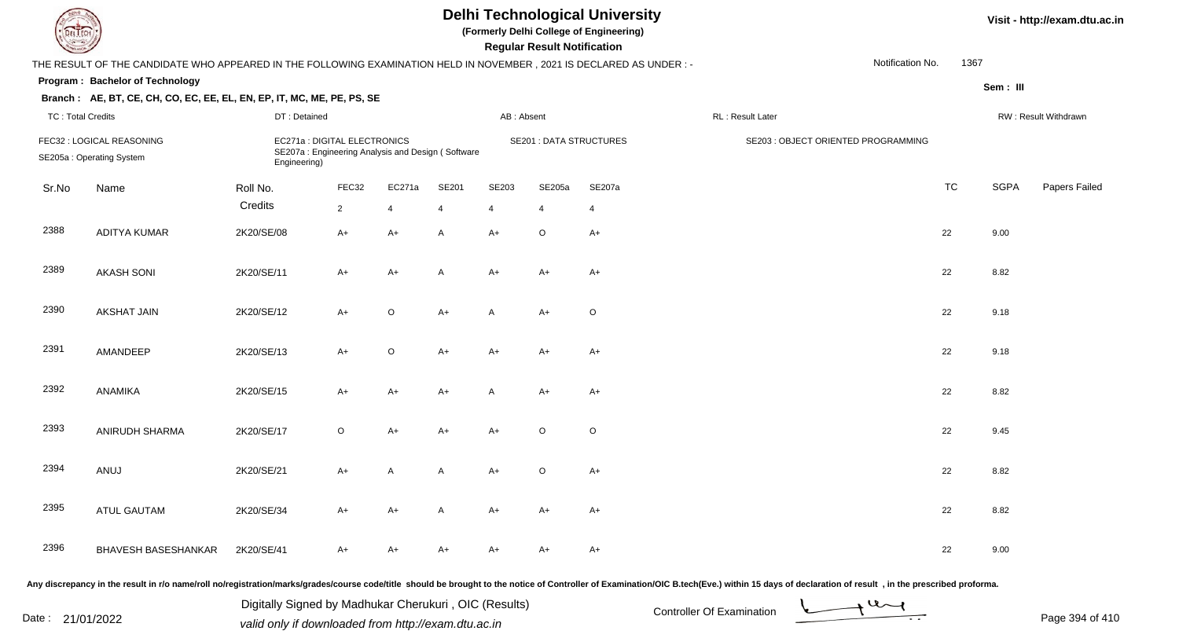|                          | <b>Delhi Technological University</b><br>(Formerly Delhi College of Engineering)<br><b>DELTECH</b><br><b>Regular Result Notification</b><br>THE RESULT OF THE CANDIDATE WHO APPEARED IN THE FOLLOWING EXAMINATION HELD IN NOVEMBER, 2021 IS DECLARED AS UNDER :- |                                                                                                   |                |                |       |              |                                |                |                                     |                  |           |             |                      |  |
|--------------------------|------------------------------------------------------------------------------------------------------------------------------------------------------------------------------------------------------------------------------------------------------------------|---------------------------------------------------------------------------------------------------|----------------|----------------|-------|--------------|--------------------------------|----------------|-------------------------------------|------------------|-----------|-------------|----------------------|--|
|                          |                                                                                                                                                                                                                                                                  |                                                                                                   |                |                |       |              |                                |                |                                     | Notification No. | 1367      |             |                      |  |
|                          | Program: Bachelor of Technology                                                                                                                                                                                                                                  |                                                                                                   |                |                |       |              |                                |                |                                     |                  |           | Sem: III    |                      |  |
|                          | Branch: AE, BT, CE, CH, CO, EC, EE, EL, EN, EP, IT, MC, ME, PE, PS, SE                                                                                                                                                                                           |                                                                                                   |                |                |       |              |                                |                |                                     |                  |           |             |                      |  |
| <b>TC: Total Credits</b> |                                                                                                                                                                                                                                                                  | DT: Detained                                                                                      |                |                |       | AB: Absent   |                                |                | RL: Result Later                    |                  |           |             | RW: Result Withdrawn |  |
|                          | FEC32 : LOGICAL REASONING<br>SE205a: Operating System                                                                                                                                                                                                            | EC271a : DIGITAL ELECTRONICS<br>SE207a: Engineering Analysis and Design (Software<br>Engineering) |                |                |       |              | <b>SE201 : DATA STRUCTURES</b> |                | SE203 : OBJECT ORIENTED PROGRAMMING |                  |           |             |                      |  |
| Sr.No                    | Name                                                                                                                                                                                                                                                             | Roll No.                                                                                          | FEC32          | EC271a         | SE201 | SE203        | SE205a                         | SE207a         |                                     |                  | <b>TC</b> | <b>SGPA</b> | Papers Failed        |  |
|                          |                                                                                                                                                                                                                                                                  | Credits                                                                                           | $\overline{2}$ | $\overline{4}$ | Δ     | 4            | $\overline{4}$                 | $\overline{4}$ |                                     |                  |           |             |                      |  |
| 2388                     | <b>ADITYA KUMAR</b>                                                                                                                                                                                                                                              | 2K20/SE/08                                                                                        | $A+$           | $A+$           | A     | $A+$         | $\circ$                        | $A+$           |                                     |                  | 22        | 9.00        |                      |  |
| 2389                     | <b>AKASH SONI</b>                                                                                                                                                                                                                                                | 2K20/SE/11                                                                                        | A+             | $A+$           | A     | $A+$         | $A+$                           | $A+$           |                                     |                  | 22        | 8.82        |                      |  |
| 2390                     | <b>AKSHAT JAIN</b>                                                                                                                                                                                                                                               | 2K20/SE/12                                                                                        | $A+$           | $\mathsf O$    | $A+$  | A            | A+                             | $\mathsf O$    |                                     |                  | 22        | 9.18        |                      |  |
| 2391                     | AMANDEEP                                                                                                                                                                                                                                                         | 2K20/SE/13                                                                                        | $A+$           | $\mathsf O$    | $A+$  | $A+$         | A+                             | $A+$           |                                     |                  | 22        | 9.18        |                      |  |
| 2392                     | ANAMIKA                                                                                                                                                                                                                                                          | 2K20/SE/15                                                                                        | $A+$           | $A+$           | $A+$  | $\mathsf{A}$ | A+                             | $A+$           |                                     |                  | 22        | 8.82        |                      |  |
| 2393                     | ANIRUDH SHARMA                                                                                                                                                                                                                                                   | 2K20/SE/17                                                                                        | O              | $A+$           | A+    | $A+$         | $\circ$                        | $\mathsf O$    |                                     |                  | 22        | 9.45        |                      |  |
| 2394                     | ANUJ                                                                                                                                                                                                                                                             | 2K20/SE/21                                                                                        | A+             | A              | A     | $A+$         | $\circ$                        | $A+$           |                                     |                  | 22        | 8.82        |                      |  |
| 2395                     | <b>ATUL GAUTAM</b>                                                                                                                                                                                                                                               | 2K20/SE/34                                                                                        | $A+$           | $A+$           | A     | $A+$         | A+                             | $A+$           |                                     |                  | 22        | 8.82        |                      |  |
| 2396                     | <b>BHAVESH BASESHANKAR</b>                                                                                                                                                                                                                                       | 2K20/SE/41                                                                                        | A+             | A+             | A+    | $A+$         | A+                             | A+             |                                     |                  | 22        | 9.00        |                      |  |

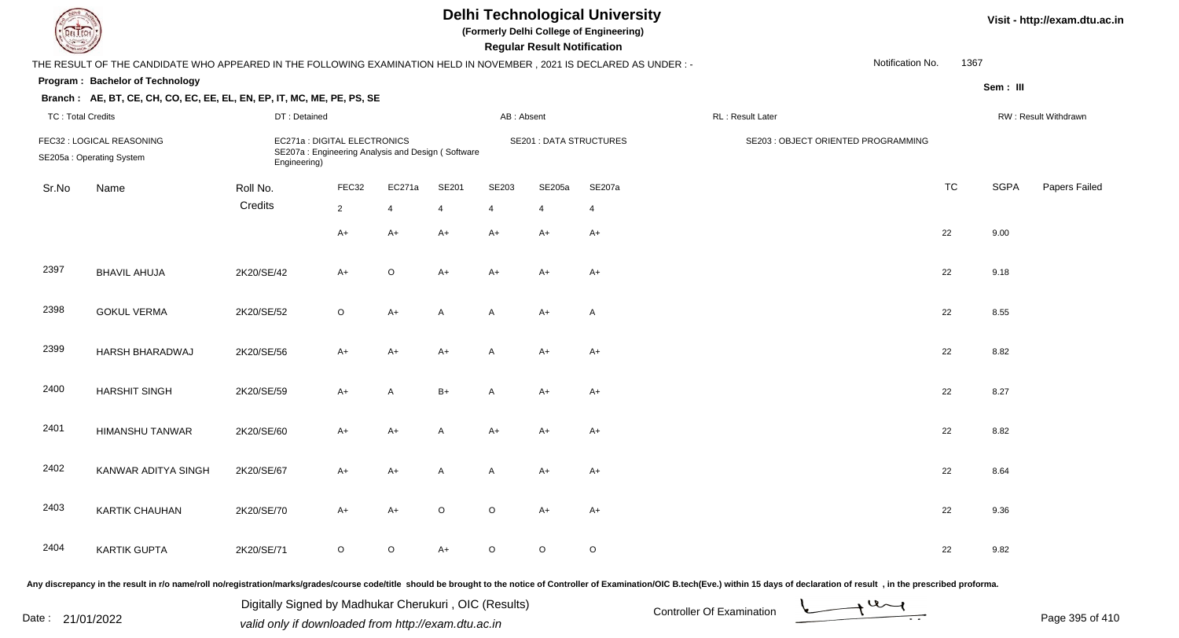| DEL TECH                 |                                                                                                                                                                                                                                |                                                       |                                                                                   |                |                |                | <b>Regular Result Notification</b> | <b>Delhi Technological University</b><br>(Formerly Delhi College of Engineering) |                           |                                     |                               |           |             | Visit - http://exam.dtu.ac.in |
|--------------------------|--------------------------------------------------------------------------------------------------------------------------------------------------------------------------------------------------------------------------------|-------------------------------------------------------|-----------------------------------------------------------------------------------|----------------|----------------|----------------|------------------------------------|----------------------------------------------------------------------------------|---------------------------|-------------------------------------|-------------------------------|-----------|-------------|-------------------------------|
|                          | THE RESULT OF THE CANDIDATE WHO APPEARED IN THE FOLLOWING EXAMINATION HELD IN NOVEMBER, 2021 IS DECLARED AS UNDER :-                                                                                                           |                                                       |                                                                                   |                |                |                |                                    |                                                                                  |                           |                                     | Notification No.              | 1367      |             |                               |
|                          | Program: Bachelor of Technology                                                                                                                                                                                                |                                                       |                                                                                   |                |                |                |                                    |                                                                                  |                           |                                     |                               |           | Sem: III    |                               |
|                          | Branch: AE, BT, CE, CH, CO, EC, EE, EL, EN, EP, IT, MC, ME, PE, PS, SE                                                                                                                                                         |                                                       |                                                                                   |                |                |                |                                    |                                                                                  |                           |                                     |                               |           |             |                               |
| <b>TC: Total Credits</b> |                                                                                                                                                                                                                                | DT: Detained                                          |                                                                                   |                |                | AB: Absent     |                                    |                                                                                  | RL: Result Later          |                                     |                               |           |             | RW: Result Withdrawn          |
|                          | FEC32 : LOGICAL REASONING<br>SE205a: Operating System                                                                                                                                                                          | Engineering)                                          | EC271a : DIGITAL ELECTRONICS<br>SE207a: Engineering Analysis and Design (Software |                |                |                | <b>SE201 : DATA STRUCTURES</b>     |                                                                                  |                           | SE203 : OBJECT ORIENTED PROGRAMMING |                               |           |             |                               |
| Sr.No                    | Name                                                                                                                                                                                                                           | Roll No.                                              | FEC32                                                                             | EC271a         | SE201          | SE203          | SE205a                             | SE207a                                                                           |                           |                                     |                               | <b>TC</b> | <b>SGPA</b> | Papers Failed                 |
|                          |                                                                                                                                                                                                                                | Credits                                               | $\overline{2}$                                                                    | $\overline{4}$ | $\overline{4}$ | $\overline{4}$ | 4                                  | $\overline{4}$                                                                   |                           |                                     |                               |           |             |                               |
|                          |                                                                                                                                                                                                                                |                                                       | $A+$                                                                              | A+             | $A+$           | A+             | $A+$                               | $A+$                                                                             |                           |                                     |                               | 22        | 9.00        |                               |
| 2397                     | <b>BHAVIL AHUJA</b>                                                                                                                                                                                                            | 2K20/SE/42                                            | $A+$                                                                              | $\circ$        | $A+$           | $A+$           | $A+$                               | $A+$                                                                             |                           |                                     |                               | 22        | 9.18        |                               |
| 2398                     | <b>GOKUL VERMA</b>                                                                                                                                                                                                             | 2K20/SE/52                                            | $\circ$                                                                           | $A+$           | A              | A              | $A+$                               | $\mathsf{A}$                                                                     |                           |                                     |                               | 22        | 8.55        |                               |
| 2399                     | HARSH BHARADWAJ                                                                                                                                                                                                                | 2K20/SE/56                                            | $A+$                                                                              | A+             | $A+$           | A              | $A+$                               | $A+$                                                                             |                           |                                     |                               | 22        | 8.82        |                               |
| 2400                     | <b>HARSHIT SINGH</b>                                                                                                                                                                                                           | 2K20/SE/59                                            | $A+$                                                                              | A              | $B+$           | A              | $A+$                               | $A+$                                                                             |                           |                                     |                               | 22        | 8.27        |                               |
| 2401                     | HIMANSHU TANWAR                                                                                                                                                                                                                | 2K20/SE/60                                            | $A+$                                                                              | $A+$           | $\mathsf{A}$   | $A+$           | $A+$                               | $A+$                                                                             |                           |                                     |                               | 22        | 8.82        |                               |
| 2402                     | KANWAR ADITYA SINGH                                                                                                                                                                                                            | 2K20/SE/67                                            | A+                                                                                | A+             | A              | A              | A+                                 | $A+$                                                                             |                           |                                     |                               | 22        | 8.64        |                               |
| 2403                     | <b>KARTIK CHAUHAN</b>                                                                                                                                                                                                          | 2K20/SE/70                                            | A+                                                                                | A+             | $\circ$        | O              | A+                                 | A+                                                                               |                           |                                     |                               | 22        | 9.36        |                               |
| 2404                     | <b>KARTIK GUPTA</b>                                                                                                                                                                                                            | 2K20/SE/71                                            | $\circ$                                                                           | $\circ$        | $A+$           | $\mathsf O$    | $\circ$                            | $\circ$                                                                          |                           |                                     |                               | 22        | 9.82        |                               |
|                          | Any discrepancy in the result in r/o name/roll no/registration/marks/grades/course code/title should be brought to the notice of Controller of Examination/OIC B.tech(Eve.) within 15 days of declaration of result , in the p |                                                       |                                                                                   |                |                |                |                                    |                                                                                  |                           |                                     |                               |           |             |                               |
|                          |                                                                                                                                                                                                                                | Digitally Signed by Madhukar Cherukuri, OIC (Results) |                                                                                   |                |                |                |                                    |                                                                                  | Controller Of Evamination |                                     | $\rightarrow$ 4 $\rightarrow$ |           |             |                               |

Date : 21/01/2022 Digital Digital of Microsofted Chemical Controller Of Examination Determination Page 395 of 41

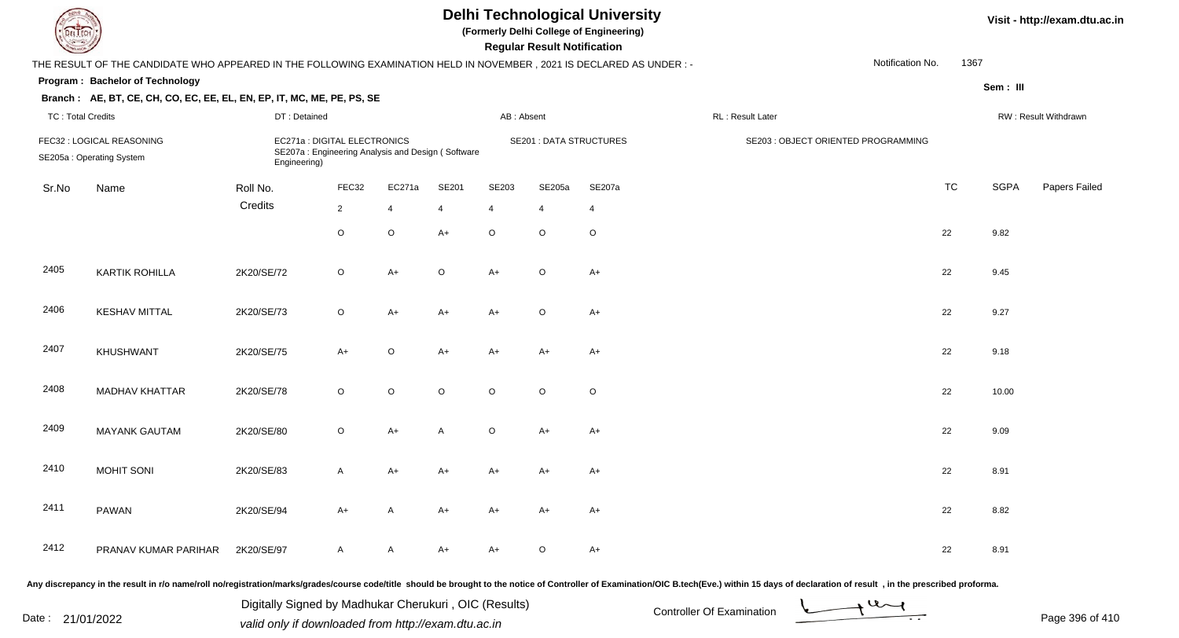| EL ECH                                                                                                                                           |                                                                        | <b>Delhi Technological University</b><br>(Formerly Delhi College of Engineering)<br><b>Regular Result Notification</b> |                |                |         |                                |                |                |                                     |                      |           | Visit - http://exam.dtu.ac.in |               |
|--------------------------------------------------------------------------------------------------------------------------------------------------|------------------------------------------------------------------------|------------------------------------------------------------------------------------------------------------------------|----------------|----------------|---------|--------------------------------|----------------|----------------|-------------------------------------|----------------------|-----------|-------------------------------|---------------|
| 1367<br>Notification No.<br>THE RESULT OF THE CANDIDATE WHO APPEARED IN THE FOLLOWING EXAMINATION HELD IN NOVEMBER, 2021 IS DECLARED AS UNDER :- |                                                                        |                                                                                                                        |                |                |         |                                |                |                |                                     |                      |           |                               |               |
| Program: Bachelor of Technology<br>Sem: III                                                                                                      |                                                                        |                                                                                                                        |                |                |         |                                |                |                |                                     |                      |           |                               |               |
|                                                                                                                                                  | Branch: AE, BT, CE, CH, CO, EC, EE, EL, EN, EP, IT, MC, ME, PE, PS, SE |                                                                                                                        |                |                |         |                                |                |                |                                     |                      |           |                               |               |
| <b>TC: Total Credits</b>                                                                                                                         |                                                                        |                                                                                                                        | DT: Detained   |                |         | AB: Absent                     |                |                | RL: Result Later                    | RW: Result Withdrawn |           |                               |               |
| FEC32 : LOGICAL REASONING<br>SE205a: Operating System                                                                                            |                                                                        | EC271a : DIGITAL ELECTRONICS<br>SE207a: Engineering Analysis and Design (Software<br>Engineering)                      |                |                |         | <b>SE201 : DATA STRUCTURES</b> |                |                | SE203 : OBJECT ORIENTED PROGRAMMING |                      |           |                               |               |
| Sr.No                                                                                                                                            | Name                                                                   | Roll No.                                                                                                               | FEC32          | EC271a         | SE201   | SE203                          | SE205a         | SE207a         |                                     |                      | <b>TC</b> | <b>SGPA</b>                   | Papers Failed |
|                                                                                                                                                  |                                                                        | Credits                                                                                                                | $\overline{2}$ | $\overline{4}$ | 4       | $\overline{4}$                 | $\overline{4}$ | $\overline{4}$ |                                     |                      |           |                               |               |
|                                                                                                                                                  |                                                                        |                                                                                                                        | $\circ$        | $\mathsf O$    | $A+$    | $\circ$                        | $\circ$        | $\circ$        |                                     |                      | 22        | 9.82                          |               |
| 2405                                                                                                                                             | <b>KARTIK ROHILLA</b>                                                  | 2K20/SE/72                                                                                                             | $\circ$        | $A+$           | $\circ$ | $A+$                           | $\circ$        | $A+$           |                                     |                      | 22        | 9.45                          |               |
| 2406                                                                                                                                             | <b>KESHAV MITTAL</b>                                                   | 2K20/SE/73                                                                                                             | $\circ$        | $A+$           | $A+$    | $A+$                           | $\circ$        | $A+$           |                                     |                      | 22        | 9.27                          |               |
| 2407                                                                                                                                             | <b>KHUSHWANT</b>                                                       | 2K20/SE/75                                                                                                             | $A+$           | $\circ$        | $A+$    | $A+$                           | A+             | $A+$           |                                     |                      | 22        | 9.18                          |               |
| 2408                                                                                                                                             | <b>MADHAV KHATTAR</b>                                                  | 2K20/SE/78                                                                                                             | $\circ$        | $\circ$        | $\circ$ | $\circ$                        | $\circ$        | $\circ$        |                                     |                      | 22        | 10.00                         |               |
| 2409                                                                                                                                             | <b>MAYANK GAUTAM</b>                                                   | 2K20/SE/80                                                                                                             | $\circ$        | $A+$           | A       | $\circ$                        | A+             | $A+$           |                                     |                      | 22        | 9.09                          |               |
| 2410                                                                                                                                             | <b>MOHIT SONI</b>                                                      | 2K20/SE/83                                                                                                             | A              | A+             | A+      | A+                             | A+             | A+             |                                     |                      | 22        | 8.91                          |               |
| 2411                                                                                                                                             | PAWAN                                                                  | 2K20/SE/94                                                                                                             | A+             | A              | A+      | A+                             | A+             | A+             |                                     |                      | 22        | 8.82                          |               |
| 2412                                                                                                                                             | PRANAV KUMAR PARIHAR                                                   | 2K20/SE/97                                                                                                             | A              | $\mathsf{A}$   | A+      | A+                             | $\circ$        | $A+$           |                                     |                      | 22        | 8.91                          |               |

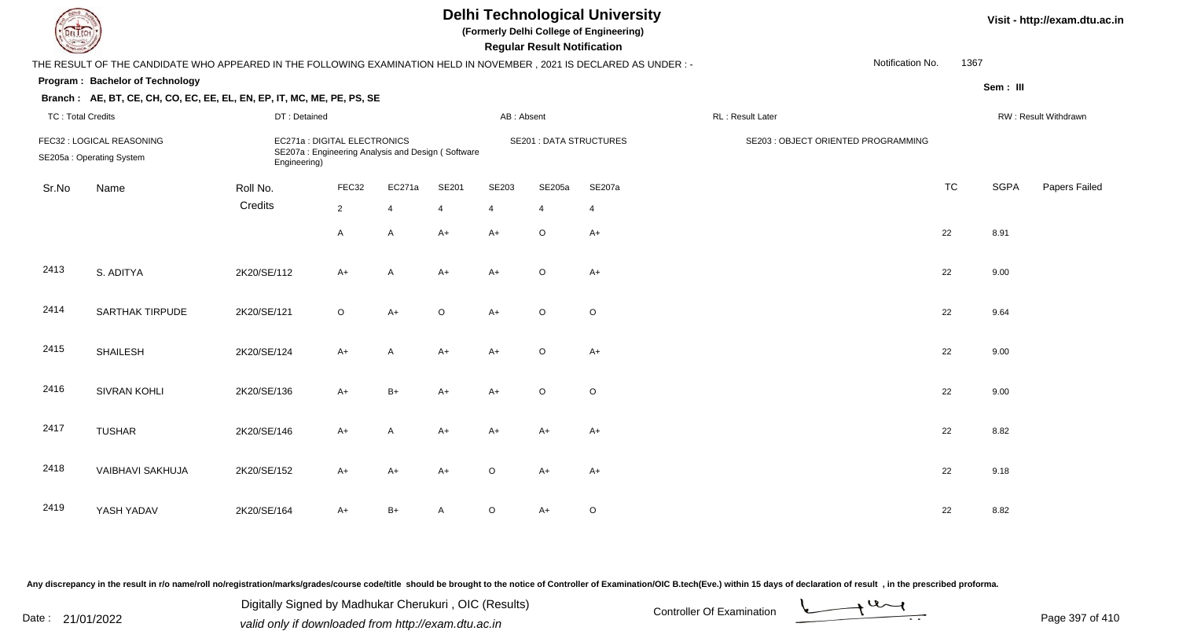| <b>Delhi Technological University</b><br>(Formerly Delhi College of Engineering)<br>EL I ECH<br><b>Regular Result Notification</b> |                                                                                                                      |              |                                                                                   |                |              |                |                                |                |                                     |                  |           |             | Visit - http://exam.dtu.ac.in |  |  |
|------------------------------------------------------------------------------------------------------------------------------------|----------------------------------------------------------------------------------------------------------------------|--------------|-----------------------------------------------------------------------------------|----------------|--------------|----------------|--------------------------------|----------------|-------------------------------------|------------------|-----------|-------------|-------------------------------|--|--|
|                                                                                                                                    | THE RESULT OF THE CANDIDATE WHO APPEARED IN THE FOLLOWING EXAMINATION HELD IN NOVEMBER, 2021 IS DECLARED AS UNDER :- |              |                                                                                   |                |              |                |                                |                |                                     | Notification No. | 1367      |             |                               |  |  |
|                                                                                                                                    | Program: Bachelor of Technology                                                                                      |              |                                                                                   |                |              |                |                                |                |                                     |                  |           | Sem: III    |                               |  |  |
|                                                                                                                                    | Branch: AE, BT, CE, CH, CO, EC, EE, EL, EN, EP, IT, MC, ME, PE, PS, SE                                               |              |                                                                                   |                |              |                |                                |                |                                     |                  |           |             |                               |  |  |
| <b>TC: Total Credits</b>                                                                                                           |                                                                                                                      | DT: Detained |                                                                                   |                |              | AB: Absent     |                                |                | RL: Result Later                    |                  |           |             | RW: Result Withdrawn          |  |  |
|                                                                                                                                    | FEC32 : LOGICAL REASONING<br>SE205a: Operating System                                                                | Engineering) | EC271a : DIGITAL ELECTRONICS<br>SE207a: Engineering Analysis and Design (Software |                |              |                | <b>SE201 : DATA STRUCTURES</b> |                | SE203 : OBJECT ORIENTED PROGRAMMING |                  |           |             |                               |  |  |
| Sr.No                                                                                                                              | Name                                                                                                                 | Roll No.     | FEC32                                                                             | EC271a         | <b>SE201</b> | SE203          | SE205a                         | SE207a         |                                     |                  | <b>TC</b> | <b>SGPA</b> | Papers Failed                 |  |  |
|                                                                                                                                    |                                                                                                                      | Credits      | $\overline{2}$                                                                    | $\overline{4}$ | 4            | $\overline{4}$ | $\overline{4}$                 | $\overline{4}$ |                                     |                  |           |             |                               |  |  |
|                                                                                                                                    |                                                                                                                      |              | A                                                                                 | A              | $A+$         | $A+$           | $\mathsf O$                    | $A+$           |                                     |                  | 22        | 8.91        |                               |  |  |
| 2413                                                                                                                               | S. ADITYA                                                                                                            | 2K20/SE/112  | $A+$                                                                              | A              | $A+$         | $A+$           | $\circ$                        | $A+$           |                                     |                  | 22        | 9.00        |                               |  |  |
| 2414                                                                                                                               | <b>SARTHAK TIRPUDE</b>                                                                                               | 2K20/SE/121  | $\circ$                                                                           | $A+$           | $\circ$      | $A+$           | $\circ$                        | $\circ$        |                                     |                  | 22        | 9.64        |                               |  |  |
| 2415                                                                                                                               | <b>SHAILESH</b>                                                                                                      | 2K20/SE/124  | $A+$                                                                              | A              | $A+$         | $A+$           | $\circ$                        | $A+$           |                                     |                  | 22        | 9.00        |                               |  |  |
| 2416                                                                                                                               | SIVRAN KOHLI                                                                                                         | 2K20/SE/136  | $A+$                                                                              | $B+$           | $A+$         | $A+$           | $\circ$                        | $\mathsf O$    |                                     |                  | 22        | 9.00        |                               |  |  |
| 2417                                                                                                                               | <b>TUSHAR</b>                                                                                                        | 2K20/SE/146  | $A+$                                                                              | A              | $A+$         | $A+$           | A+                             | $A+$           |                                     |                  | 22        | 8.82        |                               |  |  |
| 2418                                                                                                                               | <b>VAIBHAVI SAKHUJA</b>                                                                                              | 2K20/SE/152  | $A+$                                                                              | $A+$           | $A+$         | $\circ$        | $A+$                           | $A+$           |                                     |                  | 22        | 9.18        |                               |  |  |
| 2419                                                                                                                               | YASH YADAV                                                                                                           | 2K20/SE/164  | A+                                                                                | $B+$           | A            | $\circ$        | $A+$                           | $\circ$        |                                     |                  | 22        | 8.82        |                               |  |  |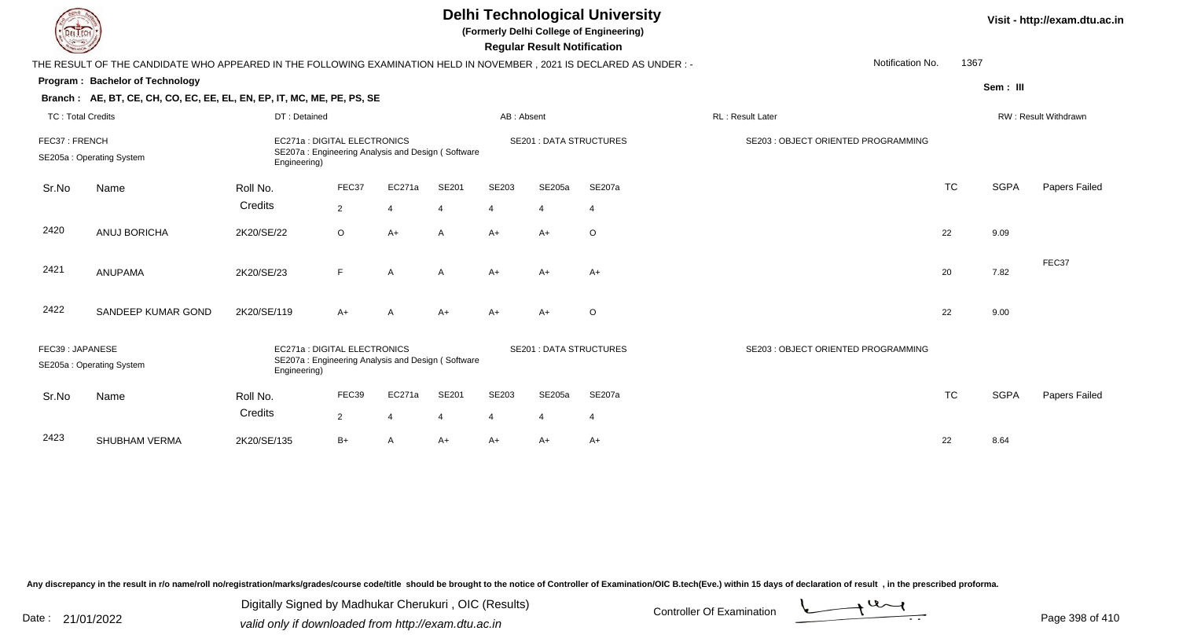|                          | <b>Delhi Technological University</b><br>(Formerly Delhi College of Engineering)<br>EL ECH<br><b>Regular Result Notification</b> |              |                             |                                                   |              |                |                |                                |                                     |           |             |                      |  |
|--------------------------|----------------------------------------------------------------------------------------------------------------------------------|--------------|-----------------------------|---------------------------------------------------|--------------|----------------|----------------|--------------------------------|-------------------------------------|-----------|-------------|----------------------|--|
|                          | THE RESULT OF THE CANDIDATE WHO APPEARED IN THE FOLLOWING EXAMINATION HELD IN NOVEMBER, 2021 IS DECLARED AS UNDER:-              |              |                             |                                                   |              |                |                |                                | Notification No.                    | 1367      |             |                      |  |
|                          | Program: Bachelor of Technology                                                                                                  |              |                             |                                                   |              |                |                |                                |                                     |           | Sem: III    |                      |  |
|                          | Branch: AE, BT, CE, CH, CO, EC, EE, EL, EN, EP, IT, MC, ME, PE, PS, SE                                                           |              |                             |                                                   |              |                |                |                                |                                     |           |             |                      |  |
| <b>TC: Total Credits</b> |                                                                                                                                  | DT: Detained |                             |                                                   |              | AB: Absent     |                |                                | RL: Result Later                    |           |             | RW: Result Withdrawn |  |
| FEC37: FRENCH            | EC271a : DIGITAL ELECTRONICS<br>SE207a: Engineering Analysis and Design (Software<br>SE205a: Operating System<br>Engineering)    |              |                             |                                                   |              |                |                | <b>SE201 : DATA STRUCTURES</b> | SE203 : OBJECT ORIENTED PROGRAMMING |           |             |                      |  |
| Sr.No                    | Name                                                                                                                             | Roll No.     | FEC37                       | EC271a                                            | SE201        | SE203          | SE205a         | SE207a                         |                                     | <b>TC</b> | <b>SGPA</b> | Papers Failed        |  |
|                          |                                                                                                                                  | Credits      | $\overline{2}$              | $\overline{4}$                                    | 4            | $\overline{4}$ | $\overline{4}$ | $\overline{4}$                 |                                     |           |             |                      |  |
| 2420                     | ANUJ BORICHA                                                                                                                     | 2K20/SE/22   | $\circ$                     | $A+$                                              | $\mathsf{A}$ | $A+$           | $A+$           | $\circ$                        |                                     | 22        | 9.09        |                      |  |
| 2421                     | <b>ANUPAMA</b>                                                                                                                   | 2K20/SE/23   | F                           | $\overline{A}$                                    | A            | $A+$           | $A+$           | $A+$                           |                                     | 20        | 7.82        | FEC37                |  |
| 2422                     | SANDEEP KUMAR GOND                                                                                                               | 2K20/SE/119  | $A+$                        | A                                                 | $A+$         | $A+$           | $A+$           | $\circ$                        |                                     | 22        | 9.00        |                      |  |
| FEC39: JAPANESE          | SE205a: Operating System                                                                                                         | Engineering) | EC271a: DIGITAL ELECTRONICS | SE207a: Engineering Analysis and Design (Software |              |                |                | <b>SE201: DATA STRUCTURES</b>  | SE203 : OBJECT ORIENTED PROGRAMMING |           |             |                      |  |
| Sr.No                    | Name                                                                                                                             | Roll No.     | FEC39                       | EC271a                                            | SE201        | SE203          | SE205a         | SE207a                         |                                     | <b>TC</b> | <b>SGPA</b> | <b>Papers Failed</b> |  |
|                          |                                                                                                                                  | Credits      | $\overline{2}$              | $\overline{4}$                                    | 4            | $\overline{4}$ | $\overline{4}$ | $\overline{4}$                 |                                     |           |             |                      |  |
| 2423                     | SHUBHAM VERMA                                                                                                                    | 2K20/SE/135  | $B+$                        | $\overline{A}$                                    | $A+$         | $A+$           | $A+$           | $A+$                           |                                     | 22        | 8.64        |                      |  |

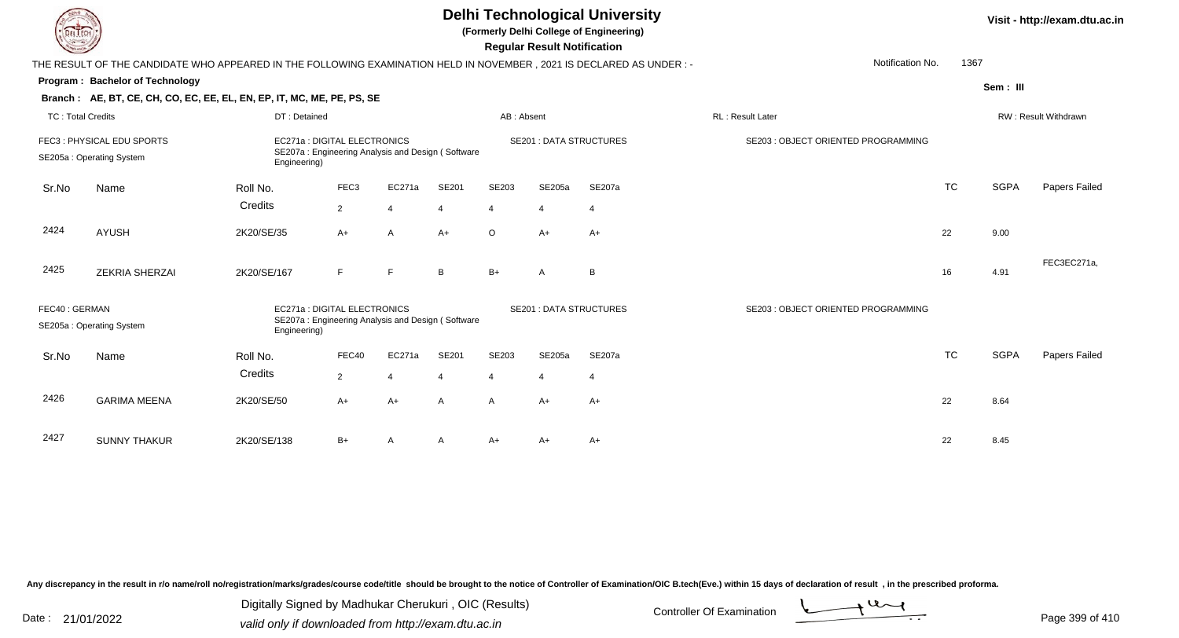| EL ECH                   |                                                                                                                        |                                                                                                  |                                                                                   |          |                               |                | <b>Regular Result Notification</b> | <b>Delhi Technological University</b><br>(Formerly Delhi College of Engineering) |                                     |           |             | Visit - http://exam.dtu.ac.in |
|--------------------------|------------------------------------------------------------------------------------------------------------------------|--------------------------------------------------------------------------------------------------|-----------------------------------------------------------------------------------|----------|-------------------------------|----------------|------------------------------------|----------------------------------------------------------------------------------|-------------------------------------|-----------|-------------|-------------------------------|
|                          | THE RESULT OF THE CANDIDATE WHO APPEARED IN THE FOLLOWING EXAMINATION HELD IN NOVEMBER , 2021 IS DECLARED AS UNDER : - |                                                                                                  |                                                                                   |          |                               |                |                                    |                                                                                  | Notification No.                    | 1367      |             |                               |
|                          | <b>Program: Bachelor of Technology</b>                                                                                 |                                                                                                  |                                                                                   |          |                               |                |                                    |                                                                                  |                                     |           | Sem: III    |                               |
|                          | Branch: AE, BT, CE, CH, CO, EC, EE, EL, EN, EP, IT, MC, ME, PE, PS, SE                                                 |                                                                                                  |                                                                                   |          |                               |                |                                    |                                                                                  |                                     |           |             |                               |
| <b>TC: Total Credits</b> |                                                                                                                        | DT: Detained                                                                                     |                                                                                   |          |                               | AB: Absent     |                                    |                                                                                  | RL: Result Later                    |           |             | RW: Result Withdrawn          |
|                          | FEC3: PHYSICAL EDU SPORTS<br>SE205a: Operating System                                                                  | EC271a: DIGITAL ELECTRONICS<br>SE207a: Engineering Analysis and Design (Software<br>Engineering) |                                                                                   |          | <b>SE201: DATA STRUCTURES</b> |                |                                    |                                                                                  | SE203 : OBJECT ORIENTED PROGRAMMING |           |             |                               |
| Sr.No                    | Name                                                                                                                   | Roll No.                                                                                         | FEC <sub>3</sub>                                                                  | EC271a   | SE201                         | SE203          | SE205a                             | SE207a                                                                           |                                     | <b>TC</b> | <b>SGPA</b> | Papers Failed                 |
|                          |                                                                                                                        | Credits                                                                                          | $\overline{2}$                                                                    | -4       | 4                             | $\overline{4}$ | $\overline{4}$                     | $\overline{4}$                                                                   |                                     |           |             |                               |
| 2424                     | <b>AYUSH</b>                                                                                                           | 2K20/SE/35                                                                                       | A+                                                                                | A        | $A+$                          | $\circ$        | $A+$                               | $A+$                                                                             |                                     | 22        | 9.00        |                               |
| 2425                     | <b>ZEKRIA SHERZAI</b>                                                                                                  | 2K20/SE/167                                                                                      | F                                                                                 | E        | B                             | $B+$           | A                                  | B                                                                                |                                     | 16        | 4.91        | FEC3EC271a,                   |
| FEC40: GERMAN            | SE205a: Operating System                                                                                               | Engineering)                                                                                     | EC271a : DIGITAL ELECTRONICS<br>SE207a: Engineering Analysis and Design (Software |          |                               |                |                                    | <b>SE201: DATA STRUCTURES</b>                                                    | SE203 : OBJECT ORIENTED PROGRAMMING |           |             |                               |
| Sr.No                    | Name                                                                                                                   | Roll No.                                                                                         | FEC40                                                                             | EC271a   | SE201                         | SE203          | SE205a                             | <b>SE207a</b>                                                                    |                                     | <b>TC</b> | <b>SGPA</b> | Papers Failed                 |
|                          |                                                                                                                        | Credits                                                                                          | $\overline{2}$                                                                    | $\Delta$ | $\boldsymbol{\varDelta}$      | $\overline{4}$ | $\boldsymbol{\Delta}$              | $\overline{4}$                                                                   |                                     |           |             |                               |
| 2426                     | <b>GARIMA MEENA</b>                                                                                                    | 2K20/SE/50                                                                                       | A+                                                                                | $A+$     | A                             | $\mathsf{A}$   | $A+$                               | $A+$                                                                             |                                     | 22        | 8.64        |                               |
| 2427                     | <b>SUNNY THAKUR</b>                                                                                                    | 2K20/SE/138                                                                                      | B+                                                                                | A        | A                             | A+             | A+                                 | $A+$                                                                             |                                     | 22        | 8.45        |                               |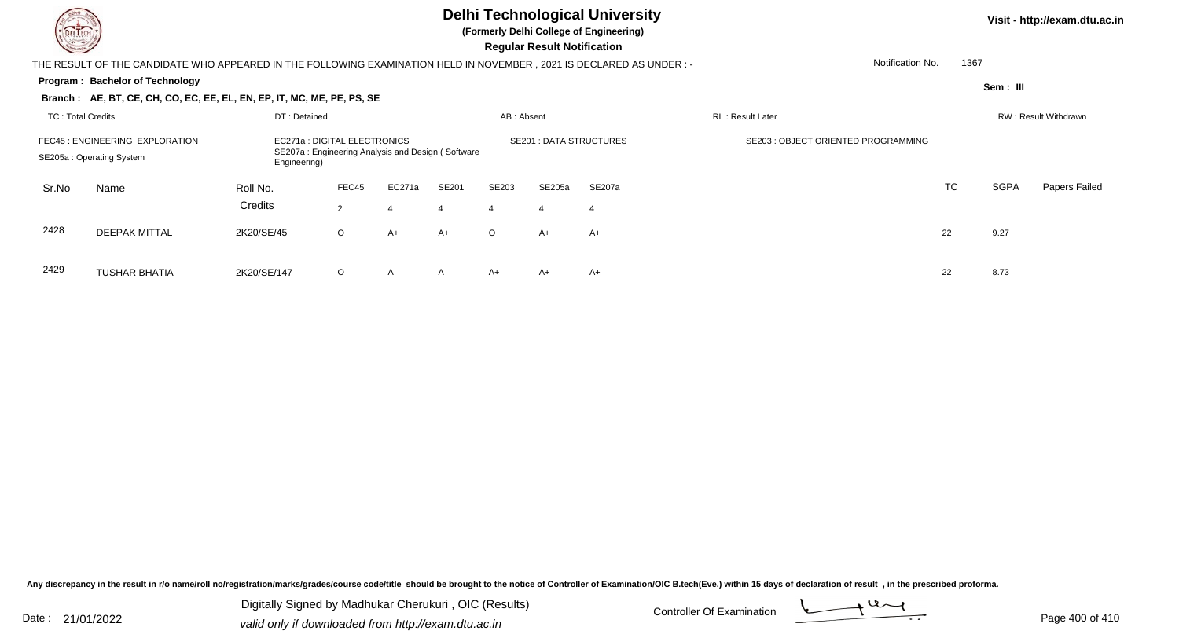## **Delhi Technological University**

**(Formerly Delhi College of Engineering)**

 **Regular Result Notification**

| <b>Course Line</b> |                                                                                                                     |                                                                                                   |                         |                |                         |                         | Regular Result Notification |                               |                                    |           |             |                      |
|--------------------|---------------------------------------------------------------------------------------------------------------------|---------------------------------------------------------------------------------------------------|-------------------------|----------------|-------------------------|-------------------------|-----------------------------|-------------------------------|------------------------------------|-----------|-------------|----------------------|
|                    | THE RESULT OF THE CANDIDATE WHO APPEARED IN THE FOLLOWING EXAMINATION HELD IN NOVEMBER, 2021 IS DECLARED AS UNDER:- |                                                                                                   |                         |                |                         |                         |                             |                               | Notification No.                   |           | 1367        |                      |
|                    | Program: Bachelor of Technology                                                                                     |                                                                                                   |                         |                |                         |                         |                             |                               |                                    |           | Sem: III    |                      |
|                    | Branch: AE, BT, CE, CH, CO, EC, EE, EL, EN, EP, IT, MC, ME, PE, PS, SE                                              |                                                                                                   |                         |                |                         |                         |                             |                               |                                    |           |             |                      |
| TC: Total Credits  |                                                                                                                     | DT: Detained                                                                                      |                         |                |                         | AB: Absent              |                             |                               | RL: Result Later                   |           |             | RW: Result Withdrawn |
|                    | FEC45 : ENGINEERING EXPLORATION<br>SE205a: Operating System                                                         | EC271a : DIGITAL ELECTRONICS<br>SE207a: Engineering Analysis and Design (Software<br>Engineering) |                         |                |                         |                         |                             | <b>SE201: DATA STRUCTURES</b> | SE203: OBJECT ORIENTED PROGRAMMING |           |             |                      |
| Sr.No              | Name                                                                                                                | Roll No.<br>Credits                                                                               | FEC45<br>$\overline{2}$ | EC271a<br>4    | SE201<br>$\overline{4}$ | SE203<br>$\overline{4}$ | SE205a<br>4                 | SE207a<br>-4                  |                                    | <b>TC</b> | <b>SGPA</b> | Papers Failed        |
| 2428               | <b>DEEPAK MITTAL</b>                                                                                                | 2K20/SE/45                                                                                        | $\circ$                 | A+             | $A+$                    | $\circ$                 | A+                          | $A+$                          |                                    | 22        | 9.27        |                      |
| 2429               | <b>TUSHAR BHATIA</b>                                                                                                | 2K20/SE/147                                                                                       | $\circ$                 | $\overline{A}$ | A                       | A+                      | A+                          | A+                            |                                    | 22        | 8.73        |                      |

A 2K20/SE/147 O A A A+ A+ A+ A+ C 22 8.73

Any discrepancy in the result in r/o name/roll no/registration/marks/grades/course code/title should be brought to the notice of Controller of Examination/OIC B.tech(Eve.) within 15 days of declaration of result, in the pr

Date : 21/01/2022 Digital Digital of Microsofted Chemical Controller Of Examination Determination Page 400 of 41 Digitally Signed by Madhukar Cherukuri , OIC (Results)

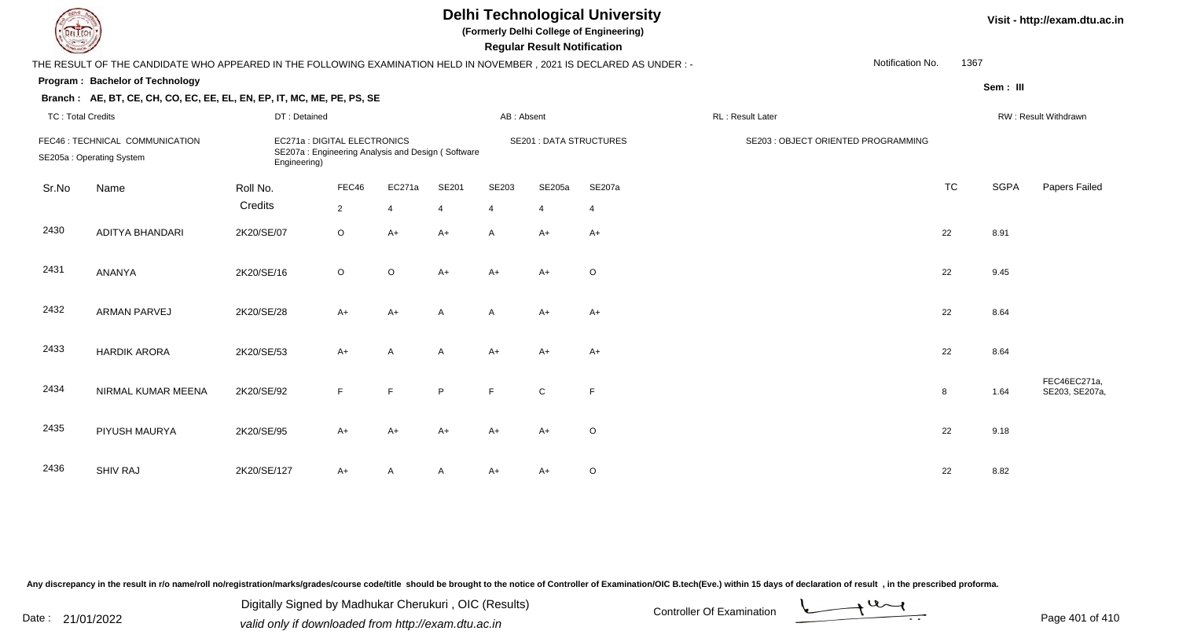| EL ECH                   |                                                                                                                                                                  | Visit - http://exam.dtu.ac.in |                |                |                                |                |                                    |                                     |                  |                      |             |                                |
|--------------------------|------------------------------------------------------------------------------------------------------------------------------------------------------------------|-------------------------------|----------------|----------------|--------------------------------|----------------|------------------------------------|-------------------------------------|------------------|----------------------|-------------|--------------------------------|
|                          | THE RESULT OF THE CANDIDATE WHO APPEARED IN THE FOLLOWING EXAMINATION HELD IN NOVEMBER, 2021 IS DECLARED AS UNDER :-                                             |                               |                |                |                                |                | <b>Regular Result Notification</b> |                                     | Notification No. | 1367                 |             |                                |
|                          | Program: Bachelor of Technology                                                                                                                                  |                               |                |                |                                |                |                                    |                                     |                  |                      | Sem: III    |                                |
|                          | Branch: AE, BT, CE, CH, CO, EC, EE, EL, EN, EP, IT, MC, ME, PE, PS, SE                                                                                           |                               |                |                |                                |                |                                    |                                     |                  |                      |             |                                |
| <b>TC: Total Credits</b> |                                                                                                                                                                  | DT: Detained                  |                |                |                                | AB: Absent     |                                    |                                     | RL: Result Later | RW: Result Withdrawn |             |                                |
|                          | FEC46 : TECHNICAL COMMUNICATION<br>EC271a : DIGITAL ELECTRONICS<br>SE207a: Engineering Analysis and Design (Software<br>SE205a: Operating System<br>Engineering) |                               |                |                | <b>SE201 : DATA STRUCTURES</b> |                |                                    | SE203 : OBJECT ORIENTED PROGRAMMING |                  |                      |             |                                |
| Sr.No                    | Name                                                                                                                                                             | Roll No.                      | FEC46          | EC271a         | SE201                          | SE203          | SE205a                             | SE207a                              |                  | <b>TC</b>            | <b>SGPA</b> | Papers Failed                  |
|                          |                                                                                                                                                                  | Credits                       | $\overline{2}$ | $\overline{4}$ | 4                              | $\overline{4}$ | $\overline{4}$                     | $\overline{4}$                      |                  |                      |             |                                |
| 2430                     | ADITYA BHANDARI                                                                                                                                                  | 2K20/SE/07                    | $\circ$        | $A+$           | $A+$                           | $\overline{A}$ | $A+$                               | $A+$                                |                  | 22                   | 8.91        |                                |
| 2431                     | ANANYA                                                                                                                                                           | 2K20/SE/16                    | $\circ$        | $\mathsf O$    | $A+$                           | $A+$           | $A+$                               | $\circ$                             |                  | 22                   | 9.45        |                                |
| 2432                     | <b>ARMAN PARVEJ</b>                                                                                                                                              | 2K20/SE/28                    | $A+$           | $A+$           | A                              | $\mathsf{A}$   | $A+$                               | $A+$                                |                  | 22                   | 8.64        |                                |
| 2433                     | <b>HARDIK ARORA</b>                                                                                                                                              | 2K20/SE/53                    | $A+$           | A              | A                              | $A+$           | $A+$                               | $A+$                                |                  | 22                   | 8.64        |                                |
| 2434                     | NIRMAL KUMAR MEENA                                                                                                                                               | 2K20/SE/92                    | F              | E              | P                              | F              | $\mathbf C$                        | $\mathsf{F}$                        |                  | 8                    | 1.64        | FEC46EC271a,<br>SE203, SE207a, |
| 2435                     | PIYUSH MAURYA                                                                                                                                                    | 2K20/SE/95                    | $A+$           | $A+$           | $A+$                           | $A+$           | $A+$                               | $\circ$                             |                  | 22                   | 9.18        |                                |
| 2436                     | SHIV RAJ                                                                                                                                                         | 2K20/SE/127                   | A+             | Α              | A                              | $A+$           | A+                                 | $\circ$                             |                  | 22                   | 8.82        |                                |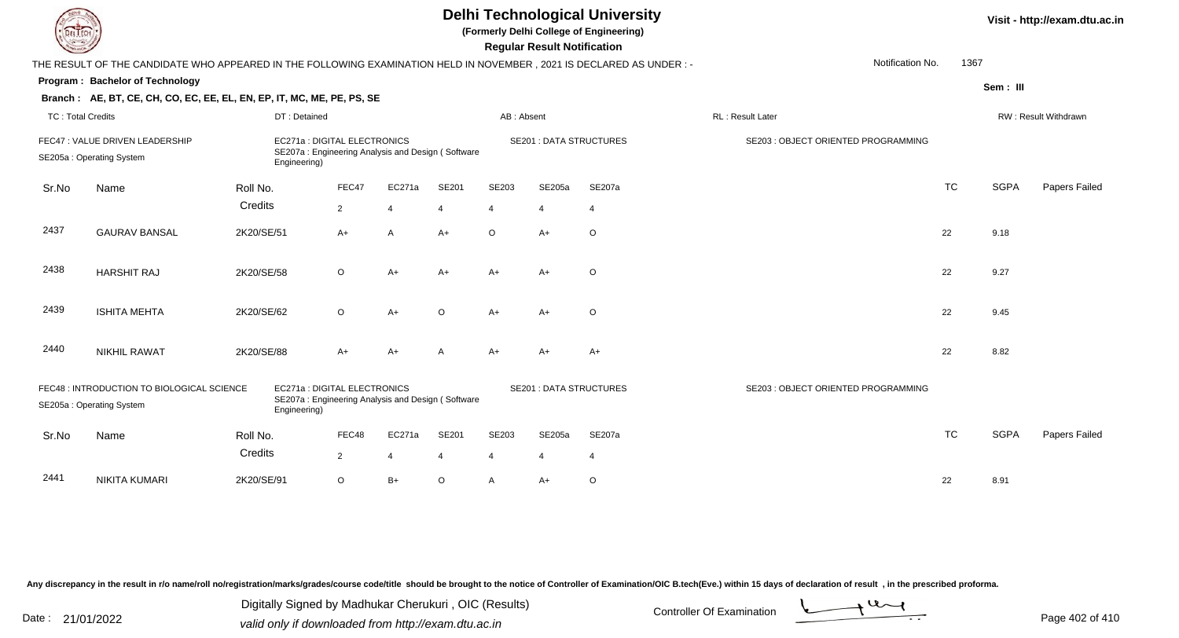| <b>Delhi Technological University</b><br>Visit - http://exam.dtu.ac.in<br>(Formerly Delhi College of Engineering)<br>EL ECH<br><b>Regular Result Notification</b> |                                                                                                                        |              |                              |                                                   |                |                |                                |                |                                     |           |             |                      |  |
|-------------------------------------------------------------------------------------------------------------------------------------------------------------------|------------------------------------------------------------------------------------------------------------------------|--------------|------------------------------|---------------------------------------------------|----------------|----------------|--------------------------------|----------------|-------------------------------------|-----------|-------------|----------------------|--|
|                                                                                                                                                                   | THE RESULT OF THE CANDIDATE WHO APPEARED IN THE FOLLOWING EXAMINATION HELD IN NOVEMBER , 2021 IS DECLARED AS UNDER : - |              |                              |                                                   |                |                |                                |                | Notification No.                    | 1367      |             |                      |  |
|                                                                                                                                                                   | Program: Bachelor of Technology                                                                                        |              |                              |                                                   |                |                |                                |                |                                     |           | Sem: III    |                      |  |
|                                                                                                                                                                   | Branch: AE, BT, CE, CH, CO, EC, EE, EL, EN, EP, IT, MC, ME, PE, PS, SE                                                 |              |                              |                                                   |                |                |                                |                |                                     |           |             |                      |  |
| <b>TC: Total Credits</b>                                                                                                                                          |                                                                                                                        | DT: Detained |                              |                                                   |                | AB: Absent     |                                |                | RL: Result Later                    |           |             | RW: Result Withdrawn |  |
|                                                                                                                                                                   | FEC47 : VALUE DRIVEN LEADERSHIP<br>SE205a: Operating System                                                            | Engineering) | EC271a : DIGITAL ELECTRONICS | SE207a: Engineering Analysis and Design (Software |                |                | <b>SE201 : DATA STRUCTURES</b> |                | SE203 : OBJECT ORIENTED PROGRAMMING |           |             |                      |  |
| Sr.No                                                                                                                                                             | Name                                                                                                                   | Roll No.     | FEC47                        | EC271a                                            | SE201          | SE203          | SE205a                         | SE207a         |                                     | <b>TC</b> | <b>SGPA</b> | Papers Failed        |  |
|                                                                                                                                                                   |                                                                                                                        | Credits      | $\overline{2}$               | 4                                                 | $\overline{4}$ | $\overline{4}$ | $\overline{4}$                 | 4              |                                     |           |             |                      |  |
| 2437                                                                                                                                                              | <b>GAURAV BANSAL</b>                                                                                                   | 2K20/SE/51   | $A+$                         | A                                                 | A+             | $\circ$        | $A+$                           | $\circ$        |                                     | 22        | 9.18        |                      |  |
| 2438                                                                                                                                                              | <b>HARSHIT RAJ</b>                                                                                                     | 2K20/SE/58   | $\circ$                      | $A+$                                              | A+             | $A+$           | $A+$                           | $\circ$        |                                     | 22        | 9.27        |                      |  |
| 2439                                                                                                                                                              | <b>ISHITA MEHTA</b>                                                                                                    | 2K20/SE/62   | $\circ$                      | $A+$                                              | O              | $A+$           | $A+$                           | $\circ$        |                                     | 22        | 9.45        |                      |  |
| 2440                                                                                                                                                              | <b>NIKHIL RAWAT</b>                                                                                                    | 2K20/SE/88   | A+                           | A+                                                | А              | $A+$           | $A+$                           | $A+$           |                                     | 22        | 8.82        |                      |  |
|                                                                                                                                                                   | FEC48 : INTRODUCTION TO BIOLOGICAL SCIENCE<br>SE205a: Operating System                                                 | Engineering) | EC271a : DIGITAL ELECTRONICS | SE207a: Engineering Analysis and Design (Software |                |                | <b>SE201 : DATA STRUCTURES</b> |                | SE203 : OBJECT ORIENTED PROGRAMMING |           |             |                      |  |
| Sr.No                                                                                                                                                             | Name                                                                                                                   | Roll No.     | FEC48                        | EC271a                                            | SE201          | SE203          | SE205a                         | SE207a         |                                     | <b>TC</b> | <b>SGPA</b> | Papers Failed        |  |
|                                                                                                                                                                   |                                                                                                                        | Credits      | $\overline{2}$               | 4                                                 | 4              | $\overline{4}$ | $\overline{4}$                 | $\overline{4}$ |                                     |           |             |                      |  |
| 2441                                                                                                                                                              | <b>NIKITA KUMARI</b>                                                                                                   | 2K20/SE/91   | $\circ$                      | $B+$                                              | O              | $\mathsf{A}$   | $A+$                           | $\circ$        |                                     | 22        | 8.91        |                      |  |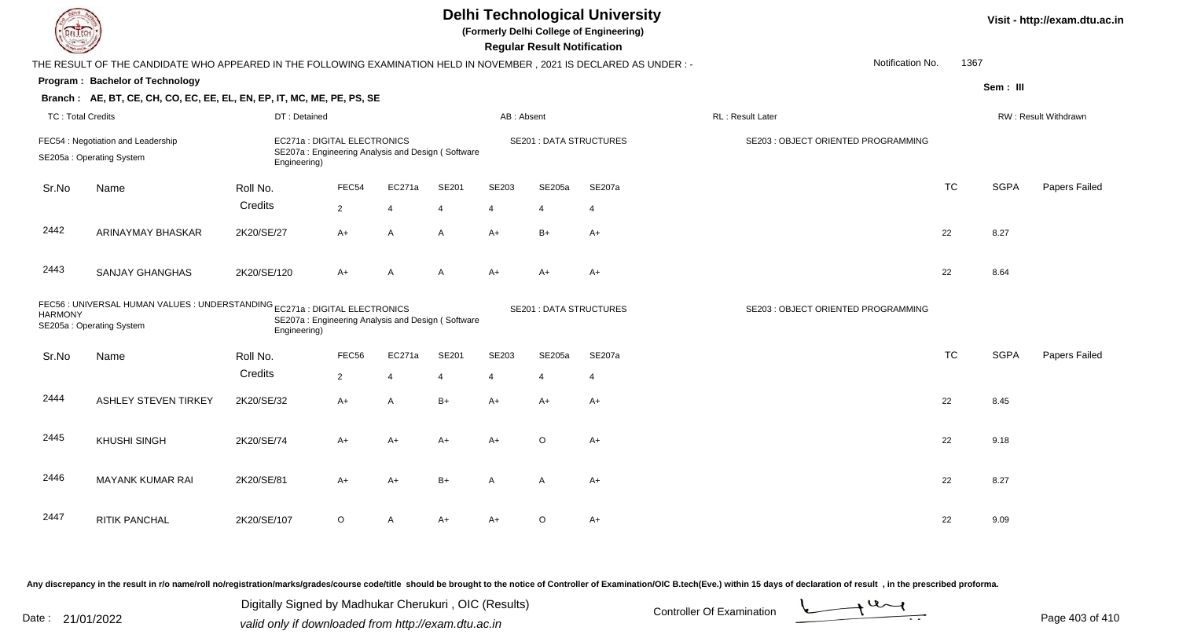|                          |                                                                                                                      |              |                                                                                   |                |       |                         | <b>Delhi Technological University</b><br>(Formerly Delhi College of Engineering)<br><b>Regular Result Notification</b> |                                | Visit - http://exam.dtu.ac.in       |           |             |                      |
|--------------------------|----------------------------------------------------------------------------------------------------------------------|--------------|-----------------------------------------------------------------------------------|----------------|-------|-------------------------|------------------------------------------------------------------------------------------------------------------------|--------------------------------|-------------------------------------|-----------|-------------|----------------------|
|                          | THE RESULT OF THE CANDIDATE WHO APPEARED IN THE FOLLOWING EXAMINATION HELD IN NOVEMBER, 2021 IS DECLARED AS UNDER :- |              |                                                                                   |                |       |                         |                                                                                                                        |                                | Notification No.                    | 1367      |             |                      |
|                          | Program: Bachelor of Technology                                                                                      |              |                                                                                   |                |       |                         |                                                                                                                        |                                |                                     |           | Sem: III    |                      |
|                          | Branch: AE, BT, CE, CH, CO, EC, EE, EL, EN, EP, IT, MC, ME, PE, PS, SE                                               |              |                                                                                   |                |       |                         |                                                                                                                        |                                |                                     |           |             |                      |
| <b>TC: Total Credits</b> |                                                                                                                      | DT: Detained |                                                                                   |                |       | AB: Absent              |                                                                                                                        |                                | RL : Result Later                   |           |             | RW: Result Withdrawn |
|                          | FEC54 : Negotiation and Leadership<br>SE205a: Operating System                                                       | Engineering) | EC271a : DIGITAL ELECTRONICS<br>SE207a: Engineering Analysis and Design (Software |                |       |                         |                                                                                                                        | <b>SE201 : DATA STRUCTURES</b> | SE203 : OBJECT ORIENTED PROGRAMMING |           |             |                      |
| Sr.No                    | Name                                                                                                                 | Roll No.     | FEC54                                                                             | EC271a         | SE201 | SE203                   | <b>SE205a</b>                                                                                                          | SE207a                         |                                     | <b>TC</b> | <b>SGPA</b> | Papers Failed        |
|                          |                                                                                                                      | Credits      | $\overline{2}$                                                                    | $\overline{4}$ | 4     | 4                       | $\overline{4}$                                                                                                         | $\overline{4}$                 |                                     |           |             |                      |
| 2442                     | ARINAYMAY BHASKAR                                                                                                    | 2K20/SE/27   | A+                                                                                | A              | A     | $A+$                    | $B+$                                                                                                                   | $A+$                           |                                     | 22        | 8.27        |                      |
| 2443                     | <b>SANJAY GHANGHAS</b>                                                                                               | 2K20/SE/120  | $A+$                                                                              | A              | A     | $A+$                    | A+                                                                                                                     | $A+$                           |                                     | 22        | 8.64        |                      |
| <b>HARMONY</b>           | FEC56 : UNIVERSAL HUMAN VALUES : UNDERSTANDING EC271a : DIGITAL ELECTRONICS<br>SE205a: Operating System              | Engineering) | SE207a: Engineering Analysis and Design (Software                                 |                |       |                         |                                                                                                                        | <b>SE201: DATA STRUCTURES</b>  | SE203 : OBJECT ORIENTED PROGRAMMING |           |             |                      |
| Sr.No                    | Name                                                                                                                 | Roll No.     | FEC56                                                                             | EC271a         | SE201 | SE203                   | <b>SE205a</b>                                                                                                          | SE207a                         |                                     | <b>TC</b> | <b>SGPA</b> | Papers Failed        |
|                          |                                                                                                                      | Credits      | $\overline{2}$                                                                    | $\overline{4}$ | 4     | $\overline{\mathbf{A}}$ | $\overline{4}$                                                                                                         | $\overline{4}$                 |                                     |           |             |                      |
| 2444                     | <b>ASHLEY STEVEN TIRKEY</b>                                                                                          | 2K20/SE/32   | A+                                                                                | A              | $B+$  | $A+$                    | $A+$                                                                                                                   | $A+$                           |                                     | 22        | 8.45        |                      |
| 2445                     | <b>KHUSHI SINGH</b>                                                                                                  | 2K20/SE/74   | A+                                                                                | $A+$           | $A+$  | $A+$                    | $\circ$                                                                                                                | $A+$                           |                                     | 22        | 9.18        |                      |
| 2446                     | <b>MAYANK KUMAR RAI</b>                                                                                              | 2K20/SE/81   | A+                                                                                | $A+$           | $B+$  | A                       | A                                                                                                                      | $A+$                           |                                     | 22        | 8.27        |                      |
| 2447                     | RITIK PANCHAL                                                                                                        | 2K20/SE/107  | $\circ$                                                                           | Α              | A+    | A+                      | O                                                                                                                      | $A+$                           |                                     | 22        | 9.09        |                      |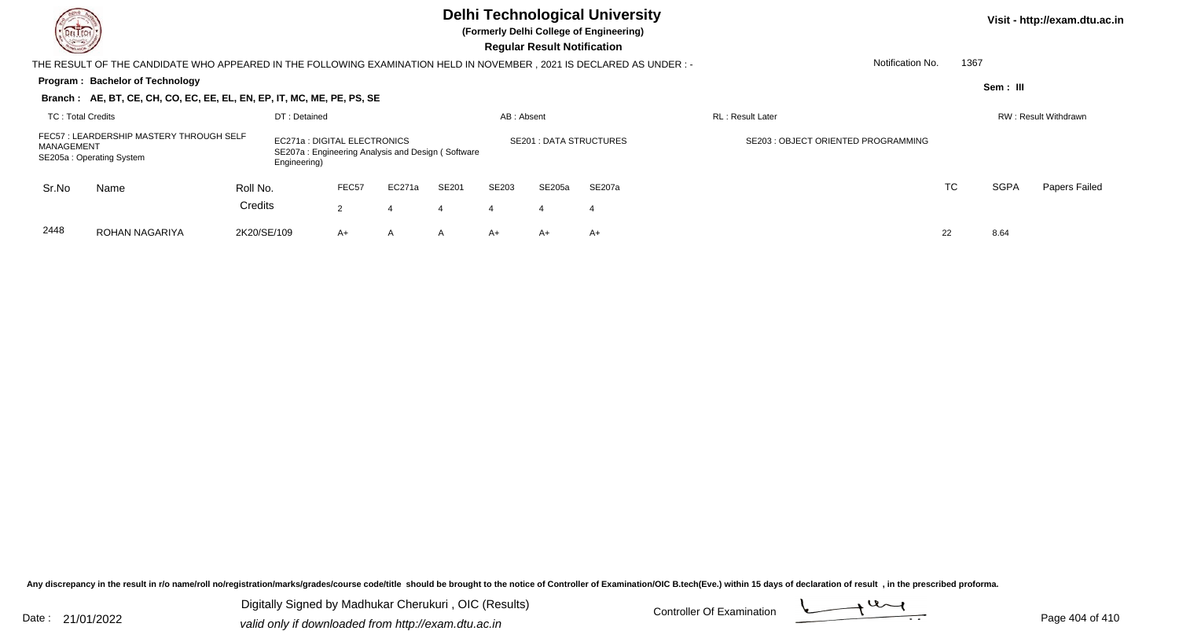## **Delhi Technological University**

**(Formerly Delhi College of Engineering)**

 **Regular Result Notification**

| <b>Course I</b>                                                                                                                                                                        |                                                                                                                      |             |              |                   |                |       |            | <b>Requiar Result Notification</b> |                |                                     |                  |      |           |                      |
|----------------------------------------------------------------------------------------------------------------------------------------------------------------------------------------|----------------------------------------------------------------------------------------------------------------------|-------------|--------------|-------------------|----------------|-------|------------|------------------------------------|----------------|-------------------------------------|------------------|------|-----------|----------------------|
|                                                                                                                                                                                        | THE RESULT OF THE CANDIDATE WHO APPEARED IN THE FOLLOWING EXAMINATION HELD IN NOVEMBER, 2021 IS DECLARED AS UNDER :- |             |              |                   |                |       |            |                                    |                |                                     | Notification No. | 1367 |           |                      |
|                                                                                                                                                                                        | Program: Bachelor of Technology                                                                                      |             |              |                   |                |       |            |                                    |                |                                     |                  |      | Sem : III |                      |
|                                                                                                                                                                                        | Branch: AE, BT, CE, CH, CO, EC, EE, EL, EN, EP, IT, MC, ME, PE, PS, SE                                               |             |              |                   |                |       |            |                                    |                |                                     |                  |      |           |                      |
| TC: Total Credits                                                                                                                                                                      |                                                                                                                      |             | DT: Detained |                   |                |       | AB: Absent |                                    |                | <b>RL: Result Later</b>             |                  |      |           | RW: Result Withdrawn |
| FEC57: LEARDERSHIP MASTERY THROUGH SELF<br>EC271a : DIGITAL ELECTRONICS<br>MANAGEMENT<br>SE207a: Engineering Analysis and Design (Software<br>SE205a: Operating System<br>Engineering) |                                                                                                                      |             |              |                   |                |       |            | <b>SE201: DATA STRUCTURES</b>      |                | SE203 : OBJECT ORIENTED PROGRAMMING |                  |      |           |                      |
| Sr.No                                                                                                                                                                                  | Name                                                                                                                 | Roll No.    |              | FEC <sub>57</sub> | EC271a         | SE201 | SE203      | SE205a                             | SE207a         |                                     |                  | TC   | SGPA      | Papers Failed        |
|                                                                                                                                                                                        |                                                                                                                      | Credits     |              | $\mathcal{P}$     | 4              | 4     | 4          | 4                                  | $\overline{4}$ |                                     |                  |      |           |                      |
| 2448                                                                                                                                                                                   | ROHAN NAGARIYA                                                                                                       | 2K20/SE/109 |              | $A+$              | $\overline{A}$ | A     | A+         | $A+$                               | A+             |                                     |                  | 22   | 8.64      |                      |

Any discrepancy in the result in r/o name/roll no/registration/marks/grades/course code/title should be brought to the notice of Controller of Examination/OIC B.tech(Eve.) within 15 days of declaration of result, in the pr

Date : 21/01/2022 Digital Digital of Microsofted Chemical Controller Of Examination Determination Page 404 of 41 Digitally Signed by Madhukar Cherukuri , OIC (Results)

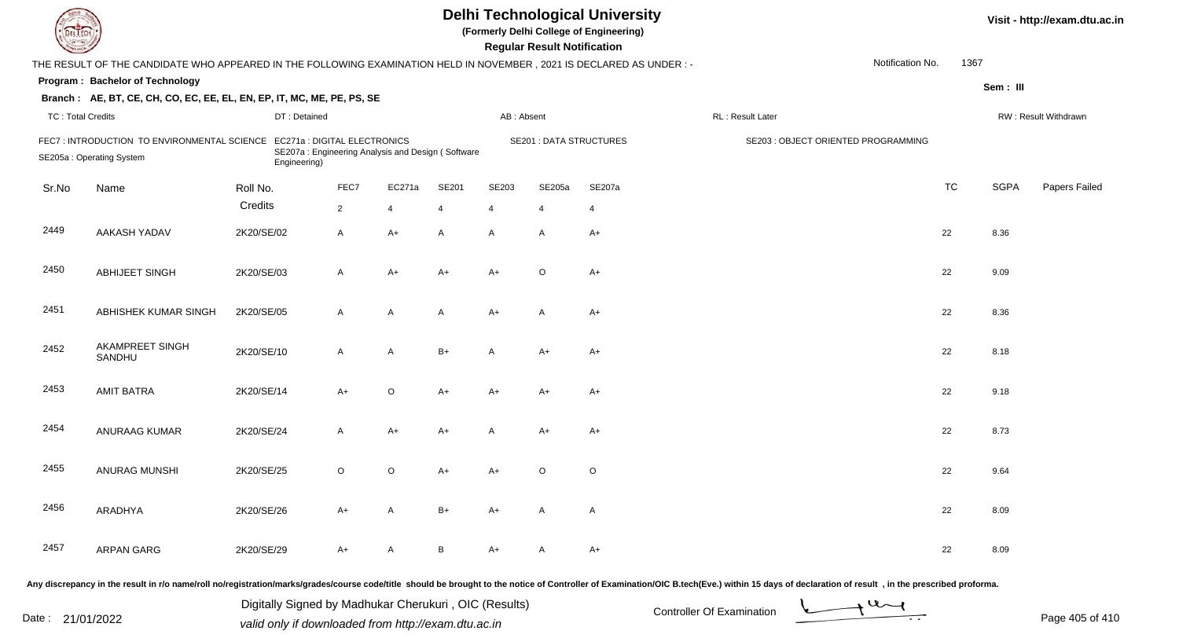| L'I ECH                  | <b>Delhi Technological University</b><br>(Formerly Delhi College of Engineering)<br><b>Regular Result Notification</b> |                                                                                                   |                |                |       |                |                                |                |                                                                                                                                                                                                                                |                  |           |             |                      |
|--------------------------|------------------------------------------------------------------------------------------------------------------------|---------------------------------------------------------------------------------------------------|----------------|----------------|-------|----------------|--------------------------------|----------------|--------------------------------------------------------------------------------------------------------------------------------------------------------------------------------------------------------------------------------|------------------|-----------|-------------|----------------------|
|                          | THE RESULT OF THE CANDIDATE WHO APPEARED IN THE FOLLOWING EXAMINATION HELD IN NOVEMBER, 2021 IS DECLARED AS UNDER :-   |                                                                                                   |                |                |       |                |                                |                |                                                                                                                                                                                                                                | Notification No. | 1367      |             |                      |
|                          | Program: Bachelor of Technology                                                                                        |                                                                                                   |                |                |       |                |                                |                |                                                                                                                                                                                                                                |                  |           | Sem: III    |                      |
|                          | Branch: AE, BT, CE, CH, CO, EC, EE, EL, EN, EP, IT, MC, ME, PE, PS, SE                                                 |                                                                                                   |                |                |       |                |                                |                |                                                                                                                                                                                                                                |                  |           |             |                      |
| <b>TC: Total Credits</b> |                                                                                                                        | DT: Detained                                                                                      |                |                |       | AB: Absent     |                                |                | RL : Result Later                                                                                                                                                                                                              |                  |           |             | RW: Result Withdrawn |
|                          | FEC7: INTRODUCTION TO ENVIRONMENTAL SCIENCE<br>SE205a: Operating System                                                | EC271a : DIGITAL ELECTRONICS<br>SE207a: Engineering Analysis and Design (Software<br>Engineering) |                |                |       |                | <b>SE201 : DATA STRUCTURES</b> |                | SE203 : OBJECT ORIENTED PROGRAMMING                                                                                                                                                                                            |                  |           |             |                      |
| Sr.No                    | Name                                                                                                                   | Roll No.                                                                                          | FEC7           | EC271a         | SE201 | SE203          | SE205a                         | SE207a         |                                                                                                                                                                                                                                |                  | <b>TC</b> | <b>SGPA</b> | Papers Failed        |
|                          |                                                                                                                        | Credits                                                                                           | $\overline{2}$ | $\overline{4}$ | 4     | $\overline{4}$ | $\overline{4}$                 | $\overline{4}$ |                                                                                                                                                                                                                                |                  |           |             |                      |
| 2449                     | AAKASH YADAV                                                                                                           | 2K20/SE/02                                                                                        | $\mathsf{A}$   | $A+$           | A     | $\mathsf{A}$   | $\overline{A}$                 | $A+$           |                                                                                                                                                                                                                                |                  | 22        | 8.36        |                      |
| 2450                     | ABHIJEET SINGH                                                                                                         | 2K20/SE/03                                                                                        | A              | $A+$           | $A+$  | $A+$           | $\circ$                        | $A+$           |                                                                                                                                                                                                                                |                  | 22        | 9.09        |                      |
| 2451                     | ABHISHEK KUMAR SINGH                                                                                                   | 2K20/SE/05                                                                                        | A              | A              | A     | A+             | A                              | $A+$           |                                                                                                                                                                                                                                |                  | 22        | 8.36        |                      |
| 2452                     | AKAMPREET SINGH<br>SANDHU                                                                                              | 2K20/SE/10                                                                                        | $\mathsf{A}$   | A              | $B+$  | A              | $A+$                           | $A+$           |                                                                                                                                                                                                                                |                  | 22        | 8.18        |                      |
| 2453                     | <b>AMIT BATRA</b>                                                                                                      | 2K20/SE/14                                                                                        | $A+$           | $\circ$        | A+    | A+             | A+                             | $A+$           |                                                                                                                                                                                                                                |                  | 22        | 9.18        |                      |
| 2454                     | ANURAAG KUMAR                                                                                                          | 2K20/SE/24                                                                                        | $\mathsf{A}$   | $A+$           | A+    | A              | A+                             | $A+$           |                                                                                                                                                                                                                                |                  | 22        | 8.73        |                      |
| 2455                     | <b>ANURAG MUNSHI</b>                                                                                                   | 2K20/SE/25                                                                                        | $\circ$        | $\circ$        | A+    | A+             | $\circ$                        | $\circ$        |                                                                                                                                                                                                                                |                  | 22        | 9.64        |                      |
| 2456                     | ARADHYA                                                                                                                | 2K20/SE/26                                                                                        | A+             | A              | $B+$  | A+             | A                              | $\mathsf{A}$   |                                                                                                                                                                                                                                |                  | 22        | 8.09        |                      |
| 2457                     | <b>ARPAN GARG</b>                                                                                                      | 2K20/SE/29                                                                                        | A+             | A              | B     | A+             | A                              | $A+$           |                                                                                                                                                                                                                                |                  | 22        | 8.09        |                      |
|                          |                                                                                                                        |                                                                                                   |                |                |       |                |                                |                | ny discrepancy in the result in r/o name/roll no/registration/marks/grades/course code/title should be brought to the notice of Controller of Examination/OIC B.tech(Eve.) within 15 days of declaration of result . in the pr |                  |           |             |                      |

Date : 21/01/2022 Digital Digital of Microsofted Chemical Controller Of Examination Determination Page 405 of 41 Digitally Signed by Madhukar Cherukuri , OIC (Results)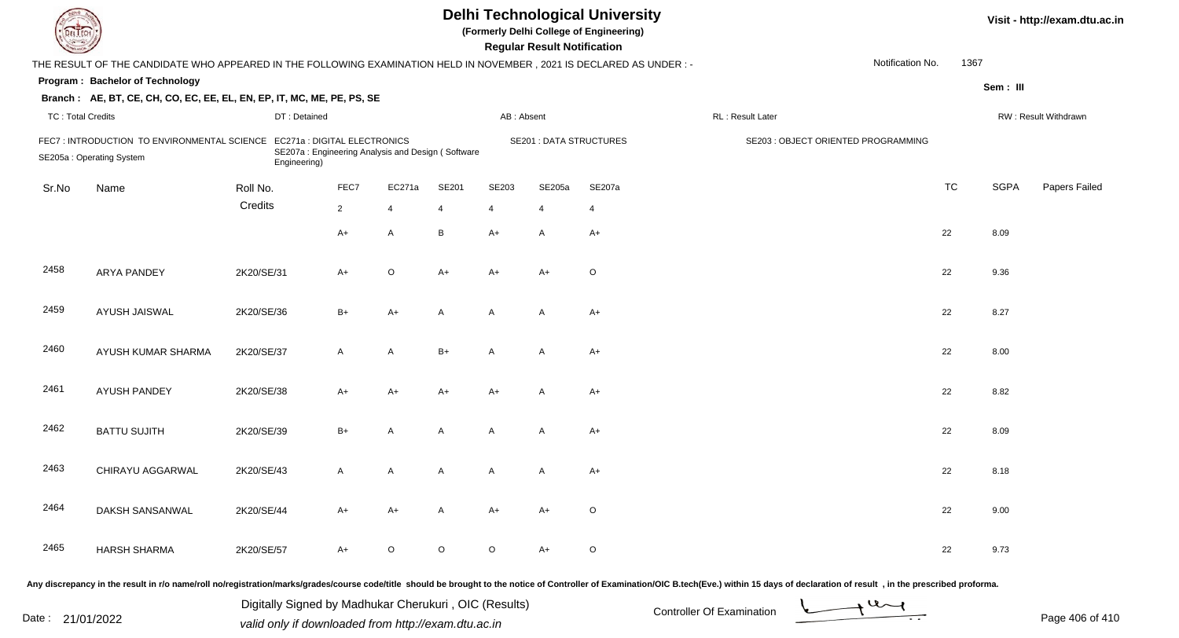| DEL TECH                 |                                                                                                                      |              |                                                                                   |                |       |            | <b>Regular Result Notification</b> | <b>Delhi Technological University</b><br>(Formerly Delhi College of Engineering) |                                                                                                                                                                                                                                |                  |           |             | Visit - http://exam.dtu.ac.in |
|--------------------------|----------------------------------------------------------------------------------------------------------------------|--------------|-----------------------------------------------------------------------------------|----------------|-------|------------|------------------------------------|----------------------------------------------------------------------------------|--------------------------------------------------------------------------------------------------------------------------------------------------------------------------------------------------------------------------------|------------------|-----------|-------------|-------------------------------|
|                          | THE RESULT OF THE CANDIDATE WHO APPEARED IN THE FOLLOWING EXAMINATION HELD IN NOVEMBER, 2021 IS DECLARED AS UNDER: - |              |                                                                                   |                |       |            |                                    |                                                                                  |                                                                                                                                                                                                                                | Notification No. | 1367      |             |                               |
|                          | Program: Bachelor of Technology                                                                                      |              |                                                                                   |                |       |            |                                    |                                                                                  |                                                                                                                                                                                                                                |                  |           | Sem: III    |                               |
|                          | Branch: AE, BT, CE, CH, CO, EC, EE, EL, EN, EP, IT, MC, ME, PE, PS, SE                                               |              |                                                                                   |                |       |            |                                    |                                                                                  |                                                                                                                                                                                                                                |                  |           |             |                               |
| <b>TC: Total Credits</b> |                                                                                                                      | DT: Detained |                                                                                   |                |       | AB: Absent |                                    |                                                                                  | RL: Result Later                                                                                                                                                                                                               |                  |           |             | RW: Result Withdrawn          |
|                          | FEC7: INTRODUCTION TO ENVIRONMENTAL SCIENCE<br>SE205a: Operating System                                              | Engineering) | EC271a : DIGITAL ELECTRONICS<br>SE207a: Engineering Analysis and Design (Software |                |       |            | <b>SE201 : DATA STRUCTURES</b>     |                                                                                  | SE203 : OBJECT ORIENTED PROGRAMMING                                                                                                                                                                                            |                  |           |             |                               |
| Sr.No                    | Name                                                                                                                 | Roll No.     | FEC7                                                                              | EC271a         | SE201 | SE203      | SE205a                             | SE207a                                                                           |                                                                                                                                                                                                                                |                  | <b>TC</b> | <b>SGPA</b> | Papers Failed                 |
|                          |                                                                                                                      | Credits      | $\overline{2}$                                                                    | $\overline{4}$ | 4     | 4          |                                    | 4                                                                                |                                                                                                                                                                                                                                |                  |           |             |                               |
|                          |                                                                                                                      |              | $A+$                                                                              | $\mathsf{A}$   | B     | A+         | A                                  | $A+$                                                                             |                                                                                                                                                                                                                                |                  | 22        | 8.09        |                               |
| 2458                     | <b>ARYA PANDEY</b>                                                                                                   | 2K20/SE/31   | $A+$                                                                              | $\circ$        | A+    | A+         | $A+$                               | $\circ$                                                                          |                                                                                                                                                                                                                                |                  | 22        | 9.36        |                               |
| 2459                     | AYUSH JAISWAL                                                                                                        | 2K20/SE/36   | $B+$                                                                              | $A+$           | A     | A          | A                                  | $A+$                                                                             |                                                                                                                                                                                                                                |                  | 22        | 8.27        |                               |
| 2460                     | AYUSH KUMAR SHARMA                                                                                                   | 2K20/SE/37   | $\mathsf{A}$                                                                      | $\mathsf{A}$   | $B+$  | A          | A                                  | $A+$                                                                             |                                                                                                                                                                                                                                |                  | 22        | 8.00        |                               |
| 2461                     | <b>AYUSH PANDEY</b>                                                                                                  | 2K20/SE/38   | $A+$                                                                              | $A+$           | A+    | A+         | $\overline{A}$                     | $A+$                                                                             |                                                                                                                                                                                                                                |                  | 22        | 8.82        |                               |
| 2462                     | <b>BATTU SUJITH</b>                                                                                                  | 2K20/SE/39   | $B+$                                                                              | A              | A     | A          | A                                  | $A+$                                                                             |                                                                                                                                                                                                                                |                  | 22        | 8.09        |                               |
| 2463                     | CHIRAYU AGGARWAL                                                                                                     | 2K20/SE/43   | $\mathsf{A}$                                                                      | A              | A     | A          | A                                  | $A+$                                                                             |                                                                                                                                                                                                                                |                  | 22        | 8.18        |                               |
| 2464                     | DAKSH SANSANWAL                                                                                                      | 2K20/SE/44   | A+                                                                                | A+             | A     | A+         | A+                                 | O                                                                                |                                                                                                                                                                                                                                |                  | 22        | 9.00        |                               |
| 2465                     | <b>HARSH SHARMA</b>                                                                                                  | 2K20/SE/57   | A+                                                                                | $\circ$        | O     | $\circ$    | $A+$                               | $\circ$                                                                          |                                                                                                                                                                                                                                |                  | 22        | 9.73        |                               |
|                          |                                                                                                                      |              |                                                                                   |                |       |            |                                    |                                                                                  | Any discrepancy in the result in r/o name/roll no/registration/marks/grades/course code/title should be brought to the notice of Controller of Examination/OIC B.tech(Eve.) within 15 days of declaration of result , in the p |                  |           |             |                               |

Date : 21/01/2022 Digital Digital of Microsofted Chemical Controller Of Examination Determination Page 406 of 41 Digitally Signed by Madhukar Cherukuri , OIC (Results)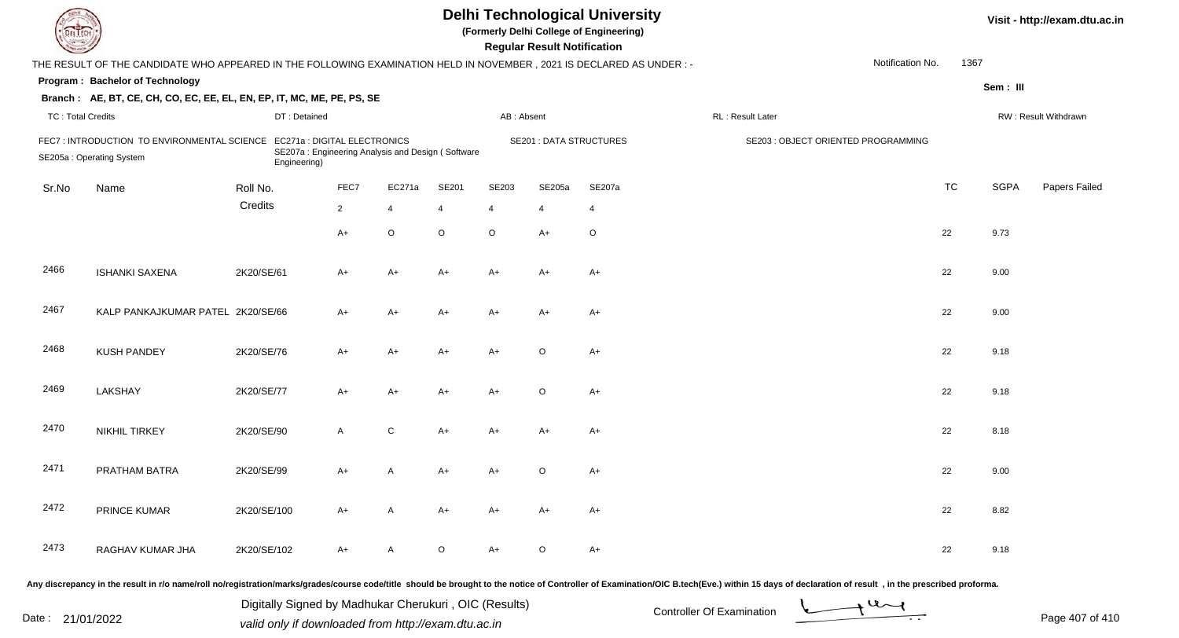| EL ECH                                                                   | <b>Delhi Technological University</b><br>(Formerly Delhi College of Engineering)<br><b>Regular Result Notification</b> |             |                                                                                                   |                |         |                |                                |                |                                     |                  |           |             | Visit - http://exam.dtu.ac.in |
|--------------------------------------------------------------------------|------------------------------------------------------------------------------------------------------------------------|-------------|---------------------------------------------------------------------------------------------------|----------------|---------|----------------|--------------------------------|----------------|-------------------------------------|------------------|-----------|-------------|-------------------------------|
|                                                                          | THE RESULT OF THE CANDIDATE WHO APPEARED IN THE FOLLOWING EXAMINATION HELD IN NOVEMBER, 2021 IS DECLARED AS UNDER:-    |             |                                                                                                   |                |         |                |                                |                |                                     | Notification No. | 1367      |             |                               |
|                                                                          | Program: Bachelor of Technology                                                                                        |             |                                                                                                   |                |         |                |                                |                |                                     |                  |           | Sem: III    |                               |
|                                                                          | Branch: AE, BT, CE, CH, CO, EC, EE, EL, EN, EP, IT, MC, ME, PE, PS, SE                                                 |             |                                                                                                   |                |         |                |                                |                |                                     |                  |           |             |                               |
| <b>TC: Total Credits</b>                                                 |                                                                                                                        |             | DT: Detained                                                                                      |                |         | AB: Absent     |                                |                | RL : Result Later                   |                  |           |             | RW: Result Withdrawn          |
| FEC7 : INTRODUCTION TO ENVIRONMENTAL SCIENCE<br>SE205a: Operating System |                                                                                                                        |             | EC271a : DIGITAL ELECTRONICS<br>SE207a: Engineering Analysis and Design (Software<br>Engineering) |                |         |                | <b>SE201 : DATA STRUCTURES</b> |                | SE203 : OBJECT ORIENTED PROGRAMMING |                  |           |             |                               |
| Sr.No                                                                    | Name                                                                                                                   | Roll No.    | FEC7                                                                                              | EC271a         | SE201   | SE203          | SE205a                         | SE207a         |                                     |                  | <b>TC</b> | <b>SGPA</b> | Papers Failed                 |
|                                                                          |                                                                                                                        | Credits     | $2^{\circ}$                                                                                       | $\overline{4}$ | 4       | $\overline{4}$ | $\overline{4}$                 | $\overline{4}$ |                                     |                  |           |             |                               |
|                                                                          |                                                                                                                        |             | A+                                                                                                | $\mathsf O$    | $\circ$ | $\circ$        | $A+$                           | $\circ$        |                                     |                  | 22        | 9.73        |                               |
| 2466                                                                     | <b>ISHANKI SAXENA</b>                                                                                                  | 2K20/SE/61  | A+                                                                                                | $A+$           | $A+$    | $A+$           | A+                             | $A+$           |                                     |                  | 22        | 9.00        |                               |
| 2467                                                                     | KALP PANKAJKUMAR PATEL 2K20/SE/66                                                                                      |             | A+                                                                                                | $A+$           | $A+$    | $A+$           | A+                             | $A+$           |                                     |                  | 22        | 9.00        |                               |
| 2468                                                                     | <b>KUSH PANDEY</b>                                                                                                     | 2K20/SE/76  | A+                                                                                                | A+             | A+      | $A+$           | $\circ$                        | $A+$           |                                     |                  | 22        | 9.18        |                               |
| 2469                                                                     | LAKSHAY                                                                                                                | 2K20/SE/77  | A+                                                                                                | $A+$           | A+      | $A+$           | $\circ$                        | $A+$           |                                     |                  | 22        | 9.18        |                               |
| 2470                                                                     | <b>NIKHIL TIRKEY</b>                                                                                                   | 2K20/SE/90  | A                                                                                                 | ${\bf C}$      | $A+$    | $A+$           | $A+$                           | $A+$           |                                     |                  | 22        | 8.18        |                               |
| 2471                                                                     | PRATHAM BATRA                                                                                                          | 2K20/SE/99  | A+                                                                                                | A              | A+      | A+             | O                              | $A+$           |                                     |                  | 22        | 9.00        |                               |
| 2472                                                                     | PRINCE KUMAR                                                                                                           | 2K20/SE/100 | A+                                                                                                | A              | A+      | A+             | A+                             | $A+$           |                                     |                  | 22        | 8.82        |                               |
| 2473                                                                     | RAGHAV KUMAR JHA                                                                                                       | 2K20/SE/102 | A+                                                                                                | A              | $\circ$ | $A+$           | $\circ$                        | $A+$           |                                     |                  | 22        | 9.18        |                               |
|                                                                          |                                                                                                                        |             |                                                                                                   |                |         |                |                                |                |                                     |                  |           |             |                               |

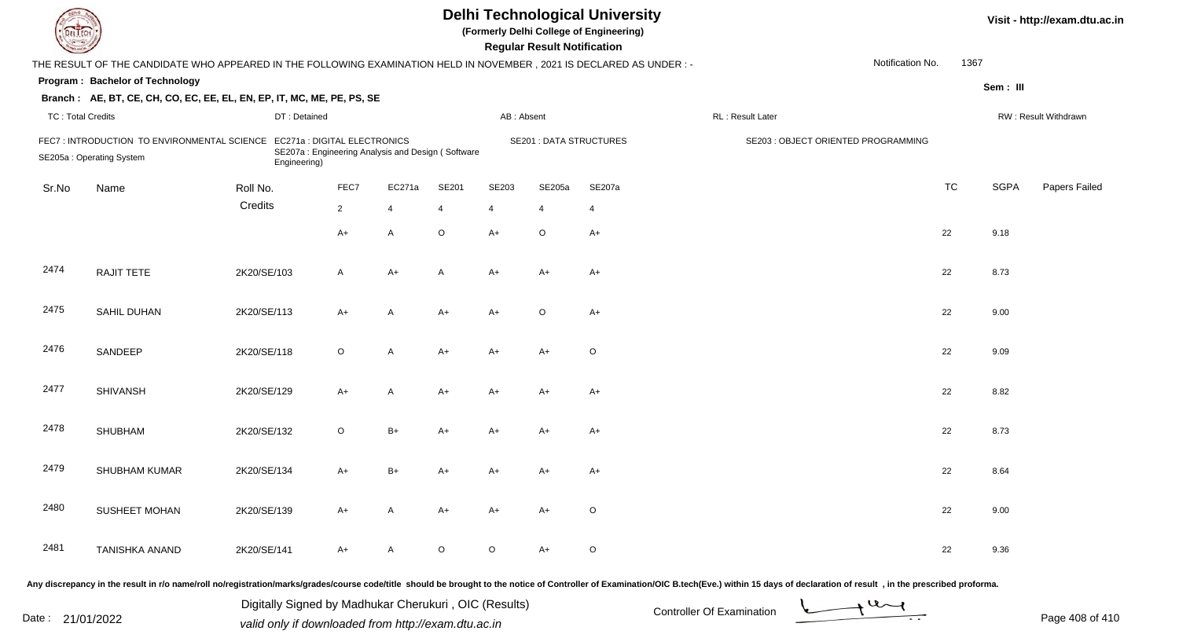| DEL ECH                                                                                                                                                                    |                                                                                                                                                 |             |                |              |                |                                | <b>Regular Result Notification</b> | <b>Delhi Technological University</b><br>(Formerly Delhi College of Engineering) |                                                                                                                                                                                                                                |  |                      |             | Visit - http://exam.dtu.ac.in |
|----------------------------------------------------------------------------------------------------------------------------------------------------------------------------|-------------------------------------------------------------------------------------------------------------------------------------------------|-------------|----------------|--------------|----------------|--------------------------------|------------------------------------|----------------------------------------------------------------------------------|--------------------------------------------------------------------------------------------------------------------------------------------------------------------------------------------------------------------------------|--|----------------------|-------------|-------------------------------|
|                                                                                                                                                                            | 1367<br>Notification No.<br>THE RESULT OF THE CANDIDATE WHO APPEARED IN THE FOLLOWING EXAMINATION HELD IN NOVEMBER, 2021 IS DECLARED AS UNDER:- |             |                |              |                |                                |                                    |                                                                                  |                                                                                                                                                                                                                                |  |                      |             |                               |
| Program: Bachelor of Technology                                                                                                                                            |                                                                                                                                                 |             |                |              |                |                                |                                    |                                                                                  |                                                                                                                                                                                                                                |  |                      | Sem: III    |                               |
|                                                                                                                                                                            | Branch: AE, BT, CE, CH, CO, EC, EE, EL, EN, EP, IT, MC, ME, PE, PS, SE                                                                          |             |                |              |                |                                |                                    |                                                                                  |                                                                                                                                                                                                                                |  |                      |             |                               |
| <b>TC: Total Credits</b><br>DT: Detained                                                                                                                                   |                                                                                                                                                 |             |                | AB: Absent   |                |                                | RL: Result Later                   |                                                                                  |                                                                                                                                                                                                                                |  | RW: Result Withdrawn |             |                               |
| FEC7 : INTRODUCTION TO ENVIRONMENTAL SCIENCE EC271a : DIGITAL ELECTRONICS<br>SE207a: Engineering Analysis and Design (Software<br>SE205a: Operating System<br>Engineering) |                                                                                                                                                 |             |                |              |                | <b>SE201 : DATA STRUCTURES</b> |                                    | SE203 : OBJECT ORIENTED PROGRAMMING                                              |                                                                                                                                                                                                                                |  |                      |             |                               |
| Sr.No                                                                                                                                                                      | Name                                                                                                                                            | Roll No.    | FEC7           | EC271a       | SE201          | SE203                          | SE205a                             | SE207a                                                                           |                                                                                                                                                                                                                                |  | <b>TC</b>            | <b>SGPA</b> | Papers Failed                 |
|                                                                                                                                                                            |                                                                                                                                                 | Credits     | $\overline{2}$ | 4            | $\overline{4}$ | 4                              |                                    | $\overline{4}$                                                                   |                                                                                                                                                                                                                                |  |                      |             |                               |
|                                                                                                                                                                            |                                                                                                                                                 |             | $A+$           | A            | $\circ$        | $A+$                           | $\circ$                            | $A+$                                                                             |                                                                                                                                                                                                                                |  | 22                   | 9.18        |                               |
| 2474                                                                                                                                                                       | RAJIT TETE                                                                                                                                      | 2K20/SE/103 | $\mathsf{A}$   | $A+$         | A              | A+                             | A+                                 | $A+$                                                                             |                                                                                                                                                                                                                                |  | 22                   | 8.73        |                               |
| 2475                                                                                                                                                                       | SAHIL DUHAN                                                                                                                                     | 2K20/SE/113 | $A+$           | A            | A+             | A+                             | $\circ$                            | $A+$                                                                             |                                                                                                                                                                                                                                |  | 22                   | 9.00        |                               |
| 2476                                                                                                                                                                       | SANDEEP                                                                                                                                         | 2K20/SE/118 | $\circ$        | $\mathsf{A}$ | $A+$           | A+                             | A+                                 | $\circ$                                                                          |                                                                                                                                                                                                                                |  | 22                   | 9.09        |                               |
| 2477                                                                                                                                                                       | <b>SHIVANSH</b>                                                                                                                                 | 2K20/SE/129 | $A+$           | $\mathsf{A}$ | A+             | A+                             | A+                                 | $A+$                                                                             |                                                                                                                                                                                                                                |  | 22                   | 8.82        |                               |
| 2478                                                                                                                                                                       | <b>SHUBHAM</b>                                                                                                                                  | 2K20/SE/132 | $\circ$        | $B+$         | $A+$           | A+                             | $A+$                               | $A+$                                                                             |                                                                                                                                                                                                                                |  | 22                   | 8.73        |                               |
| 2479                                                                                                                                                                       | SHUBHAM KUMAR                                                                                                                                   | 2K20/SE/134 | $A+$           | $B+$         | A+             | A+                             | A+                                 | A+                                                                               |                                                                                                                                                                                                                                |  | 22                   | 8.64        |                               |
| 2480                                                                                                                                                                       | SUSHEET MOHAN                                                                                                                                   | 2K20/SE/139 | A+             | A            | A+             | A+                             | A+                                 | $\circ$                                                                          |                                                                                                                                                                                                                                |  | 22                   | 9.00        |                               |
| 2481                                                                                                                                                                       | <b>TANISHKA ANAND</b>                                                                                                                           | 2K20/SE/141 | A+             | A            | O              | $\circ$                        | A+                                 | $\circ$                                                                          |                                                                                                                                                                                                                                |  | 22                   | 9.36        |                               |
|                                                                                                                                                                            |                                                                                                                                                 |             |                |              |                |                                |                                    |                                                                                  | Any discrepancy in the result in r/o name/roll no/registration/marks/grades/course code/title should be brought to the notice of Controller of Examination/OIC B.tech(Eve.) within 15 days of declaration of result , in the p |  |                      |             |                               |

Date : 21/01/2022 Digital Digital of Microsofted Chemical Controller Of Examination Determination Page 408 of 41 Digitally Signed by Madhukar Cherukuri , OIC (Results)

Page 408 of 410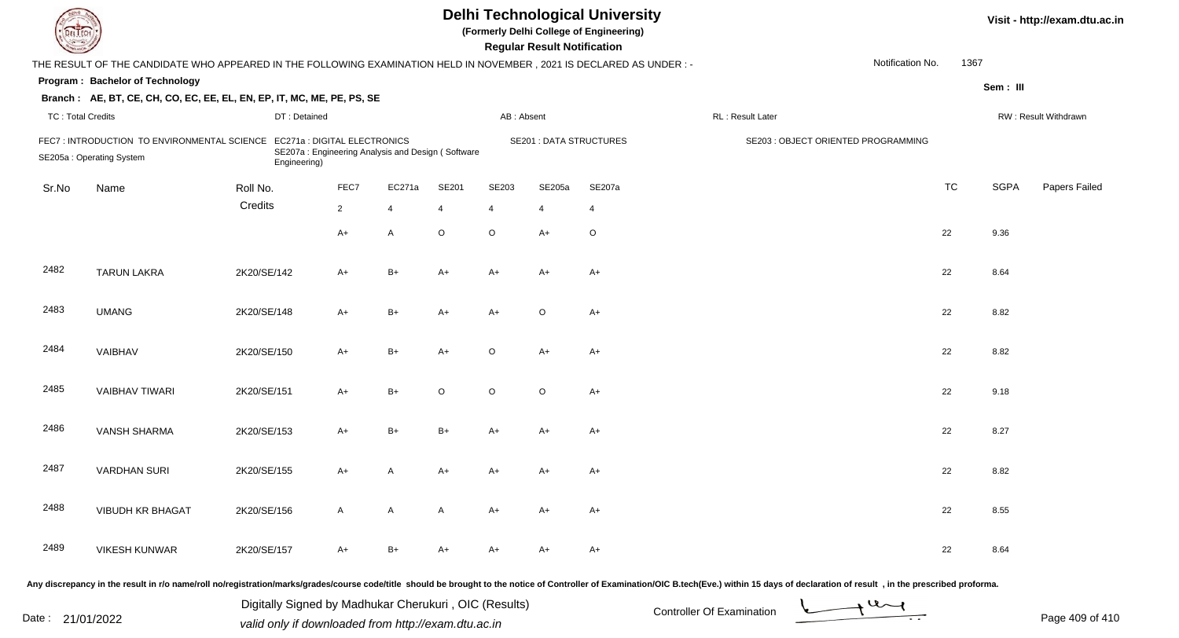| <b>DELTECH</b>                                                                                                                                                               |                                                                                                                      |              |              |                |         |                                | <b>Regular Result Notification</b> | <b>Delhi Technological University</b><br>(Formerly Delhi College of Engineering) |                  |                  |           |             | Visit - http://exam.dtu.ac.in |
|------------------------------------------------------------------------------------------------------------------------------------------------------------------------------|----------------------------------------------------------------------------------------------------------------------|--------------|--------------|----------------|---------|--------------------------------|------------------------------------|----------------------------------------------------------------------------------|------------------|------------------|-----------|-------------|-------------------------------|
|                                                                                                                                                                              | THE RESULT OF THE CANDIDATE WHO APPEARED IN THE FOLLOWING EXAMINATION HELD IN NOVEMBER, 2021 IS DECLARED AS UNDER :- |              |              |                |         |                                |                                    |                                                                                  |                  | Notification No. | 1367      |             |                               |
|                                                                                                                                                                              | Program: Bachelor of Technology                                                                                      |              |              |                |         |                                |                                    |                                                                                  |                  |                  |           | Sem: III    |                               |
|                                                                                                                                                                              | Branch: AE, BT, CE, CH, CO, EC, EE, EL, EN, EP, IT, MC, ME, PE, PS, SE                                               |              |              |                |         |                                |                                    |                                                                                  |                  |                  |           |             |                               |
| <b>TC: Total Credits</b>                                                                                                                                                     |                                                                                                                      | DT: Detained |              |                |         | AB: Absent                     |                                    |                                                                                  | RL: Result Later |                  |           |             | RW: Result Withdrawn          |
| FEC7: INTRODUCTION TO ENVIRONMENTAL SCIENCE<br>EC271a : DIGITAL ELECTRONICS<br>SE207a: Engineering Analysis and Design (Software<br>SE205a: Operating System<br>Engineering) |                                                                                                                      |              |              |                |         | <b>SE201 : DATA STRUCTURES</b> |                                    | SE203 : OBJECT ORIENTED PROGRAMMING                                              |                  |                  |           |             |                               |
| Sr.No                                                                                                                                                                        | Name                                                                                                                 | Roll No.     | FEC7         | EC271a         | SE201   | SE203                          | SE205a                             | SE207a                                                                           |                  |                  | <b>TC</b> | <b>SGPA</b> | Papers Failed                 |
|                                                                                                                                                                              |                                                                                                                      | Credits      | $\mathbf{2}$ | $\overline{4}$ | 4       | $\overline{4}$                 | 4                                  | $\overline{4}$                                                                   |                  |                  |           |             |                               |
|                                                                                                                                                                              |                                                                                                                      |              | $A+$         | Α              | $\circ$ | $\circ$                        | $A+$                               | $\circ$                                                                          |                  |                  | 22        | 9.36        |                               |
| 2482                                                                                                                                                                         | <b>TARUN LAKRA</b>                                                                                                   | 2K20/SE/142  | A+           | $B+$           | A+      | $A+$                           | $A+$                               | A+                                                                               |                  |                  | 22        | 8.64        |                               |
| 2483                                                                                                                                                                         | <b>UMANG</b>                                                                                                         | 2K20/SE/148  | A+           | B+             | A+      | $A+$                           | $\circ$                            | $A+$                                                                             |                  |                  | 22        | 8.82        |                               |
| 2484                                                                                                                                                                         | VAIBHAV                                                                                                              | 2K20/SE/150  | A+           | $B+$           | A+      | $\circ$                        | $A+$                               | $A+$                                                                             |                  |                  | 22        | 8.82        |                               |
| 2485                                                                                                                                                                         | <b>VAIBHAV TIWARI</b>                                                                                                | 2K20/SE/151  | A+           | B+             | O       | $\circ$                        | $\circ$                            | $A+$                                                                             |                  |                  | 22        | 9.18        |                               |
| 2486                                                                                                                                                                         | <b>VANSH SHARMA</b>                                                                                                  | 2K20/SE/153  | A+           | B+             | B+      | A+                             | $A+$                               | $A+$                                                                             |                  |                  | 22        | 8.27        |                               |
| 2487                                                                                                                                                                         | <b>VARDHAN SURI</b>                                                                                                  | 2K20/SE/155  | A+           | A              | A+      | A+                             | A+                                 | A+                                                                               |                  |                  | 22        | 8.82        |                               |
| 2488                                                                                                                                                                         | VIBUDH KR BHAGAT                                                                                                     | 2K20/SE/156  | A            | A              | A       | A+                             | A+                                 | A+                                                                               |                  |                  | 22        | 8.55        |                               |
| 2489                                                                                                                                                                         | <b>VIKESH KUNWAR</b>                                                                                                 | 2K20/SE/157  | A+           | B+             | A+      | A+                             | A+                                 | A+                                                                               |                  |                  | 22        | 8.64        |                               |
|                                                                                                                                                                              |                                                                                                                      |              |              |                |         |                                |                                    |                                                                                  |                  |                  |           |             |                               |